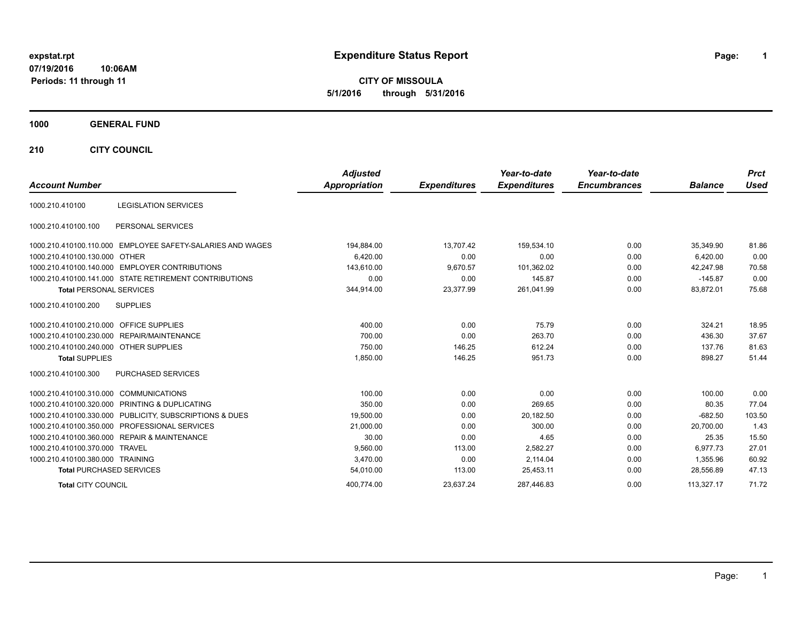# **07/19/2016**

**10:06AM Periods: 11 through 11**

# **expstat.rpt Expenditure Status Report Page:**

**1**

**CITY OF MISSOULA 5/1/2016 through 5/31/2016**

### **1000 GENERAL FUND**

**210 CITY COUNCIL**

| <b>Account Number</b>                  |                                                            | <b>Adjusted</b><br>Appropriation | <b>Expenditures</b> | Year-to-date<br><b>Expenditures</b> | Year-to-date<br><b>Encumbrances</b> | <b>Balance</b> | <b>Prct</b><br><b>Used</b> |
|----------------------------------------|------------------------------------------------------------|----------------------------------|---------------------|-------------------------------------|-------------------------------------|----------------|----------------------------|
|                                        |                                                            |                                  |                     |                                     |                                     |                |                            |
| 1000.210.410100                        | <b>LEGISLATION SERVICES</b>                                |                                  |                     |                                     |                                     |                |                            |
| 1000.210.410100.100                    | PERSONAL SERVICES                                          |                                  |                     |                                     |                                     |                |                            |
|                                        | 1000.210.410100.110.000 EMPLOYEE SAFETY-SALARIES AND WAGES | 194,884.00                       | 13,707.42           | 159.534.10                          | 0.00                                | 35.349.90      | 81.86                      |
| 1000.210.410100.130.000                | OTHER                                                      | 6,420.00                         | 0.00                | 0.00                                | 0.00                                | 6,420.00       | 0.00                       |
|                                        | 1000.210.410100.140.000 EMPLOYER CONTRIBUTIONS             | 143,610.00                       | 9,670.57            | 101,362.02                          | 0.00                                | 42,247.98      | 70.58                      |
|                                        | 1000.210.410100.141.000 STATE RETIREMENT CONTRIBUTIONS     | 0.00                             | 0.00                | 145.87                              | 0.00                                | $-145.87$      | 0.00                       |
| <b>Total PERSONAL SERVICES</b>         |                                                            | 344,914.00                       | 23,377.99           | 261,041.99                          | 0.00                                | 83,872.01      | 75.68                      |
| 1000.210.410100.200                    | <b>SUPPLIES</b>                                            |                                  |                     |                                     |                                     |                |                            |
| 1000.210.410100.210.000                | <b>OFFICE SUPPLIES</b>                                     | 400.00                           | 0.00                | 75.79                               | 0.00                                | 324.21         | 18.95                      |
|                                        | 1000.210.410100.230.000 REPAIR/MAINTENANCE                 | 700.00                           | 0.00                | 263.70                              | 0.00                                | 436.30         | 37.67                      |
| 1000.210.410100.240.000 OTHER SUPPLIES |                                                            | 750.00                           | 146.25              | 612.24                              | 0.00                                | 137.76         | 81.63                      |
| <b>Total SUPPLIES</b>                  |                                                            | 1,850.00                         | 146.25              | 951.73                              | 0.00                                | 898.27         | 51.44                      |
| 1000.210.410100.300                    | <b>PURCHASED SERVICES</b>                                  |                                  |                     |                                     |                                     |                |                            |
| 1000.210.410100.310.000                | <b>COMMUNICATIONS</b>                                      | 100.00                           | 0.00                | 0.00                                | 0.00                                | 100.00         | 0.00                       |
|                                        | 1000.210.410100.320.000 PRINTING & DUPLICATING             | 350.00                           | 0.00                | 269.65                              | 0.00                                | 80.35          | 77.04                      |
|                                        | 1000.210.410100.330.000 PUBLICITY, SUBSCRIPTIONS & DUES    | 19,500.00                        | 0.00                | 20,182.50                           | 0.00                                | $-682.50$      | 103.50                     |
|                                        | 1000.210.410100.350.000 PROFESSIONAL SERVICES              | 21,000.00                        | 0.00                | 300.00                              | 0.00                                | 20,700.00      | 1.43                       |
|                                        | 1000.210.410100.360.000 REPAIR & MAINTENANCE               | 30.00                            | 0.00                | 4.65                                | 0.00                                | 25.35          | 15.50                      |
| 1000.210.410100.370.000 TRAVEL         |                                                            | 9,560.00                         | 113.00              | 2,582.27                            | 0.00                                | 6.977.73       | 27.01                      |
| 1000.210.410100.380.000 TRAINING       |                                                            | 3,470.00                         | 0.00                | 2,114.04                            | 0.00                                | 1.355.96       | 60.92                      |
| <b>Total PURCHASED SERVICES</b>        |                                                            | 54,010.00                        | 113.00              | 25.453.11                           | 0.00                                | 28.556.89      | 47.13                      |
| <b>Total CITY COUNCIL</b>              |                                                            | 400.774.00                       | 23.637.24           | 287.446.83                          | 0.00                                | 113.327.17     | 71.72                      |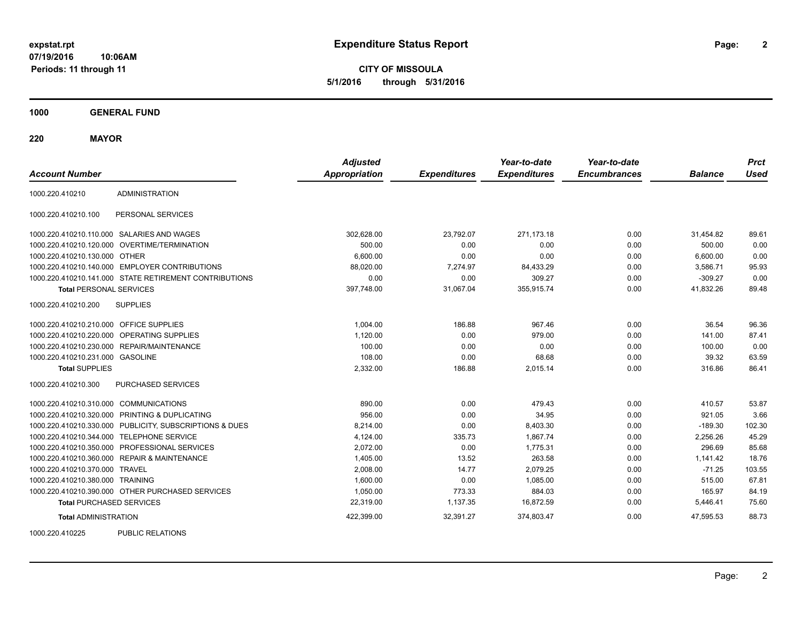**2**

**CITY OF MISSOULA 5/1/2016 through 5/31/2016**

**1000 GENERAL FUND**

**220 MAYOR**

| <b>Account Number</b>                   |                                                         | <b>Adjusted</b><br><b>Appropriation</b> | <b>Expenditures</b> | Year-to-date<br><b>Expenditures</b> | Year-to-date<br><b>Encumbrances</b> | <b>Balance</b> | <b>Prct</b><br><b>Used</b> |
|-----------------------------------------|---------------------------------------------------------|-----------------------------------------|---------------------|-------------------------------------|-------------------------------------|----------------|----------------------------|
| 1000.220.410210                         | <b>ADMINISTRATION</b>                                   |                                         |                     |                                     |                                     |                |                            |
| 1000.220.410210.100                     | PERSONAL SERVICES                                       |                                         |                     |                                     |                                     |                |                            |
|                                         | 1000.220.410210.110.000 SALARIES AND WAGES              | 302,628.00                              | 23,792.07           | 271,173.18                          | 0.00                                | 31,454.82      | 89.61                      |
|                                         | 1000.220.410210.120.000 OVERTIME/TERMINATION            | 500.00                                  | 0.00                | 0.00                                | 0.00                                | 500.00         | 0.00                       |
| 1000.220.410210.130.000 OTHER           |                                                         | 6,600.00                                | 0.00                | 0.00                                | 0.00                                | 6,600.00       | 0.00                       |
|                                         | 1000.220.410210.140.000 EMPLOYER CONTRIBUTIONS          | 88,020.00                               | 7,274.97            | 84,433.29                           | 0.00                                | 3,586.71       | 95.93                      |
|                                         | 1000.220.410210.141.000 STATE RETIREMENT CONTRIBUTIONS  | 0.00                                    | 0.00                | 309.27                              | 0.00                                | $-309.27$      | 0.00                       |
| <b>Total PERSONAL SERVICES</b>          |                                                         | 397,748.00                              | 31,067.04           | 355,915.74                          | 0.00                                | 41,832.26      | 89.48                      |
| 1000.220.410210.200                     | <b>SUPPLIES</b>                                         |                                         |                     |                                     |                                     |                |                            |
| 1000.220.410210.210.000 OFFICE SUPPLIES |                                                         | 1,004.00                                | 186.88              | 967.46                              | 0.00                                | 36.54          | 96.36                      |
|                                         | 1000.220.410210.220.000 OPERATING SUPPLIES              | 1,120.00                                | 0.00                | 979.00                              | 0.00                                | 141.00         | 87.41                      |
|                                         | 1000.220.410210.230.000 REPAIR/MAINTENANCE              | 100.00                                  | 0.00                | 0.00                                | 0.00                                | 100.00         | 0.00                       |
| 1000.220.410210.231.000 GASOLINE        |                                                         | 108.00                                  | 0.00                | 68.68                               | 0.00                                | 39.32          | 63.59                      |
| <b>Total SUPPLIES</b>                   |                                                         | 2,332.00                                | 186.88              | 2,015.14                            | 0.00                                | 316.86         | 86.41                      |
| 1000.220.410210.300                     | PURCHASED SERVICES                                      |                                         |                     |                                     |                                     |                |                            |
| 1000.220.410210.310.000 COMMUNICATIONS  |                                                         | 890.00                                  | 0.00                | 479.43                              | 0.00                                | 410.57         | 53.87                      |
|                                         | 1000.220.410210.320.000 PRINTING & DUPLICATING          | 956.00                                  | 0.00                | 34.95                               | 0.00                                | 921.05         | 3.66                       |
|                                         | 1000.220.410210.330.000 PUBLICITY, SUBSCRIPTIONS & DUES | 8,214.00                                | 0.00                | 8,403.30                            | 0.00                                | $-189.30$      | 102.30                     |
|                                         | 1000.220.410210.344.000 TELEPHONE SERVICE               | 4,124.00                                | 335.73              | 1,867.74                            | 0.00                                | 2,256.26       | 45.29                      |
|                                         | 1000.220.410210.350.000 PROFESSIONAL SERVICES           | 2,072.00                                | 0.00                | 1,775.31                            | 0.00                                | 296.69         | 85.68                      |
|                                         | 1000.220.410210.360.000 REPAIR & MAINTENANCE            | 1,405.00                                | 13.52               | 263.58                              | 0.00                                | 1,141.42       | 18.76                      |
| 1000.220.410210.370.000 TRAVEL          |                                                         | 2.008.00                                | 14.77               | 2.079.25                            | 0.00                                | $-71.25$       | 103.55                     |
| 1000.220.410210.380.000 TRAINING        |                                                         | 1,600.00                                | 0.00                | 1.085.00                            | 0.00                                | 515.00         | 67.81                      |
|                                         | 1000.220.410210.390.000 OTHER PURCHASED SERVICES        | 1,050.00                                | 773.33              | 884.03                              | 0.00                                | 165.97         | 84.19                      |
| <b>Total PURCHASED SERVICES</b>         |                                                         | 22,319.00                               | 1,137.35            | 16,872.59                           | 0.00                                | 5,446.41       | 75.60                      |
| <b>Total ADMINISTRATION</b>             |                                                         | 422,399.00                              | 32,391.27           | 374,803.47                          | 0.00                                | 47,595.53      | 88.73                      |
| 1000000110000                           | BURLIO BEL ITIOHO                                       |                                         |                     |                                     |                                     |                |                            |

1000.220.410225 PUBLIC RELATIONS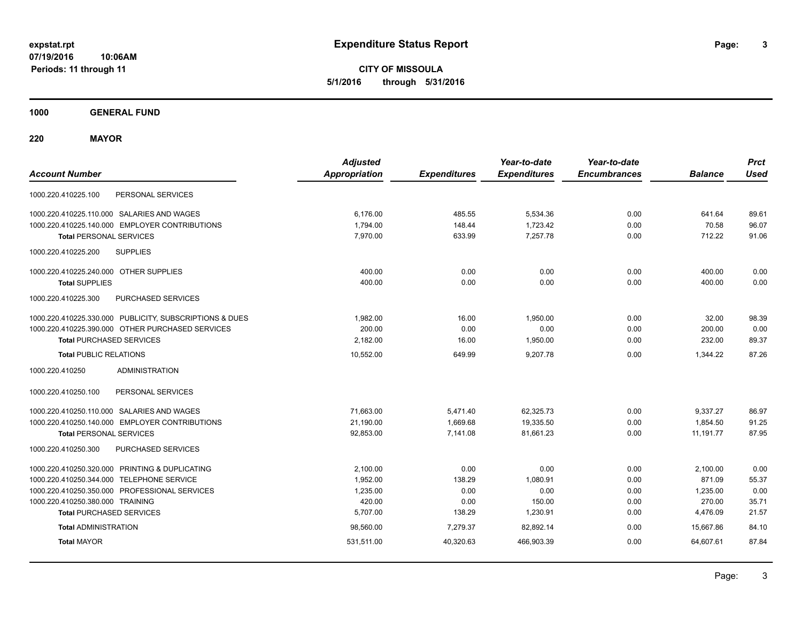**CITY OF MISSOULA 5/1/2016 through 5/31/2016**

**1000 GENERAL FUND**

**220 MAYOR**

| <b>Account Number</b>                                   | <b>Adjusted</b><br><b>Appropriation</b> | <b>Expenditures</b> | Year-to-date<br><b>Expenditures</b> | Year-to-date<br><b>Encumbrances</b> | <b>Balance</b> | <b>Prct</b><br><b>Used</b> |
|---------------------------------------------------------|-----------------------------------------|---------------------|-------------------------------------|-------------------------------------|----------------|----------------------------|
| 1000.220.410225.100<br>PERSONAL SERVICES                |                                         |                     |                                     |                                     |                |                            |
| 1000.220.410225.110.000 SALARIES AND WAGES              | 6,176.00                                | 485.55              | 5,534.36                            | 0.00                                | 641.64         | 89.61                      |
| 1000.220.410225.140.000 EMPLOYER CONTRIBUTIONS          | 1,794.00                                | 148.44              | 1,723.42                            | 0.00                                | 70.58          | 96.07                      |
| <b>Total PERSONAL SERVICES</b>                          | 7,970.00                                | 633.99              | 7,257.78                            | 0.00                                | 712.22         | 91.06                      |
| <b>SUPPLIES</b><br>1000.220.410225.200                  |                                         |                     |                                     |                                     |                |                            |
| 1000.220.410225.240.000 OTHER SUPPLIES                  | 400.00                                  | 0.00                | 0.00                                | 0.00                                | 400.00         | 0.00                       |
| <b>Total SUPPLIES</b>                                   | 400.00                                  | 0.00                | 0.00                                | 0.00                                | 400.00         | 0.00                       |
| <b>PURCHASED SERVICES</b><br>1000.220.410225.300        |                                         |                     |                                     |                                     |                |                            |
| 1000.220.410225.330.000 PUBLICITY, SUBSCRIPTIONS & DUES | 1,982.00                                | 16.00               | 1,950.00                            | 0.00                                | 32.00          | 98.39                      |
| 1000.220.410225.390.000 OTHER PURCHASED SERVICES        | 200.00                                  | 0.00                | 0.00                                | 0.00                                | 200.00         | 0.00                       |
| <b>Total PURCHASED SERVICES</b>                         | 2,182.00                                | 16.00               | 1,950.00                            | 0.00                                | 232.00         | 89.37                      |
| <b>Total PUBLIC RELATIONS</b>                           | 10,552.00                               | 649.99              | 9.207.78                            | 0.00                                | 1.344.22       | 87.26                      |
| <b>ADMINISTRATION</b><br>1000.220.410250                |                                         |                     |                                     |                                     |                |                            |
| 1000.220.410250.100<br>PERSONAL SERVICES                |                                         |                     |                                     |                                     |                |                            |
| 1000.220.410250.110.000 SALARIES AND WAGES              | 71,663.00                               | 5,471.40            | 62,325.73                           | 0.00                                | 9,337.27       | 86.97                      |
| 1000.220.410250.140.000 EMPLOYER CONTRIBUTIONS          | 21,190.00                               | 1,669.68            | 19,335.50                           | 0.00                                | 1,854.50       | 91.25                      |
| <b>Total PERSONAL SERVICES</b>                          | 92,853.00                               | 7,141.08            | 81,661.23                           | 0.00                                | 11,191.77      | 87.95                      |
| 1000.220.410250.300<br>PURCHASED SERVICES               |                                         |                     |                                     |                                     |                |                            |
| 1000.220.410250.320.000 PRINTING & DUPLICATING          | 2.100.00                                | 0.00                | 0.00                                | 0.00                                | 2,100.00       | 0.00                       |
| 1000.220.410250.344.000 TELEPHONE SERVICE               | 1,952.00                                | 138.29              | 1,080.91                            | 0.00                                | 871.09         | 55.37                      |
| 1000.220.410250.350.000 PROFESSIONAL SERVICES           | 1,235.00                                | 0.00                | 0.00                                | 0.00                                | 1,235.00       | 0.00                       |
| 1000.220.410250.380.000 TRAINING                        | 420.00                                  | 0.00                | 150.00                              | 0.00                                | 270.00         | 35.71                      |
| <b>Total PURCHASED SERVICES</b>                         | 5,707.00                                | 138.29              | 1,230.91                            | 0.00                                | 4,476.09       | 21.57                      |
| <b>Total ADMINISTRATION</b>                             | 98,560.00                               | 7,279.37            | 82,892.14                           | 0.00                                | 15.667.86      | 84.10                      |
| <b>Total MAYOR</b>                                      | 531,511.00                              | 40,320.63           | 466,903.39                          | 0.00                                | 64,607.61      | 87.84                      |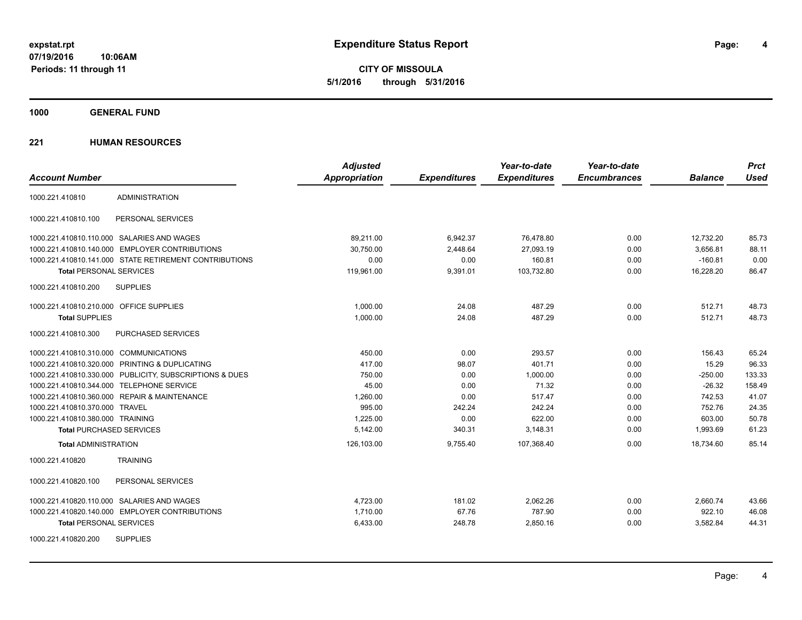**CITY OF MISSOULA 5/1/2016 through 5/31/2016**

**1000 GENERAL FUND**

|                                                         | <b>Adjusted</b>      |                     | Year-to-date        | Year-to-date        |                | <b>Prct</b> |
|---------------------------------------------------------|----------------------|---------------------|---------------------|---------------------|----------------|-------------|
| <b>Account Number</b>                                   | <b>Appropriation</b> | <b>Expenditures</b> | <b>Expenditures</b> | <b>Encumbrances</b> | <b>Balance</b> | <b>Used</b> |
| <b>ADMINISTRATION</b><br>1000.221.410810                |                      |                     |                     |                     |                |             |
| PERSONAL SERVICES<br>1000.221.410810.100                |                      |                     |                     |                     |                |             |
| 1000.221.410810.110.000 SALARIES AND WAGES              | 89,211.00            | 6,942.37            | 76,478.80           | 0.00                | 12,732.20      | 85.73       |
| 1000.221.410810.140.000 EMPLOYER CONTRIBUTIONS          | 30,750.00            | 2,448.64            | 27,093.19           | 0.00                | 3,656.81       | 88.11       |
| 1000.221.410810.141.000 STATE RETIREMENT CONTRIBUTIONS  | 0.00                 | 0.00                | 160.81              | 0.00                | $-160.81$      | 0.00        |
| <b>Total PERSONAL SERVICES</b>                          | 119,961.00           | 9,391.01            | 103,732.80          | 0.00                | 16,228.20      | 86.47       |
| 1000.221.410810.200<br><b>SUPPLIES</b>                  |                      |                     |                     |                     |                |             |
| 1000.221.410810.210.000 OFFICE SUPPLIES                 | 1,000.00             | 24.08               | 487.29              | 0.00                | 512.71         | 48.73       |
| <b>Total SUPPLIES</b>                                   | 1,000.00             | 24.08               | 487.29              | 0.00                | 512.71         | 48.73       |
| 1000.221.410810.300<br><b>PURCHASED SERVICES</b>        |                      |                     |                     |                     |                |             |
| 1000.221.410810.310.000 COMMUNICATIONS                  | 450.00               | 0.00                | 293.57              | 0.00                | 156.43         | 65.24       |
| 1000.221.410810.320.000 PRINTING & DUPLICATING          | 417.00               | 98.07               | 401.71              | 0.00                | 15.29          | 96.33       |
| 1000.221.410810.330.000 PUBLICITY, SUBSCRIPTIONS & DUES | 750.00               | 0.00                | 1,000.00            | 0.00                | $-250.00$      | 133.33      |
| 1000.221.410810.344.000 TELEPHONE SERVICE               | 45.00                | 0.00                | 71.32               | 0.00                | $-26.32$       | 158.49      |
| 1000.221.410810.360.000 REPAIR & MAINTENANCE            | 1,260.00             | 0.00                | 517.47              | 0.00                | 742.53         | 41.07       |
| 1000.221.410810.370.000 TRAVEL                          | 995.00               | 242.24              | 242.24              | 0.00                | 752.76         | 24.35       |
| 1000.221.410810.380.000 TRAINING                        | 1,225.00             | 0.00                | 622.00              | 0.00                | 603.00         | 50.78       |
| <b>Total PURCHASED SERVICES</b>                         | 5,142.00             | 340.31              | 3,148.31            | 0.00                | 1,993.69       | 61.23       |
| <b>Total ADMINISTRATION</b>                             | 126,103.00           | 9,755.40            | 107,368.40          | 0.00                | 18,734.60      | 85.14       |
| 1000.221.410820<br><b>TRAINING</b>                      |                      |                     |                     |                     |                |             |
| 1000.221.410820.100<br>PERSONAL SERVICES                |                      |                     |                     |                     |                |             |
| 1000.221.410820.110.000 SALARIES AND WAGES              | 4,723.00             | 181.02              | 2,062.26            | 0.00                | 2,660.74       | 43.66       |
| 1000.221.410820.140.000 EMPLOYER CONTRIBUTIONS          | 1,710.00             | 67.76               | 787.90              | 0.00                | 922.10         | 46.08       |
| <b>Total PERSONAL SERVICES</b>                          | 6,433.00             | 248.78              | 2,850.16            | 0.00                | 3,582.84       | 44.31       |
| <b>SUPPLIES</b><br>1000.221.410820.200                  |                      |                     |                     |                     |                |             |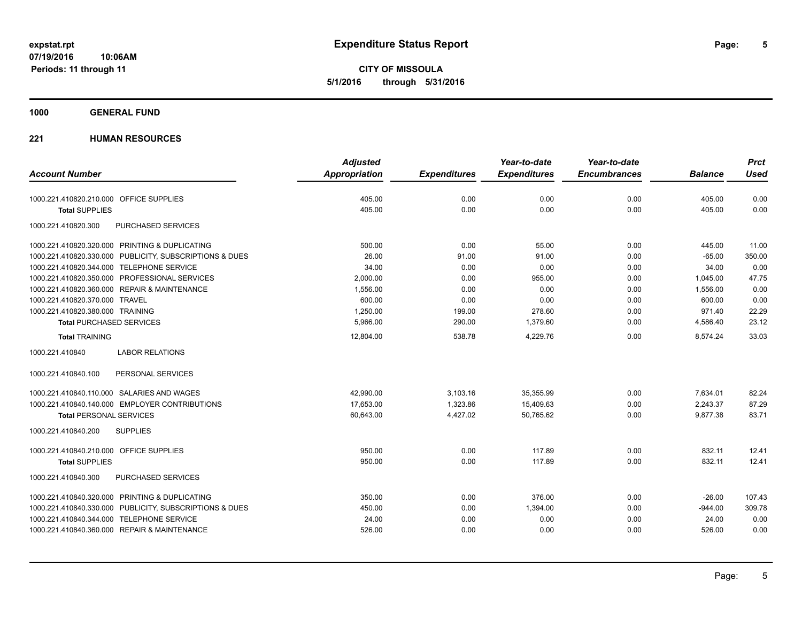**CITY OF MISSOULA 5/1/2016 through 5/31/2016**

### **1000 GENERAL FUND**

|                                                         | <b>Adjusted</b> |                     | Year-to-date        | Year-to-date        |                | <b>Prct</b> |
|---------------------------------------------------------|-----------------|---------------------|---------------------|---------------------|----------------|-------------|
| <b>Account Number</b>                                   | Appropriation   | <b>Expenditures</b> | <b>Expenditures</b> | <b>Encumbrances</b> | <b>Balance</b> | <b>Used</b> |
| 1000.221.410820.210.000 OFFICE SUPPLIES                 | 405.00          | 0.00                | 0.00                | 0.00                | 405.00         | 0.00        |
| <b>Total SUPPLIES</b>                                   | 405.00          | 0.00                | 0.00                | 0.00                | 405.00         | 0.00        |
| 1000.221.410820.300<br>PURCHASED SERVICES               |                 |                     |                     |                     |                |             |
| 1000.221.410820.320.000 PRINTING & DUPLICATING          | 500.00          | 0.00                | 55.00               | 0.00                | 445.00         | 11.00       |
| 1000.221.410820.330.000 PUBLICITY, SUBSCRIPTIONS & DUES | 26.00           | 91.00               | 91.00               | 0.00                | $-65.00$       | 350.00      |
| 1000.221.410820.344.000 TELEPHONE SERVICE               | 34.00           | 0.00                | 0.00                | 0.00                | 34.00          | 0.00        |
| 1000.221.410820.350.000 PROFESSIONAL SERVICES           | 2,000.00        | 0.00                | 955.00              | 0.00                | 1,045.00       | 47.75       |
| 1000.221.410820.360.000 REPAIR & MAINTENANCE            | 1,556.00        | 0.00                | 0.00                | 0.00                | 1,556.00       | 0.00        |
| 1000.221.410820.370.000 TRAVEL                          | 600.00          | 0.00                | 0.00                | 0.00                | 600.00         | 0.00        |
| 1000.221.410820.380.000 TRAINING                        | 1,250.00        | 199.00              | 278.60              | 0.00                | 971.40         | 22.29       |
| <b>Total PURCHASED SERVICES</b>                         | 5,966.00        | 290.00              | 1,379.60            | 0.00                | 4,586.40       | 23.12       |
| <b>Total TRAINING</b>                                   | 12,804.00       | 538.78              | 4,229.76            | 0.00                | 8,574.24       | 33.03       |
| <b>LABOR RELATIONS</b><br>1000.221.410840               |                 |                     |                     |                     |                |             |
| 1000.221.410840.100<br>PERSONAL SERVICES                |                 |                     |                     |                     |                |             |
| 1000.221.410840.110.000 SALARIES AND WAGES              | 42,990.00       | 3,103.16            | 35,355.99           | 0.00                | 7,634.01       | 82.24       |
| 1000.221.410840.140.000 EMPLOYER CONTRIBUTIONS          | 17,653.00       | 1,323.86            | 15,409.63           | 0.00                | 2,243.37       | 87.29       |
| <b>Total PERSONAL SERVICES</b>                          | 60,643.00       | 4,427.02            | 50.765.62           | 0.00                | 9,877.38       | 83.71       |
| 1000.221.410840.200<br><b>SUPPLIES</b>                  |                 |                     |                     |                     |                |             |
| 1000.221.410840.210.000 OFFICE SUPPLIES                 | 950.00          | 0.00                | 117.89              | 0.00                | 832.11         | 12.41       |
| <b>Total SUPPLIES</b>                                   | 950.00          | 0.00                | 117.89              | 0.00                | 832.11         | 12.41       |
| 1000.221.410840.300<br><b>PURCHASED SERVICES</b>        |                 |                     |                     |                     |                |             |
| 1000.221.410840.320.000 PRINTING & DUPLICATING          | 350.00          | 0.00                | 376.00              | 0.00                | $-26.00$       | 107.43      |
| 1000.221.410840.330.000 PUBLICITY, SUBSCRIPTIONS & DUES | 450.00          | 0.00                | 1,394.00            | 0.00                | $-944.00$      | 309.78      |
| 1000.221.410840.344.000 TELEPHONE SERVICE               | 24.00           | 0.00                | 0.00                | 0.00                | 24.00          | 0.00        |
| 1000.221.410840.360.000 REPAIR & MAINTENANCE            | 526.00          | 0.00                | 0.00                | 0.00                | 526.00         | 0.00        |
|                                                         |                 |                     |                     |                     |                |             |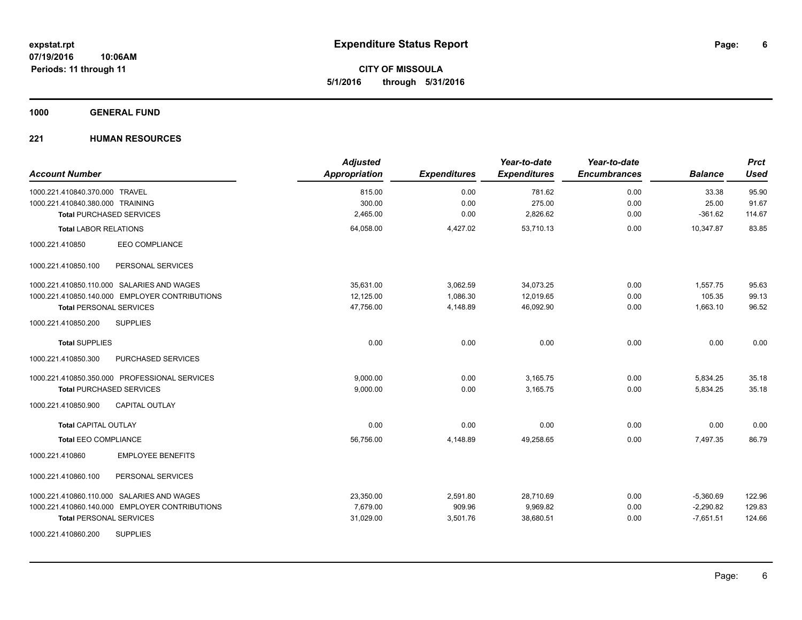**CITY OF MISSOULA 5/1/2016 through 5/31/2016**

### **1000 GENERAL FUND**

| <b>Account Number</b>                          | <b>Adjusted</b><br><b>Appropriation</b> | <b>Expenditures</b> | Year-to-date<br><b>Expenditures</b> | Year-to-date<br><b>Encumbrances</b> | <b>Balance</b> | <b>Prct</b><br><b>Used</b> |
|------------------------------------------------|-----------------------------------------|---------------------|-------------------------------------|-------------------------------------|----------------|----------------------------|
| 1000.221.410840.370.000 TRAVEL                 | 815.00                                  | 0.00                | 781.62                              | 0.00                                | 33.38          | 95.90                      |
| 1000.221.410840.380.000 TRAINING               | 300.00                                  | 0.00                | 275.00                              | 0.00                                | 25.00          | 91.67                      |
| <b>Total PURCHASED SERVICES</b>                | 2,465.00                                | 0.00                | 2,826.62                            | 0.00                                | $-361.62$      | 114.67                     |
| <b>Total LABOR RELATIONS</b>                   | 64,058.00                               | 4,427.02            | 53,710.13                           | 0.00                                | 10,347.87      | 83.85                      |
| <b>EEO COMPLIANCE</b><br>1000.221.410850       |                                         |                     |                                     |                                     |                |                            |
| 1000.221.410850.100<br>PERSONAL SERVICES       |                                         |                     |                                     |                                     |                |                            |
| 1000.221.410850.110.000 SALARIES AND WAGES     | 35,631.00                               | 3,062.59            | 34,073.25                           | 0.00                                | 1,557.75       | 95.63                      |
| 1000.221.410850.140.000 EMPLOYER CONTRIBUTIONS | 12,125.00                               | 1,086.30            | 12,019.65                           | 0.00                                | 105.35         | 99.13                      |
| <b>Total PERSONAL SERVICES</b>                 | 47,756.00                               | 4,148.89            | 46,092.90                           | 0.00                                | 1,663.10       | 96.52                      |
| 1000.221.410850.200<br><b>SUPPLIES</b>         |                                         |                     |                                     |                                     |                |                            |
| <b>Total SUPPLIES</b>                          | 0.00                                    | 0.00                | 0.00                                | 0.00                                | 0.00           | 0.00                       |
| 1000.221.410850.300<br>PURCHASED SERVICES      |                                         |                     |                                     |                                     |                |                            |
| 1000.221.410850.350.000 PROFESSIONAL SERVICES  | 9.000.00                                | 0.00                | 3,165.75                            | 0.00                                | 5,834.25       | 35.18                      |
| <b>Total PURCHASED SERVICES</b>                | 9,000.00                                | 0.00                | 3,165.75                            | 0.00                                | 5,834.25       | 35.18                      |
| 1000.221.410850.900<br><b>CAPITAL OUTLAY</b>   |                                         |                     |                                     |                                     |                |                            |
| <b>Total CAPITAL OUTLAY</b>                    | 0.00                                    | 0.00                | 0.00                                | 0.00                                | 0.00           | 0.00                       |
| <b>Total EEO COMPLIANCE</b>                    | 56,756.00                               | 4,148.89            | 49,258.65                           | 0.00                                | 7,497.35       | 86.79                      |
| 1000.221.410860<br><b>EMPLOYEE BENEFITS</b>    |                                         |                     |                                     |                                     |                |                            |
| 1000.221.410860.100<br>PERSONAL SERVICES       |                                         |                     |                                     |                                     |                |                            |
| 1000.221.410860.110.000 SALARIES AND WAGES     | 23,350.00                               | 2,591.80            | 28,710.69                           | 0.00                                | $-5,360.69$    | 122.96                     |
| 1000.221.410860.140.000 EMPLOYER CONTRIBUTIONS | 7,679.00                                | 909.96              | 9,969.82                            | 0.00                                | $-2,290.82$    | 129.83                     |
| <b>Total PERSONAL SERVICES</b>                 | 31,029.00                               | 3,501.76            | 38,680.51                           | 0.00                                | $-7,651.51$    | 124.66                     |
| <b>SUPPLIES</b><br>1000.221.410860.200         |                                         |                     |                                     |                                     |                |                            |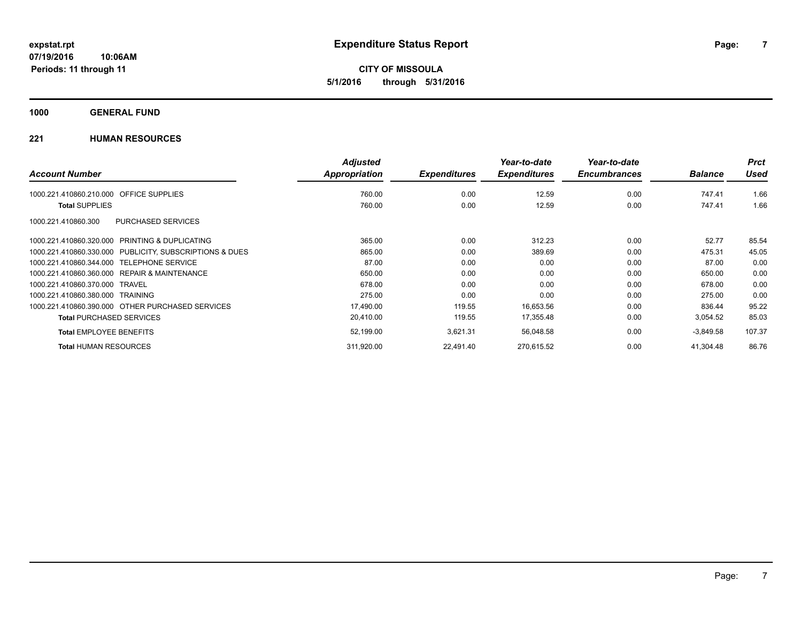**CITY OF MISSOULA 5/1/2016 through 5/31/2016**

### **1000 GENERAL FUND**

|                                                              | <b>Adjusted</b> |                     | Year-to-date        | Year-to-date        |                | <b>Prct</b> |
|--------------------------------------------------------------|-----------------|---------------------|---------------------|---------------------|----------------|-------------|
| <b>Account Number</b>                                        | Appropriation   | <b>Expenditures</b> | <b>Expenditures</b> | <b>Encumbrances</b> | <b>Balance</b> | <b>Used</b> |
| <b>OFFICE SUPPLIES</b><br>1000.221.410860.210.000            | 760.00          | 0.00                | 12.59               | 0.00                | 747.41         | 1.66        |
| <b>Total SUPPLIES</b>                                        | 760.00          | 0.00                | 12.59               | 0.00                | 747.41         | 1.66        |
| PURCHASED SERVICES<br>1000.221.410860.300                    |                 |                     |                     |                     |                |             |
| <b>PRINTING &amp; DUPLICATING</b><br>1000.221.410860.320.000 | 365.00          | 0.00                | 312.23              | 0.00                | 52.77          | 85.54       |
| 1000.221.410860.330.000 PUBLICITY, SUBSCRIPTIONS & DUES      | 865.00          | 0.00                | 389.69              | 0.00                | 475.31         | 45.05       |
| <b>TELEPHONE SERVICE</b><br>1000.221.410860.344.000          | 87.00           | 0.00                | 0.00                | 0.00                | 87.00          | 0.00        |
| 1000.221.410860.360.000 REPAIR & MAINTENANCE                 | 650.00          | 0.00                | 0.00                | 0.00                | 650.00         | 0.00        |
| 1000.221.410860.370.000<br><b>TRAVEL</b>                     | 678.00          | 0.00                | 0.00                | 0.00                | 678.00         | 0.00        |
| 1000.221.410860.380.000 TRAINING                             | 275.00          | 0.00                | 0.00                | 0.00                | 275.00         | 0.00        |
| 1000.221.410860.390.000 OTHER PURCHASED SERVICES             | 17,490.00       | 119.55              | 16,653.56           | 0.00                | 836.44         | 95.22       |
| <b>Total PURCHASED SERVICES</b>                              | 20,410.00       | 119.55              | 17,355.48           | 0.00                | 3,054.52       | 85.03       |
| <b>Total EMPLOYEE BENEFITS</b>                               | 52,199.00       | 3,621.31            | 56,048.58           | 0.00                | $-3,849.58$    | 107.37      |
| <b>Total HUMAN RESOURCES</b>                                 | 311,920.00      | 22,491.40           | 270,615.52          | 0.00                | 41.304.48      | 86.76       |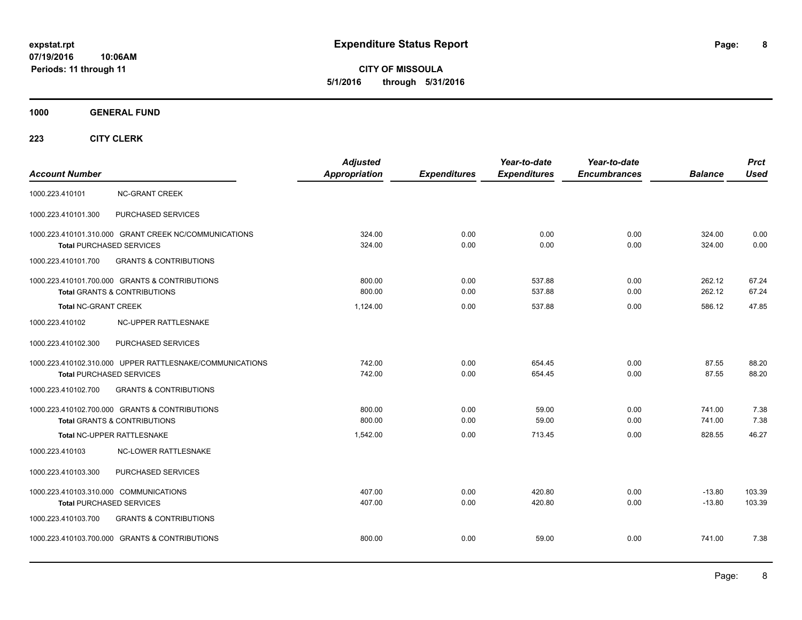**CITY OF MISSOULA 5/1/2016 through 5/31/2016**

**1000 GENERAL FUND**

| <b>Account Number</b>                                                     |                                                                                             | <b>Adjusted</b><br>Appropriation | <b>Expenditures</b> | Year-to-date<br><b>Expenditures</b> | Year-to-date<br><b>Encumbrances</b> | <b>Balance</b>       | <b>Prct</b><br><b>Used</b> |
|---------------------------------------------------------------------------|---------------------------------------------------------------------------------------------|----------------------------------|---------------------|-------------------------------------|-------------------------------------|----------------------|----------------------------|
| 1000.223.410101                                                           | <b>NC-GRANT CREEK</b>                                                                       |                                  |                     |                                     |                                     |                      |                            |
| 1000.223.410101.300                                                       | PURCHASED SERVICES                                                                          |                                  |                     |                                     |                                     |                      |                            |
|                                                                           | 1000.223.410101.310.000 GRANT CREEK NC/COMMUNICATIONS<br><b>Total PURCHASED SERVICES</b>    | 324.00<br>324.00                 | 0.00<br>0.00        | 0.00<br>0.00                        | 0.00<br>0.00                        | 324.00<br>324.00     | 0.00<br>0.00               |
| 1000.223.410101.700                                                       | <b>GRANTS &amp; CONTRIBUTIONS</b>                                                           |                                  |                     |                                     |                                     |                      |                            |
|                                                                           | 1000.223.410101.700.000 GRANTS & CONTRIBUTIONS<br><b>Total GRANTS &amp; CONTRIBUTIONS</b>   | 800.00<br>800.00                 | 0.00<br>0.00        | 537.88<br>537.88                    | 0.00<br>0.00                        | 262.12<br>262.12     | 67.24<br>67.24             |
| <b>Total NC-GRANT CREEK</b>                                               |                                                                                             | 1,124.00                         | 0.00                | 537.88                              | 0.00                                | 586.12               | 47.85                      |
| 1000.223.410102                                                           | NC-UPPER RATTLESNAKE                                                                        |                                  |                     |                                     |                                     |                      |                            |
| 1000.223.410102.300                                                       | PURCHASED SERVICES                                                                          |                                  |                     |                                     |                                     |                      |                            |
|                                                                           | 1000.223.410102.310.000 UPPER RATTLESNAKE/COMMUNICATIONS<br><b>Total PURCHASED SERVICES</b> | 742.00<br>742.00                 | 0.00<br>0.00        | 654.45<br>654.45                    | 0.00<br>0.00                        | 87.55<br>87.55       | 88.20<br>88.20             |
| 1000.223.410102.700                                                       | <b>GRANTS &amp; CONTRIBUTIONS</b>                                                           |                                  |                     |                                     |                                     |                      |                            |
|                                                                           | 1000.223.410102.700.000 GRANTS & CONTRIBUTIONS<br><b>Total GRANTS &amp; CONTRIBUTIONS</b>   | 800.00<br>800.00                 | 0.00<br>0.00        | 59.00<br>59.00                      | 0.00<br>0.00                        | 741.00<br>741.00     | 7.38<br>7.38               |
|                                                                           | Total NC-UPPER RATTLESNAKE                                                                  | 1,542.00                         | 0.00                | 713.45                              | 0.00                                | 828.55               | 46.27                      |
| 1000.223.410103                                                           | <b>NC-LOWER RATTLESNAKE</b>                                                                 |                                  |                     |                                     |                                     |                      |                            |
| 1000.223.410103.300                                                       | PURCHASED SERVICES                                                                          |                                  |                     |                                     |                                     |                      |                            |
| 1000.223.410103.310.000 COMMUNICATIONS<br><b>Total PURCHASED SERVICES</b> |                                                                                             | 407.00<br>407.00                 | 0.00<br>0.00        | 420.80<br>420.80                    | 0.00<br>0.00                        | $-13.80$<br>$-13.80$ | 103.39<br>103.39           |
| 1000.223.410103.700                                                       | <b>GRANTS &amp; CONTRIBUTIONS</b>                                                           |                                  |                     |                                     |                                     |                      |                            |
|                                                                           | 1000.223.410103.700.000 GRANTS & CONTRIBUTIONS                                              | 800.00                           | 0.00                | 59.00                               | 0.00                                | 741.00               | 7.38                       |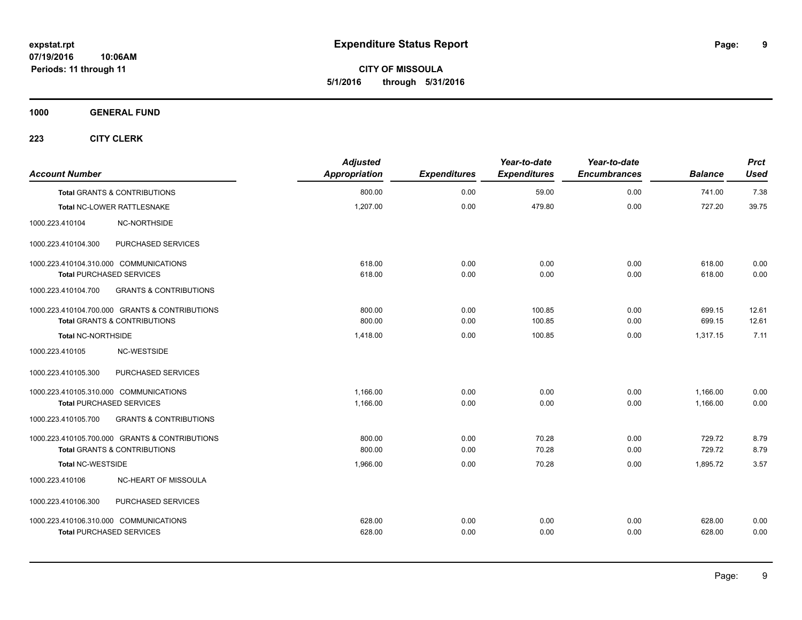**CITY OF MISSOULA 5/1/2016 through 5/31/2016**

**1000 GENERAL FUND**

| <b>Account Number</b>                  |                                                | <b>Adjusted</b><br>Appropriation | <b>Expenditures</b> | Year-to-date<br><b>Expenditures</b> | Year-to-date<br><b>Encumbrances</b> | <b>Balance</b> | <b>Prct</b><br><b>Used</b> |
|----------------------------------------|------------------------------------------------|----------------------------------|---------------------|-------------------------------------|-------------------------------------|----------------|----------------------------|
|                                        | <b>Total GRANTS &amp; CONTRIBUTIONS</b>        | 800.00                           | 0.00                | 59.00                               | 0.00                                | 741.00         | 7.38                       |
|                                        | Total NC-LOWER RATTLESNAKE                     | 1,207.00                         | 0.00                | 479.80                              | 0.00                                | 727.20         | 39.75                      |
| 1000.223.410104                        | NC-NORTHSIDE                                   |                                  |                     |                                     |                                     |                |                            |
| 1000.223.410104.300                    | PURCHASED SERVICES                             |                                  |                     |                                     |                                     |                |                            |
| 1000.223.410104.310.000 COMMUNICATIONS |                                                | 618.00                           | 0.00                | 0.00                                | 0.00                                | 618.00         | 0.00                       |
| <b>Total PURCHASED SERVICES</b>        |                                                | 618.00                           | 0.00                | 0.00                                | 0.00                                | 618.00         | 0.00                       |
| 1000.223.410104.700                    | <b>GRANTS &amp; CONTRIBUTIONS</b>              |                                  |                     |                                     |                                     |                |                            |
|                                        | 1000.223.410104.700.000 GRANTS & CONTRIBUTIONS | 800.00                           | 0.00                | 100.85                              | 0.00                                | 699.15         | 12.61                      |
|                                        | <b>Total GRANTS &amp; CONTRIBUTIONS</b>        | 800.00                           | 0.00                | 100.85                              | 0.00                                | 699.15         | 12.61                      |
| Total NC-NORTHSIDE                     |                                                | 1,418.00                         | 0.00                | 100.85                              | 0.00                                | 1,317.15       | 7.11                       |
| 1000.223.410105                        | <b>NC-WESTSIDE</b>                             |                                  |                     |                                     |                                     |                |                            |
| 1000.223.410105.300                    | PURCHASED SERVICES                             |                                  |                     |                                     |                                     |                |                            |
| 1000.223.410105.310.000 COMMUNICATIONS |                                                | 1,166.00                         | 0.00                | 0.00                                | 0.00                                | 1,166.00       | 0.00                       |
| <b>Total PURCHASED SERVICES</b>        |                                                | 1,166.00                         | 0.00                | 0.00                                | 0.00                                | 1,166.00       | 0.00                       |
| 1000.223.410105.700                    | <b>GRANTS &amp; CONTRIBUTIONS</b>              |                                  |                     |                                     |                                     |                |                            |
|                                        | 1000.223.410105.700.000 GRANTS & CONTRIBUTIONS | 800.00                           | 0.00                | 70.28                               | 0.00                                | 729.72         | 8.79                       |
|                                        | <b>Total GRANTS &amp; CONTRIBUTIONS</b>        | 800.00                           | 0.00                | 70.28                               | 0.00                                | 729.72         | 8.79                       |
| <b>Total NC-WESTSIDE</b>               |                                                | 1,966.00                         | 0.00                | 70.28                               | 0.00                                | 1.895.72       | 3.57                       |
| 1000.223.410106                        | NC-HEART OF MISSOULA                           |                                  |                     |                                     |                                     |                |                            |
| 1000.223.410106.300                    | PURCHASED SERVICES                             |                                  |                     |                                     |                                     |                |                            |
| 1000.223.410106.310.000 COMMUNICATIONS |                                                | 628.00                           | 0.00                | 0.00                                | 0.00                                | 628.00         | 0.00                       |
| <b>Total PURCHASED SERVICES</b>        |                                                | 628.00                           | 0.00                | 0.00                                | 0.00                                | 628.00         | 0.00                       |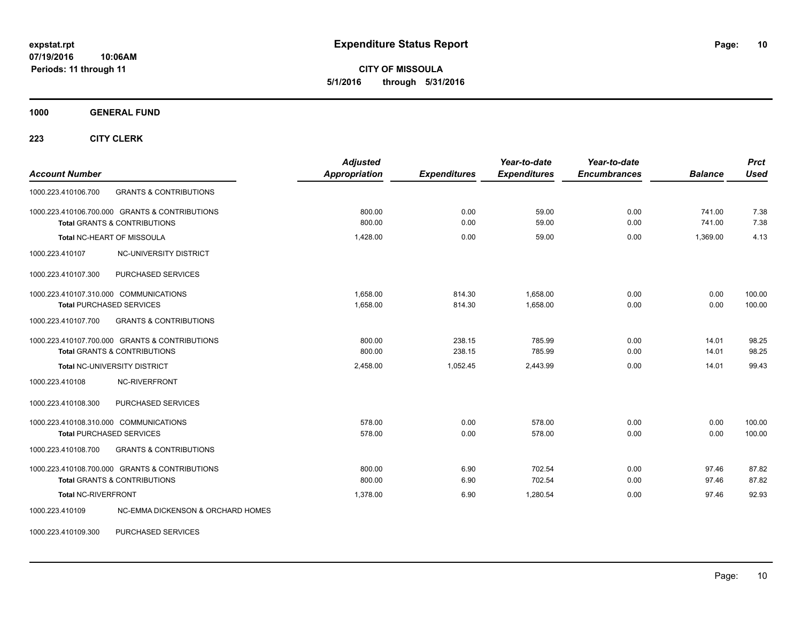**CITY OF MISSOULA 5/1/2016 through 5/31/2016**

**1000 GENERAL FUND**

**223 CITY CLERK**

| <b>Account Number</b>                                                                     | <b>Adjusted</b><br><b>Appropriation</b> | <b>Expenditures</b> | Year-to-date<br><b>Expenditures</b> | Year-to-date<br><b>Encumbrances</b> | <b>Balance</b>   | <b>Prct</b><br><b>Used</b> |
|-------------------------------------------------------------------------------------------|-----------------------------------------|---------------------|-------------------------------------|-------------------------------------|------------------|----------------------------|
| <b>GRANTS &amp; CONTRIBUTIONS</b><br>1000.223.410106.700                                  |                                         |                     |                                     |                                     |                  |                            |
| 1000.223.410106.700.000 GRANTS & CONTRIBUTIONS<br>Total GRANTS & CONTRIBUTIONS            | 800.00<br>800.00                        | 0.00<br>0.00        | 59.00<br>59.00                      | 0.00<br>0.00                        | 741.00<br>741.00 | 7.38<br>7.38               |
| <b>Total NC-HEART OF MISSOULA</b>                                                         | 1.428.00                                | 0.00                | 59.00                               | 0.00                                | 1.369.00         | 4.13                       |
| 1000.223.410107<br><b>NC-UNIVERSITY DISTRICT</b>                                          |                                         |                     |                                     |                                     |                  |                            |
| PURCHASED SERVICES<br>1000.223.410107.300                                                 |                                         |                     |                                     |                                     |                  |                            |
| 1000.223.410107.310.000 COMMUNICATIONS<br><b>Total PURCHASED SERVICES</b>                 | 1,658.00<br>1,658.00                    | 814.30<br>814.30    | 1,658.00<br>1,658.00                | 0.00<br>0.00                        | 0.00<br>0.00     | 100.00<br>100.00           |
| <b>GRANTS &amp; CONTRIBUTIONS</b><br>1000.223.410107.700                                  |                                         |                     |                                     |                                     |                  |                            |
| 1000.223.410107.700.000 GRANTS & CONTRIBUTIONS<br><b>Total GRANTS &amp; CONTRIBUTIONS</b> | 800.00<br>800.00                        | 238.15<br>238.15    | 785.99<br>785.99                    | 0.00<br>0.00                        | 14.01<br>14.01   | 98.25<br>98.25             |
| Total NC-UNIVERSITY DISTRICT                                                              | 2,458.00                                | 1,052.45            | 2,443.99                            | 0.00                                | 14.01            | 99.43                      |
| 1000.223.410108<br>NC-RIVERFRONT                                                          |                                         |                     |                                     |                                     |                  |                            |
| 1000.223.410108.300<br>PURCHASED SERVICES                                                 |                                         |                     |                                     |                                     |                  |                            |
| 1000.223.410108.310.000 COMMUNICATIONS<br><b>Total PURCHASED SERVICES</b>                 | 578.00<br>578.00                        | 0.00<br>0.00        | 578.00<br>578.00                    | 0.00<br>0.00                        | 0.00<br>0.00     | 100.00<br>100.00           |
| <b>GRANTS &amp; CONTRIBUTIONS</b><br>1000.223.410108.700                                  |                                         |                     |                                     |                                     |                  |                            |
| 1000.223.410108.700.000 GRANTS & CONTRIBUTIONS<br><b>Total GRANTS &amp; CONTRIBUTIONS</b> | 800.00<br>800.00                        | 6.90<br>6.90        | 702.54<br>702.54                    | 0.00<br>0.00                        | 97.46<br>97.46   | 87.82<br>87.82             |
| <b>Total NC-RIVERFRONT</b>                                                                | 1,378.00                                | 6.90                | 1,280.54                            | 0.00                                | 97.46            | 92.93                      |
| NC-EMMA DICKENSON & ORCHARD HOMES<br>1000.223.410109                                      |                                         |                     |                                     |                                     |                  |                            |

1000.223.410109.300 PURCHASED SERVICES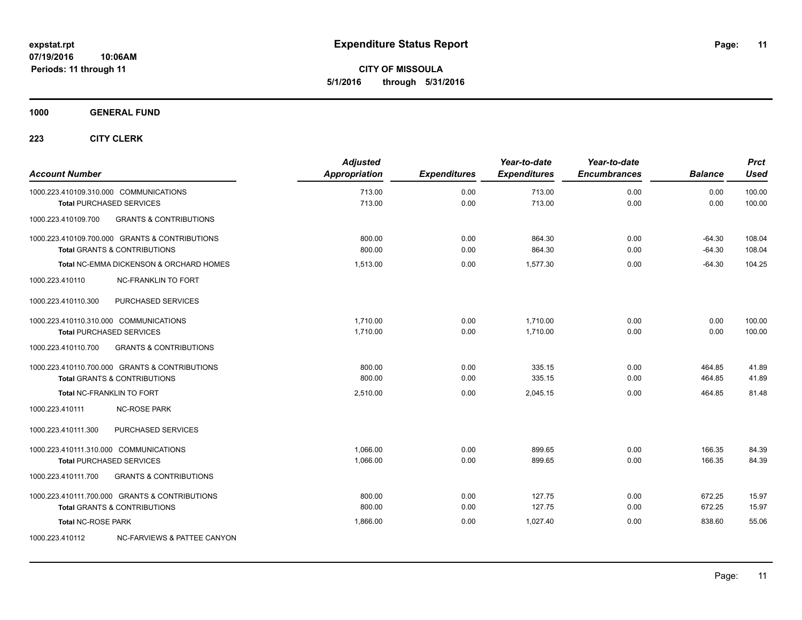**CITY OF MISSOULA 5/1/2016 through 5/31/2016**

**1000 GENERAL FUND**

| <b>Account Number</b>     |                                                    | <b>Adjusted</b><br>Appropriation | <b>Expenditures</b> | Year-to-date<br><b>Expenditures</b> | Year-to-date<br><b>Encumbrances</b> | <b>Balance</b> | <b>Prct</b><br><b>Used</b> |
|---------------------------|----------------------------------------------------|----------------------------------|---------------------|-------------------------------------|-------------------------------------|----------------|----------------------------|
|                           | 1000.223.410109.310.000 COMMUNICATIONS             | 713.00                           | 0.00                | 713.00                              | 0.00                                | 0.00           | 100.00                     |
|                           | <b>Total PURCHASED SERVICES</b>                    | 713.00                           | 0.00                | 713.00                              | 0.00                                | 0.00           | 100.00                     |
| 1000.223.410109.700       | <b>GRANTS &amp; CONTRIBUTIONS</b>                  |                                  |                     |                                     |                                     |                |                            |
|                           | 1000.223.410109.700.000 GRANTS & CONTRIBUTIONS     | 800.00                           | 0.00                | 864.30                              | 0.00                                | $-64.30$       | 108.04                     |
|                           | <b>Total GRANTS &amp; CONTRIBUTIONS</b>            | 800.00                           | 0.00                | 864.30                              | 0.00                                | $-64.30$       | 108.04                     |
|                           | <b>Total NC-EMMA DICKENSON &amp; ORCHARD HOMES</b> | 1,513.00                         | 0.00                | 1.577.30                            | 0.00                                | $-64.30$       | 104.25                     |
| 1000.223.410110           | <b>NC-FRANKLIN TO FORT</b>                         |                                  |                     |                                     |                                     |                |                            |
| 1000.223.410110.300       | PURCHASED SERVICES                                 |                                  |                     |                                     |                                     |                |                            |
|                           | 1000.223.410110.310.000 COMMUNICATIONS             | 1,710.00                         | 0.00                | 1,710.00                            | 0.00                                | 0.00           | 100.00                     |
|                           | <b>Total PURCHASED SERVICES</b>                    | 1,710.00                         | 0.00                | 1,710.00                            | 0.00                                | 0.00           | 100.00                     |
| 1000.223.410110.700       | <b>GRANTS &amp; CONTRIBUTIONS</b>                  |                                  |                     |                                     |                                     |                |                            |
|                           | 1000.223.410110.700.000 GRANTS & CONTRIBUTIONS     | 800.00                           | 0.00                | 335.15                              | 0.00                                | 464.85         | 41.89                      |
|                           | <b>Total GRANTS &amp; CONTRIBUTIONS</b>            | 800.00                           | 0.00                | 335.15                              | 0.00                                | 464.85         | 41.89                      |
|                           | <b>Total NC-FRANKLIN TO FORT</b>                   | 2,510.00                         | 0.00                | 2,045.15                            | 0.00                                | 464.85         | 81.48                      |
| 1000.223.410111           | <b>NC-ROSE PARK</b>                                |                                  |                     |                                     |                                     |                |                            |
| 1000.223.410111.300       | PURCHASED SERVICES                                 |                                  |                     |                                     |                                     |                |                            |
|                           | 1000.223.410111.310.000 COMMUNICATIONS             | 1.066.00                         | 0.00                | 899.65                              | 0.00                                | 166.35         | 84.39                      |
|                           | <b>Total PURCHASED SERVICES</b>                    | 1,066.00                         | 0.00                | 899.65                              | 0.00                                | 166.35         | 84.39                      |
| 1000.223.410111.700       | <b>GRANTS &amp; CONTRIBUTIONS</b>                  |                                  |                     |                                     |                                     |                |                            |
|                           | 1000.223.410111.700.000 GRANTS & CONTRIBUTIONS     | 800.00                           | 0.00                | 127.75                              | 0.00                                | 672.25         | 15.97                      |
|                           | <b>Total GRANTS &amp; CONTRIBUTIONS</b>            | 800.00                           | 0.00                | 127.75                              | 0.00                                | 672.25         | 15.97                      |
| <b>Total NC-ROSE PARK</b> |                                                    | 1,866.00                         | 0.00                | 1.027.40                            | 0.00                                | 838.60         | 55.06                      |
| 1000.223.410112           | NC-FARVIEWS & PATTEE CANYON                        |                                  |                     |                                     |                                     |                |                            |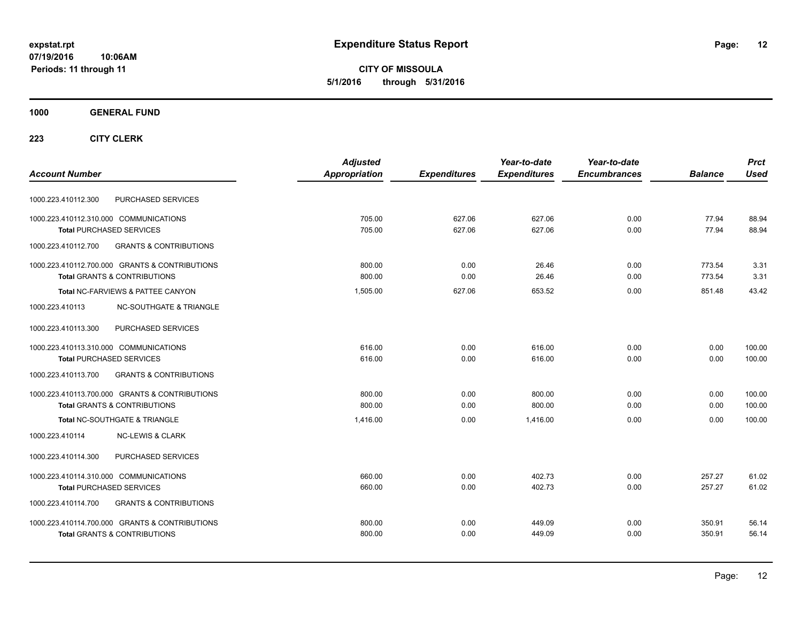**CITY OF MISSOULA 5/1/2016 through 5/31/2016**

### **1000 GENERAL FUND**

|                                                          | <b>Adjusted</b> |                     | Year-to-date        | Year-to-date        |                | <b>Prct</b> |
|----------------------------------------------------------|-----------------|---------------------|---------------------|---------------------|----------------|-------------|
| <b>Account Number</b>                                    | Appropriation   | <b>Expenditures</b> | <b>Expenditures</b> | <b>Encumbrances</b> | <b>Balance</b> | <b>Used</b> |
| PURCHASED SERVICES<br>1000.223.410112.300                |                 |                     |                     |                     |                |             |
| 1000.223.410112.310.000 COMMUNICATIONS                   | 705.00          | 627.06              | 627.06              | 0.00                | 77.94          | 88.94       |
| <b>Total PURCHASED SERVICES</b>                          | 705.00          | 627.06              | 627.06              | 0.00                | 77.94          | 88.94       |
| 1000.223.410112.700<br><b>GRANTS &amp; CONTRIBUTIONS</b> |                 |                     |                     |                     |                |             |
| 1000.223.410112.700.000 GRANTS & CONTRIBUTIONS           | 800.00          | 0.00                | 26.46               | 0.00                | 773.54         | 3.31        |
| <b>Total GRANTS &amp; CONTRIBUTIONS</b>                  | 800.00          | 0.00                | 26.46               | 0.00                | 773.54         | 3.31        |
| Total NC-FARVIEWS & PATTEE CANYON                        | 1,505.00        | 627.06              | 653.52              | 0.00                | 851.48         | 43.42       |
| 1000.223.410113<br><b>NC-SOUTHGATE &amp; TRIANGLE</b>    |                 |                     |                     |                     |                |             |
| 1000.223.410113.300<br>PURCHASED SERVICES                |                 |                     |                     |                     |                |             |
| 1000.223.410113.310.000 COMMUNICATIONS                   | 616.00          | 0.00                | 616.00              | 0.00                | 0.00           | 100.00      |
| <b>Total PURCHASED SERVICES</b>                          | 616.00          | 0.00                | 616.00              | 0.00                | 0.00           | 100.00      |
| 1000.223.410113.700<br><b>GRANTS &amp; CONTRIBUTIONS</b> |                 |                     |                     |                     |                |             |
| 1000.223.410113.700.000 GRANTS & CONTRIBUTIONS           | 800.00          | 0.00                | 800.00              | 0.00                | 0.00           | 100.00      |
| <b>Total GRANTS &amp; CONTRIBUTIONS</b>                  | 800.00          | 0.00                | 800.00              | 0.00                | 0.00           | 100.00      |
| Total NC-SOUTHGATE & TRIANGLE                            | 1.416.00        | 0.00                | 1.416.00            | 0.00                | 0.00           | 100.00      |
| 1000.223.410114<br><b>NC-LEWIS &amp; CLARK</b>           |                 |                     |                     |                     |                |             |
| PURCHASED SERVICES<br>1000.223.410114.300                |                 |                     |                     |                     |                |             |
| 1000.223.410114.310.000 COMMUNICATIONS                   | 660.00          | 0.00                | 402.73              | 0.00                | 257.27         | 61.02       |
| <b>Total PURCHASED SERVICES</b>                          | 660.00          | 0.00                | 402.73              | 0.00                | 257.27         | 61.02       |
| <b>GRANTS &amp; CONTRIBUTIONS</b><br>1000.223.410114.700 |                 |                     |                     |                     |                |             |
| 1000.223.410114.700.000 GRANTS & CONTRIBUTIONS           | 800.00          | 0.00                | 449.09              | 0.00                | 350.91         | 56.14       |
| <b>Total GRANTS &amp; CONTRIBUTIONS</b>                  | 800.00          | 0.00                | 449.09              | 0.00                | 350.91         | 56.14       |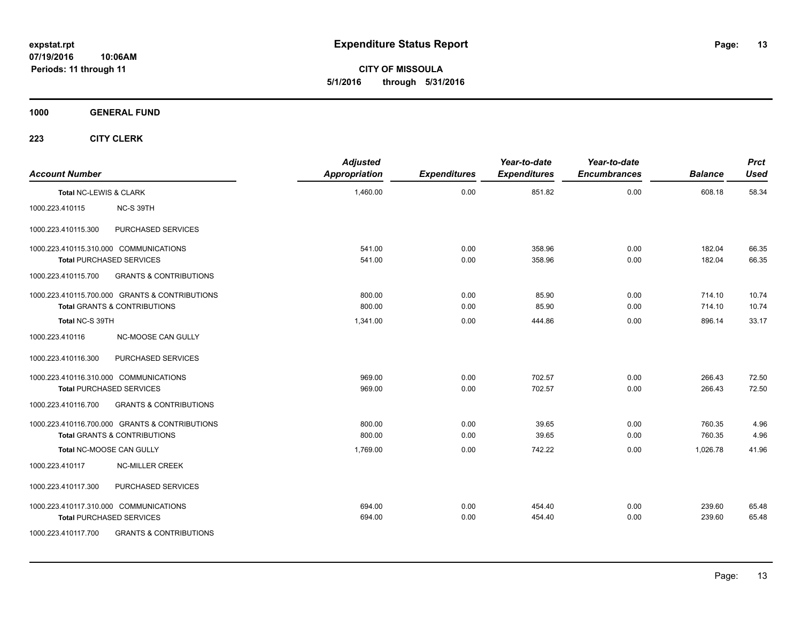**CITY OF MISSOULA 5/1/2016 through 5/31/2016**

**1000 GENERAL FUND**

| <b>Account Number</b>  |                                                | <b>Adjusted</b><br><b>Appropriation</b> | <b>Expenditures</b> | Year-to-date<br><b>Expenditures</b> | Year-to-date<br><b>Encumbrances</b> | <b>Balance</b> | <b>Prct</b><br><b>Used</b> |
|------------------------|------------------------------------------------|-----------------------------------------|---------------------|-------------------------------------|-------------------------------------|----------------|----------------------------|
| Total NC-LEWIS & CLARK |                                                | 1,460.00                                | 0.00                | 851.82                              | 0.00                                | 608.18         | 58.34                      |
| 1000.223.410115        | NC-S 39TH                                      |                                         |                     |                                     |                                     |                |                            |
| 1000.223.410115.300    | PURCHASED SERVICES                             |                                         |                     |                                     |                                     |                |                            |
|                        | 1000.223.410115.310.000 COMMUNICATIONS         | 541.00                                  | 0.00                | 358.96                              | 0.00                                | 182.04         | 66.35                      |
|                        | <b>Total PURCHASED SERVICES</b>                | 541.00                                  | 0.00                | 358.96                              | 0.00                                | 182.04         | 66.35                      |
| 1000.223.410115.700    | <b>GRANTS &amp; CONTRIBUTIONS</b>              |                                         |                     |                                     |                                     |                |                            |
|                        | 1000.223.410115.700.000 GRANTS & CONTRIBUTIONS | 800.00                                  | 0.00                | 85.90                               | 0.00                                | 714.10         | 10.74                      |
|                        | <b>Total GRANTS &amp; CONTRIBUTIONS</b>        | 800.00                                  | 0.00                | 85.90                               | 0.00                                | 714.10         | 10.74                      |
| Total NC-S 39TH        |                                                | 1,341.00                                | 0.00                | 444.86                              | 0.00                                | 896.14         | 33.17                      |
| 1000.223.410116        | NC-MOOSE CAN GULLY                             |                                         |                     |                                     |                                     |                |                            |
| 1000.223.410116.300    | PURCHASED SERVICES                             |                                         |                     |                                     |                                     |                |                            |
|                        | 1000.223.410116.310.000 COMMUNICATIONS         | 969.00                                  | 0.00                | 702.57                              | 0.00                                | 266.43         | 72.50                      |
|                        | <b>Total PURCHASED SERVICES</b>                | 969.00                                  | 0.00                | 702.57                              | 0.00                                | 266.43         | 72.50                      |
| 1000.223.410116.700    | <b>GRANTS &amp; CONTRIBUTIONS</b>              |                                         |                     |                                     |                                     |                |                            |
|                        | 1000.223.410116.700.000 GRANTS & CONTRIBUTIONS | 800.00                                  | 0.00                | 39.65                               | 0.00                                | 760.35         | 4.96                       |
|                        | <b>Total GRANTS &amp; CONTRIBUTIONS</b>        | 800.00                                  | 0.00                | 39.65                               | 0.00                                | 760.35         | 4.96                       |
|                        | Total NC-MOOSE CAN GULLY                       | 1,769.00                                | 0.00                | 742.22                              | 0.00                                | 1,026.78       | 41.96                      |
| 1000.223.410117        | <b>NC-MILLER CREEK</b>                         |                                         |                     |                                     |                                     |                |                            |
| 1000.223.410117.300    | PURCHASED SERVICES                             |                                         |                     |                                     |                                     |                |                            |
|                        | 1000.223.410117.310.000 COMMUNICATIONS         | 694.00                                  | 0.00                | 454.40                              | 0.00                                | 239.60         | 65.48                      |
|                        | <b>Total PURCHASED SERVICES</b>                | 694.00                                  | 0.00                | 454.40                              | 0.00                                | 239.60         | 65.48                      |
| 1000.223.410117.700    | <b>GRANTS &amp; CONTRIBUTIONS</b>              |                                         |                     |                                     |                                     |                |                            |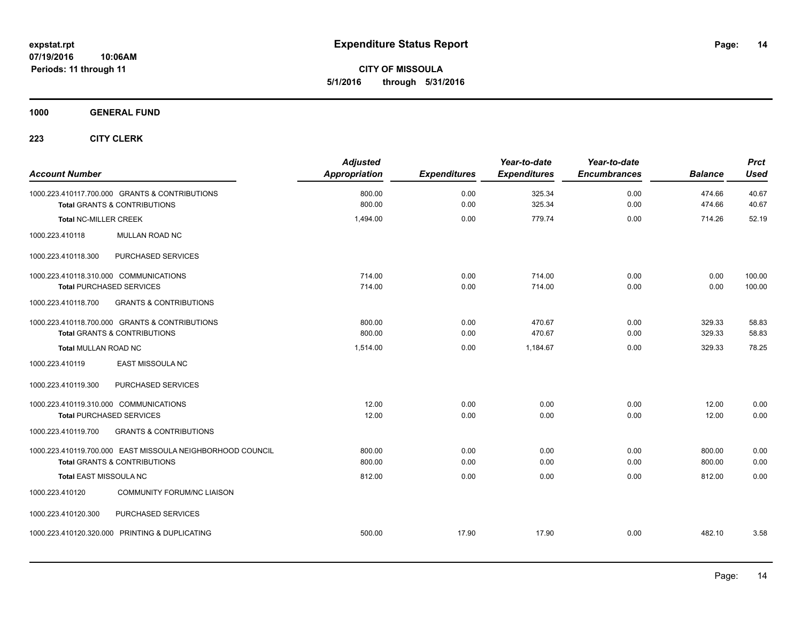**CITY OF MISSOULA 5/1/2016 through 5/31/2016**

### **1000 GENERAL FUND**

| <b>Account Number</b>                                                                                 | <b>Adjusted</b><br><b>Appropriation</b> | <b>Expenditures</b> | Year-to-date<br><b>Expenditures</b> | Year-to-date<br><b>Encumbrances</b> | <b>Balance</b>   | <b>Prct</b><br><b>Used</b> |
|-------------------------------------------------------------------------------------------------------|-----------------------------------------|---------------------|-------------------------------------|-------------------------------------|------------------|----------------------------|
| 1000.223.410117.700.000 GRANTS & CONTRIBUTIONS<br><b>Total GRANTS &amp; CONTRIBUTIONS</b>             | 800.00<br>800.00                        | 0.00<br>0.00        | 325.34<br>325.34                    | 0.00<br>0.00                        | 474.66<br>474.66 | 40.67<br>40.67             |
| <b>Total NC-MILLER CREEK</b>                                                                          | 1,494.00                                | 0.00                | 779.74                              | 0.00                                | 714.26           | 52.19                      |
| 1000.223.410118<br>MULLAN ROAD NC                                                                     |                                         |                     |                                     |                                     |                  |                            |
| PURCHASED SERVICES<br>1000.223.410118.300                                                             |                                         |                     |                                     |                                     |                  |                            |
| 1000.223.410118.310.000 COMMUNICATIONS<br><b>Total PURCHASED SERVICES</b>                             | 714.00<br>714.00                        | 0.00<br>0.00        | 714.00<br>714.00                    | 0.00<br>0.00                        | 0.00<br>0.00     | 100.00<br>100.00           |
| <b>GRANTS &amp; CONTRIBUTIONS</b><br>1000.223.410118.700                                              |                                         |                     |                                     |                                     |                  |                            |
| 1000.223.410118.700.000 GRANTS & CONTRIBUTIONS<br><b>Total GRANTS &amp; CONTRIBUTIONS</b>             | 800.00<br>800.00                        | 0.00<br>0.00        | 470.67<br>470.67                    | 0.00<br>0.00                        | 329.33<br>329.33 | 58.83<br>58.83             |
| <b>Total MULLAN ROAD NC</b>                                                                           | 1,514.00                                | 0.00                | 1,184.67                            | 0.00                                | 329.33           | 78.25                      |
| 1000.223.410119<br>EAST MISSOULA NC                                                                   |                                         |                     |                                     |                                     |                  |                            |
| PURCHASED SERVICES<br>1000.223.410119.300                                                             |                                         |                     |                                     |                                     |                  |                            |
| 1000.223.410119.310.000 COMMUNICATIONS<br><b>Total PURCHASED SERVICES</b>                             | 12.00<br>12.00                          | 0.00<br>0.00        | 0.00<br>0.00                        | 0.00<br>0.00                        | 12.00<br>12.00   | 0.00<br>0.00               |
| <b>GRANTS &amp; CONTRIBUTIONS</b><br>1000.223.410119.700                                              |                                         |                     |                                     |                                     |                  |                            |
| 1000.223.410119.700.000 EAST MISSOULA NEIGHBORHOOD COUNCIL<br><b>Total GRANTS &amp; CONTRIBUTIONS</b> | 800.00<br>800.00                        | 0.00<br>0.00        | 0.00<br>0.00                        | 0.00<br>0.00                        | 800.00<br>800.00 | 0.00<br>0.00               |
| Total EAST MISSOULA NC                                                                                | 812.00                                  | 0.00                | 0.00                                | 0.00                                | 812.00           | 0.00                       |
| <b>COMMUNITY FORUM/NC LIAISON</b><br>1000.223.410120                                                  |                                         |                     |                                     |                                     |                  |                            |
| PURCHASED SERVICES<br>1000.223.410120.300                                                             |                                         |                     |                                     |                                     |                  |                            |
| 1000.223.410120.320.000 PRINTING & DUPLICATING                                                        | 500.00                                  | 17.90               | 17.90                               | 0.00                                | 482.10           | 3.58                       |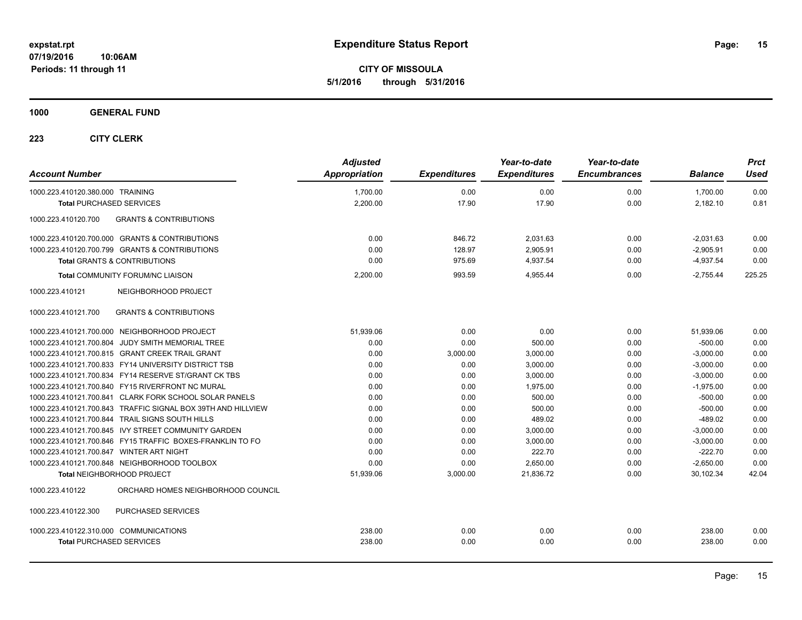**CITY OF MISSOULA 5/1/2016 through 5/31/2016**

### **1000 GENERAL FUND**

| <b>Account Number</b>                                        | <b>Adjusted</b><br>Appropriation | <b>Expenditures</b> | Year-to-date<br><b>Expenditures</b> | Year-to-date<br><b>Encumbrances</b> | <b>Balance</b> | <b>Prct</b><br><b>Used</b> |
|--------------------------------------------------------------|----------------------------------|---------------------|-------------------------------------|-------------------------------------|----------------|----------------------------|
|                                                              |                                  |                     |                                     |                                     |                |                            |
| 1000.223.410120.380.000 TRAINING                             | 1,700.00                         | 0.00                | 0.00                                | 0.00                                | 1,700.00       | 0.00                       |
| <b>Total PURCHASED SERVICES</b>                              | 2,200.00                         | 17.90               | 17.90                               | 0.00                                | 2,182.10       | 0.81                       |
| <b>GRANTS &amp; CONTRIBUTIONS</b><br>1000.223.410120.700     |                                  |                     |                                     |                                     |                |                            |
| 1000.223.410120.700.000 GRANTS & CONTRIBUTIONS               | 0.00                             | 846.72              | 2,031.63                            | 0.00                                | $-2,031.63$    | 0.00                       |
| 1000.223.410120.700.799 GRANTS & CONTRIBUTIONS               | 0.00                             | 128.97              | 2.905.91                            | 0.00                                | $-2,905.91$    | 0.00                       |
| <b>Total GRANTS &amp; CONTRIBUTIONS</b>                      | 0.00                             | 975.69              | 4,937.54                            | 0.00                                | $-4,937.54$    | 0.00                       |
| Total COMMUNITY FORUM/NC LIAISON                             | 2,200.00                         | 993.59              | 4,955.44                            | 0.00                                | $-2,755.44$    | 225.25                     |
| 1000.223.410121<br>NEIGHBORHOOD PROJECT                      |                                  |                     |                                     |                                     |                |                            |
| 1000.223.410121.700<br><b>GRANTS &amp; CONTRIBUTIONS</b>     |                                  |                     |                                     |                                     |                |                            |
| 1000.223.410121.700.000 NEIGHBORHOOD PROJECT                 | 51,939.06                        | 0.00                | 0.00                                | 0.00                                | 51,939.06      | 0.00                       |
| 1000.223.410121.700.804 JUDY SMITH MEMORIAL TREE             | 0.00                             | 0.00                | 500.00                              | 0.00                                | $-500.00$      | 0.00                       |
| 1000.223.410121.700.815 GRANT CREEK TRAIL GRANT              | 0.00                             | 3,000.00            | 3,000.00                            | 0.00                                | $-3,000.00$    | 0.00                       |
| 1000.223.410121.700.833 FY14 UNIVERSITY DISTRICT TSB         | 0.00                             | 0.00                | 3,000.00                            | 0.00                                | $-3,000.00$    | 0.00                       |
| 1000.223.410121.700.834 FY14 RESERVE ST/GRANT CK TBS         | 0.00                             | 0.00                | 3,000.00                            | 0.00                                | $-3,000.00$    | 0.00                       |
| 1000.223.410121.700.840 FY15 RIVERFRONT NC MURAL             | 0.00                             | 0.00                | 1,975.00                            | 0.00                                | $-1,975.00$    | 0.00                       |
| 1000.223.410121.700.841 CLARK FORK SCHOOL SOLAR PANELS       | 0.00                             | 0.00                | 500.00                              | 0.00                                | $-500.00$      | 0.00                       |
| 1000.223.410121.700.843 TRAFFIC SIGNAL BOX 39TH AND HILLVIEW | 0.00                             | 0.00                | 500.00                              | 0.00                                | $-500.00$      | 0.00                       |
| 1000.223.410121.700.844 TRAIL SIGNS SOUTH HILLS              | 0.00                             | 0.00                | 489.02                              | 0.00                                | $-489.02$      | 0.00                       |
| 1000.223.410121.700.845 IVY STREET COMMUNITY GARDEN          | 0.00                             | 0.00                | 3,000.00                            | 0.00                                | $-3,000.00$    | 0.00                       |
| 1000.223.410121.700.846 FY15 TRAFFIC BOXES-FRANKLIN TO FO    | 0.00                             | 0.00                | 3,000.00                            | 0.00                                | $-3,000.00$    | 0.00                       |
| 1000.223.410121.700.847 WINTER ART NIGHT                     | 0.00                             | 0.00                | 222.70                              | 0.00                                | $-222.70$      | 0.00                       |
| 1000.223.410121.700.848 NEIGHBORHOOD TOOLBOX                 | 0.00                             | 0.00                | 2.650.00                            | 0.00                                | $-2,650.00$    | 0.00                       |
| Total NEIGHBORHOOD PROJECT                                   | 51,939.06                        | 3,000.00            | 21,836.72                           | 0.00                                | 30,102.34      | 42.04                      |
| ORCHARD HOMES NEIGHBORHOOD COUNCIL<br>1000.223.410122        |                                  |                     |                                     |                                     |                |                            |
| 1000.223.410122.300<br>PURCHASED SERVICES                    |                                  |                     |                                     |                                     |                |                            |
| 1000.223.410122.310.000 COMMUNICATIONS                       | 238.00                           | 0.00                | 0.00                                | 0.00                                | 238.00         | 0.00                       |
| <b>Total PURCHASED SERVICES</b>                              | 238.00                           | 0.00                | 0.00                                | 0.00                                | 238.00         | 0.00                       |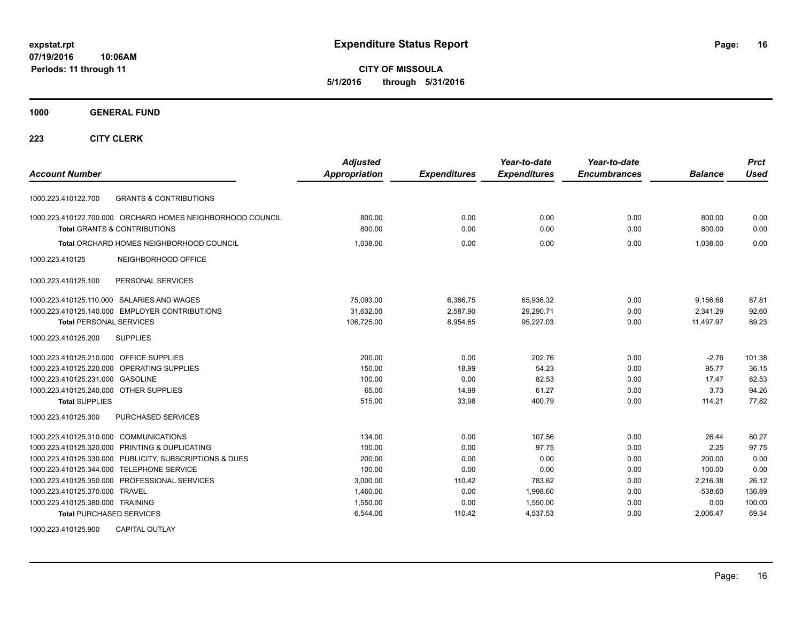**CITY OF MISSOULA 5/1/2016 through 5/31/2016**

#### **1000 GENERAL FUND**

### **223 CITY CLERK**

| <b>Account Number</b>                     |                                                            | <b>Adjusted</b><br><b>Appropriation</b> | <b>Expenditures</b> | Year-to-date<br><b>Expenditures</b> | Year-to-date<br><b>Encumbrances</b> | <b>Balance</b> | <b>Prct</b><br>Used |
|-------------------------------------------|------------------------------------------------------------|-----------------------------------------|---------------------|-------------------------------------|-------------------------------------|----------------|---------------------|
|                                           |                                                            |                                         |                     |                                     |                                     |                |                     |
| 1000.223.410122.700                       | <b>GRANTS &amp; CONTRIBUTIONS</b>                          |                                         |                     |                                     |                                     |                |                     |
|                                           | 1000.223.410122.700.000 ORCHARD HOMES NEIGHBORHOOD COUNCIL | 800.00                                  | 0.00                | 0.00                                | 0.00                                | 800.00         | 0.00                |
|                                           | <b>Total GRANTS &amp; CONTRIBUTIONS</b>                    | 800.00                                  | 0.00                | 0.00                                | 0.00                                | 800.00         | 0.00                |
|                                           | Total ORCHARD HOMES NEIGHBORHOOD COUNCIL                   | 1,038.00                                | 0.00                | 0.00                                | 0.00                                | 1.038.00       | 0.00                |
| 1000.223.410125                           | NEIGHBORHOOD OFFICE                                        |                                         |                     |                                     |                                     |                |                     |
| 1000.223.410125.100                       | PERSONAL SERVICES                                          |                                         |                     |                                     |                                     |                |                     |
|                                           | 1000.223.410125.110.000 SALARIES AND WAGES                 | 75,093.00                               | 6,366.75            | 65,936.32                           | 0.00                                | 9,156.68       | 87.81               |
|                                           | 1000.223.410125.140.000 EMPLOYER CONTRIBUTIONS             | 31,632.00                               | 2,587.90            | 29,290.71                           | 0.00                                | 2,341.29       | 92.60               |
| <b>Total PERSONAL SERVICES</b>            |                                                            | 106,725.00                              | 8,954.65            | 95,227.03                           | 0.00                                | 11,497.97      | 89.23               |
| 1000.223.410125.200                       | <b>SUPPLIES</b>                                            |                                         |                     |                                     |                                     |                |                     |
| 1000.223.410125.210.000 OFFICE SUPPLIES   |                                                            | 200.00                                  | 0.00                | 202.76                              | 0.00                                | $-2.76$        | 101.38              |
|                                           | 1000.223.410125.220.000 OPERATING SUPPLIES                 | 150.00                                  | 18.99               | 54.23                               | 0.00                                | 95.77          | 36.15               |
| 1000.223.410125.231.000                   | <b>GASOLINE</b>                                            | 100.00                                  | 0.00                | 82.53                               | 0.00                                | 17.47          | 82.53               |
| 1000.223.410125.240.000 OTHER SUPPLIES    |                                                            | 65.00                                   | 14.99               | 61.27                               | 0.00                                | 3.73           | 94.26               |
| <b>Total SUPPLIES</b>                     |                                                            | 515.00                                  | 33.98               | 400.79                              | 0.00                                | 114.21         | 77.82               |
| 1000.223.410125.300                       | <b>PURCHASED SERVICES</b>                                  |                                         |                     |                                     |                                     |                |                     |
| 1000.223.410125.310.000 COMMUNICATIONS    |                                                            | 134.00                                  | 0.00                | 107.56                              | 0.00                                | 26.44          | 80.27               |
|                                           | 1000.223.410125.320.000 PRINTING & DUPLICATING             | 100.00                                  | 0.00                | 97.75                               | 0.00                                | 2.25           | 97.75               |
|                                           | 1000.223.410125.330.000 PUBLICITY, SUBSCRIPTIONS & DUES    | 200.00                                  | 0.00                | 0.00                                | 0.00                                | 200.00         | 0.00                |
| 1000.223.410125.344.000 TELEPHONE SERVICE |                                                            | 100.00                                  | 0.00                | 0.00                                | 0.00                                | 100.00         | 0.00                |
|                                           | 1000.223.410125.350.000 PROFESSIONAL SERVICES              | 3,000.00                                | 110.42              | 783.62                              | 0.00                                | 2,216.38       | 26.12               |
| 1000.223.410125.370.000 TRAVEL            |                                                            | 1,460.00                                | 0.00                | 1,998.60                            | 0.00                                | $-538.60$      | 136.89              |
| 1000.223.410125.380.000 TRAINING          |                                                            | 1,550.00                                | 0.00                | 1,550.00                            | 0.00                                | 0.00           | 100.00              |
| <b>Total PURCHASED SERVICES</b>           |                                                            | 6,544.00                                | 110.42              | 4,537.53                            | 0.00                                | 2,006.47       | 69.34               |

1000.223.410125.900 CAPITAL OUTLAY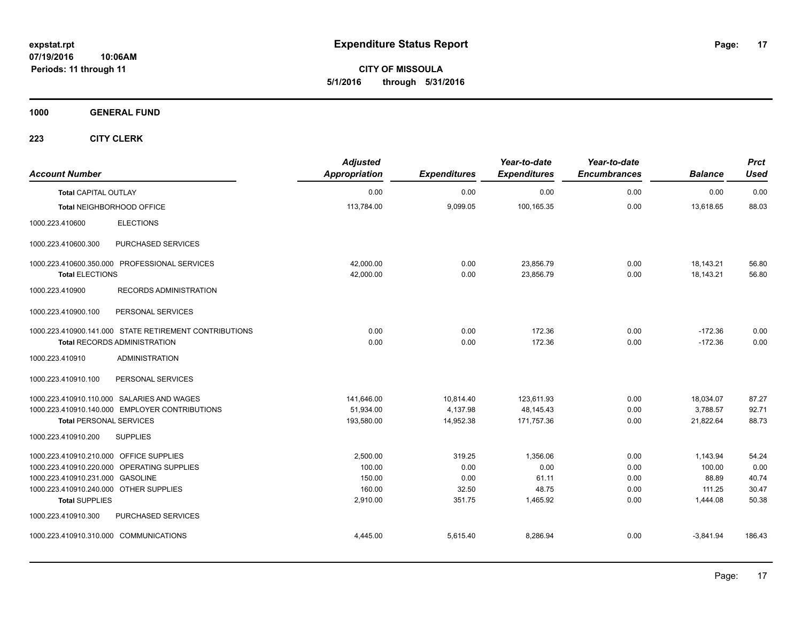**CITY OF MISSOULA 5/1/2016 through 5/31/2016**

**1000 GENERAL FUND**

| <b>Account Number</b>                     |                                                                                               | <b>Adjusted</b><br><b>Appropriation</b> | <b>Expenditures</b> | Year-to-date<br><b>Expenditures</b> | Year-to-date<br><b>Encumbrances</b> | <b>Balance</b>         | <b>Prct</b><br><b>Used</b> |
|-------------------------------------------|-----------------------------------------------------------------------------------------------|-----------------------------------------|---------------------|-------------------------------------|-------------------------------------|------------------------|----------------------------|
| <b>Total CAPITAL OUTLAY</b>               |                                                                                               | 0.00                                    | 0.00                | 0.00                                | 0.00                                | 0.00                   | 0.00                       |
|                                           | Total NEIGHBORHOOD OFFICE                                                                     | 113,784.00                              | 9,099.05            | 100,165.35                          | 0.00                                | 13,618.65              | 88.03                      |
| 1000.223.410600                           | <b>ELECTIONS</b>                                                                              |                                         |                     |                                     |                                     |                        |                            |
| 1000.223.410600.300                       | PURCHASED SERVICES                                                                            |                                         |                     |                                     |                                     |                        |                            |
|                                           | 1000.223.410600.350.000 PROFESSIONAL SERVICES                                                 | 42,000.00                               | 0.00                | 23,856.79                           | 0.00                                | 18,143.21              | 56.80                      |
| <b>Total ELECTIONS</b><br>1000.223.410900 | RECORDS ADMINISTRATION                                                                        | 42.000.00                               | 0.00                | 23.856.79                           | 0.00                                | 18.143.21              | 56.80                      |
| 1000.223.410900.100                       | PERSONAL SERVICES                                                                             |                                         |                     |                                     |                                     |                        |                            |
|                                           | 1000.223.410900.141.000 STATE RETIREMENT CONTRIBUTIONS<br><b>Total RECORDS ADMINISTRATION</b> | 0.00<br>0.00                            | 0.00<br>0.00        | 172.36<br>172.36                    | 0.00<br>0.00                        | $-172.36$<br>$-172.36$ | 0.00<br>0.00               |
| 1000.223.410910                           | <b>ADMINISTRATION</b>                                                                         |                                         |                     |                                     |                                     |                        |                            |
| 1000.223.410910.100                       | PERSONAL SERVICES                                                                             |                                         |                     |                                     |                                     |                        |                            |
|                                           | 1000.223.410910.110.000 SALARIES AND WAGES                                                    | 141,646.00                              | 10,814.40           | 123,611.93                          | 0.00                                | 18,034.07              | 87.27                      |
|                                           | 1000.223.410910.140.000 EMPLOYER CONTRIBUTIONS                                                | 51,934.00                               | 4,137.98            | 48,145.43                           | 0.00                                | 3,788.57               | 92.71                      |
| <b>Total PERSONAL SERVICES</b>            |                                                                                               | 193,580.00                              | 14,952.38           | 171,757.36                          | 0.00                                | 21,822.64              | 88.73                      |
| 1000.223.410910.200                       | <b>SUPPLIES</b>                                                                               |                                         |                     |                                     |                                     |                        |                            |
| 1000.223.410910.210.000 OFFICE SUPPLIES   |                                                                                               | 2,500.00                                | 319.25              | 1,356.06                            | 0.00                                | 1,143.94               | 54.24                      |
|                                           | 1000.223.410910.220.000 OPERATING SUPPLIES                                                    | 100.00                                  | 0.00                | 0.00                                | 0.00                                | 100.00                 | 0.00                       |
| 1000.223.410910.231.000 GASOLINE          |                                                                                               | 150.00                                  | 0.00                | 61.11                               | 0.00                                | 88.89                  | 40.74                      |
| 1000.223.410910.240.000 OTHER SUPPLIES    |                                                                                               | 160.00                                  | 32.50               | 48.75                               | 0.00                                | 111.25                 | 30.47                      |
| <b>Total SUPPLIES</b>                     |                                                                                               | 2,910.00                                | 351.75              | 1,465.92                            | 0.00                                | 1,444.08               | 50.38                      |
| 1000.223.410910.300                       | PURCHASED SERVICES                                                                            |                                         |                     |                                     |                                     |                        |                            |
| 1000.223.410910.310.000 COMMUNICATIONS    |                                                                                               | 4,445.00                                | 5,615.40            | 8,286.94                            | 0.00                                | $-3,841.94$            | 186.43                     |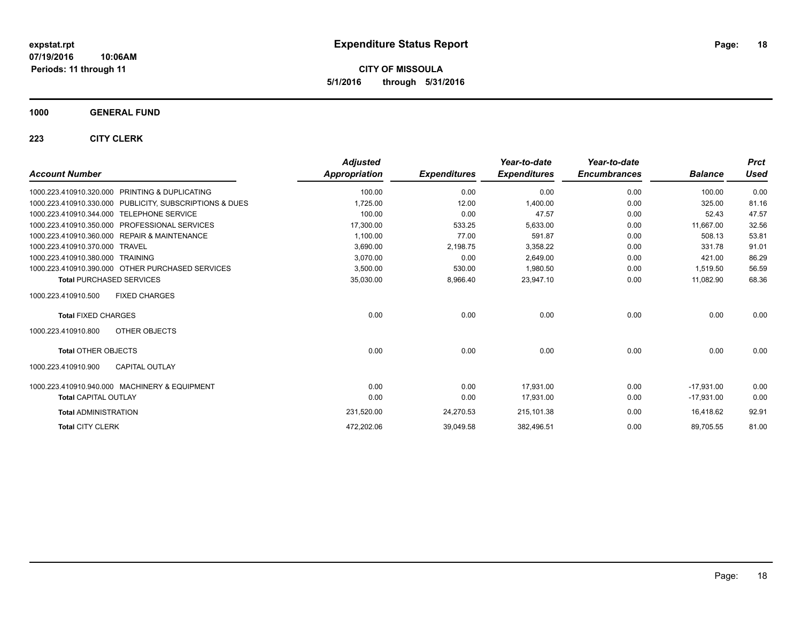**CITY OF MISSOULA 5/1/2016 through 5/31/2016**

### **1000 GENERAL FUND**

| <b>Account Number</b>                                      | <b>Adjusted</b><br>Appropriation | <b>Expenditures</b> | Year-to-date<br><b>Expenditures</b> | Year-to-date<br><b>Encumbrances</b> | <b>Balance</b> | <b>Prct</b><br>Used |
|------------------------------------------------------------|----------------------------------|---------------------|-------------------------------------|-------------------------------------|----------------|---------------------|
| PRINTING & DUPLICATING<br>1000.223.410910.320.000          | 100.00                           | 0.00                | 0.00                                | 0.00                                | 100.00         | 0.00                |
| 1000.223.410910.330.000 PUBLICITY, SUBSCRIPTIONS & DUES    | 1,725.00                         | 12.00               | 1,400.00                            | 0.00                                | 325.00         | 81.16               |
| 1000.223.410910.344.000<br><b>TELEPHONE SERVICE</b>        | 100.00                           | 0.00                | 47.57                               | 0.00                                | 52.43          | 47.57               |
| 1000.223.410910.350.000<br><b>PROFESSIONAL SERVICES</b>    | 17,300.00                        | 533.25              | 5,633.00                            | 0.00                                | 11,667.00      | 32.56               |
| 1000.223.410910.360.000<br><b>REPAIR &amp; MAINTENANCE</b> | 1,100.00                         | 77.00               | 591.87                              | 0.00                                | 508.13         | 53.81               |
| 1000.223.410910.370.000<br><b>TRAVEL</b>                   | 3,690.00                         | 2,198.75            | 3,358.22                            | 0.00                                | 331.78         | 91.01               |
| <b>TRAINING</b><br>1000.223.410910.380.000                 | 3,070.00                         | 0.00                | 2,649.00                            | 0.00                                | 421.00         | 86.29               |
| 1000.223.410910.390.000 OTHER PURCHASED SERVICES           | 3,500.00                         | 530.00              | 1,980.50                            | 0.00                                | 1,519.50       | 56.59               |
| <b>Total PURCHASED SERVICES</b>                            | 35,030.00                        | 8,966.40            | 23,947.10                           | 0.00                                | 11,082.90      | 68.36               |
| 1000.223.410910.500<br><b>FIXED CHARGES</b>                |                                  |                     |                                     |                                     |                |                     |
| <b>Total FIXED CHARGES</b>                                 | 0.00                             | 0.00                | 0.00                                | 0.00                                | 0.00           | 0.00                |
| 1000.223.410910.800<br>OTHER OBJECTS                       |                                  |                     |                                     |                                     |                |                     |
| <b>Total OTHER OBJECTS</b>                                 | 0.00                             | 0.00                | 0.00                                | 0.00                                | 0.00           | 0.00                |
| <b>CAPITAL OUTLAY</b><br>1000.223.410910.900               |                                  |                     |                                     |                                     |                |                     |
| 1000.223.410910.940.000 MACHINERY & EQUIPMENT              | 0.00                             | 0.00                | 17.931.00                           | 0.00                                | $-17.931.00$   | 0.00                |
| <b>Total CAPITAL OUTLAY</b>                                | 0.00                             | 0.00                | 17,931.00                           | 0.00                                | $-17,931.00$   | 0.00                |
| <b>Total ADMINISTRATION</b>                                | 231,520.00                       | 24,270.53           | 215,101.38                          | 0.00                                | 16,418.62      | 92.91               |
| <b>Total CITY CLERK</b>                                    | 472,202.06                       | 39,049.58           | 382,496.51                          | 0.00                                | 89,705.55      | 81.00               |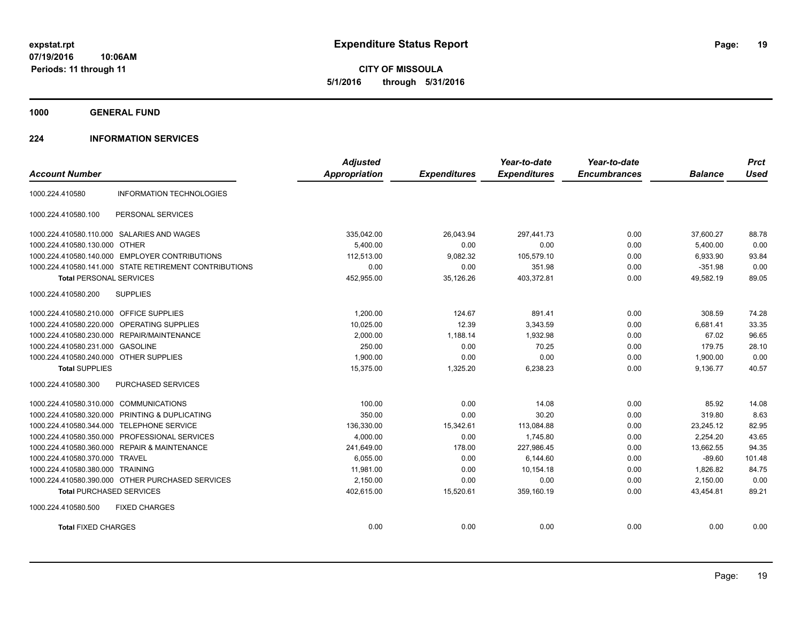**CITY OF MISSOULA 5/1/2016 through 5/31/2016**

**1000 GENERAL FUND**

### **224 INFORMATION SERVICES**

|                                         |                                                        | <b>Adjusted</b>      |                     | Year-to-date        | Year-to-date        |                | <b>Prct</b> |
|-----------------------------------------|--------------------------------------------------------|----------------------|---------------------|---------------------|---------------------|----------------|-------------|
| <b>Account Number</b>                   |                                                        | <b>Appropriation</b> | <b>Expenditures</b> | <b>Expenditures</b> | <b>Encumbrances</b> | <b>Balance</b> | <b>Used</b> |
| 1000.224.410580                         | <b>INFORMATION TECHNOLOGIES</b>                        |                      |                     |                     |                     |                |             |
| 1000.224.410580.100                     | PERSONAL SERVICES                                      |                      |                     |                     |                     |                |             |
|                                         | 1000.224.410580.110.000 SALARIES AND WAGES             | 335,042.00           | 26,043.94           | 297,441.73          | 0.00                | 37,600.27      | 88.78       |
| 1000.224.410580.130.000 OTHER           |                                                        | 5.400.00             | 0.00                | 0.00                | 0.00                | 5,400.00       | 0.00        |
| 1000.224.410580.140.000                 | <b>EMPLOYER CONTRIBUTIONS</b>                          | 112,513.00           | 9,082.32            | 105,579.10          | 0.00                | 6,933.90       | 93.84       |
|                                         | 1000.224.410580.141.000 STATE RETIREMENT CONTRIBUTIONS | 0.00                 | 0.00                | 351.98              | 0.00                | $-351.98$      | 0.00        |
| <b>Total PERSONAL SERVICES</b>          |                                                        | 452,955.00           | 35,126.26           | 403,372.81          | 0.00                | 49,582.19      | 89.05       |
| 1000.224.410580.200                     | <b>SUPPLIES</b>                                        |                      |                     |                     |                     |                |             |
| 1000.224.410580.210.000 OFFICE SUPPLIES |                                                        | 1,200.00             | 124.67              | 891.41              | 0.00                | 308.59         | 74.28       |
| 1000.224.410580.220.000                 | OPERATING SUPPLIES                                     | 10,025.00            | 12.39               | 3,343.59            | 0.00                | 6,681.41       | 33.35       |
| 1000.224.410580.230.000                 | <b>REPAIR/MAINTENANCE</b>                              | 2,000.00             | 1,188.14            | 1,932.98            | 0.00                | 67.02          | 96.65       |
| 1000.224.410580.231.000                 | <b>GASOLINE</b>                                        | 250.00               | 0.00                | 70.25               | 0.00                | 179.75         | 28.10       |
| 1000.224.410580.240.000 OTHER SUPPLIES  |                                                        | 1,900.00             | 0.00                | 0.00                | 0.00                | 1,900.00       | 0.00        |
| <b>Total SUPPLIES</b>                   |                                                        | 15,375.00            | 1,325.20            | 6,238.23            | 0.00                | 9,136.77       | 40.57       |
| 1000.224.410580.300                     | PURCHASED SERVICES                                     |                      |                     |                     |                     |                |             |
| 1000.224.410580.310.000                 | <b>COMMUNICATIONS</b>                                  | 100.00               | 0.00                | 14.08               | 0.00                | 85.92          | 14.08       |
| 1000.224.410580.320.000                 | PRINTING & DUPLICATING                                 | 350.00               | 0.00                | 30.20               | 0.00                | 319.80         | 8.63        |
| 1000.224.410580.344.000                 | <b>TELEPHONE SERVICE</b>                               | 136,330.00           | 15,342.61           | 113,084.88          | 0.00                | 23,245.12      | 82.95       |
| 1000.224.410580.350.000                 | PROFESSIONAL SERVICES                                  | 4,000.00             | 0.00                | 1,745.80            | 0.00                | 2,254.20       | 43.65       |
| 1000.224.410580.360.000                 | <b>REPAIR &amp; MAINTENANCE</b>                        | 241,649.00           | 178.00              | 227,986.45          | 0.00                | 13,662.55      | 94.35       |
| 1000.224.410580.370.000 TRAVEL          |                                                        | 6.055.00             | 0.00                | 6,144.60            | 0.00                | $-89.60$       | 101.48      |
| 1000.224.410580.380.000 TRAINING        |                                                        | 11.981.00            | 0.00                | 10.154.18           | 0.00                | 1.826.82       | 84.75       |
|                                         | 1000.224.410580.390.000 OTHER PURCHASED SERVICES       | 2,150.00             | 0.00                | 0.00                | 0.00                | 2,150.00       | 0.00        |
| <b>Total PURCHASED SERVICES</b>         |                                                        | 402,615.00           | 15,520.61           | 359,160.19          | 0.00                | 43,454.81      | 89.21       |
| 1000.224.410580.500                     | <b>FIXED CHARGES</b>                                   |                      |                     |                     |                     |                |             |
| <b>Total FIXED CHARGES</b>              |                                                        | 0.00                 | 0.00                | 0.00                | 0.00                | 0.00           | 0.00        |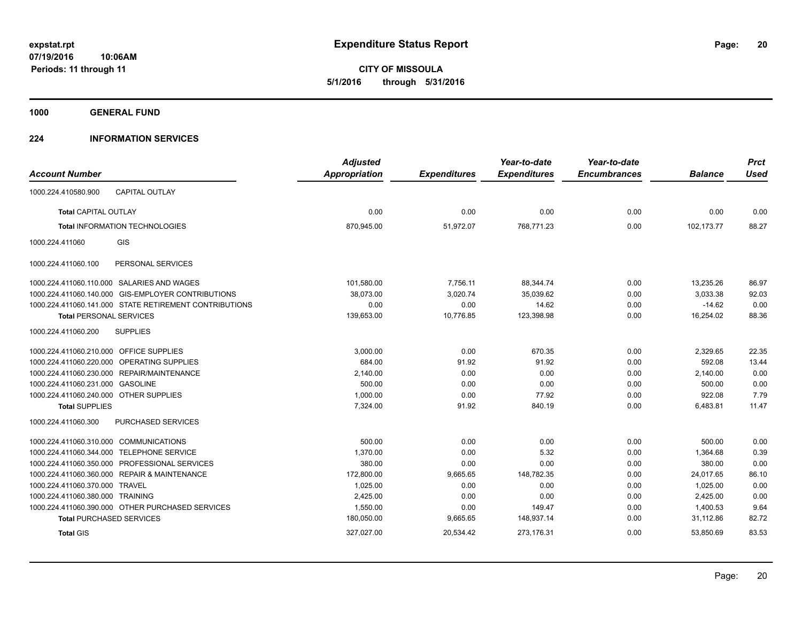**1000 GENERAL FUND**

### **224 INFORMATION SERVICES**

| <b>Account Number</b>                                  | <b>Adjusted</b><br><b>Appropriation</b> | <b>Expenditures</b> | Year-to-date<br><b>Expenditures</b> | Year-to-date<br><b>Encumbrances</b> | <b>Balance</b> | <b>Prct</b><br><b>Used</b> |
|--------------------------------------------------------|-----------------------------------------|---------------------|-------------------------------------|-------------------------------------|----------------|----------------------------|
| <b>CAPITAL OUTLAY</b><br>1000.224.410580.900           |                                         |                     |                                     |                                     |                |                            |
| <b>Total CAPITAL OUTLAY</b>                            | 0.00                                    | 0.00                | 0.00                                | 0.00                                | 0.00           | 0.00                       |
| <b>Total INFORMATION TECHNOLOGIES</b>                  | 870,945.00                              | 51,972.07           | 768,771.23                          | 0.00                                | 102,173.77     | 88.27                      |
| <b>GIS</b><br>1000.224.411060                          |                                         |                     |                                     |                                     |                |                            |
| 1000.224.411060.100<br>PERSONAL SERVICES               |                                         |                     |                                     |                                     |                |                            |
| 1000.224.411060.110.000 SALARIES AND WAGES             | 101,580.00                              | 7,756.11            | 88,344.74                           | 0.00                                | 13,235.26      | 86.97                      |
| 1000.224.411060.140.000 GIS-EMPLOYER CONTRIBUTIONS     | 38,073.00                               | 3,020.74            | 35,039.62                           | 0.00                                | 3,033.38       | 92.03                      |
| 1000.224.411060.141.000 STATE RETIREMENT CONTRIBUTIONS | 0.00                                    | 0.00                | 14.62                               | 0.00                                | $-14.62$       | 0.00                       |
| <b>Total PERSONAL SERVICES</b>                         | 139,653.00                              | 10,776.85           | 123,398.98                          | 0.00                                | 16,254.02      | 88.36                      |
| <b>SUPPLIES</b><br>1000.224.411060.200                 |                                         |                     |                                     |                                     |                |                            |
| 1000.224.411060.210.000 OFFICE SUPPLIES                | 3,000.00                                | 0.00                | 670.35                              | 0.00                                | 2,329.65       | 22.35                      |
| 1000.224.411060.220.000 OPERATING SUPPLIES             | 684.00                                  | 91.92               | 91.92                               | 0.00                                | 592.08         | 13.44                      |
| 1000.224.411060.230.000 REPAIR/MAINTENANCE             | 2,140.00                                | 0.00                | 0.00                                | 0.00                                | 2,140.00       | 0.00                       |
| 1000.224.411060.231.000 GASOLINE                       | 500.00                                  | 0.00                | 0.00                                | 0.00                                | 500.00         | 0.00                       |
| 1000.224.411060.240.000 OTHER SUPPLIES                 | 1,000.00                                | 0.00                | 77.92                               | 0.00                                | 922.08         | 7.79                       |
| <b>Total SUPPLIES</b>                                  | 7,324.00                                | 91.92               | 840.19                              | 0.00                                | 6,483.81       | 11.47                      |
| 1000.224.411060.300<br><b>PURCHASED SERVICES</b>       |                                         |                     |                                     |                                     |                |                            |
| 1000.224.411060.310.000 COMMUNICATIONS                 | 500.00                                  | 0.00                | 0.00                                | 0.00                                | 500.00         | 0.00                       |
| <b>TELEPHONE SERVICE</b><br>1000.224.411060.344.000    | 1,370.00                                | 0.00                | 5.32                                | 0.00                                | 1,364.68       | 0.39                       |
| 1000.224.411060.350.000 PROFESSIONAL SERVICES          | 380.00                                  | 0.00                | 0.00                                | 0.00                                | 380.00         | 0.00                       |
| 1000.224.411060.360.000 REPAIR & MAINTENANCE           | 172,800.00                              | 9,665.65            | 148,782.35                          | 0.00                                | 24,017.65      | 86.10                      |
| 1000.224.411060.370.000<br><b>TRAVEL</b>               | 1,025.00                                | 0.00                | 0.00                                | 0.00                                | 1,025.00       | 0.00                       |
| 1000.224.411060.380.000 TRAINING                       | 2,425.00                                | 0.00                | 0.00                                | 0.00                                | 2,425.00       | 0.00                       |
| 1000.224.411060.390.000 OTHER PURCHASED SERVICES       | 1,550.00                                | 0.00                | 149.47                              | 0.00                                | 1,400.53       | 9.64                       |
| <b>Total PURCHASED SERVICES</b>                        | 180,050.00                              | 9,665.65            | 148,937.14                          | 0.00                                | 31,112.86      | 82.72                      |
| <b>Total GIS</b>                                       | 327,027.00                              | 20,534.42           | 273,176.31                          | 0.00                                | 53,850.69      | 83.53                      |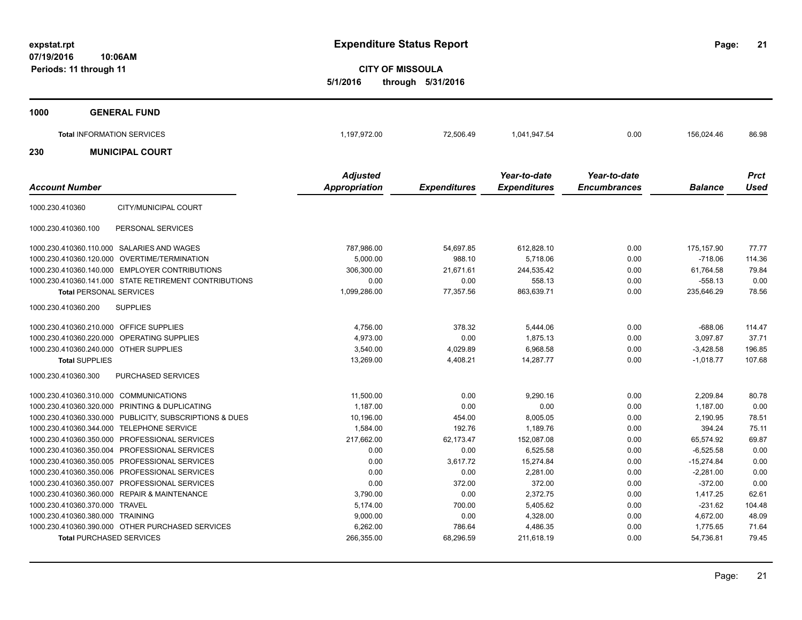**21**

**CITY OF MISSOULA 5/1/2016 through 5/31/2016**

| 1000 | <b>GENERAL FUND</b>               |                 |           |              |              |            |             |
|------|-----------------------------------|-----------------|-----------|--------------|--------------|------------|-------------|
|      | <b>Total INFORMATION SERVICES</b> | 1,197,972.00    | 72,506.49 | 1,041,947.54 | 0.00         | 156,024.46 | 86.98       |
| 230  | <b>MUNICIPAL COURT</b>            |                 |           |              |              |            |             |
|      |                                   | <b>Adjusted</b> |           | Year-to-date | Year-to-date |            | <b>Prct</b> |

|                                                         | Aujusteu      |                     | rear-w-uale         | rear-w-uale         |                | <b>FILL</b> |
|---------------------------------------------------------|---------------|---------------------|---------------------|---------------------|----------------|-------------|
| <b>Account Number</b>                                   | Appropriation | <b>Expenditures</b> | <b>Expenditures</b> | <b>Encumbrances</b> | <b>Balance</b> | Used        |
| CITY/MUNICIPAL COURT<br>1000.230.410360                 |               |                     |                     |                     |                |             |
| PERSONAL SERVICES<br>1000.230.410360.100                |               |                     |                     |                     |                |             |
| 1000.230.410360.110.000 SALARIES AND WAGES              | 787,986.00    | 54,697.85           | 612,828.10          | 0.00                | 175,157.90     | 77.77       |
| 1000.230.410360.120.000 OVERTIME/TERMINATION            | 5.000.00      | 988.10              | 5.718.06            | 0.00                | $-718.06$      | 114.36      |
| 1000.230.410360.140.000 EMPLOYER CONTRIBUTIONS          | 306,300.00    | 21,671.61           | 244,535.42          | 0.00                | 61,764.58      | 79.84       |
| 1000.230.410360.141.000 STATE RETIREMENT CONTRIBUTIONS  | 0.00          | 0.00                | 558.13              | 0.00                | $-558.13$      | 0.00        |
| <b>Total PERSONAL SERVICES</b>                          | 1,099,286.00  | 77,357.56           | 863,639.71          | 0.00                | 235,646.29     | 78.56       |
| <b>SUPPLIES</b><br>1000.230.410360.200                  |               |                     |                     |                     |                |             |
| 1000.230.410360.210.000 OFFICE SUPPLIES                 | 4,756.00      | 378.32              | 5,444.06            | 0.00                | $-688.06$      | 114.47      |
| 1000.230.410360.220.000 OPERATING SUPPLIES              | 4.973.00      | 0.00                | 1.875.13            | 0.00                | 3.097.87       | 37.71       |
| 1000.230.410360.240.000 OTHER SUPPLIES                  | 3,540.00      | 4,029.89            | 6,968.58            | 0.00                | $-3,428.58$    | 196.85      |
| <b>Total SUPPLIES</b>                                   | 13,269.00     | 4,408.21            | 14.287.77           | 0.00                | $-1,018.77$    | 107.68      |
| <b>PURCHASED SERVICES</b><br>1000.230.410360.300        |               |                     |                     |                     |                |             |
| 1000.230.410360.310.000 COMMUNICATIONS                  | 11,500.00     | 0.00                | 9,290.16            | 0.00                | 2,209.84       | 80.78       |
| 1000.230.410360.320.000 PRINTING & DUPLICATING          | 1,187.00      | 0.00                | 0.00                | 0.00                | 1,187.00       | 0.00        |
| 1000.230.410360.330.000 PUBLICITY, SUBSCRIPTIONS & DUES | 10,196.00     | 454.00              | 8,005.05            | 0.00                | 2,190.95       | 78.51       |
| 1000.230.410360.344.000 TELEPHONE SERVICE               | 1,584.00      | 192.76              | 1,189.76            | 0.00                | 394.24         | 75.11       |
| 1000.230.410360.350.000 PROFESSIONAL SERVICES           | 217,662.00    | 62.173.47           | 152,087.08          | 0.00                | 65,574.92      | 69.87       |
| 1000.230.410360.350.004 PROFESSIONAL SERVICES           | 0.00          | 0.00                | 6,525.58            | 0.00                | $-6,525.58$    | 0.00        |
| 1000.230.410360.350.005 PROFESSIONAL SERVICES           | 0.00          | 3,617.72            | 15,274.84           | 0.00                | $-15,274.84$   | 0.00        |
| 1000.230.410360.350.006 PROFESSIONAL SERVICES           | 0.00          | 0.00                | 2.281.00            | 0.00                | $-2.281.00$    | 0.00        |
| 1000.230.410360.350.007 PROFESSIONAL SERVICES           | 0.00          | 372.00              | 372.00              | 0.00                | $-372.00$      | 0.00        |
| 1000.230.410360.360.000 REPAIR & MAINTENANCE            | 3,790.00      | 0.00                | 2,372.75            | 0.00                | 1,417.25       | 62.61       |
| 1000.230.410360.370.000 TRAVEL                          | 5,174.00      | 700.00              | 5,405.62            | 0.00                | $-231.62$      | 104.48      |
| 1000.230.410360.380.000 TRAINING                        | 9,000.00      | 0.00                | 4,328.00            | 0.00                | 4,672.00       | 48.09       |
| 1000.230.410360.390.000 OTHER PURCHASED SERVICES        | 6,262.00      | 786.64              | 4,486.35            | 0.00                | 1,775.65       | 71.64       |
| <b>Total PURCHASED SERVICES</b>                         | 266,355.00    | 68,296.59           | 211,618.19          | 0.00                | 54,736.81      | 79.45       |
|                                                         |               |                     |                     |                     |                |             |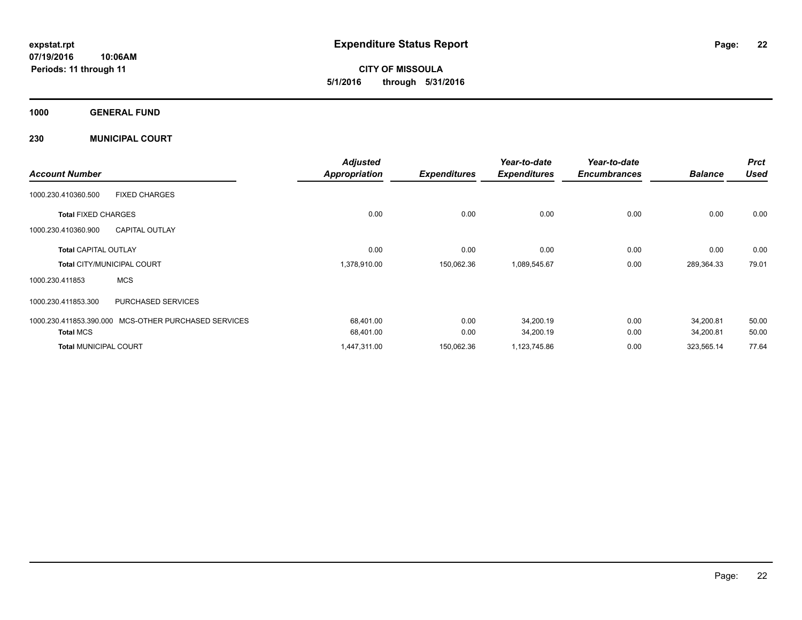**CITY OF MISSOULA 5/1/2016 through 5/31/2016**

**1000 GENERAL FUND**

**230 MUNICIPAL COURT**

| <b>Account Number</b>        |                                   | <b>Adjusted</b>      |                     | Year-to-date        | Year-to-date<br><b>Encumbrances</b> | <b>Balance</b> | <b>Prct</b><br><b>Used</b> |
|------------------------------|-----------------------------------|----------------------|---------------------|---------------------|-------------------------------------|----------------|----------------------------|
|                              |                                   | <b>Appropriation</b> | <b>Expenditures</b> | <b>Expenditures</b> |                                     |                |                            |
| 1000.230.410360.500          | <b>FIXED CHARGES</b>              |                      |                     |                     |                                     |                |                            |
| <b>Total FIXED CHARGES</b>   |                                   | 0.00                 | 0.00                | 0.00                | 0.00                                | 0.00           | 0.00                       |
| 1000.230.410360.900          | <b>CAPITAL OUTLAY</b>             |                      |                     |                     |                                     |                |                            |
| <b>Total CAPITAL OUTLAY</b>  |                                   | 0.00                 | 0.00                | 0.00                | 0.00                                | 0.00           | 0.00                       |
|                              | <b>Total CITY/MUNICIPAL COURT</b> | 1,378,910.00         | 150,062.36          | 1,089,545.67        | 0.00                                | 289,364.33     | 79.01                      |
| 1000.230.411853              | <b>MCS</b>                        |                      |                     |                     |                                     |                |                            |
| 1000.230.411853.300          | <b>PURCHASED SERVICES</b>         |                      |                     |                     |                                     |                |                            |
| 1000.230.411853.390.000      | MCS-OTHER PURCHASED SERVICES      | 68,401.00            | 0.00                | 34,200.19           | 0.00                                | 34,200.81      | 50.00                      |
| <b>Total MCS</b>             |                                   | 68,401.00            | 0.00                | 34,200.19           | 0.00                                | 34,200.81      | 50.00                      |
| <b>Total MUNICIPAL COURT</b> |                                   | 1,447,311.00         | 150,062.36          | 1,123,745.86        | 0.00                                | 323,565.14     | 77.64                      |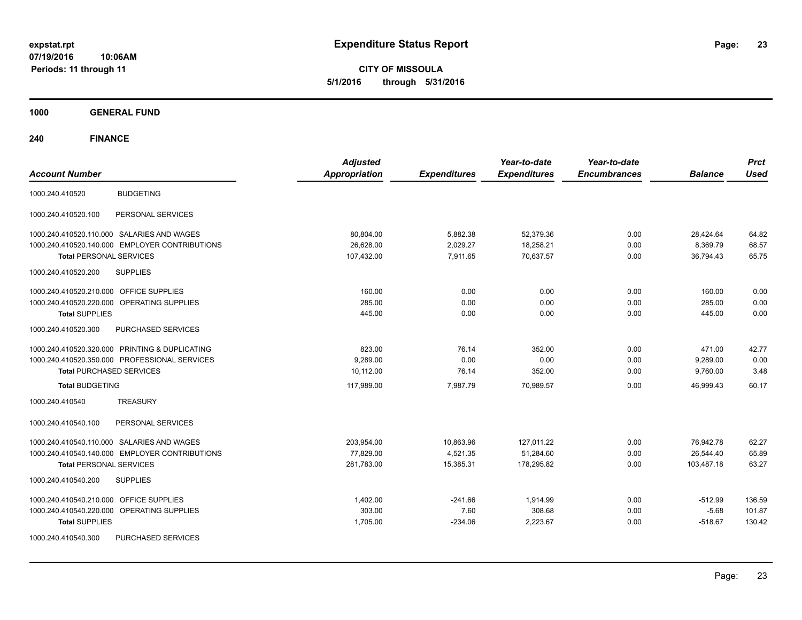**CITY OF MISSOULA 5/1/2016 through 5/31/2016**

**1000 GENERAL FUND**

| <b>Account Number</b>                                | <b>Adjusted</b><br><b>Appropriation</b> | <b>Expenditures</b> | Year-to-date<br><b>Expenditures</b> | Year-to-date<br><b>Encumbrances</b> | <b>Balance</b> | <b>Prct</b><br><b>Used</b> |
|------------------------------------------------------|-----------------------------------------|---------------------|-------------------------------------|-------------------------------------|----------------|----------------------------|
| <b>BUDGETING</b><br>1000.240.410520                  |                                         |                     |                                     |                                     |                |                            |
| 1000.240.410520.100<br>PERSONAL SERVICES             |                                         |                     |                                     |                                     |                |                            |
| 1000.240.410520.110.000 SALARIES AND WAGES           | 80,804.00                               | 5,882.38            | 52,379.36                           | 0.00                                | 28,424.64      | 64.82                      |
| 1000.240.410520.140.000 EMPLOYER CONTRIBUTIONS       | 26,628.00                               | 2,029.27            | 18,258.21                           | 0.00                                | 8,369.79       | 68.57                      |
| <b>Total PERSONAL SERVICES</b>                       | 107,432.00                              | 7.911.65            | 70.637.57                           | 0.00                                | 36,794.43      | 65.75                      |
| 1000.240.410520.200<br><b>SUPPLIES</b>               |                                         |                     |                                     |                                     |                |                            |
| 1000.240.410520.210.000 OFFICE SUPPLIES              | 160.00                                  | 0.00                | 0.00                                | 0.00                                | 160.00         | 0.00                       |
| 1000.240.410520.220.000<br><b>OPERATING SUPPLIES</b> | 285.00                                  | 0.00                | 0.00                                | 0.00                                | 285.00         | 0.00                       |
| <b>Total SUPPLIES</b>                                | 445.00                                  | 0.00                | 0.00                                | 0.00                                | 445.00         | 0.00                       |
| 1000.240.410520.300<br>PURCHASED SERVICES            |                                         |                     |                                     |                                     |                |                            |
| 1000.240.410520.320.000 PRINTING & DUPLICATING       | 823.00                                  | 76.14               | 352.00                              | 0.00                                | 471.00         | 42.77                      |
| 1000.240.410520.350.000 PROFESSIONAL SERVICES        | 9,289.00                                | 0.00                | 0.00                                | 0.00                                | 9,289.00       | 0.00                       |
| <b>Total PURCHASED SERVICES</b>                      | 10,112.00                               | 76.14               | 352.00                              | 0.00                                | 9,760.00       | 3.48                       |
| <b>Total BUDGETING</b>                               | 117,989.00                              | 7,987.79            | 70,989.57                           | 0.00                                | 46,999.43      | 60.17                      |
| <b>TREASURY</b><br>1000.240.410540                   |                                         |                     |                                     |                                     |                |                            |
| PERSONAL SERVICES<br>1000.240.410540.100             |                                         |                     |                                     |                                     |                |                            |
| 1000.240.410540.110.000 SALARIES AND WAGES           | 203,954.00                              | 10,863.96           | 127,011.22                          | 0.00                                | 76,942.78      | 62.27                      |
| 1000.240.410540.140.000 EMPLOYER CONTRIBUTIONS       | 77,829.00                               | 4,521.35            | 51,284.60                           | 0.00                                | 26,544.40      | 65.89                      |
| <b>Total PERSONAL SERVICES</b>                       | 281,783.00                              | 15,385.31           | 178,295.82                          | 0.00                                | 103,487.18     | 63.27                      |
| <b>SUPPLIES</b><br>1000.240.410540.200               |                                         |                     |                                     |                                     |                |                            |
| <b>OFFICE SUPPLIES</b><br>1000.240.410540.210.000    | 1,402.00                                | $-241.66$           | 1,914.99                            | 0.00                                | $-512.99$      | 136.59                     |
| 1000.240.410540.220.000 OPERATING SUPPLIES           | 303.00                                  | 7.60                | 308.68                              | 0.00                                | $-5.68$        | 101.87                     |
| <b>Total SUPPLIES</b>                                | 1,705.00                                | $-234.06$           | 2,223.67                            | 0.00                                | $-518.67$      | 130.42                     |
| PURCHASED SERVICES<br>1000.240.410540.300            |                                         |                     |                                     |                                     |                |                            |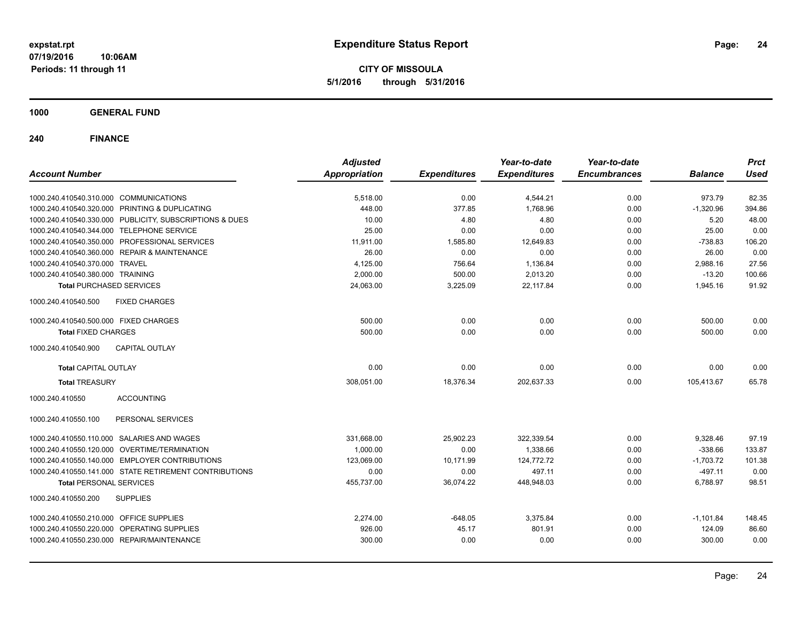**CITY OF MISSOULA 5/1/2016 through 5/31/2016**

**1000 GENERAL FUND**

| <b>Account Number</b>                                   | <b>Adjusted</b><br><b>Appropriation</b> | <b>Expenditures</b> | Year-to-date<br><b>Expenditures</b> | Year-to-date<br><b>Encumbrances</b> | <b>Balance</b> | <b>Prct</b><br><b>Used</b> |
|---------------------------------------------------------|-----------------------------------------|---------------------|-------------------------------------|-------------------------------------|----------------|----------------------------|
|                                                         |                                         |                     |                                     |                                     |                |                            |
| 1000.240.410540.310.000 COMMUNICATIONS                  | 5,518.00                                | 0.00                | 4,544.21                            | 0.00                                | 973.79         | 82.35                      |
| 1000.240.410540.320.000 PRINTING & DUPLICATING          | 448.00                                  | 377.85              | 1,768.96                            | 0.00                                | $-1,320.96$    | 394.86                     |
| 1000.240.410540.330.000 PUBLICITY, SUBSCRIPTIONS & DUES | 10.00                                   | 4.80                | 4.80                                | 0.00                                | 5.20           | 48.00                      |
| 1000.240.410540.344.000 TELEPHONE SERVICE               | 25.00                                   | 0.00                | 0.00                                | 0.00                                | 25.00          | 0.00                       |
| 1000.240.410540.350.000 PROFESSIONAL SERVICES           | 11,911.00                               | 1,585.80            | 12,649.83                           | 0.00                                | $-738.83$      | 106.20                     |
| 1000.240.410540.360.000 REPAIR & MAINTENANCE            | 26.00                                   | 0.00                | 0.00                                | 0.00                                | 26.00          | 0.00                       |
| 1000.240.410540.370.000 TRAVEL                          | 4,125.00                                | 756.64              | 1,136.84                            | 0.00                                | 2,988.16       | 27.56                      |
| 1000.240.410540.380.000 TRAINING                        | 2,000.00                                | 500.00              | 2,013.20                            | 0.00                                | $-13.20$       | 100.66                     |
| <b>Total PURCHASED SERVICES</b>                         | 24,063.00                               | 3,225.09            | 22,117.84                           | 0.00                                | 1,945.16       | 91.92                      |
| 1000.240.410540.500<br><b>FIXED CHARGES</b>             |                                         |                     |                                     |                                     |                |                            |
| 1000.240.410540.500.000 FIXED CHARGES                   | 500.00                                  | 0.00                | 0.00                                | 0.00                                | 500.00         | 0.00                       |
| <b>Total FIXED CHARGES</b>                              | 500.00                                  | 0.00                | 0.00                                | 0.00                                | 500.00         | 0.00                       |
| 1000.240.410540.900<br><b>CAPITAL OUTLAY</b>            |                                         |                     |                                     |                                     |                |                            |
| <b>Total CAPITAL OUTLAY</b>                             | 0.00                                    | 0.00                | 0.00                                | 0.00                                | 0.00           | 0.00                       |
| <b>Total TREASURY</b>                                   | 308,051.00                              | 18,376.34           | 202,637.33                          | 0.00                                | 105,413.67     | 65.78                      |
| 1000.240.410550<br><b>ACCOUNTING</b>                    |                                         |                     |                                     |                                     |                |                            |
| PERSONAL SERVICES<br>1000.240.410550.100                |                                         |                     |                                     |                                     |                |                            |
| 1000.240.410550.110.000 SALARIES AND WAGES              | 331,668.00                              | 25,902.23           | 322,339.54                          | 0.00                                | 9,328.46       | 97.19                      |
| 1000.240.410550.120.000 OVERTIME/TERMINATION            | 1,000.00                                | 0.00                | 1,338.66                            | 0.00                                | $-338.66$      | 133.87                     |
| 1000.240.410550.140.000 EMPLOYER CONTRIBUTIONS          | 123,069.00                              | 10,171.99           | 124,772.72                          | 0.00                                | $-1,703.72$    | 101.38                     |
| 1000.240.410550.141.000 STATE RETIREMENT CONTRIBUTIONS  | 0.00                                    | 0.00                | 497.11                              | 0.00                                | $-497.11$      | 0.00                       |
| <b>Total PERSONAL SERVICES</b>                          | 455,737.00                              | 36,074.22           | 448,948.03                          | 0.00                                | 6,788.97       | 98.51                      |
| 1000.240.410550.200<br><b>SUPPLIES</b>                  |                                         |                     |                                     |                                     |                |                            |
| 1000.240.410550.210.000 OFFICE SUPPLIES                 | 2,274.00                                | $-648.05$           | 3,375.84                            | 0.00                                | $-1,101.84$    | 148.45                     |
| 1000.240.410550.220.000 OPERATING SUPPLIES              | 926.00                                  | 45.17               | 801.91                              | 0.00                                | 124.09         | 86.60                      |
| 1000.240.410550.230.000 REPAIR/MAINTENANCE              | 300.00                                  | 0.00                | 0.00                                | 0.00                                | 300.00         | 0.00                       |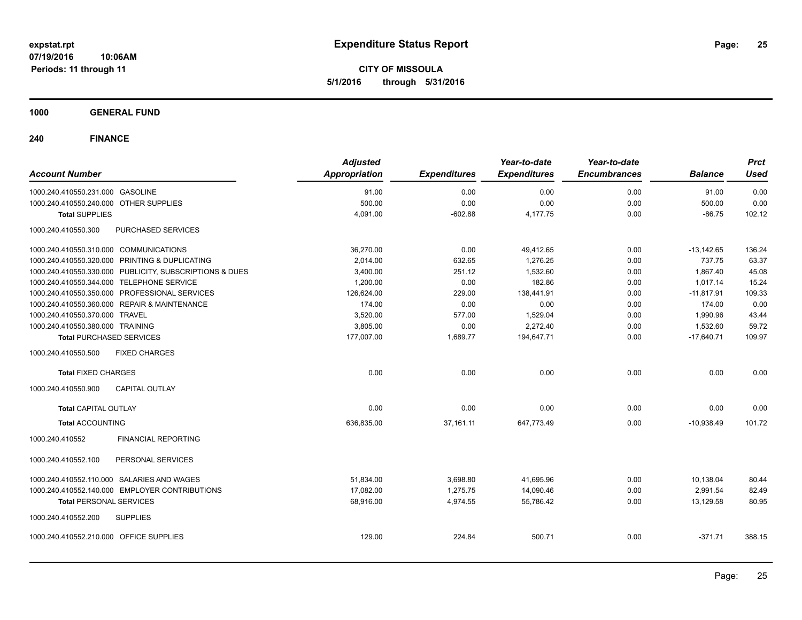**CITY OF MISSOULA 5/1/2016 through 5/31/2016**

**1000 GENERAL FUND**

| <b>Account Number</b>                          |                                                         | <b>Adjusted</b><br><b>Appropriation</b> | <b>Expenditures</b> | Year-to-date<br><b>Expenditures</b> | Year-to-date<br><b>Encumbrances</b> | <b>Balance</b> | <b>Prct</b><br><b>Used</b> |
|------------------------------------------------|---------------------------------------------------------|-----------------------------------------|---------------------|-------------------------------------|-------------------------------------|----------------|----------------------------|
| 1000.240.410550.231.000 GASOLINE               |                                                         | 91.00                                   | 0.00                | 0.00                                | 0.00                                | 91.00          | 0.00                       |
| 1000.240.410550.240.000 OTHER SUPPLIES         |                                                         | 500.00                                  | 0.00                | 0.00                                | 0.00                                | 500.00         | 0.00                       |
| <b>Total SUPPLIES</b>                          |                                                         | 4,091.00                                | $-602.88$           | 4,177.75                            | 0.00                                | $-86.75$       | 102.12                     |
| 1000.240.410550.300                            | PURCHASED SERVICES                                      |                                         |                     |                                     |                                     |                |                            |
| 1000.240.410550.310.000 COMMUNICATIONS         |                                                         | 36,270.00                               | 0.00                | 49,412.65                           | 0.00                                | $-13,142.65$   | 136.24                     |
| 1000.240.410550.320.000 PRINTING & DUPLICATING |                                                         | 2,014.00                                | 632.65              | 1,276.25                            | 0.00                                | 737.75         | 63.37                      |
|                                                | 1000.240.410550.330.000 PUBLICITY, SUBSCRIPTIONS & DUES | 3,400.00                                | 251.12              | 1,532.60                            | 0.00                                | 1,867.40       | 45.08                      |
| 1000.240.410550.344.000 TELEPHONE SERVICE      |                                                         | 1,200.00                                | 0.00                | 182.86                              | 0.00                                | 1.017.14       | 15.24                      |
| 1000.240.410550.350.000 PROFESSIONAL SERVICES  |                                                         | 126,624.00                              | 229.00              | 138,441.91                          | 0.00                                | $-11,817.91$   | 109.33                     |
| 1000.240.410550.360.000 REPAIR & MAINTENANCE   |                                                         | 174.00                                  | 0.00                | 0.00                                | 0.00                                | 174.00         | 0.00                       |
| 1000.240.410550.370.000 TRAVEL                 |                                                         | 3,520.00                                | 577.00              | 1,529.04                            | 0.00                                | 1,990.96       | 43.44                      |
| 1000.240.410550.380.000 TRAINING               |                                                         | 3,805.00                                | 0.00                | 2,272.40                            | 0.00                                | 1,532.60       | 59.72                      |
| <b>Total PURCHASED SERVICES</b>                |                                                         | 177,007.00                              | 1,689.77            | 194,647.71                          | 0.00                                | $-17,640.71$   | 109.97                     |
| 1000.240.410550.500                            | <b>FIXED CHARGES</b>                                    |                                         |                     |                                     |                                     |                |                            |
| <b>Total FIXED CHARGES</b>                     |                                                         | 0.00                                    | 0.00                | 0.00                                | 0.00                                | 0.00           | 0.00                       |
| 1000.240.410550.900                            | <b>CAPITAL OUTLAY</b>                                   |                                         |                     |                                     |                                     |                |                            |
| <b>Total CAPITAL OUTLAY</b>                    |                                                         | 0.00                                    | 0.00                | 0.00                                | 0.00                                | 0.00           | 0.00                       |
| <b>Total ACCOUNTING</b>                        |                                                         | 636,835.00                              | 37,161.11           | 647,773.49                          | 0.00                                | $-10,938.49$   | 101.72                     |
| 1000.240.410552                                | <b>FINANCIAL REPORTING</b>                              |                                         |                     |                                     |                                     |                |                            |
| 1000.240.410552.100                            | PERSONAL SERVICES                                       |                                         |                     |                                     |                                     |                |                            |
| 1000.240.410552.110.000 SALARIES AND WAGES     |                                                         | 51,834.00                               | 3,698.80            | 41,695.96                           | 0.00                                | 10,138.04      | 80.44                      |
| 1000.240.410552.140.000 EMPLOYER CONTRIBUTIONS |                                                         | 17,082.00                               | 1,275.75            | 14,090.46                           | 0.00                                | 2,991.54       | 82.49                      |
| <b>Total PERSONAL SERVICES</b>                 |                                                         | 68,916.00                               | 4,974.55            | 55,786.42                           | 0.00                                | 13,129.58      | 80.95                      |
| 1000.240.410552.200                            | <b>SUPPLIES</b>                                         |                                         |                     |                                     |                                     |                |                            |
| 1000.240.410552.210.000 OFFICE SUPPLIES        |                                                         | 129.00                                  | 224.84              | 500.71                              | 0.00                                | $-371.71$      | 388.15                     |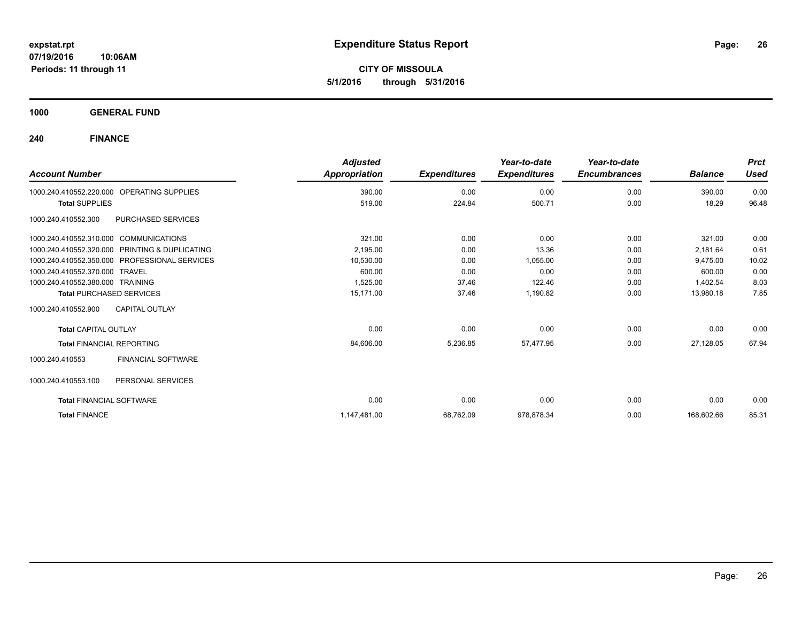**CITY OF MISSOULA 5/1/2016 through 5/31/2016**

**1000 GENERAL FUND**

|                                        |                                                | <b>Adjusted</b> |                     | Year-to-date        | Year-to-date        |                | <b>Prct</b> |
|----------------------------------------|------------------------------------------------|-----------------|---------------------|---------------------|---------------------|----------------|-------------|
| <b>Account Number</b>                  |                                                | Appropriation   | <b>Expenditures</b> | <b>Expenditures</b> | <b>Encumbrances</b> | <b>Balance</b> | <b>Used</b> |
| 1000.240.410552.220.000                | <b>OPERATING SUPPLIES</b>                      | 390.00          | 0.00                | 0.00                | 0.00                | 390.00         | 0.00        |
| <b>Total SUPPLIES</b>                  |                                                | 519.00          | 224.84              | 500.71              | 0.00                | 18.29          | 96.48       |
| 1000.240.410552.300                    | PURCHASED SERVICES                             |                 |                     |                     |                     |                |             |
| 1000.240.410552.310.000 COMMUNICATIONS |                                                | 321.00          | 0.00                | 0.00                | 0.00                | 321.00         | 0.00        |
|                                        | 1000.240.410552.320.000 PRINTING & DUPLICATING | 2.195.00        | 0.00                | 13.36               | 0.00                | 2,181.64       | 0.61        |
|                                        | 1000.240.410552.350.000 PROFESSIONAL SERVICES  | 10,530.00       | 0.00                | 1,055.00            | 0.00                | 9,475.00       | 10.02       |
| 1000.240.410552.370.000 TRAVEL         |                                                | 600.00          | 0.00                | 0.00                | 0.00                | 600.00         | 0.00        |
| 1000.240.410552.380.000 TRAINING       |                                                | 1,525.00        | 37.46               | 122.46              | 0.00                | 1,402.54       | 8.03        |
| <b>Total PURCHASED SERVICES</b>        |                                                | 15.171.00       | 37.46               | 1,190.82            | 0.00                | 13,980.18      | 7.85        |
| 1000.240.410552.900                    | CAPITAL OUTLAY                                 |                 |                     |                     |                     |                |             |
| <b>Total CAPITAL OUTLAY</b>            |                                                | 0.00            | 0.00                | 0.00                | 0.00                | 0.00           | 0.00        |
| <b>Total FINANCIAL REPORTING</b>       |                                                | 84,606.00       | 5,236.85            | 57,477.95           | 0.00                | 27,128.05      | 67.94       |
| 1000.240.410553                        | <b>FINANCIAL SOFTWARE</b>                      |                 |                     |                     |                     |                |             |
| 1000.240.410553.100                    | PERSONAL SERVICES                              |                 |                     |                     |                     |                |             |
| <b>Total FINANCIAL SOFTWARE</b>        |                                                | 0.00            | 0.00                | 0.00                | 0.00                | 0.00           | 0.00        |
| <b>Total FINANCE</b>                   |                                                | 1,147,481.00    | 68,762.09           | 978,878.34          | 0.00                | 168,602.66     | 85.31       |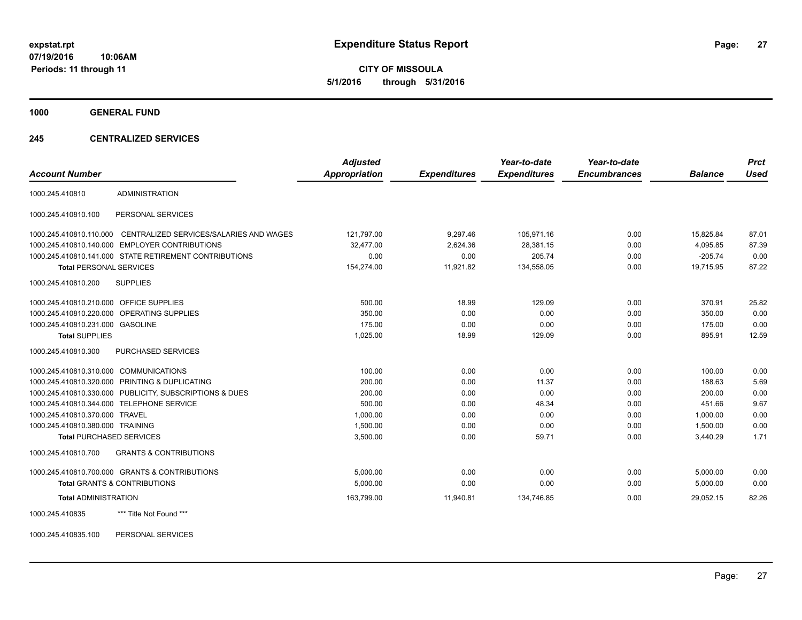**CITY OF MISSOULA 5/1/2016 through 5/31/2016**

**1000 GENERAL FUND**

#### **245 CENTRALIZED SERVICES**

| <b>Account Number</b>                   |                                                         | <b>Adjusted</b><br><b>Appropriation</b> | <b>Expenditures</b> | Year-to-date<br><b>Expenditures</b> | Year-to-date<br><b>Encumbrances</b> | <b>Balance</b> | <b>Prct</b><br><b>Used</b> |
|-----------------------------------------|---------------------------------------------------------|-----------------------------------------|---------------------|-------------------------------------|-------------------------------------|----------------|----------------------------|
|                                         |                                                         |                                         |                     |                                     |                                     |                |                            |
| 1000.245.410810                         | <b>ADMINISTRATION</b>                                   |                                         |                     |                                     |                                     |                |                            |
| 1000.245.410810.100                     | PERSONAL SERVICES                                       |                                         |                     |                                     |                                     |                |                            |
| 1000.245.410810.110.000                 | CENTRALIZED SERVICES/SALARIES AND WAGES                 | 121,797.00                              | 9,297.46            | 105,971.16                          | 0.00                                | 15,825.84      | 87.01                      |
|                                         | 1000.245.410810.140.000 EMPLOYER CONTRIBUTIONS          | 32,477.00                               | 2,624.36            | 28,381.15                           | 0.00                                | 4,095.85       | 87.39                      |
|                                         | 1000.245.410810.141.000 STATE RETIREMENT CONTRIBUTIONS  | 0.00                                    | 0.00                | 205.74                              | 0.00                                | $-205.74$      | 0.00                       |
| <b>Total PERSONAL SERVICES</b>          |                                                         | 154,274.00                              | 11,921.82           | 134,558.05                          | 0.00                                | 19.715.95      | 87.22                      |
| 1000.245.410810.200                     | <b>SUPPLIES</b>                                         |                                         |                     |                                     |                                     |                |                            |
| 1000.245.410810.210.000 OFFICE SUPPLIES |                                                         | 500.00                                  | 18.99               | 129.09                              | 0.00                                | 370.91         | 25.82                      |
|                                         | 1000.245.410810.220.000 OPERATING SUPPLIES              | 350.00                                  | 0.00                | 0.00                                | 0.00                                | 350.00         | 0.00                       |
| 1000.245.410810.231.000 GASOLINE        |                                                         | 175.00                                  | 0.00                | 0.00                                | 0.00                                | 175.00         | 0.00                       |
| <b>Total SUPPLIES</b>                   |                                                         | 1,025.00                                | 18.99               | 129.09                              | 0.00                                | 895.91         | 12.59                      |
| 1000.245.410810.300                     | PURCHASED SERVICES                                      |                                         |                     |                                     |                                     |                |                            |
| 1000.245.410810.310.000 COMMUNICATIONS  |                                                         | 100.00                                  | 0.00                | 0.00                                | 0.00                                | 100.00         | 0.00                       |
|                                         | 1000.245.410810.320.000 PRINTING & DUPLICATING          | 200.00                                  | 0.00                | 11.37                               | 0.00                                | 188.63         | 5.69                       |
|                                         | 1000.245.410810.330.000 PUBLICITY, SUBSCRIPTIONS & DUES | 200.00                                  | 0.00                | 0.00                                | 0.00                                | 200.00         | 0.00                       |
|                                         | 1000.245.410810.344.000 TELEPHONE SERVICE               | 500.00                                  | 0.00                | 48.34                               | 0.00                                | 451.66         | 9.67                       |
| 1000.245.410810.370.000 TRAVEL          |                                                         | 1,000.00                                | 0.00                | 0.00                                | 0.00                                | 1,000.00       | 0.00                       |
| 1000.245.410810.380.000 TRAINING        |                                                         | 1,500.00                                | 0.00                | 0.00                                | 0.00                                | 1,500.00       | 0.00                       |
| <b>Total PURCHASED SERVICES</b>         |                                                         | 3,500.00                                | 0.00                | 59.71                               | 0.00                                | 3,440.29       | 1.71                       |
| 1000.245.410810.700                     | <b>GRANTS &amp; CONTRIBUTIONS</b>                       |                                         |                     |                                     |                                     |                |                            |
|                                         | 1000.245.410810.700.000 GRANTS & CONTRIBUTIONS          | 5,000.00                                | 0.00                | 0.00                                | 0.00                                | 5,000.00       | 0.00                       |
|                                         | <b>Total GRANTS &amp; CONTRIBUTIONS</b>                 | 5,000.00                                | 0.00                | 0.00                                | 0.00                                | 5,000.00       | 0.00                       |
| <b>Total ADMINISTRATION</b>             |                                                         | 163,799.00                              | 11,940.81           | 134,746.85                          | 0.00                                | 29.052.15      | 82.26                      |
| 1000.245.410835                         | *** Title Not Found ***                                 |                                         |                     |                                     |                                     |                |                            |

1000.245.410835.100 PERSONAL SERVICES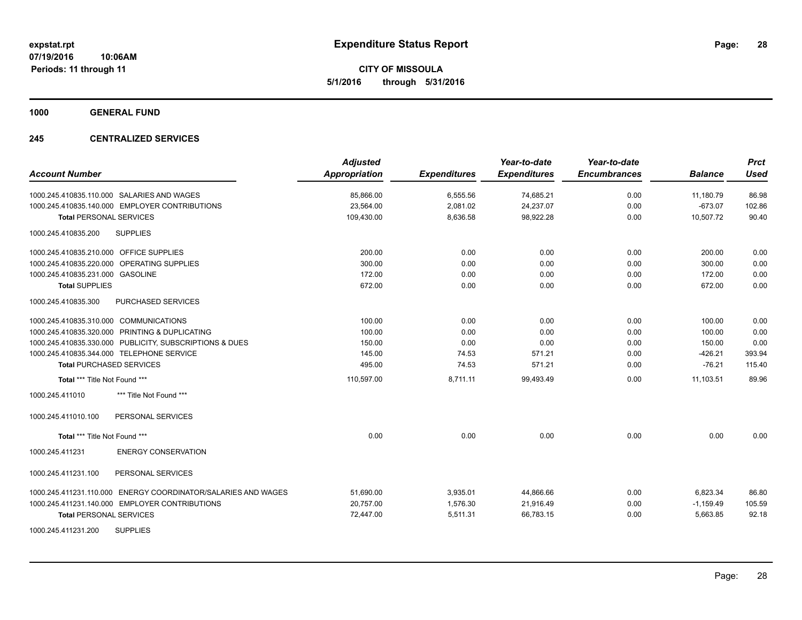**CITY OF MISSOULA 5/1/2016 through 5/31/2016**

**1000 GENERAL FUND**

### **245 CENTRALIZED SERVICES**

| <b>Account Number</b>                                            | <b>Adjusted</b><br><b>Appropriation</b> | <b>Expenditures</b> | Year-to-date<br><b>Expenditures</b> | Year-to-date<br><b>Encumbrances</b> | <b>Balance</b> | <b>Prct</b><br><b>Used</b> |
|------------------------------------------------------------------|-----------------------------------------|---------------------|-------------------------------------|-------------------------------------|----------------|----------------------------|
| 1000.245.410835.110.000 SALARIES AND WAGES                       | 85,866.00                               | 6,555.56            | 74,685.21                           | 0.00                                | 11,180.79      | 86.98                      |
| 1000.245.410835.140.000 EMPLOYER CONTRIBUTIONS                   | 23,564.00                               | 2,081.02            | 24,237.07                           | 0.00                                | $-673.07$      | 102.86                     |
| <b>Total PERSONAL SERVICES</b>                                   | 109,430.00                              | 8,636.58            | 98,922.28                           | 0.00                                | 10,507.72      | 90.40                      |
| <b>SUPPLIES</b><br>1000.245.410835.200                           |                                         |                     |                                     |                                     |                |                            |
| 1000.245.410835.210.000 OFFICE SUPPLIES                          | 200.00                                  | 0.00                | 0.00                                | 0.00                                | 200.00         | 0.00                       |
| 1000.245.410835.220.000 OPERATING SUPPLIES                       | 300.00                                  | 0.00                | 0.00                                | 0.00                                | 300.00         | 0.00                       |
| 1000.245.410835.231.000 GASOLINE                                 | 172.00                                  | 0.00                | 0.00                                | 0.00                                | 172.00         | 0.00                       |
| <b>Total SUPPLIES</b>                                            | 672.00                                  | 0.00                | 0.00                                | 0.00                                | 672.00         | 0.00                       |
| 1000.245.410835.300<br>PURCHASED SERVICES                        |                                         |                     |                                     |                                     |                |                            |
| 1000.245.410835.310.000 COMMUNICATIONS                           | 100.00                                  | 0.00                | 0.00                                | 0.00                                | 100.00         | 0.00                       |
| 1000.245.410835.320.000 PRINTING & DUPLICATING                   | 100.00                                  | 0.00                | 0.00                                | 0.00                                | 100.00         | 0.00                       |
| 1000.245.410835.330.000 PUBLICITY, SUBSCRIPTIONS & DUES          | 150.00                                  | 0.00                | 0.00                                | 0.00                                | 150.00         | 0.00                       |
| 1000.245.410835.344.000 TELEPHONE SERVICE                        | 145.00                                  | 74.53               | 571.21                              | 0.00                                | $-426.21$      | 393.94                     |
| <b>Total PURCHASED SERVICES</b>                                  | 495.00                                  | 74.53               | 571.21                              | 0.00                                | $-76.21$       | 115.40                     |
| Total *** Title Not Found ***                                    | 110,597.00                              | 8,711.11            | 99,493.49                           | 0.00                                | 11,103.51      | 89.96                      |
| 1000.245.411010<br>*** Title Not Found ***                       |                                         |                     |                                     |                                     |                |                            |
| PERSONAL SERVICES<br>1000.245.411010.100                         |                                         |                     |                                     |                                     |                |                            |
| Total *** Title Not Found ***                                    | 0.00                                    | 0.00                | 0.00                                | 0.00                                | 0.00           | 0.00                       |
| <b>ENERGY CONSERVATION</b><br>1000.245.411231                    |                                         |                     |                                     |                                     |                |                            |
| 1000.245.411231.100<br>PERSONAL SERVICES                         |                                         |                     |                                     |                                     |                |                            |
| ENERGY COORDINATOR/SALARIES AND WAGES<br>1000.245.411231.110.000 | 51,690.00                               | 3,935.01            | 44,866.66                           | 0.00                                | 6,823.34       | 86.80                      |
| 1000.245.411231.140.000 EMPLOYER CONTRIBUTIONS                   | 20,757.00                               | 1.576.30            | 21,916.49                           | 0.00                                | $-1,159.49$    | 105.59                     |
| <b>Total PERSONAL SERVICES</b>                                   | 72,447.00                               | 5,511.31            | 66,783.15                           | 0.00                                | 5,663.85       | 92.18                      |
| <b>SUPPLIES</b><br>1000.245.411231.200                           |                                         |                     |                                     |                                     |                |                            |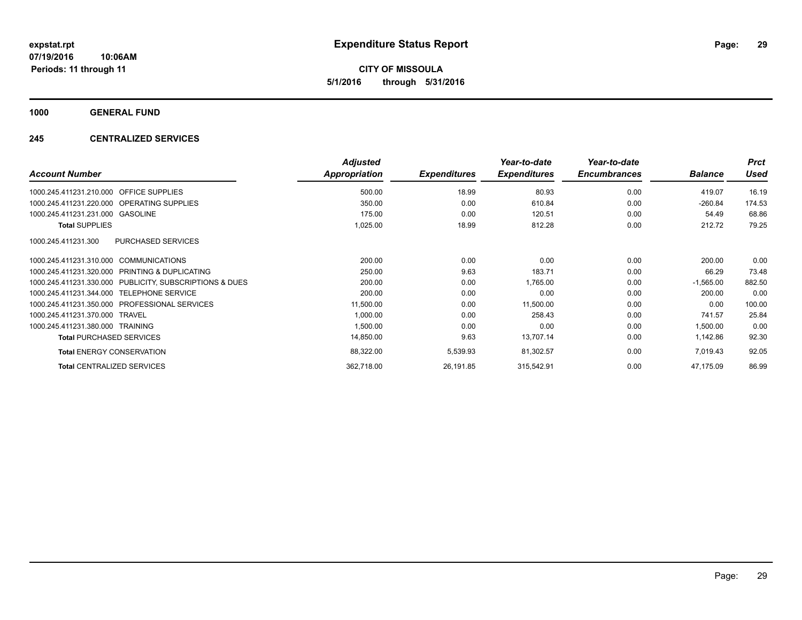**CITY OF MISSOULA 5/1/2016 through 5/31/2016**

**1000 GENERAL FUND**

### **245 CENTRALIZED SERVICES**

|                                                            | <b>Adjusted</b>      |                     | Year-to-date        | Year-to-date        |                | <b>Prct</b> |
|------------------------------------------------------------|----------------------|---------------------|---------------------|---------------------|----------------|-------------|
| <b>Account Number</b>                                      | <b>Appropriation</b> | <b>Expenditures</b> | <b>Expenditures</b> | <b>Encumbrances</b> | <b>Balance</b> | <b>Used</b> |
| <b>OFFICE SUPPLIES</b><br>1000.245.411231.210.000          | 500.00               | 18.99               | 80.93               | 0.00                | 419.07         | 16.19       |
| 1000.245.411231.220.000 OPERATING SUPPLIES                 | 350.00               | 0.00                | 610.84              | 0.00                | $-260.84$      | 174.53      |
| 1000.245.411231.231.000 GASOLINE                           | 175.00               | 0.00                | 120.51              | 0.00                | 54.49          | 68.86       |
| <b>Total SUPPLIES</b>                                      | 1,025.00             | 18.99               | 812.28              | 0.00                | 212.72         | 79.25       |
| <b>PURCHASED SERVICES</b><br>1000.245.411231.300           |                      |                     |                     |                     |                |             |
| 1000.245.411231.310.000 COMMUNICATIONS                     | 200.00               | 0.00                | 0.00                | 0.00                | 200.00         | 0.00        |
| 1000.245.411231.320.000<br>PRINTING & DUPLICATING          | 250.00               | 9.63                | 183.71              | 0.00                | 66.29          | 73.48       |
| PUBLICITY, SUBSCRIPTIONS & DUES<br>1000.245.411231.330.000 | 200.00               | 0.00                | 1,765.00            | 0.00                | $-1,565.00$    | 882.50      |
| 1000.245.411231.344.000 TELEPHONE SERVICE                  | 200.00               | 0.00                | 0.00                | 0.00                | 200.00         | 0.00        |
| 1000.245.411231.350.000 PROFESSIONAL SERVICES              | 11,500.00            | 0.00                | 11,500.00           | 0.00                | 0.00           | 100.00      |
| 1000.245.411231.370.000 TRAVEL                             | 1,000.00             | 0.00                | 258.43              | 0.00                | 741.57         | 25.84       |
| 1000.245.411231.380.000 TRAINING                           | 1,500.00             | 0.00                | 0.00                | 0.00                | 1,500.00       | 0.00        |
| <b>Total PURCHASED SERVICES</b>                            | 14,850.00            | 9.63                | 13,707.14           | 0.00                | 1,142.86       | 92.30       |
| <b>Total ENERGY CONSERVATION</b>                           | 88,322.00            | 5,539.93            | 81,302.57           | 0.00                | 7,019.43       | 92.05       |
| <b>Total CENTRALIZED SERVICES</b>                          | 362,718.00           | 26,191.85           | 315,542.91          | 0.00                | 47,175.09      | 86.99       |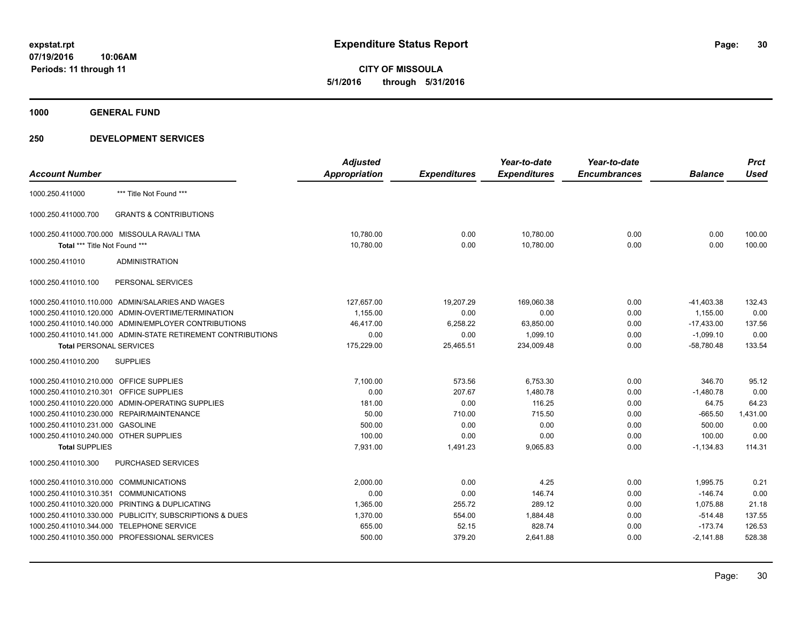**CITY OF MISSOULA 5/1/2016 through 5/31/2016**

**1000 GENERAL FUND**

|                                         |                                                              | <b>Adjusted</b> |                     | Year-to-date        | Year-to-date        |                | <b>Prct</b> |
|-----------------------------------------|--------------------------------------------------------------|-----------------|---------------------|---------------------|---------------------|----------------|-------------|
| <b>Account Number</b>                   |                                                              | Appropriation   | <b>Expenditures</b> | <b>Expenditures</b> | <b>Encumbrances</b> | <b>Balance</b> | <b>Used</b> |
| 1000.250.411000                         | *** Title Not Found ***                                      |                 |                     |                     |                     |                |             |
| 1000.250.411000.700                     | <b>GRANTS &amp; CONTRIBUTIONS</b>                            |                 |                     |                     |                     |                |             |
|                                         | 1000.250.411000.700.000 MISSOULA RAVALI TMA                  | 10,780.00       | 0.00                | 10,780.00           | 0.00                | 0.00           | 100.00      |
| Total *** Title Not Found ***           |                                                              | 10,780.00       | 0.00                | 10,780.00           | 0.00                | 0.00           | 100.00      |
| 1000.250.411010                         | <b>ADMINISTRATION</b>                                        |                 |                     |                     |                     |                |             |
| 1000.250.411010.100                     | PERSONAL SERVICES                                            |                 |                     |                     |                     |                |             |
|                                         | 1000.250.411010.110.000 ADMIN/SALARIES AND WAGES             | 127,657.00      | 19,207.29           | 169,060.38          | 0.00                | $-41,403.38$   | 132.43      |
|                                         | 1000.250.411010.120.000 ADMIN-OVERTIME/TERMINATION           | 1,155.00        | 0.00                | 0.00                | 0.00                | 1,155.00       | 0.00        |
|                                         | 1000.250.411010.140.000 ADMIN/EMPLOYER CONTRIBUTIONS         | 46,417.00       | 6,258.22            | 63,850.00           | 0.00                | $-17,433.00$   | 137.56      |
|                                         | 1000.250.411010.141.000 ADMIN-STATE RETIREMENT CONTRIBUTIONS | 0.00            | 0.00                | 1,099.10            | 0.00                | $-1,099.10$    | 0.00        |
| <b>Total PERSONAL SERVICES</b>          |                                                              | 175,229.00      | 25,465.51           | 234,009.48          | 0.00                | $-58.780.48$   | 133.54      |
| 1000.250.411010.200                     | <b>SUPPLIES</b>                                              |                 |                     |                     |                     |                |             |
| 1000.250.411010.210.000 OFFICE SUPPLIES |                                                              | 7,100.00        | 573.56              | 6,753.30            | 0.00                | 346.70         | 95.12       |
| 1000.250.411010.210.301 OFFICE SUPPLIES |                                                              | 0.00            | 207.67              | 1,480.78            | 0.00                | $-1,480.78$    | 0.00        |
|                                         | 1000.250.411010.220.000 ADMIN-OPERATING SUPPLIES             | 181.00          | 0.00                | 116.25              | 0.00                | 64.75          | 64.23       |
|                                         | 1000.250.411010.230.000 REPAIR/MAINTENANCE                   | 50.00           | 710.00              | 715.50              | 0.00                | $-665.50$      | 1,431.00    |
| 1000.250.411010.231.000 GASOLINE        |                                                              | 500.00          | 0.00                | 0.00                | 0.00                | 500.00         | 0.00        |
| 1000.250.411010.240.000 OTHER SUPPLIES  |                                                              | 100.00          | 0.00                | 0.00                | 0.00                | 100.00         | 0.00        |
| <b>Total SUPPLIES</b>                   |                                                              | 7,931.00        | 1,491.23            | 9,065.83            | 0.00                | $-1,134.83$    | 114.31      |
| 1000.250.411010.300                     | PURCHASED SERVICES                                           |                 |                     |                     |                     |                |             |
| 1000.250.411010.310.000 COMMUNICATIONS  |                                                              | 2.000.00        | 0.00                | 4.25                | 0.00                | 1.995.75       | 0.21        |
| 1000.250.411010.310.351                 | <b>COMMUNICATIONS</b>                                        | 0.00            | 0.00                | 146.74              | 0.00                | $-146.74$      | 0.00        |
|                                         | 1000.250.411010.320.000 PRINTING & DUPLICATING               | 1,365.00        | 255.72              | 289.12              | 0.00                | 1,075.88       | 21.18       |
|                                         | 1000.250.411010.330.000 PUBLICITY, SUBSCRIPTIONS & DUES      | 1,370.00        | 554.00              | 1,884.48            | 0.00                | $-514.48$      | 137.55      |
|                                         | 1000.250.411010.344.000 TELEPHONE SERVICE                    | 655.00          | 52.15               | 828.74              | 0.00                | $-173.74$      | 126.53      |
|                                         | 1000.250.411010.350.000 PROFESSIONAL SERVICES                | 500.00          | 379.20              | 2,641.88            | 0.00                | $-2,141.88$    | 528.38      |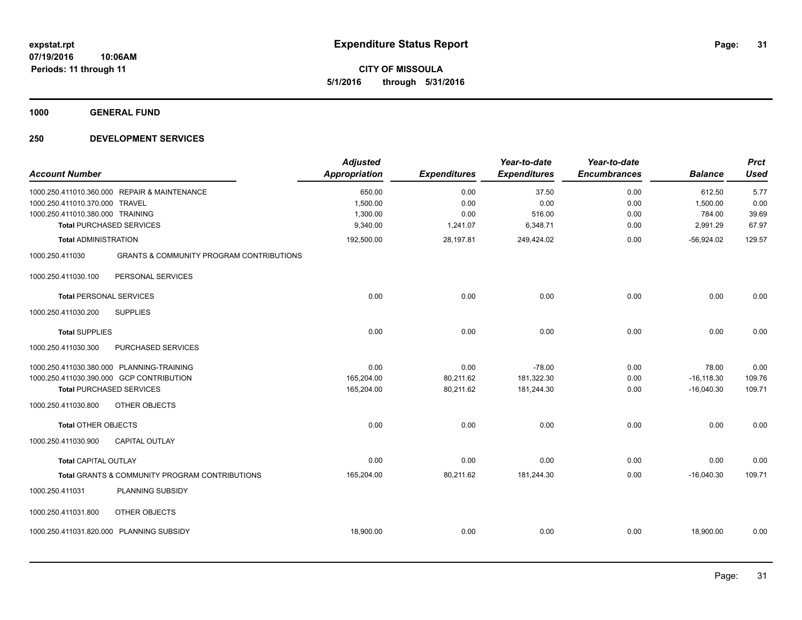**1000 GENERAL FUND**

| <b>Account Number</b>                                              |                                                                                                                          | <b>Adjusted</b><br><b>Appropriation</b>    | <b>Expenditures</b>              | Year-to-date<br><b>Expenditures</b>  | Year-to-date<br><b>Encumbrances</b> | <b>Balance</b>                           | <b>Prct</b><br><b>Used</b>     |
|--------------------------------------------------------------------|--------------------------------------------------------------------------------------------------------------------------|--------------------------------------------|----------------------------------|--------------------------------------|-------------------------------------|------------------------------------------|--------------------------------|
| 1000.250.411010.370.000 TRAVEL<br>1000.250.411010.380.000 TRAINING | 1000.250.411010.360.000 REPAIR & MAINTENANCE<br><b>Total PURCHASED SERVICES</b>                                          | 650.00<br>1,500.00<br>1,300.00<br>9,340.00 | 0.00<br>0.00<br>0.00<br>1,241.07 | 37.50<br>0.00<br>516.00<br>6,348.71  | 0.00<br>0.00<br>0.00<br>0.00        | 612.50<br>1,500.00<br>784.00<br>2,991.29 | 5.77<br>0.00<br>39.69<br>67.97 |
| <b>Total ADMINISTRATION</b>                                        |                                                                                                                          | 192,500.00                                 | 28,197.81                        | 249,424.02                           | 0.00                                | $-56,924.02$                             | 129.57                         |
| 1000.250.411030                                                    | <b>GRANTS &amp; COMMUNITY PROGRAM CONTRIBUTIONS</b>                                                                      |                                            |                                  |                                      |                                     |                                          |                                |
| 1000.250.411030.100                                                | PERSONAL SERVICES                                                                                                        |                                            |                                  |                                      |                                     |                                          |                                |
| <b>Total PERSONAL SERVICES</b>                                     |                                                                                                                          | 0.00                                       | 0.00                             | 0.00                                 | 0.00                                | 0.00                                     | 0.00                           |
| 1000.250.411030.200                                                | <b>SUPPLIES</b>                                                                                                          |                                            |                                  |                                      |                                     |                                          |                                |
| <b>Total SUPPLIES</b>                                              |                                                                                                                          | 0.00                                       | 0.00                             | 0.00                                 | 0.00                                | 0.00                                     | 0.00                           |
| 1000.250.411030.300                                                | <b>PURCHASED SERVICES</b>                                                                                                |                                            |                                  |                                      |                                     |                                          |                                |
|                                                                    | 1000.250.411030.380.000 PLANNING-TRAINING<br>1000.250.411030.390.000 GCP CONTRIBUTION<br><b>Total PURCHASED SERVICES</b> | 0.00<br>165,204.00<br>165,204.00           | 0.00<br>80,211.62<br>80,211.62   | $-78.00$<br>181,322.30<br>181,244.30 | 0.00<br>0.00<br>0.00                | 78.00<br>$-16, 118.30$<br>$-16,040.30$   | 0.00<br>109.76<br>109.71       |
| 1000.250.411030.800                                                | <b>OTHER OBJECTS</b>                                                                                                     |                                            |                                  |                                      |                                     |                                          |                                |
| <b>Total OTHER OBJECTS</b>                                         |                                                                                                                          | 0.00                                       | 0.00                             | 0.00                                 | 0.00                                | 0.00                                     | 0.00                           |
| 1000.250.411030.900                                                | <b>CAPITAL OUTLAY</b>                                                                                                    |                                            |                                  |                                      |                                     |                                          |                                |
| <b>Total CAPITAL OUTLAY</b>                                        |                                                                                                                          | 0.00                                       | 0.00                             | 0.00                                 | 0.00                                | 0.00                                     | 0.00                           |
|                                                                    | Total GRANTS & COMMUNITY PROGRAM CONTRIBUTIONS                                                                           | 165,204.00                                 | 80,211.62                        | 181,244.30                           | 0.00                                | $-16.040.30$                             | 109.71                         |
| 1000.250.411031                                                    | PLANNING SUBSIDY                                                                                                         |                                            |                                  |                                      |                                     |                                          |                                |
| 1000.250.411031.800                                                | OTHER OBJECTS                                                                                                            |                                            |                                  |                                      |                                     |                                          |                                |
|                                                                    | 1000.250.411031.820.000 PLANNING SUBSIDY                                                                                 | 18,900.00                                  | 0.00                             | 0.00                                 | 0.00                                | 18,900.00                                | 0.00                           |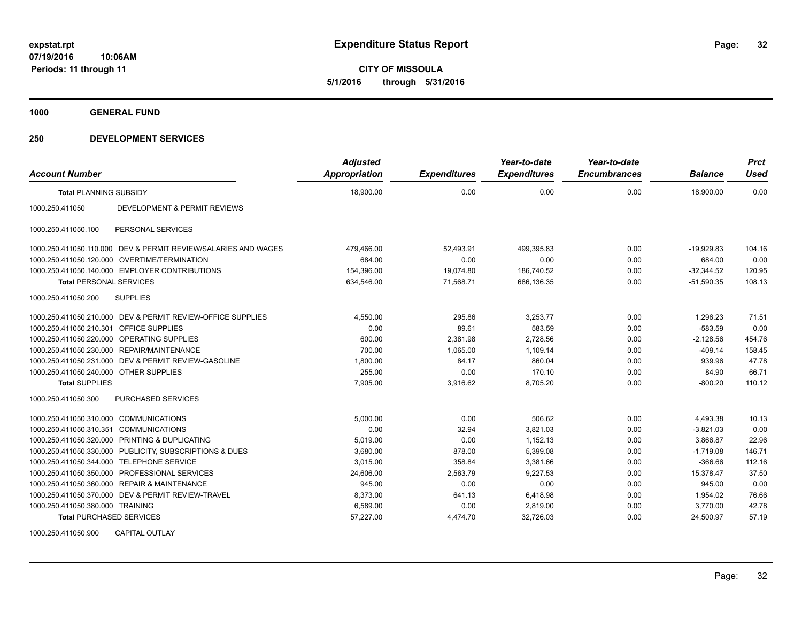**CITY OF MISSOULA 5/1/2016 through 5/31/2016**

**1000 GENERAL FUND**

### **250 DEVELOPMENT SERVICES**

| <b>Account Number</b>                  |                                                                | <b>Adjusted</b><br><b>Appropriation</b> | <b>Expenditures</b> | Year-to-date<br><b>Expenditures</b> | Year-to-date<br><b>Encumbrances</b> | <b>Balance</b> | <b>Prct</b><br><b>Used</b> |
|----------------------------------------|----------------------------------------------------------------|-----------------------------------------|---------------------|-------------------------------------|-------------------------------------|----------------|----------------------------|
| <b>Total PLANNING SUBSIDY</b>          |                                                                | 18,900.00                               | 0.00                | 0.00                                | 0.00                                | 18,900.00      | 0.00                       |
| 1000.250.411050                        | DEVELOPMENT & PERMIT REVIEWS                                   |                                         |                     |                                     |                                     |                |                            |
| 1000.250.411050.100                    | PERSONAL SERVICES                                              |                                         |                     |                                     |                                     |                |                            |
|                                        | 1000.250.411050.110.000 DEV & PERMIT REVIEW/SALARIES AND WAGES | 479,466.00                              | 52,493.91           | 499,395.83                          | 0.00                                | $-19,929.83$   | 104.16                     |
|                                        | 1000.250.411050.120.000 OVERTIME/TERMINATION                   | 684.00                                  | 0.00                | 0.00                                | 0.00                                | 684.00         | 0.00                       |
|                                        | 1000.250.411050.140.000 EMPLOYER CONTRIBUTIONS                 | 154,396.00                              | 19,074.80           | 186,740.52                          | 0.00                                | $-32,344.52$   | 120.95                     |
| <b>Total PERSONAL SERVICES</b>         |                                                                | 634,546.00                              | 71,568.71           | 686,136.35                          | 0.00                                | $-51,590.35$   | 108.13                     |
| 1000.250.411050.200                    | <b>SUPPLIES</b>                                                |                                         |                     |                                     |                                     |                |                            |
|                                        | 1000.250.411050.210.000 DEV & PERMIT REVIEW-OFFICE SUPPLIES    | 4,550.00                                | 295.86              | 3,253.77                            | 0.00                                | 1.296.23       | 71.51                      |
| 1000.250.411050.210.301                | <b>OFFICE SUPPLIES</b>                                         | 0.00                                    | 89.61               | 583.59                              | 0.00                                | $-583.59$      | 0.00                       |
|                                        | 1000.250.411050.220.000 OPERATING SUPPLIES                     | 600.00                                  | 2,381.98            | 2,728.56                            | 0.00                                | $-2,128.56$    | 454.76                     |
|                                        | 1000.250.411050.230.000 REPAIR/MAINTENANCE                     | 700.00                                  | 1,065.00            | 1,109.14                            | 0.00                                | $-409.14$      | 158.45                     |
|                                        | 1000.250.411050.231.000 DEV & PERMIT REVIEW-GASOLINE           | 1,800.00                                | 84.17               | 860.04                              | 0.00                                | 939.96         | 47.78                      |
| 1000.250.411050.240.000 OTHER SUPPLIES |                                                                | 255.00                                  | 0.00                | 170.10                              | 0.00                                | 84.90          | 66.71                      |
| <b>Total SUPPLIES</b>                  |                                                                | 7.905.00                                | 3.916.62            | 8.705.20                            | 0.00                                | $-800.20$      | 110.12                     |
| 1000.250.411050.300                    | <b>PURCHASED SERVICES</b>                                      |                                         |                     |                                     |                                     |                |                            |
| 1000.250.411050.310.000                | <b>COMMUNICATIONS</b>                                          | 5,000.00                                | 0.00                | 506.62                              | 0.00                                | 4,493.38       | 10.13                      |
| 1000.250.411050.310.351                | <b>COMMUNICATIONS</b>                                          | 0.00                                    | 32.94               | 3,821.03                            | 0.00                                | $-3,821.03$    | 0.00                       |
| 1000.250.411050.320.000                | PRINTING & DUPLICATING                                         | 5,019.00                                | 0.00                | 1,152.13                            | 0.00                                | 3,866.87       | 22.96                      |
|                                        | 1000.250.411050.330.000 PUBLICITY, SUBSCRIPTIONS & DUES        | 3,680.00                                | 878.00              | 5,399.08                            | 0.00                                | $-1,719.08$    | 146.71                     |
|                                        | 1000.250.411050.344.000 TELEPHONE SERVICE                      | 3,015.00                                | 358.84              | 3,381.66                            | 0.00                                | $-366.66$      | 112.16                     |
| 1000.250.411050.350.000                | PROFESSIONAL SERVICES                                          | 24,606.00                               | 2,563.79            | 9.227.53                            | 0.00                                | 15.378.47      | 37.50                      |
|                                        | 1000.250.411050.360.000 REPAIR & MAINTENANCE                   | 945.00                                  | 0.00                | 0.00                                | 0.00                                | 945.00         | 0.00                       |
|                                        | 1000.250.411050.370.000 DEV & PERMIT REVIEW-TRAVEL             | 8,373.00                                | 641.13              | 6,418.98                            | 0.00                                | 1,954.02       | 76.66                      |
| 1000.250.411050.380.000 TRAINING       |                                                                | 6,589.00                                | 0.00                | 2,819.00                            | 0.00                                | 3,770.00       | 42.78                      |
| <b>Total PURCHASED SERVICES</b>        |                                                                | 57,227.00                               | 4,474.70            | 32,726.03                           | 0.00                                | 24,500.97      | 57.19                      |

1000.250.411050.900 CAPITAL OUTLAY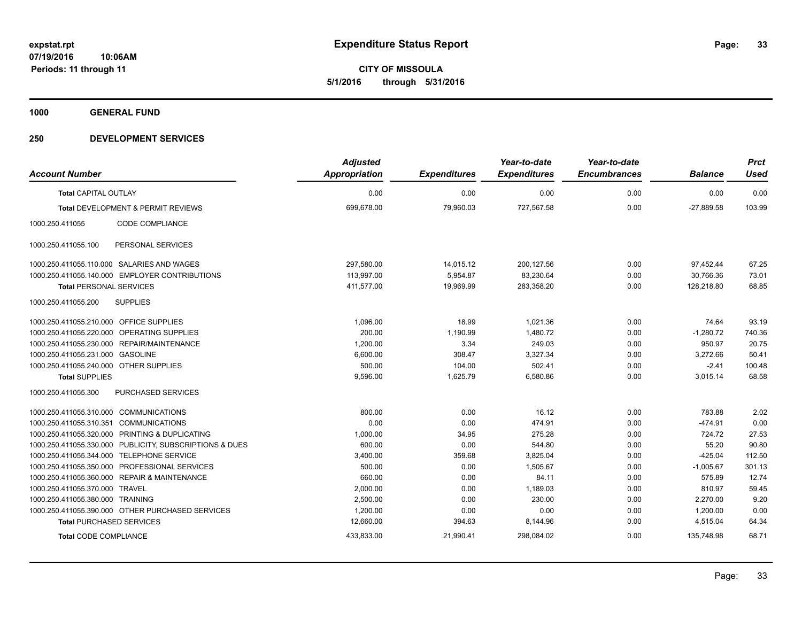**CITY OF MISSOULA 5/1/2016 through 5/31/2016**

**1000 GENERAL FUND**

|                                         |                                                         | <b>Adjusted</b>      |                     | Year-to-date        | Year-to-date        |                | <b>Prct</b> |
|-----------------------------------------|---------------------------------------------------------|----------------------|---------------------|---------------------|---------------------|----------------|-------------|
| <b>Account Number</b>                   |                                                         | <b>Appropriation</b> | <b>Expenditures</b> | <b>Expenditures</b> | <b>Encumbrances</b> | <b>Balance</b> | <b>Used</b> |
| <b>Total CAPITAL OUTLAY</b>             |                                                         | 0.00                 | 0.00                | 0.00                | 0.00                | 0.00           | 0.00        |
|                                         | <b>Total DEVELOPMENT &amp; PERMIT REVIEWS</b>           | 699,678.00           | 79.960.03           | 727,567.58          | 0.00                | $-27.889.58$   | 103.99      |
| 1000.250.411055                         | CODE COMPLIANCE                                         |                      |                     |                     |                     |                |             |
| 1000.250.411055.100                     | PERSONAL SERVICES                                       |                      |                     |                     |                     |                |             |
|                                         | 1000.250.411055.110.000 SALARIES AND WAGES              | 297,580.00           | 14,015.12           | 200,127.56          | 0.00                | 97,452.44      | 67.25       |
|                                         | 1000.250.411055.140.000 EMPLOYER CONTRIBUTIONS          | 113,997.00           | 5,954.87            | 83,230.64           | 0.00                | 30,766.36      | 73.01       |
| <b>Total PERSONAL SERVICES</b>          |                                                         | 411,577.00           | 19,969.99           | 283,358.20          | 0.00                | 128,218.80     | 68.85       |
| 1000.250.411055.200                     | <b>SUPPLIES</b>                                         |                      |                     |                     |                     |                |             |
| 1000.250.411055.210.000 OFFICE SUPPLIES |                                                         | 1.096.00             | 18.99               | 1.021.36            | 0.00                | 74.64          | 93.19       |
|                                         | 1000.250.411055.220.000 OPERATING SUPPLIES              | 200.00               | 1,190.99            | 1,480.72            | 0.00                | $-1,280.72$    | 740.36      |
| 1000.250.411055.230.000                 | REPAIR/MAINTENANCE                                      | 1,200.00             | 3.34                | 249.03              | 0.00                | 950.97         | 20.75       |
| 1000.250.411055.231.000 GASOLINE        |                                                         | 6,600.00             | 308.47              | 3,327.34            | 0.00                | 3,272.66       | 50.41       |
| 1000.250.411055.240.000 OTHER SUPPLIES  |                                                         | 500.00               | 104.00              | 502.41              | 0.00                | $-2.41$        | 100.48      |
| <b>Total SUPPLIES</b>                   |                                                         | 9,596.00             | 1,625.79            | 6,580.86            | 0.00                | 3,015.14       | 68.58       |
| 1000.250.411055.300                     | PURCHASED SERVICES                                      |                      |                     |                     |                     |                |             |
| 1000.250.411055.310.000 COMMUNICATIONS  |                                                         | 800.00               | 0.00                | 16.12               | 0.00                | 783.88         | 2.02        |
| 1000.250.411055.310.351 COMMUNICATIONS  |                                                         | 0.00                 | 0.00                | 474.91              | 0.00                | $-474.91$      | 0.00        |
|                                         | 1000.250.411055.320.000 PRINTING & DUPLICATING          | 1,000.00             | 34.95               | 275.28              | 0.00                | 724.72         | 27.53       |
|                                         | 1000.250.411055.330.000 PUBLICITY, SUBSCRIPTIONS & DUES | 600.00               | 0.00                | 544.80              | 0.00                | 55.20          | 90.80       |
| 1000.250.411055.344.000                 | <b>TELEPHONE SERVICE</b>                                | 3,400.00             | 359.68              | 3,825.04            | 0.00                | $-425.04$      | 112.50      |
| 1000.250.411055.350.000                 | PROFESSIONAL SERVICES                                   | 500.00               | 0.00                | 1.505.67            | 0.00                | $-1.005.67$    | 301.13      |
| 1000.250.411055.360.000                 | <b>REPAIR &amp; MAINTENANCE</b>                         | 660.00               | 0.00                | 84.11               | 0.00                | 575.89         | 12.74       |
| 1000.250.411055.370.000                 | <b>TRAVEL</b>                                           | 2,000.00             | 0.00                | 1,189.03            | 0.00                | 810.97         | 59.45       |
| 1000.250.411055.380.000 TRAINING        |                                                         | 2,500.00             | 0.00                | 230.00              | 0.00                | 2,270.00       | 9.20        |
|                                         | 1000.250.411055.390.000 OTHER PURCHASED SERVICES        | 1,200.00             | 0.00                | 0.00                | 0.00                | 1,200.00       | 0.00        |
| <b>Total PURCHASED SERVICES</b>         |                                                         | 12,660.00            | 394.63              | 8,144.96            | 0.00                | 4,515.04       | 64.34       |
| <b>Total CODE COMPLIANCE</b>            |                                                         | 433,833.00           | 21,990.41           | 298,084.02          | 0.00                | 135,748.98     | 68.71       |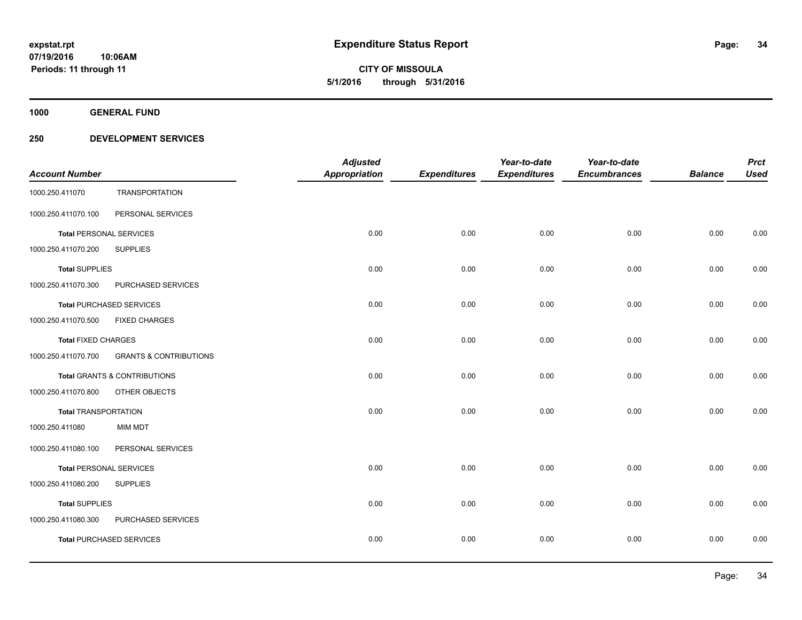**1000 GENERAL FUND**

|                                |                                         | <b>Adjusted</b>      |                     | Year-to-date        | Year-to-date        |                | <b>Prct</b> |
|--------------------------------|-----------------------------------------|----------------------|---------------------|---------------------|---------------------|----------------|-------------|
| <b>Account Number</b>          |                                         | <b>Appropriation</b> | <b>Expenditures</b> | <b>Expenditures</b> | <b>Encumbrances</b> | <b>Balance</b> | <b>Used</b> |
| 1000.250.411070                | <b>TRANSPORTATION</b>                   |                      |                     |                     |                     |                |             |
| 1000.250.411070.100            | PERSONAL SERVICES                       |                      |                     |                     |                     |                |             |
| <b>Total PERSONAL SERVICES</b> |                                         | 0.00                 | 0.00                | 0.00                | 0.00                | 0.00           | 0.00        |
| 1000.250.411070.200            | <b>SUPPLIES</b>                         |                      |                     |                     |                     |                |             |
| <b>Total SUPPLIES</b>          |                                         | 0.00                 | 0.00                | 0.00                | 0.00                | 0.00           | 0.00        |
| 1000.250.411070.300            | PURCHASED SERVICES                      |                      |                     |                     |                     |                |             |
|                                | <b>Total PURCHASED SERVICES</b>         | 0.00                 | 0.00                | 0.00                | 0.00                | 0.00           | 0.00        |
| 1000.250.411070.500            | <b>FIXED CHARGES</b>                    |                      |                     |                     |                     |                |             |
| <b>Total FIXED CHARGES</b>     |                                         | 0.00                 | 0.00                | 0.00                | 0.00                | 0.00           | 0.00        |
| 1000.250.411070.700            | <b>GRANTS &amp; CONTRIBUTIONS</b>       |                      |                     |                     |                     |                |             |
|                                | <b>Total GRANTS &amp; CONTRIBUTIONS</b> | 0.00                 | 0.00                | 0.00                | 0.00                | 0.00           | 0.00        |
| 1000.250.411070.800            | OTHER OBJECTS                           |                      |                     |                     |                     |                |             |
| <b>Total TRANSPORTATION</b>    |                                         | 0.00                 | 0.00                | 0.00                | 0.00                | 0.00           | 0.00        |
| 1000.250.411080                | <b>MIM MDT</b>                          |                      |                     |                     |                     |                |             |
| 1000.250.411080.100            | PERSONAL SERVICES                       |                      |                     |                     |                     |                |             |
| <b>Total PERSONAL SERVICES</b> |                                         | 0.00                 | 0.00                | 0.00                | 0.00                | 0.00           | 0.00        |
| 1000.250.411080.200            | <b>SUPPLIES</b>                         |                      |                     |                     |                     |                |             |
| <b>Total SUPPLIES</b>          |                                         | 0.00                 | 0.00                | 0.00                | 0.00                | 0.00           | 0.00        |
| 1000.250.411080.300            | PURCHASED SERVICES                      |                      |                     |                     |                     |                |             |
|                                | <b>Total PURCHASED SERVICES</b>         | 0.00                 | 0.00                | 0.00                | 0.00                | 0.00           | 0.00        |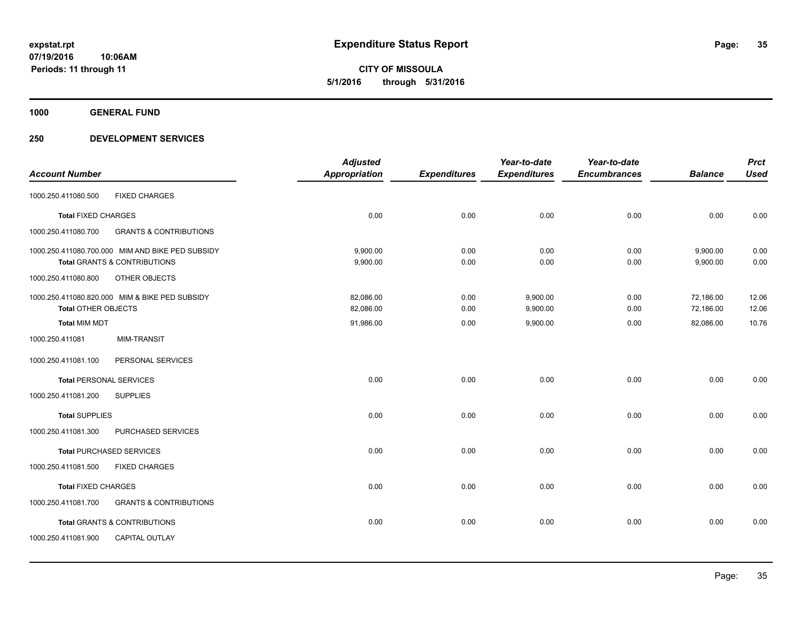**1000 GENERAL FUND**

|                                |                                                  | <b>Adjusted</b>      |                     | Year-to-date        | Year-to-date        |                | <b>Prct</b> |
|--------------------------------|--------------------------------------------------|----------------------|---------------------|---------------------|---------------------|----------------|-------------|
| <b>Account Number</b>          |                                                  | <b>Appropriation</b> | <b>Expenditures</b> | <b>Expenditures</b> | <b>Encumbrances</b> | <b>Balance</b> | <b>Used</b> |
| 1000.250.411080.500            | <b>FIXED CHARGES</b>                             |                      |                     |                     |                     |                |             |
| <b>Total FIXED CHARGES</b>     |                                                  | 0.00                 | 0.00                | 0.00                | 0.00                | 0.00           | 0.00        |
| 1000.250.411080.700            | <b>GRANTS &amp; CONTRIBUTIONS</b>                |                      |                     |                     |                     |                |             |
|                                | 1000.250.411080.700.000 MIM AND BIKE PED SUBSIDY | 9,900.00             | 0.00                | 0.00                | 0.00                | 9,900.00       | 0.00        |
|                                | Total GRANTS & CONTRIBUTIONS                     | 9,900.00             | 0.00                | 0.00                | 0.00                | 9,900.00       | 0.00        |
| 1000.250.411080.800            | OTHER OBJECTS                                    |                      |                     |                     |                     |                |             |
|                                | 1000.250.411080.820.000 MIM & BIKE PED SUBSIDY   | 82,086.00            | 0.00                | 9,900.00            | 0.00                | 72,186.00      | 12.06       |
| <b>Total OTHER OBJECTS</b>     |                                                  | 82,086.00            | 0.00                | 9,900.00            | 0.00                | 72,186.00      | 12.06       |
| <b>Total MIM MDT</b>           |                                                  | 91,986.00            | 0.00                | 9,900.00            | 0.00                | 82.086.00      | 10.76       |
| 1000.250.411081                | <b>MIM-TRANSIT</b>                               |                      |                     |                     |                     |                |             |
| 1000.250.411081.100            | PERSONAL SERVICES                                |                      |                     |                     |                     |                |             |
| <b>Total PERSONAL SERVICES</b> |                                                  | 0.00                 | 0.00                | 0.00                | 0.00                | 0.00           | 0.00        |
| 1000.250.411081.200            | <b>SUPPLIES</b>                                  |                      |                     |                     |                     |                |             |
| <b>Total SUPPLIES</b>          |                                                  | 0.00                 | 0.00                | 0.00                | 0.00                | 0.00           | 0.00        |
| 1000.250.411081.300            | PURCHASED SERVICES                               |                      |                     |                     |                     |                |             |
|                                | <b>Total PURCHASED SERVICES</b>                  | 0.00                 | 0.00                | 0.00                | 0.00                | 0.00           | 0.00        |
| 1000.250.411081.500            | <b>FIXED CHARGES</b>                             |                      |                     |                     |                     |                |             |
| <b>Total FIXED CHARGES</b>     |                                                  | 0.00                 | 0.00                | 0.00                | 0.00                | 0.00           | 0.00        |
| 1000.250.411081.700            | <b>GRANTS &amp; CONTRIBUTIONS</b>                |                      |                     |                     |                     |                |             |
|                                | <b>Total GRANTS &amp; CONTRIBUTIONS</b>          | 0.00                 | 0.00                | 0.00                | 0.00                | 0.00           | 0.00        |
| 1000.250.411081.900            | <b>CAPITAL OUTLAY</b>                            |                      |                     |                     |                     |                |             |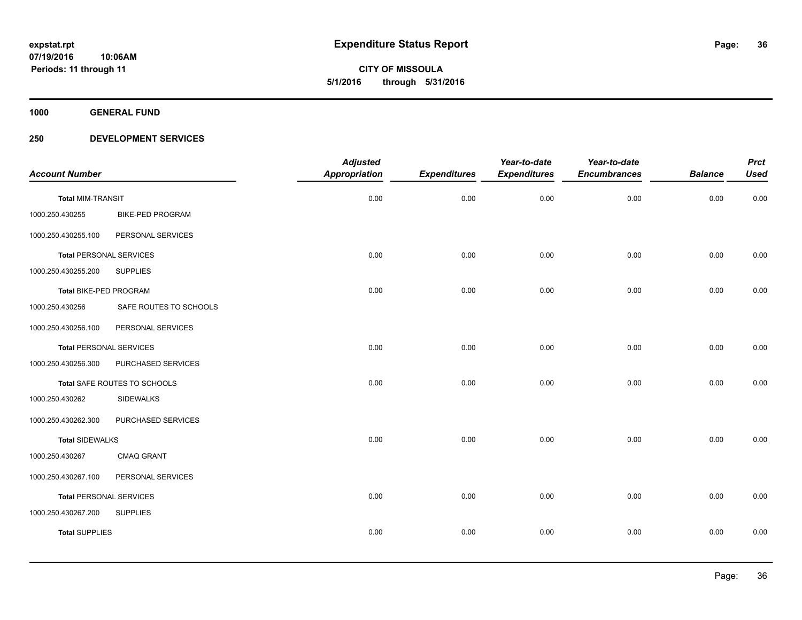**1000 GENERAL FUND**

|                                |                         | <b>Adjusted</b>      |                     | Year-to-date        | Year-to-date        |                | <b>Prct</b> |
|--------------------------------|-------------------------|----------------------|---------------------|---------------------|---------------------|----------------|-------------|
| <b>Account Number</b>          |                         | <b>Appropriation</b> | <b>Expenditures</b> | <b>Expenditures</b> | <b>Encumbrances</b> | <b>Balance</b> | <b>Used</b> |
| <b>Total MIM-TRANSIT</b>       |                         | 0.00                 | 0.00                | 0.00                | 0.00                | 0.00           | 0.00        |
| 1000.250.430255                | <b>BIKE-PED PROGRAM</b> |                      |                     |                     |                     |                |             |
| 1000.250.430255.100            | PERSONAL SERVICES       |                      |                     |                     |                     |                |             |
| <b>Total PERSONAL SERVICES</b> |                         | 0.00                 | 0.00                | 0.00                | 0.00                | 0.00           | 0.00        |
| 1000.250.430255.200            | <b>SUPPLIES</b>         |                      |                     |                     |                     |                |             |
| Total BIKE-PED PROGRAM         |                         | 0.00                 | 0.00                | 0.00                | 0.00                | 0.00           | 0.00        |
| 1000.250.430256                | SAFE ROUTES TO SCHOOLS  |                      |                     |                     |                     |                |             |
| 1000.250.430256.100            | PERSONAL SERVICES       |                      |                     |                     |                     |                |             |
| <b>Total PERSONAL SERVICES</b> |                         | 0.00                 | 0.00                | 0.00                | 0.00                | 0.00           | 0.00        |
| 1000.250.430256.300            | PURCHASED SERVICES      |                      |                     |                     |                     |                |             |
| Total SAFE ROUTES TO SCHOOLS   |                         | 0.00                 | 0.00                | 0.00                | 0.00                | 0.00           | 0.00        |
| 1000.250.430262                | <b>SIDEWALKS</b>        |                      |                     |                     |                     |                |             |
| 1000.250.430262.300            | PURCHASED SERVICES      |                      |                     |                     |                     |                |             |
| <b>Total SIDEWALKS</b>         |                         | 0.00                 | 0.00                | 0.00                | 0.00                | 0.00           | 0.00        |
| 1000.250.430267                | CMAQ GRANT              |                      |                     |                     |                     |                |             |
| 1000.250.430267.100            | PERSONAL SERVICES       |                      |                     |                     |                     |                |             |
| <b>Total PERSONAL SERVICES</b> |                         | 0.00                 | 0.00                | 0.00                | 0.00                | 0.00           | 0.00        |
| 1000.250.430267.200            | <b>SUPPLIES</b>         |                      |                     |                     |                     |                |             |
| <b>Total SUPPLIES</b>          |                         | 0.00                 | 0.00                | 0.00                | 0.00                | 0.00           | 0.00        |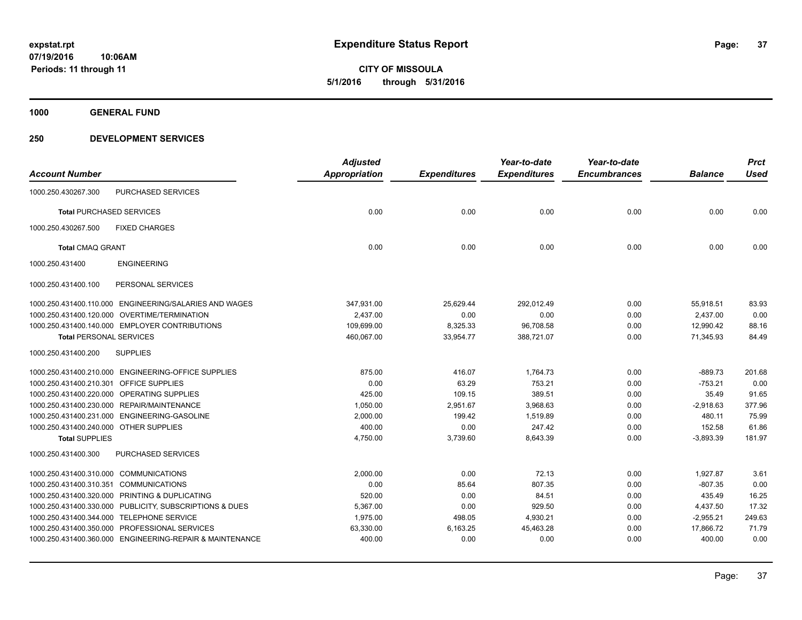**CITY OF MISSOULA 5/1/2016 through 5/31/2016**

**1000 GENERAL FUND**

## **250 DEVELOPMENT SERVICES**

| <b>Account Number</b>                   |                                                          | <b>Adjusted</b><br><b>Appropriation</b> | <b>Expenditures</b> | Year-to-date<br><b>Expenditures</b> | Year-to-date<br><b>Encumbrances</b> | <b>Balance</b> | <b>Prct</b><br><b>Used</b> |
|-----------------------------------------|----------------------------------------------------------|-----------------------------------------|---------------------|-------------------------------------|-------------------------------------|----------------|----------------------------|
| 1000.250.430267.300                     | <b>PURCHASED SERVICES</b>                                |                                         |                     |                                     |                                     |                |                            |
| <b>Total PURCHASED SERVICES</b>         |                                                          | 0.00                                    | 0.00                | 0.00                                | 0.00                                | 0.00           | 0.00                       |
| 1000.250.430267.500                     | <b>FIXED CHARGES</b>                                     |                                         |                     |                                     |                                     |                |                            |
| <b>Total CMAQ GRANT</b>                 |                                                          | 0.00                                    | 0.00                | 0.00                                | 0.00                                | 0.00           | 0.00                       |
| 1000.250.431400                         | <b>ENGINEERING</b>                                       |                                         |                     |                                     |                                     |                |                            |
| 1000.250.431400.100                     | PERSONAL SERVICES                                        |                                         |                     |                                     |                                     |                |                            |
|                                         | 1000.250.431400.110.000 ENGINEERING/SALARIES AND WAGES   | 347,931.00                              | 25,629.44           | 292,012.49                          | 0.00                                | 55,918.51      | 83.93                      |
|                                         | 1000.250.431400.120.000 OVERTIME/TERMINATION             | 2,437.00                                | 0.00                | 0.00                                | 0.00                                | 2,437.00       | 0.00                       |
|                                         | 1000.250.431400.140.000 EMPLOYER CONTRIBUTIONS           | 109,699.00                              | 8,325.33            | 96,708.58                           | 0.00                                | 12,990.42      | 88.16                      |
| <b>Total PERSONAL SERVICES</b>          |                                                          | 460,067.00                              | 33,954.77           | 388,721.07                          | 0.00                                | 71,345.93      | 84.49                      |
| 1000.250.431400.200                     | <b>SUPPLIES</b>                                          |                                         |                     |                                     |                                     |                |                            |
|                                         | 1000.250.431400.210.000 ENGINEERING-OFFICE SUPPLIES      | 875.00                                  | 416.07              | 1,764.73                            | 0.00                                | $-889.73$      | 201.68                     |
| 1000.250.431400.210.301 OFFICE SUPPLIES |                                                          | 0.00                                    | 63.29               | 753.21                              | 0.00                                | $-753.21$      | 0.00                       |
|                                         | 1000.250.431400.220.000 OPERATING SUPPLIES               | 425.00                                  | 109.15              | 389.51                              | 0.00                                | 35.49          | 91.65                      |
|                                         | 1000.250.431400.230.000 REPAIR/MAINTENANCE               | 1,050.00                                | 2,951.67            | 3,968.63                            | 0.00                                | $-2.918.63$    | 377.96                     |
|                                         | 1000.250.431400.231.000 ENGINEERING-GASOLINE             | 2,000.00                                | 199.42              | 1,519.89                            | 0.00                                | 480.11         | 75.99                      |
| 1000.250.431400.240.000 OTHER SUPPLIES  |                                                          | 400.00                                  | 0.00                | 247.42                              | 0.00                                | 152.58         | 61.86                      |
| <b>Total SUPPLIES</b>                   |                                                          | 4,750.00                                | 3,739.60            | 8,643.39                            | 0.00                                | $-3,893.39$    | 181.97                     |
| 1000.250.431400.300                     | PURCHASED SERVICES                                       |                                         |                     |                                     |                                     |                |                            |
| 1000.250.431400.310.000 COMMUNICATIONS  |                                                          | 2,000.00                                | 0.00                | 72.13                               | 0.00                                | 1.927.87       | 3.61                       |
| 1000.250.431400.310.351 COMMUNICATIONS  |                                                          | 0.00                                    | 85.64               | 807.35                              | 0.00                                | $-807.35$      | 0.00                       |
|                                         | 1000.250.431400.320.000 PRINTING & DUPLICATING           | 520.00                                  | 0.00                | 84.51                               | 0.00                                | 435.49         | 16.25                      |
|                                         | 1000.250.431400.330.000 PUBLICITY, SUBSCRIPTIONS & DUES  | 5.367.00                                | 0.00                | 929.50                              | 0.00                                | 4,437.50       | 17.32                      |
|                                         | 1000.250.431400.344.000 TELEPHONE SERVICE                | 1,975.00                                | 498.05              | 4,930.21                            | 0.00                                | $-2,955.21$    | 249.63                     |
|                                         | 1000.250.431400.350.000 PROFESSIONAL SERVICES            | 63,330.00                               | 6,163.25            | 45,463.28                           | 0.00                                | 17,866.72      | 71.79                      |
|                                         | 1000.250.431400.360.000 ENGINEERING-REPAIR & MAINTENANCE | 400.00                                  | 0.00                | 0.00                                | 0.00                                | 400.00         | 0.00                       |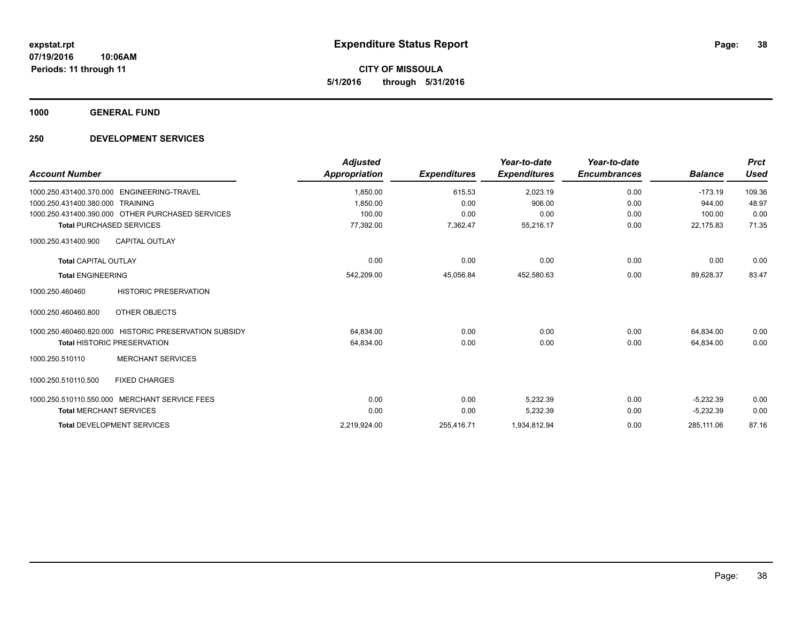**CITY OF MISSOULA 5/1/2016 through 5/31/2016**

**1000 GENERAL FUND**

## **250 DEVELOPMENT SERVICES**

| <b>Account Number</b>                                           | <b>Adjusted</b><br><b>Appropriation</b> | <b>Expenditures</b> | Year-to-date<br><b>Expenditures</b> | Year-to-date<br><b>Encumbrances</b> | <b>Balance</b> | <b>Prct</b><br><b>Used</b> |
|-----------------------------------------------------------------|-----------------------------------------|---------------------|-------------------------------------|-------------------------------------|----------------|----------------------------|
| 1000.250.431400.370.000    ENGINEERING-TRAVEL                   | 1,850.00                                | 615.53              | 2,023.19                            | 0.00                                | $-173.19$      | 109.36                     |
| 1000.250.431400.380.000 TRAINING                                | 1.850.00                                | 0.00                | 906.00                              | 0.00                                | 944.00         | 48.97                      |
| 1000.250.431400.390.000 OTHER PURCHASED SERVICES                | 100.00                                  | 0.00                | 0.00                                | 0.00                                | 100.00         | 0.00                       |
| <b>Total PURCHASED SERVICES</b>                                 | 77,392.00                               | 7,362.47            | 55,216.17                           | 0.00                                | 22,175.83      | 71.35                      |
| <b>CAPITAL OUTLAY</b><br>1000.250.431400.900                    |                                         |                     |                                     |                                     |                |                            |
| <b>Total CAPITAL OUTLAY</b>                                     | 0.00                                    | 0.00                | 0.00                                | 0.00                                | 0.00           | 0.00                       |
| <b>Total ENGINEERING</b>                                        | 542,209.00                              | 45,056.84           | 452,580.63                          | 0.00                                | 89.628.37      | 83.47                      |
| <b>HISTORIC PRESERVATION</b><br>1000.250.460460                 |                                         |                     |                                     |                                     |                |                            |
| OTHER OBJECTS<br>1000.250.460460.800                            |                                         |                     |                                     |                                     |                |                            |
| <b>HISTORIC PRESERVATION SUBSIDY</b><br>1000.250.460460.820.000 | 64,834.00                               | 0.00                | 0.00                                | 0.00                                | 64,834.00      | 0.00                       |
| <b>Total HISTORIC PRESERVATION</b>                              | 64,834.00                               | 0.00                | 0.00                                | 0.00                                | 64.834.00      | 0.00                       |
| <b>MERCHANT SERVICES</b><br>1000.250.510110                     |                                         |                     |                                     |                                     |                |                            |
| 1000.250.510110.500<br><b>FIXED CHARGES</b>                     |                                         |                     |                                     |                                     |                |                            |
| 1000.250.510110.550.000 MERCHANT SERVICE FEES                   | 0.00                                    | 0.00                | 5.232.39                            | 0.00                                | $-5,232.39$    | 0.00                       |
| <b>Total MERCHANT SERVICES</b>                                  | 0.00                                    | 0.00                | 5,232.39                            | 0.00                                | $-5,232.39$    | 0.00                       |
| <b>Total DEVELOPMENT SERVICES</b>                               | 2,219,924.00                            | 255,416.71          | 1,934,812.94                        | 0.00                                | 285,111.06     | 87.16                      |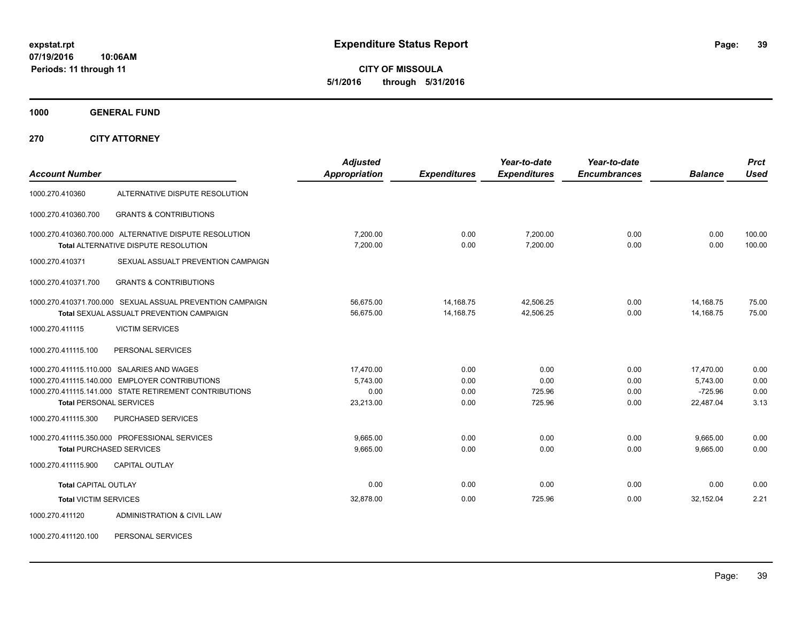**CITY OF MISSOULA 5/1/2016 through 5/31/2016**

**1000 GENERAL FUND**

**270 CITY ATTORNEY**

| <b>Account Number</b>          |                                                                                                                                                        | <b>Adjusted</b><br>Appropriation           | <b>Expenditures</b>          | Year-to-date<br><b>Expenditures</b> | Year-to-date<br><b>Encumbrances</b> | <b>Balance</b>                                  | <b>Prct</b><br><b>Used</b>   |
|--------------------------------|--------------------------------------------------------------------------------------------------------------------------------------------------------|--------------------------------------------|------------------------------|-------------------------------------|-------------------------------------|-------------------------------------------------|------------------------------|
| 1000.270.410360                | ALTERNATIVE DISPUTE RESOLUTION                                                                                                                         |                                            |                              |                                     |                                     |                                                 |                              |
| 1000.270.410360.700            | <b>GRANTS &amp; CONTRIBUTIONS</b>                                                                                                                      |                                            |                              |                                     |                                     |                                                 |                              |
|                                | 1000.270.410360.700.000 ALTERNATIVE DISPUTE RESOLUTION<br><b>Total ALTERNATIVE DISPUTE RESOLUTION</b>                                                  | 7.200.00<br>7.200.00                       | 0.00<br>0.00                 | 7.200.00<br>7,200.00                | 0.00<br>0.00                        | 0.00<br>0.00                                    | 100.00<br>100.00             |
| 1000.270.410371                | SEXUAL ASSUALT PREVENTION CAMPAIGN                                                                                                                     |                                            |                              |                                     |                                     |                                                 |                              |
| 1000.270.410371.700            | <b>GRANTS &amp; CONTRIBUTIONS</b>                                                                                                                      |                                            |                              |                                     |                                     |                                                 |                              |
|                                | 1000.270.410371.700.000 SEXUAL ASSUAL PREVENTION CAMPAIGN<br><b>Total SEXUAL ASSUALT PREVENTION CAMPAIGN</b>                                           | 56,675.00<br>56,675.00                     | 14,168.75<br>14,168.75       | 42,506.25<br>42,506.25              | 0.00<br>0.00                        | 14,168.75<br>14,168.75                          | 75.00<br>75.00               |
| 1000.270.411115                | <b>VICTIM SERVICES</b>                                                                                                                                 |                                            |                              |                                     |                                     |                                                 |                              |
| 1000.270.411115.100            | PERSONAL SERVICES                                                                                                                                      |                                            |                              |                                     |                                     |                                                 |                              |
| <b>Total PERSONAL SERVICES</b> | 1000.270.411115.110.000 SALARIES AND WAGES<br>1000.270.411115.140.000 EMPLOYER CONTRIBUTIONS<br>1000.270.411115.141.000 STATE RETIREMENT CONTRIBUTIONS | 17,470.00<br>5.743.00<br>0.00<br>23,213.00 | 0.00<br>0.00<br>0.00<br>0.00 | 0.00<br>0.00<br>725.96<br>725.96    | 0.00<br>0.00<br>0.00<br>0.00        | 17,470.00<br>5.743.00<br>$-725.96$<br>22,487.04 | 0.00<br>0.00<br>0.00<br>3.13 |
| 1000.270.411115.300            | <b>PURCHASED SERVICES</b>                                                                                                                              |                                            |                              |                                     |                                     |                                                 |                              |
|                                | 1000.270.411115.350.000 PROFESSIONAL SERVICES<br><b>Total PURCHASED SERVICES</b>                                                                       | 9,665.00<br>9,665.00                       | 0.00<br>0.00                 | 0.00<br>0.00                        | 0.00<br>0.00                        | 9,665.00<br>9,665.00                            | 0.00<br>0.00                 |
| 1000.270.411115.900            | <b>CAPITAL OUTLAY</b>                                                                                                                                  |                                            |                              |                                     |                                     |                                                 |                              |
| <b>Total CAPITAL OUTLAY</b>    |                                                                                                                                                        | 0.00                                       | 0.00                         | 0.00                                | 0.00                                | 0.00                                            | 0.00                         |
| <b>Total VICTIM SERVICES</b>   |                                                                                                                                                        | 32,878.00                                  | 0.00                         | 725.96                              | 0.00                                | 32,152.04                                       | 2.21                         |
| 1000.270.411120                | ADMINISTRATION & CIVIL LAW                                                                                                                             |                                            |                              |                                     |                                     |                                                 |                              |

1000.270.411120.100 PERSONAL SERVICES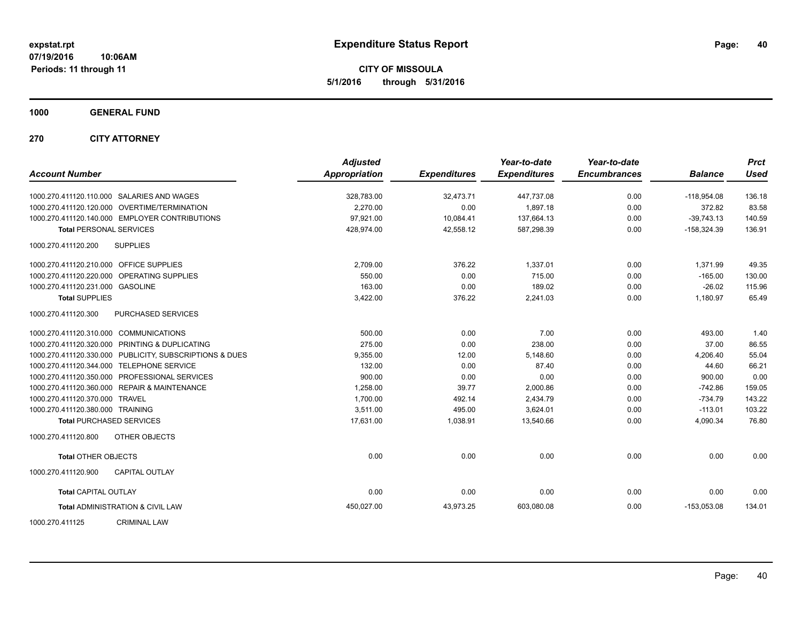**CITY OF MISSOULA 5/1/2016 through 5/31/2016**

**1000 GENERAL FUND**

**270 CITY ATTORNEY**

| <b>Account Number</b>                   |                                                         | <b>Adjusted</b><br><b>Appropriation</b> | <b>Expenditures</b> | Year-to-date<br><b>Expenditures</b> | Year-to-date<br><b>Encumbrances</b> | <b>Balance</b> | <b>Prct</b><br><b>Used</b> |
|-----------------------------------------|---------------------------------------------------------|-----------------------------------------|---------------------|-------------------------------------|-------------------------------------|----------------|----------------------------|
|                                         | 1000.270.411120.110.000 SALARIES AND WAGES              | 328,783.00                              | 32,473.71           | 447,737.08                          | 0.00                                | $-118,954.08$  | 136.18                     |
|                                         | 1000.270.411120.120.000 OVERTIME/TERMINATION            | 2.270.00                                | 0.00                | 1,897.18                            | 0.00                                | 372.82         | 83.58                      |
|                                         | 1000.270.411120.140.000 EMPLOYER CONTRIBUTIONS          | 97,921.00                               | 10,084.41           | 137,664.13                          | 0.00                                | $-39,743.13$   | 140.59                     |
| <b>Total PERSONAL SERVICES</b>          |                                                         | 428,974.00                              | 42,558.12           | 587,298.39                          | 0.00                                | $-158,324.39$  | 136.91                     |
| 1000.270.411120.200                     | <b>SUPPLIES</b>                                         |                                         |                     |                                     |                                     |                |                            |
| 1000.270.411120.210.000 OFFICE SUPPLIES |                                                         | 2,709.00                                | 376.22              | 1,337.01                            | 0.00                                | 1,371.99       | 49.35                      |
|                                         | 1000.270.411120.220.000 OPERATING SUPPLIES              | 550.00                                  | 0.00                | 715.00                              | 0.00                                | $-165.00$      | 130.00                     |
| 1000.270.411120.231.000 GASOLINE        |                                                         | 163.00                                  | 0.00                | 189.02                              | 0.00                                | $-26.02$       | 115.96                     |
| <b>Total SUPPLIES</b>                   |                                                         | 3,422.00                                | 376.22              | 2,241.03                            | 0.00                                | 1,180.97       | 65.49                      |
| 1000.270.411120.300                     | PURCHASED SERVICES                                      |                                         |                     |                                     |                                     |                |                            |
| 1000.270.411120.310.000 COMMUNICATIONS  |                                                         | 500.00                                  | 0.00                | 7.00                                | 0.00                                | 493.00         | 1.40                       |
|                                         | 1000.270.411120.320.000 PRINTING & DUPLICATING          | 275.00                                  | 0.00                | 238.00                              | 0.00                                | 37.00          | 86.55                      |
|                                         | 1000.270.411120.330.000 PUBLICITY, SUBSCRIPTIONS & DUES | 9,355.00                                | 12.00               | 5,148.60                            | 0.00                                | 4,206.40       | 55.04                      |
|                                         | 1000.270.411120.344.000 TELEPHONE SERVICE               | 132.00                                  | 0.00                | 87.40                               | 0.00                                | 44.60          | 66.21                      |
|                                         | 1000.270.411120.350.000 PROFESSIONAL SERVICES           | 900.00                                  | 0.00                | 0.00                                | 0.00                                | 900.00         | 0.00                       |
|                                         | 1000.270.411120.360.000 REPAIR & MAINTENANCE            | 1,258.00                                | 39.77               | 2,000.86                            | 0.00                                | $-742.86$      | 159.05                     |
| 1000.270.411120.370.000 TRAVEL          |                                                         | 1,700.00                                | 492.14              | 2,434.79                            | 0.00                                | $-734.79$      | 143.22                     |
| 1000.270.411120.380.000 TRAINING        |                                                         | 3.511.00                                | 495.00              | 3.624.01                            | 0.00                                | $-113.01$      | 103.22                     |
| <b>Total PURCHASED SERVICES</b>         |                                                         | 17,631.00                               | 1,038.91            | 13,540.66                           | 0.00                                | 4,090.34       | 76.80                      |
| 1000.270.411120.800                     | <b>OTHER OBJECTS</b>                                    |                                         |                     |                                     |                                     |                |                            |
| <b>Total OTHER OBJECTS</b>              |                                                         | 0.00                                    | 0.00                | 0.00                                | 0.00                                | 0.00           | 0.00                       |
| 1000.270.411120.900                     | <b>CAPITAL OUTLAY</b>                                   |                                         |                     |                                     |                                     |                |                            |
| <b>Total CAPITAL OUTLAY</b>             |                                                         | 0.00                                    | 0.00                | 0.00                                | 0.00                                | 0.00           | 0.00                       |
|                                         | <b>Total ADMINISTRATION &amp; CIVIL LAW</b>             | 450,027.00                              | 43,973.25           | 603,080.08                          | 0.00                                | $-153,053.08$  | 134.01                     |
| 1000.270.411125                         | <b>CRIMINAL LAW</b>                                     |                                         |                     |                                     |                                     |                |                            |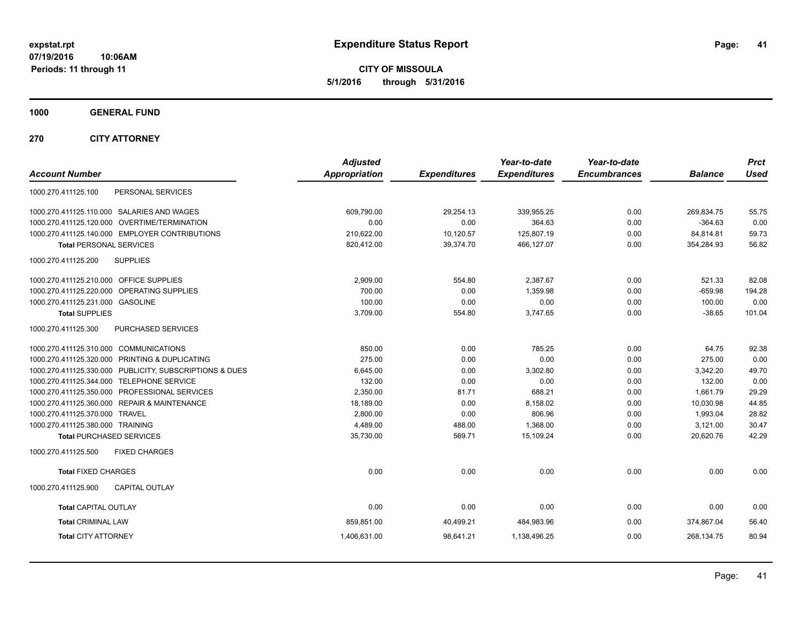**CITY OF MISSOULA 5/1/2016 through 5/31/2016**

**1000 GENERAL FUND**

**270 CITY ATTORNEY**

| <b>Account Number</b>                                   | <b>Adjusted</b><br><b>Appropriation</b> | <b>Expenditures</b> | Year-to-date<br><b>Expenditures</b> | Year-to-date<br><b>Encumbrances</b> | <b>Balance</b> | <b>Prct</b><br><b>Used</b> |
|---------------------------------------------------------|-----------------------------------------|---------------------|-------------------------------------|-------------------------------------|----------------|----------------------------|
| PERSONAL SERVICES<br>1000.270.411125.100                |                                         |                     |                                     |                                     |                |                            |
| 1000.270.411125.110.000 SALARIES AND WAGES              | 609,790.00                              | 29,254.13           | 339,955.25                          | 0.00                                | 269,834.75     | 55.75                      |
| 1000.270.411125.120.000 OVERTIME/TERMINATION            | 0.00                                    | 0.00                | 364.63                              | 0.00                                | $-364.63$      | 0.00                       |
| 1000.270.411125.140.000 EMPLOYER CONTRIBUTIONS          | 210,622.00                              | 10,120.57           | 125,807.19                          | 0.00                                | 84,814.81      | 59.73                      |
| <b>Total PERSONAL SERVICES</b>                          | 820,412.00                              | 39,374.70           | 466,127.07                          | 0.00                                | 354,284.93     | 56.82                      |
| 1000.270.411125.200<br><b>SUPPLIES</b>                  |                                         |                     |                                     |                                     |                |                            |
| 1000.270.411125.210.000 OFFICE SUPPLIES                 | 2,909.00                                | 554.80              | 2,387.67                            | 0.00                                | 521.33         | 82.08                      |
| OPERATING SUPPLIES<br>1000.270.411125.220.000           | 700.00                                  | 0.00                | 1,359.98                            | 0.00                                | $-659.98$      | 194.28                     |
| 1000.270.411125.231.000 GASOLINE                        | 100.00                                  | 0.00                | 0.00                                | 0.00                                | 100.00         | 0.00                       |
| <b>Total SUPPLIES</b>                                   | 3,709.00                                | 554.80              | 3,747.65                            | 0.00                                | $-38.65$       | 101.04                     |
| 1000.270.411125.300<br>PURCHASED SERVICES               |                                         |                     |                                     |                                     |                |                            |
| 1000.270.411125.310.000 COMMUNICATIONS                  | 850.00                                  | 0.00                | 785.25                              | 0.00                                | 64.75          | 92.38                      |
| 1000.270.411125.320.000 PRINTING & DUPLICATING          | 275.00                                  | 0.00                | 0.00                                | 0.00                                | 275.00         | 0.00                       |
| 1000.270.411125.330.000 PUBLICITY, SUBSCRIPTIONS & DUES | 6,645.00                                | 0.00                | 3,302.80                            | 0.00                                | 3,342.20       | 49.70                      |
| 1000.270.411125.344.000 TELEPHONE SERVICE               | 132.00                                  | 0.00                | 0.00                                | 0.00                                | 132.00         | 0.00                       |
| 1000.270.411125.350.000 PROFESSIONAL SERVICES           | 2,350.00                                | 81.71               | 688.21                              | 0.00                                | 1,661.79       | 29.29                      |
| 1000.270.411125.360.000 REPAIR & MAINTENANCE            | 18,189.00                               | 0.00                | 8,158.02                            | 0.00                                | 10,030.98      | 44.85                      |
| 1000.270.411125.370.000 TRAVEL                          | 2,800.00                                | 0.00                | 806.96                              | 0.00                                | 1,993.04       | 28.82                      |
| 1000.270.411125.380.000 TRAINING                        | 4,489.00                                | 488.00              | 1.368.00                            | 0.00                                | 3,121.00       | 30.47                      |
| <b>Total PURCHASED SERVICES</b>                         | 35,730.00                               | 569.71              | 15,109.24                           | 0.00                                | 20,620.76      | 42.29                      |
| 1000.270.411125.500<br><b>FIXED CHARGES</b>             |                                         |                     |                                     |                                     |                |                            |
| <b>Total FIXED CHARGES</b>                              | 0.00                                    | 0.00                | 0.00                                | 0.00                                | 0.00           | 0.00                       |
| 1000.270.411125.900<br><b>CAPITAL OUTLAY</b>            |                                         |                     |                                     |                                     |                |                            |
| <b>Total CAPITAL OUTLAY</b>                             | 0.00                                    | 0.00                | 0.00                                | 0.00                                | 0.00           | 0.00                       |
| <b>Total CRIMINAL LAW</b>                               | 859,851.00                              | 40,499.21           | 484,983.96                          | 0.00                                | 374,867.04     | 56.40                      |
| <b>Total CITY ATTORNEY</b>                              | 1,406,631.00                            | 98,641.21           | 1,138,496.25                        | 0.00                                | 268,134.75     | 80.94                      |
|                                                         |                                         |                     |                                     |                                     |                |                            |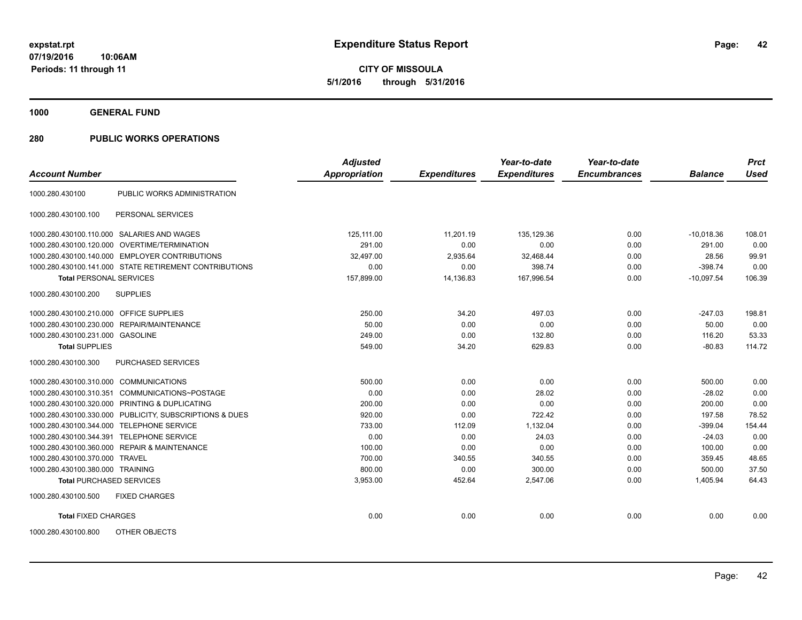**CITY OF MISSOULA 5/1/2016 through 5/31/2016**

**1000 GENERAL FUND**

| <b>Account Number</b>                   |                                                         | <b>Adjusted</b><br><b>Appropriation</b> | <b>Expenditures</b> | Year-to-date<br><b>Expenditures</b> | Year-to-date<br><b>Encumbrances</b> | <b>Balance</b> | <b>Prct</b><br><b>Used</b> |
|-----------------------------------------|---------------------------------------------------------|-----------------------------------------|---------------------|-------------------------------------|-------------------------------------|----------------|----------------------------|
|                                         |                                                         |                                         |                     |                                     |                                     |                |                            |
| 1000.280.430100                         | PUBLIC WORKS ADMINISTRATION                             |                                         |                     |                                     |                                     |                |                            |
| 1000.280.430100.100                     | PERSONAL SERVICES                                       |                                         |                     |                                     |                                     |                |                            |
|                                         | 1000.280.430100.110.000 SALARIES AND WAGES              | 125.111.00                              | 11.201.19           | 135.129.36                          | 0.00                                | $-10,018.36$   | 108.01                     |
|                                         | 1000.280.430100.120.000 OVERTIME/TERMINATION            | 291.00                                  | 0.00                | 0.00                                | 0.00                                | 291.00         | 0.00                       |
|                                         | 1000.280.430100.140.000 EMPLOYER CONTRIBUTIONS          | 32,497.00                               | 2,935.64            | 32,468.44                           | 0.00                                | 28.56          | 99.91                      |
|                                         | 1000.280.430100.141.000 STATE RETIREMENT CONTRIBUTIONS  | 0.00                                    | 0.00                | 398.74                              | 0.00                                | $-398.74$      | 0.00                       |
| <b>Total PERSONAL SERVICES</b>          |                                                         | 157,899.00                              | 14,136.83           | 167,996.54                          | 0.00                                | $-10,097.54$   | 106.39                     |
| 1000.280.430100.200                     | <b>SUPPLIES</b>                                         |                                         |                     |                                     |                                     |                |                            |
| 1000.280.430100.210.000 OFFICE SUPPLIES |                                                         | 250.00                                  | 34.20               | 497.03                              | 0.00                                | $-247.03$      | 198.81                     |
|                                         | 1000.280.430100.230.000 REPAIR/MAINTENANCE              | 50.00                                   | 0.00                | 0.00                                | 0.00                                | 50.00          | 0.00                       |
| 1000.280.430100.231.000 GASOLINE        |                                                         | 249.00                                  | 0.00                | 132.80                              | 0.00                                | 116.20         | 53.33                      |
| <b>Total SUPPLIES</b>                   |                                                         | 549.00                                  | 34.20               | 629.83                              | 0.00                                | $-80.83$       | 114.72                     |
| 1000.280.430100.300                     | <b>PURCHASED SERVICES</b>                               |                                         |                     |                                     |                                     |                |                            |
| 1000.280.430100.310.000 COMMUNICATIONS  |                                                         | 500.00                                  | 0.00                | 0.00                                | 0.00                                | 500.00         | 0.00                       |
| 1000.280.430100.310.351                 | COMMUNICATIONS~POSTAGE                                  | 0.00                                    | 0.00                | 28.02                               | 0.00                                | $-28.02$       | 0.00                       |
|                                         | 1000.280.430100.320.000 PRINTING & DUPLICATING          | 200.00                                  | 0.00                | 0.00                                | 0.00                                | 200.00         | 0.00                       |
|                                         | 1000.280.430100.330.000 PUBLICITY, SUBSCRIPTIONS & DUES | 920.00                                  | 0.00                | 722.42                              | 0.00                                | 197.58         | 78.52                      |
| 1000.280.430100.344.000                 | <b>TELEPHONE SERVICE</b>                                | 733.00                                  | 112.09              | 1,132.04                            | 0.00                                | $-399.04$      | 154.44                     |
| 1000.280.430100.344.391                 | <b>TELEPHONE SERVICE</b>                                | 0.00                                    | 0.00                | 24.03                               | 0.00                                | $-24.03$       | 0.00                       |
|                                         | 1000.280.430100.360.000 REPAIR & MAINTENANCE            | 100.00                                  | 0.00                | 0.00                                | 0.00                                | 100.00         | 0.00                       |
| 1000.280.430100.370.000 TRAVEL          |                                                         | 700.00                                  | 340.55              | 340.55                              | 0.00                                | 359.45         | 48.65                      |
| 1000.280.430100.380.000 TRAINING        |                                                         | 800.00                                  | 0.00                | 300.00                              | 0.00                                | 500.00         | 37.50                      |
| <b>Total PURCHASED SERVICES</b>         |                                                         | 3,953.00                                | 452.64              | 2,547.06                            | 0.00                                | 1,405.94       | 64.43                      |
| 1000.280.430100.500                     | <b>FIXED CHARGES</b>                                    |                                         |                     |                                     |                                     |                |                            |
| <b>Total FIXED CHARGES</b>              |                                                         | 0.00                                    | 0.00                | 0.00                                | 0.00                                | 0.00           | 0.00                       |
| 1000.280.430100.800                     | OTHER OBJECTS                                           |                                         |                     |                                     |                                     |                |                            |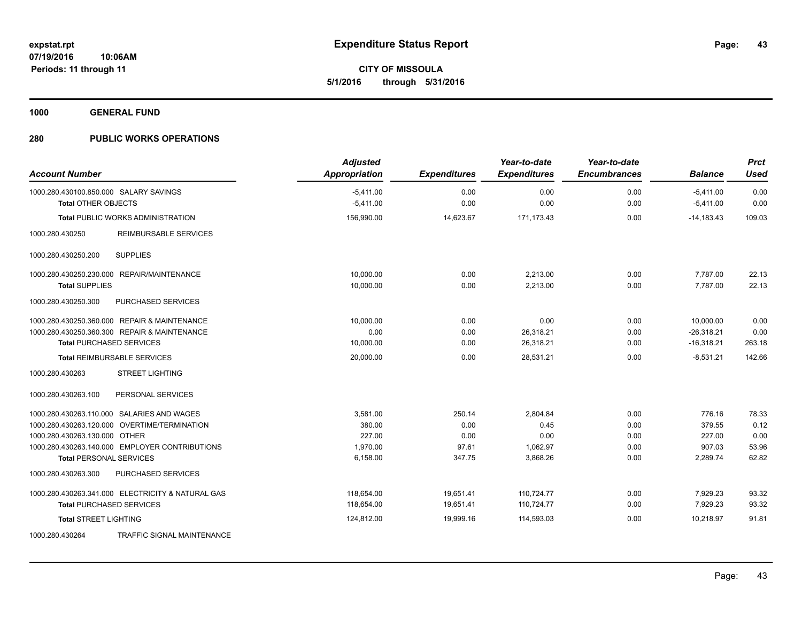**Periods: 11 through 11**

**CITY OF MISSOULA**

**43**

**5/1/2016 through 5/31/2016**

**1000 GENERAL FUND**

## **280 PUBLIC WORKS OPERATIONS**

**10:06AM**

| <b>Account Number</b>                             | <b>Adjusted</b><br><b>Appropriation</b> | <b>Expenditures</b> | Year-to-date<br><b>Expenditures</b> | Year-to-date<br><b>Encumbrances</b> | <b>Balance</b> | <b>Prct</b><br><b>Used</b> |
|---------------------------------------------------|-----------------------------------------|---------------------|-------------------------------------|-------------------------------------|----------------|----------------------------|
| 1000.280.430100.850.000 SALARY SAVINGS            | $-5,411.00$                             | 0.00                | 0.00                                | 0.00                                | $-5,411.00$    | 0.00                       |
| <b>Total OTHER OBJECTS</b>                        | $-5,411.00$                             | 0.00                | 0.00                                | 0.00                                | $-5,411.00$    | 0.00                       |
| <b>Total PUBLIC WORKS ADMINISTRATION</b>          | 156,990.00                              | 14,623.67           | 171.173.43                          | 0.00                                | $-14.183.43$   | 109.03                     |
| 1000.280.430250<br><b>REIMBURSABLE SERVICES</b>   |                                         |                     |                                     |                                     |                |                            |
| <b>SUPPLIES</b><br>1000.280.430250.200            |                                         |                     |                                     |                                     |                |                            |
| 1000.280.430250.230.000 REPAIR/MAINTENANCE        | 10,000.00                               | 0.00                | 2,213.00                            | 0.00                                | 7,787.00       | 22.13                      |
| <b>Total SUPPLIES</b>                             | 10,000.00                               | 0.00                | 2,213.00                            | 0.00                                | 7,787.00       | 22.13                      |
| 1000.280.430250.300<br>PURCHASED SERVICES         |                                         |                     |                                     |                                     |                |                            |
| 1000.280.430250.360.000 REPAIR & MAINTENANCE      | 10,000.00                               | 0.00                | 0.00                                | 0.00                                | 10,000.00      | 0.00                       |
| 1000.280.430250.360.300 REPAIR & MAINTENANCE      | 0.00                                    | 0.00                | 26,318.21                           | 0.00                                | $-26,318.21$   | 0.00                       |
| <b>Total PURCHASED SERVICES</b>                   | 10,000.00                               | 0.00                | 26,318.21                           | 0.00                                | $-16,318.21$   | 263.18                     |
| <b>Total REIMBURSABLE SERVICES</b>                | 20,000.00                               | 0.00                | 28.531.21                           | 0.00                                | $-8.531.21$    | 142.66                     |
| <b>STREET LIGHTING</b><br>1000.280.430263         |                                         |                     |                                     |                                     |                |                            |
| 1000.280.430263.100<br>PERSONAL SERVICES          |                                         |                     |                                     |                                     |                |                            |
| 1000.280.430263.110.000 SALARIES AND WAGES        | 3,581.00                                | 250.14              | 2,804.84                            | 0.00                                | 776.16         | 78.33                      |
| 1000.280.430263.120.000 OVERTIME/TERMINATION      | 380.00                                  | 0.00                | 0.45                                | 0.00                                | 379.55         | 0.12                       |
| 1000.280.430263.130.000 OTHER                     | 227.00                                  | 0.00                | 0.00                                | 0.00                                | 227.00         | 0.00                       |
| 1000.280.430263.140.000 EMPLOYER CONTRIBUTIONS    | 1,970.00                                | 97.61               | 1,062.97                            | 0.00                                | 907.03         | 53.96                      |
| <b>Total PERSONAL SERVICES</b>                    | 6,158.00                                | 347.75              | 3,868.26                            | 0.00                                | 2,289.74       | 62.82                      |
| 1000.280.430263.300<br>PURCHASED SERVICES         |                                         |                     |                                     |                                     |                |                            |
| 1000.280.430263.341.000 ELECTRICITY & NATURAL GAS | 118,654.00                              | 19,651.41           | 110,724.77                          | 0.00                                | 7,929.23       | 93.32                      |
| <b>Total PURCHASED SERVICES</b>                   | 118,654.00                              | 19,651.41           | 110,724.77                          | 0.00                                | 7,929.23       | 93.32                      |
| <b>Total STREET LIGHTING</b>                      | 124,812.00                              | 19,999.16           | 114,593.03                          | 0.00                                | 10,218.97      | 91.81                      |
| 1000.280.430264<br>TRAFFIC SIGNAL MAINTENANCE     |                                         |                     |                                     |                                     |                |                            |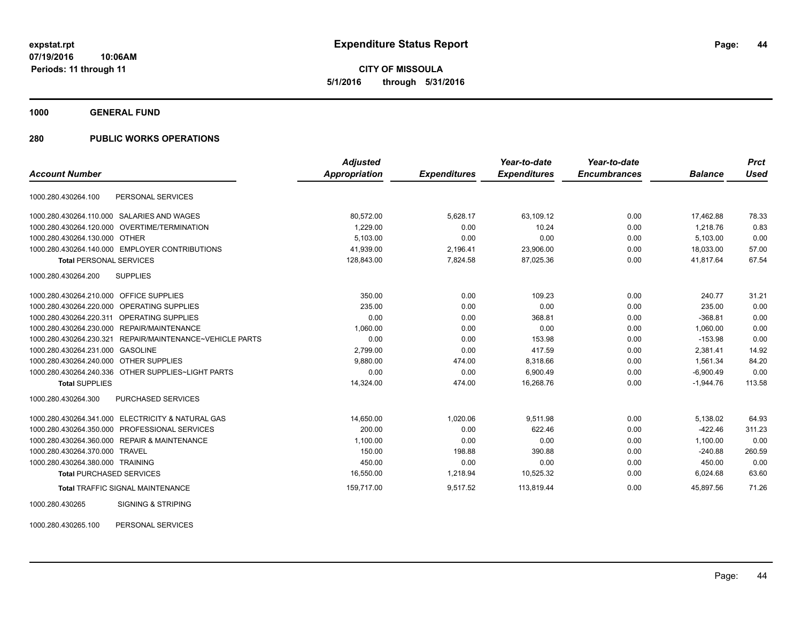**CITY OF MISSOULA 5/1/2016 through 5/31/2016**

**1000 GENERAL FUND**

# **280 PUBLIC WORKS OPERATIONS**

|                                                          | <b>Adjusted</b>      |                     | Year-to-date        | Year-to-date        |                | <b>Prct</b> |
|----------------------------------------------------------|----------------------|---------------------|---------------------|---------------------|----------------|-------------|
| <b>Account Number</b>                                    | <b>Appropriation</b> | <b>Expenditures</b> | <b>Expenditures</b> | <b>Encumbrances</b> | <b>Balance</b> | Used        |
| PERSONAL SERVICES<br>1000.280.430264.100                 |                      |                     |                     |                     |                |             |
| SALARIES AND WAGES<br>1000.280.430264.110.000            | 80,572.00            | 5.628.17            | 63,109.12           | 0.00                | 17.462.88      | 78.33       |
| 1000.280.430264.120.000 OVERTIME/TERMINATION             | 1,229.00             | 0.00                | 10.24               | 0.00                | 1,218.76       | 0.83        |
| 1000.280.430264.130.000 OTHER                            | 5,103.00             | 0.00                | 0.00                | 0.00                | 5,103.00       | 0.00        |
| 1000.280.430264.140.000 EMPLOYER CONTRIBUTIONS           | 41,939.00            | 2,196.41            | 23,906.00           | 0.00                | 18,033.00      | 57.00       |
| <b>Total PERSONAL SERVICES</b>                           | 128,843.00           | 7,824.58            | 87,025.36           | 0.00                | 41.817.64      | 67.54       |
| 1000.280.430264.200<br><b>SUPPLIES</b>                   |                      |                     |                     |                     |                |             |
| 1000.280.430264.210.000 OFFICE SUPPLIES                  | 350.00               | 0.00                | 109.23              | 0.00                | 240.77         | 31.21       |
| 1000.280.430264.220.000 OPERATING SUPPLIES               | 235.00               | 0.00                | 0.00                | 0.00                | 235.00         | 0.00        |
| 1000.280.430264.220.311 OPERATING SUPPLIES               | 0.00                 | 0.00                | 368.81              | 0.00                | $-368.81$      | 0.00        |
| REPAIR/MAINTENANCE<br>1000.280.430264.230.000            | 1,060.00             | 0.00                | 0.00                | 0.00                | 1,060.00       | 0.00        |
| 1000.280.430264.230.321 REPAIR/MAINTENANCE~VEHICLE PARTS | 0.00                 | 0.00                | 153.98              | 0.00                | $-153.98$      | 0.00        |
| 1000.280.430264.231.000 GASOLINE                         | 2,799.00             | 0.00                | 417.59              | 0.00                | 2,381.41       | 14.92       |
| 1000.280.430264.240.000 OTHER SUPPLIES                   | 9,880.00             | 474.00              | 8,318.66            | 0.00                | 1,561.34       | 84.20       |
| 1000.280.430264.240.336 OTHER SUPPLIES~LIGHT PARTS       | 0.00                 | 0.00                | 6,900.49            | 0.00                | $-6,900.49$    | 0.00        |
| <b>Total SUPPLIES</b>                                    | 14,324.00            | 474.00              | 16,268.76           | 0.00                | $-1,944.76$    | 113.58      |
| 1000.280.430264.300<br><b>PURCHASED SERVICES</b>         |                      |                     |                     |                     |                |             |
| 1000.280.430264.341.000 ELECTRICITY & NATURAL GAS        | 14,650.00            | 1,020.06            | 9,511.98            | 0.00                | 5,138.02       | 64.93       |
| 1000.280.430264.350.000 PROFESSIONAL SERVICES            | 200.00               | 0.00                | 622.46              | 0.00                | $-422.46$      | 311.23      |
| 1000.280.430264.360.000 REPAIR & MAINTENANCE             | 1,100.00             | 0.00                | 0.00                | 0.00                | 1,100.00       | 0.00        |
| 1000.280.430264.370.000<br><b>TRAVEL</b>                 | 150.00               | 198.88              | 390.88              | 0.00                | $-240.88$      | 260.59      |
| 1000.280.430264.380.000 TRAINING                         | 450.00               | 0.00                | 0.00                | 0.00                | 450.00         | 0.00        |
| <b>Total PURCHASED SERVICES</b>                          | 16,550.00            | 1,218.94            | 10,525.32           | 0.00                | 6,024.68       | 63.60       |
| <b>Total TRAFFIC SIGNAL MAINTENANCE</b>                  | 159,717.00           | 9,517.52            | 113,819.44          | 0.00                | 45,897.56      | 71.26       |
| <b>SIGNING &amp; STRIPING</b><br>1000.280.430265         |                      |                     |                     |                     |                |             |

1000.280.430265.100 PERSONAL SERVICES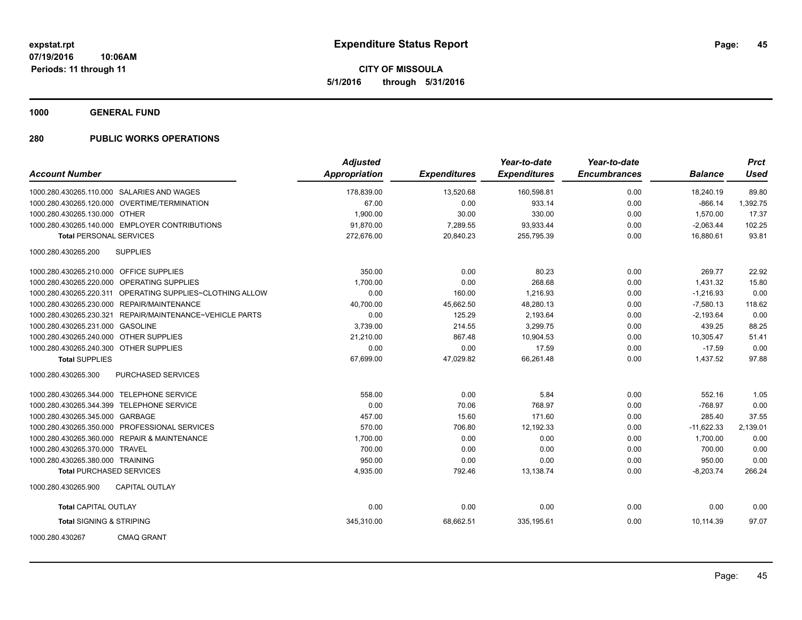**CITY OF MISSOULA 5/1/2016 through 5/31/2016**

**1000 GENERAL FUND**

| <b>Account Number</b>                   |                                                | <b>Adjusted</b><br>Appropriation | <b>Expenditures</b> | Year-to-date<br><b>Expenditures</b> | Year-to-date<br><b>Encumbrances</b> | <b>Balance</b> | <b>Prct</b><br><b>Used</b> |
|-----------------------------------------|------------------------------------------------|----------------------------------|---------------------|-------------------------------------|-------------------------------------|----------------|----------------------------|
|                                         |                                                |                                  |                     |                                     |                                     |                |                            |
|                                         | 1000.280.430265.110.000 SALARIES AND WAGES     | 178,839.00                       | 13,520.68           | 160,598.81                          | 0.00                                | 18,240.19      | 89.80                      |
|                                         | 1000.280.430265.120.000 OVERTIME/TERMINATION   | 67.00                            | 0.00                | 933.14                              | 0.00                                | $-866.14$      | 1,392.75                   |
| 1000.280.430265.130.000 OTHER           |                                                | 1,900.00                         | 30.00               | 330.00                              | 0.00                                | 1,570.00       | 17.37                      |
|                                         | 1000.280.430265.140.000 EMPLOYER CONTRIBUTIONS | 91,870.00                        | 7,289.55            | 93,933.44                           | 0.00                                | $-2,063.44$    | 102.25                     |
| <b>Total PERSONAL SERVICES</b>          |                                                | 272.676.00                       | 20,840.23           | 255.795.39                          | 0.00                                | 16.880.61      | 93.81                      |
| 1000.280.430265.200                     | <b>SUPPLIES</b>                                |                                  |                     |                                     |                                     |                |                            |
| 1000.280.430265.210.000 OFFICE SUPPLIES |                                                | 350.00                           | 0.00                | 80.23                               | 0.00                                | 269.77         | 22.92                      |
|                                         | 1000.280.430265.220.000 OPERATING SUPPLIES     | 1,700.00                         | 0.00                | 268.68                              | 0.00                                | 1,431.32       | 15.80                      |
| 1000.280.430265.220.311                 | OPERATING SUPPLIES~CLOTHING ALLOW              | 0.00                             | 160.00              | 1,216.93                            | 0.00                                | $-1,216.93$    | 0.00                       |
|                                         | 1000.280.430265.230.000 REPAIR/MAINTENANCE     | 40,700.00                        | 45,662.50           | 48,280.13                           | 0.00                                | $-7,580.13$    | 118.62                     |
| 1000.280.430265.230.321                 | REPAIR/MAINTENANCE~VEHICLE PARTS               | 0.00                             | 125.29              | 2,193.64                            | 0.00                                | $-2,193.64$    | 0.00                       |
| 1000.280.430265.231.000 GASOLINE        |                                                | 3,739.00                         | 214.55              | 3,299.75                            | 0.00                                | 439.25         | 88.25                      |
| 1000.280.430265.240.000 OTHER SUPPLIES  |                                                | 21,210.00                        | 867.48              | 10,904.53                           | 0.00                                | 10,305.47      | 51.41                      |
| 1000.280.430265.240.300 OTHER SUPPLIES  |                                                | 0.00                             | 0.00                | 17.59                               | 0.00                                | $-17.59$       | 0.00                       |
| <b>Total SUPPLIES</b>                   |                                                | 67,699.00                        | 47,029.82           | 66,261.48                           | 0.00                                | 1,437.52       | 97.88                      |
| 1000.280.430265.300                     | PURCHASED SERVICES                             |                                  |                     |                                     |                                     |                |                            |
|                                         | 1000.280.430265.344.000 TELEPHONE SERVICE      | 558.00                           | 0.00                | 5.84                                | 0.00                                | 552.16         | 1.05                       |
|                                         | 1000.280.430265.344.399 TELEPHONE SERVICE      | 0.00                             | 70.06               | 768.97                              | 0.00                                | $-768.97$      | 0.00                       |
| 1000.280.430265.345.000 GARBAGE         |                                                | 457.00                           | 15.60               | 171.60                              | 0.00                                | 285.40         | 37.55                      |
|                                         | 1000.280.430265.350.000 PROFESSIONAL SERVICES  | 570.00                           | 706.80              | 12,192.33                           | 0.00                                | $-11,622.33$   | 2,139.01                   |
|                                         | 1000.280.430265.360.000 REPAIR & MAINTENANCE   | 1,700.00                         | 0.00                | 0.00                                | 0.00                                | 1,700.00       | 0.00                       |
| 1000.280.430265.370.000 TRAVEL          |                                                | 700.00                           | 0.00                | 0.00                                | 0.00                                | 700.00         | 0.00                       |
| 1000.280.430265.380.000 TRAINING        |                                                | 950.00                           | 0.00                | 0.00                                | 0.00                                | 950.00         | 0.00                       |
| <b>Total PURCHASED SERVICES</b>         |                                                | 4,935.00                         | 792.46              | 13,138.74                           | 0.00                                | $-8,203.74$    | 266.24                     |
| 1000.280.430265.900                     | <b>CAPITAL OUTLAY</b>                          |                                  |                     |                                     |                                     |                |                            |
| <b>Total CAPITAL OUTLAY</b>             |                                                | 0.00                             | 0.00                | 0.00                                | 0.00                                | 0.00           | 0.00                       |
| <b>Total SIGNING &amp; STRIPING</b>     |                                                | 345,310.00                       | 68,662.51           | 335,195.61                          | 0.00                                | 10,114.39      | 97.07                      |
| 1000.280.430267                         | <b>CMAQ GRANT</b>                              |                                  |                     |                                     |                                     |                |                            |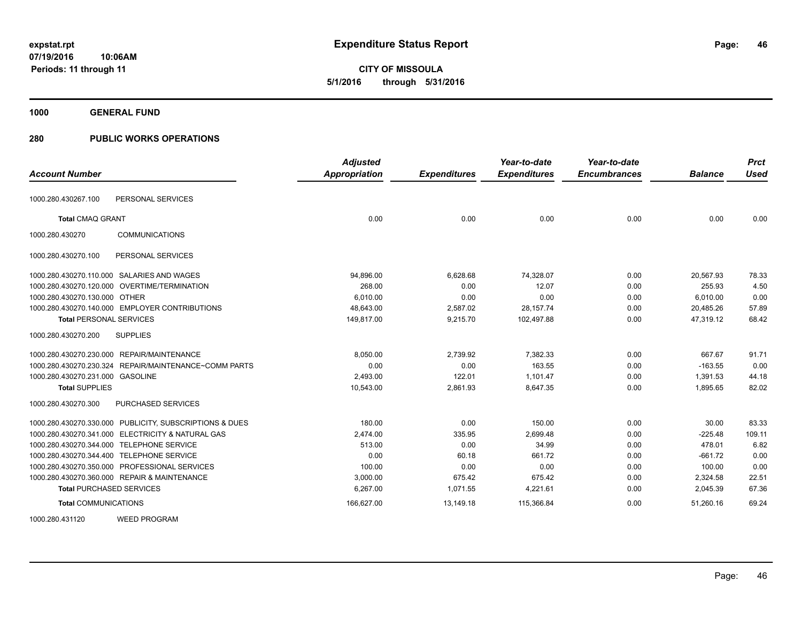**46**

**07/19/2016 10:06AM Periods: 11 through 11**

**CITY OF MISSOULA 5/1/2016 through 5/31/2016**

**1000 GENERAL FUND**

| <b>Account Number</b>                                    | <b>Adjusted</b><br><b>Appropriation</b> | <b>Expenditures</b> | Year-to-date<br><b>Expenditures</b> | Year-to-date<br><b>Encumbrances</b> | <b>Balance</b> | <b>Prct</b><br><b>Used</b> |
|----------------------------------------------------------|-----------------------------------------|---------------------|-------------------------------------|-------------------------------------|----------------|----------------------------|
|                                                          |                                         |                     |                                     |                                     |                |                            |
| PERSONAL SERVICES<br>1000.280.430267.100                 |                                         |                     |                                     |                                     |                |                            |
| <b>Total CMAQ GRANT</b>                                  | 0.00                                    | 0.00                | 0.00                                | 0.00                                | 0.00           | 0.00                       |
| 1000.280.430270<br><b>COMMUNICATIONS</b>                 |                                         |                     |                                     |                                     |                |                            |
| 1000.280.430270.100<br>PERSONAL SERVICES                 |                                         |                     |                                     |                                     |                |                            |
| 1000.280.430270.110.000 SALARIES AND WAGES               | 94,896.00                               | 6,628.68            | 74,328.07                           | 0.00                                | 20,567.93      | 78.33                      |
| 1000.280.430270.120.000 OVERTIME/TERMINATION             | 268.00                                  | 0.00                | 12.07                               | 0.00                                | 255.93         | 4.50                       |
| 1000.280.430270.130.000<br><b>OTHER</b>                  | 6,010.00                                | 0.00                | 0.00                                | 0.00                                | 6,010.00       | 0.00                       |
| 1000.280.430270.140.000 EMPLOYER CONTRIBUTIONS           | 48,643.00                               | 2,587.02            | 28, 157. 74                         | 0.00                                | 20,485.26      | 57.89                      |
| <b>Total PERSONAL SERVICES</b>                           | 149,817.00                              | 9,215.70            | 102,497.88                          | 0.00                                | 47,319.12      | 68.42                      |
| 1000.280.430270.200<br><b>SUPPLIES</b>                   |                                         |                     |                                     |                                     |                |                            |
| 1000.280.430270.230.000 REPAIR/MAINTENANCE               | 8,050.00                                | 2,739.92            | 7,382.33                            | 0.00                                | 667.67         | 91.71                      |
| REPAIR/MAINTENANCE~COMM PARTS<br>1000.280.430270.230.324 | 0.00                                    | 0.00                | 163.55                              | 0.00                                | $-163.55$      | 0.00                       |
| 1000.280.430270.231.000 GASOLINE                         | 2,493.00                                | 122.01              | 1,101.47                            | 0.00                                | 1,391.53       | 44.18                      |
| <b>Total SUPPLIES</b>                                    | 10,543.00                               | 2,861.93            | 8,647.35                            | 0.00                                | 1,895.65       | 82.02                      |
| 1000.280.430270.300<br><b>PURCHASED SERVICES</b>         |                                         |                     |                                     |                                     |                |                            |
| 1000.280.430270.330.000 PUBLICITY, SUBSCRIPTIONS & DUES  | 180.00                                  | 0.00                | 150.00                              | 0.00                                | 30.00          | 83.33                      |
| 1000.280.430270.341.000 ELECTRICITY & NATURAL GAS        | 2.474.00                                | 335.95              | 2.699.48                            | 0.00                                | $-225.48$      | 109.11                     |
| 1000.280.430270.344.000 TELEPHONE SERVICE                | 513.00                                  | 0.00                | 34.99                               | 0.00                                | 478.01         | 6.82                       |
| 1000.280.430270.344.400 TELEPHONE SERVICE                | 0.00                                    | 60.18               | 661.72                              | 0.00                                | $-661.72$      | 0.00                       |
| 1000.280.430270.350.000 PROFESSIONAL SERVICES            | 100.00                                  | 0.00                | 0.00                                | 0.00                                | 100.00         | 0.00                       |
| 1000.280.430270.360.000 REPAIR & MAINTENANCE             | 3.000.00                                | 675.42              | 675.42                              | 0.00                                | 2,324.58       | 22.51                      |
| <b>Total PURCHASED SERVICES</b>                          | 6,267.00                                | 1,071.55            | 4,221.61                            | 0.00                                | 2,045.39       | 67.36                      |
| <b>Total COMMUNICATIONS</b>                              | 166,627.00                              | 13,149.18           | 115,366.84                          | 0.00                                | 51,260.16      | 69.24                      |
| <b>WEED PROGRAM</b><br>1000.280.431120                   |                                         |                     |                                     |                                     |                |                            |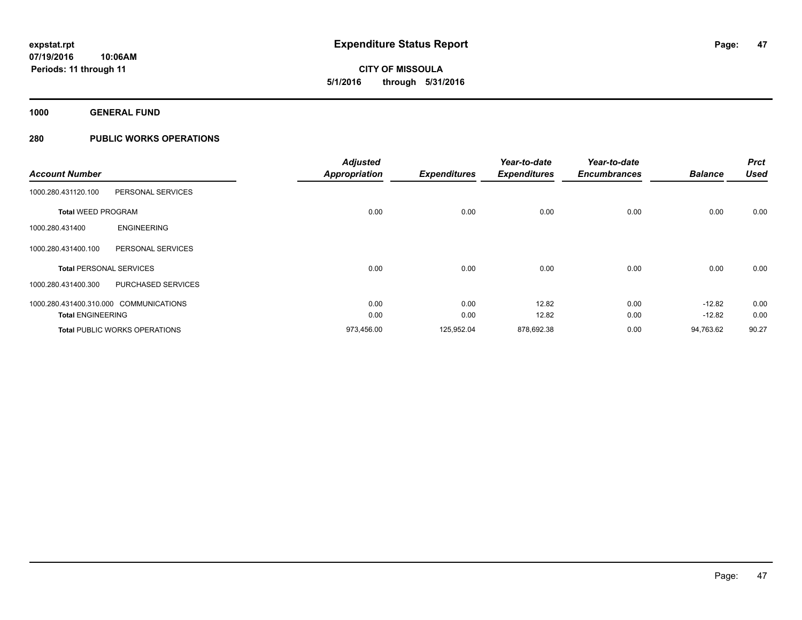**47**

**07/19/2016 10:06AM Periods: 11 through 11**

**CITY OF MISSOULA 5/1/2016 through 5/31/2016**

**1000 GENERAL FUND**

| <b>Account Number</b>                  |                                      | <b>Adjusted</b><br><b>Appropriation</b> | <b>Expenditures</b> | Year-to-date<br><b>Expenditures</b> | Year-to-date<br><b>Encumbrances</b> | <b>Balance</b> | <b>Prct</b><br>Used |
|----------------------------------------|--------------------------------------|-----------------------------------------|---------------------|-------------------------------------|-------------------------------------|----------------|---------------------|
| 1000.280.431120.100                    | PERSONAL SERVICES                    |                                         |                     |                                     |                                     |                |                     |
| <b>Total WEED PROGRAM</b>              |                                      | 0.00                                    | 0.00                | 0.00                                | 0.00                                | 0.00           | 0.00                |
| 1000.280.431400                        | <b>ENGINEERING</b>                   |                                         |                     |                                     |                                     |                |                     |
| 1000.280.431400.100                    | PERSONAL SERVICES                    |                                         |                     |                                     |                                     |                |                     |
| <b>Total PERSONAL SERVICES</b>         |                                      | 0.00                                    | 0.00                | 0.00                                | 0.00                                | 0.00           | 0.00                |
| 1000.280.431400.300                    | PURCHASED SERVICES                   |                                         |                     |                                     |                                     |                |                     |
| 1000.280.431400.310.000 COMMUNICATIONS |                                      | 0.00                                    | 0.00                | 12.82                               | 0.00                                | $-12.82$       | 0.00                |
| <b>Total ENGINEERING</b>               |                                      | 0.00                                    | 0.00                | 12.82                               | 0.00                                | $-12.82$       | 0.00                |
|                                        | <b>Total PUBLIC WORKS OPERATIONS</b> | 973,456.00                              | 125,952.04          | 878,692.38                          | 0.00                                | 94,763.62      | 90.27               |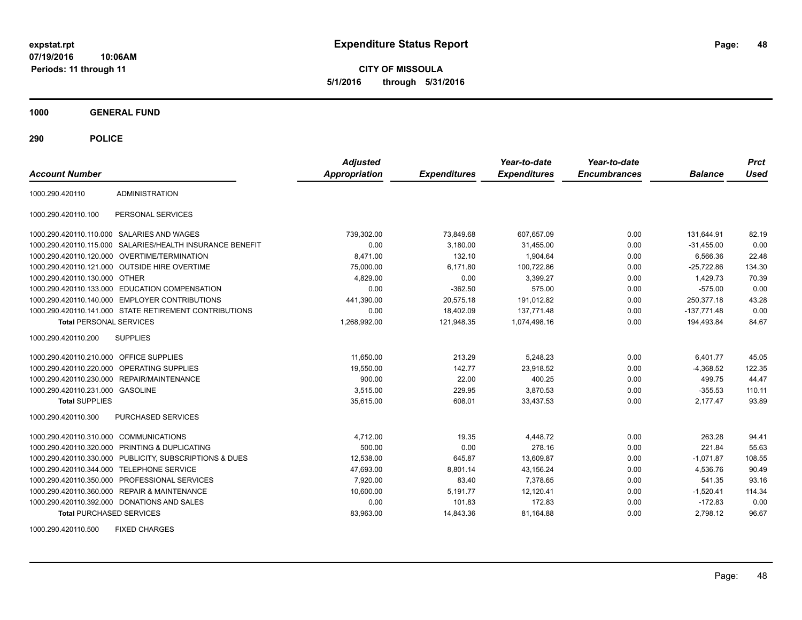**CITY OF MISSOULA 5/1/2016 through 5/31/2016**

**1000 GENERAL FUND**

**290 POLICE**

| <b>Account Number</b>                   |                                                         | <b>Adjusted</b><br><b>Appropriation</b> | <b>Expenditures</b> | Year-to-date<br><b>Expenditures</b> | Year-to-date<br><b>Encumbrances</b> | <b>Balance</b> | <b>Prct</b><br>Used |
|-----------------------------------------|---------------------------------------------------------|-----------------------------------------|---------------------|-------------------------------------|-------------------------------------|----------------|---------------------|
| 1000.290.420110                         | <b>ADMINISTRATION</b>                                   |                                         |                     |                                     |                                     |                |                     |
| 1000.290.420110.100                     | PERSONAL SERVICES                                       |                                         |                     |                                     |                                     |                |                     |
|                                         | 1000.290.420110.110.000 SALARIES AND WAGES              | 739,302.00                              | 73,849.68           | 607,657.09                          | 0.00                                | 131,644.91     | 82.19               |
| 1000.290.420110.115.000                 | SALARIES/HEALTH INSURANCE BENEFIT                       | 0.00                                    | 3,180.00            | 31,455.00                           | 0.00                                | $-31,455.00$   | 0.00                |
|                                         | 1000.290.420110.120.000 OVERTIME/TERMINATION            | 8.471.00                                | 132.10              | 1.904.64                            | 0.00                                | 6,566.36       | 22.48               |
|                                         | 1000.290.420110.121.000 OUTSIDE HIRE OVERTIME           | 75,000.00                               | 6,171.80            | 100.722.86                          | 0.00                                | $-25.722.86$   | 134.30              |
| 1000.290.420110.130.000 OTHER           |                                                         | 4,829.00                                | 0.00                | 3,399.27                            | 0.00                                | 1,429.73       | 70.39               |
|                                         | 1000.290.420110.133.000 EDUCATION COMPENSATION          | 0.00                                    | $-362.50$           | 575.00                              | 0.00                                | $-575.00$      | 0.00                |
|                                         | 1000.290.420110.140.000 EMPLOYER CONTRIBUTIONS          | 441,390.00                              | 20,575.18           | 191,012.82                          | 0.00                                | 250,377.18     | 43.28               |
|                                         | 1000.290.420110.141.000 STATE RETIREMENT CONTRIBUTIONS  | 0.00                                    | 18,402.09           | 137.771.48                          | 0.00                                | $-137,771.48$  | 0.00                |
| <b>Total PERSONAL SERVICES</b>          |                                                         | 1,268,992.00                            | 121,948.35          | 1,074,498.16                        | 0.00                                | 194,493.84     | 84.67               |
| 1000.290.420110.200                     | <b>SUPPLIES</b>                                         |                                         |                     |                                     |                                     |                |                     |
| 1000.290.420110.210.000 OFFICE SUPPLIES |                                                         | 11,650.00                               | 213.29              | 5.248.23                            | 0.00                                | 6,401.77       | 45.05               |
|                                         | 1000.290.420110.220.000 OPERATING SUPPLIES              | 19,550.00                               | 142.77              | 23,918.52                           | 0.00                                | $-4,368.52$    | 122.35              |
| 1000.290.420110.230.000                 | REPAIR/MAINTENANCE                                      | 900.00                                  | 22.00               | 400.25                              | 0.00                                | 499.75         | 44.47               |
| 1000.290.420110.231.000 GASOLINE        |                                                         | 3.515.00                                | 229.95              | 3.870.53                            | 0.00                                | $-355.53$      | 110.11              |
| <b>Total SUPPLIES</b>                   |                                                         | 35,615.00                               | 608.01              | 33,437.53                           | 0.00                                | 2,177.47       | 93.89               |
| 1000.290.420110.300                     | PURCHASED SERVICES                                      |                                         |                     |                                     |                                     |                |                     |
| 1000.290.420110.310.000 COMMUNICATIONS  |                                                         | 4,712.00                                | 19.35               | 4,448.72                            | 0.00                                | 263.28         | 94.41               |
|                                         | 1000.290.420110.320.000 PRINTING & DUPLICATING          | 500.00                                  | 0.00                | 278.16                              | 0.00                                | 221.84         | 55.63               |
|                                         | 1000.290.420110.330.000 PUBLICITY, SUBSCRIPTIONS & DUES | 12,538.00                               | 645.87              | 13,609.87                           | 0.00                                | $-1,071.87$    | 108.55              |
|                                         | 1000.290.420110.344.000 TELEPHONE SERVICE               | 47,693.00                               | 8,801.14            | 43,156.24                           | 0.00                                | 4,536.76       | 90.49               |
|                                         | 1000.290.420110.350.000 PROFESSIONAL SERVICES           | 7,920.00                                | 83.40               | 7,378.65                            | 0.00                                | 541.35         | 93.16               |
|                                         | 1000.290.420110.360.000 REPAIR & MAINTENANCE            | 10,600.00                               | 5,191.77            | 12,120.41                           | 0.00                                | $-1,520.41$    | 114.34              |
|                                         | 1000.290.420110.392.000 DONATIONS AND SALES             | 0.00                                    | 101.83              | 172.83                              | 0.00                                | $-172.83$      | 0.00                |
| <b>Total PURCHASED SERVICES</b>         |                                                         | 83,963.00                               | 14,843.36           | 81,164.88                           | 0.00                                | 2,798.12       | 96.67               |

1000.290.420110.500 FIXED CHARGES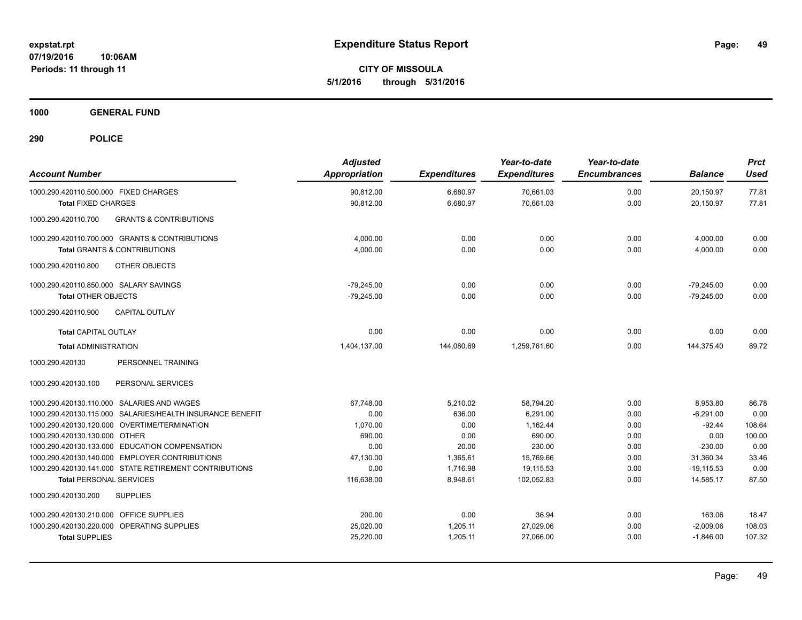**CITY OF MISSOULA 5/1/2016 through 5/31/2016**

**1000 GENERAL FUND**

| <b>Account Number</b>                                                                            | <b>Adjusted</b><br><b>Appropriation</b> | <b>Expenditures</b> | Year-to-date<br><b>Expenditures</b> | Year-to-date<br><b>Encumbrances</b> | <b>Balance</b>         | <b>Prct</b><br><b>Used</b> |
|--------------------------------------------------------------------------------------------------|-----------------------------------------|---------------------|-------------------------------------|-------------------------------------|------------------------|----------------------------|
| 1000.290.420110.500.000 FIXED CHARGES                                                            | 90,812.00                               | 6,680.97            | 70,661.03                           | 0.00                                | 20,150.97              | 77.81                      |
| <b>Total FIXED CHARGES</b>                                                                       | 90,812.00                               | 6,680.97            | 70,661.03                           | 0.00                                | 20,150.97              | 77.81                      |
| <b>GRANTS &amp; CONTRIBUTIONS</b><br>1000.290.420110.700                                         |                                         |                     |                                     |                                     |                        |                            |
| 1000.290.420110.700.000 GRANTS & CONTRIBUTIONS                                                   | 4,000.00                                | 0.00                | 0.00                                | 0.00                                | 4,000.00               | 0.00                       |
| <b>Total GRANTS &amp; CONTRIBUTIONS</b>                                                          | 4,000.00                                | 0.00                | 0.00                                | 0.00                                | 4,000.00               | 0.00                       |
| 1000.290.420110.800<br><b>OTHER OBJECTS</b>                                                      |                                         |                     |                                     |                                     |                        |                            |
| 1000.290.420110.850.000 SALARY SAVINGS                                                           | $-79,245.00$                            | 0.00                | 0.00                                | 0.00                                | $-79,245.00$           | 0.00                       |
| <b>Total OTHER OBJECTS</b>                                                                       | $-79,245.00$                            | 0.00                | 0.00                                | 0.00                                | $-79,245.00$           | 0.00                       |
| 1000.290.420110.900<br><b>CAPITAL OUTLAY</b>                                                     |                                         |                     |                                     |                                     |                        |                            |
| <b>Total CAPITAL OUTLAY</b>                                                                      | 0.00                                    | 0.00                | 0.00                                | 0.00                                | 0.00                   | 0.00                       |
| <b>Total ADMINISTRATION</b>                                                                      | 1,404,137.00                            | 144,080.69          | 1,259,761.60                        | 0.00                                | 144,375.40             | 89.72                      |
| 1000.290.420130<br>PERSONNEL TRAINING                                                            |                                         |                     |                                     |                                     |                        |                            |
| PERSONAL SERVICES<br>1000.290.420130.100                                                         |                                         |                     |                                     |                                     |                        |                            |
| 1000.290.420130.110.000 SALARIES AND WAGES                                                       | 67,748.00                               | 5,210.02            | 58,794.20                           | 0.00                                | 8,953.80               | 86.78                      |
| 1000.290.420130.115.000 SALARIES/HEALTH INSURANCE BENEFIT                                        | 0.00                                    | 636.00              | 6.291.00                            | 0.00                                | $-6,291.00$            | 0.00                       |
| 1000.290.420130.120.000 OVERTIME/TERMINATION                                                     | 1,070.00                                | 0.00                | 1,162.44                            | 0.00                                | $-92.44$               | 108.64                     |
| 1000.290.420130.130.000 OTHER                                                                    | 690.00                                  | 0.00                | 690.00                              | 0.00                                | 0.00                   | 100.00                     |
| 1000.290.420130.133.000 EDUCATION COMPENSATION<br>1000.290.420130.140.000 EMPLOYER CONTRIBUTIONS | 0.00<br>47.130.00                       | 20.00<br>1.365.61   | 230.00<br>15.769.66                 | 0.00<br>0.00                        | $-230.00$<br>31.360.34 | 0.00<br>33.46              |
| 1000.290.420130.141.000 STATE RETIREMENT CONTRIBUTIONS                                           | 0.00                                    | 1,716.98            | 19,115.53                           | 0.00                                | $-19,115.53$           | 0.00                       |
| <b>Total PERSONAL SERVICES</b>                                                                   | 116,638.00                              | 8,948.61            | 102,052.83                          | 0.00                                | 14,585.17              | 87.50                      |
| 1000.290.420130.200<br><b>SUPPLIES</b>                                                           |                                         |                     |                                     |                                     |                        |                            |
| 1000.290.420130.210.000 OFFICE SUPPLIES                                                          | 200.00                                  | 0.00                | 36.94                               | 0.00                                | 163.06                 | 18.47                      |
| 1000.290.420130.220.000 OPERATING SUPPLIES                                                       | 25,020.00                               | 1,205.11            | 27,029.06                           | 0.00                                | $-2,009.06$            | 108.03                     |
| <b>Total SUPPLIES</b>                                                                            | 25,220.00                               | 1,205.11            | 27,066.00                           | 0.00                                | $-1,846.00$            | 107.32                     |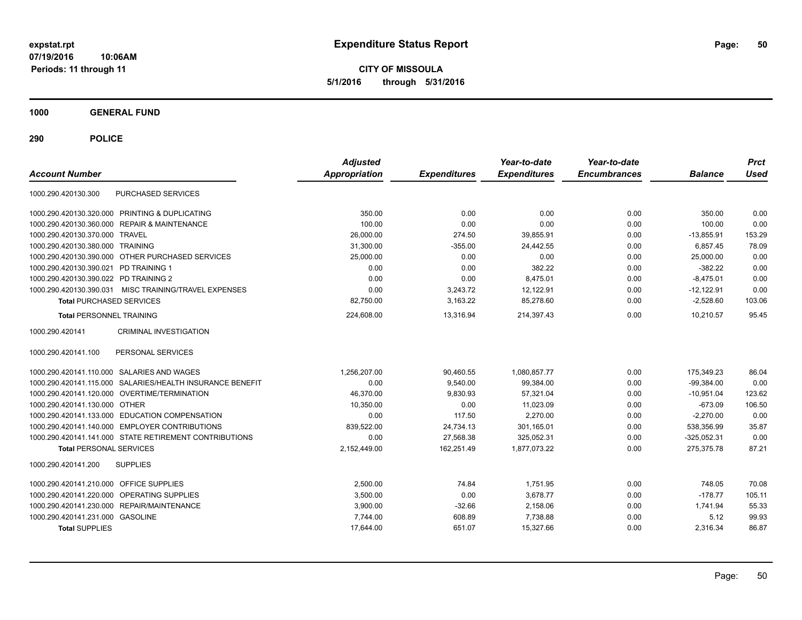**CITY OF MISSOULA 5/1/2016 through 5/31/2016**

**1000 GENERAL FUND**

| <b>Account Number</b>                   |                                                        | <b>Adjusted</b><br><b>Appropriation</b> | <b>Expenditures</b> | Year-to-date<br><b>Expenditures</b> | Year-to-date<br><b>Encumbrances</b> | <b>Balance</b> | <b>Prct</b><br><b>Used</b> |
|-----------------------------------------|--------------------------------------------------------|-----------------------------------------|---------------------|-------------------------------------|-------------------------------------|----------------|----------------------------|
|                                         |                                                        |                                         |                     |                                     |                                     |                |                            |
| 1000.290.420130.300                     | <b>PURCHASED SERVICES</b>                              |                                         |                     |                                     |                                     |                |                            |
|                                         | 1000.290.420130.320.000 PRINTING & DUPLICATING         | 350.00                                  | 0.00                | 0.00                                | 0.00                                | 350.00         | 0.00                       |
|                                         | 1000.290.420130.360.000 REPAIR & MAINTENANCE           | 100.00                                  | 0.00                | 0.00                                | 0.00                                | 100.00         | 0.00                       |
| 1000.290.420130.370.000 TRAVEL          |                                                        | 26,000.00                               | 274.50              | 39,855.91                           | 0.00                                | $-13,855.91$   | 153.29                     |
| 1000.290.420130.380.000 TRAINING        |                                                        | 31,300.00                               | $-355.00$           | 24,442.55                           | 0.00                                | 6,857.45       | 78.09                      |
|                                         | 1000.290.420130.390.000 OTHER PURCHASED SERVICES       | 25,000.00                               | 0.00                | 0.00                                | 0.00                                | 25,000.00      | 0.00                       |
| 1000.290.420130.390.021 PD TRAINING 1   |                                                        | 0.00                                    | 0.00                | 382.22                              | 0.00                                | $-382.22$      | 0.00                       |
| 1000.290.420130.390.022 PD TRAINING 2   |                                                        | 0.00                                    | 0.00                | 8,475.01                            | 0.00                                | $-8,475.01$    | 0.00                       |
|                                         | 1000.290.420130.390.031 MISC TRAINING/TRAVEL EXPENSES  | 0.00                                    | 3,243.72            | 12.122.91                           | 0.00                                | $-12,122.91$   | 0.00                       |
| <b>Total PURCHASED SERVICES</b>         |                                                        | 82,750.00                               | 3,163.22            | 85,278.60                           | 0.00                                | $-2,528.60$    | 103.06                     |
| <b>Total PERSONNEL TRAINING</b>         |                                                        | 224.608.00                              | 13.316.94           | 214.397.43                          | 0.00                                | 10.210.57      | 95.45                      |
| 1000.290.420141                         | <b>CRIMINAL INVESTIGATION</b>                          |                                         |                     |                                     |                                     |                |                            |
| 1000.290.420141.100                     | PERSONAL SERVICES                                      |                                         |                     |                                     |                                     |                |                            |
|                                         | 1000.290.420141.110.000 SALARIES AND WAGES             | 1,256,207.00                            | 90,460.55           | 1,080,857.77                        | 0.00                                | 175,349.23     | 86.04                      |
| 1000.290.420141.115.000                 | SALARIES/HEALTH INSURANCE BENEFIT                      | 0.00                                    | 9,540.00            | 99,384.00                           | 0.00                                | $-99,384.00$   | 0.00                       |
|                                         | 1000.290.420141.120.000 OVERTIME/TERMINATION           | 46,370.00                               | 9,830.93            | 57,321.04                           | 0.00                                | $-10,951.04$   | 123.62                     |
| 1000.290.420141.130.000 OTHER           |                                                        | 10,350.00                               | 0.00                | 11,023.09                           | 0.00                                | $-673.09$      | 106.50                     |
|                                         | 1000.290.420141.133.000 EDUCATION COMPENSATION         | 0.00                                    | 117.50              | 2,270.00                            | 0.00                                | $-2,270.00$    | 0.00                       |
|                                         | 1000.290.420141.140.000 EMPLOYER CONTRIBUTIONS         | 839,522.00                              | 24,734.13           | 301,165.01                          | 0.00                                | 538,356.99     | 35.87                      |
|                                         | 1000.290.420141.141.000 STATE RETIREMENT CONTRIBUTIONS | 0.00                                    | 27,568.38           | 325,052.31                          | 0.00                                | $-325,052.31$  | 0.00                       |
| <b>Total PERSONAL SERVICES</b>          |                                                        | 2,152,449.00                            | 162,251.49          | 1,877,073.22                        | 0.00                                | 275,375.78     | 87.21                      |
| 1000.290.420141.200                     | <b>SUPPLIES</b>                                        |                                         |                     |                                     |                                     |                |                            |
| 1000.290.420141.210.000 OFFICE SUPPLIES |                                                        | 2,500.00                                | 74.84               | 1,751.95                            | 0.00                                | 748.05         | 70.08                      |
|                                         | 1000.290.420141.220.000 OPERATING SUPPLIES             | 3,500.00                                | 0.00                | 3,678.77                            | 0.00                                | $-178.77$      | 105.11                     |
|                                         | 1000.290.420141.230.000 REPAIR/MAINTENANCE             | 3,900.00                                | $-32.66$            | 2,158.06                            | 0.00                                | 1.741.94       | 55.33                      |
| 1000.290.420141.231.000 GASOLINE        |                                                        | 7,744.00                                | 608.89              | 7,738.88                            | 0.00                                | 5.12           | 99.93                      |
| <b>Total SUPPLIES</b>                   |                                                        | 17,644.00                               | 651.07              | 15,327.66                           | 0.00                                | 2,316.34       | 86.87                      |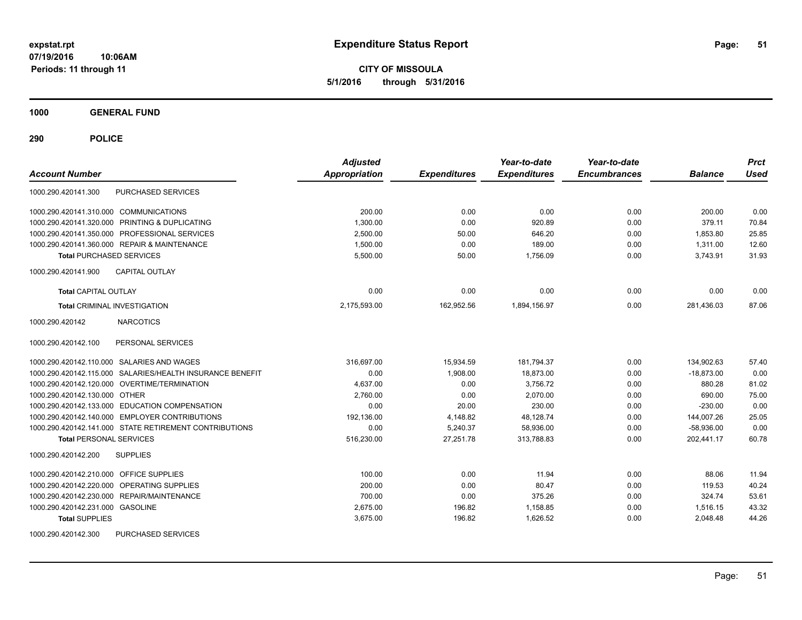**CITY OF MISSOULA 5/1/2016 through 5/31/2016**

**1000 GENERAL FUND**

| <b>Account Number</b>                                     | <b>Adjusted</b><br>Appropriation | <b>Expenditures</b> | Year-to-date<br><b>Expenditures</b> | Year-to-date<br><b>Encumbrances</b> | <b>Balance</b> | <b>Prct</b><br><b>Used</b> |
|-----------------------------------------------------------|----------------------------------|---------------------|-------------------------------------|-------------------------------------|----------------|----------------------------|
| PURCHASED SERVICES<br>1000.290.420141.300                 |                                  |                     |                                     |                                     |                |                            |
| 1000.290.420141.310.000 COMMUNICATIONS                    | 200.00                           | 0.00                | 0.00                                | 0.00                                | 200.00         | 0.00                       |
| 1000.290.420141.320.000 PRINTING & DUPLICATING            | 1,300.00                         | 0.00                | 920.89                              | 0.00                                | 379.11         | 70.84                      |
| 1000.290.420141.350.000 PROFESSIONAL SERVICES             | 2,500.00                         | 50.00               | 646.20                              | 0.00                                | 1,853.80       | 25.85                      |
| 1000.290.420141.360.000 REPAIR & MAINTENANCE              | 1,500.00                         | 0.00                | 189.00                              | 0.00                                | 1,311.00       | 12.60                      |
| <b>Total PURCHASED SERVICES</b>                           | 5,500.00                         | 50.00               | 1.756.09                            | 0.00                                | 3.743.91       | 31.93                      |
| CAPITAL OUTLAY<br>1000.290.420141.900                     |                                  |                     |                                     |                                     |                |                            |
| <b>Total CAPITAL OUTLAY</b>                               | 0.00                             | 0.00                | 0.00                                | 0.00                                | 0.00           | 0.00                       |
| <b>Total CRIMINAL INVESTIGATION</b>                       | 2,175,593.00                     | 162,952.56          | 1,894,156.97                        | 0.00                                | 281,436.03     | 87.06                      |
| 1000.290.420142<br><b>NARCOTICS</b>                       |                                  |                     |                                     |                                     |                |                            |
| 1000.290.420142.100<br>PERSONAL SERVICES                  |                                  |                     |                                     |                                     |                |                            |
| 1000.290.420142.110.000 SALARIES AND WAGES                | 316,697.00                       | 15,934.59           | 181,794.37                          | 0.00                                | 134,902.63     | 57.40                      |
| 1000.290.420142.115.000 SALARIES/HEALTH INSURANCE BENEFIT | 0.00                             | 1,908.00            | 18,873.00                           | 0.00                                | $-18.873.00$   | 0.00                       |
| 1000.290.420142.120.000 OVERTIME/TERMINATION              | 4.637.00                         | 0.00                | 3,756.72                            | 0.00                                | 880.28         | 81.02                      |
| 1000.290.420142.130.000 OTHER                             | 2,760.00                         | 0.00                | 2.070.00                            | 0.00                                | 690.00         | 75.00                      |
| 1000.290.420142.133.000 EDUCATION COMPENSATION            | 0.00                             | 20.00               | 230.00                              | 0.00                                | $-230.00$      | 0.00                       |
| 1000.290.420142.140.000 EMPLOYER CONTRIBUTIONS            | 192,136.00                       | 4,148.82            | 48,128.74                           | 0.00                                | 144,007.26     | 25.05                      |
| 1000.290.420142.141.000 STATE RETIREMENT CONTRIBUTIONS    | 0.00                             | 5,240.37            | 58,936.00                           | 0.00                                | $-58,936.00$   | 0.00                       |
| <b>Total PERSONAL SERVICES</b>                            | 516,230.00                       | 27,251.78           | 313,788.83                          | 0.00                                | 202.441.17     | 60.78                      |
| <b>SUPPLIES</b><br>1000.290.420142.200                    |                                  |                     |                                     |                                     |                |                            |
| 1000.290.420142.210.000 OFFICE SUPPLIES                   | 100.00                           | 0.00                | 11.94                               | 0.00                                | 88.06          | 11.94                      |
| 1000.290.420142.220.000 OPERATING SUPPLIES                | 200.00                           | 0.00                | 80.47                               | 0.00                                | 119.53         | 40.24                      |
| 1000.290.420142.230.000 REPAIR/MAINTENANCE                | 700.00                           | 0.00                | 375.26                              | 0.00                                | 324.74         | 53.61                      |
| 1000.290.420142.231.000 GASOLINE                          | 2,675.00                         | 196.82              | 1,158.85                            | 0.00                                | 1,516.15       | 43.32                      |
| <b>Total SUPPLIES</b>                                     | 3,675.00                         | 196.82              | 1,626.52                            | 0.00                                | 2,048.48       | 44.26                      |
| 1000.290.420142.300<br>PURCHASED SERVICES                 |                                  |                     |                                     |                                     |                |                            |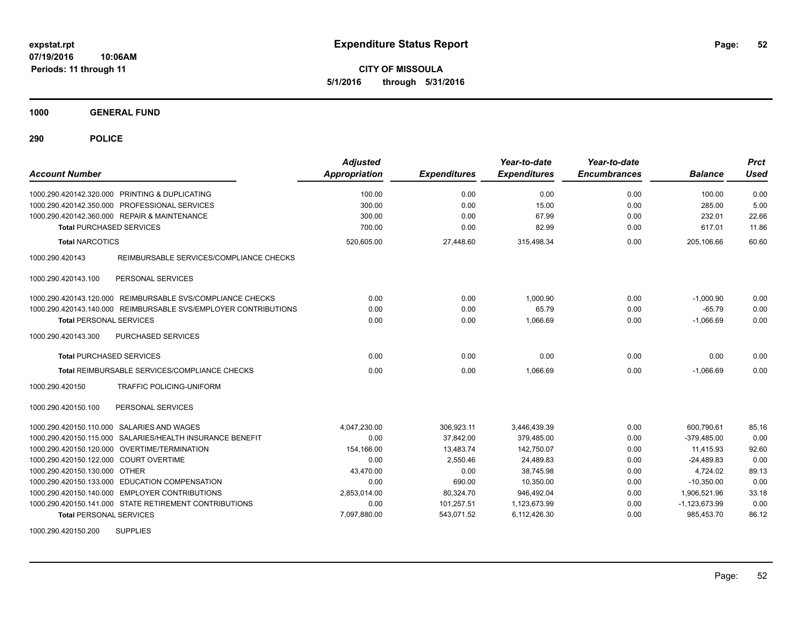**CITY OF MISSOULA 5/1/2016 through 5/31/2016**

**1000 GENERAL FUND**

| <b>Account Number</b>                                           | <b>Adjusted</b><br><b>Appropriation</b> | <b>Expenditures</b> | Year-to-date<br><b>Expenditures</b> | Year-to-date<br><b>Encumbrances</b> | <b>Balance</b>  | <b>Prct</b><br><b>Used</b> |
|-----------------------------------------------------------------|-----------------------------------------|---------------------|-------------------------------------|-------------------------------------|-----------------|----------------------------|
| 1000.290.420142.320.000 PRINTING & DUPLICATING                  | 100.00                                  | 0.00                | 0.00                                | 0.00                                | 100.00          | 0.00                       |
| 1000.290.420142.350.000 PROFESSIONAL SERVICES                   | 300.00                                  | 0.00                | 15.00                               | 0.00                                | 285.00          | 5.00                       |
| 1000.290.420142.360.000 REPAIR & MAINTENANCE                    | 300.00                                  | 0.00                | 67.99                               | 0.00                                | 232.01          | 22.66                      |
| <b>Total PURCHASED SERVICES</b>                                 | 700.00                                  | 0.00                | 82.99                               | 0.00                                | 617.01          | 11.86                      |
| <b>Total NARCOTICS</b>                                          | 520,605.00                              | 27,448.60           | 315,498.34                          | 0.00                                | 205,106.66      | 60.60                      |
| 1000.290.420143<br>REIMBURSABLE SERVICES/COMPLIANCE CHECKS      |                                         |                     |                                     |                                     |                 |                            |
| 1000.290.420143.100<br>PERSONAL SERVICES                        |                                         |                     |                                     |                                     |                 |                            |
| 1000.290.420143.120.000 REIMBURSABLE SVS/COMPLIANCE CHECKS      | 0.00                                    | 0.00                | 1.000.90                            | 0.00                                | $-1,000.90$     | 0.00                       |
| 1000.290.420143.140.000 REIMBURSABLE SVS/EMPLOYER CONTRIBUTIONS | 0.00                                    | 0.00                | 65.79                               | 0.00                                | $-65.79$        | 0.00                       |
| <b>Total PERSONAL SERVICES</b>                                  | 0.00                                    | 0.00                | 1.066.69                            | 0.00                                | $-1.066.69$     | 0.00                       |
| 1000.290.420143.300<br>PURCHASED SERVICES                       |                                         |                     |                                     |                                     |                 |                            |
| <b>Total PURCHASED SERVICES</b>                                 | 0.00                                    | 0.00                | 0.00                                | 0.00                                | 0.00            | 0.00                       |
| Total REIMBURSABLE SERVICES/COMPLIANCE CHECKS                   | 0.00                                    | 0.00                | 1.066.69                            | 0.00                                | $-1.066.69$     | 0.00                       |
| TRAFFIC POLICING-UNIFORM<br>1000.290.420150                     |                                         |                     |                                     |                                     |                 |                            |
| PERSONAL SERVICES<br>1000.290.420150.100                        |                                         |                     |                                     |                                     |                 |                            |
| 1000.290.420150.110.000 SALARIES AND WAGES                      | 4,047,230.00                            | 306,923.11          | 3,446,439.39                        | 0.00                                | 600,790.61      | 85.16                      |
| SALARIES/HEALTH INSURANCE BENEFIT<br>1000.290.420150.115.000    | 0.00                                    | 37,842.00           | 379,485.00                          | 0.00                                | $-379,485.00$   | 0.00                       |
| 1000.290.420150.120.000 OVERTIME/TERMINATION                    | 154,166.00                              | 13,483.74           | 142,750.07                          | 0.00                                | 11,415.93       | 92.60                      |
| 1000.290.420150.122.000 COURT OVERTIME                          | 0.00                                    | 2,550.46            | 24,489.83                           | 0.00                                | $-24,489.83$    | 0.00                       |
| 1000.290.420150.130.000 OTHER                                   | 43,470.00                               | 0.00                | 38.745.98                           | 0.00                                | 4,724.02        | 89.13                      |
| 1000.290.420150.133.000 EDUCATION COMPENSATION                  | 0.00                                    | 690.00              | 10.350.00                           | 0.00                                | $-10.350.00$    | 0.00                       |
| <b>EMPLOYER CONTRIBUTIONS</b><br>1000.290.420150.140.000        | 2,853,014.00                            | 80,324.70           | 946.492.04                          | 0.00                                | 1,906,521.96    | 33.18                      |
| 1000.290.420150.141.000 STATE RETIREMENT CONTRIBUTIONS          | 0.00                                    | 101,257.51          | 1,123,673.99                        | 0.00                                | $-1,123,673.99$ | 0.00                       |
| <b>Total PERSONAL SERVICES</b>                                  | 7,097,880.00                            | 543,071.52          | 6,112,426.30                        | 0.00                                | 985,453.70      | 86.12                      |
| <b>SUPPLIES</b><br>1000.290.420150.200                          |                                         |                     |                                     |                                     |                 |                            |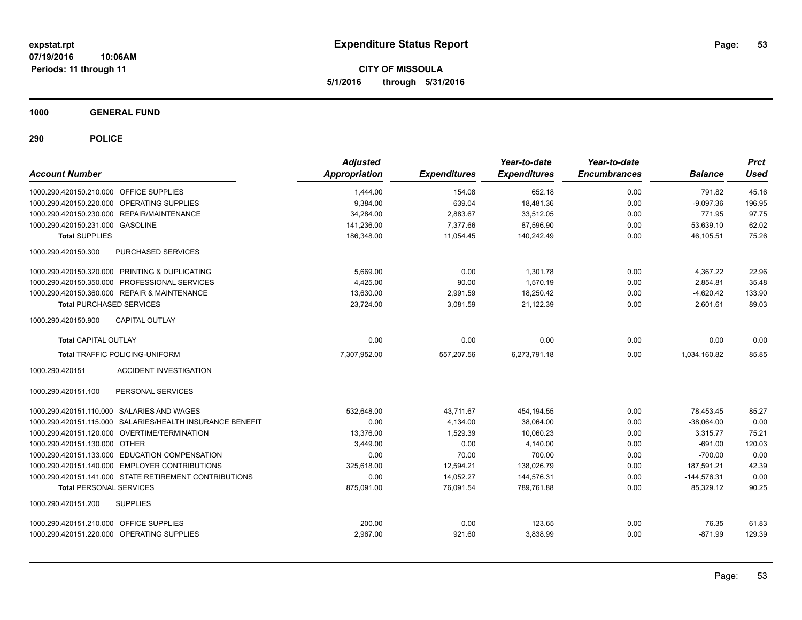**CITY OF MISSOULA 5/1/2016 through 5/31/2016**

**1000 GENERAL FUND**

| <b>Account Number</b>                   |                                                           | <b>Adjusted</b><br>Appropriation | <b>Expenditures</b> | Year-to-date<br><b>Expenditures</b> | Year-to-date<br><b>Encumbrances</b> | <b>Balance</b> | <b>Prct</b><br><b>Used</b> |
|-----------------------------------------|-----------------------------------------------------------|----------------------------------|---------------------|-------------------------------------|-------------------------------------|----------------|----------------------------|
| 1000.290.420150.210.000 OFFICE SUPPLIES |                                                           | 1,444.00                         | 154.08              | 652.18                              | 0.00                                | 791.82         | 45.16                      |
|                                         | 1000.290.420150.220.000 OPERATING SUPPLIES                | 9,384.00                         | 639.04              | 18,481.36                           | 0.00                                | $-9,097.36$    | 196.95                     |
|                                         | 1000.290.420150.230.000 REPAIR/MAINTENANCE                | 34,284.00                        | 2,883.67            | 33,512.05                           | 0.00                                | 771.95         | 97.75                      |
| 1000.290.420150.231.000 GASOLINE        |                                                           | 141.236.00                       | 7.377.66            | 87.596.90                           | 0.00                                | 53.639.10      | 62.02                      |
| <b>Total SUPPLIES</b>                   |                                                           | 186,348.00                       | 11,054.45           | 140,242.49                          | 0.00                                | 46,105.51      | 75.26                      |
| 1000.290.420150.300                     | PURCHASED SERVICES                                        |                                  |                     |                                     |                                     |                |                            |
|                                         | 1000.290.420150.320.000 PRINTING & DUPLICATING            | 5.669.00                         | 0.00                | 1.301.78                            | 0.00                                | 4,367.22       | 22.96                      |
|                                         | 1000.290.420150.350.000 PROFESSIONAL SERVICES             | 4,425.00                         | 90.00               | 1,570.19                            | 0.00                                | 2,854.81       | 35.48                      |
|                                         | 1000.290.420150.360.000 REPAIR & MAINTENANCE              | 13,630.00                        | 2,991.59            | 18,250.42                           | 0.00                                | $-4,620.42$    | 133.90                     |
| <b>Total PURCHASED SERVICES</b>         |                                                           | 23,724.00                        | 3,081.59            | 21,122.39                           | 0.00                                | 2,601.61       | 89.03                      |
| 1000.290.420150.900                     | <b>CAPITAL OUTLAY</b>                                     |                                  |                     |                                     |                                     |                |                            |
| <b>Total CAPITAL OUTLAY</b>             |                                                           | 0.00                             | 0.00                | 0.00                                | 0.00                                | 0.00           | 0.00                       |
|                                         | <b>Total TRAFFIC POLICING-UNIFORM</b>                     | 7,307,952.00                     | 557,207.56          | 6.273.791.18                        | 0.00                                | 1,034,160.82   | 85.85                      |
| 1000.290.420151                         | <b>ACCIDENT INVESTIGATION</b>                             |                                  |                     |                                     |                                     |                |                            |
| 1000.290.420151.100                     | PERSONAL SERVICES                                         |                                  |                     |                                     |                                     |                |                            |
|                                         | 1000.290.420151.110.000 SALARIES AND WAGES                | 532,648.00                       | 43,711.67           | 454,194.55                          | 0.00                                | 78,453.45      | 85.27                      |
|                                         | 1000.290.420151.115.000 SALARIES/HEALTH INSURANCE BENEFIT | 0.00                             | 4,134.00            | 38,064.00                           | 0.00                                | $-38,064.00$   | 0.00                       |
|                                         | 1000.290.420151.120.000 OVERTIME/TERMINATION              | 13,376.00                        | 1,529.39            | 10,060.23                           | 0.00                                | 3,315.77       | 75.21                      |
| 1000.290.420151.130.000 OTHER           |                                                           | 3.449.00                         | 0.00                | 4.140.00                            | 0.00                                | $-691.00$      | 120.03                     |
|                                         | 1000.290.420151.133.000 EDUCATION COMPENSATION            | 0.00                             | 70.00               | 700.00                              | 0.00                                | $-700.00$      | 0.00                       |
|                                         | 1000.290.420151.140.000 EMPLOYER CONTRIBUTIONS            | 325,618.00                       | 12,594.21           | 138,026.79                          | 0.00                                | 187,591.21     | 42.39                      |
|                                         | 1000.290.420151.141.000 STATE RETIREMENT CONTRIBUTIONS    | 0.00                             | 14,052.27           | 144,576.31                          | 0.00                                | $-144,576.31$  | 0.00                       |
| <b>Total PERSONAL SERVICES</b>          |                                                           | 875,091.00                       | 76,091.54           | 789,761.88                          | 0.00                                | 85,329.12      | 90.25                      |
| 1000.290.420151.200                     | <b>SUPPLIES</b>                                           |                                  |                     |                                     |                                     |                |                            |
| 1000.290.420151.210.000 OFFICE SUPPLIES |                                                           | 200.00                           | 0.00                | 123.65                              | 0.00                                | 76.35          | 61.83                      |
|                                         | 1000.290.420151.220.000 OPERATING SUPPLIES                | 2,967.00                         | 921.60              | 3,838.99                            | 0.00                                | $-871.99$      | 129.39                     |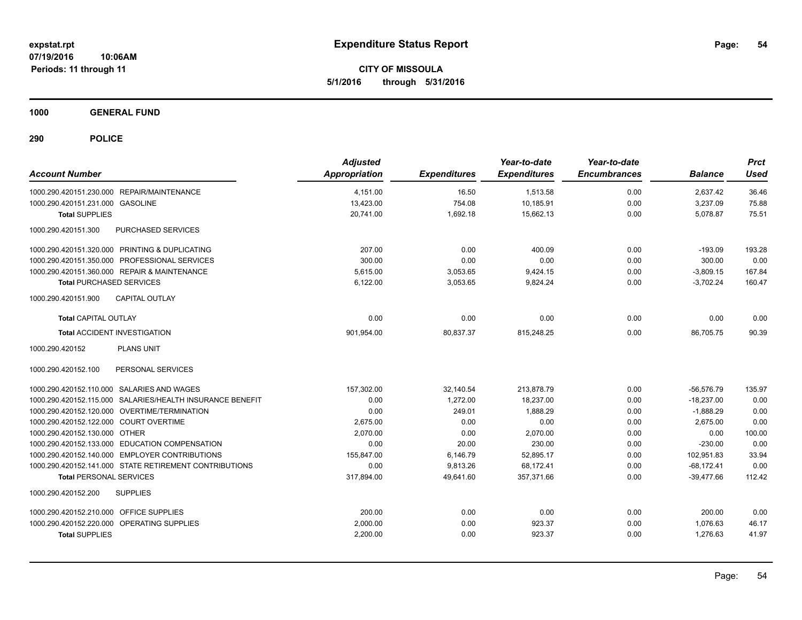**CITY OF MISSOULA 5/1/2016 through 5/31/2016**

**1000 GENERAL FUND**

| <b>Account Number</b>                                     | <b>Adjusted</b><br>Appropriation | <b>Expenditures</b> | Year-to-date<br><b>Expenditures</b> | Year-to-date<br><b>Encumbrances</b> | <b>Balance</b> | <b>Prct</b><br><b>Used</b> |
|-----------------------------------------------------------|----------------------------------|---------------------|-------------------------------------|-------------------------------------|----------------|----------------------------|
| 1000.290.420151.230.000 REPAIR/MAINTENANCE                | 4,151.00                         | 16.50               | 1,513.58                            | 0.00                                | 2,637.42       | 36.46                      |
| 1000.290.420151.231.000 GASOLINE                          | 13,423.00                        | 754.08              | 10,185.91                           | 0.00                                | 3,237.09       | 75.88                      |
| <b>Total SUPPLIES</b>                                     | 20,741.00                        | 1,692.18            | 15,662.13                           | 0.00                                | 5,078.87       | 75.51                      |
| 1000.290.420151.300<br><b>PURCHASED SERVICES</b>          |                                  |                     |                                     |                                     |                |                            |
| 1000.290.420151.320.000 PRINTING & DUPLICATING            | 207.00                           | 0.00                | 400.09                              | 0.00                                | $-193.09$      | 193.28                     |
| 1000.290.420151.350.000 PROFESSIONAL SERVICES             | 300.00                           | 0.00                | 0.00                                | 0.00                                | 300.00         | 0.00                       |
| 1000.290.420151.360.000 REPAIR & MAINTENANCE              | 5,615.00                         | 3,053.65            | 9,424.15                            | 0.00                                | $-3,809.15$    | 167.84                     |
| <b>Total PURCHASED SERVICES</b>                           | 6,122.00                         | 3,053.65            | 9,824.24                            | 0.00                                | $-3,702.24$    | 160.47                     |
| <b>CAPITAL OUTLAY</b><br>1000.290.420151.900              |                                  |                     |                                     |                                     |                |                            |
| <b>Total CAPITAL OUTLAY</b>                               | 0.00                             | 0.00                | 0.00                                | 0.00                                | 0.00           | 0.00                       |
| <b>Total ACCIDENT INVESTIGATION</b>                       | 901,954.00                       | 80,837.37           | 815,248.25                          | 0.00                                | 86,705.75      | 90.39                      |
| 1000.290.420152<br><b>PLANS UNIT</b>                      |                                  |                     |                                     |                                     |                |                            |
| 1000.290.420152.100<br>PERSONAL SERVICES                  |                                  |                     |                                     |                                     |                |                            |
| 1000.290.420152.110.000 SALARIES AND WAGES                | 157.302.00                       | 32.140.54           | 213.878.79                          | 0.00                                | $-56.576.79$   | 135.97                     |
| 1000.290.420152.115.000 SALARIES/HEALTH INSURANCE BENEFIT | 0.00                             | 1,272.00            | 18,237.00                           | 0.00                                | $-18,237.00$   | 0.00                       |
| 1000.290.420152.120.000 OVERTIME/TERMINATION              | 0.00                             | 249.01              | 1,888.29                            | 0.00                                | $-1,888.29$    | 0.00                       |
| 1000.290.420152.122.000 COURT OVERTIME                    | 2.675.00                         | 0.00                | 0.00                                | 0.00                                | 2,675.00       | 0.00                       |
| 1000.290.420152.130.000 OTHER                             | 2.070.00                         | 0.00                | 2.070.00                            | 0.00                                | 0.00           | 100.00                     |
| 1000.290.420152.133.000 EDUCATION COMPENSATION            | 0.00                             | 20.00               | 230.00                              | 0.00                                | $-230.00$      | 0.00                       |
| 1000.290.420152.140.000 EMPLOYER CONTRIBUTIONS            | 155,847.00                       | 6,146.79            | 52,895.17                           | 0.00                                | 102,951.83     | 33.94                      |
| 1000.290.420152.141.000 STATE RETIREMENT CONTRIBUTIONS    | 0.00                             | 9,813.26            | 68,172.41                           | 0.00                                | $-68,172.41$   | 0.00                       |
| <b>Total PERSONAL SERVICES</b>                            | 317,894.00                       | 49.641.60           | 357.371.66                          | 0.00                                | $-39.477.66$   | 112.42                     |
| 1000.290.420152.200<br><b>SUPPLIES</b>                    |                                  |                     |                                     |                                     |                |                            |
| 1000.290.420152.210.000 OFFICE SUPPLIES                   | 200.00                           | 0.00                | 0.00                                | 0.00                                | 200.00         | 0.00                       |
| 1000.290.420152.220.000 OPERATING SUPPLIES                | 2,000.00                         | 0.00                | 923.37                              | 0.00                                | 1,076.63       | 46.17                      |
| <b>Total SUPPLIES</b>                                     | 2,200.00                         | 0.00                | 923.37                              | 0.00                                | 1,276.63       | 41.97                      |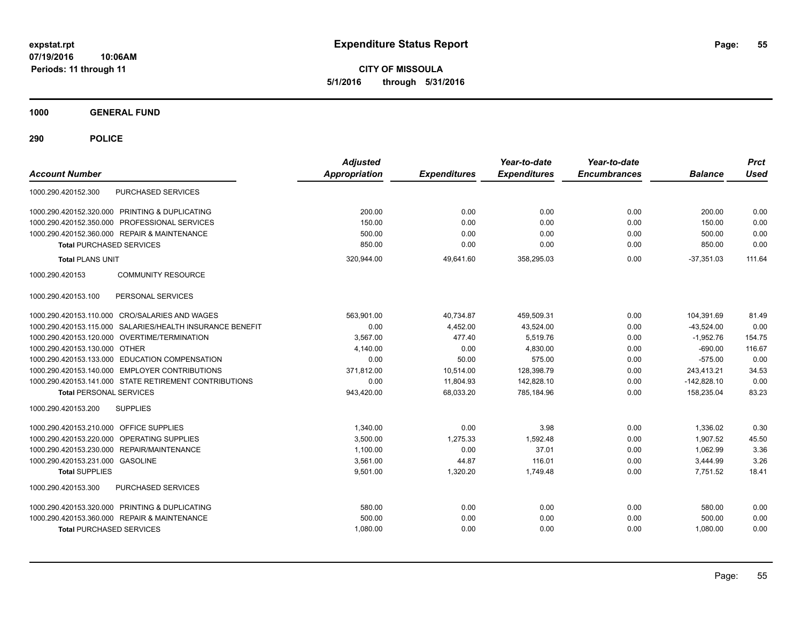**CITY OF MISSOULA 5/1/2016 through 5/31/2016**

**1000 GENERAL FUND**

| <b>Account Number</b>                                        | <b>Adjusted</b><br><b>Appropriation</b> | <b>Expenditures</b> | Year-to-date<br><b>Expenditures</b> | Year-to-date<br><b>Encumbrances</b> | <b>Balance</b> | <b>Prct</b><br><b>Used</b> |
|--------------------------------------------------------------|-----------------------------------------|---------------------|-------------------------------------|-------------------------------------|----------------|----------------------------|
| <b>PURCHASED SERVICES</b><br>1000.290.420152.300             |                                         |                     |                                     |                                     |                |                            |
| 1000.290.420152.320.000 PRINTING & DUPLICATING               | 200.00                                  | 0.00                | 0.00                                | 0.00                                | 200.00         | 0.00                       |
| 1000.290.420152.350.000 PROFESSIONAL SERVICES                | 150.00                                  | 0.00                | 0.00                                | 0.00                                | 150.00         | 0.00                       |
| 1000.290.420152.360.000 REPAIR & MAINTENANCE                 | 500.00                                  | 0.00                | 0.00                                | 0.00                                | 500.00         | 0.00                       |
| <b>Total PURCHASED SERVICES</b>                              | 850.00                                  | 0.00                | 0.00                                | 0.00                                | 850.00         | 0.00                       |
| <b>Total PLANS UNIT</b>                                      | 320,944.00                              | 49,641.60           | 358,295.03                          | 0.00                                | $-37,351.03$   | 111.64                     |
| 1000.290.420153<br><b>COMMUNITY RESOURCE</b>                 |                                         |                     |                                     |                                     |                |                            |
| PERSONAL SERVICES<br>1000.290.420153.100                     |                                         |                     |                                     |                                     |                |                            |
| 1000.290.420153.110.000 CRO/SALARIES AND WAGES               | 563.901.00                              | 40,734.87           | 459.509.31                          | 0.00                                | 104,391.69     | 81.49                      |
| SALARIES/HEALTH INSURANCE BENEFIT<br>1000.290.420153.115.000 | 0.00                                    | 4.452.00            | 43.524.00                           | 0.00                                | $-43,524.00$   | 0.00                       |
| 1000.290.420153.120.000 OVERTIME/TERMINATION                 | 3,567.00                                | 477.40              | 5,519.76                            | 0.00                                | $-1,952.76$    | 154.75                     |
| 1000.290.420153.130.000 OTHER                                | 4,140.00                                | 0.00                | 4,830.00                            | 0.00                                | $-690.00$      | 116.67                     |
| 1000.290.420153.133.000 EDUCATION COMPENSATION               | 0.00                                    | 50.00               | 575.00                              | 0.00                                | $-575.00$      | 0.00                       |
| 1000.290.420153.140.000 EMPLOYER CONTRIBUTIONS               | 371,812.00                              | 10,514.00           | 128,398.79                          | 0.00                                | 243,413.21     | 34.53                      |
| 1000.290.420153.141.000 STATE RETIREMENT CONTRIBUTIONS       | 0.00                                    | 11,804.93           | 142.828.10                          | 0.00                                | $-142.828.10$  | 0.00                       |
| <b>Total PERSONAL SERVICES</b>                               | 943,420.00                              | 68,033.20           | 785,184.96                          | 0.00                                | 158,235.04     | 83.23                      |
| 1000.290.420153.200<br><b>SUPPLIES</b>                       |                                         |                     |                                     |                                     |                |                            |
| 1000.290.420153.210.000 OFFICE SUPPLIES                      | 1.340.00                                | 0.00                | 3.98                                | 0.00                                | 1,336.02       | 0.30                       |
| 1000.290.420153.220.000 OPERATING SUPPLIES                   | 3,500.00                                | 1,275.33            | 1,592.48                            | 0.00                                | 1,907.52       | 45.50                      |
| 1000.290.420153.230.000 REPAIR/MAINTENANCE                   | 1.100.00                                | 0.00                | 37.01                               | 0.00                                | 1.062.99       | 3.36                       |
| 1000.290.420153.231.000 GASOLINE                             | 3,561.00                                | 44.87               | 116.01                              | 0.00                                | 3,444.99       | 3.26                       |
| <b>Total SUPPLIES</b>                                        | 9,501.00                                | 1,320.20            | 1,749.48                            | 0.00                                | 7,751.52       | 18.41                      |
| PURCHASED SERVICES<br>1000.290.420153.300                    |                                         |                     |                                     |                                     |                |                            |
| 1000.290.420153.320.000 PRINTING & DUPLICATING               | 580.00                                  | 0.00                | 0.00                                | 0.00                                | 580.00         | 0.00                       |
| 1000.290.420153.360.000 REPAIR & MAINTENANCE                 | 500.00                                  | 0.00                | 0.00                                | 0.00                                | 500.00         | 0.00                       |
| <b>Total PURCHASED SERVICES</b>                              | 1,080.00                                | 0.00                | 0.00                                | 0.00                                | 1,080.00       | 0.00                       |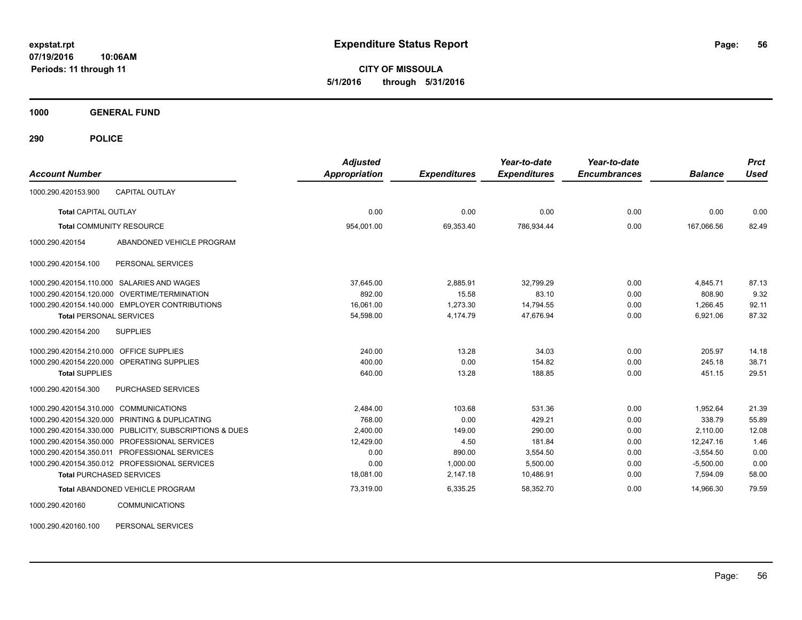**CITY OF MISSOULA 5/1/2016 through 5/31/2016**

**1000 GENERAL FUND**

**290 POLICE**

| <b>Account Number</b>                      |                                                         | <b>Adjusted</b><br><b>Appropriation</b> | <b>Expenditures</b> | Year-to-date<br><b>Expenditures</b> | Year-to-date<br><b>Encumbrances</b> | <b>Balance</b> | <b>Prct</b><br><b>Used</b> |
|--------------------------------------------|---------------------------------------------------------|-----------------------------------------|---------------------|-------------------------------------|-------------------------------------|----------------|----------------------------|
|                                            |                                                         |                                         |                     |                                     |                                     |                |                            |
| 1000.290.420153.900                        | <b>CAPITAL OUTLAY</b>                                   |                                         |                     |                                     |                                     |                |                            |
| Total CAPITAL OUTLAY                       |                                                         | 0.00                                    | 0.00                | 0.00                                | 0.00                                | 0.00           | 0.00                       |
| <b>Total COMMUNITY RESOURCE</b>            |                                                         | 954.001.00                              | 69.353.40           | 786.934.44                          | 0.00                                | 167.066.56     | 82.49                      |
| 1000.290.420154                            | ABANDONED VEHICLE PROGRAM                               |                                         |                     |                                     |                                     |                |                            |
| 1000.290.420154.100                        | PERSONAL SERVICES                                       |                                         |                     |                                     |                                     |                |                            |
| 1000.290.420154.110.000 SALARIES AND WAGES |                                                         | 37,645.00                               | 2,885.91            | 32,799.29                           | 0.00                                | 4,845.71       | 87.13                      |
|                                            | 1000.290.420154.120.000 OVERTIME/TERMINATION            | 892.00                                  | 15.58               | 83.10                               | 0.00                                | 808.90         | 9.32                       |
|                                            | 1000.290.420154.140.000 EMPLOYER CONTRIBUTIONS          | 16,061.00                               | 1,273.30            | 14,794.55                           | 0.00                                | 1,266.45       | 92.11                      |
| <b>Total PERSONAL SERVICES</b>             |                                                         | 54,598.00                               | 4,174.79            | 47,676.94                           | 0.00                                | 6,921.06       | 87.32                      |
| 1000.290.420154.200                        | <b>SUPPLIES</b>                                         |                                         |                     |                                     |                                     |                |                            |
| 1000.290.420154.210.000 OFFICE SUPPLIES    |                                                         | 240.00                                  | 13.28               | 34.03                               | 0.00                                | 205.97         | 14.18                      |
| 1000.290.420154.220.000 OPERATING SUPPLIES |                                                         | 400.00                                  | 0.00                | 154.82                              | 0.00                                | 245.18         | 38.71                      |
| <b>Total SUPPLIES</b>                      |                                                         | 640.00                                  | 13.28               | 188.85                              | 0.00                                | 451.15         | 29.51                      |
| 1000.290.420154.300                        | <b>PURCHASED SERVICES</b>                               |                                         |                     |                                     |                                     |                |                            |
| 1000.290.420154.310.000 COMMUNICATIONS     |                                                         | 2,484.00                                | 103.68              | 531.36                              | 0.00                                | 1.952.64       | 21.39                      |
|                                            | 1000.290.420154.320.000 PRINTING & DUPLICATING          | 768.00                                  | 0.00                | 429.21                              | 0.00                                | 338.79         | 55.89                      |
|                                            | 1000.290.420154.330.000 PUBLICITY, SUBSCRIPTIONS & DUES | 2,400.00                                | 149.00              | 290.00                              | 0.00                                | 2.110.00       | 12.08                      |
|                                            | 1000.290.420154.350.000 PROFESSIONAL SERVICES           | 12,429.00                               | 4.50                | 181.84                              | 0.00                                | 12,247.16      | 1.46                       |
|                                            | 1000.290.420154.350.011 PROFESSIONAL SERVICES           | 0.00                                    | 890.00              | 3,554.50                            | 0.00                                | $-3,554.50$    | 0.00                       |
|                                            | 1000.290.420154.350.012 PROFESSIONAL SERVICES           | 0.00                                    | 1.000.00            | 5,500.00                            | 0.00                                | $-5,500.00$    | 0.00                       |
| <b>Total PURCHASED SERVICES</b>            |                                                         | 18,081.00                               | 2,147.18            | 10,486.91                           | 0.00                                | 7,594.09       | 58.00                      |
|                                            | Total ABANDONED VEHICLE PROGRAM                         | 73,319.00                               | 6,335.25            | 58,352.70                           | 0.00                                | 14,966.30      | 79.59                      |
| 1000.290.420160                            | <b>COMMUNICATIONS</b>                                   |                                         |                     |                                     |                                     |                |                            |

1000.290.420160.100 PERSONAL SERVICES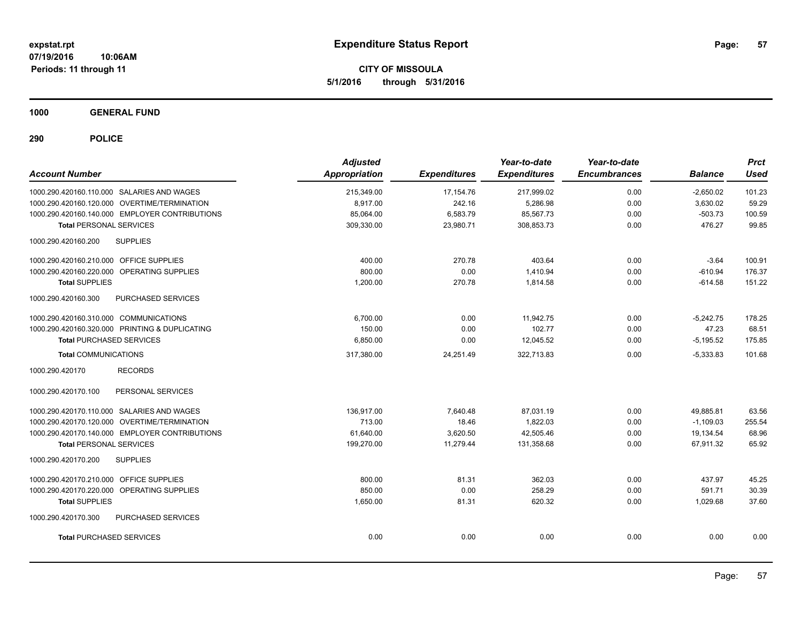**CITY OF MISSOULA 5/1/2016 through 5/31/2016**

**1000 GENERAL FUND**

| <b>Account Number</b>                          | <b>Adjusted</b><br><b>Appropriation</b> | <b>Expenditures</b> | Year-to-date<br><b>Expenditures</b> | Year-to-date<br><b>Encumbrances</b> | <b>Balance</b> | <b>Prct</b><br><b>Used</b> |
|------------------------------------------------|-----------------------------------------|---------------------|-------------------------------------|-------------------------------------|----------------|----------------------------|
| 1000.290.420160.110.000 SALARIES AND WAGES     | 215,349.00                              | 17,154.76           | 217,999.02                          | 0.00                                | $-2,650.02$    | 101.23                     |
| 1000.290.420160.120.000 OVERTIME/TERMINATION   | 8,917.00                                | 242.16              | 5,286.98                            | 0.00                                | 3,630.02       | 59.29                      |
| 1000.290.420160.140.000 EMPLOYER CONTRIBUTIONS | 85,064.00                               | 6,583.79            | 85,567.73                           | 0.00                                | $-503.73$      | 100.59                     |
| <b>Total PERSONAL SERVICES</b>                 | 309,330.00                              | 23,980.71           | 308,853.73                          | 0.00                                | 476.27         | 99.85                      |
| 1000.290.420160.200<br><b>SUPPLIES</b>         |                                         |                     |                                     |                                     |                |                            |
| 1000.290.420160.210.000 OFFICE SUPPLIES        | 400.00                                  | 270.78              | 403.64                              | 0.00                                | $-3.64$        | 100.91                     |
| 1000.290.420160.220.000 OPERATING SUPPLIES     | 800.00                                  | 0.00                | 1,410.94                            | 0.00                                | $-610.94$      | 176.37                     |
| <b>Total SUPPLIES</b>                          | 1,200.00                                | 270.78              | 1,814.58                            | 0.00                                | $-614.58$      | 151.22                     |
| PURCHASED SERVICES<br>1000.290.420160.300      |                                         |                     |                                     |                                     |                |                            |
| 1000.290.420160.310.000 COMMUNICATIONS         | 6,700.00                                | 0.00                | 11,942.75                           | 0.00                                | $-5,242.75$    | 178.25                     |
| 1000.290.420160.320.000 PRINTING & DUPLICATING | 150.00                                  | 0.00                | 102.77                              | 0.00                                | 47.23          | 68.51                      |
| <b>Total PURCHASED SERVICES</b>                | 6,850.00                                | 0.00                | 12,045.52                           | 0.00                                | $-5,195.52$    | 175.85                     |
| <b>Total COMMUNICATIONS</b>                    | 317,380.00                              | 24,251.49           | 322,713.83                          | 0.00                                | $-5,333.83$    | 101.68                     |
| 1000.290.420170<br><b>RECORDS</b>              |                                         |                     |                                     |                                     |                |                            |
| 1000.290.420170.100<br>PERSONAL SERVICES       |                                         |                     |                                     |                                     |                |                            |
| 1000.290.420170.110.000 SALARIES AND WAGES     | 136,917.00                              | 7,640.48            | 87,031.19                           | 0.00                                | 49,885.81      | 63.56                      |
| 1000.290.420170.120.000 OVERTIME/TERMINATION   | 713.00                                  | 18.46               | 1,822.03                            | 0.00                                | $-1,109.03$    | 255.54                     |
| 1000.290.420170.140.000 EMPLOYER CONTRIBUTIONS | 61,640.00                               | 3,620.50            | 42,505.46                           | 0.00                                | 19,134.54      | 68.96                      |
| <b>Total PERSONAL SERVICES</b>                 | 199,270.00                              | 11,279.44           | 131,358.68                          | 0.00                                | 67,911.32      | 65.92                      |
| 1000.290.420170.200<br><b>SUPPLIES</b>         |                                         |                     |                                     |                                     |                |                            |
| 1000.290.420170.210.000 OFFICE SUPPLIES        | 800.00                                  | 81.31               | 362.03                              | 0.00                                | 437.97         | 45.25                      |
| 1000.290.420170.220.000 OPERATING SUPPLIES     | 850.00                                  | 0.00                | 258.29                              | 0.00                                | 591.71         | 30.39                      |
| <b>Total SUPPLIES</b>                          | 1,650.00                                | 81.31               | 620.32                              | 0.00                                | 1,029.68       | 37.60                      |
| 1000.290.420170.300<br>PURCHASED SERVICES      |                                         |                     |                                     |                                     |                |                            |
| <b>Total PURCHASED SERVICES</b>                | 0.00                                    | 0.00                | 0.00                                | 0.00                                | 0.00           | 0.00                       |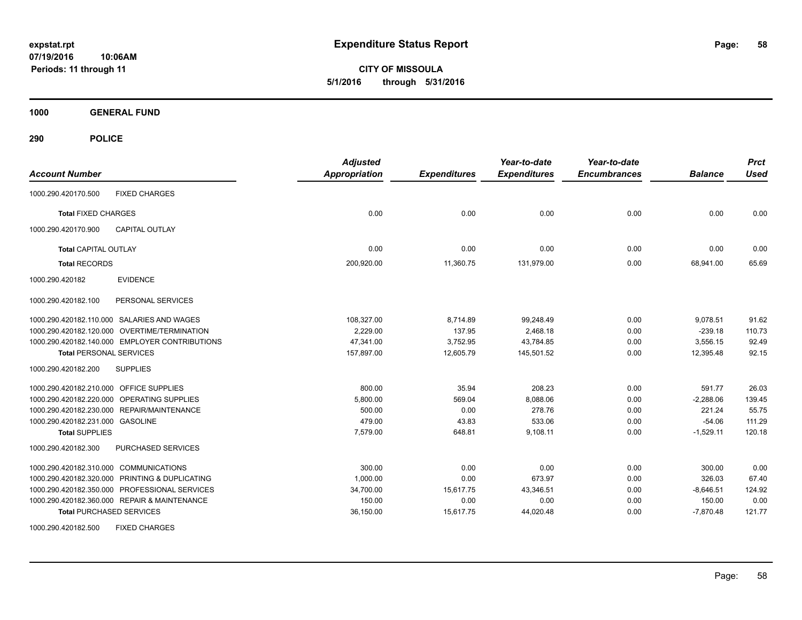**CITY OF MISSOULA 5/1/2016 through 5/31/2016**

**1000 GENERAL FUND**

| <b>Account Number</b>                          | <b>Adjusted</b><br><b>Appropriation</b> | <b>Expenditures</b> | Year-to-date<br><b>Expenditures</b> | Year-to-date<br><b>Encumbrances</b> | <b>Balance</b> | <b>Prct</b><br><b>Used</b> |
|------------------------------------------------|-----------------------------------------|---------------------|-------------------------------------|-------------------------------------|----------------|----------------------------|
| <b>FIXED CHARGES</b><br>1000.290.420170.500    |                                         |                     |                                     |                                     |                |                            |
| <b>Total FIXED CHARGES</b>                     | 0.00                                    | 0.00                | 0.00                                | 0.00                                | 0.00           | 0.00                       |
| 1000.290.420170.900<br><b>CAPITAL OUTLAY</b>   |                                         |                     |                                     |                                     |                |                            |
| <b>Total CAPITAL OUTLAY</b>                    | 0.00                                    | 0.00                | 0.00                                | 0.00                                | 0.00           | 0.00                       |
| <b>Total RECORDS</b>                           | 200,920.00                              | 11,360.75           | 131,979.00                          | 0.00                                | 68,941.00      | 65.69                      |
| <b>EVIDENCE</b><br>1000.290.420182             |                                         |                     |                                     |                                     |                |                            |
| PERSONAL SERVICES<br>1000.290.420182.100       |                                         |                     |                                     |                                     |                |                            |
| 1000.290.420182.110.000 SALARIES AND WAGES     | 108,327.00                              | 8,714.89            | 99,248.49                           | 0.00                                | 9,078.51       | 91.62                      |
| 1000.290.420182.120.000 OVERTIME/TERMINATION   | 2.229.00                                | 137.95              | 2,468.18                            | 0.00                                | $-239.18$      | 110.73                     |
| 1000.290.420182.140.000 EMPLOYER CONTRIBUTIONS | 47,341.00                               | 3,752.95            | 43,784.85                           | 0.00                                | 3,556.15       | 92.49                      |
| <b>Total PERSONAL SERVICES</b>                 | 157,897.00                              | 12,605.79           | 145,501.52                          | 0.00                                | 12,395.48      | 92.15                      |
| 1000.290.420182.200<br><b>SUPPLIES</b>         |                                         |                     |                                     |                                     |                |                            |
| 1000.290.420182.210.000 OFFICE SUPPLIES        | 800.00                                  | 35.94               | 208.23                              | 0.00                                | 591.77         | 26.03                      |
| 1000.290.420182.220.000 OPERATING SUPPLIES     | 5.800.00                                | 569.04              | 8.088.06                            | 0.00                                | $-2,288.06$    | 139.45                     |
| 1000.290.420182.230.000 REPAIR/MAINTENANCE     | 500.00                                  | 0.00                | 278.76                              | 0.00                                | 221.24         | 55.75                      |
| 1000.290.420182.231.000 GASOLINE               | 479.00                                  | 43.83               | 533.06                              | 0.00                                | $-54.06$       | 111.29                     |
| <b>Total SUPPLIES</b>                          | 7,579.00                                | 648.81              | 9,108.11                            | 0.00                                | $-1,529.11$    | 120.18                     |
| 1000.290.420182.300<br>PURCHASED SERVICES      |                                         |                     |                                     |                                     |                |                            |
| 1000.290.420182.310.000 COMMUNICATIONS         | 300.00                                  | 0.00                | 0.00                                | 0.00                                | 300.00         | 0.00                       |
| 1000.290.420182.320.000 PRINTING & DUPLICATING | 1,000.00                                | 0.00                | 673.97                              | 0.00                                | 326.03         | 67.40                      |
| 1000.290.420182.350.000 PROFESSIONAL SERVICES  | 34,700.00                               | 15,617.75           | 43,346.51                           | 0.00                                | $-8,646.51$    | 124.92                     |
| 1000.290.420182.360.000 REPAIR & MAINTENANCE   | 150.00                                  | 0.00                | 0.00                                | 0.00                                | 150.00         | 0.00                       |
| <b>Total PURCHASED SERVICES</b>                | 36,150.00                               | 15,617.75           | 44,020.48                           | 0.00                                | $-7,870.48$    | 121.77                     |
| <b>FIXED CHARGES</b><br>1000.290.420182.500    |                                         |                     |                                     |                                     |                |                            |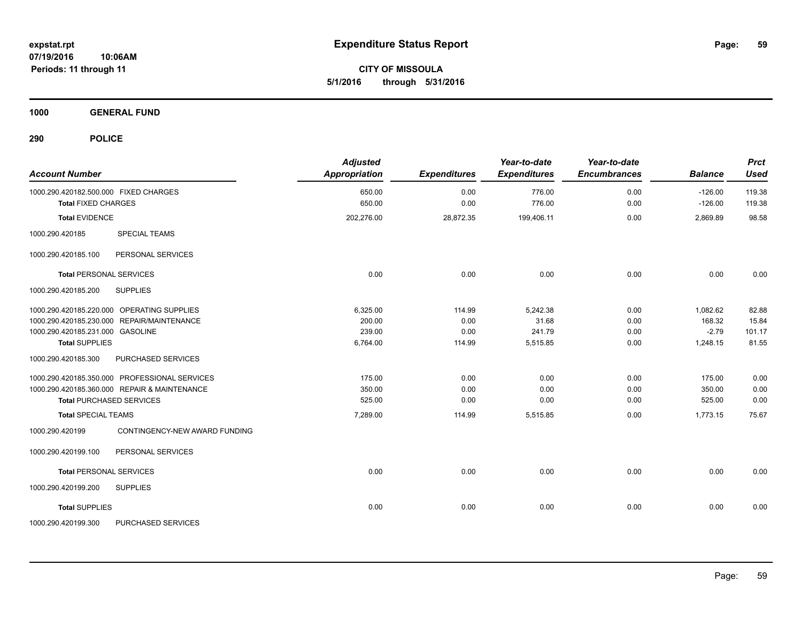**CITY OF MISSOULA 5/1/2016 through 5/31/2016**

**1000 GENERAL FUND**

| <b>Account Number</b>                            | <b>Adjusted</b><br>Appropriation | <b>Expenditures</b> | Year-to-date<br><b>Expenditures</b> | Year-to-date<br><b>Encumbrances</b> | <b>Balance</b> | <b>Prct</b><br><b>Used</b> |
|--------------------------------------------------|----------------------------------|---------------------|-------------------------------------|-------------------------------------|----------------|----------------------------|
| 1000.290.420182.500.000 FIXED CHARGES            | 650.00                           | 0.00                | 776.00                              | 0.00                                | $-126.00$      | 119.38                     |
| <b>Total FIXED CHARGES</b>                       | 650.00                           | 0.00                | 776.00                              | 0.00                                | $-126.00$      | 119.38                     |
| <b>Total EVIDENCE</b>                            | 202,276.00                       | 28,872.35           | 199,406.11                          | 0.00                                | 2,869.89       | 98.58                      |
| 1000.290.420185<br><b>SPECIAL TEAMS</b>          |                                  |                     |                                     |                                     |                |                            |
| PERSONAL SERVICES<br>1000.290.420185.100         |                                  |                     |                                     |                                     |                |                            |
| <b>Total PERSONAL SERVICES</b>                   | 0.00                             | 0.00                | 0.00                                | 0.00                                | 0.00           | 0.00                       |
| 1000.290.420185.200<br><b>SUPPLIES</b>           |                                  |                     |                                     |                                     |                |                            |
| 1000.290.420185.220.000 OPERATING SUPPLIES       | 6,325.00                         | 114.99              | 5,242.38                            | 0.00                                | 1,082.62       | 82.88                      |
| 1000.290.420185.230.000 REPAIR/MAINTENANCE       | 200.00                           | 0.00                | 31.68                               | 0.00                                | 168.32         | 15.84                      |
| 1000.290.420185.231.000 GASOLINE                 | 239.00                           | 0.00                | 241.79                              | 0.00                                | $-2.79$        | 101.17                     |
| <b>Total SUPPLIES</b>                            | 6,764.00                         | 114.99              | 5,515.85                            | 0.00                                | 1,248.15       | 81.55                      |
| PURCHASED SERVICES<br>1000.290.420185.300        |                                  |                     |                                     |                                     |                |                            |
| 1000.290.420185.350.000 PROFESSIONAL SERVICES    | 175.00                           | 0.00                | 0.00                                | 0.00                                | 175.00         | 0.00                       |
| 1000.290.420185.360.000 REPAIR & MAINTENANCE     | 350.00                           | 0.00                | 0.00                                | 0.00                                | 350.00         | 0.00                       |
| <b>Total PURCHASED SERVICES</b>                  | 525.00                           | 0.00                | 0.00                                | 0.00                                | 525.00         | 0.00                       |
| <b>Total SPECIAL TEAMS</b>                       | 7,289.00                         | 114.99              | 5,515.85                            | 0.00                                | 1,773.15       | 75.67                      |
| 1000.290.420199<br>CONTINGENCY-NEW AWARD FUNDING |                                  |                     |                                     |                                     |                |                            |
| 1000.290.420199.100<br>PERSONAL SERVICES         |                                  |                     |                                     |                                     |                |                            |
| <b>Total PERSONAL SERVICES</b>                   | 0.00                             | 0.00                | 0.00                                | 0.00                                | 0.00           | 0.00                       |
| 1000.290.420199.200<br><b>SUPPLIES</b>           |                                  |                     |                                     |                                     |                |                            |
| <b>Total SUPPLIES</b>                            | 0.00                             | 0.00                | 0.00                                | 0.00                                | 0.00           | 0.00                       |
| 1000.290.420199.300<br>PURCHASED SERVICES        |                                  |                     |                                     |                                     |                |                            |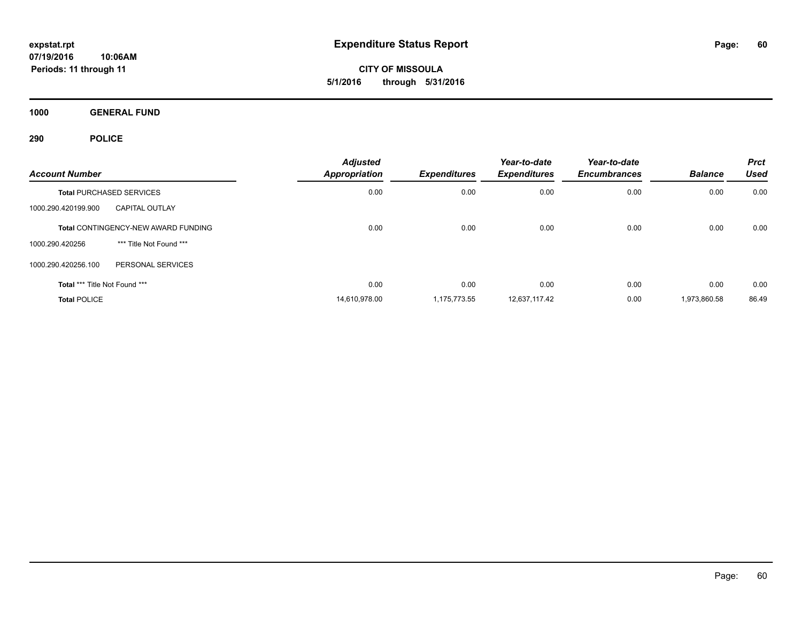**CITY OF MISSOULA 5/1/2016 through 5/31/2016**

**1000 GENERAL FUND**

| <b>Account Number</b>         |                                     | <b>Adjusted</b><br><b>Appropriation</b> | <b>Expenditures</b> | Year-to-date<br><b>Expenditures</b> | Year-to-date<br><b>Encumbrances</b> | <b>Balance</b> | <b>Prct</b><br><b>Used</b> |
|-------------------------------|-------------------------------------|-----------------------------------------|---------------------|-------------------------------------|-------------------------------------|----------------|----------------------------|
|                               | <b>Total PURCHASED SERVICES</b>     | 0.00                                    | 0.00                | 0.00                                | 0.00                                | 0.00           | 0.00                       |
| 1000.290.420199.900           | <b>CAPITAL OUTLAY</b>               |                                         |                     |                                     |                                     |                |                            |
|                               | Total CONTINGENCY-NEW AWARD FUNDING | 0.00                                    | 0.00                | 0.00                                | 0.00                                | 0.00           | 0.00                       |
| 1000.290.420256               | *** Title Not Found ***             |                                         |                     |                                     |                                     |                |                            |
| 1000.290.420256.100           | PERSONAL SERVICES                   |                                         |                     |                                     |                                     |                |                            |
| Total *** Title Not Found *** |                                     | 0.00                                    | 0.00                | 0.00                                | 0.00                                | 0.00           | 0.00                       |
| <b>Total POLICE</b>           |                                     | 14,610,978.00                           | 1.175.773.55        | 12,637,117.42                       | 0.00                                | 1,973,860.58   | 86.49                      |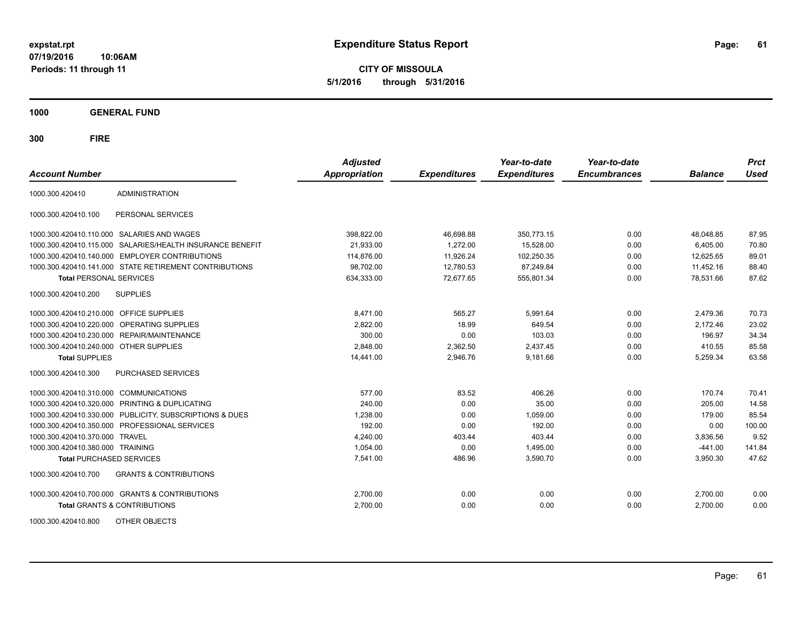**CITY OF MISSOULA 5/1/2016 through 5/31/2016**

**1000 GENERAL FUND**

| <b>Account Number</b>                   |                                                           | <b>Adjusted</b><br><b>Appropriation</b> | <b>Expenditures</b> | Year-to-date<br><b>Expenditures</b> | Year-to-date<br><b>Encumbrances</b> | <b>Balance</b> | <b>Prct</b><br><b>Used</b> |
|-----------------------------------------|-----------------------------------------------------------|-----------------------------------------|---------------------|-------------------------------------|-------------------------------------|----------------|----------------------------|
| 1000.300.420410                         | <b>ADMINISTRATION</b>                                     |                                         |                     |                                     |                                     |                |                            |
| 1000.300.420410.100                     | PERSONAL SERVICES                                         |                                         |                     |                                     |                                     |                |                            |
|                                         | 1000.300.420410.110.000 SALARIES AND WAGES                | 398,822.00                              | 46,698.88           | 350,773.15                          | 0.00                                | 48,048.85      | 87.95                      |
|                                         | 1000.300.420410.115.000 SALARIES/HEALTH INSURANCE BENEFIT | 21,933.00                               | 1,272.00            | 15,528.00                           | 0.00                                | 6,405.00       | 70.80                      |
|                                         | 1000.300.420410.140.000 EMPLOYER CONTRIBUTIONS            | 114.876.00                              | 11,926.24           | 102.250.35                          | 0.00                                | 12.625.65      | 89.01                      |
|                                         | 1000.300.420410.141.000 STATE RETIREMENT CONTRIBUTIONS    | 98,702.00                               | 12,780.53           | 87,249.84                           | 0.00                                | 11,452.16      | 88.40                      |
| <b>Total PERSONAL SERVICES</b>          |                                                           | 634,333.00                              | 72,677.65           | 555,801.34                          | 0.00                                | 78,531.66      | 87.62                      |
| 1000.300.420410.200                     | <b>SUPPLIES</b>                                           |                                         |                     |                                     |                                     |                |                            |
| 1000.300.420410.210.000 OFFICE SUPPLIES |                                                           | 8,471.00                                | 565.27              | 5,991.64                            | 0.00                                | 2,479.36       | 70.73                      |
|                                         | 1000.300.420410.220.000 OPERATING SUPPLIES                | 2,822.00                                | 18.99               | 649.54                              | 0.00                                | 2,172.46       | 23.02                      |
| 1000.300.420410.230.000                 | REPAIR/MAINTENANCE                                        | 300.00                                  | 0.00                | 103.03                              | 0.00                                | 196.97         | 34.34                      |
| 1000.300.420410.240.000                 | <b>OTHER SUPPLIES</b>                                     | 2,848.00                                | 2,362.50            | 2,437.45                            | 0.00                                | 410.55         | 85.58                      |
| <b>Total SUPPLIES</b>                   |                                                           | 14,441.00                               | 2,946.76            | 9,181.66                            | 0.00                                | 5,259.34       | 63.58                      |
| 1000.300.420410.300                     | PURCHASED SERVICES                                        |                                         |                     |                                     |                                     |                |                            |
| 1000.300.420410.310.000                 | <b>COMMUNICATIONS</b>                                     | 577.00                                  | 83.52               | 406.26                              | 0.00                                | 170.74         | 70.41                      |
| 1000.300.420410.320.000                 | <b>PRINTING &amp; DUPLICATING</b>                         | 240.00                                  | 0.00                | 35.00                               | 0.00                                | 205.00         | 14.58                      |
| 1000.300.420410.330.000                 | PUBLICITY, SUBSCRIPTIONS & DUES                           | 1,238.00                                | 0.00                | 1.059.00                            | 0.00                                | 179.00         | 85.54                      |
| 1000.300.420410.350.000                 | PROFESSIONAL SERVICES                                     | 192.00                                  | 0.00                | 192.00                              | 0.00                                | 0.00           | 100.00                     |
| 1000.300.420410.370.000                 | <b>TRAVEL</b>                                             | 4,240.00                                | 403.44              | 403.44                              | 0.00                                | 3,836.56       | 9.52                       |
| 1000.300.420410.380.000 TRAINING        |                                                           | 1,054.00                                | 0.00                | 1,495.00                            | 0.00                                | $-441.00$      | 141.84                     |
| <b>Total PURCHASED SERVICES</b>         |                                                           | 7,541.00                                | 486.96              | 3,590.70                            | 0.00                                | 3,950.30       | 47.62                      |
| 1000.300.420410.700                     | <b>GRANTS &amp; CONTRIBUTIONS</b>                         |                                         |                     |                                     |                                     |                |                            |
|                                         | 1000.300.420410.700.000 GRANTS & CONTRIBUTIONS            | 2,700.00                                | 0.00                | 0.00                                | 0.00                                | 2,700.00       | 0.00                       |
|                                         | <b>Total GRANTS &amp; CONTRIBUTIONS</b>                   | 2,700.00                                | 0.00                | 0.00                                | 0.00                                | 2,700.00       | 0.00                       |
| 1000.300.420410.800                     | OTHER OBJECTS                                             |                                         |                     |                                     |                                     |                |                            |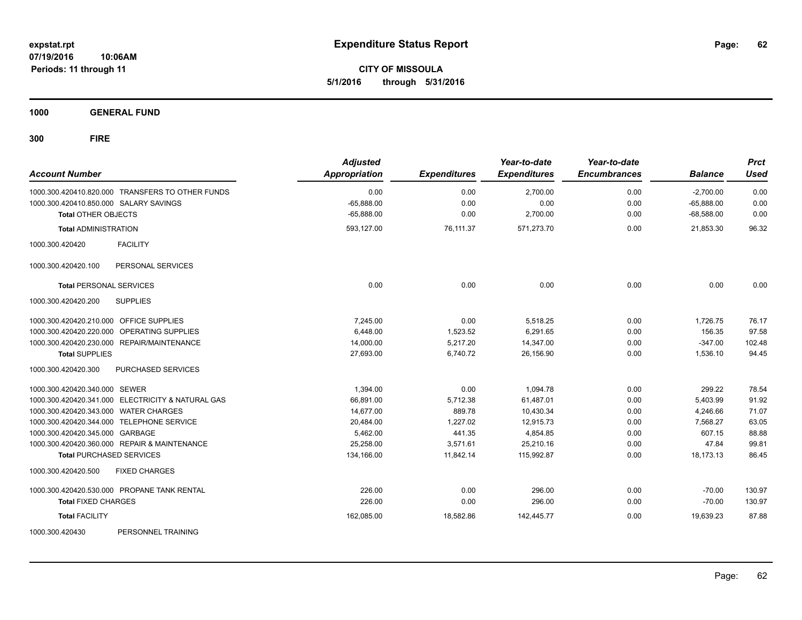**CITY OF MISSOULA 5/1/2016 through 5/31/2016**

**1000 GENERAL FUND**

| <b>Account Number</b>                             |                                                  | <b>Adjusted</b><br><b>Appropriation</b> | <b>Expenditures</b> | Year-to-date<br><b>Expenditures</b> | Year-to-date<br><b>Encumbrances</b> | <b>Balance</b> | <b>Prct</b><br><b>Used</b> |
|---------------------------------------------------|--------------------------------------------------|-----------------------------------------|---------------------|-------------------------------------|-------------------------------------|----------------|----------------------------|
|                                                   | 1000.300.420410.820.000 TRANSFERS TO OTHER FUNDS | 0.00                                    | 0.00                | 2,700.00                            | 0.00                                | $-2,700.00$    | 0.00                       |
| 1000.300.420410.850.000 SALARY SAVINGS            |                                                  | $-65,888.00$                            | 0.00                | 0.00                                | 0.00                                | $-65.888.00$   | 0.00                       |
| <b>Total OTHER OBJECTS</b>                        |                                                  | $-65,888.00$                            | 0.00                | 2,700.00                            | 0.00                                | $-68,588.00$   | 0.00                       |
| <b>Total ADMINISTRATION</b>                       |                                                  | 593,127.00                              | 76,111.37           | 571,273.70                          | 0.00                                | 21,853.30      | 96.32                      |
| 1000.300.420420                                   | <b>FACILITY</b>                                  |                                         |                     |                                     |                                     |                |                            |
| 1000.300.420420.100                               | PERSONAL SERVICES                                |                                         |                     |                                     |                                     |                |                            |
| <b>Total PERSONAL SERVICES</b>                    |                                                  | 0.00                                    | 0.00                | 0.00                                | 0.00                                | 0.00           | 0.00                       |
| 1000.300.420420.200                               | <b>SUPPLIES</b>                                  |                                         |                     |                                     |                                     |                |                            |
| 1000.300.420420.210.000 OFFICE SUPPLIES           |                                                  | 7,245.00                                | 0.00                | 5,518.25                            | 0.00                                | 1,726.75       | 76.17                      |
| 1000.300.420420.220.000                           | OPERATING SUPPLIES                               | 6.448.00                                | 1,523.52            | 6.291.65                            | 0.00                                | 156.35         | 97.58                      |
| 1000.300.420420.230.000 REPAIR/MAINTENANCE        |                                                  | 14,000.00                               | 5,217.20            | 14,347.00                           | 0.00                                | $-347.00$      | 102.48                     |
| <b>Total SUPPLIES</b>                             |                                                  | 27,693.00                               | 6,740.72            | 26,156.90                           | 0.00                                | 1,536.10       | 94.45                      |
| 1000.300.420420.300                               | PURCHASED SERVICES                               |                                         |                     |                                     |                                     |                |                            |
| 1000.300.420420.340.000 SEWER                     |                                                  | 1,394.00                                | 0.00                | 1,094.78                            | 0.00                                | 299.22         | 78.54                      |
| 1000.300.420420.341.000 ELECTRICITY & NATURAL GAS |                                                  | 66,891.00                               | 5,712.38            | 61,487.01                           | 0.00                                | 5,403.99       | 91.92                      |
| 1000.300.420420.343.000 WATER CHARGES             |                                                  | 14,677.00                               | 889.78              | 10,430.34                           | 0.00                                | 4,246.66       | 71.07                      |
| 1000.300.420420.344.000 TELEPHONE SERVICE         |                                                  | 20,484.00                               | 1.227.02            | 12.915.73                           | 0.00                                | 7.568.27       | 63.05                      |
| 1000.300.420420.345.000 GARBAGE                   |                                                  | 5,462.00                                | 441.35              | 4,854.85                            | 0.00                                | 607.15         | 88.88                      |
| 1000.300.420420.360.000 REPAIR & MAINTENANCE      |                                                  | 25,258.00                               | 3,571.61            | 25,210.16                           | 0.00                                | 47.84          | 99.81                      |
| <b>Total PURCHASED SERVICES</b>                   |                                                  | 134,166.00                              | 11,842.14           | 115,992.87                          | 0.00                                | 18,173.13      | 86.45                      |
| 1000.300.420420.500                               | <b>FIXED CHARGES</b>                             |                                         |                     |                                     |                                     |                |                            |
| 1000.300.420420.530.000 PROPANE TANK RENTAL       |                                                  | 226.00                                  | 0.00                | 296.00                              | 0.00                                | $-70.00$       | 130.97                     |
| <b>Total FIXED CHARGES</b>                        |                                                  | 226.00                                  | 0.00                | 296.00                              | 0.00                                | $-70.00$       | 130.97                     |
| <b>Total FACILITY</b>                             |                                                  | 162,085.00                              | 18,582.86           | 142,445.77                          | 0.00                                | 19.639.23      | 87.88                      |
| 1000.300.420430                                   | PERSONNEL TRAINING                               |                                         |                     |                                     |                                     |                |                            |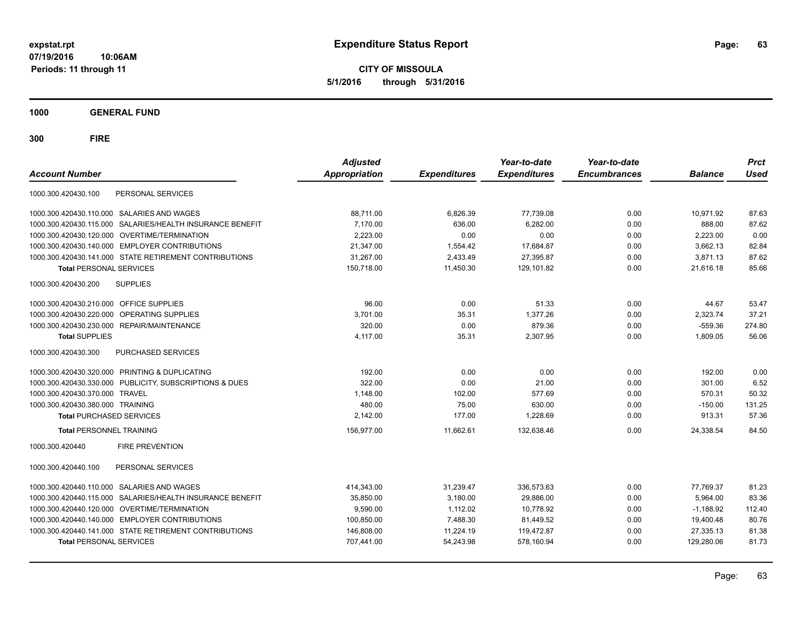**CITY OF MISSOULA 5/1/2016 through 5/31/2016**

**1000 GENERAL FUND**

| <b>Account Number</b>                                        | <b>Adjusted</b><br><b>Appropriation</b> | <b>Expenditures</b> | Year-to-date<br><b>Expenditures</b> | Year-to-date<br><b>Encumbrances</b> | <b>Balance</b> | <b>Prct</b><br><b>Used</b> |
|--------------------------------------------------------------|-----------------------------------------|---------------------|-------------------------------------|-------------------------------------|----------------|----------------------------|
| PERSONAL SERVICES<br>1000.300.420430.100                     |                                         |                     |                                     |                                     |                |                            |
| 1000.300.420430.110.000 SALARIES AND WAGES                   | 88.711.00                               | 6,826.39            | 77,739.08                           | 0.00                                | 10.971.92      | 87.63                      |
| 1000.300.420430.115.000 SALARIES/HEALTH INSURANCE BENEFIT    | 7.170.00                                | 636.00              | 6.282.00                            | 0.00                                | 888.00         | 87.62                      |
| 1000.300.420430.120.000 OVERTIME/TERMINATION                 | 2.223.00                                | 0.00                | 0.00                                | 0.00                                | 2,223.00       | 0.00                       |
| 1000.300.420430.140.000 EMPLOYER CONTRIBUTIONS               | 21,347.00                               | 1,554.42            | 17,684.87                           | 0.00                                | 3,662.13       | 82.84                      |
| 1000.300.420430.141.000 STATE RETIREMENT CONTRIBUTIONS       | 31,267.00                               | 2,433.49            | 27,395.87                           | 0.00                                | 3,871.13       | 87.62                      |
| <b>Total PERSONAL SERVICES</b>                               | 150,718.00                              | 11,450.30           | 129,101.82                          | 0.00                                | 21,616.18      | 85.66                      |
| <b>SUPPLIES</b><br>1000.300.420430.200                       |                                         |                     |                                     |                                     |                |                            |
| 1000.300.420430.210.000 OFFICE SUPPLIES                      | 96.00                                   | 0.00                | 51.33                               | 0.00                                | 44.67          | 53.47                      |
| 1000.300.420430.220.000 OPERATING SUPPLIES                   | 3,701.00                                | 35.31               | 1,377.26                            | 0.00                                | 2,323.74       | 37.21                      |
| 1000.300.420430.230.000 REPAIR/MAINTENANCE                   | 320.00                                  | 0.00                | 879.36                              | 0.00                                | $-559.36$      | 274.80                     |
| <b>Total SUPPLIES</b>                                        | 4,117.00                                | 35.31               | 2,307.95                            | 0.00                                | 1,809.05       | 56.06                      |
| 1000.300.420430.300<br><b>PURCHASED SERVICES</b>             |                                         |                     |                                     |                                     |                |                            |
| 1000.300.420430.320.000 PRINTING & DUPLICATING               | 192.00                                  | 0.00                | 0.00                                | 0.00                                | 192.00         | 0.00                       |
| 1000.300.420430.330.000 PUBLICITY, SUBSCRIPTIONS & DUES      | 322.00                                  | 0.00                | 21.00                               | 0.00                                | 301.00         | 6.52                       |
| 1000.300.420430.370.000 TRAVEL                               | 1,148.00                                | 102.00              | 577.69                              | 0.00                                | 570.31         | 50.32                      |
| 1000.300.420430.380.000 TRAINING                             | 480.00                                  | 75.00               | 630.00                              | 0.00                                | $-150.00$      | 131.25                     |
| <b>Total PURCHASED SERVICES</b>                              | 2,142.00                                | 177.00              | 1,228.69                            | 0.00                                | 913.31         | 57.36                      |
| <b>Total PERSONNEL TRAINING</b>                              | 156,977.00                              | 11,662.61           | 132.638.46                          | 0.00                                | 24.338.54      | 84.50                      |
| <b>FIRE PREVENTION</b><br>1000.300.420440                    |                                         |                     |                                     |                                     |                |                            |
| PERSONAL SERVICES<br>1000.300.420440.100                     |                                         |                     |                                     |                                     |                |                            |
| 1000.300.420440.110.000 SALARIES AND WAGES                   | 414,343.00                              | 31,239.47           | 336,573.63                          | 0.00                                | 77,769.37      | 81.23                      |
| SALARIES/HEALTH INSURANCE BENEFIT<br>1000.300.420440.115.000 | 35,850.00                               | 3,180.00            | 29,886.00                           | 0.00                                | 5,964.00       | 83.36                      |
| 1000.300.420440.120.000 OVERTIME/TERMINATION                 | 9,590.00                                | 1,112.02            | 10.778.92                           | 0.00                                | $-1,188.92$    | 112.40                     |
| 1000.300.420440.140.000 EMPLOYER CONTRIBUTIONS               | 100,850.00                              | 7,488.30            | 81,449.52                           | 0.00                                | 19,400.48      | 80.76                      |
| 1000.300.420440.141.000 STATE RETIREMENT CONTRIBUTIONS       | 146,808.00                              | 11,224.19           | 119,472.87                          | 0.00                                | 27,335.13      | 81.38                      |
| <b>Total PERSONAL SERVICES</b>                               | 707,441.00                              | 54,243.98           | 578,160.94                          | 0.00                                | 129,280.06     | 81.73                      |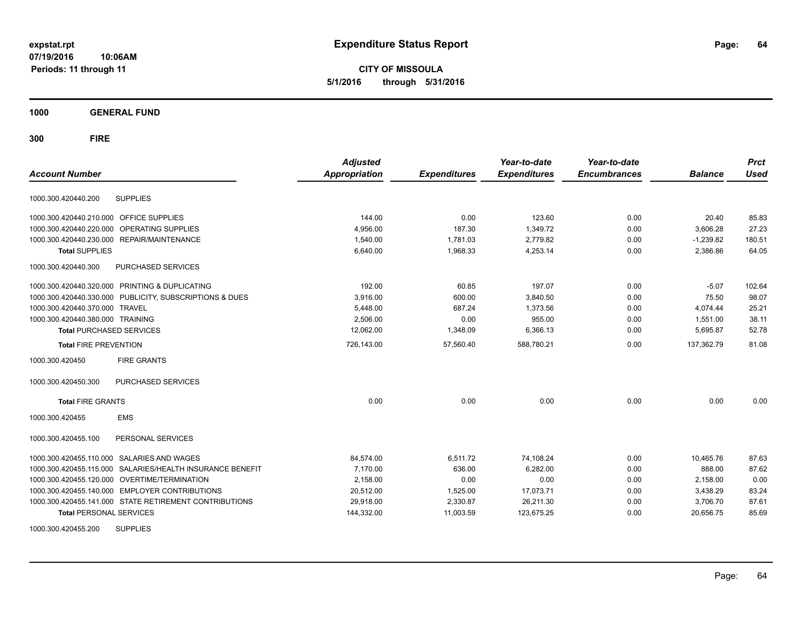**CITY OF MISSOULA 5/1/2016 through 5/31/2016**

**1000 GENERAL FUND**

**300 FIRE**

|                                                              | <b>Adjusted</b> |                     | Year-to-date        | Year-to-date        |                | <b>Prct</b> |
|--------------------------------------------------------------|-----------------|---------------------|---------------------|---------------------|----------------|-------------|
| <b>Account Number</b>                                        | Appropriation   | <b>Expenditures</b> | <b>Expenditures</b> | <b>Encumbrances</b> | <b>Balance</b> | <b>Used</b> |
| <b>SUPPLIES</b><br>1000.300.420440.200                       |                 |                     |                     |                     |                |             |
| 1000.300.420440.210.000 OFFICE SUPPLIES                      | 144.00          | 0.00                | 123.60              | 0.00                | 20.40          | 85.83       |
| 1000.300.420440.220.000<br>OPERATING SUPPLIES                | 4.956.00        | 187.30              | 1.349.72            | 0.00                | 3,606.28       | 27.23       |
| 1000.300.420440.230.000 REPAIR/MAINTENANCE                   | 1,540.00        | 1,781.03            | 2,779.82            | 0.00                | $-1,239.82$    | 180.51      |
| <b>Total SUPPLIES</b>                                        | 6,640.00        | 1,968.33            | 4,253.14            | 0.00                | 2,386.86       | 64.05       |
| 1000.300.420440.300<br><b>PURCHASED SERVICES</b>             |                 |                     |                     |                     |                |             |
| 1000.300.420440.320.000 PRINTING & DUPLICATING               | 192.00          | 60.85               | 197.07              | 0.00                | $-5.07$        | 102.64      |
| 1000.300.420440.330.000 PUBLICITY, SUBSCRIPTIONS & DUES      | 3,916.00        | 600.00              | 3,840.50            | 0.00                | 75.50          | 98.07       |
| 1000.300.420440.370.000<br><b>TRAVEL</b>                     | 5.448.00        | 687.24              | 1.373.56            | 0.00                | 4.074.44       | 25.21       |
| 1000.300.420440.380.000 TRAINING                             | 2,506.00        | 0.00                | 955.00              | 0.00                | 1,551.00       | 38.11       |
| <b>Total PURCHASED SERVICES</b>                              | 12,062.00       | 1,348.09            | 6,366.13            | 0.00                | 5,695.87       | 52.78       |
| <b>Total FIRE PREVENTION</b>                                 | 726,143.00      | 57,560.40           | 588,780.21          | 0.00                | 137,362.79     | 81.08       |
| 1000.300.420450<br><b>FIRE GRANTS</b>                        |                 |                     |                     |                     |                |             |
| PURCHASED SERVICES<br>1000.300.420450.300                    |                 |                     |                     |                     |                |             |
| <b>Total FIRE GRANTS</b>                                     | 0.00            | 0.00                | 0.00                | 0.00                | 0.00           | 0.00        |
| <b>EMS</b><br>1000.300.420455                                |                 |                     |                     |                     |                |             |
| PERSONAL SERVICES<br>1000.300.420455.100                     |                 |                     |                     |                     |                |             |
| 1000.300.420455.110.000 SALARIES AND WAGES                   | 84,574.00       | 6,511.72            | 74,108.24           | 0.00                | 10,465.76      | 87.63       |
| SALARIES/HEALTH INSURANCE BENEFIT<br>1000.300.420455.115.000 | 7,170.00        | 636.00              | 6.282.00            | 0.00                | 888.00         | 87.62       |
| 1000.300.420455.120.000 OVERTIME/TERMINATION                 | 2,158.00        | 0.00                | 0.00                | 0.00                | 2,158.00       | 0.00        |
| 1000.300.420455.140.000 EMPLOYER CONTRIBUTIONS               | 20.512.00       | 1,525.00            | 17,073.71           | 0.00                | 3,438.29       | 83.24       |
| 1000.300.420455.141.000 STATE RETIREMENT CONTRIBUTIONS       | 29,918.00       | 2,330.87            | 26,211.30           | 0.00                | 3,706.70       | 87.61       |
| <b>Total PERSONAL SERVICES</b>                               | 144,332.00      | 11,003.59           | 123,675.25          | 0.00                | 20,656.75      | 85.69       |
| 211551150                                                    |                 |                     |                     |                     |                |             |

1000.300.420455.200 SUPPLIES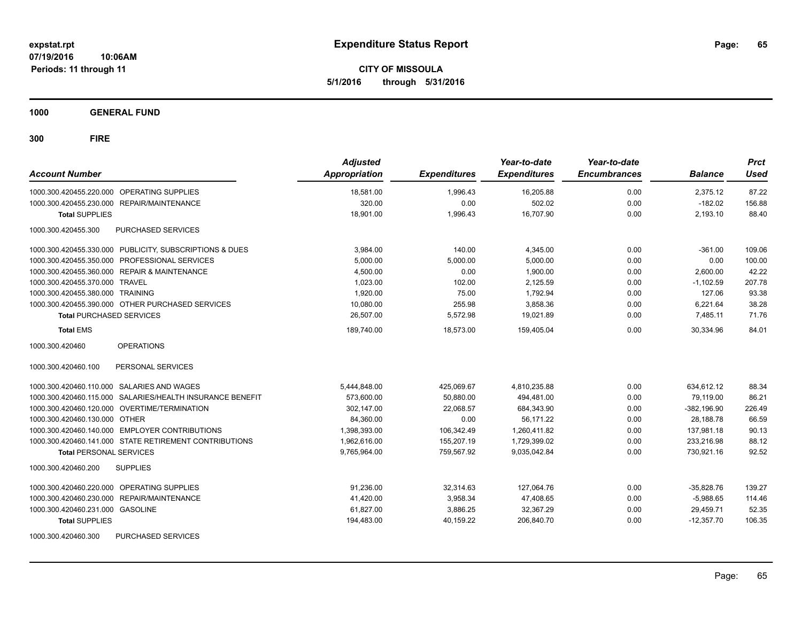**CITY OF MISSOULA 5/1/2016 through 5/31/2016**

**1000 GENERAL FUND**

| <b>Account Number</b>                                     | <b>Adjusted</b><br><b>Appropriation</b> | <b>Expenditures</b> | Year-to-date<br><b>Expenditures</b> | Year-to-date<br><b>Encumbrances</b> | <b>Balance</b> | <b>Prct</b><br>Used |
|-----------------------------------------------------------|-----------------------------------------|---------------------|-------------------------------------|-------------------------------------|----------------|---------------------|
| 1000.300.420455.220.000 OPERATING SUPPLIES                | 18.581.00                               | 1.996.43            | 16.205.88                           | 0.00                                | 2.375.12       | 87.22               |
| 1000.300.420455.230.000 REPAIR/MAINTENANCE                | 320.00                                  | 0.00                | 502.02                              | 0.00                                | $-182.02$      | 156.88              |
| <b>Total SUPPLIES</b>                                     | 18,901.00                               | 1,996.43            | 16.707.90                           | 0.00                                | 2,193.10       | 88.40               |
| PURCHASED SERVICES<br>1000.300.420455.300                 |                                         |                     |                                     |                                     |                |                     |
| 1000.300.420455.330.000 PUBLICITY, SUBSCRIPTIONS & DUES   | 3,984.00                                | 140.00              | 4,345.00                            | 0.00                                | $-361.00$      | 109.06              |
| 1000.300.420455.350.000 PROFESSIONAL SERVICES             | 5,000.00                                | 5,000.00            | 5,000.00                            | 0.00                                | 0.00           | 100.00              |
| 1000.300.420455.360.000 REPAIR & MAINTENANCE              | 4,500.00                                | 0.00                | 1,900.00                            | 0.00                                | 2,600.00       | 42.22               |
| 1000.300.420455.370.000 TRAVEL                            | 1,023.00                                | 102.00              | 2,125.59                            | 0.00                                | $-1,102.59$    | 207.78              |
| 1000.300.420455.380.000 TRAINING                          | 1,920.00                                | 75.00               | 1,792.94                            | 0.00                                | 127.06         | 93.38               |
| 1000.300.420455.390.000 OTHER PURCHASED SERVICES          | 10,080.00                               | 255.98              | 3,858.36                            | 0.00                                | 6,221.64       | 38.28               |
| <b>Total PURCHASED SERVICES</b>                           | 26.507.00                               | 5,572.98            | 19,021.89                           | 0.00                                | 7.485.11       | 71.76               |
| <b>Total EMS</b>                                          | 189,740.00                              | 18,573.00           | 159,405.04                          | 0.00                                | 30,334.96      | 84.01               |
| <b>OPERATIONS</b><br>1000.300.420460                      |                                         |                     |                                     |                                     |                |                     |
| PERSONAL SERVICES<br>1000.300.420460.100                  |                                         |                     |                                     |                                     |                |                     |
| 1000.300.420460.110.000 SALARIES AND WAGES                | 5,444,848.00                            | 425,069.67          | 4,810,235.88                        | 0.00                                | 634,612.12     | 88.34               |
| 1000.300.420460.115.000 SALARIES/HEALTH INSURANCE BENEFIT | 573,600.00                              | 50,880.00           | 494,481.00                          | 0.00                                | 79,119.00      | 86.21               |
| 1000.300.420460.120.000 OVERTIME/TERMINATION              | 302,147.00                              | 22.068.57           | 684,343.90                          | 0.00                                | $-382.196.90$  | 226.49              |
| 1000.300.420460.130.000 OTHER                             | 84,360.00                               | 0.00                | 56.171.22                           | 0.00                                | 28.188.78      | 66.59               |
| 1000.300.420460.140.000 EMPLOYER CONTRIBUTIONS            | 1.398.393.00                            | 106.342.49          | 1.260.411.82                        | 0.00                                | 137.981.18     | 90.13               |
| 1000.300.420460.141.000 STATE RETIREMENT CONTRIBUTIONS    | 1.962.616.00                            | 155.207.19          | 1,729,399.02                        | 0.00                                | 233.216.98     | 88.12               |
| <b>Total PERSONAL SERVICES</b>                            | 9,765,964.00                            | 759,567.92          | 9,035,042.84                        | 0.00                                | 730.921.16     | 92.52               |
| 1000.300.420460.200<br><b>SUPPLIES</b>                    |                                         |                     |                                     |                                     |                |                     |
| 1000.300.420460.220.000 OPERATING SUPPLIES                | 91.236.00                               | 32,314.63           | 127,064.76                          | 0.00                                | $-35,828.76$   | 139.27              |
| 1000.300.420460.230.000 REPAIR/MAINTENANCE                | 41,420.00                               | 3,958.34            | 47,408.65                           | 0.00                                | $-5,988.65$    | 114.46              |
| 1000.300.420460.231.000 GASOLINE                          | 61,827.00                               | 3,886.25            | 32,367.29                           | 0.00                                | 29,459.71      | 52.35               |
| <b>Total SUPPLIES</b>                                     | 194,483.00                              | 40,159.22           | 206,840.70                          | 0.00                                | $-12,357.70$   | 106.35              |
| PURCHASED SERVICES<br>1000.300.420460.300                 |                                         |                     |                                     |                                     |                |                     |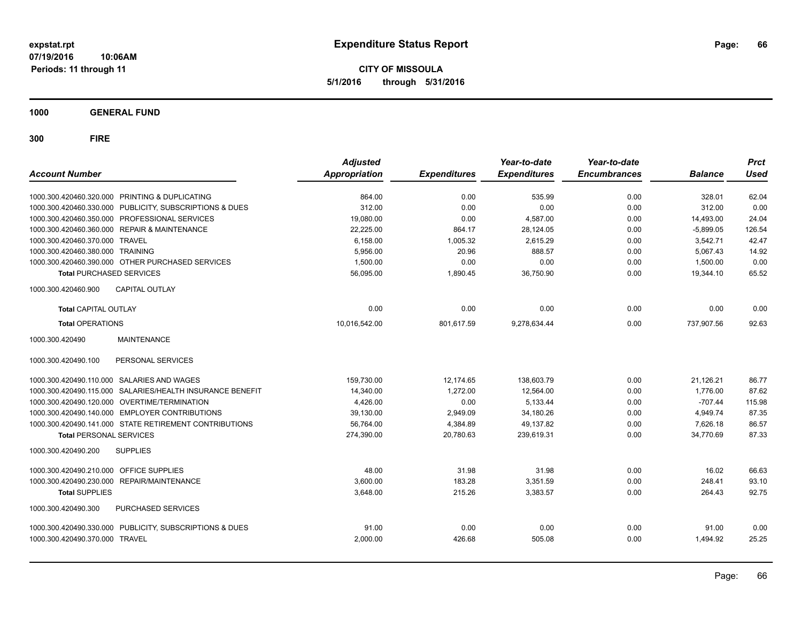**CITY OF MISSOULA 5/1/2016 through 5/31/2016**

**1000 GENERAL FUND**

| <b>Account Number</b>            |                                                         | <b>Adjusted</b><br><b>Appropriation</b> | <b>Expenditures</b> | Year-to-date<br><b>Expenditures</b> | Year-to-date<br><b>Encumbrances</b> | <b>Balance</b> | <b>Prct</b><br><b>Used</b> |
|----------------------------------|---------------------------------------------------------|-----------------------------------------|---------------------|-------------------------------------|-------------------------------------|----------------|----------------------------|
|                                  | 1000.300.420460.320.000 PRINTING & DUPLICATING          | 864.00                                  | 0.00                | 535.99                              | 0.00                                | 328.01         | 62.04                      |
|                                  | 1000.300.420460.330.000 PUBLICITY, SUBSCRIPTIONS & DUES | 312.00                                  | 0.00                | 0.00                                | 0.00                                | 312.00         | 0.00                       |
|                                  | 1000.300.420460.350.000 PROFESSIONAL SERVICES           | 19,080.00                               | 0.00                | 4,587.00                            | 0.00                                | 14,493.00      | 24.04                      |
|                                  | 1000.300.420460.360.000 REPAIR & MAINTENANCE            | 22,225.00                               | 864.17              | 28,124.05                           | 0.00                                | $-5,899.05$    | 126.54                     |
| 1000.300.420460.370.000 TRAVEL   |                                                         | 6,158.00                                | 1,005.32            | 2,615.29                            | 0.00                                | 3,542.71       | 42.47                      |
| 1000.300.420460.380.000 TRAINING |                                                         | 5,956.00                                | 20.96               | 888.57                              | 0.00                                | 5.067.43       | 14.92                      |
|                                  | 1000.300.420460.390.000 OTHER PURCHASED SERVICES        | 1,500.00                                | 0.00                | 0.00                                | 0.00                                | 1,500.00       | 0.00                       |
| <b>Total PURCHASED SERVICES</b>  |                                                         | 56,095.00                               | 1,890.45            | 36,750.90                           | 0.00                                | 19,344.10      | 65.52                      |
| 1000.300.420460.900              | <b>CAPITAL OUTLAY</b>                                   |                                         |                     |                                     |                                     |                |                            |
| <b>Total CAPITAL OUTLAY</b>      |                                                         | 0.00                                    | 0.00                | 0.00                                | 0.00                                | 0.00           | 0.00                       |
| <b>Total OPERATIONS</b>          |                                                         | 10,016,542.00                           | 801,617.59          | 9,278,634.44                        | 0.00                                | 737,907.56     | 92.63                      |
| 1000.300.420490                  | <b>MAINTENANCE</b>                                      |                                         |                     |                                     |                                     |                |                            |
| 1000.300.420490.100              | PERSONAL SERVICES                                       |                                         |                     |                                     |                                     |                |                            |
| 1000.300.420490.110.000          | SALARIES AND WAGES                                      | 159,730.00                              | 12,174.65           | 138,603.79                          | 0.00                                | 21,126.21      | 86.77                      |
| 1000.300.420490.115.000          | SALARIES/HEALTH INSURANCE BENEFIT                       | 14,340.00                               | 1,272.00            | 12,564.00                           | 0.00                                | 1,776.00       | 87.62                      |
| 1000.300.420490.120.000          | OVERTIME/TERMINATION                                    | 4,426.00                                | 0.00                | 5,133.44                            | 0.00                                | $-707.44$      | 115.98                     |
|                                  | 1000.300.420490.140.000 EMPLOYER CONTRIBUTIONS          | 39,130.00                               | 2,949.09            | 34,180.26                           | 0.00                                | 4,949.74       | 87.35                      |
|                                  | 1000.300.420490.141.000 STATE RETIREMENT CONTRIBUTIONS  | 56,764.00                               | 4,384.89            | 49,137.82                           | 0.00                                | 7,626.18       | 86.57                      |
| <b>Total PERSONAL SERVICES</b>   |                                                         | 274,390.00                              | 20,780.63           | 239,619.31                          | 0.00                                | 34,770.69      | 87.33                      |
| 1000.300.420490.200              | <b>SUPPLIES</b>                                         |                                         |                     |                                     |                                     |                |                            |
| 1000.300.420490.210.000          | OFFICE SUPPLIES                                         | 48.00                                   | 31.98               | 31.98                               | 0.00                                | 16.02          | 66.63                      |
| 1000.300.420490.230.000          | REPAIR/MAINTENANCE                                      | 3,600.00                                | 183.28              | 3,351.59                            | 0.00                                | 248.41         | 93.10                      |
| <b>Total SUPPLIES</b>            |                                                         | 3,648.00                                | 215.26              | 3,383.57                            | 0.00                                | 264.43         | 92.75                      |
| 1000.300.420490.300              | PURCHASED SERVICES                                      |                                         |                     |                                     |                                     |                |                            |
|                                  | 1000.300.420490.330.000 PUBLICITY, SUBSCRIPTIONS & DUES | 91.00                                   | 0.00                | 0.00                                | 0.00                                | 91.00          | 0.00                       |
| 1000.300.420490.370.000 TRAVEL   |                                                         | 2,000.00                                | 426.68              | 505.08                              | 0.00                                | 1,494.92       | 25.25                      |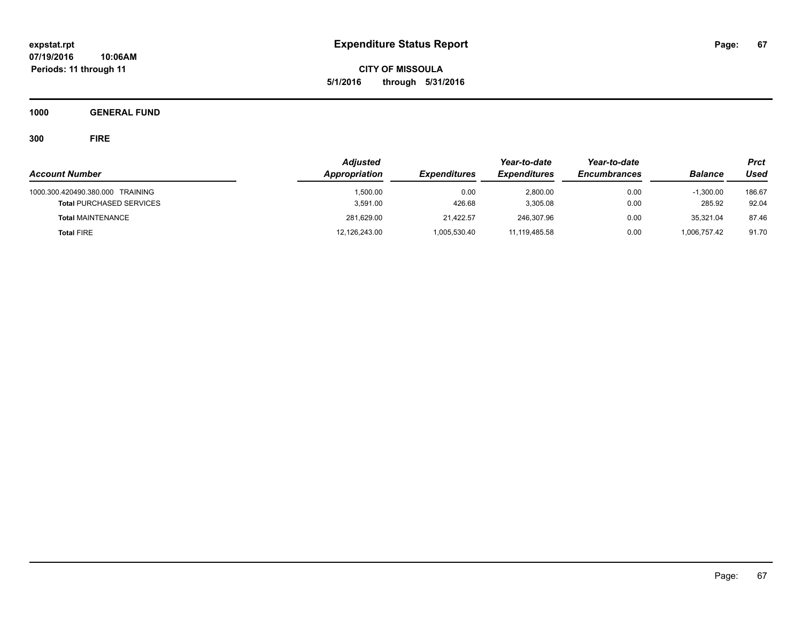**CITY OF MISSOULA 5/1/2016 through 5/31/2016**

**1000 GENERAL FUND**

|                                  | <b>Adjusted</b> |                     | Year-to-date        | Year-to-date        |                | <b>Prct</b> |
|----------------------------------|-----------------|---------------------|---------------------|---------------------|----------------|-------------|
| <b>Account Number</b>            | Appropriation   | <b>Expenditures</b> | <b>Expenditures</b> | <b>Encumbrances</b> | <b>Balance</b> | Used        |
| 1000.300.420490.380.000 TRAINING | 1.500.00        | 0.00<br>426.68      | 2.800.00            | 0.00                | $-1.300.00$    | 186.67      |
| <b>Total PURCHASED SERVICES</b>  | 3,591.00        |                     | 3,305.08            | 0.00                | 285.92         | 92.04       |
| <b>Total MAINTENANCE</b>         | 281,629.00      | 21.422.57           | 246,307.96          | 0.00                | 35.321.04      | 87.46       |
| <b>Total FIRE</b>                | 12,126,243.00   | 1,005,530.40        | 11,119,485.58       | 0.00                | 1,006,757.42   | 91.70       |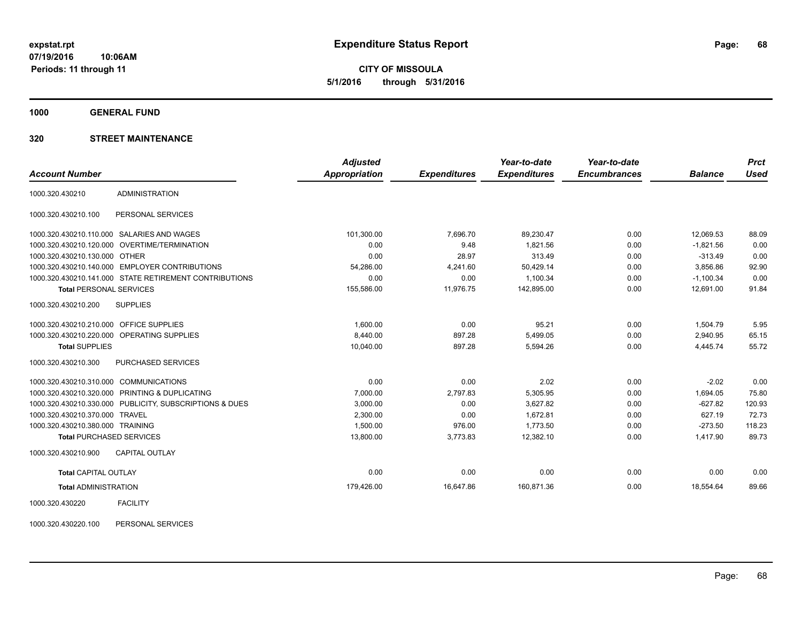**CITY OF MISSOULA 5/1/2016 through 5/31/2016**

**1000 GENERAL FUND**

## **320 STREET MAINTENANCE**

|                                         |                                                         | <b>Adjusted</b> |                     | Year-to-date        | Year-to-date        |                | <b>Prct</b> |
|-----------------------------------------|---------------------------------------------------------|-----------------|---------------------|---------------------|---------------------|----------------|-------------|
| <b>Account Number</b>                   |                                                         | Appropriation   | <b>Expenditures</b> | <b>Expenditures</b> | <b>Encumbrances</b> | <b>Balance</b> | <b>Used</b> |
| 1000.320.430210                         | <b>ADMINISTRATION</b>                                   |                 |                     |                     |                     |                |             |
| 1000.320.430210.100                     | PERSONAL SERVICES                                       |                 |                     |                     |                     |                |             |
|                                         | 1000.320.430210.110.000 SALARIES AND WAGES              | 101,300.00      | 7.696.70            | 89,230.47           | 0.00                | 12.069.53      | 88.09       |
|                                         | 1000.320.430210.120.000 OVERTIME/TERMINATION            | 0.00            | 9.48                | 1,821.56            | 0.00                | $-1,821.56$    | 0.00        |
| 1000.320.430210.130.000 OTHER           |                                                         | 0.00            | 28.97               | 313.49              | 0.00                | $-313.49$      | 0.00        |
|                                         | 1000.320.430210.140.000 EMPLOYER CONTRIBUTIONS          | 54,286.00       | 4,241.60            | 50,429.14           | 0.00                | 3,856.86       | 92.90       |
|                                         | 1000.320.430210.141.000 STATE RETIREMENT CONTRIBUTIONS  | 0.00            | 0.00                | 1,100.34            | 0.00                | $-1,100.34$    | 0.00        |
| <b>Total PERSONAL SERVICES</b>          |                                                         | 155,586.00      | 11.976.75           | 142,895.00          | 0.00                | 12,691.00      | 91.84       |
| 1000.320.430210.200                     | <b>SUPPLIES</b>                                         |                 |                     |                     |                     |                |             |
| 1000.320.430210.210.000 OFFICE SUPPLIES |                                                         | 1.600.00        | 0.00                | 95.21               | 0.00                | 1,504.79       | 5.95        |
|                                         | 1000.320.430210.220.000 OPERATING SUPPLIES              | 8,440.00        | 897.28              | 5,499.05            | 0.00                | 2,940.95       | 65.15       |
| <b>Total SUPPLIES</b>                   |                                                         | 10,040.00       | 897.28              | 5,594.26            | 0.00                | 4,445.74       | 55.72       |
| 1000.320.430210.300                     | PURCHASED SERVICES                                      |                 |                     |                     |                     |                |             |
| 1000.320.430210.310.000 COMMUNICATIONS  |                                                         | 0.00            | 0.00                | 2.02                | 0.00                | $-2.02$        | 0.00        |
|                                         | 1000.320.430210.320.000 PRINTING & DUPLICATING          | 7,000.00        | 2,797.83            | 5,305.95            | 0.00                | 1,694.05       | 75.80       |
|                                         | 1000.320.430210.330.000 PUBLICITY, SUBSCRIPTIONS & DUES | 3,000.00        | 0.00                | 3,627.82            | 0.00                | $-627.82$      | 120.93      |
| 1000.320.430210.370.000 TRAVEL          |                                                         | 2,300.00        | 0.00                | 1,672.81            | 0.00                | 627.19         | 72.73       |
| 1000.320.430210.380.000 TRAINING        |                                                         | 1,500.00        | 976.00              | 1,773.50            | 0.00                | $-273.50$      | 118.23      |
| <b>Total PURCHASED SERVICES</b>         |                                                         | 13,800.00       | 3,773.83            | 12,382.10           | 0.00                | 1,417.90       | 89.73       |
| 1000.320.430210.900                     | <b>CAPITAL OUTLAY</b>                                   |                 |                     |                     |                     |                |             |
| <b>Total CAPITAL OUTLAY</b>             |                                                         | 0.00            | 0.00                | 0.00                | 0.00                | 0.00           | 0.00        |
| <b>Total ADMINISTRATION</b>             |                                                         | 179,426.00      | 16,647.86           | 160,871.36          | 0.00                | 18,554.64      | 89.66       |
|                                         |                                                         |                 |                     |                     |                     |                |             |

1000.320.430220 FACILITY

1000.320.430220.100 PERSONAL SERVICES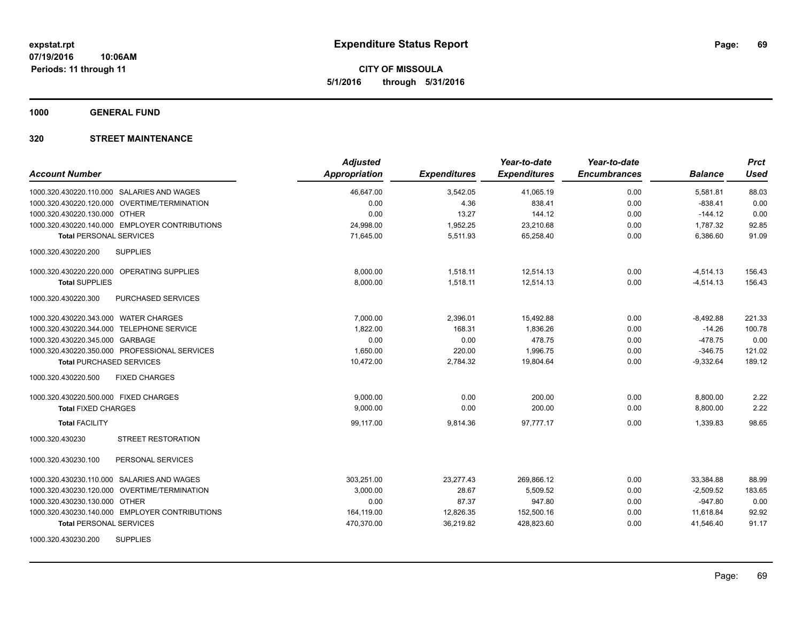**CITY OF MISSOULA 5/1/2016 through 5/31/2016**

**1000 GENERAL FUND**

| <b>Account Number</b>                          | <b>Adjusted</b><br><b>Appropriation</b> | <b>Expenditures</b> | Year-to-date<br><b>Expenditures</b> | Year-to-date<br><b>Encumbrances</b> | <b>Balance</b> | <b>Prct</b><br><b>Used</b> |
|------------------------------------------------|-----------------------------------------|---------------------|-------------------------------------|-------------------------------------|----------------|----------------------------|
| 1000.320.430220.110.000 SALARIES AND WAGES     | 46,647.00                               | 3,542.05            | 41,065.19                           | 0.00                                | 5,581.81       | 88.03                      |
| 1000.320.430220.120.000 OVERTIME/TERMINATION   | 0.00                                    | 4.36                | 838.41                              | 0.00                                | $-838.41$      | 0.00                       |
| 1000.320.430220.130.000 OTHER                  | 0.00                                    | 13.27               | 144.12                              | 0.00                                | $-144.12$      | 0.00                       |
| 1000.320.430220.140.000 EMPLOYER CONTRIBUTIONS | 24,998.00                               | 1,952.25            | 23,210.68                           | 0.00                                | 1,787.32       | 92.85                      |
| <b>Total PERSONAL SERVICES</b>                 | 71.645.00                               | 5,511.93            | 65,258.40                           | 0.00                                | 6,386.60       | 91.09                      |
| 1000.320.430220.200<br><b>SUPPLIES</b>         |                                         |                     |                                     |                                     |                |                            |
| 1000.320.430220.220.000 OPERATING SUPPLIES     | 8,000.00                                | 1,518.11            | 12,514.13                           | 0.00                                | $-4,514.13$    | 156.43                     |
| <b>Total SUPPLIES</b>                          | 8,000.00                                | 1,518.11            | 12,514.13                           | 0.00                                | $-4,514.13$    | 156.43                     |
| 1000.320.430220.300<br>PURCHASED SERVICES      |                                         |                     |                                     |                                     |                |                            |
| 1000.320.430220.343.000 WATER CHARGES          | 7,000.00                                | 2,396.01            | 15,492.88                           | 0.00                                | $-8,492.88$    | 221.33                     |
| 1000.320.430220.344.000 TELEPHONE SERVICE      | 1,822.00                                | 168.31              | 1,836.26                            | 0.00                                | $-14.26$       | 100.78                     |
| 1000.320.430220.345.000 GARBAGE                | 0.00                                    | 0.00                | 478.75                              | 0.00                                | $-478.75$      | 0.00                       |
| 1000.320.430220.350.000 PROFESSIONAL SERVICES  | 1,650.00                                | 220.00              | 1,996.75                            | 0.00                                | $-346.75$      | 121.02                     |
| <b>Total PURCHASED SERVICES</b>                | 10,472.00                               | 2,784.32            | 19,804.64                           | 0.00                                | $-9,332.64$    | 189.12                     |
| 1000.320.430220.500<br><b>FIXED CHARGES</b>    |                                         |                     |                                     |                                     |                |                            |
| 1000.320.430220.500.000 FIXED CHARGES          | 9,000.00                                | 0.00                | 200.00                              | 0.00                                | 8,800.00       | 2.22                       |
| <b>Total FIXED CHARGES</b>                     | 9,000.00                                | 0.00                | 200.00                              | 0.00                                | 8,800.00       | 2.22                       |
| <b>Total FACILITY</b>                          | 99,117.00                               | 9,814.36            | 97,777.17                           | 0.00                                | 1,339.83       | 98.65                      |
| <b>STREET RESTORATION</b><br>1000.320.430230   |                                         |                     |                                     |                                     |                |                            |
| 1000.320.430230.100<br>PERSONAL SERVICES       |                                         |                     |                                     |                                     |                |                            |
| 1000.320.430230.110.000 SALARIES AND WAGES     | 303,251.00                              | 23,277.43           | 269,866.12                          | 0.00                                | 33,384.88      | 88.99                      |
| 1000.320.430230.120.000 OVERTIME/TERMINATION   | 3,000.00                                | 28.67               | 5,509.52                            | 0.00                                | $-2,509.52$    | 183.65                     |
| 1000.320.430230.130.000 OTHER                  | 0.00                                    | 87.37               | 947.80                              | 0.00                                | $-947.80$      | 0.00                       |
| 1000.320.430230.140.000 EMPLOYER CONTRIBUTIONS | 164,119.00                              | 12,826.35           | 152,500.16                          | 0.00                                | 11,618.84      | 92.92                      |
| <b>Total PERSONAL SERVICES</b>                 | 470,370.00                              | 36,219.82           | 428,823.60                          | 0.00                                | 41,546.40      | 91.17                      |
| <b>SUPPLIES</b><br>1000.320.430230.200         |                                         |                     |                                     |                                     |                |                            |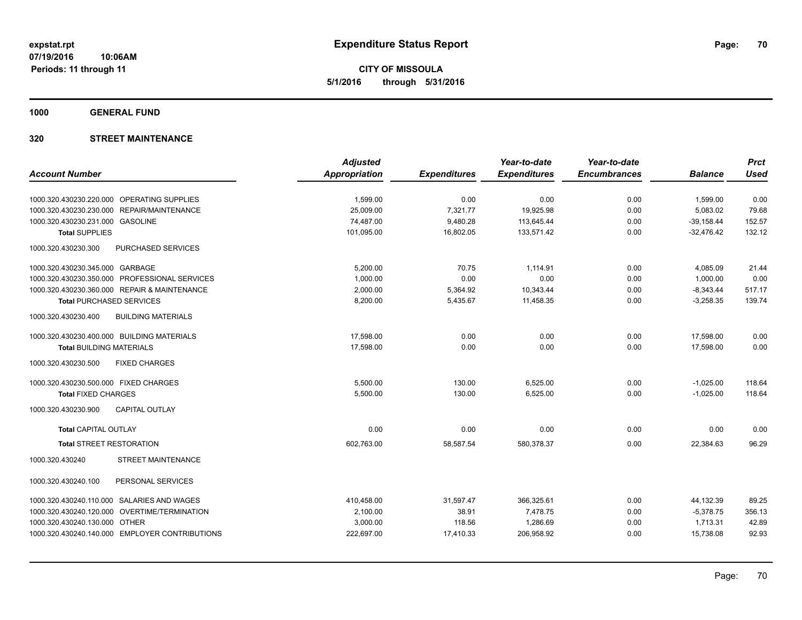**CITY OF MISSOULA 5/1/2016 through 5/31/2016**

**1000 GENERAL FUND**

|                                                  | <b>Adjusted</b> |                     | Year-to-date        | Year-to-date        |                | <b>Prct</b> |
|--------------------------------------------------|-----------------|---------------------|---------------------|---------------------|----------------|-------------|
| <b>Account Number</b>                            | Appropriation   | <b>Expenditures</b> | <b>Expenditures</b> | <b>Encumbrances</b> | <b>Balance</b> | <b>Used</b> |
|                                                  |                 |                     |                     |                     |                |             |
| 1000.320.430230.220.000 OPERATING SUPPLIES       | 1,599.00        | 0.00                | 0.00                | 0.00                | 1,599.00       | 0.00        |
| 1000.320.430230.230.000 REPAIR/MAINTENANCE       | 25.009.00       | 7,321.77            | 19,925.98           | 0.00                | 5,083.02       | 79.68       |
| 1000.320.430230.231.000 GASOLINE                 | 74,487.00       | 9,480.28            | 113,645.44          | 0.00                | $-39,158.44$   | 152.57      |
| <b>Total SUPPLIES</b>                            | 101,095.00      | 16,802.05           | 133,571.42          | 0.00                | $-32,476.42$   | 132.12      |
| 1000.320.430230.300<br>PURCHASED SERVICES        |                 |                     |                     |                     |                |             |
| 1000.320.430230.345.000 GARBAGE                  | 5,200.00        | 70.75               | 1.114.91            | 0.00                | 4,085.09       | 21.44       |
| 1000.320.430230.350.000 PROFESSIONAL SERVICES    | 1,000.00        | 0.00                | 0.00                | 0.00                | 1,000.00       | 0.00        |
| 1000.320.430230.360.000 REPAIR & MAINTENANCE     | 2,000.00        | 5,364.92            | 10,343.44           | 0.00                | $-8,343.44$    | 517.17      |
| <b>Total PURCHASED SERVICES</b>                  | 8,200.00        | 5,435.67            | 11,458.35           | 0.00                | $-3,258.35$    | 139.74      |
| 1000.320.430230.400<br><b>BUILDING MATERIALS</b> |                 |                     |                     |                     |                |             |
| 1000.320.430230.400.000 BUILDING MATERIALS       | 17,598.00       | 0.00                | 0.00                | 0.00                | 17,598.00      | 0.00        |
| <b>Total BUILDING MATERIALS</b>                  | 17,598.00       | 0.00                | 0.00                | 0.00                | 17,598.00      | 0.00        |
| <b>FIXED CHARGES</b><br>1000.320.430230.500      |                 |                     |                     |                     |                |             |
| 1000.320.430230.500.000 FIXED CHARGES            | 5,500.00        | 130.00              | 6,525.00            | 0.00                | $-1,025.00$    | 118.64      |
| <b>Total FIXED CHARGES</b>                       | 5,500.00        | 130.00              | 6,525.00            | 0.00                | $-1,025.00$    | 118.64      |
| 1000.320.430230.900<br><b>CAPITAL OUTLAY</b>     |                 |                     |                     |                     |                |             |
| <b>Total CAPITAL OUTLAY</b>                      | 0.00            | 0.00                | 0.00                | 0.00                | 0.00           | 0.00        |
| <b>Total STREET RESTORATION</b>                  | 602,763.00      | 58,587.54           | 580,378.37          | 0.00                | 22,384.63      | 96.29       |
| <b>STREET MAINTENANCE</b><br>1000.320.430240     |                 |                     |                     |                     |                |             |
| PERSONAL SERVICES<br>1000.320.430240.100         |                 |                     |                     |                     |                |             |
| 1000.320.430240.110.000 SALARIES AND WAGES       | 410,458.00      | 31,597.47           | 366,325.61          | 0.00                | 44,132.39      | 89.25       |
| 1000.320.430240.120.000 OVERTIME/TERMINATION     | 2,100.00        | 38.91               | 7,478.75            | 0.00                | $-5,378.75$    | 356.13      |
| 1000.320.430240.130.000 OTHER                    | 3,000.00        | 118.56              | 1,286.69            | 0.00                | 1,713.31       | 42.89       |
| 1000.320.430240.140.000 EMPLOYER CONTRIBUTIONS   | 222,697.00      | 17,410.33           | 206,958.92          | 0.00                | 15,738.08      | 92.93       |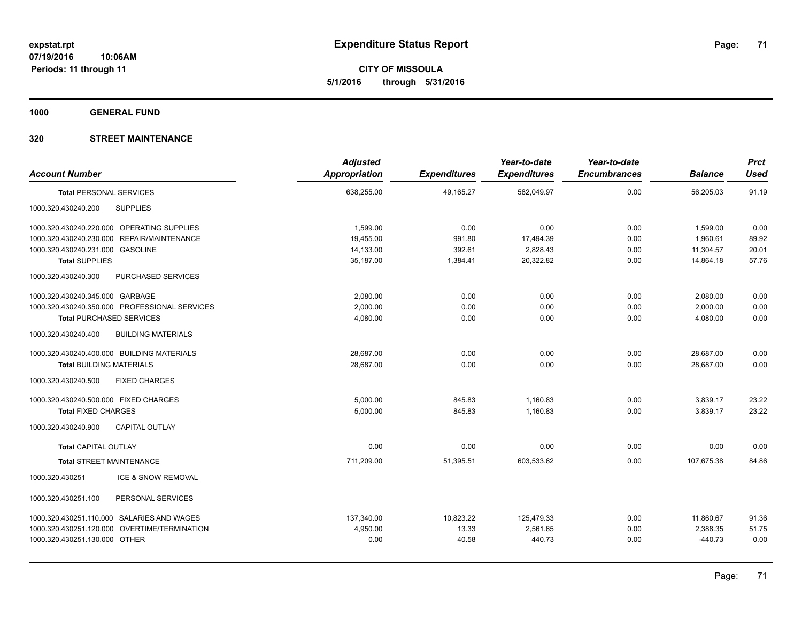**CITY OF MISSOULA 5/1/2016 through 5/31/2016**

**1000 GENERAL FUND**

| <b>Account Number</b>                            | <b>Adjusted</b><br><b>Appropriation</b> | <b>Expenditures</b> | Year-to-date<br><b>Expenditures</b> | Year-to-date<br><b>Encumbrances</b> | <b>Balance</b> | Prct<br><b>Used</b> |
|--------------------------------------------------|-----------------------------------------|---------------------|-------------------------------------|-------------------------------------|----------------|---------------------|
| <b>Total PERSONAL SERVICES</b>                   | 638,255.00                              | 49,165.27           | 582,049.97                          | 0.00                                | 56,205.03      | 91.19               |
| <b>SUPPLIES</b><br>1000.320.430240.200           |                                         |                     |                                     |                                     |                |                     |
| 1000.320.430240.220.000 OPERATING SUPPLIES       | 1,599.00                                | 0.00                | 0.00                                | 0.00                                | 1,599.00       | 0.00                |
| 1000.320.430240.230.000 REPAIR/MAINTENANCE       | 19,455.00                               | 991.80              | 17,494.39                           | 0.00                                | 1,960.61       | 89.92               |
| 1000.320.430240.231.000 GASOLINE                 | 14,133.00                               | 392.61              | 2,828.43                            | 0.00                                | 11,304.57      | 20.01               |
| <b>Total SUPPLIES</b>                            | 35,187.00                               | 1,384.41            | 20,322.82                           | 0.00                                | 14.864.18      | 57.76               |
| 1000.320.430240.300<br>PURCHASED SERVICES        |                                         |                     |                                     |                                     |                |                     |
| 1000.320.430240.345.000 GARBAGE                  | 2.080.00                                | 0.00                | 0.00                                | 0.00                                | 2,080.00       | 0.00                |
| 1000.320.430240.350.000 PROFESSIONAL SERVICES    | 2,000.00                                | 0.00                | 0.00                                | 0.00                                | 2,000.00       | 0.00                |
| <b>Total PURCHASED SERVICES</b>                  | 4,080.00                                | 0.00                | 0.00                                | 0.00                                | 4,080.00       | 0.00                |
| 1000.320.430240.400<br><b>BUILDING MATERIALS</b> |                                         |                     |                                     |                                     |                |                     |
| 1000.320.430240.400.000 BUILDING MATERIALS       | 28,687.00                               | 0.00                | 0.00                                | 0.00                                | 28,687.00      | 0.00                |
| <b>Total BUILDING MATERIALS</b>                  | 28,687.00                               | 0.00                | 0.00                                | 0.00                                | 28,687.00      | 0.00                |
| <b>FIXED CHARGES</b><br>1000.320.430240.500      |                                         |                     |                                     |                                     |                |                     |
| 1000.320.430240.500.000 FIXED CHARGES            | 5,000.00                                | 845.83              | 1,160.83                            | 0.00                                | 3,839.17       | 23.22               |
| <b>Total FIXED CHARGES</b>                       | 5,000.00                                | 845.83              | 1,160.83                            | 0.00                                | 3,839.17       | 23.22               |
| <b>CAPITAL OUTLAY</b><br>1000.320.430240.900     |                                         |                     |                                     |                                     |                |                     |
| <b>Total CAPITAL OUTLAY</b>                      | 0.00                                    | 0.00                | 0.00                                | 0.00                                | 0.00           | 0.00                |
| <b>Total STREET MAINTENANCE</b>                  | 711.209.00                              | 51,395.51           | 603,533.62                          | 0.00                                | 107.675.38     | 84.86               |
| ICE & SNOW REMOVAL<br>1000.320.430251            |                                         |                     |                                     |                                     |                |                     |
| 1000.320.430251.100<br>PERSONAL SERVICES         |                                         |                     |                                     |                                     |                |                     |
| 1000.320.430251.110.000 SALARIES AND WAGES       | 137,340.00                              | 10,823.22           | 125,479.33                          | 0.00                                | 11,860.67      | 91.36               |
| 1000.320.430251.120.000 OVERTIME/TERMINATION     | 4,950.00                                | 13.33               | 2,561.65                            | 0.00                                | 2,388.35       | 51.75               |
| 1000.320.430251.130.000 OTHER                    | 0.00                                    | 40.58               | 440.73                              | 0.00                                | $-440.73$      | 0.00                |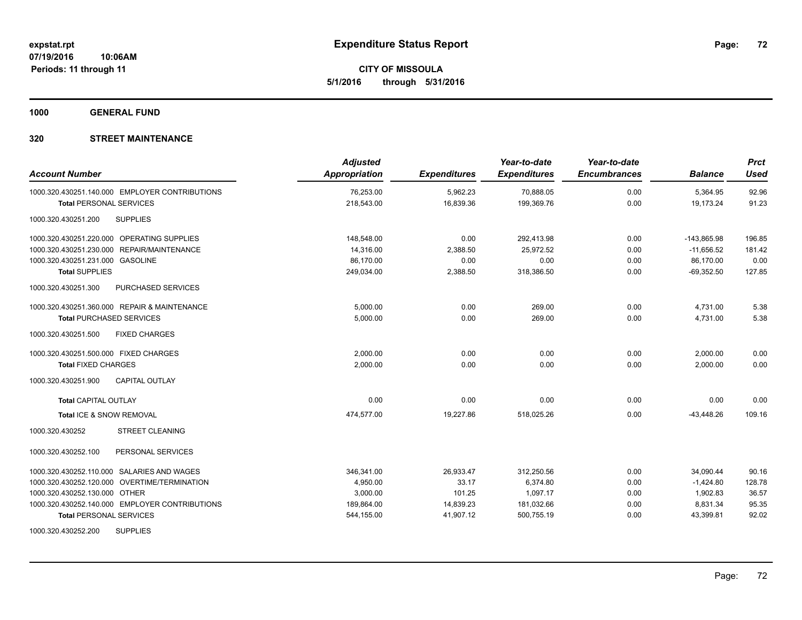**CITY OF MISSOULA 5/1/2016 through 5/31/2016**

**1000 GENERAL FUND**

| <b>Account Number</b>                            | <b>Adjusted</b><br><b>Appropriation</b> | <b>Expenditures</b> | Year-to-date<br><b>Expenditures</b> | Year-to-date<br><b>Encumbrances</b> | <b>Balance</b> | <b>Prct</b><br><b>Used</b> |
|--------------------------------------------------|-----------------------------------------|---------------------|-------------------------------------|-------------------------------------|----------------|----------------------------|
| 1000.320.430251.140.000 EMPLOYER CONTRIBUTIONS   | 76,253.00                               | 5,962.23            | 70,888.05                           | 0.00                                | 5,364.95       | 92.96                      |
| <b>Total PERSONAL SERVICES</b>                   | 218,543.00                              | 16,839.36           | 199,369.76                          | 0.00                                | 19,173.24      | 91.23                      |
| <b>SUPPLIES</b><br>1000.320.430251.200           |                                         |                     |                                     |                                     |                |                            |
| 1000.320.430251.220.000 OPERATING SUPPLIES       | 148,548.00                              | 0.00                | 292,413.98                          | 0.00                                | $-143,865.98$  | 196.85                     |
| 1000.320.430251.230.000 REPAIR/MAINTENANCE       | 14.316.00                               | 2,388.50            | 25.972.52                           | 0.00                                | $-11,656.52$   | 181.42                     |
| 1000.320.430251.231.000 GASOLINE                 | 86.170.00                               | 0.00                | 0.00                                | 0.00                                | 86.170.00      | 0.00                       |
| <b>Total SUPPLIES</b>                            | 249,034.00                              | 2,388.50            | 318,386.50                          | 0.00                                | $-69,352.50$   | 127.85                     |
| <b>PURCHASED SERVICES</b><br>1000.320.430251.300 |                                         |                     |                                     |                                     |                |                            |
| 1000.320.430251.360.000 REPAIR & MAINTENANCE     | 5,000.00                                | 0.00                | 269.00                              | 0.00                                | 4,731.00       | 5.38                       |
| <b>Total PURCHASED SERVICES</b>                  | 5,000.00                                | 0.00                | 269.00                              | 0.00                                | 4.731.00       | 5.38                       |
| 1000.320.430251.500<br><b>FIXED CHARGES</b>      |                                         |                     |                                     |                                     |                |                            |
| 1000.320.430251.500.000 FIXED CHARGES            | 2,000.00                                | 0.00                | 0.00                                | 0.00                                | 2,000.00       | 0.00                       |
| <b>Total FIXED CHARGES</b>                       | 2,000.00                                | 0.00                | 0.00                                | 0.00                                | 2,000.00       | 0.00                       |
| 1000.320.430251.900<br><b>CAPITAL OUTLAY</b>     |                                         |                     |                                     |                                     |                |                            |
| <b>Total CAPITAL OUTLAY</b>                      | 0.00                                    | 0.00                | 0.00                                | 0.00                                | 0.00           | 0.00                       |
| Total ICE & SNOW REMOVAL                         | 474,577.00                              | 19,227.86           | 518,025.26                          | 0.00                                | $-43,448.26$   | 109.16                     |
| <b>STREET CLEANING</b><br>1000.320.430252        |                                         |                     |                                     |                                     |                |                            |
| PERSONAL SERVICES<br>1000.320.430252.100         |                                         |                     |                                     |                                     |                |                            |
| 1000.320.430252.110.000 SALARIES AND WAGES       | 346,341.00                              | 26,933.47           | 312,250.56                          | 0.00                                | 34,090.44      | 90.16                      |
| 1000.320.430252.120.000 OVERTIME/TERMINATION     | 4,950.00                                | 33.17               | 6,374.80                            | 0.00                                | $-1,424.80$    | 128.78                     |
| 1000.320.430252.130.000 OTHER                    | 3,000.00                                | 101.25              | 1,097.17                            | 0.00                                | 1,902.83       | 36.57                      |
| 1000.320.430252.140.000 EMPLOYER CONTRIBUTIONS   | 189,864.00                              | 14,839.23           | 181,032.66                          | 0.00                                | 8,831.34       | 95.35                      |
| <b>Total PERSONAL SERVICES</b>                   | 544,155.00                              | 41,907.12           | 500,755.19                          | 0.00                                | 43,399.81      | 92.02                      |
| 1000.320.430252.200<br><b>SUPPLIES</b>           |                                         |                     |                                     |                                     |                |                            |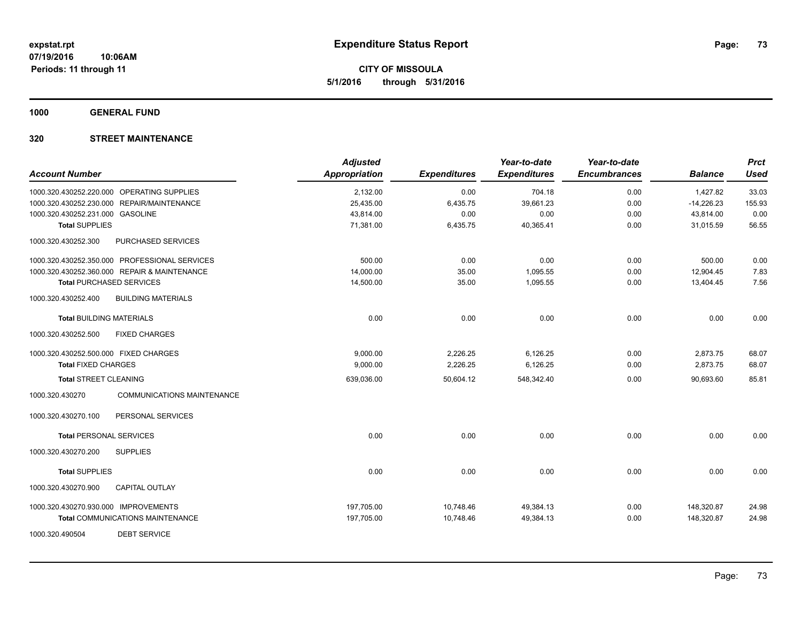**CITY OF MISSOULA 5/1/2016 through 5/31/2016**

**1000 GENERAL FUND**

# **320 STREET MAINTENANCE**

| <b>Account Number</b>                 |                                               | <b>Adjusted</b><br><b>Appropriation</b> | <b>Expenditures</b> | Year-to-date<br><b>Expenditures</b> | Year-to-date<br><b>Encumbrances</b> | <b>Balance</b> | <b>Prct</b><br><b>Used</b> |
|---------------------------------------|-----------------------------------------------|-----------------------------------------|---------------------|-------------------------------------|-------------------------------------|----------------|----------------------------|
|                                       |                                               |                                         |                     |                                     |                                     |                |                            |
|                                       | 1000.320.430252.220.000 OPERATING SUPPLIES    | 2,132.00                                | 0.00                | 704.18                              | 0.00                                | 1,427.82       | 33.03                      |
|                                       | 1000.320.430252.230.000 REPAIR/MAINTENANCE    | 25,435.00                               | 6,435.75            | 39,661.23                           | 0.00                                | $-14,226.23$   | 155.93                     |
| 1000.320.430252.231.000 GASOLINE      |                                               | 43,814.00                               | 0.00                | 0.00                                | 0.00                                | 43,814.00      | 0.00                       |
| <b>Total SUPPLIES</b>                 |                                               | 71,381.00                               | 6,435.75            | 40,365.41                           | 0.00                                | 31,015.59      | 56.55                      |
| 1000.320.430252.300                   | <b>PURCHASED SERVICES</b>                     |                                         |                     |                                     |                                     |                |                            |
|                                       | 1000.320.430252.350.000 PROFESSIONAL SERVICES | 500.00                                  | 0.00                | 0.00                                | 0.00                                | 500.00         | 0.00                       |
|                                       | 1000.320.430252.360.000 REPAIR & MAINTENANCE  | 14,000.00                               | 35.00               | 1,095.55                            | 0.00                                | 12,904.45      | 7.83                       |
|                                       | <b>Total PURCHASED SERVICES</b>               | 14,500.00                               | 35.00               | 1,095.55                            | 0.00                                | 13,404.45      | 7.56                       |
| 1000.320.430252.400                   | <b>BUILDING MATERIALS</b>                     |                                         |                     |                                     |                                     |                |                            |
| <b>Total BUILDING MATERIALS</b>       |                                               | 0.00                                    | 0.00                | 0.00                                | 0.00                                | 0.00           | 0.00                       |
| 1000.320.430252.500                   | <b>FIXED CHARGES</b>                          |                                         |                     |                                     |                                     |                |                            |
| 1000.320.430252.500.000 FIXED CHARGES |                                               | 9,000.00                                | 2,226.25            | 6,126.25                            | 0.00                                | 2,873.75       | 68.07                      |
| <b>Total FIXED CHARGES</b>            |                                               | 9,000.00                                | 2,226.25            | 6,126.25                            | 0.00                                | 2,873.75       | 68.07                      |
| <b>Total STREET CLEANING</b>          |                                               | 639,036.00                              | 50,604.12           | 548,342.40                          | 0.00                                | 90,693.60      | 85.81                      |
| 1000.320.430270                       | <b>COMMUNICATIONS MAINTENANCE</b>             |                                         |                     |                                     |                                     |                |                            |
| 1000.320.430270.100                   | PERSONAL SERVICES                             |                                         |                     |                                     |                                     |                |                            |
| <b>Total PERSONAL SERVICES</b>        |                                               | 0.00                                    | 0.00                | 0.00                                | 0.00                                | 0.00           | 0.00                       |
| 1000.320.430270.200                   | <b>SUPPLIES</b>                               |                                         |                     |                                     |                                     |                |                            |
| <b>Total SUPPLIES</b>                 |                                               | 0.00                                    | 0.00                | 0.00                                | 0.00                                | 0.00           | 0.00                       |
| 1000.320.430270.900                   | <b>CAPITAL OUTLAY</b>                         |                                         |                     |                                     |                                     |                |                            |
| 1000.320.430270.930.000 IMPROVEMENTS  |                                               | 197,705.00                              | 10,748.46           | 49,384.13                           | 0.00                                | 148,320.87     | 24.98                      |
|                                       | <b>Total COMMUNICATIONS MAINTENANCE</b>       | 197,705.00                              | 10,748.46           | 49,384.13                           | 0.00                                | 148,320.87     | 24.98                      |
| 1000.320.490504                       | <b>DEBT SERVICE</b>                           |                                         |                     |                                     |                                     |                |                            |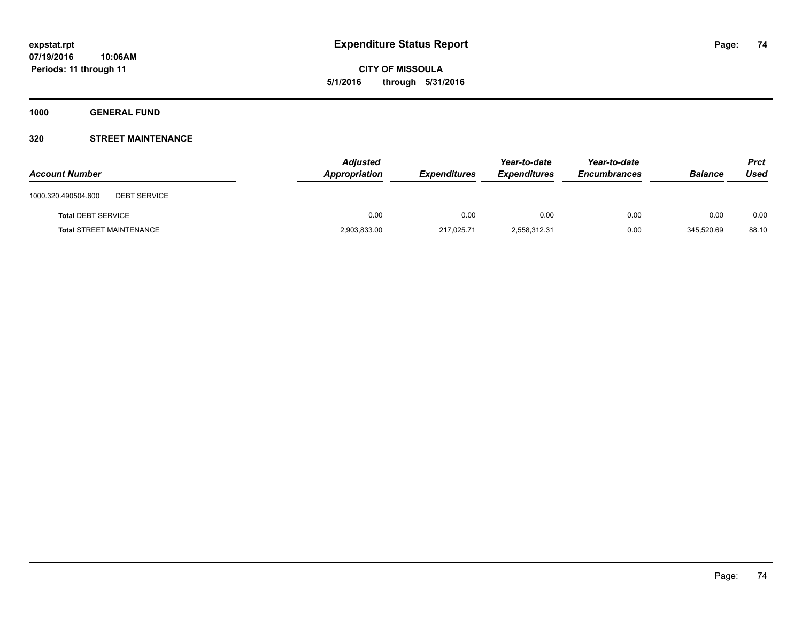**1000 GENERAL FUND**

# **320 STREET MAINTENANCE**

| <b>Account Number</b>                      | <b>Adjusted</b><br>Appropriation | <b>Expenditures</b> | Year-to-date<br><b>Expenditures</b> | Year-to-date<br><b>Encumbrances</b> | <b>Balance</b> | <b>Prct</b><br>Used |
|--------------------------------------------|----------------------------------|---------------------|-------------------------------------|-------------------------------------|----------------|---------------------|
| 1000.320.490504.600<br><b>DEBT SERVICE</b> |                                  |                     |                                     |                                     |                |                     |
| <b>Total DEBT SERVICE</b>                  | 0.00                             | 0.00                | 0.00                                | 0.00                                | 0.00           | 0.00                |
| <b>Total STREET MAINTENANCE</b>            | 2,903,833.00                     | 217,025.71          | 2,558,312.31                        | 0.00                                | 345,520.69     | 88.10               |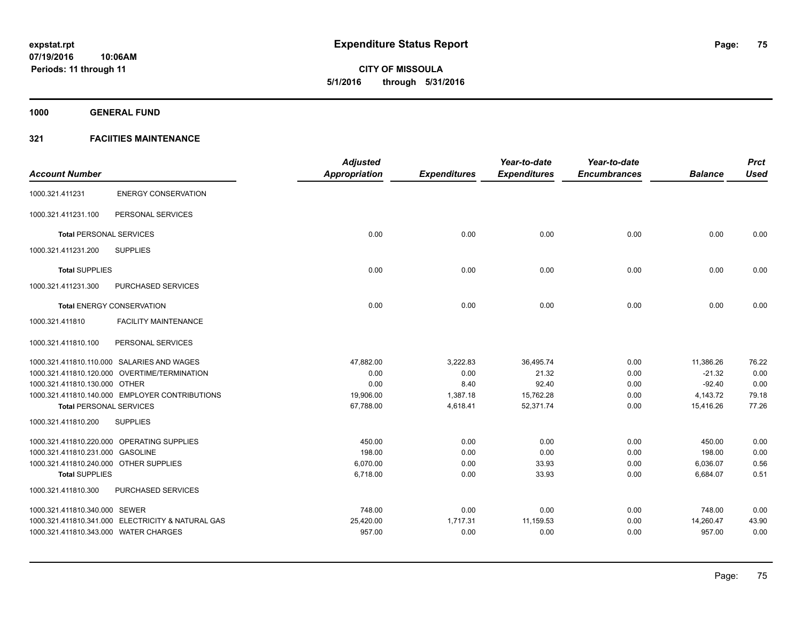**1000 GENERAL FUND**

|                                        |                                                   | <b>Adjusted</b> |                     | Year-to-date        | Year-to-date        |                | <b>Prct</b> |
|----------------------------------------|---------------------------------------------------|-----------------|---------------------|---------------------|---------------------|----------------|-------------|
| <b>Account Number</b>                  |                                                   | Appropriation   | <b>Expenditures</b> | <b>Expenditures</b> | <b>Encumbrances</b> | <b>Balance</b> | <b>Used</b> |
| 1000.321.411231                        | <b>ENERGY CONSERVATION</b>                        |                 |                     |                     |                     |                |             |
| 1000.321.411231.100                    | PERSONAL SERVICES                                 |                 |                     |                     |                     |                |             |
| <b>Total PERSONAL SERVICES</b>         |                                                   | 0.00            | 0.00                | 0.00                | 0.00                | 0.00           | 0.00        |
| 1000.321.411231.200                    | <b>SUPPLIES</b>                                   |                 |                     |                     |                     |                |             |
| <b>Total SUPPLIES</b>                  |                                                   | 0.00            | 0.00                | 0.00                | 0.00                | 0.00           | 0.00        |
| 1000.321.411231.300                    | <b>PURCHASED SERVICES</b>                         |                 |                     |                     |                     |                |             |
|                                        | <b>Total ENERGY CONSERVATION</b>                  | 0.00            | 0.00                | 0.00                | 0.00                | 0.00           | 0.00        |
| 1000.321.411810                        | <b>FACILITY MAINTENANCE</b>                       |                 |                     |                     |                     |                |             |
| 1000.321.411810.100                    | PERSONAL SERVICES                                 |                 |                     |                     |                     |                |             |
|                                        | 1000.321.411810.110.000 SALARIES AND WAGES        | 47,882.00       | 3,222.83            | 36,495.74           | 0.00                | 11,386.26      | 76.22       |
|                                        | 1000.321.411810.120.000 OVERTIME/TERMINATION      | 0.00            | 0.00                | 21.32               | 0.00                | $-21.32$       | 0.00        |
| 1000.321.411810.130.000 OTHER          |                                                   | 0.00            | 8.40                | 92.40               | 0.00                | $-92.40$       | 0.00        |
|                                        | 1000.321.411810.140.000 EMPLOYER CONTRIBUTIONS    | 19,906.00       | 1,387.18            | 15,762.28           | 0.00                | 4,143.72       | 79.18       |
| <b>Total PERSONAL SERVICES</b>         |                                                   | 67,788.00       | 4,618.41            | 52,371.74           | 0.00                | 15,416.26      | 77.26       |
| 1000.321.411810.200                    | <b>SUPPLIES</b>                                   |                 |                     |                     |                     |                |             |
|                                        | 1000.321.411810.220.000 OPERATING SUPPLIES        | 450.00          | 0.00                | 0.00                | 0.00                | 450.00         | 0.00        |
| 1000.321.411810.231.000 GASOLINE       |                                                   | 198.00          | 0.00                | 0.00                | 0.00                | 198.00         | 0.00        |
| 1000.321.411810.240.000 OTHER SUPPLIES |                                                   | 6,070.00        | 0.00                | 33.93               | 0.00                | 6,036.07       | 0.56        |
| <b>Total SUPPLIES</b>                  |                                                   | 6,718.00        | 0.00                | 33.93               | 0.00                | 6,684.07       | 0.51        |
| 1000.321.411810.300                    | PURCHASED SERVICES                                |                 |                     |                     |                     |                |             |
| 1000.321.411810.340.000 SEWER          |                                                   | 748.00          | 0.00                | 0.00                | 0.00                | 748.00         | 0.00        |
|                                        | 1000.321.411810.341.000 ELECTRICITY & NATURAL GAS | 25,420.00       | 1,717.31            | 11,159.53           | 0.00                | 14,260.47      | 43.90       |
| 1000.321.411810.343.000 WATER CHARGES  |                                                   | 957.00          | 0.00                | 0.00                | 0.00                | 957.00         | 0.00        |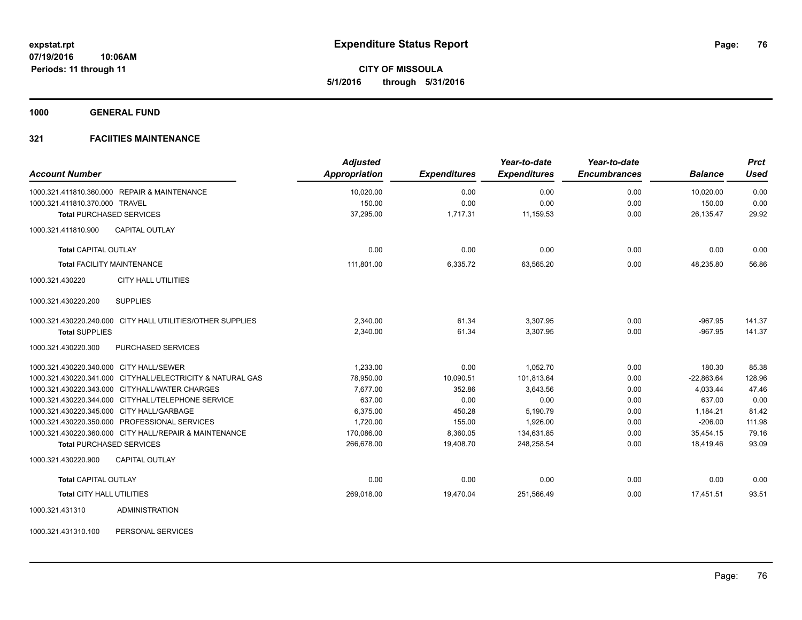**1000 GENERAL FUND**

# **321 FACIITIES MAINTENANCE**

| <b>Account Number</b>                                      | <b>Adjusted</b><br>Appropriation | <b>Expenditures</b> | Year-to-date<br><b>Expenditures</b> | Year-to-date<br><b>Encumbrances</b> | <b>Balance</b> | <b>Prct</b><br><b>Used</b> |
|------------------------------------------------------------|----------------------------------|---------------------|-------------------------------------|-------------------------------------|----------------|----------------------------|
| 1000.321.411810.360.000 REPAIR & MAINTENANCE               | 10,020.00                        | 0.00                | 0.00                                | 0.00                                | 10,020.00      | 0.00                       |
| 1000.321.411810.370.000 TRAVEL                             | 150.00                           | 0.00                | 0.00                                | 0.00                                | 150.00         | 0.00                       |
| <b>Total PURCHASED SERVICES</b>                            | 37,295.00                        | 1,717.31            | 11,159.53                           | 0.00                                | 26.135.47      | 29.92                      |
| CAPITAL OUTLAY<br>1000.321.411810.900                      |                                  |                     |                                     |                                     |                |                            |
| <b>Total CAPITAL OUTLAY</b>                                | 0.00                             | 0.00                | 0.00                                | 0.00                                | 0.00           | 0.00                       |
| <b>Total FACILITY MAINTENANCE</b>                          | 111,801.00                       | 6,335.72            | 63,565.20                           | 0.00                                | 48,235.80      | 56.86                      |
| 1000.321.430220<br><b>CITY HALL UTILITIES</b>              |                                  |                     |                                     |                                     |                |                            |
| <b>SUPPLIES</b><br>1000.321.430220.200                     |                                  |                     |                                     |                                     |                |                            |
| 1000.321.430220.240.000 CITY HALL UTILITIES/OTHER SUPPLIES | 2.340.00                         | 61.34               | 3.307.95                            | 0.00                                | $-967.95$      | 141.37                     |
| <b>Total SUPPLIES</b>                                      | 2,340.00                         | 61.34               | 3,307.95                            | 0.00                                | $-967.95$      | 141.37                     |
| PURCHASED SERVICES<br>1000.321.430220.300                  |                                  |                     |                                     |                                     |                |                            |
| 1000.321.430220.340.000 CITY HALL/SEWER                    | 1,233.00                         | 0.00                | 1.052.70                            | 0.00                                | 180.30         | 85.38                      |
| 1000.321.430220.341.000 CITYHALL/ELECTRICITY & NATURAL GAS | 78,950.00                        | 10,090.51           | 101,813.64                          | 0.00                                | $-22,863.64$   | 128.96                     |
| 1000.321.430220.343.000 CITYHALL/WATER CHARGES             | 7,677.00                         | 352.86              | 3,643.56                            | 0.00                                | 4,033.44       | 47.46                      |
| 1000.321.430220.344.000 CITYHALL/TELEPHONE SERVICE         | 637.00                           | 0.00                | 0.00                                | 0.00                                | 637.00         | 0.00                       |
| 1000.321.430220.345.000 CITY HALL/GARBAGE                  | 6,375.00                         | 450.28              | 5,190.79                            | 0.00                                | 1,184.21       | 81.42                      |
| 1000.321.430220.350.000 PROFESSIONAL SERVICES              | 1,720.00                         | 155.00              | 1,926.00                            | 0.00                                | $-206.00$      | 111.98                     |
| 1000.321.430220.360.000 CITY HALL/REPAIR & MAINTENANCE     | 170,086.00                       | 8,360.05            | 134,631.85                          | 0.00                                | 35,454.15      | 79.16                      |
| <b>Total PURCHASED SERVICES</b>                            | 266,678.00                       | 19,408.70           | 248,258.54                          | 0.00                                | 18,419.46      | 93.09                      |
| <b>CAPITAL OUTLAY</b><br>1000.321.430220.900               |                                  |                     |                                     |                                     |                |                            |
| <b>Total CAPITAL OUTLAY</b>                                | 0.00                             | 0.00                | 0.00                                | 0.00                                | 0.00           | 0.00                       |
| Total CITY HALL UTILITIES                                  | 269,018.00                       | 19,470.04           | 251,566.49                          | 0.00                                | 17.451.51      | 93.51                      |
| 1000.321.431310<br><b>ADMINISTRATION</b>                   |                                  |                     |                                     |                                     |                |                            |

1000.321.431310.100 PERSONAL SERVICES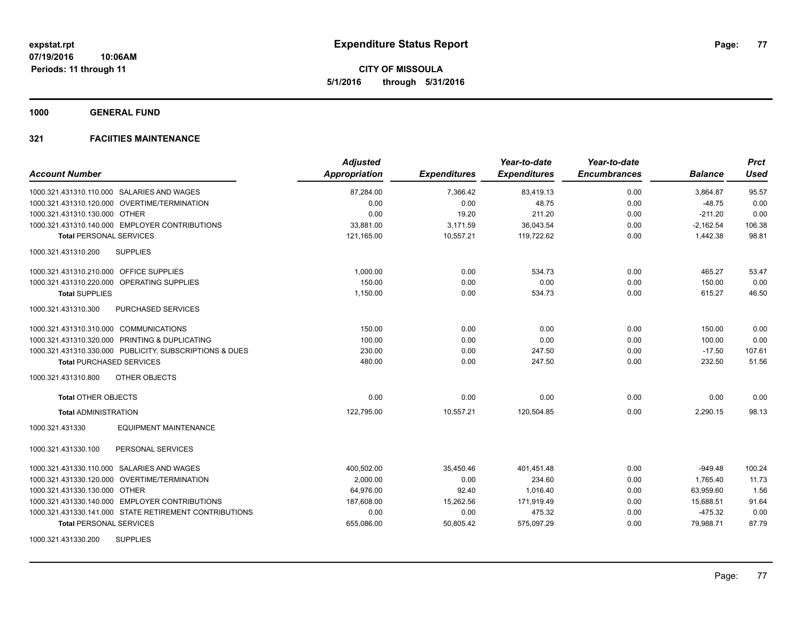**1000 GENERAL FUND**

| <b>Account Number</b>                                   | <b>Adjusted</b><br>Appropriation | <b>Expenditures</b> | Year-to-date<br><b>Expenditures</b> | Year-to-date<br><b>Encumbrances</b> | <b>Balance</b> | <b>Prct</b><br><b>Used</b> |
|---------------------------------------------------------|----------------------------------|---------------------|-------------------------------------|-------------------------------------|----------------|----------------------------|
| 1000.321.431310.110.000 SALARIES AND WAGES              | 87,284.00                        | 7,366.42            | 83,419.13                           | 0.00                                | 3,864.87       | 95.57                      |
| 1000.321.431310.120.000 OVERTIME/TERMINATION            | 0.00                             | 0.00                | 48.75                               | 0.00                                | $-48.75$       | 0.00                       |
| 1000.321.431310.130.000 OTHER                           | 0.00                             | 19.20               | 211.20                              | 0.00                                | $-211.20$      | 0.00                       |
| 1000.321.431310.140.000 EMPLOYER CONTRIBUTIONS          | 33,881.00                        | 3,171.59            | 36,043.54                           | 0.00                                | $-2,162.54$    | 106.38                     |
| <b>Total PERSONAL SERVICES</b>                          | 121,165.00                       | 10,557.21           | 119,722.62                          | 0.00                                | 1,442.38       | 98.81                      |
| 1000.321.431310.200<br><b>SUPPLIES</b>                  |                                  |                     |                                     |                                     |                |                            |
| 1000.321.431310.210.000 OFFICE SUPPLIES                 | 1,000.00                         | 0.00                | 534.73                              | 0.00                                | 465.27         | 53.47                      |
| 1000.321.431310.220.000 OPERATING SUPPLIES              | 150.00                           | 0.00                | 0.00                                | 0.00                                | 150.00         | 0.00                       |
| <b>Total SUPPLIES</b>                                   | 1,150.00                         | 0.00                | 534.73                              | 0.00                                | 615.27         | 46.50                      |
| PURCHASED SERVICES<br>1000.321.431310.300               |                                  |                     |                                     |                                     |                |                            |
| 1000.321.431310.310.000 COMMUNICATIONS                  | 150.00                           | 0.00                | 0.00                                | 0.00                                | 150.00         | 0.00                       |
| 1000.321.431310.320.000 PRINTING & DUPLICATING          | 100.00                           | 0.00                | 0.00                                | 0.00                                | 100.00         | 0.00                       |
| 1000.321.431310.330.000 PUBLICITY, SUBSCRIPTIONS & DUES | 230.00                           | 0.00                | 247.50                              | 0.00                                | $-17.50$       | 107.61                     |
| <b>Total PURCHASED SERVICES</b>                         | 480.00                           | 0.00                | 247.50                              | 0.00                                | 232.50         | 51.56                      |
| 1000.321.431310.800<br>OTHER OBJECTS                    |                                  |                     |                                     |                                     |                |                            |
| <b>Total OTHER OBJECTS</b>                              | 0.00                             | 0.00                | 0.00                                | 0.00                                | 0.00           | 0.00                       |
| <b>Total ADMINISTRATION</b>                             | 122,795.00                       | 10,557.21           | 120,504.85                          | 0.00                                | 2,290.15       | 98.13                      |
| <b>EQUIPMENT MAINTENANCE</b><br>1000.321.431330         |                                  |                     |                                     |                                     |                |                            |
| 1000.321.431330.100<br>PERSONAL SERVICES                |                                  |                     |                                     |                                     |                |                            |
| 1000.321.431330.110.000 SALARIES AND WAGES              | 400,502.00                       | 35,450.46           | 401,451.48                          | 0.00                                | $-949.48$      | 100.24                     |
| 1000.321.431330.120.000 OVERTIME/TERMINATION            | 2,000.00                         | 0.00                | 234.60                              | 0.00                                | 1,765.40       | 11.73                      |
| 1000.321.431330.130.000 OTHER                           | 64,976.00                        | 92.40               | 1,016.40                            | 0.00                                | 63,959.60      | 1.56                       |
| 1000.321.431330.140.000 EMPLOYER CONTRIBUTIONS          | 187,608.00                       | 15,262.56           | 171,919.49                          | 0.00                                | 15,688.51      | 91.64                      |
| 1000.321.431330.141.000 STATE RETIREMENT CONTRIBUTIONS  | 0.00                             | 0.00                | 475.32                              | 0.00                                | $-475.32$      | 0.00                       |
| <b>Total PERSONAL SERVICES</b>                          | 655,086.00                       | 50,805.42           | 575,097.29                          | 0.00                                | 79,988.71      | 87.79                      |
| 1000.321.431330.200<br><b>SUPPLIES</b>                  |                                  |                     |                                     |                                     |                |                            |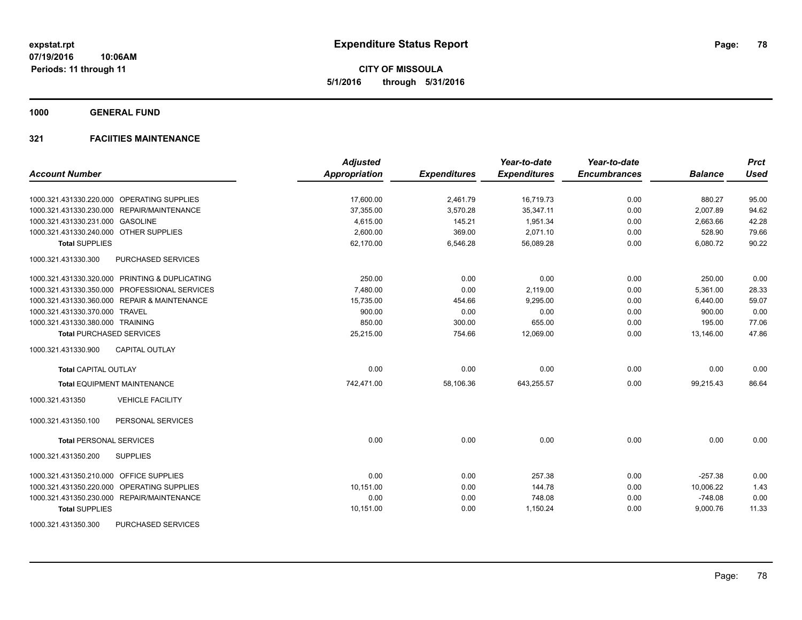**CITY OF MISSOULA 5/1/2016 through 5/31/2016**

**1000 GENERAL FUND**

|                                                  | <b>Adjusted</b> |                     | Year-to-date        | Year-to-date        |                | <b>Prct</b> |
|--------------------------------------------------|-----------------|---------------------|---------------------|---------------------|----------------|-------------|
| <b>Account Number</b>                            | Appropriation   | <b>Expenditures</b> | <b>Expenditures</b> | <b>Encumbrances</b> | <b>Balance</b> | <b>Used</b> |
| 1000.321.431330.220.000 OPERATING SUPPLIES       | 17,600.00       | 2,461.79            | 16,719.73           | 0.00                | 880.27         | 95.00       |
| 1000.321.431330.230.000 REPAIR/MAINTENANCE       | 37,355.00       | 3,570.28            | 35,347.11           | 0.00                | 2,007.89       | 94.62       |
| 1000.321.431330.231.000 GASOLINE                 | 4,615.00        | 145.21              | 1,951.34            | 0.00                | 2,663.66       | 42.28       |
| 1000.321.431330.240.000 OTHER SUPPLIES           | 2,600.00        | 369.00              | 2,071.10            | 0.00                | 528.90         | 79.66       |
| <b>Total SUPPLIES</b>                            | 62,170.00       | 6,546.28            | 56,089.28           | 0.00                | 6,080.72       | 90.22       |
| 1000.321.431330.300<br><b>PURCHASED SERVICES</b> |                 |                     |                     |                     |                |             |
| 1000.321.431330.320.000 PRINTING & DUPLICATING   | 250.00          | 0.00                | 0.00                | 0.00                | 250.00         | 0.00        |
| 1000.321.431330.350.000 PROFESSIONAL SERVICES    | 7.480.00        | 0.00                | 2.119.00            | 0.00                | 5,361.00       | 28.33       |
| 1000.321.431330.360.000 REPAIR & MAINTENANCE     | 15,735.00       | 454.66              | 9,295.00            | 0.00                | 6,440.00       | 59.07       |
| 1000.321.431330.370.000 TRAVEL                   | 900.00          | 0.00                | 0.00                | 0.00                | 900.00         | 0.00        |
| 1000.321.431330.380.000 TRAINING                 | 850.00          | 300.00              | 655.00              | 0.00                | 195.00         | 77.06       |
| <b>Total PURCHASED SERVICES</b>                  | 25,215.00       | 754.66              | 12,069.00           | 0.00                | 13,146.00      | 47.86       |
| <b>CAPITAL OUTLAY</b><br>1000.321.431330.900     |                 |                     |                     |                     |                |             |
| <b>Total CAPITAL OUTLAY</b>                      | 0.00            | 0.00                | 0.00                | 0.00                | 0.00           | 0.00        |
| <b>Total EQUIPMENT MAINTENANCE</b>               | 742,471.00      | 58,106.36           | 643,255.57          | 0.00                | 99,215.43      | 86.64       |
| 1000.321.431350<br><b>VEHICLE FACILITY</b>       |                 |                     |                     |                     |                |             |
| PERSONAL SERVICES<br>1000.321.431350.100         |                 |                     |                     |                     |                |             |
| <b>Total PERSONAL SERVICES</b>                   | 0.00            | 0.00                | 0.00                | 0.00                | 0.00           | 0.00        |
| <b>SUPPLIES</b><br>1000.321.431350.200           |                 |                     |                     |                     |                |             |
| 1000.321.431350.210.000 OFFICE SUPPLIES          | 0.00            | 0.00                | 257.38              | 0.00                | $-257.38$      | 0.00        |
| 1000.321.431350.220.000 OPERATING SUPPLIES       | 10,151.00       | 0.00                | 144.78              | 0.00                | 10,006.22      | 1.43        |
| 1000.321.431350.230.000 REPAIR/MAINTENANCE       | 0.00            | 0.00                | 748.08              | 0.00                | $-748.08$      | 0.00        |
| <b>Total SUPPLIES</b>                            | 10,151.00       | 0.00                | 1,150.24            | 0.00                | 9,000.76       | 11.33       |
| 1000.321.431350.300<br>PURCHASED SERVICES        |                 |                     |                     |                     |                |             |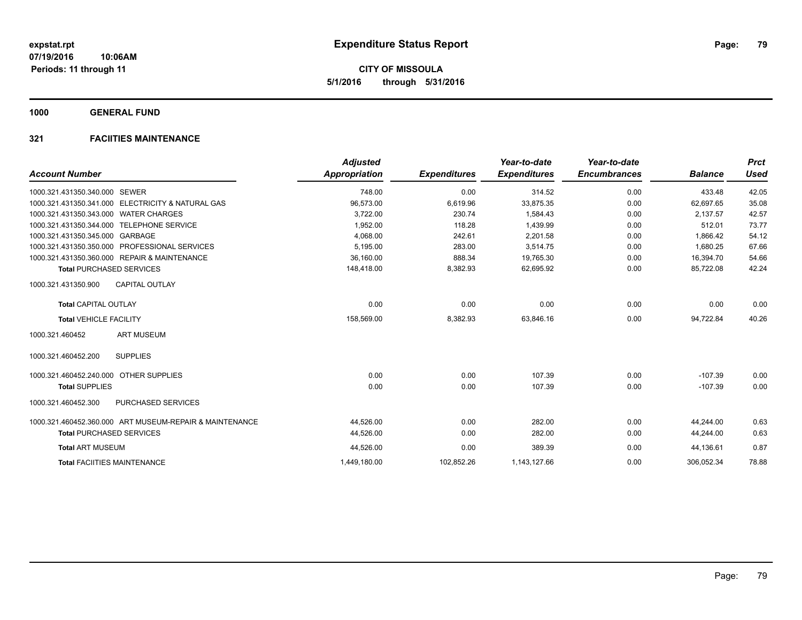**1000 GENERAL FUND**

| <b>Account Number</b>                                           | <b>Adjusted</b><br><b>Appropriation</b> | <b>Expenditures</b> | Year-to-date<br><b>Expenditures</b> | Year-to-date<br><b>Encumbrances</b> | <b>Balance</b> | <b>Prct</b><br><b>Used</b> |
|-----------------------------------------------------------------|-----------------------------------------|---------------------|-------------------------------------|-------------------------------------|----------------|----------------------------|
|                                                                 |                                         |                     |                                     |                                     |                |                            |
| 1000.321.431350.340.000 SEWER                                   | 748.00                                  | 0.00                | 314.52                              | 0.00                                | 433.48         | 42.05                      |
| <b>ELECTRICITY &amp; NATURAL GAS</b><br>1000.321.431350.341.000 | 96,573.00                               | 6,619.96            | 33,875.35                           | 0.00                                | 62,697.65      | 35.08                      |
| 1000.321.431350.343.000<br><b>WATER CHARGES</b>                 | 3,722.00                                | 230.74              | 1.584.43                            | 0.00                                | 2.137.57       | 42.57                      |
| 1000.321.431350.344.000 TELEPHONE SERVICE                       | 1,952.00                                | 118.28              | 1.439.99                            | 0.00                                | 512.01         | 73.77                      |
| 1000.321.431350.345.000 GARBAGE                                 | 4.068.00                                | 242.61              | 2.201.58                            | 0.00                                | 1.866.42       | 54.12                      |
| <b>PROFESSIONAL SERVICES</b><br>1000.321.431350.350.000         | 5,195.00                                | 283.00              | 3,514.75                            | 0.00                                | 1,680.25       | 67.66                      |
| 1000.321.431350.360.000 REPAIR & MAINTENANCE                    | 36.160.00                               | 888.34              | 19.765.30                           | 0.00                                | 16,394.70      | 54.66                      |
| <b>Total PURCHASED SERVICES</b>                                 | 148,418.00                              | 8,382.93            | 62,695.92                           | 0.00                                | 85,722.08      | 42.24                      |
| <b>CAPITAL OUTLAY</b><br>1000.321.431350.900                    |                                         |                     |                                     |                                     |                |                            |
| <b>Total CAPITAL OUTLAY</b>                                     | 0.00                                    | 0.00                | 0.00                                | 0.00                                | 0.00           | 0.00                       |
| <b>Total VEHICLE FACILITY</b>                                   | 158,569.00                              | 8,382.93            | 63,846.16                           | 0.00                                | 94.722.84      | 40.26                      |
| <b>ART MUSEUM</b><br>1000.321.460452                            |                                         |                     |                                     |                                     |                |                            |
| 1000.321.460452.200<br><b>SUPPLIES</b>                          |                                         |                     |                                     |                                     |                |                            |
| <b>OTHER SUPPLIES</b><br>1000.321.460452.240.000                | 0.00                                    | 0.00                | 107.39                              | 0.00                                | $-107.39$      | 0.00                       |
| <b>Total SUPPLIES</b>                                           | 0.00                                    | 0.00                | 107.39                              | 0.00                                | $-107.39$      | 0.00                       |
| 1000.321.460452.300<br><b>PURCHASED SERVICES</b>                |                                         |                     |                                     |                                     |                |                            |
| 1000.321.460452.360.000 ART MUSEUM-REPAIR & MAINTENANCE         | 44,526.00                               | 0.00                | 282.00                              | 0.00                                | 44.244.00      | 0.63                       |
| <b>Total PURCHASED SERVICES</b>                                 | 44,526.00                               | 0.00                | 282.00                              | 0.00                                | 44,244.00      | 0.63                       |
| <b>Total ART MUSEUM</b>                                         | 44,526.00                               | 0.00                | 389.39                              | 0.00                                | 44,136.61      | 0.87                       |
| <b>Total FACIITIES MAINTENANCE</b>                              | 1,449,180.00                            | 102,852.26          | 1,143,127.66                        | 0.00                                | 306.052.34     | 78.88                      |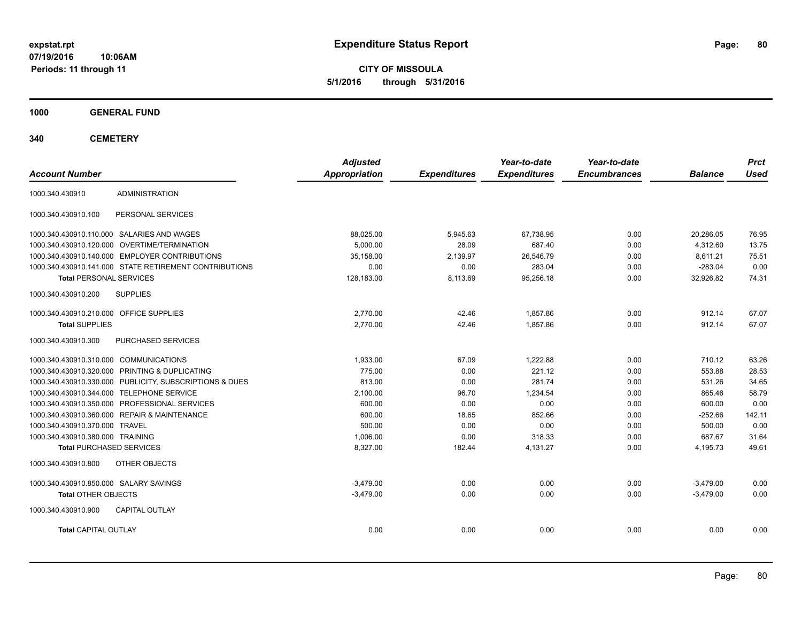**CITY OF MISSOULA 5/1/2016 through 5/31/2016**

**1000 GENERAL FUND**

| <b>Account Number</b>                   |                                                         | <b>Adjusted</b><br><b>Appropriation</b> | <b>Expenditures</b> | Year-to-date<br><b>Expenditures</b> | Year-to-date<br><b>Encumbrances</b> | <b>Balance</b> | <b>Prct</b><br><b>Used</b> |
|-----------------------------------------|---------------------------------------------------------|-----------------------------------------|---------------------|-------------------------------------|-------------------------------------|----------------|----------------------------|
| 1000.340.430910                         | <b>ADMINISTRATION</b>                                   |                                         |                     |                                     |                                     |                |                            |
| 1000.340.430910.100                     | PERSONAL SERVICES                                       |                                         |                     |                                     |                                     |                |                            |
|                                         | 1000.340.430910.110.000 SALARIES AND WAGES              | 88,025.00                               | 5,945.63            | 67,738.95                           | 0.00                                | 20,286.05      | 76.95                      |
| 1000.340.430910.120.000                 | OVERTIME/TERMINATION                                    | 5.000.00                                | 28.09               | 687.40                              | 0.00                                | 4,312.60       | 13.75                      |
| 1000.340.430910.140.000                 | <b>EMPLOYER CONTRIBUTIONS</b>                           | 35,158.00                               | 2,139.97            | 26,546.79                           | 0.00                                | 8,611.21       | 75.51                      |
|                                         | 1000.340.430910.141.000 STATE RETIREMENT CONTRIBUTIONS  | 0.00                                    | 0.00                | 283.04                              | 0.00                                | $-283.04$      | 0.00                       |
| <b>Total PERSONAL SERVICES</b>          |                                                         | 128,183.00                              | 8,113.69            | 95,256.18                           | 0.00                                | 32,926.82      | 74.31                      |
| 1000.340.430910.200                     | <b>SUPPLIES</b>                                         |                                         |                     |                                     |                                     |                |                            |
| 1000.340.430910.210.000 OFFICE SUPPLIES |                                                         | 2,770.00                                | 42.46               | 1,857.86                            | 0.00                                | 912.14         | 67.07                      |
| <b>Total SUPPLIES</b>                   |                                                         | 2.770.00                                | 42.46               | 1.857.86                            | 0.00                                | 912.14         | 67.07                      |
| 1000.340.430910.300                     | PURCHASED SERVICES                                      |                                         |                     |                                     |                                     |                |                            |
| 1000.340.430910.310.000 COMMUNICATIONS  |                                                         | 1,933.00                                | 67.09               | 1,222.88                            | 0.00                                | 710.12         | 63.26                      |
|                                         | 1000.340.430910.320.000 PRINTING & DUPLICATING          | 775.00                                  | 0.00                | 221.12                              | 0.00                                | 553.88         | 28.53                      |
|                                         | 1000.340.430910.330.000 PUBLICITY, SUBSCRIPTIONS & DUES | 813.00                                  | 0.00                | 281.74                              | 0.00                                | 531.26         | 34.65                      |
|                                         | 1000.340.430910.344.000 TELEPHONE SERVICE               | 2,100.00                                | 96.70               | 1,234.54                            | 0.00                                | 865.46         | 58.79                      |
|                                         | 1000.340.430910.350.000 PROFESSIONAL SERVICES           | 600.00                                  | 0.00                | 0.00                                | 0.00                                | 600.00         | 0.00                       |
|                                         | 1000.340.430910.360.000 REPAIR & MAINTENANCE            | 600.00                                  | 18.65               | 852.66                              | 0.00                                | $-252.66$      | 142.11                     |
| 1000.340.430910.370.000 TRAVEL          |                                                         | 500.00                                  | 0.00                | 0.00                                | 0.00                                | 500.00         | 0.00                       |
| 1000.340.430910.380.000 TRAINING        |                                                         | 1.006.00                                | 0.00                | 318.33                              | 0.00                                | 687.67         | 31.64                      |
| <b>Total PURCHASED SERVICES</b>         |                                                         | 8,327.00                                | 182.44              | 4,131.27                            | 0.00                                | 4,195.73       | 49.61                      |
| 1000.340.430910.800                     | OTHER OBJECTS                                           |                                         |                     |                                     |                                     |                |                            |
| 1000.340.430910.850.000 SALARY SAVINGS  |                                                         | $-3.479.00$                             | 0.00                | 0.00                                | 0.00                                | $-3.479.00$    | 0.00                       |
| <b>Total OTHER OBJECTS</b>              |                                                         | $-3,479.00$                             | 0.00                | 0.00                                | 0.00                                | $-3,479.00$    | 0.00                       |
| 1000.340.430910.900                     | <b>CAPITAL OUTLAY</b>                                   |                                         |                     |                                     |                                     |                |                            |
| <b>Total CAPITAL OUTLAY</b>             |                                                         | 0.00                                    | 0.00                | 0.00                                | 0.00                                | 0.00           | 0.00                       |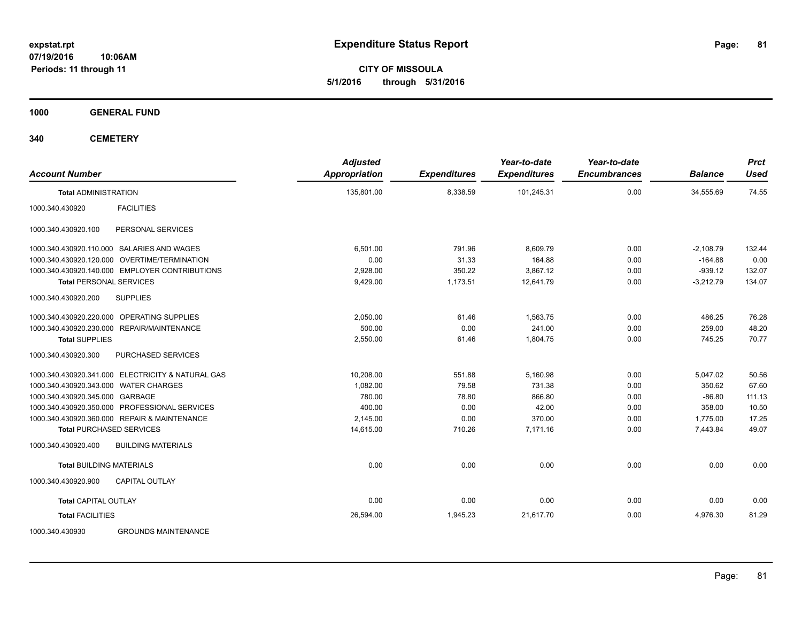**CITY OF MISSOULA 5/1/2016 through 5/31/2016**

**1000 GENERAL FUND**

| <b>Account Number</b>                             | <b>Adjusted</b><br>Appropriation | <b>Expenditures</b> | Year-to-date<br><b>Expenditures</b> | Year-to-date<br><b>Encumbrances</b> | <b>Balance</b> | <b>Prct</b><br><b>Used</b> |
|---------------------------------------------------|----------------------------------|---------------------|-------------------------------------|-------------------------------------|----------------|----------------------------|
| <b>Total ADMINISTRATION</b>                       | 135,801.00                       | 8,338.59            | 101,245.31                          | 0.00                                | 34,555.69      | 74.55                      |
| <b>FACILITIES</b><br>1000.340.430920              |                                  |                     |                                     |                                     |                |                            |
| 1000.340.430920.100<br>PERSONAL SERVICES          |                                  |                     |                                     |                                     |                |                            |
| 1000.340.430920.110.000 SALARIES AND WAGES        | 6.501.00                         | 791.96              | 8,609.79                            | 0.00                                | $-2,108.79$    | 132.44                     |
| OVERTIME/TERMINATION<br>1000.340.430920.120.000   | 0.00                             | 31.33               | 164.88                              | 0.00                                | $-164.88$      | 0.00                       |
| 1000.340.430920.140.000 EMPLOYER CONTRIBUTIONS    | 2,928.00                         | 350.22              | 3,867.12                            | 0.00                                | $-939.12$      | 132.07                     |
| <b>Total PERSONAL SERVICES</b>                    | 9,429.00                         | 1,173.51            | 12,641.79                           | 0.00                                | $-3,212.79$    | 134.07                     |
| <b>SUPPLIES</b><br>1000.340.430920.200            |                                  |                     |                                     |                                     |                |                            |
| 1000.340.430920.220.000 OPERATING SUPPLIES        | 2,050.00                         | 61.46               | 1,563.75                            | 0.00                                | 486.25         | 76.28                      |
| REPAIR/MAINTENANCE<br>1000.340.430920.230.000     | 500.00                           | 0.00                | 241.00                              | 0.00                                | 259.00         | 48.20                      |
| <b>Total SUPPLIES</b>                             | 2,550.00                         | 61.46               | 1,804.75                            | 0.00                                | 745.25         | 70.77                      |
| PURCHASED SERVICES<br>1000.340.430920.300         |                                  |                     |                                     |                                     |                |                            |
| 1000.340.430920.341.000 ELECTRICITY & NATURAL GAS | 10,208.00                        | 551.88              | 5,160.98                            | 0.00                                | 5,047.02       | 50.56                      |
| 1000.340.430920.343.000 WATER CHARGES             | 1,082.00                         | 79.58               | 731.38                              | 0.00                                | 350.62         | 67.60                      |
| 1000.340.430920.345.000 GARBAGE                   | 780.00                           | 78.80               | 866.80                              | 0.00                                | $-86.80$       | 111.13                     |
| PROFESSIONAL SERVICES<br>1000.340.430920.350.000  | 400.00                           | 0.00                | 42.00                               | 0.00                                | 358.00         | 10.50                      |
| 1000.340.430920.360.000 REPAIR & MAINTENANCE      | 2,145.00                         | 0.00                | 370.00                              | 0.00                                | 1,775.00       | 17.25                      |
| <b>Total PURCHASED SERVICES</b>                   | 14,615.00                        | 710.26              | 7,171.16                            | 0.00                                | 7,443.84       | 49.07                      |
| 1000.340.430920.400<br><b>BUILDING MATERIALS</b>  |                                  |                     |                                     |                                     |                |                            |
| <b>Total BUILDING MATERIALS</b>                   | 0.00                             | 0.00                | 0.00                                | 0.00                                | 0.00           | 0.00                       |
| 1000.340.430920.900<br>CAPITAL OUTLAY             |                                  |                     |                                     |                                     |                |                            |
| <b>Total CAPITAL OUTLAY</b>                       | 0.00                             | 0.00                | 0.00                                | 0.00                                | 0.00           | 0.00                       |
| <b>Total FACILITIES</b>                           | 26,594.00                        | 1,945.23            | 21,617.70                           | 0.00                                | 4,976.30       | 81.29                      |
| 1000.340.430930<br><b>GROUNDS MAINTENANCE</b>     |                                  |                     |                                     |                                     |                |                            |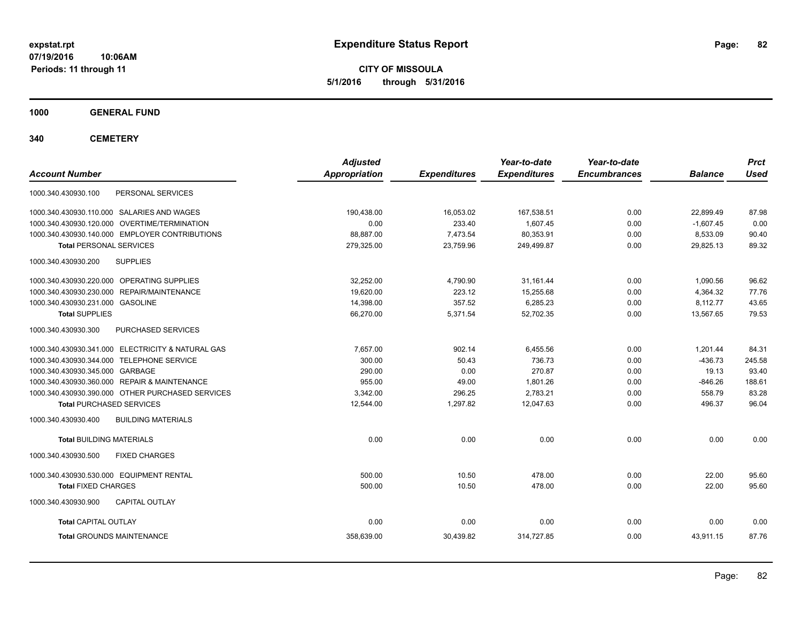**CITY OF MISSOULA 5/1/2016 through 5/31/2016**

**1000 GENERAL FUND**

| <b>Account Number</b>                             | <b>Adjusted</b><br><b>Appropriation</b> | <b>Expenditures</b> | Year-to-date<br><b>Expenditures</b> | Year-to-date<br><b>Encumbrances</b> | <b>Balance</b> | <b>Prct</b><br><b>Used</b> |
|---------------------------------------------------|-----------------------------------------|---------------------|-------------------------------------|-------------------------------------|----------------|----------------------------|
|                                                   |                                         |                     |                                     |                                     |                |                            |
| PERSONAL SERVICES<br>1000.340.430930.100          |                                         |                     |                                     |                                     |                |                            |
| 1000.340.430930.110.000 SALARIES AND WAGES        | 190,438.00                              | 16,053.02           | 167,538.51                          | 0.00                                | 22.899.49      | 87.98                      |
| 1000.340.430930.120.000 OVERTIME/TERMINATION      | 0.00                                    | 233.40              | 1,607.45                            | 0.00                                | $-1,607.45$    | 0.00                       |
| 1000.340.430930.140.000 EMPLOYER CONTRIBUTIONS    | 88,887.00                               | 7,473.54            | 80,353.91                           | 0.00                                | 8,533.09       | 90.40                      |
| <b>Total PERSONAL SERVICES</b>                    | 279,325.00                              | 23,759.96           | 249,499.87                          | 0.00                                | 29,825.13      | 89.32                      |
| 1000.340.430930.200<br><b>SUPPLIES</b>            |                                         |                     |                                     |                                     |                |                            |
| 1000.340.430930.220.000 OPERATING SUPPLIES        | 32,252.00                               | 4,790.90            | 31,161.44                           | 0.00                                | 1,090.56       | 96.62                      |
| 1000.340.430930.230.000 REPAIR/MAINTENANCE        | 19,620.00                               | 223.12              | 15,255.68                           | 0.00                                | 4,364.32       | 77.76                      |
| 1000.340.430930.231.000 GASOLINE                  | 14,398.00                               | 357.52              | 6,285.23                            | 0.00                                | 8,112.77       | 43.65                      |
| <b>Total SUPPLIES</b>                             | 66,270.00                               | 5,371.54            | 52,702.35                           | 0.00                                | 13,567.65      | 79.53                      |
| PURCHASED SERVICES<br>1000.340.430930.300         |                                         |                     |                                     |                                     |                |                            |
| 1000.340.430930.341.000 ELECTRICITY & NATURAL GAS | 7,657.00                                | 902.14              | 6,455.56                            | 0.00                                | 1,201.44       | 84.31                      |
| 1000.340.430930.344.000 TELEPHONE SERVICE         | 300.00                                  | 50.43               | 736.73                              | 0.00                                | $-436.73$      | 245.58                     |
| 1000.340.430930.345.000 GARBAGE                   | 290.00                                  | 0.00                | 270.87                              | 0.00                                | 19.13          | 93.40                      |
| 1000.340.430930.360.000 REPAIR & MAINTENANCE      | 955.00                                  | 49.00               | 1,801.26                            | 0.00                                | $-846.26$      | 188.61                     |
| 1000.340.430930.390.000 OTHER PURCHASED SERVICES  | 3,342.00                                | 296.25              | 2,783.21                            | 0.00                                | 558.79         | 83.28                      |
| <b>Total PURCHASED SERVICES</b>                   | 12,544.00                               | 1,297.82            | 12,047.63                           | 0.00                                | 496.37         | 96.04                      |
| 1000.340.430930.400<br><b>BUILDING MATERIALS</b>  |                                         |                     |                                     |                                     |                |                            |
| <b>Total BUILDING MATERIALS</b>                   | 0.00                                    | 0.00                | 0.00                                | 0.00                                | 0.00           | 0.00                       |
| 1000.340.430930.500<br><b>FIXED CHARGES</b>       |                                         |                     |                                     |                                     |                |                            |
| 1000.340.430930.530.000 EQUIPMENT RENTAL          | 500.00                                  | 10.50               | 478.00                              | 0.00                                | 22.00          | 95.60                      |
| <b>Total FIXED CHARGES</b>                        | 500.00                                  | 10.50               | 478.00                              | 0.00                                | 22.00          | 95.60                      |
| 1000.340.430930.900<br><b>CAPITAL OUTLAY</b>      |                                         |                     |                                     |                                     |                |                            |
| <b>Total CAPITAL OUTLAY</b>                       | 0.00                                    | 0.00                | 0.00                                | 0.00                                | 0.00           | 0.00                       |
| <b>Total GROUNDS MAINTENANCE</b>                  | 358,639.00                              | 30,439.82           | 314,727.85                          | 0.00                                | 43,911.15      | 87.76                      |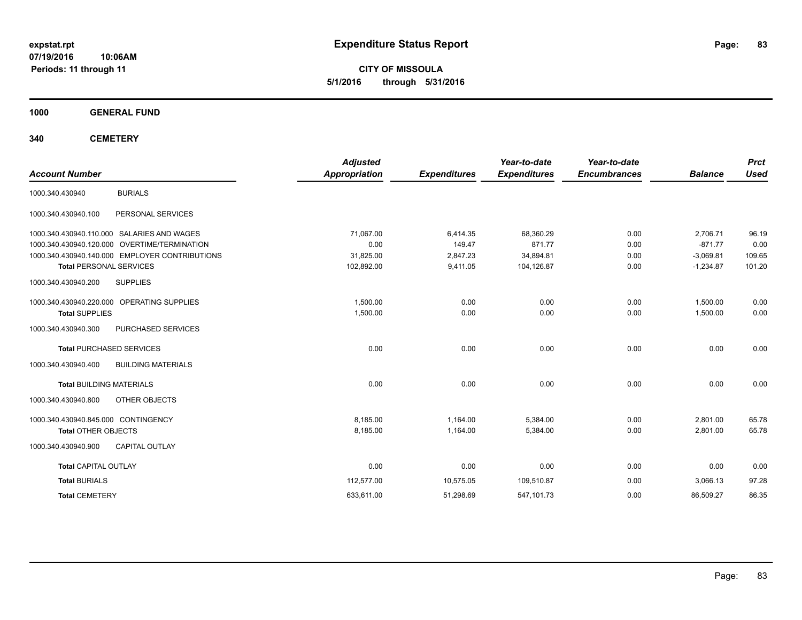**CITY OF MISSOULA 5/1/2016 through 5/31/2016**

**1000 GENERAL FUND**

| <b>Account Number</b>               |                                                | <b>Adjusted</b><br><b>Appropriation</b> | <b>Expenditures</b> | Year-to-date<br><b>Expenditures</b> | Year-to-date<br><b>Encumbrances</b> | <b>Balance</b> | <b>Prct</b><br><b>Used</b> |
|-------------------------------------|------------------------------------------------|-----------------------------------------|---------------------|-------------------------------------|-------------------------------------|----------------|----------------------------|
| 1000.340.430940                     | <b>BURIALS</b>                                 |                                         |                     |                                     |                                     |                |                            |
| 1000.340.430940.100                 | PERSONAL SERVICES                              |                                         |                     |                                     |                                     |                |                            |
|                                     | 1000.340.430940.110.000 SALARIES AND WAGES     | 71,067.00                               | 6,414.35            | 68,360.29                           | 0.00                                | 2,706.71       | 96.19                      |
|                                     | 1000.340.430940.120.000 OVERTIME/TERMINATION   | 0.00                                    | 149.47              | 871.77                              | 0.00                                | $-871.77$      | 0.00                       |
|                                     | 1000.340.430940.140.000 EMPLOYER CONTRIBUTIONS | 31,825.00                               | 2,847.23            | 34,894.81                           | 0.00                                | $-3,069.81$    | 109.65                     |
| <b>Total PERSONAL SERVICES</b>      |                                                | 102,892.00                              | 9,411.05            | 104,126.87                          | 0.00                                | $-1,234.87$    | 101.20                     |
| 1000.340.430940.200                 | <b>SUPPLIES</b>                                |                                         |                     |                                     |                                     |                |                            |
|                                     | 1000.340.430940.220.000 OPERATING SUPPLIES     | 1,500.00                                | 0.00                | 0.00                                | 0.00                                | 1,500.00       | 0.00                       |
| <b>Total SUPPLIES</b>               |                                                | 1,500.00                                | 0.00                | 0.00                                | 0.00                                | 1,500.00       | 0.00                       |
| 1000.340.430940.300                 | PURCHASED SERVICES                             |                                         |                     |                                     |                                     |                |                            |
|                                     | <b>Total PURCHASED SERVICES</b>                | 0.00                                    | 0.00                | 0.00                                | 0.00                                | 0.00           | 0.00                       |
| 1000.340.430940.400                 | <b>BUILDING MATERIALS</b>                      |                                         |                     |                                     |                                     |                |                            |
| <b>Total BUILDING MATERIALS</b>     |                                                | 0.00                                    | 0.00                | 0.00                                | 0.00                                | 0.00           | 0.00                       |
| 1000.340.430940.800                 | OTHER OBJECTS                                  |                                         |                     |                                     |                                     |                |                            |
| 1000.340.430940.845.000 CONTINGENCY |                                                | 8,185.00                                | 1,164.00            | 5,384.00                            | 0.00                                | 2,801.00       | 65.78                      |
| <b>Total OTHER OBJECTS</b>          |                                                | 8,185.00                                | 1,164.00            | 5,384.00                            | 0.00                                | 2,801.00       | 65.78                      |
| 1000.340.430940.900                 | <b>CAPITAL OUTLAY</b>                          |                                         |                     |                                     |                                     |                |                            |
| <b>Total CAPITAL OUTLAY</b>         |                                                | 0.00                                    | 0.00                | 0.00                                | 0.00                                | 0.00           | 0.00                       |
| <b>Total BURIALS</b>                |                                                | 112,577.00                              | 10,575.05           | 109,510.87                          | 0.00                                | 3,066.13       | 97.28                      |
| <b>Total CEMETERY</b>               |                                                | 633,611.00                              | 51,298.69           | 547,101.73                          | 0.00                                | 86,509.27      | 86.35                      |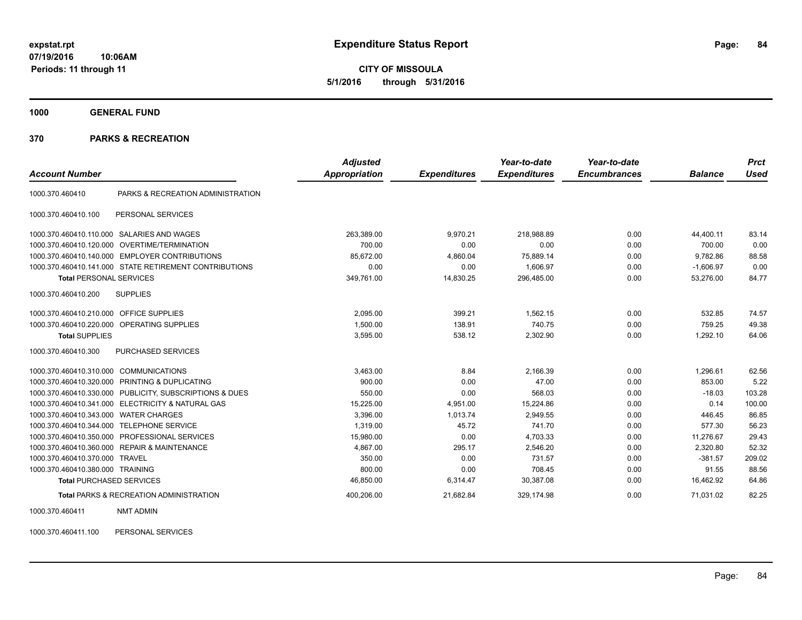**CITY OF MISSOULA 5/1/2016 through 5/31/2016**

**1000 GENERAL FUND**

## **370 PARKS & RECREATION**

| <b>Account Number</b>                     |                                                         | <b>Adjusted</b><br>Appropriation | <b>Expenditures</b> | Year-to-date<br><b>Expenditures</b> | Year-to-date<br><b>Encumbrances</b> | <b>Balance</b> | <b>Prct</b><br><b>Used</b> |
|-------------------------------------------|---------------------------------------------------------|----------------------------------|---------------------|-------------------------------------|-------------------------------------|----------------|----------------------------|
|                                           |                                                         |                                  |                     |                                     |                                     |                |                            |
| 1000.370.460410                           | PARKS & RECREATION ADMINISTRATION                       |                                  |                     |                                     |                                     |                |                            |
| 1000.370.460410.100                       | PERSONAL SERVICES                                       |                                  |                     |                                     |                                     |                |                            |
| 1000.370.460410.110.000                   | SALARIES AND WAGES                                      | 263,389.00                       | 9.970.21            | 218.988.89                          | 0.00                                | 44.400.11      | 83.14                      |
| 1000.370.460410.120.000                   | OVERTIME/TERMINATION                                    | 700.00                           | 0.00                | 0.00                                | 0.00                                | 700.00         | 0.00                       |
|                                           | 1000.370.460410.140.000 EMPLOYER CONTRIBUTIONS          | 85,672.00                        | 4,860.04            | 75,889.14                           | 0.00                                | 9,782.86       | 88.58                      |
|                                           | 1000.370.460410.141.000 STATE RETIREMENT CONTRIBUTIONS  | 0.00                             | 0.00                | 1.606.97                            | 0.00                                | $-1.606.97$    | 0.00                       |
| <b>Total PERSONAL SERVICES</b>            |                                                         | 349,761.00                       | 14,830.25           | 296,485.00                          | 0.00                                | 53,276.00      | 84.77                      |
| 1000.370.460410.200                       | <b>SUPPLIES</b>                                         |                                  |                     |                                     |                                     |                |                            |
| 1000.370.460410.210.000 OFFICE SUPPLIES   |                                                         | 2.095.00                         | 399.21              | 1.562.15                            | 0.00                                | 532.85         | 74.57                      |
|                                           | 1000.370.460410.220.000 OPERATING SUPPLIES              | 1,500.00                         | 138.91              | 740.75                              | 0.00                                | 759.25         | 49.38                      |
| <b>Total SUPPLIES</b>                     |                                                         | 3,595.00                         | 538.12              | 2,302.90                            | 0.00                                | 1,292.10       | 64.06                      |
| 1000.370.460410.300                       | PURCHASED SERVICES                                      |                                  |                     |                                     |                                     |                |                            |
| 1000.370.460410.310.000 COMMUNICATIONS    |                                                         | 3,463.00                         | 8.84                | 2,166.39                            | 0.00                                | 1,296.61       | 62.56                      |
|                                           | 1000.370.460410.320.000 PRINTING & DUPLICATING          | 900.00                           | 0.00                | 47.00                               | 0.00                                | 853.00         | 5.22                       |
|                                           | 1000.370.460410.330.000 PUBLICITY, SUBSCRIPTIONS & DUES | 550.00                           | 0.00                | 568.03                              | 0.00                                | $-18.03$       | 103.28                     |
| 1000.370.460410.341.000                   | <b>ELECTRICITY &amp; NATURAL GAS</b>                    | 15,225.00                        | 4,951.00            | 15,224.86                           | 0.00                                | 0.14           | 100.00                     |
| 1000.370.460410.343.000 WATER CHARGES     |                                                         | 3,396.00                         | 1,013.74            | 2,949.55                            | 0.00                                | 446.45         | 86.85                      |
| 1000.370.460410.344.000 TELEPHONE SERVICE |                                                         | 1,319.00                         | 45.72               | 741.70                              | 0.00                                | 577.30         | 56.23                      |
|                                           | 1000.370.460410.350.000 PROFESSIONAL SERVICES           | 15,980.00                        | 0.00                | 4,703.33                            | 0.00                                | 11,276.67      | 29.43                      |
|                                           | 1000.370.460410.360.000 REPAIR & MAINTENANCE            | 4,867.00                         | 295.17              | 2,546.20                            | 0.00                                | 2,320.80       | 52.32                      |
| 1000.370.460410.370.000 TRAVEL            |                                                         | 350.00                           | 0.00                | 731.57                              | 0.00                                | $-381.57$      | 209.02                     |
| 1000.370.460410.380.000 TRAINING          |                                                         | 800.00                           | 0.00                | 708.45                              | 0.00                                | 91.55          | 88.56                      |
| <b>Total PURCHASED SERVICES</b>           |                                                         | 46,850.00                        | 6,314.47            | 30,387.08                           | 0.00                                | 16,462.92      | 64.86                      |
|                                           | <b>Total PARKS &amp; RECREATION ADMINISTRATION</b>      | 400,206.00                       | 21.682.84           | 329.174.98                          | 0.00                                | 71.031.02      | 82.25                      |

1000.370.460411 NMT ADMIN

1000.370.460411.100 PERSONAL SERVICES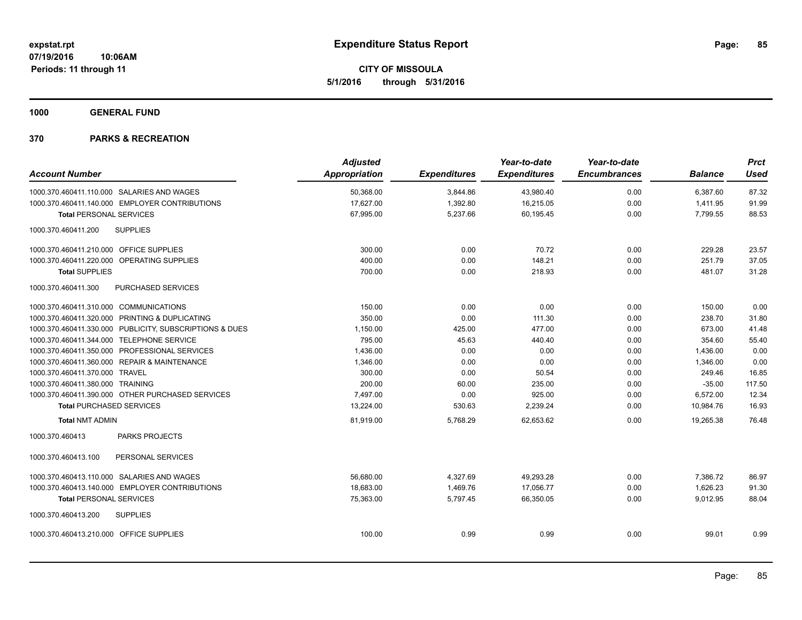**CITY OF MISSOULA 5/1/2016 through 5/31/2016**

**1000 GENERAL FUND**

|                                         |                                                         | <b>Adjusted</b>      |                     | Year-to-date        | Year-to-date        |                | <b>Prct</b> |
|-----------------------------------------|---------------------------------------------------------|----------------------|---------------------|---------------------|---------------------|----------------|-------------|
| <b>Account Number</b>                   |                                                         | <b>Appropriation</b> | <b>Expenditures</b> | <b>Expenditures</b> | <b>Encumbrances</b> | <b>Balance</b> | <b>Used</b> |
|                                         | 1000.370.460411.110.000 SALARIES AND WAGES              | 50,368.00            | 3,844.86            | 43,980.40           | 0.00                | 6.387.60       | 87.32       |
|                                         | 1000.370.460411.140.000 EMPLOYER CONTRIBUTIONS          | 17,627.00            | 1,392.80            | 16,215.05           | 0.00                | 1,411.95       | 91.99       |
| <b>Total PERSONAL SERVICES</b>          |                                                         | 67,995.00            | 5,237.66            | 60,195.45           | 0.00                | 7,799.55       | 88.53       |
| 1000.370.460411.200                     | <b>SUPPLIES</b>                                         |                      |                     |                     |                     |                |             |
| 1000.370.460411.210.000 OFFICE SUPPLIES |                                                         | 300.00               | 0.00                | 70.72               | 0.00                | 229.28         | 23.57       |
|                                         | 1000.370.460411.220.000 OPERATING SUPPLIES              | 400.00               | 0.00                | 148.21              | 0.00                | 251.79         | 37.05       |
| <b>Total SUPPLIES</b>                   |                                                         | 700.00               | 0.00                | 218.93              | 0.00                | 481.07         | 31.28       |
| 1000.370.460411.300                     | PURCHASED SERVICES                                      |                      |                     |                     |                     |                |             |
| 1000.370.460411.310.000 COMMUNICATIONS  |                                                         | 150.00               | 0.00                | 0.00                | 0.00                | 150.00         | 0.00        |
|                                         | 1000.370.460411.320.000 PRINTING & DUPLICATING          | 350.00               | 0.00                | 111.30              | 0.00                | 238.70         | 31.80       |
|                                         | 1000.370.460411.330.000 PUBLICITY, SUBSCRIPTIONS & DUES | 1,150.00             | 425.00              | 477.00              | 0.00                | 673.00         | 41.48       |
|                                         | 1000.370.460411.344.000 TELEPHONE SERVICE               | 795.00               | 45.63               | 440.40              | 0.00                | 354.60         | 55.40       |
|                                         | 1000.370.460411.350.000 PROFESSIONAL SERVICES           | 1,436.00             | 0.00                | 0.00                | 0.00                | 1,436.00       | 0.00        |
|                                         | 1000.370.460411.360.000 REPAIR & MAINTENANCE            | 1,346.00             | 0.00                | 0.00                | 0.00                | 1,346.00       | 0.00        |
| 1000.370.460411.370.000 TRAVEL          |                                                         | 300.00               | 0.00                | 50.54               | 0.00                | 249.46         | 16.85       |
| 1000.370.460411.380.000 TRAINING        |                                                         | 200.00               | 60.00               | 235.00              | 0.00                | $-35.00$       | 117.50      |
|                                         | 1000.370.460411.390.000 OTHER PURCHASED SERVICES        | 7,497.00             | 0.00                | 925.00              | 0.00                | 6,572.00       | 12.34       |
| <b>Total PURCHASED SERVICES</b>         |                                                         | 13,224.00            | 530.63              | 2,239.24            | 0.00                | 10.984.76      | 16.93       |
| <b>Total NMT ADMIN</b>                  |                                                         | 81,919.00            | 5,768.29            | 62.653.62           | 0.00                | 19.265.38      | 76.48       |
| 1000.370.460413                         | <b>PARKS PROJECTS</b>                                   |                      |                     |                     |                     |                |             |
| 1000.370.460413.100                     | PERSONAL SERVICES                                       |                      |                     |                     |                     |                |             |
|                                         | 1000.370.460413.110.000 SALARIES AND WAGES              | 56,680.00            | 4,327.69            | 49,293.28           | 0.00                | 7,386.72       | 86.97       |
|                                         | 1000.370.460413.140.000 EMPLOYER CONTRIBUTIONS          | 18.683.00            | 1,469.76            | 17,056.77           | 0.00                | 1,626.23       | 91.30       |
| <b>Total PERSONAL SERVICES</b>          |                                                         | 75,363.00            | 5,797.45            | 66,350.05           | 0.00                | 9,012.95       | 88.04       |
| 1000.370.460413.200                     | <b>SUPPLIES</b>                                         |                      |                     |                     |                     |                |             |
| 1000.370.460413.210.000 OFFICE SUPPLIES |                                                         | 100.00               | 0.99                | 0.99                | 0.00                | 99.01          | 0.99        |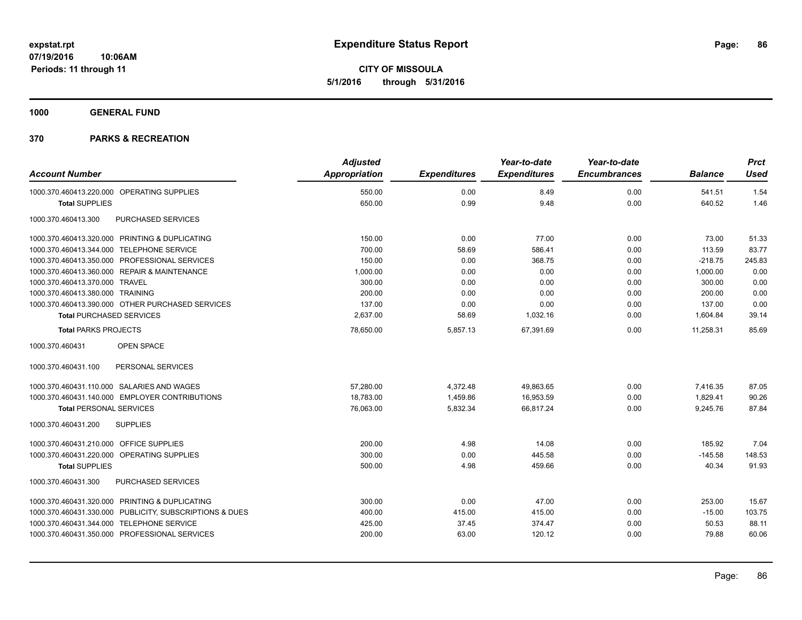**CITY OF MISSOULA 5/1/2016 through 5/31/2016**

**1000 GENERAL FUND**

| <b>Account Number</b>                                   | <b>Adjusted</b> |                     | Year-to-date        | Year-to-date        |                | <b>Prct</b> |
|---------------------------------------------------------|-----------------|---------------------|---------------------|---------------------|----------------|-------------|
|                                                         | Appropriation   | <b>Expenditures</b> | <b>Expenditures</b> | <b>Encumbrances</b> | <b>Balance</b> | <b>Used</b> |
| 1000.370.460413.220.000 OPERATING SUPPLIES              | 550.00          | 0.00                | 8.49                | 0.00                | 541.51         | 1.54        |
| <b>Total SUPPLIES</b>                                   | 650.00          | 0.99                | 9.48                | 0.00                | 640.52         | 1.46        |
| PURCHASED SERVICES<br>1000.370.460413.300               |                 |                     |                     |                     |                |             |
| 1000.370.460413.320.000 PRINTING & DUPLICATING          | 150.00          | 0.00                | 77.00               | 0.00                | 73.00          | 51.33       |
| 1000.370.460413.344.000 TELEPHONE SERVICE               | 700.00          | 58.69               | 586.41              | 0.00                | 113.59         | 83.77       |
| 1000.370.460413.350.000 PROFESSIONAL SERVICES           | 150.00          | 0.00                | 368.75              | 0.00                | $-218.75$      | 245.83      |
| 1000.370.460413.360.000 REPAIR & MAINTENANCE            | 1,000.00        | 0.00                | 0.00                | 0.00                | 1,000.00       | 0.00        |
| 1000.370.460413.370.000 TRAVEL                          | 300.00          | 0.00                | 0.00                | 0.00                | 300.00         | 0.00        |
| 1000.370.460413.380.000 TRAINING                        | 200.00          | 0.00                | 0.00                | 0.00                | 200.00         | 0.00        |
| 1000.370.460413.390.000 OTHER PURCHASED SERVICES        | 137.00          | 0.00                | 0.00                | 0.00                | 137.00         | 0.00        |
| <b>Total PURCHASED SERVICES</b>                         | 2,637.00        | 58.69               | 1,032.16            | 0.00                | 1,604.84       | 39.14       |
| <b>Total PARKS PROJECTS</b>                             | 78,650.00       | 5,857.13            | 67,391.69           | 0.00                | 11.258.31      | 85.69       |
| 1000.370.460431<br>OPEN SPACE                           |                 |                     |                     |                     |                |             |
| 1000.370.460431.100<br>PERSONAL SERVICES                |                 |                     |                     |                     |                |             |
| 1000.370.460431.110.000 SALARIES AND WAGES              | 57.280.00       | 4,372.48            | 49,863.65           | 0.00                | 7,416.35       | 87.05       |
| 1000.370.460431.140.000 EMPLOYER CONTRIBUTIONS          | 18,783.00       | 1,459.86            | 16,953.59           | 0.00                | 1,829.41       | 90.26       |
| <b>Total PERSONAL SERVICES</b>                          | 76,063.00       | 5,832.34            | 66,817.24           | 0.00                | 9,245.76       | 87.84       |
| 1000.370.460431.200<br><b>SUPPLIES</b>                  |                 |                     |                     |                     |                |             |
| 1000.370.460431.210.000 OFFICE SUPPLIES                 | 200.00          | 4.98                | 14.08               | 0.00                | 185.92         | 7.04        |
| 1000.370.460431.220.000 OPERATING SUPPLIES              | 300.00          | 0.00                | 445.58              | 0.00                | $-145.58$      | 148.53      |
| <b>Total SUPPLIES</b>                                   | 500.00          | 4.98                | 459.66              | 0.00                | 40.34          | 91.93       |
| 1000.370.460431.300<br>PURCHASED SERVICES               |                 |                     |                     |                     |                |             |
| 1000.370.460431.320.000 PRINTING & DUPLICATING          | 300.00          | 0.00                | 47.00               | 0.00                | 253.00         | 15.67       |
| 1000.370.460431.330.000 PUBLICITY, SUBSCRIPTIONS & DUES | 400.00          | 415.00              | 415.00              | 0.00                | $-15.00$       | 103.75      |
| 1000.370.460431.344.000 TELEPHONE SERVICE               | 425.00          | 37.45               | 374.47              | 0.00                | 50.53          | 88.11       |
| 1000.370.460431.350.000 PROFESSIONAL SERVICES           | 200.00          | 63.00               | 120.12              | 0.00                | 79.88          | 60.06       |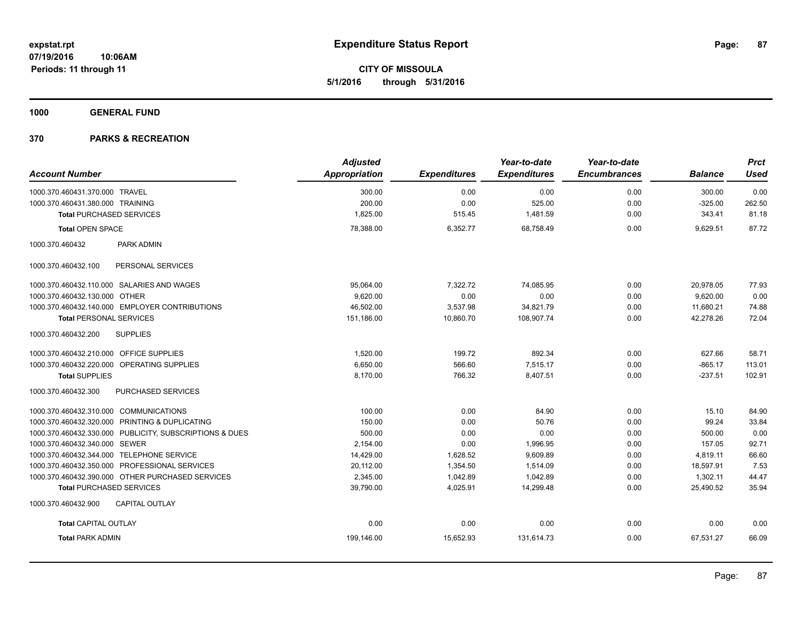**CITY OF MISSOULA 5/1/2016 through 5/31/2016**

**1000 GENERAL FUND**

|                                                         | <b>Adjusted</b> |                     | Year-to-date        | Year-to-date        |                | <b>Prct</b> |
|---------------------------------------------------------|-----------------|---------------------|---------------------|---------------------|----------------|-------------|
| <b>Account Number</b>                                   | Appropriation   | <b>Expenditures</b> | <b>Expenditures</b> | <b>Encumbrances</b> | <b>Balance</b> | <b>Used</b> |
| 1000.370.460431.370.000 TRAVEL                          | 300.00          | 0.00                | 0.00                | 0.00                | 300.00         | 0.00        |
| 1000.370.460431.380.000 TRAINING                        | 200.00          | 0.00                | 525.00              | 0.00                | $-325.00$      | 262.50      |
| <b>Total PURCHASED SERVICES</b>                         | 1,825.00        | 515.45              | 1,481.59            | 0.00                | 343.41         | 81.18       |
| <b>Total OPEN SPACE</b>                                 | 78,388.00       | 6,352.77            | 68,758.49           | 0.00                | 9,629.51       | 87.72       |
| 1000.370.460432<br>PARK ADMIN                           |                 |                     |                     |                     |                |             |
| 1000.370.460432.100<br>PERSONAL SERVICES                |                 |                     |                     |                     |                |             |
| 1000.370.460432.110.000 SALARIES AND WAGES              | 95,064.00       | 7,322.72            | 74,085.95           | 0.00                | 20,978.05      | 77.93       |
| 1000.370.460432.130.000 OTHER                           | 9,620.00        | 0.00                | 0.00                | 0.00                | 9,620.00       | 0.00        |
| 1000.370.460432.140.000 EMPLOYER CONTRIBUTIONS          | 46,502.00       | 3,537.98            | 34,821.79           | 0.00                | 11,680.21      | 74.88       |
| <b>Total PERSONAL SERVICES</b>                          | 151,186.00      | 10,860.70           | 108,907.74          | 0.00                | 42,278.26      | 72.04       |
| 1000.370.460432.200<br><b>SUPPLIES</b>                  |                 |                     |                     |                     |                |             |
| 1000.370.460432.210.000 OFFICE SUPPLIES                 | 1,520.00        | 199.72              | 892.34              | 0.00                | 627.66         | 58.71       |
| 1000.370.460432.220.000 OPERATING SUPPLIES              | 6,650.00        | 566.60              | 7,515.17            | 0.00                | $-865.17$      | 113.01      |
| <b>Total SUPPLIES</b>                                   | 8,170.00        | 766.32              | 8,407.51            | 0.00                | $-237.51$      | 102.91      |
| 1000.370.460432.300<br>PURCHASED SERVICES               |                 |                     |                     |                     |                |             |
| 1000.370.460432.310.000 COMMUNICATIONS                  | 100.00          | 0.00                | 84.90               | 0.00                | 15.10          | 84.90       |
| 1000.370.460432.320.000 PRINTING & DUPLICATING          | 150.00          | 0.00                | 50.76               | 0.00                | 99.24          | 33.84       |
| 1000.370.460432.330.000 PUBLICITY, SUBSCRIPTIONS & DUES | 500.00          | 0.00                | 0.00                | 0.00                | 500.00         | 0.00        |
| 1000.370.460432.340.000 SEWER                           | 2,154.00        | 0.00                | 1,996.95            | 0.00                | 157.05         | 92.71       |
| 1000.370.460432.344.000 TELEPHONE SERVICE               | 14,429.00       | 1,628.52            | 9,609.89            | 0.00                | 4,819.11       | 66.60       |
| 1000.370.460432.350.000 PROFESSIONAL SERVICES           | 20,112.00       | 1,354.50            | 1,514.09            | 0.00                | 18,597.91      | 7.53        |
| 1000.370.460432.390.000 OTHER PURCHASED SERVICES        | 2,345.00        | 1,042.89            | 1,042.89            | 0.00                | 1,302.11       | 44.47       |
| <b>Total PURCHASED SERVICES</b>                         | 39,790.00       | 4,025.91            | 14,299.48           | 0.00                | 25,490.52      | 35.94       |
| 1000.370.460432.900<br><b>CAPITAL OUTLAY</b>            |                 |                     |                     |                     |                |             |
| <b>Total CAPITAL OUTLAY</b>                             | 0.00            | 0.00                | 0.00                | 0.00                | 0.00           | 0.00        |
| <b>Total PARK ADMIN</b>                                 | 199,146.00      | 15,652.93           | 131,614.73          | 0.00                | 67,531.27      | 66.09       |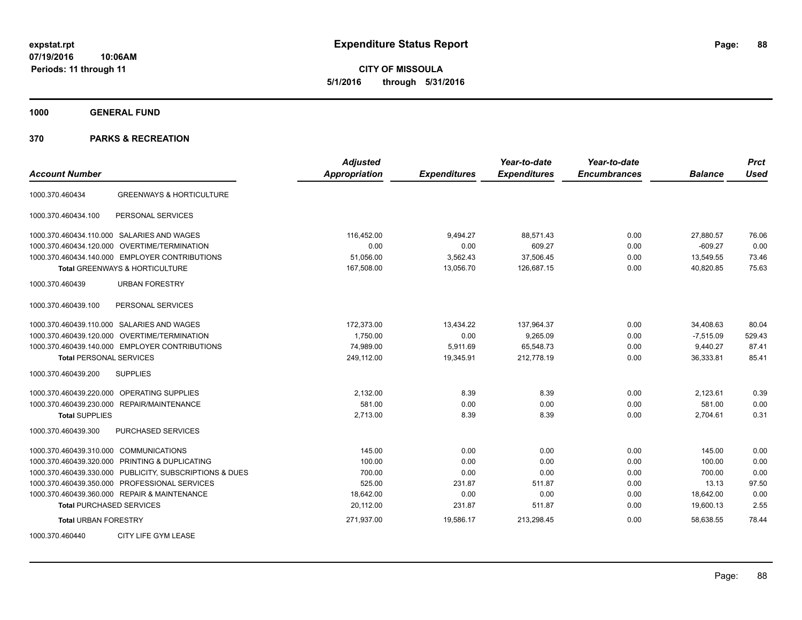**CITY OF MISSOULA 5/1/2016 through 5/31/2016**

**1000 GENERAL FUND**

| <b>Account Number</b>                                   | <b>Adjusted</b><br>Appropriation | <b>Expenditures</b> | Year-to-date<br><b>Expenditures</b> | Year-to-date<br><b>Encumbrances</b> | <b>Balance</b> | <b>Prct</b><br><b>Used</b> |
|---------------------------------------------------------|----------------------------------|---------------------|-------------------------------------|-------------------------------------|----------------|----------------------------|
| <b>GREENWAYS &amp; HORTICULTURE</b><br>1000.370.460434  |                                  |                     |                                     |                                     |                |                            |
|                                                         |                                  |                     |                                     |                                     |                |                            |
| PERSONAL SERVICES<br>1000.370.460434.100                |                                  |                     |                                     |                                     |                |                            |
| 1000.370.460434.110.000 SALARIES AND WAGES              | 116,452.00                       | 9,494.27            | 88,571.43                           | 0.00                                | 27,880.57      | 76.06                      |
| 1000.370.460434.120.000 OVERTIME/TERMINATION            | 0.00                             | 0.00                | 609.27                              | 0.00                                | $-609.27$      | 0.00                       |
| 1000.370.460434.140.000 EMPLOYER CONTRIBUTIONS          | 51,056.00                        | 3,562.43            | 37,506.45                           | 0.00                                | 13,549.55      | 73.46                      |
| <b>Total GREENWAYS &amp; HORTICULTURE</b>               | 167,508.00                       | 13,056.70           | 126,687.15                          | 0.00                                | 40.820.85      | 75.63                      |
| 1000.370.460439<br><b>URBAN FORESTRY</b>                |                                  |                     |                                     |                                     |                |                            |
| PERSONAL SERVICES<br>1000.370.460439.100                |                                  |                     |                                     |                                     |                |                            |
| 1000.370.460439.110.000 SALARIES AND WAGES              | 172,373.00                       | 13,434.22           | 137,964.37                          | 0.00                                | 34,408.63      | 80.04                      |
| 1000.370.460439.120.000 OVERTIME/TERMINATION            | 1,750.00                         | 0.00                | 9,265.09                            | 0.00                                | $-7,515.09$    | 529.43                     |
| 1000.370.460439.140.000 EMPLOYER CONTRIBUTIONS          | 74,989.00                        | 5,911.69            | 65,548.73                           | 0.00                                | 9,440.27       | 87.41                      |
| <b>Total PERSONAL SERVICES</b>                          | 249,112.00                       | 19,345.91           | 212,778.19                          | 0.00                                | 36,333.81      | 85.41                      |
| <b>SUPPLIES</b><br>1000.370.460439.200                  |                                  |                     |                                     |                                     |                |                            |
| 1000.370.460439.220.000<br><b>OPERATING SUPPLIES</b>    | 2,132.00                         | 8.39                | 8.39                                | 0.00                                | 2,123.61       | 0.39                       |
| 1000.370.460439.230.000 REPAIR/MAINTENANCE              | 581.00                           | 0.00                | 0.00                                | 0.00                                | 581.00         | 0.00                       |
| <b>Total SUPPLIES</b>                                   | 2,713.00                         | 8.39                | 8.39                                | 0.00                                | 2,704.61       | 0.31                       |
| 1000.370.460439.300<br>PURCHASED SERVICES               |                                  |                     |                                     |                                     |                |                            |
| 1000.370.460439.310.000 COMMUNICATIONS                  | 145.00                           | 0.00                | 0.00                                | 0.00                                | 145.00         | 0.00                       |
| 1000.370.460439.320.000 PRINTING & DUPLICATING          | 100.00                           | 0.00                | 0.00                                | 0.00                                | 100.00         | 0.00                       |
| 1000.370.460439.330.000 PUBLICITY, SUBSCRIPTIONS & DUES | 700.00                           | 0.00                | 0.00                                | 0.00                                | 700.00         | 0.00                       |
| 1000.370.460439.350.000 PROFESSIONAL SERVICES           | 525.00                           | 231.87              | 511.87                              | 0.00                                | 13.13          | 97.50                      |
| 1000.370.460439.360.000 REPAIR & MAINTENANCE            | 18,642.00                        | 0.00                | 0.00                                | 0.00                                | 18,642.00      | 0.00                       |
| <b>Total PURCHASED SERVICES</b>                         | 20,112.00                        | 231.87              | 511.87                              | 0.00                                | 19,600.13      | 2.55                       |
| <b>Total URBAN FORESTRY</b>                             | 271,937.00                       | 19,586.17           | 213,298.45                          | 0.00                                | 58.638.55      | 78.44                      |
| CITY LIFE GYM LEASE<br>1000.370.460440                  |                                  |                     |                                     |                                     |                |                            |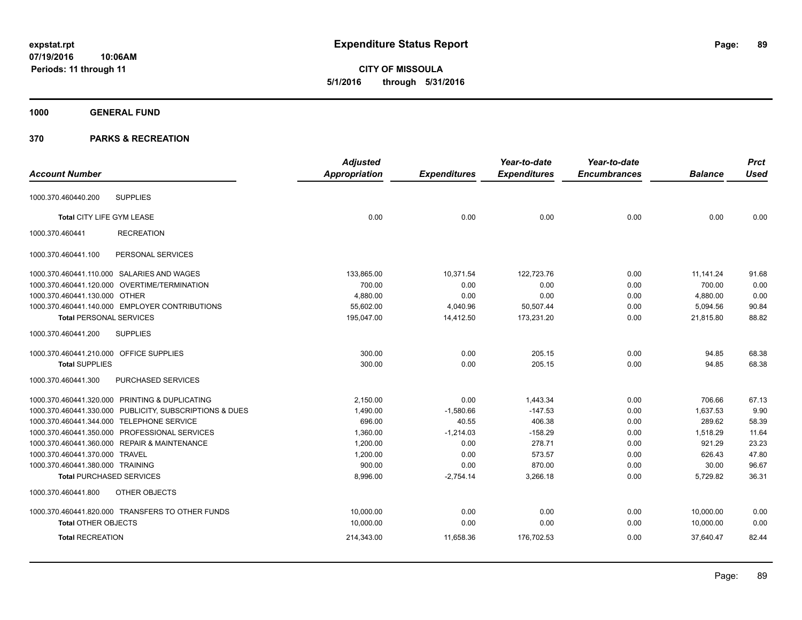**CITY OF MISSOULA 5/1/2016 through 5/31/2016**

# **1000 GENERAL FUND**

|                                                  |                                                         | <b>Adjusted</b> |                     | Year-to-date        | Year-to-date        |                | <b>Prct</b> |
|--------------------------------------------------|---------------------------------------------------------|-----------------|---------------------|---------------------|---------------------|----------------|-------------|
| <b>Account Number</b>                            |                                                         | Appropriation   | <b>Expenditures</b> | <b>Expenditures</b> | <b>Encumbrances</b> | <b>Balance</b> | <b>Used</b> |
|                                                  |                                                         |                 |                     |                     |                     |                |             |
| <b>SUPPLIES</b><br>1000.370.460440.200           |                                                         |                 |                     |                     |                     |                |             |
| Total CITY LIFE GYM LEASE                        |                                                         | 0.00            | 0.00                | 0.00                | 0.00                | 0.00           | 0.00        |
| 1000.370.460441                                  | <b>RECREATION</b>                                       |                 |                     |                     |                     |                |             |
| 1000.370.460441.100                              | PERSONAL SERVICES                                       |                 |                     |                     |                     |                |             |
| 1000.370.460441.110.000 SALARIES AND WAGES       |                                                         | 133,865.00      | 10,371.54           | 122,723.76          | 0.00                | 11,141.24      | 91.68       |
| 1000.370.460441.120.000 OVERTIME/TERMINATION     |                                                         | 700.00          | 0.00                | 0.00                | 0.00                | 700.00         | 0.00        |
| 1000.370.460441.130.000 OTHER                    |                                                         | 4,880.00        | 0.00                | 0.00                | 0.00                | 4,880.00       | 0.00        |
| 1000.370.460441.140.000 EMPLOYER CONTRIBUTIONS   |                                                         | 55,602.00       | 4,040.96            | 50,507.44           | 0.00                | 5,094.56       | 90.84       |
| <b>Total PERSONAL SERVICES</b>                   |                                                         | 195,047.00      | 14,412.50           | 173,231.20          | 0.00                | 21,815.80      | 88.82       |
| 1000.370.460441.200<br><b>SUPPLIES</b>           |                                                         |                 |                     |                     |                     |                |             |
| 1000.370.460441.210.000 OFFICE SUPPLIES          |                                                         | 300.00          | 0.00                | 205.15              | 0.00                | 94.85          | 68.38       |
| <b>Total SUPPLIES</b>                            |                                                         | 300.00          | 0.00                | 205.15              | 0.00                | 94.85          | 68.38       |
| 1000.370.460441.300                              | PURCHASED SERVICES                                      |                 |                     |                     |                     |                |             |
| 1000.370.460441.320.000 PRINTING & DUPLICATING   |                                                         | 2.150.00        | 0.00                | 1.443.34            | 0.00                | 706.66         | 67.13       |
|                                                  | 1000.370.460441.330.000 PUBLICITY, SUBSCRIPTIONS & DUES | 1,490.00        | $-1,580.66$         | $-147.53$           | 0.00                | 1,637.53       | 9.90        |
| 1000.370.460441.344.000 TELEPHONE SERVICE        |                                                         | 696.00          | 40.55               | 406.38              | 0.00                | 289.62         | 58.39       |
| 1000.370.460441.350.000 PROFESSIONAL SERVICES    |                                                         | 1,360.00        | $-1,214.03$         | $-158.29$           | 0.00                | 1,518.29       | 11.64       |
| 1000.370.460441.360.000 REPAIR & MAINTENANCE     |                                                         | 1,200.00        | 0.00                | 278.71              | 0.00                | 921.29         | 23.23       |
| 1000.370.460441.370.000 TRAVEL                   |                                                         | 1,200.00        | 0.00                | 573.57              | 0.00                | 626.43         | 47.80       |
| 1000.370.460441.380.000 TRAINING                 |                                                         | 900.00          | 0.00                | 870.00              | 0.00                | 30.00          | 96.67       |
| <b>Total PURCHASED SERVICES</b>                  |                                                         | 8,996.00        | $-2,754.14$         | 3,266.18            | 0.00                | 5,729.82       | 36.31       |
| 1000.370.460441.800                              | OTHER OBJECTS                                           |                 |                     |                     |                     |                |             |
| 1000.370.460441.820.000 TRANSFERS TO OTHER FUNDS |                                                         | 10,000.00       | 0.00                | 0.00                | 0.00                | 10,000.00      | 0.00        |
| <b>Total OTHER OBJECTS</b>                       |                                                         | 10,000.00       | 0.00                | 0.00                | 0.00                | 10,000.00      | 0.00        |
| <b>Total RECREATION</b>                          |                                                         | 214,343.00      | 11,658.36           | 176,702.53          | 0.00                | 37,640.47      | 82.44       |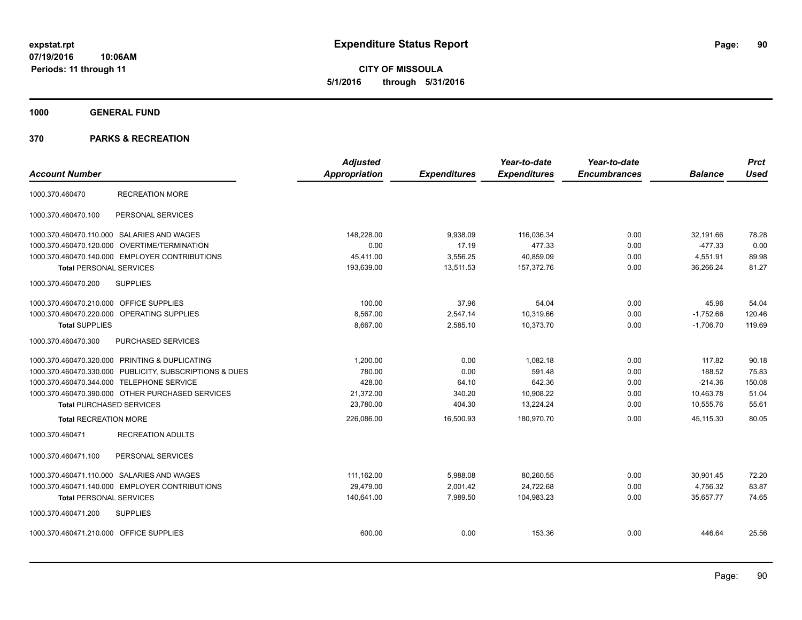**CITY OF MISSOULA 5/1/2016 through 5/31/2016**

**1000 GENERAL FUND**

| <b>Account Number</b>                   |                                                         | <b>Adjusted</b><br><b>Appropriation</b> | <b>Expenditures</b> | Year-to-date<br><b>Expenditures</b> | Year-to-date<br><b>Encumbrances</b> | <b>Balance</b> | <b>Prct</b><br><b>Used</b> |
|-----------------------------------------|---------------------------------------------------------|-----------------------------------------|---------------------|-------------------------------------|-------------------------------------|----------------|----------------------------|
| 1000.370.460470                         | <b>RECREATION MORE</b>                                  |                                         |                     |                                     |                                     |                |                            |
| 1000.370.460470.100                     | PERSONAL SERVICES                                       |                                         |                     |                                     |                                     |                |                            |
|                                         | 1000.370.460470.110.000 SALARIES AND WAGES              | 148,228.00                              | 9,938.09            | 116,036.34                          | 0.00                                | 32,191.66      | 78.28                      |
|                                         | 1000.370.460470.120.000 OVERTIME/TERMINATION            | 0.00                                    | 17.19               | 477.33                              | 0.00                                | $-477.33$      | 0.00                       |
|                                         | 1000.370.460470.140.000 EMPLOYER CONTRIBUTIONS          | 45,411.00                               | 3,556.25            | 40,859.09                           | 0.00                                | 4,551.91       | 89.98                      |
| <b>Total PERSONAL SERVICES</b>          |                                                         | 193.639.00                              | 13.511.53           | 157.372.76                          | 0.00                                | 36.266.24      | 81.27                      |
| 1000.370.460470.200                     | <b>SUPPLIES</b>                                         |                                         |                     |                                     |                                     |                |                            |
| 1000.370.460470.210.000 OFFICE SUPPLIES |                                                         | 100.00                                  | 37.96               | 54.04                               | 0.00                                | 45.96          | 54.04                      |
|                                         | 1000.370.460470.220.000 OPERATING SUPPLIES              | 8,567.00                                | 2,547.14            | 10,319.66                           | 0.00                                | $-1,752.66$    | 120.46                     |
| <b>Total SUPPLIES</b>                   |                                                         | 8,667.00                                | 2,585.10            | 10,373.70                           | 0.00                                | $-1,706.70$    | 119.69                     |
| 1000.370.460470.300                     | PURCHASED SERVICES                                      |                                         |                     |                                     |                                     |                |                            |
|                                         | 1000.370.460470.320.000 PRINTING & DUPLICATING          | 1,200.00                                | 0.00                | 1,082.18                            | 0.00                                | 117.82         | 90.18                      |
|                                         | 1000.370.460470.330.000 PUBLICITY, SUBSCRIPTIONS & DUES | 780.00                                  | 0.00                | 591.48                              | 0.00                                | 188.52         | 75.83                      |
|                                         | 1000.370.460470.344.000 TELEPHONE SERVICE               | 428.00                                  | 64.10               | 642.36                              | 0.00                                | $-214.36$      | 150.08                     |
|                                         | 1000.370.460470.390.000 OTHER PURCHASED SERVICES        | 21,372.00                               | 340.20              | 10,908.22                           | 0.00                                | 10,463.78      | 51.04                      |
| <b>Total PURCHASED SERVICES</b>         |                                                         | 23,780.00                               | 404.30              | 13,224.24                           | 0.00                                | 10,555.76      | 55.61                      |
| <b>Total RECREATION MORE</b>            |                                                         | 226,086.00                              | 16,500.93           | 180,970.70                          | 0.00                                | 45,115.30      | 80.05                      |
| 1000.370.460471                         | <b>RECREATION ADULTS</b>                                |                                         |                     |                                     |                                     |                |                            |
| 1000.370.460471.100                     | PERSONAL SERVICES                                       |                                         |                     |                                     |                                     |                |                            |
|                                         | 1000.370.460471.110.000 SALARIES AND WAGES              | 111.162.00                              | 5,988.08            | 80,260.55                           | 0.00                                | 30.901.45      | 72.20                      |
|                                         | 1000.370.460471.140.000 EMPLOYER CONTRIBUTIONS          | 29.479.00                               | 2,001.42            | 24,722.68                           | 0.00                                | 4,756.32       | 83.87                      |
| <b>Total PERSONAL SERVICES</b>          |                                                         | 140,641.00                              | 7,989.50            | 104,983.23                          | 0.00                                | 35,657.77      | 74.65                      |
| 1000.370.460471.200                     | <b>SUPPLIES</b>                                         |                                         |                     |                                     |                                     |                |                            |
| 1000.370.460471.210.000 OFFICE SUPPLIES |                                                         | 600.00                                  | 0.00                | 153.36                              | 0.00                                | 446.64         | 25.56                      |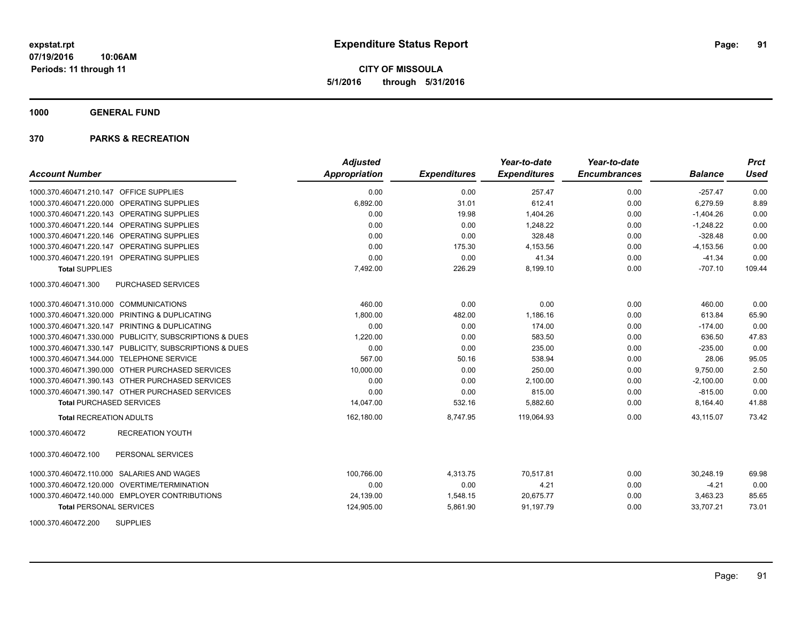**CITY OF MISSOULA 5/1/2016 through 5/31/2016**

**1000 GENERAL FUND**

| <b>Account Number</b>                                   | <b>Adjusted</b><br><b>Appropriation</b> | <b>Expenditures</b> | Year-to-date<br><b>Expenditures</b> | Year-to-date<br><b>Encumbrances</b> | <b>Balance</b> | <b>Prct</b><br><b>Used</b> |
|---------------------------------------------------------|-----------------------------------------|---------------------|-------------------------------------|-------------------------------------|----------------|----------------------------|
| 1000.370.460471.210.147 OFFICE SUPPLIES                 | 0.00                                    | 0.00                | 257.47                              | 0.00                                | $-257.47$      | 0.00                       |
| 1000.370.460471.220.000 OPERATING SUPPLIES              | 6,892.00                                | 31.01               | 612.41                              | 0.00                                | 6,279.59       | 8.89                       |
| 1000.370.460471.220.143 OPERATING SUPPLIES              | 0.00                                    | 19.98               | 1,404.26                            | 0.00                                | $-1,404.26$    | 0.00                       |
| 1000.370.460471.220.144 OPERATING SUPPLIES              | 0.00                                    | 0.00                | 1,248.22                            | 0.00                                | $-1,248.22$    | 0.00                       |
| 1000.370.460471.220.146 OPERATING SUPPLIES              | 0.00                                    | 0.00                | 328.48                              | 0.00                                | $-328.48$      | 0.00                       |
| 1000.370.460471.220.147 OPERATING SUPPLIES              | 0.00                                    | 175.30              | 4,153.56                            | 0.00                                | $-4, 153.56$   | 0.00                       |
| 1000.370.460471.220.191 OPERATING SUPPLIES              | 0.00                                    | 0.00                | 41.34                               | 0.00                                | $-41.34$       | 0.00                       |
| <b>Total SUPPLIES</b>                                   | 7,492.00                                | 226.29              | 8,199.10                            | 0.00                                | $-707.10$      | 109.44                     |
| 1000.370.460471.300<br>PURCHASED SERVICES               |                                         |                     |                                     |                                     |                |                            |
| 1000.370.460471.310.000 COMMUNICATIONS                  | 460.00                                  | 0.00                | 0.00                                | 0.00                                | 460.00         | 0.00                       |
| 1000.370.460471.320.000 PRINTING & DUPLICATING          | 1,800.00                                | 482.00              | 1,186.16                            | 0.00                                | 613.84         | 65.90                      |
| 1000.370.460471.320.147 PRINTING & DUPLICATING          | 0.00                                    | 0.00                | 174.00                              | 0.00                                | $-174.00$      | 0.00                       |
| 1000.370.460471.330.000 PUBLICITY, SUBSCRIPTIONS & DUES | 1,220.00                                | 0.00                | 583.50                              | 0.00                                | 636.50         | 47.83                      |
| 1000.370.460471.330.147 PUBLICITY, SUBSCRIPTIONS & DUES | 0.00                                    | 0.00                | 235.00                              | 0.00                                | $-235.00$      | 0.00                       |
| 1000.370.460471.344.000 TELEPHONE SERVICE               | 567.00                                  | 50.16               | 538.94                              | 0.00                                | 28.06          | 95.05                      |
| 1000.370.460471.390.000 OTHER PURCHASED SERVICES        | 10,000.00                               | 0.00                | 250.00                              | 0.00                                | 9,750.00       | 2.50                       |
| 1000.370.460471.390.143 OTHER PURCHASED SERVICES        | 0.00                                    | 0.00                | 2,100.00                            | 0.00                                | $-2,100.00$    | 0.00                       |
| 1000.370.460471.390.147 OTHER PURCHASED SERVICES        | 0.00                                    | 0.00                | 815.00                              | 0.00                                | $-815.00$      | 0.00                       |
| <b>Total PURCHASED SERVICES</b>                         | 14,047.00                               | 532.16              | 5,882.60                            | 0.00                                | 8,164.40       | 41.88                      |
| <b>Total RECREATION ADULTS</b>                          | 162,180.00                              | 8,747.95            | 119,064.93                          | 0.00                                | 43.115.07      | 73.42                      |
| 1000.370.460472<br><b>RECREATION YOUTH</b>              |                                         |                     |                                     |                                     |                |                            |
| 1000.370.460472.100<br>PERSONAL SERVICES                |                                         |                     |                                     |                                     |                |                            |
| 1000.370.460472.110.000 SALARIES AND WAGES              | 100,766.00                              | 4,313.75            | 70,517.81                           | 0.00                                | 30,248.19      | 69.98                      |
| 1000.370.460472.120.000 OVERTIME/TERMINATION            | 0.00                                    | 0.00                | 4.21                                | 0.00                                | $-4.21$        | 0.00                       |
| 1000.370.460472.140.000 EMPLOYER CONTRIBUTIONS          | 24,139.00                               | 1,548.15            | 20,675.77                           | 0.00                                | 3,463.23       | 85.65                      |
| <b>Total PERSONAL SERVICES</b>                          | 124,905.00                              | 5,861.90            | 91,197.79                           | 0.00                                | 33,707.21      | 73.01                      |
| 1000.370.460472.200<br><b>SUPPLIES</b>                  |                                         |                     |                                     |                                     |                |                            |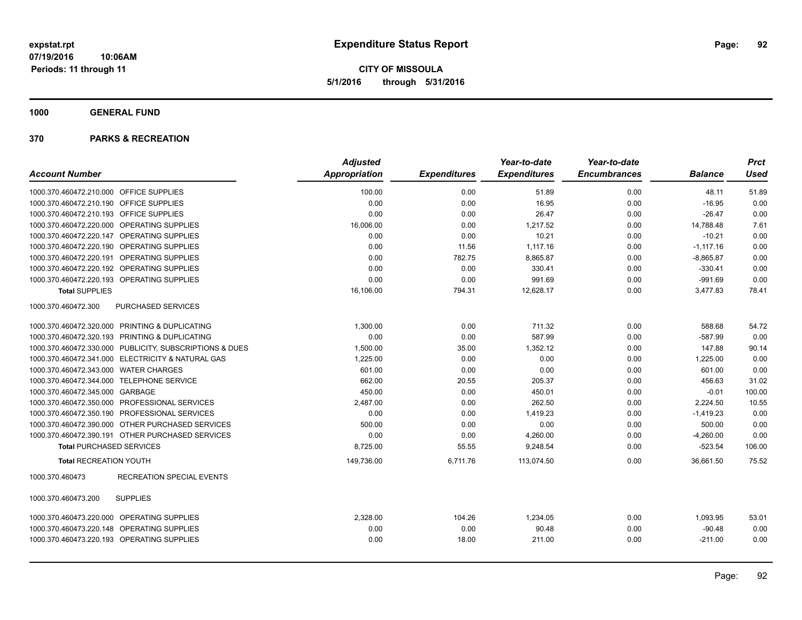**CITY OF MISSOULA 5/1/2016 through 5/31/2016**

**1000 GENERAL FUND**

|                                           |                                                         | <b>Adjusted</b> |                     | Year-to-date        | Year-to-date        |                | <b>Prct</b> |
|-------------------------------------------|---------------------------------------------------------|-----------------|---------------------|---------------------|---------------------|----------------|-------------|
| <b>Account Number</b>                     |                                                         | Appropriation   | <b>Expenditures</b> | <b>Expenditures</b> | <b>Encumbrances</b> | <b>Balance</b> | <b>Used</b> |
| 1000.370.460472.210.000 OFFICE SUPPLIES   |                                                         | 100.00          | 0.00                | 51.89               | 0.00                | 48.11          | 51.89       |
| 1000.370.460472.210.190 OFFICE SUPPLIES   |                                                         | 0.00            | 0.00                | 16.95               | 0.00                | $-16.95$       | 0.00        |
| 1000.370.460472.210.193 OFFICE SUPPLIES   |                                                         | 0.00            | 0.00                | 26.47               | 0.00                | $-26.47$       | 0.00        |
|                                           | 1000.370.460472.220.000 OPERATING SUPPLIES              | 16,006.00       | 0.00                | 1,217.52            | 0.00                | 14,788.48      | 7.61        |
|                                           | 1000.370.460472.220.147 OPERATING SUPPLIES              | 0.00            | 0.00                | 10.21               | 0.00                | $-10.21$       | 0.00        |
|                                           | 1000.370.460472.220.190 OPERATING SUPPLIES              | 0.00            | 11.56               | 1,117.16            | 0.00                | $-1,117.16$    | 0.00        |
|                                           | 1000.370.460472.220.191 OPERATING SUPPLIES              | 0.00            | 782.75              | 8,865.87            | 0.00                | $-8,865.87$    | 0.00        |
|                                           | 1000.370.460472.220.192 OPERATING SUPPLIES              | 0.00            | 0.00                | 330.41              | 0.00                | $-330.41$      | 0.00        |
|                                           | 1000.370.460472.220.193 OPERATING SUPPLIES              | 0.00            | 0.00                | 991.69              | 0.00                | $-991.69$      | 0.00        |
| <b>Total SUPPLIES</b>                     |                                                         | 16,106.00       | 794.31              | 12,628.17           | 0.00                | 3,477.83       | 78.41       |
| 1000.370.460472.300                       | <b>PURCHASED SERVICES</b>                               |                 |                     |                     |                     |                |             |
|                                           | 1000.370.460472.320.000 PRINTING & DUPLICATING          | 1,300.00        | 0.00                | 711.32              | 0.00                | 588.68         | 54.72       |
|                                           | 1000.370.460472.320.193 PRINTING & DUPLICATING          | 0.00            | 0.00                | 587.99              | 0.00                | $-587.99$      | 0.00        |
|                                           | 1000.370.460472.330.000 PUBLICITY, SUBSCRIPTIONS & DUES | 1,500.00        | 35.00               | 1,352.12            | 0.00                | 147.88         | 90.14       |
|                                           | 1000.370.460472.341.000 ELECTRICITY & NATURAL GAS       | 1,225.00        | 0.00                | 0.00                | 0.00                | 1,225.00       | 0.00        |
| 1000.370.460472.343.000 WATER CHARGES     |                                                         | 601.00          | 0.00                | 0.00                | 0.00                | 601.00         | 0.00        |
| 1000.370.460472.344.000 TELEPHONE SERVICE |                                                         | 662.00          | 20.55               | 205.37              | 0.00                | 456.63         | 31.02       |
| 1000.370.460472.345.000 GARBAGE           |                                                         | 450.00          | 0.00                | 450.01              | 0.00                | $-0.01$        | 100.00      |
|                                           | 1000.370.460472.350.000 PROFESSIONAL SERVICES           | 2,487.00        | 0.00                | 262.50              | 0.00                | 2,224.50       | 10.55       |
|                                           | 1000.370.460472.350.190 PROFESSIONAL SERVICES           | 0.00            | 0.00                | 1,419.23            | 0.00                | $-1,419.23$    | 0.00        |
|                                           | 1000.370.460472.390.000 OTHER PURCHASED SERVICES        | 500.00          | 0.00                | 0.00                | 0.00                | 500.00         | 0.00        |
|                                           | 1000.370.460472.390.191 OTHER PURCHASED SERVICES        | 0.00            | 0.00                | 4,260.00            | 0.00                | $-4,260.00$    | 0.00        |
| <b>Total PURCHASED SERVICES</b>           |                                                         | 8,725.00        | 55.55               | 9,248.54            | 0.00                | $-523.54$      | 106.00      |
| <b>Total RECREATION YOUTH</b>             |                                                         | 149,736.00      | 6,711.76            | 113,074.50          | 0.00                | 36,661.50      | 75.52       |
| 1000.370.460473                           | <b>RECREATION SPECIAL EVENTS</b>                        |                 |                     |                     |                     |                |             |
| 1000.370.460473.200                       | <b>SUPPLIES</b>                                         |                 |                     |                     |                     |                |             |
|                                           | 1000.370.460473.220.000 OPERATING SUPPLIES              | 2,328.00        | 104.26              | 1,234.05            | 0.00                | 1,093.95       | 53.01       |
|                                           | 1000.370.460473.220.148 OPERATING SUPPLIES              | 0.00            | 0.00                | 90.48               | 0.00                | $-90.48$       | 0.00        |
|                                           | 1000.370.460473.220.193 OPERATING SUPPLIES              | 0.00            | 18.00               | 211.00              | 0.00                | $-211.00$      | 0.00        |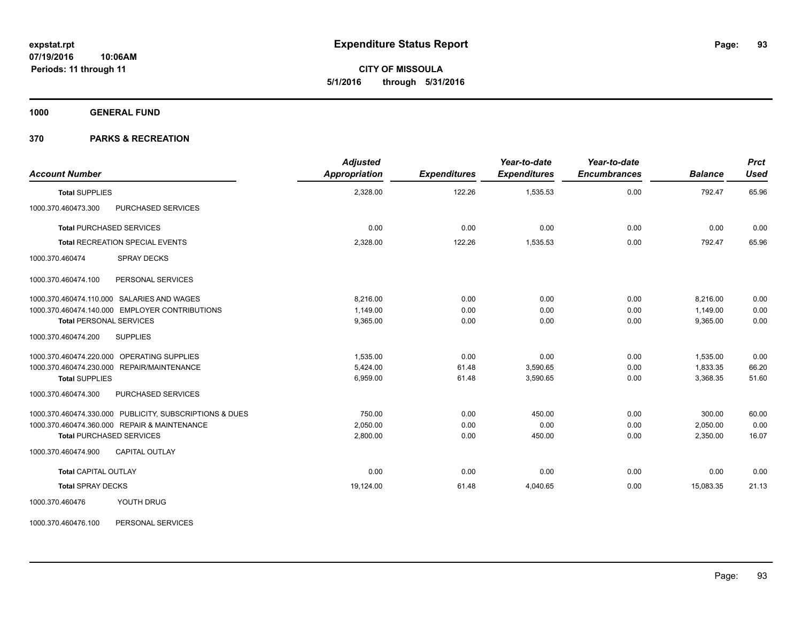**CITY OF MISSOULA 5/1/2016 through 5/31/2016**

**1000 GENERAL FUND**

## **370 PARKS & RECREATION**

| <b>Account Number</b>          |                                                         | <b>Adjusted</b><br><b>Appropriation</b> | <b>Expenditures</b> | Year-to-date<br><b>Expenditures</b> | Year-to-date<br><b>Encumbrances</b> | <b>Balance</b> | <b>Prct</b><br><b>Used</b> |
|--------------------------------|---------------------------------------------------------|-----------------------------------------|---------------------|-------------------------------------|-------------------------------------|----------------|----------------------------|
| <b>Total SUPPLIES</b>          |                                                         | 2,328.00                                | 122.26              | 1,535.53                            | 0.00                                | 792.47         | 65.96                      |
| 1000.370.460473.300            | PURCHASED SERVICES                                      |                                         |                     |                                     |                                     |                |                            |
|                                | <b>Total PURCHASED SERVICES</b>                         | 0.00                                    | 0.00                | 0.00                                | 0.00                                | 0.00           | 0.00                       |
|                                | <b>Total RECREATION SPECIAL EVENTS</b>                  | 2,328.00                                | 122.26              | 1,535.53                            | 0.00                                | 792.47         | 65.96                      |
| 1000.370.460474                | <b>SPRAY DECKS</b>                                      |                                         |                     |                                     |                                     |                |                            |
| 1000.370.460474.100            | PERSONAL SERVICES                                       |                                         |                     |                                     |                                     |                |                            |
|                                | 1000.370.460474.110.000 SALARIES AND WAGES              | 8.216.00                                | 0.00                | 0.00                                | 0.00                                | 8,216.00       | 0.00                       |
|                                | 1000.370.460474.140.000 EMPLOYER CONTRIBUTIONS          | 1.149.00                                | 0.00                | 0.00                                | 0.00                                | 1,149.00       | 0.00                       |
| <b>Total PERSONAL SERVICES</b> |                                                         | 9,365.00                                | 0.00                | 0.00                                | 0.00                                | 9,365.00       | 0.00                       |
| 1000.370.460474.200            | <b>SUPPLIES</b>                                         |                                         |                     |                                     |                                     |                |                            |
|                                | 1000.370.460474.220.000 OPERATING SUPPLIES              | 1.535.00                                | 0.00                | 0.00                                | 0.00                                | 1,535.00       | 0.00                       |
|                                | 1000.370.460474.230.000 REPAIR/MAINTENANCE              | 5,424.00                                | 61.48               | 3,590.65                            | 0.00                                | 1,833.35       | 66.20                      |
| <b>Total SUPPLIES</b>          |                                                         | 6,959.00                                | 61.48               | 3,590.65                            | 0.00                                | 3,368.35       | 51.60                      |
| 1000.370.460474.300            | PURCHASED SERVICES                                      |                                         |                     |                                     |                                     |                |                            |
|                                | 1000.370.460474.330.000 PUBLICITY, SUBSCRIPTIONS & DUES | 750.00                                  | 0.00                | 450.00                              | 0.00                                | 300.00         | 60.00                      |
|                                | 1000.370.460474.360.000 REPAIR & MAINTENANCE            | 2,050.00                                | 0.00                | 0.00                                | 0.00                                | 2,050.00       | 0.00                       |
|                                | <b>Total PURCHASED SERVICES</b>                         | 2,800.00                                | 0.00                | 450.00                              | 0.00                                | 2,350.00       | 16.07                      |
| 1000.370.460474.900            | <b>CAPITAL OUTLAY</b>                                   |                                         |                     |                                     |                                     |                |                            |
| <b>Total CAPITAL OUTLAY</b>    |                                                         | 0.00                                    | 0.00                | 0.00                                | 0.00                                | 0.00           | 0.00                       |
| <b>Total SPRAY DECKS</b>       |                                                         | 19,124.00                               | 61.48               | 4,040.65                            | 0.00                                | 15,083.35      | 21.13                      |
| 1000.370.460476                | YOUTH DRUG                                              |                                         |                     |                                     |                                     |                |                            |

1000.370.460476.100 PERSONAL SERVICES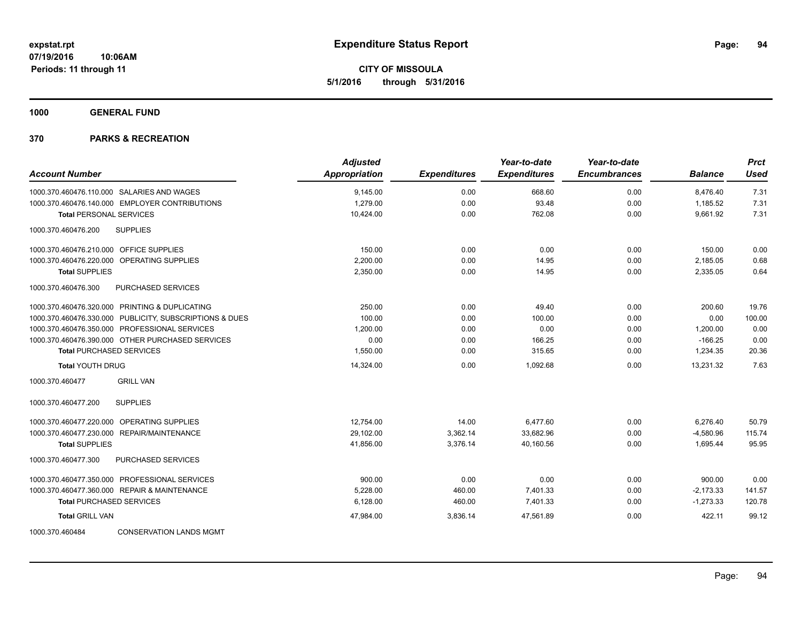**CITY OF MISSOULA 5/1/2016 through 5/31/2016**

**1000 GENERAL FUND**

| <b>Account Number</b>                                   | <b>Adjusted</b><br><b>Appropriation</b> | <b>Expenditures</b> | Year-to-date<br><b>Expenditures</b> | Year-to-date<br><b>Encumbrances</b> | <b>Balance</b> | <b>Prct</b><br><b>Used</b> |
|---------------------------------------------------------|-----------------------------------------|---------------------|-------------------------------------|-------------------------------------|----------------|----------------------------|
| 1000.370.460476.110.000 SALARIES AND WAGES              | 9,145.00                                | 0.00                | 668.60                              | 0.00                                | 8,476.40       | 7.31                       |
| 1000.370.460476.140.000 EMPLOYER CONTRIBUTIONS          | 1,279.00                                | 0.00                | 93.48                               | 0.00                                | 1,185.52       | 7.31                       |
| <b>Total PERSONAL SERVICES</b>                          | 10,424.00                               | 0.00                | 762.08                              | 0.00                                | 9,661.92       | 7.31                       |
| 1000.370.460476.200<br><b>SUPPLIES</b>                  |                                         |                     |                                     |                                     |                |                            |
| 1000.370.460476.210.000 OFFICE SUPPLIES                 | 150.00                                  | 0.00                | 0.00                                | 0.00                                | 150.00         | 0.00                       |
| 1000.370.460476.220.000 OPERATING SUPPLIES              | 2,200.00                                | 0.00                | 14.95                               | 0.00                                | 2,185.05       | 0.68                       |
| <b>Total SUPPLIES</b>                                   | 2,350.00                                | 0.00                | 14.95                               | 0.00                                | 2,335.05       | 0.64                       |
| 1000.370.460476.300<br><b>PURCHASED SERVICES</b>        |                                         |                     |                                     |                                     |                |                            |
| 1000.370.460476.320.000 PRINTING & DUPLICATING          | 250.00                                  | 0.00                | 49.40                               | 0.00                                | 200.60         | 19.76                      |
| 1000.370.460476.330.000 PUBLICITY, SUBSCRIPTIONS & DUES | 100.00                                  | 0.00                | 100.00                              | 0.00                                | 0.00           | 100.00                     |
| 1000.370.460476.350.000 PROFESSIONAL SERVICES           | 1,200.00                                | 0.00                | 0.00                                | 0.00                                | 1,200.00       | 0.00                       |
| 1000.370.460476.390.000 OTHER PURCHASED SERVICES        | 0.00                                    | 0.00                | 166.25                              | 0.00                                | $-166.25$      | 0.00                       |
| <b>Total PURCHASED SERVICES</b>                         | 1,550.00                                | 0.00                | 315.65                              | 0.00                                | 1,234.35       | 20.36                      |
| <b>Total YOUTH DRUG</b>                                 | 14,324.00                               | 0.00                | 1,092.68                            | 0.00                                | 13,231.32      | 7.63                       |
| 1000.370.460477<br><b>GRILL VAN</b>                     |                                         |                     |                                     |                                     |                |                            |
| 1000.370.460477.200<br><b>SUPPLIES</b>                  |                                         |                     |                                     |                                     |                |                            |
| 1000.370.460477.220.000 OPERATING SUPPLIES              | 12,754.00                               | 14.00               | 6,477.60                            | 0.00                                | 6,276.40       | 50.79                      |
| 1000.370.460477.230.000 REPAIR/MAINTENANCE              | 29,102.00                               | 3,362.14            | 33,682.96                           | 0.00                                | $-4,580.96$    | 115.74                     |
| <b>Total SUPPLIES</b>                                   | 41,856.00                               | 3,376.14            | 40,160.56                           | 0.00                                | 1,695.44       | 95.95                      |
| <b>PURCHASED SERVICES</b><br>1000.370.460477.300        |                                         |                     |                                     |                                     |                |                            |
| 1000.370.460477.350.000 PROFESSIONAL SERVICES           | 900.00                                  | 0.00                | 0.00                                | 0.00                                | 900.00         | 0.00                       |
| 1000.370.460477.360.000 REPAIR & MAINTENANCE            | 5,228.00                                | 460.00              | 7,401.33                            | 0.00                                | $-2,173.33$    | 141.57                     |
| <b>Total PURCHASED SERVICES</b>                         | 6,128.00                                | 460.00              | 7,401.33                            | 0.00                                | $-1,273.33$    | 120.78                     |
| <b>Total GRILL VAN</b>                                  | 47,984.00                               | 3,836.14            | 47,561.89                           | 0.00                                | 422.11         | 99.12                      |
| <b>CONSERVATION LANDS MGMT</b><br>1000.370.460484       |                                         |                     |                                     |                                     |                |                            |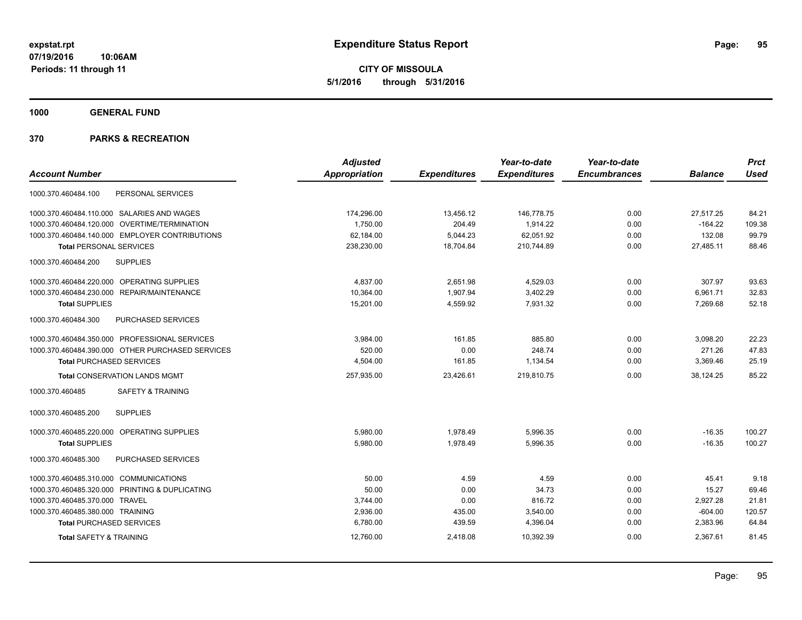**CITY OF MISSOULA 5/1/2016 through 5/31/2016**

**1000 GENERAL FUND**

|                                                  | <b>Adjusted</b> |                     | Year-to-date        | Year-to-date        |                | <b>Prct</b> |
|--------------------------------------------------|-----------------|---------------------|---------------------|---------------------|----------------|-------------|
| <b>Account Number</b>                            | Appropriation   | <b>Expenditures</b> | <b>Expenditures</b> | <b>Encumbrances</b> | <b>Balance</b> | <b>Used</b> |
| PERSONAL SERVICES<br>1000.370.460484.100         |                 |                     |                     |                     |                |             |
| 1000.370.460484.110.000 SALARIES AND WAGES       | 174,296.00      | 13,456.12           | 146,778.75          | 0.00                | 27,517.25      | 84.21       |
| 1000.370.460484.120.000 OVERTIME/TERMINATION     | 1,750.00        | 204.49              | 1,914.22            | 0.00                | $-164.22$      | 109.38      |
| 1000.370.460484.140.000 EMPLOYER CONTRIBUTIONS   | 62,184.00       | 5,044.23            | 62,051.92           | 0.00                | 132.08         | 99.79       |
| <b>Total PERSONAL SERVICES</b>                   | 238,230.00      | 18,704.84           | 210,744.89          | 0.00                | 27,485.11      | 88.46       |
| <b>SUPPLIES</b><br>1000.370.460484.200           |                 |                     |                     |                     |                |             |
| 1000.370.460484.220.000 OPERATING SUPPLIES       | 4,837.00        | 2,651.98            | 4,529.03            | 0.00                | 307.97         | 93.63       |
| 1000.370.460484.230.000 REPAIR/MAINTENANCE       | 10,364.00       | 1,907.94            | 3,402.29            | 0.00                | 6,961.71       | 32.83       |
| <b>Total SUPPLIES</b>                            | 15,201.00       | 4,559.92            | 7,931.32            | 0.00                | 7,269.68       | 52.18       |
| 1000.370.460484.300<br>PURCHASED SERVICES        |                 |                     |                     |                     |                |             |
| 1000.370.460484.350.000 PROFESSIONAL SERVICES    | 3,984.00        | 161.85              | 885.80              | 0.00                | 3,098.20       | 22.23       |
| 1000.370.460484.390.000 OTHER PURCHASED SERVICES | 520.00          | 0.00                | 248.74              | 0.00                | 271.26         | 47.83       |
| <b>Total PURCHASED SERVICES</b>                  | 4,504.00        | 161.85              | 1,134.54            | 0.00                | 3,369.46       | 25.19       |
| <b>Total CONSERVATION LANDS MGMT</b>             | 257,935.00      | 23,426.61           | 219.810.75          | 0.00                | 38.124.25      | 85.22       |
| 1000.370.460485<br><b>SAFETY &amp; TRAINING</b>  |                 |                     |                     |                     |                |             |
| <b>SUPPLIES</b><br>1000.370.460485.200           |                 |                     |                     |                     |                |             |
| 1000.370.460485.220.000 OPERATING SUPPLIES       | 5,980.00        | 1,978.49            | 5,996.35            | 0.00                | $-16.35$       | 100.27      |
| <b>Total SUPPLIES</b>                            | 5,980.00        | 1,978.49            | 5,996.35            | 0.00                | $-16.35$       | 100.27      |
| PURCHASED SERVICES<br>1000.370.460485.300        |                 |                     |                     |                     |                |             |
| 1000.370.460485.310.000 COMMUNICATIONS           | 50.00           | 4.59                | 4.59                | 0.00                | 45.41          | 9.18        |
| 1000.370.460485.320.000 PRINTING & DUPLICATING   | 50.00           | 0.00                | 34.73               | 0.00                | 15.27          | 69.46       |
| 1000.370.460485.370.000 TRAVEL                   | 3,744.00        | 0.00                | 816.72              | 0.00                | 2,927.28       | 21.81       |
| 1000.370.460485.380.000 TRAINING                 | 2,936.00        | 435.00              | 3,540.00            | 0.00                | $-604.00$      | 120.57      |
| <b>Total PURCHASED SERVICES</b>                  | 6,780.00        | 439.59              | 4,396.04            | 0.00                | 2,383.96       | 64.84       |
| <b>Total SAFETY &amp; TRAINING</b>               | 12,760.00       | 2,418.08            | 10,392.39           | 0.00                | 2,367.61       | 81.45       |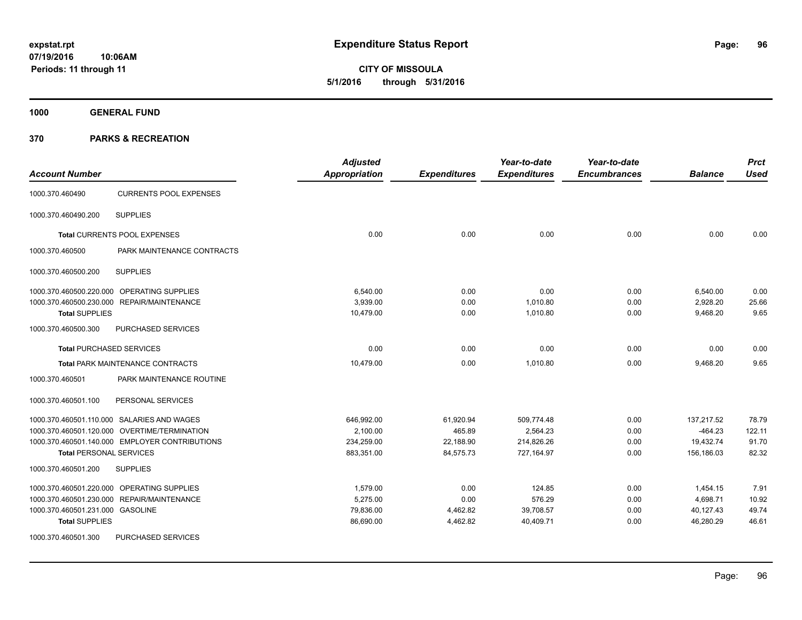**1000 GENERAL FUND**

| <b>Account Number</b>                            | <b>Adjusted</b><br>Appropriation | <b>Expenditures</b> | Year-to-date<br><b>Expenditures</b> | Year-to-date<br><b>Encumbrances</b> | <b>Balance</b> | <b>Prct</b><br><b>Used</b> |
|--------------------------------------------------|----------------------------------|---------------------|-------------------------------------|-------------------------------------|----------------|----------------------------|
| <b>CURRENTS POOL EXPENSES</b><br>1000.370.460490 |                                  |                     |                                     |                                     |                |                            |
| 1000.370.460490.200<br><b>SUPPLIES</b>           |                                  |                     |                                     |                                     |                |                            |
| Total CURRENTS POOL EXPENSES                     | 0.00                             | 0.00                | 0.00                                | 0.00                                | 0.00           | 0.00                       |
| PARK MAINTENANCE CONTRACTS<br>1000.370.460500    |                                  |                     |                                     |                                     |                |                            |
| <b>SUPPLIES</b><br>1000.370.460500.200           |                                  |                     |                                     |                                     |                |                            |
| 1000.370.460500.220.000 OPERATING SUPPLIES       | 6,540.00                         | 0.00                | 0.00                                | 0.00                                | 6,540.00       | 0.00                       |
| 1000.370.460500.230.000 REPAIR/MAINTENANCE       | 3,939.00                         | 0.00                | 1,010.80                            | 0.00                                | 2,928.20       | 25.66                      |
| <b>Total SUPPLIES</b>                            | 10,479.00                        | 0.00                | 1,010.80                            | 0.00                                | 9,468.20       | 9.65                       |
| 1000.370.460500.300<br>PURCHASED SERVICES        |                                  |                     |                                     |                                     |                |                            |
| <b>Total PURCHASED SERVICES</b>                  | 0.00                             | 0.00                | 0.00                                | 0.00                                | 0.00           | 0.00                       |
| <b>Total PARK MAINTENANCE CONTRACTS</b>          | 10,479.00                        | 0.00                | 1,010.80                            | 0.00                                | 9,468.20       | 9.65                       |
| 1000.370.460501<br>PARK MAINTENANCE ROUTINE      |                                  |                     |                                     |                                     |                |                            |
| 1000.370.460501.100<br>PERSONAL SERVICES         |                                  |                     |                                     |                                     |                |                            |
| 1000.370.460501.110.000 SALARIES AND WAGES       | 646,992.00                       | 61,920.94           | 509,774.48                          | 0.00                                | 137,217.52     | 78.79                      |
| 1000.370.460501.120.000 OVERTIME/TERMINATION     | 2.100.00                         | 465.89              | 2,564.23                            | 0.00                                | $-464.23$      | 122.11                     |
| 1000.370.460501.140.000 EMPLOYER CONTRIBUTIONS   | 234,259.00                       | 22,188.90           | 214,826.26                          | 0.00                                | 19,432.74      | 91.70                      |
| <b>Total PERSONAL SERVICES</b>                   | 883,351.00                       | 84,575.73           | 727,164.97                          | 0.00                                | 156,186.03     | 82.32                      |
| 1000.370.460501.200<br><b>SUPPLIES</b>           |                                  |                     |                                     |                                     |                |                            |
| 1000.370.460501.220.000 OPERATING SUPPLIES       | 1,579.00                         | 0.00                | 124.85                              | 0.00                                | 1,454.15       | 7.91                       |
| 1000.370.460501.230.000 REPAIR/MAINTENANCE       | 5,275.00                         | 0.00                | 576.29                              | 0.00                                | 4,698.71       | 10.92                      |
| 1000.370.460501.231.000 GASOLINE                 | 79,836.00                        | 4,462.82            | 39,708.57                           | 0.00                                | 40,127.43      | 49.74                      |
| <b>Total SUPPLIES</b>                            | 86,690.00                        | 4,462.82            | 40,409.71                           | 0.00                                | 46,280.29      | 46.61                      |
| 1000.370.460501.300<br>PURCHASED SERVICES        |                                  |                     |                                     |                                     |                |                            |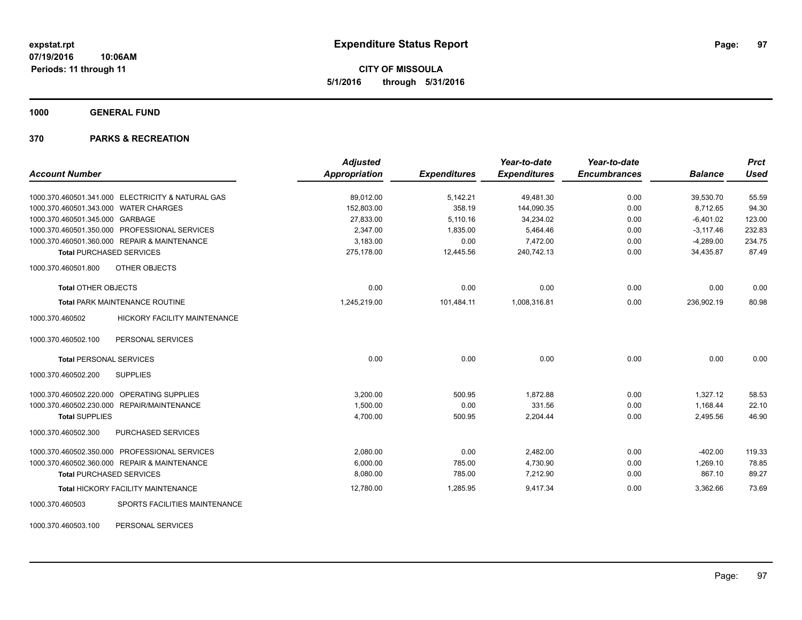**CITY OF MISSOULA 5/1/2016 through 5/31/2016**

**1000 GENERAL FUND**

# **370 PARKS & RECREATION**

|                                                        | <b>Adjusted</b>      |                     | Year-to-date        | Year-to-date        |                | <b>Prct</b> |
|--------------------------------------------------------|----------------------|---------------------|---------------------|---------------------|----------------|-------------|
| <b>Account Number</b>                                  | <b>Appropriation</b> | <b>Expenditures</b> | <b>Expenditures</b> | <b>Encumbrances</b> | <b>Balance</b> | <b>Used</b> |
| 1000.370.460501.341.000 ELECTRICITY & NATURAL GAS      | 89,012.00            | 5,142.21            | 49,481.30           | 0.00                | 39,530.70      | 55.59       |
| 1000.370.460501.343.000 WATER CHARGES                  | 152,803.00           | 358.19              | 144,090.35          | 0.00                | 8.712.65       | 94.30       |
| 1000.370.460501.345.000 GARBAGE                        | 27,833.00            | 5,110.16            | 34,234.02           | 0.00                | $-6,401.02$    | 123.00      |
| 1000.370.460501.350.000 PROFESSIONAL SERVICES          | 2,347.00             | 1,835.00            | 5,464.46            | 0.00                | $-3,117.46$    | 232.83      |
| 1000.370.460501.360.000 REPAIR & MAINTENANCE           | 3,183.00             | 0.00                | 7,472.00            | 0.00                | $-4,289.00$    | 234.75      |
| <b>Total PURCHASED SERVICES</b>                        | 275.178.00           | 12,445.56           | 240.742.13          | 0.00                | 34.435.87      | 87.49       |
| OTHER OBJECTS<br>1000.370.460501.800                   |                      |                     |                     |                     |                |             |
| <b>Total OTHER OBJECTS</b>                             | 0.00                 | 0.00                | 0.00                | 0.00                | 0.00           | 0.00        |
| <b>Total PARK MAINTENANCE ROUTINE</b>                  | 1,245,219.00         | 101,484.11          | 1,008,316.81        | 0.00                | 236,902.19     | 80.98       |
| 1000.370.460502<br><b>HICKORY FACILITY MAINTENANCE</b> |                      |                     |                     |                     |                |             |
| PERSONAL SERVICES<br>1000.370.460502.100               |                      |                     |                     |                     |                |             |
| <b>Total PERSONAL SERVICES</b>                         | 0.00                 | 0.00                | 0.00                | 0.00                | 0.00           | 0.00        |
| 1000.370.460502.200<br><b>SUPPLIES</b>                 |                      |                     |                     |                     |                |             |
| 1000.370.460502.220.000 OPERATING SUPPLIES             | 3,200.00             | 500.95              | 1,872.88            | 0.00                | 1,327.12       | 58.53       |
| 1000.370.460502.230.000 REPAIR/MAINTENANCE             | 1,500.00             | 0.00                | 331.56              | 0.00                | 1,168.44       | 22.10       |
| <b>Total SUPPLIES</b>                                  | 4,700.00             | 500.95              | 2,204.44            | 0.00                | 2,495.56       | 46.90       |
| PURCHASED SERVICES<br>1000.370.460502.300              |                      |                     |                     |                     |                |             |
| 1000.370.460502.350.000 PROFESSIONAL SERVICES          | 2,080.00             | 0.00                | 2,482.00            | 0.00                | $-402.00$      | 119.33      |
| 1000.370.460502.360.000 REPAIR & MAINTENANCE           | 6,000.00             | 785.00              | 4,730.90            | 0.00                | 1,269.10       | 78.85       |
| <b>Total PURCHASED SERVICES</b>                        | 8,080.00             | 785.00              | 7,212.90            | 0.00                | 867.10         | 89.27       |
| <b>Total HICKORY FACILITY MAINTENANCE</b>              | 12,780.00            | 1,285.95            | 9,417.34            | 0.00                | 3,362.66       | 73.69       |
| SPORTS FACILITIES MAINTENANCE<br>1000.370.460503       |                      |                     |                     |                     |                |             |
|                                                        |                      |                     |                     |                     |                |             |

1000.370.460503.100 PERSONAL SERVICES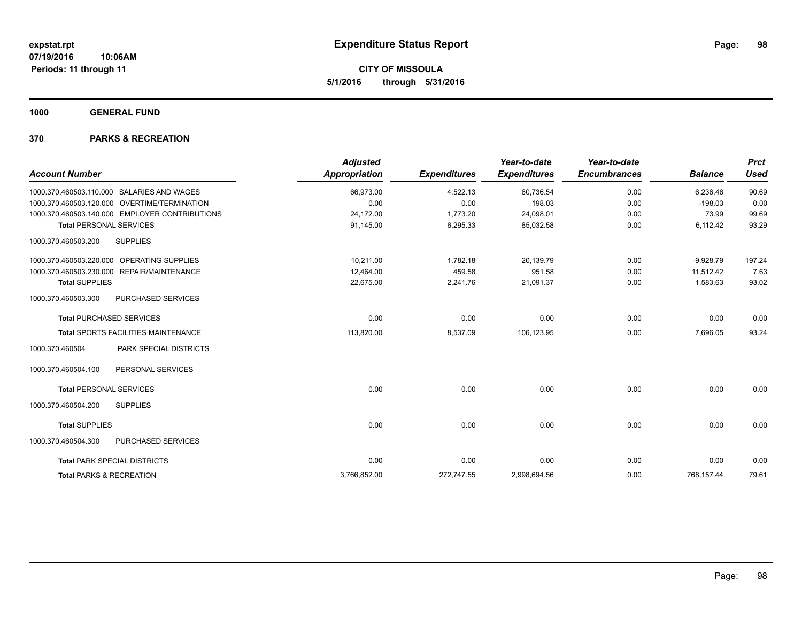**CITY OF MISSOULA 5/1/2016 through 5/31/2016**

**1000 GENERAL FUND**

| <b>Account Number</b>                                  | <b>Adjusted</b><br><b>Appropriation</b> | <b>Expenditures</b> | Year-to-date<br><b>Expenditures</b> | Year-to-date<br><b>Encumbrances</b> | <b>Balance</b> | <b>Prct</b><br><b>Used</b> |
|--------------------------------------------------------|-----------------------------------------|---------------------|-------------------------------------|-------------------------------------|----------------|----------------------------|
| 1000.370.460503.110.000 SALARIES AND WAGES             | 66,973.00                               | 4,522.13            | 60,736.54                           | 0.00                                | 6,236.46       | 90.69                      |
| <b>OVERTIME/TERMINATION</b><br>1000.370.460503.120.000 | 0.00                                    | 0.00                | 198.03                              | 0.00                                | $-198.03$      | 0.00                       |
| 1000.370.460503.140.000 EMPLOYER CONTRIBUTIONS         | 24,172.00                               | 1,773.20            | 24,098.01                           | 0.00                                | 73.99          | 99.69                      |
| <b>Total PERSONAL SERVICES</b>                         | 91,145.00                               | 6,295.33            | 85,032.58                           | 0.00                                | 6,112.42       | 93.29                      |
| 1000.370.460503.200<br><b>SUPPLIES</b>                 |                                         |                     |                                     |                                     |                |                            |
| 1000.370.460503.220.000 OPERATING SUPPLIES             | 10,211.00                               | 1,782.18            | 20,139.79                           | 0.00                                | $-9,928.79$    | 197.24                     |
| 1000.370.460503.230.000 REPAIR/MAINTENANCE             | 12.464.00                               | 459.58              | 951.58                              | 0.00                                | 11.512.42      | 7.63                       |
| <b>Total SUPPLIES</b>                                  | 22,675.00                               | 2,241.76            | 21,091.37                           | 0.00                                | 1,583.63       | 93.02                      |
| PURCHASED SERVICES<br>1000.370.460503.300              |                                         |                     |                                     |                                     |                |                            |
| <b>Total PURCHASED SERVICES</b>                        | 0.00                                    | 0.00                | 0.00                                | 0.00                                | 0.00           | 0.00                       |
| <b>Total SPORTS FACILITIES MAINTENANCE</b>             | 113,820.00                              | 8,537.09            | 106,123.95                          | 0.00                                | 7,696.05       | 93.24                      |
| PARK SPECIAL DISTRICTS<br>1000.370.460504              |                                         |                     |                                     |                                     |                |                            |
| 1000.370.460504.100<br>PERSONAL SERVICES               |                                         |                     |                                     |                                     |                |                            |
| <b>Total PERSONAL SERVICES</b>                         | 0.00                                    | 0.00                | 0.00                                | 0.00                                | 0.00           | 0.00                       |
| 1000.370.460504.200<br><b>SUPPLIES</b>                 |                                         |                     |                                     |                                     |                |                            |
| <b>Total SUPPLIES</b>                                  | 0.00                                    | 0.00                | 0.00                                | 0.00                                | 0.00           | 0.00                       |
| 1000.370.460504.300<br><b>PURCHASED SERVICES</b>       |                                         |                     |                                     |                                     |                |                            |
| <b>Total PARK SPECIAL DISTRICTS</b>                    | 0.00                                    | 0.00                | 0.00                                | 0.00                                | 0.00           | 0.00                       |
| <b>Total PARKS &amp; RECREATION</b>                    | 3,766,852.00                            | 272,747.55          | 2,998,694.56                        | 0.00                                | 768,157.44     | 79.61                      |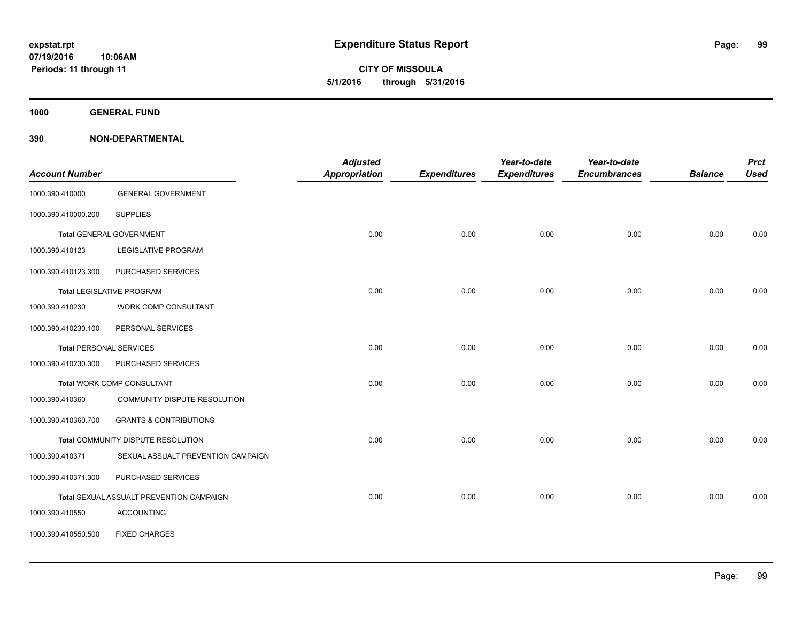**1000 GENERAL FUND**

| <b>Account Number</b> |                                          | <b>Adjusted</b><br><b>Appropriation</b> | <b>Expenditures</b> | Year-to-date<br><b>Expenditures</b> | Year-to-date<br><b>Encumbrances</b> | <b>Balance</b> | <b>Prct</b><br><b>Used</b> |
|-----------------------|------------------------------------------|-----------------------------------------|---------------------|-------------------------------------|-------------------------------------|----------------|----------------------------|
| 1000.390.410000       | <b>GENERAL GOVERNMENT</b>                |                                         |                     |                                     |                                     |                |                            |
| 1000.390.410000.200   | <b>SUPPLIES</b>                          |                                         |                     |                                     |                                     |                |                            |
|                       | <b>Total GENERAL GOVERNMENT</b>          | 0.00                                    | 0.00                | 0.00                                | 0.00                                | 0.00           | 0.00                       |
| 1000.390.410123       | <b>LEGISLATIVE PROGRAM</b>               |                                         |                     |                                     |                                     |                |                            |
| 1000.390.410123.300   | PURCHASED SERVICES                       |                                         |                     |                                     |                                     |                |                            |
|                       | <b>Total LEGISLATIVE PROGRAM</b>         | 0.00                                    | 0.00                | 0.00                                | 0.00                                | 0.00           | 0.00                       |
| 1000.390.410230       | WORK COMP CONSULTANT                     |                                         |                     |                                     |                                     |                |                            |
| 1000.390.410230.100   | PERSONAL SERVICES                        |                                         |                     |                                     |                                     |                |                            |
|                       | <b>Total PERSONAL SERVICES</b>           | 0.00                                    | 0.00                | 0.00                                | 0.00                                | 0.00           | 0.00                       |
| 1000.390.410230.300   | PURCHASED SERVICES                       |                                         |                     |                                     |                                     |                |                            |
|                       | Total WORK COMP CONSULTANT               | 0.00                                    | 0.00                | 0.00                                | 0.00                                | 0.00           | 0.00                       |
| 1000.390.410360       | COMMUNITY DISPUTE RESOLUTION             |                                         |                     |                                     |                                     |                |                            |
| 1000.390.410360.700   | <b>GRANTS &amp; CONTRIBUTIONS</b>        |                                         |                     |                                     |                                     |                |                            |
|                       | Total COMMUNITY DISPUTE RESOLUTION       | 0.00                                    | 0.00                | 0.00                                | 0.00                                | 0.00           | 0.00                       |
| 1000.390.410371       | SEXUAL ASSUALT PREVENTION CAMPAIGN       |                                         |                     |                                     |                                     |                |                            |
| 1000.390.410371.300   | PURCHASED SERVICES                       |                                         |                     |                                     |                                     |                |                            |
|                       | Total SEXUAL ASSUALT PREVENTION CAMPAIGN | 0.00                                    | 0.00                | 0.00                                | 0.00                                | 0.00           | 0.00                       |
| 1000.390.410550       | <b>ACCOUNTING</b>                        |                                         |                     |                                     |                                     |                |                            |
| 1000.390.410550.500   | <b>FIXED CHARGES</b>                     |                                         |                     |                                     |                                     |                |                            |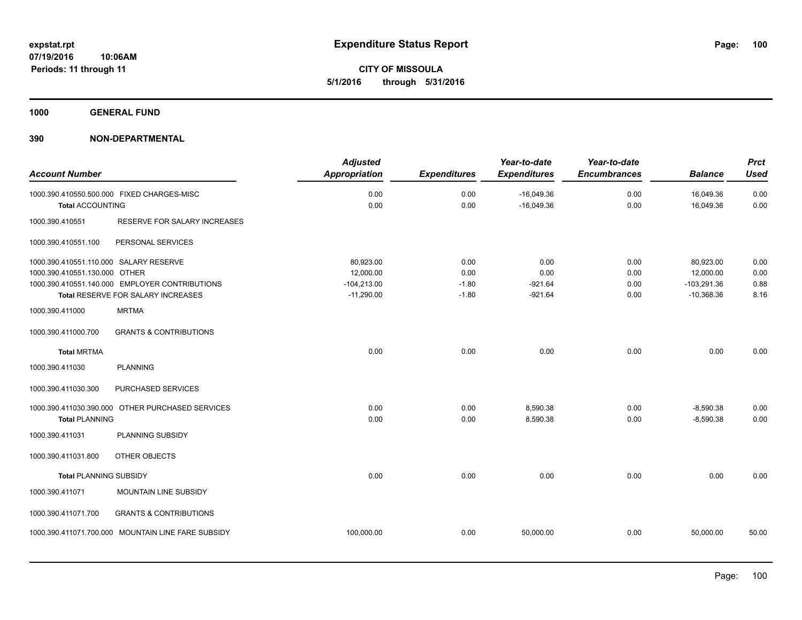**CITY OF MISSOULA 5/1/2016 through 5/31/2016**

**1000 GENERAL FUND**

| <b>Account Number</b>                                                   |                                                                                      | <b>Adjusted</b><br><b>Appropriation</b>                 | <b>Expenditures</b>                | Year-to-date<br><b>Expenditures</b>    | Year-to-date<br><b>Encumbrances</b> | <b>Balance</b>                                          | <b>Prct</b><br><b>Used</b>   |
|-------------------------------------------------------------------------|--------------------------------------------------------------------------------------|---------------------------------------------------------|------------------------------------|----------------------------------------|-------------------------------------|---------------------------------------------------------|------------------------------|
| <b>Total ACCOUNTING</b>                                                 | 1000.390.410550.500.000 FIXED CHARGES-MISC                                           | 0.00<br>0.00                                            | 0.00<br>0.00                       | $-16,049.36$<br>$-16,049.36$           | 0.00<br>0.00                        | 16,049.36<br>16,049.36                                  | 0.00<br>0.00                 |
| 1000.390.410551                                                         | RESERVE FOR SALARY INCREASES                                                         |                                                         |                                    |                                        |                                     |                                                         |                              |
| 1000.390.410551.100                                                     | PERSONAL SERVICES                                                                    |                                                         |                                    |                                        |                                     |                                                         |                              |
| 1000.390.410551.110.000 SALARY RESERVE<br>1000.390.410551.130.000 OTHER | 1000.390.410551.140.000 EMPLOYER CONTRIBUTIONS<br>Total RESERVE FOR SALARY INCREASES | 80,923.00<br>12,000.00<br>$-104,213.00$<br>$-11,290.00$ | 0.00<br>0.00<br>$-1.80$<br>$-1.80$ | 0.00<br>0.00<br>$-921.64$<br>$-921.64$ | 0.00<br>0.00<br>0.00<br>0.00        | 80,923.00<br>12,000.00<br>$-103,291.36$<br>$-10,368.36$ | 0.00<br>0.00<br>0.88<br>8.16 |
| 1000.390.411000                                                         | <b>MRTMA</b>                                                                         |                                                         |                                    |                                        |                                     |                                                         |                              |
| 1000.390.411000.700                                                     | <b>GRANTS &amp; CONTRIBUTIONS</b>                                                    |                                                         |                                    |                                        |                                     |                                                         |                              |
| <b>Total MRTMA</b>                                                      |                                                                                      | 0.00                                                    | 0.00                               | 0.00                                   | 0.00                                | 0.00                                                    | 0.00                         |
| 1000.390.411030                                                         | <b>PLANNING</b>                                                                      |                                                         |                                    |                                        |                                     |                                                         |                              |
| 1000.390.411030.300                                                     | PURCHASED SERVICES                                                                   |                                                         |                                    |                                        |                                     |                                                         |                              |
| <b>Total PLANNING</b>                                                   | 1000.390.411030.390.000 OTHER PURCHASED SERVICES                                     | 0.00<br>0.00                                            | 0.00<br>0.00                       | 8,590.38<br>8,590.38                   | 0.00<br>0.00                        | $-8,590.38$<br>$-8,590.38$                              | 0.00<br>0.00                 |
| 1000.390.411031                                                         | PLANNING SUBSIDY                                                                     |                                                         |                                    |                                        |                                     |                                                         |                              |
| 1000.390.411031.800                                                     | OTHER OBJECTS                                                                        |                                                         |                                    |                                        |                                     |                                                         |                              |
| <b>Total PLANNING SUBSIDY</b>                                           |                                                                                      | 0.00                                                    | 0.00                               | 0.00                                   | 0.00                                | 0.00                                                    | 0.00                         |
| 1000.390.411071                                                         | MOUNTAIN LINE SUBSIDY                                                                |                                                         |                                    |                                        |                                     |                                                         |                              |
| 1000.390.411071.700                                                     | <b>GRANTS &amp; CONTRIBUTIONS</b>                                                    |                                                         |                                    |                                        |                                     |                                                         |                              |
|                                                                         | 1000.390.411071.700.000 MOUNTAIN LINE FARE SUBSIDY                                   | 100,000.00                                              | 0.00                               | 50,000.00                              | 0.00                                | 50,000.00                                               | 50.00                        |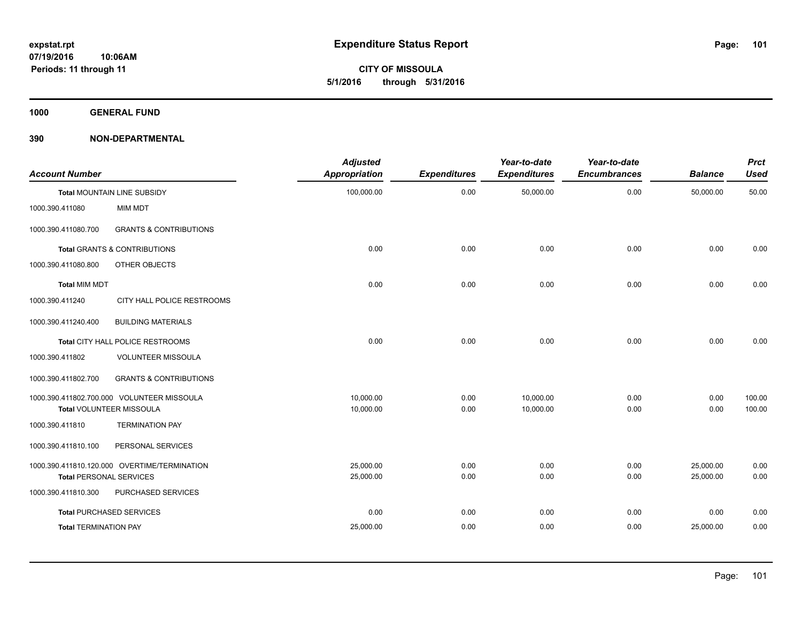**CITY OF MISSOULA 5/1/2016 through 5/31/2016**

**1000 GENERAL FUND**

| <b>Account Number</b>          |                                              | <b>Adjusted</b><br><b>Appropriation</b> | <b>Expenditures</b> | Year-to-date<br><b>Expenditures</b> | Year-to-date<br><b>Encumbrances</b> | <b>Balance</b> | <b>Prct</b><br><b>Used</b> |
|--------------------------------|----------------------------------------------|-----------------------------------------|---------------------|-------------------------------------|-------------------------------------|----------------|----------------------------|
|                                | <b>Total MOUNTAIN LINE SUBSIDY</b>           | 100,000.00                              | 0.00                | 50,000.00                           | 0.00                                | 50,000.00      | 50.00                      |
| 1000.390.411080                | <b>MIM MDT</b>                               |                                         |                     |                                     |                                     |                |                            |
| 1000.390.411080.700            | <b>GRANTS &amp; CONTRIBUTIONS</b>            |                                         |                     |                                     |                                     |                |                            |
|                                | <b>Total GRANTS &amp; CONTRIBUTIONS</b>      | 0.00                                    | 0.00                | 0.00                                | 0.00                                | 0.00           | 0.00                       |
| 1000.390.411080.800            | <b>OTHER OBJECTS</b>                         |                                         |                     |                                     |                                     |                |                            |
| <b>Total MIM MDT</b>           |                                              | 0.00                                    | 0.00                | 0.00                                | 0.00                                | 0.00           | 0.00                       |
| 1000.390.411240                | CITY HALL POLICE RESTROOMS                   |                                         |                     |                                     |                                     |                |                            |
| 1000.390.411240.400            | <b>BUILDING MATERIALS</b>                    |                                         |                     |                                     |                                     |                |                            |
|                                | Total CITY HALL POLICE RESTROOMS             | 0.00                                    | 0.00                | 0.00                                | 0.00                                | 0.00           | 0.00                       |
| 1000.390.411802                | <b>VOLUNTEER MISSOULA</b>                    |                                         |                     |                                     |                                     |                |                            |
| 1000.390.411802.700            | <b>GRANTS &amp; CONTRIBUTIONS</b>            |                                         |                     |                                     |                                     |                |                            |
|                                | 1000.390.411802.700.000 VOLUNTEER MISSOULA   | 10.000.00                               | 0.00                | 10,000.00                           | 0.00                                | 0.00           | 100.00                     |
|                                | Total VOLUNTEER MISSOULA                     | 10,000.00                               | 0.00                | 10,000.00                           | 0.00                                | 0.00           | 100.00                     |
| 1000.390.411810                | <b>TERMINATION PAY</b>                       |                                         |                     |                                     |                                     |                |                            |
| 1000.390.411810.100            | PERSONAL SERVICES                            |                                         |                     |                                     |                                     |                |                            |
|                                | 1000.390.411810.120.000 OVERTIME/TERMINATION | 25,000.00                               | 0.00                | 0.00                                | 0.00                                | 25,000.00      | 0.00                       |
| <b>Total PERSONAL SERVICES</b> |                                              | 25,000.00                               | 0.00                | 0.00                                | 0.00                                | 25,000.00      | 0.00                       |
| 1000.390.411810.300            | PURCHASED SERVICES                           |                                         |                     |                                     |                                     |                |                            |
|                                | <b>Total PURCHASED SERVICES</b>              | 0.00                                    | 0.00                | 0.00                                | 0.00                                | 0.00           | 0.00                       |
| <b>Total TERMINATION PAY</b>   |                                              | 25,000.00                               | 0.00                | 0.00                                | 0.00                                | 25,000.00      | 0.00                       |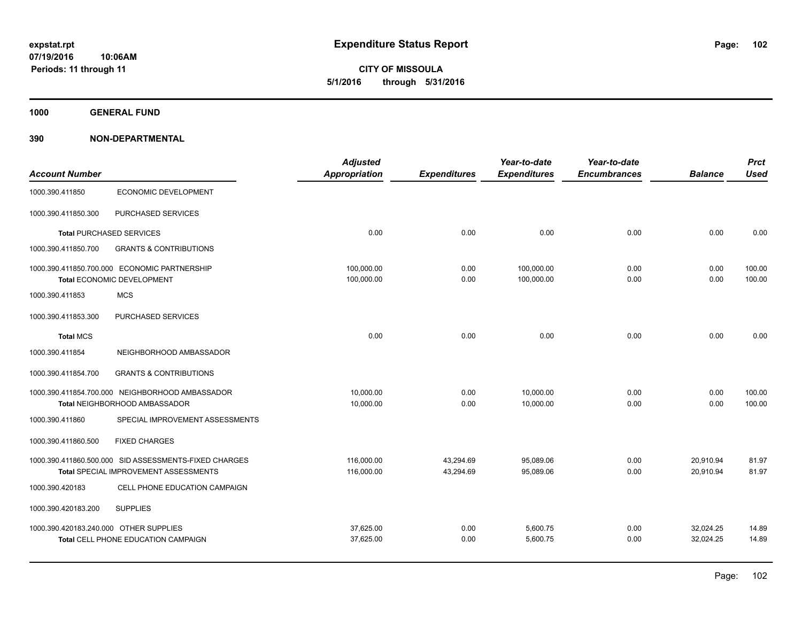**CITY OF MISSOULA 5/1/2016 through 5/31/2016**

**1000 GENERAL FUND**

|                                        |                                                                                   | <b>Adjusted</b>          |                     | Year-to-date             | Year-to-date        |                | <b>Prct</b>      |
|----------------------------------------|-----------------------------------------------------------------------------------|--------------------------|---------------------|--------------------------|---------------------|----------------|------------------|
| <b>Account Number</b>                  |                                                                                   | <b>Appropriation</b>     | <b>Expenditures</b> | <b>Expenditures</b>      | <b>Encumbrances</b> | <b>Balance</b> | <b>Used</b>      |
| 1000.390.411850                        | ECONOMIC DEVELOPMENT                                                              |                          |                     |                          |                     |                |                  |
| 1000.390.411850.300                    | PURCHASED SERVICES                                                                |                          |                     |                          |                     |                |                  |
|                                        | <b>Total PURCHASED SERVICES</b>                                                   | 0.00                     | 0.00                | 0.00                     | 0.00                | 0.00           | 0.00             |
| 1000.390.411850.700                    | <b>GRANTS &amp; CONTRIBUTIONS</b>                                                 |                          |                     |                          |                     |                |                  |
|                                        | 1000.390.411850.700.000 ECONOMIC PARTNERSHIP<br><b>Total ECONOMIC DEVELOPMENT</b> | 100,000.00<br>100,000.00 | 0.00<br>0.00        | 100,000.00<br>100,000.00 | 0.00<br>0.00        | 0.00<br>0.00   | 100.00<br>100.00 |
| 1000.390.411853                        | <b>MCS</b>                                                                        |                          |                     |                          |                     |                |                  |
| 1000.390.411853.300                    | PURCHASED SERVICES                                                                |                          |                     |                          |                     |                |                  |
| <b>Total MCS</b>                       |                                                                                   | 0.00                     | 0.00                | 0.00                     | 0.00                | 0.00           | 0.00             |
| 1000.390.411854                        | NEIGHBORHOOD AMBASSADOR                                                           |                          |                     |                          |                     |                |                  |
| 1000.390.411854.700                    | <b>GRANTS &amp; CONTRIBUTIONS</b>                                                 |                          |                     |                          |                     |                |                  |
|                                        | 1000.390.411854.700.000 NEIGHBORHOOD AMBASSADOR                                   | 10.000.00                | 0.00                | 10.000.00                | 0.00                | 0.00           | 100.00           |
|                                        | Total NEIGHBORHOOD AMBASSADOR                                                     | 10,000.00                | 0.00                | 10,000.00                | 0.00                | 0.00           | 100.00           |
| 1000.390.411860                        | SPECIAL IMPROVEMENT ASSESSMENTS                                                   |                          |                     |                          |                     |                |                  |
| 1000.390.411860.500                    | <b>FIXED CHARGES</b>                                                              |                          |                     |                          |                     |                |                  |
|                                        | 1000.390.411860.500.000 SID ASSESSMENTS-FIXED CHARGES                             | 116,000.00               | 43,294.69           | 95,089.06                | 0.00                | 20,910.94      | 81.97            |
|                                        | <b>Total SPECIAL IMPROVEMENT ASSESSMENTS</b>                                      | 116,000.00               | 43,294.69           | 95,089.06                | 0.00                | 20,910.94      | 81.97            |
| 1000.390.420183                        | CELL PHONE EDUCATION CAMPAIGN                                                     |                          |                     |                          |                     |                |                  |
| 1000.390.420183.200                    | <b>SUPPLIES</b>                                                                   |                          |                     |                          |                     |                |                  |
| 1000.390.420183.240.000 OTHER SUPPLIES |                                                                                   | 37.625.00                | 0.00                | 5,600.75                 | 0.00                | 32,024.25      | 14.89            |
|                                        | Total CELL PHONE EDUCATION CAMPAIGN                                               | 37,625.00                | 0.00                | 5,600.75                 | 0.00                | 32,024.25      | 14.89            |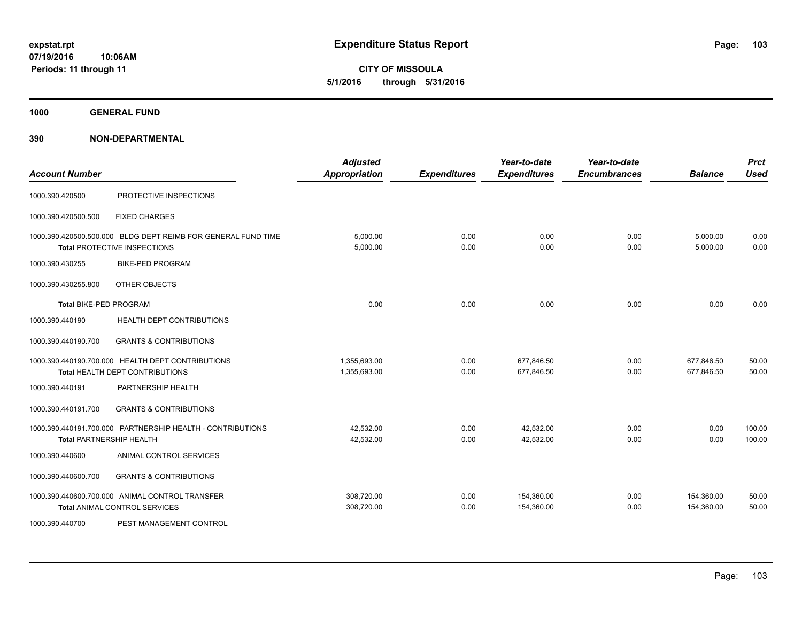**1000 GENERAL FUND**

| <b>Account Number</b>         |                                                                                               | <b>Adjusted</b><br><b>Appropriation</b> | <b>Expenditures</b> | Year-to-date<br><b>Expenditures</b> | Year-to-date<br><b>Encumbrances</b> | <b>Balance</b>           | <b>Prct</b><br><b>Used</b> |
|-------------------------------|-----------------------------------------------------------------------------------------------|-----------------------------------------|---------------------|-------------------------------------|-------------------------------------|--------------------------|----------------------------|
| 1000.390.420500               | PROTECTIVE INSPECTIONS                                                                        |                                         |                     |                                     |                                     |                          |                            |
| 1000.390.420500.500           | <b>FIXED CHARGES</b>                                                                          |                                         |                     |                                     |                                     |                          |                            |
|                               | 1000.390.420500.500.000 BLDG DEPT REIMB FOR GENERAL FUND TIME<br>Total PROTECTIVE INSPECTIONS | 5,000.00<br>5,000.00                    | 0.00<br>0.00        | 0.00<br>0.00                        | 0.00<br>0.00                        | 5,000.00<br>5,000.00     | 0.00<br>0.00               |
| 1000.390.430255               | <b>BIKE-PED PROGRAM</b>                                                                       |                                         |                     |                                     |                                     |                          |                            |
| 1000.390.430255.800           | OTHER OBJECTS                                                                                 |                                         |                     |                                     |                                     |                          |                            |
| <b>Total BIKE-PED PROGRAM</b> |                                                                                               | 0.00                                    | 0.00                | 0.00                                | 0.00                                | 0.00                     | 0.00                       |
| 1000.390.440190               | <b>HEALTH DEPT CONTRIBUTIONS</b>                                                              |                                         |                     |                                     |                                     |                          |                            |
| 1000.390.440190.700           | <b>GRANTS &amp; CONTRIBUTIONS</b>                                                             |                                         |                     |                                     |                                     |                          |                            |
|                               | 1000.390.440190.700.000 HEALTH DEPT CONTRIBUTIONS<br>Total HEALTH DEPT CONTRIBUTIONS          | 1,355,693.00<br>1,355,693.00            | 0.00<br>0.00        | 677,846.50<br>677,846.50            | 0.00<br>0.00                        | 677,846.50<br>677,846.50 | 50.00<br>50.00             |
| 1000.390.440191               | PARTNERSHIP HEALTH                                                                            |                                         |                     |                                     |                                     |                          |                            |
| 1000.390.440191.700           | <b>GRANTS &amp; CONTRIBUTIONS</b>                                                             |                                         |                     |                                     |                                     |                          |                            |
|                               | 1000.390.440191.700.000 PARTNERSHIP HEALTH - CONTRIBUTIONS<br><b>Total PARTNERSHIP HEALTH</b> | 42,532.00<br>42,532.00                  | 0.00<br>0.00        | 42,532.00<br>42,532.00              | 0.00<br>0.00                        | 0.00<br>0.00             | 100.00<br>100.00           |
| 1000.390.440600               | ANIMAL CONTROL SERVICES                                                                       |                                         |                     |                                     |                                     |                          |                            |
| 1000.390.440600.700           | <b>GRANTS &amp; CONTRIBUTIONS</b>                                                             |                                         |                     |                                     |                                     |                          |                            |
|                               | 1000.390.440600.700.000 ANIMAL CONTROL TRANSFER<br><b>Total ANIMAL CONTROL SERVICES</b>       | 308,720.00<br>308,720.00                | 0.00<br>0.00        | 154,360.00<br>154,360.00            | 0.00<br>0.00                        | 154,360.00<br>154,360.00 | 50.00<br>50.00             |
| 1000.390.440700               | PEST MANAGEMENT CONTROL                                                                       |                                         |                     |                                     |                                     |                          |                            |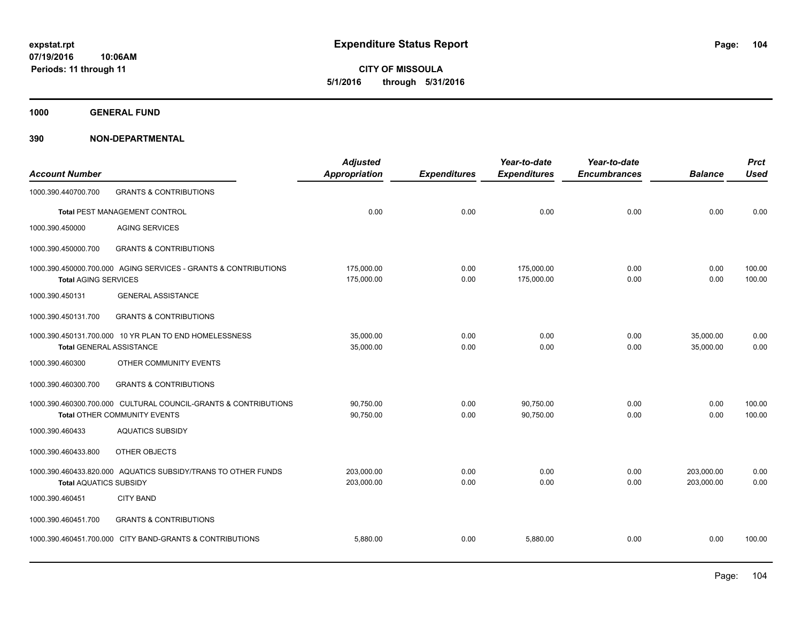**CITY OF MISSOULA 5/1/2016 through 5/31/2016**

**1000 GENERAL FUND**

| <b>Account Number</b>           |                                                                                                 | <b>Adjusted</b><br><b>Appropriation</b> | <b>Expenditures</b> | Year-to-date<br><b>Expenditures</b> | Year-to-date<br><b>Encumbrances</b> | <b>Balance</b>           | <b>Prct</b><br><b>Used</b> |
|---------------------------------|-------------------------------------------------------------------------------------------------|-----------------------------------------|---------------------|-------------------------------------|-------------------------------------|--------------------------|----------------------------|
| 1000.390.440700.700             | <b>GRANTS &amp; CONTRIBUTIONS</b>                                                               |                                         |                     |                                     |                                     |                          |                            |
|                                 | Total PEST MANAGEMENT CONTROL                                                                   | 0.00                                    | 0.00                | 0.00                                | 0.00                                | 0.00                     | 0.00                       |
| 1000.390.450000                 | <b>AGING SERVICES</b>                                                                           |                                         |                     |                                     |                                     |                          |                            |
| 1000.390.450000.700             | <b>GRANTS &amp; CONTRIBUTIONS</b>                                                               |                                         |                     |                                     |                                     |                          |                            |
| <b>Total AGING SERVICES</b>     | 1000.390.450000.700.000 AGING SERVICES - GRANTS & CONTRIBUTIONS                                 | 175,000.00<br>175,000.00                | 0.00<br>0.00        | 175,000.00<br>175,000.00            | 0.00<br>0.00                        | 0.00<br>0.00             | 100.00<br>100.00           |
| 1000.390.450131                 | <b>GENERAL ASSISTANCE</b>                                                                       |                                         |                     |                                     |                                     |                          |                            |
| 1000.390.450131.700             | <b>GRANTS &amp; CONTRIBUTIONS</b>                                                               |                                         |                     |                                     |                                     |                          |                            |
| <b>Total GENERAL ASSISTANCE</b> | 1000.390.450131.700.000 10 YR PLAN TO END HOMELESSNESS                                          | 35,000.00<br>35,000.00                  | 0.00<br>0.00        | 0.00<br>0.00                        | 0.00<br>0.00                        | 35,000.00<br>35,000.00   | 0.00<br>0.00               |
| 1000.390.460300                 | OTHER COMMUNITY EVENTS                                                                          |                                         |                     |                                     |                                     |                          |                            |
| 1000.390.460300.700             | <b>GRANTS &amp; CONTRIBUTIONS</b>                                                               |                                         |                     |                                     |                                     |                          |                            |
|                                 | 1000.390.460300.700.000 CULTURAL COUNCIL-GRANTS & CONTRIBUTIONS<br>Total OTHER COMMUNITY EVENTS | 90,750.00<br>90,750.00                  | 0.00<br>0.00        | 90,750.00<br>90,750.00              | 0.00<br>0.00                        | 0.00<br>0.00             | 100.00<br>100.00           |
| 1000.390.460433                 | <b>AQUATICS SUBSIDY</b>                                                                         |                                         |                     |                                     |                                     |                          |                            |
| 1000.390.460433.800             | OTHER OBJECTS                                                                                   |                                         |                     |                                     |                                     |                          |                            |
| <b>Total AQUATICS SUBSIDY</b>   | 1000.390.460433.820.000 AQUATICS SUBSIDY/TRANS TO OTHER FUNDS                                   | 203.000.00<br>203,000.00                | 0.00<br>0.00        | 0.00<br>0.00                        | 0.00<br>0.00                        | 203,000.00<br>203,000.00 | 0.00<br>0.00               |
| 1000.390.460451                 | <b>CITY BAND</b>                                                                                |                                         |                     |                                     |                                     |                          |                            |
| 1000.390.460451.700             | <b>GRANTS &amp; CONTRIBUTIONS</b>                                                               |                                         |                     |                                     |                                     |                          |                            |
|                                 | 1000.390.460451.700.000 CITY BAND-GRANTS & CONTRIBUTIONS                                        | 5,880.00                                | 0.00                | 5,880.00                            | 0.00                                | 0.00                     | 100.00                     |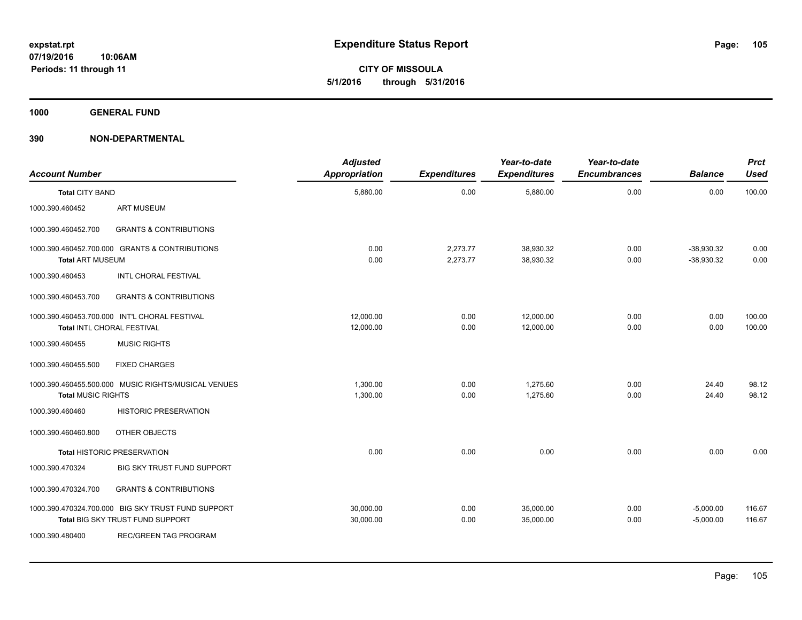**CITY OF MISSOULA 5/1/2016 through 5/31/2016**

**1000 GENERAL FUND**

| <b>Account Number</b>     |                                                                                        | <b>Adjusted</b><br><b>Appropriation</b> | <b>Expenditures</b>  | Year-to-date<br><b>Expenditures</b> | Year-to-date<br><b>Encumbrances</b> | <b>Balance</b>               | <b>Prct</b><br><b>Used</b> |
|---------------------------|----------------------------------------------------------------------------------------|-----------------------------------------|----------------------|-------------------------------------|-------------------------------------|------------------------------|----------------------------|
| <b>Total CITY BAND</b>    |                                                                                        | 5,880.00                                | 0.00                 | 5,880.00                            | 0.00                                | 0.00                         | 100.00                     |
| 1000.390.460452           | <b>ART MUSEUM</b>                                                                      |                                         |                      |                                     |                                     |                              |                            |
| 1000.390.460452.700       | <b>GRANTS &amp; CONTRIBUTIONS</b>                                                      |                                         |                      |                                     |                                     |                              |                            |
| <b>Total ART MUSEUM</b>   | 1000.390.460452.700.000 GRANTS & CONTRIBUTIONS                                         | 0.00<br>0.00                            | 2,273.77<br>2,273.77 | 38,930.32<br>38,930.32              | 0.00<br>0.00                        | $-38,930.32$<br>$-38,930.32$ | 0.00<br>0.00               |
| 1000.390.460453           | <b>INTL CHORAL FESTIVAL</b>                                                            |                                         |                      |                                     |                                     |                              |                            |
| 1000.390.460453.700       | <b>GRANTS &amp; CONTRIBUTIONS</b>                                                      |                                         |                      |                                     |                                     |                              |                            |
|                           | 1000.390.460453.700.000 INT'L CHORAL FESTIVAL<br>Total INTL CHORAL FESTIVAL            | 12,000.00<br>12,000.00                  | 0.00<br>0.00         | 12,000.00<br>12,000.00              | 0.00<br>0.00                        | 0.00<br>0.00                 | 100.00<br>100.00           |
| 1000.390.460455           | <b>MUSIC RIGHTS</b>                                                                    |                                         |                      |                                     |                                     |                              |                            |
| 1000.390.460455.500       | <b>FIXED CHARGES</b>                                                                   |                                         |                      |                                     |                                     |                              |                            |
| <b>Total MUSIC RIGHTS</b> | 1000.390.460455.500.000 MUSIC RIGHTS/MUSICAL VENUES                                    | 1,300.00<br>1,300.00                    | 0.00<br>0.00         | 1.275.60<br>1,275.60                | 0.00<br>0.00                        | 24.40<br>24.40               | 98.12<br>98.12             |
| 1000.390.460460           | <b>HISTORIC PRESERVATION</b>                                                           |                                         |                      |                                     |                                     |                              |                            |
| 1000.390.460460.800       | OTHER OBJECTS                                                                          |                                         |                      |                                     |                                     |                              |                            |
|                           | <b>Total HISTORIC PRESERVATION</b>                                                     | 0.00                                    | 0.00                 | 0.00                                | 0.00                                | 0.00                         | 0.00                       |
| 1000.390.470324           | BIG SKY TRUST FUND SUPPORT                                                             |                                         |                      |                                     |                                     |                              |                            |
| 1000.390.470324.700       | <b>GRANTS &amp; CONTRIBUTIONS</b>                                                      |                                         |                      |                                     |                                     |                              |                            |
|                           | 1000.390.470324.700.000 BIG SKY TRUST FUND SUPPORT<br>Total BIG SKY TRUST FUND SUPPORT | 30,000.00<br>30,000.00                  | 0.00<br>0.00         | 35,000.00<br>35,000.00              | 0.00<br>0.00                        | $-5,000.00$<br>$-5,000.00$   | 116.67<br>116.67           |
| 1000.390.480400           | <b>REC/GREEN TAG PROGRAM</b>                                                           |                                         |                      |                                     |                                     |                              |                            |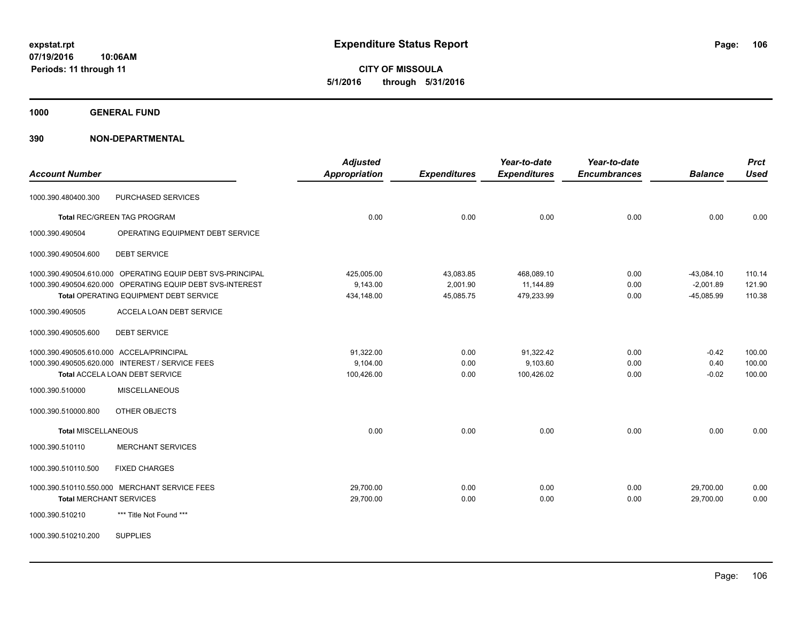**CITY OF MISSOULA 5/1/2016 through 5/31/2016**

**1000 GENERAL FUND**

| <b>Account Number</b>                    |                                                            | <b>Adjusted</b><br>Appropriation | <b>Expenditures</b> | Year-to-date<br><b>Expenditures</b> | Year-to-date<br><b>Encumbrances</b> | <b>Balance</b> | <b>Prct</b><br><b>Used</b> |
|------------------------------------------|------------------------------------------------------------|----------------------------------|---------------------|-------------------------------------|-------------------------------------|----------------|----------------------------|
| 1000.390.480400.300                      | PURCHASED SERVICES                                         |                                  |                     |                                     |                                     |                |                            |
|                                          | <b>Total REC/GREEN TAG PROGRAM</b>                         | 0.00                             | 0.00                | 0.00                                | 0.00                                | 0.00           | 0.00                       |
| 1000.390.490504                          | OPERATING EQUIPMENT DEBT SERVICE                           |                                  |                     |                                     |                                     |                |                            |
| 1000.390.490504.600                      | <b>DEBT SERVICE</b>                                        |                                  |                     |                                     |                                     |                |                            |
|                                          | 1000.390.490504.610.000 OPERATING EQUIP DEBT SVS-PRINCIPAL | 425,005.00                       | 43,083.85           | 468,089.10                          | 0.00                                | $-43,084.10$   | 110.14                     |
|                                          | 1000.390.490504.620.000 OPERATING EQUIP DEBT SVS-INTEREST  | 9,143.00                         | 2,001.90            | 11,144.89                           | 0.00                                | $-2,001.89$    | 121.90                     |
|                                          | Total OPERATING EQUIPMENT DEBT SERVICE                     | 434,148.00                       | 45,085.75           | 479,233.99                          | 0.00                                | $-45,085.99$   | 110.38                     |
| 1000.390.490505                          | ACCELA LOAN DEBT SERVICE                                   |                                  |                     |                                     |                                     |                |                            |
| 1000.390.490505.600                      | <b>DEBT SERVICE</b>                                        |                                  |                     |                                     |                                     |                |                            |
| 1000.390.490505.610.000 ACCELA/PRINCIPAL |                                                            | 91,322.00                        | 0.00                | 91,322.42                           | 0.00                                | $-0.42$        | 100.00                     |
|                                          | 1000.390.490505.620.000 INTEREST / SERVICE FEES            | 9,104.00                         | 0.00                | 9,103.60                            | 0.00                                | 0.40           | 100.00                     |
|                                          | Total ACCELA LOAN DEBT SERVICE                             | 100,426.00                       | 0.00                | 100,426.02                          | 0.00                                | $-0.02$        | 100.00                     |
| 1000.390.510000                          | <b>MISCELLANEOUS</b>                                       |                                  |                     |                                     |                                     |                |                            |
| 1000.390.510000.800                      | OTHER OBJECTS                                              |                                  |                     |                                     |                                     |                |                            |
| <b>Total MISCELLANEOUS</b>               |                                                            | 0.00                             | 0.00                | 0.00                                | 0.00                                | 0.00           | 0.00                       |
| 1000.390.510110                          | <b>MERCHANT SERVICES</b>                                   |                                  |                     |                                     |                                     |                |                            |
| 1000.390.510110.500                      | <b>FIXED CHARGES</b>                                       |                                  |                     |                                     |                                     |                |                            |
|                                          | 1000.390.510110.550.000 MERCHANT SERVICE FEES              | 29,700.00                        | 0.00                | 0.00                                | 0.00                                | 29,700.00      | 0.00                       |
| <b>Total MERCHANT SERVICES</b>           |                                                            | 29,700.00                        | 0.00                | 0.00                                | 0.00                                | 29,700.00      | 0.00                       |
| 1000.390.510210                          | *** Title Not Found ***                                    |                                  |                     |                                     |                                     |                |                            |
| 1000.390.510210.200                      | <b>SUPPLIES</b>                                            |                                  |                     |                                     |                                     |                |                            |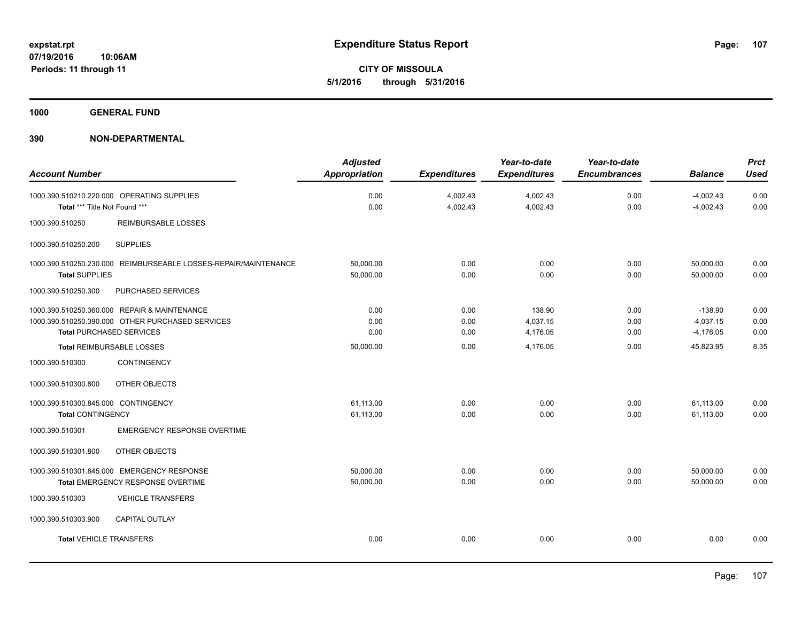**CITY OF MISSOULA 5/1/2016 through 5/31/2016**

**1000 GENERAL FUND**

| <b>Account Number</b>                                                                                                               | <b>Adjusted</b><br><b>Appropriation</b> | <b>Expenditures</b>  | Year-to-date<br><b>Expenditures</b> | Year-to-date<br><b>Encumbrances</b> | <b>Balance</b>                          | <b>Prct</b><br><b>Used</b> |
|-------------------------------------------------------------------------------------------------------------------------------------|-----------------------------------------|----------------------|-------------------------------------|-------------------------------------|-----------------------------------------|----------------------------|
| 1000.390.510210.220.000 OPERATING SUPPLIES<br>Total *** Title Not Found ***                                                         | 0.00<br>0.00                            | 4,002.43<br>4,002.43 | 4,002.43<br>4,002.43                | 0.00<br>0.00                        | $-4,002.43$<br>$-4,002.43$              | 0.00<br>0.00               |
| 1000.390.510250<br><b>REIMBURSABLE LOSSES</b>                                                                                       |                                         |                      |                                     |                                     |                                         |                            |
| 1000.390.510250.200<br><b>SUPPLIES</b>                                                                                              |                                         |                      |                                     |                                     |                                         |                            |
| 1000.390.510250.230.000 REIMBURSEABLE LOSSES-REPAIR/MAINTENANCE<br><b>Total SUPPLIES</b>                                            | 50,000.00<br>50,000.00                  | 0.00<br>0.00         | 0.00<br>0.00                        | 0.00<br>0.00                        | 50,000.00<br>50.000.00                  | 0.00<br>0.00               |
| 1000.390.510250.300<br>PURCHASED SERVICES                                                                                           |                                         |                      |                                     |                                     |                                         |                            |
| 1000.390.510250.360.000 REPAIR & MAINTENANCE<br>1000.390.510250.390.000 OTHER PURCHASED SERVICES<br><b>Total PURCHASED SERVICES</b> | 0.00<br>0.00<br>0.00                    | 0.00<br>0.00<br>0.00 | 138.90<br>4,037.15<br>4,176.05      | 0.00<br>0.00<br>0.00                | $-138.90$<br>$-4,037.15$<br>$-4,176.05$ | 0.00<br>0.00<br>0.00       |
| Total REIMBURSABLE LOSSES                                                                                                           | 50,000.00                               | 0.00                 | 4,176.05                            | 0.00                                | 45,823.95                               | 8.35                       |
| <b>CONTINGENCY</b><br>1000.390.510300                                                                                               |                                         |                      |                                     |                                     |                                         |                            |
| 1000.390.510300.800<br>OTHER OBJECTS                                                                                                |                                         |                      |                                     |                                     |                                         |                            |
| 1000.390.510300.845.000 CONTINGENCY<br><b>Total CONTINGENCY</b>                                                                     | 61,113.00<br>61,113.00                  | 0.00<br>0.00         | 0.00<br>0.00                        | 0.00<br>0.00                        | 61,113.00<br>61,113.00                  | 0.00<br>0.00               |
| <b>EMERGENCY RESPONSE OVERTIME</b><br>1000.390.510301                                                                               |                                         |                      |                                     |                                     |                                         |                            |
| OTHER OBJECTS<br>1000.390.510301.800                                                                                                |                                         |                      |                                     |                                     |                                         |                            |
| 1000.390.510301.845.000 EMERGENCY RESPONSE<br>Total EMERGENCY RESPONSE OVERTIME                                                     | 50,000.00<br>50,000.00                  | 0.00<br>0.00         | 0.00<br>0.00                        | 0.00<br>0.00                        | 50,000.00<br>50,000.00                  | 0.00<br>0.00               |
| 1000.390.510303<br><b>VEHICLE TRANSFERS</b>                                                                                         |                                         |                      |                                     |                                     |                                         |                            |
| 1000.390.510303.900<br><b>CAPITAL OUTLAY</b>                                                                                        |                                         |                      |                                     |                                     |                                         |                            |
| <b>Total VEHICLE TRANSFERS</b>                                                                                                      | 0.00                                    | 0.00                 | 0.00                                | 0.00                                | 0.00                                    | 0.00                       |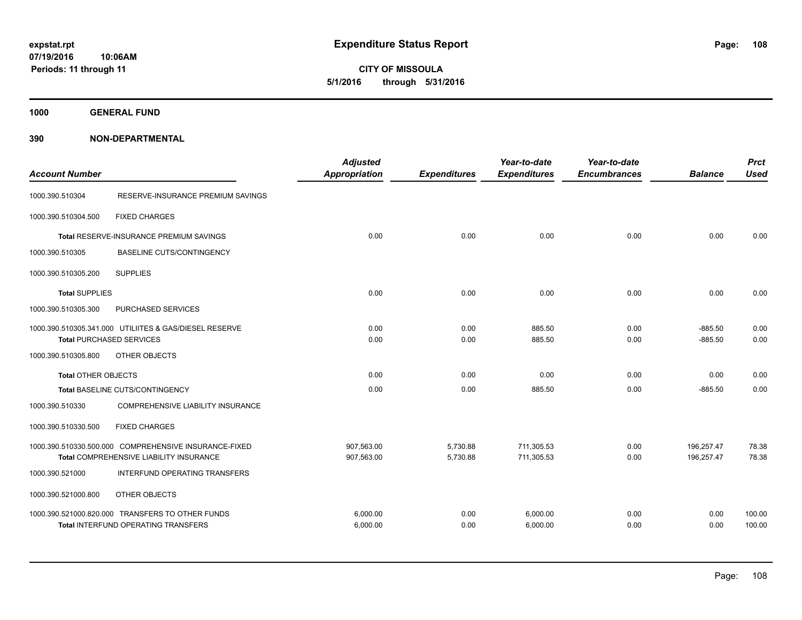**1000 GENERAL FUND**

| <b>Account Number</b>           |                                                                                                | <b>Adjusted</b><br><b>Appropriation</b> | <b>Expenditures</b> | Year-to-date<br><b>Expenditures</b> | Year-to-date<br><b>Encumbrances</b> | <b>Balance</b>         | <b>Prct</b><br><b>Used</b> |
|---------------------------------|------------------------------------------------------------------------------------------------|-----------------------------------------|---------------------|-------------------------------------|-------------------------------------|------------------------|----------------------------|
| 1000.390.510304                 | RESERVE-INSURANCE PREMIUM SAVINGS                                                              |                                         |                     |                                     |                                     |                        |                            |
| 1000.390.510304.500             | <b>FIXED CHARGES</b>                                                                           |                                         |                     |                                     |                                     |                        |                            |
|                                 | Total RESERVE-INSURANCE PREMIUM SAVINGS                                                        | 0.00                                    | 0.00                | 0.00                                | 0.00                                | 0.00                   | 0.00                       |
| 1000.390.510305                 | <b>BASELINE CUTS/CONTINGENCY</b>                                                               |                                         |                     |                                     |                                     |                        |                            |
| 1000.390.510305.200             | <b>SUPPLIES</b>                                                                                |                                         |                     |                                     |                                     |                        |                            |
| <b>Total SUPPLIES</b>           |                                                                                                | 0.00                                    | 0.00                | 0.00                                | 0.00                                | 0.00                   | 0.00                       |
| 1000.390.510305.300             | PURCHASED SERVICES                                                                             |                                         |                     |                                     |                                     |                        |                            |
| <b>Total PURCHASED SERVICES</b> | 1000.390.510305.341.000 UTILIITES & GAS/DIESEL RESERVE                                         | 0.00<br>0.00                            | 0.00<br>0.00        | 885.50<br>885.50                    | 0.00<br>0.00                        | $-885.50$<br>$-885.50$ | 0.00<br>0.00               |
| 1000.390.510305.800             | OTHER OBJECTS                                                                                  |                                         |                     |                                     |                                     |                        |                            |
| <b>Total OTHER OBJECTS</b>      |                                                                                                | 0.00                                    | 0.00                | 0.00                                | 0.00                                | 0.00                   | 0.00                       |
|                                 | Total BASELINE CUTS/CONTINGENCY                                                                | 0.00                                    | 0.00                | 885.50                              | 0.00                                | $-885.50$              | 0.00                       |
| 1000.390.510330                 | COMPREHENSIVE LIABILITY INSURANCE                                                              |                                         |                     |                                     |                                     |                        |                            |
| 1000.390.510330.500             | <b>FIXED CHARGES</b>                                                                           |                                         |                     |                                     |                                     |                        |                            |
|                                 | 1000.390.510330.500.000 COMPREHENSIVE INSURANCE-FIXED                                          | 907,563.00                              | 5,730.88            | 711,305.53                          | 0.00                                | 196,257.47             | 78.38                      |
|                                 | Total COMPREHENSIVE LIABILITY INSURANCE                                                        | 907,563.00                              | 5,730.88            | 711,305.53                          | 0.00                                | 196,257.47             | 78.38                      |
| 1000.390.521000                 | INTERFUND OPERATING TRANSFERS                                                                  |                                         |                     |                                     |                                     |                        |                            |
| 1000.390.521000.800             | OTHER OBJECTS                                                                                  |                                         |                     |                                     |                                     |                        |                            |
|                                 | 1000.390.521000.820.000 TRANSFERS TO OTHER FUNDS<br><b>Total INTERFUND OPERATING TRANSFERS</b> | 6,000.00<br>6,000.00                    | 0.00<br>0.00        | 6,000.00<br>6,000.00                | 0.00<br>0.00                        | 0.00<br>0.00           | 100.00<br>100.00           |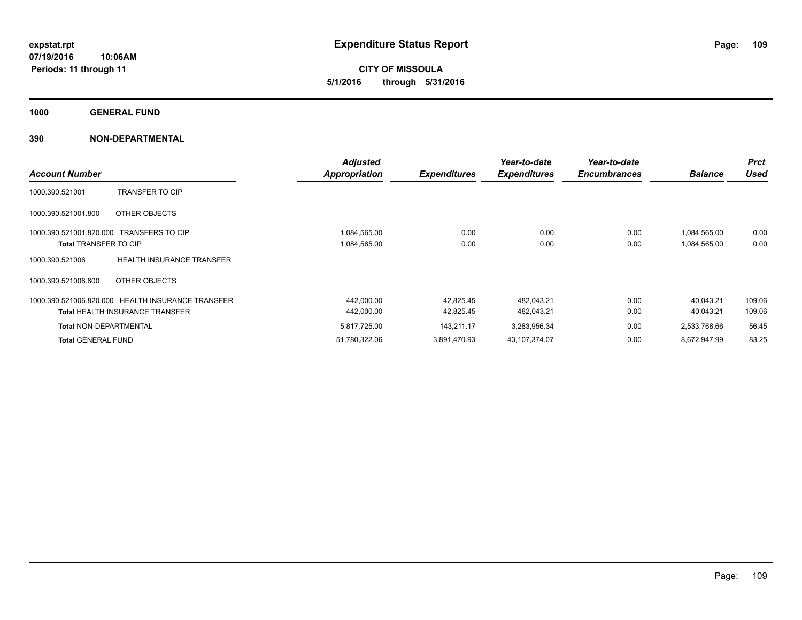**CITY OF MISSOULA 5/1/2016 through 5/31/2016**

**1000 GENERAL FUND**

| <b>Account Number</b>                                   |                                                                                             | <b>Adjusted</b><br><b>Appropriation</b> | <b>Expenditures</b>    | Year-to-date<br><b>Expenditures</b> | Year-to-date<br><b>Encumbrances</b> | <b>Balance</b>               | <b>Prct</b><br><b>Used</b> |
|---------------------------------------------------------|---------------------------------------------------------------------------------------------|-----------------------------------------|------------------------|-------------------------------------|-------------------------------------|------------------------------|----------------------------|
| 1000.390.521001                                         | <b>TRANSFER TO CIP</b>                                                                      |                                         |                        |                                     |                                     |                              |                            |
| 1000.390.521001.800                                     | OTHER OBJECTS                                                                               |                                         |                        |                                     |                                     |                              |                            |
| 1000.390.521001.820.000<br><b>Total TRANSFER TO CIP</b> | <b>TRANSFERS TO CIP</b>                                                                     | 1,084,565.00<br>1,084,565.00            | 0.00<br>0.00           | 0.00<br>0.00                        | 0.00<br>0.00                        | 1,084,565.00<br>1,084,565.00 | 0.00<br>0.00               |
| 1000.390.521006                                         | <b>HEALTH INSURANCE TRANSFER</b>                                                            |                                         |                        |                                     |                                     |                              |                            |
| 1000.390.521006.800                                     | OTHER OBJECTS                                                                               |                                         |                        |                                     |                                     |                              |                            |
|                                                         | 1000.390.521006.820.000 HEALTH INSURANCE TRANSFER<br><b>Total HEALTH INSURANCE TRANSFER</b> | 442,000.00<br>442,000.00                | 42,825.45<br>42,825.45 | 482,043.21<br>482,043.21            | 0.00<br>0.00                        | $-40.043.21$<br>$-40,043.21$ | 109.06<br>109.06           |
| <b>Total NON-DEPARTMENTAL</b>                           |                                                                                             | 5,817,725.00                            | 143,211.17             | 3,283,956.34                        | 0.00                                | 2,533,768.66                 | 56.45                      |
| <b>Total GENERAL FUND</b>                               |                                                                                             | 51,780,322.06                           | 3.891.470.93           | 43.107.374.07                       | 0.00                                | 8,672,947.99                 | 83.25                      |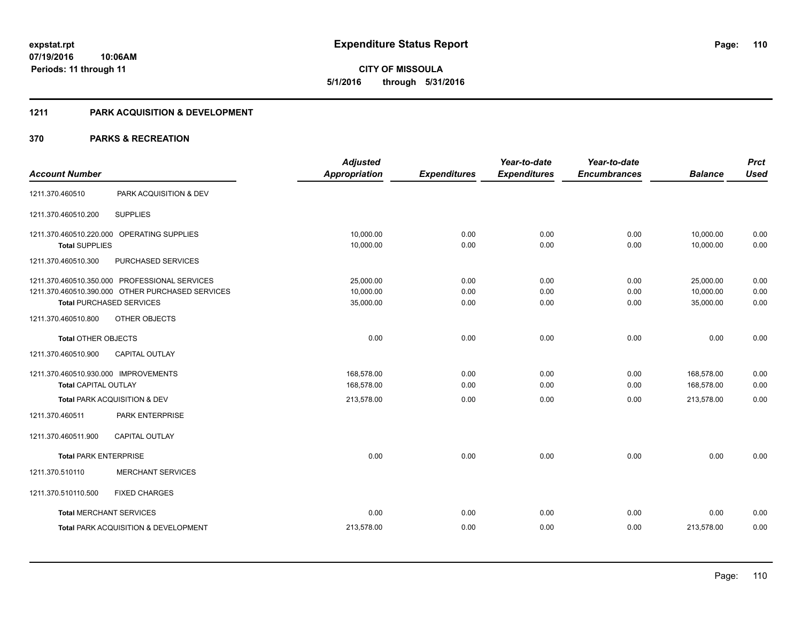**CITY OF MISSOULA 5/1/2016 through 5/31/2016**

## **1211 PARK ACQUISITION & DEVELOPMENT**

|                                      |                                                  | <b>Adjusted</b>      |                     | Year-to-date        | Year-to-date        |                | <b>Prct</b> |
|--------------------------------------|--------------------------------------------------|----------------------|---------------------|---------------------|---------------------|----------------|-------------|
| <b>Account Number</b>                |                                                  | <b>Appropriation</b> | <b>Expenditures</b> | <b>Expenditures</b> | <b>Encumbrances</b> | <b>Balance</b> | <b>Used</b> |
| 1211.370.460510                      | PARK ACQUISITION & DEV                           |                      |                     |                     |                     |                |             |
| 1211.370.460510.200                  | <b>SUPPLIES</b>                                  |                      |                     |                     |                     |                |             |
|                                      | 1211.370.460510.220.000 OPERATING SUPPLIES       | 10,000.00            | 0.00                | 0.00                | 0.00                | 10,000.00      | 0.00        |
| <b>Total SUPPLIES</b>                |                                                  | 10,000.00            | 0.00                | 0.00                | 0.00                | 10,000.00      | 0.00        |
| 1211.370.460510.300                  | PURCHASED SERVICES                               |                      |                     |                     |                     |                |             |
|                                      | 1211.370.460510.350.000 PROFESSIONAL SERVICES    | 25,000.00            | 0.00                | 0.00                | 0.00                | 25,000.00      | 0.00        |
|                                      | 1211.370.460510.390.000 OTHER PURCHASED SERVICES | 10,000.00            | 0.00                | 0.00                | 0.00                | 10,000.00      | 0.00        |
|                                      | <b>Total PURCHASED SERVICES</b>                  | 35,000.00            | 0.00                | 0.00                | 0.00                | 35,000.00      | 0.00        |
| 1211.370.460510.800                  | OTHER OBJECTS                                    |                      |                     |                     |                     |                |             |
| <b>Total OTHER OBJECTS</b>           |                                                  | 0.00                 | 0.00                | 0.00                | 0.00                | 0.00           | 0.00        |
| 1211.370.460510.900                  | <b>CAPITAL OUTLAY</b>                            |                      |                     |                     |                     |                |             |
| 1211.370.460510.930.000 IMPROVEMENTS |                                                  | 168,578.00           | 0.00                | 0.00                | 0.00                | 168,578.00     | 0.00        |
| <b>Total CAPITAL OUTLAY</b>          |                                                  | 168,578.00           | 0.00                | 0.00                | 0.00                | 168,578.00     | 0.00        |
|                                      | Total PARK ACQUISITION & DEV                     | 213,578.00           | 0.00                | 0.00                | 0.00                | 213,578.00     | 0.00        |
| 1211.370.460511                      | PARK ENTERPRISE                                  |                      |                     |                     |                     |                |             |
| 1211.370.460511.900                  | <b>CAPITAL OUTLAY</b>                            |                      |                     |                     |                     |                |             |
| <b>Total PARK ENTERPRISE</b>         |                                                  | 0.00                 | 0.00                | 0.00                | 0.00                | 0.00           | 0.00        |
| 1211.370.510110                      | <b>MERCHANT SERVICES</b>                         |                      |                     |                     |                     |                |             |
| 1211.370.510110.500                  | <b>FIXED CHARGES</b>                             |                      |                     |                     |                     |                |             |
|                                      | <b>Total MERCHANT SERVICES</b>                   | 0.00                 | 0.00                | 0.00                | 0.00                | 0.00           | 0.00        |
|                                      | Total PARK ACQUISITION & DEVELOPMENT             | 213,578.00           | 0.00                | 0.00                | 0.00                | 213,578.00     | 0.00        |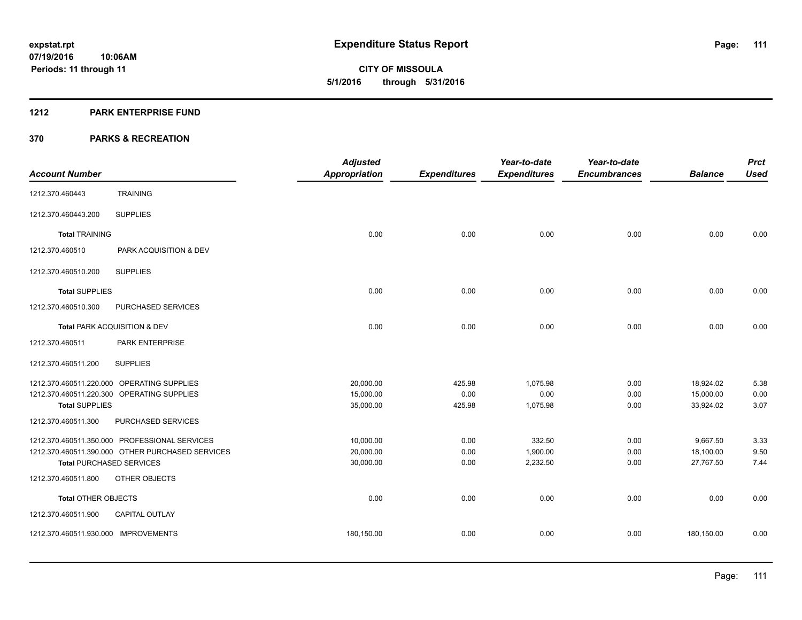#### **1212 PARK ENTERPRISE FUND**

|                                                  | <b>Adjusted</b>      |                     | Year-to-date        | Year-to-date        |                | <b>Prct</b> |
|--------------------------------------------------|----------------------|---------------------|---------------------|---------------------|----------------|-------------|
| <b>Account Number</b>                            | <b>Appropriation</b> | <b>Expenditures</b> | <b>Expenditures</b> | <b>Encumbrances</b> | <b>Balance</b> | <b>Used</b> |
| <b>TRAINING</b><br>1212.370.460443               |                      |                     |                     |                     |                |             |
| <b>SUPPLIES</b><br>1212.370.460443.200           |                      |                     |                     |                     |                |             |
| <b>Total TRAINING</b>                            | 0.00                 | 0.00                | 0.00                | 0.00                | 0.00           | 0.00        |
| 1212.370.460510<br>PARK ACQUISITION & DEV        |                      |                     |                     |                     |                |             |
| 1212.370.460510.200<br><b>SUPPLIES</b>           |                      |                     |                     |                     |                |             |
| <b>Total SUPPLIES</b>                            | 0.00                 | 0.00                | 0.00                | 0.00                | 0.00           | 0.00        |
| 1212.370.460510.300<br>PURCHASED SERVICES        |                      |                     |                     |                     |                |             |
| <b>Total PARK ACQUISITION &amp; DEV</b>          | 0.00                 | 0.00                | 0.00                | 0.00                | 0.00           | 0.00        |
| PARK ENTERPRISE<br>1212.370.460511               |                      |                     |                     |                     |                |             |
| <b>SUPPLIES</b><br>1212.370.460511.200           |                      |                     |                     |                     |                |             |
| 1212.370.460511.220.000 OPERATING SUPPLIES       | 20,000.00            | 425.98              | 1,075.98            | 0.00                | 18,924.02      | 5.38        |
| 1212.370.460511.220.300 OPERATING SUPPLIES       | 15,000.00            | 0.00                | 0.00                | 0.00                | 15,000.00      | 0.00        |
| <b>Total SUPPLIES</b>                            | 35,000.00            | 425.98              | 1,075.98            | 0.00                | 33,924.02      | 3.07        |
| 1212.370.460511.300<br>PURCHASED SERVICES        |                      |                     |                     |                     |                |             |
| 1212.370.460511.350.000 PROFESSIONAL SERVICES    | 10,000.00            | 0.00                | 332.50              | 0.00                | 9,667.50       | 3.33        |
| 1212.370.460511.390.000 OTHER PURCHASED SERVICES | 20,000.00            | 0.00                | 1,900.00            | 0.00                | 18,100.00      | 9.50        |
| <b>Total PURCHASED SERVICES</b>                  | 30,000.00            | 0.00                | 2,232.50            | 0.00                | 27,767.50      | 7.44        |
| 1212.370.460511.800<br>OTHER OBJECTS             |                      |                     |                     |                     |                |             |
| Total OTHER OBJECTS                              | 0.00                 | 0.00                | 0.00                | 0.00                | 0.00           | 0.00        |
| 1212.370.460511.900<br>CAPITAL OUTLAY            |                      |                     |                     |                     |                |             |
| 1212.370.460511.930.000 IMPROVEMENTS             | 180,150.00           | 0.00                | 0.00                | 0.00                | 180,150.00     | 0.00        |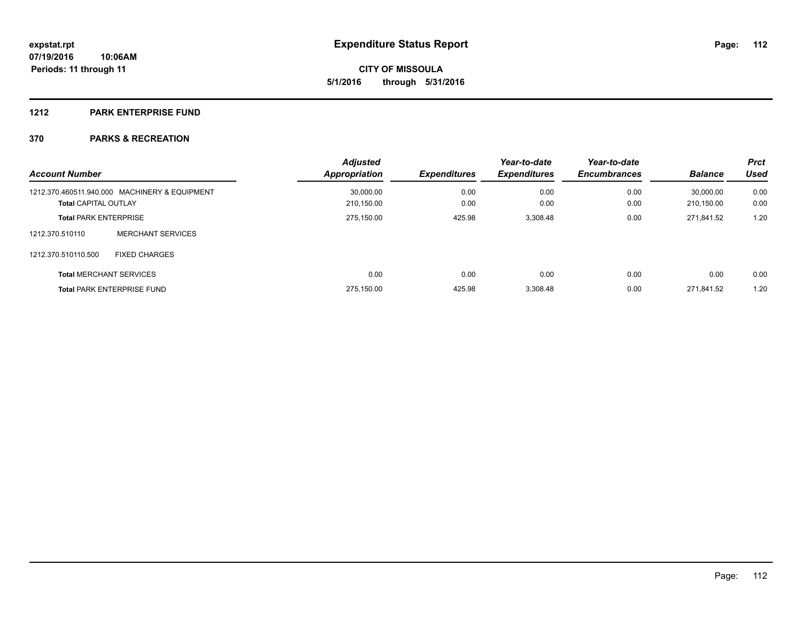#### **1212 PARK ENTERPRISE FUND**

| <b>Account Number</b>        |                                               | <b>Adjusted</b><br><b>Appropriation</b> | <b>Expenditures</b> | Year-to-date<br><b>Expenditures</b> | Year-to-date<br><b>Encumbrances</b> | <b>Balance</b> | <b>Prct</b><br><b>Used</b> |
|------------------------------|-----------------------------------------------|-----------------------------------------|---------------------|-------------------------------------|-------------------------------------|----------------|----------------------------|
|                              | 1212.370.460511.940.000 MACHINERY & EQUIPMENT | 30.000.00                               | 0.00                | 0.00                                | 0.00                                | 30.000.00      | 0.00                       |
| <b>Total CAPITAL OUTLAY</b>  |                                               | 210.150.00                              | 0.00                | 0.00                                | 0.00                                | 210.150.00     | 0.00                       |
| <b>Total PARK ENTERPRISE</b> |                                               | 275,150.00                              | 425.98              | 3,308.48                            | 0.00                                | 271,841.52     | 1.20                       |
| 1212.370.510110              | MERCHANT SERVICES                             |                                         |                     |                                     |                                     |                |                            |
| 1212.370.510110.500          | <b>FIXED CHARGES</b>                          |                                         |                     |                                     |                                     |                |                            |
|                              | <b>Total MERCHANT SERVICES</b>                | 0.00                                    | 0.00                | 0.00                                | 0.00                                | 0.00           | 0.00                       |
|                              | <b>Total PARK ENTERPRISE FUND</b>             | 275.150.00                              | 425.98              | 3.308.48                            | 0.00                                | 271.841.52     | 1.20                       |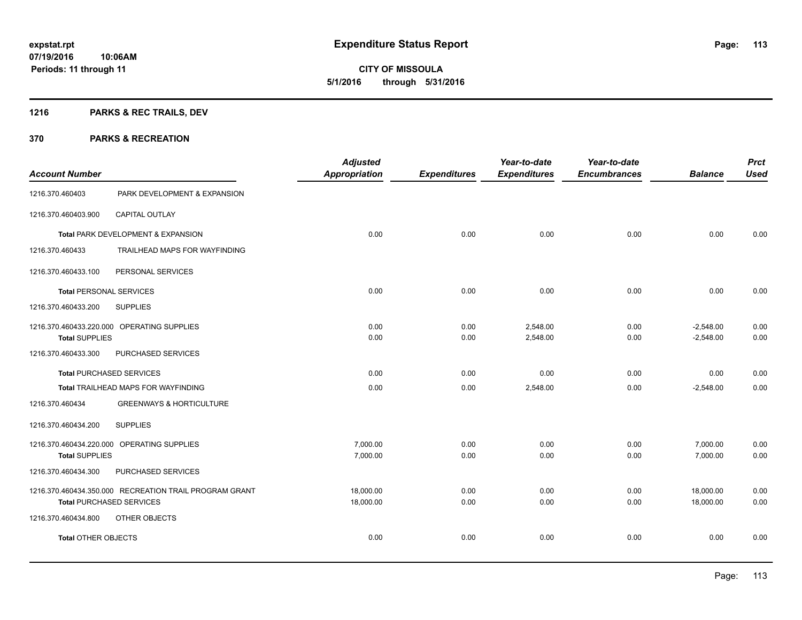**CITY OF MISSOULA 5/1/2016 through 5/31/2016**

# **1216 PARKS & REC TRAILS, DEV**

| <b>Account Number</b>          |                                                                                           | <b>Adjusted</b><br><b>Appropriation</b> | <b>Expenditures</b> | Year-to-date<br><b>Expenditures</b> | Year-to-date<br><b>Encumbrances</b> | <b>Balance</b>             | <b>Prct</b><br><b>Used</b> |
|--------------------------------|-------------------------------------------------------------------------------------------|-----------------------------------------|---------------------|-------------------------------------|-------------------------------------|----------------------------|----------------------------|
| 1216.370.460403                | PARK DEVELOPMENT & EXPANSION                                                              |                                         |                     |                                     |                                     |                            |                            |
| 1216.370.460403.900            | <b>CAPITAL OUTLAY</b>                                                                     |                                         |                     |                                     |                                     |                            |                            |
|                                | Total PARK DEVELOPMENT & EXPANSION                                                        | 0.00                                    | 0.00                | 0.00                                | 0.00                                | 0.00                       | 0.00                       |
| 1216.370.460433                | TRAILHEAD MAPS FOR WAYFINDING                                                             |                                         |                     |                                     |                                     |                            |                            |
| 1216.370.460433.100            | PERSONAL SERVICES                                                                         |                                         |                     |                                     |                                     |                            |                            |
| <b>Total PERSONAL SERVICES</b> |                                                                                           | 0.00                                    | 0.00                | 0.00                                | 0.00                                | 0.00                       | 0.00                       |
| 1216.370.460433.200            | <b>SUPPLIES</b>                                                                           |                                         |                     |                                     |                                     |                            |                            |
| <b>Total SUPPLIES</b>          | 1216.370.460433.220.000 OPERATING SUPPLIES                                                | 0.00<br>0.00                            | 0.00<br>0.00        | 2,548.00<br>2,548.00                | 0.00<br>0.00                        | $-2,548.00$<br>$-2,548.00$ | 0.00<br>0.00               |
| 1216.370.460433.300            | PURCHASED SERVICES                                                                        |                                         |                     |                                     |                                     |                            |                            |
|                                | <b>Total PURCHASED SERVICES</b>                                                           | 0.00                                    | 0.00                | 0.00                                | 0.00                                | 0.00                       | 0.00                       |
|                                | Total TRAILHEAD MAPS FOR WAYFINDING                                                       | 0.00                                    | 0.00                | 2,548.00                            | 0.00                                | $-2.548.00$                | 0.00                       |
| 1216.370.460434                | <b>GREENWAYS &amp; HORTICULTURE</b>                                                       |                                         |                     |                                     |                                     |                            |                            |
| 1216.370.460434.200            | <b>SUPPLIES</b>                                                                           |                                         |                     |                                     |                                     |                            |                            |
| <b>Total SUPPLIES</b>          | 1216.370.460434.220.000 OPERATING SUPPLIES                                                | 7,000.00<br>7,000.00                    | 0.00<br>0.00        | 0.00<br>0.00                        | 0.00<br>0.00                        | 7,000.00<br>7,000.00       | 0.00<br>0.00               |
| 1216.370.460434.300            | PURCHASED SERVICES                                                                        |                                         |                     |                                     |                                     |                            |                            |
|                                | 1216.370.460434.350.000 RECREATION TRAIL PROGRAM GRANT<br><b>Total PURCHASED SERVICES</b> | 18,000.00<br>18,000.00                  | 0.00<br>0.00        | 0.00<br>0.00                        | 0.00<br>0.00                        | 18,000.00<br>18,000.00     | 0.00<br>0.00               |
| 1216.370.460434.800            | OTHER OBJECTS                                                                             |                                         |                     |                                     |                                     |                            |                            |
| <b>Total OTHER OBJECTS</b>     |                                                                                           | 0.00                                    | 0.00                | 0.00                                | 0.00                                | 0.00                       | 0.00                       |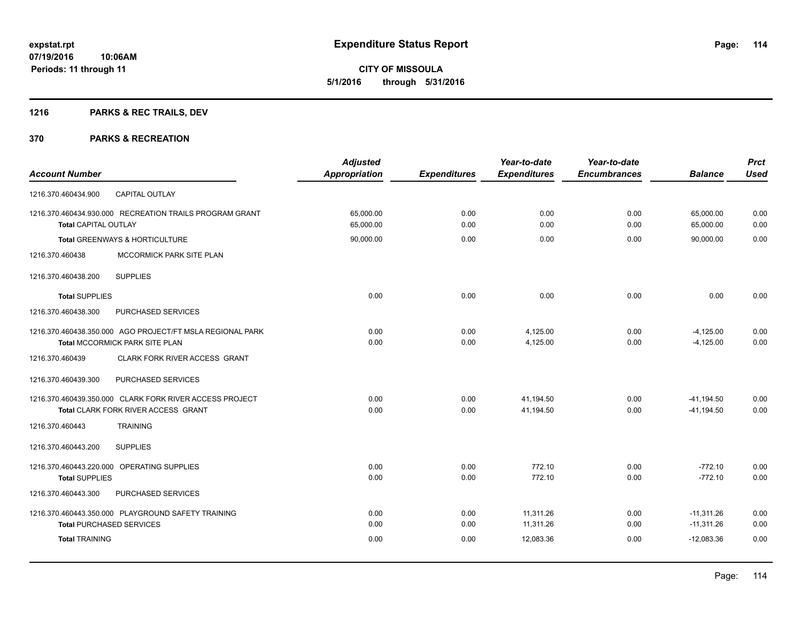# **1216 PARKS & REC TRAILS, DEV**

|                                                           | <b>Adjusted</b>      |                     | Year-to-date        | Year-to-date        |                | <b>Prct</b> |
|-----------------------------------------------------------|----------------------|---------------------|---------------------|---------------------|----------------|-------------|
| <b>Account Number</b>                                     | <b>Appropriation</b> | <b>Expenditures</b> | <b>Expenditures</b> | <b>Encumbrances</b> | <b>Balance</b> | <b>Used</b> |
| <b>CAPITAL OUTLAY</b><br>1216.370.460434.900              |                      |                     |                     |                     |                |             |
| 1216.370.460434.930.000 RECREATION TRAILS PROGRAM GRANT   | 65,000.00            | 0.00                | 0.00                | 0.00                | 65,000.00      | 0.00        |
| <b>Total CAPITAL OUTLAY</b>                               | 65,000.00            | 0.00                | 0.00                | 0.00                | 65,000.00      | 0.00        |
| Total GREENWAYS & HORTICULTURE                            | 90,000.00            | 0.00                | 0.00                | 0.00                | 90,000.00      | 0.00        |
| 1216.370.460438<br>MCCORMICK PARK SITE PLAN               |                      |                     |                     |                     |                |             |
| <b>SUPPLIES</b><br>1216.370.460438.200                    |                      |                     |                     |                     |                |             |
| <b>Total SUPPLIES</b>                                     | 0.00                 | 0.00                | 0.00                | 0.00                | 0.00           | 0.00        |
| 1216.370.460438.300<br>PURCHASED SERVICES                 |                      |                     |                     |                     |                |             |
| 1216.370.460438.350.000 AGO PROJECT/FT MSLA REGIONAL PARK | 0.00                 | 0.00                | 4,125.00            | 0.00                | $-4,125.00$    | 0.00        |
| Total MCCORMICK PARK SITE PLAN                            | 0.00                 | 0.00                | 4,125.00            | 0.00                | $-4,125.00$    | 0.00        |
| CLARK FORK RIVER ACCESS GRANT<br>1216.370.460439          |                      |                     |                     |                     |                |             |
| 1216.370.460439.300<br>PURCHASED SERVICES                 |                      |                     |                     |                     |                |             |
| 1216.370.460439.350.000 CLARK FORK RIVER ACCESS PROJECT   | 0.00                 | 0.00                | 41,194.50           | 0.00                | $-41,194.50$   | 0.00        |
| Total CLARK FORK RIVER ACCESS GRANT                       | 0.00                 | 0.00                | 41,194.50           | 0.00                | $-41,194.50$   | 0.00        |
| 1216.370.460443<br><b>TRAINING</b>                        |                      |                     |                     |                     |                |             |
| 1216.370.460443.200<br><b>SUPPLIES</b>                    |                      |                     |                     |                     |                |             |
| 1216.370.460443.220.000 OPERATING SUPPLIES                | 0.00                 | 0.00                | 772.10              | 0.00                | $-772.10$      | 0.00        |
| <b>Total SUPPLIES</b>                                     | 0.00                 | 0.00                | 772.10              | 0.00                | $-772.10$      | 0.00        |
| 1216.370.460443.300<br>PURCHASED SERVICES                 |                      |                     |                     |                     |                |             |
| 1216.370.460443.350.000 PLAYGROUND SAFETY TRAINING        | 0.00                 | 0.00                | 11,311.26           | 0.00                | $-11,311.26$   | 0.00        |
| <b>Total PURCHASED SERVICES</b>                           | 0.00                 | 0.00                | 11,311.26           | 0.00                | $-11,311.26$   | 0.00        |
| <b>Total TRAINING</b>                                     | 0.00                 | 0.00                | 12,083.36           | 0.00                | $-12,083.36$   | 0.00        |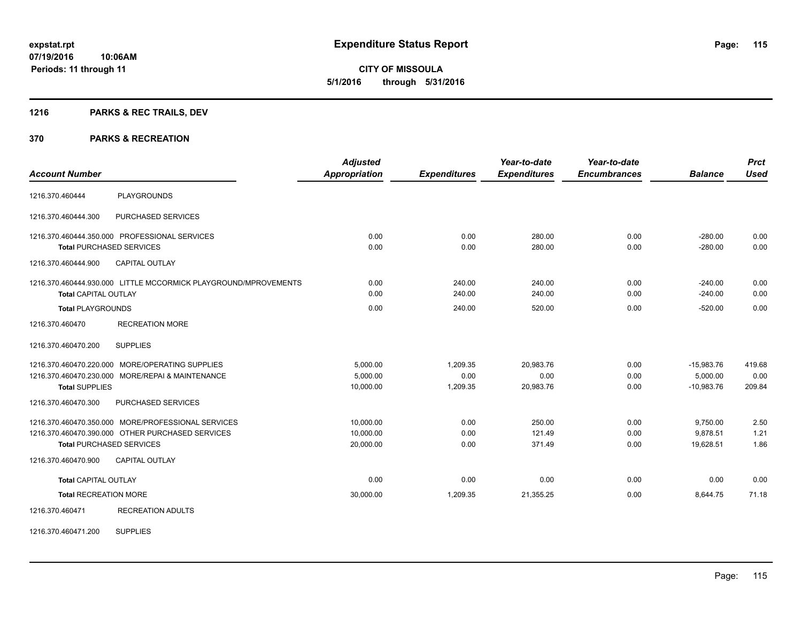**CITY OF MISSOULA 5/1/2016 through 5/31/2016**

# **1216 PARKS & REC TRAILS, DEV**

#### **370 PARKS & RECREATION**

| <b>Account Number</b>        |                                                                                                                                           | <b>Adjusted</b><br><b>Appropriation</b> | <b>Expenditures</b>          | Year-to-date<br><b>Expenditures</b> | Year-to-date<br><b>Encumbrances</b> | <b>Balance</b>                           | <b>Prct</b><br><b>Used</b> |
|------------------------------|-------------------------------------------------------------------------------------------------------------------------------------------|-----------------------------------------|------------------------------|-------------------------------------|-------------------------------------|------------------------------------------|----------------------------|
| 1216.370.460444              | <b>PLAYGROUNDS</b>                                                                                                                        |                                         |                              |                                     |                                     |                                          |                            |
| 1216.370.460444.300          | PURCHASED SERVICES                                                                                                                        |                                         |                              |                                     |                                     |                                          |                            |
|                              | 1216.370.460444.350.000 PROFESSIONAL SERVICES<br><b>Total PURCHASED SERVICES</b>                                                          | 0.00<br>0.00                            | 0.00<br>0.00                 | 280.00<br>280.00                    | 0.00<br>0.00                        | $-280.00$<br>$-280.00$                   | 0.00<br>0.00               |
| 1216.370.460444.900          | <b>CAPITAL OUTLAY</b>                                                                                                                     |                                         |                              |                                     |                                     |                                          |                            |
| <b>Total CAPITAL OUTLAY</b>  | 1216.370.460444.930.000 LITTLE MCCORMICK PLAYGROUND/MPROVEMENTS                                                                           | 0.00<br>0.00                            | 240.00<br>240.00             | 240.00<br>240.00                    | 0.00<br>0.00                        | $-240.00$<br>$-240.00$                   | 0.00<br>0.00               |
| <b>Total PLAYGROUNDS</b>     |                                                                                                                                           | 0.00                                    | 240.00                       | 520.00                              | 0.00                                | $-520.00$                                | 0.00                       |
| 1216.370.460470              | <b>RECREATION MORE</b>                                                                                                                    |                                         |                              |                                     |                                     |                                          |                            |
| 1216.370.460470.200          | <b>SUPPLIES</b>                                                                                                                           |                                         |                              |                                     |                                     |                                          |                            |
| <b>Total SUPPLIES</b>        | 1216.370.460470.220.000 MORE/OPERATING SUPPLIES<br>1216.370.460470.230.000 MORE/REPAI & MAINTENANCE                                       | 5,000.00<br>5,000.00<br>10,000.00       | 1,209.35<br>0.00<br>1,209.35 | 20.983.76<br>0.00<br>20,983.76      | 0.00<br>0.00<br>0.00                | $-15,983.76$<br>5,000.00<br>$-10,983.76$ | 419.68<br>0.00<br>209.84   |
| 1216.370.460470.300          | PURCHASED SERVICES                                                                                                                        |                                         |                              |                                     |                                     |                                          |                            |
|                              | 1216.370.460470.350.000 MORE/PROFESSIONAL SERVICES<br>1216.370.460470.390.000 OTHER PURCHASED SERVICES<br><b>Total PURCHASED SERVICES</b> | 10,000.00<br>10,000.00<br>20,000.00     | 0.00<br>0.00<br>0.00         | 250.00<br>121.49<br>371.49          | 0.00<br>0.00<br>0.00                | 9,750.00<br>9.878.51<br>19,628.51        | 2.50<br>1.21<br>1.86       |
| 1216.370.460470.900          | <b>CAPITAL OUTLAY</b>                                                                                                                     |                                         |                              |                                     |                                     |                                          |                            |
| <b>Total CAPITAL OUTLAY</b>  |                                                                                                                                           | 0.00                                    | 0.00                         | 0.00                                | 0.00                                | 0.00                                     | 0.00                       |
| <b>Total RECREATION MORE</b> |                                                                                                                                           | 30,000.00                               | 1,209.35                     | 21,355.25                           | 0.00                                | 8,644.75                                 | 71.18                      |
| 1216.370.460471              | <b>RECREATION ADULTS</b>                                                                                                                  |                                         |                              |                                     |                                     |                                          |                            |

1216.370.460471.200 SUPPLIES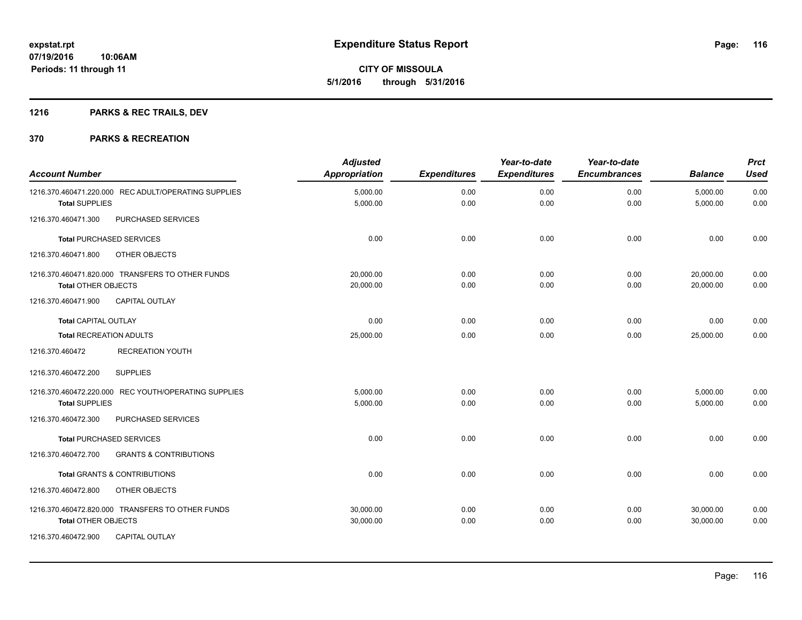**Periods: 11 through 11**

**CITY OF MISSOULA 5/1/2016 through 5/31/2016**

# **1216 PARKS & REC TRAILS, DEV**

**10:06AM**

| <b>Account Number</b>                                    | <b>Adjusted</b><br>Appropriation | <b>Expenditures</b> | Year-to-date<br><b>Expenditures</b> | Year-to-date<br><b>Encumbrances</b> | <b>Balance</b> | <b>Prct</b><br><b>Used</b> |
|----------------------------------------------------------|----------------------------------|---------------------|-------------------------------------|-------------------------------------|----------------|----------------------------|
| 1216.370.460471.220.000 REC ADULT/OPERATING SUPPLIES     | 5,000.00                         | 0.00                | 0.00                                | 0.00                                | 5,000.00       | 0.00                       |
| <b>Total SUPPLIES</b>                                    | 5,000.00                         | 0.00                | 0.00                                | 0.00                                | 5,000.00       | 0.00                       |
| PURCHASED SERVICES<br>1216.370.460471.300                |                                  |                     |                                     |                                     |                |                            |
| Total PURCHASED SERVICES                                 | 0.00                             | 0.00                | 0.00                                | 0.00                                | 0.00           | 0.00                       |
| OTHER OBJECTS<br>1216.370.460471.800                     |                                  |                     |                                     |                                     |                |                            |
| 1216.370.460471.820.000 TRANSFERS TO OTHER FUNDS         | 20,000.00                        | 0.00                | 0.00                                | 0.00                                | 20,000.00      | 0.00                       |
| <b>Total OTHER OBJECTS</b>                               | 20,000.00                        | 0.00                | 0.00                                | 0.00                                | 20,000.00      | 0.00                       |
| 1216.370.460471.900<br><b>CAPITAL OUTLAY</b>             |                                  |                     |                                     |                                     |                |                            |
| <b>Total CAPITAL OUTLAY</b>                              | 0.00                             | 0.00                | 0.00                                | 0.00                                | 0.00           | 0.00                       |
| <b>Total RECREATION ADULTS</b>                           | 25,000.00                        | 0.00                | 0.00                                | 0.00                                | 25,000.00      | 0.00                       |
| 1216.370.460472<br><b>RECREATION YOUTH</b>               |                                  |                     |                                     |                                     |                |                            |
| <b>SUPPLIES</b><br>1216.370.460472.200                   |                                  |                     |                                     |                                     |                |                            |
| 1216.370.460472.220.000 REC YOUTH/OPERATING SUPPLIES     | 5,000.00                         | 0.00                | 0.00                                | 0.00                                | 5,000.00       | 0.00                       |
| <b>Total SUPPLIES</b>                                    | 5,000.00                         | 0.00                | 0.00                                | 0.00                                | 5.000.00       | 0.00                       |
| 1216.370.460472.300<br>PURCHASED SERVICES                |                                  |                     |                                     |                                     |                |                            |
| <b>Total PURCHASED SERVICES</b>                          | 0.00                             | 0.00                | 0.00                                | 0.00                                | 0.00           | 0.00                       |
| 1216.370.460472.700<br><b>GRANTS &amp; CONTRIBUTIONS</b> |                                  |                     |                                     |                                     |                |                            |
| <b>Total GRANTS &amp; CONTRIBUTIONS</b>                  | 0.00                             | 0.00                | 0.00                                | 0.00                                | 0.00           | 0.00                       |
| 1216.370.460472.800<br>OTHER OBJECTS                     |                                  |                     |                                     |                                     |                |                            |
| 1216.370.460472.820.000 TRANSFERS TO OTHER FUNDS         | 30,000.00                        | 0.00                | 0.00                                | 0.00                                | 30,000.00      | 0.00                       |
| <b>Total OTHER OBJECTS</b>                               | 30,000.00                        | 0.00                | 0.00                                | 0.00                                | 30,000.00      | 0.00                       |
| 1216.370.460472.900<br>CAPITAL OUTLAY                    |                                  |                     |                                     |                                     |                |                            |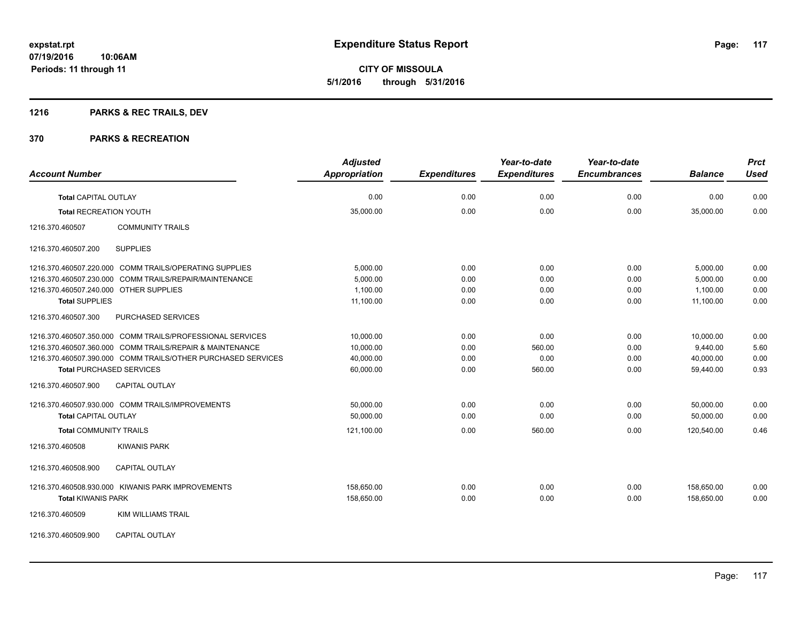# **1216 PARKS & REC TRAILS, DEV**

#### **370 PARKS & RECREATION**

| <b>Account Number</b>                  |                                                              | <b>Adjusted</b><br><b>Appropriation</b> | <b>Expenditures</b> | Year-to-date<br><b>Expenditures</b> | Year-to-date<br><b>Encumbrances</b> | <b>Balance</b>           | <b>Prct</b><br><b>Used</b> |
|----------------------------------------|--------------------------------------------------------------|-----------------------------------------|---------------------|-------------------------------------|-------------------------------------|--------------------------|----------------------------|
|                                        |                                                              | 0.00                                    |                     | 0.00                                |                                     |                          |                            |
| <b>Total CAPITAL OUTLAY</b>            |                                                              |                                         | 0.00                |                                     | 0.00                                | 0.00                     | 0.00                       |
| <b>Total RECREATION YOUTH</b>          |                                                              | 35,000.00                               | 0.00                | 0.00                                | 0.00                                | 35,000.00                | 0.00                       |
| 1216.370.460507                        | <b>COMMUNITY TRAILS</b>                                      |                                         |                     |                                     |                                     |                          |                            |
| 1216.370.460507.200                    | <b>SUPPLIES</b>                                              |                                         |                     |                                     |                                     |                          |                            |
|                                        | 1216.370.460507.220.000 COMM TRAILS/OPERATING SUPPLIES       | 5,000.00                                | 0.00                | 0.00                                | 0.00                                | 5,000.00                 | 0.00                       |
|                                        | 1216.370.460507.230.000 COMM TRAILS/REPAIR/MAINTENANCE       | 5.000.00                                | 0.00                | 0.00                                | 0.00                                | 5.000.00                 | 0.00                       |
| 1216.370.460507.240.000 OTHER SUPPLIES |                                                              | 1,100.00                                | 0.00                | 0.00                                | 0.00                                | 1,100.00                 | 0.00                       |
| <b>Total SUPPLIES</b>                  |                                                              | 11,100.00                               | 0.00                | 0.00                                | 0.00                                | 11.100.00                | 0.00                       |
| 1216.370.460507.300                    | PURCHASED SERVICES                                           |                                         |                     |                                     |                                     |                          |                            |
|                                        | 1216.370.460507.350.000 COMM TRAILS/PROFESSIONAL SERVICES    | 10,000.00                               | 0.00                | 0.00                                | 0.00                                | 10,000.00                | 0.00                       |
|                                        | 1216.370.460507.360.000 COMM TRAILS/REPAIR & MAINTENANCE     | 10,000.00                               | 0.00                | 560.00                              | 0.00                                | 9,440.00                 | 5.60                       |
|                                        | 1216.370.460507.390.000 COMM TRAILS/OTHER PURCHASED SERVICES | 40,000.00                               | 0.00                | 0.00                                | 0.00                                | 40,000.00                | 0.00                       |
| <b>Total PURCHASED SERVICES</b>        |                                                              | 60,000.00                               | 0.00                | 560.00                              | 0.00                                | 59,440.00                | 0.93                       |
| 1216.370.460507.900                    | <b>CAPITAL OUTLAY</b>                                        |                                         |                     |                                     |                                     |                          |                            |
|                                        | 1216.370.460507.930.000 COMM TRAILS/IMPROVEMENTS             | 50,000.00                               | 0.00                | 0.00                                | 0.00                                | 50,000.00                | 0.00                       |
| <b>Total CAPITAL OUTLAY</b>            |                                                              | 50,000.00                               | 0.00                | 0.00                                | 0.00                                | 50,000.00                | 0.00                       |
| <b>Total COMMUNITY TRAILS</b>          |                                                              | 121,100.00                              | 0.00                | 560.00                              | 0.00                                | 120,540.00               | 0.46                       |
| 1216.370.460508                        | <b>KIWANIS PARK</b>                                          |                                         |                     |                                     |                                     |                          |                            |
| 1216.370.460508.900                    | <b>CAPITAL OUTLAY</b>                                        |                                         |                     |                                     |                                     |                          |                            |
| <b>Total KIWANIS PARK</b>              | 1216.370.460508.930.000 KIWANIS PARK IMPROVEMENTS            | 158,650.00<br>158,650.00                | 0.00<br>0.00        | 0.00<br>0.00                        | 0.00<br>0.00                        | 158,650.00<br>158,650.00 | 0.00<br>0.00               |
| 1216.370.460509                        | <b>KIM WILLIAMS TRAIL</b>                                    |                                         |                     |                                     |                                     |                          |                            |

1216.370.460509.900 CAPITAL OUTLAY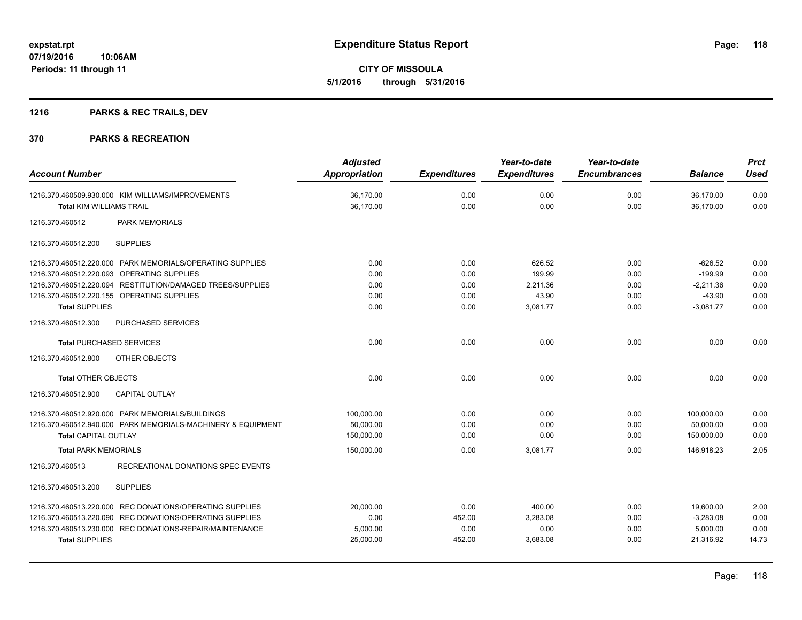# **1216 PARKS & REC TRAILS, DEV**

| <b>Account Number</b>                                      |                                                                                                                                                                                                                     | <b>Adjusted</b><br>Appropriation                    | <b>Expenditures</b>                  | Year-to-date<br><b>Expenditures</b>               | Year-to-date<br><b>Encumbrances</b>  | <b>Balance</b>                                                   | <b>Prct</b><br><b>Used</b>           |
|------------------------------------------------------------|---------------------------------------------------------------------------------------------------------------------------------------------------------------------------------------------------------------------|-----------------------------------------------------|--------------------------------------|---------------------------------------------------|--------------------------------------|------------------------------------------------------------------|--------------------------------------|
| <b>Total KIM WILLIAMS TRAIL</b>                            | 1216.370.460509.930.000 KIM WILLIAMS/IMPROVEMENTS                                                                                                                                                                   | 36,170.00<br>36.170.00                              | 0.00<br>0.00                         | 0.00<br>0.00                                      | 0.00<br>0.00                         | 36,170.00<br>36.170.00                                           | 0.00<br>0.00                         |
| 1216.370.460512                                            | <b>PARK MEMORIALS</b>                                                                                                                                                                                               |                                                     |                                      |                                                   |                                      |                                                                  |                                      |
| 1216.370.460512.200                                        | <b>SUPPLIES</b>                                                                                                                                                                                                     |                                                     |                                      |                                                   |                                      |                                                                  |                                      |
| <b>Total SUPPLIES</b>                                      | 1216.370.460512.220.000 PARK MEMORIALS/OPERATING SUPPLIES<br>1216.370.460512.220.093 OPERATING SUPPLIES<br>1216.370.460512.220.094 RESTITUTION/DAMAGED TREES/SUPPLIES<br>1216.370.460512.220.155 OPERATING SUPPLIES | 0.00<br>0.00<br>0.00<br>0.00<br>0.00                | 0.00<br>0.00<br>0.00<br>0.00<br>0.00 | 626.52<br>199.99<br>2,211.36<br>43.90<br>3,081.77 | 0.00<br>0.00<br>0.00<br>0.00<br>0.00 | $-626.52$<br>$-199.99$<br>$-2,211.36$<br>$-43.90$<br>$-3,081.77$ | 0.00<br>0.00<br>0.00<br>0.00<br>0.00 |
| 1216.370.460512.300                                        | <b>PURCHASED SERVICES</b>                                                                                                                                                                                           |                                                     |                                      |                                                   |                                      |                                                                  |                                      |
| <b>Total PURCHASED SERVICES</b>                            |                                                                                                                                                                                                                     | 0.00                                                | 0.00                                 | 0.00                                              | 0.00                                 | 0.00                                                             | 0.00                                 |
| 1216.370.460512.800                                        | OTHER OBJECTS                                                                                                                                                                                                       |                                                     |                                      |                                                   |                                      |                                                                  |                                      |
| Total OTHER OBJECTS                                        |                                                                                                                                                                                                                     | 0.00                                                | 0.00                                 | 0.00                                              | 0.00                                 | 0.00                                                             | 0.00                                 |
| 1216.370.460512.900                                        | <b>CAPITAL OUTLAY</b>                                                                                                                                                                                               |                                                     |                                      |                                                   |                                      |                                                                  |                                      |
| <b>Total CAPITAL OUTLAY</b><br><b>Total PARK MEMORIALS</b> | 1216.370.460512.920.000 PARK MEMORIALS/BUILDINGS<br>1216.370.460512.940.000 PARK MEMORIALS-MACHINERY & EQUIPMENT                                                                                                    | 100,000.00<br>50,000.00<br>150,000.00<br>150,000.00 | 0.00<br>0.00<br>0.00<br>0.00         | 0.00<br>0.00<br>0.00<br>3,081.77                  | 0.00<br>0.00<br>0.00<br>0.00         | 100,000.00<br>50,000.00<br>150,000.00<br>146.918.23              | 0.00<br>0.00<br>0.00<br>2.05         |
| 1216.370.460513                                            | RECREATIONAL DONATIONS SPEC EVENTS                                                                                                                                                                                  |                                                     |                                      |                                                   |                                      |                                                                  |                                      |
| 1216.370.460513.200                                        | <b>SUPPLIES</b>                                                                                                                                                                                                     |                                                     |                                      |                                                   |                                      |                                                                  |                                      |
| <b>Total SUPPLIES</b>                                      | 1216.370.460513.220.000 REC DONATIONS/OPERATING SUPPLIES<br>1216.370.460513.220.090 REC DONATIONS/OPERATING SUPPLIES<br>1216.370.460513.230.000 REC DONATIONS-REPAIR/MAINTENANCE                                    | 20,000.00<br>0.00<br>5.000.00<br>25,000.00          | 0.00<br>452.00<br>0.00<br>452.00     | 400.00<br>3,283.08<br>0.00<br>3,683.08            | 0.00<br>0.00<br>0.00<br>0.00         | 19,600.00<br>$-3,283.08$<br>5.000.00<br>21,316.92                | 2.00<br>0.00<br>0.00<br>14.73        |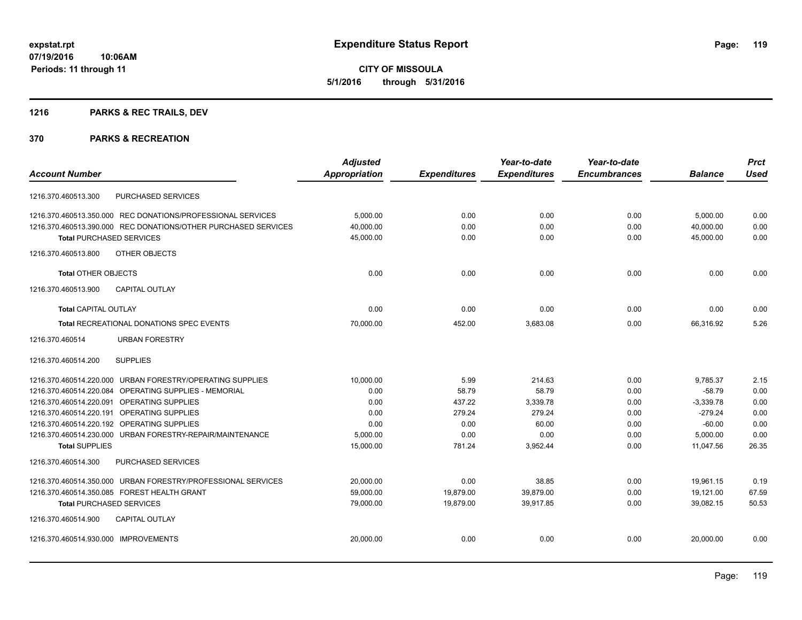# **1216 PARKS & REC TRAILS, DEV**

|                                      |                                                                | <b>Adjusted</b>      |                     | Year-to-date        | Year-to-date        |                | <b>Prct</b> |
|--------------------------------------|----------------------------------------------------------------|----------------------|---------------------|---------------------|---------------------|----------------|-------------|
| <b>Account Number</b>                |                                                                | <b>Appropriation</b> | <b>Expenditures</b> | <b>Expenditures</b> | <b>Encumbrances</b> | <b>Balance</b> | <b>Used</b> |
| 1216.370.460513.300                  | <b>PURCHASED SERVICES</b>                                      |                      |                     |                     |                     |                |             |
|                                      | 1216.370.460513.350.000 REC DONATIONS/PROFESSIONAL SERVICES    | 5,000.00             | 0.00                | 0.00                | 0.00                | 5,000.00       | 0.00        |
|                                      | 1216.370.460513.390.000 REC DONATIONS/OTHER PURCHASED SERVICES | 40,000.00            | 0.00                | 0.00                | 0.00                | 40.000.00      | 0.00        |
| <b>Total PURCHASED SERVICES</b>      |                                                                | 45,000.00            | 0.00                | 0.00                | 0.00                | 45,000.00      | 0.00        |
| 1216.370.460513.800                  | OTHER OBJECTS                                                  |                      |                     |                     |                     |                |             |
| <b>Total OTHER OBJECTS</b>           |                                                                | 0.00                 | 0.00                | 0.00                | 0.00                | 0.00           | 0.00        |
| 1216.370.460513.900                  | <b>CAPITAL OUTLAY</b>                                          |                      |                     |                     |                     |                |             |
| <b>Total CAPITAL OUTLAY</b>          |                                                                | 0.00                 | 0.00                | 0.00                | 0.00                | 0.00           | 0.00        |
|                                      | Total RECREATIONAL DONATIONS SPEC EVENTS                       | 70,000.00            | 452.00              | 3,683.08            | 0.00                | 66.316.92      | 5.26        |
| 1216.370.460514                      | <b>URBAN FORESTRY</b>                                          |                      |                     |                     |                     |                |             |
| 1216.370.460514.200                  | <b>SUPPLIES</b>                                                |                      |                     |                     |                     |                |             |
|                                      | 1216.370.460514.220.000 URBAN FORESTRY/OPERATING SUPPLIES      | 10,000.00            | 5.99                | 214.63              | 0.00                | 9,785.37       | 2.15        |
|                                      | 1216.370.460514.220.084 OPERATING SUPPLIES - MEMORIAL          | 0.00                 | 58.79               | 58.79               | 0.00                | $-58.79$       | 0.00        |
| 1216.370.460514.220.091              | OPERATING SUPPLIES                                             | 0.00                 | 437.22              | 3,339.78            | 0.00                | $-3,339.78$    | 0.00        |
| 1216.370.460514.220.191              | OPERATING SUPPLIES                                             | 0.00                 | 279.24              | 279.24              | 0.00                | $-279.24$      | 0.00        |
|                                      | 1216.370.460514.220.192 OPERATING SUPPLIES                     | 0.00                 | 0.00                | 60.00               | 0.00                | $-60.00$       | 0.00        |
|                                      | 1216.370.460514.230.000 URBAN FORESTRY-REPAIR/MAINTENANCE      | 5,000.00             | 0.00                | 0.00                | 0.00                | 5,000.00       | 0.00        |
| <b>Total SUPPLIES</b>                |                                                                | 15,000.00            | 781.24              | 3,952.44            | 0.00                | 11,047.56      | 26.35       |
| 1216.370.460514.300                  | PURCHASED SERVICES                                             |                      |                     |                     |                     |                |             |
|                                      | 1216.370.460514.350.000 URBAN FORESTRY/PROFESSIONAL SERVICES   | 20.000.00            | 0.00                | 38.85               | 0.00                | 19.961.15      | 0.19        |
|                                      | 1216.370.460514.350.085 FOREST HEALTH GRANT                    | 59,000.00            | 19,879.00           | 39,879.00           | 0.00                | 19,121.00      | 67.59       |
| <b>Total PURCHASED SERVICES</b>      |                                                                | 79,000.00            | 19,879.00           | 39,917.85           | 0.00                | 39,082.15      | 50.53       |
| 1216.370.460514.900                  | <b>CAPITAL OUTLAY</b>                                          |                      |                     |                     |                     |                |             |
| 1216.370.460514.930.000 IMPROVEMENTS |                                                                | 20,000.00            | 0.00                | 0.00                | 0.00                | 20,000.00      | 0.00        |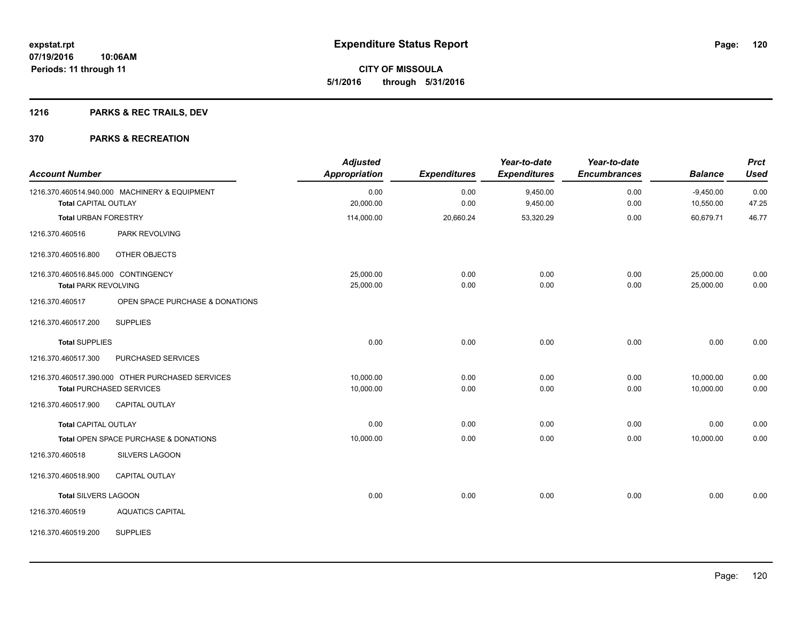# **1216 PARKS & REC TRAILS, DEV**

| <b>Account Number</b>               |                                                  | <b>Adjusted</b><br>Appropriation | <b>Expenditures</b> | Year-to-date<br><b>Expenditures</b> | Year-to-date<br><b>Encumbrances</b> | <b>Balance</b>           | <b>Prct</b><br><b>Used</b> |
|-------------------------------------|--------------------------------------------------|----------------------------------|---------------------|-------------------------------------|-------------------------------------|--------------------------|----------------------------|
| <b>Total CAPITAL OUTLAY</b>         | 1216.370.460514.940.000 MACHINERY & EQUIPMENT    | 0.00<br>20,000.00                | 0.00<br>0.00        | 9,450.00<br>9,450.00                | 0.00<br>0.00                        | $-9,450.00$<br>10,550.00 | 0.00<br>47.25              |
|                                     |                                                  |                                  |                     |                                     |                                     |                          |                            |
| <b>Total URBAN FORESTRY</b>         |                                                  | 114,000.00                       | 20,660.24           | 53,320.29                           | 0.00                                | 60,679.71                | 46.77                      |
| 1216.370.460516                     | PARK REVOLVING                                   |                                  |                     |                                     |                                     |                          |                            |
| 1216.370.460516.800                 | OTHER OBJECTS                                    |                                  |                     |                                     |                                     |                          |                            |
| 1216.370.460516.845.000 CONTINGENCY |                                                  | 25,000.00                        | 0.00                | 0.00                                | 0.00                                | 25,000.00                | 0.00                       |
| <b>Total PARK REVOLVING</b>         |                                                  | 25,000.00                        | 0.00                | 0.00                                | 0.00                                | 25,000.00                | 0.00                       |
| 1216.370.460517                     | OPEN SPACE PURCHASE & DONATIONS                  |                                  |                     |                                     |                                     |                          |                            |
| 1216.370.460517.200                 | <b>SUPPLIES</b>                                  |                                  |                     |                                     |                                     |                          |                            |
| <b>Total SUPPLIES</b>               |                                                  | 0.00                             | 0.00                | 0.00                                | 0.00                                | 0.00                     | 0.00                       |
| 1216.370.460517.300                 | PURCHASED SERVICES                               |                                  |                     |                                     |                                     |                          |                            |
|                                     | 1216.370.460517.390.000 OTHER PURCHASED SERVICES | 10,000.00                        | 0.00                | 0.00                                | 0.00                                | 10,000.00                | 0.00                       |
|                                     | <b>Total PURCHASED SERVICES</b>                  | 10,000.00                        | 0.00                | 0.00                                | 0.00                                | 10,000.00                | 0.00                       |
| 1216.370.460517.900                 | <b>CAPITAL OUTLAY</b>                            |                                  |                     |                                     |                                     |                          |                            |
| <b>Total CAPITAL OUTLAY</b>         |                                                  | 0.00                             | 0.00                | 0.00                                | 0.00                                | 0.00                     | 0.00                       |
|                                     | Total OPEN SPACE PURCHASE & DONATIONS            | 10,000.00                        | 0.00                | 0.00                                | 0.00                                | 10,000.00                | 0.00                       |
| 1216.370.460518                     | <b>SILVERS LAGOON</b>                            |                                  |                     |                                     |                                     |                          |                            |
| 1216.370.460518.900                 | <b>CAPITAL OUTLAY</b>                            |                                  |                     |                                     |                                     |                          |                            |
| <b>Total SILVERS LAGOON</b>         |                                                  | 0.00                             | 0.00                | 0.00                                | 0.00                                | 0.00                     | 0.00                       |
| 1216.370.460519                     | <b>AQUATICS CAPITAL</b>                          |                                  |                     |                                     |                                     |                          |                            |
| 1216.370.460519.200                 | <b>SUPPLIES</b>                                  |                                  |                     |                                     |                                     |                          |                            |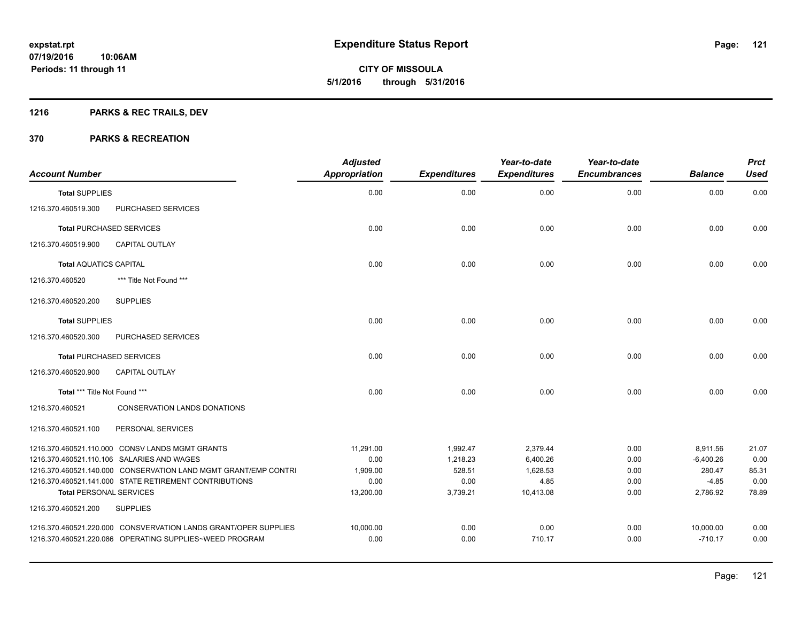**121**

**07/19/2016 10:06AM Periods: 11 through 11**

**CITY OF MISSOULA 5/1/2016 through 5/31/2016**

# **1216 PARKS & REC TRAILS, DEV**

| <b>Account Number</b>          |                                                                 | <b>Adjusted</b><br><b>Appropriation</b> | <b>Expenditures</b> | Year-to-date<br><b>Expenditures</b> | Year-to-date<br><b>Encumbrances</b> | <b>Balance</b> | <b>Prct</b><br><b>Used</b> |
|--------------------------------|-----------------------------------------------------------------|-----------------------------------------|---------------------|-------------------------------------|-------------------------------------|----------------|----------------------------|
| <b>Total SUPPLIES</b>          |                                                                 | 0.00                                    | 0.00                | 0.00                                | 0.00                                | 0.00           | 0.00                       |
| 1216.370.460519.300            | PURCHASED SERVICES                                              |                                         |                     |                                     |                                     |                |                            |
|                                | <b>Total PURCHASED SERVICES</b>                                 | 0.00                                    | 0.00                | 0.00                                | 0.00                                | 0.00           | 0.00                       |
| 1216.370.460519.900            | <b>CAPITAL OUTLAY</b>                                           |                                         |                     |                                     |                                     |                |                            |
| <b>Total AQUATICS CAPITAL</b>  |                                                                 | 0.00                                    | 0.00                | 0.00                                | 0.00                                | 0.00           | 0.00                       |
| 1216.370.460520                | *** Title Not Found ***                                         |                                         |                     |                                     |                                     |                |                            |
| 1216.370.460520.200            | <b>SUPPLIES</b>                                                 |                                         |                     |                                     |                                     |                |                            |
| <b>Total SUPPLIES</b>          |                                                                 | 0.00                                    | 0.00                | 0.00                                | 0.00                                | 0.00           | 0.00                       |
| 1216.370.460520.300            | PURCHASED SERVICES                                              |                                         |                     |                                     |                                     |                |                            |
|                                | <b>Total PURCHASED SERVICES</b>                                 | 0.00                                    | 0.00                | 0.00                                | 0.00                                | 0.00           | 0.00                       |
| 1216.370.460520.900            | <b>CAPITAL OUTLAY</b>                                           |                                         |                     |                                     |                                     |                |                            |
| Total *** Title Not Found ***  |                                                                 | 0.00                                    | 0.00                | 0.00                                | 0.00                                | 0.00           | 0.00                       |
| 1216.370.460521                | CONSERVATION LANDS DONATIONS                                    |                                         |                     |                                     |                                     |                |                            |
| 1216.370.460521.100            | PERSONAL SERVICES                                               |                                         |                     |                                     |                                     |                |                            |
|                                | 1216.370.460521.110.000 CONSV LANDS MGMT GRANTS                 | 11,291.00                               | 1,992.47            | 2,379.44                            | 0.00                                | 8,911.56       | 21.07                      |
|                                | 1216.370.460521.110.106 SALARIES AND WAGES                      | 0.00                                    | 1,218.23            | 6,400.26                            | 0.00                                | $-6,400.26$    | 0.00                       |
|                                | 1216.370.460521.140.000 CONSERVATION LAND MGMT GRANT/EMP CONTRI | 1,909.00                                | 528.51              | 1,628.53                            | 0.00                                | 280.47         | 85.31                      |
|                                | 1216.370.460521.141.000 STATE RETIREMENT CONTRIBUTIONS          | 0.00                                    | 0.00                | 4.85                                | 0.00                                | $-4.85$        | 0.00                       |
| <b>Total PERSONAL SERVICES</b> |                                                                 | 13,200.00                               | 3,739.21            | 10,413.08                           | 0.00                                | 2,786.92       | 78.89                      |
| 1216.370.460521.200            | <b>SUPPLIES</b>                                                 |                                         |                     |                                     |                                     |                |                            |
|                                | 1216.370.460521.220.000 CONSVERVATION LANDS GRANT/OPER SUPPLIES | 10,000.00                               | 0.00                | 0.00                                | 0.00                                | 10,000.00      | 0.00                       |
|                                | 1216.370.460521.220.086 OPERATING SUPPLIES~WEED PROGRAM         | 0.00                                    | 0.00                | 710.17                              | 0.00                                | $-710.17$      | 0.00                       |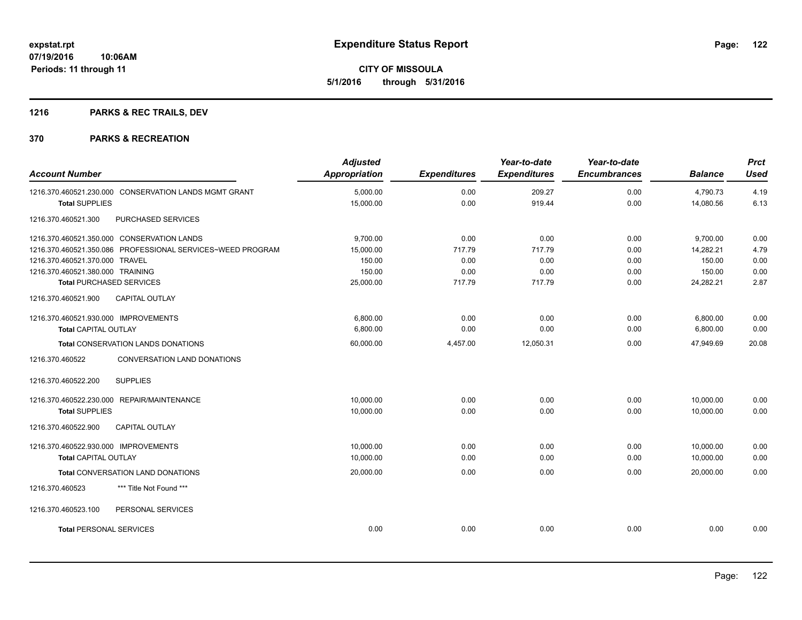# **1216 PARKS & REC TRAILS, DEV**

| <b>Account Number</b>                |                                                            | <b>Adjusted</b><br><b>Appropriation</b> | <b>Expenditures</b> | Year-to-date<br><b>Expenditures</b> | Year-to-date<br><b>Encumbrances</b> | <b>Balance</b> | <b>Prct</b><br>Used |
|--------------------------------------|------------------------------------------------------------|-----------------------------------------|---------------------|-------------------------------------|-------------------------------------|----------------|---------------------|
|                                      | 1216.370.460521.230.000 CONSERVATION LANDS MGMT GRANT      | 5,000.00                                | 0.00                | 209.27                              | 0.00                                | 4,790.73       | 4.19                |
| <b>Total SUPPLIES</b>                |                                                            | 15,000.00                               | 0.00                | 919.44                              | 0.00                                | 14,080.56      | 6.13                |
| 1216.370.460521.300                  | PURCHASED SERVICES                                         |                                         |                     |                                     |                                     |                |                     |
|                                      | 1216.370.460521.350.000 CONSERVATION LANDS                 | 9,700.00                                | 0.00                | 0.00                                | 0.00                                | 9,700.00       | 0.00                |
|                                      | 1216.370.460521.350.086 PROFESSIONAL SERVICES~WEED PROGRAM | 15,000.00                               | 717.79              | 717.79                              | 0.00                                | 14,282.21      | 4.79                |
| 1216.370.460521.370.000 TRAVEL       |                                                            | 150.00                                  | 0.00                | 0.00                                | 0.00                                | 150.00         | 0.00                |
| 1216.370.460521.380.000 TRAINING     |                                                            | 150.00                                  | 0.00                | 0.00                                | 0.00                                | 150.00         | 0.00                |
| <b>Total PURCHASED SERVICES</b>      |                                                            | 25,000.00                               | 717.79              | 717.79                              | 0.00                                | 24,282.21      | 2.87                |
| 1216.370.460521.900                  | CAPITAL OUTLAY                                             |                                         |                     |                                     |                                     |                |                     |
| 1216.370.460521.930.000 IMPROVEMENTS |                                                            | 6,800.00                                | 0.00                | 0.00                                | 0.00                                | 6,800.00       | 0.00                |
| <b>Total CAPITAL OUTLAY</b>          |                                                            | 6.800.00                                | 0.00                | 0.00                                | 0.00                                | 6,800.00       | 0.00                |
|                                      | Total CONSERVATION LANDS DONATIONS                         | 60,000.00                               | 4,457.00            | 12,050.31                           | 0.00                                | 47.949.69      | 20.08               |
| 1216.370.460522                      | CONVERSATION LAND DONATIONS                                |                                         |                     |                                     |                                     |                |                     |
| 1216.370.460522.200                  | <b>SUPPLIES</b>                                            |                                         |                     |                                     |                                     |                |                     |
|                                      | 1216.370.460522.230.000 REPAIR/MAINTENANCE                 | 10,000.00                               | 0.00                | 0.00                                | 0.00                                | 10,000.00      | 0.00                |
| <b>Total SUPPLIES</b>                |                                                            | 10,000.00                               | 0.00                | 0.00                                | 0.00                                | 10,000.00      | 0.00                |
| 1216.370.460522.900                  | <b>CAPITAL OUTLAY</b>                                      |                                         |                     |                                     |                                     |                |                     |
| 1216.370.460522.930.000 IMPROVEMENTS |                                                            | 10,000.00                               | 0.00                | 0.00                                | 0.00                                | 10,000.00      | 0.00                |
| <b>Total CAPITAL OUTLAY</b>          |                                                            | 10,000.00                               | 0.00                | 0.00                                | 0.00                                | 10,000.00      | 0.00                |
|                                      | Total CONVERSATION LAND DONATIONS                          | 20,000.00                               | 0.00                | 0.00                                | 0.00                                | 20,000.00      | 0.00                |
| 1216.370.460523                      | *** Title Not Found ***                                    |                                         |                     |                                     |                                     |                |                     |
| 1216.370.460523.100                  | PERSONAL SERVICES                                          |                                         |                     |                                     |                                     |                |                     |
| <b>Total PERSONAL SERVICES</b>       |                                                            | 0.00                                    | 0.00                | 0.00                                | 0.00                                | 0.00           | 0.00                |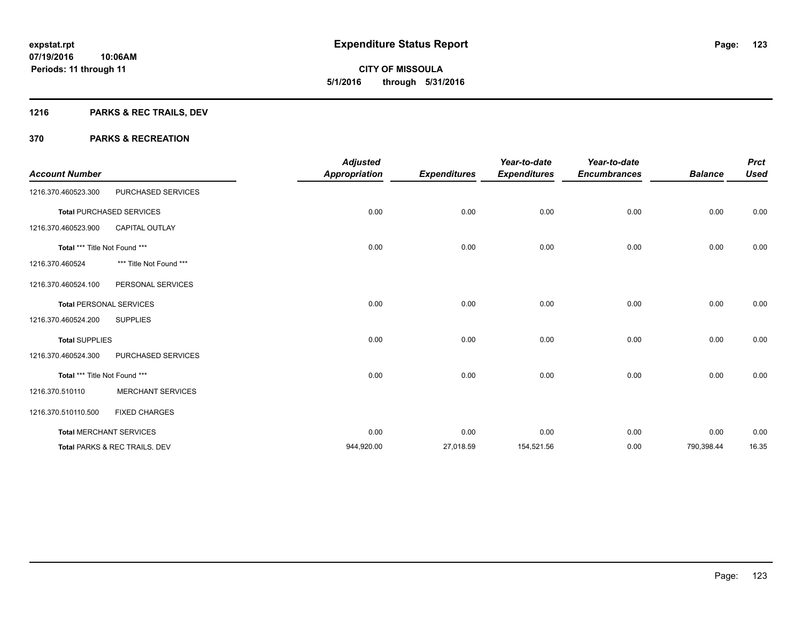**Periods: 11 through 11**

**CITY OF MISSOULA 5/1/2016 through 5/31/2016**

# **1216 PARKS & REC TRAILS, DEV**

| <b>Account Number</b>         |                                 | <b>Adjusted</b><br><b>Appropriation</b> | <b>Expenditures</b> | Year-to-date<br><b>Expenditures</b> | Year-to-date<br><b>Encumbrances</b> | <b>Balance</b> | <b>Prct</b><br><b>Used</b> |
|-------------------------------|---------------------------------|-----------------------------------------|---------------------|-------------------------------------|-------------------------------------|----------------|----------------------------|
| 1216.370.460523.300           | PURCHASED SERVICES              |                                         |                     |                                     |                                     |                |                            |
|                               | <b>Total PURCHASED SERVICES</b> | 0.00                                    | 0.00                | 0.00                                | 0.00                                | 0.00           | 0.00                       |
| 1216.370.460523.900           | <b>CAPITAL OUTLAY</b>           |                                         |                     |                                     |                                     |                |                            |
| Total *** Title Not Found *** |                                 | 0.00                                    | 0.00                | 0.00                                | 0.00                                | 0.00           | 0.00                       |
| 1216.370.460524               | *** Title Not Found ***         |                                         |                     |                                     |                                     |                |                            |
| 1216.370.460524.100           | PERSONAL SERVICES               |                                         |                     |                                     |                                     |                |                            |
|                               | <b>Total PERSONAL SERVICES</b>  | 0.00                                    | 0.00                | 0.00                                | 0.00                                | 0.00           | 0.00                       |
| 1216.370.460524.200           | <b>SUPPLIES</b>                 |                                         |                     |                                     |                                     |                |                            |
| <b>Total SUPPLIES</b>         |                                 | 0.00                                    | 0.00                | 0.00                                | 0.00                                | 0.00           | 0.00                       |
| 1216.370.460524.300           | PURCHASED SERVICES              |                                         |                     |                                     |                                     |                |                            |
| Total *** Title Not Found *** |                                 | 0.00                                    | 0.00                | 0.00                                | 0.00                                | 0.00           | 0.00                       |
| 1216.370.510110               | <b>MERCHANT SERVICES</b>        |                                         |                     |                                     |                                     |                |                            |
| 1216.370.510110.500           | <b>FIXED CHARGES</b>            |                                         |                     |                                     |                                     |                |                            |
|                               | <b>Total MERCHANT SERVICES</b>  | 0.00                                    | 0.00                | 0.00                                | 0.00                                | 0.00           | 0.00                       |
|                               | Total PARKS & REC TRAILS, DEV   | 944,920.00                              | 27,018.59           | 154,521.56                          | 0.00                                | 790,398.44     | 16.35                      |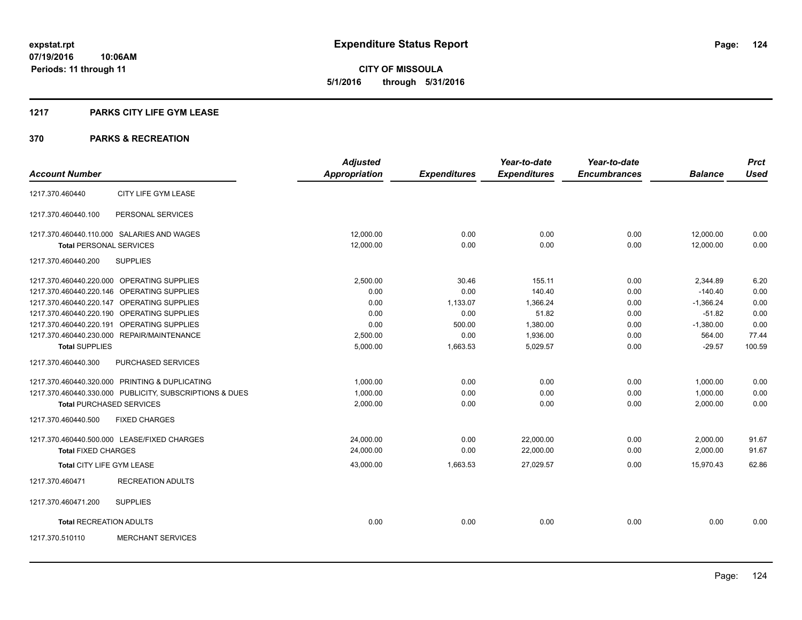**CITY OF MISSOULA 5/1/2016 through 5/31/2016**

#### **1217 PARKS CITY LIFE GYM LEASE**

|                                |                                                         | <b>Adjusted</b>      |                     | Year-to-date        | Year-to-date        |                | <b>Prct</b> |
|--------------------------------|---------------------------------------------------------|----------------------|---------------------|---------------------|---------------------|----------------|-------------|
| <b>Account Number</b>          |                                                         | <b>Appropriation</b> | <b>Expenditures</b> | <b>Expenditures</b> | <b>Encumbrances</b> | <b>Balance</b> | <b>Used</b> |
| 1217.370.460440                | CITY LIFE GYM LEASE                                     |                      |                     |                     |                     |                |             |
| 1217.370.460440.100            | PERSONAL SERVICES                                       |                      |                     |                     |                     |                |             |
|                                | 1217.370.460440.110.000 SALARIES AND WAGES              | 12,000.00            | 0.00                | 0.00                | 0.00                | 12,000.00      | 0.00        |
| <b>Total PERSONAL SERVICES</b> |                                                         | 12,000.00            | 0.00                | 0.00                | 0.00                | 12,000.00      | 0.00        |
| 1217.370.460440.200            | <b>SUPPLIES</b>                                         |                      |                     |                     |                     |                |             |
|                                | 1217.370.460440.220.000 OPERATING SUPPLIES              | 2,500.00             | 30.46               | 155.11              | 0.00                | 2,344.89       | 6.20        |
|                                | 1217.370.460440.220.146 OPERATING SUPPLIES              | 0.00                 | 0.00                | 140.40              | 0.00                | $-140.40$      | 0.00        |
|                                | 1217.370.460440.220.147 OPERATING SUPPLIES              | 0.00                 | 1,133.07            | 1,366.24            | 0.00                | $-1,366.24$    | 0.00        |
|                                | 1217.370.460440.220.190 OPERATING SUPPLIES              | 0.00                 | 0.00                | 51.82               | 0.00                | $-51.82$       | 0.00        |
|                                | 1217.370.460440.220.191 OPERATING SUPPLIES              | 0.00                 | 500.00              | 1,380.00            | 0.00                | $-1,380.00$    | 0.00        |
|                                | 1217.370.460440.230.000 REPAIR/MAINTENANCE              | 2,500.00             | 0.00                | 1,936.00            | 0.00                | 564.00         | 77.44       |
| <b>Total SUPPLIES</b>          |                                                         | 5,000.00             | 1,663.53            | 5,029.57            | 0.00                | $-29.57$       | 100.59      |
| 1217.370.460440.300            | PURCHASED SERVICES                                      |                      |                     |                     |                     |                |             |
|                                | 1217.370.460440.320.000 PRINTING & DUPLICATING          | 1,000.00             | 0.00                | 0.00                | 0.00                | 1,000.00       | 0.00        |
|                                | 1217.370.460440.330.000 PUBLICITY, SUBSCRIPTIONS & DUES | 1,000.00             | 0.00                | 0.00                | 0.00                | 1,000.00       | 0.00        |
|                                | <b>Total PURCHASED SERVICES</b>                         | 2,000.00             | 0.00                | 0.00                | 0.00                | 2,000.00       | 0.00        |
| 1217.370.460440.500            | <b>FIXED CHARGES</b>                                    |                      |                     |                     |                     |                |             |
|                                | 1217.370.460440.500.000 LEASE/FIXED CHARGES             | 24,000.00            | 0.00                | 22,000.00           | 0.00                | 2,000.00       | 91.67       |
| <b>Total FIXED CHARGES</b>     |                                                         | 24,000.00            | 0.00                | 22,000.00           | 0.00                | 2,000.00       | 91.67       |
| Total CITY LIFE GYM LEASE      |                                                         | 43,000.00            | 1,663.53            | 27,029.57           | 0.00                | 15.970.43      | 62.86       |
| 1217.370.460471                | <b>RECREATION ADULTS</b>                                |                      |                     |                     |                     |                |             |
| 1217.370.460471.200            | <b>SUPPLIES</b>                                         |                      |                     |                     |                     |                |             |
| <b>Total RECREATION ADULTS</b> |                                                         | 0.00                 | 0.00                | 0.00                | 0.00                | 0.00           | 0.00        |
| 1217.370.510110                | <b>MERCHANT SERVICES</b>                                |                      |                     |                     |                     |                |             |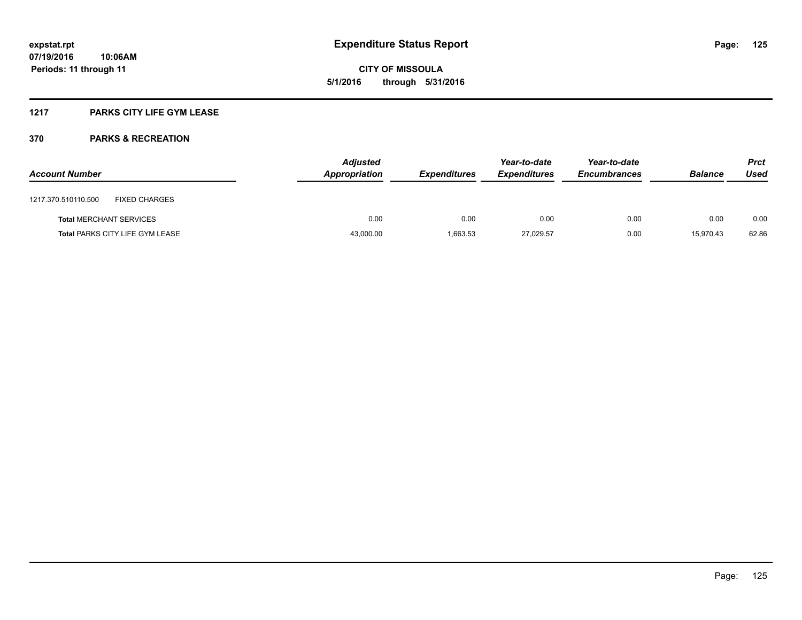**CITY OF MISSOULA 5/1/2016 through 5/31/2016**

## **1217 PARKS CITY LIFE GYM LEASE**

| <b>Account Number</b> |                                        | <b>Adjusted</b><br>Appropriation | <b>Expenditures</b> | Year-to-date<br><b>Expenditures</b> | Year-to-date<br><b>Encumbrances</b> | <b>Balance</b> | <b>Prct</b><br>Used |
|-----------------------|----------------------------------------|----------------------------------|---------------------|-------------------------------------|-------------------------------------|----------------|---------------------|
| 1217.370.510110.500   | <b>FIXED CHARGES</b>                   |                                  |                     |                                     |                                     |                |                     |
|                       | <b>Total MERCHANT SERVICES</b>         | 0.00                             | 0.00                | 0.00                                | 0.00                                | 0.00           | 0.00                |
|                       | <b>Total PARKS CITY LIFE GYM LEASE</b> | 43,000.00                        | 1,663.53            | 27,029.57                           | 0.00                                | 15.970.43      | 62.86               |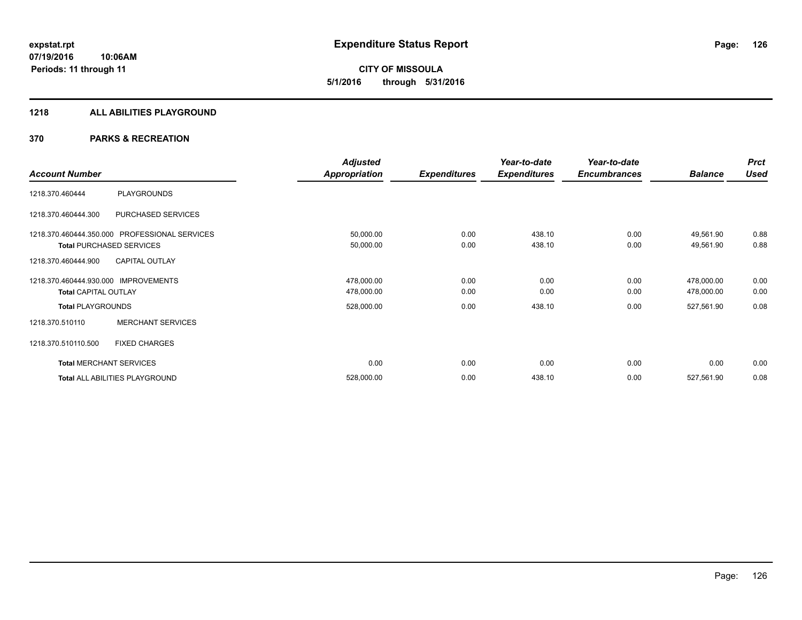**CITY OF MISSOULA 5/1/2016 through 5/31/2016**

#### **1218 ALL ABILITIES PLAYGROUND**

|                                      |                                               | <b>Adjusted</b>      |                     | Year-to-date        | Year-to-date        |                | <b>Prct</b> |
|--------------------------------------|-----------------------------------------------|----------------------|---------------------|---------------------|---------------------|----------------|-------------|
| <b>Account Number</b>                |                                               | <b>Appropriation</b> | <b>Expenditures</b> | <b>Expenditures</b> | <b>Encumbrances</b> | <b>Balance</b> | <b>Used</b> |
| 1218.370.460444                      | <b>PLAYGROUNDS</b>                            |                      |                     |                     |                     |                |             |
| 1218.370.460444.300                  | PURCHASED SERVICES                            |                      |                     |                     |                     |                |             |
|                                      | 1218.370.460444.350.000 PROFESSIONAL SERVICES | 50,000.00            | 0.00                | 438.10              | 0.00                | 49,561.90      | 0.88        |
|                                      | <b>Total PURCHASED SERVICES</b>               | 50,000.00            | 0.00                | 438.10              | 0.00                | 49,561.90      | 0.88        |
| 1218.370.460444.900                  | <b>CAPITAL OUTLAY</b>                         |                      |                     |                     |                     |                |             |
| 1218.370.460444.930.000 IMPROVEMENTS |                                               | 478,000.00           | 0.00                | 0.00                | 0.00                | 478,000.00     | 0.00        |
| <b>Total CAPITAL OUTLAY</b>          |                                               | 478,000.00           | 0.00                | 0.00                | 0.00                | 478,000.00     | 0.00        |
| <b>Total PLAYGROUNDS</b>             |                                               | 528,000.00           | 0.00                | 438.10              | 0.00                | 527,561.90     | 0.08        |
| 1218.370.510110                      | <b>MERCHANT SERVICES</b>                      |                      |                     |                     |                     |                |             |
| 1218.370.510110.500                  | <b>FIXED CHARGES</b>                          |                      |                     |                     |                     |                |             |
|                                      | <b>Total MERCHANT SERVICES</b>                | 0.00                 | 0.00                | 0.00                | 0.00                | 0.00           | 0.00        |
|                                      | Total ALL ABILITIES PLAYGROUND                | 528,000.00           | 0.00                | 438.10              | 0.00                | 527,561.90     | 0.08        |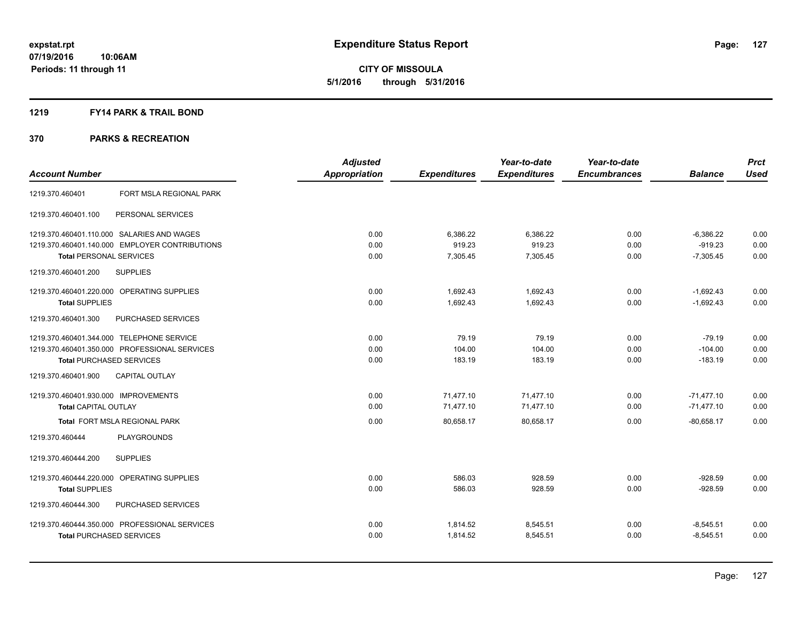#### **1219 FY14 PARK & TRAIL BOND**

|                                                | <b>Adjusted</b>      |                     | Year-to-date        | Year-to-date        |                | <b>Prct</b> |
|------------------------------------------------|----------------------|---------------------|---------------------|---------------------|----------------|-------------|
| <b>Account Number</b>                          | <b>Appropriation</b> | <b>Expenditures</b> | <b>Expenditures</b> | <b>Encumbrances</b> | <b>Balance</b> | <b>Used</b> |
| FORT MSLA REGIONAL PARK<br>1219.370.460401     |                      |                     |                     |                     |                |             |
| 1219.370.460401.100<br>PERSONAL SERVICES       |                      |                     |                     |                     |                |             |
| 1219.370.460401.110.000 SALARIES AND WAGES     | 0.00                 | 6,386.22            | 6,386.22            | 0.00                | $-6,386.22$    | 0.00        |
| 1219.370.460401.140.000 EMPLOYER CONTRIBUTIONS | 0.00                 | 919.23              | 919.23              | 0.00                | $-919.23$      | 0.00        |
| <b>Total PERSONAL SERVICES</b>                 | 0.00                 | 7,305.45            | 7,305.45            | 0.00                | $-7,305.45$    | 0.00        |
| 1219.370.460401.200<br><b>SUPPLIES</b>         |                      |                     |                     |                     |                |             |
| 1219.370.460401.220.000 OPERATING SUPPLIES     | 0.00                 | 1.692.43            | 1.692.43            | 0.00                | $-1,692.43$    | 0.00        |
| <b>Total SUPPLIES</b>                          | 0.00                 | 1,692.43            | 1,692.43            | 0.00                | $-1,692.43$    | 0.00        |
| 1219.370.460401.300<br>PURCHASED SERVICES      |                      |                     |                     |                     |                |             |
| 1219.370.460401.344.000 TELEPHONE SERVICE      | 0.00                 | 79.19               | 79.19               | 0.00                | $-79.19$       | 0.00        |
| 1219.370.460401.350.000 PROFESSIONAL SERVICES  | 0.00                 | 104.00              | 104.00              | 0.00                | $-104.00$      | 0.00        |
| <b>Total PURCHASED SERVICES</b>                | 0.00                 | 183.19              | 183.19              | 0.00                | $-183.19$      | 0.00        |
| 1219.370.460401.900<br><b>CAPITAL OUTLAY</b>   |                      |                     |                     |                     |                |             |
| 1219.370.460401.930.000 IMPROVEMENTS           | 0.00                 | 71,477.10           | 71,477.10           | 0.00                | $-71,477.10$   | 0.00        |
| <b>Total CAPITAL OUTLAY</b>                    | 0.00                 | 71,477.10           | 71,477.10           | 0.00                | $-71,477.10$   | 0.00        |
| Total FORT MSLA REGIONAL PARK                  | 0.00                 | 80,658.17           | 80,658.17           | 0.00                | $-80,658.17$   | 0.00        |
| 1219.370.460444<br><b>PLAYGROUNDS</b>          |                      |                     |                     |                     |                |             |
| 1219.370.460444.200<br><b>SUPPLIES</b>         |                      |                     |                     |                     |                |             |
| 1219.370.460444.220.000 OPERATING SUPPLIES     | 0.00                 | 586.03              | 928.59              | 0.00                | $-928.59$      | 0.00        |
| <b>Total SUPPLIES</b>                          | 0.00                 | 586.03              | 928.59              | 0.00                | $-928.59$      | 0.00        |
| 1219.370.460444.300<br>PURCHASED SERVICES      |                      |                     |                     |                     |                |             |
| 1219.370.460444.350.000 PROFESSIONAL SERVICES  | 0.00                 | 1,814.52            | 8,545.51            | 0.00                | $-8,545.51$    | 0.00        |
| <b>Total PURCHASED SERVICES</b>                | 0.00                 | 1,814.52            | 8,545.51            | 0.00                | $-8,545.51$    | 0.00        |
|                                                |                      |                     |                     |                     |                |             |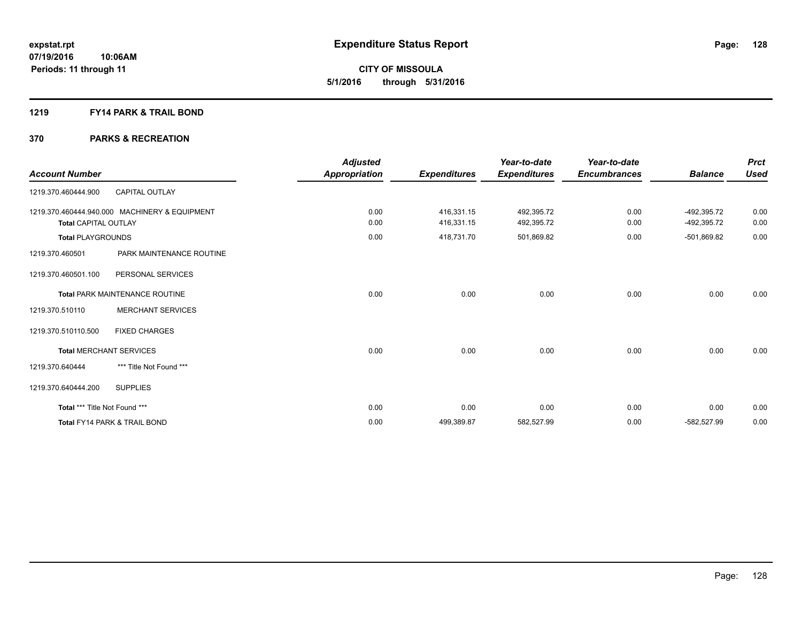## **1219 FY14 PARK & TRAIL BOND**

| <b>Account Number</b>         |                                               | <b>Adjusted</b><br>Appropriation | <b>Expenditures</b>      | Year-to-date<br><b>Expenditures</b> | Year-to-date<br><b>Encumbrances</b> | <b>Balance</b>             | <b>Prct</b><br><b>Used</b> |
|-------------------------------|-----------------------------------------------|----------------------------------|--------------------------|-------------------------------------|-------------------------------------|----------------------------|----------------------------|
| 1219.370.460444.900           | <b>CAPITAL OUTLAY</b>                         |                                  |                          |                                     |                                     |                            |                            |
| <b>Total CAPITAL OUTLAY</b>   | 1219.370.460444.940.000 MACHINERY & EQUIPMENT | 0.00<br>0.00                     | 416,331.15<br>416,331.15 | 492,395.72<br>492,395.72            | 0.00<br>0.00                        | -492,395.72<br>-492,395.72 | 0.00<br>0.00               |
| <b>Total PLAYGROUNDS</b>      |                                               | 0.00                             | 418,731.70               | 501,869.82                          | 0.00                                | -501,869.82                | 0.00                       |
| 1219.370.460501               | PARK MAINTENANCE ROUTINE                      |                                  |                          |                                     |                                     |                            |                            |
| 1219.370.460501.100           | PERSONAL SERVICES                             |                                  |                          |                                     |                                     |                            |                            |
|                               | <b>Total PARK MAINTENANCE ROUTINE</b>         | 0.00                             | 0.00                     | 0.00                                | 0.00                                | 0.00                       | 0.00                       |
| 1219.370.510110               | <b>MERCHANT SERVICES</b>                      |                                  |                          |                                     |                                     |                            |                            |
| 1219.370.510110.500           | <b>FIXED CHARGES</b>                          |                                  |                          |                                     |                                     |                            |                            |
|                               | <b>Total MERCHANT SERVICES</b>                | 0.00                             | 0.00                     | 0.00                                | 0.00                                | 0.00                       | 0.00                       |
| 1219.370.640444               | *** Title Not Found ***                       |                                  |                          |                                     |                                     |                            |                            |
| 1219.370.640444.200           | <b>SUPPLIES</b>                               |                                  |                          |                                     |                                     |                            |                            |
| Total *** Title Not Found *** |                                               | 0.00                             | 0.00                     | 0.00                                | 0.00                                | 0.00                       | 0.00                       |
|                               | <b>Total FY14 PARK &amp; TRAIL BOND</b>       | 0.00                             | 499,389.87               | 582,527.99                          | 0.00                                | $-582.527.99$              | 0.00                       |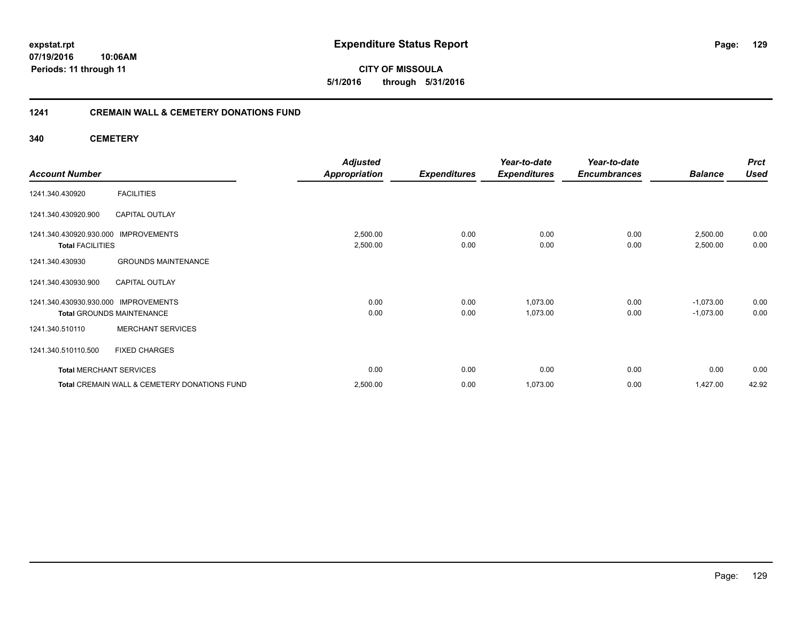**CITY OF MISSOULA 5/1/2016 through 5/31/2016**

## **1241 CREMAIN WALL & CEMETERY DONATIONS FUND**

**340 CEMETERY**

| <b>Account Number</b>            |                                              | <b>Adjusted</b><br><b>Appropriation</b> | <b>Expenditures</b> | Year-to-date<br><b>Expenditures</b> | Year-to-date<br><b>Encumbrances</b> | <b>Balance</b> | <b>Prct</b><br><b>Used</b> |
|----------------------------------|----------------------------------------------|-----------------------------------------|---------------------|-------------------------------------|-------------------------------------|----------------|----------------------------|
|                                  |                                              |                                         |                     |                                     |                                     |                |                            |
| 1241.340.430920                  | <b>FACILITIES</b>                            |                                         |                     |                                     |                                     |                |                            |
| 1241.340.430920.900              | CAPITAL OUTLAY                               |                                         |                     |                                     |                                     |                |                            |
| 1241.340.430920.930.000          | <b>IMPROVEMENTS</b>                          | 2,500.00                                | 0.00                | 0.00                                | 0.00                                | 2,500.00       | 0.00                       |
| <b>Total FACILITIES</b>          |                                              | 2,500.00                                | 0.00                | 0.00                                | 0.00                                | 2,500.00       | 0.00                       |
| 1241.340.430930                  | <b>GROUNDS MAINTENANCE</b>                   |                                         |                     |                                     |                                     |                |                            |
| 1241.340.430930.900              | <b>CAPITAL OUTLAY</b>                        |                                         |                     |                                     |                                     |                |                            |
| 1241.340.430930.930.000          | <b>IMPROVEMENTS</b>                          | 0.00                                    | 0.00                | 1,073.00                            | 0.00                                | $-1,073.00$    | 0.00                       |
| <b>Total GROUNDS MAINTENANCE</b> |                                              | 0.00                                    | 0.00                | 1,073.00                            | 0.00                                | $-1,073.00$    | 0.00                       |
| 1241.340.510110                  | <b>MERCHANT SERVICES</b>                     |                                         |                     |                                     |                                     |                |                            |
| 1241.340.510110.500              | <b>FIXED CHARGES</b>                         |                                         |                     |                                     |                                     |                |                            |
| <b>Total MERCHANT SERVICES</b>   |                                              | 0.00                                    | 0.00                | 0.00                                | 0.00                                | 0.00           | 0.00                       |
|                                  | Total CREMAIN WALL & CEMETERY DONATIONS FUND | 2,500.00                                | 0.00                | 1,073.00                            | 0.00                                | 1,427.00       | 42.92                      |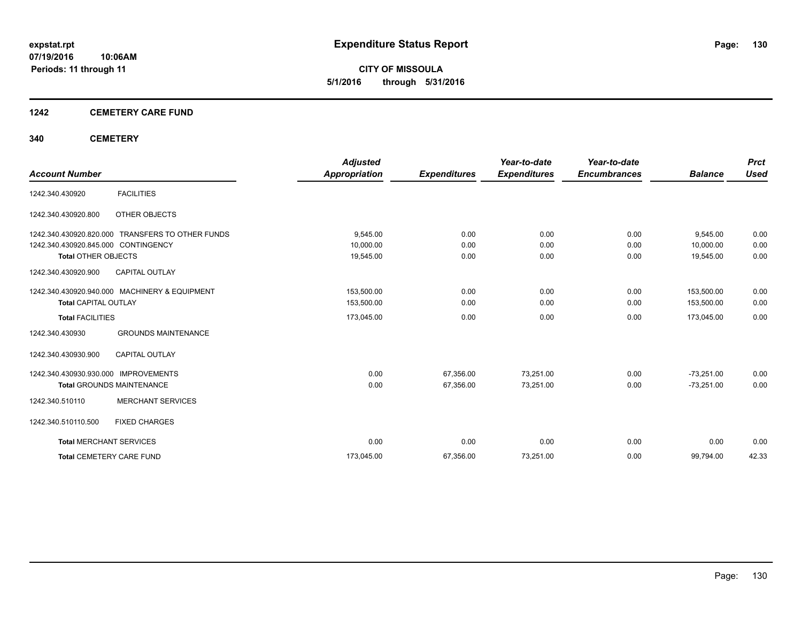**CITY OF MISSOULA 5/1/2016 through 5/31/2016**

## **1242 CEMETERY CARE FUND**

## **340 CEMETERY**

|                                     |                                               | <b>Adjusted</b>      |                     | Year-to-date        | Year-to-date        |                | <b>Prct</b> |
|-------------------------------------|-----------------------------------------------|----------------------|---------------------|---------------------|---------------------|----------------|-------------|
| <b>Account Number</b>               |                                               | <b>Appropriation</b> | <b>Expenditures</b> | <b>Expenditures</b> | <b>Encumbrances</b> | <b>Balance</b> | <b>Used</b> |
| 1242.340.430920                     | <b>FACILITIES</b>                             |                      |                     |                     |                     |                |             |
| 1242.340.430920.800                 | OTHER OBJECTS                                 |                      |                     |                     |                     |                |             |
| 1242.340.430920.820.000             | TRANSFERS TO OTHER FUNDS                      | 9,545.00             | 0.00                | 0.00                | 0.00                | 9,545.00       | 0.00        |
| 1242.340.430920.845.000 CONTINGENCY |                                               | 10,000.00            | 0.00                | 0.00                | 0.00                | 10,000.00      | 0.00        |
| <b>Total OTHER OBJECTS</b>          |                                               | 19,545.00            | 0.00                | 0.00                | 0.00                | 19,545.00      | 0.00        |
| 1242.340.430920.900                 | <b>CAPITAL OUTLAY</b>                         |                      |                     |                     |                     |                |             |
|                                     | 1242.340.430920.940.000 MACHINERY & EQUIPMENT | 153,500.00           | 0.00                | 0.00                | 0.00                | 153.500.00     | 0.00        |
| <b>Total CAPITAL OUTLAY</b>         |                                               | 153,500.00           | 0.00                | 0.00                | 0.00                | 153,500.00     | 0.00        |
| <b>Total FACILITIES</b>             |                                               | 173,045.00           | 0.00                | 0.00                | 0.00                | 173,045.00     | 0.00        |
| 1242.340.430930                     | <b>GROUNDS MAINTENANCE</b>                    |                      |                     |                     |                     |                |             |
| 1242.340.430930.900                 | <b>CAPITAL OUTLAY</b>                         |                      |                     |                     |                     |                |             |
| 1242.340.430930.930.000             | <b>IMPROVEMENTS</b>                           | 0.00                 | 67,356.00           | 73,251.00           | 0.00                | $-73,251.00$   | 0.00        |
|                                     | <b>Total GROUNDS MAINTENANCE</b>              | 0.00                 | 67,356.00           | 73,251.00           | 0.00                | $-73,251.00$   | 0.00        |
| 1242.340.510110                     | <b>MERCHANT SERVICES</b>                      |                      |                     |                     |                     |                |             |
| 1242.340.510110.500                 | <b>FIXED CHARGES</b>                          |                      |                     |                     |                     |                |             |
| <b>Total MERCHANT SERVICES</b>      |                                               | 0.00                 | 0.00                | 0.00                | 0.00                | 0.00           | 0.00        |
|                                     | <b>Total CEMETERY CARE FUND</b>               | 173,045.00           | 67,356.00           | 73,251.00           | 0.00                | 99,794.00      | 42.33       |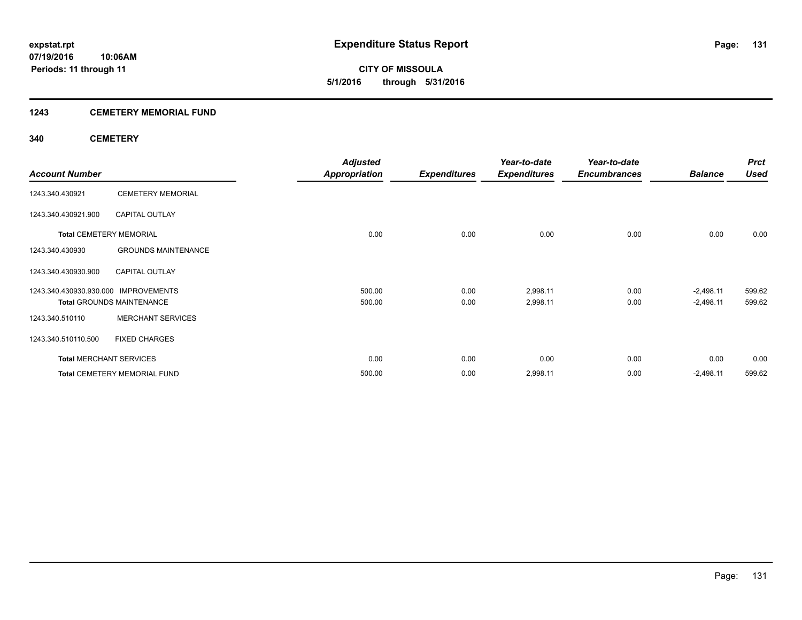## **1243 CEMETERY MEMORIAL FUND**

## **340 CEMETERY**

|                                      |                                  | <b>Adjusted</b>      |                     | Year-to-date        | Year-to-date        |                | <b>Prct</b> |
|--------------------------------------|----------------------------------|----------------------|---------------------|---------------------|---------------------|----------------|-------------|
| <b>Account Number</b>                |                                  | <b>Appropriation</b> | <b>Expenditures</b> | <b>Expenditures</b> | <b>Encumbrances</b> | <b>Balance</b> | <b>Used</b> |
| 1243.340.430921                      | <b>CEMETERY MEMORIAL</b>         |                      |                     |                     |                     |                |             |
| 1243.340.430921.900                  | <b>CAPITAL OUTLAY</b>            |                      |                     |                     |                     |                |             |
| <b>Total CEMETERY MEMORIAL</b>       |                                  | 0.00                 | 0.00                | 0.00                | 0.00                | 0.00           | 0.00        |
| 1243.340.430930                      | <b>GROUNDS MAINTENANCE</b>       |                      |                     |                     |                     |                |             |
| 1243.340.430930.900                  | <b>CAPITAL OUTLAY</b>            |                      |                     |                     |                     |                |             |
| 1243.340.430930.930.000 IMPROVEMENTS |                                  | 500.00               | 0.00                | 2,998.11            | 0.00                | $-2,498.11$    | 599.62      |
|                                      | <b>Total GROUNDS MAINTENANCE</b> | 500.00               | 0.00                | 2,998.11            | 0.00                | $-2,498.11$    | 599.62      |
| 1243.340.510110                      | <b>MERCHANT SERVICES</b>         |                      |                     |                     |                     |                |             |
| 1243.340.510110.500                  | <b>FIXED CHARGES</b>             |                      |                     |                     |                     |                |             |
| <b>Total MERCHANT SERVICES</b>       |                                  | 0.00                 | 0.00                | 0.00                | 0.00                | 0.00           | 0.00        |
|                                      | Total CEMETERY MEMORIAL FUND     | 500.00               | 0.00                | 2,998.11            | 0.00                | $-2,498.11$    | 599.62      |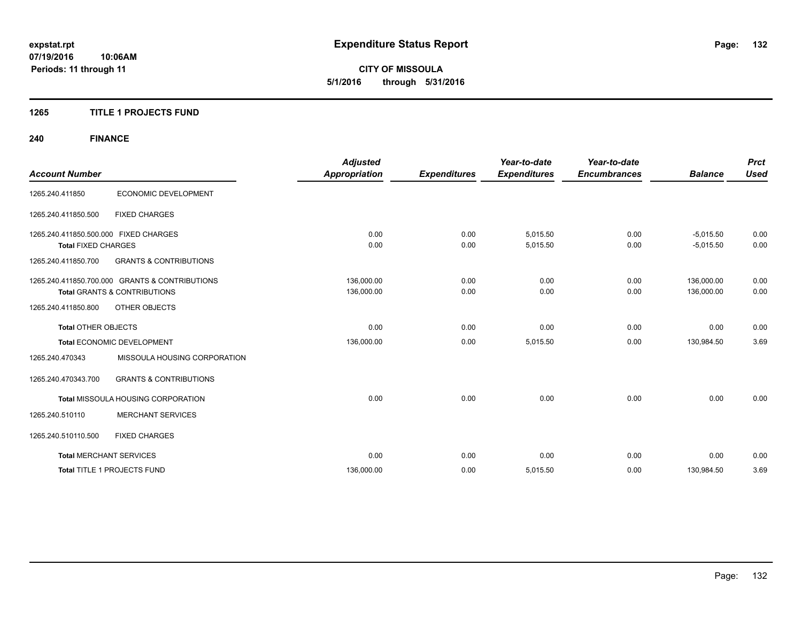**CITY OF MISSOULA 5/1/2016 through 5/31/2016**

## **1265 TITLE 1 PROJECTS FUND**

# **240 FINANCE**

| <b>Account Number</b>                                               |                                                                                           | <b>Adjusted</b><br><b>Appropriation</b> | <b>Expenditures</b> | Year-to-date<br><b>Expenditures</b> | Year-to-date<br><b>Encumbrances</b> | <b>Balance</b>             | <b>Prct</b><br><b>Used</b> |
|---------------------------------------------------------------------|-------------------------------------------------------------------------------------------|-----------------------------------------|---------------------|-------------------------------------|-------------------------------------|----------------------------|----------------------------|
| 1265.240.411850                                                     | ECONOMIC DEVELOPMENT                                                                      |                                         |                     |                                     |                                     |                            |                            |
| 1265.240.411850.500                                                 | <b>FIXED CHARGES</b>                                                                      |                                         |                     |                                     |                                     |                            |                            |
| 1265.240.411850.500.000 FIXED CHARGES<br><b>Total FIXED CHARGES</b> |                                                                                           | 0.00<br>0.00                            | 0.00<br>0.00        | 5.015.50<br>5,015.50                | 0.00<br>0.00                        | $-5,015.50$<br>$-5,015.50$ | 0.00<br>0.00               |
| 1265.240.411850.700                                                 | <b>GRANTS &amp; CONTRIBUTIONS</b>                                                         |                                         |                     |                                     |                                     |                            |                            |
|                                                                     | 1265.240.411850.700.000 GRANTS & CONTRIBUTIONS<br><b>Total GRANTS &amp; CONTRIBUTIONS</b> | 136.000.00<br>136,000.00                | 0.00<br>0.00        | 0.00<br>0.00                        | 0.00<br>0.00                        | 136.000.00<br>136,000.00   | 0.00<br>0.00               |
| 1265.240.411850.800                                                 | <b>OTHER OBJECTS</b>                                                                      |                                         |                     |                                     |                                     |                            |                            |
| <b>Total OTHER OBJECTS</b>                                          |                                                                                           | 0.00                                    | 0.00                | 0.00                                | 0.00                                | 0.00                       | 0.00                       |
|                                                                     | Total ECONOMIC DEVELOPMENT                                                                | 136,000.00                              | 0.00                | 5,015.50                            | 0.00                                | 130,984.50                 | 3.69                       |
| 1265.240.470343                                                     | MISSOULA HOUSING CORPORATION                                                              |                                         |                     |                                     |                                     |                            |                            |
| 1265.240.470343.700                                                 | <b>GRANTS &amp; CONTRIBUTIONS</b>                                                         |                                         |                     |                                     |                                     |                            |                            |
|                                                                     | Total MISSOULA HOUSING CORPORATION                                                        | 0.00                                    | 0.00                | 0.00                                | 0.00                                | 0.00                       | 0.00                       |
| 1265.240.510110                                                     | <b>MERCHANT SERVICES</b>                                                                  |                                         |                     |                                     |                                     |                            |                            |
| 1265.240.510110.500                                                 | <b>FIXED CHARGES</b>                                                                      |                                         |                     |                                     |                                     |                            |                            |
| <b>Total MERCHANT SERVICES</b>                                      |                                                                                           | 0.00                                    | 0.00                | 0.00                                | 0.00                                | 0.00                       | 0.00                       |
|                                                                     | Total TITLE 1 PROJECTS FUND                                                               | 136,000.00                              | 0.00                | 5,015.50                            | 0.00                                | 130,984.50                 | 3.69                       |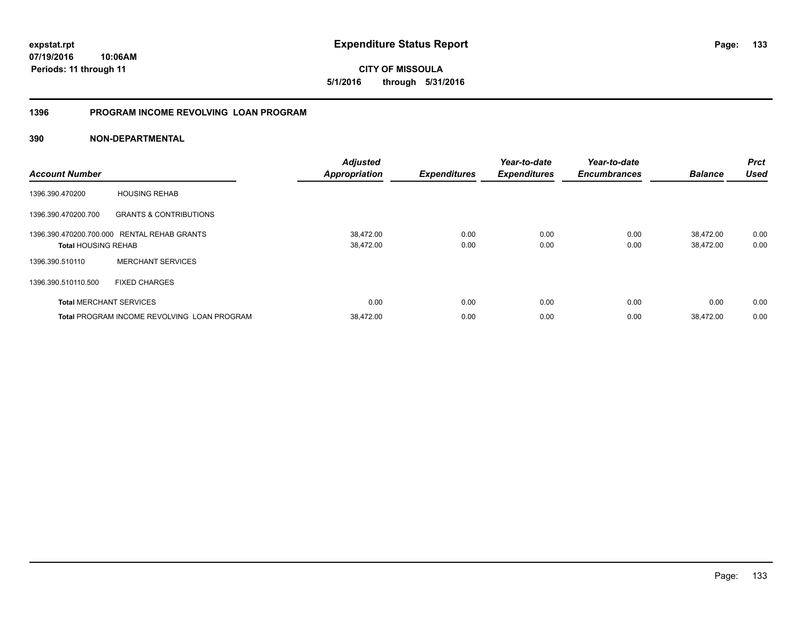**expstat.rpt Expenditure Status Report** 

**07/19/2016 10:06AM Periods: 11 through 11**

**CITY OF MISSOULA 5/1/2016 through 5/31/2016**

# **1396 PROGRAM INCOME REVOLVING LOAN PROGRAM**

| <b>Account Number</b>          |                                                    | <b>Adjusted</b><br><b>Appropriation</b> | <b>Expenditures</b> | Year-to-date<br><b>Expenditures</b> | Year-to-date<br><b>Encumbrances</b> | <b>Balance</b> | <b>Prct</b><br><b>Used</b> |
|--------------------------------|----------------------------------------------------|-----------------------------------------|---------------------|-------------------------------------|-------------------------------------|----------------|----------------------------|
| 1396.390.470200                | <b>HOUSING REHAB</b>                               |                                         |                     |                                     |                                     |                |                            |
| 1396.390.470200.700            | <b>GRANTS &amp; CONTRIBUTIONS</b>                  |                                         |                     |                                     |                                     |                |                            |
|                                | 1396.390.470200.700.000 RENTAL REHAB GRANTS        | 38,472.00                               | 0.00                | 0.00                                | 0.00                                | 38,472.00      | 0.00                       |
| <b>Total HOUSING REHAB</b>     |                                                    | 38,472.00                               | 0.00                | 0.00                                | 0.00                                | 38,472.00      | 0.00                       |
| 1396.390.510110                | <b>MERCHANT SERVICES</b>                           |                                         |                     |                                     |                                     |                |                            |
| 1396.390.510110.500            | <b>FIXED CHARGES</b>                               |                                         |                     |                                     |                                     |                |                            |
| <b>Total MERCHANT SERVICES</b> |                                                    | 0.00                                    | 0.00                | 0.00                                | 0.00                                | 0.00           | 0.00                       |
|                                | <b>Total PROGRAM INCOME REVOLVING LOAN PROGRAM</b> | 38.472.00                               | 0.00                | 0.00                                | 0.00                                | 38,472.00      | 0.00                       |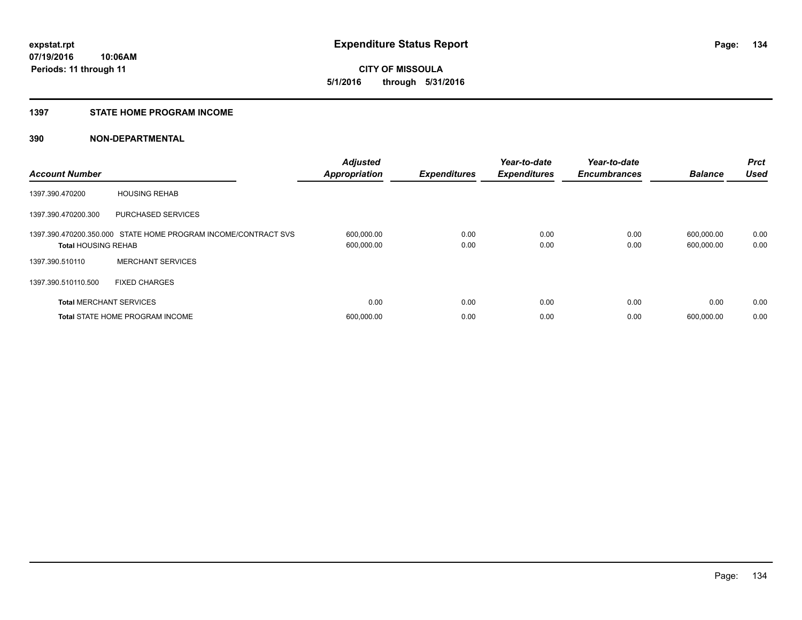**CITY OF MISSOULA 5/1/2016 through 5/31/2016**

#### **1397 STATE HOME PROGRAM INCOME**

| <b>Account Number</b>          |                                                                | <b>Adjusted</b><br><b>Appropriation</b> | <b>Expenditures</b> | Year-to-date<br><b>Expenditures</b> | Year-to-date<br><b>Encumbrances</b> | <b>Balance</b>           | <b>Prct</b><br><b>Used</b> |
|--------------------------------|----------------------------------------------------------------|-----------------------------------------|---------------------|-------------------------------------|-------------------------------------|--------------------------|----------------------------|
| 1397.390.470200                | <b>HOUSING REHAB</b>                                           |                                         |                     |                                     |                                     |                          |                            |
| 1397.390.470200.300            | PURCHASED SERVICES                                             |                                         |                     |                                     |                                     |                          |                            |
| <b>Total HOUSING REHAB</b>     | 1397.390.470200.350.000 STATE HOME PROGRAM INCOME/CONTRACT SVS | 600,000.00<br>600,000.00                | 0.00<br>0.00        | 0.00<br>0.00                        | 0.00<br>0.00                        | 600,000.00<br>600,000.00 | 0.00<br>0.00               |
| 1397.390.510110                | <b>MERCHANT SERVICES</b>                                       |                                         |                     |                                     |                                     |                          |                            |
| 1397.390.510110.500            | <b>FIXED CHARGES</b>                                           |                                         |                     |                                     |                                     |                          |                            |
| <b>Total MERCHANT SERVICES</b> |                                                                | 0.00                                    | 0.00                | 0.00                                | 0.00                                | 0.00                     | 0.00                       |
|                                | <b>Total STATE HOME PROGRAM INCOME</b>                         | 600.000.00                              | 0.00                | 0.00                                | 0.00                                | 600.000.00               | 0.00                       |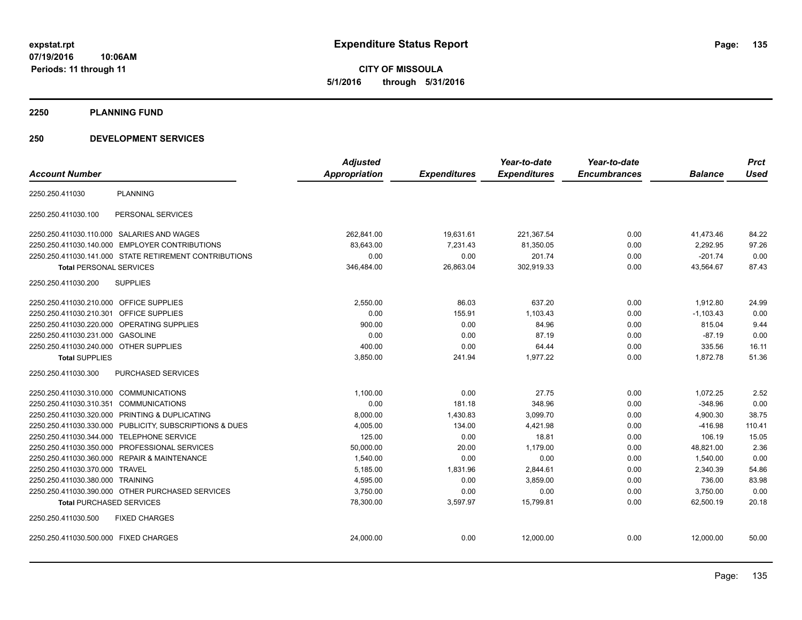**CITY OF MISSOULA 5/1/2016 through 5/31/2016**

#### **2250 PLANNING FUND**

## **250 DEVELOPMENT SERVICES**

|                                                         | <b>Adjusted</b>      |                     | Year-to-date        | Year-to-date        |                | <b>Prct</b> |
|---------------------------------------------------------|----------------------|---------------------|---------------------|---------------------|----------------|-------------|
| <b>Account Number</b>                                   | <b>Appropriation</b> | <b>Expenditures</b> | <b>Expenditures</b> | <b>Encumbrances</b> | <b>Balance</b> | <b>Used</b> |
| <b>PLANNING</b><br>2250.250.411030                      |                      |                     |                     |                     |                |             |
| PERSONAL SERVICES<br>2250.250.411030.100                |                      |                     |                     |                     |                |             |
| 2250.250.411030.110.000 SALARIES AND WAGES              | 262.841.00           | 19,631.61           | 221,367.54          | 0.00                | 41.473.46      | 84.22       |
| 2250.250.411030.140.000 EMPLOYER CONTRIBUTIONS          | 83,643.00            | 7,231.43            | 81,350.05           | 0.00                | 2,292.95       | 97.26       |
| 2250.250.411030.141.000 STATE RETIREMENT CONTRIBUTIONS  | 0.00                 | 0.00                | 201.74              | 0.00                | $-201.74$      | 0.00        |
| <b>Total PERSONAL SERVICES</b>                          | 346,484.00           | 26,863.04           | 302,919.33          | 0.00                | 43,564.67      | 87.43       |
| <b>SUPPLIES</b><br>2250.250.411030.200                  |                      |                     |                     |                     |                |             |
| 2250.250.411030.210.000 OFFICE SUPPLIES                 | 2,550.00             | 86.03               | 637.20              | 0.00                | 1,912.80       | 24.99       |
| 2250.250.411030.210.301 OFFICE SUPPLIES                 | 0.00                 | 155.91              | 1,103.43            | 0.00                | $-1,103.43$    | 0.00        |
| 2250.250.411030.220.000 OPERATING SUPPLIES              | 900.00               | 0.00                | 84.96               | 0.00                | 815.04         | 9.44        |
| 2250.250.411030.231.000 GASOLINE                        | 0.00                 | 0.00                | 87.19               | 0.00                | $-87.19$       | 0.00        |
| 2250.250.411030.240.000 OTHER SUPPLIES                  | 400.00               | 0.00                | 64.44               | 0.00                | 335.56         | 16.11       |
| <b>Total SUPPLIES</b>                                   | 3,850.00             | 241.94              | 1,977.22            | 0.00                | 1,872.78       | 51.36       |
| 2250.250.411030.300<br><b>PURCHASED SERVICES</b>        |                      |                     |                     |                     |                |             |
| 2250.250.411030.310.000 COMMUNICATIONS                  | 1,100.00             | 0.00                | 27.75               | 0.00                | 1,072.25       | 2.52        |
| 2250.250.411030.310.351 COMMUNICATIONS                  | 0.00                 | 181.18              | 348.96              | 0.00                | $-348.96$      | 0.00        |
| 2250.250.411030.320.000 PRINTING & DUPLICATING          | 8,000.00             | 1,430.83            | 3,099.70            | 0.00                | 4,900.30       | 38.75       |
| 2250.250.411030.330.000 PUBLICITY, SUBSCRIPTIONS & DUES | 4,005.00             | 134.00              | 4,421.98            | 0.00                | $-416.98$      | 110.41      |
| 2250.250.411030.344.000 TELEPHONE SERVICE               | 125.00               | 0.00                | 18.81               | 0.00                | 106.19         | 15.05       |
| 2250.250.411030.350.000 PROFESSIONAL SERVICES           | 50,000.00            | 20.00               | 1,179.00            | 0.00                | 48,821.00      | 2.36        |
| 2250.250.411030.360.000 REPAIR & MAINTENANCE            | 1,540.00             | 0.00                | 0.00                | 0.00                | 1,540.00       | 0.00        |
| 2250.250.411030.370.000 TRAVEL                          | 5,185.00             | 1,831.96            | 2,844.61            | 0.00                | 2,340.39       | 54.86       |
| 2250.250.411030.380.000 TRAINING                        | 4,595.00             | 0.00                | 3,859.00            | 0.00                | 736.00         | 83.98       |
| 2250.250.411030.390.000 OTHER PURCHASED SERVICES        | 3,750.00             | 0.00                | 0.00                | 0.00                | 3,750.00       | 0.00        |
| <b>Total PURCHASED SERVICES</b>                         | 78,300.00            | 3,597.97            | 15,799.81           | 0.00                | 62,500.19      | 20.18       |
| 2250.250.411030.500<br><b>FIXED CHARGES</b>             |                      |                     |                     |                     |                |             |
| 2250.250.411030.500.000 FIXED CHARGES                   | 24,000.00            | 0.00                | 12,000.00           | 0.00                | 12,000.00      | 50.00       |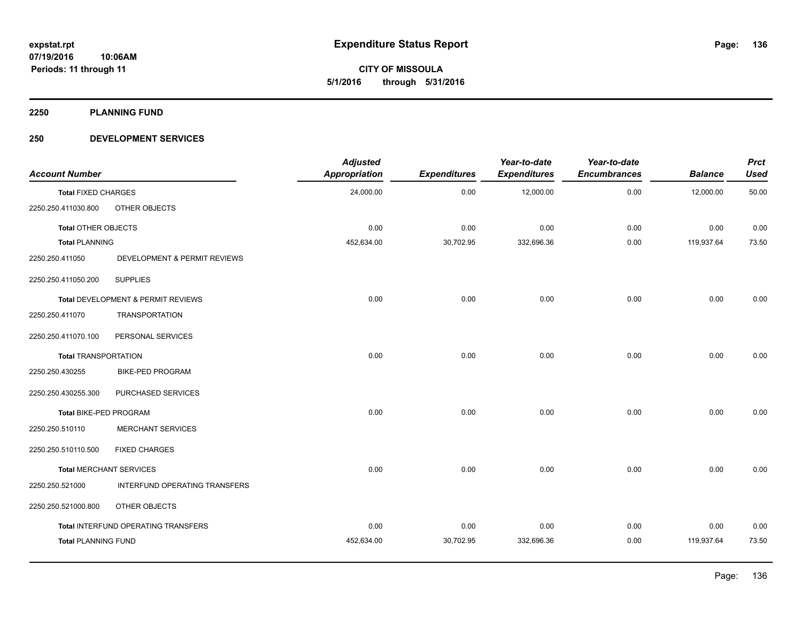**CITY OF MISSOULA 5/1/2016 through 5/31/2016**

**2250 PLANNING FUND**

## **250 DEVELOPMENT SERVICES**

| <b>Account Number</b>          |                                      | <b>Adjusted</b><br>Appropriation | <b>Expenditures</b> | Year-to-date<br><b>Expenditures</b> | Year-to-date<br><b>Encumbrances</b> | <b>Balance</b> | <b>Prct</b><br><b>Used</b> |
|--------------------------------|--------------------------------------|----------------------------------|---------------------|-------------------------------------|-------------------------------------|----------------|----------------------------|
| <b>Total FIXED CHARGES</b>     |                                      | 24,000.00                        | 0.00                | 12,000.00                           | 0.00                                | 12,000.00      | 50.00                      |
| 2250.250.411030.800            | OTHER OBJECTS                        |                                  |                     |                                     |                                     |                |                            |
| Total OTHER OBJECTS            |                                      | 0.00                             | 0.00                | 0.00                                | 0.00                                | 0.00           | 0.00                       |
| <b>Total PLANNING</b>          |                                      | 452,634.00                       | 30,702.95           | 332,696.36                          | 0.00                                | 119,937.64     | 73.50                      |
| 2250.250.411050                | DEVELOPMENT & PERMIT REVIEWS         |                                  |                     |                                     |                                     |                |                            |
| 2250.250.411050.200            | <b>SUPPLIES</b>                      |                                  |                     |                                     |                                     |                |                            |
|                                | Total DEVELOPMENT & PERMIT REVIEWS   | 0.00                             | 0.00                | 0.00                                | 0.00                                | 0.00           | 0.00                       |
| 2250.250.411070                | <b>TRANSPORTATION</b>                |                                  |                     |                                     |                                     |                |                            |
| 2250.250.411070.100            | PERSONAL SERVICES                    |                                  |                     |                                     |                                     |                |                            |
| <b>Total TRANSPORTATION</b>    |                                      | 0.00                             | 0.00                | 0.00                                | 0.00                                | 0.00           | 0.00                       |
| 2250.250.430255                | <b>BIKE-PED PROGRAM</b>              |                                  |                     |                                     |                                     |                |                            |
| 2250.250.430255.300            | PURCHASED SERVICES                   |                                  |                     |                                     |                                     |                |                            |
| Total BIKE-PED PROGRAM         |                                      | 0.00                             | 0.00                | 0.00                                | 0.00                                | 0.00           | 0.00                       |
| 2250.250.510110                | <b>MERCHANT SERVICES</b>             |                                  |                     |                                     |                                     |                |                            |
| 2250.250.510110.500            | <b>FIXED CHARGES</b>                 |                                  |                     |                                     |                                     |                |                            |
| <b>Total MERCHANT SERVICES</b> |                                      | 0.00                             | 0.00                | 0.00                                | 0.00                                | 0.00           | 0.00                       |
| 2250.250.521000                | <b>INTERFUND OPERATING TRANSFERS</b> |                                  |                     |                                     |                                     |                |                            |
| 2250.250.521000.800            | OTHER OBJECTS                        |                                  |                     |                                     |                                     |                |                            |
|                                | Total INTERFUND OPERATING TRANSFERS  | 0.00                             | 0.00                | 0.00                                | 0.00                                | 0.00           | 0.00                       |
| <b>Total PLANNING FUND</b>     |                                      | 452,634.00                       | 30,702.95           | 332,696.36                          | 0.00                                | 119,937.64     | 73.50                      |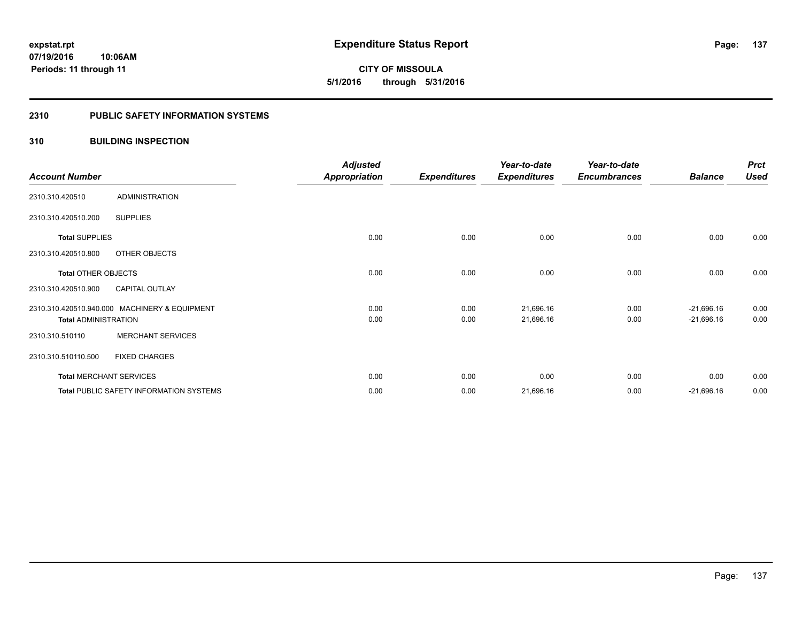**Periods: 11 through 11**

**CITY OF MISSOULA 5/1/2016 through 5/31/2016**

## **2310 PUBLIC SAFETY INFORMATION SYSTEMS**

## **310 BUILDING INSPECTION**

**10:06AM**

|                             |                                               | <b>Adjusted</b>      |                     | Year-to-date        | Year-to-date        |                | <b>Prct</b> |
|-----------------------------|-----------------------------------------------|----------------------|---------------------|---------------------|---------------------|----------------|-------------|
| <b>Account Number</b>       |                                               | <b>Appropriation</b> | <b>Expenditures</b> | <b>Expenditures</b> | <b>Encumbrances</b> | <b>Balance</b> | Used        |
| 2310.310.420510             | <b>ADMINISTRATION</b>                         |                      |                     |                     |                     |                |             |
| 2310.310.420510.200         | <b>SUPPLIES</b>                               |                      |                     |                     |                     |                |             |
| <b>Total SUPPLIES</b>       |                                               | 0.00                 | 0.00                | 0.00                | 0.00                | 0.00           | 0.00        |
| 2310.310.420510.800         | OTHER OBJECTS                                 |                      |                     |                     |                     |                |             |
| Total OTHER OBJECTS         |                                               | 0.00                 | 0.00                | 0.00                | 0.00                | 0.00           | 0.00        |
| 2310.310.420510.900         | <b>CAPITAL OUTLAY</b>                         |                      |                     |                     |                     |                |             |
|                             | 2310.310.420510.940.000 MACHINERY & EQUIPMENT | 0.00                 | 0.00                | 21,696.16           | 0.00                | $-21,696.16$   | 0.00        |
| <b>Total ADMINISTRATION</b> |                                               | 0.00                 | 0.00                | 21,696.16           | 0.00                | $-21,696.16$   | 0.00        |
| 2310.310.510110             | <b>MERCHANT SERVICES</b>                      |                      |                     |                     |                     |                |             |
| 2310.310.510110.500         | <b>FIXED CHARGES</b>                          |                      |                     |                     |                     |                |             |
|                             | <b>Total MERCHANT SERVICES</b>                | 0.00                 | 0.00                | 0.00                | 0.00                | 0.00           | 0.00        |
|                             | Total PUBLIC SAFETY INFORMATION SYSTEMS       | 0.00                 | 0.00                | 21,696.16           | 0.00                | $-21,696.16$   | 0.00        |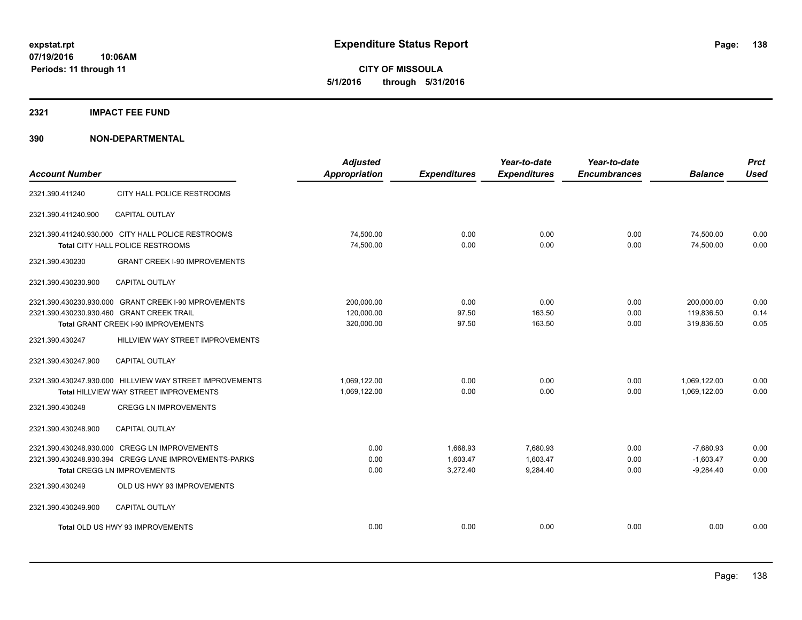**CITY OF MISSOULA 5/1/2016 through 5/31/2016**

### **2321 IMPACT FEE FUND**

| <b>Account Number</b>                     |                                                                                                                                       | <b>Adjusted</b><br><b>Appropriation</b> | <b>Expenditures</b>              | Year-to-date<br><b>Expenditures</b> | Year-to-date<br><b>Encumbrances</b> | <b>Balance</b>                            | <b>Prct</b><br><b>Used</b> |
|-------------------------------------------|---------------------------------------------------------------------------------------------------------------------------------------|-----------------------------------------|----------------------------------|-------------------------------------|-------------------------------------|-------------------------------------------|----------------------------|
| 2321.390.411240                           | CITY HALL POLICE RESTROOMS                                                                                                            |                                         |                                  |                                     |                                     |                                           |                            |
| 2321.390.411240.900                       | <b>CAPITAL OUTLAY</b>                                                                                                                 |                                         |                                  |                                     |                                     |                                           |                            |
|                                           | 2321.390.411240.930.000 CITY HALL POLICE RESTROOMS<br><b>Total CITY HALL POLICE RESTROOMS</b>                                         | 74,500.00<br>74,500.00                  | 0.00<br>0.00                     | 0.00<br>0.00                        | 0.00<br>0.00                        | 74,500.00<br>74,500.00                    | 0.00<br>0.00               |
| 2321.390.430230                           | <b>GRANT CREEK I-90 IMPROVEMENTS</b>                                                                                                  |                                         |                                  |                                     |                                     |                                           |                            |
| 2321.390.430230.900                       | <b>CAPITAL OUTLAY</b>                                                                                                                 |                                         |                                  |                                     |                                     |                                           |                            |
| 2321.390.430230.930.460 GRANT CREEK TRAIL | 2321.390.430230.930.000 GRANT CREEK I-90 MPROVEMENTS<br>Total GRANT CREEK I-90 IMPROVEMENTS                                           | 200,000.00<br>120,000.00<br>320,000.00  | 0.00<br>97.50<br>97.50           | 0.00<br>163.50<br>163.50            | 0.00<br>0.00<br>0.00                | 200,000.00<br>119,836.50<br>319,836.50    | 0.00<br>0.14<br>0.05       |
| 2321.390.430247                           | HILLVIEW WAY STREET IMPROVEMENTS                                                                                                      |                                         |                                  |                                     |                                     |                                           |                            |
| 2321.390.430247.900                       | <b>CAPITAL OUTLAY</b>                                                                                                                 |                                         |                                  |                                     |                                     |                                           |                            |
|                                           | 2321.390.430247.930.000 HILLVIEW WAY STREET IMPROVEMENTS<br><b>Total HILLVIEW WAY STREET IMPROVEMENTS</b>                             | 1,069,122.00<br>1,069,122.00            | 0.00<br>0.00                     | 0.00<br>0.00                        | 0.00<br>0.00                        | 1,069,122.00<br>1.069.122.00              | 0.00<br>0.00               |
| 2321.390.430248                           | <b>CREGG LN IMPROVEMENTS</b>                                                                                                          |                                         |                                  |                                     |                                     |                                           |                            |
| 2321.390.430248.900                       | <b>CAPITAL OUTLAY</b>                                                                                                                 |                                         |                                  |                                     |                                     |                                           |                            |
|                                           | 2321.390.430248.930.000 CREGG LN IMPROVEMENTS<br>2321.390.430248.930.394 CREGG LANE IMPROVEMENTS-PARKS<br>Total CREGG LN IMPROVEMENTS | 0.00<br>0.00<br>0.00                    | 1,668.93<br>1,603.47<br>3,272.40 | 7.680.93<br>1,603.47<br>9,284.40    | 0.00<br>0.00<br>0.00                | $-7,680.93$<br>$-1,603.47$<br>$-9,284.40$ | 0.00<br>0.00<br>0.00       |
| 2321.390.430249                           | OLD US HWY 93 IMPROVEMENTS                                                                                                            |                                         |                                  |                                     |                                     |                                           |                            |
| 2321.390.430249.900                       | <b>CAPITAL OUTLAY</b>                                                                                                                 |                                         |                                  |                                     |                                     |                                           |                            |
|                                           | Total OLD US HWY 93 IMPROVEMENTS                                                                                                      | 0.00                                    | 0.00                             | 0.00                                | 0.00                                | 0.00                                      | 0.00                       |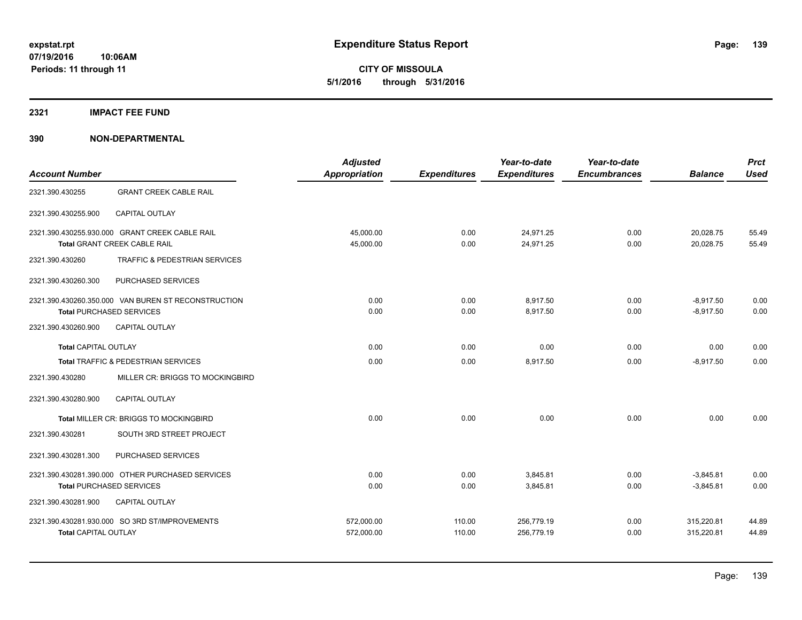**CITY OF MISSOULA 5/1/2016 through 5/31/2016**

#### **2321 IMPACT FEE FUND**

| <b>Account Number</b>       |                                                                                        | <b>Adjusted</b><br><b>Appropriation</b> | <b>Expenditures</b> | Year-to-date<br><b>Expenditures</b> | Year-to-date<br><b>Encumbrances</b> | <b>Balance</b>             | <b>Prct</b><br><b>Used</b> |
|-----------------------------|----------------------------------------------------------------------------------------|-----------------------------------------|---------------------|-------------------------------------|-------------------------------------|----------------------------|----------------------------|
| 2321.390.430255             | <b>GRANT CREEK CABLE RAIL</b>                                                          |                                         |                     |                                     |                                     |                            |                            |
| 2321.390.430255.900         | CAPITAL OUTLAY                                                                         |                                         |                     |                                     |                                     |                            |                            |
|                             | 2321.390.430255.930.000 GRANT CREEK CABLE RAIL<br>Total GRANT CREEK CABLE RAIL         | 45,000.00<br>45,000.00                  | 0.00<br>0.00        | 24.971.25<br>24.971.25              | 0.00<br>0.00                        | 20,028.75<br>20.028.75     | 55.49<br>55.49             |
| 2321.390.430260             | TRAFFIC & PEDESTRIAN SERVICES                                                          |                                         |                     |                                     |                                     |                            |                            |
| 2321.390.430260.300         | PURCHASED SERVICES                                                                     |                                         |                     |                                     |                                     |                            |                            |
|                             | 2321.390.430260.350.000 VAN BUREN ST RECONSTRUCTION<br><b>Total PURCHASED SERVICES</b> | 0.00<br>0.00                            | 0.00<br>0.00        | 8,917.50<br>8.917.50                | 0.00<br>0.00                        | $-8,917.50$<br>$-8.917.50$ | 0.00<br>0.00               |
| 2321.390.430260.900         | CAPITAL OUTLAY                                                                         |                                         |                     |                                     |                                     |                            |                            |
| <b>Total CAPITAL OUTLAY</b> |                                                                                        | 0.00                                    | 0.00                | 0.00                                | 0.00                                | 0.00                       | 0.00                       |
|                             | Total TRAFFIC & PEDESTRIAN SERVICES                                                    | 0.00                                    | 0.00                | 8,917.50                            | 0.00                                | $-8,917.50$                | 0.00                       |
| 2321.390.430280             | MILLER CR: BRIGGS TO MOCKINGBIRD                                                       |                                         |                     |                                     |                                     |                            |                            |
| 2321.390.430280.900         | <b>CAPITAL OUTLAY</b>                                                                  |                                         |                     |                                     |                                     |                            |                            |
|                             | Total MILLER CR: BRIGGS TO MOCKINGBIRD                                                 | 0.00                                    | 0.00                | 0.00                                | 0.00                                | 0.00                       | 0.00                       |
| 2321.390.430281             | SOUTH 3RD STREET PROJECT                                                               |                                         |                     |                                     |                                     |                            |                            |
| 2321.390.430281.300         | PURCHASED SERVICES                                                                     |                                         |                     |                                     |                                     |                            |                            |
|                             | 2321.390.430281.390.000 OTHER PURCHASED SERVICES<br><b>Total PURCHASED SERVICES</b>    | 0.00<br>0.00                            | 0.00<br>0.00        | 3.845.81<br>3,845.81                | 0.00<br>0.00                        | $-3.845.81$<br>$-3,845.81$ | 0.00<br>0.00               |
| 2321.390.430281.900         | <b>CAPITAL OUTLAY</b>                                                                  |                                         |                     |                                     |                                     |                            |                            |
| <b>Total CAPITAL OUTLAY</b> | 2321.390.430281.930.000 SO 3RD ST/IMPROVEMENTS                                         | 572,000.00<br>572,000.00                | 110.00<br>110.00    | 256,779.19<br>256,779.19            | 0.00<br>0.00                        | 315,220.81<br>315,220.81   | 44.89<br>44.89             |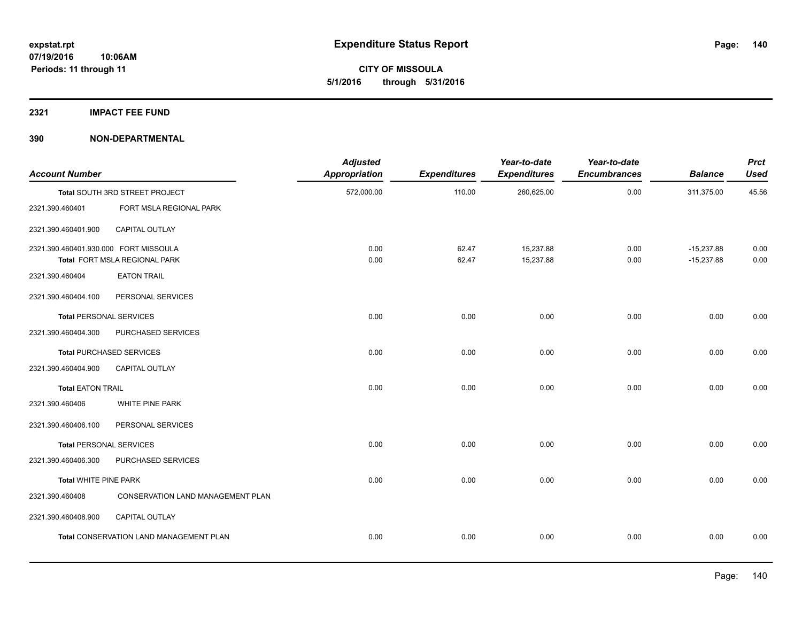**2321 IMPACT FEE FUND**

| <b>Account Number</b>                 |                                                | <b>Adjusted</b><br><b>Appropriation</b> | <b>Expenditures</b> | Year-to-date<br><b>Expenditures</b> | Year-to-date<br><b>Encumbrances</b> | <b>Balance</b>               | <b>Prct</b><br><b>Used</b> |
|---------------------------------------|------------------------------------------------|-----------------------------------------|---------------------|-------------------------------------|-------------------------------------|------------------------------|----------------------------|
|                                       | Total SOUTH 3RD STREET PROJECT                 | 572,000.00                              | 110.00              | 260,625.00                          | 0.00                                | 311,375.00                   | 45.56                      |
| 2321.390.460401                       | FORT MSLA REGIONAL PARK                        |                                         |                     |                                     |                                     |                              |                            |
| 2321.390.460401.900                   | CAPITAL OUTLAY                                 |                                         |                     |                                     |                                     |                              |                            |
| 2321.390.460401.930.000 FORT MISSOULA | Total FORT MSLA REGIONAL PARK                  | 0.00<br>0.00                            | 62.47<br>62.47      | 15,237.88<br>15,237.88              | 0.00<br>0.00                        | $-15,237.88$<br>$-15,237.88$ | 0.00<br>0.00               |
| 2321.390.460404                       | <b>EATON TRAIL</b>                             |                                         |                     |                                     |                                     |                              |                            |
| 2321.390.460404.100                   | PERSONAL SERVICES                              |                                         |                     |                                     |                                     |                              |                            |
| <b>Total PERSONAL SERVICES</b>        |                                                | 0.00                                    | 0.00                | 0.00                                | 0.00                                | 0.00                         | 0.00                       |
| 2321.390.460404.300                   | PURCHASED SERVICES                             |                                         |                     |                                     |                                     |                              |                            |
|                                       | <b>Total PURCHASED SERVICES</b>                | 0.00                                    | 0.00                | 0.00                                | 0.00                                | 0.00                         | 0.00                       |
| 2321.390.460404.900                   | <b>CAPITAL OUTLAY</b>                          |                                         |                     |                                     |                                     |                              |                            |
| <b>Total EATON TRAIL</b>              |                                                | 0.00                                    | 0.00                | 0.00                                | 0.00                                | 0.00                         | 0.00                       |
| 2321.390.460406                       | WHITE PINE PARK                                |                                         |                     |                                     |                                     |                              |                            |
| 2321.390.460406.100                   | PERSONAL SERVICES                              |                                         |                     |                                     |                                     |                              |                            |
| <b>Total PERSONAL SERVICES</b>        |                                                | 0.00                                    | 0.00                | 0.00                                | 0.00                                | 0.00                         | 0.00                       |
| 2321.390.460406.300                   | PURCHASED SERVICES                             |                                         |                     |                                     |                                     |                              |                            |
| <b>Total WHITE PINE PARK</b>          |                                                | 0.00                                    | 0.00                | 0.00                                | 0.00                                | 0.00                         | 0.00                       |
| 2321.390.460408                       | CONSERVATION LAND MANAGEMENT PLAN              |                                         |                     |                                     |                                     |                              |                            |
| 2321.390.460408.900                   | CAPITAL OUTLAY                                 |                                         |                     |                                     |                                     |                              |                            |
|                                       | <b>Total CONSERVATION LAND MANAGEMENT PLAN</b> | 0.00                                    | 0.00                | 0.00                                | 0.00                                | 0.00                         | 0.00                       |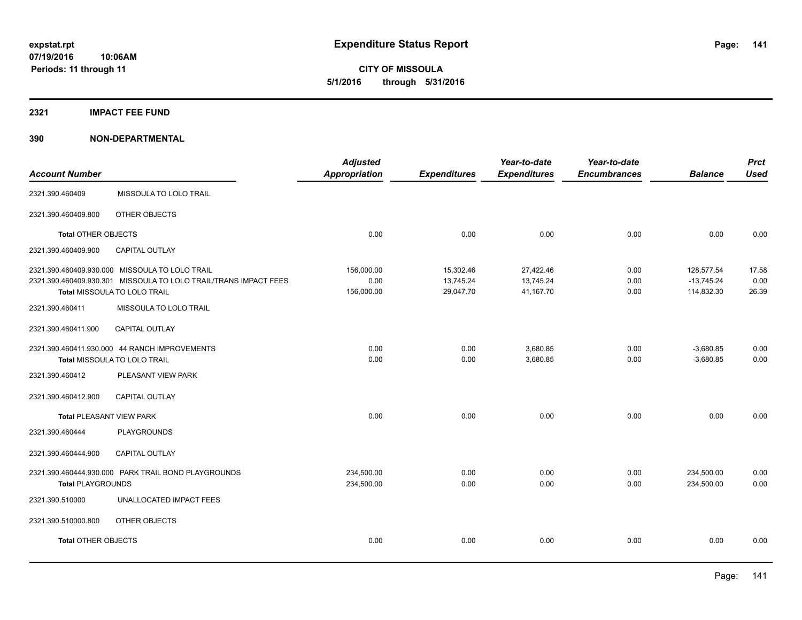**2321 IMPACT FEE FUND**

| <b>Account Number</b>      |                                                                                                                                                                              | <b>Adjusted</b><br><b>Appropriation</b> | <b>Expenditures</b>                 | Year-to-date<br><b>Expenditures</b> | Year-to-date<br><b>Encumbrances</b> | <b>Balance</b>                           | <b>Prct</b><br><b>Used</b> |
|----------------------------|------------------------------------------------------------------------------------------------------------------------------------------------------------------------------|-----------------------------------------|-------------------------------------|-------------------------------------|-------------------------------------|------------------------------------------|----------------------------|
| 2321.390.460409            | MISSOULA TO LOLO TRAIL                                                                                                                                                       |                                         |                                     |                                     |                                     |                                          |                            |
| 2321.390.460409.800        | OTHER OBJECTS                                                                                                                                                                |                                         |                                     |                                     |                                     |                                          |                            |
| Total OTHER OBJECTS        |                                                                                                                                                                              | 0.00                                    | 0.00                                | 0.00                                | 0.00                                | 0.00                                     | 0.00                       |
| 2321.390.460409.900        | <b>CAPITAL OUTLAY</b>                                                                                                                                                        |                                         |                                     |                                     |                                     |                                          |                            |
| 2321.390.460411            | 2321.390.460409.930.000 MISSOULA TO LOLO TRAIL<br>2321.390.460409.930.301 MISSOULA TO LOLO TRAIL/TRANS IMPACT FEES<br>Total MISSOULA TO LOLO TRAIL<br>MISSOULA TO LOLO TRAIL | 156,000.00<br>0.00<br>156,000.00        | 15,302.46<br>13,745.24<br>29,047.70 | 27,422.46<br>13,745.24<br>41,167.70 | 0.00<br>0.00<br>0.00                | 128,577.54<br>$-13,745.24$<br>114,832.30 | 17.58<br>0.00<br>26.39     |
| 2321.390.460411.900        | CAPITAL OUTLAY                                                                                                                                                               |                                         |                                     |                                     |                                     |                                          |                            |
|                            | 2321.390.460411.930.000 44 RANCH IMPROVEMENTS<br>Total MISSOULA TO LOLO TRAIL                                                                                                | 0.00<br>0.00                            | 0.00<br>0.00                        | 3,680.85<br>3,680.85                | 0.00<br>0.00                        | $-3,680.85$<br>$-3,680.85$               | 0.00<br>0.00               |
| 2321.390.460412            | PLEASANT VIEW PARK                                                                                                                                                           |                                         |                                     |                                     |                                     |                                          |                            |
| 2321.390.460412.900        | <b>CAPITAL OUTLAY</b>                                                                                                                                                        |                                         |                                     |                                     |                                     |                                          |                            |
| Total PLEASANT VIEW PARK   |                                                                                                                                                                              | 0.00                                    | 0.00                                | 0.00                                | 0.00                                | 0.00                                     | 0.00                       |
| 2321.390.460444            | <b>PLAYGROUNDS</b>                                                                                                                                                           |                                         |                                     |                                     |                                     |                                          |                            |
| 2321.390.460444.900        | CAPITAL OUTLAY                                                                                                                                                               |                                         |                                     |                                     |                                     |                                          |                            |
| <b>Total PLAYGROUNDS</b>   | 2321.390.460444.930.000 PARK TRAIL BOND PLAYGROUNDS                                                                                                                          | 234,500.00<br>234,500.00                | 0.00<br>0.00                        | 0.00<br>0.00                        | 0.00<br>0.00                        | 234,500.00<br>234,500.00                 | 0.00<br>0.00               |
| 2321.390.510000            | UNALLOCATED IMPACT FEES                                                                                                                                                      |                                         |                                     |                                     |                                     |                                          |                            |
| 2321.390.510000.800        | OTHER OBJECTS                                                                                                                                                                |                                         |                                     |                                     |                                     |                                          |                            |
| <b>Total OTHER OBJECTS</b> |                                                                                                                                                                              | 0.00                                    | 0.00                                | 0.00                                | 0.00                                | 0.00                                     | 0.00                       |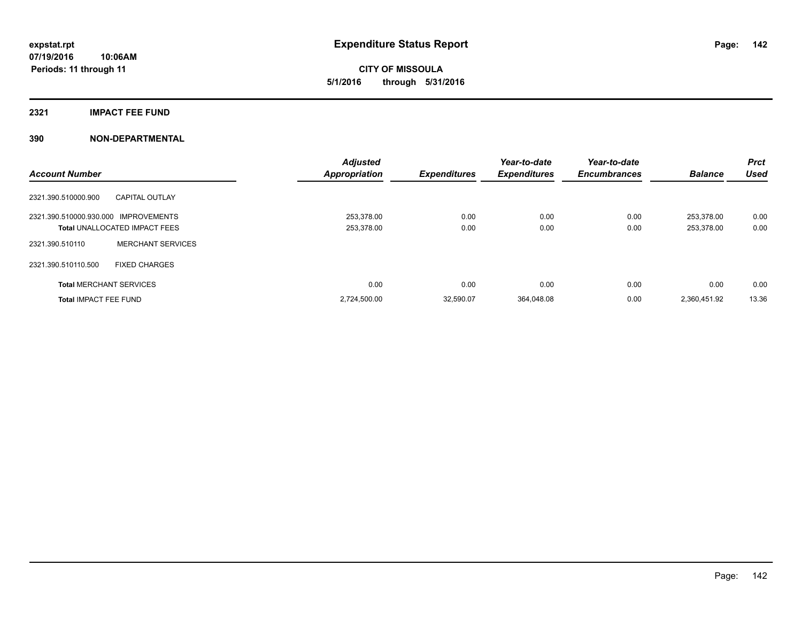## **2321 IMPACT FEE FUND**

| <b>Account Number</b>                |                                      | <b>Adjusted</b><br><b>Appropriation</b> | <b>Expenditures</b> | Year-to-date<br><b>Expenditures</b> | Year-to-date<br><b>Encumbrances</b> | <b>Balance</b>           | <b>Prct</b><br><b>Used</b> |
|--------------------------------------|--------------------------------------|-----------------------------------------|---------------------|-------------------------------------|-------------------------------------|--------------------------|----------------------------|
| 2321.390.510000.900                  | <b>CAPITAL OUTLAY</b>                |                                         |                     |                                     |                                     |                          |                            |
| 2321.390.510000.930.000 IMPROVEMENTS | <b>Total UNALLOCATED IMPACT FEES</b> | 253.378.00<br>253,378.00                | 0.00<br>0.00        | 0.00<br>0.00                        | 0.00<br>0.00                        | 253.378.00<br>253,378.00 | 0.00<br>0.00               |
| 2321.390.510110                      | <b>MERCHANT SERVICES</b>             |                                         |                     |                                     |                                     |                          |                            |
| 2321.390.510110.500                  | <b>FIXED CHARGES</b>                 |                                         |                     |                                     |                                     |                          |                            |
| <b>Total MERCHANT SERVICES</b>       |                                      | 0.00                                    | 0.00                | 0.00                                | 0.00                                | 0.00                     | 0.00                       |
| <b>Total IMPACT FEE FUND</b>         |                                      | 2,724,500.00                            | 32,590.07           | 364,048.08                          | 0.00                                | 2,360,451.92             | 13.36                      |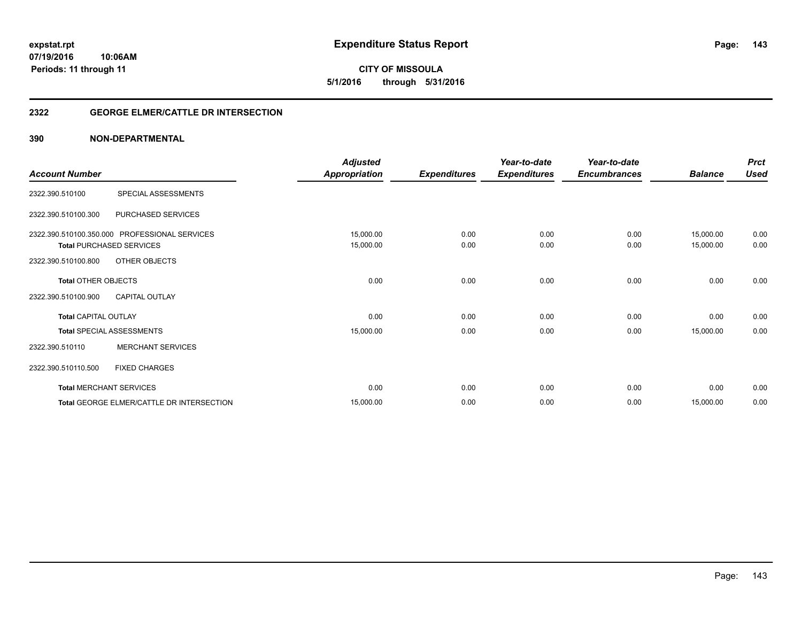**expstat.rpt Expenditure Status Report** 

**07/19/2016 10:06AM Periods: 11 through 11**

**CITY OF MISSOULA 5/1/2016 through 5/31/2016**

## **2322 GEORGE ELMER/CATTLE DR INTERSECTION**

|                             |                                               | <b>Adjusted</b>      |                     | Year-to-date        | Year-to-date        |                | <b>Prct</b> |
|-----------------------------|-----------------------------------------------|----------------------|---------------------|---------------------|---------------------|----------------|-------------|
| <b>Account Number</b>       |                                               | <b>Appropriation</b> | <b>Expenditures</b> | <b>Expenditures</b> | <b>Encumbrances</b> | <b>Balance</b> | <b>Used</b> |
| 2322.390.510100             | SPECIAL ASSESSMENTS                           |                      |                     |                     |                     |                |             |
| 2322.390.510100.300         | PURCHASED SERVICES                            |                      |                     |                     |                     |                |             |
|                             | 2322.390.510100.350.000 PROFESSIONAL SERVICES | 15,000.00            | 0.00                | 0.00                | 0.00                | 15,000.00      | 0.00        |
|                             | <b>Total PURCHASED SERVICES</b>               | 15,000.00            | 0.00                | 0.00                | 0.00                | 15,000.00      | 0.00        |
| 2322.390.510100.800         | OTHER OBJECTS                                 |                      |                     |                     |                     |                |             |
| <b>Total OTHER OBJECTS</b>  |                                               | 0.00                 | 0.00                | 0.00                | 0.00                | 0.00           | 0.00        |
| 2322.390.510100.900         | <b>CAPITAL OUTLAY</b>                         |                      |                     |                     |                     |                |             |
| <b>Total CAPITAL OUTLAY</b> |                                               | 0.00                 | 0.00                | 0.00                | 0.00                | 0.00           | 0.00        |
|                             | <b>Total SPECIAL ASSESSMENTS</b>              | 15,000.00            | 0.00                | 0.00                | 0.00                | 15,000.00      | 0.00        |
| 2322.390.510110             | <b>MERCHANT SERVICES</b>                      |                      |                     |                     |                     |                |             |
| 2322.390.510110.500         | <b>FIXED CHARGES</b>                          |                      |                     |                     |                     |                |             |
|                             | <b>Total MERCHANT SERVICES</b>                | 0.00                 | 0.00                | 0.00                | 0.00                | 0.00           | 0.00        |
|                             | Total GEORGE ELMER/CATTLE DR INTERSECTION     | 15,000.00            | 0.00                | 0.00                | 0.00                | 15,000.00      | 0.00        |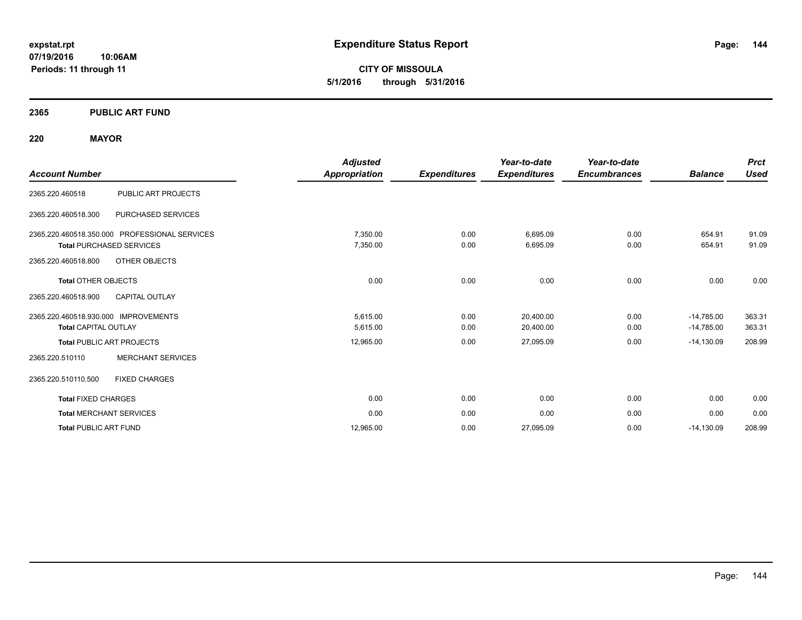**CITY OF MISSOULA 5/1/2016 through 5/31/2016**

## **2365 PUBLIC ART FUND**

## **220 MAYOR**

| <b>Account Number</b>                                               |                                               | <b>Adjusted</b><br>Appropriation | <b>Expenditures</b> | Year-to-date<br><b>Expenditures</b> | Year-to-date<br><b>Encumbrances</b> | <b>Balance</b>               | <b>Prct</b><br><b>Used</b> |
|---------------------------------------------------------------------|-----------------------------------------------|----------------------------------|---------------------|-------------------------------------|-------------------------------------|------------------------------|----------------------------|
| 2365.220.460518                                                     | <b>PUBLIC ART PROJECTS</b>                    |                                  |                     |                                     |                                     |                              |                            |
| 2365.220.460518.300                                                 | PURCHASED SERVICES                            |                                  |                     |                                     |                                     |                              |                            |
| <b>Total PURCHASED SERVICES</b>                                     | 2365.220.460518.350.000 PROFESSIONAL SERVICES | 7,350.00<br>7,350.00             | 0.00<br>0.00        | 6,695.09<br>6,695.09                | 0.00<br>0.00                        | 654.91<br>654.91             | 91.09<br>91.09             |
| 2365.220.460518.800<br><b>Total OTHER OBJECTS</b>                   | OTHER OBJECTS                                 | 0.00                             | 0.00                | 0.00                                | 0.00                                | 0.00                         | 0.00                       |
| 2365.220.460518.900                                                 | <b>CAPITAL OUTLAY</b>                         |                                  |                     |                                     |                                     |                              |                            |
| 2365.220.460518.930.000 IMPROVEMENTS<br><b>Total CAPITAL OUTLAY</b> |                                               | 5,615.00<br>5,615.00             | 0.00<br>0.00        | 20,400.00<br>20,400.00              | 0.00<br>0.00                        | $-14,785.00$<br>$-14,785.00$ | 363.31<br>363.31           |
| <b>Total PUBLIC ART PROJECTS</b>                                    |                                               | 12,965.00                        | 0.00                | 27,095.09                           | 0.00                                | $-14,130.09$                 | 208.99                     |
| 2365.220.510110                                                     | <b>MERCHANT SERVICES</b>                      |                                  |                     |                                     |                                     |                              |                            |
| 2365.220.510110.500                                                 | <b>FIXED CHARGES</b>                          |                                  |                     |                                     |                                     |                              |                            |
| <b>Total FIXED CHARGES</b>                                          |                                               | 0.00                             | 0.00                | 0.00                                | 0.00                                | 0.00                         | 0.00                       |
| <b>Total MERCHANT SERVICES</b>                                      |                                               | 0.00                             | 0.00                | 0.00                                | 0.00                                | 0.00                         | 0.00                       |
| <b>Total PUBLIC ART FUND</b>                                        |                                               | 12.965.00                        | 0.00                | 27,095.09                           | 0.00                                | $-14,130.09$                 | 208.99                     |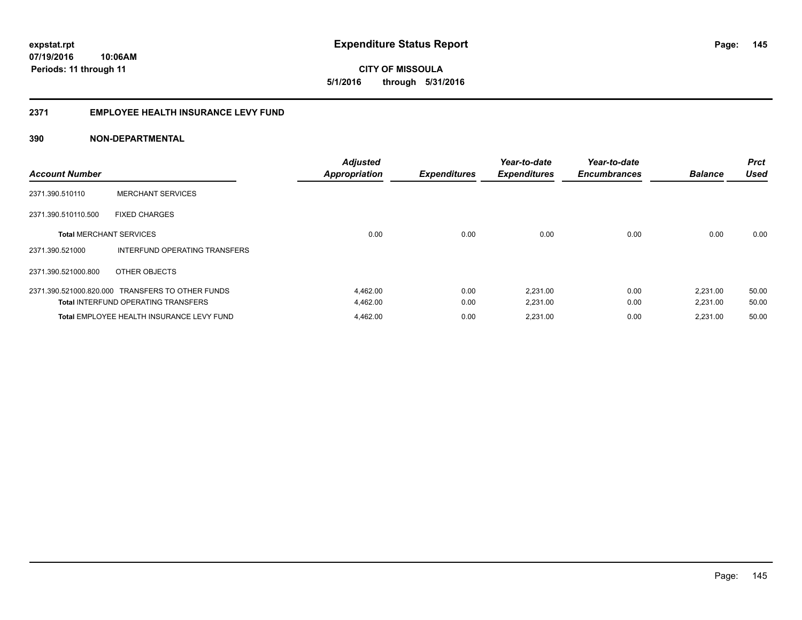**145**

**07/19/2016 10:06AM Periods: 11 through 11**

**CITY OF MISSOULA 5/1/2016 through 5/31/2016**

## **2371 EMPLOYEE HEALTH INSURANCE LEVY FUND**

| <b>Account Number</b>          |                                                  | <b>Adjusted</b><br><b>Appropriation</b> | <b>Expenditures</b> | Year-to-date<br><b>Expenditures</b> | Year-to-date<br><b>Encumbrances</b> | <b>Balance</b> | <b>Prct</b><br><b>Used</b> |
|--------------------------------|--------------------------------------------------|-----------------------------------------|---------------------|-------------------------------------|-------------------------------------|----------------|----------------------------|
| 2371.390.510110                | <b>MERCHANT SERVICES</b>                         |                                         |                     |                                     |                                     |                |                            |
| 2371.390.510110.500            | <b>FIXED CHARGES</b>                             |                                         |                     |                                     |                                     |                |                            |
| <b>Total MERCHANT SERVICES</b> |                                                  | 0.00                                    | 0.00                | 0.00                                | 0.00                                | 0.00           | 0.00                       |
| 2371.390.521000                | INTERFUND OPERATING TRANSFERS                    |                                         |                     |                                     |                                     |                |                            |
| 2371.390.521000.800            | OTHER OBJECTS                                    |                                         |                     |                                     |                                     |                |                            |
|                                | 2371.390.521000.820.000 TRANSFERS TO OTHER FUNDS | 4,462.00                                | 0.00                | 2,231.00                            | 0.00                                | 2,231.00       | 50.00                      |
|                                | <b>Total INTERFUND OPERATING TRANSFERS</b>       | 4,462.00                                | 0.00                | 2,231.00                            | 0.00                                | 2,231.00       | 50.00                      |
|                                | Total EMPLOYEE HEALTH INSURANCE LEVY FUND        | 4,462.00                                | 0.00                | 2,231.00                            | 0.00                                | 2,231.00       | 50.00                      |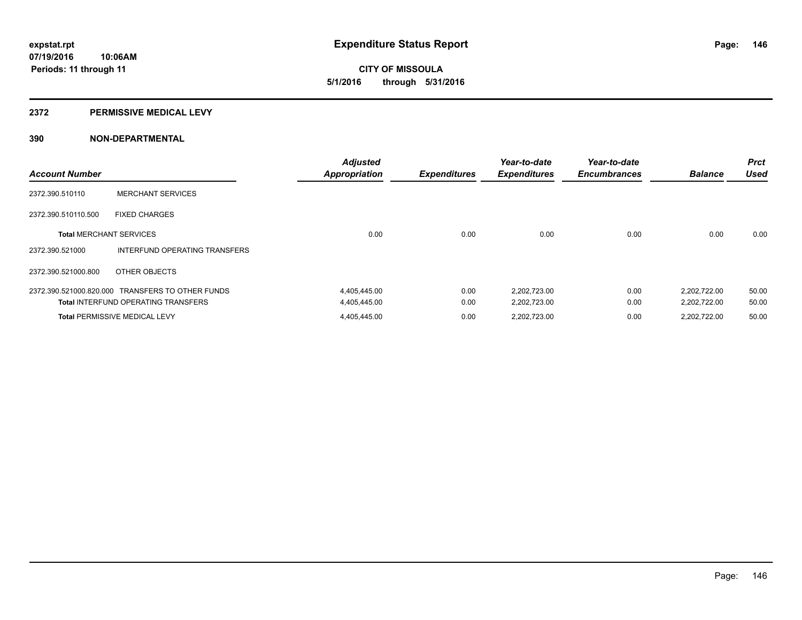# **CITY OF MISSOULA 5/1/2016 through 5/31/2016**

### **2372 PERMISSIVE MEDICAL LEVY**

| <b>Account Number</b>          |                                                  | <b>Adjusted</b><br><b>Appropriation</b> | <b>Expenditures</b> | Year-to-date<br><b>Expenditures</b> | Year-to-date<br><b>Encumbrances</b> | <b>Balance</b> | <b>Prct</b><br><b>Used</b> |
|--------------------------------|--------------------------------------------------|-----------------------------------------|---------------------|-------------------------------------|-------------------------------------|----------------|----------------------------|
| 2372.390.510110                | <b>MERCHANT SERVICES</b>                         |                                         |                     |                                     |                                     |                |                            |
| 2372.390.510110.500            | <b>FIXED CHARGES</b>                             |                                         |                     |                                     |                                     |                |                            |
| <b>Total MERCHANT SERVICES</b> |                                                  | 0.00                                    | 0.00                | 0.00                                | 0.00                                | 0.00           | 0.00                       |
| 2372.390.521000                | INTERFUND OPERATING TRANSFERS                    |                                         |                     |                                     |                                     |                |                            |
| 2372.390.521000.800            | OTHER OBJECTS                                    |                                         |                     |                                     |                                     |                |                            |
|                                | 2372.390.521000.820.000 TRANSFERS TO OTHER FUNDS | 4,405,445.00                            | 0.00                | 2,202,723.00                        | 0.00                                | 2,202,722.00   | 50.00                      |
|                                | <b>Total INTERFUND OPERATING TRANSFERS</b>       | 4,405,445.00                            | 0.00                | 2,202,723.00                        | 0.00                                | 2,202,722.00   | 50.00                      |
|                                | <b>Total PERMISSIVE MEDICAL LEVY</b>             | 4,405,445.00                            | 0.00                | 2,202,723.00                        | 0.00                                | 2,202,722.00   | 50.00                      |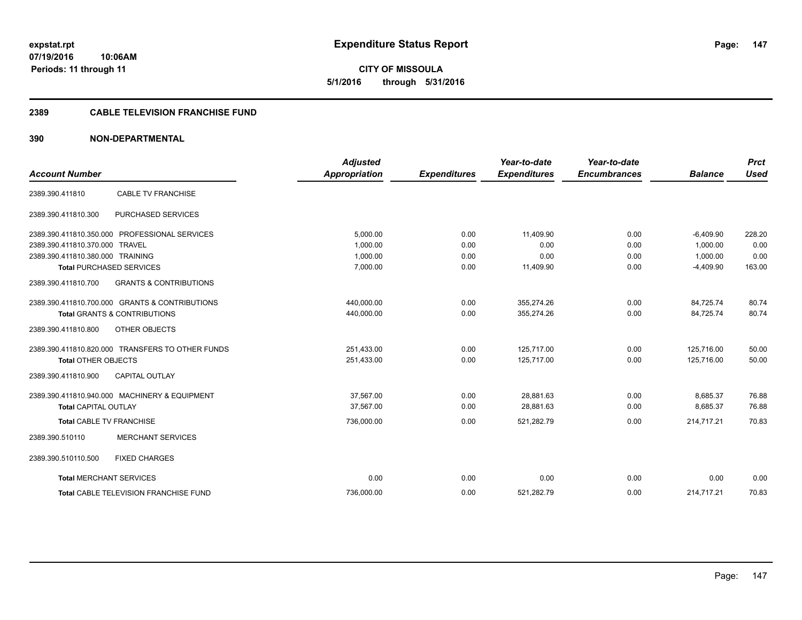**CITY OF MISSOULA 5/1/2016 through 5/31/2016**

## **2389 CABLE TELEVISION FRANCHISE FUND**

|                                  |                                                  | <b>Adjusted</b>      |                     | Year-to-date        | Year-to-date        |                | <b>Prct</b> |
|----------------------------------|--------------------------------------------------|----------------------|---------------------|---------------------|---------------------|----------------|-------------|
| <b>Account Number</b>            |                                                  | <b>Appropriation</b> | <b>Expenditures</b> | <b>Expenditures</b> | <b>Encumbrances</b> | <b>Balance</b> | <b>Used</b> |
| 2389.390.411810                  | <b>CABLE TV FRANCHISE</b>                        |                      |                     |                     |                     |                |             |
| 2389.390.411810.300              | PURCHASED SERVICES                               |                      |                     |                     |                     |                |             |
|                                  | 2389.390.411810.350.000 PROFESSIONAL SERVICES    | 5,000.00             | 0.00                | 11.409.90           | 0.00                | $-6,409.90$    | 228.20      |
| 2389.390.411810.370.000 TRAVEL   |                                                  | 1,000.00             | 0.00                | 0.00                | 0.00                | 1,000.00       | 0.00        |
| 2389.390.411810.380.000 TRAINING |                                                  | 1.000.00             | 0.00                | 0.00                | 0.00                | 1.000.00       | 0.00        |
|                                  | <b>Total PURCHASED SERVICES</b>                  | 7,000.00             | 0.00                | 11,409.90           | 0.00                | $-4,409.90$    | 163.00      |
| 2389.390.411810.700              | <b>GRANTS &amp; CONTRIBUTIONS</b>                |                      |                     |                     |                     |                |             |
|                                  | 2389.390.411810.700.000 GRANTS & CONTRIBUTIONS   | 440,000.00           | 0.00                | 355.274.26          | 0.00                | 84.725.74      | 80.74       |
|                                  | <b>Total GRANTS &amp; CONTRIBUTIONS</b>          | 440,000.00           | 0.00                | 355,274.26          | 0.00                | 84,725.74      | 80.74       |
| 2389.390.411810.800              | OTHER OBJECTS                                    |                      |                     |                     |                     |                |             |
|                                  | 2389.390.411810.820.000 TRANSFERS TO OTHER FUNDS | 251,433.00           | 0.00                | 125,717.00          | 0.00                | 125,716.00     | 50.00       |
| <b>Total OTHER OBJECTS</b>       |                                                  | 251,433.00           | 0.00                | 125.717.00          | 0.00                | 125.716.00     | 50.00       |
| 2389.390.411810.900              | <b>CAPITAL OUTLAY</b>                            |                      |                     |                     |                     |                |             |
|                                  | 2389.390.411810.940.000 MACHINERY & EQUIPMENT    | 37.567.00            | 0.00                | 28.881.63           | 0.00                | 8.685.37       | 76.88       |
| <b>Total CAPITAL OUTLAY</b>      |                                                  | 37,567.00            | 0.00                | 28,881.63           | 0.00                | 8,685.37       | 76.88       |
| <b>Total CABLE TV FRANCHISE</b>  |                                                  | 736,000.00           | 0.00                | 521,282.79          | 0.00                | 214.717.21     | 70.83       |
| 2389.390.510110                  | <b>MERCHANT SERVICES</b>                         |                      |                     |                     |                     |                |             |
| 2389.390.510110.500              | <b>FIXED CHARGES</b>                             |                      |                     |                     |                     |                |             |
| <b>Total MERCHANT SERVICES</b>   |                                                  | 0.00                 | 0.00                | 0.00                | 0.00                | 0.00           | 0.00        |
|                                  | Total CABLE TELEVISION FRANCHISE FUND            | 736,000.00           | 0.00                | 521,282.79          | 0.00                | 214,717.21     | 70.83       |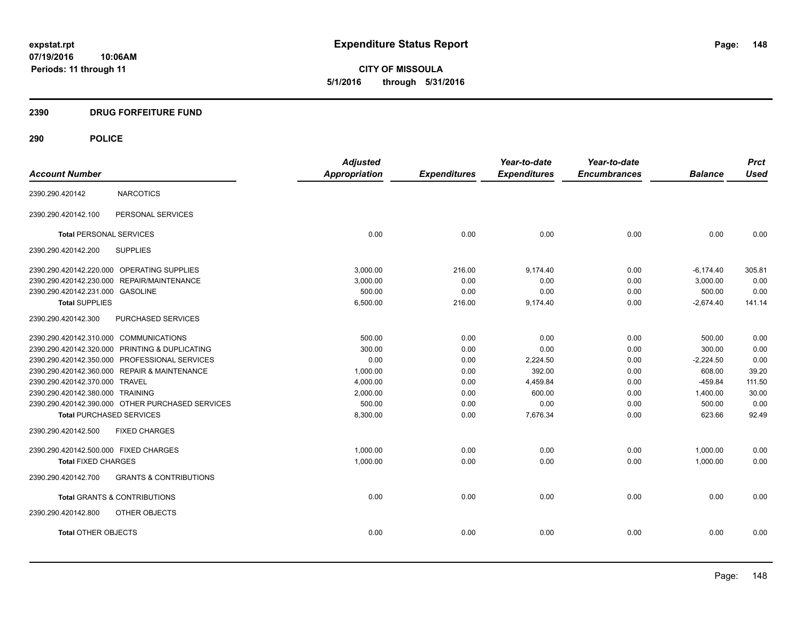**CITY OF MISSOULA 5/1/2016 through 5/31/2016**

## **2390 DRUG FORFEITURE FUND**

|                                        |                                                  | <b>Adjusted</b> |                     | Year-to-date        | Year-to-date        |                | <b>Prct</b> |
|----------------------------------------|--------------------------------------------------|-----------------|---------------------|---------------------|---------------------|----------------|-------------|
| <b>Account Number</b>                  |                                                  | Appropriation   | <b>Expenditures</b> | <b>Expenditures</b> | <b>Encumbrances</b> | <b>Balance</b> | <b>Used</b> |
| 2390.290.420142                        | <b>NARCOTICS</b>                                 |                 |                     |                     |                     |                |             |
| 2390.290.420142.100                    | PERSONAL SERVICES                                |                 |                     |                     |                     |                |             |
| <b>Total PERSONAL SERVICES</b>         |                                                  | 0.00            | 0.00                | 0.00                | 0.00                | 0.00           | 0.00        |
| 2390.290.420142.200                    | <b>SUPPLIES</b>                                  |                 |                     |                     |                     |                |             |
|                                        | 2390.290.420142.220.000 OPERATING SUPPLIES       | 3.000.00        | 216.00              | 9,174.40            | 0.00                | $-6,174.40$    | 305.81      |
|                                        | 2390.290.420142.230.000 REPAIR/MAINTENANCE       | 3,000.00        | 0.00                | 0.00                | 0.00                | 3.000.00       | 0.00        |
| 2390.290.420142.231.000 GASOLINE       |                                                  | 500.00          | 0.00                | 0.00                | 0.00                | 500.00         | 0.00        |
| <b>Total SUPPLIES</b>                  |                                                  | 6,500.00        | 216.00              | 9,174.40            | 0.00                | $-2,674.40$    | 141.14      |
| 2390.290.420142.300                    | PURCHASED SERVICES                               |                 |                     |                     |                     |                |             |
| 2390.290.420142.310.000 COMMUNICATIONS |                                                  | 500.00          | 0.00                | 0.00                | 0.00                | 500.00         | 0.00        |
|                                        | 2390.290.420142.320.000 PRINTING & DUPLICATING   | 300.00          | 0.00                | 0.00                | 0.00                | 300.00         | 0.00        |
|                                        | 2390.290.420142.350.000 PROFESSIONAL SERVICES    | 0.00            | 0.00                | 2,224.50            | 0.00                | $-2,224.50$    | 0.00        |
|                                        | 2390.290.420142.360.000 REPAIR & MAINTENANCE     | 1,000.00        | 0.00                | 392.00              | 0.00                | 608.00         | 39.20       |
| 2390.290.420142.370.000 TRAVEL         |                                                  | 4,000.00        | 0.00                | 4,459.84            | 0.00                | $-459.84$      | 111.50      |
| 2390.290.420142.380.000 TRAINING       |                                                  | 2,000.00        | 0.00                | 600.00              | 0.00                | 1,400.00       | 30.00       |
|                                        | 2390.290.420142.390.000 OTHER PURCHASED SERVICES | 500.00          | 0.00                | 0.00                | 0.00                | 500.00         | 0.00        |
| <b>Total PURCHASED SERVICES</b>        |                                                  | 8,300.00        | 0.00                | 7,676.34            | 0.00                | 623.66         | 92.49       |
| 2390.290.420142.500                    | <b>FIXED CHARGES</b>                             |                 |                     |                     |                     |                |             |
| 2390.290.420142.500.000 FIXED CHARGES  |                                                  | 1,000.00        | 0.00                | 0.00                | 0.00                | 1,000.00       | 0.00        |
| <b>Total FIXED CHARGES</b>             |                                                  | 1,000.00        | 0.00                | 0.00                | 0.00                | 1,000.00       | 0.00        |
| 2390.290.420142.700                    | <b>GRANTS &amp; CONTRIBUTIONS</b>                |                 |                     |                     |                     |                |             |
|                                        | <b>Total GRANTS &amp; CONTRIBUTIONS</b>          | 0.00            | 0.00                | 0.00                | 0.00                | 0.00           | 0.00        |
| 2390.290.420142.800                    | OTHER OBJECTS                                    |                 |                     |                     |                     |                |             |
| <b>Total OTHER OBJECTS</b>             |                                                  | 0.00            | 0.00                | 0.00                | 0.00                | 0.00           | 0.00        |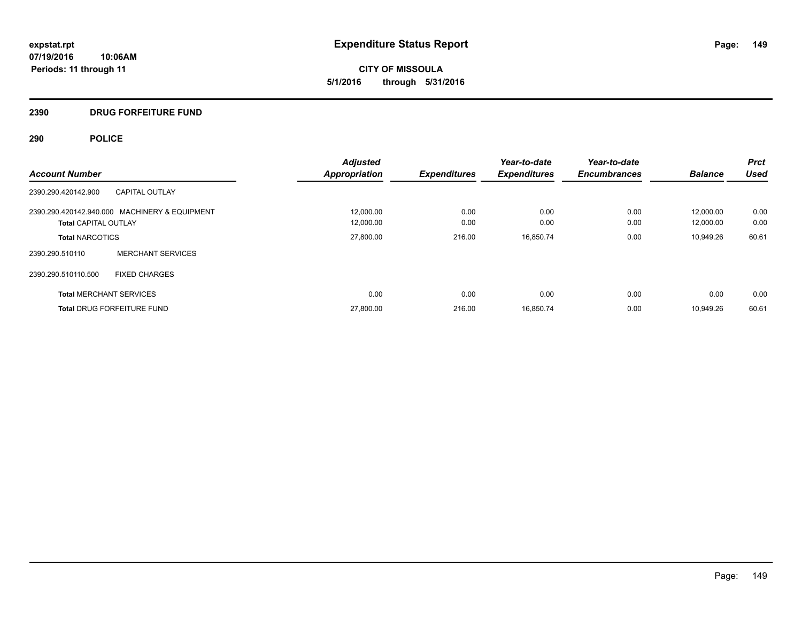**CITY OF MISSOULA 5/1/2016 through 5/31/2016**

## **2390 DRUG FORFEITURE FUND**

|                                |                                               | <b>Adjusted</b>      |                     | Year-to-date        | Year-to-date        |                | <b>Prct</b> |
|--------------------------------|-----------------------------------------------|----------------------|---------------------|---------------------|---------------------|----------------|-------------|
| <b>Account Number</b>          |                                               | <b>Appropriation</b> | <b>Expenditures</b> | <b>Expenditures</b> | <b>Encumbrances</b> | <b>Balance</b> | Used        |
| 2390.290.420142.900            | <b>CAPITAL OUTLAY</b>                         |                      |                     |                     |                     |                |             |
|                                | 2390.290.420142.940.000 MACHINERY & EQUIPMENT | 12,000.00            | 0.00                | 0.00                | 0.00                | 12.000.00      | 0.00        |
| <b>Total CAPITAL OUTLAY</b>    |                                               | 12,000.00            | 0.00                | 0.00                | 0.00                | 12.000.00      | 0.00        |
| <b>Total NARCOTICS</b>         |                                               | 27,800.00            | 216.00              | 16,850.74           | 0.00                | 10.949.26      | 60.61       |
| 2390.290.510110                | <b>MERCHANT SERVICES</b>                      |                      |                     |                     |                     |                |             |
| 2390.290.510110.500            | <b>FIXED CHARGES</b>                          |                      |                     |                     |                     |                |             |
| <b>Total MERCHANT SERVICES</b> |                                               | 0.00                 | 0.00                | 0.00                | 0.00                | 0.00           | 0.00        |
|                                | <b>Total DRUG FORFEITURE FUND</b>             | 27.800.00            | 216.00              | 16,850.74           | 0.00                | 10.949.26      | 60.61       |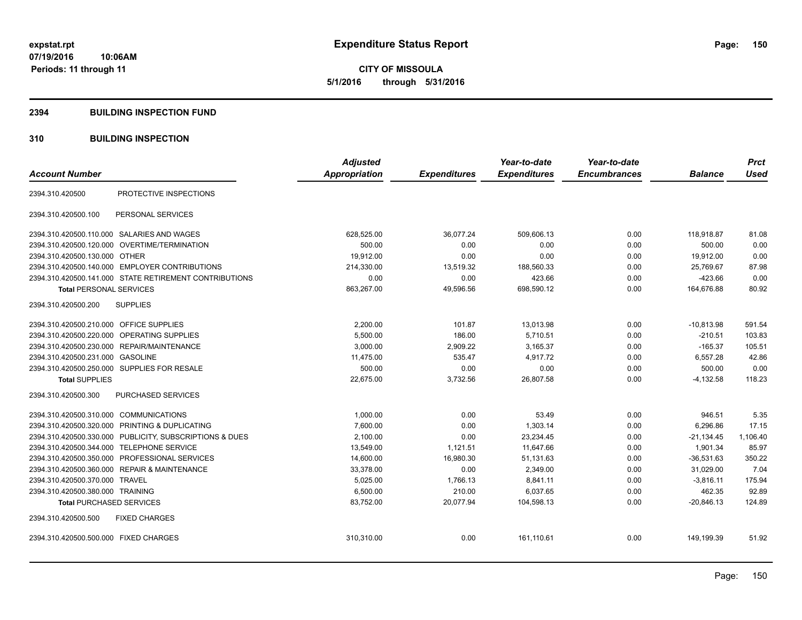**CITY OF MISSOULA 5/1/2016 through 5/31/2016**

## **2394 BUILDING INSPECTION FUND**

## **310 BUILDING INSPECTION**

|                                                            | <b>Adjusted</b> |                     | Year-to-date        | Year-to-date        |                | <b>Prct</b> |
|------------------------------------------------------------|-----------------|---------------------|---------------------|---------------------|----------------|-------------|
| <b>Account Number</b>                                      | Appropriation   | <b>Expenditures</b> | <b>Expenditures</b> | <b>Encumbrances</b> | <b>Balance</b> | <b>Used</b> |
| PROTECTIVE INSPECTIONS<br>2394.310.420500                  |                 |                     |                     |                     |                |             |
| 2394.310.420500.100<br>PERSONAL SERVICES                   |                 |                     |                     |                     |                |             |
| 2394.310.420500.110.000 SALARIES AND WAGES                 | 628,525.00      | 36,077.24           | 509,606.13          | 0.00                | 118,918.87     | 81.08       |
| 2394.310.420500.120.000<br>OVERTIME/TERMINATION            | 500.00          | 0.00                | 0.00                | 0.00                | 500.00         | 0.00        |
| 2394.310.420500.130.000 OTHER                              | 19,912.00       | 0.00                | 0.00                | 0.00                | 19,912.00      | 0.00        |
| 2394.310.420500.140.000 EMPLOYER CONTRIBUTIONS             | 214,330.00      | 13,519.32           | 188,560.33          | 0.00                | 25,769.67      | 87.98       |
| 2394.310.420500.141.000 STATE RETIREMENT CONTRIBUTIONS     | 0.00            | 0.00                | 423.66              | 0.00                | $-423.66$      | 0.00        |
| <b>Total PERSONAL SERVICES</b>                             | 863,267.00      | 49,596.56           | 698,590.12          | 0.00                | 164,676.88     | 80.92       |
| <b>SUPPLIES</b><br>2394.310.420500.200                     |                 |                     |                     |                     |                |             |
| 2394.310.420500.210.000 OFFICE SUPPLIES                    | 2,200.00        | 101.87              | 13,013.98           | 0.00                | $-10,813.98$   | 591.54      |
| <b>OPERATING SUPPLIES</b><br>2394.310.420500.220.000       | 5,500.00        | 186.00              | 5,710.51            | 0.00                | $-210.51$      | 103.83      |
| 2394.310.420500.230.000 REPAIR/MAINTENANCE                 | 3,000.00        | 2,909.22            | 3,165.37            | 0.00                | $-165.37$      | 105.51      |
| 2394.310.420500.231.000 GASOLINE                           | 11,475.00       | 535.47              | 4,917.72            | 0.00                | 6,557.28       | 42.86       |
| 2394.310.420500.250.000 SUPPLIES FOR RESALE                | 500.00          | 0.00                | 0.00                | 0.00                | 500.00         | 0.00        |
| <b>Total SUPPLIES</b>                                      | 22,675.00       | 3,732.56            | 26,807.58           | 0.00                | $-4,132.58$    | 118.23      |
| 2394.310.420500.300<br>PURCHASED SERVICES                  |                 |                     |                     |                     |                |             |
| 2394.310.420500.310.000 COMMUNICATIONS                     | 1,000.00        | 0.00                | 53.49               | 0.00                | 946.51         | 5.35        |
| 2394.310.420500.320.000 PRINTING & DUPLICATING             | 7,600.00        | 0.00                | 1,303.14            | 0.00                | 6,296.86       | 17.15       |
| PUBLICITY, SUBSCRIPTIONS & DUES<br>2394.310.420500.330.000 | 2,100.00        | 0.00                | 23,234.45           | 0.00                | $-21,134.45$   | 1,106.40    |
| 2394.310.420500.344.000 TELEPHONE SERVICE                  | 13,549.00       | 1,121.51            | 11,647.66           | 0.00                | 1,901.34       | 85.97       |
| 2394.310.420500.350.000 PROFESSIONAL SERVICES              | 14,600.00       | 16,980.30           | 51,131.63           | 0.00                | $-36,531.63$   | 350.22      |
| 2394.310.420500.360.000 REPAIR & MAINTENANCE               | 33,378.00       | 0.00                | 2,349.00            | 0.00                | 31.029.00      | 7.04        |
| 2394.310.420500.370.000 TRAVEL                             | 5,025.00        | 1,766.13            | 8,841.11            | 0.00                | $-3,816.11$    | 175.94      |
| 2394.310.420500.380.000 TRAINING                           | 6,500.00        | 210.00              | 6,037.65            | 0.00                | 462.35         | 92.89       |
| <b>Total PURCHASED SERVICES</b>                            | 83,752.00       | 20,077.94           | 104,598.13          | 0.00                | $-20,846.13$   | 124.89      |
| 2394.310.420500.500<br><b>FIXED CHARGES</b>                |                 |                     |                     |                     |                |             |
| 2394.310.420500.500.000 FIXED CHARGES                      | 310,310.00      | 0.00                | 161,110.61          | 0.00                | 149,199.39     | 51.92       |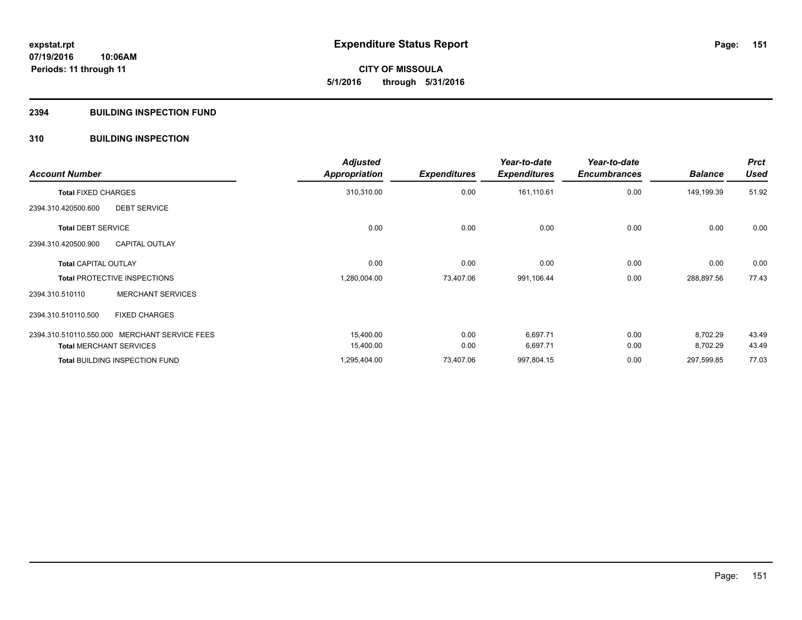**CITY OF MISSOULA 5/1/2016 through 5/31/2016**

## **2394 BUILDING INSPECTION FUND**

## **310 BUILDING INSPECTION**

| <b>Account Number</b>          |                                               | <b>Adjusted</b><br>Appropriation | <b>Expenditures</b> | Year-to-date<br><b>Expenditures</b> | Year-to-date<br><b>Encumbrances</b> | <b>Balance</b> | <b>Prct</b><br><b>Used</b> |
|--------------------------------|-----------------------------------------------|----------------------------------|---------------------|-------------------------------------|-------------------------------------|----------------|----------------------------|
| <b>Total FIXED CHARGES</b>     |                                               | 310,310.00                       | 0.00                | 161,110.61                          | 0.00                                | 149,199.39     | 51.92                      |
| 2394.310.420500.600            | <b>DEBT SERVICE</b>                           |                                  |                     |                                     |                                     |                |                            |
| <b>Total DEBT SERVICE</b>      |                                               | 0.00                             | 0.00                | 0.00                                | 0.00                                | 0.00           | 0.00                       |
| 2394.310.420500.900            | <b>CAPITAL OUTLAY</b>                         |                                  |                     |                                     |                                     |                |                            |
| <b>Total CAPITAL OUTLAY</b>    |                                               | 0.00                             | 0.00                | 0.00                                | 0.00                                | 0.00           | 0.00                       |
|                                | <b>Total PROTECTIVE INSPECTIONS</b>           | 1,280,004.00                     | 73,407.06           | 991,106.44                          | 0.00                                | 288,897.56     | 77.43                      |
| 2394.310.510110                | <b>MERCHANT SERVICES</b>                      |                                  |                     |                                     |                                     |                |                            |
| 2394.310.510110.500            | <b>FIXED CHARGES</b>                          |                                  |                     |                                     |                                     |                |                            |
|                                | 2394.310.510110.550.000 MERCHANT SERVICE FEES | 15,400.00                        | 0.00                | 6,697.71                            | 0.00                                | 8,702.29       | 43.49                      |
| <b>Total MERCHANT SERVICES</b> |                                               | 15,400.00                        | 0.00                | 6,697.71                            | 0.00                                | 8,702.29       | 43.49                      |
|                                | <b>Total BUILDING INSPECTION FUND</b>         | 1,295,404.00                     | 73,407.06           | 997,804.15                          | 0.00                                | 297,599.85     | 77.03                      |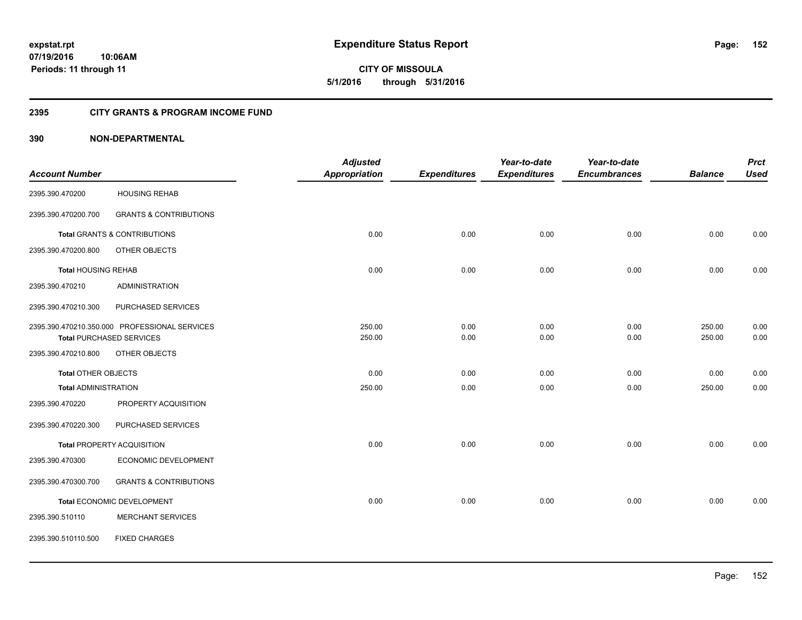**CITY OF MISSOULA 5/1/2016 through 5/31/2016**

## **2395 CITY GRANTS & PROGRAM INCOME FUND**

|                             |                                               | <b>Adjusted</b>      |                     | Year-to-date        | Year-to-date        |                | <b>Prct</b> |
|-----------------------------|-----------------------------------------------|----------------------|---------------------|---------------------|---------------------|----------------|-------------|
| <b>Account Number</b>       |                                               | <b>Appropriation</b> | <b>Expenditures</b> | <b>Expenditures</b> | <b>Encumbrances</b> | <b>Balance</b> | <b>Used</b> |
| 2395.390.470200             | <b>HOUSING REHAB</b>                          |                      |                     |                     |                     |                |             |
| 2395.390.470200.700         | <b>GRANTS &amp; CONTRIBUTIONS</b>             |                      |                     |                     |                     |                |             |
|                             | <b>Total GRANTS &amp; CONTRIBUTIONS</b>       | 0.00                 | 0.00                | 0.00                | 0.00                | 0.00           | 0.00        |
| 2395.390.470200.800         | OTHER OBJECTS                                 |                      |                     |                     |                     |                |             |
| <b>Total HOUSING REHAB</b>  |                                               | 0.00                 | 0.00                | 0.00                | 0.00                | 0.00           | 0.00        |
| 2395.390.470210             | <b>ADMINISTRATION</b>                         |                      |                     |                     |                     |                |             |
| 2395.390.470210.300         | PURCHASED SERVICES                            |                      |                     |                     |                     |                |             |
|                             | 2395.390.470210.350.000 PROFESSIONAL SERVICES | 250.00               | 0.00                | 0.00                | 0.00                | 250.00         | 0.00        |
|                             | <b>Total PURCHASED SERVICES</b>               | 250.00               | 0.00                | 0.00                | 0.00                | 250.00         | 0.00        |
| 2395.390.470210.800         | OTHER OBJECTS                                 |                      |                     |                     |                     |                |             |
| <b>Total OTHER OBJECTS</b>  |                                               | 0.00                 | 0.00                | 0.00                | 0.00                | 0.00           | 0.00        |
| <b>Total ADMINISTRATION</b> |                                               | 250.00               | 0.00                | 0.00                | 0.00                | 250.00         | 0.00        |
| 2395.390.470220             | PROPERTY ACQUISITION                          |                      |                     |                     |                     |                |             |
| 2395.390.470220.300         | PURCHASED SERVICES                            |                      |                     |                     |                     |                |             |
|                             | <b>Total PROPERTY ACQUISITION</b>             | 0.00                 | 0.00                | 0.00                | 0.00                | 0.00           | 0.00        |
| 2395.390.470300             | ECONOMIC DEVELOPMENT                          |                      |                     |                     |                     |                |             |
| 2395.390.470300.700         | <b>GRANTS &amp; CONTRIBUTIONS</b>             |                      |                     |                     |                     |                |             |
|                             | Total ECONOMIC DEVELOPMENT                    | 0.00                 | 0.00                | 0.00                | 0.00                | 0.00           | 0.00        |
| 2395.390.510110             | <b>MERCHANT SERVICES</b>                      |                      |                     |                     |                     |                |             |
| 2395.390.510110.500         | <b>FIXED CHARGES</b>                          |                      |                     |                     |                     |                |             |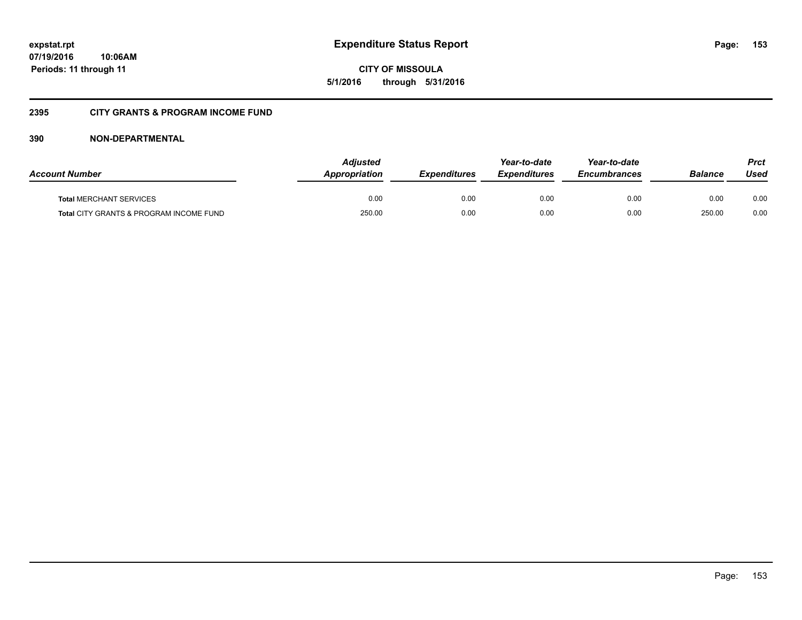**CITY OF MISSOULA 5/1/2016 through 5/31/2016**

## **2395 CITY GRANTS & PROGRAM INCOME FUND**

| <b>Account Number</b>                              | <b>Adjusted</b><br>Appropriation | <b>Expenditures</b> | Year-to-date<br><b>Expenditures</b> | Year-to-date<br><i><b>Encumbrances</b></i> | <b>Balance</b> | Prct<br>Used |
|----------------------------------------------------|----------------------------------|---------------------|-------------------------------------|--------------------------------------------|----------------|--------------|
| <b>Total MERCHANT SERVICES</b>                     | 0.00                             | 0.00                | 0.00                                | 0.00                                       | 0.00           | 0.00         |
| <b>Total CITY GRANTS &amp; PROGRAM INCOME FUND</b> | 250.00                           | 0.00                | 0.00                                | 0.00                                       | 250.00         | 0.00         |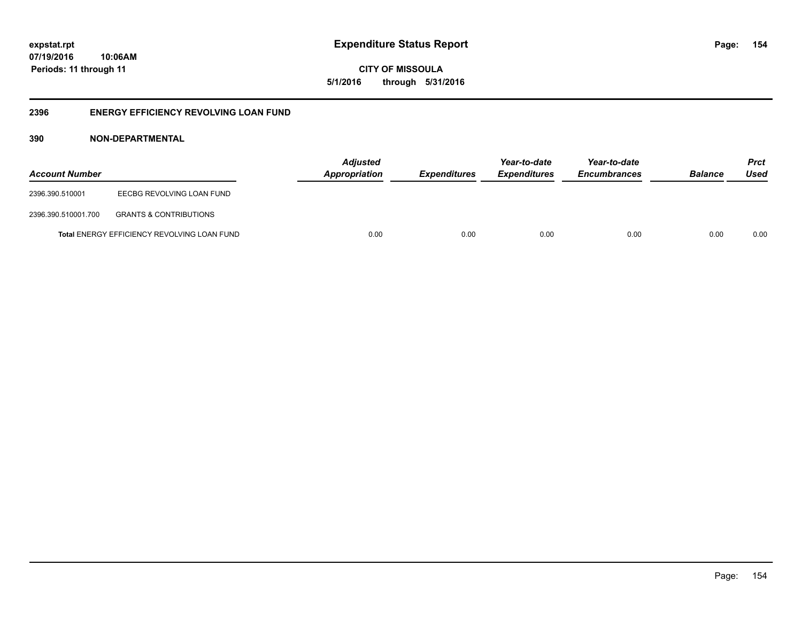**CITY OF MISSOULA 5/1/2016 through 5/31/2016**

## **2396 ENERGY EFFICIENCY REVOLVING LOAN FUND**

| <b>Account Number</b> |                                                    | <b>Adjusted</b><br>Appropriation | <b>Expenditures</b> | Year-to-date<br><i><b>Expenditures</b></i> | Year-to-date<br><b>Encumbrances</b> | <b>Balance</b> | <b>Prct</b><br>Used |
|-----------------------|----------------------------------------------------|----------------------------------|---------------------|--------------------------------------------|-------------------------------------|----------------|---------------------|
| 2396.390.510001       | EECBG REVOLVING LOAN FUND                          |                                  |                     |                                            |                                     |                |                     |
| 2396.390.510001.700   | <b>GRANTS &amp; CONTRIBUTIONS</b>                  |                                  |                     |                                            |                                     |                |                     |
|                       | <b>Total ENERGY EFFICIENCY REVOLVING LOAN FUND</b> | 0.00                             | 0.00                | 0.00                                       | 0.00                                | 0.00           | 0.00                |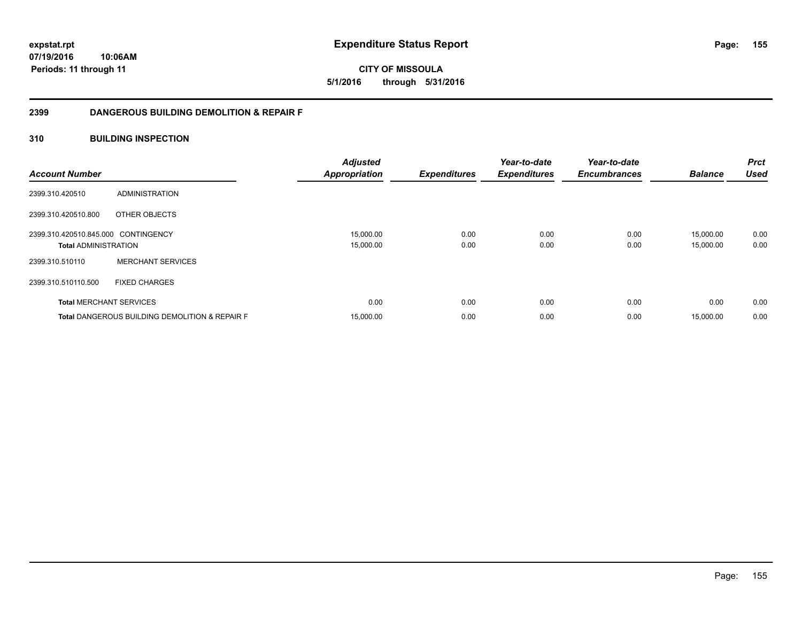**CITY OF MISSOULA 5/1/2016 through 5/31/2016**

## **2399 DANGEROUS BUILDING DEMOLITION & REPAIR F**

## **310 BUILDING INSPECTION**

| <b>Account Number</b>                                              |                                                           | <b>Adjusted</b><br><b>Appropriation</b> | <b>Expenditures</b> | Year-to-date<br><b>Expenditures</b> | Year-to-date<br><b>Encumbrances</b> | <b>Balance</b>         | <b>Prct</b><br><b>Used</b> |
|--------------------------------------------------------------------|-----------------------------------------------------------|-----------------------------------------|---------------------|-------------------------------------|-------------------------------------|------------------------|----------------------------|
| 2399.310.420510                                                    | ADMINISTRATION                                            |                                         |                     |                                     |                                     |                        |                            |
| 2399.310.420510.800                                                | OTHER OBJECTS                                             |                                         |                     |                                     |                                     |                        |                            |
| 2399.310.420510.845.000 CONTINGENCY<br><b>Total ADMINISTRATION</b> |                                                           | 15,000.00<br>15,000.00                  | 0.00<br>0.00        | 0.00<br>0.00                        | 0.00<br>0.00                        | 15,000.00<br>15,000.00 | 0.00<br>0.00               |
| 2399.310.510110                                                    | <b>MERCHANT SERVICES</b>                                  |                                         |                     |                                     |                                     |                        |                            |
| 2399.310.510110.500                                                | <b>FIXED CHARGES</b>                                      |                                         |                     |                                     |                                     |                        |                            |
|                                                                    | <b>Total MERCHANT SERVICES</b>                            | 0.00                                    | 0.00                | 0.00                                | 0.00                                | 0.00                   | 0.00                       |
|                                                                    | <b>Total DANGEROUS BUILDING DEMOLITION &amp; REPAIR F</b> | 15,000.00                               | 0.00                | 0.00                                | 0.00                                | 15,000.00              | 0.00                       |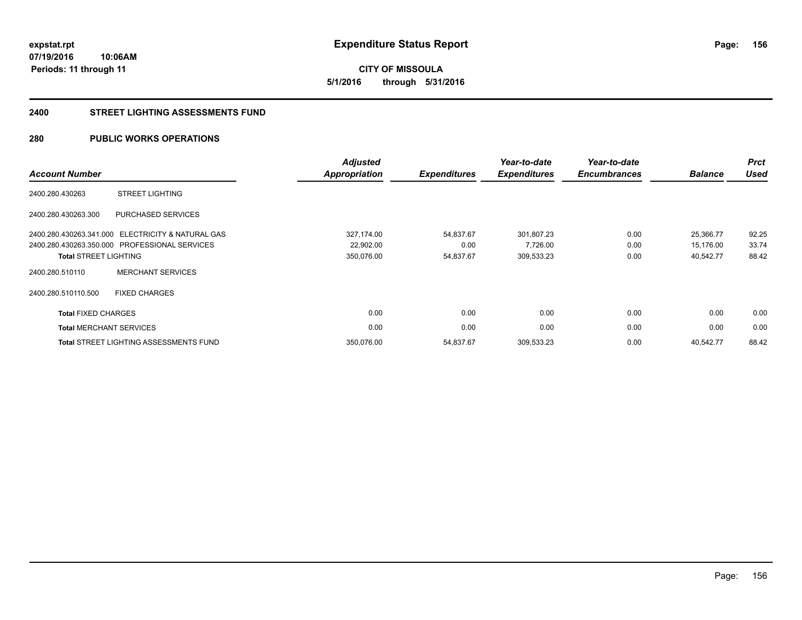## **2400 STREET LIGHTING ASSESSMENTS FUND**

## **280 PUBLIC WORKS OPERATIONS**

| <b>Account Number</b>        |                                                   | <b>Adjusted</b><br><b>Appropriation</b> | <b>Expenditures</b> | Year-to-date<br><b>Expenditures</b> | Year-to-date<br><b>Encumbrances</b> | <b>Balance</b> | <b>Prct</b><br><b>Used</b> |
|------------------------------|---------------------------------------------------|-----------------------------------------|---------------------|-------------------------------------|-------------------------------------|----------------|----------------------------|
| 2400.280.430263              | <b>STREET LIGHTING</b>                            |                                         |                     |                                     |                                     |                |                            |
| 2400.280.430263.300          | PURCHASED SERVICES                                |                                         |                     |                                     |                                     |                |                            |
|                              | 2400.280.430263.341.000 ELECTRICITY & NATURAL GAS | 327,174.00                              | 54,837.67           | 301,807.23                          | 0.00                                | 25,366.77      | 92.25                      |
|                              | 2400.280.430263.350.000 PROFESSIONAL SERVICES     | 22,902.00                               | 0.00                | 7,726.00                            | 0.00                                | 15,176.00      | 33.74                      |
| <b>Total STREET LIGHTING</b> |                                                   | 350,076.00                              | 54,837.67           | 309,533.23                          | 0.00                                | 40,542.77      | 88.42                      |
| 2400.280.510110              | <b>MERCHANT SERVICES</b>                          |                                         |                     |                                     |                                     |                |                            |
| 2400.280.510110.500          | <b>FIXED CHARGES</b>                              |                                         |                     |                                     |                                     |                |                            |
| <b>Total FIXED CHARGES</b>   |                                                   | 0.00                                    | 0.00                | 0.00                                | 0.00                                | 0.00           | 0.00                       |
|                              | <b>Total MERCHANT SERVICES</b>                    | 0.00                                    | 0.00                | 0.00                                | 0.00                                | 0.00           | 0.00                       |
|                              | Total STREET LIGHTING ASSESSMENTS FUND            | 350,076.00                              | 54,837.67           | 309,533.23                          | 0.00                                | 40,542.77      | 88.42                      |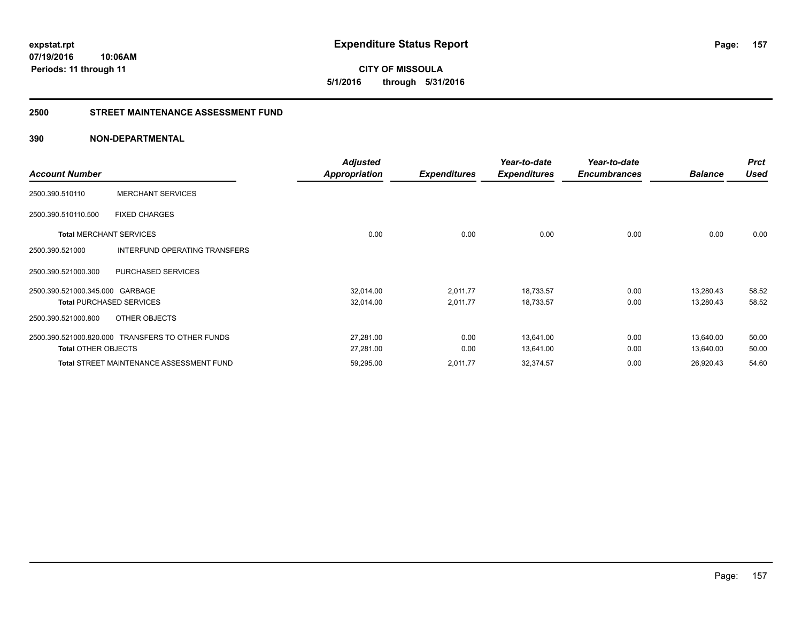**CITY OF MISSOULA 5/1/2016 through 5/31/2016**

## **2500 STREET MAINTENANCE ASSESSMENT FUND**

| <b>Account Number</b>           |                                                  | <b>Adjusted</b><br>Appropriation | <b>Expenditures</b> | Year-to-date<br><b>Expenditures</b> | Year-to-date<br><b>Encumbrances</b> | <b>Balance</b> | <b>Prct</b><br>Used |
|---------------------------------|--------------------------------------------------|----------------------------------|---------------------|-------------------------------------|-------------------------------------|----------------|---------------------|
| 2500.390.510110                 | <b>MERCHANT SERVICES</b>                         |                                  |                     |                                     |                                     |                |                     |
| 2500.390.510110.500             | <b>FIXED CHARGES</b>                             |                                  |                     |                                     |                                     |                |                     |
| <b>Total MERCHANT SERVICES</b>  |                                                  | 0.00                             | 0.00                | 0.00                                | 0.00                                | 0.00           | 0.00                |
| 2500.390.521000                 | INTERFUND OPERATING TRANSFERS                    |                                  |                     |                                     |                                     |                |                     |
| 2500.390.521000.300             | <b>PURCHASED SERVICES</b>                        |                                  |                     |                                     |                                     |                |                     |
| 2500.390.521000.345.000 GARBAGE |                                                  | 32,014.00                        | 2,011.77            | 18,733.57                           | 0.00                                | 13,280.43      | 58.52               |
|                                 | <b>Total PURCHASED SERVICES</b>                  | 32,014.00                        | 2,011.77            | 18,733.57                           | 0.00                                | 13,280.43      | 58.52               |
| 2500.390.521000.800             | OTHER OBJECTS                                    |                                  |                     |                                     |                                     |                |                     |
|                                 | 2500.390.521000.820.000 TRANSFERS TO OTHER FUNDS | 27,281.00                        | 0.00                | 13,641.00                           | 0.00                                | 13,640.00      | 50.00               |
| <b>Total OTHER OBJECTS</b>      |                                                  | 27,281.00                        | 0.00                | 13,641.00                           | 0.00                                | 13,640.00      | 50.00               |
|                                 | <b>Total STREET MAINTENANCE ASSESSMENT FUND</b>  | 59,295.00                        | 2,011.77            | 32,374.57                           | 0.00                                | 26,920.43      | 54.60               |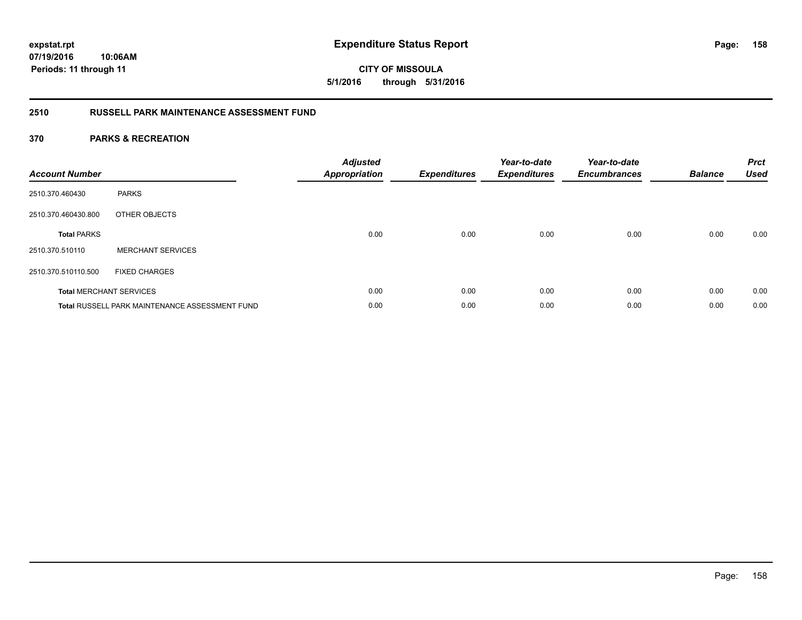## **2510 RUSSELL PARK MAINTENANCE ASSESSMENT FUND**

| <b>Account Number</b> |                                                       | <b>Adjusted</b><br><b>Appropriation</b> | Expenditures | Year-to-date<br><b>Expenditures</b> | Year-to-date<br><b>Encumbrances</b> | <b>Balance</b> | <b>Prct</b><br><b>Used</b> |
|-----------------------|-------------------------------------------------------|-----------------------------------------|--------------|-------------------------------------|-------------------------------------|----------------|----------------------------|
| 2510.370.460430       | <b>PARKS</b>                                          |                                         |              |                                     |                                     |                |                            |
| 2510.370.460430.800   | OTHER OBJECTS                                         |                                         |              |                                     |                                     |                |                            |
| <b>Total PARKS</b>    |                                                       | 0.00                                    | 0.00         | 0.00                                | 0.00                                | 0.00           | 0.00                       |
| 2510.370.510110       | <b>MERCHANT SERVICES</b>                              |                                         |              |                                     |                                     |                |                            |
| 2510.370.510110.500   | <b>FIXED CHARGES</b>                                  |                                         |              |                                     |                                     |                |                            |
|                       | <b>Total MERCHANT SERVICES</b>                        | 0.00                                    | 0.00         | 0.00                                | 0.00                                | 0.00           | 0.00                       |
|                       | <b>Total RUSSELL PARK MAINTENANCE ASSESSMENT FUND</b> | 0.00                                    | 0.00         | 0.00                                | 0.00                                | 0.00           | 0.00                       |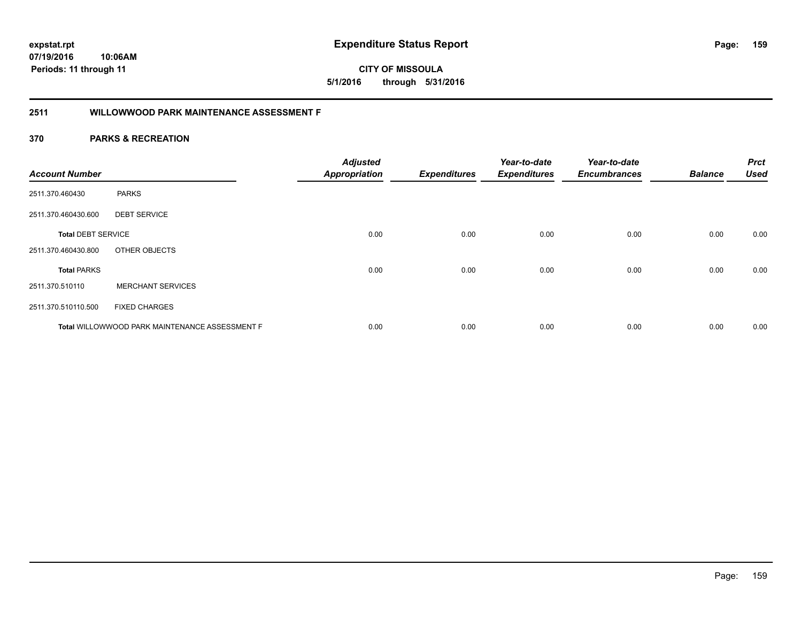**CITY OF MISSOULA 5/1/2016 through 5/31/2016**

## **2511 WILLOWWOOD PARK MAINTENANCE ASSESSMENT F**

| <b>Account Number</b>     |                                                | <b>Adjusted</b><br><b>Appropriation</b> | <b>Expenditures</b> | Year-to-date<br><b>Expenditures</b> | Year-to-date<br><b>Encumbrances</b> | <b>Balance</b> | <b>Prct</b><br><b>Used</b> |
|---------------------------|------------------------------------------------|-----------------------------------------|---------------------|-------------------------------------|-------------------------------------|----------------|----------------------------|
| 2511.370.460430           | <b>PARKS</b>                                   |                                         |                     |                                     |                                     |                |                            |
| 2511.370.460430.600       | <b>DEBT SERVICE</b>                            |                                         |                     |                                     |                                     |                |                            |
| <b>Total DEBT SERVICE</b> |                                                | 0.00                                    | 0.00                | 0.00                                | 0.00                                | 0.00           | 0.00                       |
| 2511.370.460430.800       | OTHER OBJECTS                                  |                                         |                     |                                     |                                     |                |                            |
| <b>Total PARKS</b>        |                                                | 0.00                                    | 0.00                | 0.00                                | 0.00                                | 0.00           | 0.00                       |
| 2511.370.510110           | <b>MERCHANT SERVICES</b>                       |                                         |                     |                                     |                                     |                |                            |
| 2511.370.510110.500       | <b>FIXED CHARGES</b>                           |                                         |                     |                                     |                                     |                |                            |
|                           | Total WILLOWWOOD PARK MAINTENANCE ASSESSMENT F | 0.00                                    | 0.00                | 0.00                                | 0.00                                | 0.00           | 0.00                       |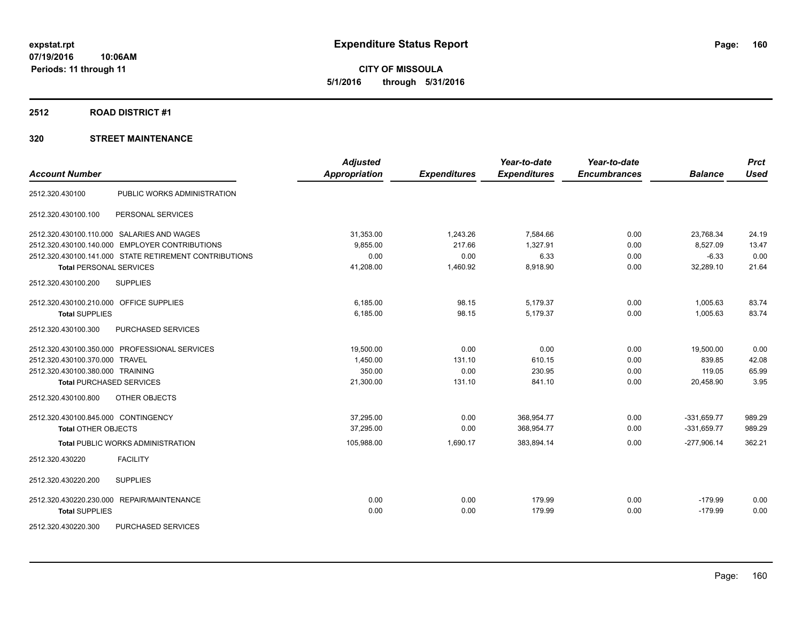**CITY OF MISSOULA 5/1/2016 through 5/31/2016**

### **2512 ROAD DISTRICT #1**

| <b>Account Number</b>                   |                                                        | <b>Adjusted</b><br><b>Appropriation</b> | <b>Expenditures</b> | Year-to-date<br><b>Expenditures</b> | Year-to-date<br><b>Encumbrances</b> | <b>Balance</b> | <b>Prct</b><br><b>Used</b> |
|-----------------------------------------|--------------------------------------------------------|-----------------------------------------|---------------------|-------------------------------------|-------------------------------------|----------------|----------------------------|
| 2512.320.430100                         | PUBLIC WORKS ADMINISTRATION                            |                                         |                     |                                     |                                     |                |                            |
|                                         |                                                        |                                         |                     |                                     |                                     |                |                            |
| 2512.320.430100.100                     | PERSONAL SERVICES                                      |                                         |                     |                                     |                                     |                |                            |
|                                         | 2512.320.430100.110.000 SALARIES AND WAGES             | 31,353.00                               | 1,243.26            | 7,584.66                            | 0.00                                | 23,768.34      | 24.19                      |
| 2512.320.430100.140.000                 | <b>EMPLOYER CONTRIBUTIONS</b>                          | 9,855.00                                | 217.66              | 1,327.91                            | 0.00                                | 8,527.09       | 13.47                      |
|                                         | 2512.320.430100.141.000 STATE RETIREMENT CONTRIBUTIONS | 0.00                                    | 0.00                | 6.33                                | 0.00                                | $-6.33$        | 0.00                       |
| <b>Total PERSONAL SERVICES</b>          |                                                        | 41,208.00                               | 1,460.92            | 8,918.90                            | 0.00                                | 32,289.10      | 21.64                      |
| 2512.320.430100.200                     | <b>SUPPLIES</b>                                        |                                         |                     |                                     |                                     |                |                            |
| 2512.320.430100.210.000 OFFICE SUPPLIES |                                                        | 6,185.00                                | 98.15               | 5,179.37                            | 0.00                                | 1,005.63       | 83.74                      |
| <b>Total SUPPLIES</b>                   |                                                        | 6,185.00                                | 98.15               | 5,179.37                            | 0.00                                | 1,005.63       | 83.74                      |
| 2512.320.430100.300                     | PURCHASED SERVICES                                     |                                         |                     |                                     |                                     |                |                            |
|                                         | 2512.320.430100.350.000 PROFESSIONAL SERVICES          | 19,500.00                               | 0.00                | 0.00                                | 0.00                                | 19,500.00      | 0.00                       |
| 2512.320.430100.370.000 TRAVEL          |                                                        | 1,450.00                                | 131.10              | 610.15                              | 0.00                                | 839.85         | 42.08                      |
| 2512.320.430100.380.000 TRAINING        |                                                        | 350.00                                  | 0.00                | 230.95                              | 0.00                                | 119.05         | 65.99                      |
| <b>Total PURCHASED SERVICES</b>         |                                                        | 21,300.00                               | 131.10              | 841.10                              | 0.00                                | 20,458.90      | 3.95                       |
| 2512.320.430100.800                     | OTHER OBJECTS                                          |                                         |                     |                                     |                                     |                |                            |
| 2512.320.430100.845.000 CONTINGENCY     |                                                        | 37,295.00                               | 0.00                | 368,954.77                          | 0.00                                | $-331,659.77$  | 989.29                     |
| <b>Total OTHER OBJECTS</b>              |                                                        | 37.295.00                               | 0.00                | 368,954.77                          | 0.00                                | $-331,659.77$  | 989.29                     |
|                                         | <b>Total PUBLIC WORKS ADMINISTRATION</b>               | 105,988.00                              | 1,690.17            | 383,894.14                          | 0.00                                | $-277,906.14$  | 362.21                     |
| 2512.320.430220                         | <b>FACILITY</b>                                        |                                         |                     |                                     |                                     |                |                            |
| 2512.320.430220.200                     | <b>SUPPLIES</b>                                        |                                         |                     |                                     |                                     |                |                            |
|                                         | 2512.320.430220.230.000 REPAIR/MAINTENANCE             | 0.00                                    | 0.00                | 179.99                              | 0.00                                | $-179.99$      | 0.00                       |
| <b>Total SUPPLIES</b>                   |                                                        | 0.00                                    | 0.00                | 179.99                              | 0.00                                | $-179.99$      | 0.00                       |
| 2512.320.430220.300                     | PURCHASED SERVICES                                     |                                         |                     |                                     |                                     |                |                            |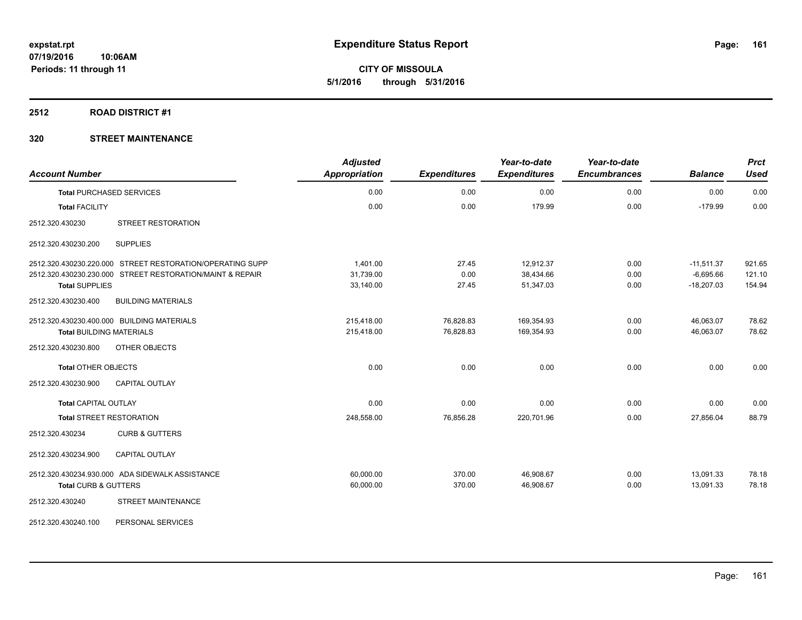**CITY OF MISSOULA 5/1/2016 through 5/31/2016**

### **2512 ROAD DISTRICT #1**

| <b>Account Number</b>                      |                                                           | <b>Adjusted</b><br><b>Appropriation</b> | <b>Expenditures</b> | Year-to-date<br><b>Expenditures</b> | Year-to-date<br><b>Encumbrances</b> | <b>Balance</b> | <b>Prct</b><br><b>Used</b> |
|--------------------------------------------|-----------------------------------------------------------|-----------------------------------------|---------------------|-------------------------------------|-------------------------------------|----------------|----------------------------|
| <b>Total PURCHASED SERVICES</b>            |                                                           | 0.00                                    | 0.00                | 0.00                                | 0.00                                | 0.00           | 0.00                       |
| <b>Total FACILITY</b>                      |                                                           | 0.00                                    | 0.00                | 179.99                              | 0.00                                | $-179.99$      | 0.00                       |
| 2512.320.430230                            | STREET RESTORATION                                        |                                         |                     |                                     |                                     |                |                            |
| 2512.320.430230.200                        | <b>SUPPLIES</b>                                           |                                         |                     |                                     |                                     |                |                            |
|                                            | 2512.320.430230.220.000 STREET RESTORATION/OPERATING SUPP | 1,401.00                                | 27.45               | 12,912.37                           | 0.00                                | $-11,511.37$   | 921.65                     |
|                                            | 2512.320.430230.230.000 STREET RESTORATION/MAINT & REPAIR | 31,739.00                               | 0.00                | 38,434.66                           | 0.00                                | $-6,695.66$    | 121.10                     |
| <b>Total SUPPLIES</b>                      |                                                           | 33,140.00                               | 27.45               | 51,347.03                           | 0.00                                | $-18,207.03$   | 154.94                     |
| 2512.320.430230.400                        | <b>BUILDING MATERIALS</b>                                 |                                         |                     |                                     |                                     |                |                            |
| 2512.320.430230.400.000 BUILDING MATERIALS |                                                           | 215,418.00                              | 76,828.83           | 169,354.93                          | 0.00                                | 46,063.07      | 78.62                      |
| <b>Total BUILDING MATERIALS</b>            |                                                           | 215,418.00                              | 76,828.83           | 169,354.93                          | 0.00                                | 46,063.07      | 78.62                      |
| 2512.320.430230.800                        | OTHER OBJECTS                                             |                                         |                     |                                     |                                     |                |                            |
| <b>Total OTHER OBJECTS</b>                 |                                                           | 0.00                                    | 0.00                | 0.00                                | 0.00                                | 0.00           | 0.00                       |
| 2512.320.430230.900                        | <b>CAPITAL OUTLAY</b>                                     |                                         |                     |                                     |                                     |                |                            |
| Total CAPITAL OUTLAY                       |                                                           | 0.00                                    | 0.00                | 0.00                                | 0.00                                | 0.00           | 0.00                       |
| <b>Total STREET RESTORATION</b>            |                                                           | 248,558.00                              | 76,856.28           | 220,701.96                          | 0.00                                | 27,856.04      | 88.79                      |
| 2512.320.430234                            | <b>CURB &amp; GUTTERS</b>                                 |                                         |                     |                                     |                                     |                |                            |
| 2512.320.430234.900                        | <b>CAPITAL OUTLAY</b>                                     |                                         |                     |                                     |                                     |                |                            |
|                                            | 2512.320.430234.930.000 ADA SIDEWALK ASSISTANCE           | 60,000.00                               | 370.00              | 46,908.67                           | 0.00                                | 13,091.33      | 78.18                      |
| Total CURB & GUTTERS                       |                                                           | 60,000.00                               | 370.00              | 46,908.67                           | 0.00                                | 13,091.33      | 78.18                      |
| 2512.320.430240                            | <b>STREET MAINTENANCE</b>                                 |                                         |                     |                                     |                                     |                |                            |
| 2512.320.430240.100                        | PERSONAL SERVICES                                         |                                         |                     |                                     |                                     |                |                            |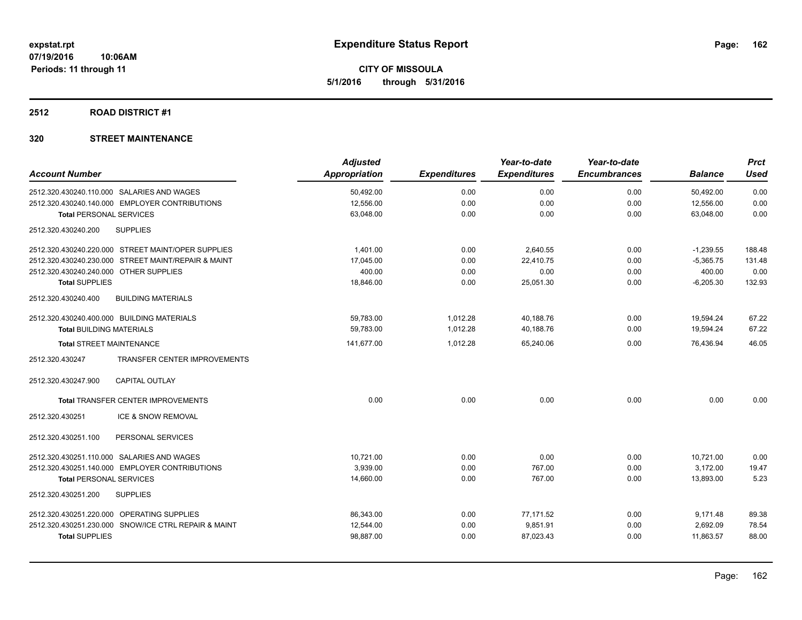**Periods: 11 through 11**

**CITY OF MISSOULA 5/1/2016 through 5/31/2016**

## **2512 ROAD DISTRICT #1**

|                                                        | <b>Adjusted</b> |                     | Year-to-date        | Year-to-date        |                | <b>Prct</b> |
|--------------------------------------------------------|-----------------|---------------------|---------------------|---------------------|----------------|-------------|
| <b>Account Number</b>                                  | Appropriation   | <b>Expenditures</b> | <b>Expenditures</b> | <b>Encumbrances</b> | <b>Balance</b> | Used        |
| 2512.320.430240.110.000 SALARIES AND WAGES             | 50,492.00       | 0.00                | 0.00                | 0.00                | 50,492.00      | 0.00        |
| 2512.320.430240.140.000 EMPLOYER CONTRIBUTIONS         | 12,556.00       | 0.00                | 0.00                | 0.00                | 12,556.00      | 0.00        |
| <b>Total PERSONAL SERVICES</b>                         | 63,048.00       | 0.00                | 0.00                | 0.00                | 63,048.00      | 0.00        |
| 2512.320.430240.200<br><b>SUPPLIES</b>                 |                 |                     |                     |                     |                |             |
| 2512.320.430240.220.000 STREET MAINT/OPER SUPPLIES     | 1.401.00        | 0.00                | 2,640.55            | 0.00                | $-1,239.55$    | 188.48      |
| 2512.320.430240.230.000 STREET MAINT/REPAIR & MAINT    | 17,045.00       | 0.00                | 22.410.75           | 0.00                | $-5,365.75$    | 131.48      |
| 2512.320.430240.240.000 OTHER SUPPLIES                 | 400.00          | 0.00                | 0.00                | 0.00                | 400.00         | 0.00        |
| <b>Total SUPPLIES</b>                                  | 18,846.00       | 0.00                | 25,051.30           | 0.00                | $-6,205.30$    | 132.93      |
| 2512.320.430240.400<br><b>BUILDING MATERIALS</b>       |                 |                     |                     |                     |                |             |
| 2512.320.430240.400.000 BUILDING MATERIALS             | 59,783.00       | 1,012.28            | 40,188.76           | 0.00                | 19,594.24      | 67.22       |
| <b>Total BUILDING MATERIALS</b>                        | 59,783.00       | 1,012.28            | 40,188.76           | 0.00                | 19,594.24      | 67.22       |
| <b>Total STREET MAINTENANCE</b>                        | 141,677.00      | 1,012.28            | 65,240.06           | 0.00                | 76,436.94      | 46.05       |
| <b>TRANSFER CENTER IMPROVEMENTS</b><br>2512.320.430247 |                 |                     |                     |                     |                |             |
| 2512.320.430247.900<br><b>CAPITAL OUTLAY</b>           |                 |                     |                     |                     |                |             |
| Total TRANSFER CENTER IMPROVEMENTS                     | 0.00            | 0.00                | 0.00                | 0.00                | 0.00           | 0.00        |
| ICE & SNOW REMOVAL<br>2512.320.430251                  |                 |                     |                     |                     |                |             |
| 2512.320.430251.100<br>PERSONAL SERVICES               |                 |                     |                     |                     |                |             |
| 2512.320.430251.110.000 SALARIES AND WAGES             | 10,721.00       | 0.00                | 0.00                | 0.00                | 10,721.00      | 0.00        |
| 2512.320.430251.140.000 EMPLOYER CONTRIBUTIONS         | 3,939.00        | 0.00                | 767.00              | 0.00                | 3,172.00       | 19.47       |
| <b>Total PERSONAL SERVICES</b>                         | 14,660.00       | 0.00                | 767.00              | 0.00                | 13,893.00      | 5.23        |
| 2512.320.430251.200<br><b>SUPPLIES</b>                 |                 |                     |                     |                     |                |             |
| 2512.320.430251.220.000 OPERATING SUPPLIES             | 86,343.00       | 0.00                | 77,171.52           | 0.00                | 9,171.48       | 89.38       |
| 2512.320.430251.230.000 SNOW/ICE CTRL REPAIR & MAINT   | 12,544.00       | 0.00                | 9,851.91            | 0.00                | 2,692.09       | 78.54       |
| <b>Total SUPPLIES</b>                                  | 98,887.00       | 0.00                | 87,023.43           | 0.00                | 11,863.57      | 88.00       |
|                                                        |                 |                     |                     |                     |                |             |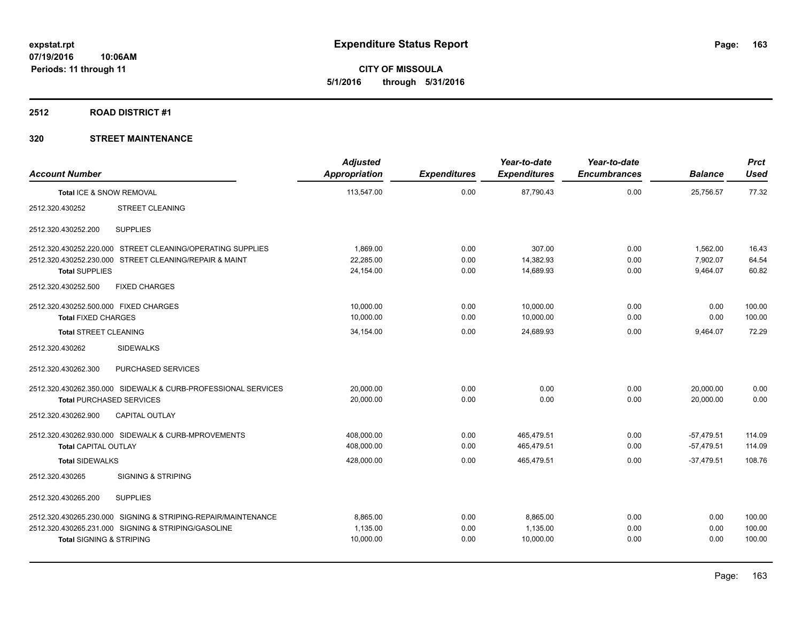**CITY OF MISSOULA 5/1/2016 through 5/31/2016**

### **2512 ROAD DISTRICT #1**

| <b>Account Number</b>                 |                                                               | <b>Adjusted</b><br><b>Appropriation</b> | <b>Expenditures</b> | Year-to-date<br><b>Expenditures</b> | Year-to-date<br><b>Encumbrances</b> | <b>Balance</b> | <b>Prct</b><br><b>Used</b> |
|---------------------------------------|---------------------------------------------------------------|-----------------------------------------|---------------------|-------------------------------------|-------------------------------------|----------------|----------------------------|
| Total ICE & SNOW REMOVAL              |                                                               | 113,547.00                              | 0.00                | 87,790.43                           | 0.00                                | 25,756.57      | 77.32                      |
| 2512.320.430252                       | <b>STREET CLEANING</b>                                        |                                         |                     |                                     |                                     |                |                            |
| 2512.320.430252.200                   | <b>SUPPLIES</b>                                               |                                         |                     |                                     |                                     |                |                            |
|                                       | 2512.320.430252.220.000 STREET CLEANING/OPERATING SUPPLIES    | 1,869.00                                | 0.00                | 307.00                              | 0.00                                | 1,562.00       | 16.43                      |
|                                       | 2512.320.430252.230.000 STREET CLEANING/REPAIR & MAINT        | 22,285.00                               | 0.00                | 14,382.93                           | 0.00                                | 7,902.07       | 64.54                      |
| <b>Total SUPPLIES</b>                 |                                                               | 24,154.00                               | 0.00                | 14,689.93                           | 0.00                                | 9,464.07       | 60.82                      |
| 2512.320.430252.500                   | <b>FIXED CHARGES</b>                                          |                                         |                     |                                     |                                     |                |                            |
| 2512.320.430252.500.000 FIXED CHARGES |                                                               | 10,000.00                               | 0.00                | 10,000.00                           | 0.00                                | 0.00           | 100.00                     |
| <b>Total FIXED CHARGES</b>            |                                                               | 10,000.00                               | 0.00                | 10,000.00                           | 0.00                                | 0.00           | 100.00                     |
| <b>Total STREET CLEANING</b>          |                                                               | 34,154.00                               | 0.00                | 24.689.93                           | 0.00                                | 9,464.07       | 72.29                      |
| 2512.320.430262                       | <b>SIDEWALKS</b>                                              |                                         |                     |                                     |                                     |                |                            |
| 2512.320.430262.300                   | PURCHASED SERVICES                                            |                                         |                     |                                     |                                     |                |                            |
|                                       | 2512.320.430262.350.000 SIDEWALK & CURB-PROFESSIONAL SERVICES | 20,000.00                               | 0.00                | 0.00                                | 0.00                                | 20,000.00      | 0.00                       |
| <b>Total PURCHASED SERVICES</b>       |                                                               | 20.000.00                               | 0.00                | 0.00                                | 0.00                                | 20.000.00      | 0.00                       |
| 2512.320.430262.900                   | <b>CAPITAL OUTLAY</b>                                         |                                         |                     |                                     |                                     |                |                            |
|                                       | 2512.320.430262.930.000 SIDEWALK & CURB-MPROVEMENTS           | 408,000.00                              | 0.00                | 465,479.51                          | 0.00                                | $-57,479.51$   | 114.09                     |
| <b>Total CAPITAL OUTLAY</b>           |                                                               | 408,000.00                              | 0.00                | 465,479.51                          | 0.00                                | $-57,479.51$   | 114.09                     |
| <b>Total SIDEWALKS</b>                |                                                               | 428,000.00                              | 0.00                | 465,479.51                          | 0.00                                | $-37.479.51$   | 108.76                     |
| 2512.320.430265                       | <b>SIGNING &amp; STRIPING</b>                                 |                                         |                     |                                     |                                     |                |                            |
| 2512.320.430265.200                   | <b>SUPPLIES</b>                                               |                                         |                     |                                     |                                     |                |                            |
|                                       | 2512.320.430265.230.000 SIGNING & STRIPING-REPAIR/MAINTENANCE | 8.865.00                                | 0.00                | 8,865.00                            | 0.00                                | 0.00           | 100.00                     |
|                                       | 2512.320.430265.231.000 SIGNING & STRIPING/GASOLINE           | 1,135.00                                | 0.00                | 1,135.00                            | 0.00                                | 0.00           | 100.00                     |
| <b>Total SIGNING &amp; STRIPING</b>   |                                                               | 10,000.00                               | 0.00                | 10,000.00                           | 0.00                                | 0.00           | 100.00                     |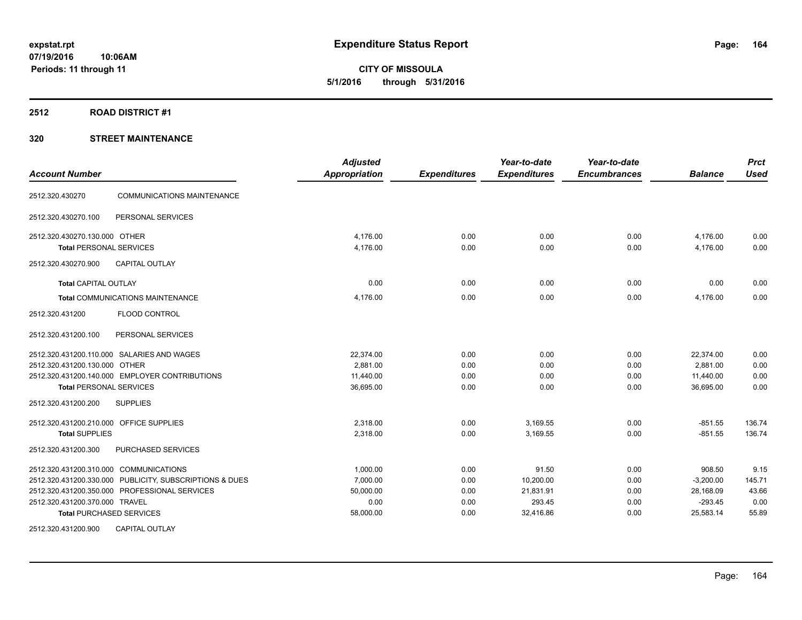**CITY OF MISSOULA 5/1/2016 through 5/31/2016**

## **2512 ROAD DISTRICT #1**

## **320 STREET MAINTENANCE**

| <b>Account Number</b>                                   | <b>Adjusted</b><br>Appropriation | <b>Expenditures</b> | Year-to-date<br><b>Expenditures</b> | Year-to-date<br><b>Encumbrances</b> | <b>Balance</b> | <b>Prct</b><br><b>Used</b> |
|---------------------------------------------------------|----------------------------------|---------------------|-------------------------------------|-------------------------------------|----------------|----------------------------|
| <b>COMMUNICATIONS MAINTENANCE</b><br>2512.320.430270    |                                  |                     |                                     |                                     |                |                            |
| PERSONAL SERVICES<br>2512.320.430270.100                |                                  |                     |                                     |                                     |                |                            |
| 2512.320.430270.130.000 OTHER                           | 4,176.00                         | 0.00                | 0.00                                | 0.00                                | 4,176.00       | 0.00                       |
| <b>Total PERSONAL SERVICES</b>                          | 4,176.00                         | 0.00                | 0.00                                | 0.00                                | 4,176.00       | 0.00                       |
| 2512.320.430270.900<br><b>CAPITAL OUTLAY</b>            |                                  |                     |                                     |                                     |                |                            |
| <b>Total CAPITAL OUTLAY</b>                             | 0.00                             | 0.00                | 0.00                                | 0.00                                | 0.00           | 0.00                       |
| <b>Total COMMUNICATIONS MAINTENANCE</b>                 | 4,176.00                         | 0.00                | 0.00                                | 0.00                                | 4,176.00       | 0.00                       |
| <b>FLOOD CONTROL</b><br>2512.320.431200                 |                                  |                     |                                     |                                     |                |                            |
| PERSONAL SERVICES<br>2512.320.431200.100                |                                  |                     |                                     |                                     |                |                            |
| 2512.320.431200.110.000 SALARIES AND WAGES              | 22.374.00                        | 0.00                | 0.00                                | 0.00                                | 22,374.00      | 0.00                       |
| 2512.320.431200.130.000 OTHER                           | 2.881.00                         | 0.00                | 0.00                                | 0.00                                | 2.881.00       | 0.00                       |
| 2512.320.431200.140.000 EMPLOYER CONTRIBUTIONS          | 11.440.00                        | 0.00                | 0.00                                | 0.00                                | 11,440.00      | 0.00                       |
| <b>Total PERSONAL SERVICES</b>                          | 36,695.00                        | 0.00                | 0.00                                | 0.00                                | 36.695.00      | 0.00                       |
| <b>SUPPLIES</b><br>2512.320.431200.200                  |                                  |                     |                                     |                                     |                |                            |
| 2512.320.431200.210.000 OFFICE SUPPLIES                 | 2,318.00                         | 0.00                | 3,169.55                            | 0.00                                | $-851.55$      | 136.74                     |
| <b>Total SUPPLIES</b>                                   | 2,318.00                         | 0.00                | 3,169.55                            | 0.00                                | $-851.55$      | 136.74                     |
| 2512.320.431200.300<br>PURCHASED SERVICES               |                                  |                     |                                     |                                     |                |                            |
| 2512.320.431200.310.000 COMMUNICATIONS                  | 1,000.00                         | 0.00                | 91.50                               | 0.00                                | 908.50         | 9.15                       |
| 2512.320.431200.330.000 PUBLICITY, SUBSCRIPTIONS & DUES | 7,000.00                         | 0.00                | 10,200.00                           | 0.00                                | $-3,200.00$    | 145.71                     |
| 2512.320.431200.350.000 PROFESSIONAL SERVICES           | 50,000.00                        | 0.00                | 21,831.91                           | 0.00                                | 28,168.09      | 43.66                      |
| 2512.320.431200.370.000 TRAVEL                          | 0.00                             | 0.00                | 293.45                              | 0.00                                | $-293.45$      | 0.00                       |
| <b>Total PURCHASED SERVICES</b>                         | 58,000.00                        | 0.00                | 32,416.86                           | 0.00                                | 25,583.14      | 55.89                      |
| <b>CAPITAL OUTLAY</b><br>2512.320.431200.900            |                                  |                     |                                     |                                     |                |                            |

Page: 164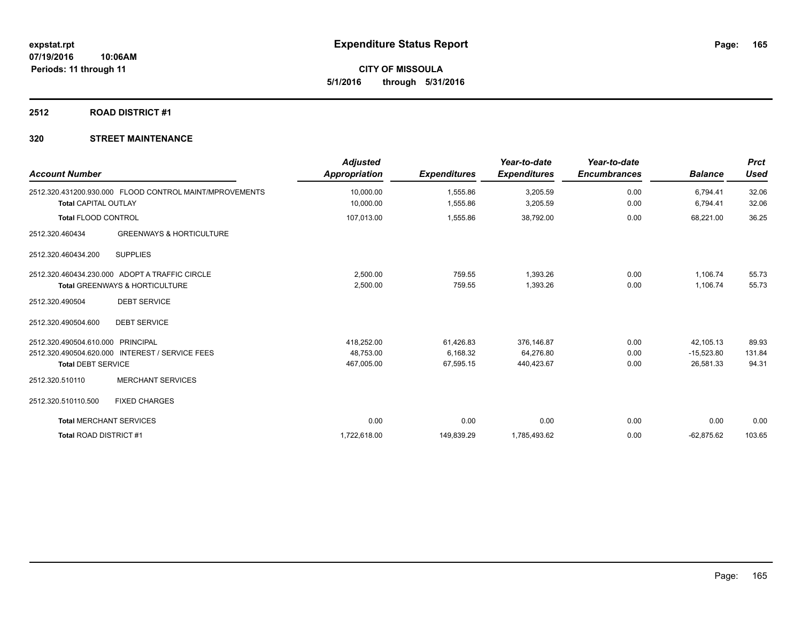**CITY OF MISSOULA 5/1/2016 through 5/31/2016**

## **2512 ROAD DISTRICT #1**

| <b>Account Number</b>          |                                                                                             | <b>Adjusted</b><br><b>Appropriation</b> | <b>Expenditures</b>  | Year-to-date<br><b>Expenditures</b> | Year-to-date<br><b>Encumbrances</b> | <b>Balance</b>       | <b>Prct</b><br><b>Used</b> |
|--------------------------------|---------------------------------------------------------------------------------------------|-----------------------------------------|----------------------|-------------------------------------|-------------------------------------|----------------------|----------------------------|
| <b>Total CAPITAL OUTLAY</b>    | 2512.320.431200.930.000 FLOOD CONTROL MAINT/MPROVEMENTS                                     | 10,000.00<br>10,000.00                  | 1,555.86<br>1,555.86 | 3,205.59<br>3,205.59                | 0.00<br>0.00                        | 6,794.41<br>6,794.41 | 32.06<br>32.06             |
| <b>Total FLOOD CONTROL</b>     |                                                                                             | 107,013.00                              | 1,555.86             | 38,792.00                           | 0.00                                | 68,221.00            | 36.25                      |
| 2512.320.460434                | <b>GREENWAYS &amp; HORTICULTURE</b>                                                         |                                         |                      |                                     |                                     |                      |                            |
| 2512.320.460434.200            | <b>SUPPLIES</b>                                                                             |                                         |                      |                                     |                                     |                      |                            |
|                                | 2512.320.460434.230.000 ADOPT A TRAFFIC CIRCLE<br><b>Total GREENWAYS &amp; HORTICULTURE</b> | 2,500.00<br>2,500.00                    | 759.55<br>759.55     | 1,393.26<br>1,393.26                | 0.00<br>0.00                        | 1,106.74<br>1,106.74 | 55.73<br>55.73             |
| 2512.320.490504                | <b>DEBT SERVICE</b>                                                                         |                                         |                      |                                     |                                     |                      |                            |
| 2512.320.490504.600            | <b>DEBT SERVICE</b>                                                                         |                                         |                      |                                     |                                     |                      |                            |
| 2512.320.490504.610.000        | PRINCIPAL                                                                                   | 418,252.00                              | 61,426.83            | 376,146.87                          | 0.00                                | 42,105.13            | 89.93                      |
|                                | 2512.320.490504.620.000 INTEREST / SERVICE FEES                                             | 48,753.00                               | 6,168.32             | 64,276.80                           | 0.00                                | $-15,523.80$         | 131.84                     |
| <b>Total DEBT SERVICE</b>      |                                                                                             | 467,005.00                              | 67,595.15            | 440,423.67                          | 0.00                                | 26,581.33            | 94.31                      |
| 2512.320.510110                | <b>MERCHANT SERVICES</b>                                                                    |                                         |                      |                                     |                                     |                      |                            |
| 2512.320.510110.500            | <b>FIXED CHARGES</b>                                                                        |                                         |                      |                                     |                                     |                      |                            |
| <b>Total MERCHANT SERVICES</b> |                                                                                             | 0.00                                    | 0.00                 | 0.00                                | 0.00                                | 0.00                 | 0.00                       |
| <b>Total ROAD DISTRICT#1</b>   |                                                                                             | 1,722,618.00                            | 149,839.29           | 1,785,493.62                        | 0.00                                | $-62,875.62$         | 103.65                     |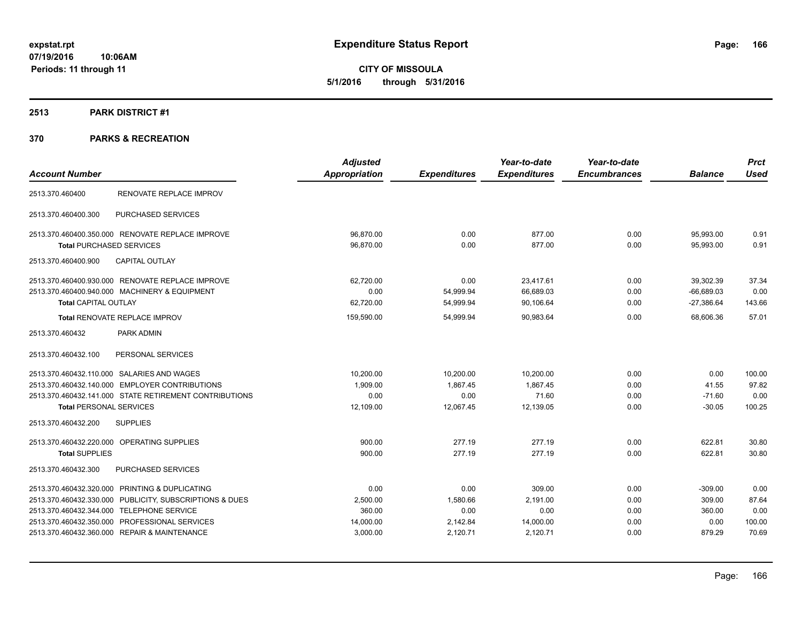**CITY OF MISSOULA 5/1/2016 through 5/31/2016**

### **2513 PARK DISTRICT #1**

|                                                         |                         | <b>Adjusted</b>      |                     | Year-to-date        | Year-to-date        |                | <b>Prct</b> |
|---------------------------------------------------------|-------------------------|----------------------|---------------------|---------------------|---------------------|----------------|-------------|
| <b>Account Number</b>                                   |                         | <b>Appropriation</b> | <b>Expenditures</b> | <b>Expenditures</b> | <b>Encumbrances</b> | <b>Balance</b> | <b>Used</b> |
| 2513.370.460400                                         | RENOVATE REPLACE IMPROV |                      |                     |                     |                     |                |             |
| PURCHASED SERVICES<br>2513.370.460400.300               |                         |                      |                     |                     |                     |                |             |
| 2513.370.460400.350.000 RENOVATE REPLACE IMPROVE        |                         | 96,870.00            | 0.00                | 877.00              | 0.00                | 95,993.00      | 0.91        |
| <b>Total PURCHASED SERVICES</b>                         |                         | 96,870.00            | 0.00                | 877.00              | 0.00                | 95,993.00      | 0.91        |
| <b>CAPITAL OUTLAY</b><br>2513.370.460400.900            |                         |                      |                     |                     |                     |                |             |
| 2513.370.460400.930.000 RENOVATE REPLACE IMPROVE        |                         | 62,720.00            | 0.00                | 23,417.61           | 0.00                | 39.302.39      | 37.34       |
| 2513.370.460400.940.000 MACHINERY & EQUIPMENT           |                         | 0.00                 | 54,999.94           | 66,689.03           | 0.00                | $-66,689.03$   | 0.00        |
| <b>Total CAPITAL OUTLAY</b>                             |                         | 62,720.00            | 54,999.94           | 90,106.64           | 0.00                | $-27,386.64$   | 143.66      |
| Total RENOVATE REPLACE IMPROV                           |                         | 159,590.00           | 54,999.94           | 90,983.64           | 0.00                | 68,606.36      | 57.01       |
| 2513.370.460432<br>PARK ADMIN                           |                         |                      |                     |                     |                     |                |             |
| 2513.370.460432.100<br>PERSONAL SERVICES                |                         |                      |                     |                     |                     |                |             |
| 2513.370.460432.110.000 SALARIES AND WAGES              |                         | 10,200.00            | 10,200.00           | 10,200.00           | 0.00                | 0.00           | 100.00      |
| 2513.370.460432.140.000 EMPLOYER CONTRIBUTIONS          |                         | 1,909.00             | 1,867.45            | 1,867.45            | 0.00                | 41.55          | 97.82       |
| 2513.370.460432.141.000 STATE RETIREMENT CONTRIBUTIONS  |                         | 0.00                 | 0.00                | 71.60               | 0.00                | $-71.60$       | 0.00        |
| <b>Total PERSONAL SERVICES</b>                          |                         | 12,109.00            | 12.067.45           | 12.139.05           | 0.00                | $-30.05$       | 100.25      |
| <b>SUPPLIES</b><br>2513.370.460432.200                  |                         |                      |                     |                     |                     |                |             |
| 2513.370.460432.220.000 OPERATING SUPPLIES              |                         | 900.00               | 277.19              | 277.19              | 0.00                | 622.81         | 30.80       |
| <b>Total SUPPLIES</b>                                   |                         | 900.00               | 277.19              | 277.19              | 0.00                | 622.81         | 30.80       |
| 2513.370.460432.300<br>PURCHASED SERVICES               |                         |                      |                     |                     |                     |                |             |
| 2513.370.460432.320.000 PRINTING & DUPLICATING          |                         | 0.00                 | 0.00                | 309.00              | 0.00                | $-309.00$      | 0.00        |
| 2513.370.460432.330.000 PUBLICITY, SUBSCRIPTIONS & DUES |                         | 2,500.00             | 1,580.66            | 2,191.00            | 0.00                | 309.00         | 87.64       |
| 2513.370.460432.344.000 TELEPHONE SERVICE               |                         | 360.00               | 0.00                | 0.00                | 0.00                | 360.00         | 0.00        |
| 2513.370.460432.350.000 PROFESSIONAL SERVICES           |                         | 14,000.00            | 2,142.84            | 14,000.00           | 0.00                | 0.00           | 100.00      |
| 2513.370.460432.360.000 REPAIR & MAINTENANCE            |                         | 3,000.00             | 2,120.71            | 2,120.71            | 0.00                | 879.29         | 70.69       |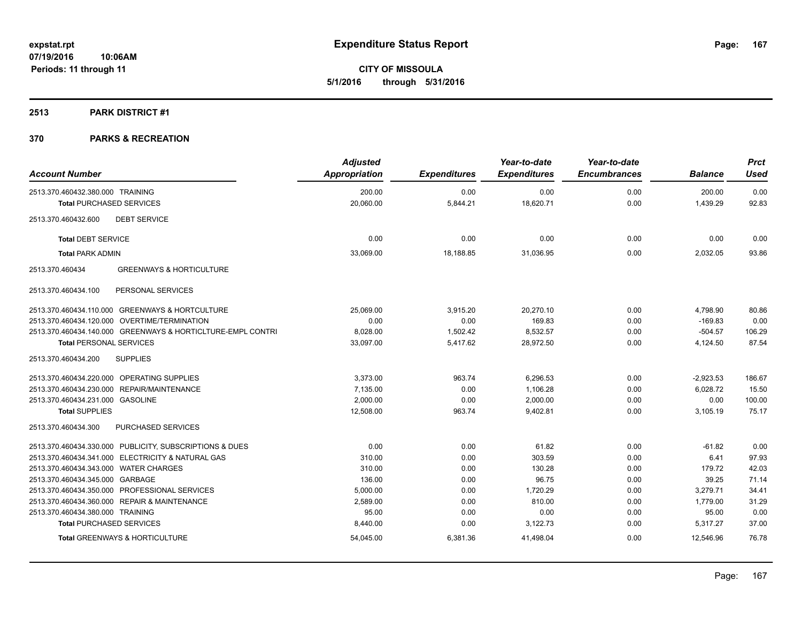**CITY OF MISSOULA 5/1/2016 through 5/31/2016**

### **2513 PARK DISTRICT #1**

| <b>Account Number</b>                                       | <b>Adjusted</b><br>Appropriation | <b>Expenditures</b> | Year-to-date<br><b>Expenditures</b> | Year-to-date<br><b>Encumbrances</b> | <b>Balance</b> | <b>Prct</b><br><b>Used</b> |
|-------------------------------------------------------------|----------------------------------|---------------------|-------------------------------------|-------------------------------------|----------------|----------------------------|
|                                                             |                                  |                     |                                     |                                     |                |                            |
| 2513.370.460432.380.000 TRAINING                            | 200.00                           | 0.00                | 0.00                                | 0.00                                | 200.00         | 0.00                       |
| <b>Total PURCHASED SERVICES</b>                             | 20,060.00                        | 5,844.21            | 18,620.71                           | 0.00                                | 1,439.29       | 92.83                      |
| <b>DEBT SERVICE</b><br>2513.370.460432.600                  |                                  |                     |                                     |                                     |                |                            |
| <b>Total DEBT SERVICE</b>                                   | 0.00                             | 0.00                | 0.00                                | 0.00                                | 0.00           | 0.00                       |
| <b>Total PARK ADMIN</b>                                     | 33,069.00                        | 18,188.85           | 31,036.95                           | 0.00                                | 2,032.05       | 93.86                      |
| <b>GREENWAYS &amp; HORTICULTURE</b><br>2513.370.460434      |                                  |                     |                                     |                                     |                |                            |
| PERSONAL SERVICES<br>2513.370.460434.100                    |                                  |                     |                                     |                                     |                |                            |
| 2513.370.460434.110.000 GREENWAYS & HORTCULTURE             | 25,069.00                        | 3,915.20            | 20,270.10                           | 0.00                                | 4,798.90       | 80.86                      |
| 2513.370.460434.120.000 OVERTIME/TERMINATION                | 0.00                             | 0.00                | 169.83                              | 0.00                                | $-169.83$      | 0.00                       |
| 2513.370.460434.140.000 GREENWAYS & HORTICLTURE-EMPL CONTRI | 8,028.00                         | 1,502.42            | 8,532.57                            | 0.00                                | $-504.57$      | 106.29                     |
| <b>Total PERSONAL SERVICES</b>                              | 33,097.00                        | 5,417.62            | 28,972.50                           | 0.00                                | 4,124.50       | 87.54                      |
| 2513.370.460434.200<br><b>SUPPLIES</b>                      |                                  |                     |                                     |                                     |                |                            |
| 2513.370.460434.220.000 OPERATING SUPPLIES                  | 3,373.00                         | 963.74              | 6,296.53                            | 0.00                                | $-2,923.53$    | 186.67                     |
| 2513.370.460434.230.000 REPAIR/MAINTENANCE                  | 7.135.00                         | 0.00                | 1.106.28                            | 0.00                                | 6.028.72       | 15.50                      |
| 2513.370.460434.231.000 GASOLINE                            | 2,000.00                         | 0.00                | 2,000.00                            | 0.00                                | 0.00           | 100.00                     |
| <b>Total SUPPLIES</b>                                       | 12,508.00                        | 963.74              | 9,402.81                            | 0.00                                | 3,105.19       | 75.17                      |
| 2513.370.460434.300<br>PURCHASED SERVICES                   |                                  |                     |                                     |                                     |                |                            |
| 2513.370.460434.330.000 PUBLICITY, SUBSCRIPTIONS & DUES     | 0.00                             | 0.00                | 61.82                               | 0.00                                | $-61.82$       | 0.00                       |
| 2513.370.460434.341.000 ELECTRICITY & NATURAL GAS           | 310.00                           | 0.00                | 303.59                              | 0.00                                | 6.41           | 97.93                      |
| 2513.370.460434.343.000 WATER CHARGES                       | 310.00                           | 0.00                | 130.28                              | 0.00                                | 179.72         | 42.03                      |
| 2513.370.460434.345.000 GARBAGE                             | 136.00                           | 0.00                | 96.75                               | 0.00                                | 39.25          | 71.14                      |
| 2513.370.460434.350.000 PROFESSIONAL SERVICES               | 5,000.00                         | 0.00                | 1,720.29                            | 0.00                                | 3,279.71       | 34.41                      |
| 2513.370.460434.360.000 REPAIR & MAINTENANCE                | 2,589.00                         | 0.00                | 810.00                              | 0.00                                | 1.779.00       | 31.29                      |
| 2513.370.460434.380.000 TRAINING                            | 95.00                            | 0.00                | 0.00                                | 0.00                                | 95.00          | 0.00                       |
| <b>Total PURCHASED SERVICES</b>                             | 8,440.00                         | 0.00                | 3,122.73                            | 0.00                                | 5,317.27       | 37.00                      |
| <b>Total GREENWAYS &amp; HORTICULTURE</b>                   | 54,045.00                        | 6,381.36            | 41,498.04                           | 0.00                                | 12,546.96      | 76.78                      |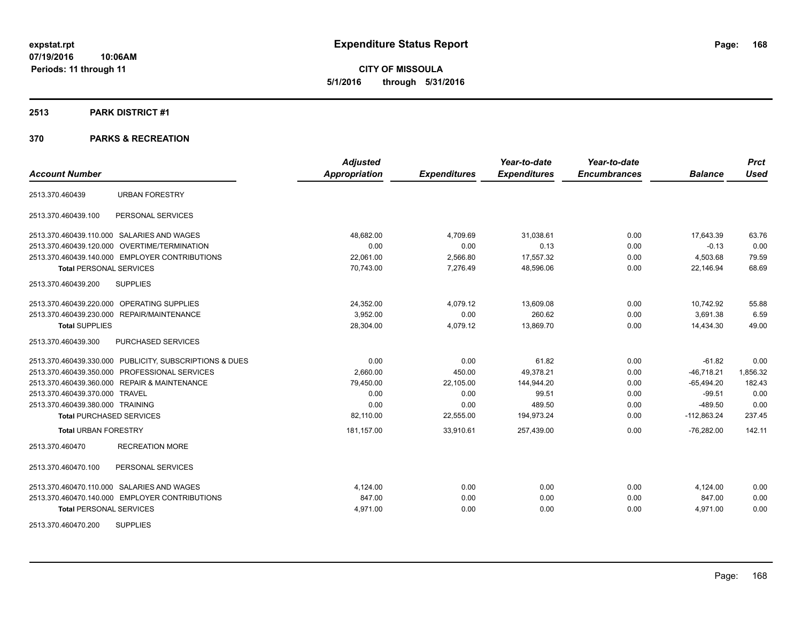**CITY OF MISSOULA 5/1/2016 through 5/31/2016**

### **2513 PARK DISTRICT #1**

| <b>Account Number</b>                                   | <b>Adjusted</b><br><b>Appropriation</b> | <b>Expenditures</b> | Year-to-date<br><b>Expenditures</b> | Year-to-date<br><b>Encumbrances</b> | <b>Balance</b> | <b>Prct</b><br><b>Used</b> |
|---------------------------------------------------------|-----------------------------------------|---------------------|-------------------------------------|-------------------------------------|----------------|----------------------------|
|                                                         |                                         |                     |                                     |                                     |                |                            |
| <b>URBAN FORESTRY</b><br>2513.370.460439                |                                         |                     |                                     |                                     |                |                            |
| 2513.370.460439.100<br>PERSONAL SERVICES                |                                         |                     |                                     |                                     |                |                            |
| 2513.370.460439.110.000 SALARIES AND WAGES              | 48,682.00                               | 4,709.69            | 31,038.61                           | 0.00                                | 17,643.39      | 63.76                      |
| 2513.370.460439.120.000 OVERTIME/TERMINATION            | 0.00                                    | 0.00                | 0.13                                | 0.00                                | $-0.13$        | 0.00                       |
| 2513.370.460439.140.000 EMPLOYER CONTRIBUTIONS          | 22,061.00                               | 2,566.80            | 17,557.32                           | 0.00                                | 4,503.68       | 79.59                      |
| <b>Total PERSONAL SERVICES</b>                          | 70,743.00                               | 7,276.49            | 48,596.06                           | 0.00                                | 22,146.94      | 68.69                      |
| 2513.370.460439.200<br><b>SUPPLIES</b>                  |                                         |                     |                                     |                                     |                |                            |
| 2513.370.460439.220.000 OPERATING SUPPLIES              | 24,352.00                               | 4,079.12            | 13,609.08                           | 0.00                                | 10,742.92      | 55.88                      |
| 2513.370.460439.230.000 REPAIR/MAINTENANCE              | 3.952.00                                | 0.00                | 260.62                              | 0.00                                | 3,691.38       | 6.59                       |
| <b>Total SUPPLIES</b>                                   | 28,304.00                               | 4,079.12            | 13,869.70                           | 0.00                                | 14,434.30      | 49.00                      |
| <b>PURCHASED SERVICES</b><br>2513.370.460439.300        |                                         |                     |                                     |                                     |                |                            |
| 2513.370.460439.330.000 PUBLICITY, SUBSCRIPTIONS & DUES | 0.00                                    | 0.00                | 61.82                               | 0.00                                | $-61.82$       | 0.00                       |
| 2513.370.460439.350.000 PROFESSIONAL SERVICES           | 2,660.00                                | 450.00              | 49,378.21                           | 0.00                                | $-46,718.21$   | 1,856.32                   |
| 2513.370.460439.360.000 REPAIR & MAINTENANCE            | 79,450.00                               | 22,105.00           | 144.944.20                          | 0.00                                | $-65,494.20$   | 182.43                     |
| 2513.370.460439.370.000 TRAVEL                          | 0.00                                    | 0.00                | 99.51                               | 0.00                                | $-99.51$       | 0.00                       |
| 2513.370.460439.380.000 TRAINING                        | 0.00                                    | 0.00                | 489.50                              | 0.00                                | $-489.50$      | 0.00                       |
| <b>Total PURCHASED SERVICES</b>                         | 82,110.00                               | 22,555.00           | 194,973.24                          | 0.00                                | $-112,863.24$  | 237.45                     |
| <b>Total URBAN FORESTRY</b>                             | 181,157.00                              | 33,910.61           | 257,439.00                          | 0.00                                | $-76,282.00$   | 142.11                     |
| <b>RECREATION MORE</b><br>2513.370.460470               |                                         |                     |                                     |                                     |                |                            |
| 2513.370.460470.100<br>PERSONAL SERVICES                |                                         |                     |                                     |                                     |                |                            |
| 2513.370.460470.110.000 SALARIES AND WAGES              | 4.124.00                                | 0.00                | 0.00                                | 0.00                                | 4,124.00       | 0.00                       |
| 2513.370.460470.140.000 EMPLOYER CONTRIBUTIONS          | 847.00                                  | 0.00                | 0.00                                | 0.00                                | 847.00         | 0.00                       |
| <b>Total PERSONAL SERVICES</b>                          | 4,971.00                                | 0.00                | 0.00                                | 0.00                                | 4,971.00       | 0.00                       |
| <b>SUPPLIES</b><br>2513.370.460470.200                  |                                         |                     |                                     |                                     |                |                            |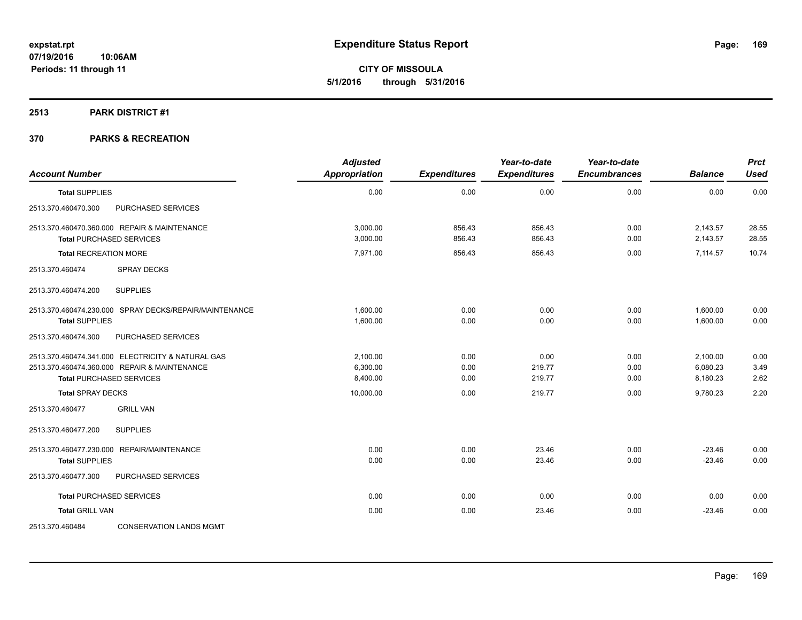**CITY OF MISSOULA 5/1/2016 through 5/31/2016**

### **2513 PARK DISTRICT #1**

| <b>Account Number</b>                                                                                                                | <b>Adjusted</b><br><b>Appropriation</b> | <b>Expenditures</b>  | Year-to-date<br><b>Expenditures</b> | Year-to-date<br><b>Encumbrances</b> | <b>Balance</b>                   | <b>Prct</b><br><b>Used</b> |
|--------------------------------------------------------------------------------------------------------------------------------------|-----------------------------------------|----------------------|-------------------------------------|-------------------------------------|----------------------------------|----------------------------|
| <b>Total SUPPLIES</b>                                                                                                                | 0.00                                    | 0.00                 | 0.00                                | 0.00                                | 0.00                             | 0.00                       |
| PURCHASED SERVICES<br>2513.370.460470.300                                                                                            |                                         |                      |                                     |                                     |                                  |                            |
| 2513.370.460470.360.000 REPAIR & MAINTENANCE<br><b>Total PURCHASED SERVICES</b>                                                      | 3,000.00<br>3,000.00                    | 856.43<br>856.43     | 856.43<br>856.43                    | 0.00<br>0.00                        | 2,143.57<br>2,143.57             | 28.55<br>28.55             |
| <b>Total RECREATION MORE</b>                                                                                                         | 7,971.00                                | 856.43               | 856.43                              | 0.00                                | 7,114.57                         | 10.74                      |
| 2513.370.460474<br><b>SPRAY DECKS</b>                                                                                                |                                         |                      |                                     |                                     |                                  |                            |
| <b>SUPPLIES</b><br>2513.370.460474.200                                                                                               |                                         |                      |                                     |                                     |                                  |                            |
| 2513.370.460474.230.000 SPRAY DECKS/REPAIR/MAINTENANCE<br><b>Total SUPPLIES</b>                                                      | 1,600.00<br>1,600.00                    | 0.00<br>0.00         | 0.00<br>0.00                        | 0.00<br>0.00                        | 1,600.00<br>1,600.00             | 0.00<br>0.00               |
| 2513.370.460474.300<br>PURCHASED SERVICES                                                                                            |                                         |                      |                                     |                                     |                                  |                            |
| 2513.370.460474.341.000 ELECTRICITY & NATURAL GAS<br>2513.370.460474.360.000 REPAIR & MAINTENANCE<br><b>Total PURCHASED SERVICES</b> | 2,100.00<br>6,300.00<br>8,400.00        | 0.00<br>0.00<br>0.00 | 0.00<br>219.77<br>219.77            | 0.00<br>0.00<br>0.00                | 2,100.00<br>6,080.23<br>8,180.23 | 0.00<br>3.49<br>2.62       |
| <b>Total SPRAY DECKS</b>                                                                                                             | 10,000.00                               | 0.00                 | 219.77                              | 0.00                                | 9,780.23                         | 2.20                       |
| <b>GRILL VAN</b><br>2513.370.460477                                                                                                  |                                         |                      |                                     |                                     |                                  |                            |
| 2513.370.460477.200<br><b>SUPPLIES</b>                                                                                               |                                         |                      |                                     |                                     |                                  |                            |
| 2513.370.460477.230.000 REPAIR/MAINTENANCE<br><b>Total SUPPLIES</b>                                                                  | 0.00<br>0.00                            | 0.00<br>0.00         | 23.46<br>23.46                      | 0.00<br>0.00                        | $-23.46$<br>$-23.46$             | 0.00<br>0.00               |
| 2513.370.460477.300<br>PURCHASED SERVICES                                                                                            |                                         |                      |                                     |                                     |                                  |                            |
| <b>Total PURCHASED SERVICES</b>                                                                                                      | 0.00                                    | 0.00                 | 0.00                                | 0.00                                | 0.00                             | 0.00                       |
| <b>Total GRILL VAN</b>                                                                                                               | 0.00                                    | 0.00                 | 23.46                               | 0.00                                | $-23.46$                         | 0.00                       |
| 2513.370.460484<br><b>CONSERVATION LANDS MGMT</b>                                                                                    |                                         |                      |                                     |                                     |                                  |                            |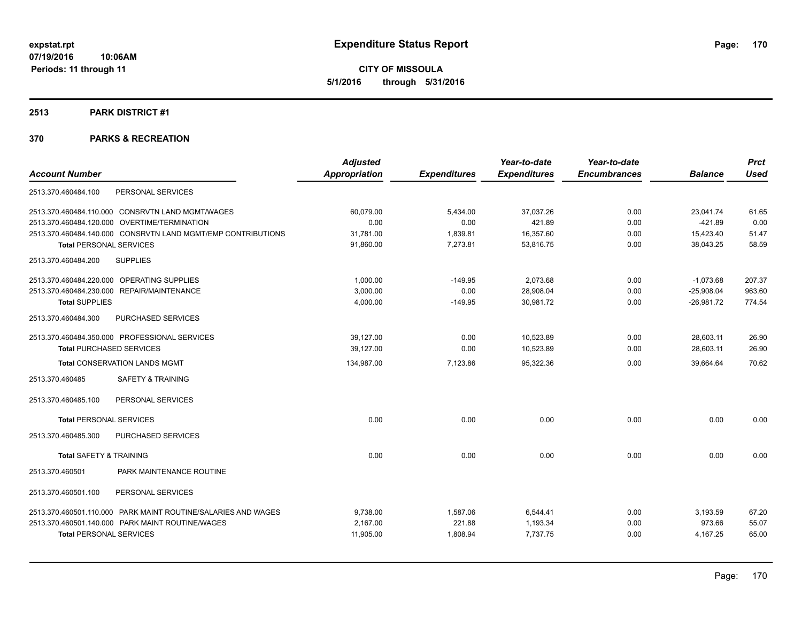**CITY OF MISSOULA 5/1/2016 through 5/31/2016**

### **2513 PARK DISTRICT #1**

|                                                               | <b>Adjusted</b>      |                     | Year-to-date        | Year-to-date        |                | <b>Prct</b> |
|---------------------------------------------------------------|----------------------|---------------------|---------------------|---------------------|----------------|-------------|
| <b>Account Number</b>                                         | <b>Appropriation</b> | <b>Expenditures</b> | <b>Expenditures</b> | <b>Encumbrances</b> | <b>Balance</b> | <b>Used</b> |
| 2513.370.460484.100<br>PERSONAL SERVICES                      |                      |                     |                     |                     |                |             |
| 2513.370.460484.110.000 CONSRVTN LAND MGMT/WAGES              | 60.079.00            | 5,434.00            | 37,037.26           | 0.00                | 23.041.74      | 61.65       |
| 2513.370.460484.120.000 OVERTIME/TERMINATION                  | 0.00                 | 0.00                | 421.89              | 0.00                | $-421.89$      | 0.00        |
| 2513.370.460484.140.000 CONSRVTN LAND MGMT/EMP CONTRIBUTIONS  | 31,781.00            | 1,839.81            | 16,357.60           | 0.00                | 15,423.40      | 51.47       |
| <b>Total PERSONAL SERVICES</b>                                | 91,860.00            | 7,273.81            | 53,816.75           | 0.00                | 38,043.25      | 58.59       |
| <b>SUPPLIES</b><br>2513.370.460484.200                        |                      |                     |                     |                     |                |             |
| 2513.370.460484.220.000 OPERATING SUPPLIES                    | 1,000.00             | $-149.95$           | 2,073.68            | 0.00                | $-1,073.68$    | 207.37      |
| 2513.370.460484.230.000 REPAIR/MAINTENANCE                    | 3,000.00             | 0.00                | 28,908.04           | 0.00                | $-25,908.04$   | 963.60      |
| <b>Total SUPPLIES</b>                                         | 4,000.00             | $-149.95$           | 30,981.72           | 0.00                | $-26,981.72$   | 774.54      |
| 2513.370.460484.300<br>PURCHASED SERVICES                     |                      |                     |                     |                     |                |             |
| 2513.370.460484.350.000 PROFESSIONAL SERVICES                 | 39,127.00            | 0.00                | 10,523.89           | 0.00                | 28,603.11      | 26.90       |
| <b>Total PURCHASED SERVICES</b>                               | 39,127.00            | 0.00                | 10,523.89           | 0.00                | 28,603.11      | 26.90       |
| <b>Total CONSERVATION LANDS MGMT</b>                          | 134,987.00           | 7,123.86            | 95,322.36           | 0.00                | 39,664.64      | 70.62       |
| <b>SAFETY &amp; TRAINING</b><br>2513.370.460485               |                      |                     |                     |                     |                |             |
| 2513.370.460485.100<br>PERSONAL SERVICES                      |                      |                     |                     |                     |                |             |
| <b>Total PERSONAL SERVICES</b>                                | 0.00                 | 0.00                | 0.00                | 0.00                | 0.00           | 0.00        |
| PURCHASED SERVICES<br>2513.370.460485.300                     |                      |                     |                     |                     |                |             |
| <b>Total SAFETY &amp; TRAINING</b>                            | 0.00                 | 0.00                | 0.00                | 0.00                | 0.00           | 0.00        |
| 2513.370.460501<br>PARK MAINTENANCE ROUTINE                   |                      |                     |                     |                     |                |             |
| 2513.370.460501.100<br>PERSONAL SERVICES                      |                      |                     |                     |                     |                |             |
| 2513.370.460501.110.000 PARK MAINT ROUTINE/SALARIES AND WAGES | 9,738.00             | 1,587.06            | 6,544.41            | 0.00                | 3,193.59       | 67.20       |
| 2513.370.460501.140.000 PARK MAINT ROUTINE/WAGES              | 2.167.00             | 221.88              | 1,193.34            | 0.00                | 973.66         | 55.07       |
| <b>Total PERSONAL SERVICES</b>                                | 11,905.00            | 1,808.94            | 7,737.75            | 0.00                | 4,167.25       | 65.00       |
|                                                               |                      |                     |                     |                     |                |             |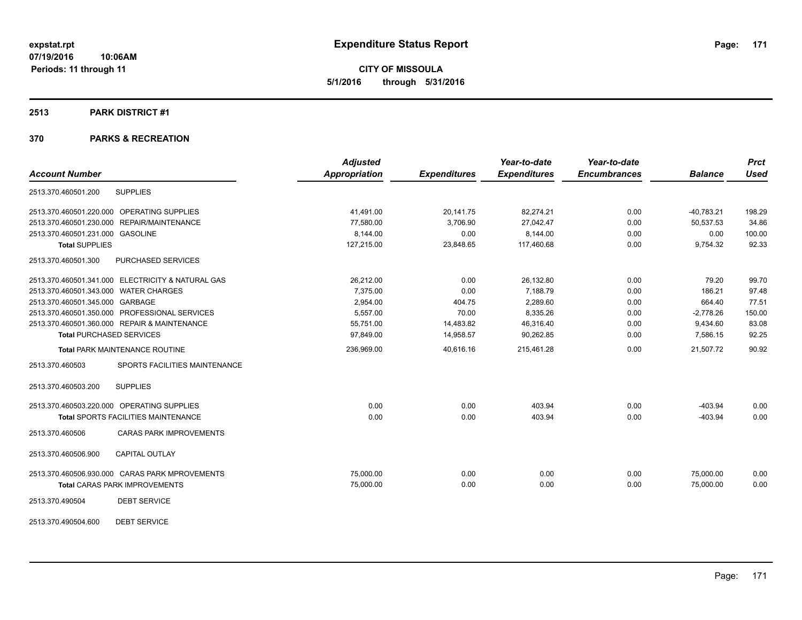**CITY OF MISSOULA 5/1/2016 through 5/31/2016**

### **2513 PARK DISTRICT #1**

### **370 PARKS & RECREATION**

|                                                   | <b>Adjusted</b>      |                     | Year-to-date        | Year-to-date        |                | <b>Prct</b> |
|---------------------------------------------------|----------------------|---------------------|---------------------|---------------------|----------------|-------------|
| <b>Account Number</b>                             | <b>Appropriation</b> | <b>Expenditures</b> | <b>Expenditures</b> | <b>Encumbrances</b> | <b>Balance</b> | <b>Used</b> |
| <b>SUPPLIES</b><br>2513.370.460501.200            |                      |                     |                     |                     |                |             |
| 2513.370.460501.220.000 OPERATING SUPPLIES        | 41.491.00            | 20.141.75           | 82.274.21           | 0.00                | $-40.783.21$   | 198.29      |
| 2513.370.460501.230.000 REPAIR/MAINTENANCE        | 77,580.00            | 3,706.90            | 27,042.47           | 0.00                | 50,537.53      | 34.86       |
| 2513.370.460501.231.000 GASOLINE                  | 8,144.00             | 0.00                | 8,144.00            | 0.00                | 0.00           | 100.00      |
| <b>Total SUPPLIES</b>                             | 127,215.00           | 23,848.65           | 117,460.68          | 0.00                | 9,754.32       | 92.33       |
| PURCHASED SERVICES<br>2513.370.460501.300         |                      |                     |                     |                     |                |             |
| 2513.370.460501.341.000 ELECTRICITY & NATURAL GAS | 26,212.00            | 0.00                | 26,132.80           | 0.00                | 79.20          | 99.70       |
| 2513.370.460501.343.000 WATER CHARGES             | 7.375.00             | 0.00                | 7,188.79            | 0.00                | 186.21         | 97.48       |
| 2513.370.460501.345.000 GARBAGE                   | 2,954.00             | 404.75              | 2,289.60            | 0.00                | 664.40         | 77.51       |
| 2513.370.460501.350.000 PROFESSIONAL SERVICES     | 5,557.00             | 70.00               | 8,335.26            | 0.00                | $-2,778.26$    | 150.00      |
| 2513.370.460501.360.000 REPAIR & MAINTENANCE      | 55,751.00            | 14,483.82           | 46,316.40           | 0.00                | 9,434.60       | 83.08       |
| <b>Total PURCHASED SERVICES</b>                   | 97,849.00            | 14,958.57           | 90,262.85           | 0.00                | 7,586.15       | 92.25       |
| Total PARK MAINTENANCE ROUTINE                    | 236,969.00           | 40,616.16           | 215,461.28          | 0.00                | 21,507.72      | 90.92       |
| 2513.370.460503<br>SPORTS FACILITIES MAINTENANCE  |                      |                     |                     |                     |                |             |
| <b>SUPPLIES</b><br>2513.370.460503.200            |                      |                     |                     |                     |                |             |
| 2513.370.460503.220.000 OPERATING SUPPLIES        | 0.00                 | 0.00                | 403.94              | 0.00                | $-403.94$      | 0.00        |
| Total SPORTS FACILITIES MAINTENANCE               | 0.00                 | 0.00                | 403.94              | 0.00                | $-403.94$      | 0.00        |
| 2513.370.460506<br><b>CARAS PARK IMPROVEMENTS</b> |                      |                     |                     |                     |                |             |
| 2513.370.460506.900<br><b>CAPITAL OUTLAY</b>      |                      |                     |                     |                     |                |             |
| 2513.370.460506.930.000 CARAS PARK MPROVEMENTS    | 75,000.00            | 0.00                | 0.00                | 0.00                | 75,000.00      | 0.00        |
| <b>Total CARAS PARK IMPROVEMENTS</b>              | 75,000.00            | 0.00                | 0.00                | 0.00                | 75,000.00      | 0.00        |
| <b>DEBT SERVICE</b><br>2513.370.490504            |                      |                     |                     |                     |                |             |
|                                                   |                      |                     |                     |                     |                |             |

2513.370.490504.600 DEBT SERVICE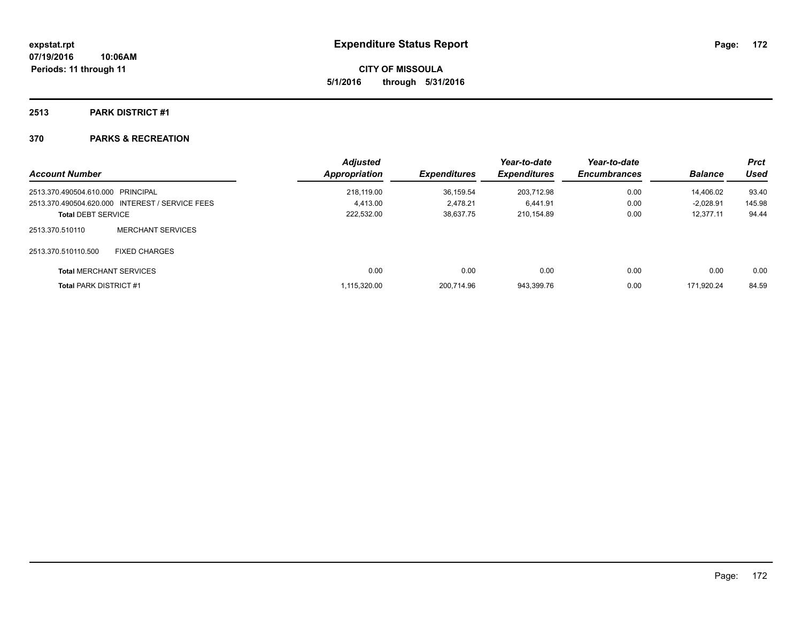**CITY OF MISSOULA 5/1/2016 through 5/31/2016**

## **2513 PARK DISTRICT #1**

| <b>Account Number</b>             |                                                 | <b>Adjusted</b><br><b>Appropriation</b> | <b>Expenditures</b> | Year-to-date<br><b>Expenditures</b> | Year-to-date<br><b>Encumbrances</b> | <b>Balance</b> | <b>Prct</b><br>Used |
|-----------------------------------|-------------------------------------------------|-----------------------------------------|---------------------|-------------------------------------|-------------------------------------|----------------|---------------------|
| 2513.370.490504.610.000 PRINCIPAL |                                                 | 218.119.00                              | 36.159.54           | 203,712.98                          | 0.00                                | 14,406.02      | 93.40               |
|                                   | 2513.370.490504.620.000 INTEREST / SERVICE FEES | 4.413.00                                | 2.478.21            | 6.441.91                            | 0.00                                | $-2.028.91$    | 145.98              |
| <b>Total DEBT SERVICE</b>         |                                                 | 222,532.00                              | 38.637.75           | 210.154.89                          | 0.00                                | 12.377.11      | 94.44               |
| 2513.370.510110                   | <b>MERCHANT SERVICES</b>                        |                                         |                     |                                     |                                     |                |                     |
| 2513.370.510110.500               | <b>FIXED CHARGES</b>                            |                                         |                     |                                     |                                     |                |                     |
|                                   | <b>Total MERCHANT SERVICES</b>                  | 0.00                                    | 0.00                | 0.00                                | 0.00                                | 0.00           | 0.00                |
| <b>Total PARK DISTRICT #1</b>     |                                                 | 1.115.320.00                            | 200.714.96          | 943.399.76                          | 0.00                                | 171.920.24     | 84.59               |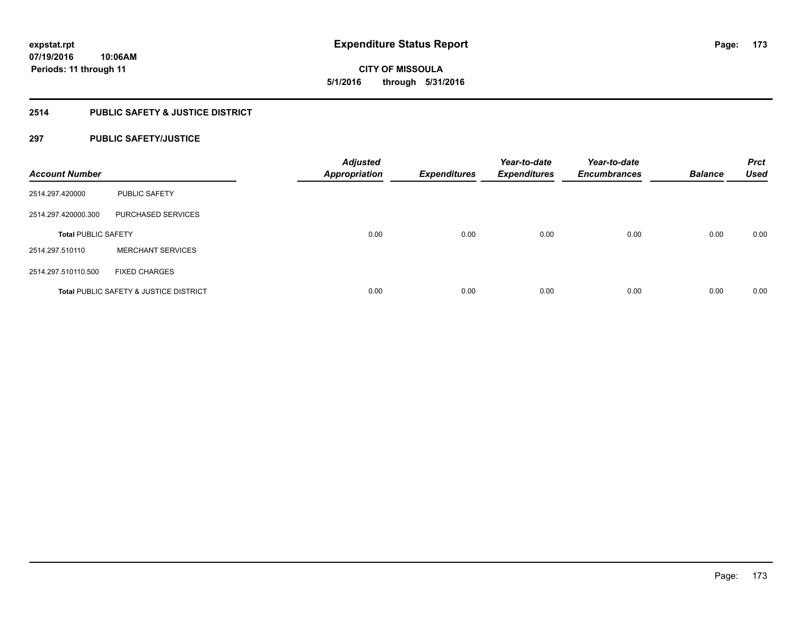**CITY OF MISSOULA 5/1/2016 through 5/31/2016**

## **2514 PUBLIC SAFETY & JUSTICE DISTRICT**

## **297 PUBLIC SAFETY/JUSTICE**

| <b>Account Number</b>      |                                                   | <b>Adjusted</b><br><b>Appropriation</b> | <b>Expenditures</b> | Year-to-date<br><b>Expenditures</b> | Year-to-date<br><b>Encumbrances</b> | <b>Balance</b> | <b>Prct</b><br><b>Used</b> |
|----------------------------|---------------------------------------------------|-----------------------------------------|---------------------|-------------------------------------|-------------------------------------|----------------|----------------------------|
| 2514.297.420000            | <b>PUBLIC SAFETY</b>                              |                                         |                     |                                     |                                     |                |                            |
| 2514.297.420000.300        | PURCHASED SERVICES                                |                                         |                     |                                     |                                     |                |                            |
| <b>Total PUBLIC SAFETY</b> |                                                   | 0.00                                    | 0.00                | 0.00                                | 0.00                                | 0.00           | 0.00                       |
| 2514.297.510110            | <b>MERCHANT SERVICES</b>                          |                                         |                     |                                     |                                     |                |                            |
| 2514.297.510110.500        | <b>FIXED CHARGES</b>                              |                                         |                     |                                     |                                     |                |                            |
|                            | <b>Total PUBLIC SAFETY &amp; JUSTICE DISTRICT</b> | 0.00                                    | 0.00                | 0.00                                | 0.00                                | 0.00           | 0.00                       |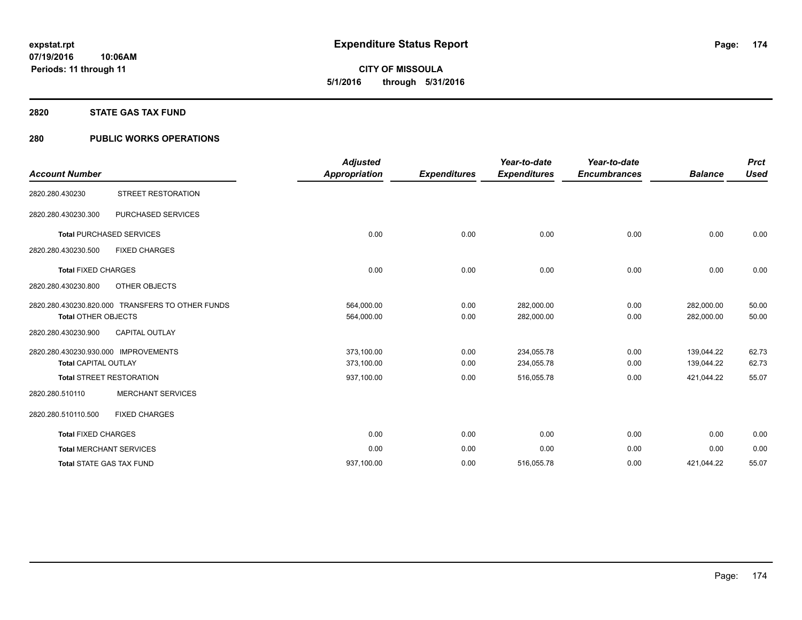**CITY OF MISSOULA 5/1/2016 through 5/31/2016**

### **2820 STATE GAS TAX FUND**

## **280 PUBLIC WORKS OPERATIONS**

| <b>Account Number</b>                                               |                                                  | <b>Adjusted</b><br><b>Appropriation</b> | <b>Expenditures</b> | Year-to-date<br><b>Expenditures</b> | Year-to-date<br><b>Encumbrances</b> | <b>Balance</b>           | <b>Prct</b><br><b>Used</b> |
|---------------------------------------------------------------------|--------------------------------------------------|-----------------------------------------|---------------------|-------------------------------------|-------------------------------------|--------------------------|----------------------------|
| 2820.280.430230                                                     | <b>STREET RESTORATION</b>                        |                                         |                     |                                     |                                     |                          |                            |
| 2820.280.430230.300                                                 | PURCHASED SERVICES                               |                                         |                     |                                     |                                     |                          |                            |
|                                                                     | <b>Total PURCHASED SERVICES</b>                  | 0.00                                    | 0.00                | 0.00                                | 0.00                                | 0.00                     | 0.00                       |
| 2820.280.430230.500                                                 | <b>FIXED CHARGES</b>                             |                                         |                     |                                     |                                     |                          |                            |
| <b>Total FIXED CHARGES</b>                                          |                                                  | 0.00                                    | 0.00                | 0.00                                | 0.00                                | 0.00                     | 0.00                       |
| 2820.280.430230.800                                                 | OTHER OBJECTS                                    |                                         |                     |                                     |                                     |                          |                            |
| <b>Total OTHER OBJECTS</b>                                          | 2820.280.430230.820.000 TRANSFERS TO OTHER FUNDS | 564,000.00<br>564,000.00                | 0.00<br>0.00        | 282,000.00<br>282,000.00            | 0.00<br>0.00                        | 282,000.00<br>282,000.00 | 50.00<br>50.00             |
| 2820.280.430230.900                                                 | <b>CAPITAL OUTLAY</b>                            |                                         |                     |                                     |                                     |                          |                            |
| 2820.280.430230.930.000 IMPROVEMENTS<br><b>Total CAPITAL OUTLAY</b> |                                                  | 373,100.00<br>373,100.00                | 0.00<br>0.00        | 234,055.78<br>234,055.78            | 0.00<br>0.00                        | 139,044.22<br>139,044.22 | 62.73<br>62.73             |
|                                                                     | <b>Total STREET RESTORATION</b>                  | 937,100.00                              | 0.00                | 516,055.78                          | 0.00                                | 421,044.22               | 55.07                      |
| 2820.280.510110                                                     | <b>MERCHANT SERVICES</b>                         |                                         |                     |                                     |                                     |                          |                            |
| 2820.280.510110.500                                                 | <b>FIXED CHARGES</b>                             |                                         |                     |                                     |                                     |                          |                            |
| <b>Total FIXED CHARGES</b>                                          |                                                  | 0.00                                    | 0.00                | 0.00                                | 0.00                                | 0.00                     | 0.00                       |
|                                                                     | <b>Total MERCHANT SERVICES</b>                   | 0.00                                    | 0.00                | 0.00                                | 0.00                                | 0.00                     | 0.00                       |
|                                                                     | <b>Total STATE GAS TAX FUND</b>                  | 937,100.00                              | 0.00                | 516,055.78                          | 0.00                                | 421,044.22               | 55.07                      |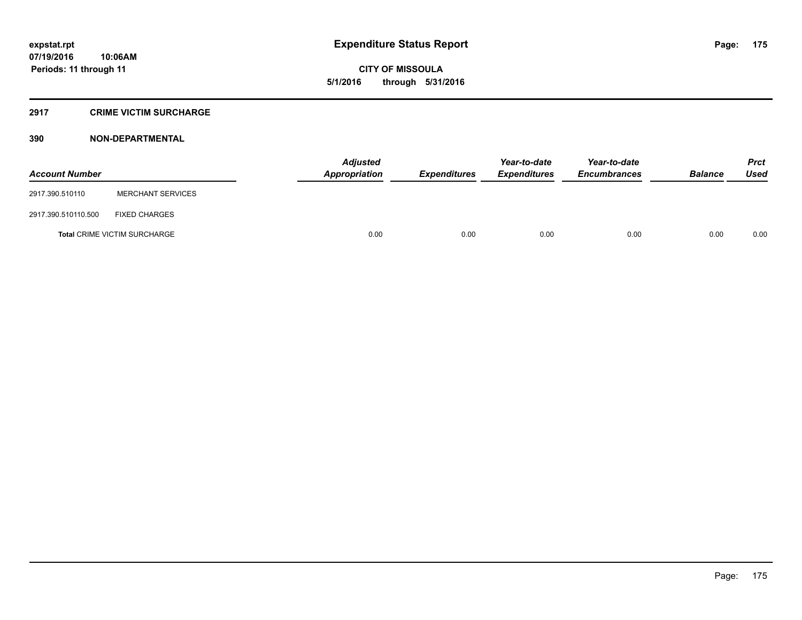**CITY OF MISSOULA 5/1/2016 through 5/31/2016**

## **2917 CRIME VICTIM SURCHARGE**

| <b>Account Number</b> |                                     | <b>Adjusted</b><br>Appropriation | <b>Expenditures</b> | Year-to-date<br><i><b>Expenditures</b></i> | Year-to-date<br><b>Encumbrances</b> | <b>Balance</b> | <b>Prct</b><br>Used |
|-----------------------|-------------------------------------|----------------------------------|---------------------|--------------------------------------------|-------------------------------------|----------------|---------------------|
| 2917.390.510110       | <b>MERCHANT SERVICES</b>            |                                  |                     |                                            |                                     |                |                     |
| 2917.390.510110.500   | <b>FIXED CHARGES</b>                |                                  |                     |                                            |                                     |                |                     |
|                       | <b>Total CRIME VICTIM SURCHARGE</b> | 0.00                             | 0.00                | 0.00                                       | 0.00                                | 0.00           | 0.00                |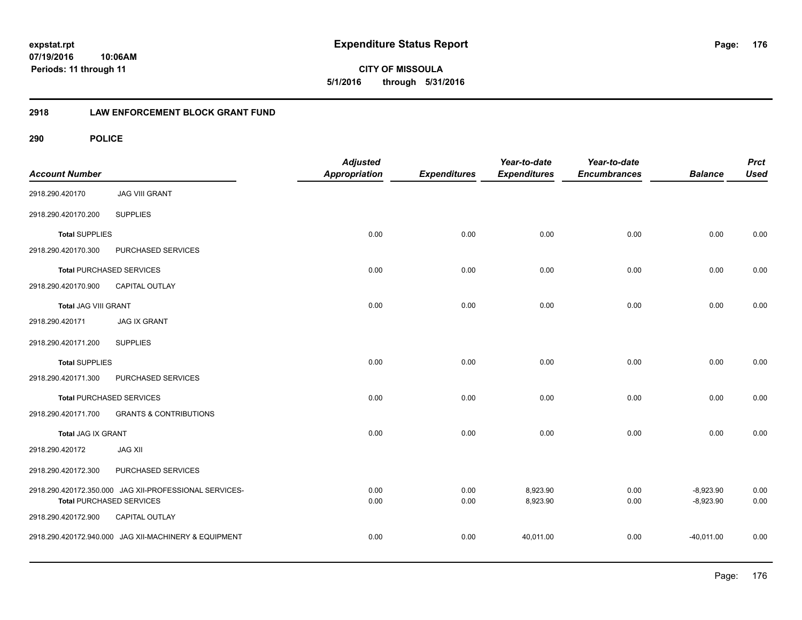## **2918 LAW ENFORCEMENT BLOCK GRANT FUND**

| <b>Account Number</b>       |                                                        | <b>Adjusted</b><br><b>Appropriation</b> | <b>Expenditures</b> | Year-to-date<br><b>Expenditures</b> | Year-to-date<br><b>Encumbrances</b> | <b>Balance</b> | <b>Prct</b><br><b>Used</b> |
|-----------------------------|--------------------------------------------------------|-----------------------------------------|---------------------|-------------------------------------|-------------------------------------|----------------|----------------------------|
| 2918.290.420170             | <b>JAG VIII GRANT</b>                                  |                                         |                     |                                     |                                     |                |                            |
| 2918.290.420170.200         | <b>SUPPLIES</b>                                        |                                         |                     |                                     |                                     |                |                            |
| <b>Total SUPPLIES</b>       |                                                        | 0.00                                    | 0.00                | 0.00                                | 0.00                                | 0.00           | 0.00                       |
| 2918.290.420170.300         | PURCHASED SERVICES                                     |                                         |                     |                                     |                                     |                |                            |
|                             | <b>Total PURCHASED SERVICES</b>                        | 0.00                                    | 0.00                | 0.00                                | 0.00                                | 0.00           | 0.00                       |
| 2918.290.420170.900         | CAPITAL OUTLAY                                         |                                         |                     |                                     |                                     |                |                            |
| <b>Total JAG VIII GRANT</b> |                                                        | 0.00                                    | 0.00                | 0.00                                | 0.00                                | 0.00           | 0.00                       |
| 2918.290.420171             | <b>JAG IX GRANT</b>                                    |                                         |                     |                                     |                                     |                |                            |
| 2918.290.420171.200         | <b>SUPPLIES</b>                                        |                                         |                     |                                     |                                     |                |                            |
| <b>Total SUPPLIES</b>       |                                                        | 0.00                                    | 0.00                | 0.00                                | 0.00                                | 0.00           | 0.00                       |
| 2918.290.420171.300         | PURCHASED SERVICES                                     |                                         |                     |                                     |                                     |                |                            |
|                             | <b>Total PURCHASED SERVICES</b>                        | 0.00                                    | 0.00                | 0.00                                | 0.00                                | 0.00           | 0.00                       |
| 2918.290.420171.700         | <b>GRANTS &amp; CONTRIBUTIONS</b>                      |                                         |                     |                                     |                                     |                |                            |
| Total JAG IX GRANT          |                                                        | 0.00                                    | 0.00                | 0.00                                | 0.00                                | 0.00           | 0.00                       |
| 2918.290.420172             | <b>JAG XII</b>                                         |                                         |                     |                                     |                                     |                |                            |
| 2918.290.420172.300         | PURCHASED SERVICES                                     |                                         |                     |                                     |                                     |                |                            |
|                             | 2918.290.420172.350.000 JAG XII-PROFESSIONAL SERVICES- | 0.00                                    | 0.00                | 8,923.90                            | 0.00                                | $-8,923.90$    | 0.00                       |
|                             | <b>Total PURCHASED SERVICES</b>                        | 0.00                                    | 0.00                | 8,923.90                            | 0.00                                | $-8,923.90$    | 0.00                       |
| 2918.290.420172.900         | CAPITAL OUTLAY                                         |                                         |                     |                                     |                                     |                |                            |
|                             | 2918.290.420172.940.000 JAG XII-MACHINERY & EQUIPMENT  | 0.00                                    | 0.00                | 40,011.00                           | 0.00                                | $-40,011.00$   | 0.00                       |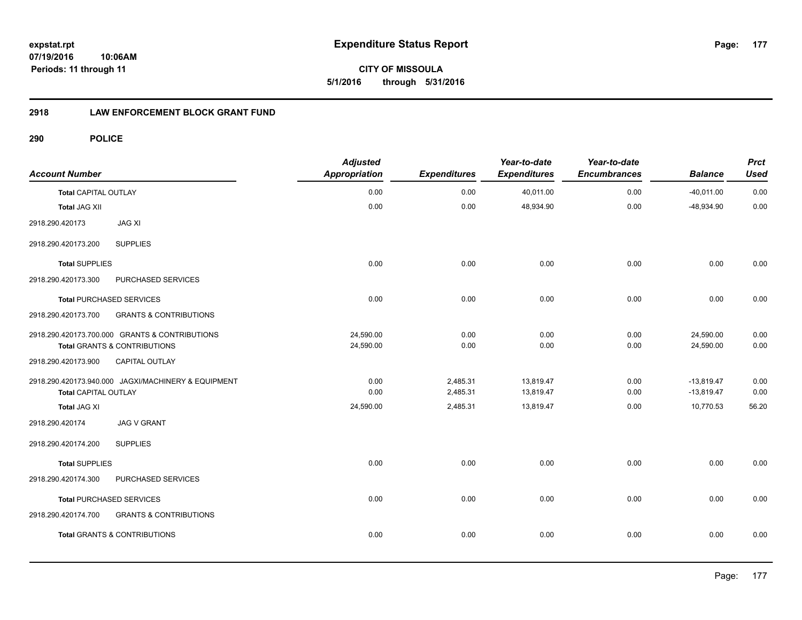**expstat.rpt Expenditure Status Report** 

**07/19/2016 10:06AM Periods: 11 through 11**

**CITY OF MISSOULA 5/1/2016 through 5/31/2016**

## **2918 LAW ENFORCEMENT BLOCK GRANT FUND**

| <b>Account Number</b>       |                                                                                           | <b>Adjusted</b><br><b>Appropriation</b> | <b>Expenditures</b>  | Year-to-date<br><b>Expenditures</b> | Year-to-date<br><b>Encumbrances</b> | <b>Balance</b>               | <b>Prct</b><br><b>Used</b> |
|-----------------------------|-------------------------------------------------------------------------------------------|-----------------------------------------|----------------------|-------------------------------------|-------------------------------------|------------------------------|----------------------------|
| <b>Total CAPITAL OUTLAY</b> |                                                                                           | 0.00                                    | 0.00                 | 40,011.00                           | 0.00                                | $-40,011.00$                 | 0.00                       |
| <b>Total JAG XII</b>        |                                                                                           | 0.00                                    | 0.00                 | 48,934.90                           | 0.00                                | $-48,934.90$                 | 0.00                       |
| 2918.290.420173             | <b>JAG XI</b>                                                                             |                                         |                      |                                     |                                     |                              |                            |
| 2918.290.420173.200         | <b>SUPPLIES</b>                                                                           |                                         |                      |                                     |                                     |                              |                            |
| <b>Total SUPPLIES</b>       |                                                                                           | 0.00                                    | 0.00                 | 0.00                                | 0.00                                | 0.00                         | 0.00                       |
| 2918.290.420173.300         | PURCHASED SERVICES                                                                        |                                         |                      |                                     |                                     |                              |                            |
|                             | <b>Total PURCHASED SERVICES</b>                                                           | 0.00                                    | 0.00                 | 0.00                                | 0.00                                | 0.00                         | 0.00                       |
| 2918.290.420173.700         | <b>GRANTS &amp; CONTRIBUTIONS</b>                                                         |                                         |                      |                                     |                                     |                              |                            |
|                             | 2918.290.420173.700.000 GRANTS & CONTRIBUTIONS<br><b>Total GRANTS &amp; CONTRIBUTIONS</b> | 24,590.00<br>24,590.00                  | 0.00<br>0.00         | 0.00<br>0.00                        | 0.00<br>0.00                        | 24,590.00<br>24,590.00       | 0.00<br>0.00               |
| 2918.290.420173.900         | CAPITAL OUTLAY                                                                            |                                         |                      |                                     |                                     |                              |                            |
| Total CAPITAL OUTLAY        | 2918.290.420173.940.000 JAGXI/MACHINERY & EQUIPMENT                                       | 0.00<br>0.00                            | 2,485.31<br>2,485.31 | 13,819.47<br>13,819.47              | 0.00<br>0.00                        | $-13,819.47$<br>$-13,819.47$ | 0.00<br>0.00               |
| <b>Total JAG XI</b>         |                                                                                           | 24,590.00                               | 2,485.31             | 13,819.47                           | 0.00                                | 10,770.53                    | 56.20                      |
| 2918.290.420174             | <b>JAG V GRANT</b>                                                                        |                                         |                      |                                     |                                     |                              |                            |
| 2918.290.420174.200         | <b>SUPPLIES</b>                                                                           |                                         |                      |                                     |                                     |                              |                            |
| <b>Total SUPPLIES</b>       |                                                                                           | 0.00                                    | 0.00                 | 0.00                                | 0.00                                | 0.00                         | 0.00                       |
| 2918.290.420174.300         | PURCHASED SERVICES                                                                        |                                         |                      |                                     |                                     |                              |                            |
|                             | <b>Total PURCHASED SERVICES</b>                                                           | 0.00                                    | 0.00                 | 0.00                                | 0.00                                | 0.00                         | 0.00                       |
| 2918.290.420174.700         | <b>GRANTS &amp; CONTRIBUTIONS</b>                                                         |                                         |                      |                                     |                                     |                              |                            |
|                             | <b>Total GRANTS &amp; CONTRIBUTIONS</b>                                                   | 0.00                                    | 0.00                 | 0.00                                | 0.00                                | 0.00                         | 0.00                       |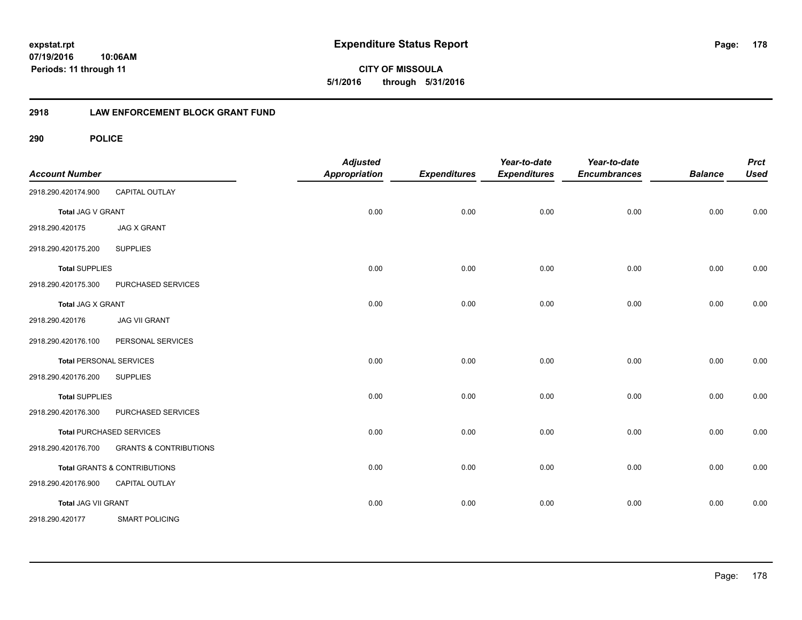## **2918 LAW ENFORCEMENT BLOCK GRANT FUND**

| <b>Account Number</b> |                                         | <b>Adjusted</b><br><b>Appropriation</b> | <b>Expenditures</b> | Year-to-date<br><b>Expenditures</b> | Year-to-date<br><b>Encumbrances</b> | <b>Balance</b> | <b>Prct</b><br><b>Used</b> |
|-----------------------|-----------------------------------------|-----------------------------------------|---------------------|-------------------------------------|-------------------------------------|----------------|----------------------------|
| 2918.290.420174.900   | <b>CAPITAL OUTLAY</b>                   |                                         |                     |                                     |                                     |                |                            |
| Total JAG V GRANT     |                                         | 0.00                                    | 0.00                | 0.00                                | 0.00                                | 0.00           | 0.00                       |
| 2918.290.420175       | <b>JAG X GRANT</b>                      |                                         |                     |                                     |                                     |                |                            |
| 2918.290.420175.200   | <b>SUPPLIES</b>                         |                                         |                     |                                     |                                     |                |                            |
| <b>Total SUPPLIES</b> |                                         | 0.00                                    | 0.00                | 0.00                                | 0.00                                | 0.00           | 0.00                       |
| 2918.290.420175.300   | PURCHASED SERVICES                      |                                         |                     |                                     |                                     |                |                            |
| Total JAG X GRANT     |                                         | 0.00                                    | 0.00                | 0.00                                | 0.00                                | 0.00           | 0.00                       |
| 2918.290.420176       | <b>JAG VII GRANT</b>                    |                                         |                     |                                     |                                     |                |                            |
| 2918.290.420176.100   | PERSONAL SERVICES                       |                                         |                     |                                     |                                     |                |                            |
|                       | <b>Total PERSONAL SERVICES</b>          | 0.00                                    | 0.00                | 0.00                                | 0.00                                | 0.00           | 0.00                       |
| 2918.290.420176.200   | <b>SUPPLIES</b>                         |                                         |                     |                                     |                                     |                |                            |
| <b>Total SUPPLIES</b> |                                         | 0.00                                    | 0.00                | 0.00                                | 0.00                                | 0.00           | 0.00                       |
| 2918.290.420176.300   | PURCHASED SERVICES                      |                                         |                     |                                     |                                     |                |                            |
|                       | <b>Total PURCHASED SERVICES</b>         | 0.00                                    | 0.00                | 0.00                                | 0.00                                | 0.00           | 0.00                       |
| 2918.290.420176.700   | <b>GRANTS &amp; CONTRIBUTIONS</b>       |                                         |                     |                                     |                                     |                |                            |
|                       | <b>Total GRANTS &amp; CONTRIBUTIONS</b> | 0.00                                    | 0.00                | 0.00                                | 0.00                                | 0.00           | 0.00                       |
| 2918.290.420176.900   | <b>CAPITAL OUTLAY</b>                   |                                         |                     |                                     |                                     |                |                            |
| Total JAG VII GRANT   |                                         | 0.00                                    | 0.00                | 0.00                                | 0.00                                | 0.00           | 0.00                       |
| 2918.290.420177       | <b>SMART POLICING</b>                   |                                         |                     |                                     |                                     |                |                            |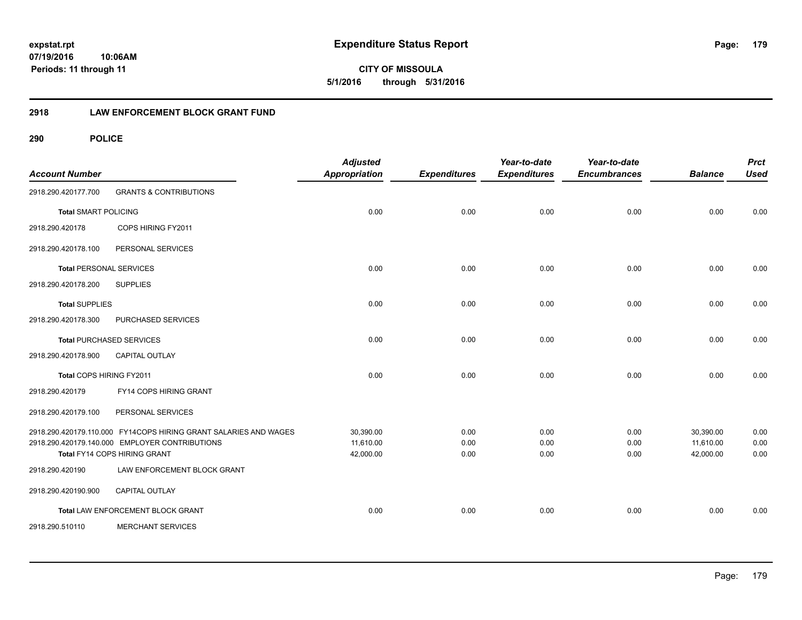## **2918 LAW ENFORCEMENT BLOCK GRANT FUND**

| <b>Account Number</b>          |                                                                                                                                                    | <b>Adjusted</b><br>Appropriation    | <b>Expenditures</b>  | Year-to-date<br><b>Expenditures</b> | Year-to-date<br><b>Encumbrances</b> | <b>Balance</b>                      | <b>Prct</b><br><b>Used</b> |
|--------------------------------|----------------------------------------------------------------------------------------------------------------------------------------------------|-------------------------------------|----------------------|-------------------------------------|-------------------------------------|-------------------------------------|----------------------------|
| 2918.290.420177.700            | <b>GRANTS &amp; CONTRIBUTIONS</b>                                                                                                                  |                                     |                      |                                     |                                     |                                     |                            |
| <b>Total SMART POLICING</b>    |                                                                                                                                                    | 0.00                                | 0.00                 | 0.00                                | 0.00                                | 0.00                                | 0.00                       |
| 2918.290.420178                | COPS HIRING FY2011                                                                                                                                 |                                     |                      |                                     |                                     |                                     |                            |
| 2918.290.420178.100            | PERSONAL SERVICES                                                                                                                                  |                                     |                      |                                     |                                     |                                     |                            |
| <b>Total PERSONAL SERVICES</b> |                                                                                                                                                    | 0.00                                | 0.00                 | 0.00                                | 0.00                                | 0.00                                | 0.00                       |
| 2918.290.420178.200            | <b>SUPPLIES</b>                                                                                                                                    |                                     |                      |                                     |                                     |                                     |                            |
| <b>Total SUPPLIES</b>          |                                                                                                                                                    | 0.00                                | 0.00                 | 0.00                                | 0.00                                | 0.00                                | 0.00                       |
| 2918.290.420178.300            | PURCHASED SERVICES                                                                                                                                 |                                     |                      |                                     |                                     |                                     |                            |
|                                | <b>Total PURCHASED SERVICES</b>                                                                                                                    | 0.00                                | 0.00                 | 0.00                                | 0.00                                | 0.00                                | 0.00                       |
| 2918.290.420178.900            | <b>CAPITAL OUTLAY</b>                                                                                                                              |                                     |                      |                                     |                                     |                                     |                            |
| Total COPS HIRING FY2011       |                                                                                                                                                    | 0.00                                | 0.00                 | 0.00                                | 0.00                                | 0.00                                | 0.00                       |
| 2918.290.420179                | FY14 COPS HIRING GRANT                                                                                                                             |                                     |                      |                                     |                                     |                                     |                            |
| 2918.290.420179.100            | PERSONAL SERVICES                                                                                                                                  |                                     |                      |                                     |                                     |                                     |                            |
|                                | 2918.290.420179.110.000 FY14COPS HIRING GRANT SALARIES AND WAGES<br>2918.290.420179.140.000 EMPLOYER CONTRIBUTIONS<br>Total FY14 COPS HIRING GRANT | 30,390.00<br>11.610.00<br>42,000.00 | 0.00<br>0.00<br>0.00 | 0.00<br>0.00<br>0.00                | 0.00<br>0.00<br>0.00                | 30,390.00<br>11.610.00<br>42,000.00 | 0.00<br>0.00<br>0.00       |
| 2918.290.420190                | LAW ENFORCEMENT BLOCK GRANT                                                                                                                        |                                     |                      |                                     |                                     |                                     |                            |
| 2918.290.420190.900            | <b>CAPITAL OUTLAY</b>                                                                                                                              |                                     |                      |                                     |                                     |                                     |                            |
|                                | Total LAW ENFORCEMENT BLOCK GRANT                                                                                                                  | 0.00                                | 0.00                 | 0.00                                | 0.00                                | 0.00                                | 0.00                       |
| 2918.290.510110                | <b>MERCHANT SERVICES</b>                                                                                                                           |                                     |                      |                                     |                                     |                                     |                            |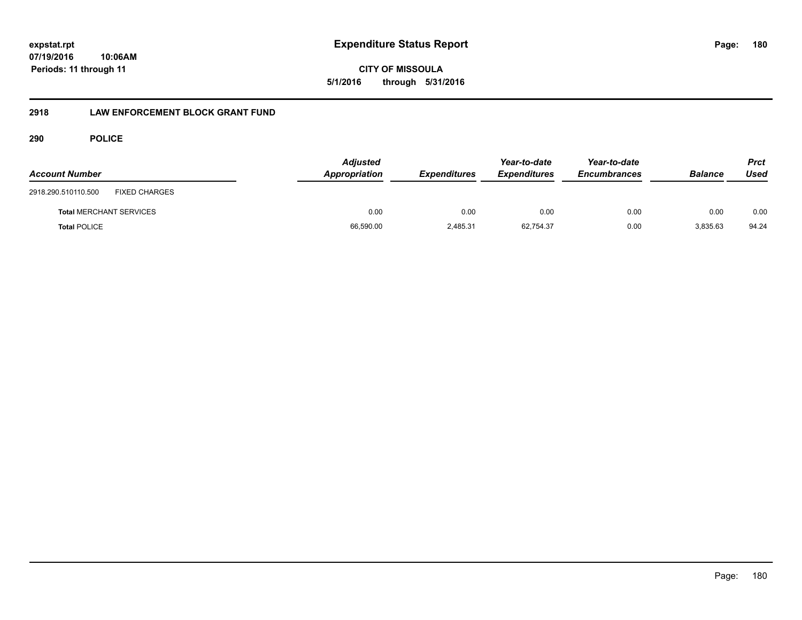**CITY OF MISSOULA 5/1/2016 through 5/31/2016**

## **2918 LAW ENFORCEMENT BLOCK GRANT FUND**

| <b>Account Number</b>                       | <b>Adjusted</b><br>Appropriation | <b>Expenditures</b> | Year-to-date<br><b>Expenditures</b> | Year-to-date<br><b>Encumbrances</b> | <b>Balance</b> | Prct<br>Used |
|---------------------------------------------|----------------------------------|---------------------|-------------------------------------|-------------------------------------|----------------|--------------|
| <b>FIXED CHARGES</b><br>2918.290.510110.500 |                                  |                     |                                     |                                     |                |              |
| <b>Total MERCHANT SERVICES</b>              | 0.00                             | 0.00                | 0.00                                | 0.00                                | 0.00           | 0.00         |
| <b>Total POLICE</b>                         | 66,590.00                        | 2,485.31            | 62,754.37                           | 0.00                                | 3,835.63       | 94.24        |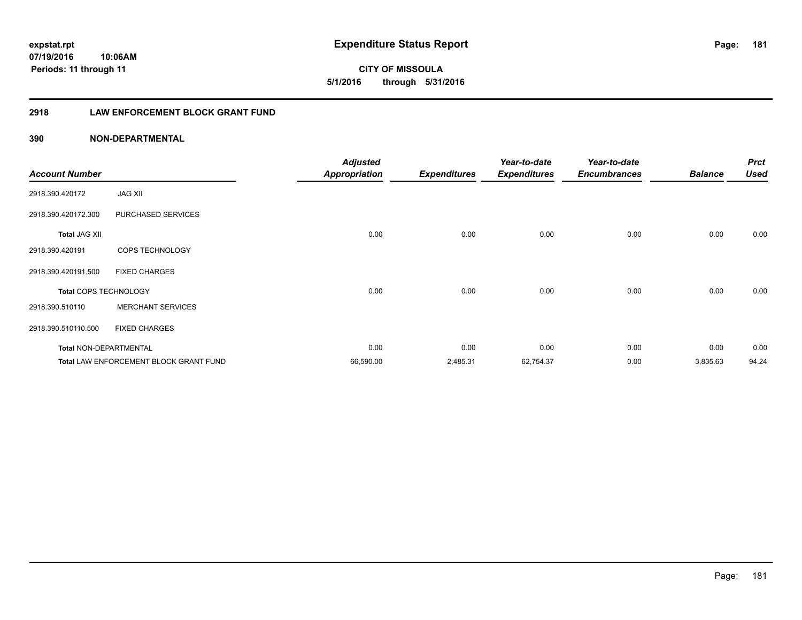**181**

**CITY OF MISSOULA 5/1/2016 through 5/31/2016**

# **2918 LAW ENFORCEMENT BLOCK GRANT FUND**

| <b>Account Number</b>         |                                               | <b>Adjusted</b><br><b>Appropriation</b> | <b>Expenditures</b> | Year-to-date<br><b>Expenditures</b> | Year-to-date<br><b>Encumbrances</b> | <b>Balance</b> | <b>Prct</b><br>Used |
|-------------------------------|-----------------------------------------------|-----------------------------------------|---------------------|-------------------------------------|-------------------------------------|----------------|---------------------|
| 2918.390.420172               | <b>JAG XII</b>                                |                                         |                     |                                     |                                     |                |                     |
| 2918.390.420172.300           | PURCHASED SERVICES                            |                                         |                     |                                     |                                     |                |                     |
| <b>Total JAG XII</b>          |                                               | 0.00                                    | 0.00                | 0.00                                | 0.00                                | 0.00           | 0.00                |
| 2918.390.420191               | COPS TECHNOLOGY                               |                                         |                     |                                     |                                     |                |                     |
| 2918.390.420191.500           | <b>FIXED CHARGES</b>                          |                                         |                     |                                     |                                     |                |                     |
| <b>Total COPS TECHNOLOGY</b>  |                                               | 0.00                                    | 0.00                | 0.00                                | 0.00                                | 0.00           | 0.00                |
| 2918.390.510110               | <b>MERCHANT SERVICES</b>                      |                                         |                     |                                     |                                     |                |                     |
| 2918.390.510110.500           | <b>FIXED CHARGES</b>                          |                                         |                     |                                     |                                     |                |                     |
| <b>Total NON-DEPARTMENTAL</b> |                                               | 0.00                                    | 0.00                | 0.00                                | 0.00                                | 0.00           | 0.00                |
|                               | <b>Total LAW ENFORCEMENT BLOCK GRANT FUND</b> | 66,590.00                               | 2,485.31            | 62,754.37                           | 0.00                                | 3,835.63       | 94.24               |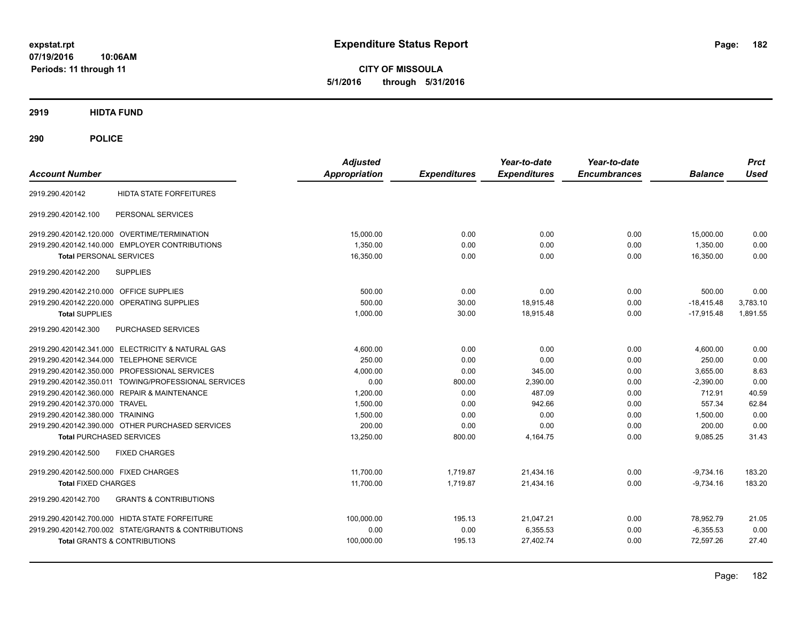**CITY OF MISSOULA 5/1/2016 through 5/31/2016**

**2919 HIDTA FUND**

**290 POLICE**

| <b>Account Number</b>                                    | <b>Adjusted</b><br><b>Appropriation</b> | <b>Expenditures</b> | Year-to-date<br><b>Expenditures</b> | Year-to-date<br><b>Encumbrances</b> | <b>Balance</b> | <b>Prct</b><br><b>Used</b> |
|----------------------------------------------------------|-----------------------------------------|---------------------|-------------------------------------|-------------------------------------|----------------|----------------------------|
| <b>HIDTA STATE FORFEITURES</b><br>2919.290.420142        |                                         |                     |                                     |                                     |                |                            |
| PERSONAL SERVICES<br>2919.290.420142.100                 |                                         |                     |                                     |                                     |                |                            |
| 2919.290.420142.120.000 OVERTIME/TERMINATION             | 15,000.00                               | 0.00                | 0.00                                | 0.00                                | 15,000.00      | 0.00                       |
| 2919.290.420142.140.000 EMPLOYER CONTRIBUTIONS           | 1,350.00                                | 0.00                | 0.00                                | 0.00                                | 1,350.00       | 0.00                       |
| <b>Total PERSONAL SERVICES</b>                           | 16,350.00                               | 0.00                | 0.00                                | 0.00                                | 16,350.00      | 0.00                       |
| 2919.290.420142.200<br><b>SUPPLIES</b>                   |                                         |                     |                                     |                                     |                |                            |
| 2919.290.420142.210.000 OFFICE SUPPLIES                  | 500.00                                  | 0.00                | 0.00                                | 0.00                                | 500.00         | 0.00                       |
| 2919.290.420142.220.000 OPERATING SUPPLIES               | 500.00                                  | 30.00               | 18,915.48                           | 0.00                                | $-18,415.48$   | 3,783.10                   |
| <b>Total SUPPLIES</b>                                    | 1,000.00                                | 30.00               | 18,915.48                           | 0.00                                | $-17,915.48$   | 1,891.55                   |
| PURCHASED SERVICES<br>2919.290.420142.300                |                                         |                     |                                     |                                     |                |                            |
| 2919.290.420142.341.000 ELECTRICITY & NATURAL GAS        | 4,600.00                                | 0.00                | 0.00                                | 0.00                                | 4,600.00       | 0.00                       |
| 2919.290.420142.344.000 TELEPHONE SERVICE                | 250.00                                  | 0.00                | 0.00                                | 0.00                                | 250.00         | 0.00                       |
| 2919.290.420142.350.000 PROFESSIONAL SERVICES            | 4,000.00                                | 0.00                | 345.00                              | 0.00                                | 3,655.00       | 8.63                       |
| 2919.290.420142.350.011 TOWING/PROFESSIONAL SERVICES     | 0.00                                    | 800.00              | 2,390.00                            | 0.00                                | $-2,390.00$    | 0.00                       |
| 2919.290.420142.360.000 REPAIR & MAINTENANCE             | 1,200.00                                | 0.00                | 487.09                              | 0.00                                | 712.91         | 40.59                      |
| 2919.290.420142.370.000 TRAVEL                           | 1,500.00                                | 0.00                | 942.66                              | 0.00                                | 557.34         | 62.84                      |
| 2919.290.420142.380.000 TRAINING                         | 1,500.00                                | 0.00                | 0.00                                | 0.00                                | 1,500.00       | 0.00                       |
| 2919.290.420142.390.000 OTHER PURCHASED SERVICES         | 200.00                                  | 0.00                | 0.00                                | 0.00                                | 200.00         | 0.00                       |
| <b>Total PURCHASED SERVICES</b>                          | 13,250.00                               | 800.00              | 4,164.75                            | 0.00                                | 9,085.25       | 31.43                      |
| 2919.290.420142.500<br><b>FIXED CHARGES</b>              |                                         |                     |                                     |                                     |                |                            |
| 2919.290.420142.500.000 FIXED CHARGES                    | 11.700.00                               | 1.719.87            | 21.434.16                           | 0.00                                | $-9,734.16$    | 183.20                     |
| <b>Total FIXED CHARGES</b>                               | 11.700.00                               | 1.719.87            | 21.434.16                           | 0.00                                | $-9.734.16$    | 183.20                     |
| <b>GRANTS &amp; CONTRIBUTIONS</b><br>2919.290.420142.700 |                                         |                     |                                     |                                     |                |                            |
| 2919.290.420142.700.000 HIDTA STATE FORFEITURE           | 100,000.00                              | 195.13              | 21,047.21                           | 0.00                                | 78,952.79      | 21.05                      |
| 2919.290.420142.700.002 STATE/GRANTS & CONTRIBUTIONS     | 0.00                                    | 0.00                | 6,355.53                            | 0.00                                | $-6,355.53$    | 0.00                       |
| Total GRANTS & CONTRIBUTIONS                             | 100,000.00                              | 195.13              | 27.402.74                           | 0.00                                | 72.597.26      | 27.40                      |
|                                                          |                                         |                     |                                     |                                     |                |                            |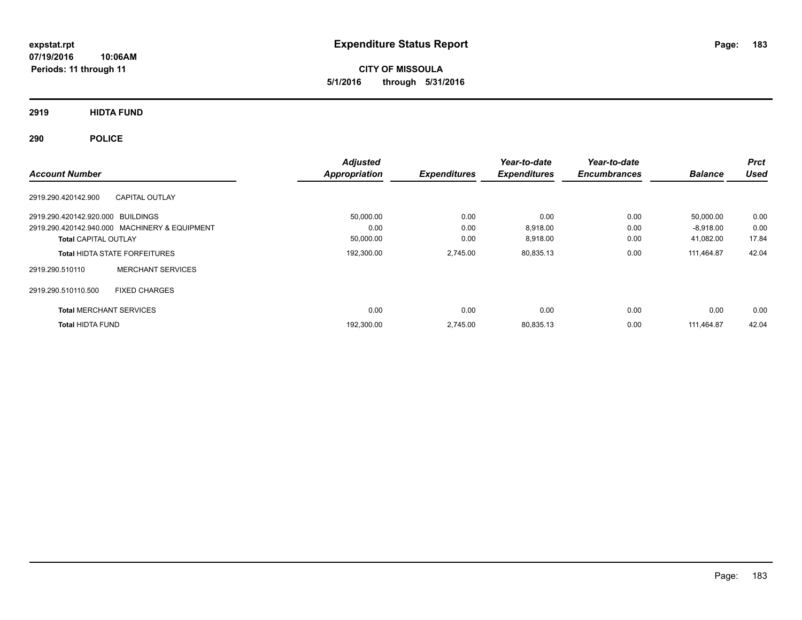**CITY OF MISSOULA 5/1/2016 through 5/31/2016**

**2919 HIDTA FUND**

**290 POLICE**

|                                   |                                               | <b>Adjusted</b>      |                     | Year-to-date        | Year-to-date        |                | <b>Prct</b> |
|-----------------------------------|-----------------------------------------------|----------------------|---------------------|---------------------|---------------------|----------------|-------------|
| <b>Account Number</b>             |                                               | <b>Appropriation</b> | <b>Expenditures</b> | <b>Expenditures</b> | <b>Encumbrances</b> | <b>Balance</b> | <b>Used</b> |
| 2919.290.420142.900               | <b>CAPITAL OUTLAY</b>                         |                      |                     |                     |                     |                |             |
| 2919.290.420142.920.000 BUILDINGS |                                               | 50,000.00            | 0.00                | 0.00                | 0.00                | 50.000.00      | 0.00        |
|                                   | 2919.290.420142.940.000 MACHINERY & EQUIPMENT | 0.00                 | 0.00                | 8,918.00            | 0.00                | $-8,918.00$    | 0.00        |
| <b>Total CAPITAL OUTLAY</b>       |                                               | 50,000.00            | 0.00                | 8,918.00            | 0.00                | 41,082.00      | 17.84       |
|                                   | <b>Total HIDTA STATE FORFEITURES</b>          | 192,300.00           | 2,745.00            | 80,835.13           | 0.00                | 111.464.87     | 42.04       |
| 2919.290.510110                   | <b>MERCHANT SERVICES</b>                      |                      |                     |                     |                     |                |             |
| 2919.290.510110.500               | <b>FIXED CHARGES</b>                          |                      |                     |                     |                     |                |             |
| <b>Total MERCHANT SERVICES</b>    |                                               | 0.00                 | 0.00                | 0.00                | 0.00                | 0.00           | 0.00        |
| <b>Total HIDTA FUND</b>           |                                               | 192,300.00           | 2,745.00            | 80,835.13           | 0.00                | 111.464.87     | 42.04       |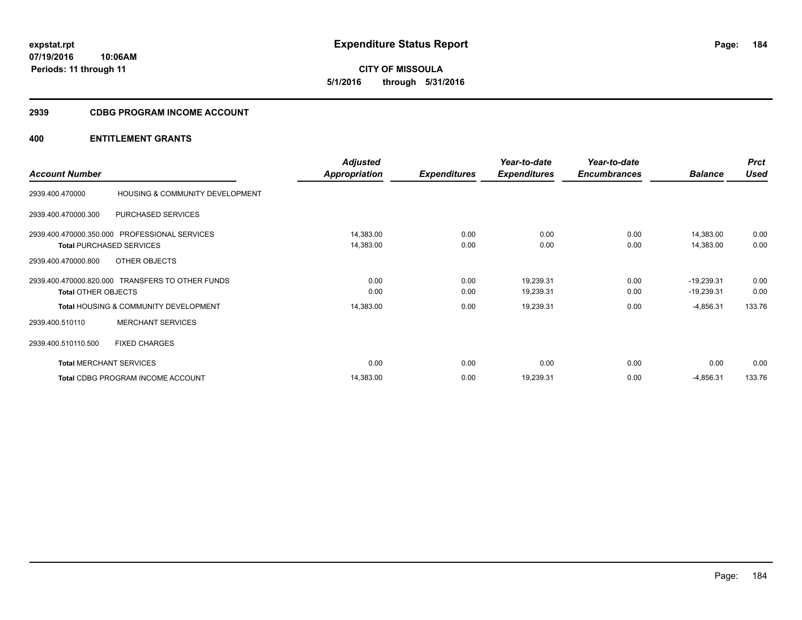**CITY OF MISSOULA 5/1/2016 through 5/31/2016**

## **2939 CDBG PROGRAM INCOME ACCOUNT**

|                                |                                                  | <b>Adjusted</b>      |                     | Year-to-date        | Year-to-date        |                | <b>Prct</b> |
|--------------------------------|--------------------------------------------------|----------------------|---------------------|---------------------|---------------------|----------------|-------------|
| <b>Account Number</b>          |                                                  | <b>Appropriation</b> | <b>Expenditures</b> | <b>Expenditures</b> | <b>Encumbrances</b> | <b>Balance</b> | <b>Used</b> |
| 2939.400.470000                | HOUSING & COMMUNITY DEVELOPMENT                  |                      |                     |                     |                     |                |             |
| 2939.400.470000.300            | PURCHASED SERVICES                               |                      |                     |                     |                     |                |             |
|                                | 2939.400.470000.350.000 PROFESSIONAL SERVICES    | 14,383.00            | 0.00                | 0.00                | 0.00                | 14,383.00      | 0.00        |
|                                | <b>Total PURCHASED SERVICES</b>                  | 14,383.00            | 0.00                | 0.00                | 0.00                | 14,383.00      | 0.00        |
| 2939.400.470000.800            | OTHER OBJECTS                                    |                      |                     |                     |                     |                |             |
|                                | 2939.400.470000.820.000 TRANSFERS TO OTHER FUNDS | 0.00                 | 0.00                | 19,239.31           | 0.00                | $-19,239.31$   | 0.00        |
| <b>Total OTHER OBJECTS</b>     |                                                  | 0.00                 | 0.00                | 19,239.31           | 0.00                | $-19,239.31$   | 0.00        |
|                                | <b>Total HOUSING &amp; COMMUNITY DEVELOPMENT</b> | 14,383.00            | 0.00                | 19,239.31           | 0.00                | $-4,856.31$    | 133.76      |
| 2939.400.510110                | <b>MERCHANT SERVICES</b>                         |                      |                     |                     |                     |                |             |
| 2939.400.510110.500            | <b>FIXED CHARGES</b>                             |                      |                     |                     |                     |                |             |
| <b>Total MERCHANT SERVICES</b> |                                                  | 0.00                 | 0.00                | 0.00                | 0.00                | 0.00           | 0.00        |
|                                | Total CDBG PROGRAM INCOME ACCOUNT                | 14,383.00            | 0.00                | 19,239.31           | 0.00                | $-4,856.31$    | 133.76      |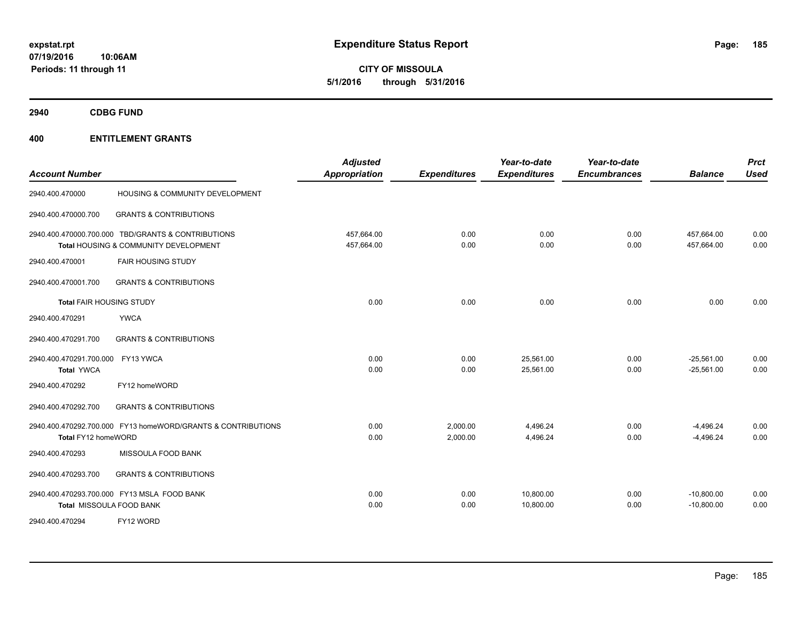**CITY OF MISSOULA 5/1/2016 through 5/31/2016**

**2940 CDBG FUND**

| <b>Account Number</b>                                  |                                                                                             | <b>Adjusted</b><br><b>Appropriation</b> | <b>Expenditures</b>  | Year-to-date<br><b>Expenditures</b> | Year-to-date<br><b>Encumbrances</b> | <b>Balance</b>               | <b>Prct</b><br>Used |
|--------------------------------------------------------|---------------------------------------------------------------------------------------------|-----------------------------------------|----------------------|-------------------------------------|-------------------------------------|------------------------------|---------------------|
| 2940.400.470000                                        | HOUSING & COMMUNITY DEVELOPMENT                                                             |                                         |                      |                                     |                                     |                              |                     |
| 2940.400.470000.700                                    | <b>GRANTS &amp; CONTRIBUTIONS</b>                                                           |                                         |                      |                                     |                                     |                              |                     |
|                                                        | 2940.400.470000.700.000 TBD/GRANTS & CONTRIBUTIONS<br>Total HOUSING & COMMUNITY DEVELOPMENT | 457.664.00<br>457,664.00                | 0.00<br>0.00         | 0.00<br>0.00                        | 0.00<br>0.00                        | 457.664.00<br>457,664.00     | 0.00<br>0.00        |
| 2940.400.470001                                        | <b>FAIR HOUSING STUDY</b>                                                                   |                                         |                      |                                     |                                     |                              |                     |
| 2940.400.470001.700                                    | <b>GRANTS &amp; CONTRIBUTIONS</b>                                                           |                                         |                      |                                     |                                     |                              |                     |
| <b>Total FAIR HOUSING STUDY</b>                        |                                                                                             | 0.00                                    | 0.00                 | 0.00                                | 0.00                                | 0.00                         | 0.00                |
| 2940.400.470291                                        | <b>YWCA</b>                                                                                 |                                         |                      |                                     |                                     |                              |                     |
| 2940.400.470291.700                                    | <b>GRANTS &amp; CONTRIBUTIONS</b>                                                           |                                         |                      |                                     |                                     |                              |                     |
| 2940.400.470291.700.000 FY13 YWCA<br><b>Total YWCA</b> |                                                                                             | 0.00<br>0.00                            | 0.00<br>0.00         | 25,561.00<br>25,561.00              | 0.00<br>0.00                        | $-25,561.00$<br>$-25,561.00$ | 0.00<br>0.00        |
| 2940.400.470292                                        | FY12 homeWORD                                                                               |                                         |                      |                                     |                                     |                              |                     |
| 2940.400.470292.700                                    | <b>GRANTS &amp; CONTRIBUTIONS</b>                                                           |                                         |                      |                                     |                                     |                              |                     |
| Total FY12 homeWORD                                    | 2940.400.470292.700.000 FY13 homeWORD/GRANTS & CONTRIBUTIONS                                | 0.00<br>0.00                            | 2,000.00<br>2,000.00 | 4,496.24<br>4,496.24                | 0.00<br>0.00                        | $-4,496.24$<br>$-4,496.24$   | 0.00<br>0.00        |
| 2940.400.470293                                        | MISSOULA FOOD BANK                                                                          |                                         |                      |                                     |                                     |                              |                     |
| 2940.400.470293.700                                    | <b>GRANTS &amp; CONTRIBUTIONS</b>                                                           |                                         |                      |                                     |                                     |                              |                     |
|                                                        | 2940.400.470293.700.000 FY13 MSLA FOOD BANK<br>Total MISSOULA FOOD BANK                     | 0.00<br>0.00                            | 0.00<br>0.00         | 10,800.00<br>10,800.00              | 0.00<br>0.00                        | $-10,800.00$<br>$-10,800.00$ | 0.00<br>0.00        |
| 2940.400.470294                                        | FY12 WORD                                                                                   |                                         |                      |                                     |                                     |                              |                     |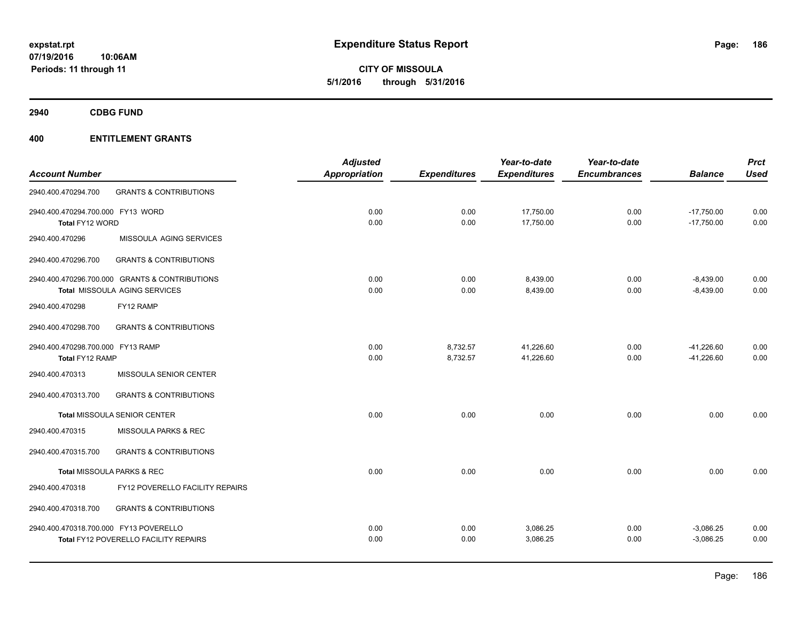**CITY OF MISSOULA 5/1/2016 through 5/31/2016**

**2940 CDBG FUND**

|                                        |                                                | <b>Adjusted</b>      |                     | Year-to-date        | Year-to-date        |                | <b>Prct</b> |
|----------------------------------------|------------------------------------------------|----------------------|---------------------|---------------------|---------------------|----------------|-------------|
| <b>Account Number</b>                  |                                                | <b>Appropriation</b> | <b>Expenditures</b> | <b>Expenditures</b> | <b>Encumbrances</b> | <b>Balance</b> | <b>Used</b> |
| 2940.400.470294.700                    | <b>GRANTS &amp; CONTRIBUTIONS</b>              |                      |                     |                     |                     |                |             |
| 2940.400.470294.700.000 FY13 WORD      |                                                | 0.00                 | 0.00                | 17,750.00           | 0.00                | $-17,750.00$   | 0.00        |
| Total FY12 WORD                        |                                                | 0.00                 | 0.00                | 17,750.00           | 0.00                | $-17,750.00$   | 0.00        |
| 2940.400.470296                        | MISSOULA AGING SERVICES                        |                      |                     |                     |                     |                |             |
| 2940.400.470296.700                    | <b>GRANTS &amp; CONTRIBUTIONS</b>              |                      |                     |                     |                     |                |             |
|                                        | 2940.400.470296.700.000 GRANTS & CONTRIBUTIONS | 0.00                 | 0.00                | 8,439.00            | 0.00                | $-8,439.00$    | 0.00        |
|                                        | Total MISSOULA AGING SERVICES                  | 0.00                 | 0.00                | 8,439.00            | 0.00                | $-8,439.00$    | 0.00        |
| 2940.400.470298                        | FY12 RAMP                                      |                      |                     |                     |                     |                |             |
| 2940.400.470298.700                    | <b>GRANTS &amp; CONTRIBUTIONS</b>              |                      |                     |                     |                     |                |             |
| 2940.400.470298.700.000 FY13 RAMP      |                                                | 0.00                 | 8,732.57            | 41,226.60           | 0.00                | $-41,226.60$   | 0.00        |
| Total FY12 RAMP                        |                                                | 0.00                 | 8,732.57            | 41,226.60           | 0.00                | $-41,226.60$   | 0.00        |
| 2940.400.470313                        | MISSOULA SENIOR CENTER                         |                      |                     |                     |                     |                |             |
| 2940.400.470313.700                    | <b>GRANTS &amp; CONTRIBUTIONS</b>              |                      |                     |                     |                     |                |             |
|                                        | Total MISSOULA SENIOR CENTER                   | 0.00                 | 0.00                | 0.00                | 0.00                | 0.00           | 0.00        |
| 2940.400.470315                        | MISSOULA PARKS & REC                           |                      |                     |                     |                     |                |             |
| 2940.400.470315.700                    | <b>GRANTS &amp; CONTRIBUTIONS</b>              |                      |                     |                     |                     |                |             |
|                                        | Total MISSOULA PARKS & REC                     | 0.00                 | 0.00                | 0.00                | 0.00                | 0.00           | 0.00        |
| 2940.400.470318                        | FY12 POVERELLO FACILITY REPAIRS                |                      |                     |                     |                     |                |             |
| 2940.400.470318.700                    | <b>GRANTS &amp; CONTRIBUTIONS</b>              |                      |                     |                     |                     |                |             |
| 2940.400.470318.700.000 FY13 POVERELLO |                                                | 0.00                 | 0.00                | 3,086.25            | 0.00                | $-3,086.25$    | 0.00        |
|                                        | <b>Total FY12 POVERELLO FACILITY REPAIRS</b>   | 0.00                 | 0.00                | 3,086.25            | 0.00                | $-3,086.25$    | 0.00        |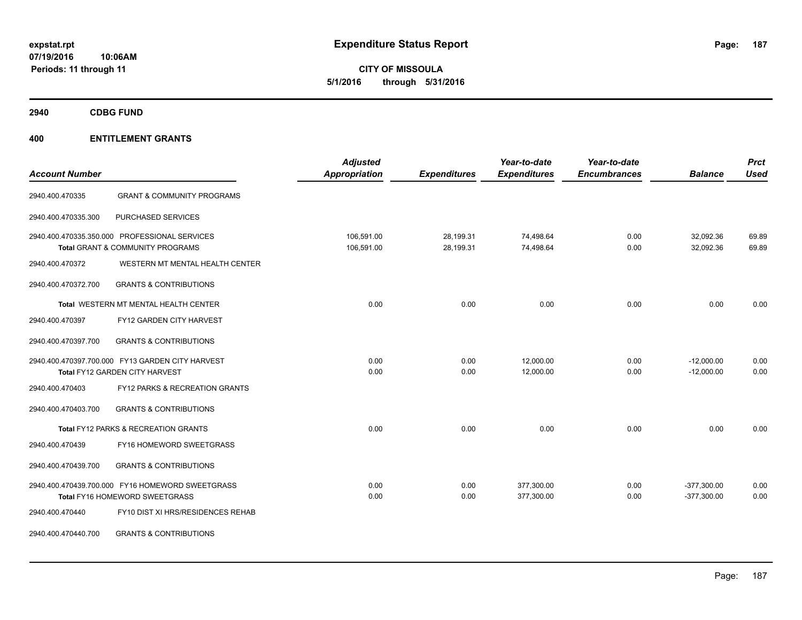**CITY OF MISSOULA 5/1/2016 through 5/31/2016**

**2940 CDBG FUND**

| <b>Account Number</b>                                                                     |                                                                                              | <b>Adjusted</b><br><b>Appropriation</b> | <b>Expenditures</b>    | Year-to-date<br><b>Expenditures</b> | Year-to-date<br><b>Encumbrances</b> | <b>Balance</b>                 | <b>Prct</b><br><b>Used</b> |
|-------------------------------------------------------------------------------------------|----------------------------------------------------------------------------------------------|-----------------------------------------|------------------------|-------------------------------------|-------------------------------------|--------------------------------|----------------------------|
| 2940.400.470335                                                                           | <b>GRANT &amp; COMMUNITY PROGRAMS</b>                                                        |                                         |                        |                                     |                                     |                                |                            |
| 2940.400.470335.300                                                                       | PURCHASED SERVICES                                                                           |                                         |                        |                                     |                                     |                                |                            |
|                                                                                           | 2940.400.470335.350.000 PROFESSIONAL SERVICES<br><b>Total GRANT &amp; COMMUNITY PROGRAMS</b> | 106,591.00<br>106,591.00                | 28,199.31<br>28,199.31 | 74,498.64<br>74,498.64              | 0.00<br>0.00                        | 32,092.36<br>32,092.36         | 69.89<br>69.89             |
| 2940.400.470372                                                                           | WESTERN MT MENTAL HEALTH CENTER                                                              |                                         |                        |                                     |                                     |                                |                            |
| 2940.400.470372.700                                                                       | <b>GRANTS &amp; CONTRIBUTIONS</b>                                                            |                                         |                        |                                     |                                     |                                |                            |
|                                                                                           | Total WESTERN MT MENTAL HEALTH CENTER                                                        | 0.00                                    | 0.00                   | 0.00                                | 0.00                                | 0.00                           | 0.00                       |
| 2940.400.470397                                                                           | FY12 GARDEN CITY HARVEST                                                                     |                                         |                        |                                     |                                     |                                |                            |
| 2940.400.470397.700                                                                       | <b>GRANTS &amp; CONTRIBUTIONS</b>                                                            |                                         |                        |                                     |                                     |                                |                            |
| 2940.400.470397.700.000 FY13 GARDEN CITY HARVEST<br><b>Total FY12 GARDEN CITY HARVEST</b> |                                                                                              | 0.00<br>0.00                            | 0.00<br>0.00           | 12,000.00<br>12,000.00              | 0.00<br>0.00                        | $-12,000.00$<br>$-12,000.00$   | 0.00<br>0.00               |
| 2940.400.470403                                                                           | <b>FY12 PARKS &amp; RECREATION GRANTS</b>                                                    |                                         |                        |                                     |                                     |                                |                            |
| 2940.400.470403.700                                                                       | <b>GRANTS &amp; CONTRIBUTIONS</b>                                                            |                                         |                        |                                     |                                     |                                |                            |
|                                                                                           | Total FY12 PARKS & RECREATION GRANTS                                                         | 0.00                                    | 0.00                   | 0.00                                | 0.00                                | 0.00                           | 0.00                       |
| 2940.400.470439                                                                           | FY16 HOMEWORD SWEETGRASS                                                                     |                                         |                        |                                     |                                     |                                |                            |
| 2940.400.470439.700                                                                       | <b>GRANTS &amp; CONTRIBUTIONS</b>                                                            |                                         |                        |                                     |                                     |                                |                            |
|                                                                                           | 2940.400.470439.700.000 FY16 HOMEWORD SWEETGRASS<br>Total FY16 HOMEWORD SWEETGRASS           | 0.00<br>0.00                            | 0.00<br>0.00           | 377,300.00<br>377,300.00            | 0.00<br>0.00                        | $-377,300.00$<br>$-377,300.00$ | 0.00<br>0.00               |
| 2940.400.470440                                                                           | FY10 DIST XI HRS/RESIDENCES REHAB                                                            |                                         |                        |                                     |                                     |                                |                            |
| 2940.400.470440.700                                                                       | <b>GRANTS &amp; CONTRIBUTIONS</b>                                                            |                                         |                        |                                     |                                     |                                |                            |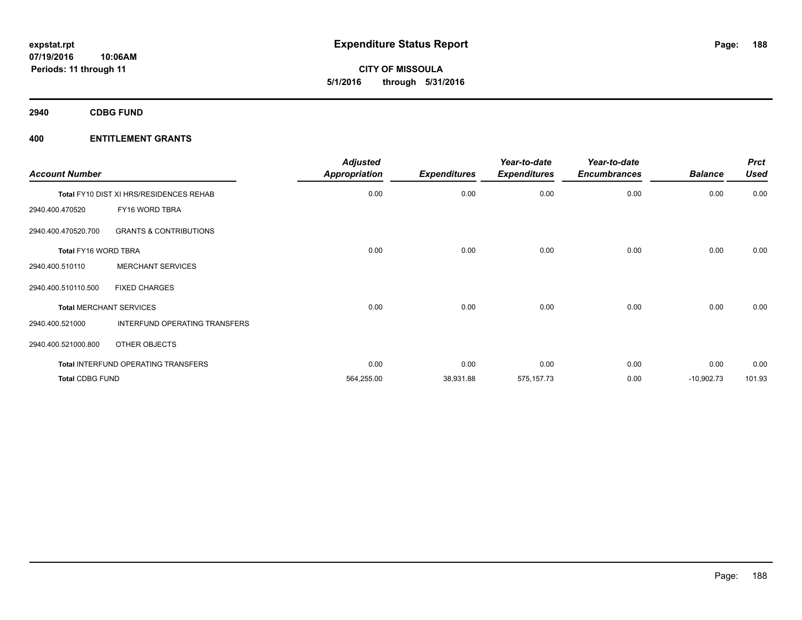**CITY OF MISSOULA 5/1/2016 through 5/31/2016**

**2940 CDBG FUND**

| <b>Account Number</b>  |                                         | <b>Adjusted</b><br><b>Appropriation</b> | <b>Expenditures</b> | Year-to-date<br><b>Expenditures</b> | Year-to-date<br><b>Encumbrances</b> | <b>Balance</b> | <b>Prct</b><br><b>Used</b> |
|------------------------|-----------------------------------------|-----------------------------------------|---------------------|-------------------------------------|-------------------------------------|----------------|----------------------------|
|                        | Total FY10 DIST XI HRS/RESIDENCES REHAB | 0.00                                    | 0.00                | 0.00                                | 0.00                                | 0.00           | 0.00                       |
| 2940.400.470520        | FY16 WORD TBRA                          |                                         |                     |                                     |                                     |                |                            |
| 2940.400.470520.700    | <b>GRANTS &amp; CONTRIBUTIONS</b>       |                                         |                     |                                     |                                     |                |                            |
| Total FY16 WORD TBRA   |                                         | 0.00                                    | 0.00                | 0.00                                | 0.00                                | 0.00           | 0.00                       |
| 2940.400.510110        | <b>MERCHANT SERVICES</b>                |                                         |                     |                                     |                                     |                |                            |
| 2940.400.510110.500    | <b>FIXED CHARGES</b>                    |                                         |                     |                                     |                                     |                |                            |
|                        | <b>Total MERCHANT SERVICES</b>          | 0.00                                    | 0.00                | 0.00                                | 0.00                                | 0.00           | 0.00                       |
| 2940.400.521000        | INTERFUND OPERATING TRANSFERS           |                                         |                     |                                     |                                     |                |                            |
| 2940.400.521000.800    | OTHER OBJECTS                           |                                         |                     |                                     |                                     |                |                            |
|                        | Total INTERFUND OPERATING TRANSFERS     | 0.00                                    | 0.00                | 0.00                                | 0.00                                | 0.00           | 0.00                       |
| <b>Total CDBG FUND</b> |                                         | 564,255.00                              | 38,931.88           | 575,157.73                          | 0.00                                | $-10,902.73$   | 101.93                     |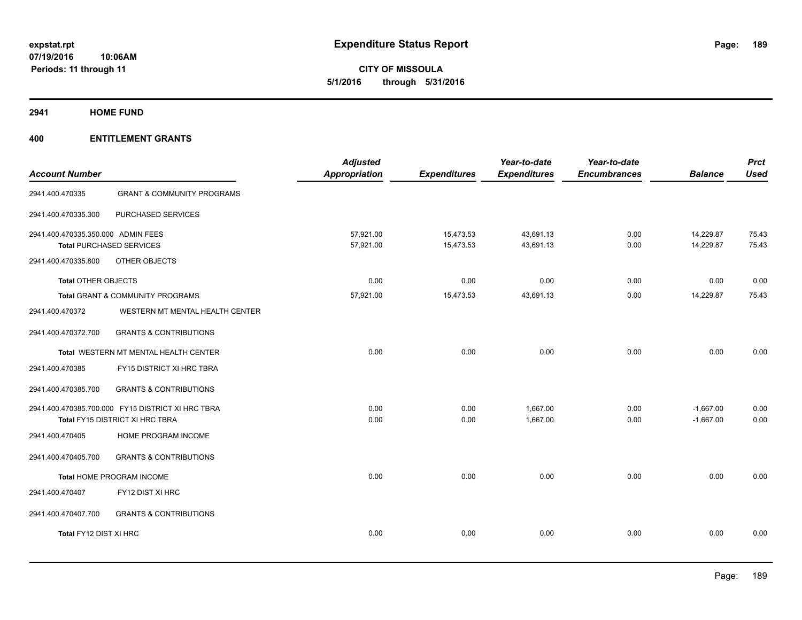**CITY OF MISSOULA 5/1/2016 through 5/31/2016**

**2941 HOME FUND**

| <b>GRANT &amp; COMMUNITY PROGRAMS</b><br>2941.400.470335<br>PURCHASED SERVICES<br>2941.400.470335.300<br>2941.400.470335.350.000 ADMIN FEES<br>57,921.00<br>15,473.53<br>43,691.13<br>0.00<br><b>Total PURCHASED SERVICES</b><br>57,921.00<br>15,473.53<br>43,691.13<br>0.00 | <b>Balance</b> | <b>Used</b> |
|------------------------------------------------------------------------------------------------------------------------------------------------------------------------------------------------------------------------------------------------------------------------------|----------------|-------------|
|                                                                                                                                                                                                                                                                              |                |             |
|                                                                                                                                                                                                                                                                              |                |             |
|                                                                                                                                                                                                                                                                              | 14,229.87      | 75.43       |
|                                                                                                                                                                                                                                                                              | 14,229.87      | 75.43       |
| OTHER OBJECTS<br>2941.400.470335.800                                                                                                                                                                                                                                         |                |             |
| 0.00<br>0.00<br>0.00<br><b>Total OTHER OBJECTS</b><br>0.00                                                                                                                                                                                                                   | 0.00           | 0.00        |
| 15,473.53<br>43,691.13<br>Total GRANT & COMMUNITY PROGRAMS<br>57,921.00<br>0.00                                                                                                                                                                                              | 14,229.87      | 75.43       |
| WESTERN MT MENTAL HEALTH CENTER<br>2941.400.470372                                                                                                                                                                                                                           |                |             |
| <b>GRANTS &amp; CONTRIBUTIONS</b><br>2941.400.470372.700                                                                                                                                                                                                                     |                |             |
| 0.00<br>0.00<br>0.00<br>0.00<br>Total WESTERN MT MENTAL HEALTH CENTER                                                                                                                                                                                                        | 0.00           | 0.00        |
| 2941.400.470385<br>FY15 DISTRICT XI HRC TBRA                                                                                                                                                                                                                                 |                |             |
| 2941.400.470385.700<br><b>GRANTS &amp; CONTRIBUTIONS</b>                                                                                                                                                                                                                     |                |             |
| 2941.400.470385.700.000 FY15 DISTRICT XI HRC TBRA<br>0.00<br>1,667.00<br>0.00<br>0.00                                                                                                                                                                                        | $-1,667.00$    | 0.00        |
| 0.00<br>1.667.00<br>0.00<br>0.00<br>Total FY15 DISTRICT XI HRC TBRA                                                                                                                                                                                                          | $-1,667.00$    | 0.00        |
| 2941.400.470405<br>HOME PROGRAM INCOME                                                                                                                                                                                                                                       |                |             |
| 2941.400.470405.700<br><b>GRANTS &amp; CONTRIBUTIONS</b>                                                                                                                                                                                                                     |                |             |
| 0.00<br>0.00<br>0.00<br>0.00<br>Total HOME PROGRAM INCOME                                                                                                                                                                                                                    | 0.00           | 0.00        |
| FY12 DIST XI HRC<br>2941.400.470407                                                                                                                                                                                                                                          |                |             |
| 2941.400.470407.700<br><b>GRANTS &amp; CONTRIBUTIONS</b>                                                                                                                                                                                                                     |                |             |
| Total FY12 DIST XI HRC<br>0.00<br>0.00<br>0.00<br>0.00                                                                                                                                                                                                                       | 0.00           | 0.00        |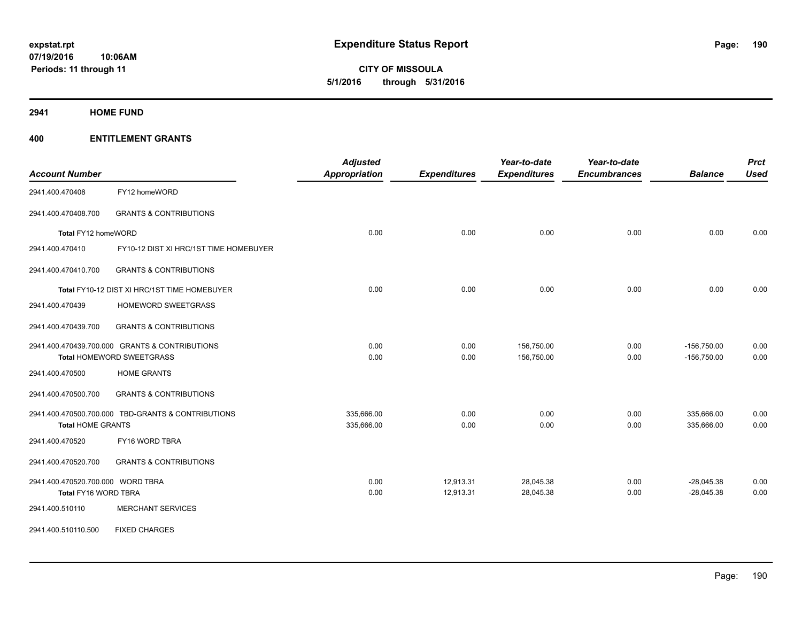**CITY OF MISSOULA 5/1/2016 through 5/31/2016**

**2941 HOME FUND**

| <b>Account Number</b>             |                                                    | <b>Adjusted</b><br><b>Appropriation</b> | <b>Expenditures</b> | Year-to-date<br><b>Expenditures</b> | Year-to-date<br><b>Encumbrances</b> | <b>Balance</b> | <b>Prct</b><br><b>Used</b> |
|-----------------------------------|----------------------------------------------------|-----------------------------------------|---------------------|-------------------------------------|-------------------------------------|----------------|----------------------------|
| 2941.400.470408                   | FY12 homeWORD                                      |                                         |                     |                                     |                                     |                |                            |
| 2941.400.470408.700               | <b>GRANTS &amp; CONTRIBUTIONS</b>                  |                                         |                     |                                     |                                     |                |                            |
| Total FY12 homeWORD               |                                                    | 0.00                                    | 0.00                | 0.00                                | 0.00                                | 0.00           | 0.00                       |
| 2941.400.470410                   | FY10-12 DIST XI HRC/1ST TIME HOMEBUYER             |                                         |                     |                                     |                                     |                |                            |
| 2941.400.470410.700               | <b>GRANTS &amp; CONTRIBUTIONS</b>                  |                                         |                     |                                     |                                     |                |                            |
|                                   | Total FY10-12 DIST XI HRC/1ST TIME HOMEBUYER       | 0.00                                    | 0.00                | 0.00                                | 0.00                                | 0.00           | 0.00                       |
| 2941.400.470439                   | HOMEWORD SWEETGRASS                                |                                         |                     |                                     |                                     |                |                            |
| 2941.400.470439.700               | <b>GRANTS &amp; CONTRIBUTIONS</b>                  |                                         |                     |                                     |                                     |                |                            |
|                                   | 2941.400.470439.700.000 GRANTS & CONTRIBUTIONS     | 0.00                                    | 0.00                | 156,750.00                          | 0.00                                | $-156,750.00$  | 0.00                       |
|                                   | Total HOMEWORD SWEETGRASS                          | 0.00                                    | 0.00                | 156,750.00                          | 0.00                                | $-156,750.00$  | 0.00                       |
| 2941.400.470500                   | <b>HOME GRANTS</b>                                 |                                         |                     |                                     |                                     |                |                            |
| 2941.400.470500.700               | <b>GRANTS &amp; CONTRIBUTIONS</b>                  |                                         |                     |                                     |                                     |                |                            |
|                                   | 2941.400.470500.700.000 TBD-GRANTS & CONTRIBUTIONS | 335,666.00                              | 0.00                | 0.00                                | 0.00                                | 335,666.00     | 0.00                       |
| <b>Total HOME GRANTS</b>          |                                                    | 335,666.00                              | 0.00                | 0.00                                | 0.00                                | 335,666.00     | 0.00                       |
| 2941.400.470520                   | FY16 WORD TBRA                                     |                                         |                     |                                     |                                     |                |                            |
| 2941.400.470520.700               | <b>GRANTS &amp; CONTRIBUTIONS</b>                  |                                         |                     |                                     |                                     |                |                            |
| 2941.400.470520.700.000 WORD TBRA |                                                    | 0.00                                    | 12,913.31           | 28,045.38                           | 0.00                                | $-28,045.38$   | 0.00                       |
| Total FY16 WORD TBRA              |                                                    | 0.00                                    | 12,913.31           | 28,045.38                           | 0.00                                | $-28,045.38$   | 0.00                       |
| 2941.400.510110                   | <b>MERCHANT SERVICES</b>                           |                                         |                     |                                     |                                     |                |                            |
| 2941.400.510110.500               | <b>FIXED CHARGES</b>                               |                                         |                     |                                     |                                     |                |                            |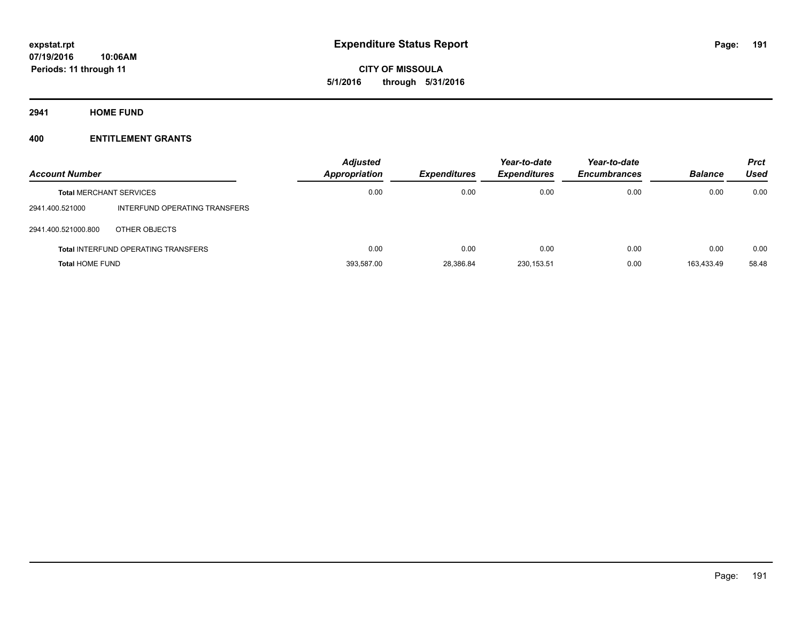**CITY OF MISSOULA 5/1/2016 through 5/31/2016**

**2941 HOME FUND**

| <b>Account Number</b>          |                                            | <b>Adjusted</b><br><b>Appropriation</b> | <b>Expenditures</b> | Year-to-date<br><b>Expenditures</b> | Year-to-date<br><b>Encumbrances</b> | <b>Balance</b> | <b>Prct</b><br>Used |
|--------------------------------|--------------------------------------------|-----------------------------------------|---------------------|-------------------------------------|-------------------------------------|----------------|---------------------|
| <b>Total MERCHANT SERVICES</b> |                                            | 0.00                                    | 0.00                | 0.00                                | 0.00                                | 0.00           | 0.00                |
| 2941.400.521000                | INTERFUND OPERATING TRANSFERS              |                                         |                     |                                     |                                     |                |                     |
| 2941.400.521000.800            | OTHER OBJECTS                              |                                         |                     |                                     |                                     |                |                     |
|                                | <b>Total INTERFUND OPERATING TRANSFERS</b> | 0.00                                    | 0.00                | 0.00                                | 0.00                                | 0.00           | 0.00                |
| <b>Total HOME FUND</b>         |                                            | 393,587.00                              | 28.386.84           | 230.153.51                          | 0.00                                | 163.433.49     | 58.48               |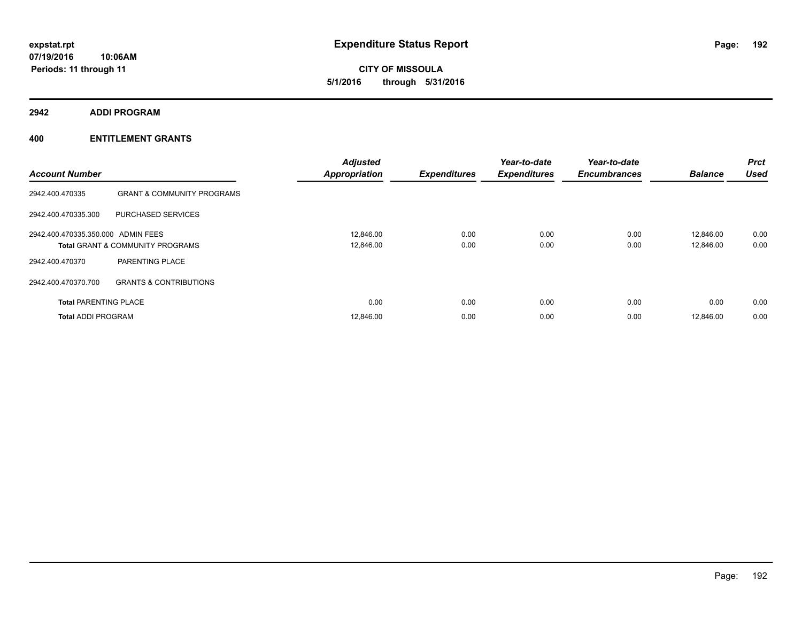**CITY OF MISSOULA 5/1/2016 through 5/31/2016**

**2942 ADDI PROGRAM**

| <b>Account Number</b>              |                                             | <b>Adjusted</b><br><b>Appropriation</b> | <b>Expenditures</b> | Year-to-date<br><b>Expenditures</b> | Year-to-date<br><b>Encumbrances</b> | <b>Balance</b> | <b>Prct</b><br><b>Used</b> |
|------------------------------------|---------------------------------------------|-----------------------------------------|---------------------|-------------------------------------|-------------------------------------|----------------|----------------------------|
| 2942.400.470335                    | <b>GRANT &amp; COMMUNITY PROGRAMS</b>       |                                         |                     |                                     |                                     |                |                            |
| 2942.400.470335.300                | PURCHASED SERVICES                          |                                         |                     |                                     |                                     |                |                            |
| 2942.400.470335.350.000 ADMIN FEES |                                             | 12,846.00                               | 0.00                | 0.00                                | 0.00                                | 12.846.00      | 0.00                       |
|                                    | <b>Total GRANT &amp; COMMUNITY PROGRAMS</b> | 12,846.00                               | 0.00                | 0.00                                | 0.00                                | 12,846.00      | 0.00                       |
| 2942.400.470370                    | PARENTING PLACE                             |                                         |                     |                                     |                                     |                |                            |
| 2942.400.470370.700                | <b>GRANTS &amp; CONTRIBUTIONS</b>           |                                         |                     |                                     |                                     |                |                            |
| <b>Total PARENTING PLACE</b>       |                                             | 0.00                                    | 0.00                | 0.00                                | 0.00                                | 0.00           | 0.00                       |
| <b>Total ADDI PROGRAM</b>          |                                             | 12,846.00                               | 0.00                | 0.00                                | 0.00                                | 12.846.00      | 0.00                       |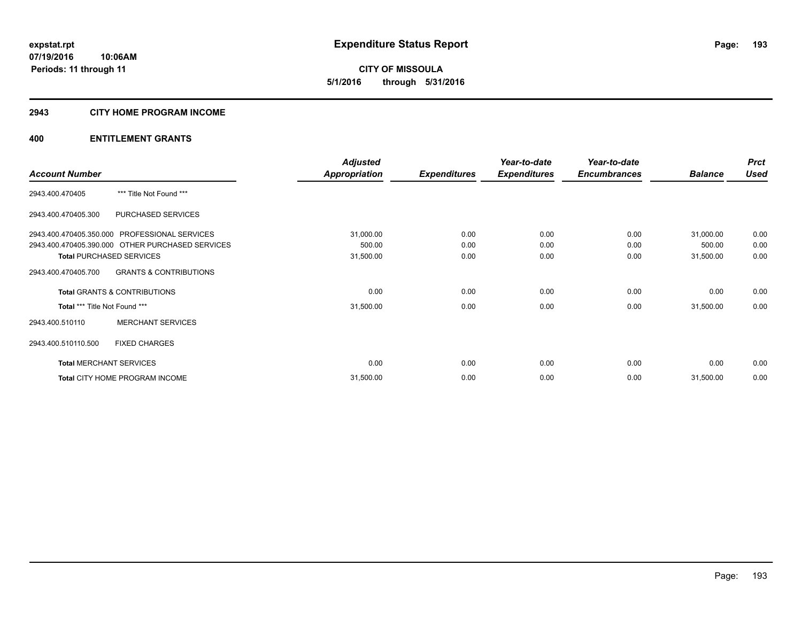# **2943 CITY HOME PROGRAM INCOME**

|                                                  |                                   | <b>Adjusted</b>      |                     | Year-to-date        | Year-to-date        |                | <b>Prct</b> |
|--------------------------------------------------|-----------------------------------|----------------------|---------------------|---------------------|---------------------|----------------|-------------|
| <b>Account Number</b>                            |                                   | <b>Appropriation</b> | <b>Expenditures</b> | <b>Expenditures</b> | <b>Encumbrances</b> | <b>Balance</b> | <b>Used</b> |
| 2943.400.470405                                  | *** Title Not Found ***           |                      |                     |                     |                     |                |             |
| 2943.400.470405.300                              | PURCHASED SERVICES                |                      |                     |                     |                     |                |             |
| 2943.400.470405.350.000 PROFESSIONAL SERVICES    |                                   | 31,000.00            | 0.00                | 0.00                | 0.00                | 31,000.00      | 0.00        |
| 2943.400.470405.390.000 OTHER PURCHASED SERVICES |                                   | 500.00               | 0.00                | 0.00                | 0.00                | 500.00         | 0.00        |
| <b>Total PURCHASED SERVICES</b>                  |                                   | 31,500.00            | 0.00                | 0.00                | 0.00                | 31,500.00      | 0.00        |
| 2943.400.470405.700                              | <b>GRANTS &amp; CONTRIBUTIONS</b> |                      |                     |                     |                     |                |             |
| <b>Total GRANTS &amp; CONTRIBUTIONS</b>          |                                   | 0.00                 | 0.00                | 0.00                | 0.00                | 0.00           | 0.00        |
| Total *** Title Not Found ***                    |                                   | 31,500.00            | 0.00                | 0.00                | 0.00                | 31,500.00      | 0.00        |
| 2943.400.510110                                  | <b>MERCHANT SERVICES</b>          |                      |                     |                     |                     |                |             |
| <b>FIXED CHARGES</b><br>2943.400.510110.500      |                                   |                      |                     |                     |                     |                |             |
| <b>Total MERCHANT SERVICES</b>                   |                                   | 0.00                 | 0.00                | 0.00                | 0.00                | 0.00           | 0.00        |
| Total CITY HOME PROGRAM INCOME                   |                                   | 31,500.00            | 0.00                | 0.00                | 0.00                | 31,500.00      | 0.00        |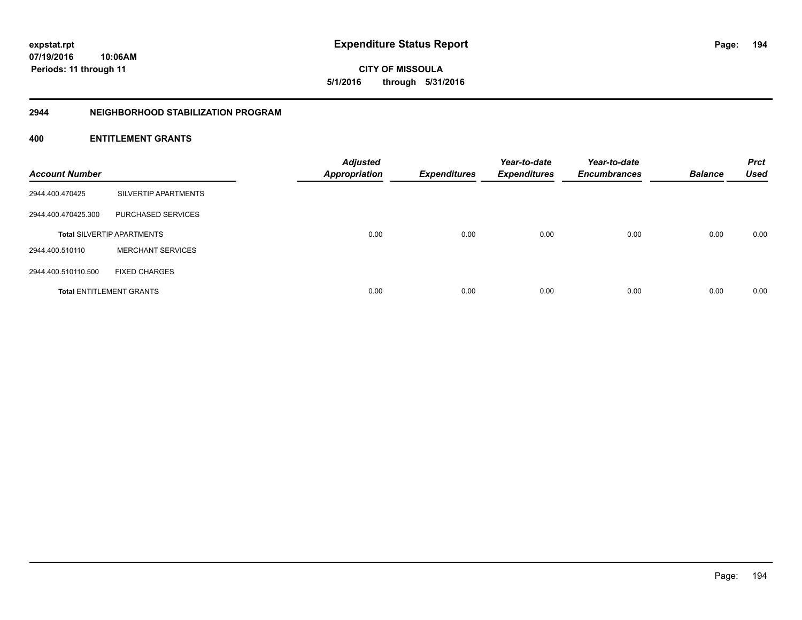**CITY OF MISSOULA 5/1/2016 through 5/31/2016**

# **2944 NEIGHBORHOOD STABILIZATION PROGRAM**

| <b>Account Number</b> |                                   | <b>Adjusted</b><br><b>Appropriation</b> | <b>Expenditures</b> | Year-to-date<br><b>Expenditures</b> | Year-to-date<br><b>Encumbrances</b> | <b>Balance</b> | <b>Prct</b><br><b>Used</b> |
|-----------------------|-----------------------------------|-----------------------------------------|---------------------|-------------------------------------|-------------------------------------|----------------|----------------------------|
| 2944.400.470425       | SILVERTIP APARTMENTS              |                                         |                     |                                     |                                     |                |                            |
| 2944.400.470425.300   | PURCHASED SERVICES                |                                         |                     |                                     |                                     |                |                            |
|                       | <b>Total SILVERTIP APARTMENTS</b> | 0.00                                    | 0.00                | 0.00                                | 0.00                                | 0.00           | 0.00                       |
| 2944.400.510110       | <b>MERCHANT SERVICES</b>          |                                         |                     |                                     |                                     |                |                            |
| 2944.400.510110.500   | <b>FIXED CHARGES</b>              |                                         |                     |                                     |                                     |                |                            |
|                       | <b>Total ENTITLEMENT GRANTS</b>   | 0.00                                    | 0.00                | 0.00                                | 0.00                                | 0.00           | 0.00                       |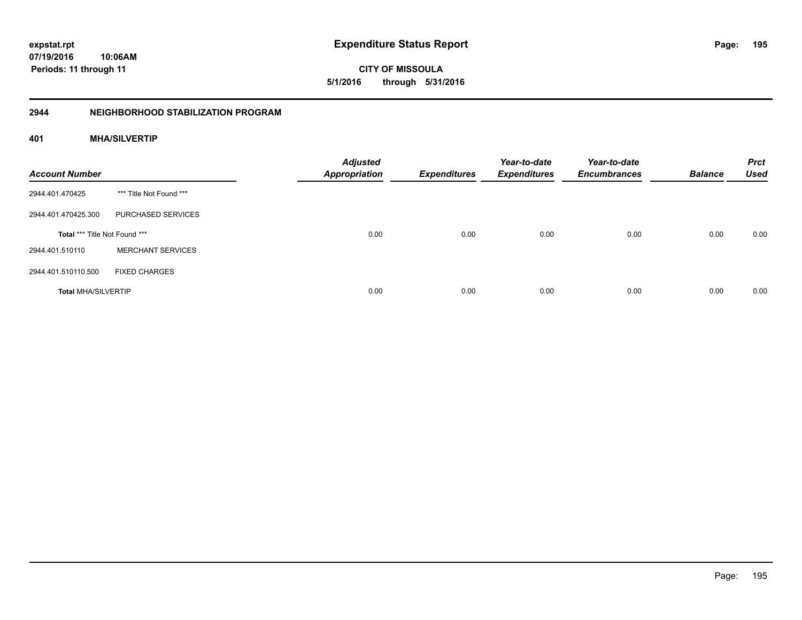**CITY OF MISSOULA 5/1/2016 through 5/31/2016**

# **2944 NEIGHBORHOOD STABILIZATION PROGRAM**

# **401 MHA/SILVERTIP**

| <b>Account Number</b>         |                          | <b>Adjusted</b><br><b>Appropriation</b> | <b>Expenditures</b> | Year-to-date<br><b>Expenditures</b> | Year-to-date<br><b>Encumbrances</b> | <b>Balance</b> | <b>Prct</b><br><b>Used</b> |
|-------------------------------|--------------------------|-----------------------------------------|---------------------|-------------------------------------|-------------------------------------|----------------|----------------------------|
| 2944.401.470425               | *** Title Not Found ***  |                                         |                     |                                     |                                     |                |                            |
| 2944.401.470425.300           | PURCHASED SERVICES       |                                         |                     |                                     |                                     |                |                            |
| Total *** Title Not Found *** |                          | 0.00                                    | 0.00                | 0.00                                | 0.00                                | 0.00           | 0.00                       |
| 2944.401.510110               | <b>MERCHANT SERVICES</b> |                                         |                     |                                     |                                     |                |                            |
| 2944.401.510110.500           | <b>FIXED CHARGES</b>     |                                         |                     |                                     |                                     |                |                            |
| <b>Total MHA/SILVERTIP</b>    |                          | 0.00                                    | 0.00                | 0.00                                | 0.00                                | 0.00           | 0.00                       |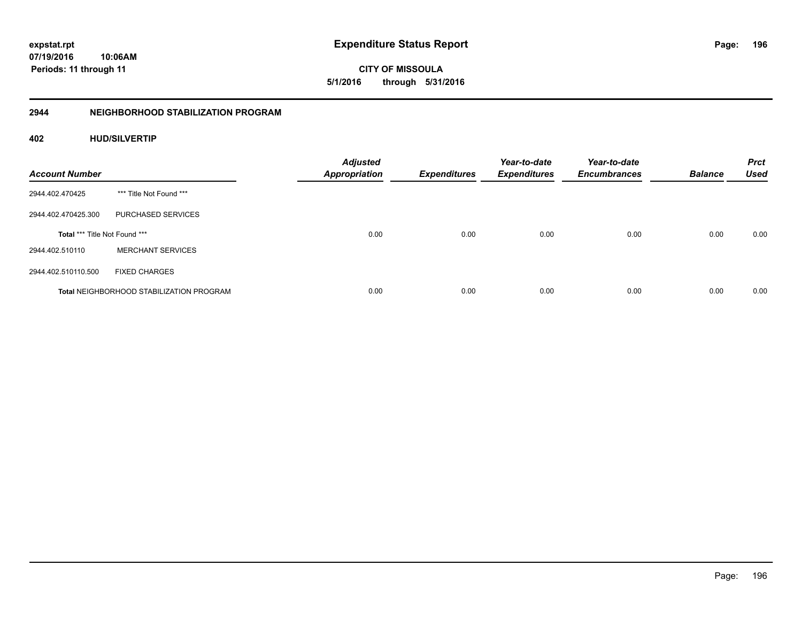**CITY OF MISSOULA 5/1/2016 through 5/31/2016**

# **2944 NEIGHBORHOOD STABILIZATION PROGRAM**

# **402 HUD/SILVERTIP**

| <b>Account Number</b>         |                                                 | <b>Adjusted</b><br><b>Appropriation</b> | <b>Expenditures</b> | Year-to-date<br><b>Expenditures</b> | Year-to-date<br><b>Encumbrances</b> | <b>Balance</b> | <b>Prct</b><br><b>Used</b> |
|-------------------------------|-------------------------------------------------|-----------------------------------------|---------------------|-------------------------------------|-------------------------------------|----------------|----------------------------|
| 2944.402.470425               | *** Title Not Found ***                         |                                         |                     |                                     |                                     |                |                            |
| 2944.402.470425.300           | PURCHASED SERVICES                              |                                         |                     |                                     |                                     |                |                            |
| Total *** Title Not Found *** |                                                 | 0.00                                    | 0.00                | 0.00                                | 0.00                                | 0.00           | 0.00                       |
| 2944.402.510110               | <b>MERCHANT SERVICES</b>                        |                                         |                     |                                     |                                     |                |                            |
| 2944.402.510110.500           | <b>FIXED CHARGES</b>                            |                                         |                     |                                     |                                     |                |                            |
|                               | <b>Total NEIGHBORHOOD STABILIZATION PROGRAM</b> | 0.00                                    | 0.00                | 0.00                                | 0.00                                | 0.00           | 0.00                       |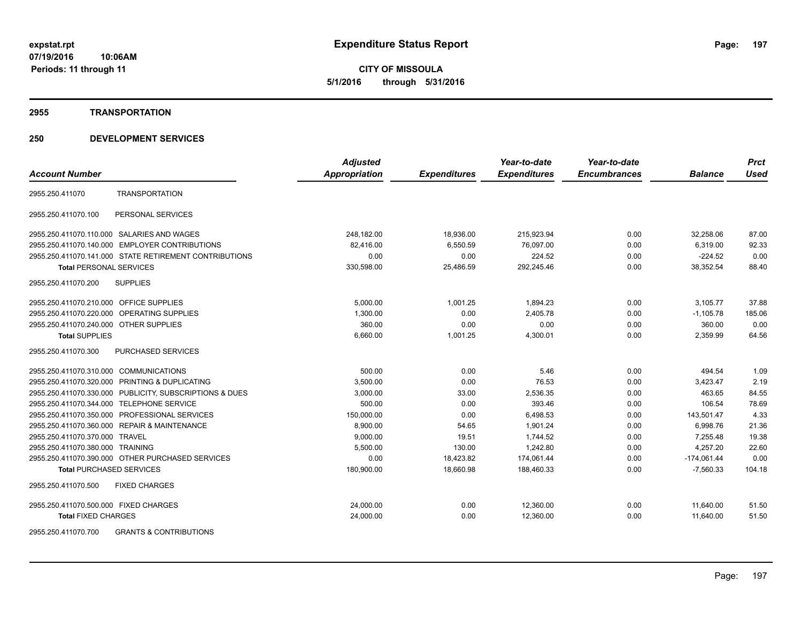## **2955 TRANSPORTATION**

|                                                            | <b>Adjusted</b> |                     | Year-to-date        | Year-to-date        |                | <b>Prct</b> |
|------------------------------------------------------------|-----------------|---------------------|---------------------|---------------------|----------------|-------------|
| <b>Account Number</b>                                      | Appropriation   | <b>Expenditures</b> | <b>Expenditures</b> | <b>Encumbrances</b> | <b>Balance</b> | <b>Used</b> |
| <b>TRANSPORTATION</b><br>2955.250.411070                   |                 |                     |                     |                     |                |             |
| PERSONAL SERVICES<br>2955.250.411070.100                   |                 |                     |                     |                     |                |             |
| 2955.250.411070.110.000 SALARIES AND WAGES                 | 248,182.00      | 18,936.00           | 215,923.94          | 0.00                | 32,258.06      | 87.00       |
| 2955.250.411070.140.000<br><b>EMPLOYER CONTRIBUTIONS</b>   | 82,416.00       | 6,550.59            | 76,097.00           | 0.00                | 6,319.00       | 92.33       |
| 2955.250.411070.141.000 STATE RETIREMENT CONTRIBUTIONS     | 0.00            | 0.00                | 224.52              | 0.00                | $-224.52$      | 0.00        |
| <b>Total PERSONAL SERVICES</b>                             | 330,598.00      | 25,486.59           | 292,245.46          | 0.00                | 38.352.54      | 88.40       |
| 2955.250.411070.200<br><b>SUPPLIES</b>                     |                 |                     |                     |                     |                |             |
| 2955.250.411070.210.000 OFFICE SUPPLIES                    | 5,000.00        | 1,001.25            | 1,894.23            | 0.00                | 3,105.77       | 37.88       |
| 2955.250.411070.220.000 OPERATING SUPPLIES                 | 1,300.00        | 0.00                | 2,405.78            | 0.00                | $-1,105.78$    | 185.06      |
| 2955.250.411070.240.000 OTHER SUPPLIES                     | 360.00          | 0.00                | 0.00                | 0.00                | 360.00         | 0.00        |
| <b>Total SUPPLIES</b>                                      | 6,660.00        | 1,001.25            | 4,300.01            | 0.00                | 2,359.99       | 64.56       |
| 2955.250.411070.300<br>PURCHASED SERVICES                  |                 |                     |                     |                     |                |             |
| 2955.250.411070.310.000<br><b>COMMUNICATIONS</b>           | 500.00          | 0.00                | 5.46                | 0.00                | 494.54         | 1.09        |
| 2955.250.411070.320.000 PRINTING & DUPLICATING             | 3,500.00        | 0.00                | 76.53               | 0.00                | 3,423.47       | 2.19        |
| PUBLICITY, SUBSCRIPTIONS & DUES<br>2955.250.411070.330.000 | 3,000.00        | 33.00               | 2,536.35            | 0.00                | 463.65         | 84.55       |
| 2955.250.411070.344.000<br><b>TELEPHONE SERVICE</b>        | 500.00          | 0.00                | 393.46              | 0.00                | 106.54         | 78.69       |
| PROFESSIONAL SERVICES<br>2955.250.411070.350.000           | 150,000.00      | 0.00                | 6,498.53            | 0.00                | 143,501.47     | 4.33        |
| <b>REPAIR &amp; MAINTENANCE</b><br>2955.250.411070.360.000 | 8,900.00        | 54.65               | 1,901.24            | 0.00                | 6,998.76       | 21.36       |
| 2955.250.411070.370.000 TRAVEL                             | 9,000.00        | 19.51               | 1,744.52            | 0.00                | 7,255.48       | 19.38       |
| 2955.250.411070.380.000 TRAINING                           | 5,500.00        | 130.00              | 1,242.80            | 0.00                | 4,257.20       | 22.60       |
| 2955.250.411070.390.000 OTHER PURCHASED SERVICES           | 0.00            | 18,423.82           | 174,061.44          | 0.00                | $-174,061.44$  | 0.00        |
| <b>Total PURCHASED SERVICES</b>                            | 180,900.00      | 18,660.98           | 188,460.33          | 0.00                | $-7,560.33$    | 104.18      |
| <b>FIXED CHARGES</b><br>2955.250.411070.500                |                 |                     |                     |                     |                |             |
| 2955.250.411070.500.000 FIXED CHARGES                      | 24,000.00       | 0.00                | 12,360.00           | 0.00                | 11,640.00      | 51.50       |
| <b>Total FIXED CHARGES</b>                                 | 24,000.00       | 0.00                | 12,360.00           | 0.00                | 11,640.00      | 51.50       |
| 2955.250.411070.700<br><b>GRANTS &amp; CONTRIBUTIONS</b>   |                 |                     |                     |                     |                |             |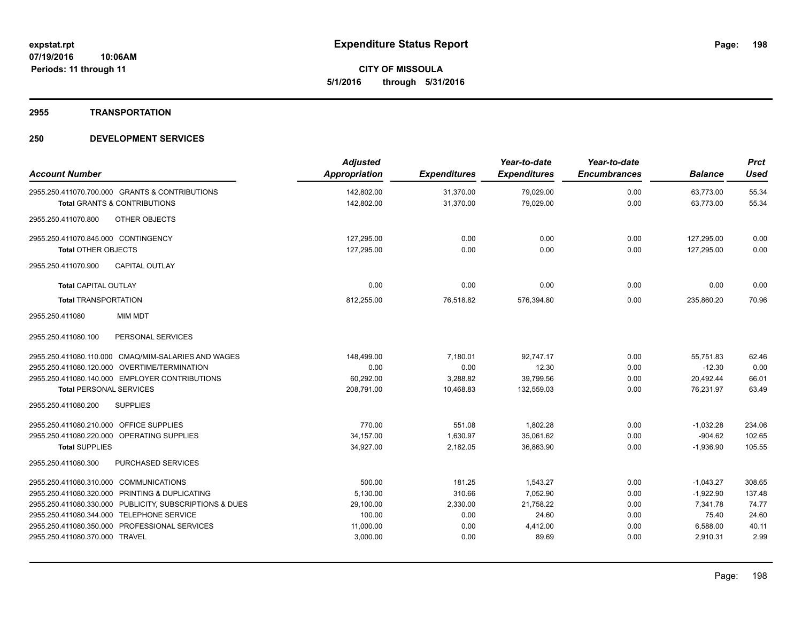# **2955 TRANSPORTATION**

| <b>Account Number</b>                                                                     | <b>Adjusted</b><br><b>Appropriation</b> | <b>Expenditures</b>    | Year-to-date<br><b>Expenditures</b> | Year-to-date<br><b>Encumbrances</b> | <b>Balance</b>         | <b>Prct</b><br><b>Used</b> |
|-------------------------------------------------------------------------------------------|-----------------------------------------|------------------------|-------------------------------------|-------------------------------------|------------------------|----------------------------|
| 2955.250.411070.700.000 GRANTS & CONTRIBUTIONS<br><b>Total GRANTS &amp; CONTRIBUTIONS</b> | 142,802.00<br>142,802.00                | 31,370.00<br>31.370.00 | 79,029.00<br>79.029.00              | 0.00<br>0.00                        | 63,773.00<br>63.773.00 | 55.34<br>55.34             |
| OTHER OBJECTS<br>2955.250.411070.800                                                      |                                         |                        |                                     |                                     |                        |                            |
| 2955.250.411070.845.000 CONTINGENCY                                                       | 127,295.00                              | 0.00                   | 0.00                                | 0.00                                | 127,295.00             | 0.00                       |
| <b>Total OTHER OBJECTS</b>                                                                | 127,295.00                              | 0.00                   | 0.00                                | 0.00                                | 127,295.00             | 0.00                       |
| 2955.250.411070.900<br><b>CAPITAL OUTLAY</b>                                              |                                         |                        |                                     |                                     |                        |                            |
| <b>Total CAPITAL OUTLAY</b>                                                               | 0.00                                    | 0.00                   | 0.00                                | 0.00                                | 0.00                   | 0.00                       |
| <b>Total TRANSPORTATION</b>                                                               | 812,255.00                              | 76,518.82              | 576,394.80                          | 0.00                                | 235,860.20             | 70.96                      |
| 2955.250.411080<br><b>MIM MDT</b>                                                         |                                         |                        |                                     |                                     |                        |                            |
| PERSONAL SERVICES<br>2955.250.411080.100                                                  |                                         |                        |                                     |                                     |                        |                            |
| 2955.250.411080.110.000 CMAQ/MIM-SALARIES AND WAGES                                       | 148,499.00                              | 7,180.01               | 92,747.17                           | 0.00                                | 55,751.83              | 62.46                      |
| 2955.250.411080.120.000 OVERTIME/TERMINATION                                              | 0.00                                    | 0.00                   | 12.30                               | 0.00                                | $-12.30$               | 0.00                       |
| 2955.250.411080.140.000 EMPLOYER CONTRIBUTIONS                                            | 60,292.00                               | 3,288.82               | 39,799.56                           | 0.00                                | 20,492.44              | 66.01                      |
| <b>Total PERSONAL SERVICES</b>                                                            | 208,791.00                              | 10,468.83              | 132,559.03                          | 0.00                                | 76,231.97              | 63.49                      |
| <b>SUPPLIES</b><br>2955.250.411080.200                                                    |                                         |                        |                                     |                                     |                        |                            |
| 2955.250.411080.210.000 OFFICE SUPPLIES                                                   | 770.00                                  | 551.08                 | 1,802.28                            | 0.00                                | $-1,032.28$            | 234.06                     |
| 2955.250.411080.220.000 OPERATING SUPPLIES                                                | 34,157.00                               | 1,630.97               | 35,061.62                           | 0.00                                | $-904.62$              | 102.65                     |
| <b>Total SUPPLIES</b>                                                                     | 34,927.00                               | 2,182.05               | 36,863.90                           | 0.00                                | $-1,936.90$            | 105.55                     |
| PURCHASED SERVICES<br>2955.250.411080.300                                                 |                                         |                        |                                     |                                     |                        |                            |
| 2955.250.411080.310.000 COMMUNICATIONS                                                    | 500.00                                  | 181.25                 | 1,543.27                            | 0.00                                | $-1,043.27$            | 308.65                     |
| 2955.250.411080.320.000 PRINTING & DUPLICATING                                            | 5,130.00                                | 310.66                 | 7,052.90                            | 0.00                                | $-1,922.90$            | 137.48                     |
| 2955.250.411080.330.000 PUBLICITY, SUBSCRIPTIONS & DUES                                   | 29,100.00                               | 2,330.00               | 21,758.22                           | 0.00                                | 7,341.78               | 74.77                      |
| 2955.250.411080.344.000 TELEPHONE SERVICE                                                 | 100.00                                  | 0.00                   | 24.60                               | 0.00                                | 75.40                  | 24.60                      |
| 2955.250.411080.350.000 PROFESSIONAL SERVICES                                             | 11,000.00                               | 0.00                   | 4,412.00                            | 0.00                                | 6,588.00               | 40.11                      |
| 2955.250.411080.370.000 TRAVEL                                                            | 3,000.00                                | 0.00                   | 89.69                               | 0.00                                | 2,910.31               | 2.99                       |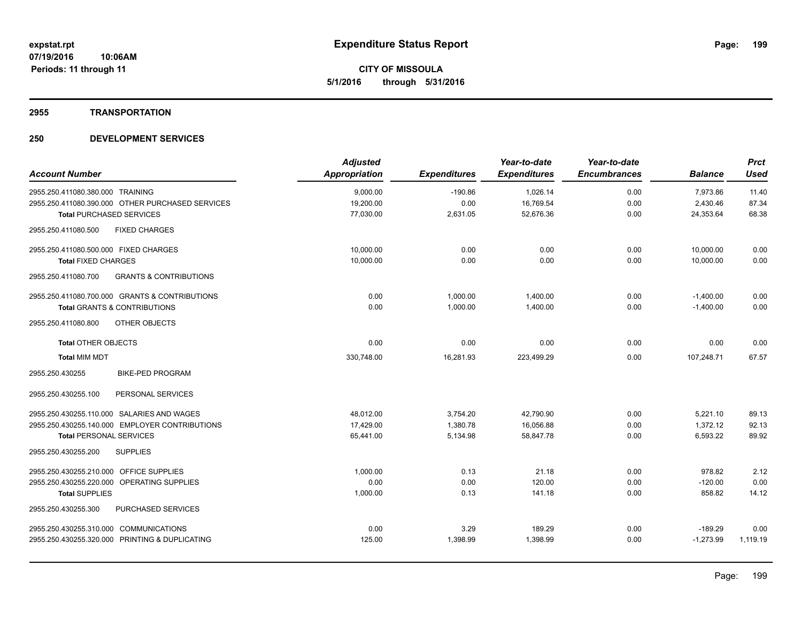# **2955 TRANSPORTATION**

| <b>Account Number</b>                                    | <b>Adjusted</b><br>Appropriation | <b>Expenditures</b> | Year-to-date<br><b>Expenditures</b> | Year-to-date<br><b>Encumbrances</b> | <b>Balance</b> | <b>Prct</b><br><b>Used</b> |
|----------------------------------------------------------|----------------------------------|---------------------|-------------------------------------|-------------------------------------|----------------|----------------------------|
| 2955.250.411080.380.000 TRAINING                         | 9,000.00                         | $-190.86$           | 1,026.14                            | 0.00                                | 7,973.86       | 11.40                      |
| 2955.250.411080.390.000 OTHER PURCHASED SERVICES         | 19,200.00                        | 0.00                | 16,769.54                           | 0.00                                | 2,430.46       | 87.34                      |
| <b>Total PURCHASED SERVICES</b>                          | 77,030.00                        | 2,631.05            | 52,676.36                           | 0.00                                | 24,353.64      | 68.38                      |
| <b>FIXED CHARGES</b><br>2955.250.411080.500              |                                  |                     |                                     |                                     |                |                            |
| 2955.250.411080.500.000 FIXED CHARGES                    | 10,000.00                        | 0.00                | 0.00                                | 0.00                                | 10,000.00      | 0.00                       |
| <b>Total FIXED CHARGES</b>                               | 10,000.00                        | 0.00                | 0.00                                | 0.00                                | 10.000.00      | 0.00                       |
| <b>GRANTS &amp; CONTRIBUTIONS</b><br>2955.250.411080.700 |                                  |                     |                                     |                                     |                |                            |
| 2955.250.411080.700.000 GRANTS & CONTRIBUTIONS           | 0.00                             | 1,000.00            | 1,400.00                            | 0.00                                | $-1,400.00$    | 0.00                       |
| <b>Total GRANTS &amp; CONTRIBUTIONS</b>                  | 0.00                             | 1,000.00            | 1,400.00                            | 0.00                                | $-1,400.00$    | 0.00                       |
| 2955.250.411080.800<br>OTHER OBJECTS                     |                                  |                     |                                     |                                     |                |                            |
| <b>Total OTHER OBJECTS</b>                               | 0.00                             | 0.00                | 0.00                                | 0.00                                | 0.00           | 0.00                       |
| <b>Total MIM MDT</b>                                     | 330,748.00                       | 16,281.93           | 223,499.29                          | 0.00                                | 107,248.71     | 67.57                      |
| <b>BIKE-PED PROGRAM</b><br>2955.250.430255               |                                  |                     |                                     |                                     |                |                            |
| PERSONAL SERVICES<br>2955.250.430255.100                 |                                  |                     |                                     |                                     |                |                            |
| 2955.250.430255.110.000 SALARIES AND WAGES               | 48,012.00                        | 3,754.20            | 42,790.90                           | 0.00                                | 5,221.10       | 89.13                      |
| 2955.250.430255.140.000 EMPLOYER CONTRIBUTIONS           | 17,429.00                        | 1,380.78            | 16,056.88                           | 0.00                                | 1,372.12       | 92.13                      |
| <b>Total PERSONAL SERVICES</b>                           | 65,441.00                        | 5,134.98            | 58,847.78                           | 0.00                                | 6,593.22       | 89.92                      |
| 2955.250.430255.200<br><b>SUPPLIES</b>                   |                                  |                     |                                     |                                     |                |                            |
| 2955.250.430255.210.000 OFFICE SUPPLIES                  | 1.000.00                         | 0.13                | 21.18                               | 0.00                                | 978.82         | 2.12                       |
| 2955.250.430255.220.000 OPERATING SUPPLIES               | 0.00                             | 0.00                | 120.00                              | 0.00                                | $-120.00$      | 0.00                       |
| <b>Total SUPPLIES</b>                                    | 1,000.00                         | 0.13                | 141.18                              | 0.00                                | 858.82         | 14.12                      |
| PURCHASED SERVICES<br>2955.250.430255.300                |                                  |                     |                                     |                                     |                |                            |
| 2955.250.430255.310.000 COMMUNICATIONS                   | 0.00                             | 3.29                | 189.29                              | 0.00                                | $-189.29$      | 0.00                       |
| 2955.250.430255.320.000 PRINTING & DUPLICATING           | 125.00                           | 1,398.99            | 1,398.99                            | 0.00                                | $-1,273.99$    | 1,119.19                   |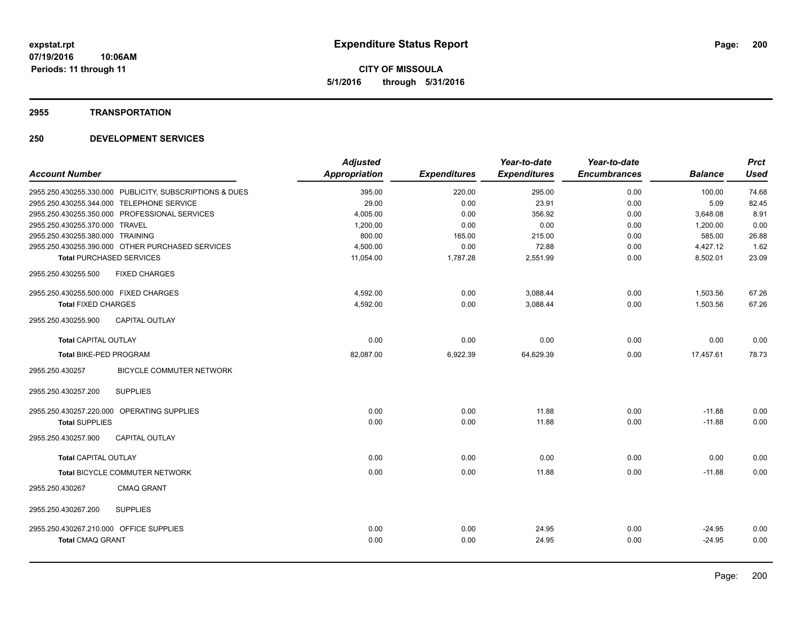**Periods: 11 through 11**

**CITY OF MISSOULA 5/1/2016 through 5/31/2016**

## **2955 TRANSPORTATION**

|                                         |                                                         | <b>Adjusted</b>      |                     | Year-to-date        | Year-to-date        |                | <b>Prct</b> |
|-----------------------------------------|---------------------------------------------------------|----------------------|---------------------|---------------------|---------------------|----------------|-------------|
| <b>Account Number</b>                   |                                                         | <b>Appropriation</b> | <b>Expenditures</b> | <b>Expenditures</b> | <b>Encumbrances</b> | <b>Balance</b> | <b>Used</b> |
|                                         | 2955.250.430255.330.000 PUBLICITY, SUBSCRIPTIONS & DUES | 395.00               | 220.00              | 295.00              | 0.00                | 100.00         | 74.68       |
|                                         | 2955.250.430255.344.000 TELEPHONE SERVICE               | 29.00                | 0.00                | 23.91               | 0.00                | 5.09           | 82.45       |
|                                         | 2955.250.430255.350.000 PROFESSIONAL SERVICES           | 4,005.00             | 0.00                | 356.92              | 0.00                | 3,648.08       | 8.91        |
| 2955.250.430255.370.000 TRAVEL          |                                                         | 1,200.00             | 0.00                | 0.00                | 0.00                | 1,200.00       | 0.00        |
| 2955.250.430255.380.000 TRAINING        |                                                         | 800.00               | 165.00              | 215.00              | 0.00                | 585.00         | 26.88       |
|                                         | 2955.250.430255.390.000 OTHER PURCHASED SERVICES        | 4,500.00             | 0.00                | 72.88               | 0.00                | 4,427.12       | 1.62        |
| <b>Total PURCHASED SERVICES</b>         |                                                         | 11,054.00            | 1,787.28            | 2,551.99            | 0.00                | 8,502.01       | 23.09       |
| 2955.250.430255.500                     | <b>FIXED CHARGES</b>                                    |                      |                     |                     |                     |                |             |
| 2955.250.430255.500.000 FIXED CHARGES   |                                                         | 4,592.00             | 0.00                | 3,088.44            | 0.00                | 1,503.56       | 67.26       |
| <b>Total FIXED CHARGES</b>              |                                                         | 4,592.00             | 0.00                | 3,088.44            | 0.00                | 1,503.56       | 67.26       |
| 2955.250.430255.900                     | <b>CAPITAL OUTLAY</b>                                   |                      |                     |                     |                     |                |             |
| <b>Total CAPITAL OUTLAY</b>             |                                                         | 0.00                 | 0.00                | 0.00                | 0.00                | 0.00           | 0.00        |
| Total BIKE-PED PROGRAM                  |                                                         | 82,087.00            | 6,922.39            | 64,629.39           | 0.00                | 17,457.61      | 78.73       |
| 2955.250.430257                         | BICYCLE COMMUTER NETWORK                                |                      |                     |                     |                     |                |             |
| 2955.250.430257.200                     | <b>SUPPLIES</b>                                         |                      |                     |                     |                     |                |             |
|                                         | 2955.250.430257.220.000 OPERATING SUPPLIES              | 0.00                 | 0.00                | 11.88               | 0.00                | $-11.88$       | 0.00        |
| <b>Total SUPPLIES</b>                   |                                                         | 0.00                 | 0.00                | 11.88               | 0.00                | $-11.88$       | 0.00        |
| 2955.250.430257.900                     | <b>CAPITAL OUTLAY</b>                                   |                      |                     |                     |                     |                |             |
| <b>Total CAPITAL OUTLAY</b>             |                                                         | 0.00                 | 0.00                | 0.00                | 0.00                | 0.00           | 0.00        |
|                                         | Total BICYCLE COMMUTER NETWORK                          | 0.00                 | 0.00                | 11.88               | 0.00                | $-11.88$       | 0.00        |
| 2955.250.430267                         | <b>CMAQ GRANT</b>                                       |                      |                     |                     |                     |                |             |
| 2955.250.430267.200                     | <b>SUPPLIES</b>                                         |                      |                     |                     |                     |                |             |
| 2955.250.430267.210.000 OFFICE SUPPLIES |                                                         | 0.00                 | 0.00                | 24.95               | 0.00                | $-24.95$       | 0.00        |
| <b>Total CMAQ GRANT</b>                 |                                                         | 0.00                 | 0.00                | 24.95               | 0.00                | $-24.95$       | 0.00        |
|                                         |                                                         |                      |                     |                     |                     |                |             |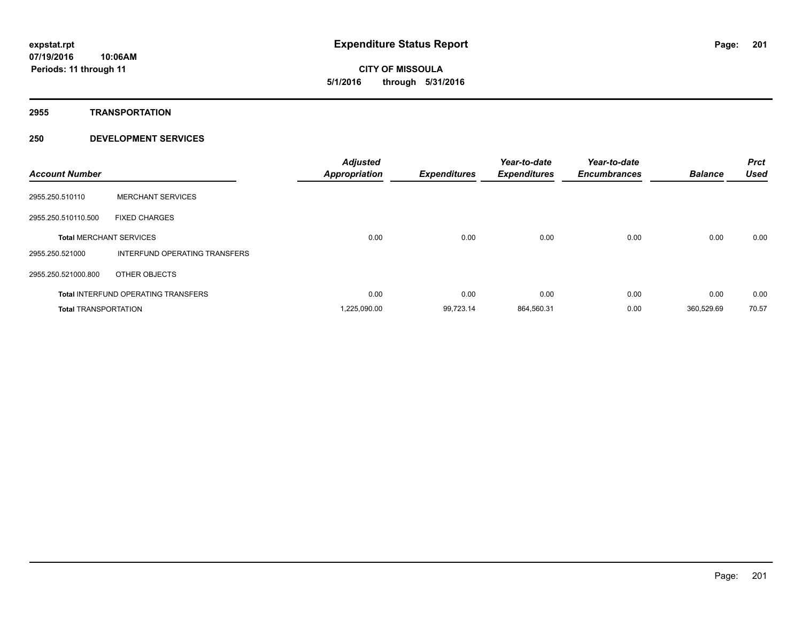**CITY OF MISSOULA 5/1/2016 through 5/31/2016**

**2955 TRANSPORTATION**

| <b>Account Number</b>       |                                            | <b>Adjusted</b><br>Appropriation | <b>Expenditures</b> | Year-to-date<br><b>Expenditures</b> | Year-to-date<br><b>Encumbrances</b> | <b>Balance</b> | <b>Prct</b><br><b>Used</b> |
|-----------------------------|--------------------------------------------|----------------------------------|---------------------|-------------------------------------|-------------------------------------|----------------|----------------------------|
| 2955.250.510110             | <b>MERCHANT SERVICES</b>                   |                                  |                     |                                     |                                     |                |                            |
| 2955.250.510110.500         | <b>FIXED CHARGES</b>                       |                                  |                     |                                     |                                     |                |                            |
|                             | <b>Total MERCHANT SERVICES</b>             | 0.00                             | 0.00                | 0.00                                | 0.00                                | 0.00           | 0.00                       |
| 2955.250.521000             | INTERFUND OPERATING TRANSFERS              |                                  |                     |                                     |                                     |                |                            |
| 2955.250.521000.800         | OTHER OBJECTS                              |                                  |                     |                                     |                                     |                |                            |
|                             | <b>Total INTERFUND OPERATING TRANSFERS</b> | 0.00                             | 0.00                | 0.00                                | 0.00                                | 0.00           | 0.00                       |
| <b>Total TRANSPORTATION</b> |                                            | 1,225,090.00                     | 99,723.14           | 864,560.31                          | 0.00                                | 360.529.69     | 70.57                      |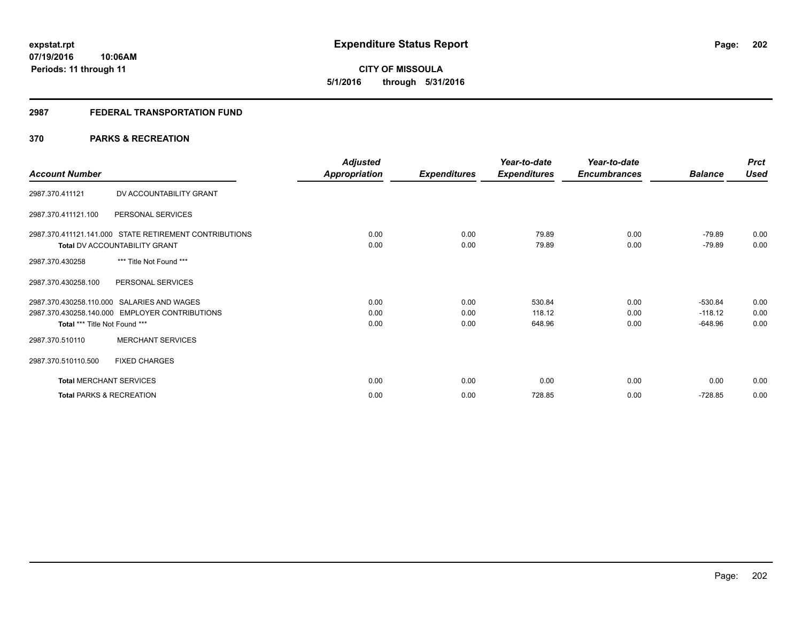# **CITY OF MISSOULA 5/1/2016 through 5/31/2016**

# **2987 FEDERAL TRANSPORTATION FUND**

# **370 PARKS & RECREATION**

| <b>Account Number</b>                                                                                                         |                          | <b>Adjusted</b><br>Appropriation | <b>Expenditures</b>  | Year-to-date<br><b>Expenditures</b> | Year-to-date<br><b>Encumbrances</b> | <b>Balance</b>                      | <b>Prct</b><br><b>Used</b> |
|-------------------------------------------------------------------------------------------------------------------------------|--------------------------|----------------------------------|----------------------|-------------------------------------|-------------------------------------|-------------------------------------|----------------------------|
| 2987.370.411121                                                                                                               | DV ACCOUNTABILITY GRANT  |                                  |                      |                                     |                                     |                                     |                            |
| 2987.370.411121.100                                                                                                           | PERSONAL SERVICES        |                                  |                      |                                     |                                     |                                     |                            |
| 2987.370.411121.141.000 STATE RETIREMENT CONTRIBUTIONS<br>Total DV ACCOUNTABILITY GRANT                                       |                          | 0.00<br>0.00                     | 0.00<br>0.00         | 79.89<br>79.89                      | 0.00<br>0.00                        | $-79.89$<br>$-79.89$                | 0.00<br>0.00               |
| 2987.370.430258                                                                                                               | *** Title Not Found ***  |                                  |                      |                                     |                                     |                                     |                            |
| 2987.370.430258.100                                                                                                           | PERSONAL SERVICES        |                                  |                      |                                     |                                     |                                     |                            |
| 2987.370.430258.110.000 SALARIES AND WAGES<br>2987.370.430258.140.000 EMPLOYER CONTRIBUTIONS<br>Total *** Title Not Found *** |                          | 0.00<br>0.00<br>0.00             | 0.00<br>0.00<br>0.00 | 530.84<br>118.12<br>648.96          | 0.00<br>0.00<br>0.00                | $-530.84$<br>$-118.12$<br>$-648.96$ | 0.00<br>0.00<br>0.00       |
| 2987.370.510110                                                                                                               | <b>MERCHANT SERVICES</b> |                                  |                      |                                     |                                     |                                     |                            |
| 2987.370.510110.500<br><b>FIXED CHARGES</b>                                                                                   |                          |                                  |                      |                                     |                                     |                                     |                            |
| <b>Total MERCHANT SERVICES</b>                                                                                                |                          | 0.00                             | 0.00                 | 0.00                                | 0.00                                | 0.00                                | 0.00                       |
| <b>Total PARKS &amp; RECREATION</b>                                                                                           |                          | 0.00                             | 0.00                 | 728.85                              | 0.00                                | $-728.85$                           | 0.00                       |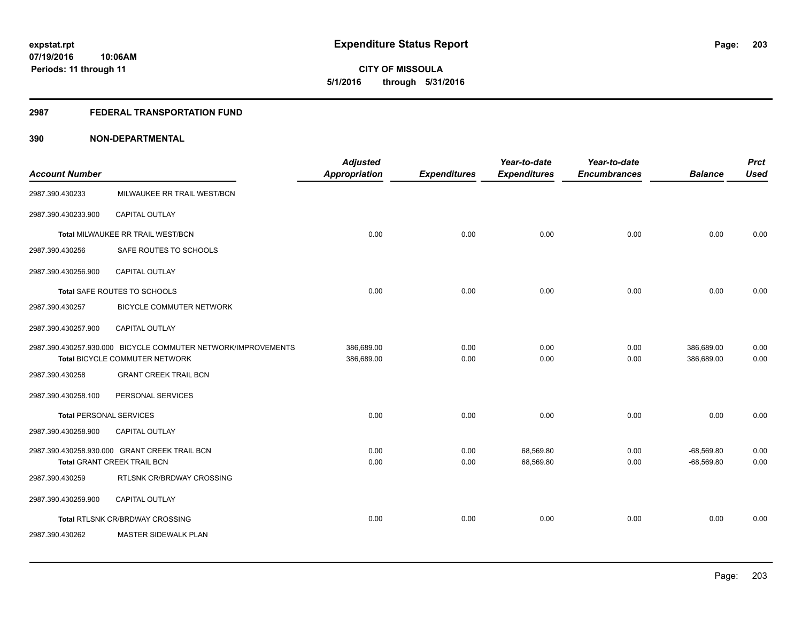**203**

**07/19/2016 10:06AM Periods: 11 through 11**

**CITY OF MISSOULA 5/1/2016 through 5/31/2016**

## **2987 FEDERAL TRANSPORTATION FUND**

| <b>Account Number</b>          |                                                                                                 | <b>Adjusted</b><br><b>Appropriation</b> | <b>Expenditures</b> | Year-to-date<br><b>Expenditures</b> | Year-to-date<br><b>Encumbrances</b> | <b>Balance</b>               | <b>Prct</b><br><b>Used</b> |
|--------------------------------|-------------------------------------------------------------------------------------------------|-----------------------------------------|---------------------|-------------------------------------|-------------------------------------|------------------------------|----------------------------|
| 2987.390.430233                | MILWAUKEE RR TRAIL WEST/BCN                                                                     |                                         |                     |                                     |                                     |                              |                            |
| 2987.390.430233.900            | CAPITAL OUTLAY                                                                                  |                                         |                     |                                     |                                     |                              |                            |
|                                | Total MILWAUKEE RR TRAIL WEST/BCN                                                               | 0.00                                    | 0.00                | 0.00                                | 0.00                                | 0.00                         | 0.00                       |
| 2987.390.430256                | SAFE ROUTES TO SCHOOLS                                                                          |                                         |                     |                                     |                                     |                              |                            |
| 2987.390.430256.900            | CAPITAL OUTLAY                                                                                  |                                         |                     |                                     |                                     |                              |                            |
|                                | Total SAFE ROUTES TO SCHOOLS                                                                    | 0.00                                    | 0.00                | 0.00                                | 0.00                                | 0.00                         | 0.00                       |
| 2987.390.430257                | <b>BICYCLE COMMUTER NETWORK</b>                                                                 |                                         |                     |                                     |                                     |                              |                            |
| 2987.390.430257.900            | <b>CAPITAL OUTLAY</b>                                                                           |                                         |                     |                                     |                                     |                              |                            |
|                                | 2987.390.430257.930.000 BICYCLE COMMUTER NETWORK/IMPROVEMENTS<br>Total BICYCLE COMMUTER NETWORK | 386,689.00<br>386,689.00                | 0.00<br>0.00        | 0.00<br>0.00                        | 0.00<br>0.00                        | 386,689.00<br>386,689.00     | 0.00<br>0.00               |
| 2987.390.430258                | <b>GRANT CREEK TRAIL BCN</b>                                                                    |                                         |                     |                                     |                                     |                              |                            |
| 2987.390.430258.100            | PERSONAL SERVICES                                                                               |                                         |                     |                                     |                                     |                              |                            |
| <b>Total PERSONAL SERVICES</b> |                                                                                                 | 0.00                                    | 0.00                | 0.00                                | 0.00                                | 0.00                         | 0.00                       |
| 2987.390.430258.900            | CAPITAL OUTLAY                                                                                  |                                         |                     |                                     |                                     |                              |                            |
|                                | 2987.390.430258.930.000 GRANT CREEK TRAIL BCN<br>Total GRANT CREEK TRAIL BCN                    | 0.00<br>0.00                            | 0.00<br>0.00        | 68,569.80<br>68,569.80              | 0.00<br>0.00                        | $-68,569.80$<br>$-68,569.80$ | 0.00<br>0.00               |
| 2987.390.430259                | RTLSNK CR/BRDWAY CROSSING                                                                       |                                         |                     |                                     |                                     |                              |                            |
| 2987.390.430259.900            | <b>CAPITAL OUTLAY</b>                                                                           |                                         |                     |                                     |                                     |                              |                            |
|                                | Total RTLSNK CR/BRDWAY CROSSING                                                                 | 0.00                                    | 0.00                | 0.00                                | 0.00                                | 0.00                         | 0.00                       |
| 2987.390.430262                | MASTER SIDEWALK PLAN                                                                            |                                         |                     |                                     |                                     |                              |                            |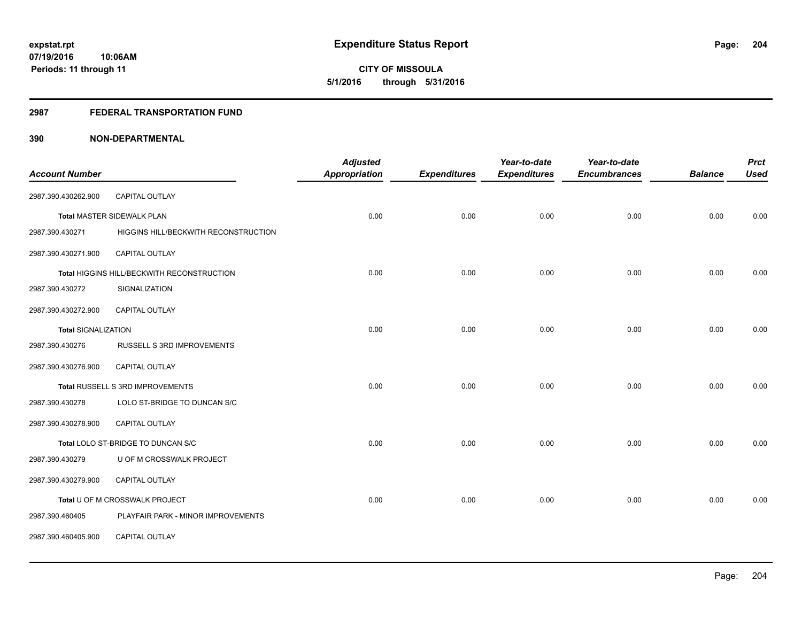**204**

**07/19/2016 10:06AM Periods: 11 through 11**

**CITY OF MISSOULA 5/1/2016 through 5/31/2016**

## **2987 FEDERAL TRANSPORTATION FUND**

|                            |                                            | <b>Adjusted</b>      |                     | Year-to-date        | Year-to-date        |                | <b>Prct</b> |
|----------------------------|--------------------------------------------|----------------------|---------------------|---------------------|---------------------|----------------|-------------|
| <b>Account Number</b>      |                                            | <b>Appropriation</b> | <b>Expenditures</b> | <b>Expenditures</b> | <b>Encumbrances</b> | <b>Balance</b> | <b>Used</b> |
| 2987.390.430262.900        | <b>CAPITAL OUTLAY</b>                      |                      |                     |                     |                     |                |             |
|                            | <b>Total MASTER SIDEWALK PLAN</b>          | 0.00                 | 0.00                | 0.00                | 0.00                | 0.00           | 0.00        |
| 2987.390.430271            | HIGGINS HILL/BECKWITH RECONSTRUCTION       |                      |                     |                     |                     |                |             |
| 2987.390.430271.900        | CAPITAL OUTLAY                             |                      |                     |                     |                     |                |             |
|                            | Total HIGGINS HILL/BECKWITH RECONSTRUCTION | 0.00                 | 0.00                | 0.00                | 0.00                | 0.00           | 0.00        |
| 2987.390.430272            | SIGNALIZATION                              |                      |                     |                     |                     |                |             |
| 2987.390.430272.900        | <b>CAPITAL OUTLAY</b>                      |                      |                     |                     |                     |                |             |
| <b>Total SIGNALIZATION</b> |                                            | 0.00                 | 0.00                | 0.00                | 0.00                | 0.00           | 0.00        |
| 2987.390.430276            | RUSSELL S 3RD IMPROVEMENTS                 |                      |                     |                     |                     |                |             |
| 2987.390.430276.900        | CAPITAL OUTLAY                             |                      |                     |                     |                     |                |             |
|                            | Total RUSSELL S 3RD IMPROVEMENTS           | 0.00                 | 0.00                | 0.00                | 0.00                | 0.00           | 0.00        |
| 2987.390.430278            | LOLO ST-BRIDGE TO DUNCAN S/C               |                      |                     |                     |                     |                |             |
| 2987.390.430278.900        | <b>CAPITAL OUTLAY</b>                      |                      |                     |                     |                     |                |             |
|                            | Total LOLO ST-BRIDGE TO DUNCAN S/C         | 0.00                 | 0.00                | 0.00                | 0.00                | 0.00           | 0.00        |
| 2987.390.430279            | U OF M CROSSWALK PROJECT                   |                      |                     |                     |                     |                |             |
| 2987.390.430279.900        | CAPITAL OUTLAY                             |                      |                     |                     |                     |                |             |
|                            | Total U OF M CROSSWALK PROJECT             | 0.00                 | 0.00                | 0.00                | 0.00                | 0.00           | 0.00        |
| 2987.390.460405            | PLAYFAIR PARK - MINOR IMPROVEMENTS         |                      |                     |                     |                     |                |             |
| 2987.390.460405.900        | CAPITAL OUTLAY                             |                      |                     |                     |                     |                |             |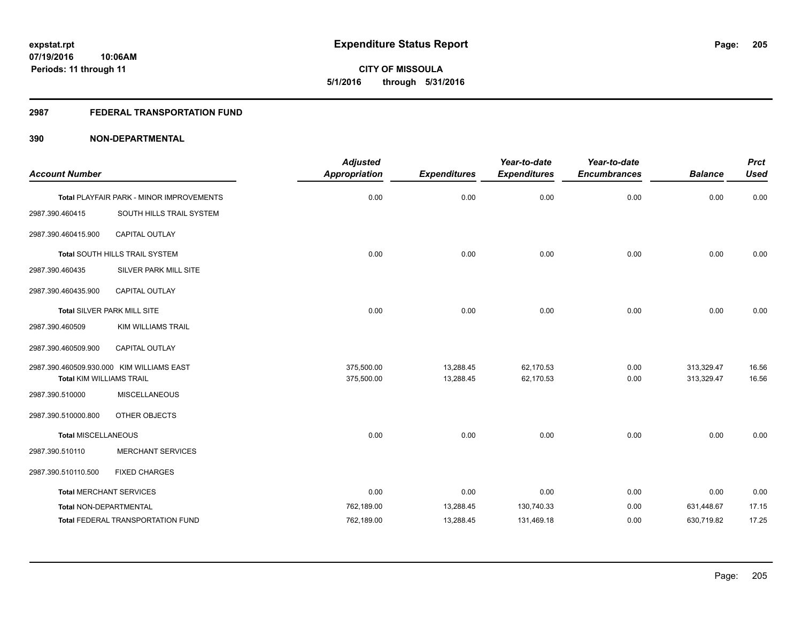# **2987 FEDERAL TRANSPORTATION FUND**

| <b>Account Number</b>           |                                           | <b>Adjusted</b><br><b>Appropriation</b> | <b>Expenditures</b> | Year-to-date<br><b>Expenditures</b> | Year-to-date<br><b>Encumbrances</b> | <b>Balance</b> | <b>Prct</b><br><b>Used</b> |
|---------------------------------|-------------------------------------------|-----------------------------------------|---------------------|-------------------------------------|-------------------------------------|----------------|----------------------------|
|                                 | Total PLAYFAIR PARK - MINOR IMPROVEMENTS  | 0.00                                    | 0.00                | 0.00                                | 0.00                                | 0.00           | 0.00                       |
| 2987.390.460415                 | SOUTH HILLS TRAIL SYSTEM                  |                                         |                     |                                     |                                     |                |                            |
| 2987.390.460415.900             | CAPITAL OUTLAY                            |                                         |                     |                                     |                                     |                |                            |
|                                 | Total SOUTH HILLS TRAIL SYSTEM            | 0.00                                    | 0.00                | 0.00                                | 0.00                                | 0.00           | 0.00                       |
| 2987.390.460435                 | SILVER PARK MILL SITE                     |                                         |                     |                                     |                                     |                |                            |
| 2987.390.460435.900             | CAPITAL OUTLAY                            |                                         |                     |                                     |                                     |                |                            |
|                                 | Total SILVER PARK MILL SITE               | 0.00                                    | 0.00                | 0.00                                | 0.00                                | 0.00           | 0.00                       |
| 2987.390.460509                 | <b>KIM WILLIAMS TRAIL</b>                 |                                         |                     |                                     |                                     |                |                            |
| 2987.390.460509.900             | CAPITAL OUTLAY                            |                                         |                     |                                     |                                     |                |                            |
|                                 | 2987.390.460509.930.000 KIM WILLIAMS EAST | 375,500.00                              | 13,288.45           | 62,170.53                           | 0.00                                | 313,329.47     | 16.56                      |
| <b>Total KIM WILLIAMS TRAIL</b> |                                           | 375,500.00                              | 13,288.45           | 62.170.53                           | 0.00                                | 313,329.47     | 16.56                      |
| 2987.390.510000                 | <b>MISCELLANEOUS</b>                      |                                         |                     |                                     |                                     |                |                            |
| 2987.390.510000.800             | OTHER OBJECTS                             |                                         |                     |                                     |                                     |                |                            |
| <b>Total MISCELLANEOUS</b>      |                                           | 0.00                                    | 0.00                | 0.00                                | 0.00                                | 0.00           | 0.00                       |
| 2987.390.510110                 | <b>MERCHANT SERVICES</b>                  |                                         |                     |                                     |                                     |                |                            |
| 2987.390.510110.500             | <b>FIXED CHARGES</b>                      |                                         |                     |                                     |                                     |                |                            |
| <b>Total MERCHANT SERVICES</b>  |                                           | 0.00                                    | 0.00                | 0.00                                | 0.00                                | 0.00           | 0.00                       |
| Total NON-DEPARTMENTAL          |                                           | 762,189.00                              | 13,288.45           | 130,740.33                          | 0.00                                | 631,448.67     | 17.15                      |
|                                 | <b>Total FEDERAL TRANSPORTATION FUND</b>  | 762,189.00                              | 13,288.45           | 131,469.18                          | 0.00                                | 630,719.82     | 17.25                      |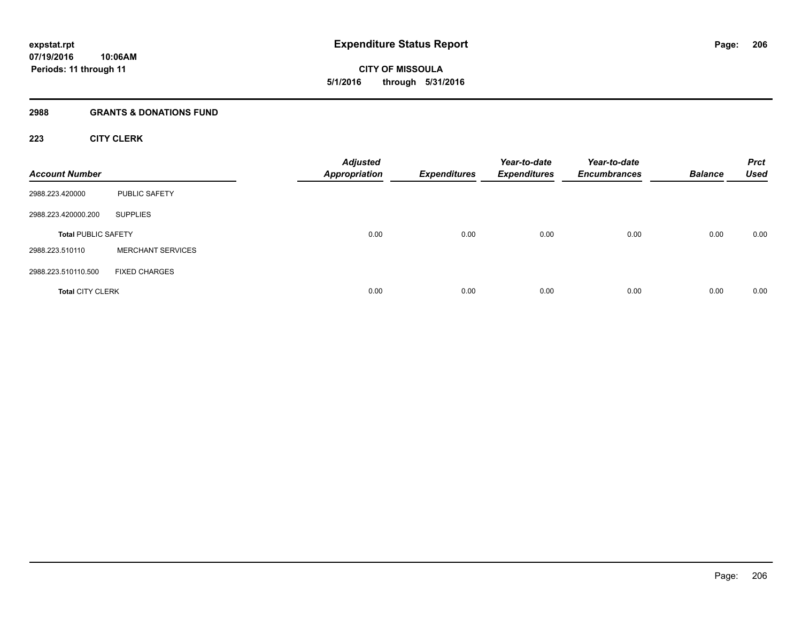**CITY OF MISSOULA 5/1/2016 through 5/31/2016**

## **2988 GRANTS & DONATIONS FUND**

# **223 CITY CLERK**

| <b>Account Number</b>      |                          | <b>Adjusted</b><br><b>Appropriation</b> | <b>Expenditures</b> | Year-to-date<br><b>Expenditures</b> | Year-to-date<br><b>Encumbrances</b> | <b>Balance</b> | <b>Prct</b><br><b>Used</b> |
|----------------------------|--------------------------|-----------------------------------------|---------------------|-------------------------------------|-------------------------------------|----------------|----------------------------|
| 2988.223.420000            | <b>PUBLIC SAFETY</b>     |                                         |                     |                                     |                                     |                |                            |
| 2988.223.420000.200        | <b>SUPPLIES</b>          |                                         |                     |                                     |                                     |                |                            |
| <b>Total PUBLIC SAFETY</b> |                          | 0.00                                    | 0.00                | 0.00                                | 0.00                                | 0.00           | 0.00                       |
| 2988.223.510110            | <b>MERCHANT SERVICES</b> |                                         |                     |                                     |                                     |                |                            |
| 2988.223.510110.500        | <b>FIXED CHARGES</b>     |                                         |                     |                                     |                                     |                |                            |
| <b>Total CITY CLERK</b>    |                          | 0.00                                    | 0.00                | 0.00                                | 0.00                                | 0.00           | 0.00                       |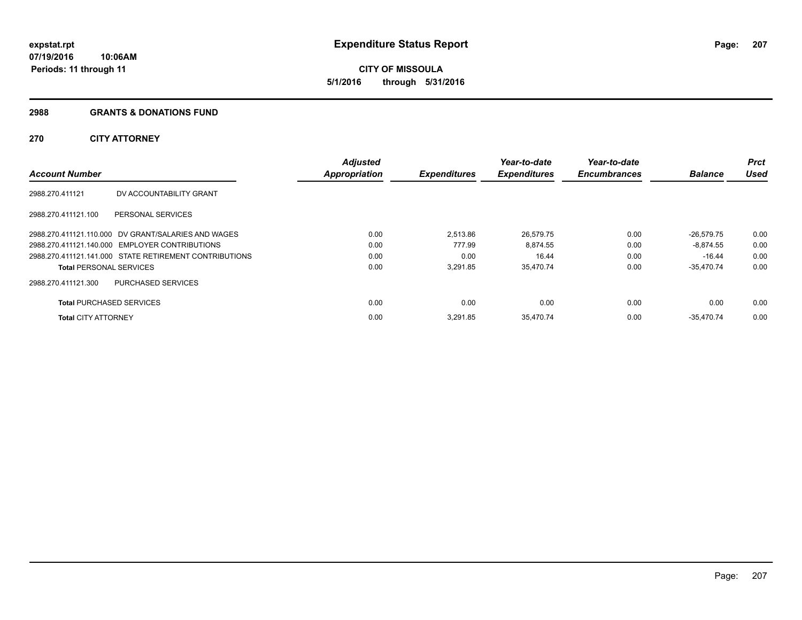## **2988 GRANTS & DONATIONS FUND**

# **270 CITY ATTORNEY**

|                                 |                                                        | <b>Adjusted</b>      |                     | Year-to-date        | Year-to-date        |                | <b>Prct</b> |
|---------------------------------|--------------------------------------------------------|----------------------|---------------------|---------------------|---------------------|----------------|-------------|
| <b>Account Number</b>           |                                                        | <b>Appropriation</b> | <b>Expenditures</b> | <b>Expenditures</b> | <b>Encumbrances</b> | <b>Balance</b> | <b>Used</b> |
| 2988.270.411121                 | DV ACCOUNTABILITY GRANT                                |                      |                     |                     |                     |                |             |
| 2988.270.411121.100             | <b>PERSONAL SERVICES</b>                               |                      |                     |                     |                     |                |             |
|                                 | 2988.270.411121.110.000 DV GRANT/SALARIES AND WAGES    | 0.00                 | 2.513.86            | 26,579.75           | 0.00                | $-26.579.75$   | 0.00        |
|                                 | 2988.270.411121.140.000 EMPLOYER CONTRIBUTIONS         | 0.00                 | 777.99              | 8,874.55            | 0.00                | $-8.874.55$    | 0.00        |
|                                 | 2988.270.411121.141.000 STATE RETIREMENT CONTRIBUTIONS | 0.00                 | 0.00                | 16.44               | 0.00                | -16.44         | 0.00        |
| <b>Total PERSONAL SERVICES</b>  |                                                        | 0.00                 | 3,291.85            | 35,470.74           | 0.00                | $-35,470.74$   | 0.00        |
| 2988.270.411121.300             | PURCHASED SERVICES                                     |                      |                     |                     |                     |                |             |
| <b>Total PURCHASED SERVICES</b> |                                                        | 0.00                 | 0.00                | 0.00                | 0.00                | 0.00           | 0.00        |
| <b>Total CITY ATTORNEY</b>      |                                                        | 0.00                 | 3.291.85            | 35,470.74           | 0.00                | $-35.470.74$   | 0.00        |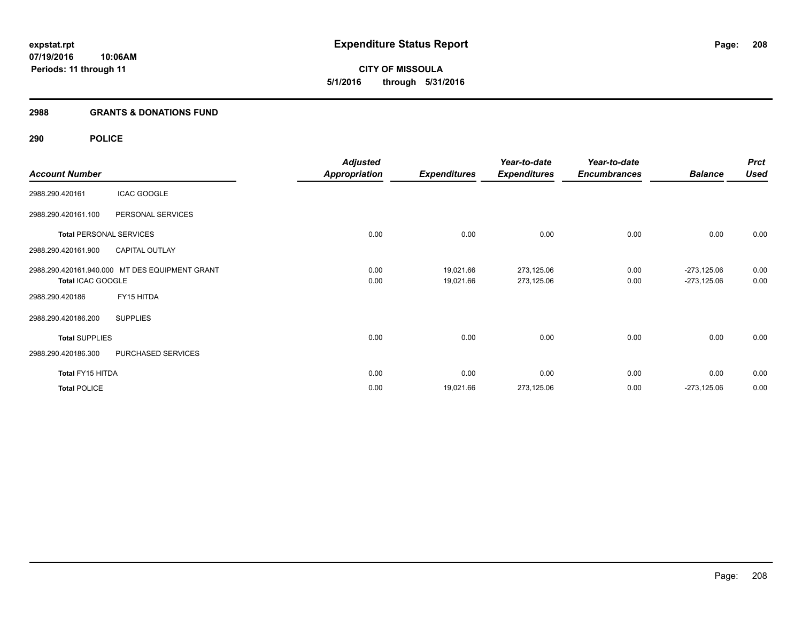**CITY OF MISSOULA 5/1/2016 through 5/31/2016**

# **2988 GRANTS & DONATIONS FUND**

# **290 POLICE**

|                       |                                                | <b>Adjusted</b>      |                     | Year-to-date        | Year-to-date        |                | <b>Prct</b> |
|-----------------------|------------------------------------------------|----------------------|---------------------|---------------------|---------------------|----------------|-------------|
| <b>Account Number</b> |                                                | <b>Appropriation</b> | <b>Expenditures</b> | <b>Expenditures</b> | <b>Encumbrances</b> | <b>Balance</b> | <b>Used</b> |
| 2988.290.420161       | <b>ICAC GOOGLE</b>                             |                      |                     |                     |                     |                |             |
| 2988.290.420161.100   | PERSONAL SERVICES                              |                      |                     |                     |                     |                |             |
|                       | <b>Total PERSONAL SERVICES</b>                 | 0.00                 | 0.00                | 0.00                | 0.00                | 0.00           | 0.00        |
| 2988.290.420161.900   | <b>CAPITAL OUTLAY</b>                          |                      |                     |                     |                     |                |             |
|                       | 2988.290.420161.940.000 MT DES EQUIPMENT GRANT | 0.00                 | 19,021.66           | 273,125.06          | 0.00                | $-273,125.06$  | 0.00        |
| Total ICAC GOOGLE     |                                                | 0.00                 | 19,021.66           | 273,125.06          | 0.00                | $-273,125.06$  | 0.00        |
| 2988.290.420186       | FY15 HITDA                                     |                      |                     |                     |                     |                |             |
| 2988.290.420186.200   | <b>SUPPLIES</b>                                |                      |                     |                     |                     |                |             |
| <b>Total SUPPLIES</b> |                                                | 0.00                 | 0.00                | 0.00                | 0.00                | 0.00           | 0.00        |
| 2988.290.420186.300   | PURCHASED SERVICES                             |                      |                     |                     |                     |                |             |
| Total FY15 HITDA      |                                                | 0.00                 | 0.00                | 0.00                | 0.00                | 0.00           | 0.00        |
| <b>Total POLICE</b>   |                                                | 0.00                 | 19,021.66           | 273,125.06          | 0.00                | $-273,125.06$  | 0.00        |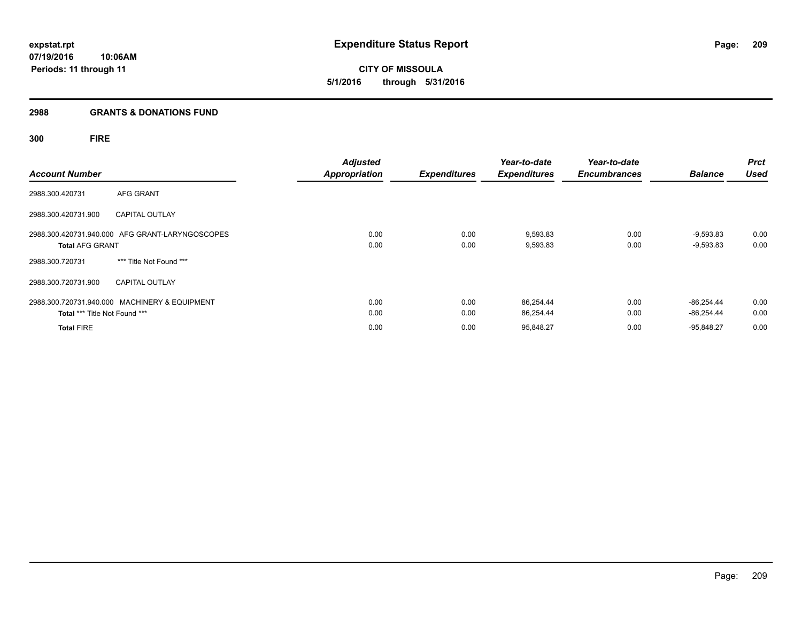# **2988 GRANTS & DONATIONS FUND**

# **300 FIRE**

| <b>Account Number</b>         |                                                 | <b>Adjusted</b><br><b>Appropriation</b> | <b>Expenditures</b> | Year-to-date<br><b>Expenditures</b> | Year-to-date<br><b>Encumbrances</b> | <b>Balance</b> | <b>Prct</b><br><b>Used</b> |
|-------------------------------|-------------------------------------------------|-----------------------------------------|---------------------|-------------------------------------|-------------------------------------|----------------|----------------------------|
|                               |                                                 |                                         |                     |                                     |                                     |                |                            |
| 2988.300.420731               | AFG GRANT                                       |                                         |                     |                                     |                                     |                |                            |
| 2988.300.420731.900           | <b>CAPITAL OUTLAY</b>                           |                                         |                     |                                     |                                     |                |                            |
|                               | 2988.300.420731.940.000 AFG GRANT-LARYNGOSCOPES | 0.00                                    | 0.00                | 9,593.83                            | 0.00                                | $-9,593.83$    | 0.00                       |
| <b>Total AFG GRANT</b>        |                                                 | 0.00                                    | 0.00                | 9,593.83                            | 0.00                                | $-9,593.83$    | 0.00                       |
| 2988.300.720731               | *** Title Not Found ***                         |                                         |                     |                                     |                                     |                |                            |
| 2988.300.720731.900           | <b>CAPITAL OUTLAY</b>                           |                                         |                     |                                     |                                     |                |                            |
|                               | 2988.300.720731.940.000 MACHINERY & EQUIPMENT   | 0.00                                    | 0.00                | 86,254.44                           | 0.00                                | $-86.254.44$   | 0.00                       |
| Total *** Title Not Found *** |                                                 | 0.00                                    | 0.00                | 86,254.44                           | 0.00                                | $-86.254.44$   | 0.00                       |
| <b>Total FIRE</b>             |                                                 | 0.00                                    | 0.00                | 95,848.27                           | 0.00                                | $-95.848.27$   | 0.00                       |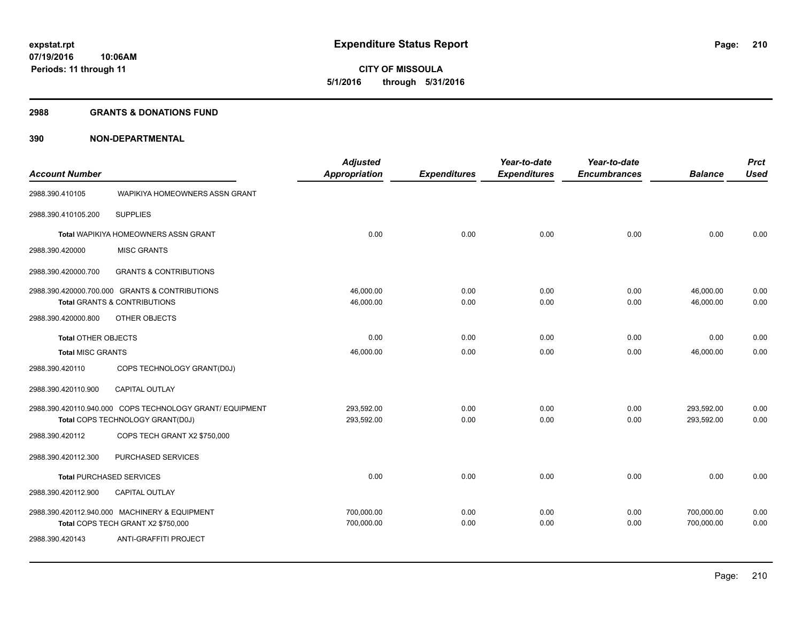**210**

**07/19/2016 10:06AM Periods: 11 through 11**

**CITY OF MISSOULA 5/1/2016 through 5/31/2016**

## **2988 GRANTS & DONATIONS FUND**

|                                 |                                                          | <b>Adjusted</b>      |                     | Year-to-date        | Year-to-date        |                | <b>Prct</b> |
|---------------------------------|----------------------------------------------------------|----------------------|---------------------|---------------------|---------------------|----------------|-------------|
| <b>Account Number</b>           |                                                          | <b>Appropriation</b> | <b>Expenditures</b> | <b>Expenditures</b> | <b>Encumbrances</b> | <b>Balance</b> | <b>Used</b> |
| 2988.390.410105                 | WAPIKIYA HOMEOWNERS ASSN GRANT                           |                      |                     |                     |                     |                |             |
| 2988.390.410105.200             | <b>SUPPLIES</b>                                          |                      |                     |                     |                     |                |             |
|                                 | Total WAPIKIYA HOMEOWNERS ASSN GRANT                     | 0.00                 | 0.00                | 0.00                | 0.00                | 0.00           | 0.00        |
| 2988.390.420000                 | <b>MISC GRANTS</b>                                       |                      |                     |                     |                     |                |             |
| 2988.390.420000.700             | <b>GRANTS &amp; CONTRIBUTIONS</b>                        |                      |                     |                     |                     |                |             |
|                                 | 2988.390.420000.700.000 GRANTS & CONTRIBUTIONS           | 46,000.00            | 0.00                | 0.00                | 0.00                | 46,000.00      | 0.00        |
|                                 | Total GRANTS & CONTRIBUTIONS                             | 46,000.00            | 0.00                | 0.00                | 0.00                | 46.000.00      | 0.00        |
| 2988.390.420000.800             | OTHER OBJECTS                                            |                      |                     |                     |                     |                |             |
| <b>Total OTHER OBJECTS</b>      |                                                          | 0.00                 | 0.00                | 0.00                | 0.00                | 0.00           | 0.00        |
| <b>Total MISC GRANTS</b>        |                                                          | 46,000.00            | 0.00                | 0.00                | 0.00                | 46,000.00      | 0.00        |
| 2988.390.420110                 | COPS TECHNOLOGY GRANT(D0J)                               |                      |                     |                     |                     |                |             |
| 2988.390.420110.900             | <b>CAPITAL OUTLAY</b>                                    |                      |                     |                     |                     |                |             |
|                                 | 2988.390.420110.940.000 COPS TECHNOLOGY GRANT/ EQUIPMENT | 293,592.00           | 0.00                | 0.00                | 0.00                | 293,592.00     | 0.00        |
|                                 | Total COPS TECHNOLOGY GRANT(D0J)                         | 293,592.00           | 0.00                | 0.00                | 0.00                | 293,592.00     | 0.00        |
| 2988.390.420112                 | COPS TECH GRANT X2 \$750,000                             |                      |                     |                     |                     |                |             |
| 2988.390.420112.300             | <b>PURCHASED SERVICES</b>                                |                      |                     |                     |                     |                |             |
| <b>Total PURCHASED SERVICES</b> |                                                          | 0.00                 | 0.00                | 0.00                | 0.00                | 0.00           | 0.00        |
| 2988.390.420112.900             | CAPITAL OUTLAY                                           |                      |                     |                     |                     |                |             |
|                                 | 2988.390.420112.940.000 MACHINERY & EQUIPMENT            | 700,000.00           | 0.00                | 0.00                | 0.00                | 700,000.00     | 0.00        |
|                                 | Total COPS TECH GRANT X2 \$750,000                       | 700,000.00           | 0.00                | 0.00                | 0.00                | 700,000.00     | 0.00        |
| 2988.390.420143                 | ANTI-GRAFFITI PROJECT                                    |                      |                     |                     |                     |                |             |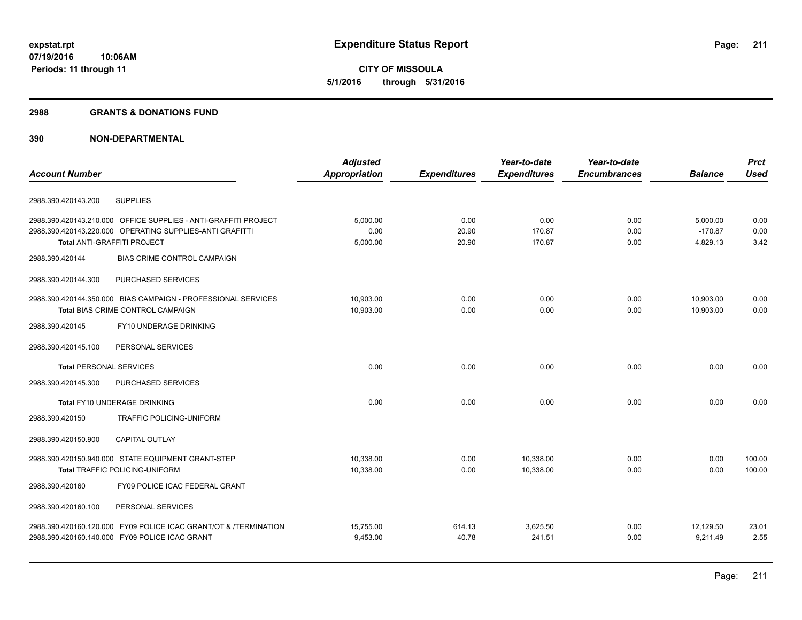## **2988 GRANTS & DONATIONS FUND**

|                                                                  | <b>Adjusted</b>      |                     | Year-to-date        | Year-to-date        |                | <b>Prct</b> |
|------------------------------------------------------------------|----------------------|---------------------|---------------------|---------------------|----------------|-------------|
| <b>Account Number</b>                                            | <b>Appropriation</b> | <b>Expenditures</b> | <b>Expenditures</b> | <b>Encumbrances</b> | <b>Balance</b> | <b>Used</b> |
| <b>SUPPLIES</b><br>2988.390.420143.200                           |                      |                     |                     |                     |                |             |
| 2988.390.420143.210.000 OFFICE SUPPLIES - ANTI-GRAFFITI PROJECT  | 5,000.00             | 0.00                | 0.00                | 0.00                | 5,000.00       | 0.00        |
| 2988.390.420143.220.000 OPERATING SUPPLIES-ANTI GRAFITTI         | 0.00                 | 20.90               | 170.87              | 0.00                | $-170.87$      | 0.00        |
| Total ANTI-GRAFFITI PROJECT                                      | 5,000.00             | 20.90               | 170.87              | 0.00                | 4,829.13       | 3.42        |
| 2988.390.420144<br><b>BIAS CRIME CONTROL CAMPAIGN</b>            |                      |                     |                     |                     |                |             |
| PURCHASED SERVICES<br>2988.390.420144.300                        |                      |                     |                     |                     |                |             |
| 2988.390.420144.350.000 BIAS CAMPAIGN - PROFESSIONAL SERVICES    | 10,903.00            | 0.00                | 0.00                | 0.00                | 10,903.00      | 0.00        |
| Total BIAS CRIME CONTROL CAMPAIGN                                | 10,903.00            | 0.00                | 0.00                | 0.00                | 10,903.00      | 0.00        |
| FY10 UNDERAGE DRINKING<br>2988.390.420145                        |                      |                     |                     |                     |                |             |
| 2988.390.420145.100<br>PERSONAL SERVICES                         |                      |                     |                     |                     |                |             |
| <b>Total PERSONAL SERVICES</b>                                   | 0.00                 | 0.00                | 0.00                | 0.00                | 0.00           | 0.00        |
| 2988.390.420145.300<br>PURCHASED SERVICES                        |                      |                     |                     |                     |                |             |
| <b>Total FY10 UNDERAGE DRINKING</b>                              | 0.00                 | 0.00                | 0.00                | 0.00                | 0.00           | 0.00        |
| TRAFFIC POLICING-UNIFORM<br>2988.390.420150                      |                      |                     |                     |                     |                |             |
| <b>CAPITAL OUTLAY</b><br>2988.390.420150.900                     |                      |                     |                     |                     |                |             |
| 2988.390.420150.940.000 STATE EQUIPMENT GRANT-STEP               | 10,338.00            | 0.00                | 10,338.00           | 0.00                | 0.00           | 100.00      |
| <b>Total TRAFFIC POLICING-UNIFORM</b>                            | 10,338.00            | 0.00                | 10,338.00           | 0.00                | 0.00           | 100.00      |
| 2988.390.420160<br>FY09 POLICE ICAC FEDERAL GRANT                |                      |                     |                     |                     |                |             |
| 2988.390.420160.100<br>PERSONAL SERVICES                         |                      |                     |                     |                     |                |             |
| 2988.390.420160.120.000 FY09 POLICE ICAC GRANT/OT & /TERMINATION | 15,755.00            | 614.13              | 3,625.50            | 0.00                | 12,129.50      | 23.01       |
| 2988.390.420160.140.000 FY09 POLICE ICAC GRANT                   | 9,453.00             | 40.78               | 241.51              | 0.00                | 9,211.49       | 2.55        |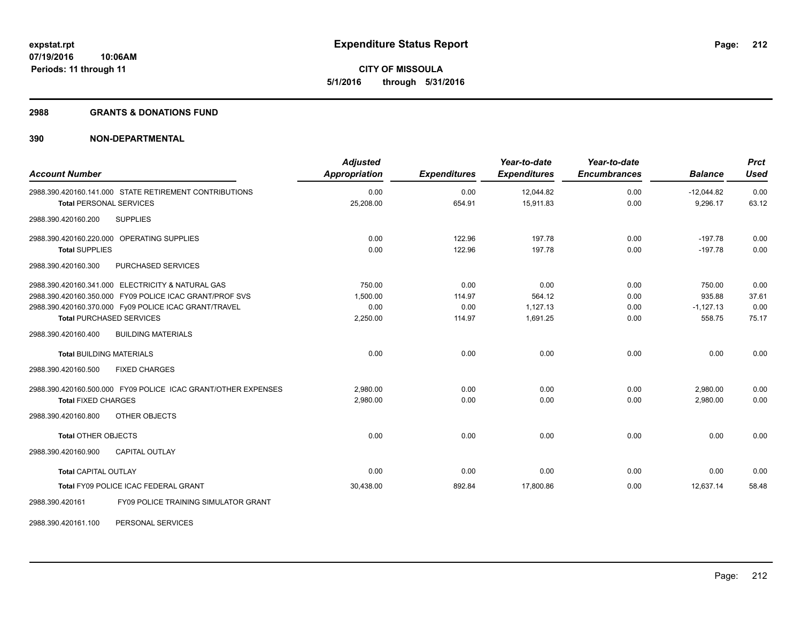**212**

**07/19/2016 10:06AM Periods: 11 through 11**

**CITY OF MISSOULA 5/1/2016 through 5/31/2016**

## **2988 GRANTS & DONATIONS FUND**

# **390 NON-DEPARTMENTAL**

| <b>Account Number</b>                                         | <b>Adjusted</b><br><b>Appropriation</b> | <b>Expenditures</b> | Year-to-date<br><b>Expenditures</b> | Year-to-date<br><b>Encumbrances</b> | <b>Balance</b> | <b>Prct</b><br><b>Used</b> |
|---------------------------------------------------------------|-----------------------------------------|---------------------|-------------------------------------|-------------------------------------|----------------|----------------------------|
| 2988.390.420160.141.000 STATE RETIREMENT CONTRIBUTIONS        | 0.00                                    | 0.00                | 12,044.82                           | 0.00                                | $-12,044.82$   | 0.00                       |
| <b>Total PERSONAL SERVICES</b>                                | 25,208.00                               | 654.91              | 15,911.83                           | 0.00                                | 9,296.17       | 63.12                      |
| 2988.390.420160.200<br><b>SUPPLIES</b>                        |                                         |                     |                                     |                                     |                |                            |
| 2988.390.420160.220.000 OPERATING SUPPLIES                    | 0.00                                    | 122.96              | 197.78                              | 0.00                                | $-197.78$      | 0.00                       |
| <b>Total SUPPLIES</b>                                         | 0.00                                    | 122.96              | 197.78                              | 0.00                                | $-197.78$      | 0.00                       |
| 2988.390.420160.300<br>PURCHASED SERVICES                     |                                         |                     |                                     |                                     |                |                            |
| 2988.390.420160.341.000 ELECTRICITY & NATURAL GAS             | 750.00                                  | 0.00                | 0.00                                | 0.00                                | 750.00         | 0.00                       |
| 2988.390.420160.350.000 FY09 POLICE ICAC GRANT/PROF SVS       | 1.500.00                                | 114.97              | 564.12                              | 0.00                                | 935.88         | 37.61                      |
| 2988.390.420160.370.000 Fy09 POLICE ICAC GRANT/TRAVEL         | 0.00                                    | 0.00                | 1,127.13                            | 0.00                                | $-1,127.13$    | 0.00                       |
| <b>Total PURCHASED SERVICES</b>                               | 2,250.00                                | 114.97              | 1.691.25                            | 0.00                                | 558.75         | 75.17                      |
| <b>BUILDING MATERIALS</b><br>2988.390.420160.400              |                                         |                     |                                     |                                     |                |                            |
| <b>Total BUILDING MATERIALS</b>                               | 0.00                                    | 0.00                | 0.00                                | 0.00                                | 0.00           | 0.00                       |
| <b>FIXED CHARGES</b><br>2988.390.420160.500                   |                                         |                     |                                     |                                     |                |                            |
| 2988.390.420160.500.000 FY09 POLICE ICAC GRANT/OTHER EXPENSES | 2,980.00                                | 0.00                | 0.00                                | 0.00                                | 2,980.00       | 0.00                       |
| <b>Total FIXED CHARGES</b>                                    | 2,980.00                                | 0.00                | 0.00                                | 0.00                                | 2,980.00       | 0.00                       |
| OTHER OBJECTS<br>2988.390.420160.800                          |                                         |                     |                                     |                                     |                |                            |
| <b>Total OTHER OBJECTS</b>                                    | 0.00                                    | 0.00                | 0.00                                | 0.00                                | 0.00           | 0.00                       |
| <b>CAPITAL OUTLAY</b><br>2988.390.420160.900                  |                                         |                     |                                     |                                     |                |                            |
| <b>Total CAPITAL OUTLAY</b>                                   | 0.00                                    | 0.00                | 0.00                                | 0.00                                | 0.00           | 0.00                       |
| Total FY09 POLICE ICAC FEDERAL GRANT                          | 30,438.00                               | 892.84              | 17,800.86                           | 0.00                                | 12.637.14      | 58.48                      |
| 2988.390.420161<br>FY09 POLICE TRAINING SIMULATOR GRANT       |                                         |                     |                                     |                                     |                |                            |

2988.390.420161.100 PERSONAL SERVICES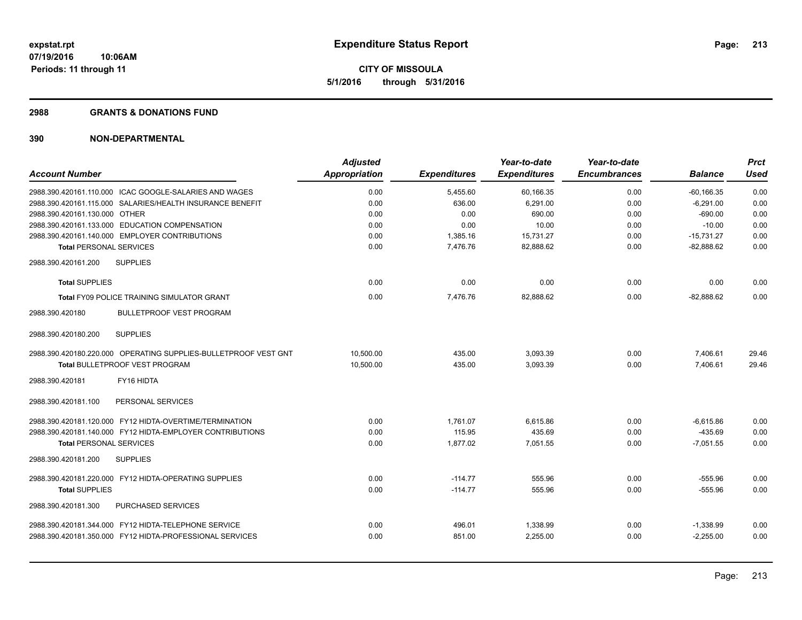## **2988 GRANTS & DONATIONS FUND**

|                                                                 | <b>Adjusted</b> |                     | Year-to-date        | Year-to-date        |                | <b>Prct</b> |
|-----------------------------------------------------------------|-----------------|---------------------|---------------------|---------------------|----------------|-------------|
| <b>Account Number</b>                                           | Appropriation   | <b>Expenditures</b> | <b>Expenditures</b> | <b>Encumbrances</b> | <b>Balance</b> | <b>Used</b> |
| 2988.390.420161.110.000 ICAC GOOGLE-SALARIES AND WAGES          | 0.00            | 5,455.60            | 60,166.35           | 0.00                | $-60, 166.35$  | 0.00        |
| 2988.390.420161.115.000 SALARIES/HEALTH INSURANCE BENEFIT       | 0.00            | 636.00              | 6.291.00            | 0.00                | $-6,291.00$    | 0.00        |
| 2988.390.420161.130.000 OTHER                                   | 0.00            | 0.00                | 690.00              | 0.00                | $-690.00$      | 0.00        |
| 2988.390.420161.133.000 EDUCATION COMPENSATION                  | 0.00            | 0.00                | 10.00               | 0.00                | $-10.00$       | 0.00        |
| 2988.390.420161.140.000 EMPLOYER CONTRIBUTIONS                  | 0.00            | 1,385.16            | 15,731.27           | 0.00                | $-15,731.27$   | 0.00        |
| <b>Total PERSONAL SERVICES</b>                                  | 0.00            | 7,476.76            | 82,888.62           | 0.00                | $-82,888.62$   | 0.00        |
| 2988.390.420161.200<br><b>SUPPLIES</b>                          |                 |                     |                     |                     |                |             |
| <b>Total SUPPLIES</b>                                           | 0.00            | 0.00                | 0.00                | 0.00                | 0.00           | 0.00        |
| <b>Total FY09 POLICE TRAINING SIMULATOR GRANT</b>               | 0.00            | 7.476.76            | 82,888.62           | 0.00                | $-82,888.62$   | 0.00        |
| <b>BULLETPROOF VEST PROGRAM</b><br>2988.390.420180              |                 |                     |                     |                     |                |             |
| <b>SUPPLIES</b><br>2988.390.420180.200                          |                 |                     |                     |                     |                |             |
| 2988.390.420180.220.000 OPERATING SUPPLIES-BULLETPROOF VEST GNT | 10,500.00       | 435.00              | 3,093.39            | 0.00                | 7,406.61       | 29.46       |
| <b>Total BULLETPROOF VEST PROGRAM</b>                           | 10.500.00       | 435.00              | 3,093.39            | 0.00                | 7.406.61       | 29.46       |
| FY16 HIDTA<br>2988.390.420181                                   |                 |                     |                     |                     |                |             |
| 2988.390.420181.100<br>PERSONAL SERVICES                        |                 |                     |                     |                     |                |             |
| 2988.390.420181.120.000 FY12 HIDTA-OVERTIME/TERMINATION         | 0.00            | 1.761.07            | 6.615.86            | 0.00                | $-6,615.86$    | 0.00        |
| 2988.390.420181.140.000 FY12 HIDTA-EMPLOYER CONTRIBUTIONS       | 0.00            | 115.95              | 435.69              | 0.00                | $-435.69$      | 0.00        |
| <b>Total PERSONAL SERVICES</b>                                  | 0.00            | 1,877.02            | 7,051.55            | 0.00                | $-7,051.55$    | 0.00        |
| 2988.390.420181.200<br><b>SUPPLIES</b>                          |                 |                     |                     |                     |                |             |
| 2988.390.420181.220.000 FY12 HIDTA-OPERATING SUPPLIES           | 0.00            | $-114.77$           | 555.96              | 0.00                | $-555.96$      | 0.00        |
| <b>Total SUPPLIES</b>                                           | 0.00            | $-114.77$           | 555.96              | 0.00                | $-555.96$      | 0.00        |
| PURCHASED SERVICES<br>2988.390.420181.300                       |                 |                     |                     |                     |                |             |
| 2988.390.420181.344.000 FY12 HIDTA-TELEPHONE SERVICE            | 0.00            | 496.01              | 1,338.99            | 0.00                | $-1,338.99$    | 0.00        |
| 2988.390.420181.350.000 FY12 HIDTA-PROFESSIONAL SERVICES        | 0.00            | 851.00              | 2,255.00            | 0.00                | $-2,255.00$    | 0.00        |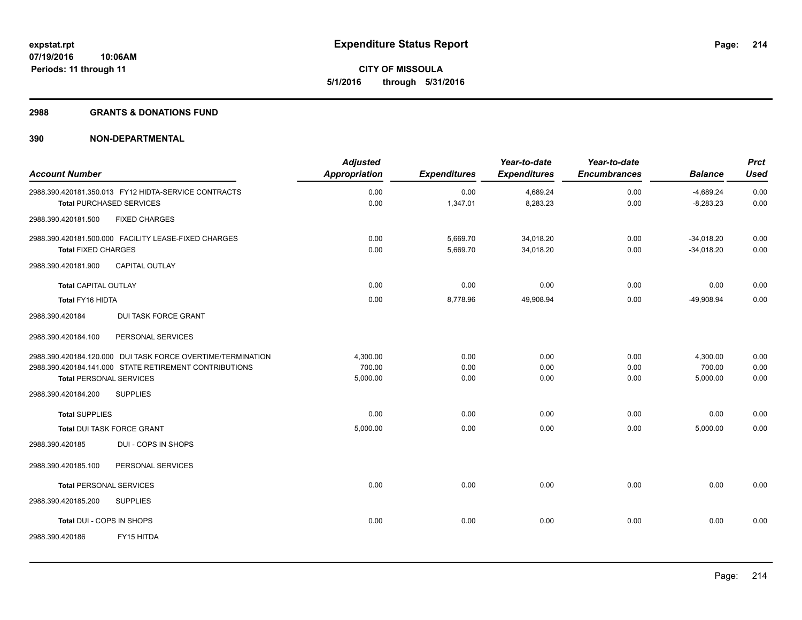**Periods: 11 through 11**

**CITY OF MISSOULA 5/1/2016 through 5/31/2016**

## **2988 GRANTS & DONATIONS FUND**

| <b>Account Number</b>                                       | <b>Adjusted</b><br>Appropriation | <b>Expenditures</b> | Year-to-date<br><b>Expenditures</b> | Year-to-date<br><b>Encumbrances</b> | <b>Balance</b> | <b>Prct</b><br><b>Used</b> |
|-------------------------------------------------------------|----------------------------------|---------------------|-------------------------------------|-------------------------------------|----------------|----------------------------|
| 2988.390.420181.350.013 FY12 HIDTA-SERVICE CONTRACTS        | 0.00                             | 0.00                | 4,689.24                            | 0.00                                | $-4,689.24$    | 0.00                       |
| <b>Total PURCHASED SERVICES</b>                             | 0.00                             | 1,347.01            | 8,283.23                            | 0.00                                | $-8,283.23$    | 0.00                       |
| <b>FIXED CHARGES</b><br>2988.390.420181.500                 |                                  |                     |                                     |                                     |                |                            |
| 2988.390.420181.500.000 FACILITY LEASE-FIXED CHARGES        | 0.00                             | 5,669.70            | 34,018.20                           | 0.00                                | $-34,018.20$   | 0.00                       |
| <b>Total FIXED CHARGES</b>                                  | 0.00                             | 5,669.70            | 34,018.20                           | 0.00                                | $-34,018.20$   | 0.00                       |
| 2988.390.420181.900<br><b>CAPITAL OUTLAY</b>                |                                  |                     |                                     |                                     |                |                            |
| <b>Total CAPITAL OUTLAY</b>                                 | 0.00                             | 0.00                | 0.00                                | 0.00                                | 0.00           | 0.00                       |
| Total FY16 HIDTA                                            | 0.00                             | 8,778.96            | 49,908.94                           | 0.00                                | -49,908.94     | 0.00                       |
| <b>DUI TASK FORCE GRANT</b><br>2988.390.420184              |                                  |                     |                                     |                                     |                |                            |
| 2988.390.420184.100<br>PERSONAL SERVICES                    |                                  |                     |                                     |                                     |                |                            |
| 2988.390.420184.120.000 DUI TASK FORCE OVERTIME/TERMINATION | 4,300.00                         | 0.00                | 0.00                                | 0.00                                | 4,300.00       | 0.00                       |
| 2988.390.420184.141.000 STATE RETIREMENT CONTRIBUTIONS      | 700.00                           | 0.00                | 0.00                                | 0.00                                | 700.00         | 0.00                       |
| <b>Total PERSONAL SERVICES</b>                              | 5,000.00                         | 0.00                | 0.00                                | 0.00                                | 5,000.00       | 0.00                       |
| <b>SUPPLIES</b><br>2988.390.420184.200                      |                                  |                     |                                     |                                     |                |                            |
| <b>Total SUPPLIES</b>                                       | 0.00                             | 0.00                | 0.00                                | 0.00                                | 0.00           | 0.00                       |
| Total DUI TASK FORCE GRANT                                  | 5,000.00                         | 0.00                | 0.00                                | 0.00                                | 5,000.00       | 0.00                       |
| DUI - COPS IN SHOPS<br>2988.390.420185                      |                                  |                     |                                     |                                     |                |                            |
| PERSONAL SERVICES<br>2988.390.420185.100                    |                                  |                     |                                     |                                     |                |                            |
| <b>Total PERSONAL SERVICES</b>                              | 0.00                             | 0.00                | 0.00                                | 0.00                                | 0.00           | 0.00                       |
| 2988.390.420185.200<br><b>SUPPLIES</b>                      |                                  |                     |                                     |                                     |                |                            |
| Total DUI - COPS IN SHOPS                                   | 0.00                             | 0.00                | 0.00                                | 0.00                                | 0.00           | 0.00                       |
| 2988.390.420186<br>FY15 HITDA                               |                                  |                     |                                     |                                     |                |                            |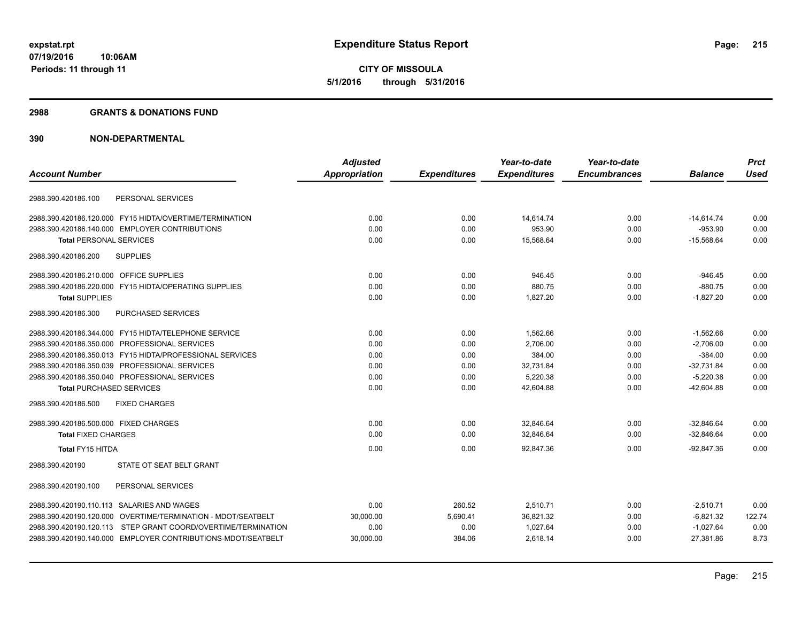## **2988 GRANTS & DONATIONS FUND**

|                                                               | <b>Adjusted</b>      |                     | Year-to-date        | Year-to-date        |                | <b>Prct</b> |
|---------------------------------------------------------------|----------------------|---------------------|---------------------|---------------------|----------------|-------------|
| <b>Account Number</b>                                         | <b>Appropriation</b> | <b>Expenditures</b> | <b>Expenditures</b> | <b>Encumbrances</b> | <b>Balance</b> | <b>Used</b> |
|                                                               |                      |                     |                     |                     |                |             |
| PERSONAL SERVICES<br>2988.390.420186.100                      |                      |                     |                     |                     |                |             |
| 2988.390.420186.120.000 FY15 HIDTA/OVERTIME/TERMINATION       | 0.00                 | 0.00                | 14,614.74           | 0.00                | $-14,614.74$   | 0.00        |
| 2988.390.420186.140.000 EMPLOYER CONTRIBUTIONS                | 0.00                 | 0.00                | 953.90              | 0.00                | $-953.90$      | 0.00        |
| <b>Total PERSONAL SERVICES</b>                                | 0.00                 | 0.00                | 15,568.64           | 0.00                | $-15,568.64$   | 0.00        |
| <b>SUPPLIES</b><br>2988.390.420186.200                        |                      |                     |                     |                     |                |             |
| 2988.390.420186.210.000 OFFICE SUPPLIES                       | 0.00                 | 0.00                | 946.45              | 0.00                | $-946.45$      | 0.00        |
| 2988.390.420186.220.000 FY15 HIDTA/OPERATING SUPPLIES         | 0.00                 | 0.00                | 880.75              | 0.00                | $-880.75$      | 0.00        |
| <b>Total SUPPLIES</b>                                         | 0.00                 | 0.00                | 1,827.20            | 0.00                | $-1,827.20$    | 0.00        |
| 2988.390.420186.300<br>PURCHASED SERVICES                     |                      |                     |                     |                     |                |             |
| 2988.390.420186.344.000 FY15 HIDTA/TELEPHONE SERVICE          | 0.00                 | 0.00                | 1,562.66            | 0.00                | $-1,562.66$    | 0.00        |
| 2988.390.420186.350.000 PROFESSIONAL SERVICES                 | 0.00                 | 0.00                | 2.706.00            | 0.00                | $-2,706.00$    | 0.00        |
| 2988.390.420186.350.013 FY15 HIDTA/PROFESSIONAL SERVICES      | 0.00                 | 0.00                | 384.00              | 0.00                | $-384.00$      | 0.00        |
| 2988.390.420186.350.039 PROFESSIONAL SERVICES                 | 0.00                 | 0.00                | 32,731.84           | 0.00                | $-32,731.84$   | 0.00        |
| 2988.390.420186.350.040 PROFESSIONAL SERVICES                 | 0.00                 | 0.00                | 5,220.38            | 0.00                | $-5,220.38$    | 0.00        |
| <b>Total PURCHASED SERVICES</b>                               | 0.00                 | 0.00                | 42,604.88           | 0.00                | $-42,604.88$   | 0.00        |
| <b>FIXED CHARGES</b><br>2988.390.420186.500                   |                      |                     |                     |                     |                |             |
| 2988.390.420186.500.000 FIXED CHARGES                         | 0.00                 | 0.00                | 32,846.64           | 0.00                | $-32,846.64$   | 0.00        |
| <b>Total FIXED CHARGES</b>                                    | 0.00                 | 0.00                | 32,846.64           | 0.00                | $-32,846.64$   | 0.00        |
| Total FY15 HITDA                                              | 0.00                 | 0.00                | 92,847.36           | 0.00                | $-92.847.36$   | 0.00        |
| STATE OT SEAT BELT GRANT<br>2988.390.420190                   |                      |                     |                     |                     |                |             |
| PERSONAL SERVICES<br>2988.390.420190.100                      |                      |                     |                     |                     |                |             |
| 2988.390.420190.110.113 SALARIES AND WAGES                    | 0.00                 | 260.52              | 2.510.71            | 0.00                | $-2.510.71$    | 0.00        |
| 2988.390.420190.120.000 OVERTIME/TERMINATION - MDOT/SEATBELT  | 30,000.00            | 5,690.41            | 36,821.32           | 0.00                | $-6,821.32$    | 122.74      |
| 2988.390.420190.120.113 STEP GRANT COORD/OVERTIME/TERMINATION | 0.00                 | 0.00                | 1,027.64            | 0.00                | $-1,027.64$    | 0.00        |
| 2988.390.420190.140.000 EMPLOYER CONTRIBUTIONS-MDOT/SEATBELT  | 30,000.00            | 384.06              | 2,618.14            | 0.00                | 27,381.86      | 8.73        |
|                                                               |                      |                     |                     |                     |                |             |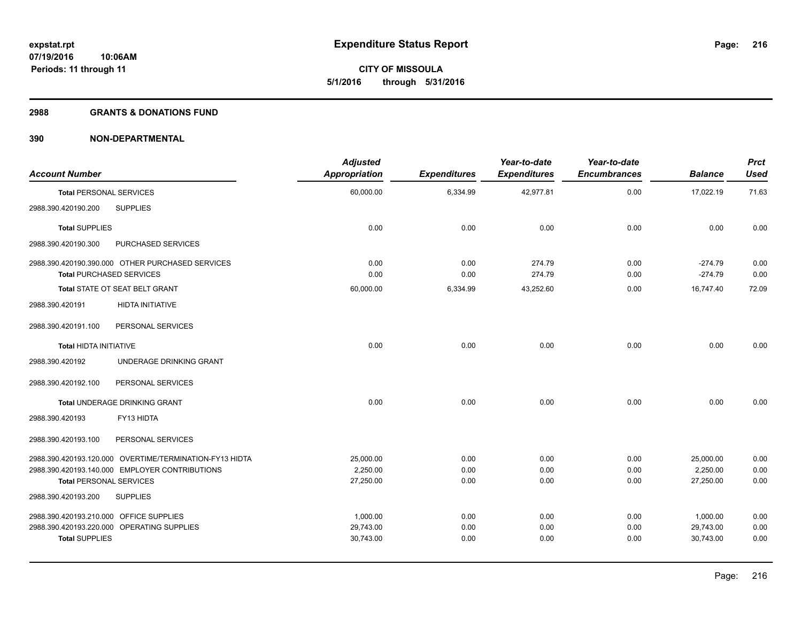## **2988 GRANTS & DONATIONS FUND**

| <b>Account Number</b>                                            |                                                                                                           | <b>Adjusted</b><br>Appropriation   | <b>Expenditures</b>  | Year-to-date<br><b>Expenditures</b> | Year-to-date<br><b>Encumbrances</b> | <b>Balance</b>                     | <b>Prct</b><br><b>Used</b> |
|------------------------------------------------------------------|-----------------------------------------------------------------------------------------------------------|------------------------------------|----------------------|-------------------------------------|-------------------------------------|------------------------------------|----------------------------|
| <b>Total PERSONAL SERVICES</b>                                   |                                                                                                           | 60,000.00                          | 6,334.99             | 42,977.81                           | 0.00                                | 17,022.19                          | 71.63                      |
| 2988.390.420190.200                                              | <b>SUPPLIES</b>                                                                                           |                                    |                      |                                     |                                     |                                    |                            |
| <b>Total SUPPLIES</b>                                            |                                                                                                           | 0.00                               | 0.00                 | 0.00                                | 0.00                                | 0.00                               | 0.00                       |
| 2988.390.420190.300                                              | <b>PURCHASED SERVICES</b>                                                                                 |                                    |                      |                                     |                                     |                                    |                            |
| <b>Total PURCHASED SERVICES</b>                                  | 2988.390.420190.390.000 OTHER PURCHASED SERVICES                                                          | 0.00<br>0.00                       | 0.00<br>0.00         | 274.79<br>274.79                    | 0.00<br>0.00                        | $-274.79$<br>$-274.79$             | 0.00<br>0.00               |
|                                                                  | Total STATE OT SEAT BELT GRANT                                                                            | 60,000.00                          | 6,334.99             | 43,252.60                           | 0.00                                | 16,747.40                          | 72.09                      |
| 2988.390.420191                                                  | <b>HIDTA INITIATIVE</b>                                                                                   |                                    |                      |                                     |                                     |                                    |                            |
| 2988.390.420191.100                                              | PERSONAL SERVICES                                                                                         |                                    |                      |                                     |                                     |                                    |                            |
| <b>Total HIDTA INITIATIVE</b>                                    |                                                                                                           | 0.00                               | 0.00                 | 0.00                                | 0.00                                | 0.00                               | 0.00                       |
| 2988.390.420192                                                  | UNDERAGE DRINKING GRANT                                                                                   |                                    |                      |                                     |                                     |                                    |                            |
| 2988.390.420192.100                                              | PERSONAL SERVICES                                                                                         |                                    |                      |                                     |                                     |                                    |                            |
|                                                                  | Total UNDERAGE DRINKING GRANT                                                                             | 0.00                               | 0.00                 | 0.00                                | 0.00                                | 0.00                               | 0.00                       |
| 2988.390.420193                                                  | FY13 HIDTA                                                                                                |                                    |                      |                                     |                                     |                                    |                            |
| 2988.390.420193.100                                              | PERSONAL SERVICES                                                                                         |                                    |                      |                                     |                                     |                                    |                            |
| <b>Total PERSONAL SERVICES</b>                                   | 2988.390.420193.120.000 OVERTIME/TERMINATION-FY13 HIDTA<br>2988.390.420193.140.000 EMPLOYER CONTRIBUTIONS | 25,000.00<br>2,250.00<br>27,250.00 | 0.00<br>0.00<br>0.00 | 0.00<br>0.00<br>0.00                | 0.00<br>0.00<br>0.00                | 25,000.00<br>2,250.00<br>27,250.00 | 0.00<br>0.00<br>0.00       |
| 2988.390.420193.200                                              | <b>SUPPLIES</b>                                                                                           |                                    |                      |                                     |                                     |                                    |                            |
| 2988.390.420193.210.000 OFFICE SUPPLIES<br><b>Total SUPPLIES</b> | 2988.390.420193.220.000 OPERATING SUPPLIES                                                                | 1,000.00<br>29,743.00<br>30,743.00 | 0.00<br>0.00<br>0.00 | 0.00<br>0.00<br>0.00                | 0.00<br>0.00<br>0.00                | 1,000.00<br>29,743.00<br>30,743.00 | 0.00<br>0.00<br>0.00       |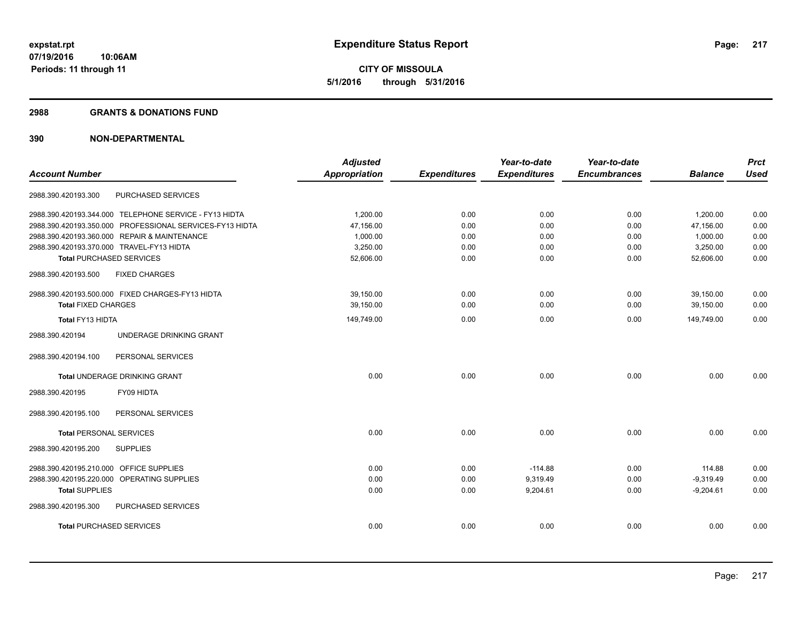**CITY OF MISSOULA 5/1/2016 through 5/31/2016**

#### **2988 GRANTS & DONATIONS FUND**

| <b>Account Number</b>                                    | <b>Adjusted</b><br><b>Appropriation</b> | <b>Expenditures</b> | Year-to-date<br><b>Expenditures</b> | Year-to-date<br><b>Encumbrances</b> | <b>Balance</b> | <b>Prct</b><br><b>Used</b> |
|----------------------------------------------------------|-----------------------------------------|---------------------|-------------------------------------|-------------------------------------|----------------|----------------------------|
|                                                          |                                         |                     |                                     |                                     |                |                            |
| PURCHASED SERVICES<br>2988.390.420193.300                |                                         |                     |                                     |                                     |                |                            |
| 2988.390.420193.344.000 TELEPHONE SERVICE - FY13 HIDTA   | 1,200.00                                | 0.00                | 0.00                                | 0.00                                | 1,200.00       | 0.00                       |
| 2988.390.420193.350.000 PROFESSIONAL SERVICES-FY13 HIDTA | 47,156.00                               | 0.00                | 0.00                                | 0.00                                | 47,156.00      | 0.00                       |
| 2988.390.420193.360.000 REPAIR & MAINTENANCE             | 1,000.00                                | 0.00                | 0.00                                | 0.00                                | 1,000.00       | 0.00                       |
| 2988.390.420193.370.000 TRAVEL-FY13 HIDTA                | 3,250.00                                | 0.00                | 0.00                                | 0.00                                | 3,250.00       | 0.00                       |
| <b>Total PURCHASED SERVICES</b>                          | 52,606.00                               | 0.00                | 0.00                                | 0.00                                | 52,606.00      | 0.00                       |
| 2988.390.420193.500<br><b>FIXED CHARGES</b>              |                                         |                     |                                     |                                     |                |                            |
| 2988.390.420193.500.000 FIXED CHARGES-FY13 HIDTA         | 39,150.00                               | 0.00                | 0.00                                | 0.00                                | 39,150.00      | 0.00                       |
| <b>Total FIXED CHARGES</b>                               | 39,150.00                               | 0.00                | 0.00                                | 0.00                                | 39,150.00      | 0.00                       |
| Total FY13 HIDTA                                         | 149,749.00                              | 0.00                | 0.00                                | 0.00                                | 149,749.00     | 0.00                       |
| UNDERAGE DRINKING GRANT<br>2988.390.420194               |                                         |                     |                                     |                                     |                |                            |
| PERSONAL SERVICES<br>2988.390.420194.100                 |                                         |                     |                                     |                                     |                |                            |
| Total UNDERAGE DRINKING GRANT                            | 0.00                                    | 0.00                | 0.00                                | 0.00                                | 0.00           | 0.00                       |
| FY09 HIDTA<br>2988.390.420195                            |                                         |                     |                                     |                                     |                |                            |
| PERSONAL SERVICES<br>2988.390.420195.100                 |                                         |                     |                                     |                                     |                |                            |
| <b>Total PERSONAL SERVICES</b>                           | 0.00                                    | 0.00                | 0.00                                | 0.00                                | 0.00           | 0.00                       |
| 2988.390.420195.200<br><b>SUPPLIES</b>                   |                                         |                     |                                     |                                     |                |                            |
| 2988.390.420195.210.000 OFFICE SUPPLIES                  | 0.00                                    | 0.00                | $-114.88$                           | 0.00                                | 114.88         | 0.00                       |
| 2988.390.420195.220.000 OPERATING SUPPLIES               | 0.00                                    | 0.00                | 9,319.49                            | 0.00                                | $-9,319.49$    | 0.00                       |
| <b>Total SUPPLIES</b>                                    | 0.00                                    | 0.00                | 9,204.61                            | 0.00                                | $-9,204.61$    | 0.00                       |
| PURCHASED SERVICES<br>2988.390.420195.300                |                                         |                     |                                     |                                     |                |                            |
| <b>Total PURCHASED SERVICES</b>                          | 0.00                                    | 0.00                | 0.00                                | 0.00                                | 0.00           | 0.00                       |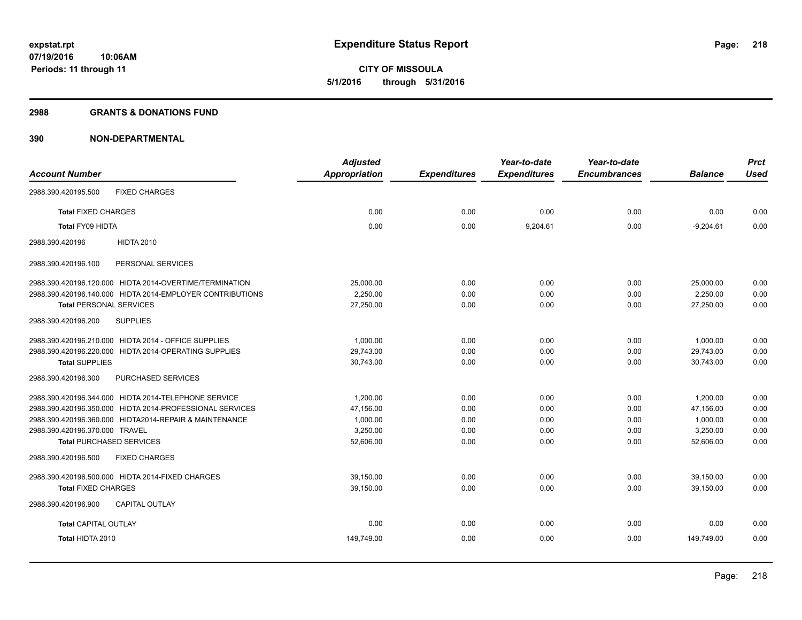**CITY OF MISSOULA 5/1/2016 through 5/31/2016**

#### **2988 GRANTS & DONATIONS FUND**

|                                                           | <b>Adjusted</b>      |                     | Year-to-date        | Year-to-date        |                | <b>Prct</b> |
|-----------------------------------------------------------|----------------------|---------------------|---------------------|---------------------|----------------|-------------|
| <b>Account Number</b>                                     | <b>Appropriation</b> | <b>Expenditures</b> | <b>Expenditures</b> | <b>Encumbrances</b> | <b>Balance</b> | <b>Used</b> |
| 2988.390.420195.500<br><b>FIXED CHARGES</b>               |                      |                     |                     |                     |                |             |
| <b>Total FIXED CHARGES</b>                                | 0.00                 | 0.00                | 0.00                | 0.00                | 0.00           | 0.00        |
| <b>Total FY09 HIDTA</b>                                   | 0.00                 | 0.00                | 9,204.61            | 0.00                | $-9,204.61$    | 0.00        |
| <b>HIDTA 2010</b><br>2988.390.420196                      |                      |                     |                     |                     |                |             |
| PERSONAL SERVICES<br>2988.390.420196.100                  |                      |                     |                     |                     |                |             |
| 2988.390.420196.120.000 HIDTA 2014-OVERTIME/TERMINATION   | 25,000.00            | 0.00                | 0.00                | 0.00                | 25,000.00      | 0.00        |
| 2988.390.420196.140.000 HIDTA 2014-EMPLOYER CONTRIBUTIONS | 2,250.00             | 0.00                | 0.00                | 0.00                | 2,250.00       | 0.00        |
| <b>Total PERSONAL SERVICES</b>                            | 27,250.00            | 0.00                | 0.00                | 0.00                | 27,250.00      | 0.00        |
| 2988.390.420196.200<br><b>SUPPLIES</b>                    |                      |                     |                     |                     |                |             |
| 2988.390.420196.210.000 HIDTA 2014 - OFFICE SUPPLIES      | 1.000.00             | 0.00                | 0.00                | 0.00                | 1,000.00       | 0.00        |
| 2988.390.420196.220.000 HIDTA 2014-OPERATING SUPPLIES     | 29,743.00            | 0.00                | 0.00                | 0.00                | 29,743.00      | 0.00        |
| <b>Total SUPPLIES</b>                                     | 30,743.00            | 0.00                | 0.00                | 0.00                | 30,743.00      | 0.00        |
| 2988.390.420196.300<br>PURCHASED SERVICES                 |                      |                     |                     |                     |                |             |
| 2988.390.420196.344.000 HIDTA 2014-TELEPHONE SERVICE      | 1,200.00             | 0.00                | 0.00                | 0.00                | 1,200.00       | 0.00        |
| 2988.390.420196.350.000 HIDTA 2014-PROFESSIONAL SERVICES  | 47,156.00            | 0.00                | 0.00                | 0.00                | 47.156.00      | 0.00        |
| 2988.390.420196.360.000 HIDTA2014-REPAIR & MAINTENANCE    | 1,000.00             | 0.00                | 0.00                | 0.00                | 1,000.00       | 0.00        |
| 2988.390.420196.370.000 TRAVEL                            | 3,250.00             | 0.00                | 0.00                | 0.00                | 3,250.00       | 0.00        |
| <b>Total PURCHASED SERVICES</b>                           | 52,606.00            | 0.00                | 0.00                | 0.00                | 52,606.00      | 0.00        |
| <b>FIXED CHARGES</b><br>2988.390.420196.500               |                      |                     |                     |                     |                |             |
| 2988.390.420196.500.000 HIDTA 2014-FIXED CHARGES          | 39,150.00            | 0.00                | 0.00                | 0.00                | 39,150.00      | 0.00        |
| <b>Total FIXED CHARGES</b>                                | 39,150.00            | 0.00                | 0.00                | 0.00                | 39,150.00      | 0.00        |
| 2988.390.420196.900<br><b>CAPITAL OUTLAY</b>              |                      |                     |                     |                     |                |             |
| <b>Total CAPITAL OUTLAY</b>                               | 0.00                 | 0.00                | 0.00                | 0.00                | 0.00           | 0.00        |
| Total HIDTA 2010                                          | 149,749.00           | 0.00                | 0.00                | 0.00                | 149,749.00     | 0.00        |
|                                                           |                      |                     |                     |                     |                |             |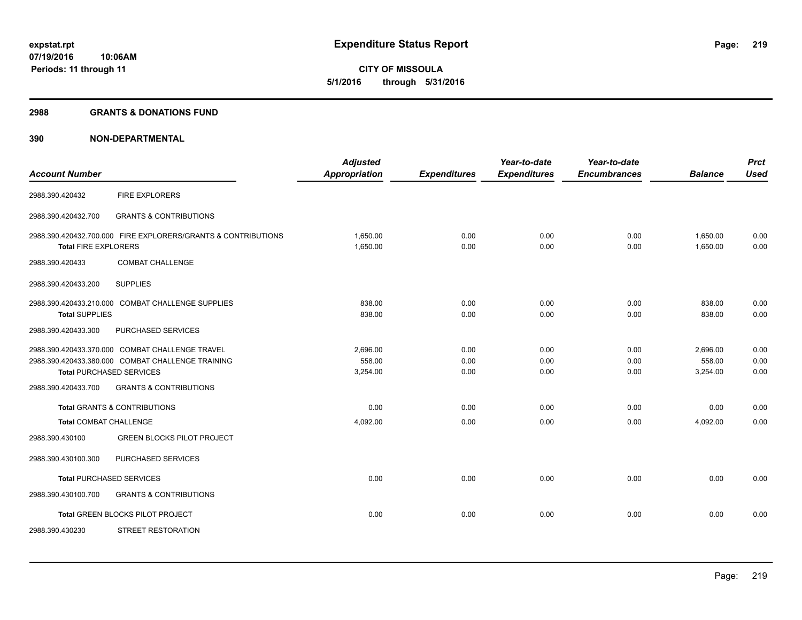**CITY OF MISSOULA 5/1/2016 through 5/31/2016**

#### **2988 GRANTS & DONATIONS FUND**

| <b>Account Number</b>         |                                                                                                                                         | <b>Adjusted</b><br><b>Appropriation</b> | <b>Expenditures</b>  | Year-to-date<br><b>Expenditures</b> | Year-to-date<br><b>Encumbrances</b> | <b>Balance</b>                 | <b>Prct</b><br><b>Used</b> |
|-------------------------------|-----------------------------------------------------------------------------------------------------------------------------------------|-----------------------------------------|----------------------|-------------------------------------|-------------------------------------|--------------------------------|----------------------------|
| 2988.390.420432               | <b>FIRE EXPLORERS</b>                                                                                                                   |                                         |                      |                                     |                                     |                                |                            |
| 2988.390.420432.700           | <b>GRANTS &amp; CONTRIBUTIONS</b>                                                                                                       |                                         |                      |                                     |                                     |                                |                            |
| <b>Total FIRE EXPLORERS</b>   | 2988.390.420432.700.000 FIRE EXPLORERS/GRANTS & CONTRIBUTIONS                                                                           | 1.650.00<br>1,650.00                    | 0.00<br>0.00         | 0.00<br>0.00                        | 0.00<br>0.00                        | 1,650.00<br>1,650.00           | 0.00<br>0.00               |
| 2988.390.420433               | <b>COMBAT CHALLENGE</b>                                                                                                                 |                                         |                      |                                     |                                     |                                |                            |
| 2988.390.420433.200           | <b>SUPPLIES</b>                                                                                                                         |                                         |                      |                                     |                                     |                                |                            |
| <b>Total SUPPLIES</b>         | 2988.390.420433.210.000 COMBAT CHALLENGE SUPPLIES                                                                                       | 838.00<br>838.00                        | 0.00<br>0.00         | 0.00<br>0.00                        | 0.00<br>0.00                        | 838.00<br>838.00               | 0.00<br>0.00               |
| 2988.390.420433.300           | PURCHASED SERVICES                                                                                                                      |                                         |                      |                                     |                                     |                                |                            |
|                               | 2988.390.420433.370.000 COMBAT CHALLENGE TRAVEL<br>2988.390.420433.380.000 COMBAT CHALLENGE TRAINING<br><b>Total PURCHASED SERVICES</b> | 2.696.00<br>558.00<br>3,254.00          | 0.00<br>0.00<br>0.00 | 0.00<br>0.00<br>0.00                | 0.00<br>0.00<br>0.00                | 2,696.00<br>558.00<br>3,254.00 | 0.00<br>0.00<br>0.00       |
| 2988.390.420433.700           | <b>GRANTS &amp; CONTRIBUTIONS</b>                                                                                                       |                                         |                      |                                     |                                     |                                |                            |
| <b>Total COMBAT CHALLENGE</b> | <b>Total GRANTS &amp; CONTRIBUTIONS</b>                                                                                                 | 0.00<br>4,092.00                        | 0.00<br>0.00         | 0.00<br>0.00                        | 0.00<br>0.00                        | 0.00<br>4,092.00               | 0.00<br>0.00               |
| 2988.390.430100               | <b>GREEN BLOCKS PILOT PROJECT</b>                                                                                                       |                                         |                      |                                     |                                     |                                |                            |
| 2988.390.430100.300           | PURCHASED SERVICES                                                                                                                      |                                         |                      |                                     |                                     |                                |                            |
|                               | <b>Total PURCHASED SERVICES</b>                                                                                                         | 0.00                                    | 0.00                 | 0.00                                | 0.00                                | 0.00                           | 0.00                       |
| 2988.390.430100.700           | <b>GRANTS &amp; CONTRIBUTIONS</b>                                                                                                       |                                         |                      |                                     |                                     |                                |                            |
|                               | Total GREEN BLOCKS PILOT PROJECT                                                                                                        | 0.00                                    | 0.00                 | 0.00                                | 0.00                                | 0.00                           | 0.00                       |
| 2988.390.430230               | <b>STREET RESTORATION</b>                                                                                                               |                                         |                      |                                     |                                     |                                |                            |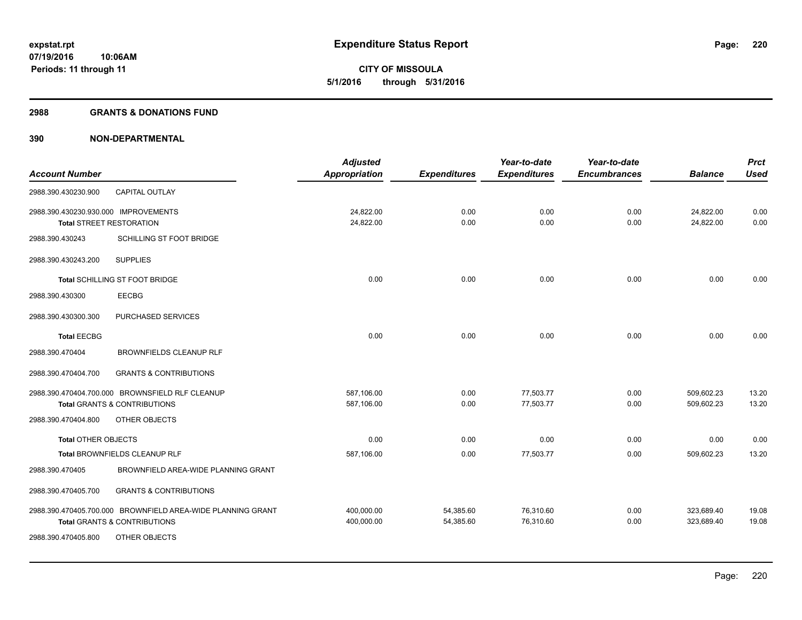**CITY OF MISSOULA 5/1/2016 through 5/31/2016**

#### **2988 GRANTS & DONATIONS FUND**

|                                      |                                                             | <b>Adjusted</b>      |                     | Year-to-date        | Year-to-date        |                | <b>Prct</b> |
|--------------------------------------|-------------------------------------------------------------|----------------------|---------------------|---------------------|---------------------|----------------|-------------|
| <b>Account Number</b>                |                                                             | <b>Appropriation</b> | <b>Expenditures</b> | <b>Expenditures</b> | <b>Encumbrances</b> | <b>Balance</b> | <b>Used</b> |
| 2988.390.430230.900                  | CAPITAL OUTLAY                                              |                      |                     |                     |                     |                |             |
| 2988.390.430230.930.000 IMPROVEMENTS |                                                             | 24,822.00            | 0.00                | 0.00                | 0.00                | 24,822.00      | 0.00        |
| <b>Total STREET RESTORATION</b>      |                                                             | 24,822.00            | 0.00                | 0.00                | 0.00                | 24,822.00      | 0.00        |
| 2988.390.430243                      | SCHILLING ST FOOT BRIDGE                                    |                      |                     |                     |                     |                |             |
| 2988.390.430243.200                  | <b>SUPPLIES</b>                                             |                      |                     |                     |                     |                |             |
|                                      | Total SCHILLING ST FOOT BRIDGE                              | 0.00                 | 0.00                | 0.00                | 0.00                | 0.00           | 0.00        |
| 2988.390.430300                      | <b>EECBG</b>                                                |                      |                     |                     |                     |                |             |
| 2988.390.430300.300                  | PURCHASED SERVICES                                          |                      |                     |                     |                     |                |             |
| <b>Total EECBG</b>                   |                                                             | 0.00                 | 0.00                | 0.00                | 0.00                | 0.00           | 0.00        |
| 2988.390.470404                      | BROWNFIELDS CLEANUP RLF                                     |                      |                     |                     |                     |                |             |
| 2988.390.470404.700                  | <b>GRANTS &amp; CONTRIBUTIONS</b>                           |                      |                     |                     |                     |                |             |
|                                      | 2988.390.470404.700.000 BROWNSFIELD RLF CLEANUP             | 587,106.00           | 0.00                | 77,503.77           | 0.00                | 509,602.23     | 13.20       |
|                                      | <b>Total GRANTS &amp; CONTRIBUTIONS</b>                     | 587,106.00           | 0.00                | 77,503.77           | 0.00                | 509,602.23     | 13.20       |
| 2988.390.470404.800                  | OTHER OBJECTS                                               |                      |                     |                     |                     |                |             |
| <b>Total OTHER OBJECTS</b>           |                                                             | 0.00                 | 0.00                | 0.00                | 0.00                | 0.00           | 0.00        |
|                                      | Total BROWNFIELDS CLEANUP RLF                               | 587,106.00           | 0.00                | 77,503.77           | 0.00                | 509,602.23     | 13.20       |
| 2988.390.470405                      | BROWNFIELD AREA-WIDE PLANNING GRANT                         |                      |                     |                     |                     |                |             |
| 2988.390.470405.700                  | <b>GRANTS &amp; CONTRIBUTIONS</b>                           |                      |                     |                     |                     |                |             |
|                                      | 2988.390.470405.700.000 BROWNFIELD AREA-WIDE PLANNING GRANT | 400,000.00           | 54,385.60           | 76,310.60           | 0.00                | 323,689.40     | 19.08       |
|                                      | <b>Total GRANTS &amp; CONTRIBUTIONS</b>                     | 400,000.00           | 54,385.60           | 76,310.60           | 0.00                | 323,689.40     | 19.08       |
| 2988.390.470405.800                  | OTHER OBJECTS                                               |                      |                     |                     |                     |                |             |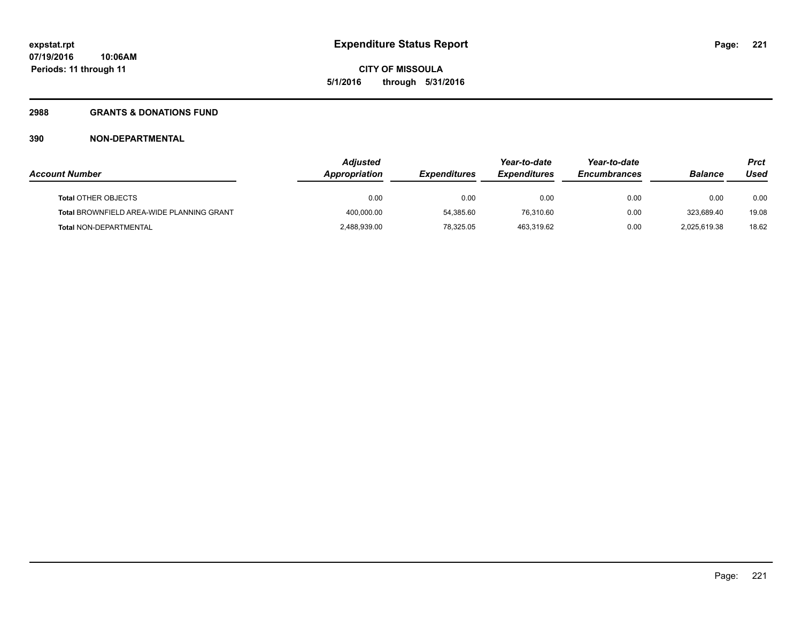**221**

**07/19/2016 10:06AM Periods: 11 through 11**

## **2988 GRANTS & DONATIONS FUND**

|                                           | <b>Adiusted</b> |                     | Year-to-date        | Year-to-date        |                | Prct  |
|-------------------------------------------|-----------------|---------------------|---------------------|---------------------|----------------|-------|
| <b>Account Number</b>                     | Appropriation   | <b>Expenditures</b> | <b>Expenditures</b> | <b>Encumbrances</b> | <b>Balance</b> | Used  |
| <b>Total OTHER OBJECTS</b>                | 0.00            | 0.00                | 0.00                | 0.00                | 0.00           | 0.00  |
| Total BROWNFIELD AREA-WIDE PLANNING GRANT | 400,000.00      | 54.385.60           | 76.310.60           | 0.00                | 323.689.40     | 19.08 |
| <b>Total NON-DEPARTMENTAL</b>             | 2,488,939.00    | 78,325.05           | 463,319.62          | 0.00                | 2,025,619.38   | 18.62 |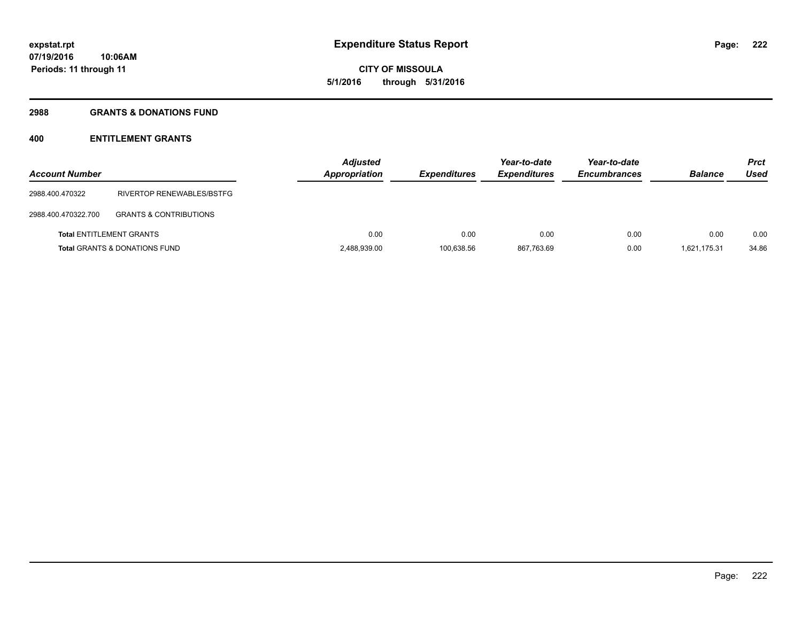# **CITY OF MISSOULA 5/1/2016 through 5/31/2016**

### **2988 GRANTS & DONATIONS FUND**

# **400 ENTITLEMENT GRANTS**

| <b>Account Number</b> |                                          | <b>Adjusted</b><br><b>Appropriation</b> | <b>Expenditures</b> | Year-to-date<br><b>Expenditures</b> | Year-to-date<br><b>Encumbrances</b> | <b>Balance</b> | <b>Prct</b><br>Used |
|-----------------------|------------------------------------------|-----------------------------------------|---------------------|-------------------------------------|-------------------------------------|----------------|---------------------|
| 2988.400.470322       | RIVERTOP RENEWABLES/BSTFG                |                                         |                     |                                     |                                     |                |                     |
| 2988.400.470322.700   | <b>GRANTS &amp; CONTRIBUTIONS</b>        |                                         |                     |                                     |                                     |                |                     |
|                       | <b>Total ENTITLEMENT GRANTS</b>          | 0.00                                    | 0.00                | 0.00                                | 0.00                                | 0.00           | 0.00                |
|                       | <b>Total GRANTS &amp; DONATIONS FUND</b> | 2,488,939.00                            | 100,638.56          | 867,763.69                          | 0.00                                | 1,621,175.31   | 34.86               |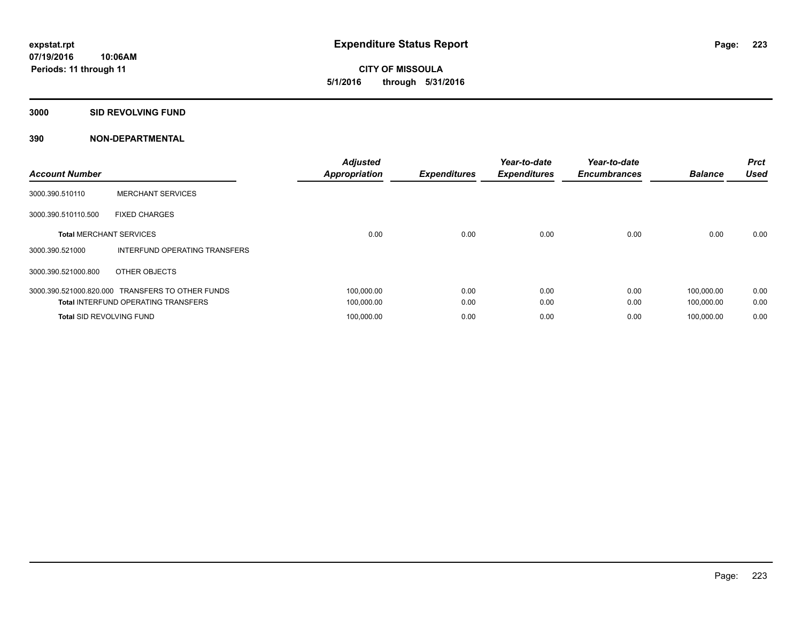**CITY OF MISSOULA 5/1/2016 through 5/31/2016**

#### **3000 SID REVOLVING FUND**

| <b>Account Number</b>           |                                                  | <b>Adjusted</b><br><b>Appropriation</b> | <b>Expenditures</b> | Year-to-date<br><b>Expenditures</b> | Year-to-date<br><b>Encumbrances</b> | <b>Balance</b> | <b>Prct</b><br><b>Used</b> |
|---------------------------------|--------------------------------------------------|-----------------------------------------|---------------------|-------------------------------------|-------------------------------------|----------------|----------------------------|
| 3000.390.510110                 | <b>MERCHANT SERVICES</b>                         |                                         |                     |                                     |                                     |                |                            |
| 3000.390.510110.500             | <b>FIXED CHARGES</b>                             |                                         |                     |                                     |                                     |                |                            |
| <b>Total MERCHANT SERVICES</b>  |                                                  | 0.00                                    | 0.00                | 0.00                                | 0.00                                | 0.00           | 0.00                       |
| 3000.390.521000                 | INTERFUND OPERATING TRANSFERS                    |                                         |                     |                                     |                                     |                |                            |
| 3000.390.521000.800             | OTHER OBJECTS                                    |                                         |                     |                                     |                                     |                |                            |
|                                 | 3000.390.521000.820.000 TRANSFERS TO OTHER FUNDS | 100,000.00                              | 0.00                | 0.00                                | 0.00                                | 100,000.00     | 0.00                       |
|                                 | <b>Total INTERFUND OPERATING TRANSFERS</b>       | 100,000.00                              | 0.00                | 0.00                                | 0.00                                | 100,000.00     | 0.00                       |
| <b>Total SID REVOLVING FUND</b> |                                                  | 100,000.00                              | 0.00                | 0.00                                | 0.00                                | 100,000.00     | 0.00                       |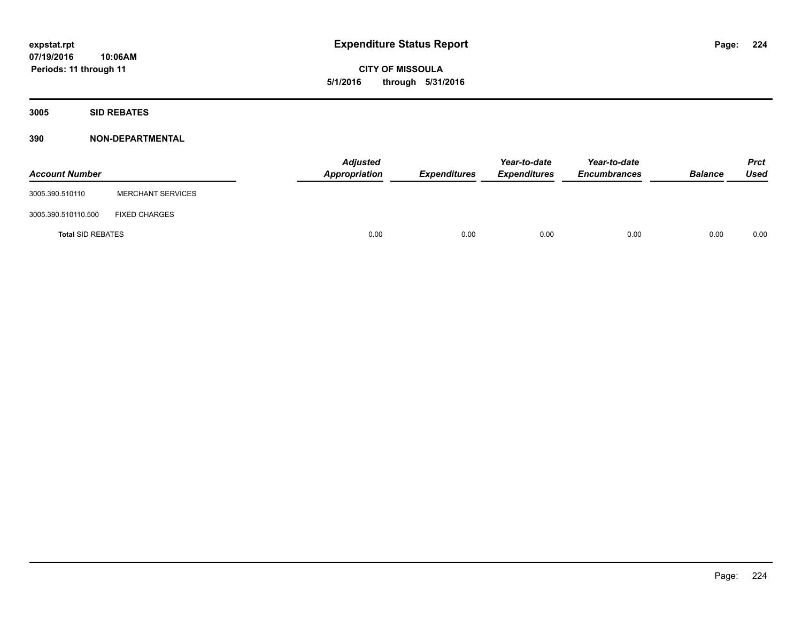**CITY OF MISSOULA 5/1/2016 through 5/31/2016**

**3005 SID REBATES**

| <b>Account Number</b>    |                          | <b>Adjusted</b><br>Appropriation | Expenditures | Year-to-date<br><b>Expenditures</b> | Year-to-date<br><b>Encumbrances</b> | <b>Balance</b> | <b>Prct</b><br>Used |
|--------------------------|--------------------------|----------------------------------|--------------|-------------------------------------|-------------------------------------|----------------|---------------------|
| 3005.390.510110          | <b>MERCHANT SERVICES</b> |                                  |              |                                     |                                     |                |                     |
| 3005.390.510110.500      | <b>FIXED CHARGES</b>     |                                  |              |                                     |                                     |                |                     |
| <b>Total SID REBATES</b> |                          | 0.00                             | 0.00         | 0.00                                | 0.00                                | 0.00           | 0.00                |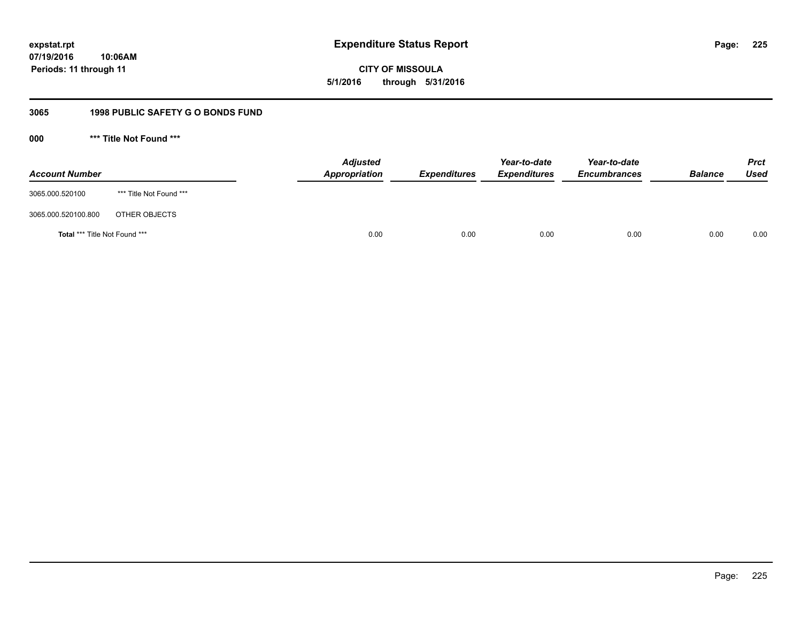**CITY OF MISSOULA 5/1/2016 through 5/31/2016**

# **3065 1998 PUBLIC SAFETY G O BONDS FUND**

**000 \*\*\* Title Not Found \*\*\***

| <b>Account Number</b>         |                         | <b>Adjusted</b><br>Appropriation | <b>Expenditures</b> | Year-to-date<br><b>Expenditures</b> | Year-to-date<br><b>Encumbrances</b> | <b>Balance</b> | <b>Prct</b><br>Used |
|-------------------------------|-------------------------|----------------------------------|---------------------|-------------------------------------|-------------------------------------|----------------|---------------------|
| 3065.000.520100               | *** Title Not Found *** |                                  |                     |                                     |                                     |                |                     |
| 3065.000.520100.800           | OTHER OBJECTS           |                                  |                     |                                     |                                     |                |                     |
| Total *** Title Not Found *** |                         | 0.00                             | 0.00                | 0.00                                | 0.00                                | 0.00           | 0.00                |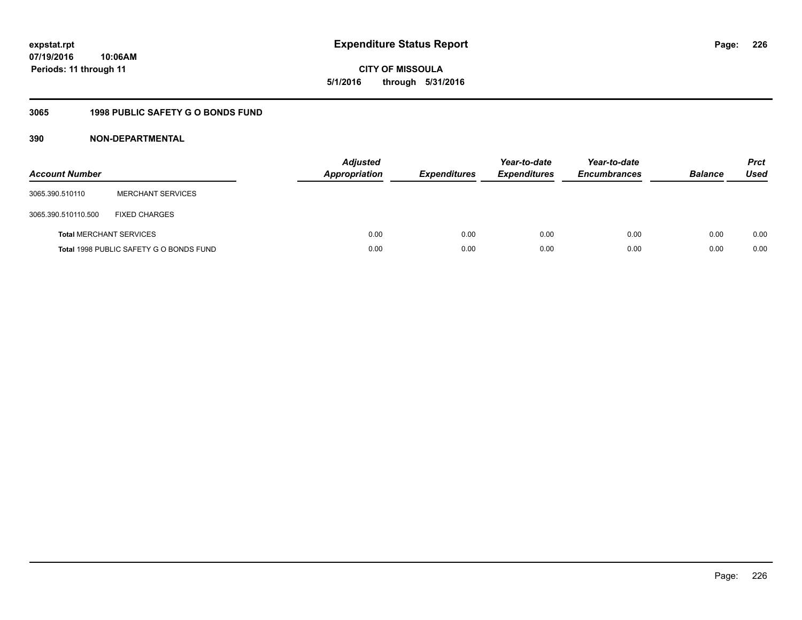**CITY OF MISSOULA 5/1/2016 through 5/31/2016**

# **3065 1998 PUBLIC SAFETY G O BONDS FUND**

| <b>Account Number</b>          |                                         | <b>Adjusted</b><br><b>Appropriation</b> | <b>Expenditures</b> | Year-to-date<br><b>Expenditures</b> | Year-to-date<br><b>Encumbrances</b> | <b>Balance</b> | <b>Prct</b><br><b>Used</b> |
|--------------------------------|-----------------------------------------|-----------------------------------------|---------------------|-------------------------------------|-------------------------------------|----------------|----------------------------|
| 3065.390.510110                | <b>MERCHANT SERVICES</b>                |                                         |                     |                                     |                                     |                |                            |
| 3065.390.510110.500            | <b>FIXED CHARGES</b>                    |                                         |                     |                                     |                                     |                |                            |
| <b>Total MERCHANT SERVICES</b> |                                         | 0.00                                    | 0.00                | 0.00                                | 0.00                                | 0.00           | 0.00                       |
|                                | Total 1998 PUBLIC SAFETY G O BONDS FUND | 0.00                                    | 0.00                | 0.00                                | 0.00                                | 0.00           | 0.00                       |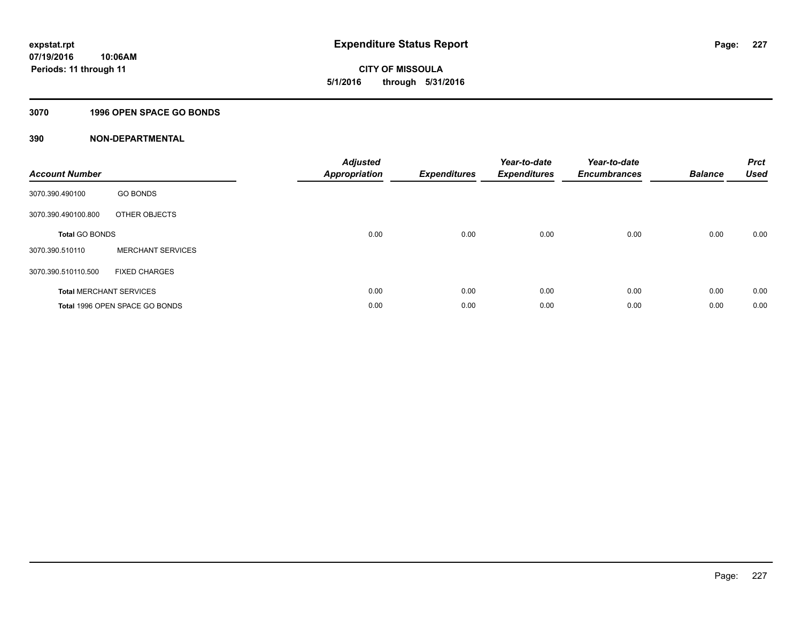**CITY OF MISSOULA 5/1/2016 through 5/31/2016**

#### **3070 1996 OPEN SPACE GO BONDS**

| <b>Account Number</b>          |                                | <b>Adjusted</b><br><b>Appropriation</b> | <b>Expenditures</b> | Year-to-date<br><b>Expenditures</b> | Year-to-date<br><b>Encumbrances</b> | <b>Balance</b> | <b>Prct</b><br><b>Used</b> |
|--------------------------------|--------------------------------|-----------------------------------------|---------------------|-------------------------------------|-------------------------------------|----------------|----------------------------|
| 3070.390.490100                | <b>GO BONDS</b>                |                                         |                     |                                     |                                     |                |                            |
| 3070.390.490100.800            | OTHER OBJECTS                  |                                         |                     |                                     |                                     |                |                            |
| <b>Total GO BONDS</b>          |                                | 0.00                                    | 0.00                | 0.00                                | 0.00                                | 0.00           | 0.00                       |
| 3070.390.510110                | <b>MERCHANT SERVICES</b>       |                                         |                     |                                     |                                     |                |                            |
| 3070.390.510110.500            | <b>FIXED CHARGES</b>           |                                         |                     |                                     |                                     |                |                            |
| <b>Total MERCHANT SERVICES</b> |                                | 0.00                                    | 0.00                | 0.00                                | 0.00                                | 0.00           | 0.00                       |
|                                | Total 1996 OPEN SPACE GO BONDS | 0.00                                    | 0.00                | 0.00                                | 0.00                                | 0.00           | 0.00                       |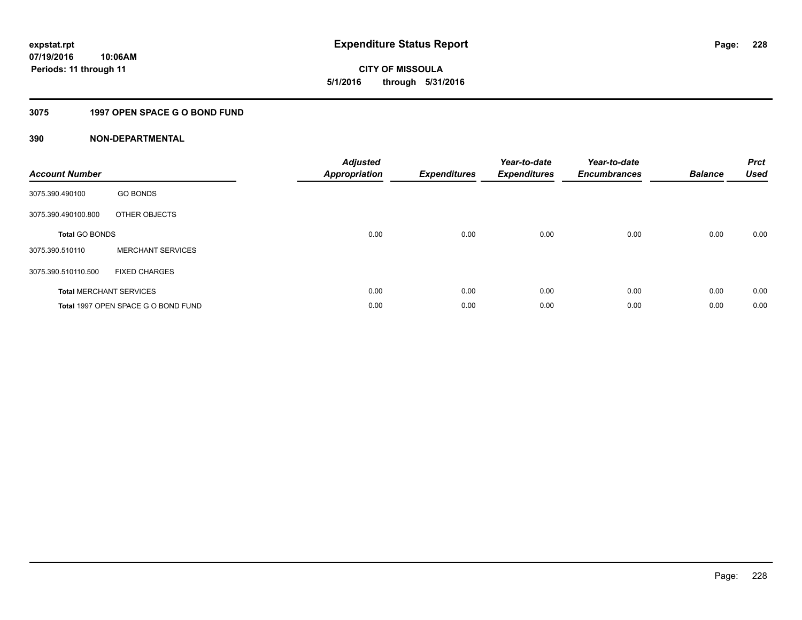# **CITY OF MISSOULA 5/1/2016 through 5/31/2016**

# **3075 1997 OPEN SPACE G O BOND FUND**

| <b>Account Number</b> |                                     | <b>Adjusted</b><br>Appropriation | <b>Expenditures</b> | Year-to-date<br><b>Expenditures</b> | Year-to-date<br><b>Encumbrances</b> | <b>Balance</b> | <b>Prct</b><br><b>Used</b> |
|-----------------------|-------------------------------------|----------------------------------|---------------------|-------------------------------------|-------------------------------------|----------------|----------------------------|
| 3075.390.490100       | <b>GO BONDS</b>                     |                                  |                     |                                     |                                     |                |                            |
| 3075.390.490100.800   | OTHER OBJECTS                       |                                  |                     |                                     |                                     |                |                            |
| <b>Total GO BONDS</b> |                                     | 0.00                             | 0.00                | 0.00                                | 0.00                                | 0.00           | 0.00                       |
| 3075.390.510110       | <b>MERCHANT SERVICES</b>            |                                  |                     |                                     |                                     |                |                            |
| 3075.390.510110.500   | <b>FIXED CHARGES</b>                |                                  |                     |                                     |                                     |                |                            |
|                       | <b>Total MERCHANT SERVICES</b>      | 0.00                             | 0.00                | 0.00                                | 0.00                                | 0.00           | 0.00                       |
|                       | Total 1997 OPEN SPACE G O BOND FUND | 0.00                             | 0.00                | 0.00                                | 0.00                                | 0.00           | 0.00                       |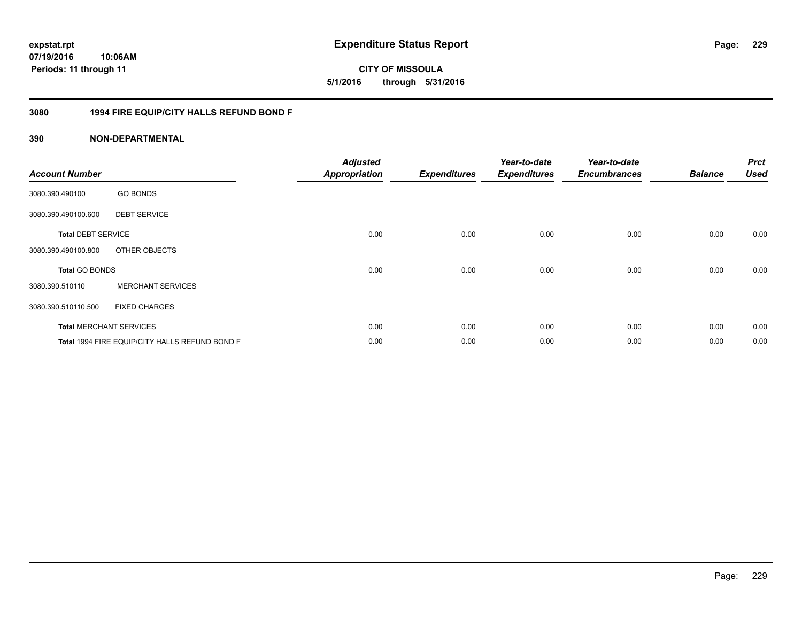## **3080 1994 FIRE EQUIP/CITY HALLS REFUND BOND F**

## **390 NON-DEPARTMENTAL**

| <b>Account Number</b>     |                                                | <b>Adjusted</b><br><b>Appropriation</b> | <b>Expenditures</b> | Year-to-date<br><b>Expenditures</b> | Year-to-date<br><b>Encumbrances</b> | <b>Balance</b> | <b>Prct</b><br><b>Used</b> |
|---------------------------|------------------------------------------------|-----------------------------------------|---------------------|-------------------------------------|-------------------------------------|----------------|----------------------------|
| 3080.390.490100           | <b>GO BONDS</b>                                |                                         |                     |                                     |                                     |                |                            |
| 3080.390.490100.600       | <b>DEBT SERVICE</b>                            |                                         |                     |                                     |                                     |                |                            |
| <b>Total DEBT SERVICE</b> |                                                | 0.00                                    | 0.00                | 0.00                                | 0.00                                | 0.00           | 0.00                       |
| 3080.390.490100.800       | OTHER OBJECTS                                  |                                         |                     |                                     |                                     |                |                            |
| Total GO BONDS            |                                                | 0.00                                    | 0.00                | 0.00                                | 0.00                                | 0.00           | 0.00                       |
| 3080.390.510110           | <b>MERCHANT SERVICES</b>                       |                                         |                     |                                     |                                     |                |                            |
| 3080.390.510110.500       | <b>FIXED CHARGES</b>                           |                                         |                     |                                     |                                     |                |                            |
|                           | <b>Total MERCHANT SERVICES</b>                 | 0.00                                    | 0.00                | 0.00                                | 0.00                                | 0.00           | 0.00                       |
|                           | Total 1994 FIRE EQUIP/CITY HALLS REFUND BOND F | 0.00                                    | 0.00                | 0.00                                | 0.00                                | 0.00           | 0.00                       |

Page: 229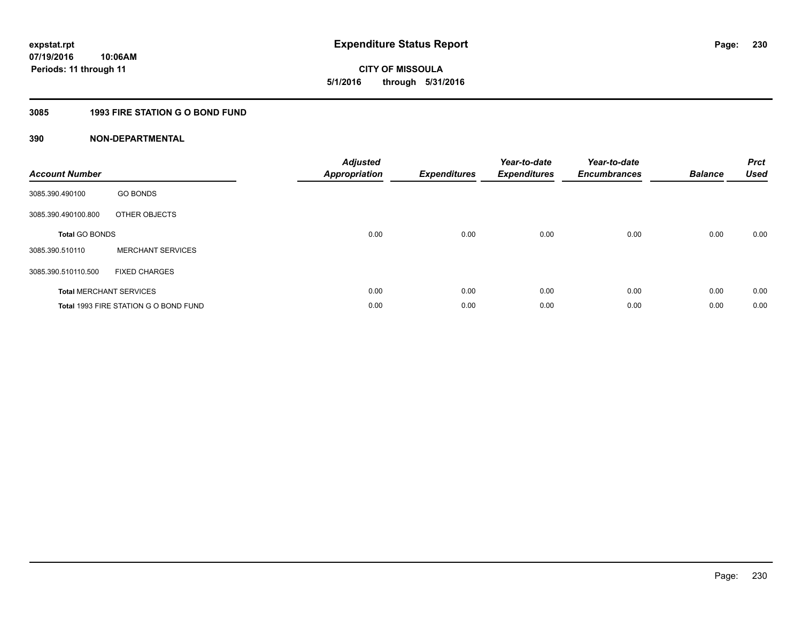**CITY OF MISSOULA 5/1/2016 through 5/31/2016**

# **3085 1993 FIRE STATION G O BOND FUND**

| <b>Account Number</b>          |                                       | <b>Adjusted</b><br>Appropriation | <b>Expenditures</b> | Year-to-date<br><b>Expenditures</b> | Year-to-date<br><b>Encumbrances</b> | <b>Balance</b> | <b>Prct</b><br><b>Used</b> |
|--------------------------------|---------------------------------------|----------------------------------|---------------------|-------------------------------------|-------------------------------------|----------------|----------------------------|
| 3085.390.490100                | <b>GO BONDS</b>                       |                                  |                     |                                     |                                     |                |                            |
| 3085.390.490100.800            | OTHER OBJECTS                         |                                  |                     |                                     |                                     |                |                            |
| <b>Total GO BONDS</b>          |                                       | 0.00                             | 0.00                | 0.00                                | 0.00                                | 0.00           | 0.00                       |
| 3085.390.510110                | <b>MERCHANT SERVICES</b>              |                                  |                     |                                     |                                     |                |                            |
| 3085.390.510110.500            | <b>FIXED CHARGES</b>                  |                                  |                     |                                     |                                     |                |                            |
| <b>Total MERCHANT SERVICES</b> |                                       | 0.00                             | 0.00                | 0.00                                | 0.00                                | 0.00           | 0.00                       |
|                                | Total 1993 FIRE STATION G O BOND FUND | 0.00                             | 0.00                | 0.00                                | 0.00                                | 0.00           | 0.00                       |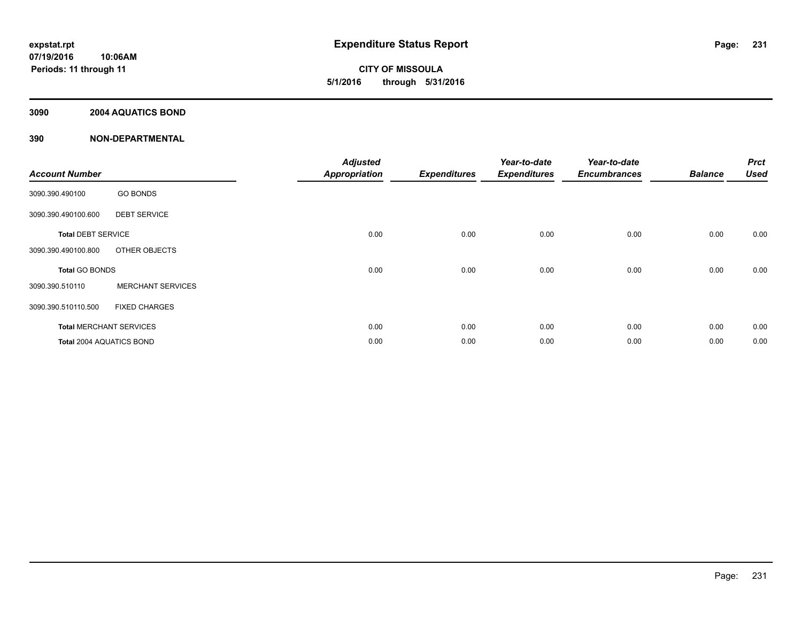**CITY OF MISSOULA 5/1/2016 through 5/31/2016**

## **3090 2004 AQUATICS BOND**

| <b>Account Number</b>          |                          | <b>Adjusted</b><br><b>Appropriation</b> | <b>Expenditures</b> | Year-to-date<br><b>Expenditures</b> | Year-to-date<br><b>Encumbrances</b> | <b>Balance</b> | <b>Prct</b><br><b>Used</b> |
|--------------------------------|--------------------------|-----------------------------------------|---------------------|-------------------------------------|-------------------------------------|----------------|----------------------------|
| 3090.390.490100                | <b>GO BONDS</b>          |                                         |                     |                                     |                                     |                |                            |
| 3090.390.490100.600            | <b>DEBT SERVICE</b>      |                                         |                     |                                     |                                     |                |                            |
| <b>Total DEBT SERVICE</b>      |                          | 0.00                                    | 0.00                | 0.00                                | 0.00                                | 0.00           | 0.00                       |
| 3090.390.490100.800            | OTHER OBJECTS            |                                         |                     |                                     |                                     |                |                            |
| Total GO BONDS                 |                          | 0.00                                    | 0.00                | 0.00                                | 0.00                                | 0.00           | 0.00                       |
| 3090.390.510110                | <b>MERCHANT SERVICES</b> |                                         |                     |                                     |                                     |                |                            |
| 3090.390.510110.500            | <b>FIXED CHARGES</b>     |                                         |                     |                                     |                                     |                |                            |
| <b>Total MERCHANT SERVICES</b> |                          | 0.00                                    | 0.00                | 0.00                                | 0.00                                | 0.00           | 0.00                       |
| Total 2004 AQUATICS BOND       |                          | 0.00                                    | 0.00                | 0.00                                | 0.00                                | 0.00           | 0.00                       |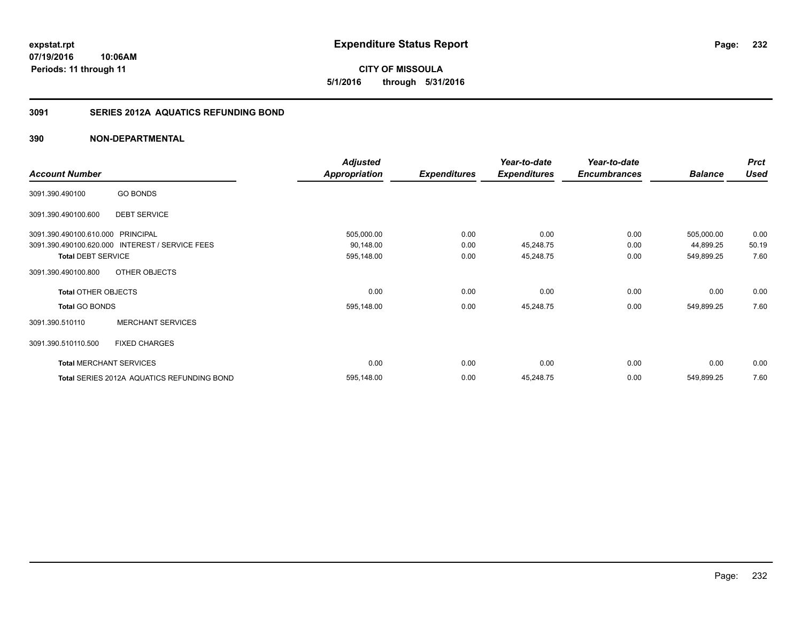**5/1/2016 through 5/31/2016**

## **3091 SERIES 2012A AQUATICS REFUNDING BOND**

## **390 NON-DEPARTMENTAL**

|                                   |                                                 | <b>Adjusted</b>      |                     | Year-to-date        | Year-to-date        |                | <b>Prct</b> |
|-----------------------------------|-------------------------------------------------|----------------------|---------------------|---------------------|---------------------|----------------|-------------|
| <b>Account Number</b>             |                                                 | <b>Appropriation</b> | <b>Expenditures</b> | <b>Expenditures</b> | <b>Encumbrances</b> | <b>Balance</b> | <b>Used</b> |
| 3091.390.490100                   | <b>GO BONDS</b>                                 |                      |                     |                     |                     |                |             |
| 3091.390.490100.600               | <b>DEBT SERVICE</b>                             |                      |                     |                     |                     |                |             |
| 3091.390.490100.610.000 PRINCIPAL |                                                 | 505,000.00           | 0.00                | 0.00                | 0.00                | 505,000.00     | 0.00        |
|                                   | 3091.390.490100.620.000 INTEREST / SERVICE FEES | 90,148.00            | 0.00                | 45,248.75           | 0.00                | 44,899.25      | 50.19       |
| <b>Total DEBT SERVICE</b>         |                                                 | 595,148.00           | 0.00                | 45,248.75           | 0.00                | 549,899.25     | 7.60        |
| 3091.390.490100.800               | OTHER OBJECTS                                   |                      |                     |                     |                     |                |             |
| <b>Total OTHER OBJECTS</b>        |                                                 | 0.00                 | 0.00                | 0.00                | 0.00                | 0.00           | 0.00        |
| <b>Total GO BONDS</b>             |                                                 | 595,148.00           | 0.00                | 45,248.75           | 0.00                | 549,899.25     | 7.60        |
| 3091.390.510110                   | <b>MERCHANT SERVICES</b>                        |                      |                     |                     |                     |                |             |
| 3091.390.510110.500               | <b>FIXED CHARGES</b>                            |                      |                     |                     |                     |                |             |
|                                   | <b>Total MERCHANT SERVICES</b>                  | 0.00                 | 0.00                | 0.00                | 0.00                | 0.00           | 0.00        |
|                                   | Total SERIES 2012A AQUATICS REFUNDING BOND      | 595,148.00           | 0.00                | 45,248.75           | 0.00                | 549,899.25     | 7.60        |

**232**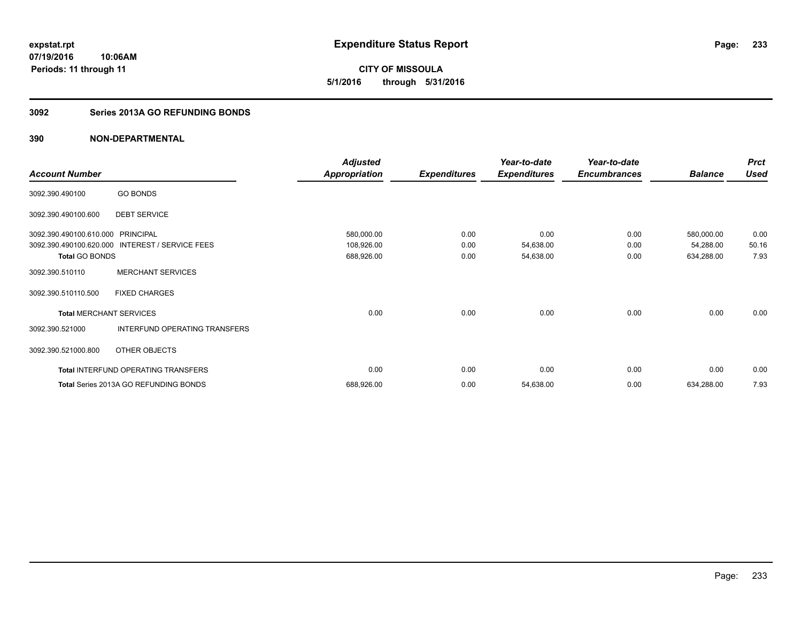**CITY OF MISSOULA 5/1/2016 through 5/31/2016**

#### **3092 Series 2013A GO REFUNDING BONDS**

|                                |                                       | <b>Adjusted</b>      |                     | Year-to-date        | Year-to-date        |                | <b>Prct</b> |
|--------------------------------|---------------------------------------|----------------------|---------------------|---------------------|---------------------|----------------|-------------|
| <b>Account Number</b>          |                                       | <b>Appropriation</b> | <b>Expenditures</b> | <b>Expenditures</b> | <b>Encumbrances</b> | <b>Balance</b> | <b>Used</b> |
| 3092.390.490100                | <b>GO BONDS</b>                       |                      |                     |                     |                     |                |             |
| 3092.390.490100.600            | <b>DEBT SERVICE</b>                   |                      |                     |                     |                     |                |             |
| 3092.390.490100.610.000        | <b>PRINCIPAL</b>                      | 580,000.00           | 0.00                | 0.00                | 0.00                | 580,000.00     | 0.00        |
| 3092.390.490100.620.000        | <b>INTEREST / SERVICE FEES</b>        | 108,926.00           | 0.00                | 54,638.00           | 0.00                | 54,288.00      | 50.16       |
| <b>Total GO BONDS</b>          |                                       | 688,926.00           | 0.00                | 54,638.00           | 0.00                | 634,288.00     | 7.93        |
| 3092.390.510110                | <b>MERCHANT SERVICES</b>              |                      |                     |                     |                     |                |             |
| 3092.390.510110.500            | <b>FIXED CHARGES</b>                  |                      |                     |                     |                     |                |             |
| <b>Total MERCHANT SERVICES</b> |                                       | 0.00                 | 0.00                | 0.00                | 0.00                | 0.00           | 0.00        |
| 3092.390.521000                | INTERFUND OPERATING TRANSFERS         |                      |                     |                     |                     |                |             |
| 3092.390.521000.800            | OTHER OBJECTS                         |                      |                     |                     |                     |                |             |
|                                | Total INTERFUND OPERATING TRANSFERS   | 0.00                 | 0.00                | 0.00                | 0.00                | 0.00           | 0.00        |
|                                | Total Series 2013A GO REFUNDING BONDS | 688,926.00           | 0.00                | 54,638.00           | 0.00                | 634,288.00     | 7.93        |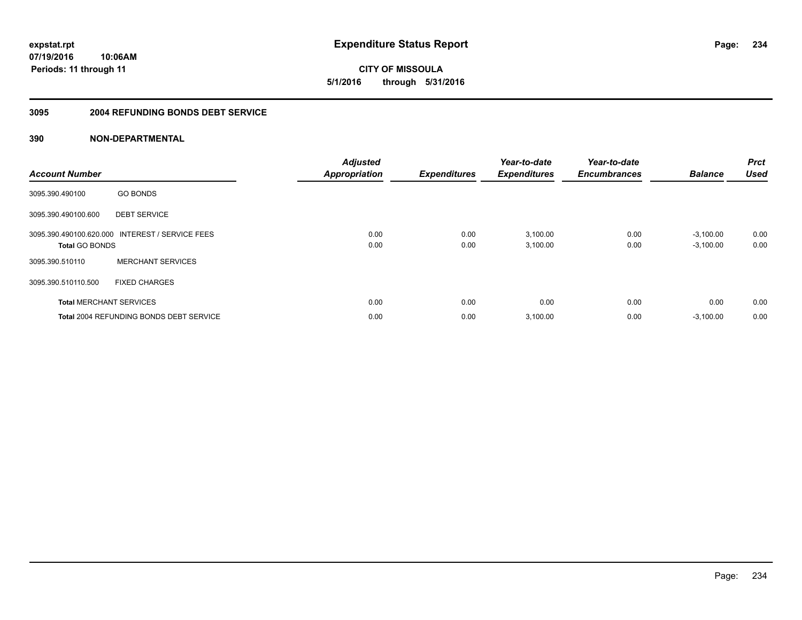**CITY OF MISSOULA 5/1/2016 through 5/31/2016**

#### **3095 2004 REFUNDING BONDS DEBT SERVICE**

| <b>Account Number</b> |                                                 | <b>Adjusted</b><br><b>Appropriation</b> | <b>Expenditures</b> | Year-to-date<br><b>Expenditures</b> | Year-to-date<br><b>Encumbrances</b> | <b>Balance</b> | <b>Prct</b><br><b>Used</b> |
|-----------------------|-------------------------------------------------|-----------------------------------------|---------------------|-------------------------------------|-------------------------------------|----------------|----------------------------|
| 3095.390.490100       | <b>GO BONDS</b>                                 |                                         |                     |                                     |                                     |                |                            |
| 3095.390.490100.600   | <b>DEBT SERVICE</b>                             |                                         |                     |                                     |                                     |                |                            |
|                       | 3095.390.490100.620.000 INTEREST / SERVICE FEES | 0.00                                    | 0.00                | 3,100.00                            | 0.00                                | $-3,100.00$    | 0.00                       |
| <b>Total GO BONDS</b> |                                                 | 0.00                                    | 0.00                | 3,100.00                            | 0.00                                | $-3,100.00$    | 0.00                       |
| 3095.390.510110       | <b>MERCHANT SERVICES</b>                        |                                         |                     |                                     |                                     |                |                            |
| 3095.390.510110.500   | <b>FIXED CHARGES</b>                            |                                         |                     |                                     |                                     |                |                            |
|                       | <b>Total MERCHANT SERVICES</b>                  | 0.00                                    | 0.00                | 0.00                                | 0.00                                | 0.00           | 0.00                       |
|                       | <b>Total 2004 REFUNDING BONDS DEBT SERVICE</b>  | 0.00                                    | 0.00                | 3,100.00                            | 0.00                                | $-3,100.00$    | 0.00                       |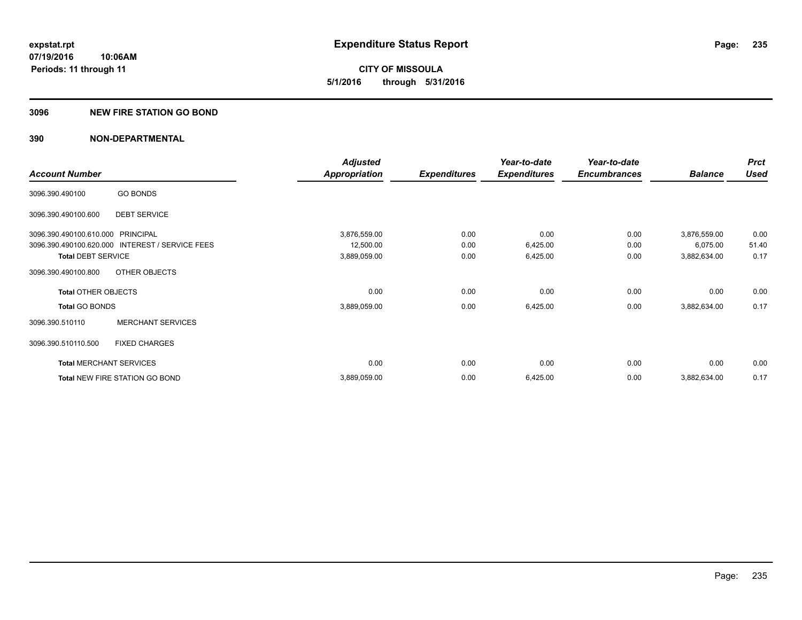**CITY OF MISSOULA 5/1/2016 through 5/31/2016**

#### **3096 NEW FIRE STATION GO BOND**

|                                   |                                                 | <b>Adjusted</b> |                     | Year-to-date        | Year-to-date        |                | <b>Prct</b> |
|-----------------------------------|-------------------------------------------------|-----------------|---------------------|---------------------|---------------------|----------------|-------------|
| <b>Account Number</b>             |                                                 | Appropriation   | <b>Expenditures</b> | <b>Expenditures</b> | <b>Encumbrances</b> | <b>Balance</b> | <b>Used</b> |
| 3096.390.490100                   | <b>GO BONDS</b>                                 |                 |                     |                     |                     |                |             |
| 3096.390.490100.600               | <b>DEBT SERVICE</b>                             |                 |                     |                     |                     |                |             |
| 3096.390.490100.610.000 PRINCIPAL |                                                 | 3,876,559.00    | 0.00                | 0.00                | 0.00                | 3,876,559.00   | 0.00        |
|                                   | 3096.390.490100.620.000 INTEREST / SERVICE FEES | 12,500.00       | 0.00                | 6,425.00            | 0.00                | 6,075.00       | 51.40       |
| <b>Total DEBT SERVICE</b>         |                                                 | 3,889,059.00    | 0.00                | 6,425.00            | 0.00                | 3,882,634.00   | 0.17        |
| 3096.390.490100.800               | OTHER OBJECTS                                   |                 |                     |                     |                     |                |             |
| <b>Total OTHER OBJECTS</b>        |                                                 | 0.00            | 0.00                | 0.00                | 0.00                | 0.00           | 0.00        |
| <b>Total GO BONDS</b>             |                                                 | 3,889,059.00    | 0.00                | 6,425.00            | 0.00                | 3,882,634.00   | 0.17        |
| 3096.390.510110                   | <b>MERCHANT SERVICES</b>                        |                 |                     |                     |                     |                |             |
| 3096.390.510110.500               | <b>FIXED CHARGES</b>                            |                 |                     |                     |                     |                |             |
|                                   | <b>Total MERCHANT SERVICES</b>                  | 0.00            | 0.00                | 0.00                | 0.00                | 0.00           | 0.00        |
|                                   | Total NEW FIRE STATION GO BOND                  | 3,889,059.00    | 0.00                | 6,425.00            | 0.00                | 3,882,634.00   | 0.17        |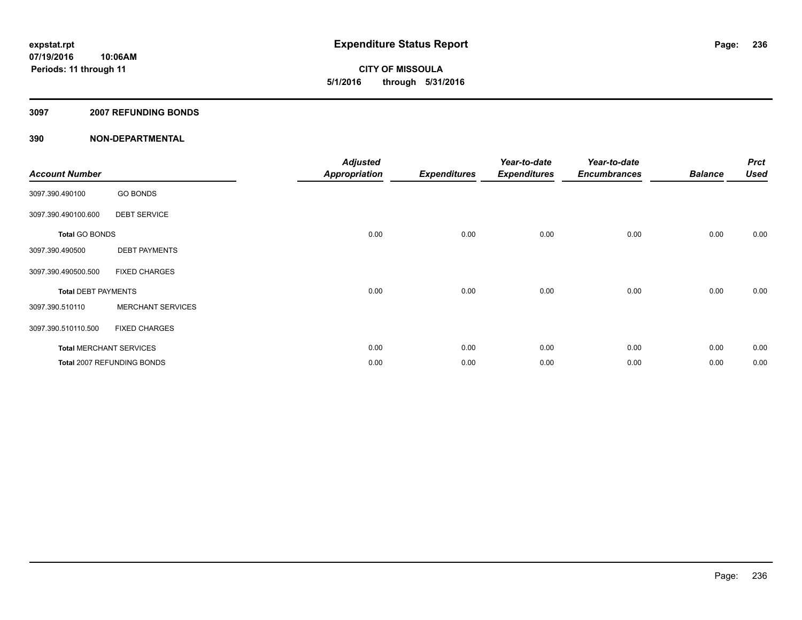**CITY OF MISSOULA 5/1/2016 through 5/31/2016**

#### **3097 2007 REFUNDING BONDS**

| <b>Account Number</b>      |                                | <b>Adjusted</b><br><b>Appropriation</b> | <b>Expenditures</b> | Year-to-date<br><b>Expenditures</b> | Year-to-date<br><b>Encumbrances</b> | <b>Balance</b> | <b>Prct</b><br><b>Used</b> |
|----------------------------|--------------------------------|-----------------------------------------|---------------------|-------------------------------------|-------------------------------------|----------------|----------------------------|
| 3097.390.490100            | <b>GO BONDS</b>                |                                         |                     |                                     |                                     |                |                            |
| 3097.390.490100.600        | <b>DEBT SERVICE</b>            |                                         |                     |                                     |                                     |                |                            |
| <b>Total GO BONDS</b>      |                                | 0.00                                    | 0.00                | 0.00                                | 0.00                                | 0.00           | 0.00                       |
| 3097.390.490500            | <b>DEBT PAYMENTS</b>           |                                         |                     |                                     |                                     |                |                            |
| 3097.390.490500.500        | <b>FIXED CHARGES</b>           |                                         |                     |                                     |                                     |                |                            |
| <b>Total DEBT PAYMENTS</b> |                                | 0.00                                    | 0.00                | 0.00                                | 0.00                                | 0.00           | 0.00                       |
| 3097.390.510110            | <b>MERCHANT SERVICES</b>       |                                         |                     |                                     |                                     |                |                            |
| 3097.390.510110.500        | <b>FIXED CHARGES</b>           |                                         |                     |                                     |                                     |                |                            |
|                            | <b>Total MERCHANT SERVICES</b> | 0.00                                    | 0.00                | 0.00                                | 0.00                                | 0.00           | 0.00                       |
|                            | Total 2007 REFUNDING BONDS     | 0.00                                    | 0.00                | 0.00                                | 0.00                                | 0.00           | 0.00                       |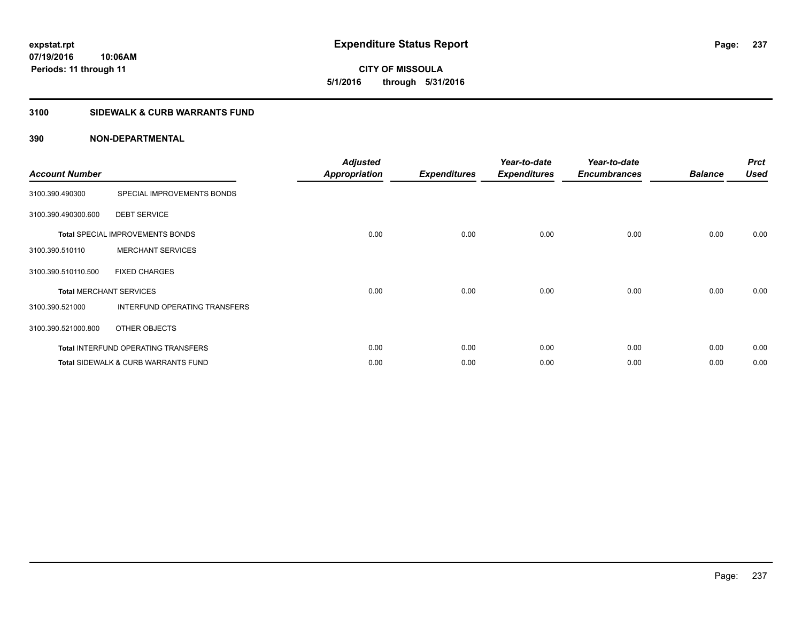**CITY OF MISSOULA 5/1/2016 through 5/31/2016**

### **3100 SIDEWALK & CURB WARRANTS FUND**

| <b>Account Number</b>          |                                            | <b>Adjusted</b><br><b>Appropriation</b> | <b>Expenditures</b> | Year-to-date<br><b>Expenditures</b> | Year-to-date<br><b>Encumbrances</b> | <b>Balance</b> | <b>Prct</b><br><b>Used</b> |
|--------------------------------|--------------------------------------------|-----------------------------------------|---------------------|-------------------------------------|-------------------------------------|----------------|----------------------------|
| 3100.390.490300                | SPECIAL IMPROVEMENTS BONDS                 |                                         |                     |                                     |                                     |                |                            |
| 3100.390.490300.600            | <b>DEBT SERVICE</b>                        |                                         |                     |                                     |                                     |                |                            |
|                                | <b>Total SPECIAL IMPROVEMENTS BONDS</b>    | 0.00                                    | 0.00                | 0.00                                | 0.00                                | 0.00           | 0.00                       |
| 3100.390.510110                | <b>MERCHANT SERVICES</b>                   |                                         |                     |                                     |                                     |                |                            |
| 3100.390.510110.500            | <b>FIXED CHARGES</b>                       |                                         |                     |                                     |                                     |                |                            |
| <b>Total MERCHANT SERVICES</b> |                                            | 0.00                                    | 0.00                | 0.00                                | 0.00                                | 0.00           | 0.00                       |
| 3100.390.521000                | INTERFUND OPERATING TRANSFERS              |                                         |                     |                                     |                                     |                |                            |
| 3100.390.521000.800            | OTHER OBJECTS                              |                                         |                     |                                     |                                     |                |                            |
|                                | <b>Total INTERFUND OPERATING TRANSFERS</b> | 0.00                                    | 0.00                | 0.00                                | 0.00                                | 0.00           | 0.00                       |
|                                | Total SIDEWALK & CURB WARRANTS FUND        | 0.00                                    | 0.00                | 0.00                                | 0.00                                | 0.00           | 0.00                       |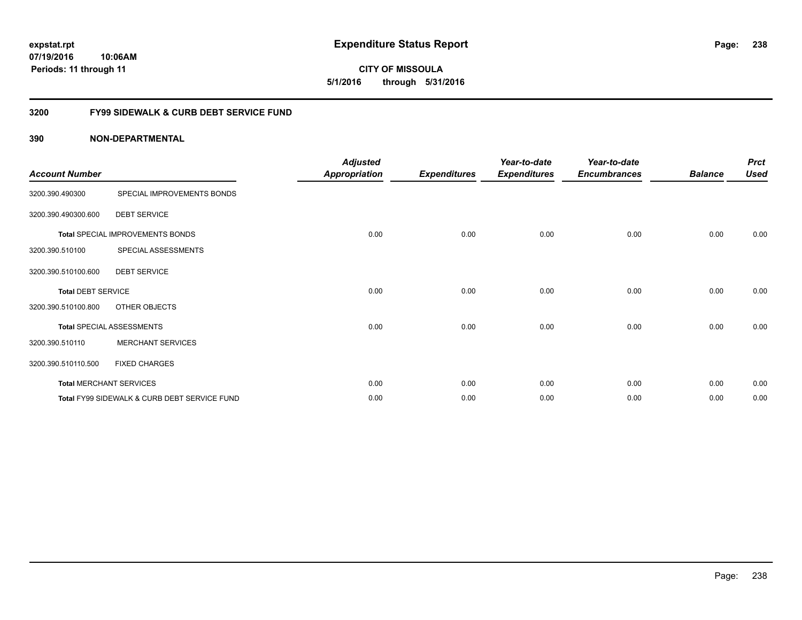**CITY OF MISSOULA 5/1/2016 through 5/31/2016**

## **3200 FY99 SIDEWALK & CURB DEBT SERVICE FUND**

| <b>Account Number</b>     |                                              | <b>Adjusted</b><br><b>Appropriation</b> | <b>Expenditures</b> | Year-to-date<br><b>Expenditures</b> | Year-to-date<br><b>Encumbrances</b> | <b>Balance</b> | <b>Prct</b><br><b>Used</b> |
|---------------------------|----------------------------------------------|-----------------------------------------|---------------------|-------------------------------------|-------------------------------------|----------------|----------------------------|
| 3200.390.490300           | SPECIAL IMPROVEMENTS BONDS                   |                                         |                     |                                     |                                     |                |                            |
| 3200.390.490300.600       | <b>DEBT SERVICE</b>                          |                                         |                     |                                     |                                     |                |                            |
|                           | Total SPECIAL IMPROVEMENTS BONDS             | 0.00                                    | 0.00                | 0.00                                | 0.00                                | 0.00           | 0.00                       |
| 3200.390.510100           | SPECIAL ASSESSMENTS                          |                                         |                     |                                     |                                     |                |                            |
| 3200.390.510100.600       | <b>DEBT SERVICE</b>                          |                                         |                     |                                     |                                     |                |                            |
| <b>Total DEBT SERVICE</b> |                                              | 0.00                                    | 0.00                | 0.00                                | 0.00                                | 0.00           | 0.00                       |
| 3200.390.510100.800       | OTHER OBJECTS                                |                                         |                     |                                     |                                     |                |                            |
|                           | <b>Total SPECIAL ASSESSMENTS</b>             | 0.00                                    | 0.00                | 0.00                                | 0.00                                | 0.00           | 0.00                       |
| 3200.390.510110           | <b>MERCHANT SERVICES</b>                     |                                         |                     |                                     |                                     |                |                            |
| 3200.390.510110.500       | <b>FIXED CHARGES</b>                         |                                         |                     |                                     |                                     |                |                            |
|                           | <b>Total MERCHANT SERVICES</b>               | 0.00                                    | 0.00                | 0.00                                | 0.00                                | 0.00           | 0.00                       |
|                           | Total FY99 SIDEWALK & CURB DEBT SERVICE FUND | 0.00                                    | 0.00                | 0.00                                | 0.00                                | 0.00           | 0.00                       |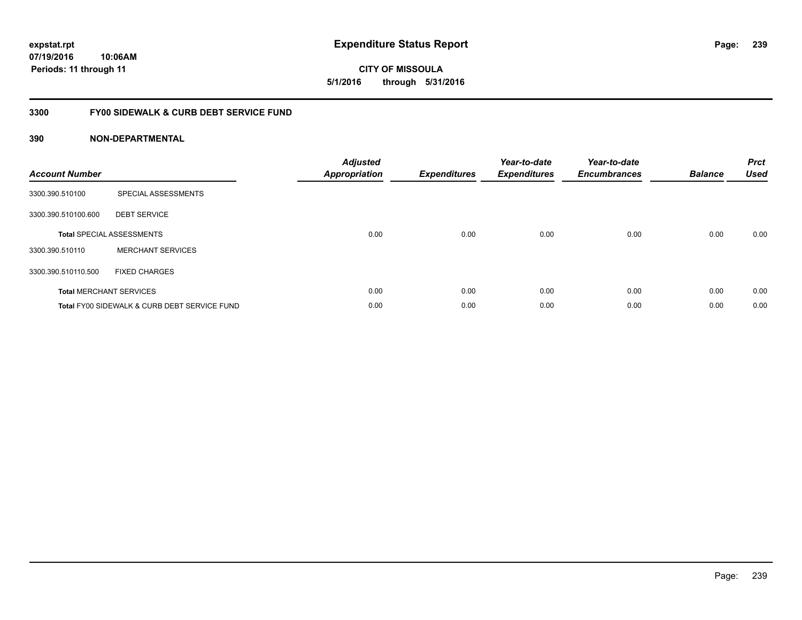## **3300 FY00 SIDEWALK & CURB DEBT SERVICE FUND**

| <b>Account Number</b> |                                              | <b>Adjusted</b><br><b>Appropriation</b> | <b>Expenditures</b> | Year-to-date<br><b>Expenditures</b> | Year-to-date<br><b>Encumbrances</b> | <b>Balance</b> | <b>Prct</b><br><b>Used</b> |
|-----------------------|----------------------------------------------|-----------------------------------------|---------------------|-------------------------------------|-------------------------------------|----------------|----------------------------|
| 3300.390.510100       | SPECIAL ASSESSMENTS                          |                                         |                     |                                     |                                     |                |                            |
| 3300.390.510100.600   | <b>DEBT SERVICE</b>                          |                                         |                     |                                     |                                     |                |                            |
|                       | <b>Total SPECIAL ASSESSMENTS</b>             | 0.00                                    | 0.00                | 0.00                                | 0.00                                | 0.00           | 0.00                       |
| 3300.390.510110       | <b>MERCHANT SERVICES</b>                     |                                         |                     |                                     |                                     |                |                            |
| 3300.390.510110.500   | <b>FIXED CHARGES</b>                         |                                         |                     |                                     |                                     |                |                            |
|                       | <b>Total MERCHANT SERVICES</b>               | 0.00                                    | 0.00                | 0.00                                | 0.00                                | 0.00           | 0.00                       |
|                       | Total FY00 SIDEWALK & CURB DEBT SERVICE FUND | 0.00                                    | 0.00                | 0.00                                | 0.00                                | 0.00           | 0.00                       |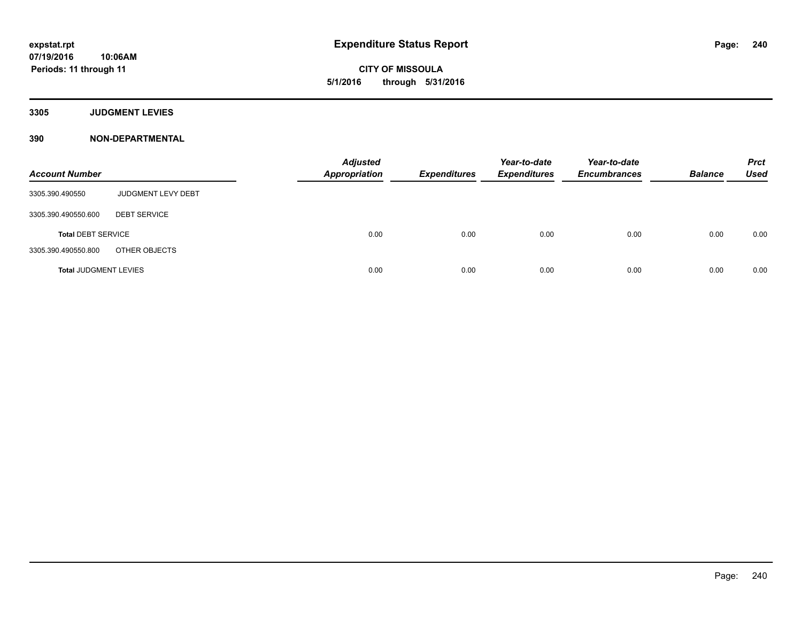**CITY OF MISSOULA 5/1/2016 through 5/31/2016**

**3305 JUDGMENT LEVIES**

| <b>Account Number</b>        |                     | <b>Adjusted</b><br><b>Appropriation</b> | <b>Expenditures</b> | Year-to-date<br><b>Expenditures</b> | Year-to-date<br><b>Encumbrances</b> | <b>Balance</b> | <b>Prct</b><br><b>Used</b> |
|------------------------------|---------------------|-----------------------------------------|---------------------|-------------------------------------|-------------------------------------|----------------|----------------------------|
| 3305.390.490550              | JUDGMENT LEVY DEBT  |                                         |                     |                                     |                                     |                |                            |
| 3305.390.490550.600          | <b>DEBT SERVICE</b> |                                         |                     |                                     |                                     |                |                            |
| <b>Total DEBT SERVICE</b>    |                     | 0.00                                    | 0.00                | 0.00                                | 0.00                                | 0.00           | 0.00                       |
| 3305.390.490550.800          | OTHER OBJECTS       |                                         |                     |                                     |                                     |                |                            |
| <b>Total JUDGMENT LEVIES</b> |                     | 0.00                                    | 0.00                | 0.00                                | 0.00                                | 0.00           | 0.00                       |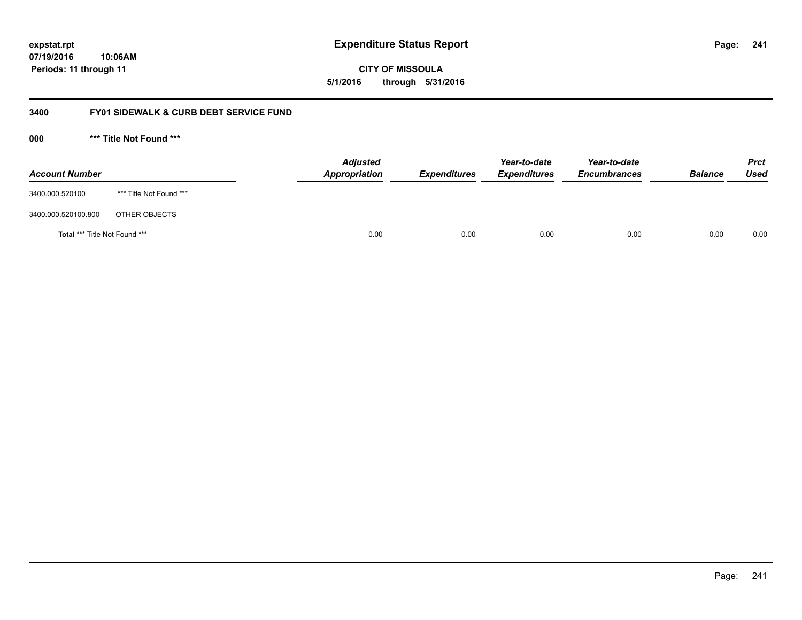**CITY OF MISSOULA 5/1/2016 through 5/31/2016**

## **3400 FY01 SIDEWALK & CURB DEBT SERVICE FUND**

**000 \*\*\* Title Not Found \*\*\***

| <b>Account Number</b>         |                         | <b>Adjusted</b><br>Appropriation | <b>Expenditures</b> | Year-to-date<br><b>Expenditures</b> | Year-to-date<br><b>Encumbrances</b> | <b>Balance</b> | <b>Prct</b><br><b>Used</b> |
|-------------------------------|-------------------------|----------------------------------|---------------------|-------------------------------------|-------------------------------------|----------------|----------------------------|
| 3400.000.520100               | *** Title Not Found *** |                                  |                     |                                     |                                     |                |                            |
| 3400.000.520100.800           | OTHER OBJECTS           |                                  |                     |                                     |                                     |                |                            |
| Total *** Title Not Found *** |                         | 0.00                             | 0.00                | 0.00                                | 0.00                                | 0.00           | 0.00                       |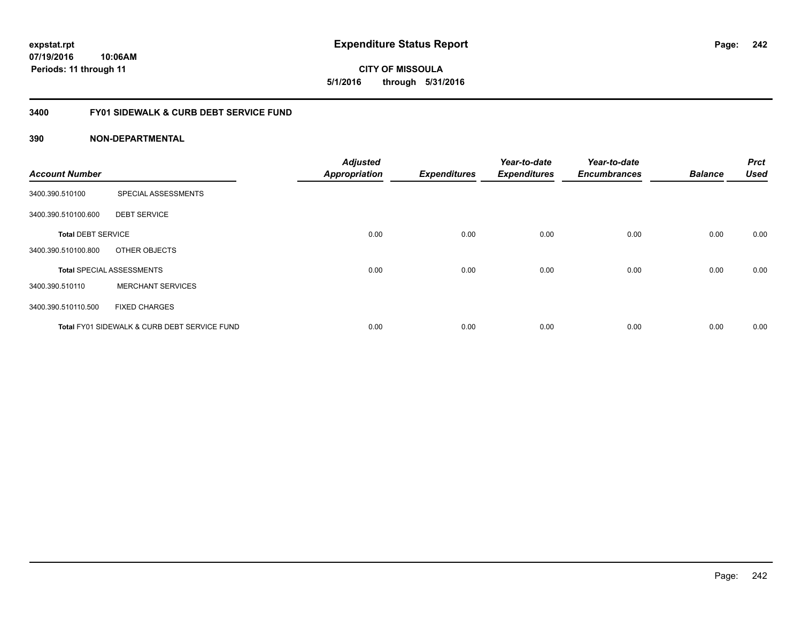**CITY OF MISSOULA 5/1/2016 through 5/31/2016**

## **3400 FY01 SIDEWALK & CURB DEBT SERVICE FUND**

| <b>Account Number</b>     |                                              | <b>Adjusted</b><br><b>Appropriation</b> | <b>Expenditures</b> | Year-to-date<br><b>Expenditures</b> | Year-to-date<br><b>Encumbrances</b> | <b>Balance</b> | <b>Prct</b><br><b>Used</b> |
|---------------------------|----------------------------------------------|-----------------------------------------|---------------------|-------------------------------------|-------------------------------------|----------------|----------------------------|
|                           |                                              |                                         |                     |                                     |                                     |                |                            |
| 3400.390.510100           | SPECIAL ASSESSMENTS                          |                                         |                     |                                     |                                     |                |                            |
| 3400.390.510100.600       | <b>DEBT SERVICE</b>                          |                                         |                     |                                     |                                     |                |                            |
| <b>Total DEBT SERVICE</b> |                                              | 0.00                                    | 0.00                | 0.00                                | 0.00                                | 0.00           | 0.00                       |
| 3400.390.510100.800       | OTHER OBJECTS                                |                                         |                     |                                     |                                     |                |                            |
|                           | <b>Total SPECIAL ASSESSMENTS</b>             | 0.00                                    | 0.00                | 0.00                                | 0.00                                | 0.00           | 0.00                       |
| 3400.390.510110           | <b>MERCHANT SERVICES</b>                     |                                         |                     |                                     |                                     |                |                            |
| 3400.390.510110.500       | <b>FIXED CHARGES</b>                         |                                         |                     |                                     |                                     |                |                            |
|                           | Total FY01 SIDEWALK & CURB DEBT SERVICE FUND | 0.00                                    | 0.00                | 0.00                                | 0.00                                | 0.00           | 0.00                       |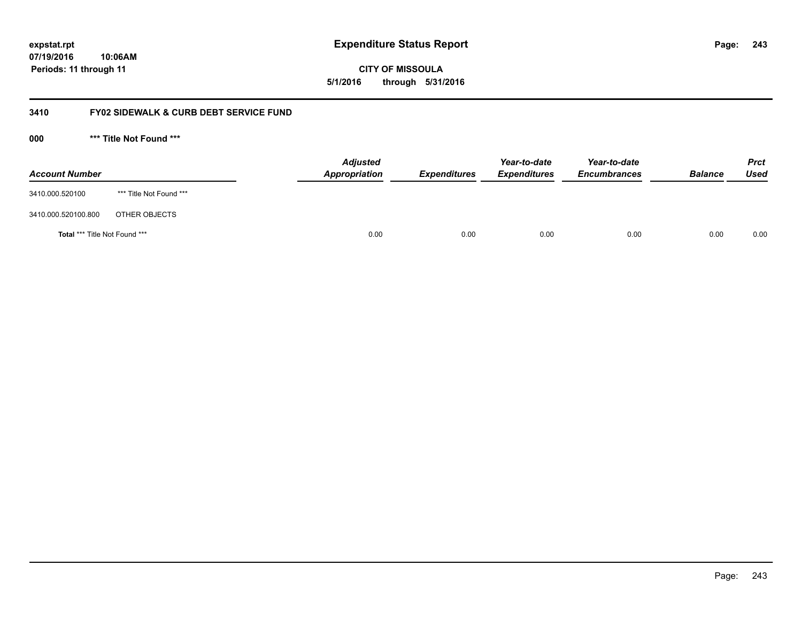**CITY OF MISSOULA 5/1/2016 through 5/31/2016**

## **3410 FY02 SIDEWALK & CURB DEBT SERVICE FUND**

**000 \*\*\* Title Not Found \*\*\***

| <b>Account Number</b>         |                         | <b>Adjusted</b><br>Appropriation | <b>Expenditures</b> | Year-to-date<br><b>Expenditures</b> | Year-to-date<br><b>Encumbrances</b> | <b>Balance</b> | <b>Prct</b><br><b>Used</b> |
|-------------------------------|-------------------------|----------------------------------|---------------------|-------------------------------------|-------------------------------------|----------------|----------------------------|
| 3410.000.520100               | *** Title Not Found *** |                                  |                     |                                     |                                     |                |                            |
| 3410.000.520100.800           | OTHER OBJECTS           |                                  |                     |                                     |                                     |                |                            |
| Total *** Title Not Found *** |                         | 0.00                             | 0.00                | 0.00                                | 0.00                                | 0.00           | 0.00                       |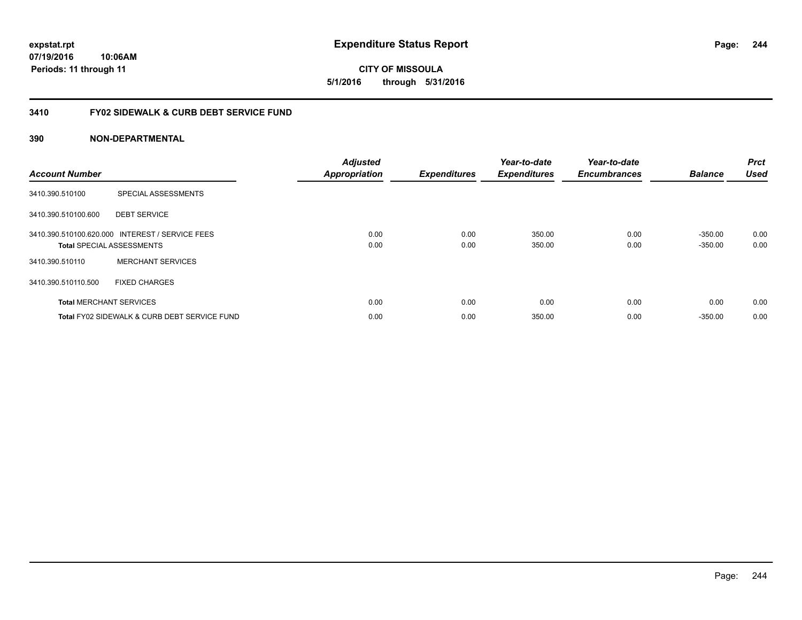## **3410 FY02 SIDEWALK & CURB DEBT SERVICE FUND**

| <b>Account Number</b>            |                                                 | <b>Adjusted</b><br><b>Appropriation</b> | <b>Expenditures</b> | Year-to-date<br><b>Expenditures</b> | Year-to-date<br><b>Encumbrances</b> | <b>Balance</b>         | <b>Prct</b><br><b>Used</b> |
|----------------------------------|-------------------------------------------------|-----------------------------------------|---------------------|-------------------------------------|-------------------------------------|------------------------|----------------------------|
| 3410.390.510100                  | SPECIAL ASSESSMENTS                             |                                         |                     |                                     |                                     |                        |                            |
| 3410.390.510100.600              | <b>DEBT SERVICE</b>                             |                                         |                     |                                     |                                     |                        |                            |
| <b>Total SPECIAL ASSESSMENTS</b> | 3410.390.510100.620.000 INTEREST / SERVICE FEES | 0.00<br>0.00                            | 0.00<br>0.00        | 350.00<br>350.00                    | 0.00<br>0.00                        | $-350.00$<br>$-350.00$ | 0.00<br>0.00               |
| 3410.390.510110                  | <b>MERCHANT SERVICES</b>                        |                                         |                     |                                     |                                     |                        |                            |
| 3410.390.510110.500              | <b>FIXED CHARGES</b>                            |                                         |                     |                                     |                                     |                        |                            |
| <b>Total MERCHANT SERVICES</b>   |                                                 | 0.00                                    | 0.00                | 0.00                                | 0.00                                | 0.00                   | 0.00                       |
|                                  | Total FY02 SIDEWALK & CURB DEBT SERVICE FUND    | 0.00                                    | 0.00                | 350.00                              | 0.00                                | $-350.00$              | 0.00                       |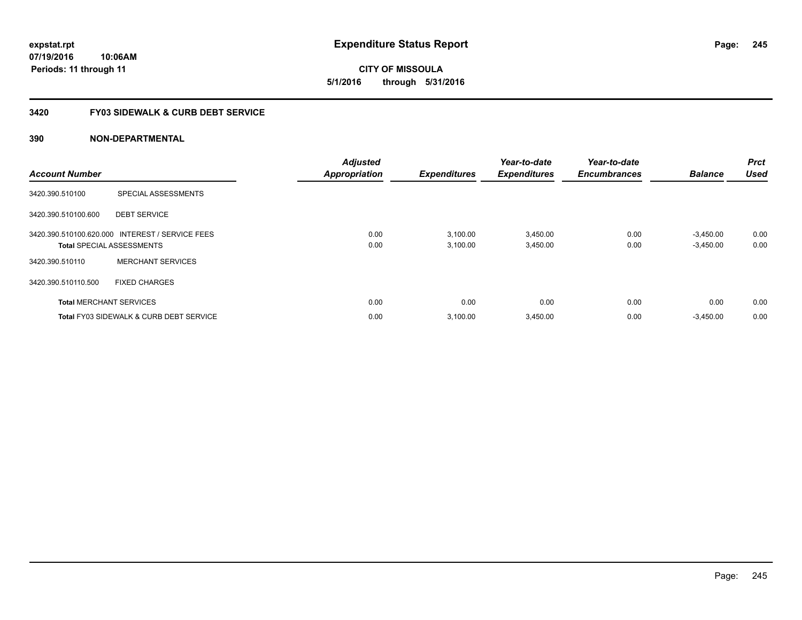# **CITY OF MISSOULA 5/1/2016 through 5/31/2016**

## **3420 FY03 SIDEWALK & CURB DEBT SERVICE**

| <b>Account Number</b> |                                                                                     | <b>Adjusted</b><br><b>Appropriation</b> | <b>Expenditures</b>  | Year-to-date<br><b>Expenditures</b> | Year-to-date<br><b>Encumbrances</b> | <b>Balance</b>             | <b>Prct</b><br><b>Used</b> |
|-----------------------|-------------------------------------------------------------------------------------|-----------------------------------------|----------------------|-------------------------------------|-------------------------------------|----------------------------|----------------------------|
| 3420.390.510100       | SPECIAL ASSESSMENTS                                                                 |                                         |                      |                                     |                                     |                            |                            |
| 3420.390.510100.600   | <b>DEBT SERVICE</b>                                                                 |                                         |                      |                                     |                                     |                            |                            |
|                       | 3420.390.510100.620.000 INTEREST / SERVICE FEES<br><b>Total SPECIAL ASSESSMENTS</b> | 0.00<br>0.00                            | 3,100.00<br>3.100.00 | 3,450.00<br>3,450.00                | 0.00<br>0.00                        | $-3,450.00$<br>$-3,450.00$ | 0.00<br>0.00               |
| 3420.390.510110       | <b>MERCHANT SERVICES</b>                                                            |                                         |                      |                                     |                                     |                            |                            |
| 3420.390.510110.500   | <b>FIXED CHARGES</b>                                                                |                                         |                      |                                     |                                     |                            |                            |
|                       | <b>Total MERCHANT SERVICES</b>                                                      | 0.00                                    | 0.00                 | 0.00                                | 0.00                                | 0.00                       | 0.00                       |
|                       | <b>Total FY03 SIDEWALK &amp; CURB DEBT SERVICE</b>                                  | 0.00                                    | 3,100.00             | 3,450.00                            | 0.00                                | $-3,450.00$                | 0.00                       |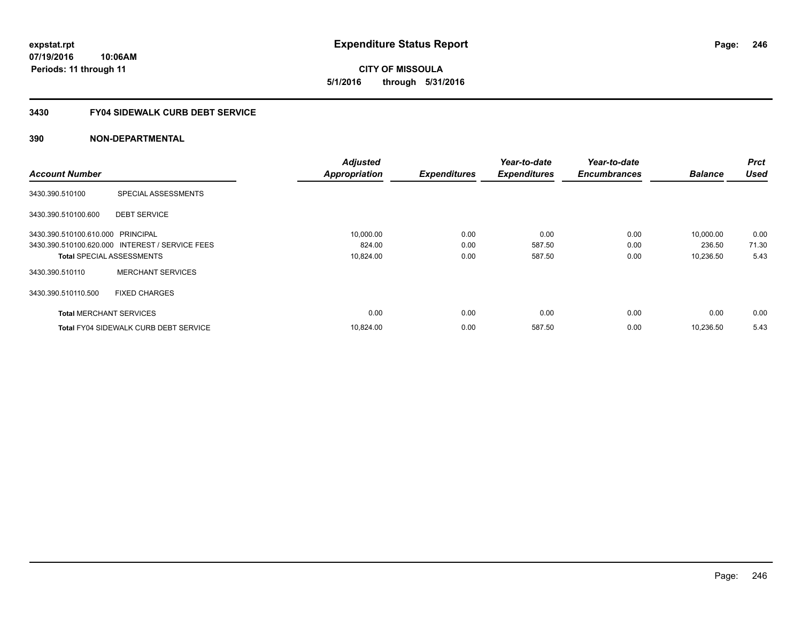**expstat.rpt Expenditure Status Report** 

**07/19/2016 10:06AM Periods: 11 through 11**

**CITY OF MISSOULA 5/1/2016 through 5/31/2016**

### **3430 FY04 SIDEWALK CURB DEBT SERVICE**

|                                   |                                                 | <b>Adjusted</b>      |                     | Year-to-date        | Year-to-date        |                | <b>Prct</b> |
|-----------------------------------|-------------------------------------------------|----------------------|---------------------|---------------------|---------------------|----------------|-------------|
| <b>Account Number</b>             |                                                 | <b>Appropriation</b> | <b>Expenditures</b> | <b>Expenditures</b> | <b>Encumbrances</b> | <b>Balance</b> | <b>Used</b> |
| 3430.390.510100                   | SPECIAL ASSESSMENTS                             |                      |                     |                     |                     |                |             |
| 3430.390.510100.600               | <b>DEBT SERVICE</b>                             |                      |                     |                     |                     |                |             |
| 3430.390.510100.610.000 PRINCIPAL |                                                 | 10,000.00            | 0.00                | 0.00                | 0.00                | 10,000.00      | 0.00        |
|                                   | 3430.390.510100.620.000 INTEREST / SERVICE FEES | 824.00               | 0.00                | 587.50              | 0.00                | 236.50         | 71.30       |
| <b>Total SPECIAL ASSESSMENTS</b>  |                                                 | 10,824.00            | 0.00                | 587.50              | 0.00                | 10,236.50      | 5.43        |
| 3430.390.510110                   | <b>MERCHANT SERVICES</b>                        |                      |                     |                     |                     |                |             |
| 3430.390.510110.500               | <b>FIXED CHARGES</b>                            |                      |                     |                     |                     |                |             |
| <b>Total MERCHANT SERVICES</b>    |                                                 | 0.00                 | 0.00                | 0.00                | 0.00                | 0.00           | 0.00        |
|                                   | <b>Total FY04 SIDEWALK CURB DEBT SERVICE</b>    | 10,824.00            | 0.00                | 587.50              | 0.00                | 10,236.50      | 5.43        |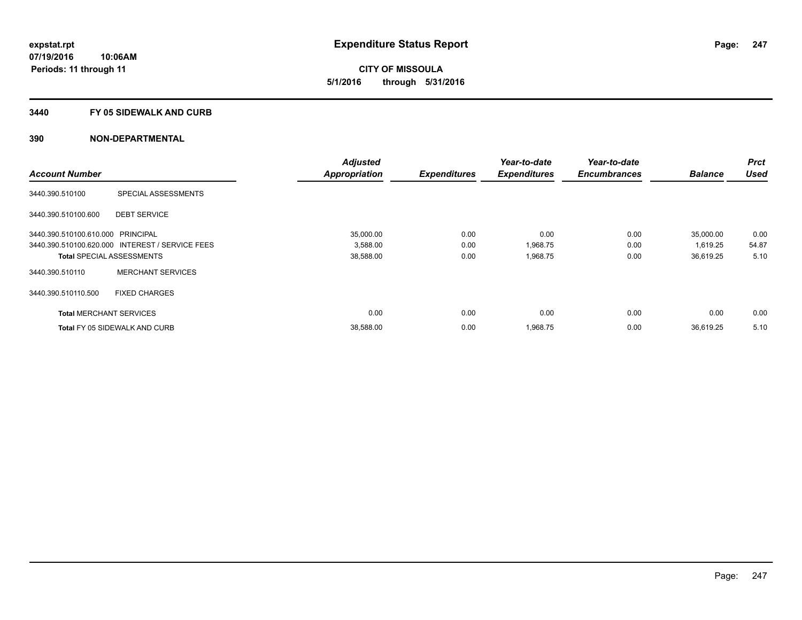**CITY OF MISSOULA 5/1/2016 through 5/31/2016**

#### **3440 FY 05 SIDEWALK AND CURB**

|                                   |                                                 | <b>Adjusted</b>      |                     | Year-to-date        | Year-to-date        |                | <b>Prct</b> |
|-----------------------------------|-------------------------------------------------|----------------------|---------------------|---------------------|---------------------|----------------|-------------|
| <b>Account Number</b>             |                                                 | <b>Appropriation</b> | <b>Expenditures</b> | <b>Expenditures</b> | <b>Encumbrances</b> | <b>Balance</b> | <b>Used</b> |
| 3440.390.510100                   | SPECIAL ASSESSMENTS                             |                      |                     |                     |                     |                |             |
| 3440.390.510100.600               | <b>DEBT SERVICE</b>                             |                      |                     |                     |                     |                |             |
| 3440.390.510100.610.000 PRINCIPAL |                                                 | 35,000.00            | 0.00                | 0.00                | 0.00                | 35,000.00      | 0.00        |
|                                   | 3440.390.510100.620.000 INTEREST / SERVICE FEES | 3,588.00             | 0.00                | 1,968.75            | 0.00                | 1,619.25       | 54.87       |
| <b>Total SPECIAL ASSESSMENTS</b>  |                                                 | 38,588.00            | 0.00                | 1,968.75            | 0.00                | 36,619.25      | 5.10        |
| 3440.390.510110                   | <b>MERCHANT SERVICES</b>                        |                      |                     |                     |                     |                |             |
| 3440.390.510110.500               | <b>FIXED CHARGES</b>                            |                      |                     |                     |                     |                |             |
| <b>Total MERCHANT SERVICES</b>    |                                                 | 0.00                 | 0.00                | 0.00                | 0.00                | 0.00           | 0.00        |
|                                   | <b>Total FY 05 SIDEWALK AND CURB</b>            | 38,588.00            | 0.00                | 1,968.75            | 0.00                | 36,619.25      | 5.10        |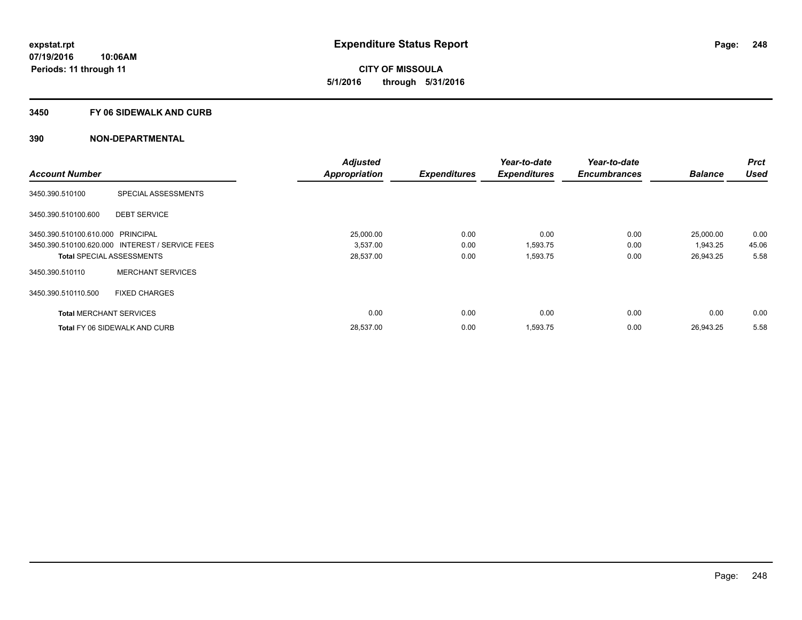**CITY OF MISSOULA 5/1/2016 through 5/31/2016**

#### **3450 FY 06 SIDEWALK AND CURB**

|                                   |                                                 | <b>Adjusted</b>      |                     | Year-to-date        | Year-to-date        |                | <b>Prct</b> |
|-----------------------------------|-------------------------------------------------|----------------------|---------------------|---------------------|---------------------|----------------|-------------|
| <b>Account Number</b>             |                                                 | <b>Appropriation</b> | <b>Expenditures</b> | <b>Expenditures</b> | <b>Encumbrances</b> | <b>Balance</b> | <b>Used</b> |
| 3450.390.510100                   | SPECIAL ASSESSMENTS                             |                      |                     |                     |                     |                |             |
| 3450.390.510100.600               | <b>DEBT SERVICE</b>                             |                      |                     |                     |                     |                |             |
| 3450.390.510100.610.000 PRINCIPAL |                                                 | 25,000.00            | 0.00                | 0.00                | 0.00                | 25,000.00      | 0.00        |
|                                   | 3450.390.510100.620.000 INTEREST / SERVICE FEES | 3,537.00             | 0.00                | 1,593.75            | 0.00                | 1,943.25       | 45.06       |
| <b>Total SPECIAL ASSESSMENTS</b>  |                                                 | 28,537.00            | 0.00                | 1,593.75            | 0.00                | 26,943.25      | 5.58        |
| 3450.390.510110                   | <b>MERCHANT SERVICES</b>                        |                      |                     |                     |                     |                |             |
| 3450.390.510110.500               | <b>FIXED CHARGES</b>                            |                      |                     |                     |                     |                |             |
| <b>Total MERCHANT SERVICES</b>    |                                                 | 0.00                 | 0.00                | 0.00                | 0.00                | 0.00           | 0.00        |
|                                   | <b>Total FY 06 SIDEWALK AND CURB</b>            | 28,537.00            | 0.00                | 1,593.75            | 0.00                | 26,943.25      | 5.58        |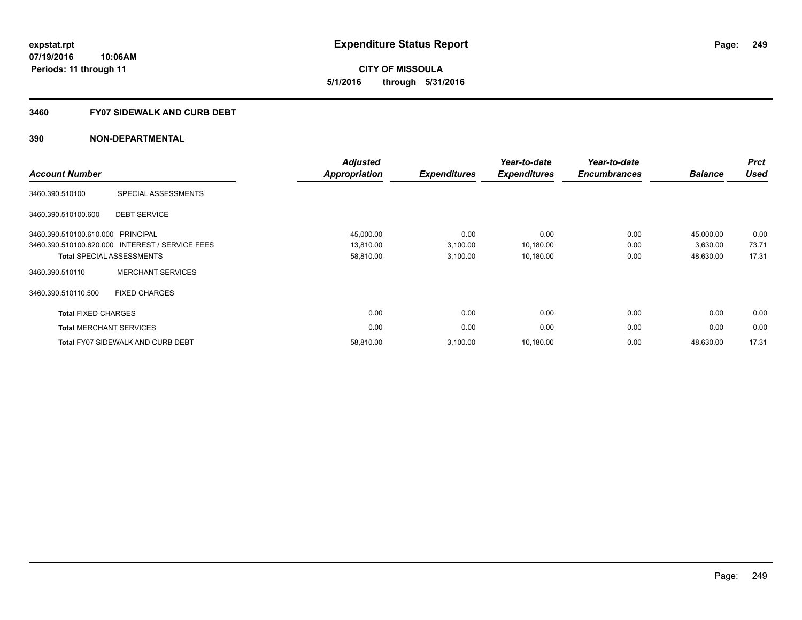**249**

**07/19/2016 10:06AM Periods: 11 through 11**

**CITY OF MISSOULA 5/1/2016 through 5/31/2016**

#### **3460 FY07 SIDEWALK AND CURB DEBT**

| <b>Account Number</b>             |                                                 | <b>Adjusted</b><br><b>Appropriation</b> | <b>Expenditures</b> | Year-to-date<br><b>Expenditures</b> | Year-to-date<br><b>Encumbrances</b> | <b>Balance</b> | <b>Prct</b><br><b>Used</b> |
|-----------------------------------|-------------------------------------------------|-----------------------------------------|---------------------|-------------------------------------|-------------------------------------|----------------|----------------------------|
| 3460.390.510100                   | SPECIAL ASSESSMENTS                             |                                         |                     |                                     |                                     |                |                            |
| 3460.390.510100.600               | <b>DEBT SERVICE</b>                             |                                         |                     |                                     |                                     |                |                            |
| 3460.390.510100.610.000 PRINCIPAL |                                                 | 45,000.00                               | 0.00                | 0.00                                | 0.00                                | 45,000.00      | 0.00                       |
|                                   | 3460.390.510100.620.000 INTEREST / SERVICE FEES | 13,810.00                               | 3,100.00            | 10,180.00                           | 0.00                                | 3,630.00       | 73.71                      |
|                                   | <b>Total SPECIAL ASSESSMENTS</b>                | 58,810.00                               | 3,100.00            | 10,180.00                           | 0.00                                | 48,630.00      | 17.31                      |
| 3460.390.510110                   | <b>MERCHANT SERVICES</b>                        |                                         |                     |                                     |                                     |                |                            |
| 3460.390.510110.500               | <b>FIXED CHARGES</b>                            |                                         |                     |                                     |                                     |                |                            |
| <b>Total FIXED CHARGES</b>        |                                                 | 0.00                                    | 0.00                | 0.00                                | 0.00                                | 0.00           | 0.00                       |
|                                   | <b>Total MERCHANT SERVICES</b>                  | 0.00                                    | 0.00                | 0.00                                | 0.00                                | 0.00           | 0.00                       |
|                                   | <b>Total FY07 SIDEWALK AND CURB DEBT</b>        | 58,810.00                               | 3,100.00            | 10,180.00                           | 0.00                                | 48,630.00      | 17.31                      |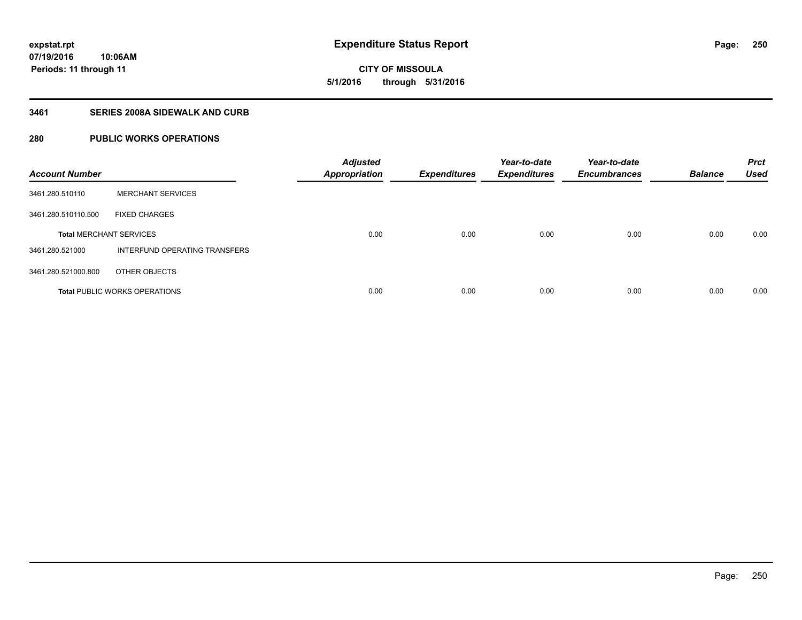**CITY OF MISSOULA 5/1/2016 through 5/31/2016**

### **3461 SERIES 2008A SIDEWALK AND CURB**

# **280 PUBLIC WORKS OPERATIONS**

| <b>Account Number</b>          |                                      | <b>Adjusted</b><br><b>Appropriation</b> | <b>Expenditures</b> | Year-to-date<br><b>Expenditures</b> | Year-to-date<br><b>Encumbrances</b> | <b>Balance</b> | <b>Prct</b><br><b>Used</b> |
|--------------------------------|--------------------------------------|-----------------------------------------|---------------------|-------------------------------------|-------------------------------------|----------------|----------------------------|
| 3461.280.510110                | <b>MERCHANT SERVICES</b>             |                                         |                     |                                     |                                     |                |                            |
| 3461.280.510110.500            | <b>FIXED CHARGES</b>                 |                                         |                     |                                     |                                     |                |                            |
| <b>Total MERCHANT SERVICES</b> |                                      | 0.00                                    | 0.00                | 0.00                                | 0.00                                | 0.00           | 0.00                       |
| 3461.280.521000                | INTERFUND OPERATING TRANSFERS        |                                         |                     |                                     |                                     |                |                            |
| 3461.280.521000.800            | OTHER OBJECTS                        |                                         |                     |                                     |                                     |                |                            |
|                                | <b>Total PUBLIC WORKS OPERATIONS</b> | 0.00                                    | 0.00                | 0.00                                | 0.00                                | 0.00           | 0.00                       |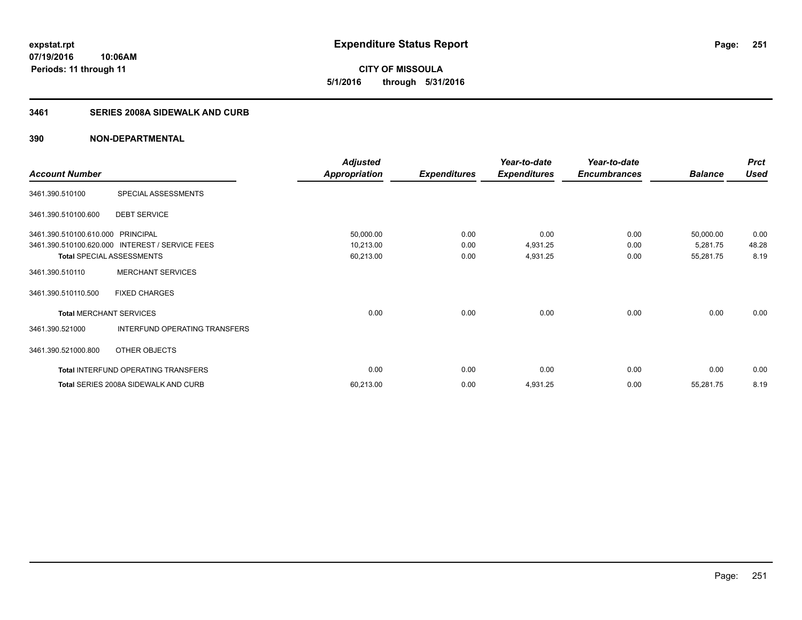**CITY OF MISSOULA 5/1/2016 through 5/31/2016**

## **3461 SERIES 2008A SIDEWALK AND CURB**

|                                   |                                                 | <b>Adjusted</b>      |                     | Year-to-date        | Year-to-date        |                | <b>Prct</b> |
|-----------------------------------|-------------------------------------------------|----------------------|---------------------|---------------------|---------------------|----------------|-------------|
| <b>Account Number</b>             |                                                 | <b>Appropriation</b> | <b>Expenditures</b> | <b>Expenditures</b> | <b>Encumbrances</b> | <b>Balance</b> | <b>Used</b> |
| 3461.390.510100                   | SPECIAL ASSESSMENTS                             |                      |                     |                     |                     |                |             |
| 3461.390.510100.600               | <b>DEBT SERVICE</b>                             |                      |                     |                     |                     |                |             |
| 3461.390.510100.610.000 PRINCIPAL |                                                 | 50,000.00            | 0.00                | 0.00                | 0.00                | 50,000.00      | 0.00        |
|                                   | 3461.390.510100.620.000 INTEREST / SERVICE FEES | 10,213.00            | 0.00                | 4,931.25            | 0.00                | 5,281.75       | 48.28       |
| <b>Total SPECIAL ASSESSMENTS</b>  |                                                 | 60,213.00            | 0.00                | 4,931.25            | 0.00                | 55,281.75      | 8.19        |
| 3461.390.510110                   | <b>MERCHANT SERVICES</b>                        |                      |                     |                     |                     |                |             |
| 3461.390.510110.500               | <b>FIXED CHARGES</b>                            |                      |                     |                     |                     |                |             |
| <b>Total MERCHANT SERVICES</b>    |                                                 | 0.00                 | 0.00                | 0.00                | 0.00                | 0.00           | 0.00        |
| 3461.390.521000                   | INTERFUND OPERATING TRANSFERS                   |                      |                     |                     |                     |                |             |
| 3461.390.521000.800               | OTHER OBJECTS                                   |                      |                     |                     |                     |                |             |
|                                   | Total INTERFUND OPERATING TRANSFERS             | 0.00                 | 0.00                | 0.00                | 0.00                | 0.00           | 0.00        |
|                                   | Total SERIES 2008A SIDEWALK AND CURB            | 60,213.00            | 0.00                | 4,931.25            | 0.00                | 55,281.75      | 8.19        |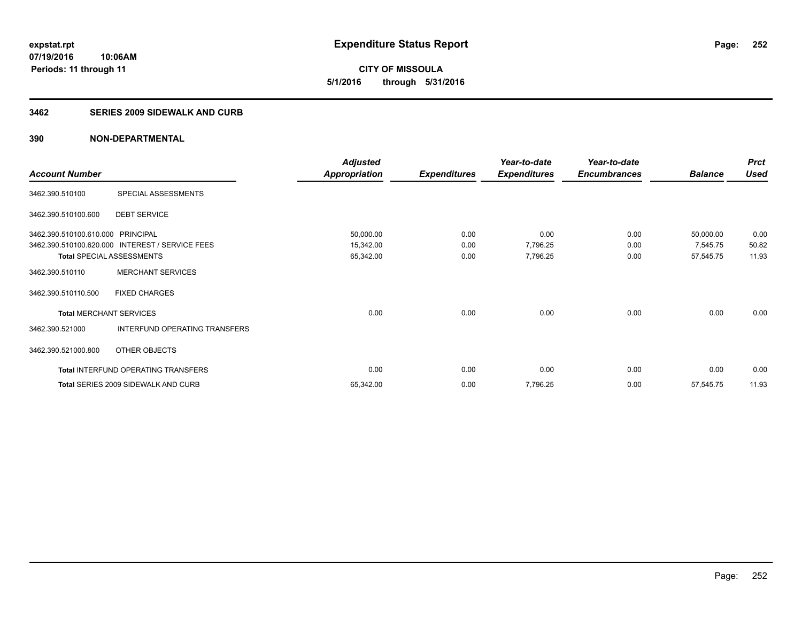**CITY OF MISSOULA 5/1/2016 through 5/31/2016**

#### **3462 SERIES 2009 SIDEWALK AND CURB**

|                                  |                                                 | <b>Adjusted</b>      |                     | Year-to-date        | Year-to-date        |                | <b>Prct</b> |
|----------------------------------|-------------------------------------------------|----------------------|---------------------|---------------------|---------------------|----------------|-------------|
| <b>Account Number</b>            |                                                 | <b>Appropriation</b> | <b>Expenditures</b> | <b>Expenditures</b> | <b>Encumbrances</b> | <b>Balance</b> | <b>Used</b> |
| 3462.390.510100                  | SPECIAL ASSESSMENTS                             |                      |                     |                     |                     |                |             |
| 3462.390.510100.600              | <b>DEBT SERVICE</b>                             |                      |                     |                     |                     |                |             |
| 3462.390.510100.610.000          | <b>PRINCIPAL</b>                                | 50,000.00            | 0.00                | 0.00                | 0.00                | 50,000.00      | 0.00        |
|                                  | 3462.390.510100.620.000 INTEREST / SERVICE FEES | 15,342.00            | 0.00                | 7,796.25            | 0.00                | 7,545.75       | 50.82       |
| <b>Total SPECIAL ASSESSMENTS</b> |                                                 | 65,342.00            | 0.00                | 7,796.25            | 0.00                | 57,545.75      | 11.93       |
| 3462.390.510110                  | <b>MERCHANT SERVICES</b>                        |                      |                     |                     |                     |                |             |
| 3462.390.510110.500              | <b>FIXED CHARGES</b>                            |                      |                     |                     |                     |                |             |
| <b>Total MERCHANT SERVICES</b>   |                                                 | 0.00                 | 0.00                | 0.00                | 0.00                | 0.00           | 0.00        |
| 3462.390.521000                  | INTERFUND OPERATING TRANSFERS                   |                      |                     |                     |                     |                |             |
| 3462.390.521000.800              | OTHER OBJECTS                                   |                      |                     |                     |                     |                |             |
|                                  | Total INTERFUND OPERATING TRANSFERS             | 0.00                 | 0.00                | 0.00                | 0.00                | 0.00           | 0.00        |
|                                  | <b>Total SERIES 2009 SIDEWALK AND CURB</b>      | 65,342.00            | 0.00                | 7,796.25            | 0.00                | 57,545.75      | 11.93       |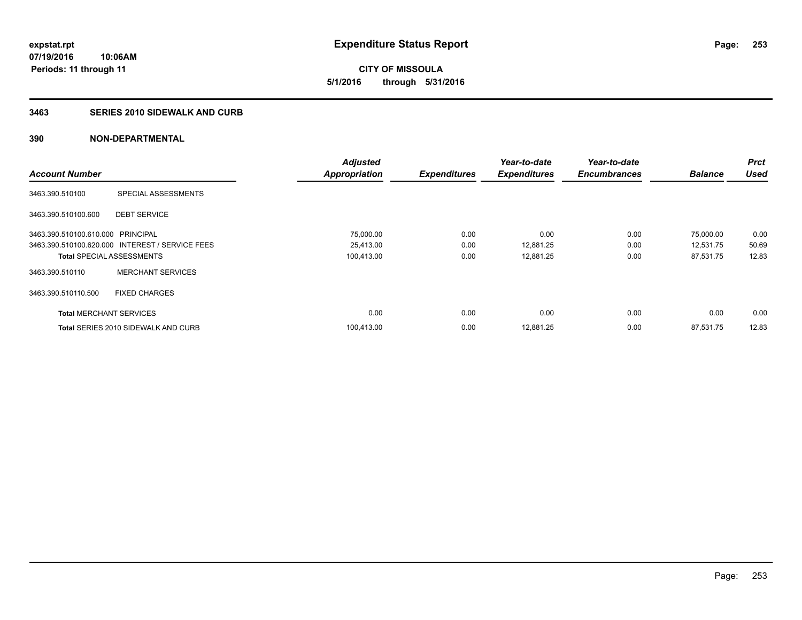**CITY OF MISSOULA 5/1/2016 through 5/31/2016**

### **3463 SERIES 2010 SIDEWALK AND CURB**

|                                   |                                                 | <b>Adjusted</b>      |                     | Year-to-date        | Year-to-date        |                | <b>Prct</b> |
|-----------------------------------|-------------------------------------------------|----------------------|---------------------|---------------------|---------------------|----------------|-------------|
| <b>Account Number</b>             |                                                 | <b>Appropriation</b> | <b>Expenditures</b> | <b>Expenditures</b> | <b>Encumbrances</b> | <b>Balance</b> | <b>Used</b> |
| 3463.390.510100                   | SPECIAL ASSESSMENTS                             |                      |                     |                     |                     |                |             |
| 3463.390.510100.600               | <b>DEBT SERVICE</b>                             |                      |                     |                     |                     |                |             |
| 3463.390.510100.610.000 PRINCIPAL |                                                 | 75,000.00            | 0.00                | 0.00                | 0.00                | 75,000.00      | 0.00        |
|                                   | 3463.390.510100.620.000 INTEREST / SERVICE FEES | 25,413.00            | 0.00                | 12,881.25           | 0.00                | 12,531.75      | 50.69       |
| <b>Total SPECIAL ASSESSMENTS</b>  |                                                 | 100,413.00           | 0.00                | 12,881.25           | 0.00                | 87,531.75      | 12.83       |
| 3463.390.510110                   | <b>MERCHANT SERVICES</b>                        |                      |                     |                     |                     |                |             |
| 3463.390.510110.500               | <b>FIXED CHARGES</b>                            |                      |                     |                     |                     |                |             |
| <b>Total MERCHANT SERVICES</b>    |                                                 | 0.00                 | 0.00                | 0.00                | 0.00                | 0.00           | 0.00        |
|                                   | <b>Total SERIES 2010 SIDEWALK AND CURB</b>      | 100.413.00           | 0.00                | 12.881.25           | 0.00                | 87.531.75      | 12.83       |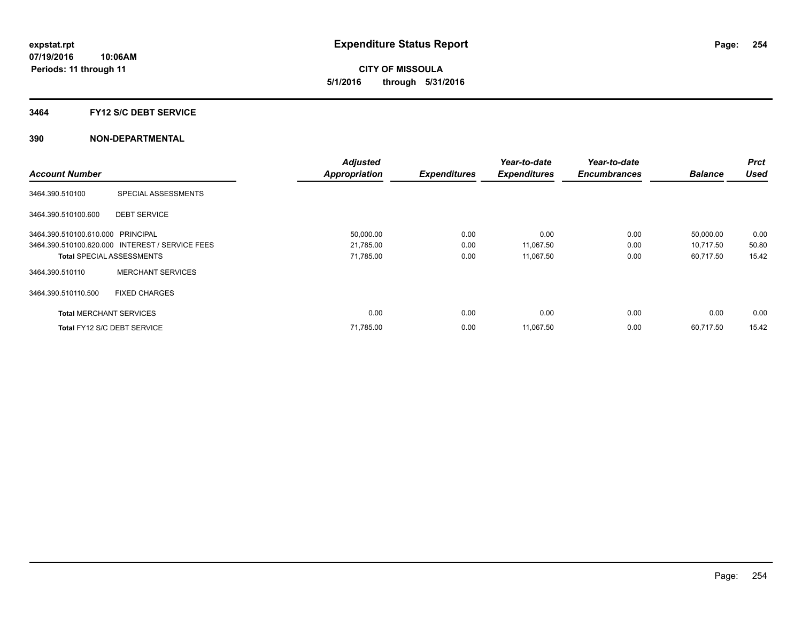**CITY OF MISSOULA 5/1/2016 through 5/31/2016**

#### **3464 FY12 S/C DEBT SERVICE**

|                                   |                                                 | <b>Adjusted</b>      |                     | Year-to-date        | Year-to-date        |                | <b>Prct</b> |
|-----------------------------------|-------------------------------------------------|----------------------|---------------------|---------------------|---------------------|----------------|-------------|
| <b>Account Number</b>             |                                                 | <b>Appropriation</b> | <b>Expenditures</b> | <b>Expenditures</b> | <b>Encumbrances</b> | <b>Balance</b> | <b>Used</b> |
| 3464.390.510100                   | SPECIAL ASSESSMENTS                             |                      |                     |                     |                     |                |             |
| 3464.390.510100.600               | <b>DEBT SERVICE</b>                             |                      |                     |                     |                     |                |             |
| 3464.390.510100.610.000 PRINCIPAL |                                                 | 50,000.00            | 0.00                | 0.00                | 0.00                | 50,000.00      | 0.00        |
|                                   | 3464.390.510100.620.000 INTEREST / SERVICE FEES | 21,785.00            | 0.00                | 11,067.50           | 0.00                | 10,717.50      | 50.80       |
| <b>Total SPECIAL ASSESSMENTS</b>  |                                                 | 71,785.00            | 0.00                | 11,067.50           | 0.00                | 60,717.50      | 15.42       |
| 3464.390.510110                   | <b>MERCHANT SERVICES</b>                        |                      |                     |                     |                     |                |             |
| 3464.390.510110.500               | <b>FIXED CHARGES</b>                            |                      |                     |                     |                     |                |             |
| <b>Total MERCHANT SERVICES</b>    |                                                 | 0.00                 | 0.00                | 0.00                | 0.00                | 0.00           | 0.00        |
| Total FY12 S/C DEBT SERVICE       |                                                 | 71,785.00            | 0.00                | 11,067.50           | 0.00                | 60.717.50      | 15.42       |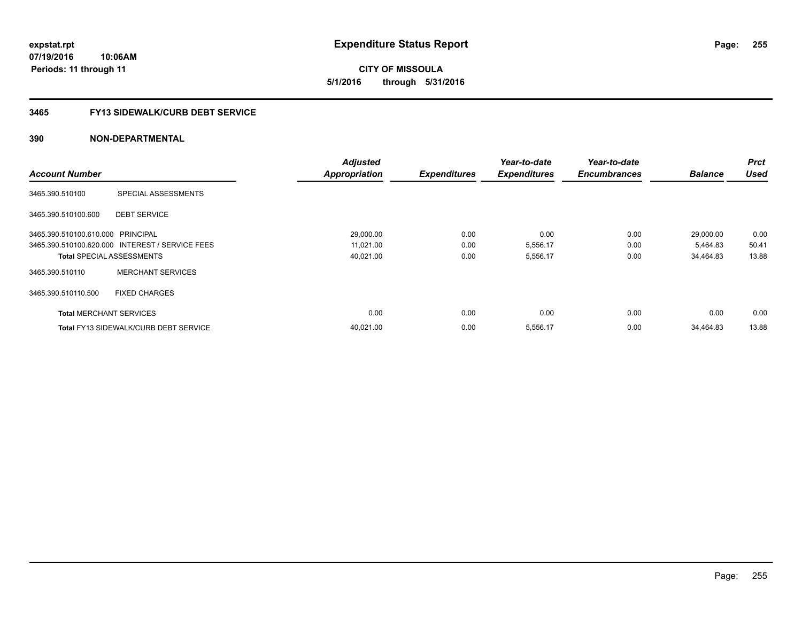**expstat.rpt Expenditure Status Report** 

**07/19/2016 10:06AM Periods: 11 through 11**

**CITY OF MISSOULA 5/1/2016 through 5/31/2016**

## **3465 FY13 SIDEWALK/CURB DEBT SERVICE**

|                                   |                                                 | <b>Adjusted</b>      |                     | Year-to-date        | Year-to-date        |                | <b>Prct</b> |
|-----------------------------------|-------------------------------------------------|----------------------|---------------------|---------------------|---------------------|----------------|-------------|
| <b>Account Number</b>             |                                                 | <b>Appropriation</b> | <b>Expenditures</b> | <b>Expenditures</b> | <b>Encumbrances</b> | <b>Balance</b> | <b>Used</b> |
| 3465.390.510100                   | SPECIAL ASSESSMENTS                             |                      |                     |                     |                     |                |             |
| 3465.390.510100.600               | <b>DEBT SERVICE</b>                             |                      |                     |                     |                     |                |             |
| 3465.390.510100.610.000 PRINCIPAL |                                                 | 29,000.00            | 0.00                | 0.00                | 0.00                | 29,000.00      | 0.00        |
|                                   | 3465.390.510100.620.000 INTEREST / SERVICE FEES | 11,021.00            | 0.00                | 5,556.17            | 0.00                | 5,464.83       | 50.41       |
|                                   | <b>Total SPECIAL ASSESSMENTS</b>                | 40,021.00            | 0.00                | 5,556.17            | 0.00                | 34,464.83      | 13.88       |
| 3465.390.510110                   | <b>MERCHANT SERVICES</b>                        |                      |                     |                     |                     |                |             |
| 3465.390.510110.500               | <b>FIXED CHARGES</b>                            |                      |                     |                     |                     |                |             |
| <b>Total MERCHANT SERVICES</b>    |                                                 | 0.00                 | 0.00                | 0.00                | 0.00                | 0.00           | 0.00        |
|                                   | <b>Total FY13 SIDEWALK/CURB DEBT SERVICE</b>    | 40,021.00            | 0.00                | 5,556.17            | 0.00                | 34,464.83      | 13.88       |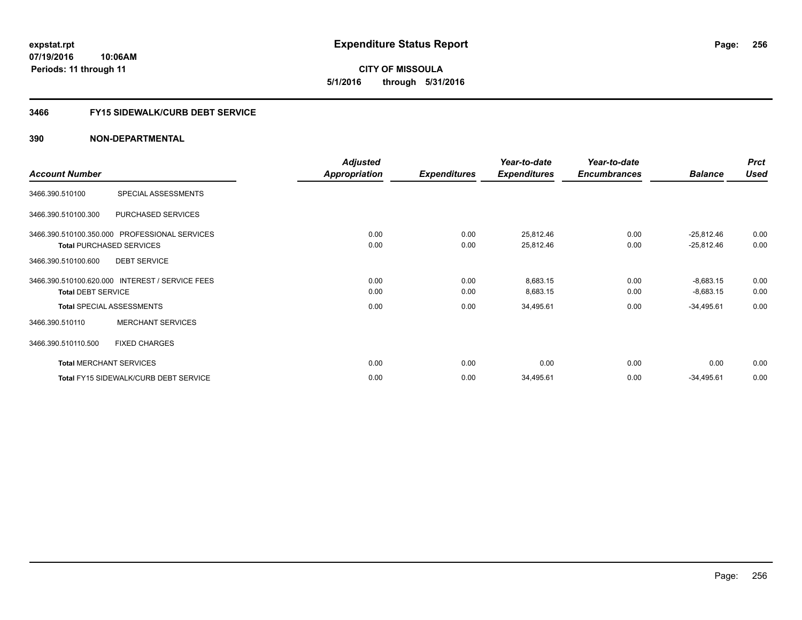**expstat.rpt Expenditure Status Report** 

**07/19/2016 10:06AM Periods: 11 through 11**

**CITY OF MISSOULA 5/1/2016 through 5/31/2016**

# **3466 FY15 SIDEWALK/CURB DEBT SERVICE**

|                                                 | <b>Adjusted</b> |                     | Year-to-date        | Year-to-date        |                | <b>Prct</b> |
|-------------------------------------------------|-----------------|---------------------|---------------------|---------------------|----------------|-------------|
| <b>Account Number</b>                           | Appropriation   | <b>Expenditures</b> | <b>Expenditures</b> | <b>Encumbrances</b> | <b>Balance</b> | <b>Used</b> |
| 3466.390.510100<br>SPECIAL ASSESSMENTS          |                 |                     |                     |                     |                |             |
| 3466.390.510100.300<br>PURCHASED SERVICES       |                 |                     |                     |                     |                |             |
| 3466.390.510100.350.000 PROFESSIONAL SERVICES   | 0.00            | 0.00                | 25,812.46           | 0.00                | $-25,812.46$   | 0.00        |
| <b>Total PURCHASED SERVICES</b>                 | 0.00            | 0.00                | 25,812.46           | 0.00                | $-25,812.46$   | 0.00        |
| <b>DEBT SERVICE</b><br>3466.390.510100.600      |                 |                     |                     |                     |                |             |
| 3466.390.510100.620.000 INTEREST / SERVICE FEES | 0.00            | 0.00                | 8,683.15            | 0.00                | $-8,683.15$    | 0.00        |
| <b>Total DEBT SERVICE</b>                       | 0.00            | 0.00                | 8,683.15            | 0.00                | $-8,683.15$    | 0.00        |
| <b>Total SPECIAL ASSESSMENTS</b>                | 0.00            | 0.00                | 34,495.61           | 0.00                | $-34,495.61$   | 0.00        |
| <b>MERCHANT SERVICES</b><br>3466.390.510110     |                 |                     |                     |                     |                |             |
| <b>FIXED CHARGES</b><br>3466.390.510110.500     |                 |                     |                     |                     |                |             |
| <b>Total MERCHANT SERVICES</b>                  | 0.00            | 0.00                | 0.00                | 0.00                | 0.00           | 0.00        |
| Total FY15 SIDEWALK/CURB DEBT SERVICE           | 0.00            | 0.00                | 34,495.61           | 0.00                | $-34,495.61$   | 0.00        |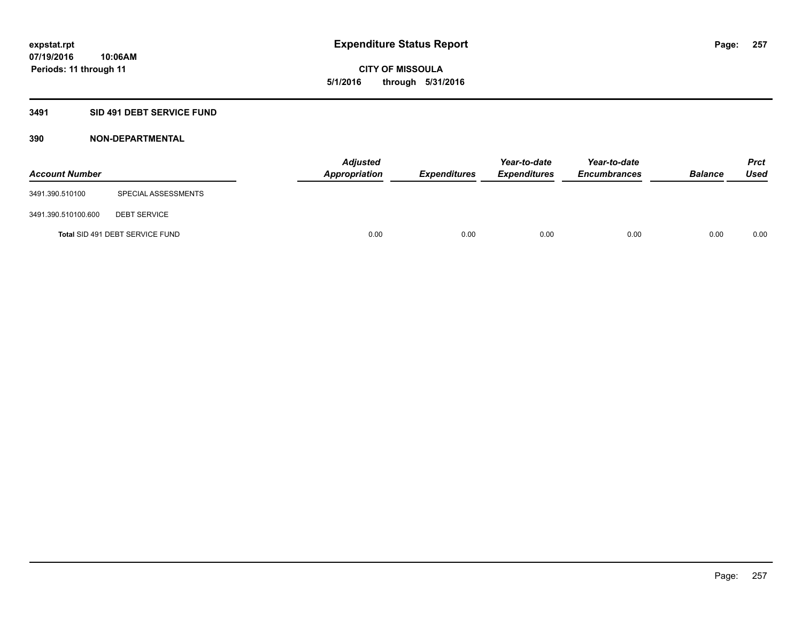# **CITY OF MISSOULA 5/1/2016 through 5/31/2016**

# **3491 SID 491 DEBT SERVICE FUND**

| <b>Account Number</b> |                                 | <b>Adjusted</b><br>Appropriation | <b>Expenditures</b> | Year-to-date<br><b>Expenditures</b> | Year-to-date<br><b>Encumbrances</b> | <b>Balance</b> | Prct<br><b>Used</b> |
|-----------------------|---------------------------------|----------------------------------|---------------------|-------------------------------------|-------------------------------------|----------------|---------------------|
| 3491.390.510100       | SPECIAL ASSESSMENTS             |                                  |                     |                                     |                                     |                |                     |
| 3491.390.510100.600   | <b>DEBT SERVICE</b>             |                                  |                     |                                     |                                     |                |                     |
|                       | Total SID 491 DEBT SERVICE FUND | 0.00                             | 0.00                | 0.00                                | 0.00                                | 0.00           | 0.00                |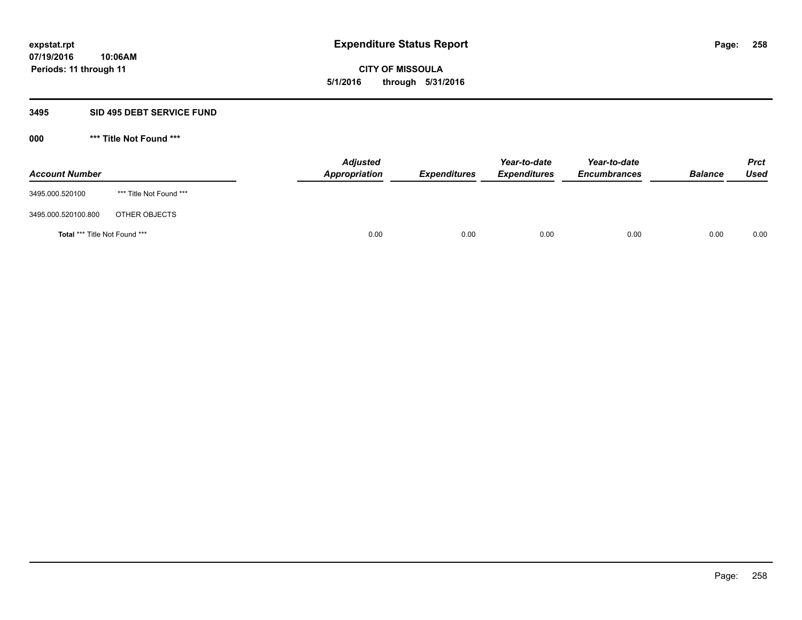**CITY OF MISSOULA 5/1/2016 through 5/31/2016**

### **3495 SID 495 DEBT SERVICE FUND**

| <b>Account Number</b>         |                         | <b>Adjusted</b><br>Appropriation | <b>Expenditures</b> | Year-to-date<br><b>Expenditures</b> | Year-to-date<br><b>Encumbrances</b> | <b>Balance</b> | <b>Prct</b><br>Used |
|-------------------------------|-------------------------|----------------------------------|---------------------|-------------------------------------|-------------------------------------|----------------|---------------------|
| 3495.000.520100               | *** Title Not Found *** |                                  |                     |                                     |                                     |                |                     |
| 3495.000.520100.800           | OTHER OBJECTS           |                                  |                     |                                     |                                     |                |                     |
| Total *** Title Not Found *** |                         | 0.00                             | 0.00                | 0.00                                | 0.00                                | 0.00           | 0.00                |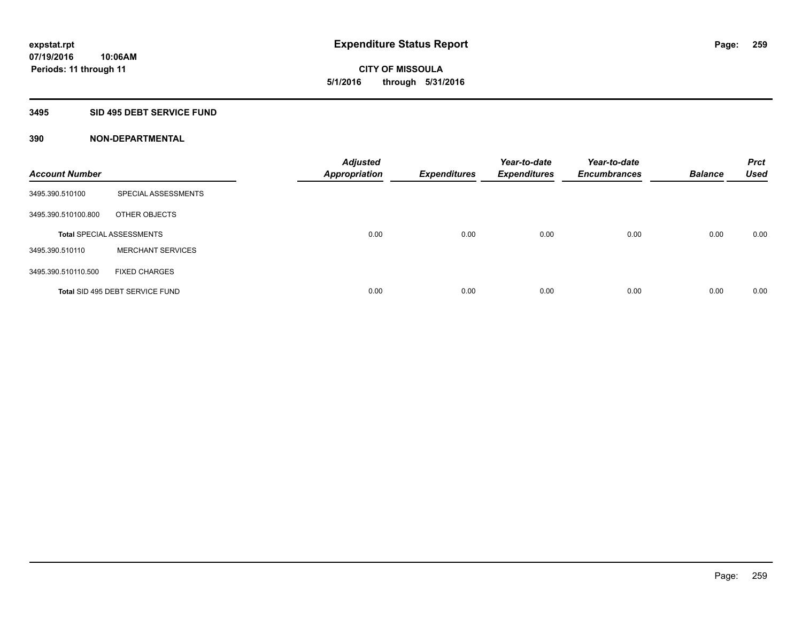**CITY OF MISSOULA 5/1/2016 through 5/31/2016**

## **3495 SID 495 DEBT SERVICE FUND**

| <b>Account Number</b> |                                  | <b>Adjusted</b><br><b>Appropriation</b> | <b>Expenditures</b> | Year-to-date<br><b>Expenditures</b> | Year-to-date<br><b>Encumbrances</b> | <b>Balance</b> | <b>Prct</b><br><b>Used</b> |
|-----------------------|----------------------------------|-----------------------------------------|---------------------|-------------------------------------|-------------------------------------|----------------|----------------------------|
| 3495.390.510100       | SPECIAL ASSESSMENTS              |                                         |                     |                                     |                                     |                |                            |
| 3495.390.510100.800   | OTHER OBJECTS                    |                                         |                     |                                     |                                     |                |                            |
|                       | <b>Total SPECIAL ASSESSMENTS</b> | 0.00                                    | 0.00                | 0.00                                | 0.00                                | 0.00           | 0.00                       |
| 3495.390.510110       | <b>MERCHANT SERVICES</b>         |                                         |                     |                                     |                                     |                |                            |
| 3495.390.510110.500   | <b>FIXED CHARGES</b>             |                                         |                     |                                     |                                     |                |                            |
|                       | Total SID 495 DEBT SERVICE FUND  | 0.00                                    | 0.00                | 0.00                                | 0.00                                | 0.00           | 0.00                       |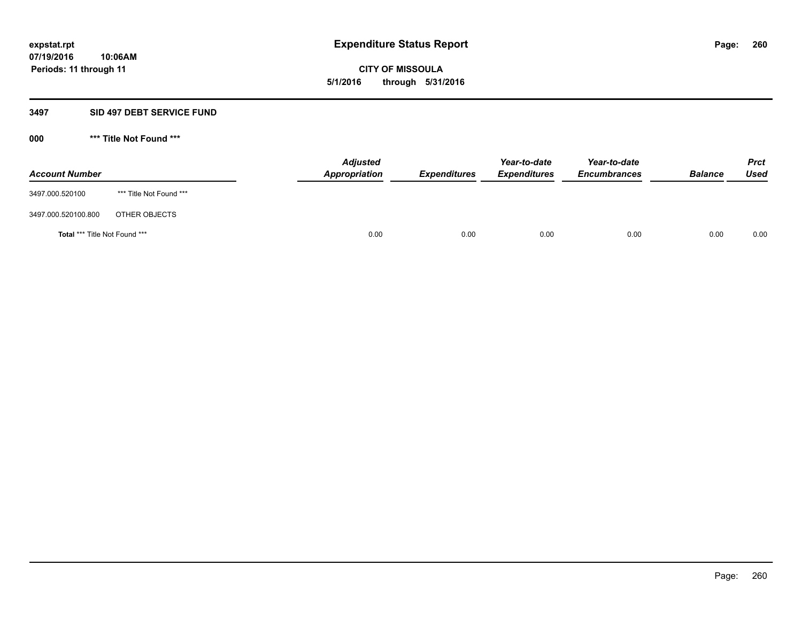**CITY OF MISSOULA 5/1/2016 through 5/31/2016**

## **3497 SID 497 DEBT SERVICE FUND**

| <b>Account Number</b>         |                         | <b>Adjusted</b><br>Appropriation | <b>Expenditures</b> | Year-to-date<br><b>Expenditures</b> | Year-to-date<br><b>Encumbrances</b> | <b>Balance</b> | <b>Prct</b><br>Used |
|-------------------------------|-------------------------|----------------------------------|---------------------|-------------------------------------|-------------------------------------|----------------|---------------------|
| 3497.000.520100               | *** Title Not Found *** |                                  |                     |                                     |                                     |                |                     |
| 3497.000.520100.800           | OTHER OBJECTS           |                                  |                     |                                     |                                     |                |                     |
| Total *** Title Not Found *** |                         | 0.00                             | 0.00                | 0.00                                | 0.00                                | 0.00           | 0.00                |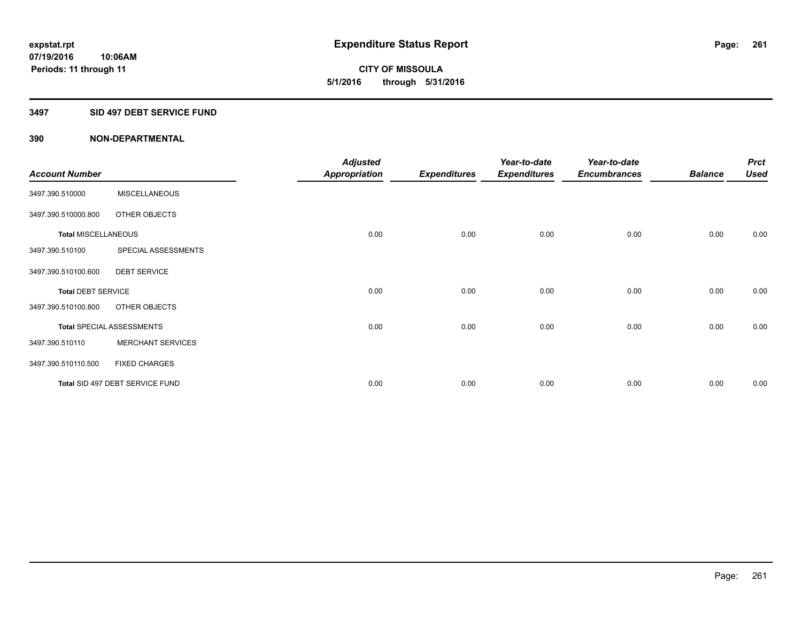**CITY OF MISSOULA 5/1/2016 through 5/31/2016**

# **3497 SID 497 DEBT SERVICE FUND**

|                            |                                  | <b>Adjusted</b>      |                     | Year-to-date        | Year-to-date        |                | <b>Prct</b> |
|----------------------------|----------------------------------|----------------------|---------------------|---------------------|---------------------|----------------|-------------|
| <b>Account Number</b>      |                                  | <b>Appropriation</b> | <b>Expenditures</b> | <b>Expenditures</b> | <b>Encumbrances</b> | <b>Balance</b> | <b>Used</b> |
| 3497.390.510000            | <b>MISCELLANEOUS</b>             |                      |                     |                     |                     |                |             |
| 3497.390.510000.800        | OTHER OBJECTS                    |                      |                     |                     |                     |                |             |
| <b>Total MISCELLANEOUS</b> |                                  | 0.00                 | 0.00                | 0.00                | 0.00                | 0.00           | 0.00        |
| 3497.390.510100            | SPECIAL ASSESSMENTS              |                      |                     |                     |                     |                |             |
| 3497.390.510100.600        | <b>DEBT SERVICE</b>              |                      |                     |                     |                     |                |             |
| <b>Total DEBT SERVICE</b>  |                                  | 0.00                 | 0.00                | 0.00                | 0.00                | 0.00           | 0.00        |
| 3497.390.510100.800        | OTHER OBJECTS                    |                      |                     |                     |                     |                |             |
|                            | <b>Total SPECIAL ASSESSMENTS</b> | 0.00                 | 0.00                | 0.00                | 0.00                | 0.00           | 0.00        |
| 3497.390.510110            | <b>MERCHANT SERVICES</b>         |                      |                     |                     |                     |                |             |
| 3497.390.510110.500        | <b>FIXED CHARGES</b>             |                      |                     |                     |                     |                |             |
|                            | Total SID 497 DEBT SERVICE FUND  | 0.00                 | 0.00                | 0.00                | 0.00                | 0.00           | 0.00        |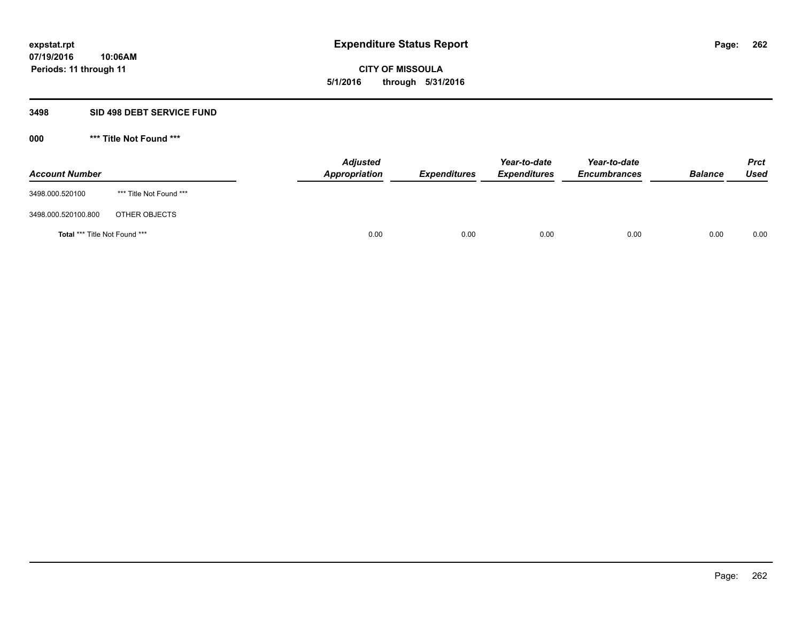**CITY OF MISSOULA 5/1/2016 through 5/31/2016**

### **3498 SID 498 DEBT SERVICE FUND**

| <b>Account Number</b>         |                         | <b>Adjusted</b><br>Appropriation | <b>Expenditures</b> | Year-to-date<br><b>Expenditures</b> | Year-to-date<br><b>Encumbrances</b> | <b>Balance</b> | <b>Prct</b><br>Used |
|-------------------------------|-------------------------|----------------------------------|---------------------|-------------------------------------|-------------------------------------|----------------|---------------------|
| 3498.000.520100               | *** Title Not Found *** |                                  |                     |                                     |                                     |                |                     |
| 3498.000.520100.800           | OTHER OBJECTS           |                                  |                     |                                     |                                     |                |                     |
| Total *** Title Not Found *** |                         | 0.00                             | 0.00                | 0.00                                | 0.00                                | 0.00           | 0.00                |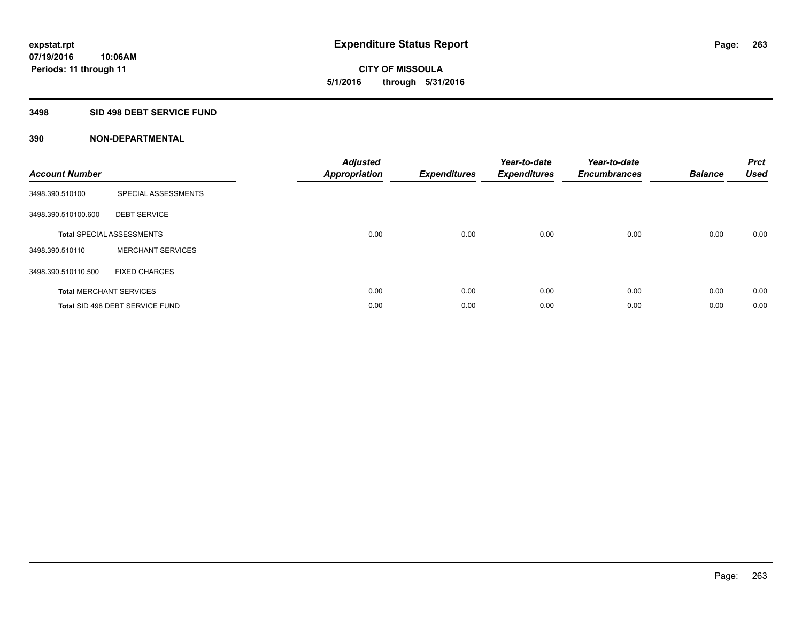**CITY OF MISSOULA 5/1/2016 through 5/31/2016**

## **3498 SID 498 DEBT SERVICE FUND**

| <b>Account Number</b> |                                  | <b>Adjusted</b><br><b>Appropriation</b> | <b>Expenditures</b> | Year-to-date<br><b>Expenditures</b> | Year-to-date<br><b>Encumbrances</b> | <b>Balance</b> | <b>Prct</b><br>Used |
|-----------------------|----------------------------------|-----------------------------------------|---------------------|-------------------------------------|-------------------------------------|----------------|---------------------|
| 3498.390.510100       | SPECIAL ASSESSMENTS              |                                         |                     |                                     |                                     |                |                     |
| 3498.390.510100.600   | <b>DEBT SERVICE</b>              |                                         |                     |                                     |                                     |                |                     |
|                       | <b>Total SPECIAL ASSESSMENTS</b> | 0.00                                    | 0.00                | 0.00                                | 0.00                                | 0.00           | 0.00                |
| 3498.390.510110       | <b>MERCHANT SERVICES</b>         |                                         |                     |                                     |                                     |                |                     |
| 3498.390.510110.500   | <b>FIXED CHARGES</b>             |                                         |                     |                                     |                                     |                |                     |
|                       | <b>Total MERCHANT SERVICES</b>   | 0.00                                    | 0.00                | 0.00                                | 0.00                                | 0.00           | 0.00                |
|                       | Total SID 498 DEBT SERVICE FUND  | 0.00                                    | 0.00                | 0.00                                | 0.00                                | 0.00           | 0.00                |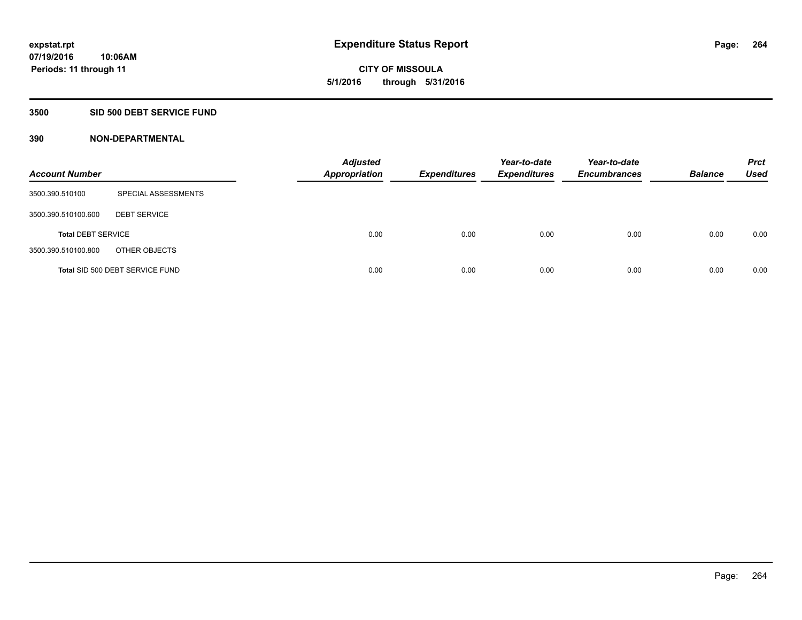**CITY OF MISSOULA 5/1/2016 through 5/31/2016**

## **3500 SID 500 DEBT SERVICE FUND**

| <b>Account Number</b>     |                                 | <b>Adjusted</b><br><b>Appropriation</b> | <b>Expenditures</b> | Year-to-date<br><b>Expenditures</b> | Year-to-date<br><b>Encumbrances</b> | <b>Balance</b> | <b>Prct</b><br><b>Used</b> |
|---------------------------|---------------------------------|-----------------------------------------|---------------------|-------------------------------------|-------------------------------------|----------------|----------------------------|
| 3500.390.510100           | SPECIAL ASSESSMENTS             |                                         |                     |                                     |                                     |                |                            |
| 3500.390.510100.600       | <b>DEBT SERVICE</b>             |                                         |                     |                                     |                                     |                |                            |
| <b>Total DEBT SERVICE</b> |                                 | 0.00                                    | 0.00                | 0.00                                | 0.00                                | 0.00           | 0.00                       |
| 3500.390.510100.800       | OTHER OBJECTS                   |                                         |                     |                                     |                                     |                |                            |
|                           | Total SID 500 DEBT SERVICE FUND | 0.00                                    | 0.00                | 0.00                                | 0.00                                | 0.00           | 0.00                       |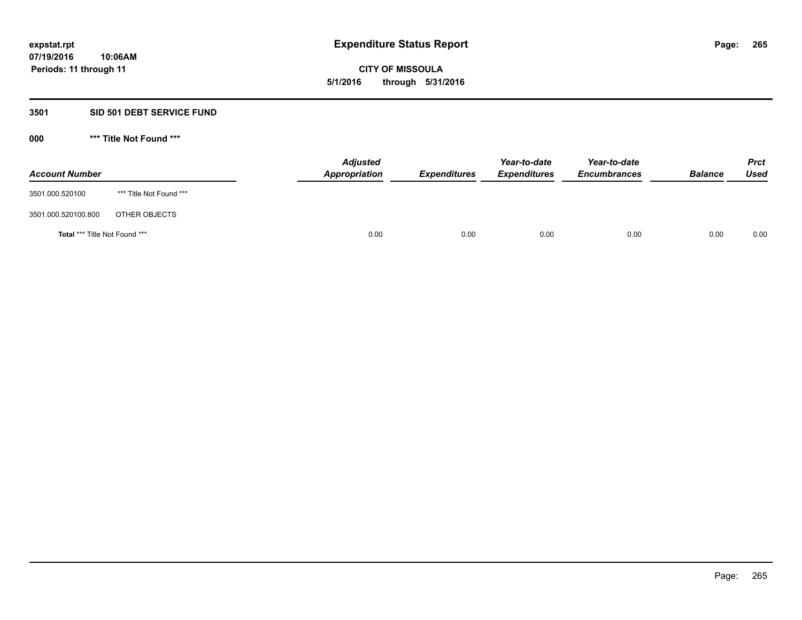**CITY OF MISSOULA 5/1/2016 through 5/31/2016**

## **3501 SID 501 DEBT SERVICE FUND**

| <b>Account Number</b>         |                         | <b>Adjusted</b><br>Appropriation | <b>Expenditures</b> | Year-to-date<br><b>Expenditures</b> | Year-to-date<br><b>Encumbrances</b> | <b>Balance</b> | <b>Prct</b><br>Used |
|-------------------------------|-------------------------|----------------------------------|---------------------|-------------------------------------|-------------------------------------|----------------|---------------------|
| 3501.000.520100               | *** Title Not Found *** |                                  |                     |                                     |                                     |                |                     |
| 3501.000.520100.800           | OTHER OBJECTS           |                                  |                     |                                     |                                     |                |                     |
| Total *** Title Not Found *** |                         | 0.00                             | 0.00                | 0.00                                | 0.00                                | 0.00           | 0.00                |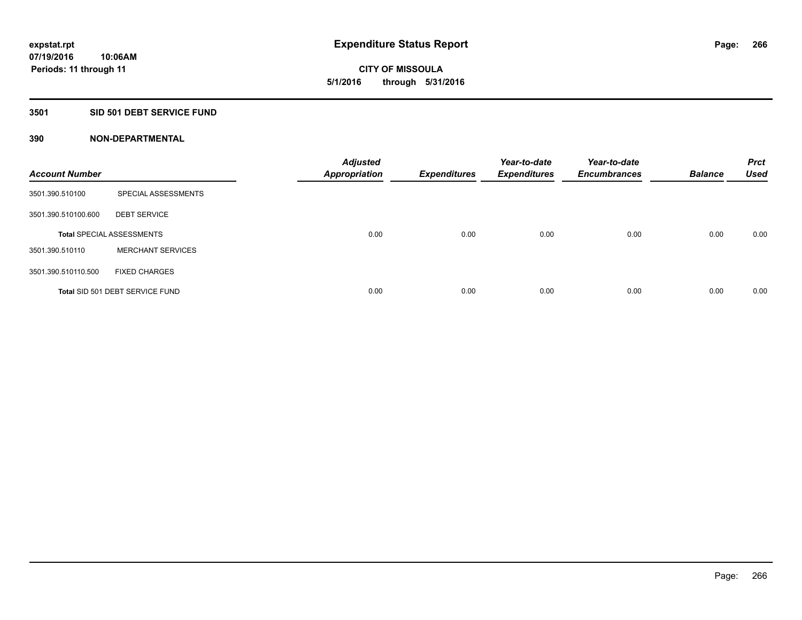**Periods: 11 through 11**

**CITY OF MISSOULA 5/1/2016 through 5/31/2016**

## **3501 SID 501 DEBT SERVICE FUND**

| <b>Account Number</b> |                                  | <b>Adjusted</b><br><b>Appropriation</b> | <b>Expenditures</b> | Year-to-date<br><b>Expenditures</b> | Year-to-date<br><b>Encumbrances</b> | <b>Balance</b> | <b>Prct</b><br><b>Used</b> |
|-----------------------|----------------------------------|-----------------------------------------|---------------------|-------------------------------------|-------------------------------------|----------------|----------------------------|
| 3501.390.510100       | SPECIAL ASSESSMENTS              |                                         |                     |                                     |                                     |                |                            |
| 3501.390.510100.600   | <b>DEBT SERVICE</b>              |                                         |                     |                                     |                                     |                |                            |
|                       | <b>Total SPECIAL ASSESSMENTS</b> | 0.00                                    | 0.00                | 0.00                                | 0.00                                | 0.00           | 0.00                       |
| 3501.390.510110       | <b>MERCHANT SERVICES</b>         |                                         |                     |                                     |                                     |                |                            |
| 3501.390.510110.500   | <b>FIXED CHARGES</b>             |                                         |                     |                                     |                                     |                |                            |
|                       | Total SID 501 DEBT SERVICE FUND  | 0.00                                    | 0.00                | 0.00                                | 0.00                                | 0.00           | 0.00                       |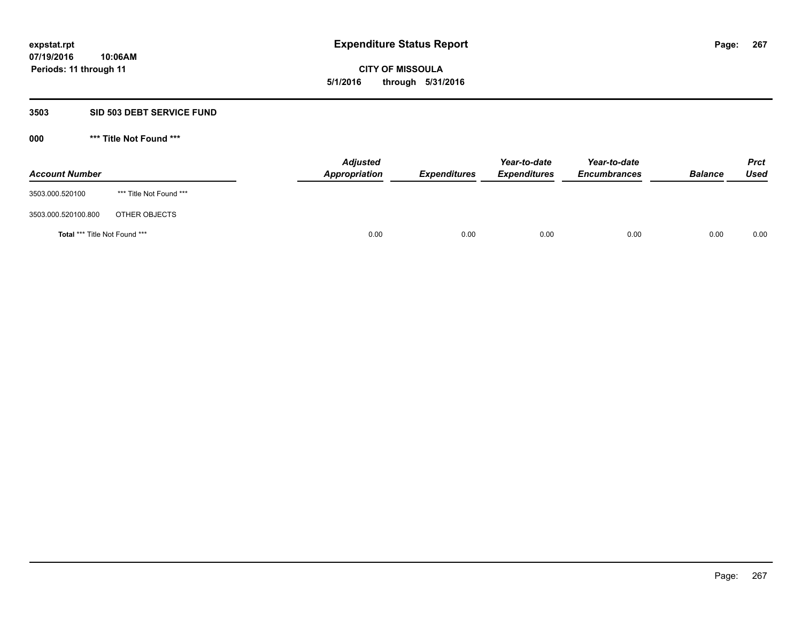**CITY OF MISSOULA 5/1/2016 through 5/31/2016**

## **3503 SID 503 DEBT SERVICE FUND**

| <b>Account Number</b>         |                         | <b>Adjusted</b><br>Appropriation | <b>Expenditures</b> | Year-to-date<br><b>Expenditures</b> | Year-to-date<br><b>Encumbrances</b> | <b>Balance</b> | <b>Prct</b><br>Used |
|-------------------------------|-------------------------|----------------------------------|---------------------|-------------------------------------|-------------------------------------|----------------|---------------------|
| 3503.000.520100               | *** Title Not Found *** |                                  |                     |                                     |                                     |                |                     |
| 3503.000.520100.800           | OTHER OBJECTS           |                                  |                     |                                     |                                     |                |                     |
| Total *** Title Not Found *** |                         | 0.00                             | 0.00                | 0.00                                | 0.00                                | 0.00           | 0.00                |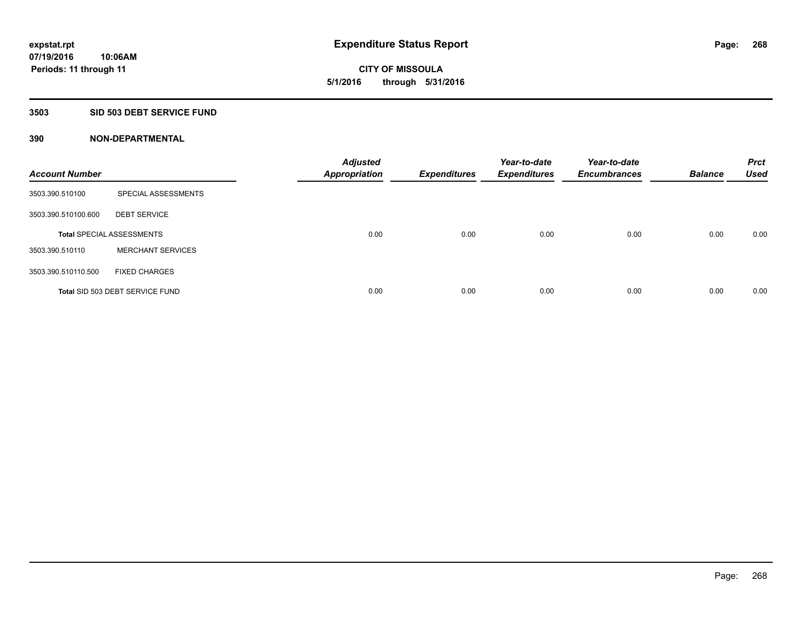**Periods: 11 through 11**

**CITY OF MISSOULA 5/1/2016 through 5/31/2016**

#### **3503 SID 503 DEBT SERVICE FUND**

**10:06AM**

| <b>Account Number</b> |                                  | <b>Adjusted</b><br><b>Appropriation</b> | <b>Expenditures</b> | Year-to-date<br><b>Expenditures</b> | Year-to-date<br><b>Encumbrances</b> | <b>Balance</b> | <b>Prct</b><br><b>Used</b> |
|-----------------------|----------------------------------|-----------------------------------------|---------------------|-------------------------------------|-------------------------------------|----------------|----------------------------|
| 3503.390.510100       | SPECIAL ASSESSMENTS              |                                         |                     |                                     |                                     |                |                            |
| 3503.390.510100.600   | <b>DEBT SERVICE</b>              |                                         |                     |                                     |                                     |                |                            |
|                       | <b>Total SPECIAL ASSESSMENTS</b> | 0.00                                    | 0.00                | 0.00                                | 0.00                                | 0.00           | 0.00                       |
| 3503.390.510110       | <b>MERCHANT SERVICES</b>         |                                         |                     |                                     |                                     |                |                            |
| 3503.390.510110.500   | <b>FIXED CHARGES</b>             |                                         |                     |                                     |                                     |                |                            |
|                       | Total SID 503 DEBT SERVICE FUND  | 0.00                                    | 0.00                | 0.00                                | 0.00                                | 0.00           | 0.00                       |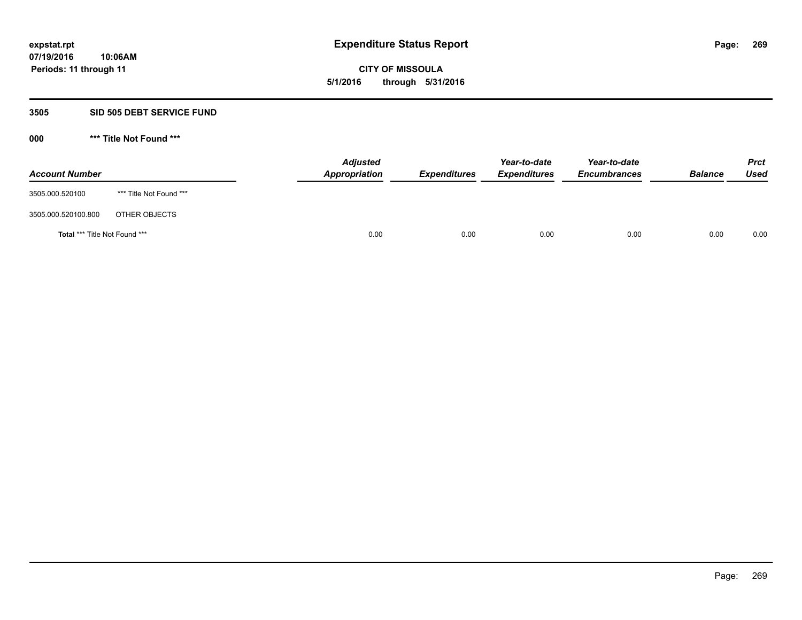**CITY OF MISSOULA 5/1/2016 through 5/31/2016**

### **3505 SID 505 DEBT SERVICE FUND**

| <b>Account Number</b>         |                         | <b>Adjusted</b><br>Appropriation | <b>Expenditures</b> | Year-to-date<br><b>Expenditures</b> | Year-to-date<br><b>Encumbrances</b> | <b>Balance</b> | <b>Prct</b><br>Used |
|-------------------------------|-------------------------|----------------------------------|---------------------|-------------------------------------|-------------------------------------|----------------|---------------------|
| 3505.000.520100               | *** Title Not Found *** |                                  |                     |                                     |                                     |                |                     |
| 3505.000.520100.800           | OTHER OBJECTS           |                                  |                     |                                     |                                     |                |                     |
| Total *** Title Not Found *** |                         | 0.00                             | 0.00                | 0.00                                | 0.00                                | 0.00           | 0.00                |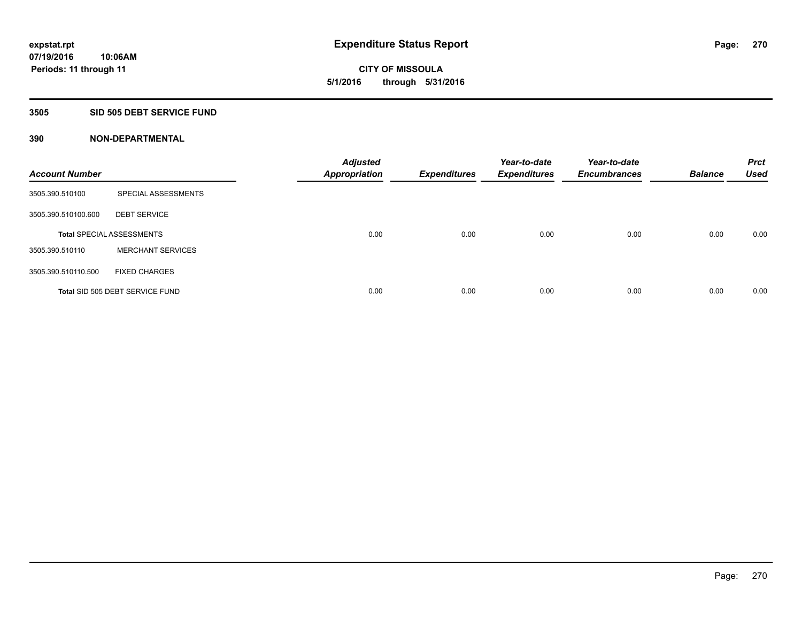**CITY OF MISSOULA 5/1/2016 through 5/31/2016**

# **3505 SID 505 DEBT SERVICE FUND**

| <b>Account Number</b> |                                  | <b>Adjusted</b><br><b>Appropriation</b> | <b>Expenditures</b> | Year-to-date<br><b>Expenditures</b> | Year-to-date<br><b>Encumbrances</b> | <b>Balance</b> | <b>Prct</b><br><b>Used</b> |
|-----------------------|----------------------------------|-----------------------------------------|---------------------|-------------------------------------|-------------------------------------|----------------|----------------------------|
| 3505.390.510100       | SPECIAL ASSESSMENTS              |                                         |                     |                                     |                                     |                |                            |
| 3505.390.510100.600   | <b>DEBT SERVICE</b>              |                                         |                     |                                     |                                     |                |                            |
|                       | <b>Total SPECIAL ASSESSMENTS</b> | 0.00                                    | 0.00                | 0.00                                | 0.00                                | 0.00           | 0.00                       |
| 3505.390.510110       | <b>MERCHANT SERVICES</b>         |                                         |                     |                                     |                                     |                |                            |
| 3505.390.510110.500   | <b>FIXED CHARGES</b>             |                                         |                     |                                     |                                     |                |                            |
|                       | Total SID 505 DEBT SERVICE FUND  | 0.00                                    | 0.00                | 0.00                                | 0.00                                | 0.00           | 0.00                       |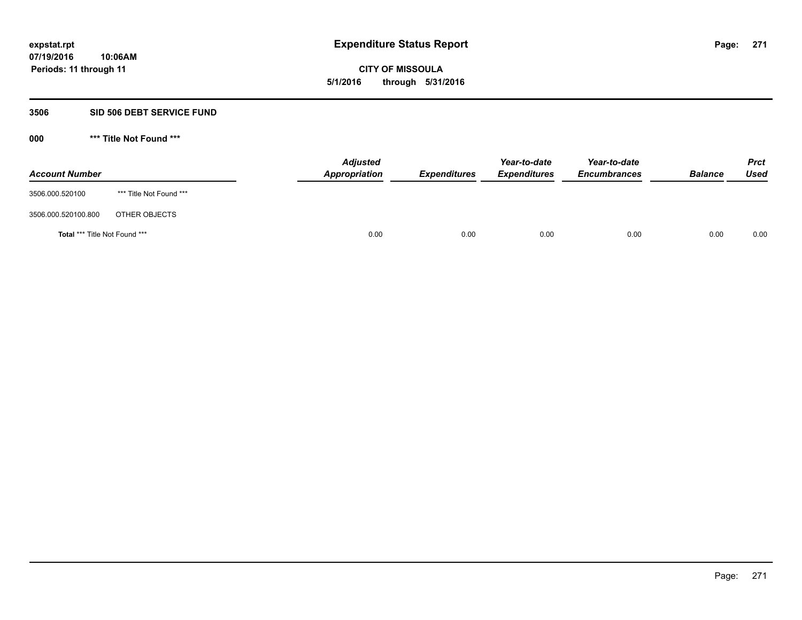**271**

**07/19/2016 10:06AM Periods: 11 through 11**

**CITY OF MISSOULA 5/1/2016 through 5/31/2016**

## **3506 SID 506 DEBT SERVICE FUND**

| <b>Account Number</b>                |                         | <b>Adjusted</b><br>Appropriation | <b>Expenditures</b> | Year-to-date<br><b>Expenditures</b> | Year-to-date<br><b>Encumbrances</b> | <b>Balance</b> | <b>Prct</b><br>Used |
|--------------------------------------|-------------------------|----------------------------------|---------------------|-------------------------------------|-------------------------------------|----------------|---------------------|
| 3506.000.520100                      | *** Title Not Found *** |                                  |                     |                                     |                                     |                |                     |
| 3506.000.520100.800                  | OTHER OBJECTS           |                                  |                     |                                     |                                     |                |                     |
| <b>Total *** Title Not Found ***</b> |                         | 0.00                             | 0.00                | 0.00                                | 0.00                                | 0.00           | 0.00                |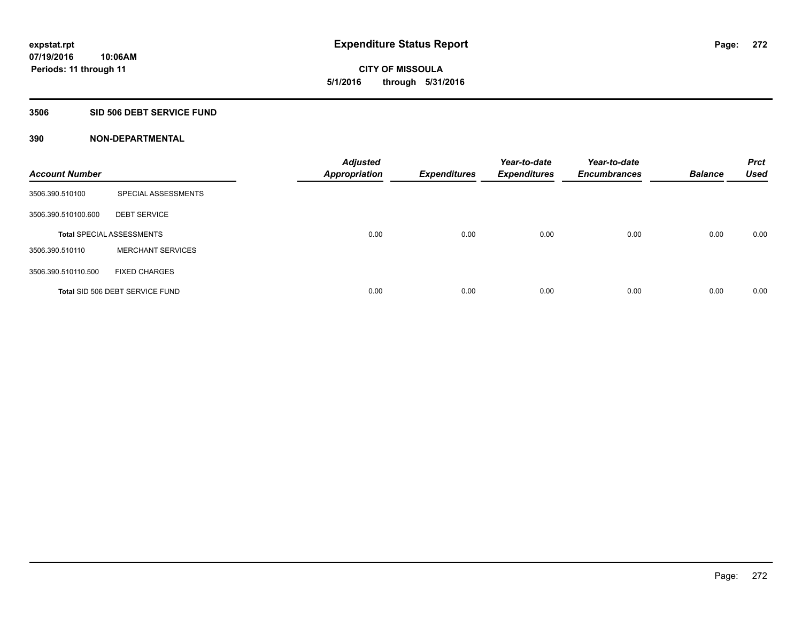**CITY OF MISSOULA 5/1/2016 through 5/31/2016**

## **3506 SID 506 DEBT SERVICE FUND**

| <b>Account Number</b> |                                  | <b>Adjusted</b><br><b>Appropriation</b> | <b>Expenditures</b> | Year-to-date<br><b>Expenditures</b> | Year-to-date<br><b>Encumbrances</b> | <b>Balance</b> | <b>Prct</b><br><b>Used</b> |
|-----------------------|----------------------------------|-----------------------------------------|---------------------|-------------------------------------|-------------------------------------|----------------|----------------------------|
| 3506.390.510100       | SPECIAL ASSESSMENTS              |                                         |                     |                                     |                                     |                |                            |
| 3506.390.510100.600   | <b>DEBT SERVICE</b>              |                                         |                     |                                     |                                     |                |                            |
|                       | <b>Total SPECIAL ASSESSMENTS</b> | 0.00                                    | 0.00                | 0.00                                | 0.00                                | 0.00           | 0.00                       |
| 3506.390.510110       | <b>MERCHANT SERVICES</b>         |                                         |                     |                                     |                                     |                |                            |
| 3506.390.510110.500   | <b>FIXED CHARGES</b>             |                                         |                     |                                     |                                     |                |                            |
|                       | Total SID 506 DEBT SERVICE FUND  | 0.00                                    | 0.00                | 0.00                                | 0.00                                | 0.00           | 0.00                       |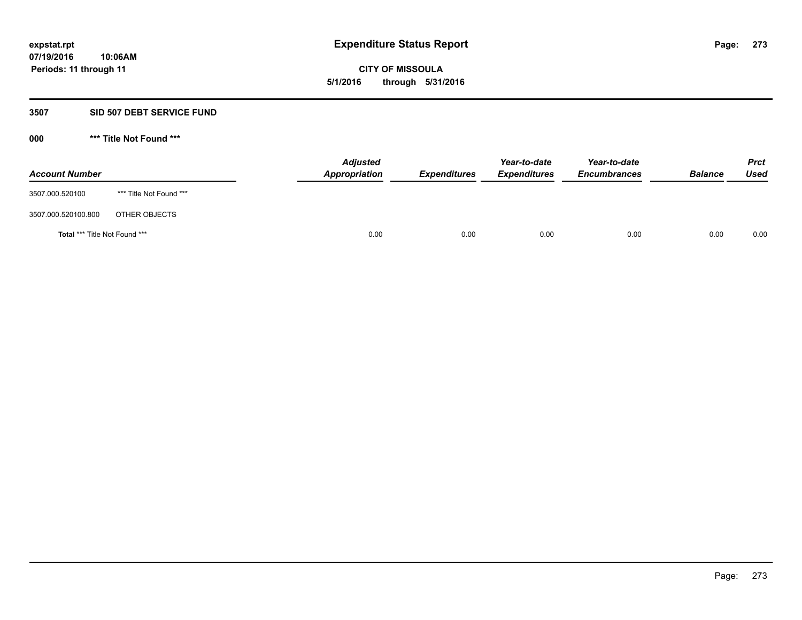**CITY OF MISSOULA 5/1/2016 through 5/31/2016**

### **3507 SID 507 DEBT SERVICE FUND**

| <b>Account Number</b>         |                         | <b>Adjusted</b><br>Appropriation | <b>Expenditures</b> | Year-to-date<br><b>Expenditures</b> | Year-to-date<br><b>Encumbrances</b> | <b>Balance</b> | <b>Prct</b><br>Used |
|-------------------------------|-------------------------|----------------------------------|---------------------|-------------------------------------|-------------------------------------|----------------|---------------------|
| 3507.000.520100               | *** Title Not Found *** |                                  |                     |                                     |                                     |                |                     |
| 3507.000.520100.800           | OTHER OBJECTS           |                                  |                     |                                     |                                     |                |                     |
| Total *** Title Not Found *** |                         | 0.00                             | 0.00                | 0.00                                | 0.00                                | 0.00           | 0.00                |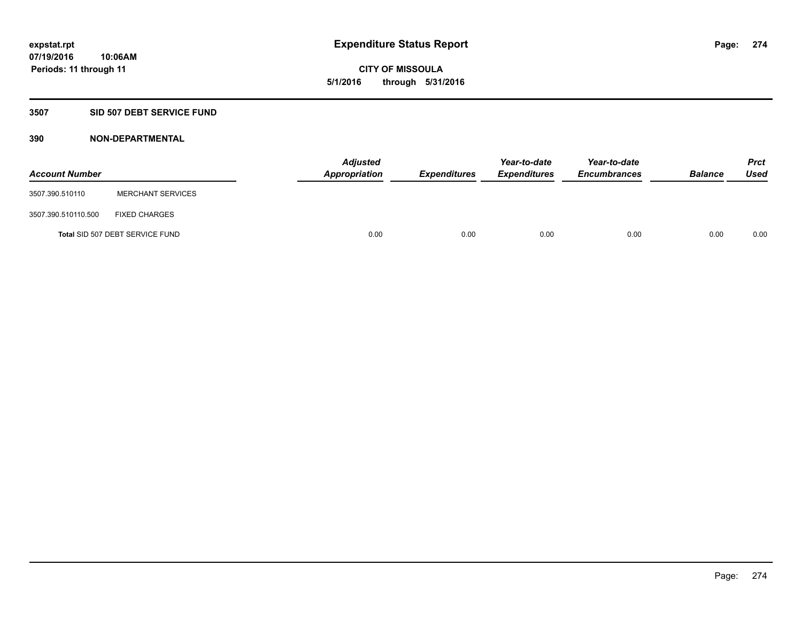**CITY OF MISSOULA 5/1/2016 through 5/31/2016**

# **3507 SID 507 DEBT SERVICE FUND**

| <b>Account Number</b> |                                 | <b>Adjusted</b><br>Appropriation | Expenditures | Year-to-date<br><b>Expenditures</b> | Year-to-date<br><b>Encumbrances</b> | <b>Balance</b> | <b>Prct</b><br>Used |
|-----------------------|---------------------------------|----------------------------------|--------------|-------------------------------------|-------------------------------------|----------------|---------------------|
| 3507.390.510110       | <b>MERCHANT SERVICES</b>        |                                  |              |                                     |                                     |                |                     |
| 3507.390.510110.500   | <b>FIXED CHARGES</b>            |                                  |              |                                     |                                     |                |                     |
|                       | Total SID 507 DEBT SERVICE FUND | 0.00                             | 0.00         | 0.00                                | 0.00                                | 0.00           | 0.00                |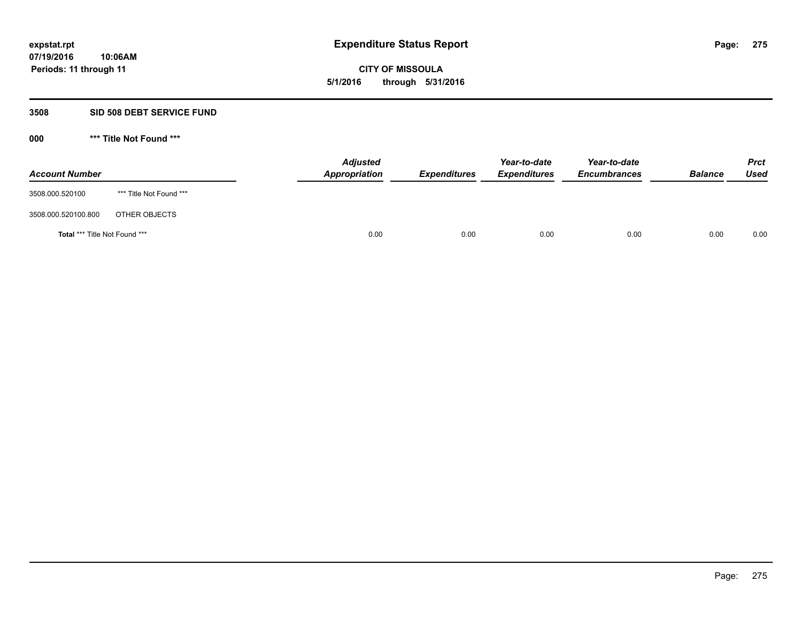**CITY OF MISSOULA 5/1/2016 through 5/31/2016**

### **3508 SID 508 DEBT SERVICE FUND**

| <b>Account Number</b>         |                         | <b>Adjusted</b><br>Appropriation | <b>Expenditures</b> | Year-to-date<br><b>Expenditures</b> | Year-to-date<br><b>Encumbrances</b> | <b>Balance</b> | <b>Prct</b><br>Used |
|-------------------------------|-------------------------|----------------------------------|---------------------|-------------------------------------|-------------------------------------|----------------|---------------------|
| 3508.000.520100               | *** Title Not Found *** |                                  |                     |                                     |                                     |                |                     |
| 3508.000.520100.800           | OTHER OBJECTS           |                                  |                     |                                     |                                     |                |                     |
| Total *** Title Not Found *** |                         | 0.00                             | 0.00                | 0.00                                | 0.00                                | 0.00           | 0.00                |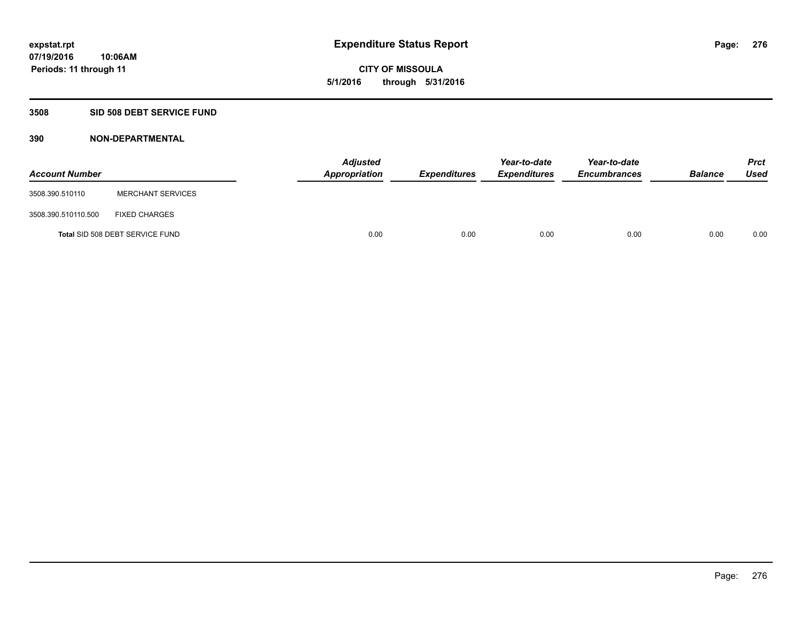# **CITY OF MISSOULA 5/1/2016 through 5/31/2016**

# **3508 SID 508 DEBT SERVICE FUND**

| <b>Account Number</b> |                                 | <b>Adjusted</b><br>Appropriation | <b>Expenditures</b> | Year-to-date<br><b>Expenditures</b> | Year-to-date<br><b>Encumbrances</b> | <b>Balance</b> | Prct<br><b>Used</b> |
|-----------------------|---------------------------------|----------------------------------|---------------------|-------------------------------------|-------------------------------------|----------------|---------------------|
| 3508.390.510110       | <b>MERCHANT SERVICES</b>        |                                  |                     |                                     |                                     |                |                     |
| 3508.390.510110.500   | <b>FIXED CHARGES</b>            |                                  |                     |                                     |                                     |                |                     |
|                       | Total SID 508 DEBT SERVICE FUND | 0.00                             | 0.00                | 0.00                                | 0.00                                | 0.00           | 0.00                |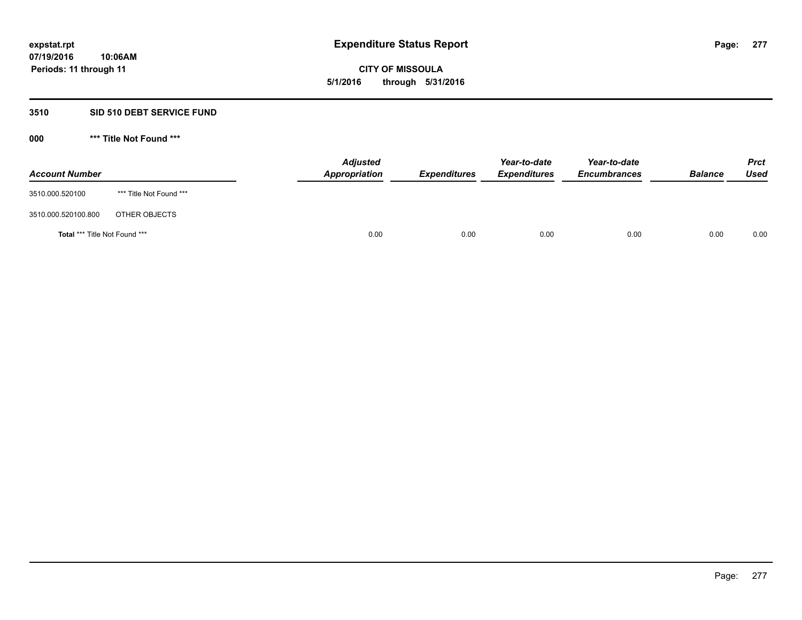**CITY OF MISSOULA 5/1/2016 through 5/31/2016**

## **3510 SID 510 DEBT SERVICE FUND**

| <b>Account Number</b>         |                         | <b>Adjusted</b><br>Appropriation | <b>Expenditures</b> | Year-to-date<br><b>Expenditures</b> | Year-to-date<br><b>Encumbrances</b> | <b>Balance</b> | <b>Prct</b><br>Used |
|-------------------------------|-------------------------|----------------------------------|---------------------|-------------------------------------|-------------------------------------|----------------|---------------------|
| 3510.000.520100               | *** Title Not Found *** |                                  |                     |                                     |                                     |                |                     |
| 3510.000.520100.800           | OTHER OBJECTS           |                                  |                     |                                     |                                     |                |                     |
| Total *** Title Not Found *** |                         | 0.00                             | 0.00                | 0.00                                | 0.00                                | 0.00           | 0.00                |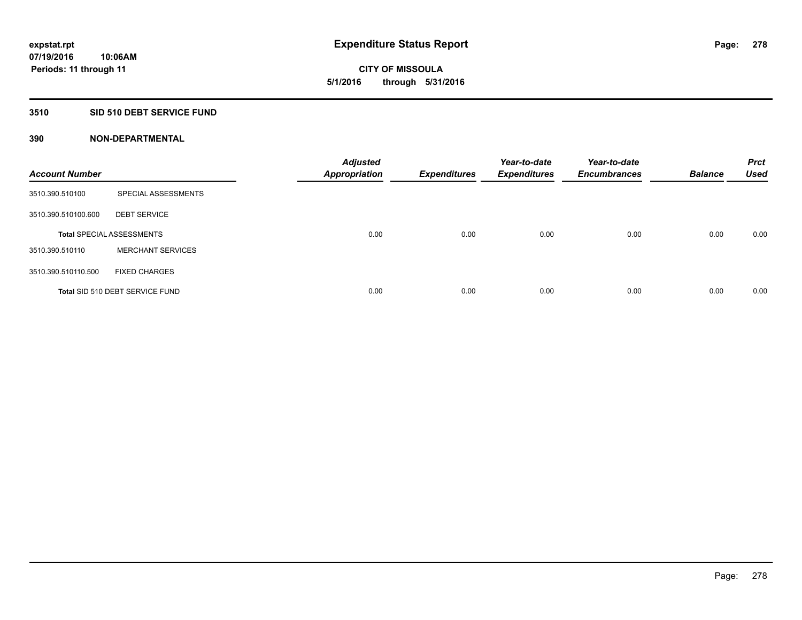**CITY OF MISSOULA 5/1/2016 through 5/31/2016**

## **3510 SID 510 DEBT SERVICE FUND**

| <b>Account Number</b> |                                  | <b>Adjusted</b><br><b>Appropriation</b> | <b>Expenditures</b> | Year-to-date<br><b>Expenditures</b> | Year-to-date<br><b>Encumbrances</b> | <b>Balance</b> | <b>Prct</b><br><b>Used</b> |
|-----------------------|----------------------------------|-----------------------------------------|---------------------|-------------------------------------|-------------------------------------|----------------|----------------------------|
| 3510.390.510100       | SPECIAL ASSESSMENTS              |                                         |                     |                                     |                                     |                |                            |
| 3510.390.510100.600   | <b>DEBT SERVICE</b>              |                                         |                     |                                     |                                     |                |                            |
|                       | <b>Total SPECIAL ASSESSMENTS</b> | 0.00                                    | 0.00                | 0.00                                | 0.00                                | 0.00           | 0.00                       |
| 3510.390.510110       | <b>MERCHANT SERVICES</b>         |                                         |                     |                                     |                                     |                |                            |
| 3510.390.510110.500   | <b>FIXED CHARGES</b>             |                                         |                     |                                     |                                     |                |                            |
|                       | Total SID 510 DEBT SERVICE FUND  | 0.00                                    | 0.00                | 0.00                                | 0.00                                | 0.00           | 0.00                       |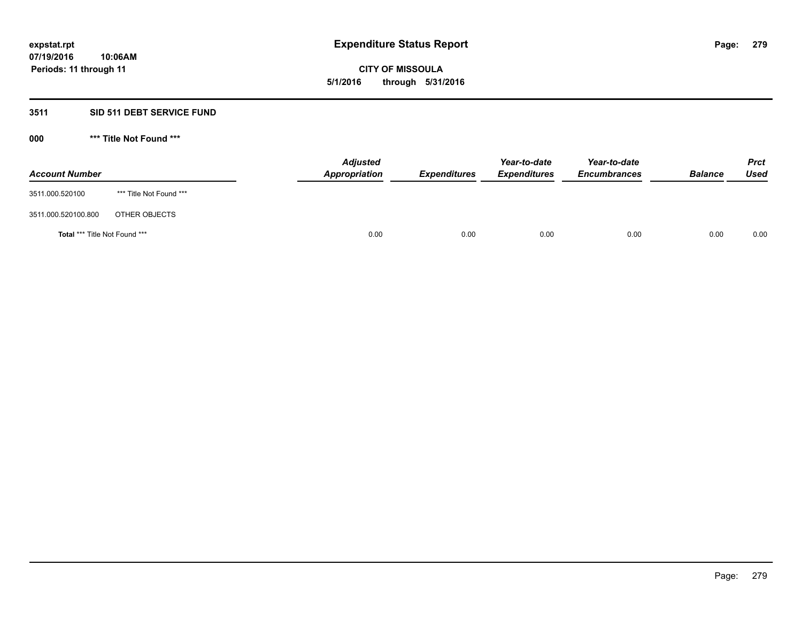# **CITY OF MISSOULA 5/1/2016 through 5/31/2016**

# **3511 SID 511 DEBT SERVICE FUND**

| <b>Account Number</b>         |                         | <b>Adjusted</b><br>Appropriation | <b>Expenditures</b> | Year-to-date<br><b>Expenditures</b> | Year-to-date<br><b>Encumbrances</b> | <b>Balance</b> | <b>Prct</b><br>Used |
|-------------------------------|-------------------------|----------------------------------|---------------------|-------------------------------------|-------------------------------------|----------------|---------------------|
| 3511.000.520100               | *** Title Not Found *** |                                  |                     |                                     |                                     |                |                     |
| 3511.000.520100.800           | OTHER OBJECTS           |                                  |                     |                                     |                                     |                |                     |
| Total *** Title Not Found *** |                         | 0.00                             | 0.00                | 0.00                                | 0.00                                | 0.00           | 0.00                |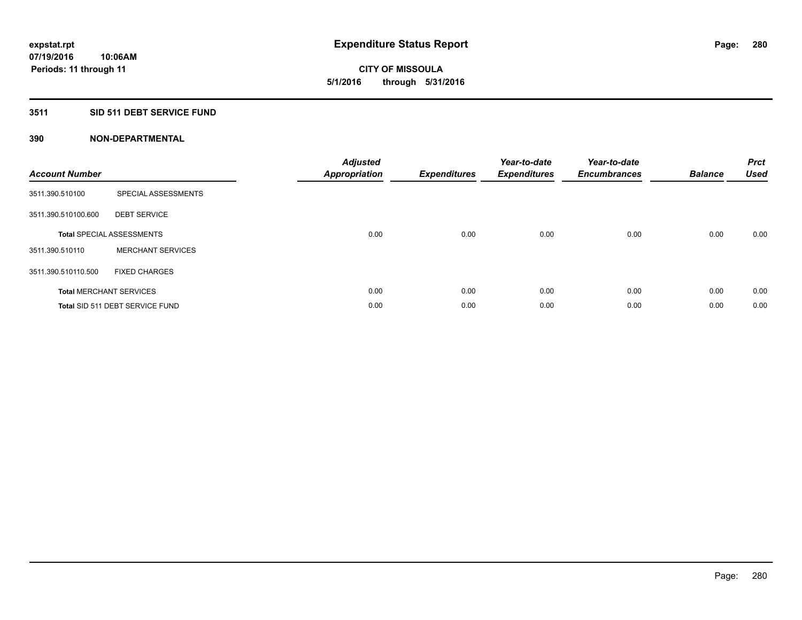**Periods: 11 through 11**

**CITY OF MISSOULA 5/1/2016 through 5/31/2016**

## **3511 SID 511 DEBT SERVICE FUND**

| <b>Account Number</b> |                                  | <b>Adjusted</b><br>Appropriation | <b>Expenditures</b> | Year-to-date<br><b>Expenditures</b> | Year-to-date<br><b>Encumbrances</b> | <b>Balance</b> | <b>Prct</b><br><b>Used</b> |
|-----------------------|----------------------------------|----------------------------------|---------------------|-------------------------------------|-------------------------------------|----------------|----------------------------|
| 3511.390.510100       | SPECIAL ASSESSMENTS              |                                  |                     |                                     |                                     |                |                            |
| 3511.390.510100.600   | <b>DEBT SERVICE</b>              |                                  |                     |                                     |                                     |                |                            |
|                       | <b>Total SPECIAL ASSESSMENTS</b> | 0.00                             | 0.00                | 0.00                                | 0.00                                | 0.00           | 0.00                       |
| 3511.390.510110       | <b>MERCHANT SERVICES</b>         |                                  |                     |                                     |                                     |                |                            |
| 3511.390.510110.500   | <b>FIXED CHARGES</b>             |                                  |                     |                                     |                                     |                |                            |
|                       | <b>Total MERCHANT SERVICES</b>   | 0.00                             | 0.00                | 0.00                                | 0.00                                | 0.00           | 0.00                       |
|                       | Total SID 511 DEBT SERVICE FUND  | 0.00                             | 0.00                | 0.00                                | 0.00                                | 0.00           | 0.00                       |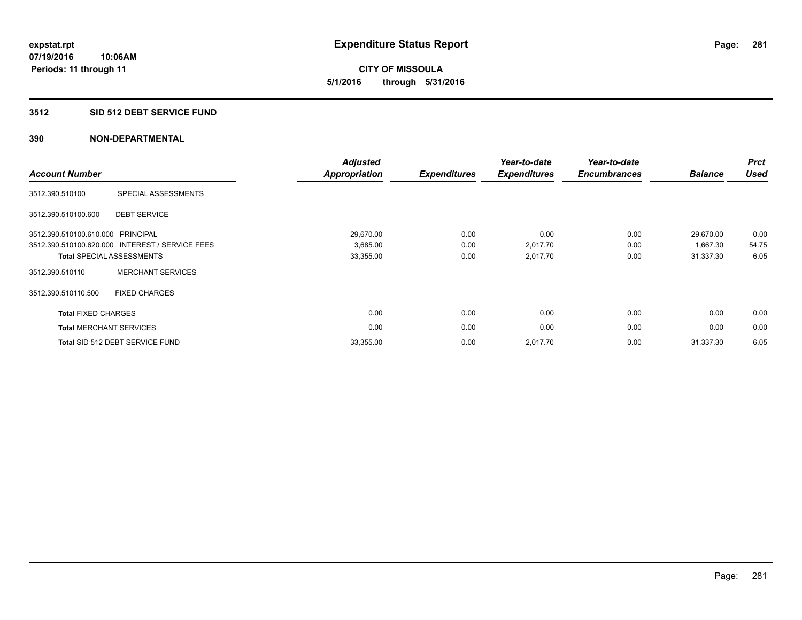**CITY OF MISSOULA 5/1/2016 through 5/31/2016**

### **3512 SID 512 DEBT SERVICE FUND**

| <b>Account Number</b>             |                                                 | <b>Adjusted</b><br><b>Appropriation</b> | <b>Expenditures</b> | Year-to-date<br><b>Expenditures</b> | Year-to-date<br><b>Encumbrances</b> | <b>Balance</b> | <b>Prct</b><br><b>Used</b> |
|-----------------------------------|-------------------------------------------------|-----------------------------------------|---------------------|-------------------------------------|-------------------------------------|----------------|----------------------------|
| 3512.390.510100                   | SPECIAL ASSESSMENTS                             |                                         |                     |                                     |                                     |                |                            |
| 3512.390.510100.600               | <b>DEBT SERVICE</b>                             |                                         |                     |                                     |                                     |                |                            |
| 3512.390.510100.610.000 PRINCIPAL |                                                 | 29,670.00                               | 0.00                | 0.00                                | 0.00                                | 29,670.00      | 0.00                       |
|                                   | 3512.390.510100.620.000 INTEREST / SERVICE FEES | 3,685.00                                | 0.00                | 2,017.70                            | 0.00                                | 1,667.30       | 54.75                      |
|                                   | <b>Total SPECIAL ASSESSMENTS</b>                | 33,355.00                               | 0.00                | 2,017.70                            | 0.00                                | 31,337.30      | 6.05                       |
| 3512.390.510110                   | <b>MERCHANT SERVICES</b>                        |                                         |                     |                                     |                                     |                |                            |
| 3512.390.510110.500               | <b>FIXED CHARGES</b>                            |                                         |                     |                                     |                                     |                |                            |
| <b>Total FIXED CHARGES</b>        |                                                 | 0.00                                    | 0.00                | 0.00                                | 0.00                                | 0.00           | 0.00                       |
| <b>Total MERCHANT SERVICES</b>    |                                                 | 0.00                                    | 0.00                | 0.00                                | 0.00                                | 0.00           | 0.00                       |
|                                   | Total SID 512 DEBT SERVICE FUND                 | 33,355.00                               | 0.00                | 2,017.70                            | 0.00                                | 31,337.30      | 6.05                       |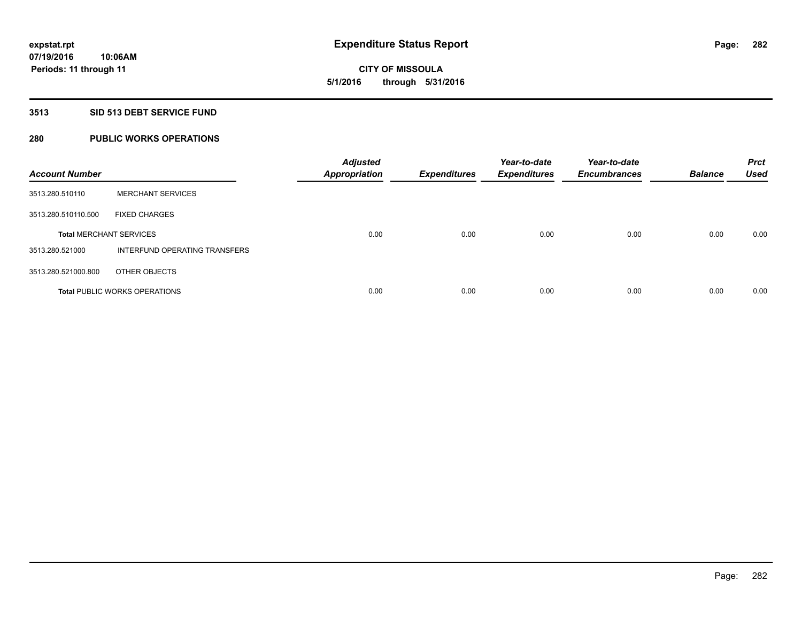**CITY OF MISSOULA 5/1/2016 through 5/31/2016**

### **3513 SID 513 DEBT SERVICE FUND**

# **280 PUBLIC WORKS OPERATIONS**

| <b>Account Number</b>          |                                      | <b>Adjusted</b><br><b>Appropriation</b> | <b>Expenditures</b> | Year-to-date<br><b>Expenditures</b> | Year-to-date<br><b>Encumbrances</b> | <b>Balance</b> | <b>Prct</b><br><b>Used</b> |
|--------------------------------|--------------------------------------|-----------------------------------------|---------------------|-------------------------------------|-------------------------------------|----------------|----------------------------|
| 3513.280.510110                | <b>MERCHANT SERVICES</b>             |                                         |                     |                                     |                                     |                |                            |
| 3513.280.510110.500            | <b>FIXED CHARGES</b>                 |                                         |                     |                                     |                                     |                |                            |
| <b>Total MERCHANT SERVICES</b> |                                      | 0.00                                    | 0.00                | 0.00                                | 0.00                                | 0.00           | 0.00                       |
| 3513.280.521000                | INTERFUND OPERATING TRANSFERS        |                                         |                     |                                     |                                     |                |                            |
| 3513.280.521000.800            | OTHER OBJECTS                        |                                         |                     |                                     |                                     |                |                            |
|                                | <b>Total PUBLIC WORKS OPERATIONS</b> | 0.00                                    | 0.00                | 0.00                                | 0.00                                | 0.00           | 0.00                       |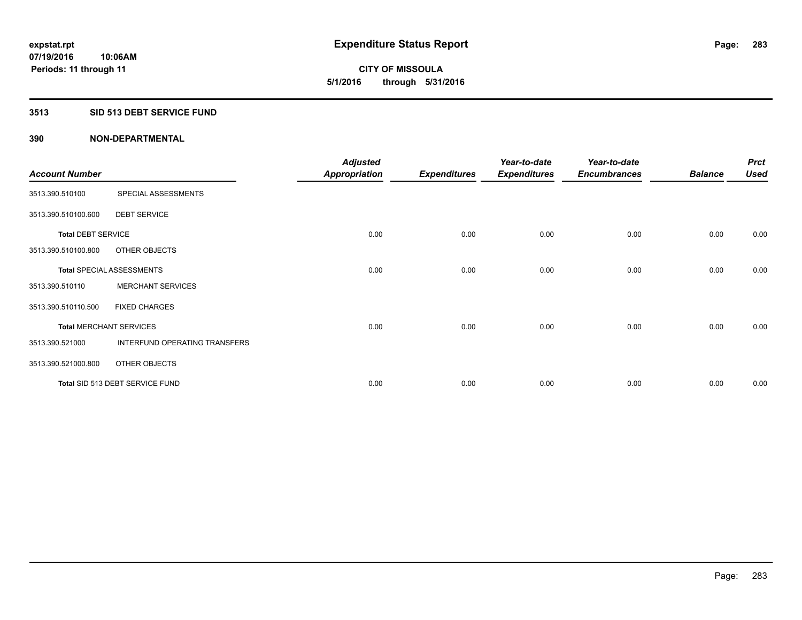**CITY OF MISSOULA 5/1/2016 through 5/31/2016**

### **3513 SID 513 DEBT SERVICE FUND**

|                                |                                  | <b>Adjusted</b>      |                     | Year-to-date        | Year-to-date        |                | <b>Prct</b> |
|--------------------------------|----------------------------------|----------------------|---------------------|---------------------|---------------------|----------------|-------------|
| <b>Account Number</b>          |                                  | <b>Appropriation</b> | <b>Expenditures</b> | <b>Expenditures</b> | <b>Encumbrances</b> | <b>Balance</b> | <b>Used</b> |
| 3513.390.510100                | SPECIAL ASSESSMENTS              |                      |                     |                     |                     |                |             |
| 3513.390.510100.600            | <b>DEBT SERVICE</b>              |                      |                     |                     |                     |                |             |
| <b>Total DEBT SERVICE</b>      |                                  | 0.00                 | 0.00                | 0.00                | 0.00                | 0.00           | 0.00        |
| 3513.390.510100.800            | OTHER OBJECTS                    |                      |                     |                     |                     |                |             |
|                                | <b>Total SPECIAL ASSESSMENTS</b> | 0.00                 | 0.00                | 0.00                | 0.00                | 0.00           | 0.00        |
| 3513.390.510110                | <b>MERCHANT SERVICES</b>         |                      |                     |                     |                     |                |             |
| 3513.390.510110.500            | <b>FIXED CHARGES</b>             |                      |                     |                     |                     |                |             |
| <b>Total MERCHANT SERVICES</b> |                                  | 0.00                 | 0.00                | 0.00                | 0.00                | 0.00           | 0.00        |
| 3513.390.521000                | INTERFUND OPERATING TRANSFERS    |                      |                     |                     |                     |                |             |
| 3513.390.521000.800            | OTHER OBJECTS                    |                      |                     |                     |                     |                |             |
|                                | Total SID 513 DEBT SERVICE FUND  | 0.00                 | 0.00                | 0.00                | 0.00                | 0.00           | 0.00        |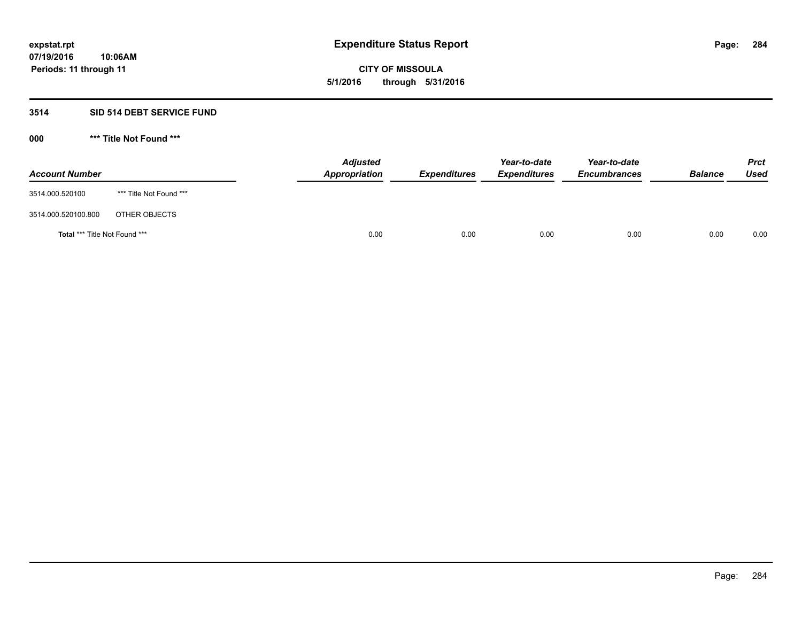# **CITY OF MISSOULA 5/1/2016 through 5/31/2016**

# **3514 SID 514 DEBT SERVICE FUND**

| <b>Account Number</b>         |                         | <b>Adjusted</b><br>Appropriation | <b>Expenditures</b> | Year-to-date<br><b>Expenditures</b> | Year-to-date<br><b>Encumbrances</b> | <b>Balance</b> | <b>Prct</b><br>Used |
|-------------------------------|-------------------------|----------------------------------|---------------------|-------------------------------------|-------------------------------------|----------------|---------------------|
| 3514.000.520100               | *** Title Not Found *** |                                  |                     |                                     |                                     |                |                     |
| 3514.000.520100.800           | OTHER OBJECTS           |                                  |                     |                                     |                                     |                |                     |
| Total *** Title Not Found *** |                         | 0.00                             | 0.00                | 0.00                                | 0.00                                | 0.00           | 0.00                |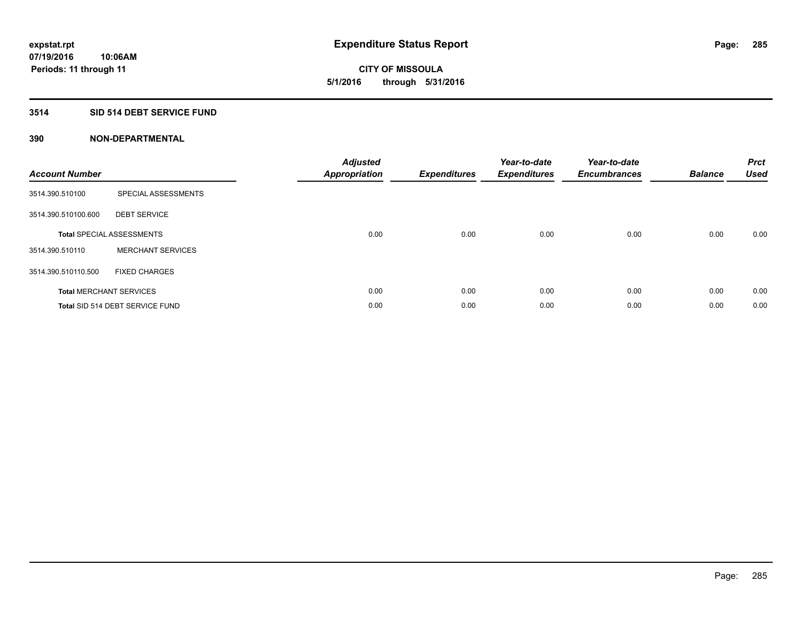**CITY OF MISSOULA 5/1/2016 through 5/31/2016**

## **3514 SID 514 DEBT SERVICE FUND**

| <b>Account Number</b> |                                  | <b>Adjusted</b><br>Appropriation | <b>Expenditures</b> | Year-to-date<br><b>Expenditures</b> | Year-to-date<br><b>Encumbrances</b> | <b>Balance</b> | <b>Prct</b><br><b>Used</b> |
|-----------------------|----------------------------------|----------------------------------|---------------------|-------------------------------------|-------------------------------------|----------------|----------------------------|
| 3514.390.510100       | SPECIAL ASSESSMENTS              |                                  |                     |                                     |                                     |                |                            |
| 3514.390.510100.600   | <b>DEBT SERVICE</b>              |                                  |                     |                                     |                                     |                |                            |
|                       | <b>Total SPECIAL ASSESSMENTS</b> | 0.00                             | 0.00                | 0.00                                | 0.00                                | 0.00           | 0.00                       |
| 3514.390.510110       | <b>MERCHANT SERVICES</b>         |                                  |                     |                                     |                                     |                |                            |
| 3514.390.510110.500   | <b>FIXED CHARGES</b>             |                                  |                     |                                     |                                     |                |                            |
|                       | <b>Total MERCHANT SERVICES</b>   | 0.00                             | 0.00                | 0.00                                | 0.00                                | 0.00           | 0.00                       |
|                       | Total SID 514 DEBT SERVICE FUND  | 0.00                             | 0.00                | 0.00                                | 0.00                                | 0.00           | 0.00                       |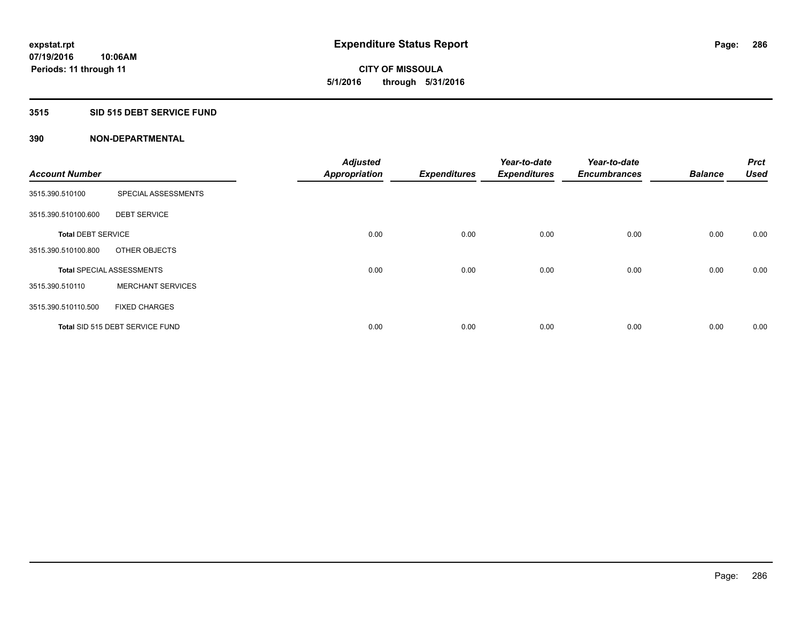**Periods: 11 through 11**

**CITY OF MISSOULA 5/1/2016 through 5/31/2016**

## **3515 SID 515 DEBT SERVICE FUND**

| <b>Account Number</b>     |                                  | <b>Adjusted</b><br><b>Appropriation</b> | <b>Expenditures</b> | Year-to-date<br><b>Expenditures</b> | Year-to-date<br><b>Encumbrances</b> | <b>Balance</b> | <b>Prct</b><br><b>Used</b> |
|---------------------------|----------------------------------|-----------------------------------------|---------------------|-------------------------------------|-------------------------------------|----------------|----------------------------|
| 3515.390.510100           | SPECIAL ASSESSMENTS              |                                         |                     |                                     |                                     |                |                            |
| 3515.390.510100.600       | <b>DEBT SERVICE</b>              |                                         |                     |                                     |                                     |                |                            |
| <b>Total DEBT SERVICE</b> |                                  | 0.00                                    | 0.00                | 0.00                                | 0.00                                | 0.00           | 0.00                       |
| 3515.390.510100.800       | OTHER OBJECTS                    |                                         |                     |                                     |                                     |                |                            |
|                           | <b>Total SPECIAL ASSESSMENTS</b> | 0.00                                    | 0.00                | 0.00                                | 0.00                                | 0.00           | 0.00                       |
| 3515.390.510110           | <b>MERCHANT SERVICES</b>         |                                         |                     |                                     |                                     |                |                            |
| 3515.390.510110.500       | <b>FIXED CHARGES</b>             |                                         |                     |                                     |                                     |                |                            |
|                           | Total SID 515 DEBT SERVICE FUND  | 0.00                                    | 0.00                | 0.00                                | 0.00                                | 0.00           | 0.00                       |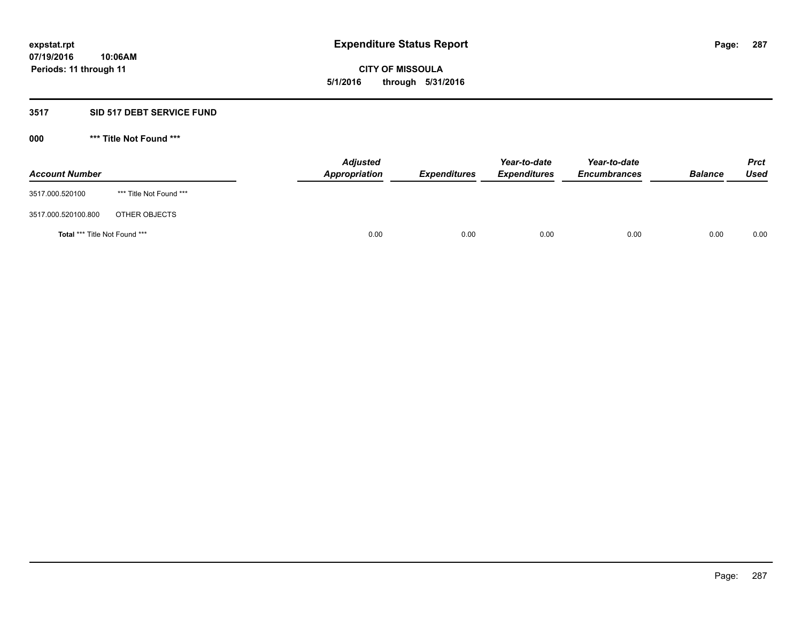# **CITY OF MISSOULA 5/1/2016 through 5/31/2016**

# **3517 SID 517 DEBT SERVICE FUND**

| <b>Account Number</b>         |                         | <b>Adjusted</b><br>Appropriation | <b>Expenditures</b> | Year-to-date<br><b>Expenditures</b> | Year-to-date<br><b>Encumbrances</b> | <b>Balance</b> | <b>Prct</b><br>Used |
|-------------------------------|-------------------------|----------------------------------|---------------------|-------------------------------------|-------------------------------------|----------------|---------------------|
| 3517.000.520100               | *** Title Not Found *** |                                  |                     |                                     |                                     |                |                     |
| 3517.000.520100.800           | OTHER OBJECTS           |                                  |                     |                                     |                                     |                |                     |
| Total *** Title Not Found *** |                         | 0.00                             | 0.00                | 0.00                                | 0.00                                | 0.00           | 0.00                |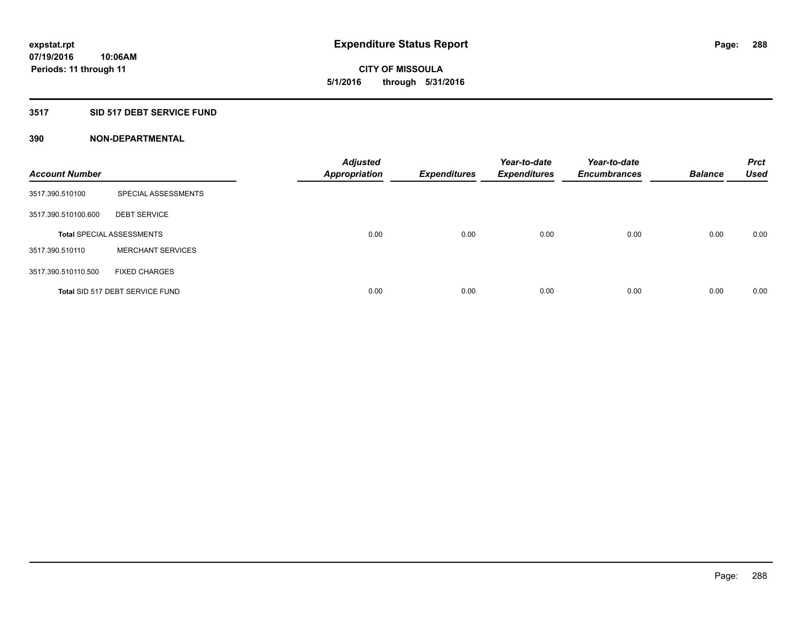**CITY OF MISSOULA 5/1/2016 through 5/31/2016**

# **3517 SID 517 DEBT SERVICE FUND**

| <b>Account Number</b> |                                  | <b>Adjusted</b><br><b>Appropriation</b> | <b>Expenditures</b> | Year-to-date<br><b>Expenditures</b> | Year-to-date<br><b>Encumbrances</b> | <b>Balance</b> | <b>Prct</b><br><b>Used</b> |
|-----------------------|----------------------------------|-----------------------------------------|---------------------|-------------------------------------|-------------------------------------|----------------|----------------------------|
| 3517.390.510100       | SPECIAL ASSESSMENTS              |                                         |                     |                                     |                                     |                |                            |
| 3517.390.510100.600   | <b>DEBT SERVICE</b>              |                                         |                     |                                     |                                     |                |                            |
|                       | <b>Total SPECIAL ASSESSMENTS</b> | 0.00                                    | 0.00                | 0.00                                | 0.00                                | 0.00           | 0.00                       |
| 3517.390.510110       | <b>MERCHANT SERVICES</b>         |                                         |                     |                                     |                                     |                |                            |
| 3517.390.510110.500   | <b>FIXED CHARGES</b>             |                                         |                     |                                     |                                     |                |                            |
|                       | Total SID 517 DEBT SERVICE FUND  | 0.00                                    | 0.00                | 0.00                                | 0.00                                | 0.00           | 0.00                       |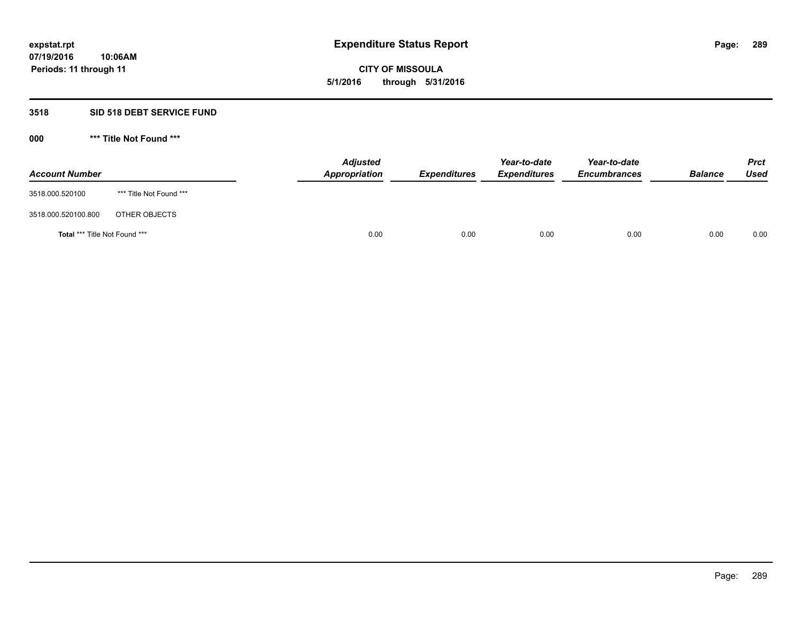**CITY OF MISSOULA 5/1/2016 through 5/31/2016**

#### **3518 SID 518 DEBT SERVICE FUND**

**000 \*\*\* Title Not Found \*\*\***

| <b>Account Number</b>         |                         | <b>Adjusted</b><br>Appropriation | <b>Expenditures</b> | Year-to-date<br><b>Expenditures</b> | Year-to-date<br><b>Encumbrances</b> | <b>Balance</b> | <b>Prct</b><br>Used |
|-------------------------------|-------------------------|----------------------------------|---------------------|-------------------------------------|-------------------------------------|----------------|---------------------|
| 3518.000.520100               | *** Title Not Found *** |                                  |                     |                                     |                                     |                |                     |
| 3518.000.520100.800           | OTHER OBJECTS           |                                  |                     |                                     |                                     |                |                     |
| Total *** Title Not Found *** |                         | 0.00                             | 0.00                | 0.00                                | 0.00                                | 0.00           | 0.00                |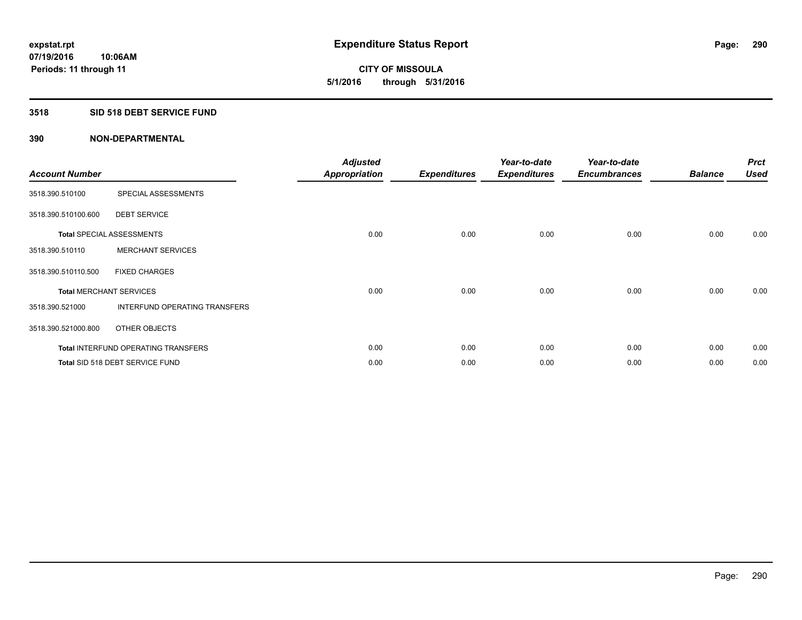**Periods: 11 through 11**

**CITY OF MISSOULA 5/1/2016 through 5/31/2016**

#### **3518 SID 518 DEBT SERVICE FUND**

**10:06AM**

| <b>Account Number</b>          |                                            | <b>Adjusted</b><br><b>Appropriation</b> | <b>Expenditures</b> | Year-to-date<br><b>Expenditures</b> | Year-to-date<br><b>Encumbrances</b> | <b>Balance</b> | <b>Prct</b><br><b>Used</b> |
|--------------------------------|--------------------------------------------|-----------------------------------------|---------------------|-------------------------------------|-------------------------------------|----------------|----------------------------|
| 3518.390.510100                | SPECIAL ASSESSMENTS                        |                                         |                     |                                     |                                     |                |                            |
| 3518.390.510100.600            | <b>DEBT SERVICE</b>                        |                                         |                     |                                     |                                     |                |                            |
|                                | <b>Total SPECIAL ASSESSMENTS</b>           | 0.00                                    | 0.00                | 0.00                                | 0.00                                | 0.00           | 0.00                       |
| 3518.390.510110                | <b>MERCHANT SERVICES</b>                   |                                         |                     |                                     |                                     |                |                            |
| 3518.390.510110.500            | <b>FIXED CHARGES</b>                       |                                         |                     |                                     |                                     |                |                            |
| <b>Total MERCHANT SERVICES</b> |                                            | 0.00                                    | 0.00                | 0.00                                | 0.00                                | 0.00           | 0.00                       |
| 3518.390.521000                | INTERFUND OPERATING TRANSFERS              |                                         |                     |                                     |                                     |                |                            |
| 3518.390.521000.800            | OTHER OBJECTS                              |                                         |                     |                                     |                                     |                |                            |
|                                | <b>Total INTERFUND OPERATING TRANSFERS</b> | 0.00                                    | 0.00                | 0.00                                | 0.00                                | 0.00           | 0.00                       |
|                                | Total SID 518 DEBT SERVICE FUND            | 0.00                                    | 0.00                | 0.00                                | 0.00                                | 0.00           | 0.00                       |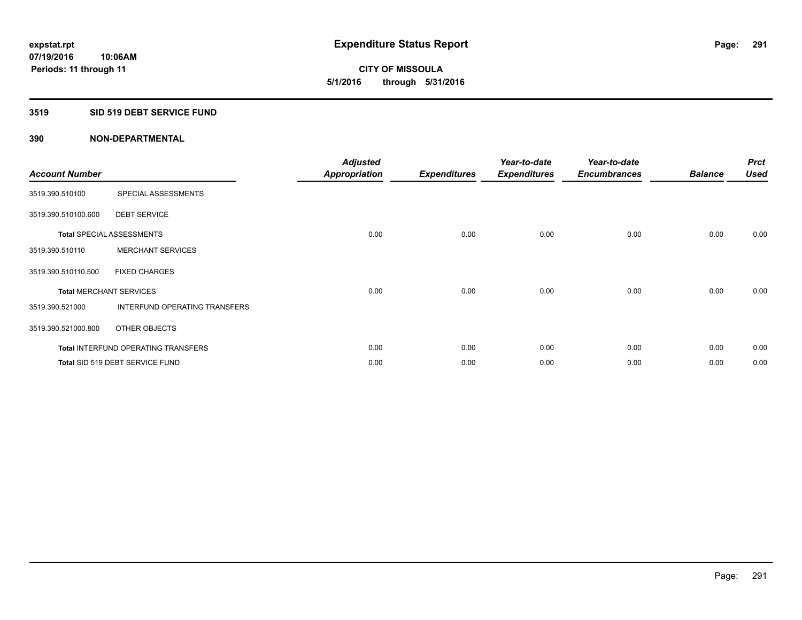**Periods: 11 through 11**

**CITY OF MISSOULA 5/1/2016 through 5/31/2016**

#### **3519 SID 519 DEBT SERVICE FUND**

**10:06AM**

| <b>Account Number</b>          |                                     | <b>Adjusted</b><br><b>Appropriation</b> | <b>Expenditures</b> | Year-to-date<br><b>Expenditures</b> | Year-to-date<br><b>Encumbrances</b> | <b>Balance</b> | <b>Prct</b><br><b>Used</b> |
|--------------------------------|-------------------------------------|-----------------------------------------|---------------------|-------------------------------------|-------------------------------------|----------------|----------------------------|
| 3519.390.510100                | SPECIAL ASSESSMENTS                 |                                         |                     |                                     |                                     |                |                            |
| 3519.390.510100.600            | <b>DEBT SERVICE</b>                 |                                         |                     |                                     |                                     |                |                            |
|                                | <b>Total SPECIAL ASSESSMENTS</b>    | 0.00                                    | 0.00                | 0.00                                | 0.00                                | 0.00           | 0.00                       |
| 3519.390.510110                | <b>MERCHANT SERVICES</b>            |                                         |                     |                                     |                                     |                |                            |
| 3519.390.510110.500            | <b>FIXED CHARGES</b>                |                                         |                     |                                     |                                     |                |                            |
| <b>Total MERCHANT SERVICES</b> |                                     | 0.00                                    | 0.00                | 0.00                                | 0.00                                | 0.00           | 0.00                       |
| 3519.390.521000                | INTERFUND OPERATING TRANSFERS       |                                         |                     |                                     |                                     |                |                            |
| 3519.390.521000.800            | OTHER OBJECTS                       |                                         |                     |                                     |                                     |                |                            |
|                                | Total INTERFUND OPERATING TRANSFERS | 0.00                                    | 0.00                | 0.00                                | 0.00                                | 0.00           | 0.00                       |
|                                | Total SID 519 DEBT SERVICE FUND     | 0.00                                    | 0.00                | 0.00                                | 0.00                                | 0.00           | 0.00                       |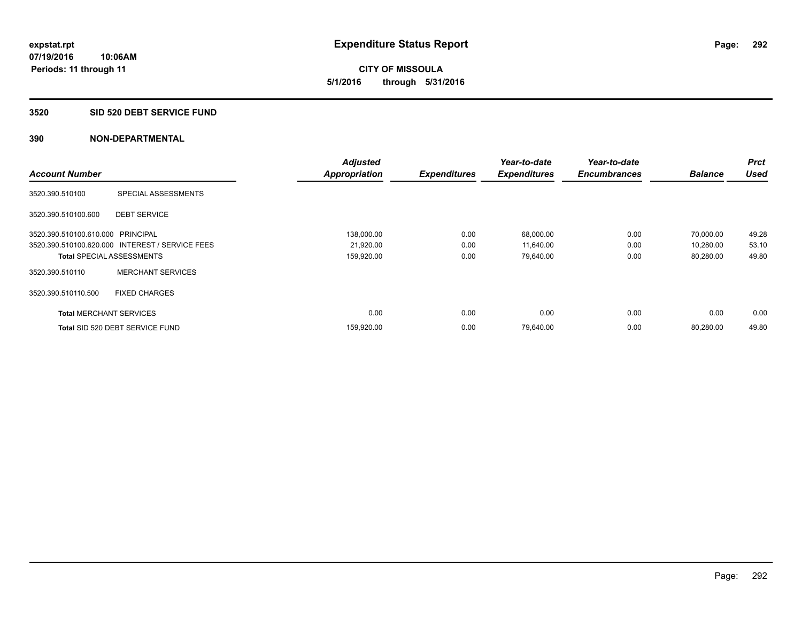**CITY OF MISSOULA 5/1/2016 through 5/31/2016**

#### **3520 SID 520 DEBT SERVICE FUND**

|                                   |                                                 | <b>Adjusted</b>      |                     | Year-to-date        | Year-to-date        |                | <b>Prct</b> |
|-----------------------------------|-------------------------------------------------|----------------------|---------------------|---------------------|---------------------|----------------|-------------|
| <b>Account Number</b>             |                                                 | <b>Appropriation</b> | <b>Expenditures</b> | <b>Expenditures</b> | <b>Encumbrances</b> | <b>Balance</b> | <b>Used</b> |
| 3520.390.510100                   | SPECIAL ASSESSMENTS                             |                      |                     |                     |                     |                |             |
| 3520.390.510100.600               | <b>DEBT SERVICE</b>                             |                      |                     |                     |                     |                |             |
| 3520.390.510100.610.000 PRINCIPAL |                                                 | 138,000.00           | 0.00                | 68,000.00           | 0.00                | 70,000.00      | 49.28       |
|                                   | 3520.390.510100.620.000 INTEREST / SERVICE FEES | 21,920.00            | 0.00                | 11,640.00           | 0.00                | 10,280.00      | 53.10       |
| <b>Total SPECIAL ASSESSMENTS</b>  |                                                 | 159,920.00           | 0.00                | 79,640.00           | 0.00                | 80,280.00      | 49.80       |
| 3520.390.510110                   | <b>MERCHANT SERVICES</b>                        |                      |                     |                     |                     |                |             |
| 3520.390.510110.500               | <b>FIXED CHARGES</b>                            |                      |                     |                     |                     |                |             |
| <b>Total MERCHANT SERVICES</b>    |                                                 | 0.00                 | 0.00                | 0.00                | 0.00                | 0.00           | 0.00        |
|                                   | Total SID 520 DEBT SERVICE FUND                 | 159,920.00           | 0.00                | 79,640.00           | 0.00                | 80.280.00      | 49.80       |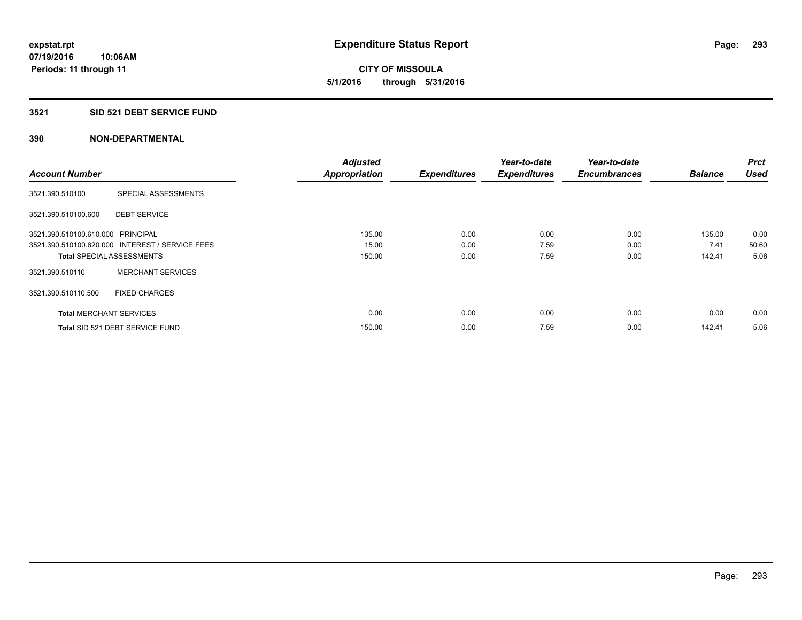**CITY OF MISSOULA 5/1/2016 through 5/31/2016**

#### **3521 SID 521 DEBT SERVICE FUND**

|                                   |                                                 | <b>Adjusted</b>      |                     | Year-to-date        | Year-to-date        |                | <b>Prct</b> |
|-----------------------------------|-------------------------------------------------|----------------------|---------------------|---------------------|---------------------|----------------|-------------|
| <b>Account Number</b>             |                                                 | <b>Appropriation</b> | <b>Expenditures</b> | <b>Expenditures</b> | <b>Encumbrances</b> | <b>Balance</b> | <b>Used</b> |
| 3521.390.510100                   | SPECIAL ASSESSMENTS                             |                      |                     |                     |                     |                |             |
| 3521.390.510100.600               | <b>DEBT SERVICE</b>                             |                      |                     |                     |                     |                |             |
| 3521.390.510100.610.000 PRINCIPAL |                                                 | 135.00               | 0.00                | 0.00                | 0.00                | 135.00         | 0.00        |
|                                   | 3521.390.510100.620.000 INTEREST / SERVICE FEES | 15.00                | 0.00                | 7.59                | 0.00                | 7.41           | 50.60       |
| <b>Total SPECIAL ASSESSMENTS</b>  |                                                 | 150.00               | 0.00                | 7.59                | 0.00                | 142.41         | 5.06        |
| 3521.390.510110                   | <b>MERCHANT SERVICES</b>                        |                      |                     |                     |                     |                |             |
| 3521.390.510110.500               | <b>FIXED CHARGES</b>                            |                      |                     |                     |                     |                |             |
| <b>Total MERCHANT SERVICES</b>    |                                                 | 0.00                 | 0.00                | 0.00                | 0.00                | 0.00           | 0.00        |
|                                   | Total SID 521 DEBT SERVICE FUND                 | 150.00               | 0.00                | 7.59                | 0.00                | 142.41         | 5.06        |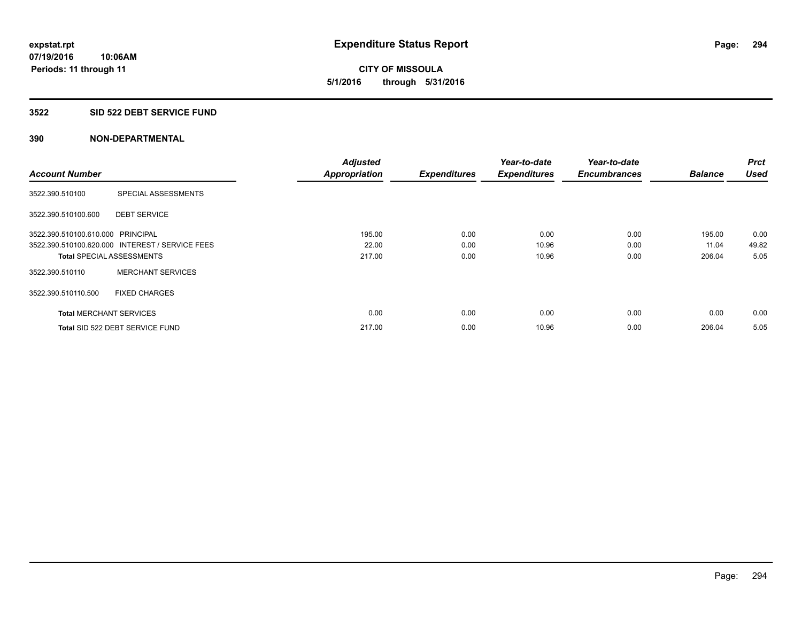**CITY OF MISSOULA 5/1/2016 through 5/31/2016**

#### **3522 SID 522 DEBT SERVICE FUND**

|                                   |                                                 | <b>Adjusted</b>      |                     | Year-to-date        | Year-to-date        |                | <b>Prct</b> |
|-----------------------------------|-------------------------------------------------|----------------------|---------------------|---------------------|---------------------|----------------|-------------|
| <b>Account Number</b>             |                                                 | <b>Appropriation</b> | <b>Expenditures</b> | <b>Expenditures</b> | <b>Encumbrances</b> | <b>Balance</b> | <b>Used</b> |
| 3522.390.510100                   | SPECIAL ASSESSMENTS                             |                      |                     |                     |                     |                |             |
| 3522.390.510100.600               | <b>DEBT SERVICE</b>                             |                      |                     |                     |                     |                |             |
| 3522.390.510100.610.000 PRINCIPAL |                                                 | 195.00               | 0.00                | 0.00                | 0.00                | 195.00         | 0.00        |
|                                   | 3522.390.510100.620.000 INTEREST / SERVICE FEES | 22.00                | 0.00                | 10.96               | 0.00                | 11.04          | 49.82       |
| <b>Total SPECIAL ASSESSMENTS</b>  |                                                 | 217.00               | 0.00                | 10.96               | 0.00                | 206.04         | 5.05        |
| 3522.390.510110                   | <b>MERCHANT SERVICES</b>                        |                      |                     |                     |                     |                |             |
| 3522.390.510110.500               | <b>FIXED CHARGES</b>                            |                      |                     |                     |                     |                |             |
| <b>Total MERCHANT SERVICES</b>    |                                                 | 0.00                 | 0.00                | 0.00                | 0.00                | 0.00           | 0.00        |
|                                   | Total SID 522 DEBT SERVICE FUND                 | 217.00               | 0.00                | 10.96               | 0.00                | 206.04         | 5.05        |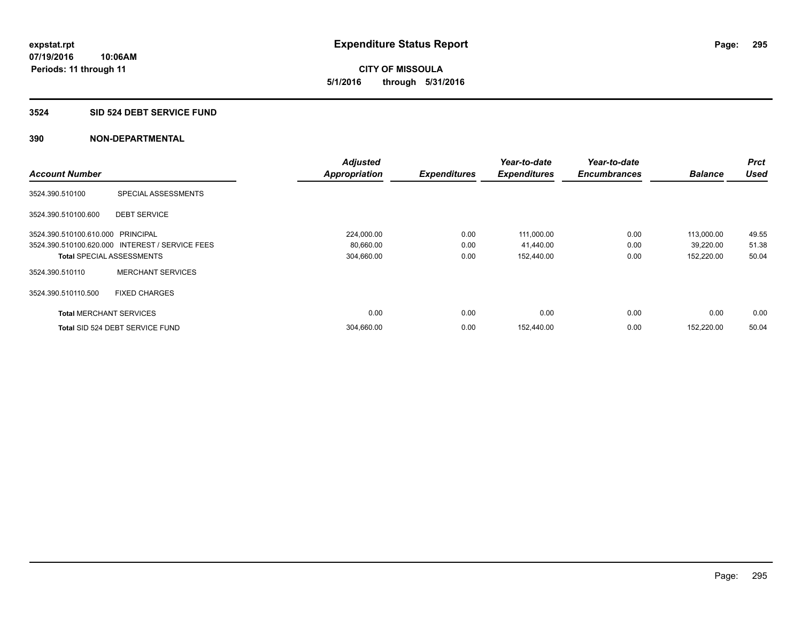**CITY OF MISSOULA 5/1/2016 through 5/31/2016**

#### **3524 SID 524 DEBT SERVICE FUND**

|                                   |                                                 | <b>Adjusted</b>      |                     | Year-to-date        | Year-to-date        |                | <b>Prct</b> |
|-----------------------------------|-------------------------------------------------|----------------------|---------------------|---------------------|---------------------|----------------|-------------|
| <b>Account Number</b>             |                                                 | <b>Appropriation</b> | <b>Expenditures</b> | <b>Expenditures</b> | <b>Encumbrances</b> | <b>Balance</b> | <b>Used</b> |
| 3524.390.510100                   | SPECIAL ASSESSMENTS                             |                      |                     |                     |                     |                |             |
| 3524.390.510100.600               | <b>DEBT SERVICE</b>                             |                      |                     |                     |                     |                |             |
| 3524.390.510100.610.000 PRINCIPAL |                                                 | 224,000.00           | 0.00                | 111,000.00          | 0.00                | 113,000.00     | 49.55       |
|                                   | 3524.390.510100.620.000 INTEREST / SERVICE FEES | 80,660.00            | 0.00                | 41,440.00           | 0.00                | 39,220.00      | 51.38       |
|                                   | <b>Total SPECIAL ASSESSMENTS</b>                | 304,660.00           | 0.00                | 152,440.00          | 0.00                | 152,220.00     | 50.04       |
| 3524.390.510110                   | <b>MERCHANT SERVICES</b>                        |                      |                     |                     |                     |                |             |
| 3524.390.510110.500               | <b>FIXED CHARGES</b>                            |                      |                     |                     |                     |                |             |
| <b>Total MERCHANT SERVICES</b>    |                                                 | 0.00                 | 0.00                | 0.00                | 0.00                | 0.00           | 0.00        |
|                                   | Total SID 524 DEBT SERVICE FUND                 | 304,660.00           | 0.00                | 152,440.00          | 0.00                | 152.220.00     | 50.04       |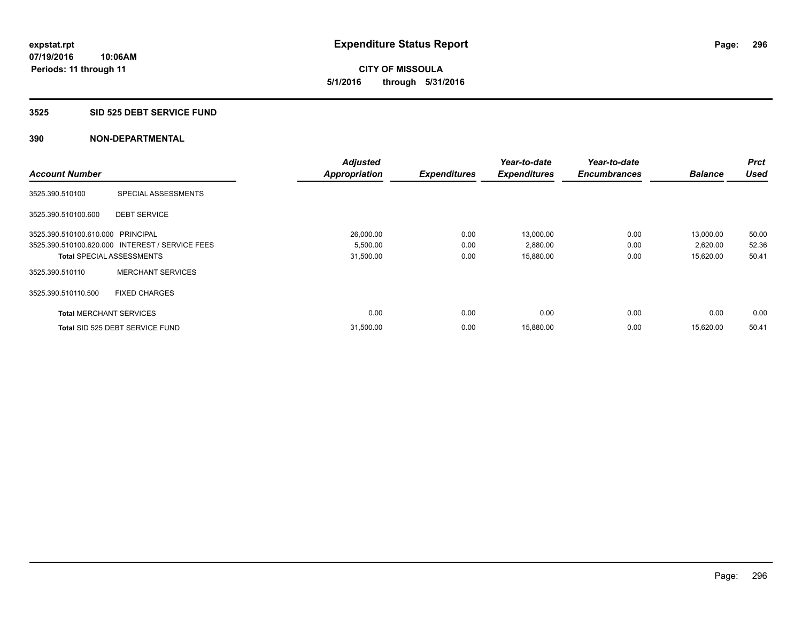**CITY OF MISSOULA 5/1/2016 through 5/31/2016**

#### **3525 SID 525 DEBT SERVICE FUND**

|                                   |                                                 | <b>Adjusted</b>      |                     | Year-to-date        | Year-to-date        |                | <b>Prct</b> |
|-----------------------------------|-------------------------------------------------|----------------------|---------------------|---------------------|---------------------|----------------|-------------|
| <b>Account Number</b>             |                                                 | <b>Appropriation</b> | <b>Expenditures</b> | <b>Expenditures</b> | <b>Encumbrances</b> | <b>Balance</b> | <b>Used</b> |
| 3525.390.510100                   | SPECIAL ASSESSMENTS                             |                      |                     |                     |                     |                |             |
| 3525.390.510100.600               | <b>DEBT SERVICE</b>                             |                      |                     |                     |                     |                |             |
| 3525.390.510100.610.000 PRINCIPAL |                                                 | 26,000.00            | 0.00                | 13,000.00           | 0.00                | 13,000.00      | 50.00       |
|                                   | 3525.390.510100.620.000 INTEREST / SERVICE FEES | 5,500.00             | 0.00                | 2,880.00            | 0.00                | 2,620.00       | 52.36       |
| <b>Total SPECIAL ASSESSMENTS</b>  |                                                 | 31,500.00            | 0.00                | 15,880.00           | 0.00                | 15,620.00      | 50.41       |
| 3525.390.510110                   | <b>MERCHANT SERVICES</b>                        |                      |                     |                     |                     |                |             |
| 3525.390.510110.500               | <b>FIXED CHARGES</b>                            |                      |                     |                     |                     |                |             |
| <b>Total MERCHANT SERVICES</b>    |                                                 | 0.00                 | 0.00                | 0.00                | 0.00                | 0.00           | 0.00        |
|                                   | Total SID 525 DEBT SERVICE FUND                 | 31,500.00            | 0.00                | 15,880.00           | 0.00                | 15.620.00      | 50.41       |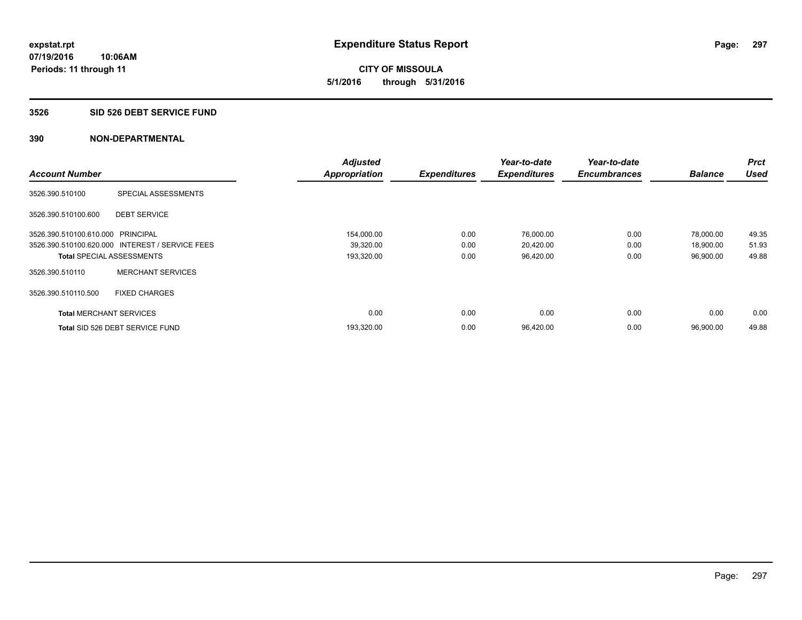# **CITY OF MISSOULA 5/1/2016 through 5/31/2016**

#### **3526 SID 526 DEBT SERVICE FUND**

|                                   |                                                 | <b>Adjusted</b>      |                     | Year-to-date        | Year-to-date        |                | <b>Prct</b> |
|-----------------------------------|-------------------------------------------------|----------------------|---------------------|---------------------|---------------------|----------------|-------------|
| <b>Account Number</b>             |                                                 | <b>Appropriation</b> | <b>Expenditures</b> | <b>Expenditures</b> | <b>Encumbrances</b> | <b>Balance</b> | <b>Used</b> |
| 3526.390.510100                   | SPECIAL ASSESSMENTS                             |                      |                     |                     |                     |                |             |
| 3526.390.510100.600               | <b>DEBT SERVICE</b>                             |                      |                     |                     |                     |                |             |
| 3526.390.510100.610.000 PRINCIPAL |                                                 | 154,000.00           | 0.00                | 76,000.00           | 0.00                | 78,000.00      | 49.35       |
|                                   | 3526.390.510100.620.000 INTEREST / SERVICE FEES | 39,320.00            | 0.00                | 20,420.00           | 0.00                | 18,900.00      | 51.93       |
| <b>Total SPECIAL ASSESSMENTS</b>  |                                                 | 193,320.00           | 0.00                | 96,420.00           | 0.00                | 96,900.00      | 49.88       |
| 3526.390.510110                   | <b>MERCHANT SERVICES</b>                        |                      |                     |                     |                     |                |             |
| 3526.390.510110.500               | <b>FIXED CHARGES</b>                            |                      |                     |                     |                     |                |             |
| <b>Total MERCHANT SERVICES</b>    |                                                 | 0.00                 | 0.00                | 0.00                | 0.00                | 0.00           | 0.00        |
|                                   | Total SID 526 DEBT SERVICE FUND                 | 193,320.00           | 0.00                | 96,420.00           | 0.00                | 96,900.00      | 49.88       |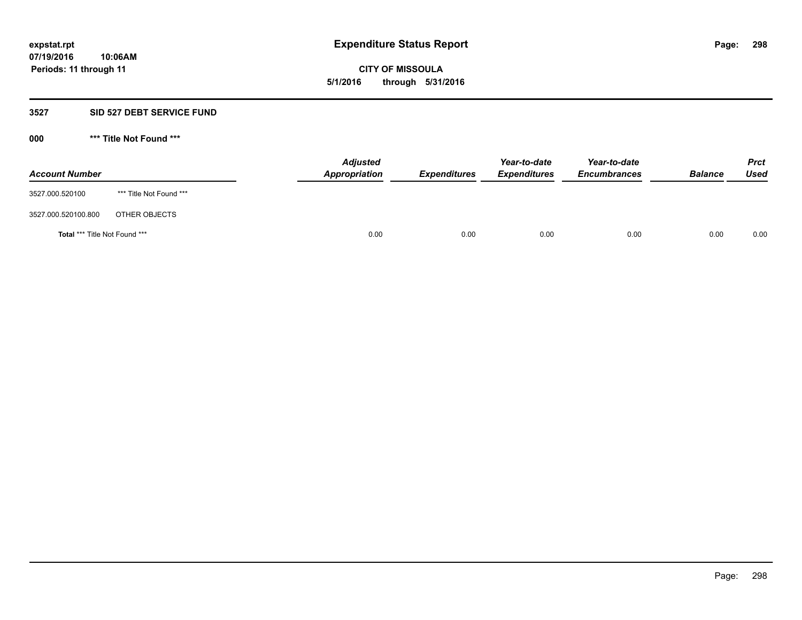**CITY OF MISSOULA 5/1/2016 through 5/31/2016**

#### **3527 SID 527 DEBT SERVICE FUND**

**000 \*\*\* Title Not Found \*\*\***

| <b>Account Number</b>         |                         | <b>Adjusted</b><br>Appropriation | <b>Expenditures</b> | Year-to-date<br><b>Expenditures</b> | Year-to-date<br><b>Encumbrances</b> | <b>Balance</b> | <b>Prct</b><br>Used |
|-------------------------------|-------------------------|----------------------------------|---------------------|-------------------------------------|-------------------------------------|----------------|---------------------|
| 3527.000.520100               | *** Title Not Found *** |                                  |                     |                                     |                                     |                |                     |
| 3527.000.520100.800           | OTHER OBJECTS           |                                  |                     |                                     |                                     |                |                     |
| Total *** Title Not Found *** |                         | 0.00                             | 0.00                | 0.00                                | 0.00                                | 0.00           | 0.00                |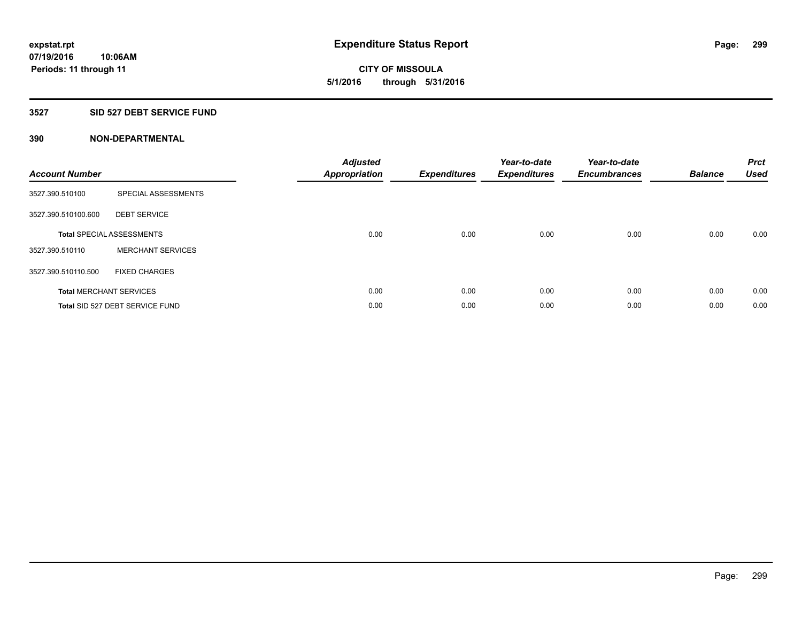**299**

**07/19/2016 10:06AM Periods: 11 through 11**

**CITY OF MISSOULA 5/1/2016 through 5/31/2016**

# **3527 SID 527 DEBT SERVICE FUND**

| <b>Account Number</b> |                                  | <b>Adjusted</b><br>Appropriation | <b>Expenditures</b> | Year-to-date<br><b>Expenditures</b> | Year-to-date<br><b>Encumbrances</b> | <b>Balance</b> | <b>Prct</b><br><b>Used</b> |
|-----------------------|----------------------------------|----------------------------------|---------------------|-------------------------------------|-------------------------------------|----------------|----------------------------|
| 3527.390.510100       | SPECIAL ASSESSMENTS              |                                  |                     |                                     |                                     |                |                            |
| 3527.390.510100.600   | <b>DEBT SERVICE</b>              |                                  |                     |                                     |                                     |                |                            |
|                       | <b>Total SPECIAL ASSESSMENTS</b> | 0.00                             | 0.00                | 0.00                                | 0.00                                | 0.00           | 0.00                       |
| 3527.390.510110       | <b>MERCHANT SERVICES</b>         |                                  |                     |                                     |                                     |                |                            |
| 3527.390.510110.500   | <b>FIXED CHARGES</b>             |                                  |                     |                                     |                                     |                |                            |
|                       | <b>Total MERCHANT SERVICES</b>   | 0.00                             | 0.00                | 0.00                                | 0.00                                | 0.00           | 0.00                       |
|                       | Total SID 527 DEBT SERVICE FUND  | 0.00                             | 0.00                | 0.00                                | 0.00                                | 0.00           | 0.00                       |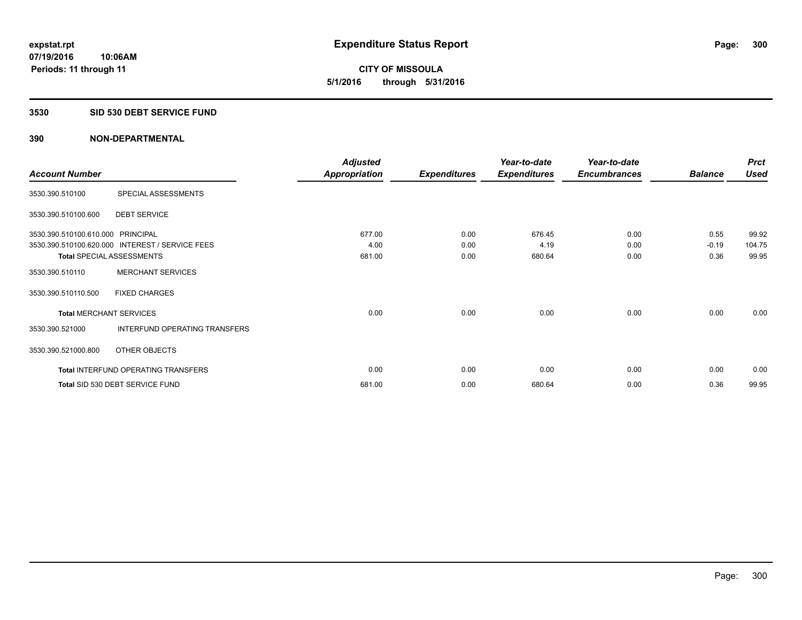**CITY OF MISSOULA 5/1/2016 through 5/31/2016**

#### **3530 SID 530 DEBT SERVICE FUND**

|                                   |                                                 | <b>Adjusted</b>      |                     | Year-to-date        | Year-to-date        |                | <b>Prct</b> |
|-----------------------------------|-------------------------------------------------|----------------------|---------------------|---------------------|---------------------|----------------|-------------|
| <b>Account Number</b>             |                                                 | <b>Appropriation</b> | <b>Expenditures</b> | <b>Expenditures</b> | <b>Encumbrances</b> | <b>Balance</b> | <b>Used</b> |
| 3530.390.510100                   | SPECIAL ASSESSMENTS                             |                      |                     |                     |                     |                |             |
| 3530.390.510100.600               | <b>DEBT SERVICE</b>                             |                      |                     |                     |                     |                |             |
| 3530.390.510100.610.000 PRINCIPAL |                                                 | 677.00               | 0.00                | 676.45              | 0.00                | 0.55           | 99.92       |
|                                   | 3530.390.510100.620.000 INTEREST / SERVICE FEES | 4.00                 | 0.00                | 4.19                | 0.00                | $-0.19$        | 104.75      |
| <b>Total SPECIAL ASSESSMENTS</b>  |                                                 | 681.00               | 0.00                | 680.64              | 0.00                | 0.36           | 99.95       |
| 3530.390.510110                   | <b>MERCHANT SERVICES</b>                        |                      |                     |                     |                     |                |             |
| 3530.390.510110.500               | <b>FIXED CHARGES</b>                            |                      |                     |                     |                     |                |             |
| <b>Total MERCHANT SERVICES</b>    |                                                 | 0.00                 | 0.00                | 0.00                | 0.00                | 0.00           | 0.00        |
| 3530.390.521000                   | <b>INTERFUND OPERATING TRANSFERS</b>            |                      |                     |                     |                     |                |             |
| 3530.390.521000.800               | OTHER OBJECTS                                   |                      |                     |                     |                     |                |             |
|                                   | <b>Total INTERFUND OPERATING TRANSFERS</b>      | 0.00                 | 0.00                | 0.00                | 0.00                | 0.00           | 0.00        |
|                                   | Total SID 530 DEBT SERVICE FUND                 | 681.00               | 0.00                | 680.64              | 0.00                | 0.36           | 99.95       |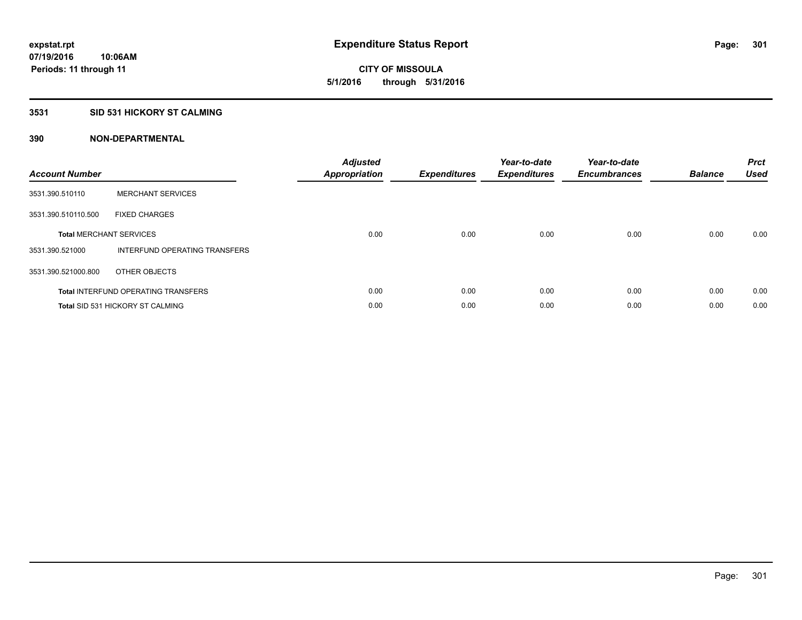**CITY OF MISSOULA 5/1/2016 through 5/31/2016**

# **3531 SID 531 HICKORY ST CALMING**

| <b>Account Number</b> |                                            | <b>Adjusted</b><br>Appropriation | <b>Expenditures</b> | Year-to-date<br><b>Expenditures</b> | Year-to-date<br><b>Encumbrances</b> | <b>Balance</b> | <b>Prct</b><br><b>Used</b> |
|-----------------------|--------------------------------------------|----------------------------------|---------------------|-------------------------------------|-------------------------------------|----------------|----------------------------|
| 3531.390.510110       | <b>MERCHANT SERVICES</b>                   |                                  |                     |                                     |                                     |                |                            |
| 3531.390.510110.500   | <b>FIXED CHARGES</b>                       |                                  |                     |                                     |                                     |                |                            |
|                       | <b>Total MERCHANT SERVICES</b>             | 0.00                             | 0.00                | 0.00                                | 0.00                                | 0.00           | 0.00                       |
| 3531.390.521000       | INTERFUND OPERATING TRANSFERS              |                                  |                     |                                     |                                     |                |                            |
| 3531.390.521000.800   | OTHER OBJECTS                              |                                  |                     |                                     |                                     |                |                            |
|                       | <b>Total INTERFUND OPERATING TRANSFERS</b> | 0.00                             | 0.00                | 0.00                                | 0.00                                | 0.00           | 0.00                       |
|                       | <b>Total SID 531 HICKORY ST CALMING</b>    | 0.00                             | 0.00                | 0.00                                | 0.00                                | 0.00           | 0.00                       |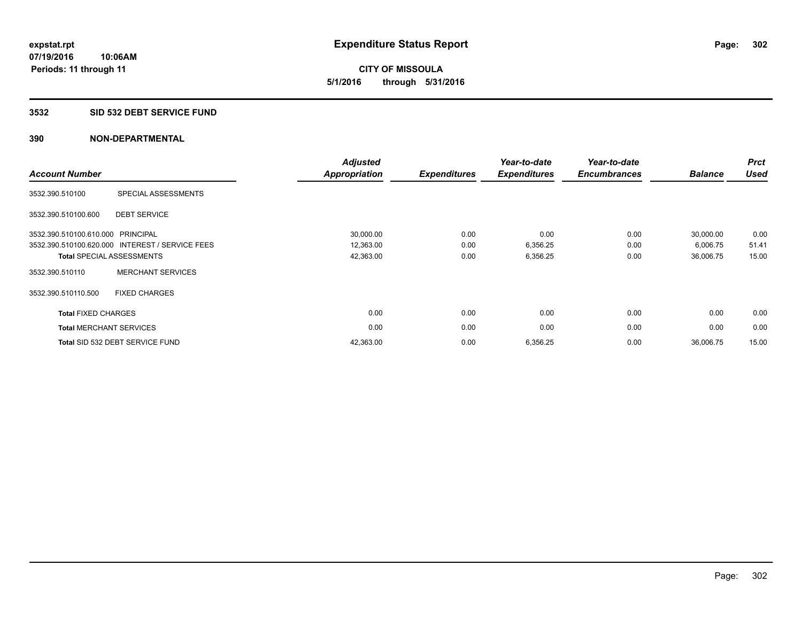**CITY OF MISSOULA 5/1/2016 through 5/31/2016**

#### **3532 SID 532 DEBT SERVICE FUND**

| <b>Account Number</b>             |                                                 | <b>Adjusted</b><br><b>Appropriation</b> | <b>Expenditures</b> | Year-to-date<br><b>Expenditures</b> | Year-to-date<br><b>Encumbrances</b> | <b>Balance</b> | <b>Prct</b><br><b>Used</b> |
|-----------------------------------|-------------------------------------------------|-----------------------------------------|---------------------|-------------------------------------|-------------------------------------|----------------|----------------------------|
| 3532.390.510100                   | SPECIAL ASSESSMENTS                             |                                         |                     |                                     |                                     |                |                            |
| 3532.390.510100.600               | <b>DEBT SERVICE</b>                             |                                         |                     |                                     |                                     |                |                            |
| 3532.390.510100.610.000 PRINCIPAL |                                                 | 30,000.00                               | 0.00                | 0.00                                | 0.00                                | 30,000.00      | 0.00                       |
|                                   | 3532.390.510100.620.000 INTEREST / SERVICE FEES | 12,363.00                               | 0.00                | 6,356.25                            | 0.00                                | 6,006.75       | 51.41                      |
|                                   | <b>Total SPECIAL ASSESSMENTS</b>                | 42,363.00                               | 0.00                | 6,356.25                            | 0.00                                | 36,006.75      | 15.00                      |
| 3532.390.510110                   | <b>MERCHANT SERVICES</b>                        |                                         |                     |                                     |                                     |                |                            |
| 3532.390.510110.500               | <b>FIXED CHARGES</b>                            |                                         |                     |                                     |                                     |                |                            |
| <b>Total FIXED CHARGES</b>        |                                                 | 0.00                                    | 0.00                | 0.00                                | 0.00                                | 0.00           | 0.00                       |
| <b>Total MERCHANT SERVICES</b>    |                                                 | 0.00                                    | 0.00                | 0.00                                | 0.00                                | 0.00           | 0.00                       |
|                                   | Total SID 532 DEBT SERVICE FUND                 | 42,363.00                               | 0.00                | 6,356.25                            | 0.00                                | 36,006.75      | 15.00                      |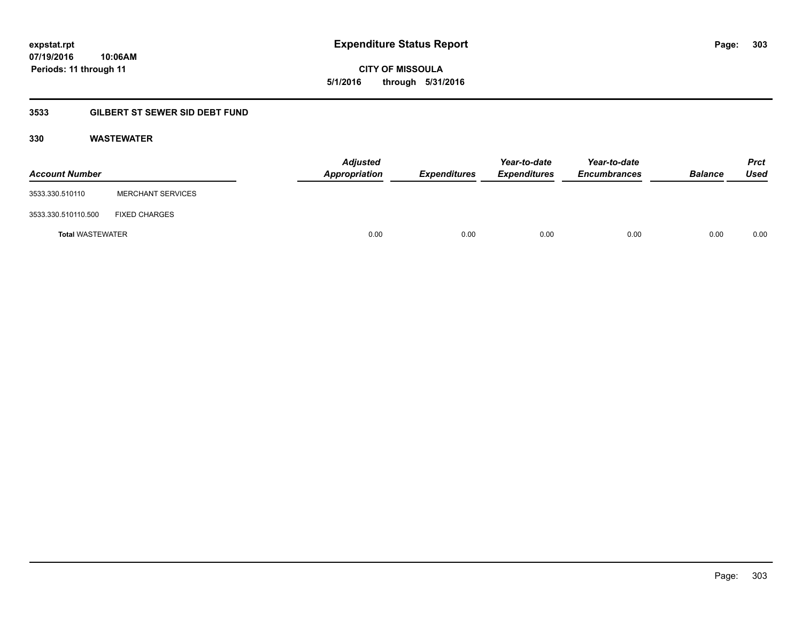**CITY OF MISSOULA 5/1/2016 through 5/31/2016**

# **3533 GILBERT ST SEWER SID DEBT FUND**

# **330 WASTEWATER**

| <b>Account Number</b>   |                          | <b>Adjusted</b><br>Appropriation | <b>Expenditures</b> | Year-to-date<br><b>Expenditures</b> | Year-to-date<br><b>Encumbrances</b> | <b>Balance</b> | <b>Prct</b><br>Used |
|-------------------------|--------------------------|----------------------------------|---------------------|-------------------------------------|-------------------------------------|----------------|---------------------|
| 3533.330.510110         | <b>MERCHANT SERVICES</b> |                                  |                     |                                     |                                     |                |                     |
| 3533.330.510110.500     | <b>FIXED CHARGES</b>     |                                  |                     |                                     |                                     |                |                     |
| <b>Total WASTEWATER</b> |                          | 0.00                             | 0.00                | 0.00                                | 0.00                                | 0.00           | 0.00                |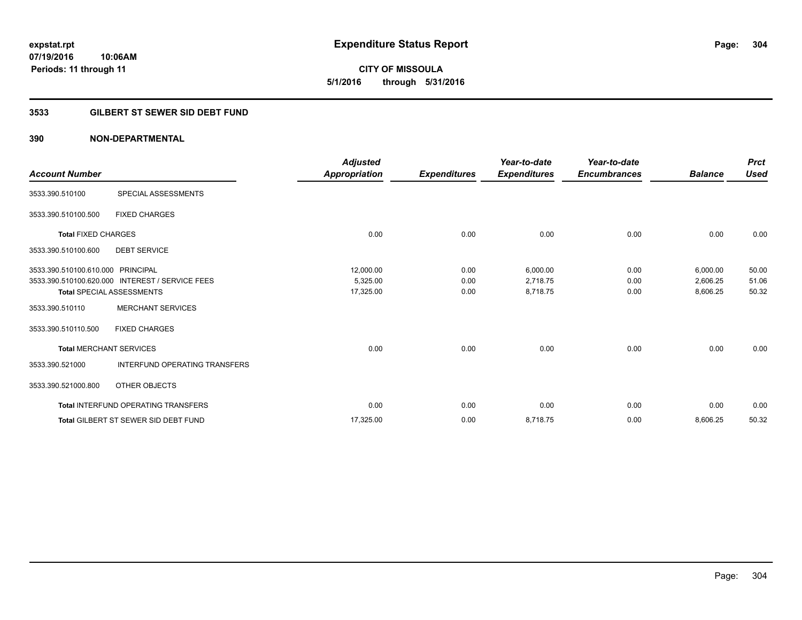**CITY OF MISSOULA 5/1/2016 through 5/31/2016**

# **3533 GILBERT ST SEWER SID DEBT FUND**

| <b>Account Number</b>             |                                                 | <b>Adjusted</b><br><b>Appropriation</b> | <b>Expenditures</b> | Year-to-date<br><b>Expenditures</b> | Year-to-date<br><b>Encumbrances</b> | <b>Balance</b> | <b>Prct</b><br><b>Used</b> |
|-----------------------------------|-------------------------------------------------|-----------------------------------------|---------------------|-------------------------------------|-------------------------------------|----------------|----------------------------|
|                                   |                                                 |                                         |                     |                                     |                                     |                |                            |
| 3533.390.510100                   | SPECIAL ASSESSMENTS                             |                                         |                     |                                     |                                     |                |                            |
| 3533.390.510100.500               | <b>FIXED CHARGES</b>                            |                                         |                     |                                     |                                     |                |                            |
| <b>Total FIXED CHARGES</b>        |                                                 | 0.00                                    | 0.00                | 0.00                                | 0.00                                | 0.00           | 0.00                       |
| 3533.390.510100.600               | <b>DEBT SERVICE</b>                             |                                         |                     |                                     |                                     |                |                            |
| 3533.390.510100.610.000 PRINCIPAL |                                                 | 12,000.00                               | 0.00                | 6,000.00                            | 0.00                                | 6,000.00       | 50.00                      |
|                                   | 3533.390.510100.620.000 INTEREST / SERVICE FEES | 5,325.00                                | 0.00                | 2,718.75                            | 0.00                                | 2,606.25       | 51.06                      |
|                                   | <b>Total SPECIAL ASSESSMENTS</b>                | 17,325.00                               | 0.00                | 8,718.75                            | 0.00                                | 8,606.25       | 50.32                      |
| 3533.390.510110                   | <b>MERCHANT SERVICES</b>                        |                                         |                     |                                     |                                     |                |                            |
| 3533.390.510110.500               | <b>FIXED CHARGES</b>                            |                                         |                     |                                     |                                     |                |                            |
| <b>Total MERCHANT SERVICES</b>    |                                                 | 0.00                                    | 0.00                | 0.00                                | 0.00                                | 0.00           | 0.00                       |
| 3533.390.521000                   | <b>INTERFUND OPERATING TRANSFERS</b>            |                                         |                     |                                     |                                     |                |                            |
| 3533.390.521000.800               | OTHER OBJECTS                                   |                                         |                     |                                     |                                     |                |                            |
|                                   | <b>Total INTERFUND OPERATING TRANSFERS</b>      | 0.00                                    | 0.00                | 0.00                                | 0.00                                | 0.00           | 0.00                       |
|                                   | <b>Total GILBERT ST SEWER SID DEBT FUND</b>     | 17,325.00                               | 0.00                | 8,718.75                            | 0.00                                | 8,606.25       | 50.32                      |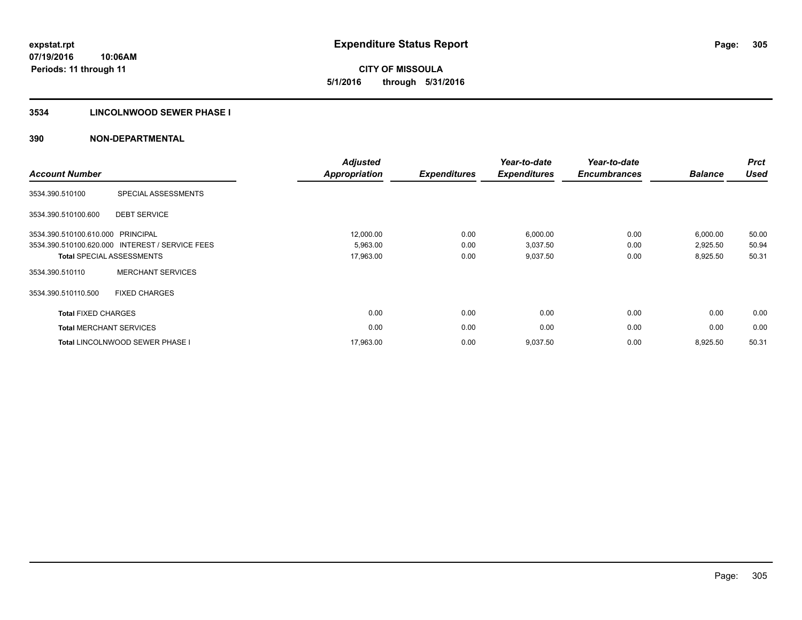**CITY OF MISSOULA 5/1/2016 through 5/31/2016**

# **3534 LINCOLNWOOD SEWER PHASE I**

| <b>Account Number</b>          |                                                 | <b>Adjusted</b><br><b>Appropriation</b> | <b>Expenditures</b> | Year-to-date<br><b>Expenditures</b> | Year-to-date<br><b>Encumbrances</b> | <b>Balance</b> | <b>Prct</b><br><b>Used</b> |
|--------------------------------|-------------------------------------------------|-----------------------------------------|---------------------|-------------------------------------|-------------------------------------|----------------|----------------------------|
| 3534.390.510100                | SPECIAL ASSESSMENTS                             |                                         |                     |                                     |                                     |                |                            |
| 3534.390.510100.600            | <b>DEBT SERVICE</b>                             |                                         |                     |                                     |                                     |                |                            |
| 3534.390.510100.610.000        | PRINCIPAL                                       | 12,000.00                               | 0.00                | 6,000.00                            | 0.00                                | 6,000.00       | 50.00                      |
|                                | 3534.390.510100.620.000 INTEREST / SERVICE FEES | 5,963.00                                | 0.00                | 3,037.50                            | 0.00                                | 2,925.50       | 50.94                      |
|                                | <b>Total SPECIAL ASSESSMENTS</b>                | 17,963.00                               | 0.00                | 9,037.50                            | 0.00                                | 8,925.50       | 50.31                      |
| 3534.390.510110                | <b>MERCHANT SERVICES</b>                        |                                         |                     |                                     |                                     |                |                            |
| 3534.390.510110.500            | <b>FIXED CHARGES</b>                            |                                         |                     |                                     |                                     |                |                            |
| <b>Total FIXED CHARGES</b>     |                                                 | 0.00                                    | 0.00                | 0.00                                | 0.00                                | 0.00           | 0.00                       |
| <b>Total MERCHANT SERVICES</b> |                                                 | 0.00                                    | 0.00                | 0.00                                | 0.00                                | 0.00           | 0.00                       |
|                                | <b>Total LINCOLNWOOD SEWER PHASE I</b>          | 17,963.00                               | 0.00                | 9,037.50                            | 0.00                                | 8,925.50       | 50.31                      |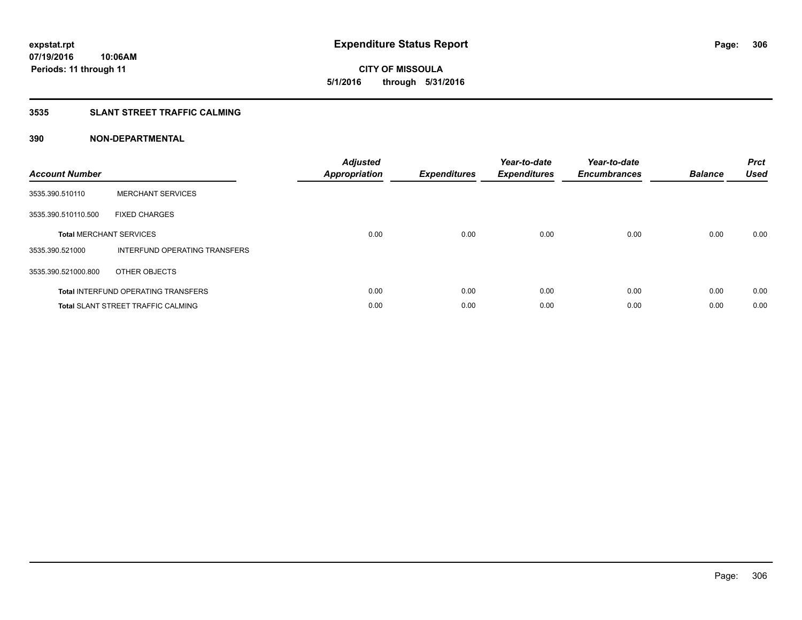**CITY OF MISSOULA 5/1/2016 through 5/31/2016**

# **3535 SLANT STREET TRAFFIC CALMING**

| <b>Account Number</b> |                                            | <b>Adjusted</b><br>Appropriation | <b>Expenditures</b> | Year-to-date<br><b>Expenditures</b> | Year-to-date<br><b>Encumbrances</b> | <b>Balance</b> | <b>Prct</b><br><b>Used</b> |
|-----------------------|--------------------------------------------|----------------------------------|---------------------|-------------------------------------|-------------------------------------|----------------|----------------------------|
| 3535.390.510110       | <b>MERCHANT SERVICES</b>                   |                                  |                     |                                     |                                     |                |                            |
| 3535.390.510110.500   | <b>FIXED CHARGES</b>                       |                                  |                     |                                     |                                     |                |                            |
|                       | <b>Total MERCHANT SERVICES</b>             | 0.00                             | 0.00                | 0.00                                | 0.00                                | 0.00           | 0.00                       |
| 3535.390.521000       | INTERFUND OPERATING TRANSFERS              |                                  |                     |                                     |                                     |                |                            |
| 3535.390.521000.800   | OTHER OBJECTS                              |                                  |                     |                                     |                                     |                |                            |
|                       | <b>Total INTERFUND OPERATING TRANSFERS</b> | 0.00                             | 0.00                | 0.00                                | 0.00                                | 0.00           | 0.00                       |
|                       | <b>Total SLANT STREET TRAFFIC CALMING</b>  | 0.00                             | 0.00                | 0.00                                | 0.00                                | 0.00           | 0.00                       |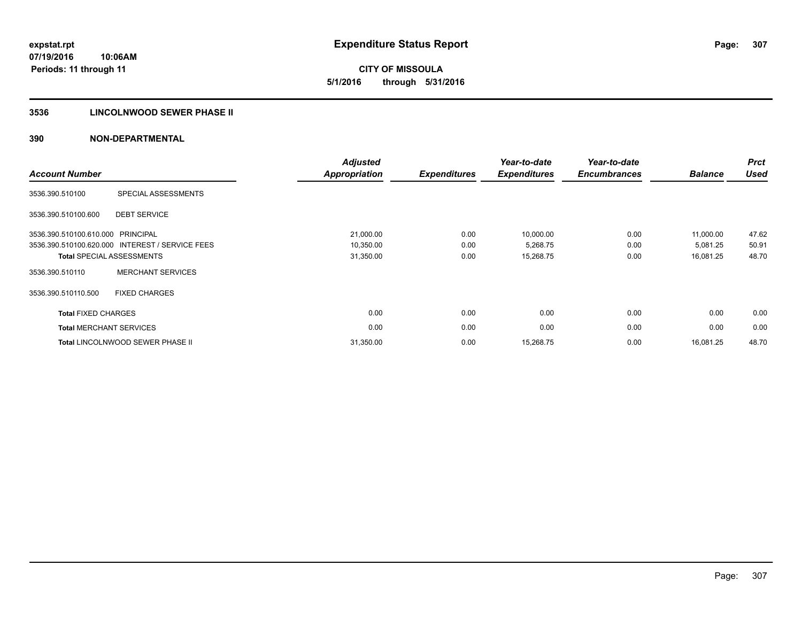**CITY OF MISSOULA 5/1/2016 through 5/31/2016**

# **3536 LINCOLNWOOD SEWER PHASE II**

| <b>Account Number</b>             |                                                 | <b>Adjusted</b><br><b>Appropriation</b> | <b>Expenditures</b> | Year-to-date<br><b>Expenditures</b> | Year-to-date<br><b>Encumbrances</b> | <b>Balance</b> | <b>Prct</b><br><b>Used</b> |
|-----------------------------------|-------------------------------------------------|-----------------------------------------|---------------------|-------------------------------------|-------------------------------------|----------------|----------------------------|
| 3536.390.510100                   | SPECIAL ASSESSMENTS                             |                                         |                     |                                     |                                     |                |                            |
| 3536.390.510100.600               | <b>DEBT SERVICE</b>                             |                                         |                     |                                     |                                     |                |                            |
| 3536.390.510100.610.000 PRINCIPAL |                                                 | 21,000.00                               | 0.00                | 10,000.00                           | 0.00                                | 11,000.00      | 47.62                      |
|                                   | 3536.390.510100.620.000 INTEREST / SERVICE FEES | 10,350.00                               | 0.00                | 5,268.75                            | 0.00                                | 5,081.25       | 50.91                      |
|                                   | <b>Total SPECIAL ASSESSMENTS</b>                | 31,350.00                               | 0.00                | 15,268.75                           | 0.00                                | 16,081.25      | 48.70                      |
| 3536.390.510110                   | <b>MERCHANT SERVICES</b>                        |                                         |                     |                                     |                                     |                |                            |
| 3536.390.510110.500               | <b>FIXED CHARGES</b>                            |                                         |                     |                                     |                                     |                |                            |
| <b>Total FIXED CHARGES</b>        |                                                 | 0.00                                    | 0.00                | 0.00                                | 0.00                                | 0.00           | 0.00                       |
| <b>Total MERCHANT SERVICES</b>    |                                                 | 0.00                                    | 0.00                | 0.00                                | 0.00                                | 0.00           | 0.00                       |
|                                   | <b>Total LINCOLNWOOD SEWER PHASE II</b>         | 31,350.00                               | 0.00                | 15,268.75                           | 0.00                                | 16.081.25      | 48.70                      |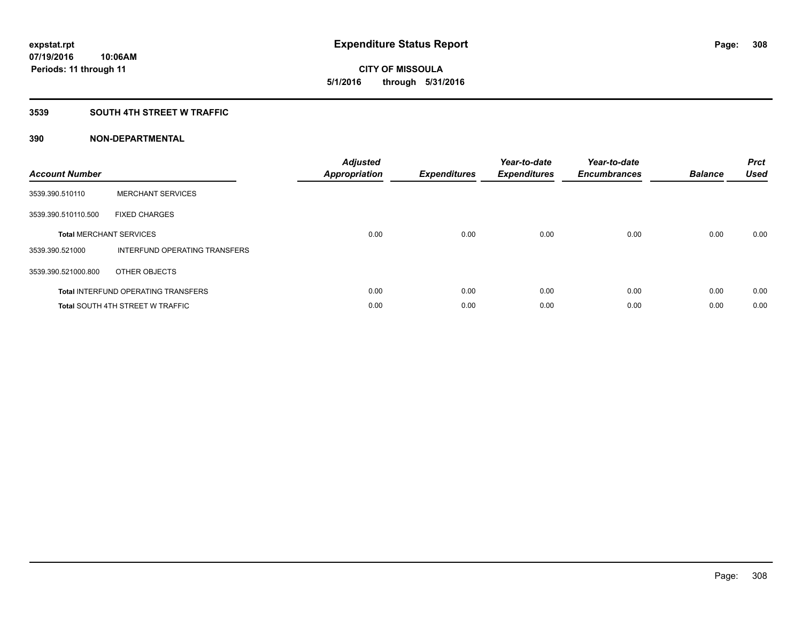**Periods: 11 through 11**

**CITY OF MISSOULA 5/1/2016 through 5/31/2016**

#### **3539 SOUTH 4TH STREET W TRAFFIC**

**10:06AM**

| <b>Account Number</b> |                                            | <b>Adjusted</b><br>Appropriation | <b>Expenditures</b> | Year-to-date<br><b>Expenditures</b> | Year-to-date<br><b>Encumbrances</b> | <b>Balance</b> | <b>Prct</b><br><b>Used</b> |
|-----------------------|--------------------------------------------|----------------------------------|---------------------|-------------------------------------|-------------------------------------|----------------|----------------------------|
| 3539.390.510110       | <b>MERCHANT SERVICES</b>                   |                                  |                     |                                     |                                     |                |                            |
| 3539.390.510110.500   | <b>FIXED CHARGES</b>                       |                                  |                     |                                     |                                     |                |                            |
|                       | <b>Total MERCHANT SERVICES</b>             | 0.00                             | 0.00                | 0.00                                | 0.00                                | 0.00           | 0.00                       |
| 3539.390.521000       | INTERFUND OPERATING TRANSFERS              |                                  |                     |                                     |                                     |                |                            |
| 3539.390.521000.800   | OTHER OBJECTS                              |                                  |                     |                                     |                                     |                |                            |
|                       | <b>Total INTERFUND OPERATING TRANSFERS</b> | 0.00                             | 0.00                | 0.00                                | 0.00                                | 0.00           | 0.00                       |
|                       | <b>Total SOUTH 4TH STREET W TRAFFIC</b>    | 0.00                             | 0.00                | 0.00                                | 0.00                                | 0.00           | 0.00                       |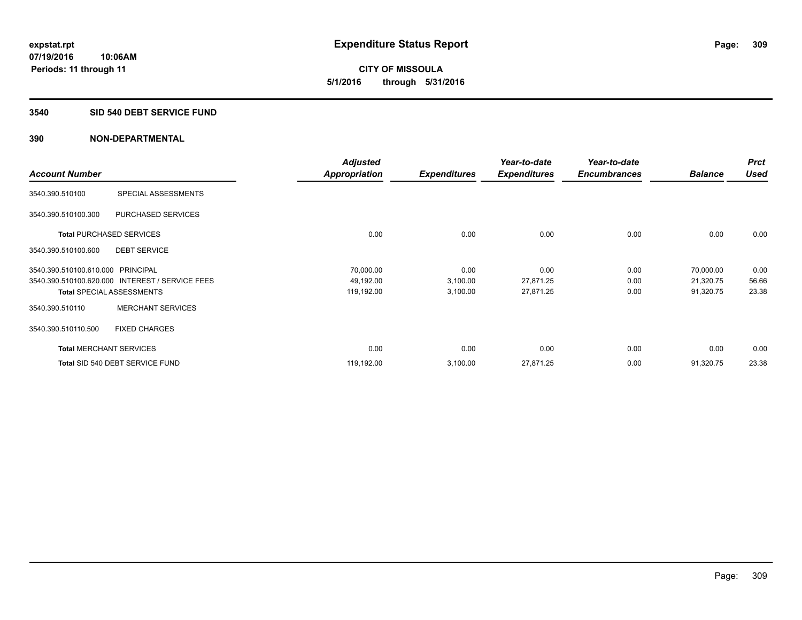**CITY OF MISSOULA 5/1/2016 through 5/31/2016**

#### **3540 SID 540 DEBT SERVICE FUND**

|                                   |                                  | <b>Adjusted</b>      |                     | Year-to-date        | Year-to-date        |                | <b>Prct</b> |
|-----------------------------------|----------------------------------|----------------------|---------------------|---------------------|---------------------|----------------|-------------|
| <b>Account Number</b>             |                                  | <b>Appropriation</b> | <b>Expenditures</b> | <b>Expenditures</b> | <b>Encumbrances</b> | <b>Balance</b> | <b>Used</b> |
| 3540.390.510100                   | SPECIAL ASSESSMENTS              |                      |                     |                     |                     |                |             |
| 3540.390.510100.300               | PURCHASED SERVICES               |                      |                     |                     |                     |                |             |
|                                   | <b>Total PURCHASED SERVICES</b>  | 0.00                 | 0.00                | 0.00                | 0.00                | 0.00           | 0.00        |
| 3540.390.510100.600               | <b>DEBT SERVICE</b>              |                      |                     |                     |                     |                |             |
| 3540.390.510100.610.000 PRINCIPAL |                                  | 70,000.00            | 0.00                | 0.00                | 0.00                | 70,000.00      | 0.00        |
| 3540.390.510100.620.000           | <b>INTEREST / SERVICE FEES</b>   | 49,192.00            | 3,100.00            | 27,871.25           | 0.00                | 21,320.75      | 56.66       |
|                                   | <b>Total SPECIAL ASSESSMENTS</b> | 119,192.00           | 3,100.00            | 27,871.25           | 0.00                | 91,320.75      | 23.38       |
| 3540.390.510110                   | <b>MERCHANT SERVICES</b>         |                      |                     |                     |                     |                |             |
| 3540.390.510110.500               | <b>FIXED CHARGES</b>             |                      |                     |                     |                     |                |             |
|                                   | <b>Total MERCHANT SERVICES</b>   | 0.00                 | 0.00                | 0.00                | 0.00                | 0.00           | 0.00        |
|                                   | Total SID 540 DEBT SERVICE FUND  | 119,192.00           | 3,100.00            | 27,871.25           | 0.00                | 91,320.75      | 23.38       |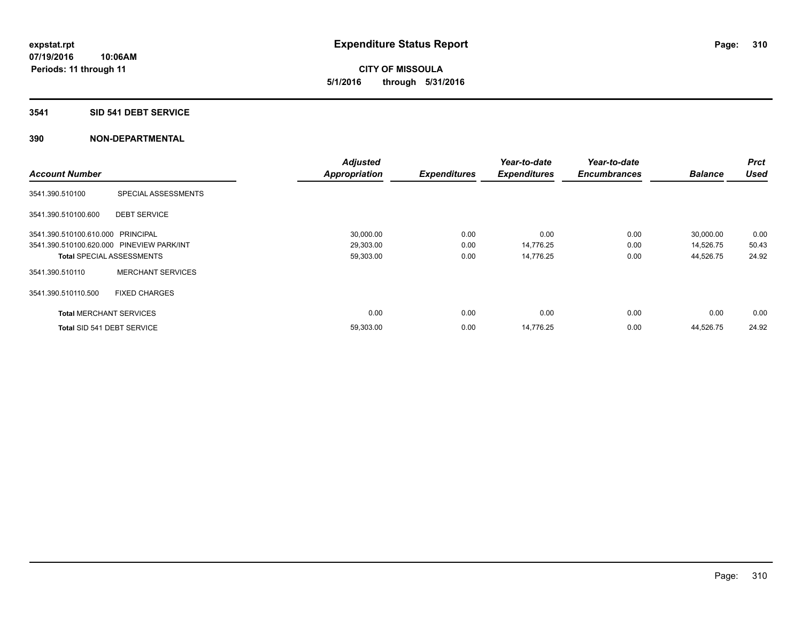**CITY OF MISSOULA 5/1/2016 through 5/31/2016**

#### **3541 SID 541 DEBT SERVICE**

|                                           |                          | <b>Adjusted</b>      |                     | Year-to-date        | Year-to-date        |                | <b>Prct</b> |
|-------------------------------------------|--------------------------|----------------------|---------------------|---------------------|---------------------|----------------|-------------|
| <b>Account Number</b>                     |                          | <b>Appropriation</b> | <b>Expenditures</b> | <b>Expenditures</b> | <b>Encumbrances</b> | <b>Balance</b> | <b>Used</b> |
| 3541.390.510100                           | SPECIAL ASSESSMENTS      |                      |                     |                     |                     |                |             |
| 3541.390.510100.600                       | <b>DEBT SERVICE</b>      |                      |                     |                     |                     |                |             |
| 3541.390.510100.610.000 PRINCIPAL         |                          | 30,000.00            | 0.00                | 0.00                | 0.00                | 30,000.00      | 0.00        |
| 3541.390.510100.620.000 PINEVIEW PARK/INT |                          | 29,303.00            | 0.00                | 14,776.25           | 0.00                | 14,526.75      | 50.43       |
| <b>Total SPECIAL ASSESSMENTS</b>          |                          | 59,303.00            | 0.00                | 14,776.25           | 0.00                | 44,526.75      | 24.92       |
| 3541.390.510110                           | <b>MERCHANT SERVICES</b> |                      |                     |                     |                     |                |             |
| 3541.390.510110.500                       | <b>FIXED CHARGES</b>     |                      |                     |                     |                     |                |             |
| <b>Total MERCHANT SERVICES</b>            |                          | 0.00                 | 0.00                | 0.00                | 0.00                | 0.00           | 0.00        |
| Total SID 541 DEBT SERVICE                |                          | 59,303.00            | 0.00                | 14,776.25           | 0.00                | 44,526.75      | 24.92       |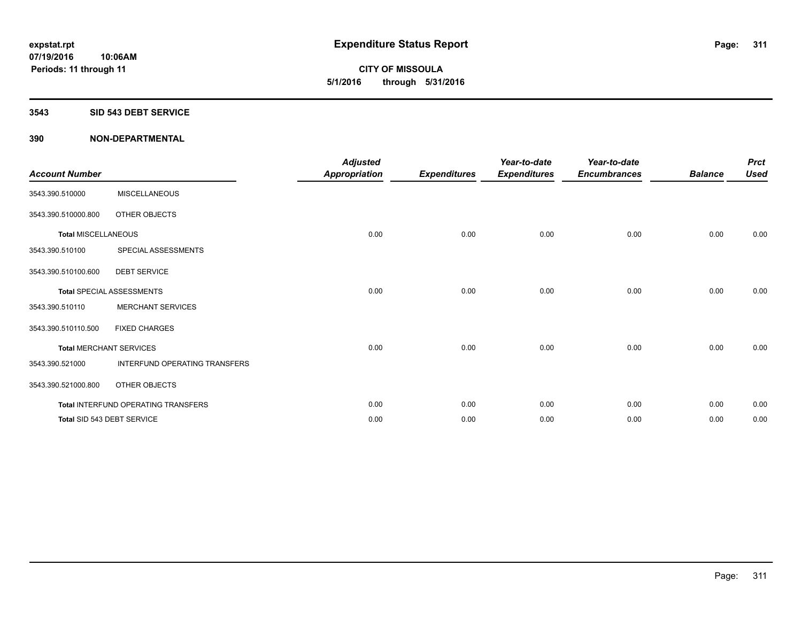**CITY OF MISSOULA 5/1/2016 through 5/31/2016**

#### **3543 SID 543 DEBT SERVICE**

| <b>Account Number</b>      |                                     | <b>Adjusted</b><br><b>Appropriation</b> | <b>Expenditures</b> | Year-to-date<br><b>Expenditures</b> | Year-to-date<br><b>Encumbrances</b> | <b>Balance</b> | <b>Prct</b><br><b>Used</b> |
|----------------------------|-------------------------------------|-----------------------------------------|---------------------|-------------------------------------|-------------------------------------|----------------|----------------------------|
| 3543.390.510000            | <b>MISCELLANEOUS</b>                |                                         |                     |                                     |                                     |                |                            |
| 3543.390.510000.800        | OTHER OBJECTS                       |                                         |                     |                                     |                                     |                |                            |
| <b>Total MISCELLANEOUS</b> |                                     | 0.00                                    | 0.00                | 0.00                                | 0.00                                | 0.00           | 0.00                       |
| 3543.390.510100            | SPECIAL ASSESSMENTS                 |                                         |                     |                                     |                                     |                |                            |
| 3543.390.510100.600        | <b>DEBT SERVICE</b>                 |                                         |                     |                                     |                                     |                |                            |
|                            | <b>Total SPECIAL ASSESSMENTS</b>    | 0.00                                    | 0.00                | 0.00                                | 0.00                                | 0.00           | 0.00                       |
| 3543.390.510110            | <b>MERCHANT SERVICES</b>            |                                         |                     |                                     |                                     |                |                            |
| 3543.390.510110.500        | <b>FIXED CHARGES</b>                |                                         |                     |                                     |                                     |                |                            |
|                            | <b>Total MERCHANT SERVICES</b>      | 0.00                                    | 0.00                | 0.00                                | 0.00                                | 0.00           | 0.00                       |
| 3543.390.521000            | INTERFUND OPERATING TRANSFERS       |                                         |                     |                                     |                                     |                |                            |
| 3543.390.521000.800        | OTHER OBJECTS                       |                                         |                     |                                     |                                     |                |                            |
|                            | Total INTERFUND OPERATING TRANSFERS | 0.00                                    | 0.00                | 0.00                                | 0.00                                | 0.00           | 0.00                       |
|                            | Total SID 543 DEBT SERVICE          | 0.00                                    | 0.00                | 0.00                                | 0.00                                | 0.00           | 0.00                       |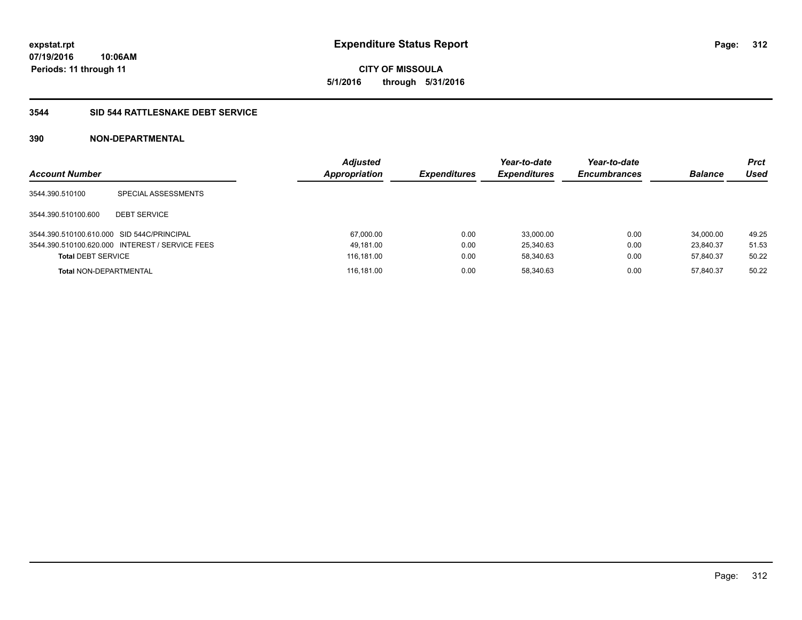**CITY OF MISSOULA 5/1/2016 through 5/31/2016**

# **3544 SID 544 RATTLESNAKE DEBT SERVICE**

| <b>Account Number</b>                      |                                                 | <b>Adjusted</b><br>Appropriation | <b>Expenditures</b> | Year-to-date<br><b>Expenditures</b> | Year-to-date<br><b>Encumbrances</b> | <b>Balance</b> | Prct<br>Used |
|--------------------------------------------|-------------------------------------------------|----------------------------------|---------------------|-------------------------------------|-------------------------------------|----------------|--------------|
| 3544.390.510100                            | SPECIAL ASSESSMENTS                             |                                  |                     |                                     |                                     |                |              |
| 3544.390.510100.600                        | <b>DEBT SERVICE</b>                             |                                  |                     |                                     |                                     |                |              |
| 3544.390.510100.610.000 SID 544C/PRINCIPAL |                                                 | 67,000.00                        | 0.00                | 33.000.00                           | 0.00                                | 34.000.00      | 49.25        |
|                                            | 3544.390.510100.620.000 INTEREST / SERVICE FEES | 49.181.00                        | 0.00                | 25.340.63                           | 0.00                                | 23.840.37      | 51.53        |
| <b>Total DEBT SERVICE</b>                  |                                                 | 116,181.00                       | 0.00                | 58,340.63                           | 0.00                                | 57,840.37      | 50.22        |
| <b>Total NON-DEPARTMENTAL</b>              |                                                 | 116.181.00                       | 0.00                | 58.340.63                           | 0.00                                | 57.840.37      | 50.22        |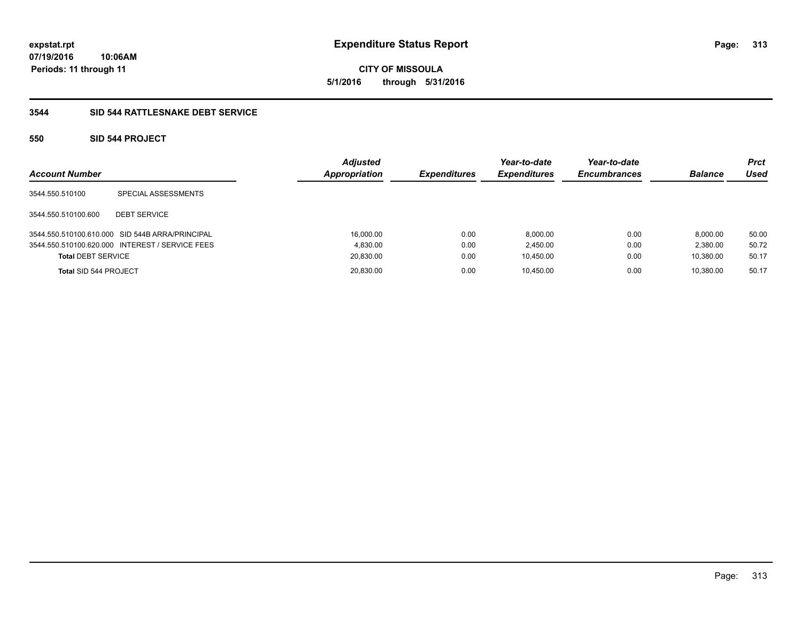**CITY OF MISSOULA 5/1/2016 through 5/31/2016**

# **3544 SID 544 RATTLESNAKE DEBT SERVICE**

# **550 SID 544 PROJECT**

| <b>Account Number</b>     |                                                 | <b>Adjusted</b><br>Appropriation | <b>Expenditures</b> | Year-to-date<br><b>Expenditures</b> | Year-to-date<br><b>Encumbrances</b> | <b>Balance</b> | Prct<br>Used |
|---------------------------|-------------------------------------------------|----------------------------------|---------------------|-------------------------------------|-------------------------------------|----------------|--------------|
| 3544.550.510100           | SPECIAL ASSESSMENTS                             |                                  |                     |                                     |                                     |                |              |
| 3544.550.510100.600       | <b>DEBT SERVICE</b>                             |                                  |                     |                                     |                                     |                |              |
|                           | 3544.550.510100.610.000 SID 544B ARRA/PRINCIPAL | 16.000.00                        | 0.00                | 8.000.00                            | 0.00                                | 8.000.00       | 50.00        |
|                           | 3544.550.510100.620.000 INTEREST / SERVICE FEES | 4.830.00                         | 0.00                | 2.450.00                            | 0.00                                | 2.380.00       | 50.72        |
| <b>Total DEBT SERVICE</b> |                                                 | 20,830.00                        | 0.00                | 10.450.00                           | 0.00                                | 10.380.00      | 50.17        |
| Total SID 544 PROJECT     |                                                 | 20,830.00                        | 0.00                | 10.450.00                           | 0.00                                | 10.380.00      | 50.17        |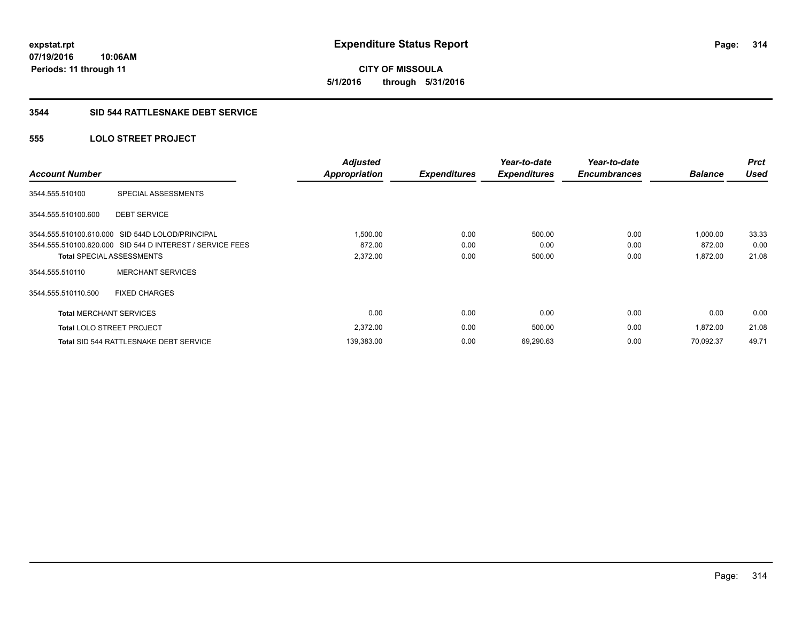**CITY OF MISSOULA 5/1/2016 through 5/31/2016**

#### **3544 SID 544 RATTLESNAKE DEBT SERVICE**

# **555 LOLO STREET PROJECT**

| <b>Account Number</b>          |                                                           | <b>Adjusted</b><br><b>Appropriation</b> | <b>Expenditures</b> | Year-to-date<br><b>Expenditures</b> | Year-to-date<br><b>Encumbrances</b> | <b>Balance</b> | <b>Prct</b><br><b>Used</b> |
|--------------------------------|-----------------------------------------------------------|-----------------------------------------|---------------------|-------------------------------------|-------------------------------------|----------------|----------------------------|
| 3544.555.510100                | SPECIAL ASSESSMENTS                                       |                                         |                     |                                     |                                     |                |                            |
| 3544.555.510100.600            | <b>DEBT SERVICE</b>                                       |                                         |                     |                                     |                                     |                |                            |
|                                | 3544.555.510100.610.000 SID 544D LOLOD/PRINCIPAL          | 1,500.00                                | 0.00                | 500.00                              | 0.00                                | 1,000.00       | 33.33                      |
|                                | 3544.555.510100.620.000 SID 544 D INTEREST / SERVICE FEES | 872.00                                  | 0.00                | 0.00                                | 0.00                                | 872.00         | 0.00                       |
|                                | <b>Total SPECIAL ASSESSMENTS</b>                          | 2,372.00                                | 0.00                | 500.00                              | 0.00                                | 1,872.00       | 21.08                      |
| 3544.555.510110                | <b>MERCHANT SERVICES</b>                                  |                                         |                     |                                     |                                     |                |                            |
| 3544.555.510110.500            | <b>FIXED CHARGES</b>                                      |                                         |                     |                                     |                                     |                |                            |
| <b>Total MERCHANT SERVICES</b> |                                                           | 0.00                                    | 0.00                | 0.00                                | 0.00                                | 0.00           | 0.00                       |
|                                | <b>Total LOLO STREET PROJECT</b>                          | 2,372.00                                | 0.00                | 500.00                              | 0.00                                | 1,872.00       | 21.08                      |
|                                | Total SID 544 RATTLESNAKE DEBT SERVICE                    | 139,383.00                              | 0.00                | 69,290.63                           | 0.00                                | 70.092.37      | 49.71                      |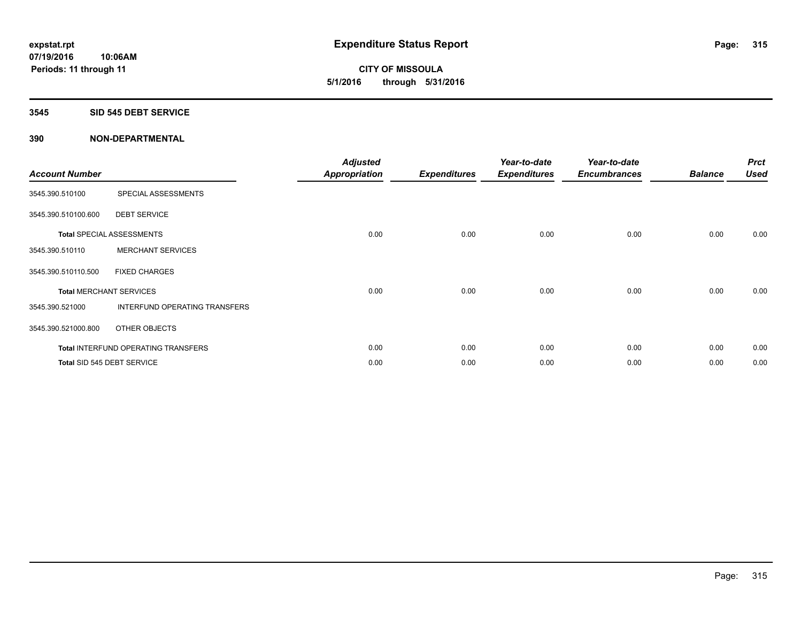**CITY OF MISSOULA 5/1/2016 through 5/31/2016**

#### **3545 SID 545 DEBT SERVICE**

| <b>Account Number</b> |                                            | <b>Adjusted</b><br><b>Appropriation</b> | <b>Expenditures</b> | Year-to-date<br><b>Expenditures</b> | Year-to-date<br><b>Encumbrances</b> | <b>Balance</b> | <b>Prct</b><br><b>Used</b> |
|-----------------------|--------------------------------------------|-----------------------------------------|---------------------|-------------------------------------|-------------------------------------|----------------|----------------------------|
| 3545.390.510100       | SPECIAL ASSESSMENTS                        |                                         |                     |                                     |                                     |                |                            |
| 3545.390.510100.600   | <b>DEBT SERVICE</b>                        |                                         |                     |                                     |                                     |                |                            |
|                       | <b>Total SPECIAL ASSESSMENTS</b>           | 0.00                                    | 0.00                | 0.00                                | 0.00                                | 0.00           | 0.00                       |
| 3545.390.510110       | <b>MERCHANT SERVICES</b>                   |                                         |                     |                                     |                                     |                |                            |
| 3545.390.510110.500   | <b>FIXED CHARGES</b>                       |                                         |                     |                                     |                                     |                |                            |
|                       | <b>Total MERCHANT SERVICES</b>             | 0.00                                    | 0.00                | 0.00                                | 0.00                                | 0.00           | 0.00                       |
| 3545.390.521000       | INTERFUND OPERATING TRANSFERS              |                                         |                     |                                     |                                     |                |                            |
| 3545.390.521000.800   | OTHER OBJECTS                              |                                         |                     |                                     |                                     |                |                            |
|                       | <b>Total INTERFUND OPERATING TRANSFERS</b> | 0.00                                    | 0.00                | 0.00                                | 0.00                                | 0.00           | 0.00                       |
|                       | Total SID 545 DEBT SERVICE                 | 0.00                                    | 0.00                | 0.00                                | 0.00                                | 0.00           | 0.00                       |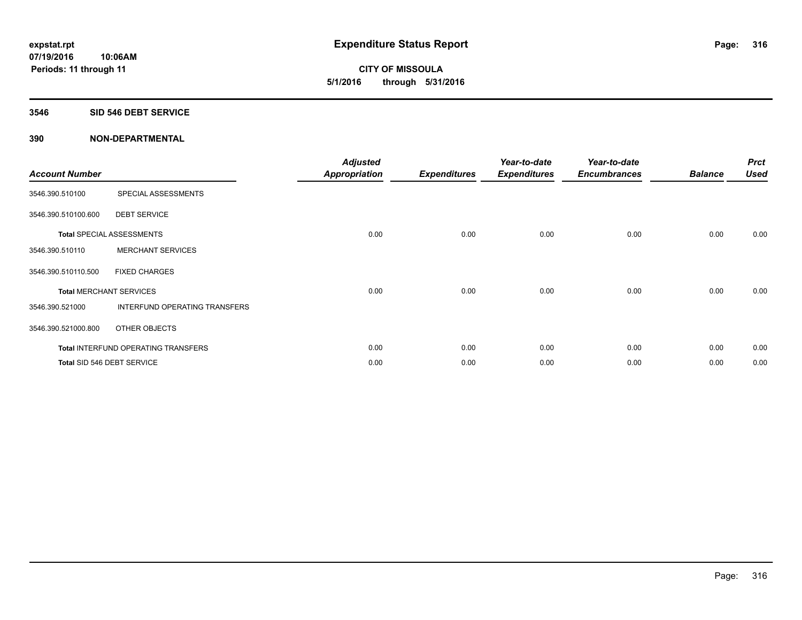**CITY OF MISSOULA 5/1/2016 through 5/31/2016**

#### **3546 SID 546 DEBT SERVICE**

| <b>Account Number</b> |                                            | <b>Adjusted</b><br><b>Appropriation</b> | <b>Expenditures</b> | Year-to-date<br><b>Expenditures</b> | Year-to-date<br><b>Encumbrances</b> | <b>Balance</b> | <b>Prct</b><br><b>Used</b> |
|-----------------------|--------------------------------------------|-----------------------------------------|---------------------|-------------------------------------|-------------------------------------|----------------|----------------------------|
| 3546.390.510100       | SPECIAL ASSESSMENTS                        |                                         |                     |                                     |                                     |                |                            |
| 3546.390.510100.600   | <b>DEBT SERVICE</b>                        |                                         |                     |                                     |                                     |                |                            |
|                       | <b>Total SPECIAL ASSESSMENTS</b>           | 0.00                                    | 0.00                | 0.00                                | 0.00                                | 0.00           | 0.00                       |
| 3546.390.510110       | <b>MERCHANT SERVICES</b>                   |                                         |                     |                                     |                                     |                |                            |
| 3546.390.510110.500   | <b>FIXED CHARGES</b>                       |                                         |                     |                                     |                                     |                |                            |
|                       | <b>Total MERCHANT SERVICES</b>             | 0.00                                    | 0.00                | 0.00                                | 0.00                                | 0.00           | 0.00                       |
| 3546.390.521000       | INTERFUND OPERATING TRANSFERS              |                                         |                     |                                     |                                     |                |                            |
| 3546.390.521000.800   | OTHER OBJECTS                              |                                         |                     |                                     |                                     |                |                            |
|                       | <b>Total INTERFUND OPERATING TRANSFERS</b> | 0.00                                    | 0.00                | 0.00                                | 0.00                                | 0.00           | 0.00                       |
|                       | Total SID 546 DEBT SERVICE                 | 0.00                                    | 0.00                | 0.00                                | 0.00                                | 0.00           | 0.00                       |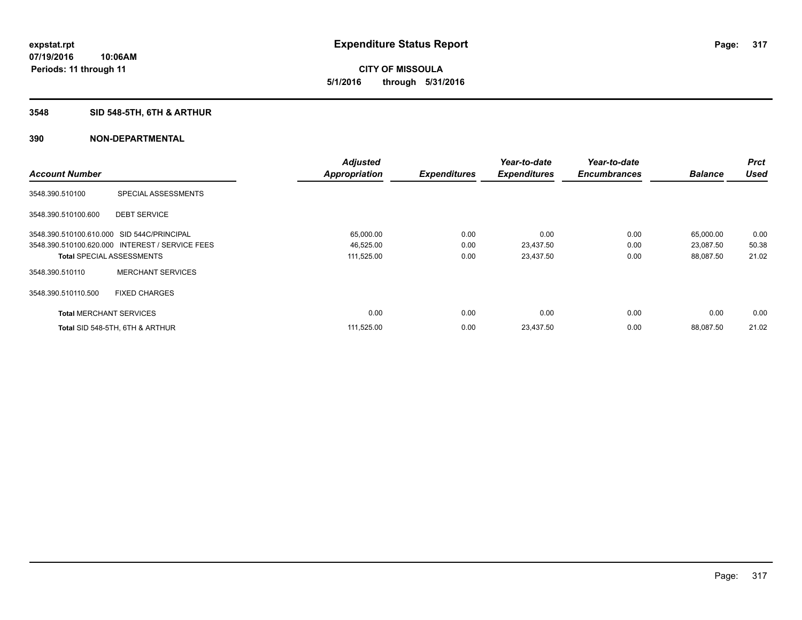# **CITY OF MISSOULA 5/1/2016 through 5/31/2016**

# **3548 SID 548-5TH, 6TH & ARTHUR**

|                                            |                                                 | <b>Adjusted</b>      |                     | Year-to-date        | Year-to-date        |                | <b>Prct</b> |
|--------------------------------------------|-------------------------------------------------|----------------------|---------------------|---------------------|---------------------|----------------|-------------|
| <b>Account Number</b>                      |                                                 | <b>Appropriation</b> | <b>Expenditures</b> | <b>Expenditures</b> | <b>Encumbrances</b> | <b>Balance</b> | <b>Used</b> |
| 3548.390.510100                            | SPECIAL ASSESSMENTS                             |                      |                     |                     |                     |                |             |
| 3548.390.510100.600                        | <b>DEBT SERVICE</b>                             |                      |                     |                     |                     |                |             |
| 3548.390.510100.610.000 SID 544C/PRINCIPAL |                                                 | 65,000.00            | 0.00                | 0.00                | 0.00                | 65,000.00      | 0.00        |
|                                            | 3548.390.510100.620.000 INTEREST / SERVICE FEES | 46,525.00            | 0.00                | 23,437.50           | 0.00                | 23,087.50      | 50.38       |
| <b>Total SPECIAL ASSESSMENTS</b>           |                                                 | 111,525.00           | 0.00                | 23,437.50           | 0.00                | 88,087.50      | 21.02       |
| 3548.390.510110                            | <b>MERCHANT SERVICES</b>                        |                      |                     |                     |                     |                |             |
| 3548.390.510110.500                        | <b>FIXED CHARGES</b>                            |                      |                     |                     |                     |                |             |
| <b>Total MERCHANT SERVICES</b>             |                                                 | 0.00                 | 0.00                | 0.00                | 0.00                | 0.00           | 0.00        |
|                                            | Total SID 548-5TH, 6TH & ARTHUR                 | 111,525.00           | 0.00                | 23,437.50           | 0.00                | 88.087.50      | 21.02       |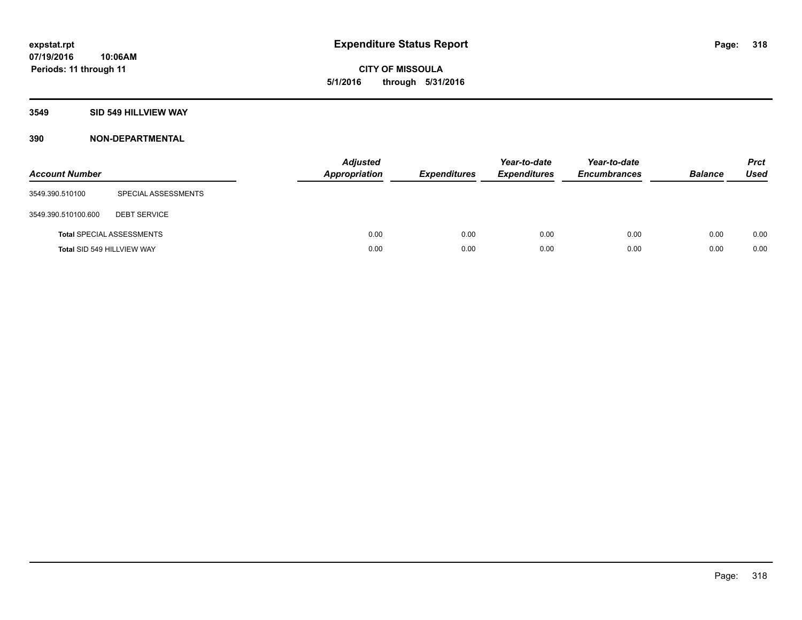**CITY OF MISSOULA 5/1/2016 through 5/31/2016**

# **3549 SID 549 HILLVIEW WAY**

| <b>Account Number</b>      |                                  | <b>Adjusted</b><br><b>Appropriation</b> | <b>Expenditures</b> | Year-to-date<br><b>Expenditures</b> | Year-to-date<br><b>Encumbrances</b> | <b>Balance</b> | <b>Prct</b><br><b>Used</b> |
|----------------------------|----------------------------------|-----------------------------------------|---------------------|-------------------------------------|-------------------------------------|----------------|----------------------------|
| 3549.390.510100            | SPECIAL ASSESSMENTS              |                                         |                     |                                     |                                     |                |                            |
| 3549.390.510100.600        | <b>DEBT SERVICE</b>              |                                         |                     |                                     |                                     |                |                            |
|                            | <b>Total SPECIAL ASSESSMENTS</b> | 0.00                                    | 0.00                | 0.00                                | 0.00                                | 0.00           | 0.00                       |
| Total SID 549 HILLVIEW WAY |                                  | 0.00                                    | 0.00                | 0.00                                | 0.00                                | 0.00           | 0.00                       |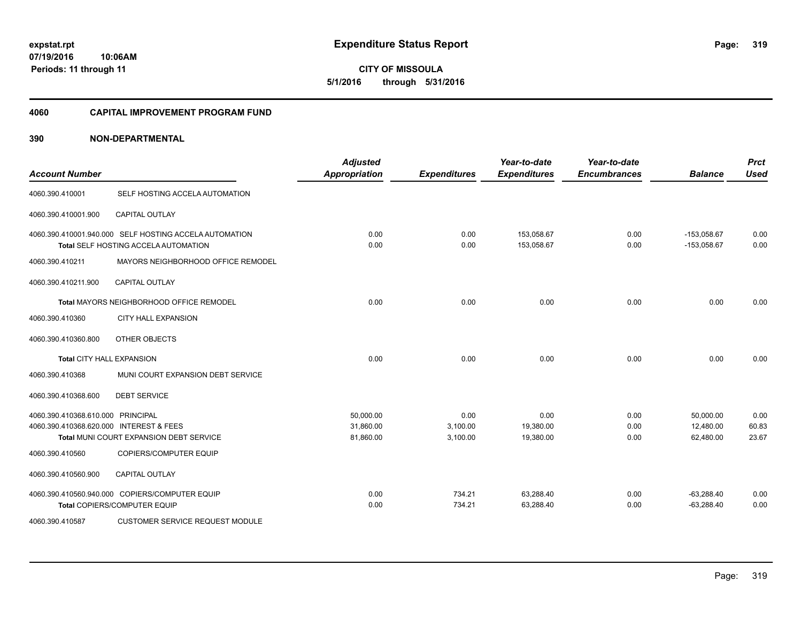**CITY OF MISSOULA 5/1/2016 through 5/31/2016**

#### **4060 CAPITAL IMPROVEMENT PROGRAM FUND**

| <b>Account Number</b>                                                        |                                                                                                | <b>Adjusted</b><br><b>Appropriation</b> | <b>Expenditures</b>          | Year-to-date<br><b>Expenditures</b> | Year-to-date<br><b>Encumbrances</b> | <b>Balance</b>                      | <b>Prct</b><br><b>Used</b> |
|------------------------------------------------------------------------------|------------------------------------------------------------------------------------------------|-----------------------------------------|------------------------------|-------------------------------------|-------------------------------------|-------------------------------------|----------------------------|
| 4060.390.410001                                                              | SELF HOSTING ACCELA AUTOMATION                                                                 |                                         |                              |                                     |                                     |                                     |                            |
| 4060.390.410001.900                                                          | <b>CAPITAL OUTLAY</b>                                                                          |                                         |                              |                                     |                                     |                                     |                            |
|                                                                              | 4060.390.410001.940.000 SELF HOSTING ACCELA AUTOMATION<br>Total SELF HOSTING ACCELA AUTOMATION | 0.00<br>0.00                            | 0.00<br>0.00                 | 153,058.67<br>153,058.67            | 0.00<br>0.00                        | $-153,058.67$<br>$-153,058.67$      | 0.00<br>0.00               |
| 4060.390.410211                                                              | MAYORS NEIGHBORHOOD OFFICE REMODEL                                                             |                                         |                              |                                     |                                     |                                     |                            |
| 4060.390.410211.900                                                          | <b>CAPITAL OUTLAY</b>                                                                          |                                         |                              |                                     |                                     |                                     |                            |
|                                                                              | Total MAYORS NEIGHBORHOOD OFFICE REMODEL                                                       | 0.00                                    | 0.00                         | 0.00                                | 0.00                                | 0.00                                | 0.00                       |
| 4060.390.410360                                                              | <b>CITY HALL EXPANSION</b>                                                                     |                                         |                              |                                     |                                     |                                     |                            |
| 4060.390.410360.800                                                          | OTHER OBJECTS                                                                                  |                                         |                              |                                     |                                     |                                     |                            |
| <b>Total CITY HALL EXPANSION</b>                                             |                                                                                                | 0.00                                    | 0.00                         | 0.00                                | 0.00                                | 0.00                                | 0.00                       |
| 4060.390.410368                                                              | MUNI COURT EXPANSION DEBT SERVICE                                                              |                                         |                              |                                     |                                     |                                     |                            |
| 4060.390.410368.600                                                          | <b>DEBT SERVICE</b>                                                                            |                                         |                              |                                     |                                     |                                     |                            |
| 4060.390.410368.610.000 PRINCIPAL<br>4060.390.410368.620.000 INTEREST & FEES | Total MUNI COURT EXPANSION DEBT SERVICE                                                        | 50,000.00<br>31,860.00<br>81,860.00     | 0.00<br>3,100.00<br>3,100.00 | 0.00<br>19,380.00<br>19,380.00      | 0.00<br>0.00<br>0.00                | 50,000.00<br>12,480.00<br>62,480.00 | 0.00<br>60.83<br>23.67     |
| 4060.390.410560                                                              | COPIERS/COMPUTER EQUIP                                                                         |                                         |                              |                                     |                                     |                                     |                            |
| 4060.390.410560.900                                                          | <b>CAPITAL OUTLAY</b>                                                                          |                                         |                              |                                     |                                     |                                     |                            |
|                                                                              | 4060.390.410560.940.000 COPIERS/COMPUTER EQUIP<br>Total COPIERS/COMPUTER EQUIP                 | 0.00<br>0.00                            | 734.21<br>734.21             | 63,288.40<br>63,288.40              | 0.00<br>0.00                        | $-63,288.40$<br>$-63,288.40$        | 0.00<br>0.00               |
| 4060.390.410587                                                              | <b>CUSTOMER SERVICE REQUEST MODULE</b>                                                         |                                         |                              |                                     |                                     |                                     |                            |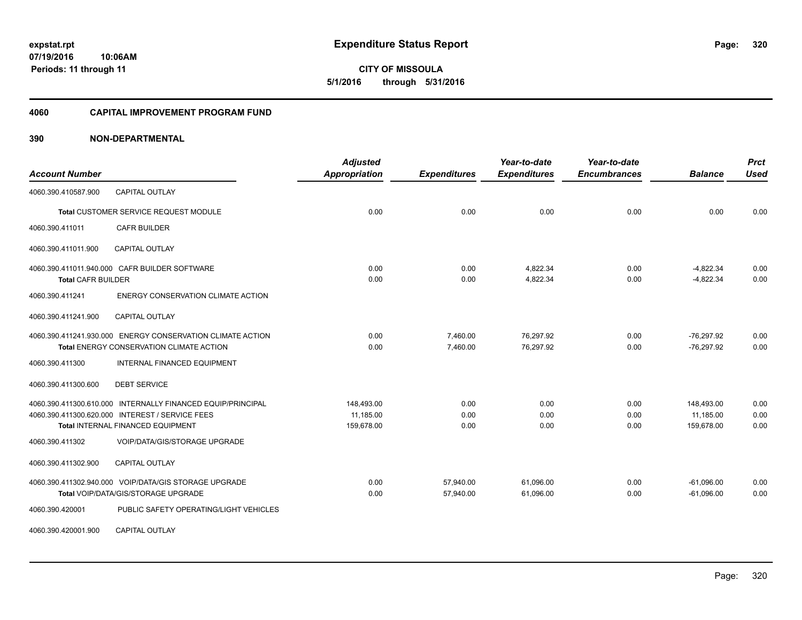**CITY OF MISSOULA 5/1/2016 through 5/31/2016**

#### **4060 CAPITAL IMPROVEMENT PROGRAM FUND**

| <b>Account Number</b>     |                                                                                                                                                     | <b>Adjusted</b><br><b>Appropriation</b> | <b>Expenditures</b>    | Year-to-date<br><b>Expenditures</b> | Year-to-date<br><b>Encumbrances</b> | <b>Balance</b>                        | <b>Prct</b><br><b>Used</b> |
|---------------------------|-----------------------------------------------------------------------------------------------------------------------------------------------------|-----------------------------------------|------------------------|-------------------------------------|-------------------------------------|---------------------------------------|----------------------------|
| 4060.390.410587.900       | <b>CAPITAL OUTLAY</b>                                                                                                                               |                                         |                        |                                     |                                     |                                       |                            |
|                           | Total CUSTOMER SERVICE REQUEST MODULE                                                                                                               | 0.00                                    | 0.00                   | 0.00                                | 0.00                                | 0.00                                  | 0.00                       |
| 4060.390.411011           | <b>CAFR BUILDER</b>                                                                                                                                 |                                         |                        |                                     |                                     |                                       |                            |
| 4060.390.411011.900       | <b>CAPITAL OUTLAY</b>                                                                                                                               |                                         |                        |                                     |                                     |                                       |                            |
| <b>Total CAFR BUILDER</b> | 4060.390.411011.940.000 CAFR BUILDER SOFTWARE                                                                                                       | 0.00<br>0.00                            | 0.00<br>0.00           | 4,822.34<br>4,822.34                | 0.00<br>0.00                        | $-4.822.34$<br>$-4,822.34$            | 0.00<br>0.00               |
| 4060.390.411241           | <b>ENERGY CONSERVATION CLIMATE ACTION</b>                                                                                                           |                                         |                        |                                     |                                     |                                       |                            |
| 4060.390.411241.900       | <b>CAPITAL OUTLAY</b>                                                                                                                               |                                         |                        |                                     |                                     |                                       |                            |
|                           | 4060.390.411241.930.000 ENERGY CONSERVATION CLIMATE ACTION<br>Total ENERGY CONSERVATION CLIMATE ACTION                                              | 0.00<br>0.00                            | 7,460.00<br>7,460.00   | 76,297.92<br>76,297.92              | 0.00<br>0.00                        | $-76,297.92$<br>$-76,297.92$          | 0.00<br>0.00               |
| 4060.390.411300           | <b>INTERNAL FINANCED EQUIPMENT</b>                                                                                                                  |                                         |                        |                                     |                                     |                                       |                            |
| 4060.390.411300.600       | <b>DEBT SERVICE</b>                                                                                                                                 |                                         |                        |                                     |                                     |                                       |                            |
|                           | 4060.390.411300.610.000 INTERNALLY FINANCED EQUIP/PRINCIPAL<br>4060.390.411300.620.000 INTEREST / SERVICE FEES<br>Total INTERNAL FINANCED EQUIPMENT | 148,493.00<br>11,185.00<br>159,678.00   | 0.00<br>0.00<br>0.00   | 0.00<br>0.00<br>0.00                | 0.00<br>0.00<br>0.00                | 148,493.00<br>11,185.00<br>159,678.00 | 0.00<br>0.00<br>0.00       |
| 4060.390.411302           | <b>VOIP/DATA/GIS/STORAGE UPGRADE</b>                                                                                                                |                                         |                        |                                     |                                     |                                       |                            |
| 4060.390.411302.900       | <b>CAPITAL OUTLAY</b>                                                                                                                               |                                         |                        |                                     |                                     |                                       |                            |
|                           | 4060.390.411302.940.000 VOIP/DATA/GIS STORAGE UPGRADE<br>Total VOIP/DATA/GIS/STORAGE UPGRADE                                                        | 0.00<br>0.00                            | 57,940.00<br>57,940.00 | 61,096.00<br>61,096.00              | 0.00<br>0.00                        | $-61,096.00$<br>$-61,096.00$          | 0.00<br>0.00               |
| 4060.390.420001           | PUBLIC SAFETY OPERATING/LIGHT VEHICLES                                                                                                              |                                         |                        |                                     |                                     |                                       |                            |
| 4060.390.420001.900       | <b>CAPITAL OUTLAY</b>                                                                                                                               |                                         |                        |                                     |                                     |                                       |                            |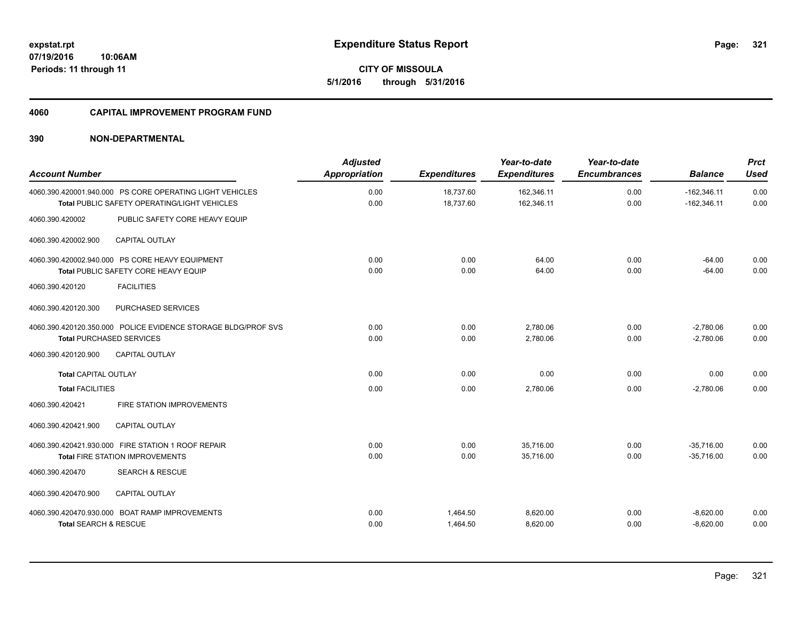**CITY OF MISSOULA 5/1/2016 through 5/31/2016**

#### **4060 CAPITAL IMPROVEMENT PROGRAM FUND**

| <b>Account Number</b>                                                                                           | <b>Adjusted</b><br><b>Appropriation</b> | <b>Expenditures</b>    | Year-to-date<br><b>Expenditures</b> | Year-to-date<br><b>Encumbrances</b> | <b>Balance</b>                 | <b>Prct</b><br><b>Used</b> |
|-----------------------------------------------------------------------------------------------------------------|-----------------------------------------|------------------------|-------------------------------------|-------------------------------------|--------------------------------|----------------------------|
| 4060.390.420001.940.000 PS CORE OPERATING LIGHT VEHICLES<br><b>Total PUBLIC SAFETY OPERATING/LIGHT VEHICLES</b> | 0.00<br>0.00                            | 18,737.60<br>18,737.60 | 162,346.11<br>162,346.11            | 0.00<br>0.00                        | $-162.346.11$<br>$-162,346.11$ | 0.00<br>0.00               |
| 4060.390.420002<br>PUBLIC SAFETY CORE HEAVY EQUIP                                                               |                                         |                        |                                     |                                     |                                |                            |
| <b>CAPITAL OUTLAY</b><br>4060.390.420002.900                                                                    |                                         |                        |                                     |                                     |                                |                            |
| 4060.390.420002.940.000 PS CORE HEAVY EQUIPMENT<br><b>Total PUBLIC SAFETY CORE HEAVY EQUIP</b>                  | 0.00<br>0.00                            | 0.00<br>0.00           | 64.00<br>64.00                      | 0.00<br>0.00                        | $-64.00$<br>$-64.00$           | 0.00<br>0.00               |
| <b>FACILITIES</b><br>4060.390.420120                                                                            |                                         |                        |                                     |                                     |                                |                            |
| 4060.390.420120.300<br>PURCHASED SERVICES                                                                       |                                         |                        |                                     |                                     |                                |                            |
| 4060.390.420120.350.000 POLICE EVIDENCE STORAGE BLDG/PROF SVS<br><b>Total PURCHASED SERVICES</b>                | 0.00<br>0.00                            | 0.00<br>0.00           | 2,780.06<br>2,780.06                | 0.00<br>0.00                        | $-2.780.06$<br>$-2,780.06$     | 0.00<br>0.00               |
| 4060.390.420120.900<br><b>CAPITAL OUTLAY</b>                                                                    |                                         |                        |                                     |                                     |                                |                            |
| <b>Total CAPITAL OUTLAY</b>                                                                                     | 0.00                                    | 0.00                   | 0.00                                | 0.00                                | 0.00                           | 0.00                       |
| <b>Total FACILITIES</b>                                                                                         | 0.00                                    | 0.00                   | 2,780.06                            | 0.00                                | $-2,780.06$                    | 0.00                       |
| FIRE STATION IMPROVEMENTS<br>4060.390.420421                                                                    |                                         |                        |                                     |                                     |                                |                            |
| <b>CAPITAL OUTLAY</b><br>4060.390.420421.900                                                                    |                                         |                        |                                     |                                     |                                |                            |
| 4060.390.420421.930.000 FIRE STATION 1 ROOF REPAIR<br><b>Total FIRE STATION IMPROVEMENTS</b>                    | 0.00<br>0.00                            | 0.00<br>0.00           | 35.716.00<br>35.716.00              | 0.00<br>0.00                        | $-35,716.00$<br>$-35.716.00$   | 0.00<br>0.00               |
| 4060.390.420470<br><b>SEARCH &amp; RESCUE</b>                                                                   |                                         |                        |                                     |                                     |                                |                            |
| 4060.390.420470.900<br><b>CAPITAL OUTLAY</b>                                                                    |                                         |                        |                                     |                                     |                                |                            |
| 4060.390.420470.930.000 BOAT RAMP IMPROVEMENTS<br><b>Total SEARCH &amp; RESCUE</b>                              | 0.00<br>0.00                            | 1,464.50<br>1,464.50   | 8,620.00<br>8,620.00                | 0.00<br>0.00                        | $-8,620.00$<br>$-8,620.00$     | 0.00<br>0.00               |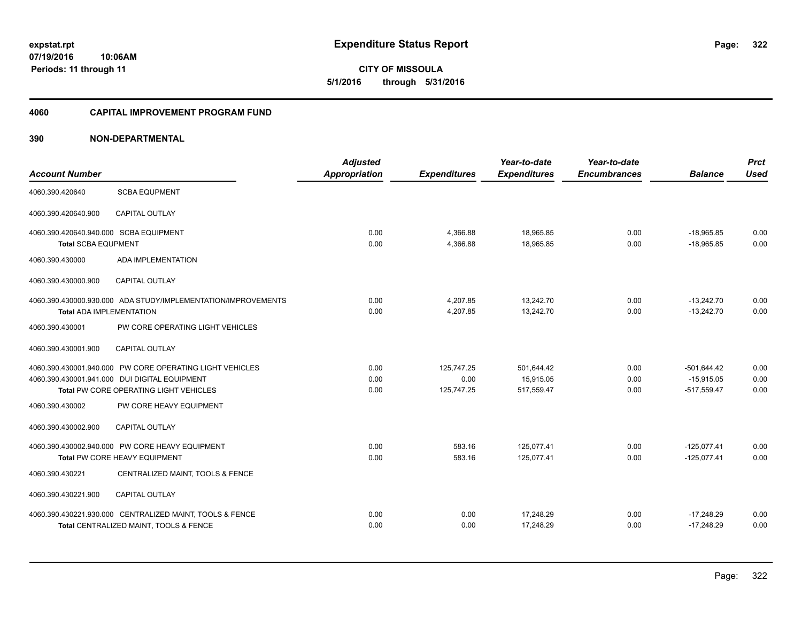**CITY OF MISSOULA 5/1/2016 through 5/31/2016**

#### **4060 CAPITAL IMPROVEMENT PROGRAM FUND**

| <b>Account Number</b>                                                |                                                                                                                                                                                | <b>Adjusted</b><br>Appropriation | <b>Expenditures</b>              | Year-to-date<br><b>Expenditures</b>   | Year-to-date<br><b>Encumbrances</b> | <b>Balance</b>                                 | <b>Prct</b><br><b>Used</b> |
|----------------------------------------------------------------------|--------------------------------------------------------------------------------------------------------------------------------------------------------------------------------|----------------------------------|----------------------------------|---------------------------------------|-------------------------------------|------------------------------------------------|----------------------------|
| 4060.390.420640                                                      | <b>SCBA EQUPMENT</b>                                                                                                                                                           |                                  |                                  |                                       |                                     |                                                |                            |
| 4060.390.420640.900                                                  | CAPITAL OUTLAY                                                                                                                                                                 |                                  |                                  |                                       |                                     |                                                |                            |
| 4060.390.420640.940.000 SCBA EQUIPMENT<br><b>Total SCBA EQUPMENT</b> |                                                                                                                                                                                | 0.00<br>0.00                     | 4,366.88<br>4,366.88             | 18,965.85<br>18,965.85                | 0.00<br>0.00                        | $-18,965.85$<br>$-18,965.85$                   | 0.00<br>0.00               |
| 4060.390.430000                                                      | <b>ADA IMPLEMENTATION</b>                                                                                                                                                      |                                  |                                  |                                       |                                     |                                                |                            |
| 4060.390.430000.900                                                  | CAPITAL OUTLAY                                                                                                                                                                 |                                  |                                  |                                       |                                     |                                                |                            |
| <b>Total ADA IMPLEMENTATION</b>                                      | 4060.390.430000.930.000 ADA STUDY/IMPLEMENTATION/IMPROVEMENTS                                                                                                                  | 0.00<br>0.00                     | 4,207.85<br>4,207.85             | 13,242.70<br>13,242.70                | 0.00<br>0.00                        | $-13,242.70$<br>$-13,242.70$                   | 0.00<br>0.00               |
| 4060.390.430001                                                      | PW CORE OPERATING LIGHT VEHICLES                                                                                                                                               |                                  |                                  |                                       |                                     |                                                |                            |
| 4060.390.430001.900                                                  | <b>CAPITAL OUTLAY</b>                                                                                                                                                          |                                  |                                  |                                       |                                     |                                                |                            |
| 4060.390.430002                                                      | 4060.390.430001.940.000 PW CORE OPERATING LIGHT VEHICLES<br>4060.390.430001.941.000 DUI DIGITAL EQUIPMENT<br>Total PW CORE OPERATING LIGHT VEHICLES<br>PW CORE HEAVY EQUIPMENT | 0.00<br>0.00<br>0.00             | 125,747.25<br>0.00<br>125,747.25 | 501,644.42<br>15,915.05<br>517,559.47 | 0.00<br>0.00<br>0.00                | $-501,644.42$<br>$-15,915.05$<br>$-517,559.47$ | 0.00<br>0.00<br>0.00       |
| 4060.390.430002.900                                                  | <b>CAPITAL OUTLAY</b>                                                                                                                                                          |                                  |                                  |                                       |                                     |                                                |                            |
|                                                                      | 4060.390.430002.940.000 PW CORE HEAVY EQUIPMENT<br>Total PW CORE HEAVY EQUIPMENT                                                                                               | 0.00<br>0.00                     | 583.16<br>583.16                 | 125,077.41<br>125,077.41              | 0.00<br>0.00                        | $-125,077.41$<br>$-125,077.41$                 | 0.00<br>0.00               |
| 4060.390.430221                                                      | CENTRALIZED MAINT, TOOLS & FENCE                                                                                                                                               |                                  |                                  |                                       |                                     |                                                |                            |
| 4060.390.430221.900                                                  | <b>CAPITAL OUTLAY</b>                                                                                                                                                          |                                  |                                  |                                       |                                     |                                                |                            |
|                                                                      | 4060.390.430221.930.000 CENTRALIZED MAINT, TOOLS & FENCE<br>Total CENTRALIZED MAINT, TOOLS & FENCE                                                                             | 0.00<br>0.00                     | 0.00<br>0.00                     | 17,248.29<br>17,248.29                | 0.00<br>0.00                        | $-17,248.29$<br>$-17,248.29$                   | 0.00<br>0.00               |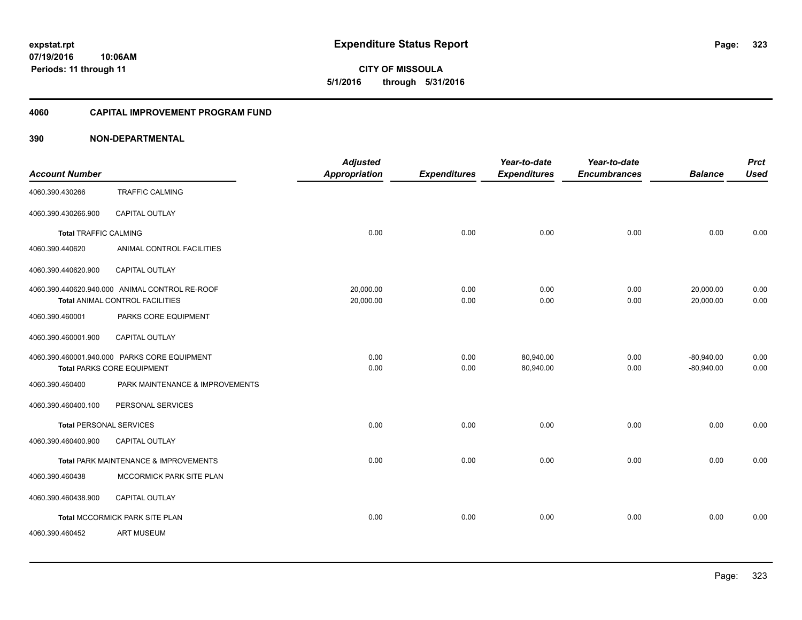**CITY OF MISSOULA 5/1/2016 through 5/31/2016**

#### **4060 CAPITAL IMPROVEMENT PROGRAM FUND**

| <b>Account Number</b>          |                                                | <b>Adjusted</b><br><b>Appropriation</b> | <b>Expenditures</b> | Year-to-date<br><b>Expenditures</b> | Year-to-date<br><b>Encumbrances</b> | <b>Balance</b> | <b>Prct</b><br><b>Used</b> |
|--------------------------------|------------------------------------------------|-----------------------------------------|---------------------|-------------------------------------|-------------------------------------|----------------|----------------------------|
|                                |                                                |                                         |                     |                                     |                                     |                |                            |
| 4060.390.430266                | <b>TRAFFIC CALMING</b>                         |                                         |                     |                                     |                                     |                |                            |
| 4060.390.430266.900            | <b>CAPITAL OUTLAY</b>                          |                                         |                     |                                     |                                     |                |                            |
| <b>Total TRAFFIC CALMING</b>   |                                                | 0.00                                    | 0.00                | 0.00                                | 0.00                                | 0.00           | 0.00                       |
| 4060.390.440620                | ANIMAL CONTROL FACILITIES                      |                                         |                     |                                     |                                     |                |                            |
| 4060.390.440620.900            | CAPITAL OUTLAY                                 |                                         |                     |                                     |                                     |                |                            |
|                                | 4060.390.440620.940.000 ANIMAL CONTROL RE-ROOF | 20.000.00                               | 0.00                | 0.00                                | 0.00                                | 20,000.00      | 0.00                       |
|                                | Total ANIMAL CONTROL FACILITIES                | 20,000.00                               | 0.00                | 0.00                                | 0.00                                | 20,000.00      | 0.00                       |
| 4060.390.460001                | PARKS CORE EQUIPMENT                           |                                         |                     |                                     |                                     |                |                            |
| 4060.390.460001.900            | <b>CAPITAL OUTLAY</b>                          |                                         |                     |                                     |                                     |                |                            |
|                                | 4060.390.460001.940.000 PARKS CORE EQUIPMENT   | 0.00                                    | 0.00                | 80,940.00                           | 0.00                                | $-80,940.00$   | 0.00                       |
|                                | <b>Total PARKS CORE EQUIPMENT</b>              | 0.00                                    | 0.00                | 80,940.00                           | 0.00                                | $-80,940.00$   | 0.00                       |
| 4060.390.460400                | PARK MAINTENANCE & IMPROVEMENTS                |                                         |                     |                                     |                                     |                |                            |
| 4060.390.460400.100            | PERSONAL SERVICES                              |                                         |                     |                                     |                                     |                |                            |
| <b>Total PERSONAL SERVICES</b> |                                                | 0.00                                    | 0.00                | 0.00                                | 0.00                                | 0.00           | 0.00                       |
| 4060.390.460400.900            | CAPITAL OUTLAY                                 |                                         |                     |                                     |                                     |                |                            |
|                                | Total PARK MAINTENANCE & IMPROVEMENTS          | 0.00                                    | 0.00                | 0.00                                | 0.00                                | 0.00           | 0.00                       |
| 4060.390.460438                | MCCORMICK PARK SITE PLAN                       |                                         |                     |                                     |                                     |                |                            |
| 4060.390.460438.900            | CAPITAL OUTLAY                                 |                                         |                     |                                     |                                     |                |                            |
|                                | Total MCCORMICK PARK SITE PLAN                 | 0.00                                    | 0.00                | 0.00                                | 0.00                                | 0.00           | 0.00                       |
| 4060.390.460452                | <b>ART MUSEUM</b>                              |                                         |                     |                                     |                                     |                |                            |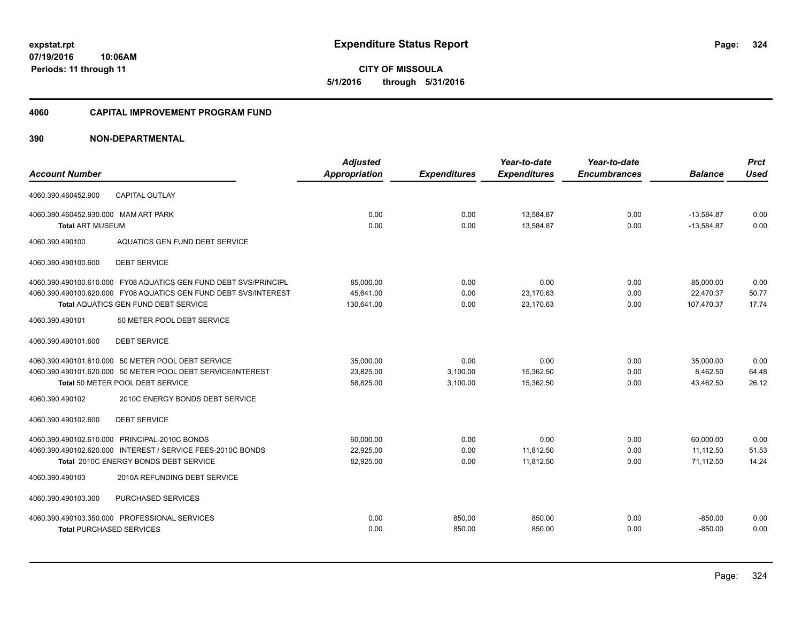# **CITY OF MISSOULA 5/1/2016 through 5/31/2016**

#### **4060 CAPITAL IMPROVEMENT PROGRAM FUND**

| <b>Account Number</b>                                           |                                                                                                                                                                                                            | <b>Adjusted</b><br>Appropriation     | <b>Expenditures</b>          | Year-to-date<br><b>Expenditures</b> | Year-to-date<br><b>Encumbrances</b> | <b>Balance</b>                       | <b>Prct</b><br><b>Used</b> |
|-----------------------------------------------------------------|------------------------------------------------------------------------------------------------------------------------------------------------------------------------------------------------------------|--------------------------------------|------------------------------|-------------------------------------|-------------------------------------|--------------------------------------|----------------------------|
| 4060.390.460452.900                                             | <b>CAPITAL OUTLAY</b>                                                                                                                                                                                      |                                      |                              |                                     |                                     |                                      |                            |
| 4060.390.460452.930.000 MAM ART PARK<br><b>Total ART MUSEUM</b> |                                                                                                                                                                                                            | 0.00<br>0.00                         | 0.00<br>0.00                 | 13,584.87<br>13,584.87              | 0.00<br>0.00                        | $-13,584.87$<br>$-13,584.87$         | 0.00<br>0.00               |
| 4060.390.490100                                                 | AQUATICS GEN FUND DEBT SERVICE                                                                                                                                                                             |                                      |                              |                                     |                                     |                                      |                            |
| 4060.390.490100.600                                             | <b>DEBT SERVICE</b>                                                                                                                                                                                        |                                      |                              |                                     |                                     |                                      |                            |
| 4060.390.490101                                                 | 4060.390.490100.610.000 FY08 AQUATICS GEN FUND DEBT SVS/PRINCIPL<br>4060.390.490100.620.000 FY08 AQUATICS GEN FUND DEBT SVS/INTEREST<br>Total AQUATICS GEN FUND DEBT SERVICE<br>50 METER POOL DEBT SERVICE | 85,000.00<br>45.641.00<br>130,641.00 | 0.00<br>0.00<br>0.00         | 0.00<br>23.170.63<br>23.170.63      | 0.00<br>0.00<br>0.00                | 85,000.00<br>22.470.37<br>107,470.37 | 0.00<br>50.77<br>17.74     |
| 4060.390.490101.600                                             | <b>DEBT SERVICE</b>                                                                                                                                                                                        |                                      |                              |                                     |                                     |                                      |                            |
| 4060.390.490102                                                 | 4060.390.490101.610.000 50 METER POOL DEBT SERVICE<br>4060.390.490101.620.000 50 METER POOL DEBT SERVICE/INTEREST<br>Total 50 METER POOL DEBT SERVICE<br>2010C ENERGY BONDS DEBT SERVICE                   | 35.000.00<br>23,825.00<br>58,825.00  | 0.00<br>3,100.00<br>3,100.00 | 0.00<br>15,362.50<br>15,362.50      | 0.00<br>0.00<br>0.00                | 35,000.00<br>8,462.50<br>43,462.50   | 0.00<br>64.48<br>26.12     |
| 4060.390.490102.600                                             | <b>DEBT SERVICE</b>                                                                                                                                                                                        |                                      |                              |                                     |                                     |                                      |                            |
|                                                                 | 4060.390.490102.610.000 PRINCIPAL-2010C BONDS<br>4060.390.490102.620.000 INTEREST / SERVICE FEES-2010C BONDS<br>Total 2010C ENERGY BONDS DEBT SERVICE                                                      | 60,000.00<br>22,925.00<br>82,925.00  | 0.00<br>0.00<br>0.00         | 0.00<br>11,812.50<br>11,812.50      | 0.00<br>0.00<br>0.00                | 60,000.00<br>11,112.50<br>71,112.50  | 0.00<br>51.53<br>14.24     |
| 4060.390.490103                                                 | 2010A REFUNDING DEBT SERVICE                                                                                                                                                                               |                                      |                              |                                     |                                     |                                      |                            |
| 4060.390.490103.300                                             | PURCHASED SERVICES                                                                                                                                                                                         |                                      |                              |                                     |                                     |                                      |                            |
| <b>Total PURCHASED SERVICES</b>                                 | 4060.390.490103.350.000 PROFESSIONAL SERVICES                                                                                                                                                              | 0.00<br>0.00                         | 850.00<br>850.00             | 850.00<br>850.00                    | 0.00<br>0.00                        | $-850.00$<br>$-850.00$               | 0.00<br>0.00               |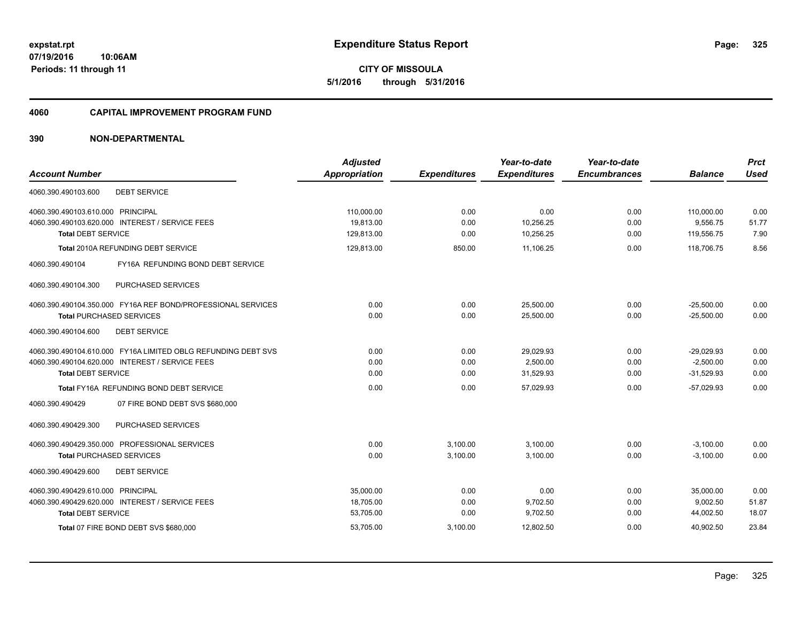**07/19/2016 10:06AM Periods: 11 through 11**

**CITY OF MISSOULA 5/1/2016 through 5/31/2016**

#### **4060 CAPITAL IMPROVEMENT PROGRAM FUND**

| <b>Account Number</b>                                         | <b>Adjusted</b><br><b>Appropriation</b> | <b>Expenditures</b> | Year-to-date<br><b>Expenditures</b> | Year-to-date<br><b>Encumbrances</b> | <b>Balance</b> | <b>Prct</b><br><b>Used</b> |
|---------------------------------------------------------------|-----------------------------------------|---------------------|-------------------------------------|-------------------------------------|----------------|----------------------------|
| 4060.390.490103.600<br><b>DEBT SERVICE</b>                    |                                         |                     |                                     |                                     |                |                            |
| 4060.390.490103.610.000 PRINCIPAL                             | 110,000.00                              | 0.00                | 0.00                                | 0.00                                | 110,000.00     | 0.00                       |
| 4060.390.490103.620.000 INTEREST / SERVICE FEES               | 19.813.00                               | 0.00                | 10,256.25                           | 0.00                                | 9,556.75       | 51.77                      |
| <b>Total DEBT SERVICE</b>                                     | 129,813.00                              | 0.00                | 10,256.25                           | 0.00                                | 119,556.75     | 7.90                       |
| Total 2010A REFUNDING DEBT SERVICE                            | 129,813.00                              | 850.00              | 11,106.25                           | 0.00                                | 118.706.75     | 8.56                       |
| 4060.390.490104<br>FY16A REFUNDING BOND DEBT SERVICE          |                                         |                     |                                     |                                     |                |                            |
| PURCHASED SERVICES<br>4060.390.490104.300                     |                                         |                     |                                     |                                     |                |                            |
| 4060.390.490104.350.000 FY16A REF BOND/PROFESSIONAL SERVICES  | 0.00                                    | 0.00                | 25,500.00                           | 0.00                                | $-25,500.00$   | 0.00                       |
| <b>Total PURCHASED SERVICES</b>                               | 0.00                                    | 0.00                | 25,500.00                           | 0.00                                | $-25,500.00$   | 0.00                       |
| 4060.390.490104.600<br><b>DEBT SERVICE</b>                    |                                         |                     |                                     |                                     |                |                            |
| 4060.390.490104.610.000 FY16A LIMITED OBLG REFUNDING DEBT SVS | 0.00                                    | 0.00                | 29.029.93                           | 0.00                                | $-29.029.93$   | 0.00                       |
| 4060.390.490104.620.000 INTEREST / SERVICE FEES               | 0.00                                    | 0.00                | 2,500.00                            | 0.00                                | $-2,500.00$    | 0.00                       |
| <b>Total DEBT SERVICE</b>                                     | 0.00                                    | 0.00                | 31,529.93                           | 0.00                                | $-31,529.93$   | 0.00                       |
| Total FY16A REFUNDING BOND DEBT SERVICE                       | 0.00                                    | 0.00                | 57.029.93                           | 0.00                                | $-57.029.93$   | 0.00                       |
| 4060.390.490429<br>07 FIRE BOND DEBT SVS \$680,000            |                                         |                     |                                     |                                     |                |                            |
| PURCHASED SERVICES<br>4060.390.490429.300                     |                                         |                     |                                     |                                     |                |                            |
| 4060.390.490429.350.000 PROFESSIONAL SERVICES                 | 0.00                                    | 3,100.00            | 3,100.00                            | 0.00                                | $-3,100.00$    | 0.00                       |
| <b>Total PURCHASED SERVICES</b>                               | 0.00                                    | 3,100.00            | 3,100.00                            | 0.00                                | $-3,100.00$    | 0.00                       |
| <b>DEBT SERVICE</b><br>4060.390.490429.600                    |                                         |                     |                                     |                                     |                |                            |
| 4060.390.490429.610.000 PRINCIPAL                             | 35,000.00                               | 0.00                | 0.00                                | 0.00                                | 35,000.00      | 0.00                       |
| 4060.390.490429.620.000 INTEREST / SERVICE FEES               | 18,705.00                               | 0.00                | 9,702.50                            | 0.00                                | 9,002.50       | 51.87                      |
| <b>Total DEBT SERVICE</b>                                     | 53,705.00                               | 0.00                | 9,702.50                            | 0.00                                | 44,002.50      | 18.07                      |
| Total 07 FIRE BOND DEBT SVS \$680,000                         | 53,705.00                               | 3,100.00            | 12,802.50                           | 0.00                                | 40,902.50      | 23.84                      |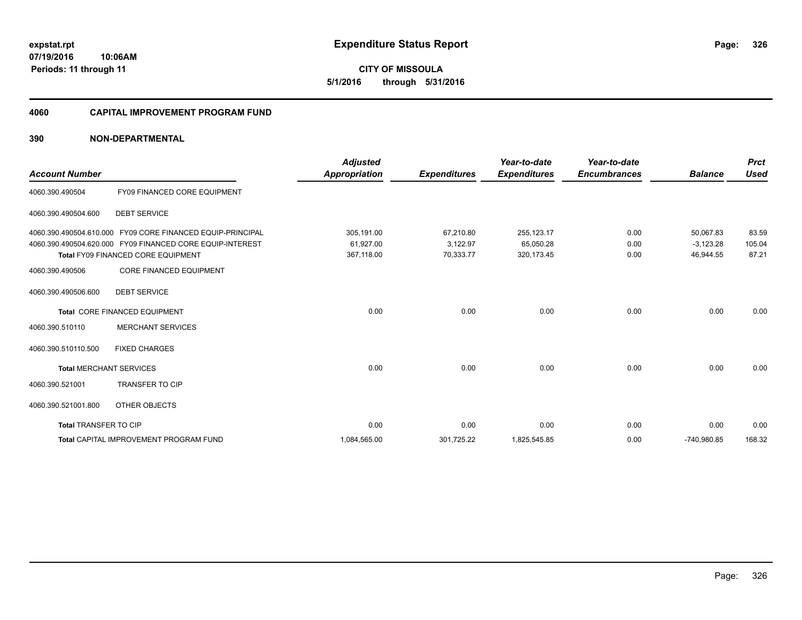**CITY OF MISSOULA 5/1/2016 through 5/31/2016**

#### **4060 CAPITAL IMPROVEMENT PROGRAM FUND**

|                                |                                                            | <b>Adjusted</b>      |                     | Year-to-date        | Year-to-date        |                | <b>Prct</b> |
|--------------------------------|------------------------------------------------------------|----------------------|---------------------|---------------------|---------------------|----------------|-------------|
| <b>Account Number</b>          |                                                            | <b>Appropriation</b> | <b>Expenditures</b> | <b>Expenditures</b> | <b>Encumbrances</b> | <b>Balance</b> | <b>Used</b> |
| 4060.390.490504                | FY09 FINANCED CORE EQUIPMENT                               |                      |                     |                     |                     |                |             |
| 4060.390.490504.600            | <b>DEBT SERVICE</b>                                        |                      |                     |                     |                     |                |             |
|                                | 4060.390.490504.610.000 FY09 CORE FINANCED EQUIP-PRINCIPAL | 305,191.00           | 67,210.80           | 255,123.17          | 0.00                | 50.067.83      | 83.59       |
|                                | 4060.390.490504.620.000 FY09 FINANCED CORE EQUIP-INTEREST  | 61,927.00            | 3,122.97            | 65,050.28           | 0.00                | $-3,123.28$    | 105.04      |
|                                | Total FY09 FINANCED CORE EQUIPMENT                         | 367,118.00           | 70,333.77           | 320, 173.45         | 0.00                | 46,944.55      | 87.21       |
| 4060.390.490506                | <b>CORE FINANCED EQUIPMENT</b>                             |                      |                     |                     |                     |                |             |
| 4060.390.490506.600            | <b>DEBT SERVICE</b>                                        |                      |                     |                     |                     |                |             |
|                                | Total CORE FINANCED EQUIPMENT                              | 0.00                 | 0.00                | 0.00                | 0.00                | 0.00           | 0.00        |
| 4060.390.510110                | <b>MERCHANT SERVICES</b>                                   |                      |                     |                     |                     |                |             |
| 4060.390.510110.500            | <b>FIXED CHARGES</b>                                       |                      |                     |                     |                     |                |             |
| <b>Total MERCHANT SERVICES</b> |                                                            | 0.00                 | 0.00                | 0.00                | 0.00                | 0.00           | 0.00        |
| 4060.390.521001                | <b>TRANSFER TO CIP</b>                                     |                      |                     |                     |                     |                |             |
| 4060.390.521001.800            | OTHER OBJECTS                                              |                      |                     |                     |                     |                |             |
| Total TRANSFER TO CIP          |                                                            | 0.00                 | 0.00                | 0.00                | 0.00                | 0.00           | 0.00        |
|                                | <b>Total CAPITAL IMPROVEMENT PROGRAM FUND</b>              | 1,084,565.00         | 301,725.22          | 1,825,545.85        | 0.00                | -740,980.85    | 168.32      |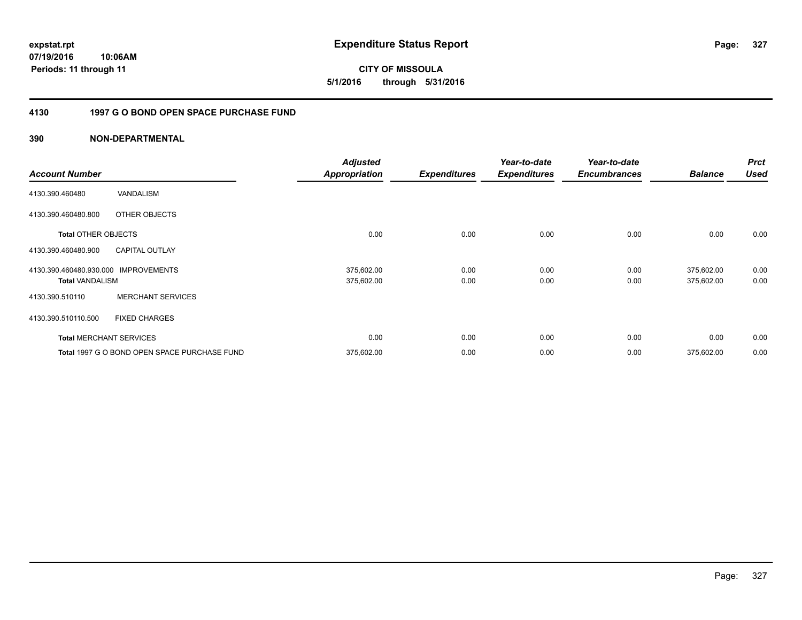**CITY OF MISSOULA 5/1/2016 through 5/31/2016**

### **4130 1997 G O BOND OPEN SPACE PURCHASE FUND**

| <b>Account Number</b>      |                                              | <b>Adjusted</b><br><b>Appropriation</b> | <b>Expenditures</b> | Year-to-date<br><b>Expenditures</b> | Year-to-date<br><b>Encumbrances</b> | <b>Balance</b> | <b>Prct</b><br><b>Used</b> |
|----------------------------|----------------------------------------------|-----------------------------------------|---------------------|-------------------------------------|-------------------------------------|----------------|----------------------------|
|                            |                                              |                                         |                     |                                     |                                     |                |                            |
| 4130.390.460480            | VANDALISM                                    |                                         |                     |                                     |                                     |                |                            |
| 4130.390.460480.800        | OTHER OBJECTS                                |                                         |                     |                                     |                                     |                |                            |
| <b>Total OTHER OBJECTS</b> |                                              | 0.00                                    | 0.00                | 0.00                                | 0.00                                | 0.00           | 0.00                       |
| 4130.390.460480.900        | <b>CAPITAL OUTLAY</b>                        |                                         |                     |                                     |                                     |                |                            |
| 4130.390.460480.930.000    | <b>IMPROVEMENTS</b>                          | 375,602.00                              | 0.00                | 0.00                                | 0.00                                | 375,602.00     | 0.00                       |
| <b>Total VANDALISM</b>     |                                              | 375,602.00                              | 0.00                | 0.00                                | 0.00                                | 375,602.00     | 0.00                       |
| 4130.390.510110            | <b>MERCHANT SERVICES</b>                     |                                         |                     |                                     |                                     |                |                            |
| 4130.390.510110.500        | <b>FIXED CHARGES</b>                         |                                         |                     |                                     |                                     |                |                            |
|                            | <b>Total MERCHANT SERVICES</b>               | 0.00                                    | 0.00                | 0.00                                | 0.00                                | 0.00           | 0.00                       |
|                            | Total 1997 G O BOND OPEN SPACE PURCHASE FUND | 375,602.00                              | 0.00                | 0.00                                | 0.00                                | 375,602.00     | 0.00                       |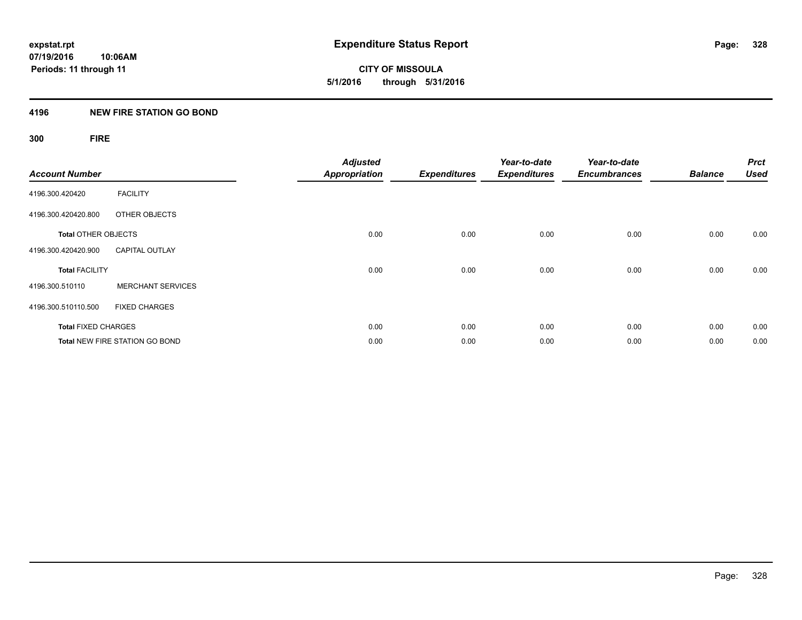**CITY OF MISSOULA 5/1/2016 through 5/31/2016**

#### **4196 NEW FIRE STATION GO BOND**

## **300 FIRE**

| <b>Account Number</b>      |                                       | <b>Adjusted</b><br><b>Appropriation</b> | <b>Expenditures</b> | Year-to-date<br><b>Expenditures</b> | Year-to-date<br><b>Encumbrances</b> | <b>Balance</b> | <b>Prct</b><br><b>Used</b> |
|----------------------------|---------------------------------------|-----------------------------------------|---------------------|-------------------------------------|-------------------------------------|----------------|----------------------------|
| 4196.300.420420            | <b>FACILITY</b>                       |                                         |                     |                                     |                                     |                |                            |
| 4196.300.420420.800        | OTHER OBJECTS                         |                                         |                     |                                     |                                     |                |                            |
| <b>Total OTHER OBJECTS</b> |                                       | 0.00                                    | 0.00                | 0.00                                | 0.00                                | 0.00           | 0.00                       |
| 4196.300.420420.900        | <b>CAPITAL OUTLAY</b>                 |                                         |                     |                                     |                                     |                |                            |
| <b>Total FACILITY</b>      |                                       | 0.00                                    | 0.00                | 0.00                                | 0.00                                | 0.00           | 0.00                       |
| 4196.300.510110            | <b>MERCHANT SERVICES</b>              |                                         |                     |                                     |                                     |                |                            |
| 4196.300.510110.500        | <b>FIXED CHARGES</b>                  |                                         |                     |                                     |                                     |                |                            |
| <b>Total FIXED CHARGES</b> |                                       | 0.00                                    | 0.00                | 0.00                                | 0.00                                | 0.00           | 0.00                       |
|                            | <b>Total NEW FIRE STATION GO BOND</b> | 0.00                                    | 0.00                | 0.00                                | 0.00                                | 0.00           | 0.00                       |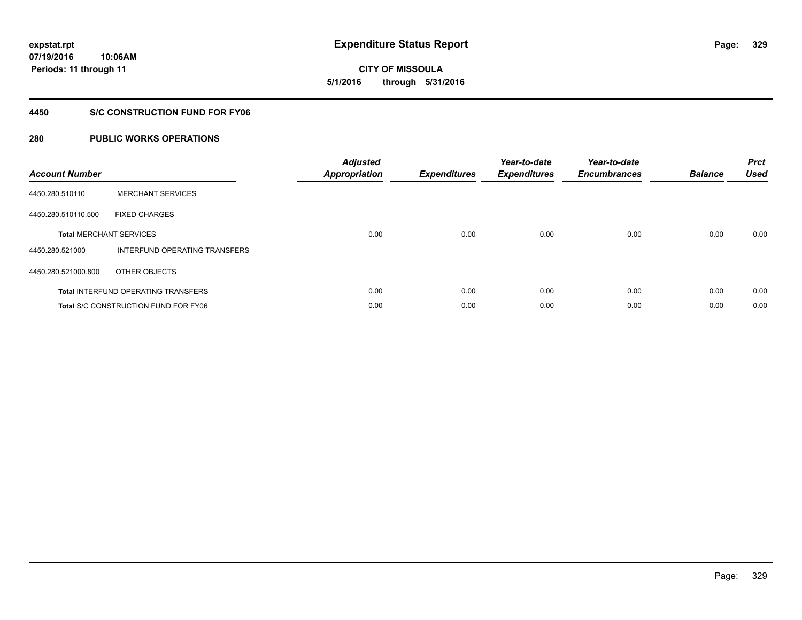**CITY OF MISSOULA 5/1/2016 through 5/31/2016**

#### **4450 S/C CONSTRUCTION FUND FOR FY06**

| <b>Account Number</b> |                                             | <b>Adjusted</b><br><b>Appropriation</b> | <b>Expenditures</b> | Year-to-date<br><b>Expenditures</b> | Year-to-date<br><b>Encumbrances</b> | <b>Balance</b> | <b>Prct</b><br><b>Used</b> |
|-----------------------|---------------------------------------------|-----------------------------------------|---------------------|-------------------------------------|-------------------------------------|----------------|----------------------------|
| 4450.280.510110       | <b>MERCHANT SERVICES</b>                    |                                         |                     |                                     |                                     |                |                            |
| 4450.280.510110.500   | <b>FIXED CHARGES</b>                        |                                         |                     |                                     |                                     |                |                            |
|                       | <b>Total MERCHANT SERVICES</b>              | 0.00                                    | 0.00                | 0.00                                | 0.00                                | 0.00           | 0.00                       |
| 4450.280.521000       | INTERFUND OPERATING TRANSFERS               |                                         |                     |                                     |                                     |                |                            |
| 4450.280.521000.800   | OTHER OBJECTS                               |                                         |                     |                                     |                                     |                |                            |
|                       | <b>Total INTERFUND OPERATING TRANSFERS</b>  | 0.00                                    | 0.00                | 0.00                                | 0.00                                | 0.00           | 0.00                       |
|                       | <b>Total S/C CONSTRUCTION FUND FOR FY06</b> | 0.00                                    | 0.00                | 0.00                                | 0.00                                | 0.00           | 0.00                       |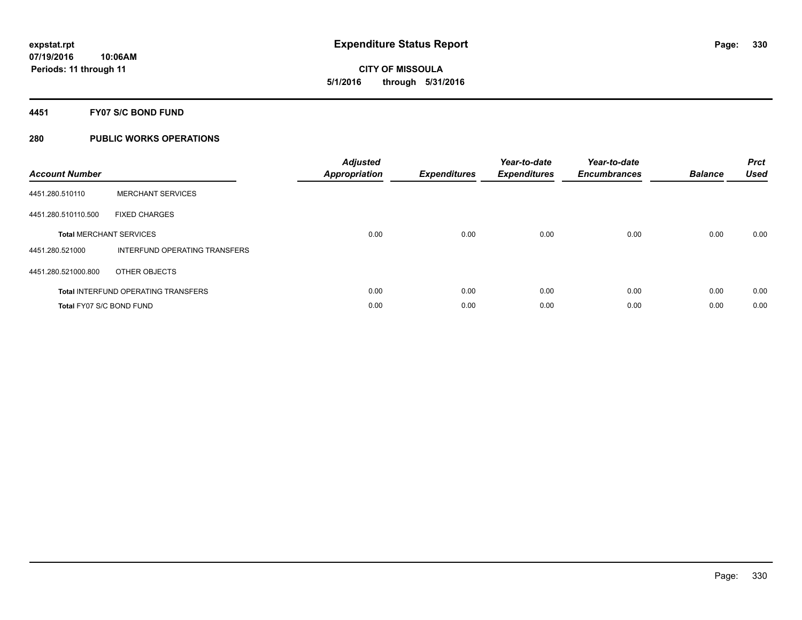**CITY OF MISSOULA 5/1/2016 through 5/31/2016**

#### **4451 FY07 S/C BOND FUND**

| <b>Account Number</b>    |                                            | <b>Adjusted</b><br>Appropriation | <b>Expenditures</b> | Year-to-date<br><b>Expenditures</b> | Year-to-date<br><b>Encumbrances</b> | <b>Balance</b> | <b>Prct</b><br><b>Used</b> |
|--------------------------|--------------------------------------------|----------------------------------|---------------------|-------------------------------------|-------------------------------------|----------------|----------------------------|
| 4451.280.510110          | <b>MERCHANT SERVICES</b>                   |                                  |                     |                                     |                                     |                |                            |
| 4451.280.510110.500      | <b>FIXED CHARGES</b>                       |                                  |                     |                                     |                                     |                |                            |
|                          | <b>Total MERCHANT SERVICES</b>             | 0.00                             | 0.00                | 0.00                                | 0.00                                | 0.00           | 0.00                       |
| 4451.280.521000          | INTERFUND OPERATING TRANSFERS              |                                  |                     |                                     |                                     |                |                            |
| 4451.280.521000.800      | OTHER OBJECTS                              |                                  |                     |                                     |                                     |                |                            |
|                          | <b>Total INTERFUND OPERATING TRANSFERS</b> | 0.00                             | 0.00                | 0.00                                | 0.00                                | 0.00           | 0.00                       |
| Total FY07 S/C BOND FUND |                                            | 0.00                             | 0.00                | 0.00                                | 0.00                                | 0.00           | 0.00                       |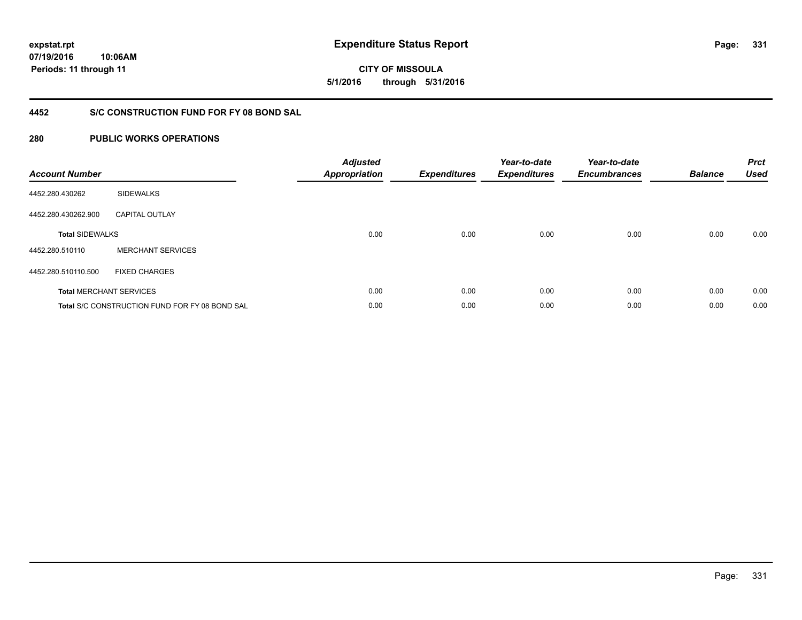**07/19/2016 10:06AM Periods: 11 through 11**

# **CITY OF MISSOULA 5/1/2016 through 5/31/2016**

### **4452 S/C CONSTRUCTION FUND FOR FY 08 BOND SAL**

| <b>Account Number</b>  |                                                       | <b>Adjusted</b><br><b>Appropriation</b> | <b>Expenditures</b> | Year-to-date<br><b>Expenditures</b> | Year-to-date<br><b>Encumbrances</b> | <b>Balance</b> | <b>Prct</b><br><b>Used</b> |
|------------------------|-------------------------------------------------------|-----------------------------------------|---------------------|-------------------------------------|-------------------------------------|----------------|----------------------------|
| 4452.280.430262        | <b>SIDEWALKS</b>                                      |                                         |                     |                                     |                                     |                |                            |
| 4452.280.430262.900    | <b>CAPITAL OUTLAY</b>                                 |                                         |                     |                                     |                                     |                |                            |
| <b>Total SIDEWALKS</b> |                                                       | 0.00                                    | 0.00                | 0.00                                | 0.00                                | 0.00           | 0.00                       |
| 4452.280.510110        | <b>MERCHANT SERVICES</b>                              |                                         |                     |                                     |                                     |                |                            |
| 4452.280.510110.500    | <b>FIXED CHARGES</b>                                  |                                         |                     |                                     |                                     |                |                            |
|                        | <b>Total MERCHANT SERVICES</b>                        | 0.00                                    | 0.00                | 0.00                                | 0.00                                | 0.00           | 0.00                       |
|                        | <b>Total S/C CONSTRUCTION FUND FOR FY 08 BOND SAL</b> | 0.00                                    | 0.00                | 0.00                                | 0.00                                | 0.00           | 0.00                       |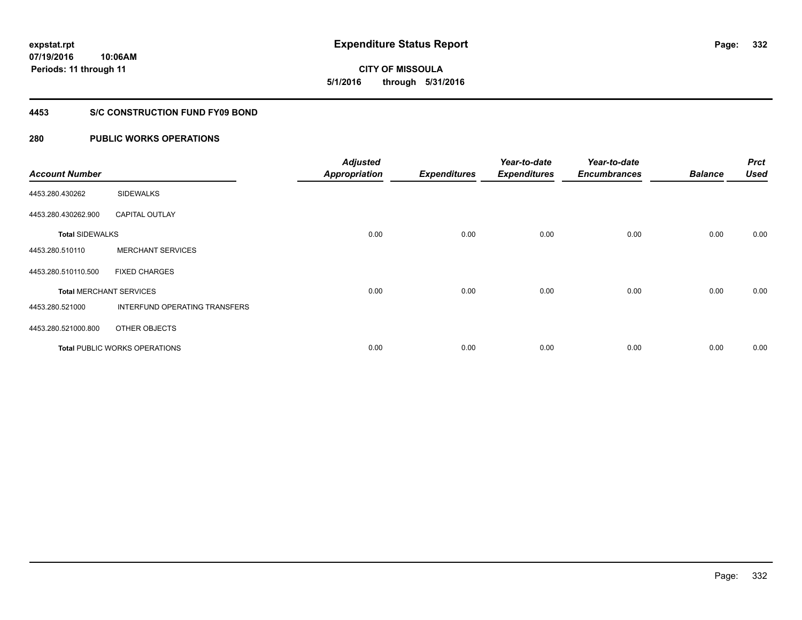**07/19/2016 10:06AM Periods: 11 through 11**

# **CITY OF MISSOULA 5/1/2016 through 5/31/2016**

#### **4453 S/C CONSTRUCTION FUND FY09 BOND**

| <b>Account Number</b>  |                                | <b>Adjusted</b><br><b>Appropriation</b> | <b>Expenditures</b> | Year-to-date<br><b>Expenditures</b> | Year-to-date<br><b>Encumbrances</b> | <b>Balance</b> | <b>Prct</b><br><b>Used</b> |
|------------------------|--------------------------------|-----------------------------------------|---------------------|-------------------------------------|-------------------------------------|----------------|----------------------------|
| 4453.280.430262        | <b>SIDEWALKS</b>               |                                         |                     |                                     |                                     |                |                            |
| 4453.280.430262.900    | <b>CAPITAL OUTLAY</b>          |                                         |                     |                                     |                                     |                |                            |
| <b>Total SIDEWALKS</b> |                                | 0.00                                    | 0.00                | 0.00                                | 0.00                                | 0.00           | 0.00                       |
| 4453.280.510110        | <b>MERCHANT SERVICES</b>       |                                         |                     |                                     |                                     |                |                            |
| 4453.280.510110.500    | <b>FIXED CHARGES</b>           |                                         |                     |                                     |                                     |                |                            |
|                        | <b>Total MERCHANT SERVICES</b> | 0.00                                    | 0.00                | 0.00                                | 0.00                                | 0.00           | 0.00                       |
| 4453.280.521000        | INTERFUND OPERATING TRANSFERS  |                                         |                     |                                     |                                     |                |                            |
| 4453.280.521000.800    | OTHER OBJECTS                  |                                         |                     |                                     |                                     |                |                            |
|                        | Total PUBLIC WORKS OPERATIONS  | 0.00                                    | 0.00                | 0.00                                | 0.00                                | 0.00           | 0.00                       |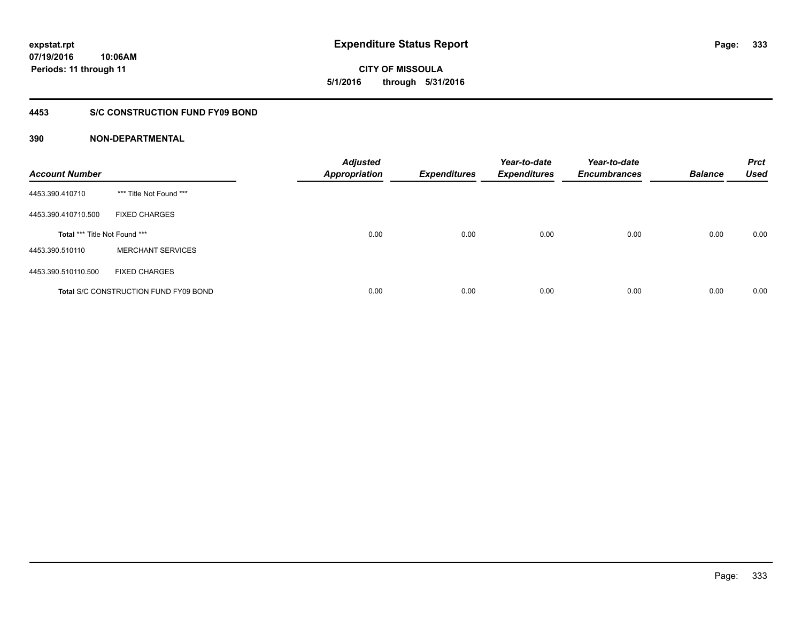**CITY OF MISSOULA 5/1/2016 through 5/31/2016**

#### **4453 S/C CONSTRUCTION FUND FY09 BOND**

| <b>Account Number</b>                |                                              | <b>Adjusted</b><br><b>Appropriation</b> | <b>Expenditures</b> | Year-to-date<br><b>Expenditures</b> | Year-to-date<br><b>Encumbrances</b> | <b>Balance</b> | <b>Prct</b><br><b>Used</b> |
|--------------------------------------|----------------------------------------------|-----------------------------------------|---------------------|-------------------------------------|-------------------------------------|----------------|----------------------------|
| 4453.390.410710                      | *** Title Not Found ***                      |                                         |                     |                                     |                                     |                |                            |
| 4453.390.410710.500                  | <b>FIXED CHARGES</b>                         |                                         |                     |                                     |                                     |                |                            |
| <b>Total *** Title Not Found ***</b> |                                              | 0.00                                    | 0.00                | 0.00                                | 0.00                                | 0.00           | 0.00                       |
| 4453.390.510110                      | <b>MERCHANT SERVICES</b>                     |                                         |                     |                                     |                                     |                |                            |
| 4453.390.510110.500                  | <b>FIXED CHARGES</b>                         |                                         |                     |                                     |                                     |                |                            |
|                                      | <b>Total S/C CONSTRUCTION FUND FY09 BOND</b> | 0.00                                    | 0.00                | 0.00                                | 0.00                                | 0.00           | 0.00                       |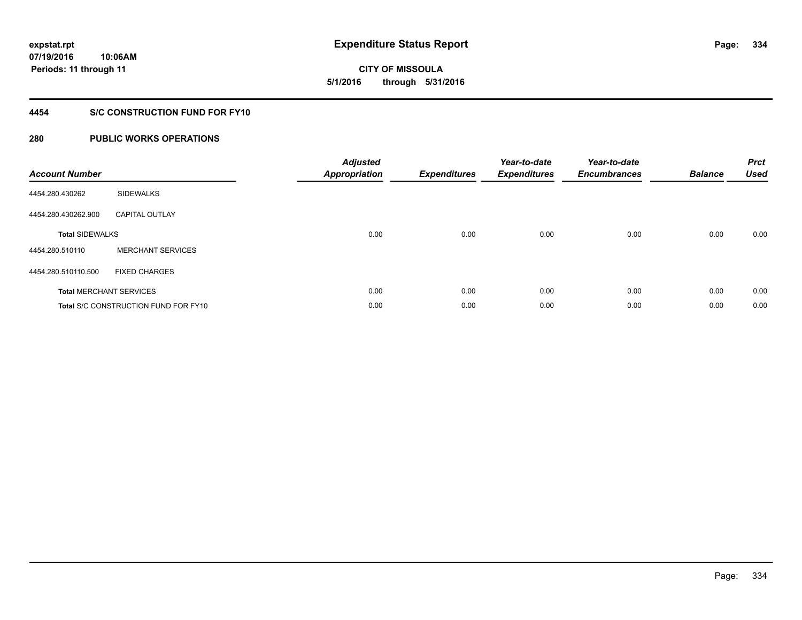**CITY OF MISSOULA 5/1/2016 through 5/31/2016**

#### **4454 S/C CONSTRUCTION FUND FOR FY10**

| <b>Account Number</b>  |                                             | <b>Adjusted</b><br>Appropriation | <b>Expenditures</b> | Year-to-date<br><b>Expenditures</b> | Year-to-date<br><b>Encumbrances</b> | <b>Balance</b> | <b>Prct</b><br><b>Used</b> |
|------------------------|---------------------------------------------|----------------------------------|---------------------|-------------------------------------|-------------------------------------|----------------|----------------------------|
| 4454.280.430262        | <b>SIDEWALKS</b>                            |                                  |                     |                                     |                                     |                |                            |
| 4454.280.430262.900    | <b>CAPITAL OUTLAY</b>                       |                                  |                     |                                     |                                     |                |                            |
| <b>Total SIDEWALKS</b> |                                             | 0.00                             | 0.00                | 0.00                                | 0.00                                | 0.00           | 0.00                       |
| 4454.280.510110        | <b>MERCHANT SERVICES</b>                    |                                  |                     |                                     |                                     |                |                            |
| 4454.280.510110.500    | <b>FIXED CHARGES</b>                        |                                  |                     |                                     |                                     |                |                            |
|                        | <b>Total MERCHANT SERVICES</b>              | 0.00                             | 0.00                | 0.00                                | 0.00                                | 0.00           | 0.00                       |
|                        | <b>Total S/C CONSTRUCTION FUND FOR FY10</b> | 0.00                             | 0.00                | 0.00                                | 0.00                                | 0.00           | 0.00                       |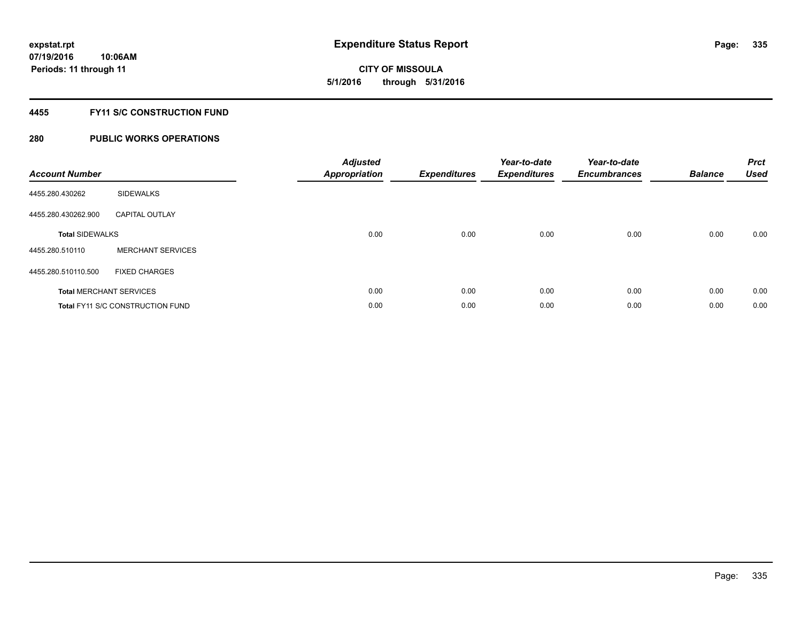**CITY OF MISSOULA 5/1/2016 through 5/31/2016**

#### **4455 FY11 S/C CONSTRUCTION FUND**

| <b>Account Number</b>          |                                         | <b>Adjusted</b><br><b>Appropriation</b> | <b>Expenditures</b> | Year-to-date<br><b>Expenditures</b> | Year-to-date<br><b>Encumbrances</b> | <b>Balance</b> | <b>Prct</b><br><b>Used</b> |
|--------------------------------|-----------------------------------------|-----------------------------------------|---------------------|-------------------------------------|-------------------------------------|----------------|----------------------------|
| 4455.280.430262                | <b>SIDEWALKS</b>                        |                                         |                     |                                     |                                     |                |                            |
| 4455.280.430262.900            | <b>CAPITAL OUTLAY</b>                   |                                         |                     |                                     |                                     |                |                            |
| <b>Total SIDEWALKS</b>         |                                         | 0.00                                    | 0.00                | 0.00                                | 0.00                                | 0.00           | 0.00                       |
| 4455.280.510110                | <b>MERCHANT SERVICES</b>                |                                         |                     |                                     |                                     |                |                            |
| 4455.280.510110.500            | <b>FIXED CHARGES</b>                    |                                         |                     |                                     |                                     |                |                            |
| <b>Total MERCHANT SERVICES</b> |                                         | 0.00                                    | 0.00                | 0.00                                | 0.00                                | 0.00           | 0.00                       |
|                                | <b>Total FY11 S/C CONSTRUCTION FUND</b> | 0.00                                    | 0.00                | 0.00                                | 0.00                                | 0.00           | 0.00                       |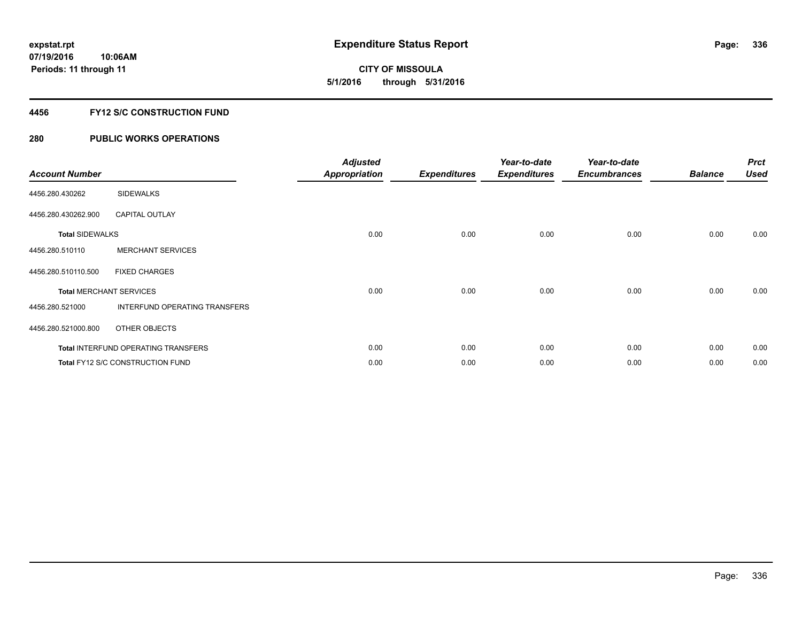**CITY OF MISSOULA 5/1/2016 through 5/31/2016**

#### **4456 FY12 S/C CONSTRUCTION FUND**

| <b>Account Number</b>          |                                     | <b>Adjusted</b><br><b>Appropriation</b> | <b>Expenditures</b> | Year-to-date<br><b>Expenditures</b> | Year-to-date<br><b>Encumbrances</b> | <b>Balance</b> | <b>Prct</b><br><b>Used</b> |
|--------------------------------|-------------------------------------|-----------------------------------------|---------------------|-------------------------------------|-------------------------------------|----------------|----------------------------|
| 4456.280.430262                | <b>SIDEWALKS</b>                    |                                         |                     |                                     |                                     |                |                            |
| 4456.280.430262.900            | <b>CAPITAL OUTLAY</b>               |                                         |                     |                                     |                                     |                |                            |
| <b>Total SIDEWALKS</b>         |                                     | 0.00                                    | 0.00                | 0.00                                | 0.00                                | 0.00           | 0.00                       |
| 4456.280.510110                | <b>MERCHANT SERVICES</b>            |                                         |                     |                                     |                                     |                |                            |
| 4456.280.510110.500            | <b>FIXED CHARGES</b>                |                                         |                     |                                     |                                     |                |                            |
| <b>Total MERCHANT SERVICES</b> |                                     | 0.00                                    | 0.00                | 0.00                                | 0.00                                | 0.00           | 0.00                       |
| 4456.280.521000                | INTERFUND OPERATING TRANSFERS       |                                         |                     |                                     |                                     |                |                            |
| 4456.280.521000.800            | OTHER OBJECTS                       |                                         |                     |                                     |                                     |                |                            |
|                                | Total INTERFUND OPERATING TRANSFERS | 0.00                                    | 0.00                | 0.00                                | 0.00                                | 0.00           | 0.00                       |
|                                | Total FY12 S/C CONSTRUCTION FUND    | 0.00                                    | 0.00                | 0.00                                | 0.00                                | 0.00           | 0.00                       |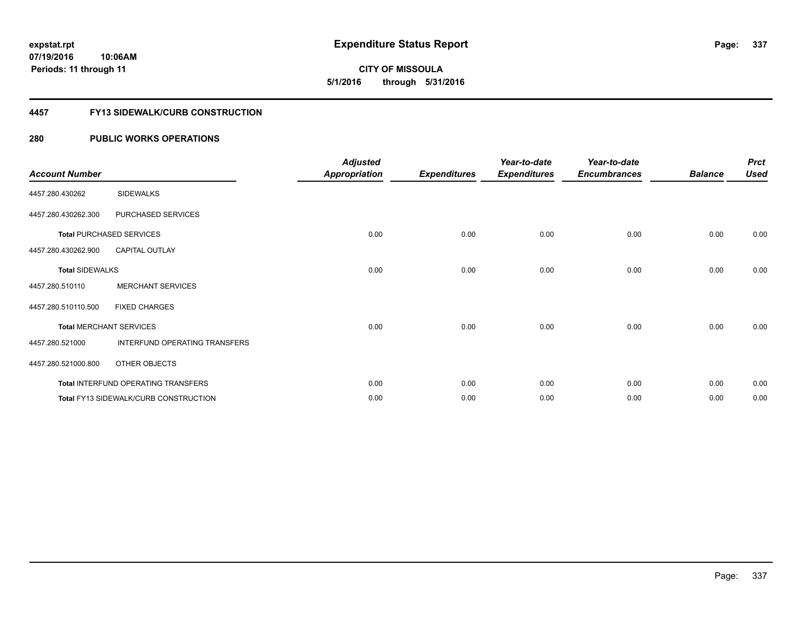**07/19/2016 10:06AM Periods: 11 through 11**

**CITY OF MISSOULA 5/1/2016 through 5/31/2016**

#### **4457 FY13 SIDEWALK/CURB CONSTRUCTION**

| <b>Account Number</b>  |                                              | <b>Adjusted</b><br><b>Appropriation</b> | <b>Expenditures</b> | Year-to-date<br><b>Expenditures</b> | Year-to-date<br><b>Encumbrances</b> | <b>Balance</b> | <b>Prct</b><br><b>Used</b> |
|------------------------|----------------------------------------------|-----------------------------------------|---------------------|-------------------------------------|-------------------------------------|----------------|----------------------------|
| 4457.280.430262        | <b>SIDEWALKS</b>                             |                                         |                     |                                     |                                     |                |                            |
| 4457.280.430262.300    | PURCHASED SERVICES                           |                                         |                     |                                     |                                     |                |                            |
|                        | <b>Total PURCHASED SERVICES</b>              | 0.00                                    | 0.00                | 0.00                                | 0.00                                | 0.00           | 0.00                       |
| 4457.280.430262.900    | <b>CAPITAL OUTLAY</b>                        |                                         |                     |                                     |                                     |                |                            |
| <b>Total SIDEWALKS</b> |                                              | 0.00                                    | 0.00                | 0.00                                | 0.00                                | 0.00           | 0.00                       |
| 4457.280.510110        | <b>MERCHANT SERVICES</b>                     |                                         |                     |                                     |                                     |                |                            |
| 4457.280.510110.500    | <b>FIXED CHARGES</b>                         |                                         |                     |                                     |                                     |                |                            |
|                        | <b>Total MERCHANT SERVICES</b>               | 0.00                                    | 0.00                | 0.00                                | 0.00                                | 0.00           | 0.00                       |
| 4457.280.521000        | INTERFUND OPERATING TRANSFERS                |                                         |                     |                                     |                                     |                |                            |
| 4457.280.521000.800    | OTHER OBJECTS                                |                                         |                     |                                     |                                     |                |                            |
|                        | Total INTERFUND OPERATING TRANSFERS          | 0.00                                    | 0.00                | 0.00                                | 0.00                                | 0.00           | 0.00                       |
|                        | <b>Total FY13 SIDEWALK/CURB CONSTRUCTION</b> | 0.00                                    | 0.00                | 0.00                                | 0.00                                | 0.00           | 0.00                       |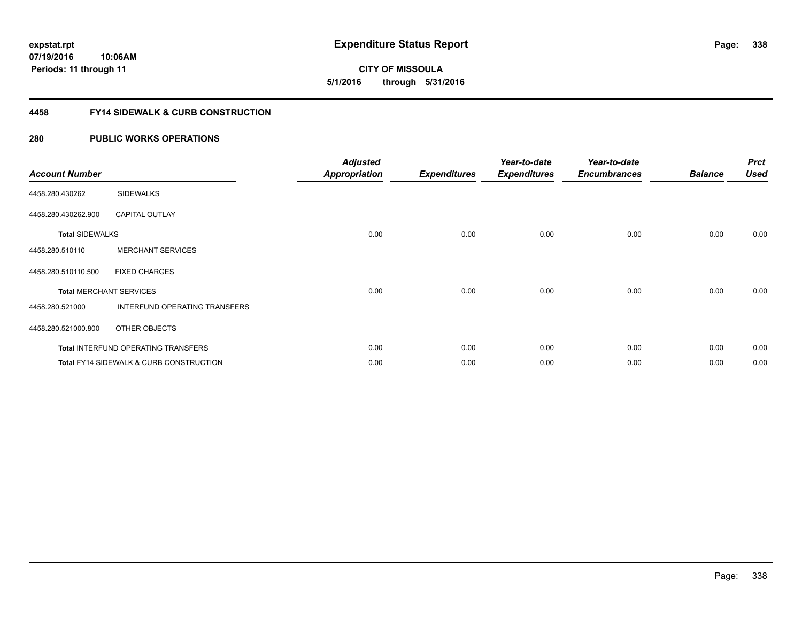**07/19/2016 10:06AM Periods: 11 through 11**

**CITY OF MISSOULA 5/1/2016 through 5/31/2016**

#### **4458 FY14 SIDEWALK & CURB CONSTRUCTION**

| <b>Account Number</b>  |                                                    | <b>Adjusted</b><br><b>Appropriation</b> | <b>Expenditures</b> | Year-to-date<br><b>Expenditures</b> | Year-to-date<br><b>Encumbrances</b> | <b>Balance</b> | <b>Prct</b><br><b>Used</b> |
|------------------------|----------------------------------------------------|-----------------------------------------|---------------------|-------------------------------------|-------------------------------------|----------------|----------------------------|
| 4458.280.430262        | <b>SIDEWALKS</b>                                   |                                         |                     |                                     |                                     |                |                            |
| 4458.280.430262.900    | <b>CAPITAL OUTLAY</b>                              |                                         |                     |                                     |                                     |                |                            |
| <b>Total SIDEWALKS</b> |                                                    | 0.00                                    | 0.00                | 0.00                                | 0.00                                | 0.00           | 0.00                       |
| 4458.280.510110        | <b>MERCHANT SERVICES</b>                           |                                         |                     |                                     |                                     |                |                            |
| 4458.280.510110.500    | <b>FIXED CHARGES</b>                               |                                         |                     |                                     |                                     |                |                            |
|                        | <b>Total MERCHANT SERVICES</b>                     | 0.00                                    | 0.00                | 0.00                                | 0.00                                | 0.00           | 0.00                       |
| 4458.280.521000        | INTERFUND OPERATING TRANSFERS                      |                                         |                     |                                     |                                     |                |                            |
| 4458.280.521000.800    | OTHER OBJECTS                                      |                                         |                     |                                     |                                     |                |                            |
|                        | Total INTERFUND OPERATING TRANSFERS                | 0.00                                    | 0.00                | 0.00                                | 0.00                                | 0.00           | 0.00                       |
|                        | <b>Total FY14 SIDEWALK &amp; CURB CONSTRUCTION</b> | 0.00                                    | 0.00                | 0.00                                | 0.00                                | 0.00           | 0.00                       |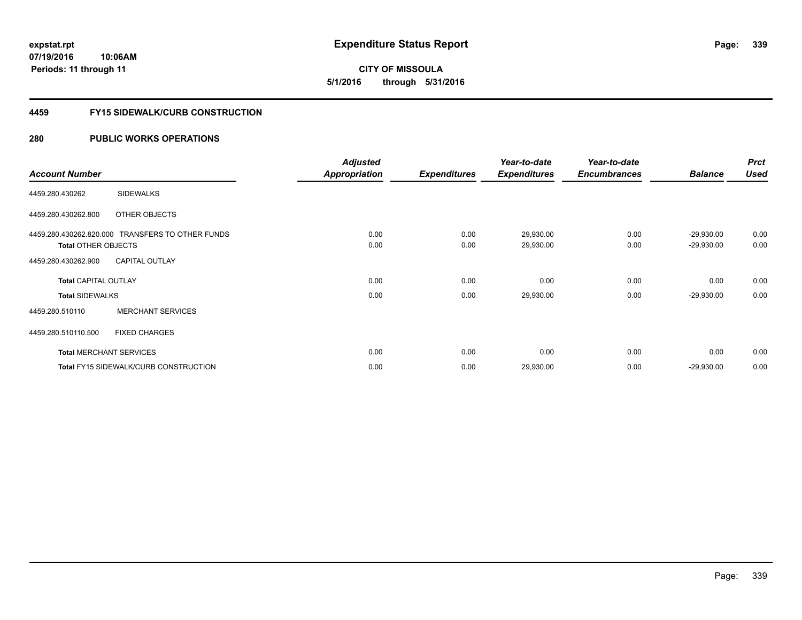**CITY OF MISSOULA 5/1/2016 through 5/31/2016**

#### **4459 FY15 SIDEWALK/CURB CONSTRUCTION**

|                             |                                                  | <b>Adjusted</b>      |                     | Year-to-date        | Year-to-date        |                | <b>Prct</b> |
|-----------------------------|--------------------------------------------------|----------------------|---------------------|---------------------|---------------------|----------------|-------------|
| <b>Account Number</b>       |                                                  | <b>Appropriation</b> | <b>Expenditures</b> | <b>Expenditures</b> | <b>Encumbrances</b> | <b>Balance</b> | <b>Used</b> |
| 4459.280.430262             | <b>SIDEWALKS</b>                                 |                      |                     |                     |                     |                |             |
| 4459.280.430262.800         | OTHER OBJECTS                                    |                      |                     |                     |                     |                |             |
|                             | 4459.280.430262.820.000 TRANSFERS TO OTHER FUNDS | 0.00                 | 0.00                | 29,930.00           | 0.00                | $-29,930.00$   | 0.00        |
| <b>Total OTHER OBJECTS</b>  |                                                  | 0.00                 | 0.00                | 29,930.00           | 0.00                | $-29,930.00$   | 0.00        |
| 4459.280.430262.900         | <b>CAPITAL OUTLAY</b>                            |                      |                     |                     |                     |                |             |
| <b>Total CAPITAL OUTLAY</b> |                                                  | 0.00                 | 0.00                | 0.00                | 0.00                | 0.00           | 0.00        |
| <b>Total SIDEWALKS</b>      |                                                  | 0.00                 | 0.00                | 29,930.00           | 0.00                | $-29,930.00$   | 0.00        |
| 4459.280.510110             | <b>MERCHANT SERVICES</b>                         |                      |                     |                     |                     |                |             |
| 4459.280.510110.500         | <b>FIXED CHARGES</b>                             |                      |                     |                     |                     |                |             |
|                             | <b>Total MERCHANT SERVICES</b>                   | 0.00                 | 0.00                | 0.00                | 0.00                | 0.00           | 0.00        |
|                             | <b>Total FY15 SIDEWALK/CURB CONSTRUCTION</b>     | 0.00                 | 0.00                | 29,930.00           | 0.00                | $-29,930.00$   | 0.00        |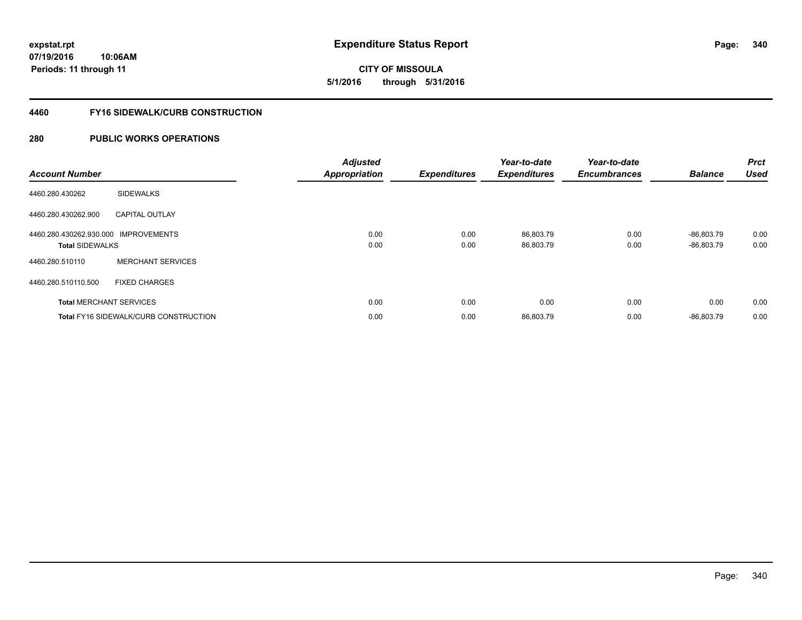**07/19/2016 10:06AM Periods: 11 through 11**

**CITY OF MISSOULA 5/1/2016 through 5/31/2016**

#### **4460 FY16 SIDEWALK/CURB CONSTRUCTION**

| <b>Account Number</b>                                          |                                              | <b>Adjusted</b><br><b>Appropriation</b> | <b>Expenditures</b> | Year-to-date<br><b>Expenditures</b> | Year-to-date<br><b>Encumbrances</b> | <b>Balance</b>               | <b>Prct</b><br><b>Used</b> |
|----------------------------------------------------------------|----------------------------------------------|-----------------------------------------|---------------------|-------------------------------------|-------------------------------------|------------------------------|----------------------------|
| 4460.280.430262                                                | <b>SIDEWALKS</b>                             |                                         |                     |                                     |                                     |                              |                            |
| 4460.280.430262.900                                            | <b>CAPITAL OUTLAY</b>                        |                                         |                     |                                     |                                     |                              |                            |
| 4460.280.430262.930.000 IMPROVEMENTS<br><b>Total SIDEWALKS</b> |                                              | 0.00<br>0.00                            | 0.00<br>0.00        | 86,803.79<br>86,803.79              | 0.00<br>0.00                        | $-86,803.79$<br>$-86,803.79$ | 0.00<br>0.00               |
| 4460.280.510110                                                | <b>MERCHANT SERVICES</b>                     |                                         |                     |                                     |                                     |                              |                            |
| 4460.280.510110.500                                            | <b>FIXED CHARGES</b>                         |                                         |                     |                                     |                                     |                              |                            |
| <b>Total MERCHANT SERVICES</b>                                 |                                              | 0.00                                    | 0.00                | 0.00                                | 0.00                                | 0.00                         | 0.00                       |
|                                                                | <b>Total FY16 SIDEWALK/CURB CONSTRUCTION</b> | 0.00                                    | 0.00                | 86,803.79                           | 0.00                                | $-86.803.79$                 | 0.00                       |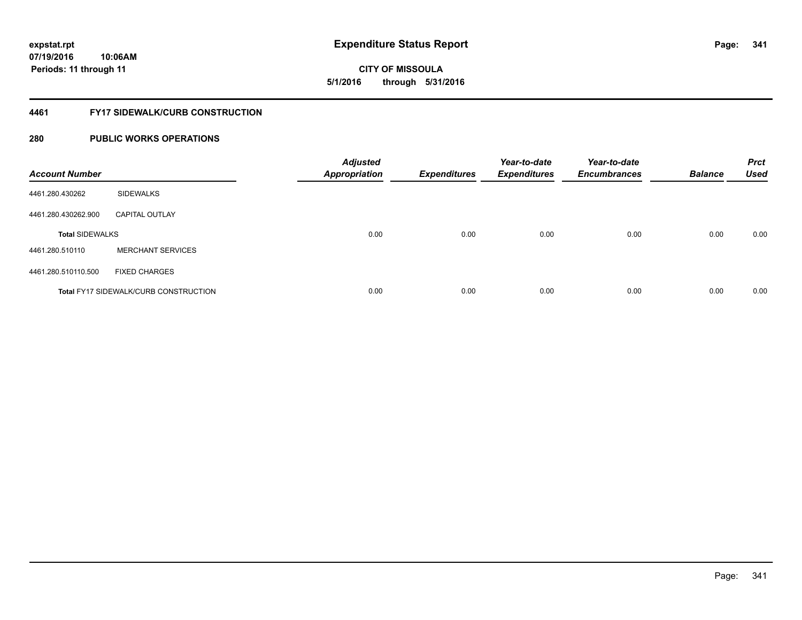**07/19/2016 10:06AM Periods: 11 through 11**

**CITY OF MISSOULA 5/1/2016 through 5/31/2016**

#### **4461 FY17 SIDEWALK/CURB CONSTRUCTION**

| <b>Account Number</b>  |                                              | <b>Adjusted</b><br><b>Appropriation</b> | <b>Expenditures</b> | Year-to-date<br><b>Expenditures</b> | Year-to-date<br><b>Encumbrances</b> | <b>Balance</b> | <b>Prct</b><br><b>Used</b> |
|------------------------|----------------------------------------------|-----------------------------------------|---------------------|-------------------------------------|-------------------------------------|----------------|----------------------------|
| 4461.280.430262        | <b>SIDEWALKS</b>                             |                                         |                     |                                     |                                     |                |                            |
| 4461.280.430262.900    | <b>CAPITAL OUTLAY</b>                        |                                         |                     |                                     |                                     |                |                            |
| <b>Total SIDEWALKS</b> |                                              | 0.00                                    | 0.00                | 0.00                                | 0.00                                | 0.00           | 0.00                       |
| 4461.280.510110        | <b>MERCHANT SERVICES</b>                     |                                         |                     |                                     |                                     |                |                            |
| 4461.280.510110.500    | <b>FIXED CHARGES</b>                         |                                         |                     |                                     |                                     |                |                            |
|                        | <b>Total FY17 SIDEWALK/CURB CONSTRUCTION</b> | 0.00                                    | 0.00                | 0.00                                | 0.00                                | 0.00           | 0.00                       |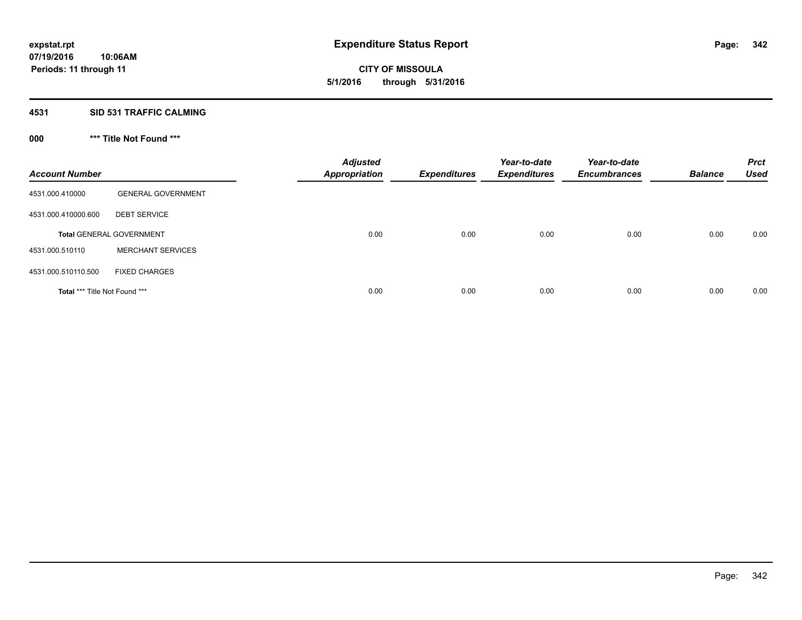**CITY OF MISSOULA 5/1/2016 through 5/31/2016**

#### **4531 SID 531 TRAFFIC CALMING**

## **000 \*\*\* Title Not Found \*\*\***

| <b>Account Number</b>         |                                 | <b>Adjusted</b><br><b>Appropriation</b> | <b>Expenditures</b> | Year-to-date<br><b>Expenditures</b> | Year-to-date<br><b>Encumbrances</b> | <b>Balance</b> | <b>Prct</b><br><b>Used</b> |
|-------------------------------|---------------------------------|-----------------------------------------|---------------------|-------------------------------------|-------------------------------------|----------------|----------------------------|
| 4531.000.410000               | <b>GENERAL GOVERNMENT</b>       |                                         |                     |                                     |                                     |                |                            |
| 4531.000.410000.600           | <b>DEBT SERVICE</b>             |                                         |                     |                                     |                                     |                |                            |
|                               | <b>Total GENERAL GOVERNMENT</b> | 0.00                                    | 0.00                | 0.00                                | 0.00                                | 0.00           | 0.00                       |
| 4531.000.510110               | <b>MERCHANT SERVICES</b>        |                                         |                     |                                     |                                     |                |                            |
| 4531.000.510110.500           | <b>FIXED CHARGES</b>            |                                         |                     |                                     |                                     |                |                            |
| Total *** Title Not Found *** |                                 | 0.00                                    | 0.00                | 0.00                                | 0.00                                | 0.00           | 0.00                       |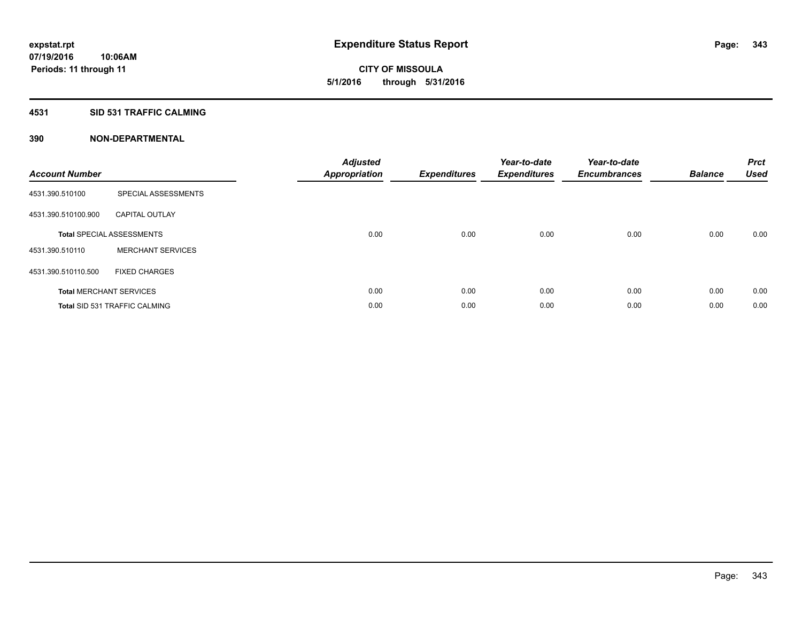**Periods: 11 through 11**

**CITY OF MISSOULA 5/1/2016 through 5/31/2016**

#### **4531 SID 531 TRAFFIC CALMING**

| <b>Account Number</b> |                                      | <b>Adjusted</b><br><b>Appropriation</b> | <b>Expenditures</b> | Year-to-date<br><b>Expenditures</b> | Year-to-date<br><b>Encumbrances</b> | <b>Balance</b> | <b>Prct</b><br><b>Used</b> |
|-----------------------|--------------------------------------|-----------------------------------------|---------------------|-------------------------------------|-------------------------------------|----------------|----------------------------|
| 4531.390.510100       | SPECIAL ASSESSMENTS                  |                                         |                     |                                     |                                     |                |                            |
| 4531.390.510100.900   | <b>CAPITAL OUTLAY</b>                |                                         |                     |                                     |                                     |                |                            |
|                       | <b>Total SPECIAL ASSESSMENTS</b>     | 0.00                                    | 0.00                | 0.00                                | 0.00                                | 0.00           | 0.00                       |
| 4531.390.510110       | <b>MERCHANT SERVICES</b>             |                                         |                     |                                     |                                     |                |                            |
| 4531.390.510110.500   | <b>FIXED CHARGES</b>                 |                                         |                     |                                     |                                     |                |                            |
|                       | <b>Total MERCHANT SERVICES</b>       | 0.00                                    | 0.00                | 0.00                                | 0.00                                | 0.00           | 0.00                       |
|                       | <b>Total SID 531 TRAFFIC CALMING</b> | 0.00                                    | 0.00                | 0.00                                | 0.00                                | 0.00           | 0.00                       |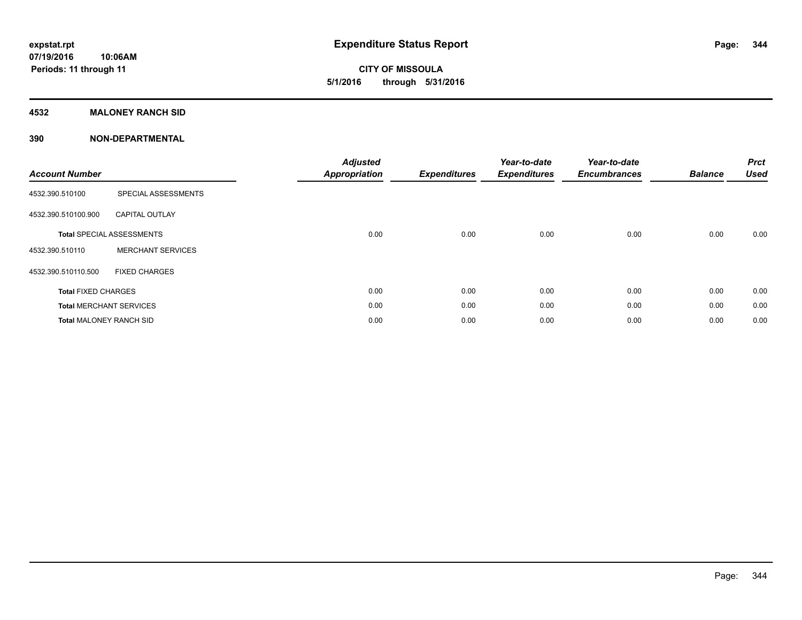**CITY OF MISSOULA 5/1/2016 through 5/31/2016**

#### **4532 MALONEY RANCH SID**

| <b>Account Number</b>          |                                  | <b>Adjusted</b><br><b>Appropriation</b> | <b>Expenditures</b> | Year-to-date<br><b>Expenditures</b> | Year-to-date<br><b>Encumbrances</b> | <b>Balance</b> | <b>Prct</b><br><b>Used</b> |
|--------------------------------|----------------------------------|-----------------------------------------|---------------------|-------------------------------------|-------------------------------------|----------------|----------------------------|
| 4532.390.510100                | SPECIAL ASSESSMENTS              |                                         |                     |                                     |                                     |                |                            |
| 4532.390.510100.900            | <b>CAPITAL OUTLAY</b>            |                                         |                     |                                     |                                     |                |                            |
|                                | <b>Total SPECIAL ASSESSMENTS</b> | 0.00                                    | 0.00                | 0.00                                | 0.00                                | 0.00           | 0.00                       |
| 4532.390.510110                | <b>MERCHANT SERVICES</b>         |                                         |                     |                                     |                                     |                |                            |
| 4532.390.510110.500            | <b>FIXED CHARGES</b>             |                                         |                     |                                     |                                     |                |                            |
| <b>Total FIXED CHARGES</b>     |                                  | 0.00                                    | 0.00                | 0.00                                | 0.00                                | 0.00           | 0.00                       |
|                                | <b>Total MERCHANT SERVICES</b>   | 0.00                                    | 0.00                | 0.00                                | 0.00                                | 0.00           | 0.00                       |
| <b>Total MALONEY RANCH SID</b> |                                  | 0.00                                    | 0.00                | 0.00                                | 0.00                                | 0.00           | 0.00                       |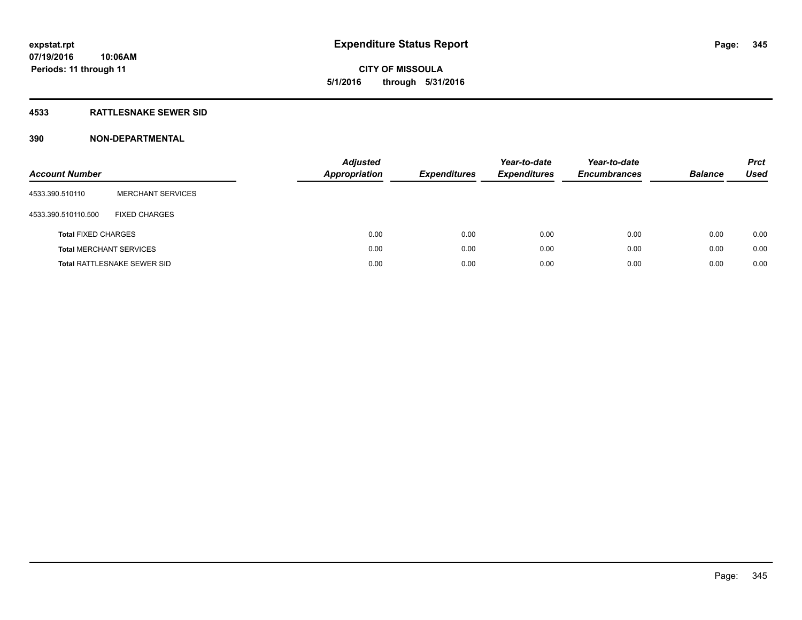# **CITY OF MISSOULA 5/1/2016 through 5/31/2016**

#### **4533 RATTLESNAKE SEWER SID**

| <b>Account Number</b>          |                                    | <b>Adjusted</b><br>Appropriation | <b>Expenditures</b> | Year-to-date<br><b>Expenditures</b> | Year-to-date<br><b>Encumbrances</b> | <b>Balance</b> | <b>Prct</b><br>Used |
|--------------------------------|------------------------------------|----------------------------------|---------------------|-------------------------------------|-------------------------------------|----------------|---------------------|
| 4533.390.510110                | <b>MERCHANT SERVICES</b>           |                                  |                     |                                     |                                     |                |                     |
| 4533.390.510110.500            | <b>FIXED CHARGES</b>               |                                  |                     |                                     |                                     |                |                     |
| <b>Total FIXED CHARGES</b>     |                                    | 0.00                             | 0.00                | 0.00                                | 0.00                                | 0.00           | 0.00                |
| <b>Total MERCHANT SERVICES</b> |                                    | 0.00                             | 0.00                | 0.00                                | 0.00                                | 0.00           | 0.00                |
|                                | <b>Total RATTLESNAKE SEWER SID</b> | 0.00                             | 0.00                | 0.00                                | 0.00                                | 0.00           | 0.00                |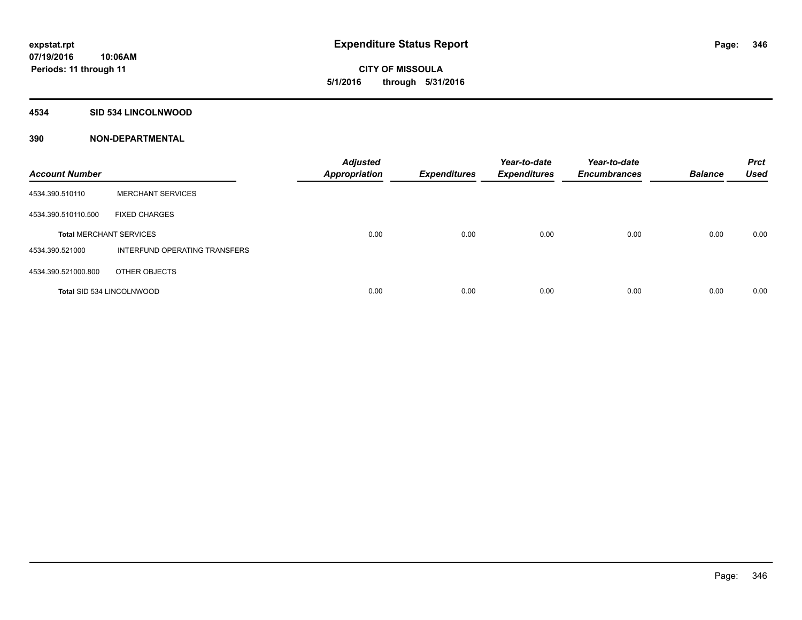# **CITY OF MISSOULA 5/1/2016 through 5/31/2016**

#### **4534 SID 534 LINCOLNWOOD**

| <b>Account Number</b>            |                               | <b>Adjusted</b><br><b>Appropriation</b> | <b>Expenditures</b> | Year-to-date<br><b>Expenditures</b> | Year-to-date<br><b>Encumbrances</b> | <b>Balance</b> | <b>Prct</b><br><b>Used</b> |
|----------------------------------|-------------------------------|-----------------------------------------|---------------------|-------------------------------------|-------------------------------------|----------------|----------------------------|
| 4534.390.510110                  | <b>MERCHANT SERVICES</b>      |                                         |                     |                                     |                                     |                |                            |
| 4534.390.510110.500              | <b>FIXED CHARGES</b>          |                                         |                     |                                     |                                     |                |                            |
| <b>Total MERCHANT SERVICES</b>   |                               | 0.00                                    | 0.00                | 0.00                                | 0.00                                | 0.00           | 0.00                       |
| 4534.390.521000                  | INTERFUND OPERATING TRANSFERS |                                         |                     |                                     |                                     |                |                            |
| 4534.390.521000.800              | OTHER OBJECTS                 |                                         |                     |                                     |                                     |                |                            |
| <b>Total SID 534 LINCOLNWOOD</b> |                               | 0.00                                    | 0.00                | 0.00                                | 0.00                                | 0.00           | 0.00                       |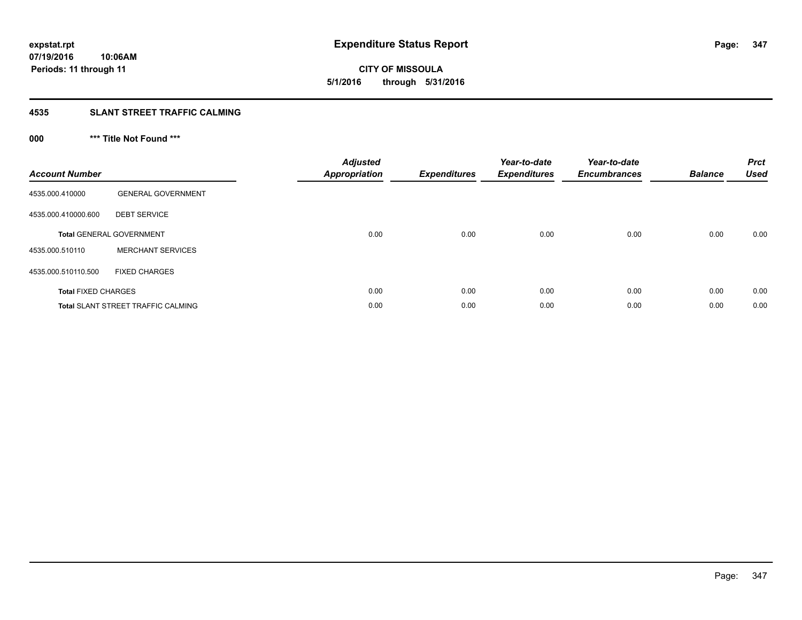**07/19/2016 10:06AM Periods: 11 through 11**

**CITY OF MISSOULA 5/1/2016 through 5/31/2016**

#### **4535 SLANT STREET TRAFFIC CALMING**

## **000 \*\*\* Title Not Found \*\*\***

| <b>Account Number</b>      |                                           | Adjusted<br><b>Appropriation</b> | <b>Expenditures</b> | Year-to-date<br><b>Expenditures</b> | Year-to-date<br><b>Encumbrances</b> | <b>Balance</b> | <b>Prct</b><br><b>Used</b> |
|----------------------------|-------------------------------------------|----------------------------------|---------------------|-------------------------------------|-------------------------------------|----------------|----------------------------|
| 4535.000.410000            | <b>GENERAL GOVERNMENT</b>                 |                                  |                     |                                     |                                     |                |                            |
| 4535.000.410000.600        | <b>DEBT SERVICE</b>                       |                                  |                     |                                     |                                     |                |                            |
|                            | <b>Total GENERAL GOVERNMENT</b>           | 0.00                             | 0.00                | 0.00                                | 0.00                                | 0.00           | 0.00                       |
| 4535.000.510110            | <b>MERCHANT SERVICES</b>                  |                                  |                     |                                     |                                     |                |                            |
| 4535.000.510110.500        | <b>FIXED CHARGES</b>                      |                                  |                     |                                     |                                     |                |                            |
| <b>Total FIXED CHARGES</b> |                                           | 0.00                             | 0.00                | 0.00                                | 0.00                                | 0.00           | 0.00                       |
|                            | <b>Total SLANT STREET TRAFFIC CALMING</b> | 0.00                             | 0.00                | 0.00                                | 0.00                                | 0.00           | 0.00                       |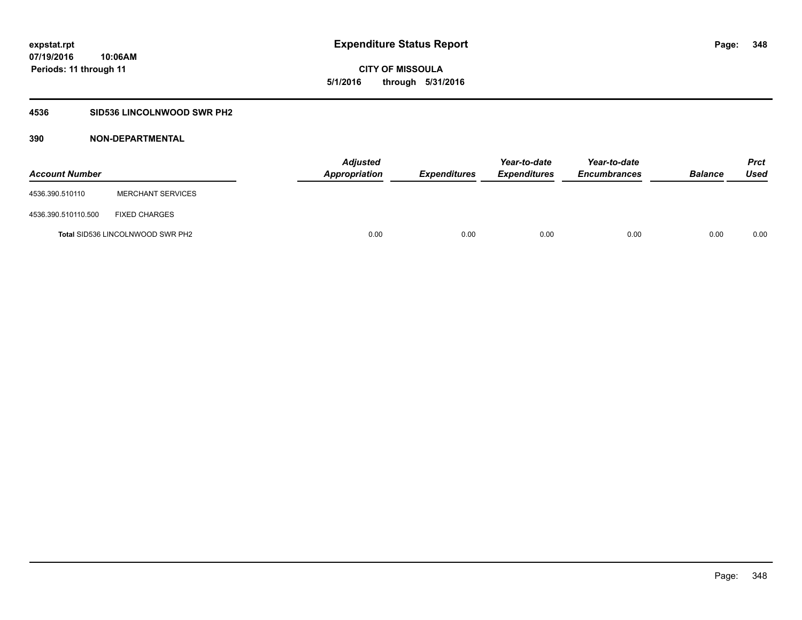# **CITY OF MISSOULA 5/1/2016 through 5/31/2016**

## **4536 SID536 LINCOLNWOOD SWR PH2**

| <b>Account Number</b> |                                         | <b>Adjusted</b><br>Appropriation | Expenditures | Year-to-date<br><b>Expenditures</b> | Year-to-date<br><b>Encumbrances</b> | <b>Balance</b> | <b>Prct</b><br>Used |
|-----------------------|-----------------------------------------|----------------------------------|--------------|-------------------------------------|-------------------------------------|----------------|---------------------|
| 4536.390.510110       | <b>MERCHANT SERVICES</b>                |                                  |              |                                     |                                     |                |                     |
| 4536.390.510110.500   | <b>FIXED CHARGES</b>                    |                                  |              |                                     |                                     |                |                     |
|                       | <b>Total SID536 LINCOLNWOOD SWR PH2</b> | 0.00                             | 0.00         | 0.00                                | 0.00                                | 0.00           | 0.00                |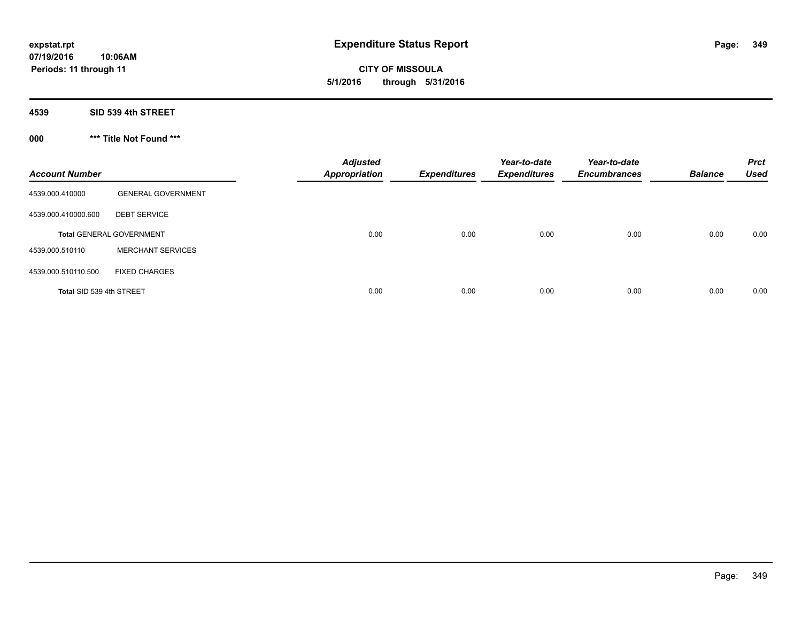**CITY OF MISSOULA 5/1/2016 through 5/31/2016**

**4539 SID 539 4th STREET**

**000 \*\*\* Title Not Found \*\*\***

| <b>Account Number</b>    |                                 | <b>Adjusted</b><br><b>Appropriation</b> | <b>Expenditures</b> | Year-to-date<br><b>Expenditures</b> | Year-to-date<br><b>Encumbrances</b> | <b>Balance</b> | <b>Prct</b><br><b>Used</b> |
|--------------------------|---------------------------------|-----------------------------------------|---------------------|-------------------------------------|-------------------------------------|----------------|----------------------------|
| 4539.000.410000          | <b>GENERAL GOVERNMENT</b>       |                                         |                     |                                     |                                     |                |                            |
| 4539.000.410000.600      | <b>DEBT SERVICE</b>             |                                         |                     |                                     |                                     |                |                            |
|                          | <b>Total GENERAL GOVERNMENT</b> | 0.00                                    | 0.00                | 0.00                                | 0.00                                | 0.00           | 0.00                       |
| 4539.000.510110          | <b>MERCHANT SERVICES</b>        |                                         |                     |                                     |                                     |                |                            |
| 4539.000.510110.500      | <b>FIXED CHARGES</b>            |                                         |                     |                                     |                                     |                |                            |
| Total SID 539 4th STREET |                                 | 0.00                                    | 0.00                | 0.00                                | 0.00                                | 0.00           | 0.00                       |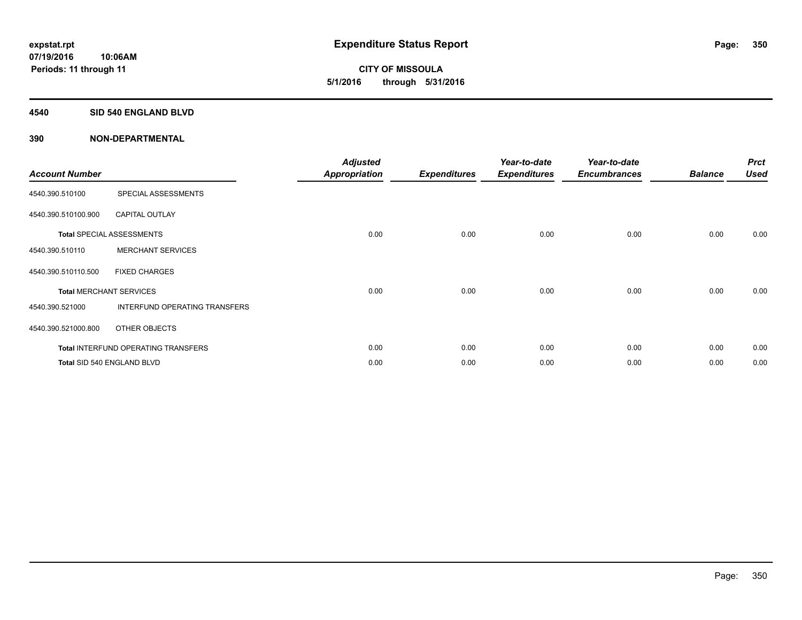**CITY OF MISSOULA 5/1/2016 through 5/31/2016**

#### **4540 SID 540 ENGLAND BLVD**

| <b>Account Number</b> |                                            | <b>Adjusted</b><br><b>Appropriation</b> | <b>Expenditures</b> | Year-to-date<br><b>Expenditures</b> | Year-to-date<br><b>Encumbrances</b> | <b>Balance</b> | <b>Prct</b><br><b>Used</b> |
|-----------------------|--------------------------------------------|-----------------------------------------|---------------------|-------------------------------------|-------------------------------------|----------------|----------------------------|
| 4540.390.510100       | SPECIAL ASSESSMENTS                        |                                         |                     |                                     |                                     |                |                            |
| 4540.390.510100.900   | <b>CAPITAL OUTLAY</b>                      |                                         |                     |                                     |                                     |                |                            |
|                       | <b>Total SPECIAL ASSESSMENTS</b>           | 0.00                                    | 0.00                | 0.00                                | 0.00                                | 0.00           | 0.00                       |
| 4540.390.510110       | <b>MERCHANT SERVICES</b>                   |                                         |                     |                                     |                                     |                |                            |
| 4540.390.510110.500   | <b>FIXED CHARGES</b>                       |                                         |                     |                                     |                                     |                |                            |
|                       | <b>Total MERCHANT SERVICES</b>             | 0.00                                    | 0.00                | 0.00                                | 0.00                                | 0.00           | 0.00                       |
| 4540.390.521000       | INTERFUND OPERATING TRANSFERS              |                                         |                     |                                     |                                     |                |                            |
| 4540.390.521000.800   | OTHER OBJECTS                              |                                         |                     |                                     |                                     |                |                            |
|                       | <b>Total INTERFUND OPERATING TRANSFERS</b> | 0.00                                    | 0.00                | 0.00                                | 0.00                                | 0.00           | 0.00                       |
|                       | Total SID 540 ENGLAND BLVD                 | 0.00                                    | 0.00                | 0.00                                | 0.00                                | 0.00           | 0.00                       |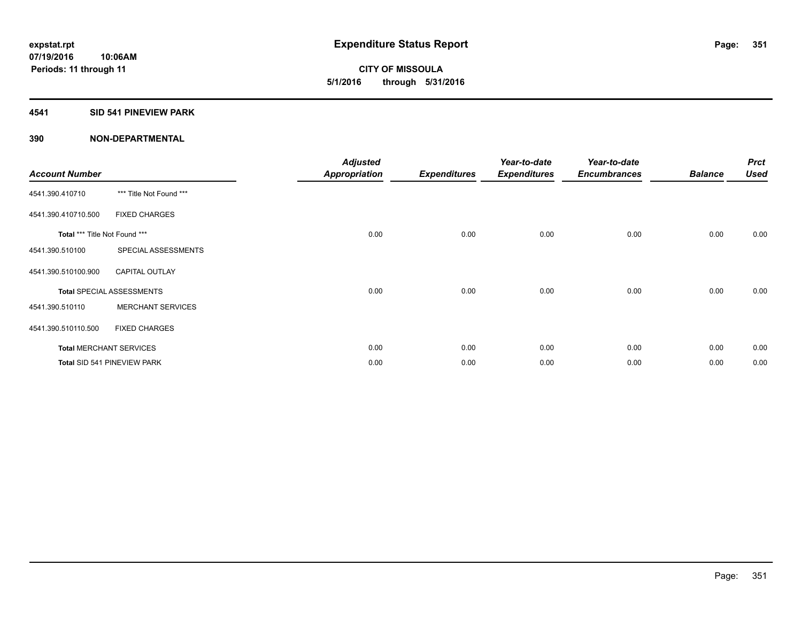**07/19/2016 10:06AM Periods: 11 through 11**

### **4541 SID 541 PINEVIEW PARK**

| <b>Account Number</b>         |                                  | <b>Adjusted</b><br><b>Appropriation</b> | <b>Expenditures</b> | Year-to-date<br><b>Expenditures</b> | Year-to-date<br><b>Encumbrances</b> | <b>Balance</b> | <b>Prct</b><br><b>Used</b> |
|-------------------------------|----------------------------------|-----------------------------------------|---------------------|-------------------------------------|-------------------------------------|----------------|----------------------------|
| 4541.390.410710               | *** Title Not Found ***          |                                         |                     |                                     |                                     |                |                            |
| 4541.390.410710.500           | <b>FIXED CHARGES</b>             |                                         |                     |                                     |                                     |                |                            |
| Total *** Title Not Found *** |                                  | 0.00                                    | 0.00                | 0.00                                | 0.00                                | 0.00           | 0.00                       |
| 4541.390.510100               | SPECIAL ASSESSMENTS              |                                         |                     |                                     |                                     |                |                            |
| 4541.390.510100.900           | <b>CAPITAL OUTLAY</b>            |                                         |                     |                                     |                                     |                |                            |
|                               | <b>Total SPECIAL ASSESSMENTS</b> | 0.00                                    | 0.00                | 0.00                                | 0.00                                | 0.00           | 0.00                       |
| 4541.390.510110               | <b>MERCHANT SERVICES</b>         |                                         |                     |                                     |                                     |                |                            |
| 4541.390.510110.500           | <b>FIXED CHARGES</b>             |                                         |                     |                                     |                                     |                |                            |
|                               | <b>Total MERCHANT SERVICES</b>   | 0.00                                    | 0.00                | 0.00                                | 0.00                                | 0.00           | 0.00                       |
|                               | Total SID 541 PINEVIEW PARK      | 0.00                                    | 0.00                | 0.00                                | 0.00                                | 0.00           | 0.00                       |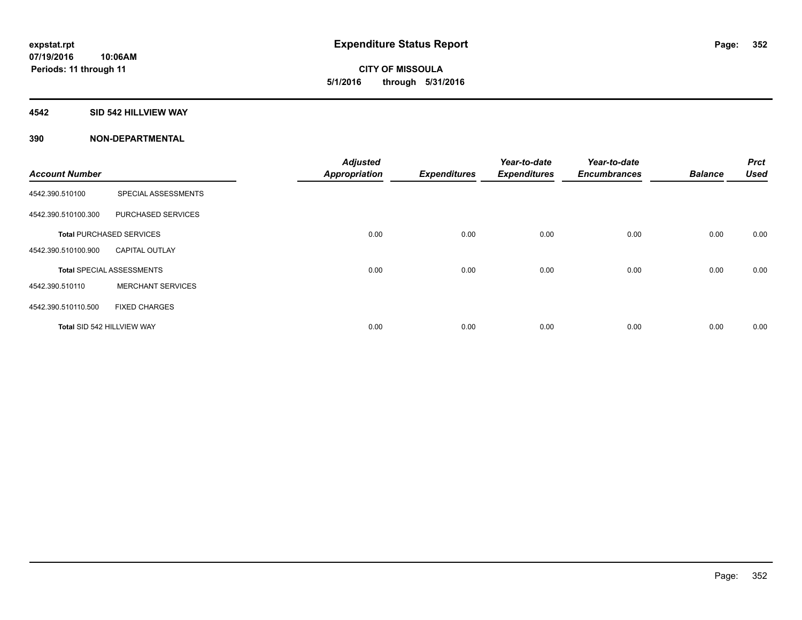**CITY OF MISSOULA 5/1/2016 through 5/31/2016**

#### **4542 SID 542 HILLVIEW WAY**

|                            |                                  | <b>Adjusted</b>      |                     | Year-to-date        | Year-to-date        |                | <b>Prct</b> |
|----------------------------|----------------------------------|----------------------|---------------------|---------------------|---------------------|----------------|-------------|
| <b>Account Number</b>      |                                  | <b>Appropriation</b> | <b>Expenditures</b> | <b>Expenditures</b> | <b>Encumbrances</b> | <b>Balance</b> | <b>Used</b> |
| 4542.390.510100            | SPECIAL ASSESSMENTS              |                      |                     |                     |                     |                |             |
| 4542.390.510100.300        | PURCHASED SERVICES               |                      |                     |                     |                     |                |             |
|                            | <b>Total PURCHASED SERVICES</b>  | 0.00                 | 0.00                | 0.00                | 0.00                | 0.00           | 0.00        |
| 4542.390.510100.900        | <b>CAPITAL OUTLAY</b>            |                      |                     |                     |                     |                |             |
|                            | <b>Total SPECIAL ASSESSMENTS</b> | 0.00                 | 0.00                | 0.00                | 0.00                | 0.00           | 0.00        |
| 4542.390.510110            | <b>MERCHANT SERVICES</b>         |                      |                     |                     |                     |                |             |
| 4542.390.510110.500        | <b>FIXED CHARGES</b>             |                      |                     |                     |                     |                |             |
| Total SID 542 HILLVIEW WAY |                                  | 0.00                 | 0.00                | 0.00                | 0.00                | 0.00           | 0.00        |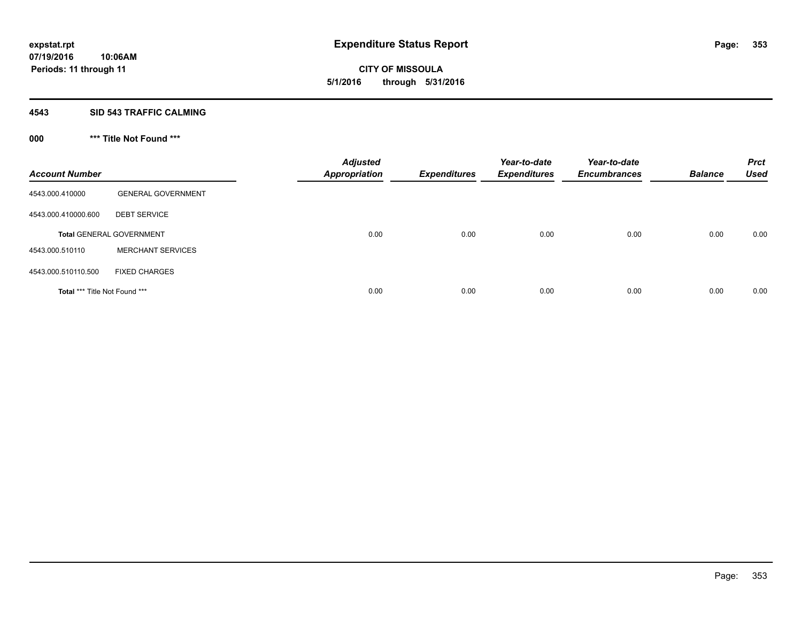**CITY OF MISSOULA 5/1/2016 through 5/31/2016**

#### **4543 SID 543 TRAFFIC CALMING**

## **000 \*\*\* Title Not Found \*\*\***

| <b>Account Number</b>         |                                 | <b>Adjusted</b><br><b>Appropriation</b> | <b>Expenditures</b> | Year-to-date<br><b>Expenditures</b> | Year-to-date<br><b>Encumbrances</b> | <b>Balance</b> | <b>Prct</b><br><b>Used</b> |
|-------------------------------|---------------------------------|-----------------------------------------|---------------------|-------------------------------------|-------------------------------------|----------------|----------------------------|
| 4543.000.410000               | <b>GENERAL GOVERNMENT</b>       |                                         |                     |                                     |                                     |                |                            |
| 4543.000.410000.600           | <b>DEBT SERVICE</b>             |                                         |                     |                                     |                                     |                |                            |
|                               | <b>Total GENERAL GOVERNMENT</b> | 0.00                                    | 0.00                | 0.00                                | 0.00                                | 0.00           | 0.00                       |
| 4543.000.510110               | <b>MERCHANT SERVICES</b>        |                                         |                     |                                     |                                     |                |                            |
| 4543.000.510110.500           | <b>FIXED CHARGES</b>            |                                         |                     |                                     |                                     |                |                            |
| Total *** Title Not Found *** |                                 | 0.00                                    | 0.00                | 0.00                                | 0.00                                | 0.00           | 0.00                       |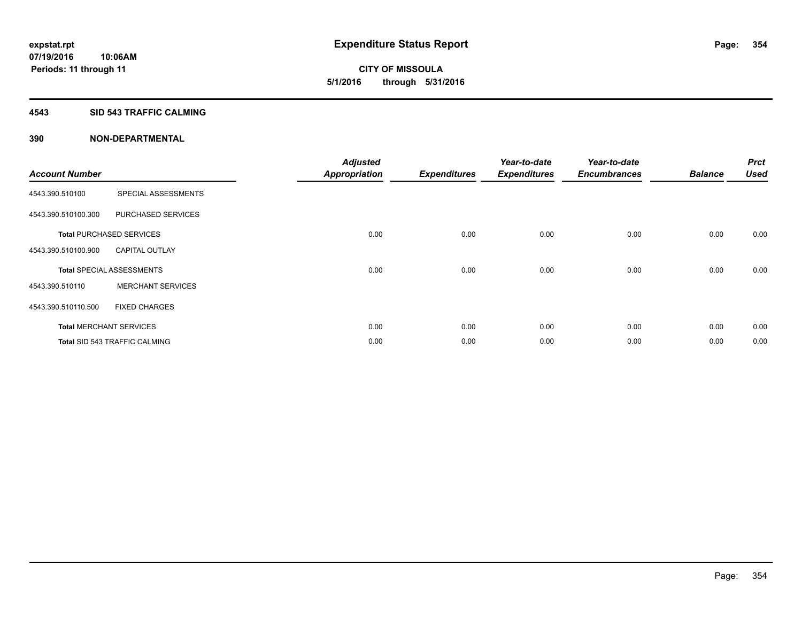**Periods: 11 through 11**

**CITY OF MISSOULA 5/1/2016 through 5/31/2016**

#### **4543 SID 543 TRAFFIC CALMING**

**10:06AM**

| <b>Account Number</b> |                                      | <b>Adjusted</b><br><b>Appropriation</b> | <b>Expenditures</b> | Year-to-date<br><b>Expenditures</b> | Year-to-date<br><b>Encumbrances</b> | <b>Balance</b> | <b>Prct</b><br><b>Used</b> |
|-----------------------|--------------------------------------|-----------------------------------------|---------------------|-------------------------------------|-------------------------------------|----------------|----------------------------|
| 4543.390.510100       | SPECIAL ASSESSMENTS                  |                                         |                     |                                     |                                     |                |                            |
| 4543.390.510100.300   | PURCHASED SERVICES                   |                                         |                     |                                     |                                     |                |                            |
|                       | <b>Total PURCHASED SERVICES</b>      | 0.00                                    | 0.00                | 0.00                                | 0.00                                | 0.00           | 0.00                       |
| 4543.390.510100.900   | <b>CAPITAL OUTLAY</b>                |                                         |                     |                                     |                                     |                |                            |
|                       | <b>Total SPECIAL ASSESSMENTS</b>     | 0.00                                    | 0.00                | 0.00                                | 0.00                                | 0.00           | 0.00                       |
| 4543.390.510110       | <b>MERCHANT SERVICES</b>             |                                         |                     |                                     |                                     |                |                            |
| 4543.390.510110.500   | <b>FIXED CHARGES</b>                 |                                         |                     |                                     |                                     |                |                            |
|                       | <b>Total MERCHANT SERVICES</b>       | 0.00                                    | 0.00                | 0.00                                | 0.00                                | 0.00           | 0.00                       |
|                       | <b>Total SID 543 TRAFFIC CALMING</b> | 0.00                                    | 0.00                | 0.00                                | 0.00                                | 0.00           | 0.00                       |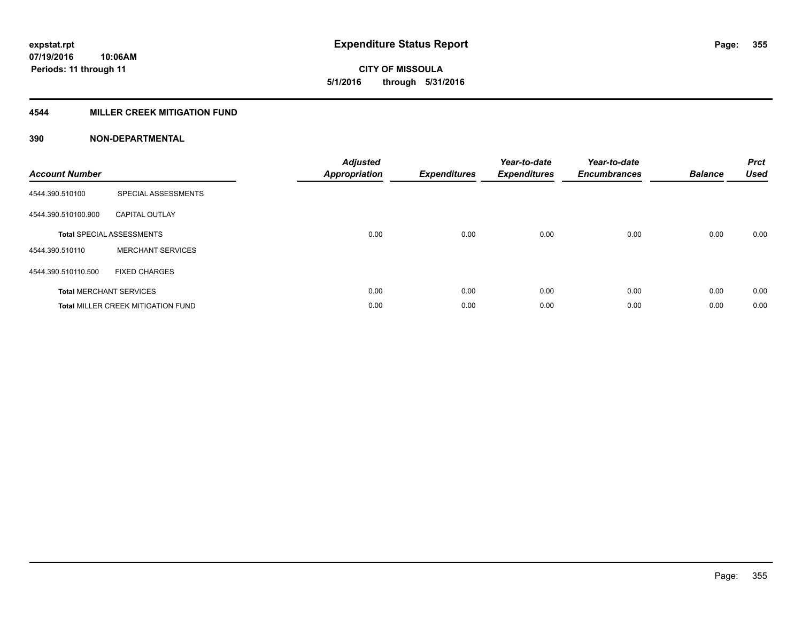**07/19/2016 10:06AM Periods: 11 through 11**

**CITY OF MISSOULA 5/1/2016 through 5/31/2016**

### **4544 MILLER CREEK MITIGATION FUND**

| <b>Account Number</b> |                                           | <b>Adjusted</b><br><b>Appropriation</b> | <b>Expenditures</b> | Year-to-date<br><b>Expenditures</b> | Year-to-date<br><b>Encumbrances</b> | <b>Balance</b> | <b>Prct</b><br><b>Used</b> |
|-----------------------|-------------------------------------------|-----------------------------------------|---------------------|-------------------------------------|-------------------------------------|----------------|----------------------------|
| 4544.390.510100       | SPECIAL ASSESSMENTS                       |                                         |                     |                                     |                                     |                |                            |
| 4544.390.510100.900   | <b>CAPITAL OUTLAY</b>                     |                                         |                     |                                     |                                     |                |                            |
|                       | <b>Total SPECIAL ASSESSMENTS</b>          | 0.00                                    | 0.00                | 0.00                                | 0.00                                | 0.00           | 0.00                       |
| 4544.390.510110       | <b>MERCHANT SERVICES</b>                  |                                         |                     |                                     |                                     |                |                            |
| 4544.390.510110.500   | <b>FIXED CHARGES</b>                      |                                         |                     |                                     |                                     |                |                            |
|                       | <b>Total MERCHANT SERVICES</b>            | 0.00                                    | 0.00                | 0.00                                | 0.00                                | 0.00           | 0.00                       |
|                       | <b>Total MILLER CREEK MITIGATION FUND</b> | 0.00                                    | 0.00                | 0.00                                | 0.00                                | 0.00           | 0.00                       |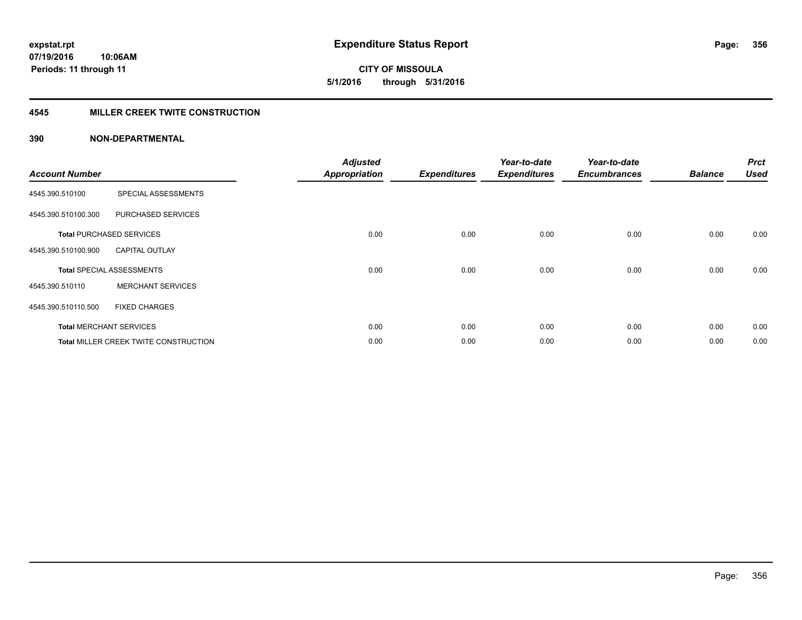# **CITY OF MISSOULA 5/1/2016 through 5/31/2016**

#### **4545 MILLER CREEK TWITE CONSTRUCTION**

| <b>Account Number</b> |                                       | <b>Adjusted</b><br><b>Appropriation</b> | <b>Expenditures</b> | Year-to-date<br><b>Expenditures</b> | Year-to-date<br><b>Encumbrances</b> | <b>Balance</b> | <b>Prct</b><br><b>Used</b> |
|-----------------------|---------------------------------------|-----------------------------------------|---------------------|-------------------------------------|-------------------------------------|----------------|----------------------------|
| 4545.390.510100       | SPECIAL ASSESSMENTS                   |                                         |                     |                                     |                                     |                |                            |
| 4545.390.510100.300   | PURCHASED SERVICES                    |                                         |                     |                                     |                                     |                |                            |
|                       | <b>Total PURCHASED SERVICES</b>       | 0.00                                    | 0.00                | 0.00                                | 0.00                                | 0.00           | 0.00                       |
| 4545.390.510100.900   | <b>CAPITAL OUTLAY</b>                 |                                         |                     |                                     |                                     |                |                            |
|                       | <b>Total SPECIAL ASSESSMENTS</b>      | 0.00                                    | 0.00                | 0.00                                | 0.00                                | 0.00           | 0.00                       |
| 4545.390.510110       | <b>MERCHANT SERVICES</b>              |                                         |                     |                                     |                                     |                |                            |
| 4545.390.510110.500   | <b>FIXED CHARGES</b>                  |                                         |                     |                                     |                                     |                |                            |
|                       | <b>Total MERCHANT SERVICES</b>        | 0.00                                    | 0.00                | 0.00                                | 0.00                                | 0.00           | 0.00                       |
|                       | Total MILLER CREEK TWITE CONSTRUCTION | 0.00                                    | 0.00                | 0.00                                | 0.00                                | 0.00           | 0.00                       |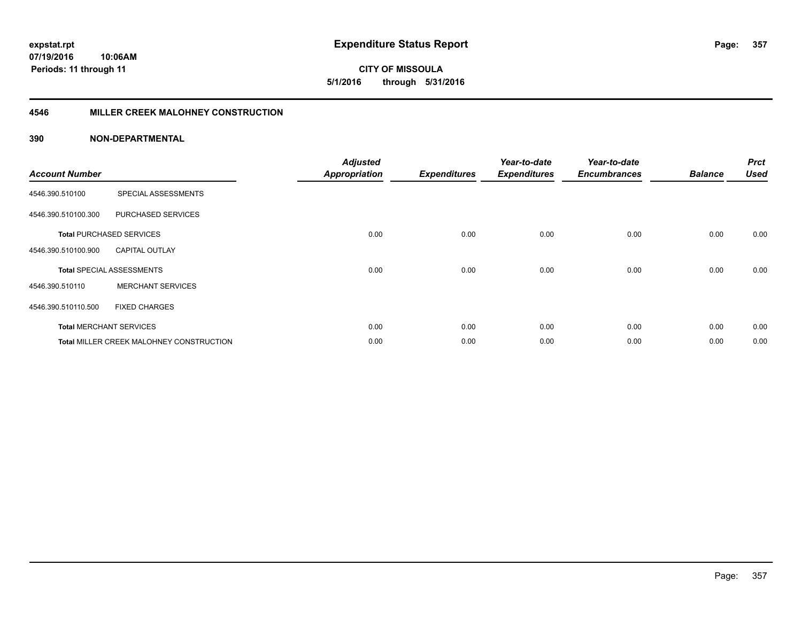**CITY OF MISSOULA 5/1/2016 through 5/31/2016**

#### **4546 MILLER CREEK MALOHNEY CONSTRUCTION**

| <b>Account Number</b> |                                          | <b>Adjusted</b><br><b>Appropriation</b> | <b>Expenditures</b> | Year-to-date<br><b>Expenditures</b> | Year-to-date<br><b>Encumbrances</b> | <b>Balance</b> | <b>Prct</b><br><b>Used</b> |
|-----------------------|------------------------------------------|-----------------------------------------|---------------------|-------------------------------------|-------------------------------------|----------------|----------------------------|
| 4546.390.510100       | SPECIAL ASSESSMENTS                      |                                         |                     |                                     |                                     |                |                            |
| 4546.390.510100.300   | PURCHASED SERVICES                       |                                         |                     |                                     |                                     |                |                            |
|                       | <b>Total PURCHASED SERVICES</b>          | 0.00                                    | 0.00                | 0.00                                | 0.00                                | 0.00           | 0.00                       |
| 4546.390.510100.900   | <b>CAPITAL OUTLAY</b>                    |                                         |                     |                                     |                                     |                |                            |
|                       | <b>Total SPECIAL ASSESSMENTS</b>         | 0.00                                    | 0.00                | 0.00                                | 0.00                                | 0.00           | 0.00                       |
| 4546.390.510110       | <b>MERCHANT SERVICES</b>                 |                                         |                     |                                     |                                     |                |                            |
| 4546.390.510110.500   | <b>FIXED CHARGES</b>                     |                                         |                     |                                     |                                     |                |                            |
|                       | <b>Total MERCHANT SERVICES</b>           | 0.00                                    | 0.00                | 0.00                                | 0.00                                | 0.00           | 0.00                       |
|                       | Total MILLER CREEK MALOHNEY CONSTRUCTION | 0.00                                    | 0.00                | 0.00                                | 0.00                                | 0.00           | 0.00                       |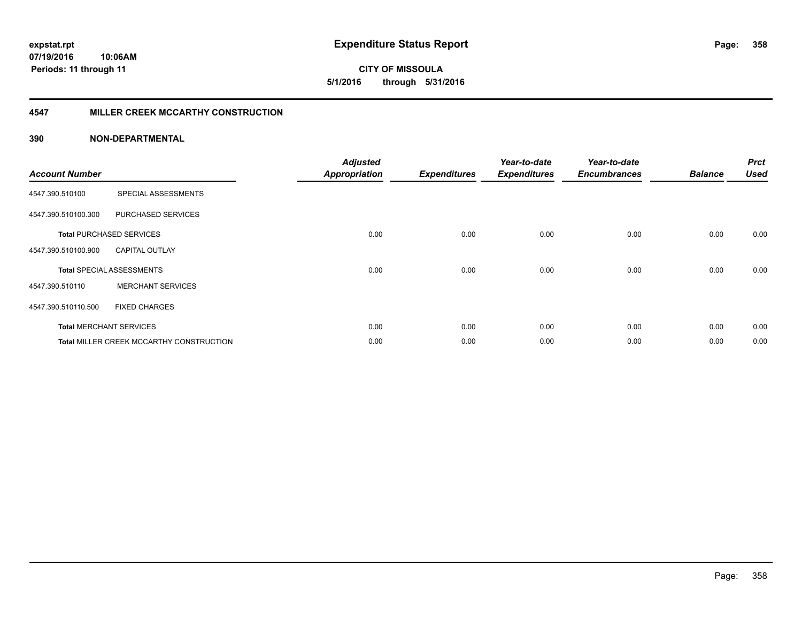**07/19/2016 10:06AM Periods: 11 through 11**

**CITY OF MISSOULA 5/1/2016 through 5/31/2016**

#### **4547 MILLER CREEK MCCARTHY CONSTRUCTION**

| <b>Account Number</b> |                                                 | <b>Adjusted</b><br><b>Appropriation</b> | <b>Expenditures</b> | Year-to-date<br><b>Expenditures</b> | Year-to-date<br><b>Encumbrances</b> | <b>Balance</b> | <b>Prct</b><br><b>Used</b> |
|-----------------------|-------------------------------------------------|-----------------------------------------|---------------------|-------------------------------------|-------------------------------------|----------------|----------------------------|
| 4547.390.510100       | SPECIAL ASSESSMENTS                             |                                         |                     |                                     |                                     |                |                            |
| 4547.390.510100.300   | PURCHASED SERVICES                              |                                         |                     |                                     |                                     |                |                            |
|                       | <b>Total PURCHASED SERVICES</b>                 | 0.00                                    | 0.00                | 0.00                                | 0.00                                | 0.00           | 0.00                       |
| 4547.390.510100.900   | <b>CAPITAL OUTLAY</b>                           |                                         |                     |                                     |                                     |                |                            |
|                       | <b>Total SPECIAL ASSESSMENTS</b>                | 0.00                                    | 0.00                | 0.00                                | 0.00                                | 0.00           | 0.00                       |
| 4547.390.510110       | <b>MERCHANT SERVICES</b>                        |                                         |                     |                                     |                                     |                |                            |
| 4547.390.510110.500   | <b>FIXED CHARGES</b>                            |                                         |                     |                                     |                                     |                |                            |
|                       | <b>Total MERCHANT SERVICES</b>                  | 0.00                                    | 0.00                | 0.00                                | 0.00                                | 0.00           | 0.00                       |
|                       | <b>Total MILLER CREEK MCCARTHY CONSTRUCTION</b> | 0.00                                    | 0.00                | 0.00                                | 0.00                                | 0.00           | 0.00                       |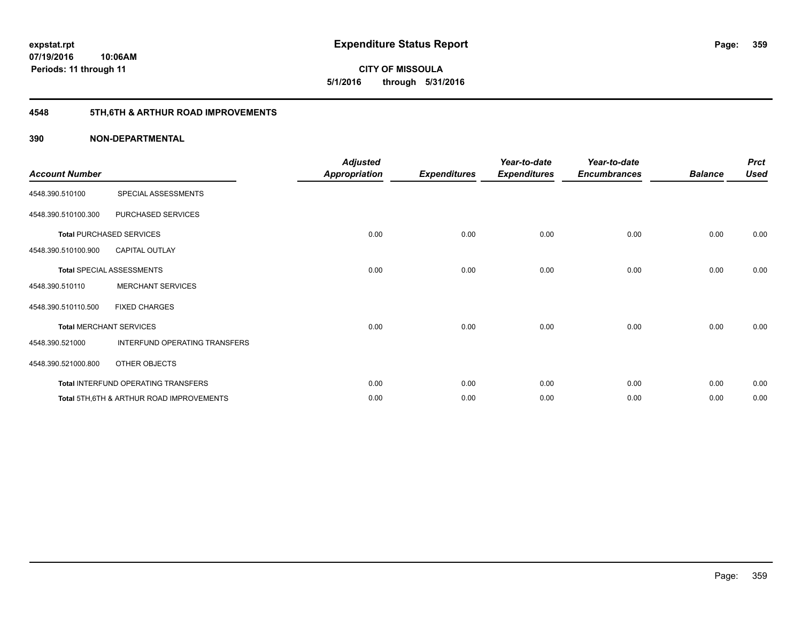**07/19/2016 10:06AM Periods: 11 through 11**

**CITY OF MISSOULA 5/1/2016 through 5/31/2016**

## **4548 5TH,6TH & ARTHUR ROAD IMPROVEMENTS**

| <b>Account Number</b> |                                          | <b>Adjusted</b><br><b>Appropriation</b> | <b>Expenditures</b> | Year-to-date<br><b>Expenditures</b> | Year-to-date<br><b>Encumbrances</b> | <b>Balance</b> | <b>Prct</b><br><b>Used</b> |
|-----------------------|------------------------------------------|-----------------------------------------|---------------------|-------------------------------------|-------------------------------------|----------------|----------------------------|
| 4548.390.510100       | SPECIAL ASSESSMENTS                      |                                         |                     |                                     |                                     |                |                            |
| 4548.390.510100.300   | PURCHASED SERVICES                       |                                         |                     |                                     |                                     |                |                            |
|                       | <b>Total PURCHASED SERVICES</b>          | 0.00                                    | 0.00                | 0.00                                | 0.00                                | 0.00           | 0.00                       |
| 4548.390.510100.900   | <b>CAPITAL OUTLAY</b>                    |                                         |                     |                                     |                                     |                |                            |
|                       | Total SPECIAL ASSESSMENTS                | 0.00                                    | 0.00                | 0.00                                | 0.00                                | 0.00           | 0.00                       |
| 4548.390.510110       | <b>MERCHANT SERVICES</b>                 |                                         |                     |                                     |                                     |                |                            |
| 4548.390.510110.500   | <b>FIXED CHARGES</b>                     |                                         |                     |                                     |                                     |                |                            |
|                       | <b>Total MERCHANT SERVICES</b>           | 0.00                                    | 0.00                | 0.00                                | 0.00                                | 0.00           | 0.00                       |
| 4548.390.521000       | INTERFUND OPERATING TRANSFERS            |                                         |                     |                                     |                                     |                |                            |
| 4548.390.521000.800   | OTHER OBJECTS                            |                                         |                     |                                     |                                     |                |                            |
|                       | Total INTERFUND OPERATING TRANSFERS      | 0.00                                    | 0.00                | 0.00                                | 0.00                                | 0.00           | 0.00                       |
|                       | Total 5TH.6TH & ARTHUR ROAD IMPROVEMENTS | 0.00                                    | 0.00                | 0.00                                | 0.00                                | 0.00           | 0.00                       |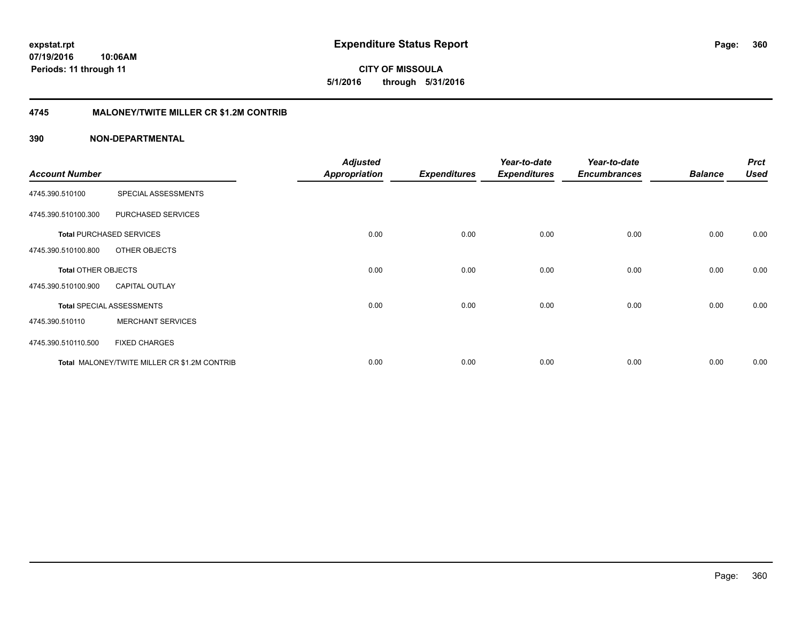**CITY OF MISSOULA 5/1/2016 through 5/31/2016**

#### **4745 MALONEY/TWITE MILLER CR \$1.2M CONTRIB**

|                            |                                              | <b>Adjusted</b>      |                     | Year-to-date        | Year-to-date        |                | <b>Prct</b> |
|----------------------------|----------------------------------------------|----------------------|---------------------|---------------------|---------------------|----------------|-------------|
| <b>Account Number</b>      |                                              | <b>Appropriation</b> | <b>Expenditures</b> | <b>Expenditures</b> | <b>Encumbrances</b> | <b>Balance</b> | <b>Used</b> |
| 4745.390.510100            | SPECIAL ASSESSMENTS                          |                      |                     |                     |                     |                |             |
| 4745.390.510100.300        | PURCHASED SERVICES                           |                      |                     |                     |                     |                |             |
|                            | <b>Total PURCHASED SERVICES</b>              | 0.00                 | 0.00                | 0.00                | 0.00                | 0.00           | 0.00        |
| 4745.390.510100.800        | OTHER OBJECTS                                |                      |                     |                     |                     |                |             |
| <b>Total OTHER OBJECTS</b> |                                              | 0.00                 | 0.00                | 0.00                | 0.00                | 0.00           | 0.00        |
| 4745.390.510100.900        | <b>CAPITAL OUTLAY</b>                        |                      |                     |                     |                     |                |             |
|                            | <b>Total SPECIAL ASSESSMENTS</b>             | 0.00                 | 0.00                | 0.00                | 0.00                | 0.00           | 0.00        |
| 4745.390.510110            | <b>MERCHANT SERVICES</b>                     |                      |                     |                     |                     |                |             |
| 4745.390.510110.500        | <b>FIXED CHARGES</b>                         |                      |                     |                     |                     |                |             |
|                            | Total MALONEY/TWITE MILLER CR \$1.2M CONTRIB | 0.00                 | 0.00                | 0.00                | 0.00                | 0.00           | 0.00        |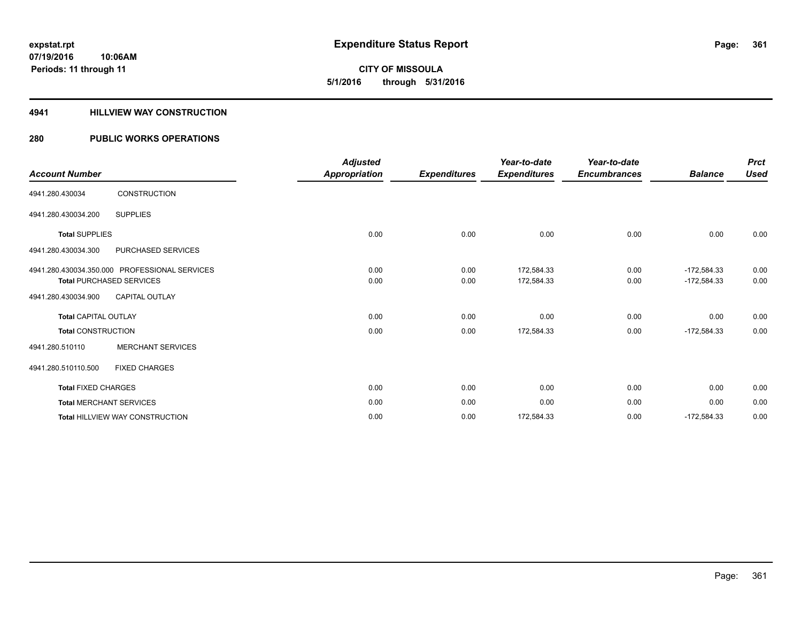**CITY OF MISSOULA 5/1/2016 through 5/31/2016**

#### **4941 HILLVIEW WAY CONSTRUCTION**

### **280 PUBLIC WORKS OPERATIONS**

|                                               |                          | <b>Adjusted</b> |                     | Year-to-date        | Year-to-date        |                | <b>Prct</b> |
|-----------------------------------------------|--------------------------|-----------------|---------------------|---------------------|---------------------|----------------|-------------|
| <b>Account Number</b>                         |                          | Appropriation   | <b>Expenditures</b> | <b>Expenditures</b> | <b>Encumbrances</b> | <b>Balance</b> | <b>Used</b> |
| 4941.280.430034                               | <b>CONSTRUCTION</b>      |                 |                     |                     |                     |                |             |
| 4941.280.430034.200                           | <b>SUPPLIES</b>          |                 |                     |                     |                     |                |             |
| <b>Total SUPPLIES</b>                         |                          | 0.00            | 0.00                | 0.00                | 0.00                | 0.00           | 0.00        |
| 4941.280.430034.300                           | PURCHASED SERVICES       |                 |                     |                     |                     |                |             |
| 4941.280.430034.350.000 PROFESSIONAL SERVICES |                          | 0.00            | 0.00                | 172,584.33          | 0.00                | $-172,584.33$  | 0.00        |
| <b>Total PURCHASED SERVICES</b>               |                          | 0.00            | 0.00                | 172,584.33          | 0.00                | $-172,584.33$  | 0.00        |
| 4941.280.430034.900                           | <b>CAPITAL OUTLAY</b>    |                 |                     |                     |                     |                |             |
| <b>Total CAPITAL OUTLAY</b>                   |                          | 0.00            | 0.00                | 0.00                | 0.00                | 0.00           | 0.00        |
| <b>Total CONSTRUCTION</b>                     |                          | 0.00            | 0.00                | 172,584.33          | 0.00                | $-172,584.33$  | 0.00        |
| 4941.280.510110                               | <b>MERCHANT SERVICES</b> |                 |                     |                     |                     |                |             |
| 4941.280.510110.500                           | <b>FIXED CHARGES</b>     |                 |                     |                     |                     |                |             |
| <b>Total FIXED CHARGES</b>                    |                          | 0.00            | 0.00                | 0.00                | 0.00                | 0.00           | 0.00        |
| <b>Total MERCHANT SERVICES</b>                |                          | 0.00            | 0.00                | 0.00                | 0.00                | 0.00           | 0.00        |
| Total HILLVIEW WAY CONSTRUCTION               |                          | 0.00            | 0.00                | 172,584.33          | 0.00                | $-172,584.33$  | 0.00        |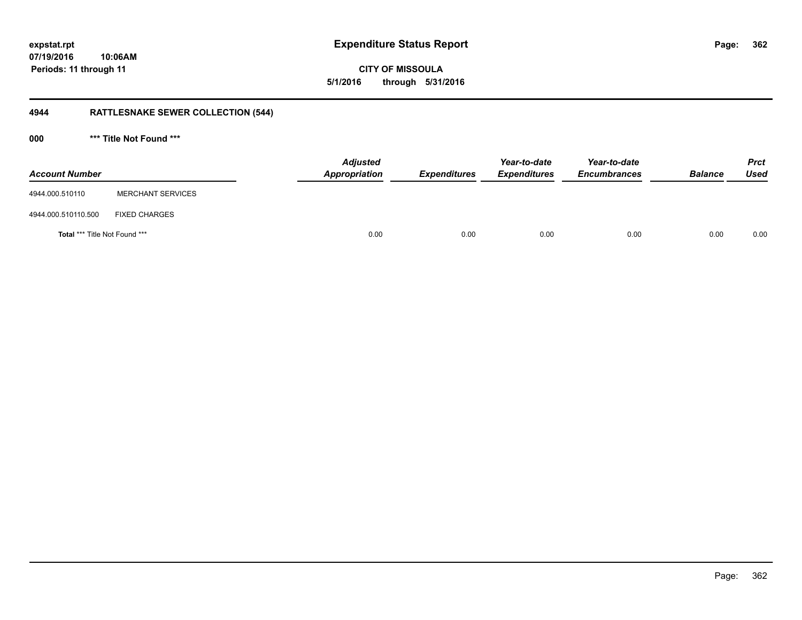**CITY OF MISSOULA 5/1/2016 through 5/31/2016**

## **4944 RATTLESNAKE SEWER COLLECTION (544)**

**000 \*\*\* Title Not Found \*\*\***

| <b>Account Number</b>                |                          | <b>Adjusted</b><br>Appropriation | <b>Expenditures</b> | Year-to-date<br><b>Expenditures</b> | Year-to-date<br><b>Encumbrances</b> | <b>Balance</b> | <b>Prct</b><br><b>Used</b> |
|--------------------------------------|--------------------------|----------------------------------|---------------------|-------------------------------------|-------------------------------------|----------------|----------------------------|
| 4944.000.510110                      | <b>MERCHANT SERVICES</b> |                                  |                     |                                     |                                     |                |                            |
| 4944.000.510110.500                  | <b>FIXED CHARGES</b>     |                                  |                     |                                     |                                     |                |                            |
| <b>Total *** Title Not Found ***</b> |                          | 0.00                             | 0.00                | 0.00                                | 0.00                                | 0.00           | 0.00                       |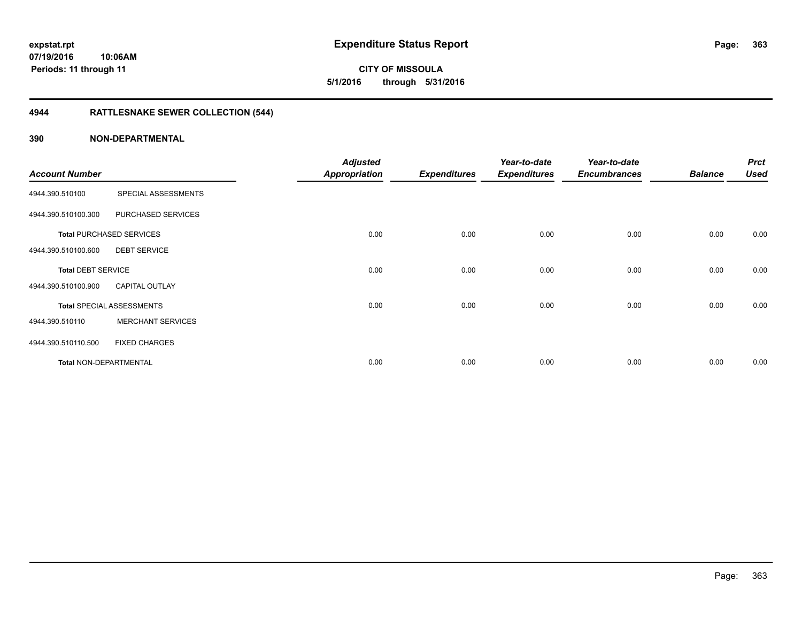# **CITY OF MISSOULA 5/1/2016 through 5/31/2016**

## **4944 RATTLESNAKE SEWER COLLECTION (544)**

|                               |                                  | <b>Adjusted</b>      |                     | Year-to-date        | Year-to-date        |                | <b>Prct</b> |
|-------------------------------|----------------------------------|----------------------|---------------------|---------------------|---------------------|----------------|-------------|
| <b>Account Number</b>         |                                  | <b>Appropriation</b> | <b>Expenditures</b> | <b>Expenditures</b> | <b>Encumbrances</b> | <b>Balance</b> | <b>Used</b> |
| 4944.390.510100               | SPECIAL ASSESSMENTS              |                      |                     |                     |                     |                |             |
| 4944.390.510100.300           | PURCHASED SERVICES               |                      |                     |                     |                     |                |             |
|                               | <b>Total PURCHASED SERVICES</b>  | 0.00                 | 0.00                | 0.00                | 0.00                | 0.00           | 0.00        |
| 4944.390.510100.600           | <b>DEBT SERVICE</b>              |                      |                     |                     |                     |                |             |
| <b>Total DEBT SERVICE</b>     |                                  | 0.00                 | 0.00                | 0.00                | 0.00                | 0.00           | 0.00        |
| 4944.390.510100.900           | <b>CAPITAL OUTLAY</b>            |                      |                     |                     |                     |                |             |
|                               | <b>Total SPECIAL ASSESSMENTS</b> | 0.00                 | 0.00                | 0.00                | 0.00                | 0.00           | 0.00        |
| 4944.390.510110               | <b>MERCHANT SERVICES</b>         |                      |                     |                     |                     |                |             |
| 4944.390.510110.500           | <b>FIXED CHARGES</b>             |                      |                     |                     |                     |                |             |
| <b>Total NON-DEPARTMENTAL</b> |                                  | 0.00                 | 0.00                | 0.00                | 0.00                | 0.00           | 0.00        |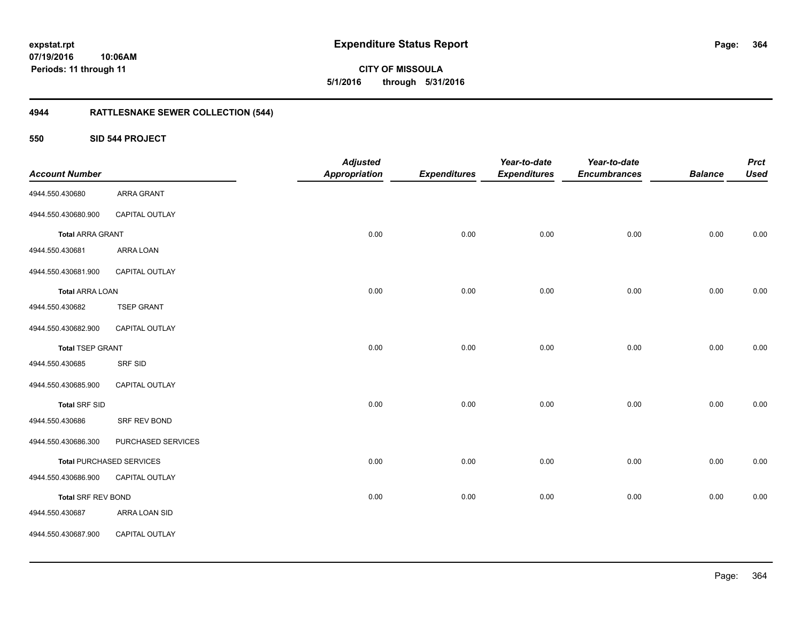**364**

**CITY OF MISSOULA 5/1/2016 through 5/31/2016**

## **4944 RATTLESNAKE SEWER COLLECTION (544)**

**550 SID 544 PROJECT**

|                         |                                 | <b>Adjusted</b>      |                     | Year-to-date        | Year-to-date        |                | <b>Prct</b> |
|-------------------------|---------------------------------|----------------------|---------------------|---------------------|---------------------|----------------|-------------|
| <b>Account Number</b>   |                                 | <b>Appropriation</b> | <b>Expenditures</b> | <b>Expenditures</b> | <b>Encumbrances</b> | <b>Balance</b> | <b>Used</b> |
| 4944.550.430680         | <b>ARRA GRANT</b>               |                      |                     |                     |                     |                |             |
| 4944.550.430680.900     | CAPITAL OUTLAY                  |                      |                     |                     |                     |                |             |
| <b>Total ARRA GRANT</b> |                                 | 0.00                 | 0.00                | 0.00                | 0.00                | 0.00           | 0.00        |
| 4944.550.430681         | ARRA LOAN                       |                      |                     |                     |                     |                |             |
| 4944.550.430681.900     | CAPITAL OUTLAY                  |                      |                     |                     |                     |                |             |
| <b>Total ARRA LOAN</b>  |                                 | 0.00                 | 0.00                | 0.00                | 0.00                | 0.00           | 0.00        |
| 4944.550.430682         | <b>TSEP GRANT</b>               |                      |                     |                     |                     |                |             |
| 4944.550.430682.900     | CAPITAL OUTLAY                  |                      |                     |                     |                     |                |             |
| <b>Total TSEP GRANT</b> |                                 | 0.00                 | 0.00                | 0.00                | 0.00                | 0.00           | 0.00        |
| 4944.550.430685         | SRF SID                         |                      |                     |                     |                     |                |             |
| 4944.550.430685.900     | CAPITAL OUTLAY                  |                      |                     |                     |                     |                |             |
| <b>Total SRF SID</b>    |                                 | 0.00                 | 0.00                | 0.00                | 0.00                | 0.00           | 0.00        |
| 4944.550.430686         | SRF REV BOND                    |                      |                     |                     |                     |                |             |
| 4944.550.430686.300     | PURCHASED SERVICES              |                      |                     |                     |                     |                |             |
|                         | <b>Total PURCHASED SERVICES</b> | 0.00                 | 0.00                | 0.00                | 0.00                | 0.00           | 0.00        |
| 4944.550.430686.900     | CAPITAL OUTLAY                  |                      |                     |                     |                     |                |             |
| Total SRF REV BOND      |                                 | 0.00                 | 0.00                | 0.00                | 0.00                | 0.00           | 0.00        |
| 4944.550.430687         | ARRA LOAN SID                   |                      |                     |                     |                     |                |             |
| 4944.550.430687.900     | CAPITAL OUTLAY                  |                      |                     |                     |                     |                |             |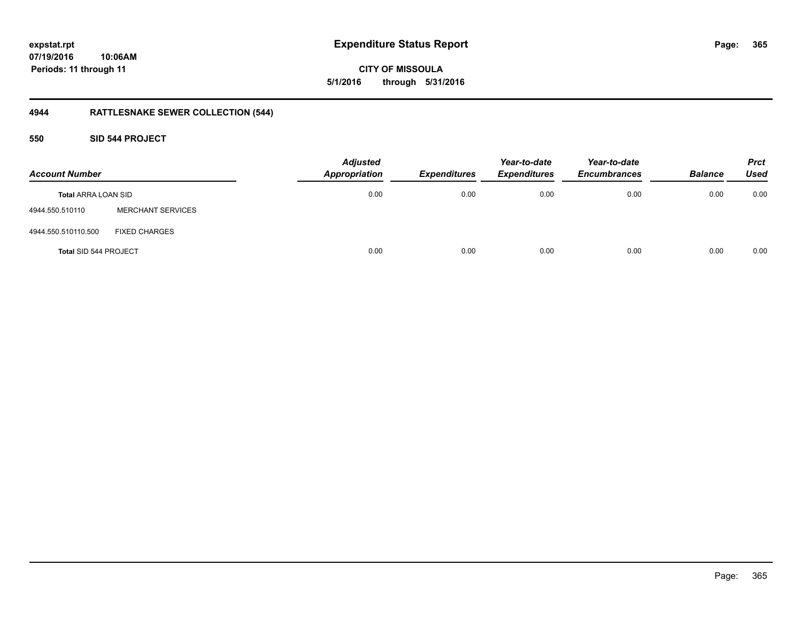**CITY OF MISSOULA 5/1/2016 through 5/31/2016**

## **4944 RATTLESNAKE SEWER COLLECTION (544)**

### **550 SID 544 PROJECT**

| <b>Account Number</b>      |                          | <b>Adjusted</b><br><b>Appropriation</b> | <b>Expenditures</b> | Year-to-date<br><b>Expenditures</b> | Year-to-date<br><b>Encumbrances</b> | <b>Balance</b> | <b>Prct</b><br><b>Used</b> |
|----------------------------|--------------------------|-----------------------------------------|---------------------|-------------------------------------|-------------------------------------|----------------|----------------------------|
| <b>Total ARRA LOAN SID</b> |                          | 0.00                                    | 0.00                | 0.00                                | 0.00                                | 0.00           | 0.00                       |
| 4944.550.510110            | <b>MERCHANT SERVICES</b> |                                         |                     |                                     |                                     |                |                            |
| 4944.550.510110.500        | <b>FIXED CHARGES</b>     |                                         |                     |                                     |                                     |                |                            |
| Total SID 544 PROJECT      |                          | 0.00                                    | 0.00                | 0.00                                | 0.00                                | 0.00           | 0.00                       |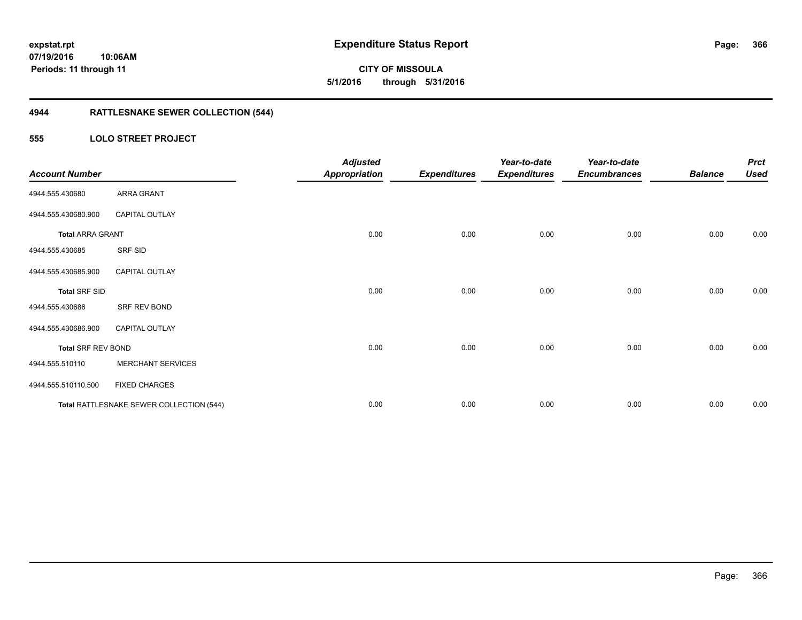**CITY OF MISSOULA 5/1/2016 through 5/31/2016**

## **4944 RATTLESNAKE SEWER COLLECTION (544)**

### **555 LOLO STREET PROJECT**

| <b>Account Number</b>     |                                          | <b>Adjusted</b><br><b>Appropriation</b> | <b>Expenditures</b> | Year-to-date<br><b>Expenditures</b> | Year-to-date<br><b>Encumbrances</b> | <b>Balance</b> | <b>Prct</b><br><b>Used</b> |
|---------------------------|------------------------------------------|-----------------------------------------|---------------------|-------------------------------------|-------------------------------------|----------------|----------------------------|
| 4944.555.430680           | <b>ARRA GRANT</b>                        |                                         |                     |                                     |                                     |                |                            |
| 4944.555.430680.900       | <b>CAPITAL OUTLAY</b>                    |                                         |                     |                                     |                                     |                |                            |
| <b>Total ARRA GRANT</b>   |                                          | 0.00                                    | 0.00                | 0.00                                | 0.00                                | 0.00           | 0.00                       |
| 4944.555.430685           | SRF SID                                  |                                         |                     |                                     |                                     |                |                            |
| 4944.555.430685.900       | <b>CAPITAL OUTLAY</b>                    |                                         |                     |                                     |                                     |                |                            |
| <b>Total SRF SID</b>      |                                          | 0.00                                    | 0.00                | 0.00                                | 0.00                                | 0.00           | 0.00                       |
| 4944.555.430686           | SRF REV BOND                             |                                         |                     |                                     |                                     |                |                            |
| 4944.555.430686.900       | <b>CAPITAL OUTLAY</b>                    |                                         |                     |                                     |                                     |                |                            |
| <b>Total SRF REV BOND</b> |                                          | 0.00                                    | 0.00                | 0.00                                | 0.00                                | 0.00           | 0.00                       |
| 4944.555.510110           | <b>MERCHANT SERVICES</b>                 |                                         |                     |                                     |                                     |                |                            |
| 4944.555.510110.500       | <b>FIXED CHARGES</b>                     |                                         |                     |                                     |                                     |                |                            |
|                           | Total RATTLESNAKE SEWER COLLECTION (544) | 0.00                                    | 0.00                | 0.00                                | 0.00                                | 0.00           | 0.00                       |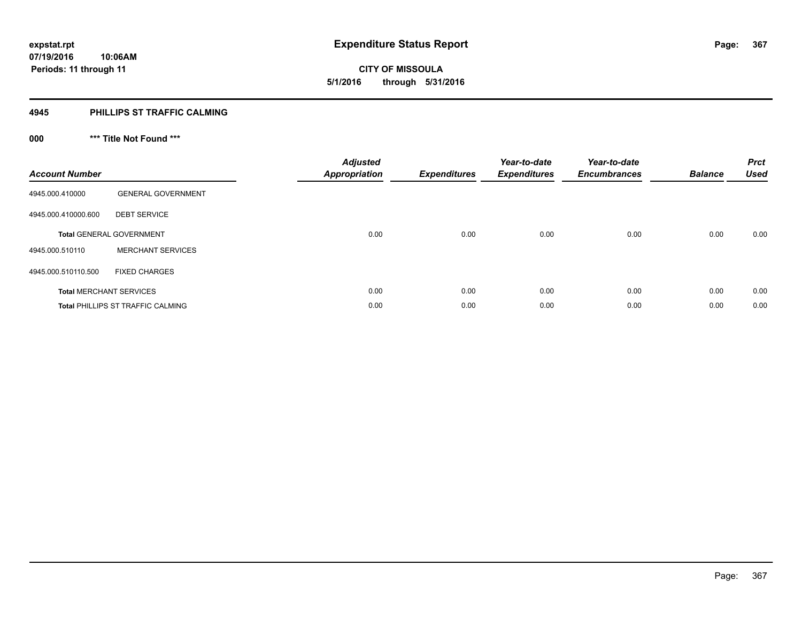**367**

**07/19/2016 10:06AM Periods: 11 through 11**

# **CITY OF MISSOULA 5/1/2016 through 5/31/2016**

#### **4945 PHILLIPS ST TRAFFIC CALMING**

## **000 \*\*\* Title Not Found \*\*\***

| <b>Account Number</b> |                                          | <b>Adjusted</b><br><b>Appropriation</b> | <b>Expenditures</b> | Year-to-date<br><b>Expenditures</b> | Year-to-date<br><b>Encumbrances</b> | <b>Balance</b> | <b>Prct</b><br><b>Used</b> |
|-----------------------|------------------------------------------|-----------------------------------------|---------------------|-------------------------------------|-------------------------------------|----------------|----------------------------|
| 4945.000.410000       | <b>GENERAL GOVERNMENT</b>                |                                         |                     |                                     |                                     |                |                            |
| 4945.000.410000.600   | <b>DEBT SERVICE</b>                      |                                         |                     |                                     |                                     |                |                            |
|                       | <b>Total GENERAL GOVERNMENT</b>          | 0.00                                    | 0.00                | 0.00                                | 0.00                                | 0.00           | 0.00                       |
| 4945.000.510110       | <b>MERCHANT SERVICES</b>                 |                                         |                     |                                     |                                     |                |                            |
| 4945.000.510110.500   | <b>FIXED CHARGES</b>                     |                                         |                     |                                     |                                     |                |                            |
|                       | <b>Total MERCHANT SERVICES</b>           | 0.00                                    | 0.00                | 0.00                                | 0.00                                | 0.00           | 0.00                       |
|                       | <b>Total PHILLIPS ST TRAFFIC CALMING</b> | 0.00                                    | 0.00                | 0.00                                | 0.00                                | 0.00           | 0.00                       |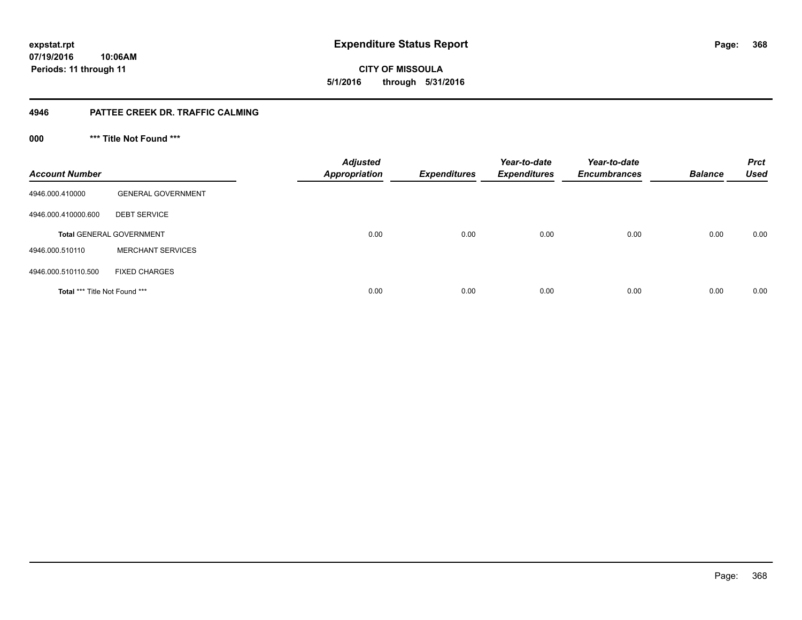**CITY OF MISSOULA 5/1/2016 through 5/31/2016**

### **4946 PATTEE CREEK DR. TRAFFIC CALMING**

**000 \*\*\* Title Not Found \*\*\***

| <b>Account Number</b>         |                                 | <b>Adjusted</b><br><b>Appropriation</b> | <b>Expenditures</b> | Year-to-date<br><b>Expenditures</b> | Year-to-date<br><b>Encumbrances</b> | <b>Balance</b> | <b>Prct</b><br><b>Used</b> |
|-------------------------------|---------------------------------|-----------------------------------------|---------------------|-------------------------------------|-------------------------------------|----------------|----------------------------|
| 4946.000.410000               | <b>GENERAL GOVERNMENT</b>       |                                         |                     |                                     |                                     |                |                            |
| 4946.000.410000.600           | <b>DEBT SERVICE</b>             |                                         |                     |                                     |                                     |                |                            |
|                               | <b>Total GENERAL GOVERNMENT</b> | 0.00                                    | 0.00                | 0.00                                | 0.00                                | 0.00           | 0.00                       |
| 4946.000.510110               | <b>MERCHANT SERVICES</b>        |                                         |                     |                                     |                                     |                |                            |
| 4946.000.510110.500           | <b>FIXED CHARGES</b>            |                                         |                     |                                     |                                     |                |                            |
| Total *** Title Not Found *** |                                 | 0.00                                    | 0.00                | 0.00                                | 0.00                                | 0.00           | 0.00                       |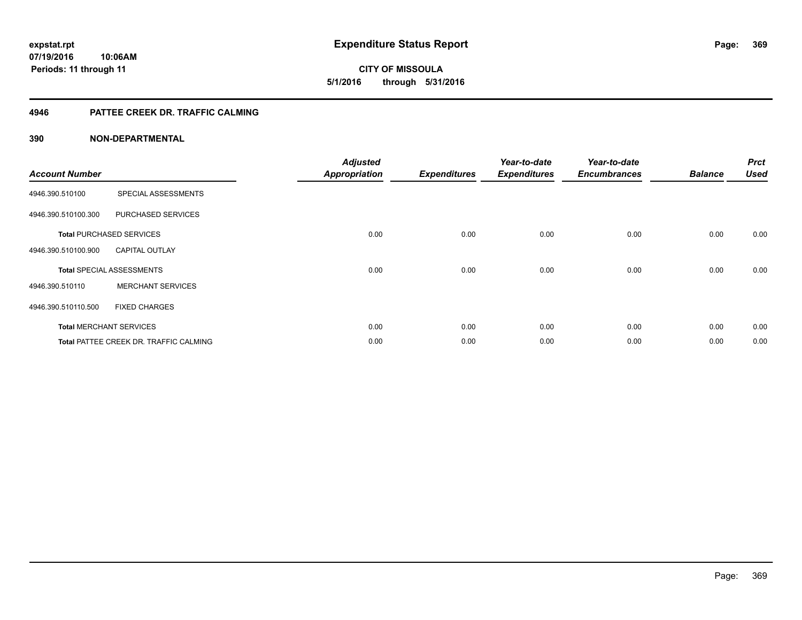# **CITY OF MISSOULA 5/1/2016 through 5/31/2016**

### **4946 PATTEE CREEK DR. TRAFFIC CALMING**

| <b>Account Number</b> |                                               | <b>Adjusted</b><br><b>Appropriation</b> | <b>Expenditures</b> | Year-to-date<br><b>Expenditures</b> | Year-to-date<br><b>Encumbrances</b> | <b>Balance</b> | <b>Prct</b><br><b>Used</b> |
|-----------------------|-----------------------------------------------|-----------------------------------------|---------------------|-------------------------------------|-------------------------------------|----------------|----------------------------|
| 4946.390.510100       | SPECIAL ASSESSMENTS                           |                                         |                     |                                     |                                     |                |                            |
| 4946.390.510100.300   | PURCHASED SERVICES                            |                                         |                     |                                     |                                     |                |                            |
|                       | <b>Total PURCHASED SERVICES</b>               | 0.00                                    | 0.00                | 0.00                                | 0.00                                | 0.00           | 0.00                       |
| 4946.390.510100.900   | <b>CAPITAL OUTLAY</b>                         |                                         |                     |                                     |                                     |                |                            |
|                       | <b>Total SPECIAL ASSESSMENTS</b>              | 0.00                                    | 0.00                | 0.00                                | 0.00                                | 0.00           | 0.00                       |
| 4946.390.510110       | <b>MERCHANT SERVICES</b>                      |                                         |                     |                                     |                                     |                |                            |
| 4946.390.510110.500   | <b>FIXED CHARGES</b>                          |                                         |                     |                                     |                                     |                |                            |
|                       | <b>Total MERCHANT SERVICES</b>                | 0.00                                    | 0.00                | 0.00                                | 0.00                                | 0.00           | 0.00                       |
|                       | <b>Total PATTEE CREEK DR. TRAFFIC CALMING</b> | 0.00                                    | 0.00                | 0.00                                | 0.00                                | 0.00           | 0.00                       |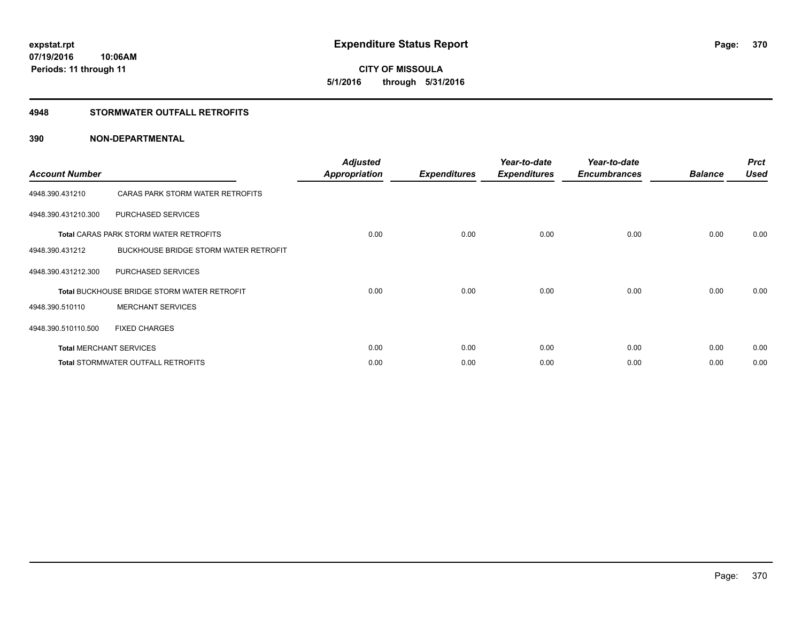# **CITY OF MISSOULA 5/1/2016 through 5/31/2016**

### **4948 STORMWATER OUTFALL RETROFITS**

| <b>Account Number</b> |                                                    | <b>Adjusted</b><br><b>Appropriation</b> | <b>Expenditures</b> | Year-to-date<br><b>Expenditures</b> | Year-to-date<br><b>Encumbrances</b> | <b>Balance</b> | <b>Prct</b><br><b>Used</b> |
|-----------------------|----------------------------------------------------|-----------------------------------------|---------------------|-------------------------------------|-------------------------------------|----------------|----------------------------|
| 4948.390.431210       | CARAS PARK STORM WATER RETROFITS                   |                                         |                     |                                     |                                     |                |                            |
| 4948.390.431210.300   | PURCHASED SERVICES                                 |                                         |                     |                                     |                                     |                |                            |
|                       | <b>Total CARAS PARK STORM WATER RETROFITS</b>      | 0.00                                    | 0.00                | 0.00                                | 0.00                                | 0.00           | 0.00                       |
| 4948.390.431212       | <b>BUCKHOUSE BRIDGE STORM WATER RETROFIT</b>       |                                         |                     |                                     |                                     |                |                            |
| 4948.390.431212.300   | PURCHASED SERVICES                                 |                                         |                     |                                     |                                     |                |                            |
|                       | <b>Total BUCKHOUSE BRIDGE STORM WATER RETROFIT</b> | 0.00                                    | 0.00                | 0.00                                | 0.00                                | 0.00           | 0.00                       |
| 4948.390.510110       | <b>MERCHANT SERVICES</b>                           |                                         |                     |                                     |                                     |                |                            |
| 4948.390.510110.500   | <b>FIXED CHARGES</b>                               |                                         |                     |                                     |                                     |                |                            |
|                       | <b>Total MERCHANT SERVICES</b>                     | 0.00                                    | 0.00                | 0.00                                | 0.00                                | 0.00           | 0.00                       |
|                       | Total STORMWATER OUTFALL RETROFITS                 | 0.00                                    | 0.00                | 0.00                                | 0.00                                | 0.00           | 0.00                       |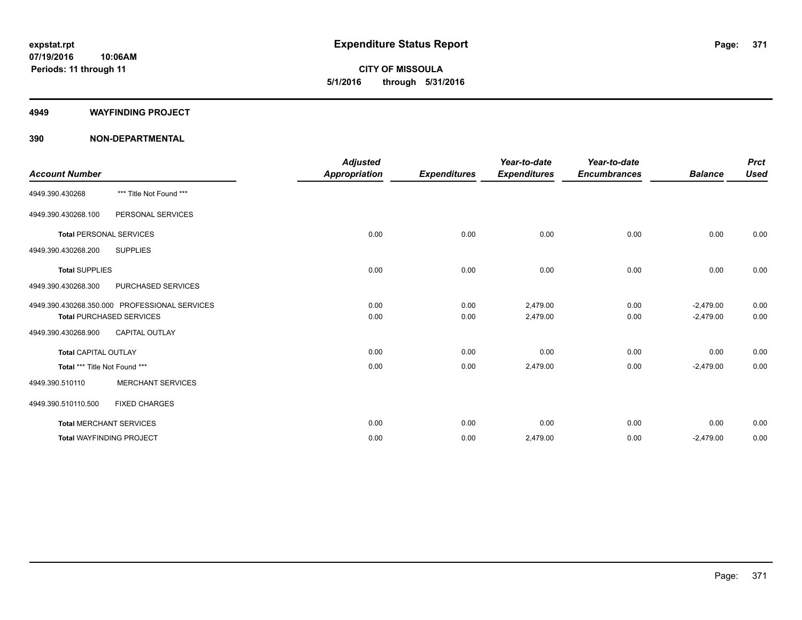**CITY OF MISSOULA 5/1/2016 through 5/31/2016**

#### **4949 WAYFINDING PROJECT**

|                                 |                                               | <b>Adjusted</b>      |                     | Year-to-date        | Year-to-date        |                | <b>Prct</b> |
|---------------------------------|-----------------------------------------------|----------------------|---------------------|---------------------|---------------------|----------------|-------------|
| <b>Account Number</b>           |                                               | <b>Appropriation</b> | <b>Expenditures</b> | <b>Expenditures</b> | <b>Encumbrances</b> | <b>Balance</b> | <b>Used</b> |
| 4949.390.430268                 | *** Title Not Found ***                       |                      |                     |                     |                     |                |             |
| 4949.390.430268.100             | PERSONAL SERVICES                             |                      |                     |                     |                     |                |             |
| <b>Total PERSONAL SERVICES</b>  |                                               | 0.00                 | 0.00                | 0.00                | 0.00                | 0.00           | 0.00        |
| 4949.390.430268.200             | <b>SUPPLIES</b>                               |                      |                     |                     |                     |                |             |
| <b>Total SUPPLIES</b>           |                                               | 0.00                 | 0.00                | 0.00                | 0.00                | 0.00           | 0.00        |
| 4949.390.430268.300             | PURCHASED SERVICES                            |                      |                     |                     |                     |                |             |
|                                 | 4949.390.430268.350.000 PROFESSIONAL SERVICES | 0.00                 | 0.00                | 2,479.00            | 0.00                | $-2,479.00$    | 0.00        |
|                                 | <b>Total PURCHASED SERVICES</b>               | 0.00                 | 0.00                | 2,479.00            | 0.00                | $-2,479.00$    | 0.00        |
| 4949.390.430268.900             | CAPITAL OUTLAY                                |                      |                     |                     |                     |                |             |
| <b>Total CAPITAL OUTLAY</b>     |                                               | 0.00                 | 0.00                | 0.00                | 0.00                | 0.00           | 0.00        |
| Total *** Title Not Found ***   |                                               | 0.00                 | 0.00                | 2,479.00            | 0.00                | $-2,479.00$    | 0.00        |
| 4949.390.510110                 | <b>MERCHANT SERVICES</b>                      |                      |                     |                     |                     |                |             |
| 4949.390.510110.500             | <b>FIXED CHARGES</b>                          |                      |                     |                     |                     |                |             |
| <b>Total MERCHANT SERVICES</b>  |                                               | 0.00                 | 0.00                | 0.00                | 0.00                | 0.00           | 0.00        |
| <b>Total WAYFINDING PROJECT</b> |                                               | 0.00                 | 0.00                | 2,479.00            | 0.00                | $-2,479.00$    | 0.00        |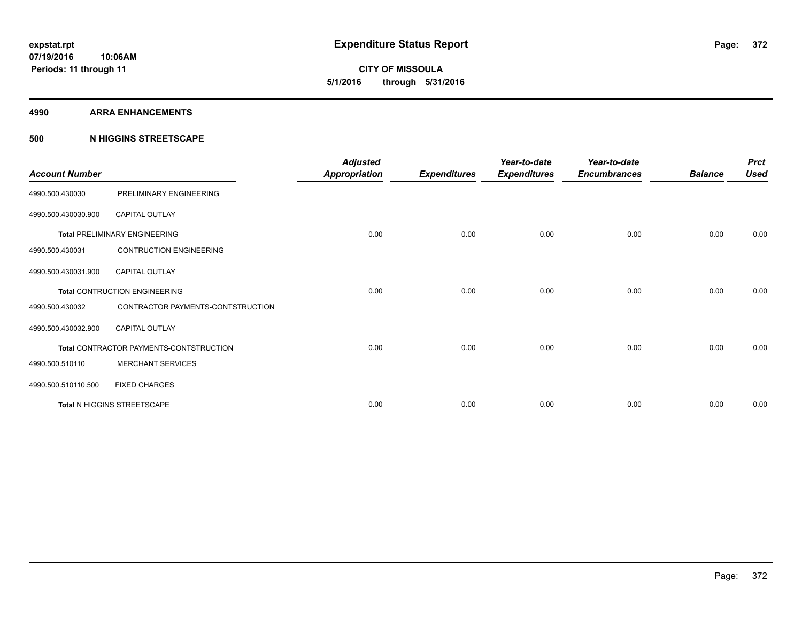**Periods: 11 through 11**

**CITY OF MISSOULA 5/1/2016 through 5/31/2016**

**4990 ARRA ENHANCEMENTS**

### **500 N HIGGINS STREETSCAPE**

**10:06AM**

| <b>Account Number</b> |                                         | <b>Adjusted</b><br><b>Appropriation</b> | <b>Expenditures</b> | Year-to-date<br><b>Expenditures</b> | Year-to-date<br><b>Encumbrances</b> | <b>Balance</b> | <b>Prct</b><br><b>Used</b> |
|-----------------------|-----------------------------------------|-----------------------------------------|---------------------|-------------------------------------|-------------------------------------|----------------|----------------------------|
| 4990.500.430030       | PRELIMINARY ENGINEERING                 |                                         |                     |                                     |                                     |                |                            |
| 4990.500.430030.900   | <b>CAPITAL OUTLAY</b>                   |                                         |                     |                                     |                                     |                |                            |
|                       | <b>Total PRELIMINARY ENGINEERING</b>    | 0.00                                    | 0.00                | 0.00                                | 0.00                                | 0.00           | 0.00                       |
| 4990.500.430031       | <b>CONTRUCTION ENGINEERING</b>          |                                         |                     |                                     |                                     |                |                            |
| 4990.500.430031.900   | <b>CAPITAL OUTLAY</b>                   |                                         |                     |                                     |                                     |                |                            |
|                       | <b>Total CONTRUCTION ENGINEERING</b>    | 0.00                                    | 0.00                | 0.00                                | 0.00                                | 0.00           | 0.00                       |
| 4990.500.430032       | CONTRACTOR PAYMENTS-CONTSTRUCTION       |                                         |                     |                                     |                                     |                |                            |
| 4990.500.430032.900   | <b>CAPITAL OUTLAY</b>                   |                                         |                     |                                     |                                     |                |                            |
|                       | Total CONTRACTOR PAYMENTS-CONTSTRUCTION | 0.00                                    | 0.00                | 0.00                                | 0.00                                | 0.00           | 0.00                       |
| 4990.500.510110       | <b>MERCHANT SERVICES</b>                |                                         |                     |                                     |                                     |                |                            |
| 4990.500.510110.500   | <b>FIXED CHARGES</b>                    |                                         |                     |                                     |                                     |                |                            |
|                       | Total N HIGGINS STREETSCAPE             | 0.00                                    | 0.00                | 0.00                                | 0.00                                | 0.00           | 0.00                       |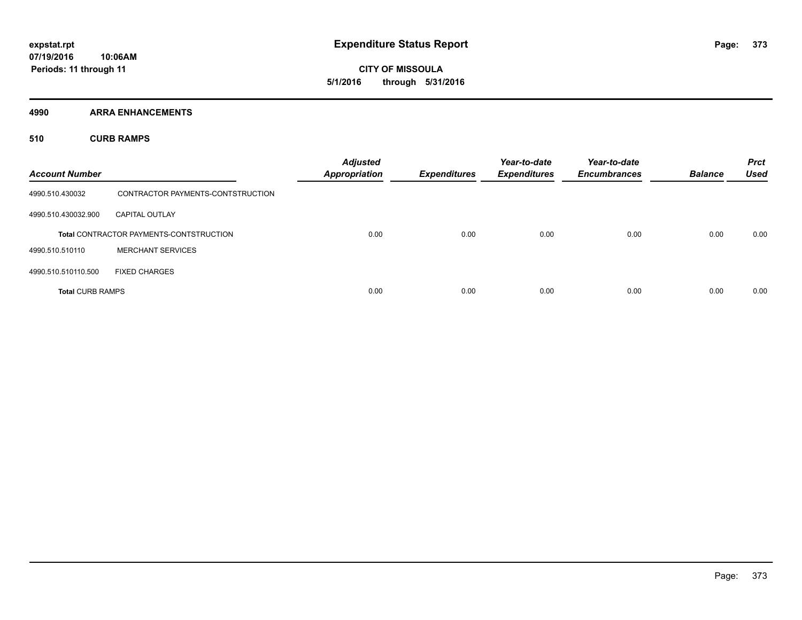**CITY OF MISSOULA 5/1/2016 through 5/31/2016**

**4990 ARRA ENHANCEMENTS**

**510 CURB RAMPS**

| <b>Account Number</b>   |                                                | <b>Adjusted</b><br><b>Appropriation</b> | <b>Expenditures</b> | Year-to-date<br><b>Expenditures</b> | Year-to-date<br><b>Encumbrances</b> | <b>Balance</b> | <b>Prct</b><br><b>Used</b> |
|-------------------------|------------------------------------------------|-----------------------------------------|---------------------|-------------------------------------|-------------------------------------|----------------|----------------------------|
| 4990.510.430032         | CONTRACTOR PAYMENTS-CONTSTRUCTION              |                                         |                     |                                     |                                     |                |                            |
| 4990.510.430032.900     | <b>CAPITAL OUTLAY</b>                          |                                         |                     |                                     |                                     |                |                            |
|                         | <b>Total CONTRACTOR PAYMENTS-CONTSTRUCTION</b> | 0.00                                    | 0.00                | 0.00                                | 0.00                                | 0.00           | 0.00                       |
| 4990.510.510110         | <b>MERCHANT SERVICES</b>                       |                                         |                     |                                     |                                     |                |                            |
| 4990.510.510110.500     | <b>FIXED CHARGES</b>                           |                                         |                     |                                     |                                     |                |                            |
| <b>Total CURB RAMPS</b> |                                                | 0.00                                    | 0.00                | 0.00                                | 0.00                                | 0.00           | 0.00                       |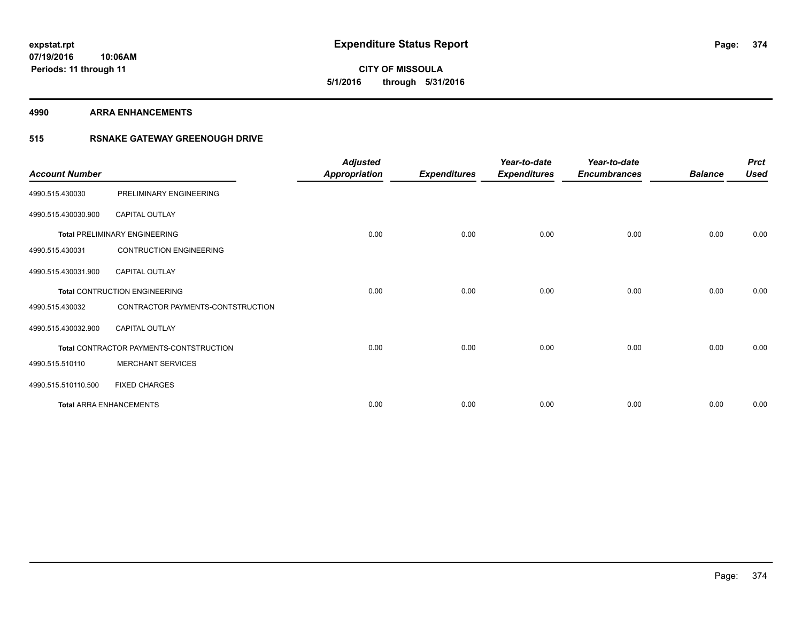**CITY OF MISSOULA 5/1/2016 through 5/31/2016**

#### **4990 ARRA ENHANCEMENTS**

### **515 RSNAKE GATEWAY GREENOUGH DRIVE**

| <b>Account Number</b> |                                         | <b>Adjusted</b><br><b>Appropriation</b> | <b>Expenditures</b> | Year-to-date<br><b>Expenditures</b> | Year-to-date<br><b>Encumbrances</b> | <b>Balance</b> | <b>Prct</b><br><b>Used</b> |
|-----------------------|-----------------------------------------|-----------------------------------------|---------------------|-------------------------------------|-------------------------------------|----------------|----------------------------|
| 4990.515.430030       | PRELIMINARY ENGINEERING                 |                                         |                     |                                     |                                     |                |                            |
| 4990.515.430030.900   | <b>CAPITAL OUTLAY</b>                   |                                         |                     |                                     |                                     |                |                            |
|                       | <b>Total PRELIMINARY ENGINEERING</b>    | 0.00                                    | 0.00                | 0.00                                | 0.00                                | 0.00           | 0.00                       |
| 4990.515.430031       | <b>CONTRUCTION ENGINEERING</b>          |                                         |                     |                                     |                                     |                |                            |
| 4990.515.430031.900   | <b>CAPITAL OUTLAY</b>                   |                                         |                     |                                     |                                     |                |                            |
|                       | <b>Total CONTRUCTION ENGINEERING</b>    | 0.00                                    | 0.00                | 0.00                                | 0.00                                | 0.00           | 0.00                       |
| 4990.515.430032       | CONTRACTOR PAYMENTS-CONTSTRUCTION       |                                         |                     |                                     |                                     |                |                            |
| 4990.515.430032.900   | <b>CAPITAL OUTLAY</b>                   |                                         |                     |                                     |                                     |                |                            |
|                       | Total CONTRACTOR PAYMENTS-CONTSTRUCTION | 0.00                                    | 0.00                | 0.00                                | 0.00                                | 0.00           | 0.00                       |
| 4990.515.510110       | <b>MERCHANT SERVICES</b>                |                                         |                     |                                     |                                     |                |                            |
| 4990.515.510110.500   | <b>FIXED CHARGES</b>                    |                                         |                     |                                     |                                     |                |                            |
|                       | <b>Total ARRA ENHANCEMENTS</b>          | 0.00                                    | 0.00                | 0.00                                | 0.00                                | 0.00           | 0.00                       |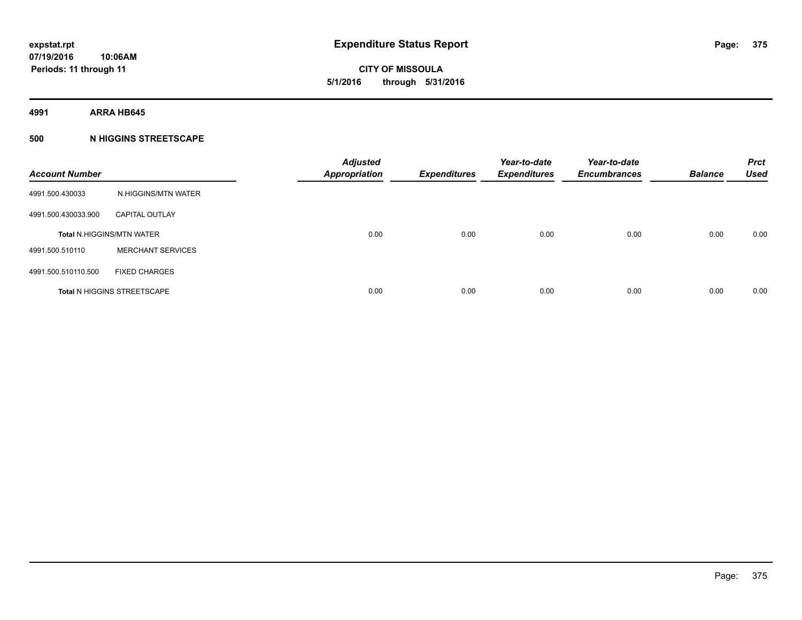**CITY OF MISSOULA 5/1/2016 through 5/31/2016**

**4991 ARRA HB645**

### **500 N HIGGINS STREETSCAPE**

| <b>Account Number</b> |                                    | <b>Adjusted</b><br><b>Appropriation</b> | <b>Expenditures</b> | Year-to-date<br><b>Expenditures</b> | Year-to-date<br><b>Encumbrances</b> | <b>Balance</b> | <b>Prct</b><br><b>Used</b> |
|-----------------------|------------------------------------|-----------------------------------------|---------------------|-------------------------------------|-------------------------------------|----------------|----------------------------|
| 4991.500.430033       | N.HIGGINS/MTN WATER                |                                         |                     |                                     |                                     |                |                            |
| 4991.500.430033.900   | <b>CAPITAL OUTLAY</b>              |                                         |                     |                                     |                                     |                |                            |
|                       | <b>Total N.HIGGINS/MTN WATER</b>   | 0.00                                    | 0.00                | 0.00                                | 0.00                                | 0.00           | 0.00                       |
| 4991.500.510110       | <b>MERCHANT SERVICES</b>           |                                         |                     |                                     |                                     |                |                            |
| 4991.500.510110.500   | <b>FIXED CHARGES</b>               |                                         |                     |                                     |                                     |                |                            |
|                       | <b>Total N HIGGINS STREETSCAPE</b> | 0.00                                    | 0.00                | 0.00                                | 0.00                                | 0.00           | 0.00                       |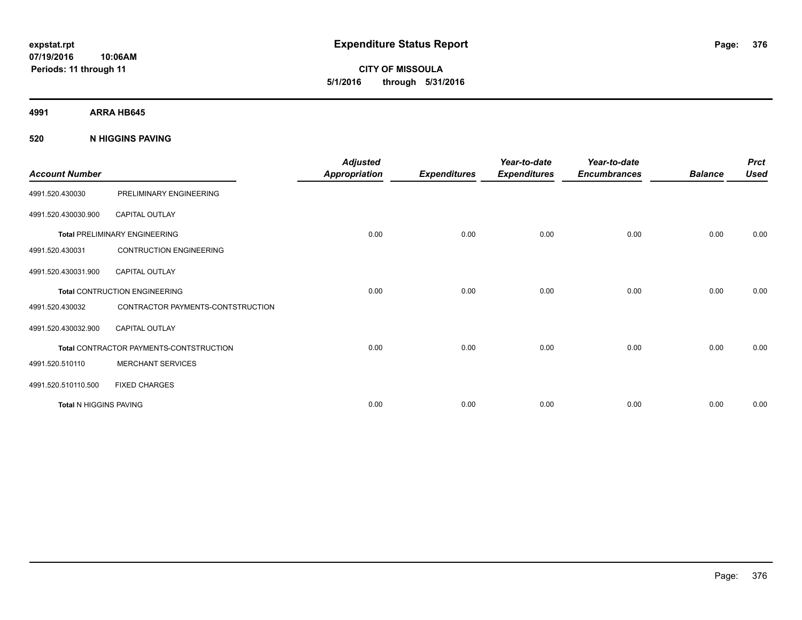**CITY OF MISSOULA 5/1/2016 through 5/31/2016**

**4991 ARRA HB645**

**520 N HIGGINS PAVING**

| <b>Account Number</b>         |                                         | <b>Adjusted</b><br><b>Appropriation</b> | <b>Expenditures</b> | Year-to-date<br><b>Expenditures</b> | Year-to-date<br><b>Encumbrances</b> | <b>Balance</b> | <b>Prct</b><br><b>Used</b> |
|-------------------------------|-----------------------------------------|-----------------------------------------|---------------------|-------------------------------------|-------------------------------------|----------------|----------------------------|
| 4991.520.430030               | PRELIMINARY ENGINEERING                 |                                         |                     |                                     |                                     |                |                            |
| 4991.520.430030.900           | <b>CAPITAL OUTLAY</b>                   |                                         |                     |                                     |                                     |                |                            |
|                               | <b>Total PRELIMINARY ENGINEERING</b>    | 0.00                                    | 0.00                | 0.00                                | 0.00                                | 0.00           | 0.00                       |
| 4991.520.430031               | <b>CONTRUCTION ENGINEERING</b>          |                                         |                     |                                     |                                     |                |                            |
| 4991.520.430031.900           | <b>CAPITAL OUTLAY</b>                   |                                         |                     |                                     |                                     |                |                            |
|                               | <b>Total CONTRUCTION ENGINEERING</b>    | 0.00                                    | 0.00                | 0.00                                | 0.00                                | 0.00           | 0.00                       |
| 4991.520.430032               | CONTRACTOR PAYMENTS-CONTSTRUCTION       |                                         |                     |                                     |                                     |                |                            |
| 4991.520.430032.900           | <b>CAPITAL OUTLAY</b>                   |                                         |                     |                                     |                                     |                |                            |
|                               | Total CONTRACTOR PAYMENTS-CONTSTRUCTION | 0.00                                    | 0.00                | 0.00                                | 0.00                                | 0.00           | 0.00                       |
| 4991.520.510110               | <b>MERCHANT SERVICES</b>                |                                         |                     |                                     |                                     |                |                            |
| 4991.520.510110.500           | <b>FIXED CHARGES</b>                    |                                         |                     |                                     |                                     |                |                            |
| <b>Total N HIGGINS PAVING</b> |                                         | 0.00                                    | 0.00                | 0.00                                | 0.00                                | 0.00           | 0.00                       |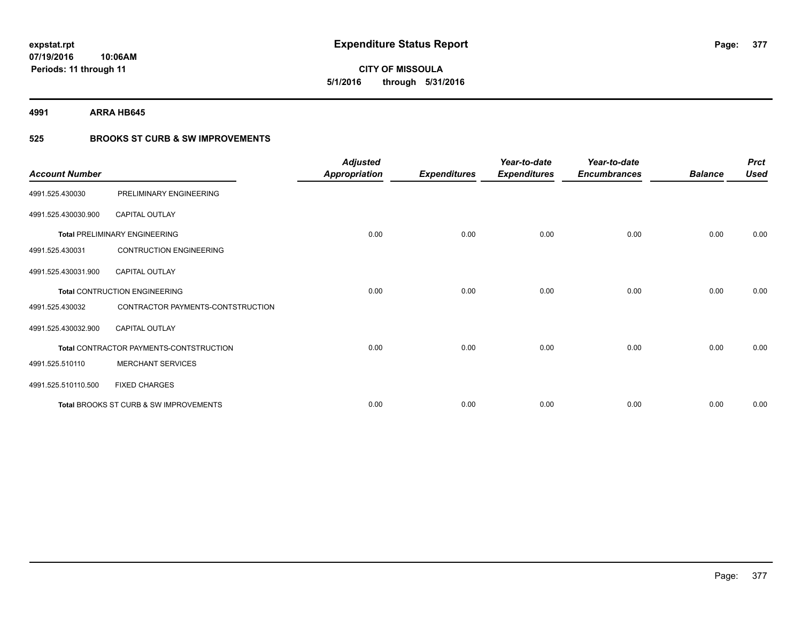# **CITY OF MISSOULA 5/1/2016 through 5/31/2016**

**4991 ARRA HB645**

### **525 BROOKS ST CURB & SW IMPROVEMENTS**

| <b>Account Number</b> |                                         | <b>Adjusted</b><br><b>Appropriation</b> | <b>Expenditures</b> | Year-to-date<br><b>Expenditures</b> | Year-to-date<br><b>Encumbrances</b> | <b>Balance</b> | <b>Prct</b><br><b>Used</b> |
|-----------------------|-----------------------------------------|-----------------------------------------|---------------------|-------------------------------------|-------------------------------------|----------------|----------------------------|
| 4991.525.430030       | PRELIMINARY ENGINEERING                 |                                         |                     |                                     |                                     |                |                            |
| 4991.525.430030.900   | <b>CAPITAL OUTLAY</b>                   |                                         |                     |                                     |                                     |                |                            |
|                       | <b>Total PRELIMINARY ENGINEERING</b>    | 0.00                                    | 0.00                | 0.00                                | 0.00                                | 0.00           | 0.00                       |
| 4991.525.430031       | <b>CONTRUCTION ENGINEERING</b>          |                                         |                     |                                     |                                     |                |                            |
| 4991.525.430031.900   | <b>CAPITAL OUTLAY</b>                   |                                         |                     |                                     |                                     |                |                            |
|                       | <b>Total CONTRUCTION ENGINEERING</b>    | 0.00                                    | 0.00                | 0.00                                | 0.00                                | 0.00           | 0.00                       |
| 4991.525.430032       | CONTRACTOR PAYMENTS-CONTSTRUCTION       |                                         |                     |                                     |                                     |                |                            |
| 4991.525.430032.900   | CAPITAL OUTLAY                          |                                         |                     |                                     |                                     |                |                            |
|                       | Total CONTRACTOR PAYMENTS-CONTSTRUCTION | 0.00                                    | 0.00                | 0.00                                | 0.00                                | 0.00           | 0.00                       |
| 4991.525.510110       | <b>MERCHANT SERVICES</b>                |                                         |                     |                                     |                                     |                |                            |
| 4991.525.510110.500   | <b>FIXED CHARGES</b>                    |                                         |                     |                                     |                                     |                |                            |
|                       | Total BROOKS ST CURB & SW IMPROVEMENTS  | 0.00                                    | 0.00                | 0.00                                | 0.00                                | 0.00           | 0.00                       |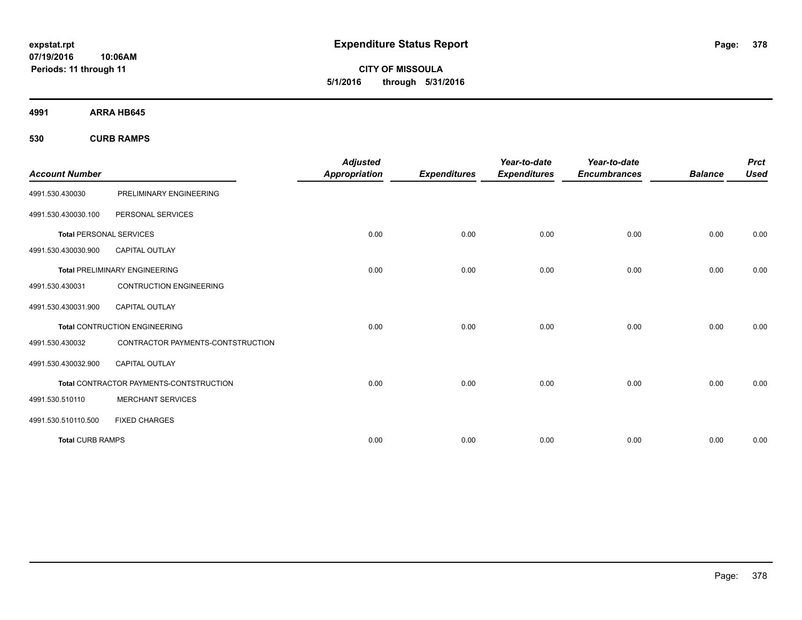**CITY OF MISSOULA 5/1/2016 through 5/31/2016**

**4991 ARRA HB645**

**530 CURB RAMPS**

| <b>Account Number</b>          |                                         | <b>Adjusted</b><br><b>Appropriation</b> | <b>Expenditures</b> | Year-to-date<br><b>Expenditures</b> | Year-to-date<br><b>Encumbrances</b> | <b>Balance</b> | <b>Prct</b><br><b>Used</b> |
|--------------------------------|-----------------------------------------|-----------------------------------------|---------------------|-------------------------------------|-------------------------------------|----------------|----------------------------|
| 4991.530.430030                | PRELIMINARY ENGINEERING                 |                                         |                     |                                     |                                     |                |                            |
| 4991.530.430030.100            | PERSONAL SERVICES                       |                                         |                     |                                     |                                     |                |                            |
| <b>Total PERSONAL SERVICES</b> |                                         | 0.00                                    | 0.00                | 0.00                                | 0.00                                | 0.00           | 0.00                       |
| 4991.530.430030.900            | <b>CAPITAL OUTLAY</b>                   |                                         |                     |                                     |                                     |                |                            |
|                                | <b>Total PRELIMINARY ENGINEERING</b>    | 0.00                                    | 0.00                | 0.00                                | 0.00                                | 0.00           | 0.00                       |
| 4991.530.430031                | <b>CONTRUCTION ENGINEERING</b>          |                                         |                     |                                     |                                     |                |                            |
| 4991.530.430031.900            | <b>CAPITAL OUTLAY</b>                   |                                         |                     |                                     |                                     |                |                            |
|                                | <b>Total CONTRUCTION ENGINEERING</b>    | 0.00                                    | 0.00                | 0.00                                | 0.00                                | 0.00           | 0.00                       |
| 4991.530.430032                | CONTRACTOR PAYMENTS-CONTSTRUCTION       |                                         |                     |                                     |                                     |                |                            |
| 4991.530.430032.900            | <b>CAPITAL OUTLAY</b>                   |                                         |                     |                                     |                                     |                |                            |
|                                | Total CONTRACTOR PAYMENTS-CONTSTRUCTION | 0.00                                    | 0.00                | 0.00                                | 0.00                                | 0.00           | 0.00                       |
| 4991.530.510110                | <b>MERCHANT SERVICES</b>                |                                         |                     |                                     |                                     |                |                            |
| 4991.530.510110.500            | <b>FIXED CHARGES</b>                    |                                         |                     |                                     |                                     |                |                            |
| <b>Total CURB RAMPS</b>        |                                         | 0.00                                    | 0.00                | 0.00                                | 0.00                                | 0.00           | 0.00                       |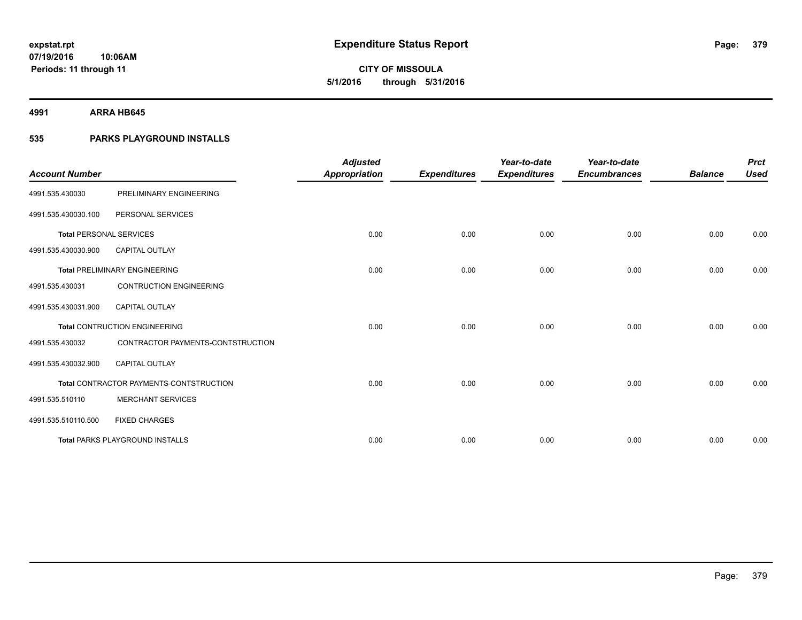**CITY OF MISSOULA 5/1/2016 through 5/31/2016**

**4991 ARRA HB645**

### **535 PARKS PLAYGROUND INSTALLS**

| <b>Account Number</b>          |                                         | <b>Adjusted</b><br>Appropriation | <b>Expenditures</b> | Year-to-date<br><b>Expenditures</b> | Year-to-date<br><b>Encumbrances</b> | <b>Balance</b> | <b>Prct</b><br><b>Used</b> |
|--------------------------------|-----------------------------------------|----------------------------------|---------------------|-------------------------------------|-------------------------------------|----------------|----------------------------|
| 4991.535.430030                | PRELIMINARY ENGINEERING                 |                                  |                     |                                     |                                     |                |                            |
| 4991.535.430030.100            | PERSONAL SERVICES                       |                                  |                     |                                     |                                     |                |                            |
| <b>Total PERSONAL SERVICES</b> |                                         | 0.00                             | 0.00                | 0.00                                | 0.00                                | 0.00           | 0.00                       |
| 4991.535.430030.900            | <b>CAPITAL OUTLAY</b>                   |                                  |                     |                                     |                                     |                |                            |
|                                | <b>Total PRELIMINARY ENGINEERING</b>    | 0.00                             | 0.00                | 0.00                                | 0.00                                | 0.00           | 0.00                       |
| 4991.535.430031                | <b>CONTRUCTION ENGINEERING</b>          |                                  |                     |                                     |                                     |                |                            |
| 4991.535.430031.900            | <b>CAPITAL OUTLAY</b>                   |                                  |                     |                                     |                                     |                |                            |
|                                | <b>Total CONTRUCTION ENGINEERING</b>    | 0.00                             | 0.00                | 0.00                                | 0.00                                | 0.00           | 0.00                       |
| 4991.535.430032                | CONTRACTOR PAYMENTS-CONTSTRUCTION       |                                  |                     |                                     |                                     |                |                            |
| 4991.535.430032.900            | <b>CAPITAL OUTLAY</b>                   |                                  |                     |                                     |                                     |                |                            |
|                                | Total CONTRACTOR PAYMENTS-CONTSTRUCTION | 0.00                             | 0.00                | 0.00                                | 0.00                                | 0.00           | 0.00                       |
| 4991.535.510110                | <b>MERCHANT SERVICES</b>                |                                  |                     |                                     |                                     |                |                            |
| 4991.535.510110.500            | <b>FIXED CHARGES</b>                    |                                  |                     |                                     |                                     |                |                            |
|                                | <b>Total PARKS PLAYGROUND INSTALLS</b>  | 0.00                             | 0.00                | 0.00                                | 0.00                                | 0.00           | 0.00                       |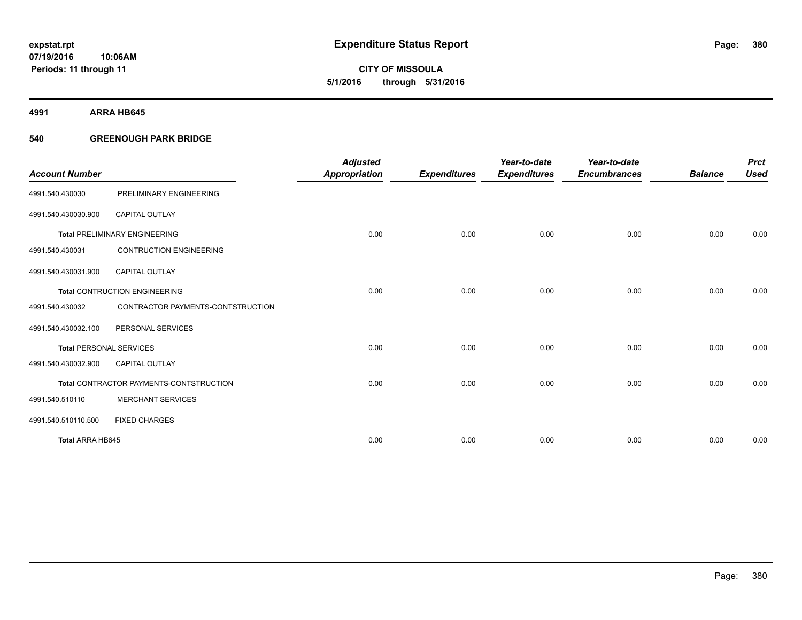**CITY OF MISSOULA 5/1/2016 through 5/31/2016**

**4991 ARRA HB645**

### **540 GREENOUGH PARK BRIDGE**

|                                |                                         | <b>Adjusted</b>      |                     | Year-to-date        | Year-to-date        |                | <b>Prct</b> |
|--------------------------------|-----------------------------------------|----------------------|---------------------|---------------------|---------------------|----------------|-------------|
| <b>Account Number</b>          |                                         | <b>Appropriation</b> | <b>Expenditures</b> | <b>Expenditures</b> | <b>Encumbrances</b> | <b>Balance</b> | <b>Used</b> |
| 4991.540.430030                | PRELIMINARY ENGINEERING                 |                      |                     |                     |                     |                |             |
| 4991.540.430030.900            | <b>CAPITAL OUTLAY</b>                   |                      |                     |                     |                     |                |             |
|                                | <b>Total PRELIMINARY ENGINEERING</b>    | 0.00                 | 0.00                | 0.00                | 0.00                | 0.00           | 0.00        |
| 4991.540.430031                | <b>CONTRUCTION ENGINEERING</b>          |                      |                     |                     |                     |                |             |
| 4991.540.430031.900            | <b>CAPITAL OUTLAY</b>                   |                      |                     |                     |                     |                |             |
|                                | <b>Total CONTRUCTION ENGINEERING</b>    | 0.00                 | 0.00                | 0.00                | 0.00                | 0.00           | 0.00        |
| 4991.540.430032                | CONTRACTOR PAYMENTS-CONTSTRUCTION       |                      |                     |                     |                     |                |             |
| 4991.540.430032.100            | PERSONAL SERVICES                       |                      |                     |                     |                     |                |             |
| <b>Total PERSONAL SERVICES</b> |                                         | 0.00                 | 0.00                | 0.00                | 0.00                | 0.00           | 0.00        |
| 4991.540.430032.900            | <b>CAPITAL OUTLAY</b>                   |                      |                     |                     |                     |                |             |
|                                | Total CONTRACTOR PAYMENTS-CONTSTRUCTION | 0.00                 | 0.00                | 0.00                | 0.00                | 0.00           | 0.00        |
| 4991.540.510110                | <b>MERCHANT SERVICES</b>                |                      |                     |                     |                     |                |             |
| 4991.540.510110.500            | <b>FIXED CHARGES</b>                    |                      |                     |                     |                     |                |             |
| Total ARRA HB645               |                                         | 0.00                 | 0.00                | 0.00                | 0.00                | 0.00           | 0.00        |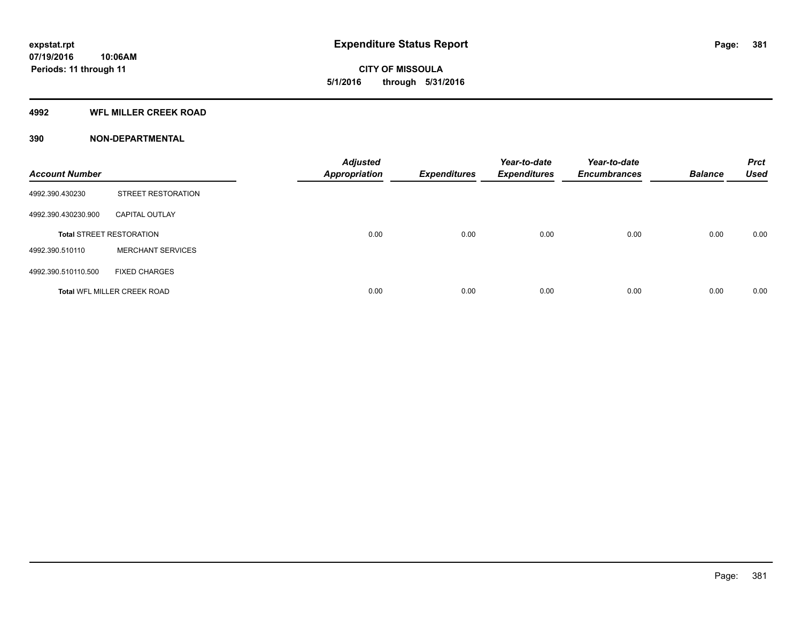# **CITY OF MISSOULA 5/1/2016 through 5/31/2016**

### **4992 WFL MILLER CREEK ROAD**

| <b>Account Number</b> |                                    | <b>Adjusted</b><br><b>Appropriation</b> | <b>Expenditures</b> | Year-to-date<br><b>Expenditures</b> | Year-to-date<br><b>Encumbrances</b> | <b>Balance</b> | <b>Prct</b><br><b>Used</b> |
|-----------------------|------------------------------------|-----------------------------------------|---------------------|-------------------------------------|-------------------------------------|----------------|----------------------------|
| 4992.390.430230       | STREET RESTORATION                 |                                         |                     |                                     |                                     |                |                            |
| 4992.390.430230.900   | <b>CAPITAL OUTLAY</b>              |                                         |                     |                                     |                                     |                |                            |
|                       | <b>Total STREET RESTORATION</b>    | 0.00                                    | 0.00                | 0.00                                | 0.00                                | 0.00           | 0.00                       |
| 4992.390.510110       | <b>MERCHANT SERVICES</b>           |                                         |                     |                                     |                                     |                |                            |
| 4992.390.510110.500   | <b>FIXED CHARGES</b>               |                                         |                     |                                     |                                     |                |                            |
|                       | <b>Total WFL MILLER CREEK ROAD</b> | 0.00                                    | 0.00                | 0.00                                | 0.00                                | 0.00           | 0.00                       |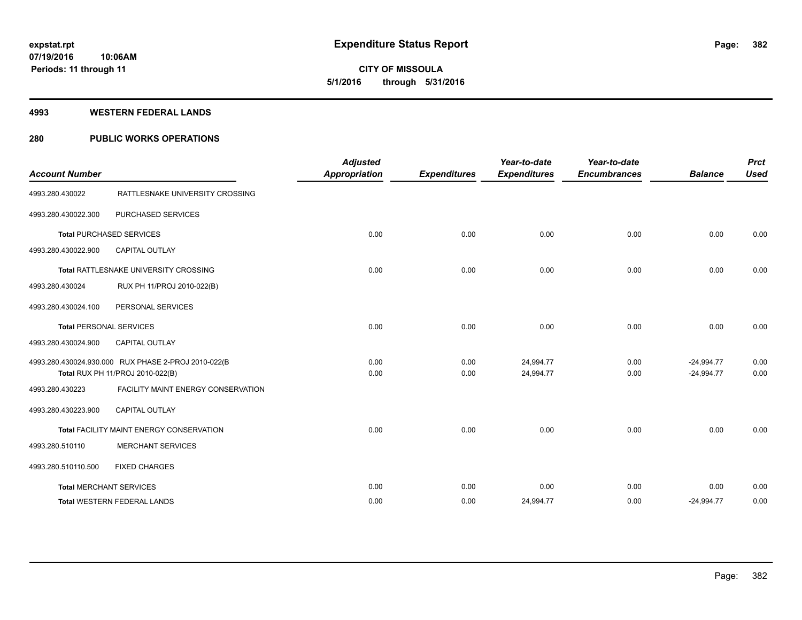# **CITY OF MISSOULA 5/1/2016 through 5/31/2016**

#### **4993 WESTERN FEDERAL LANDS**

### **280 PUBLIC WORKS OPERATIONS**

| <b>Account Number</b>          |                                                                                         | <b>Adjusted</b><br><b>Appropriation</b> | <b>Expenditures</b> | Year-to-date<br><b>Expenditures</b> | Year-to-date<br><b>Encumbrances</b> | <b>Balance</b>               | <b>Prct</b><br><b>Used</b> |
|--------------------------------|-----------------------------------------------------------------------------------------|-----------------------------------------|---------------------|-------------------------------------|-------------------------------------|------------------------------|----------------------------|
| 4993.280.430022                | RATTLESNAKE UNIVERSITY CROSSING                                                         |                                         |                     |                                     |                                     |                              |                            |
| 4993.280.430022.300            | PURCHASED SERVICES                                                                      |                                         |                     |                                     |                                     |                              |                            |
|                                | <b>Total PURCHASED SERVICES</b>                                                         | 0.00                                    | 0.00                | 0.00                                | 0.00                                | 0.00                         | 0.00                       |
| 4993.280.430022.900            | <b>CAPITAL OUTLAY</b>                                                                   |                                         |                     |                                     |                                     |                              |                            |
|                                | Total RATTLESNAKE UNIVERSITY CROSSING                                                   | 0.00                                    | 0.00                | 0.00                                | 0.00                                | 0.00                         | 0.00                       |
| 4993.280.430024                | RUX PH 11/PROJ 2010-022(B)                                                              |                                         |                     |                                     |                                     |                              |                            |
| 4993.280.430024.100            | PERSONAL SERVICES                                                                       |                                         |                     |                                     |                                     |                              |                            |
| <b>Total PERSONAL SERVICES</b> |                                                                                         | 0.00                                    | 0.00                | 0.00                                | 0.00                                | 0.00                         | 0.00                       |
| 4993.280.430024.900            | <b>CAPITAL OUTLAY</b>                                                                   |                                         |                     |                                     |                                     |                              |                            |
|                                | 4993.280.430024.930.000 RUX PHASE 2-PROJ 2010-022(B<br>Total RUX PH 11/PROJ 2010-022(B) | 0.00<br>0.00                            | 0.00<br>0.00        | 24.994.77<br>24,994.77              | 0.00<br>0.00                        | $-24.994.77$<br>$-24,994.77$ | 0.00<br>0.00               |
| 4993.280.430223                | FACILITY MAINT ENERGY CONSERVATION                                                      |                                         |                     |                                     |                                     |                              |                            |
| 4993.280.430223.900            | <b>CAPITAL OUTLAY</b>                                                                   |                                         |                     |                                     |                                     |                              |                            |
|                                | Total FACILITY MAINT ENERGY CONSERVATION                                                | 0.00                                    | 0.00                | 0.00                                | 0.00                                | 0.00                         | 0.00                       |
| 4993.280.510110                | <b>MERCHANT SERVICES</b>                                                                |                                         |                     |                                     |                                     |                              |                            |
| 4993.280.510110.500            | <b>FIXED CHARGES</b>                                                                    |                                         |                     |                                     |                                     |                              |                            |
|                                | <b>Total MERCHANT SERVICES</b>                                                          | 0.00                                    | 0.00                | 0.00                                | 0.00                                | 0.00                         | 0.00                       |
|                                | <b>Total WESTERN FEDERAL LANDS</b>                                                      | 0.00                                    | 0.00                | 24,994.77                           | 0.00                                | $-24,994.77$                 | 0.00                       |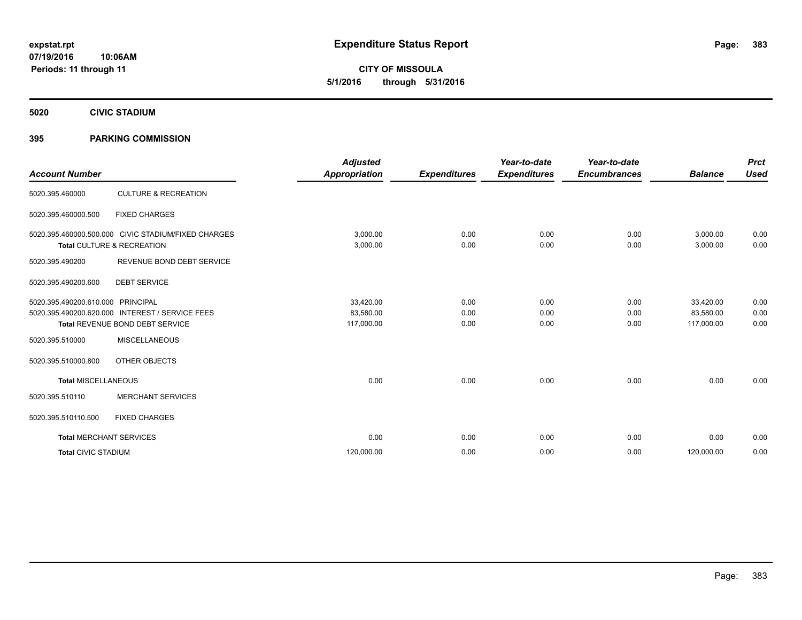**CITY OF MISSOULA 5/1/2016 through 5/31/2016**

**5020 CIVIC STADIUM**

### **395 PARKING COMMISSION**

| <b>Account Number</b>          |                                                                                                               | <b>Adjusted</b><br><b>Appropriation</b> | <b>Expenditures</b>  | Year-to-date<br><b>Expenditures</b> | Year-to-date<br><b>Encumbrances</b> | <b>Balance</b>                       | <b>Prct</b><br><b>Used</b> |
|--------------------------------|---------------------------------------------------------------------------------------------------------------|-----------------------------------------|----------------------|-------------------------------------|-------------------------------------|--------------------------------------|----------------------------|
| 5020.395.460000                | <b>CULTURE &amp; RECREATION</b>                                                                               |                                         |                      |                                     |                                     |                                      |                            |
| 5020.395.460000.500            | <b>FIXED CHARGES</b>                                                                                          |                                         |                      |                                     |                                     |                                      |                            |
|                                | 5020.395.460000.500.000 CIVIC STADIUM/FIXED CHARGES<br><b>Total CULTURE &amp; RECREATION</b>                  | 3,000.00<br>3,000.00                    | 0.00<br>0.00         | 0.00<br>0.00                        | 0.00<br>0.00                        | 3,000.00<br>3,000.00                 | 0.00<br>0.00               |
| 5020.395.490200                | REVENUE BOND DEBT SERVICE                                                                                     |                                         |                      |                                     |                                     |                                      |                            |
| 5020.395.490200.600            | <b>DEBT SERVICE</b>                                                                                           |                                         |                      |                                     |                                     |                                      |                            |
| 5020.395.490200.610.000        | <b>PRINCIPAL</b><br>5020.395.490200.620.000 INTEREST / SERVICE FEES<br><b>Total REVENUE BOND DEBT SERVICE</b> | 33,420.00<br>83,580.00<br>117,000.00    | 0.00<br>0.00<br>0.00 | 0.00<br>0.00<br>0.00                | 0.00<br>0.00<br>0.00                | 33,420.00<br>83,580.00<br>117,000.00 | 0.00<br>0.00<br>0.00       |
| 5020.395.510000                | <b>MISCELLANEOUS</b>                                                                                          |                                         |                      |                                     |                                     |                                      |                            |
| 5020.395.510000.800            | OTHER OBJECTS                                                                                                 |                                         |                      |                                     |                                     |                                      |                            |
| <b>Total MISCELLANEOUS</b>     |                                                                                                               | 0.00                                    | 0.00                 | 0.00                                | 0.00                                | 0.00                                 | 0.00                       |
| 5020.395.510110                | <b>MERCHANT SERVICES</b>                                                                                      |                                         |                      |                                     |                                     |                                      |                            |
| 5020.395.510110.500            | <b>FIXED CHARGES</b>                                                                                          |                                         |                      |                                     |                                     |                                      |                            |
| <b>Total MERCHANT SERVICES</b> |                                                                                                               | 0.00                                    | 0.00                 | 0.00                                | 0.00                                | 0.00                                 | 0.00                       |
| <b>Total CIVIC STADIUM</b>     |                                                                                                               | 120,000.00                              | 0.00                 | 0.00                                | 0.00                                | 120,000.00                           | 0.00                       |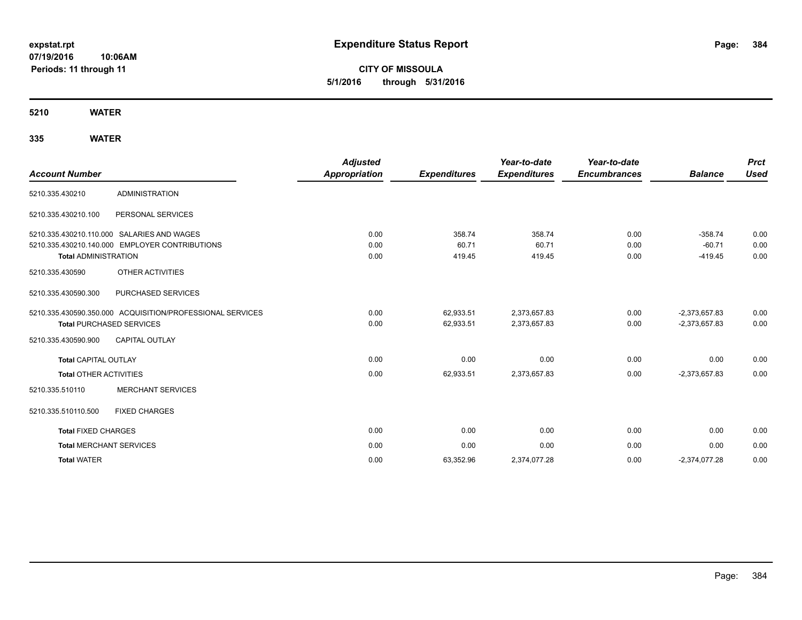**CITY OF MISSOULA 5/1/2016 through 5/31/2016**

**5210 WATER**

| <b>Account Number</b>           |                                                           | <b>Adjusted</b><br>Appropriation | <b>Expenditures</b> | Year-to-date<br><b>Expenditures</b> | Year-to-date<br><b>Encumbrances</b> | <b>Balance</b>  | <b>Prct</b><br><b>Used</b> |
|---------------------------------|-----------------------------------------------------------|----------------------------------|---------------------|-------------------------------------|-------------------------------------|-----------------|----------------------------|
| 5210.335.430210                 | <b>ADMINISTRATION</b>                                     |                                  |                     |                                     |                                     |                 |                            |
| 5210.335.430210.100             | PERSONAL SERVICES                                         |                                  |                     |                                     |                                     |                 |                            |
|                                 | 5210.335.430210.110.000 SALARIES AND WAGES                | 0.00                             | 358.74              | 358.74                              | 0.00                                | $-358.74$       | 0.00                       |
|                                 | 5210.335.430210.140.000 EMPLOYER CONTRIBUTIONS            | 0.00                             | 60.71               | 60.71                               | 0.00                                | $-60.71$        | 0.00                       |
| <b>Total ADMINISTRATION</b>     |                                                           | 0.00                             | 419.45              | 419.45                              | 0.00                                | $-419.45$       | 0.00                       |
| 5210.335.430590                 | <b>OTHER ACTIVITIES</b>                                   |                                  |                     |                                     |                                     |                 |                            |
| 5210.335.430590.300             | PURCHASED SERVICES                                        |                                  |                     |                                     |                                     |                 |                            |
|                                 | 5210.335.430590.350.000 ACQUISITION/PROFESSIONAL SERVICES | 0.00                             | 62,933.51           | 2,373,657.83                        | 0.00                                | $-2,373,657.83$ | 0.00                       |
| <b>Total PURCHASED SERVICES</b> |                                                           | 0.00                             | 62,933.51           | 2,373,657.83                        | 0.00                                | $-2,373,657.83$ | 0.00                       |
| 5210.335.430590.900             | <b>CAPITAL OUTLAY</b>                                     |                                  |                     |                                     |                                     |                 |                            |
| <b>Total CAPITAL OUTLAY</b>     |                                                           | 0.00                             | 0.00                | 0.00                                | 0.00                                | 0.00            | 0.00                       |
| <b>Total OTHER ACTIVITIES</b>   |                                                           | 0.00                             | 62,933.51           | 2,373,657.83                        | 0.00                                | $-2,373,657.83$ | 0.00                       |
| 5210.335.510110                 | <b>MERCHANT SERVICES</b>                                  |                                  |                     |                                     |                                     |                 |                            |
| 5210.335.510110.500             | <b>FIXED CHARGES</b>                                      |                                  |                     |                                     |                                     |                 |                            |
| <b>Total FIXED CHARGES</b>      |                                                           | 0.00                             | 0.00                | 0.00                                | 0.00                                | 0.00            | 0.00                       |
| <b>Total MERCHANT SERVICES</b>  |                                                           | 0.00                             | 0.00                | 0.00                                | 0.00                                | 0.00            | 0.00                       |
| <b>Total WATER</b>              |                                                           | 0.00                             | 63,352.96           | 2,374,077.28                        | 0.00                                | $-2,374,077.28$ | 0.00                       |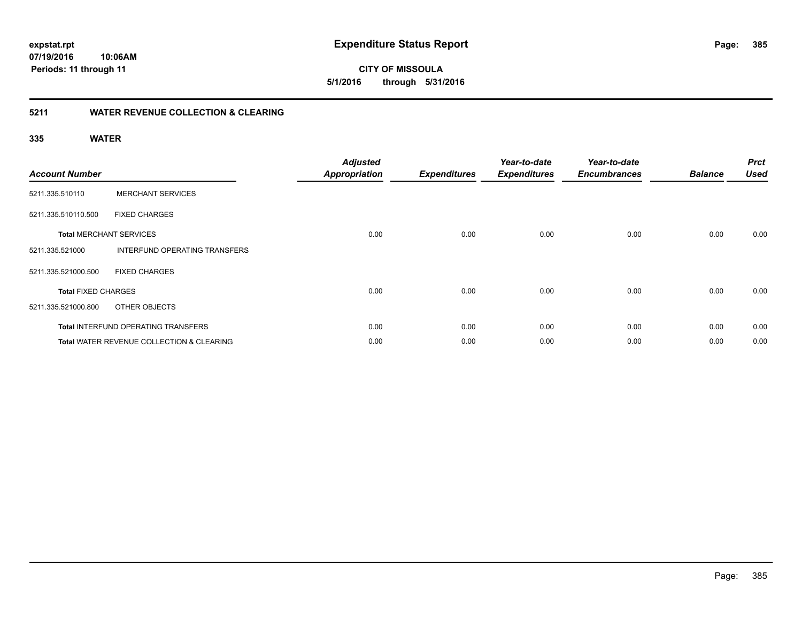### **5211 WATER REVENUE COLLECTION & CLEARING**

| <b>Account Number</b>      |                                            | <b>Adjusted</b><br><b>Appropriation</b> | <b>Expenditures</b> | Year-to-date<br><b>Expenditures</b> | Year-to-date<br><b>Encumbrances</b> | <b>Balance</b> | <b>Prct</b><br><b>Used</b> |
|----------------------------|--------------------------------------------|-----------------------------------------|---------------------|-------------------------------------|-------------------------------------|----------------|----------------------------|
| 5211.335.510110            | <b>MERCHANT SERVICES</b>                   |                                         |                     |                                     |                                     |                |                            |
| 5211.335.510110.500        | <b>FIXED CHARGES</b>                       |                                         |                     |                                     |                                     |                |                            |
|                            | <b>Total MERCHANT SERVICES</b>             | 0.00                                    | 0.00                | 0.00                                | 0.00                                | 0.00           | 0.00                       |
| 5211.335.521000            | INTERFUND OPERATING TRANSFERS              |                                         |                     |                                     |                                     |                |                            |
| 5211.335.521000.500        | <b>FIXED CHARGES</b>                       |                                         |                     |                                     |                                     |                |                            |
| <b>Total FIXED CHARGES</b> |                                            | 0.00                                    | 0.00                | 0.00                                | 0.00                                | 0.00           | 0.00                       |
| 5211.335.521000.800        | OTHER OBJECTS                              |                                         |                     |                                     |                                     |                |                            |
|                            | <b>Total INTERFUND OPERATING TRANSFERS</b> | 0.00                                    | 0.00                | 0.00                                | 0.00                                | 0.00           | 0.00                       |
|                            | Total WATER REVENUE COLLECTION & CLEARING  | 0.00                                    | 0.00                | 0.00                                | 0.00                                | 0.00           | 0.00                       |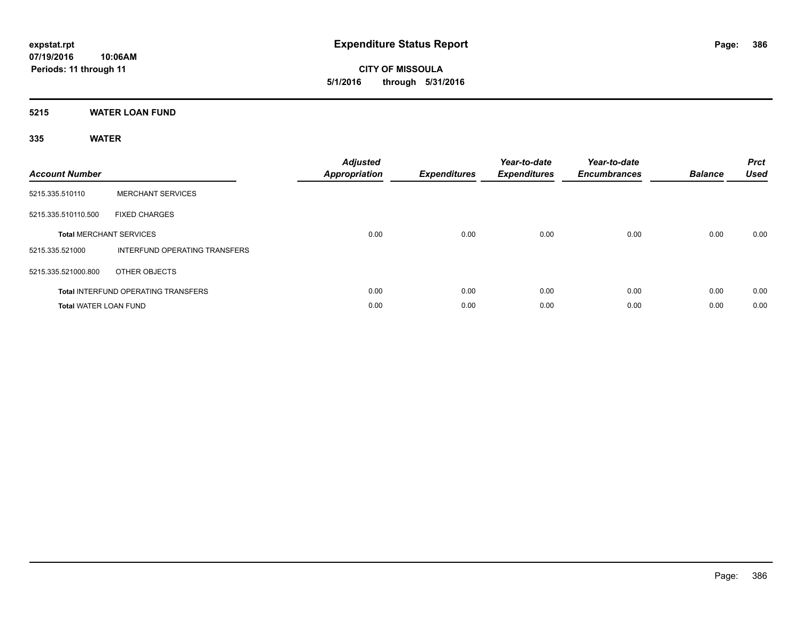**CITY OF MISSOULA 5/1/2016 through 5/31/2016**

### **5215 WATER LOAN FUND**

| <b>Account Number</b>          |                                            | <b>Adjusted</b><br><b>Appropriation</b> | <b>Expenditures</b> | Year-to-date<br><b>Expenditures</b> | Year-to-date<br><b>Encumbrances</b> | <b>Balance</b> | <b>Prct</b><br><b>Used</b> |
|--------------------------------|--------------------------------------------|-----------------------------------------|---------------------|-------------------------------------|-------------------------------------|----------------|----------------------------|
| 5215.335.510110                | <b>MERCHANT SERVICES</b>                   |                                         |                     |                                     |                                     |                |                            |
| 5215.335.510110.500            | <b>FIXED CHARGES</b>                       |                                         |                     |                                     |                                     |                |                            |
| <b>Total MERCHANT SERVICES</b> |                                            | 0.00                                    | 0.00                | 0.00                                | 0.00                                | 0.00           | 0.00                       |
| 5215.335.521000                | <b>INTERFUND OPERATING TRANSFERS</b>       |                                         |                     |                                     |                                     |                |                            |
| 5215.335.521000.800            | OTHER OBJECTS                              |                                         |                     |                                     |                                     |                |                            |
|                                | <b>Total INTERFUND OPERATING TRANSFERS</b> | 0.00                                    | 0.00                | 0.00                                | 0.00                                | 0.00           | 0.00                       |
| <b>Total WATER LOAN FUND</b>   |                                            | 0.00                                    | 0.00                | 0.00                                | 0.00                                | 0.00           | 0.00                       |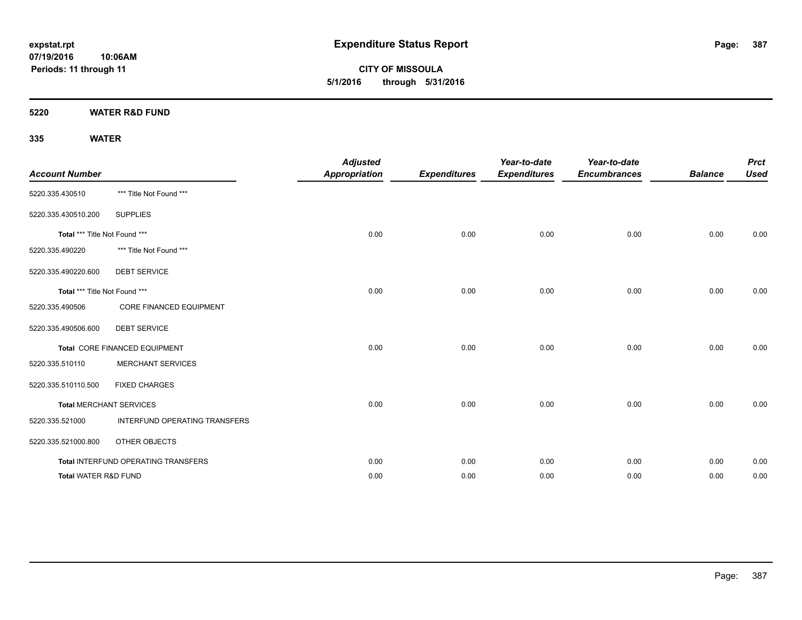**CITY OF MISSOULA 5/1/2016 through 5/31/2016**

**5220 WATER R&D FUND**

| <b>Account Number</b>           |                                     | <b>Adjusted</b><br><b>Appropriation</b> | <b>Expenditures</b> | Year-to-date<br><b>Expenditures</b> | Year-to-date<br><b>Encumbrances</b> | <b>Balance</b> | <b>Prct</b><br><b>Used</b> |
|---------------------------------|-------------------------------------|-----------------------------------------|---------------------|-------------------------------------|-------------------------------------|----------------|----------------------------|
| 5220.335.430510                 | *** Title Not Found ***             |                                         |                     |                                     |                                     |                |                            |
| 5220.335.430510.200             | <b>SUPPLIES</b>                     |                                         |                     |                                     |                                     |                |                            |
| Total *** Title Not Found ***   |                                     | 0.00                                    | 0.00                | 0.00                                | 0.00                                | 0.00           | 0.00                       |
| 5220.335.490220                 | *** Title Not Found ***             |                                         |                     |                                     |                                     |                |                            |
| 5220.335.490220.600             | <b>DEBT SERVICE</b>                 |                                         |                     |                                     |                                     |                |                            |
| Total *** Title Not Found ***   |                                     | 0.00                                    | 0.00                | 0.00                                | 0.00                                | 0.00           | 0.00                       |
| 5220.335.490506                 | <b>CORE FINANCED EQUIPMENT</b>      |                                         |                     |                                     |                                     |                |                            |
| 5220.335.490506.600             | <b>DEBT SERVICE</b>                 |                                         |                     |                                     |                                     |                |                            |
|                                 | Total CORE FINANCED EQUIPMENT       | 0.00                                    | 0.00                | 0.00                                | 0.00                                | 0.00           | 0.00                       |
| 5220.335.510110                 | <b>MERCHANT SERVICES</b>            |                                         |                     |                                     |                                     |                |                            |
| 5220.335.510110.500             | <b>FIXED CHARGES</b>                |                                         |                     |                                     |                                     |                |                            |
|                                 | <b>Total MERCHANT SERVICES</b>      | 0.00                                    | 0.00                | 0.00                                | 0.00                                | 0.00           | 0.00                       |
| 5220.335.521000                 | INTERFUND OPERATING TRANSFERS       |                                         |                     |                                     |                                     |                |                            |
| 5220.335.521000.800             | OTHER OBJECTS                       |                                         |                     |                                     |                                     |                |                            |
|                                 | Total INTERFUND OPERATING TRANSFERS | 0.00                                    | 0.00                | 0.00                                | 0.00                                | 0.00           | 0.00                       |
| <b>Total WATER R&amp;D FUND</b> |                                     | 0.00                                    | 0.00                | 0.00                                | 0.00                                | 0.00           | 0.00                       |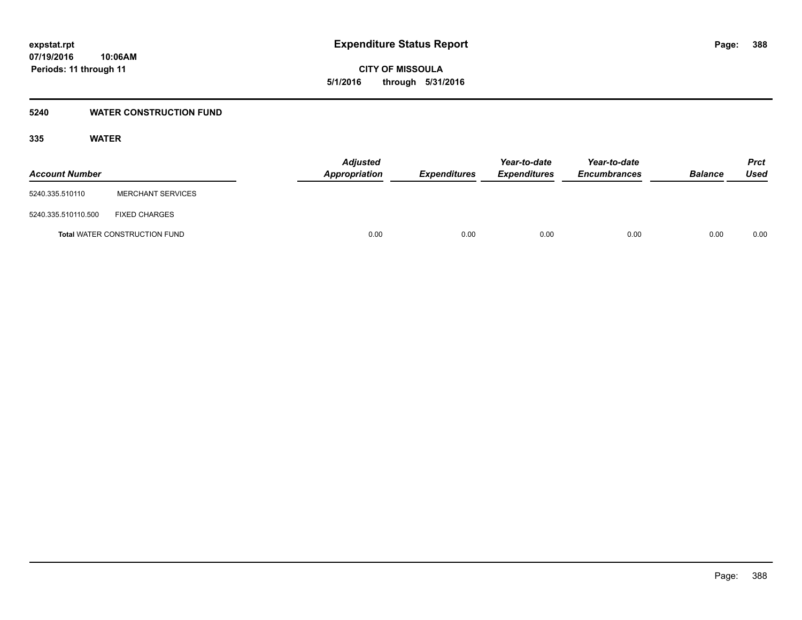**CITY OF MISSOULA 5/1/2016 through 5/31/2016**

### **5240 WATER CONSTRUCTION FUND**

| <b>Account Number</b> |                                      | <b>Adjusted</b><br>Appropriation | <b>Expenditures</b> | Year-to-date<br><i><b>Expenditures</b></i> | Year-to-date<br><b>Encumbrances</b> | <b>Balance</b> | <b>Prct</b><br>Used |
|-----------------------|--------------------------------------|----------------------------------|---------------------|--------------------------------------------|-------------------------------------|----------------|---------------------|
| 5240.335.510110       | <b>MERCHANT SERVICES</b>             |                                  |                     |                                            |                                     |                |                     |
| 5240.335.510110.500   | <b>FIXED CHARGES</b>                 |                                  |                     |                                            |                                     |                |                     |
|                       | <b>Total WATER CONSTRUCTION FUND</b> | 0.00                             | 0.00                | 0.00                                       | 0.00                                | 0.00           | 0.00                |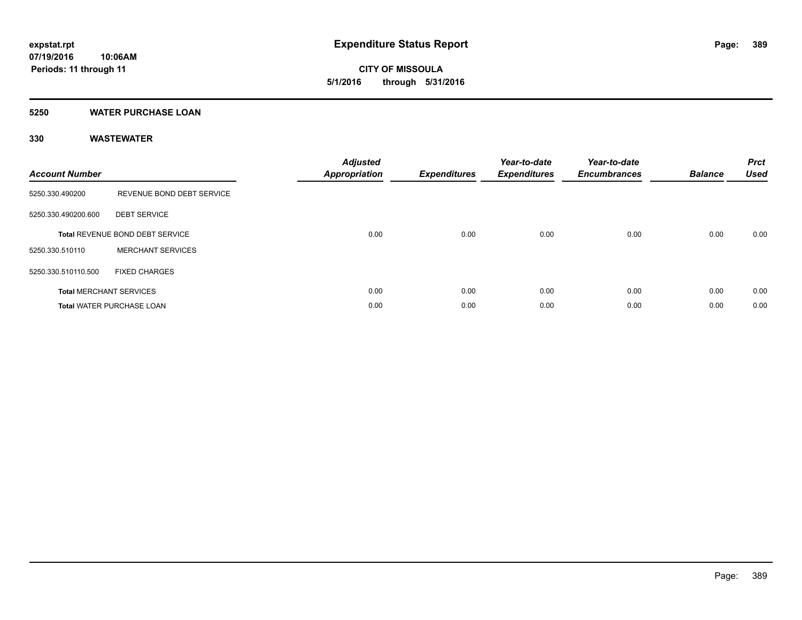**CITY OF MISSOULA 5/1/2016 through 5/31/2016**

### **5250 WATER PURCHASE LOAN**

| <b>Account Number</b> |                                        | <b>Adjusted</b><br><b>Appropriation</b> | Expenditures | Year-to-date<br><b>Expenditures</b> | Year-to-date<br><b>Encumbrances</b> | <b>Balance</b> | <b>Prct</b><br><b>Used</b> |
|-----------------------|----------------------------------------|-----------------------------------------|--------------|-------------------------------------|-------------------------------------|----------------|----------------------------|
| 5250.330.490200       | REVENUE BOND DEBT SERVICE              |                                         |              |                                     |                                     |                |                            |
| 5250.330.490200.600   | <b>DEBT SERVICE</b>                    |                                         |              |                                     |                                     |                |                            |
|                       | <b>Total REVENUE BOND DEBT SERVICE</b> | 0.00                                    | 0.00         | 0.00                                | 0.00                                | 0.00           | 0.00                       |
| 5250.330.510110       | <b>MERCHANT SERVICES</b>               |                                         |              |                                     |                                     |                |                            |
| 5250.330.510110.500   | <b>FIXED CHARGES</b>                   |                                         |              |                                     |                                     |                |                            |
|                       | <b>Total MERCHANT SERVICES</b>         | 0.00                                    | 0.00         | 0.00                                | 0.00                                | 0.00           | 0.00                       |
|                       | <b>Total WATER PURCHASE LOAN</b>       | 0.00                                    | 0.00         | 0.00                                | 0.00                                | 0.00           | 0.00                       |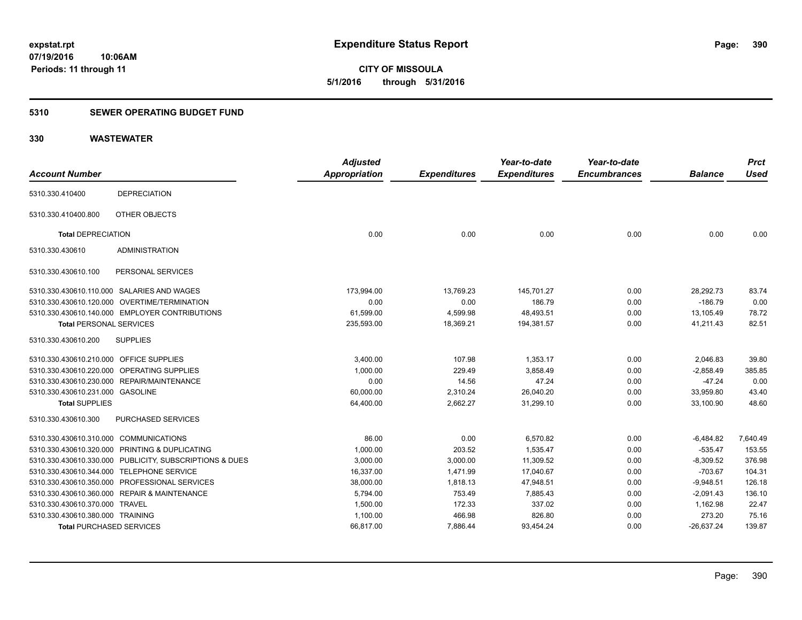**390**

**07/19/2016 10:06AM Periods: 11 through 11**

**CITY OF MISSOULA 5/1/2016 through 5/31/2016**

#### **5310 SEWER OPERATING BUDGET FUND**

| <b>Account Number</b>                   |                                                         | <b>Adjusted</b>      |                     | Year-to-date        | Year-to-date<br><b>Encumbrances</b> | <b>Balance</b> | <b>Prct</b><br><b>Used</b> |
|-----------------------------------------|---------------------------------------------------------|----------------------|---------------------|---------------------|-------------------------------------|----------------|----------------------------|
|                                         |                                                         | <b>Appropriation</b> | <b>Expenditures</b> | <b>Expenditures</b> |                                     |                |                            |
| 5310.330.410400                         | <b>DEPRECIATION</b>                                     |                      |                     |                     |                                     |                |                            |
| 5310.330.410400.800                     | OTHER OBJECTS                                           |                      |                     |                     |                                     |                |                            |
| <b>Total DEPRECIATION</b>               |                                                         | 0.00                 | 0.00                | 0.00                | 0.00                                | 0.00           | 0.00                       |
| 5310.330.430610                         | <b>ADMINISTRATION</b>                                   |                      |                     |                     |                                     |                |                            |
| 5310.330.430610.100                     | PERSONAL SERVICES                                       |                      |                     |                     |                                     |                |                            |
|                                         | 5310.330.430610.110.000 SALARIES AND WAGES              | 173,994.00           | 13,769.23           | 145,701.27          | 0.00                                | 28,292.73      | 83.74                      |
|                                         | 5310.330.430610.120.000 OVERTIME/TERMINATION            | 0.00                 | 0.00                | 186.79              | 0.00                                | $-186.79$      | 0.00                       |
|                                         | 5310.330.430610.140.000 EMPLOYER CONTRIBUTIONS          | 61,599.00            | 4,599.98            | 48,493.51           | 0.00                                | 13,105.49      | 78.72                      |
| <b>Total PERSONAL SERVICES</b>          |                                                         | 235,593.00           | 18,369.21           | 194,381.57          | 0.00                                | 41,211.43      | 82.51                      |
| 5310.330.430610.200                     | <b>SUPPLIES</b>                                         |                      |                     |                     |                                     |                |                            |
| 5310.330.430610.210.000 OFFICE SUPPLIES |                                                         | 3,400.00             | 107.98              | 1,353.17            | 0.00                                | 2,046.83       | 39.80                      |
|                                         | 5310.330.430610.220.000 OPERATING SUPPLIES              | 1,000.00             | 229.49              | 3,858.49            | 0.00                                | $-2,858.49$    | 385.85                     |
|                                         | 5310.330.430610.230.000 REPAIR/MAINTENANCE              | 0.00                 | 14.56               | 47.24               | 0.00                                | $-47.24$       | 0.00                       |
| 5310.330.430610.231.000 GASOLINE        |                                                         | 60,000.00            | 2,310.24            | 26,040.20           | 0.00                                | 33,959.80      | 43.40                      |
| <b>Total SUPPLIES</b>                   |                                                         | 64,400.00            | 2,662.27            | 31,299.10           | 0.00                                | 33,100.90      | 48.60                      |
| 5310.330.430610.300                     | PURCHASED SERVICES                                      |                      |                     |                     |                                     |                |                            |
| 5310.330.430610.310.000 COMMUNICATIONS  |                                                         | 86.00                | 0.00                | 6,570.82            | 0.00                                | $-6,484.82$    | 7,640.49                   |
|                                         | 5310.330.430610.320.000 PRINTING & DUPLICATING          | 1,000.00             | 203.52              | 1,535.47            | 0.00                                | $-535.47$      | 153.55                     |
|                                         | 5310.330.430610.330.000 PUBLICITY, SUBSCRIPTIONS & DUES | 3,000.00             | 3,000.00            | 11,309.52           | 0.00                                | $-8,309.52$    | 376.98                     |
|                                         | 5310.330.430610.344.000 TELEPHONE SERVICE               | 16,337.00            | 1,471.99            | 17,040.67           | 0.00                                | $-703.67$      | 104.31                     |
|                                         | 5310.330.430610.350.000 PROFESSIONAL SERVICES           | 38,000.00            | 1,818.13            | 47,948.51           | 0.00                                | $-9,948.51$    | 126.18                     |
|                                         | 5310.330.430610.360.000 REPAIR & MAINTENANCE            | 5,794.00             | 753.49              | 7,885.43            | 0.00                                | $-2,091.43$    | 136.10                     |
| 5310.330.430610.370.000 TRAVEL          |                                                         | 1,500.00             | 172.33              | 337.02              | 0.00                                | 1,162.98       | 22.47                      |
| 5310.330.430610.380.000 TRAINING        |                                                         | 1,100.00             | 466.98              | 826.80              | 0.00                                | 273.20         | 75.16                      |
| <b>Total PURCHASED SERVICES</b>         |                                                         | 66,817.00            | 7,886.44            | 93,454.24           | 0.00                                | $-26,637.24$   | 139.87                     |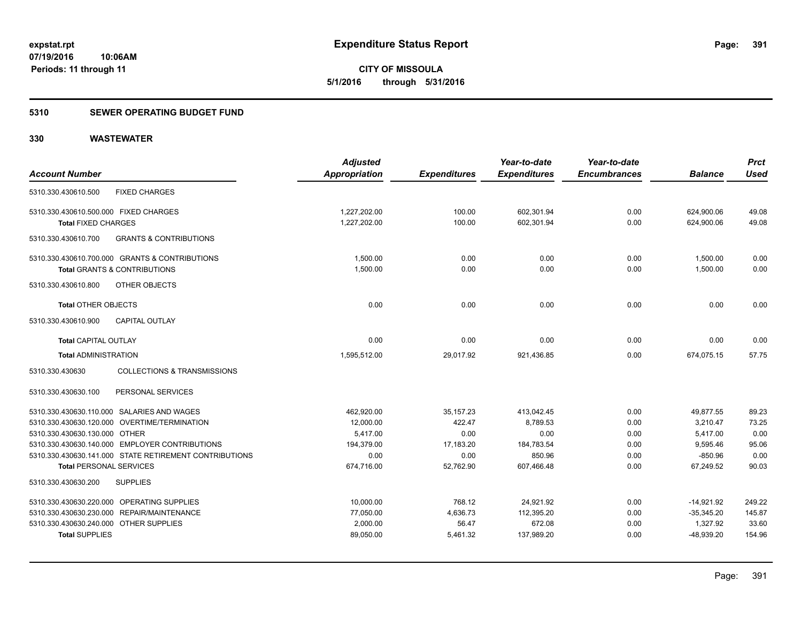**391**

**07/19/2016 10:06AM Periods: 11 through 11**

**CITY OF MISSOULA 5/1/2016 through 5/31/2016**

#### **5310 SEWER OPERATING BUDGET FUND**

|                                                           | <b>Adjusted</b> |                     | Year-to-date        | Year-to-date        |                | <b>Prct</b> |
|-----------------------------------------------------------|-----------------|---------------------|---------------------|---------------------|----------------|-------------|
| <b>Account Number</b>                                     | Appropriation   | <b>Expenditures</b> | <b>Expenditures</b> | <b>Encumbrances</b> | <b>Balance</b> | <b>Used</b> |
| <b>FIXED CHARGES</b><br>5310.330.430610.500               |                 |                     |                     |                     |                |             |
| 5310.330.430610.500.000 FIXED CHARGES                     | 1,227,202.00    | 100.00              | 602,301.94          | 0.00                | 624,900.06     | 49.08       |
| <b>Total FIXED CHARGES</b>                                | 1,227,202.00    | 100.00              | 602,301.94          | 0.00                | 624,900.06     | 49.08       |
| <b>GRANTS &amp; CONTRIBUTIONS</b><br>5310.330.430610.700  |                 |                     |                     |                     |                |             |
| 5310.330.430610.700.000 GRANTS & CONTRIBUTIONS            | 1,500.00        | 0.00                | 0.00                | 0.00                | 1,500.00       | 0.00        |
| Total GRANTS & CONTRIBUTIONS                              | 1,500.00        | 0.00                | 0.00                | 0.00                | 1,500.00       | 0.00        |
| OTHER OBJECTS<br>5310.330.430610.800                      |                 |                     |                     |                     |                |             |
| <b>Total OTHER OBJECTS</b>                                | 0.00            | 0.00                | 0.00                | 0.00                | 0.00           | 0.00        |
| 5310.330.430610.900<br><b>CAPITAL OUTLAY</b>              |                 |                     |                     |                     |                |             |
| <b>Total CAPITAL OUTLAY</b>                               | 0.00            | 0.00                | 0.00                | 0.00                | 0.00           | 0.00        |
| <b>Total ADMINISTRATION</b>                               | 1,595,512.00    | 29,017.92           | 921,436.85          | 0.00                | 674,075.15     | 57.75       |
| <b>COLLECTIONS &amp; TRANSMISSIONS</b><br>5310.330.430630 |                 |                     |                     |                     |                |             |
| 5310.330.430630.100<br>PERSONAL SERVICES                  |                 |                     |                     |                     |                |             |
| 5310.330.430630.110.000 SALARIES AND WAGES                | 462,920.00      | 35, 157.23          | 413.042.45          | 0.00                | 49,877.55      | 89.23       |
| 5310.330.430630.120.000 OVERTIME/TERMINATION              | 12,000.00       | 422.47              | 8,789.53            | 0.00                | 3,210.47       | 73.25       |
| 5310.330.430630.130.000 OTHER                             | 5,417.00        | 0.00                | 0.00                | 0.00                | 5,417.00       | 0.00        |
| 5310.330.430630.140.000 EMPLOYER CONTRIBUTIONS            | 194,379.00      | 17,183.20           | 184,783.54          | 0.00                | 9,595.46       | 95.06       |
| 5310.330.430630.141.000 STATE RETIREMENT CONTRIBUTIONS    | 0.00            | 0.00                | 850.96              | 0.00                | $-850.96$      | 0.00        |
| <b>Total PERSONAL SERVICES</b>                            | 674,716.00      | 52,762.90           | 607,466.48          | 0.00                | 67,249.52      | 90.03       |
| <b>SUPPLIES</b><br>5310.330.430630.200                    |                 |                     |                     |                     |                |             |
| 5310.330.430630.220.000 OPERATING SUPPLIES                | 10,000.00       | 768.12              | 24,921.92           | 0.00                | $-14,921.92$   | 249.22      |
| 5310.330.430630.230.000 REPAIR/MAINTENANCE                | 77,050.00       | 4,636.73            | 112,395.20          | 0.00                | $-35,345.20$   | 145.87      |
| 5310.330.430630.240.000 OTHER SUPPLIES                    | 2,000.00        | 56.47               | 672.08              | 0.00                | 1,327.92       | 33.60       |
| <b>Total SUPPLIES</b>                                     | 89,050.00       | 5,461.32            | 137,989.20          | 0.00                | $-48,939.20$   | 154.96      |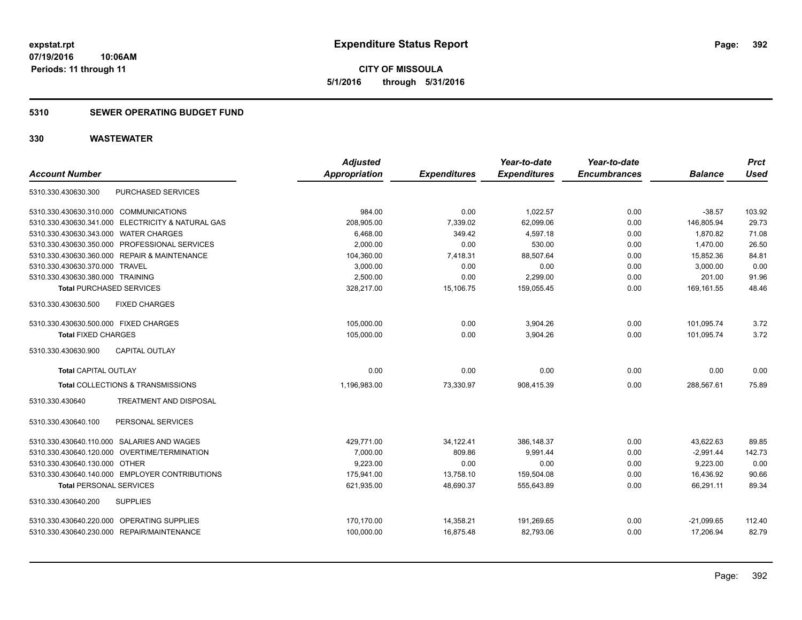**CITY OF MISSOULA 5/1/2016 through 5/31/2016**

### **5310 SEWER OPERATING BUDGET FUND**

| <b>Account Number</b>                  |                                                   | <b>Adjusted</b><br><b>Appropriation</b> | <b>Expenditures</b> | Year-to-date<br><b>Expenditures</b> | Year-to-date<br><b>Encumbrances</b> | <b>Balance</b> | <b>Prct</b><br><b>Used</b> |
|----------------------------------------|---------------------------------------------------|-----------------------------------------|---------------------|-------------------------------------|-------------------------------------|----------------|----------------------------|
| 5310.330.430630.300                    | PURCHASED SERVICES                                |                                         |                     |                                     |                                     |                |                            |
| 5310.330.430630.310.000 COMMUNICATIONS |                                                   | 984.00                                  | 0.00                | 1,022.57                            | 0.00                                | $-38.57$       | 103.92                     |
|                                        | 5310.330.430630.341.000 ELECTRICITY & NATURAL GAS | 208,905.00                              | 7,339.02            | 62,099.06                           | 0.00                                | 146,805.94     | 29.73                      |
| 5310.330.430630.343.000 WATER CHARGES  |                                                   | 6,468.00                                | 349.42              | 4,597.18                            | 0.00                                | 1,870.82       | 71.08                      |
|                                        | 5310.330.430630.350.000 PROFESSIONAL SERVICES     | 2,000.00                                | 0.00                | 530.00                              | 0.00                                | 1,470.00       | 26.50                      |
|                                        | 5310.330.430630.360.000 REPAIR & MAINTENANCE      | 104,360.00                              | 7.418.31            | 88.507.64                           | 0.00                                | 15,852.36      | 84.81                      |
| 5310.330.430630.370.000 TRAVEL         |                                                   | 3,000.00                                | 0.00                | 0.00                                | 0.00                                | 3.000.00       | 0.00                       |
| 5310.330.430630.380.000 TRAINING       |                                                   | 2,500.00                                | 0.00                | 2,299.00                            | 0.00                                | 201.00         | 91.96                      |
| <b>Total PURCHASED SERVICES</b>        |                                                   | 328,217.00                              | 15,106.75           | 159,055.45                          | 0.00                                | 169,161.55     | 48.46                      |
| 5310.330.430630.500                    | <b>FIXED CHARGES</b>                              |                                         |                     |                                     |                                     |                |                            |
| 5310.330.430630.500.000 FIXED CHARGES  |                                                   | 105,000.00                              | 0.00                | 3,904.26                            | 0.00                                | 101,095.74     | 3.72                       |
| <b>Total FIXED CHARGES</b>             |                                                   | 105,000.00                              | 0.00                | 3,904.26                            | 0.00                                | 101,095.74     | 3.72                       |
| 5310.330.430630.900                    | <b>CAPITAL OUTLAY</b>                             |                                         |                     |                                     |                                     |                |                            |
| <b>Total CAPITAL OUTLAY</b>            |                                                   | 0.00                                    | 0.00                | 0.00                                | 0.00                                | 0.00           | 0.00                       |
|                                        | Total COLLECTIONS & TRANSMISSIONS                 | 1,196,983.00                            | 73,330.97           | 908,415.39                          | 0.00                                | 288,567.61     | 75.89                      |
| 5310.330.430640                        | <b>TREATMENT AND DISPOSAL</b>                     |                                         |                     |                                     |                                     |                |                            |
| 5310.330.430640.100                    | PERSONAL SERVICES                                 |                                         |                     |                                     |                                     |                |                            |
|                                        | 5310.330.430640.110.000 SALARIES AND WAGES        | 429,771.00                              | 34,122.41           | 386.148.37                          | 0.00                                | 43,622.63      | 89.85                      |
| 5310.330.430640.120.000                | OVERTIME/TERMINATION                              | 7,000.00                                | 809.86              | 9,991.44                            | 0.00                                | $-2,991.44$    | 142.73                     |
| 5310.330.430640.130.000 OTHER          |                                                   | 9.223.00                                | 0.00                | 0.00                                | 0.00                                | 9,223.00       | 0.00                       |
|                                        | 5310.330.430640.140.000 EMPLOYER CONTRIBUTIONS    | 175,941.00                              | 13,758.10           | 159,504.08                          | 0.00                                | 16,436.92      | 90.66                      |
| <b>Total PERSONAL SERVICES</b>         |                                                   | 621,935.00                              | 48,690.37           | 555,643.89                          | 0.00                                | 66,291.11      | 89.34                      |
| 5310.330.430640.200                    | <b>SUPPLIES</b>                                   |                                         |                     |                                     |                                     |                |                            |
|                                        | 5310.330.430640.220.000 OPERATING SUPPLIES        | 170,170.00                              | 14,358.21           | 191,269.65                          | 0.00                                | $-21,099.65$   | 112.40                     |
|                                        | 5310.330.430640.230.000 REPAIR/MAINTENANCE        | 100,000.00                              | 16,875.48           | 82,793.06                           | 0.00                                | 17,206.94      | 82.79                      |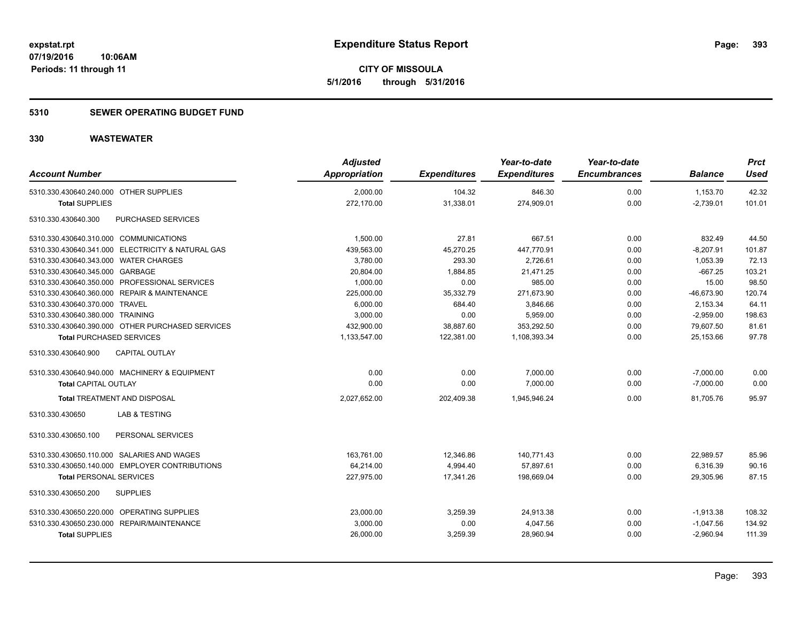**CITY OF MISSOULA 5/1/2016 through 5/31/2016**

### **5310 SEWER OPERATING BUDGET FUND**

| <b>Account Number</b>                             | <b>Adjusted</b><br>Appropriation | <b>Expenditures</b> | Year-to-date<br><b>Expenditures</b> | Year-to-date<br><b>Encumbrances</b> | <b>Balance</b> | <b>Prct</b><br>Used |
|---------------------------------------------------|----------------------------------|---------------------|-------------------------------------|-------------------------------------|----------------|---------------------|
| 5310.330.430640.240.000 OTHER SUPPLIES            | 2.000.00                         | 104.32              | 846.30                              | 0.00                                | 1,153.70       | 42.32               |
| <b>Total SUPPLIES</b>                             | 272,170.00                       | 31,338.01           | 274,909.01                          | 0.00                                | $-2,739.01$    | 101.01              |
| 5310.330.430640.300<br>PURCHASED SERVICES         |                                  |                     |                                     |                                     |                |                     |
| 5310.330.430640.310.000 COMMUNICATIONS            | 1,500.00                         | 27.81               | 667.51                              | 0.00                                | 832.49         | 44.50               |
| 5310.330.430640.341.000 ELECTRICITY & NATURAL GAS | 439,563.00                       | 45,270.25           | 447,770.91                          | 0.00                                | $-8,207.91$    | 101.87              |
| 5310.330.430640.343.000 WATER CHARGES             | 3,780.00                         | 293.30              | 2,726.61                            | 0.00                                | 1,053.39       | 72.13               |
| 5310.330.430640.345.000 GARBAGE                   | 20,804.00                        | 1,884.85            | 21,471.25                           | 0.00                                | $-667.25$      | 103.21              |
| 5310.330.430640.350.000 PROFESSIONAL SERVICES     | 1,000.00                         | 0.00                | 985.00                              | 0.00                                | 15.00          | 98.50               |
| 5310.330.430640.360.000 REPAIR & MAINTENANCE      | 225,000.00                       | 35,332.79           | 271,673.90                          | 0.00                                | $-46,673.90$   | 120.74              |
| 5310.330.430640.370.000 TRAVEL                    | 6,000.00                         | 684.40              | 3,846.66                            | 0.00                                | 2,153.34       | 64.11               |
| 5310.330.430640.380.000 TRAINING                  | 3,000.00                         | 0.00                | 5.959.00                            | 0.00                                | $-2.959.00$    | 198.63              |
| 5310.330.430640.390.000 OTHER PURCHASED SERVICES  | 432,900.00                       | 38,887.60           | 353,292.50                          | 0.00                                | 79,607.50      | 81.61               |
| <b>Total PURCHASED SERVICES</b>                   | 1,133,547.00                     | 122,381.00          | 1,108,393.34                        | 0.00                                | 25,153.66      | 97.78               |
| CAPITAL OUTLAY<br>5310.330.430640.900             |                                  |                     |                                     |                                     |                |                     |
| 5310.330.430640.940.000 MACHINERY & EQUIPMENT     | 0.00                             | 0.00                | 7,000.00                            | 0.00                                | $-7,000.00$    | 0.00                |
| <b>Total CAPITAL OUTLAY</b>                       | 0.00                             | 0.00                | 7,000.00                            | 0.00                                | $-7,000.00$    | 0.00                |
| <b>Total TREATMENT AND DISPOSAL</b>               | 2,027,652.00                     | 202,409.38          | 1,945,946.24                        | 0.00                                | 81.705.76      | 95.97               |
| 5310.330.430650<br>LAB & TESTING                  |                                  |                     |                                     |                                     |                |                     |
| PERSONAL SERVICES<br>5310.330.430650.100          |                                  |                     |                                     |                                     |                |                     |
| 5310.330.430650.110.000 SALARIES AND WAGES        | 163,761.00                       | 12,346.86           | 140,771.43                          | 0.00                                | 22,989.57      | 85.96               |
| 5310.330.430650.140.000 EMPLOYER CONTRIBUTIONS    | 64,214.00                        | 4,994.40            | 57,897.61                           | 0.00                                | 6,316.39       | 90.16               |
| <b>Total PERSONAL SERVICES</b>                    | 227,975.00                       | 17,341.26           | 198,669.04                          | 0.00                                | 29,305.96      | 87.15               |
| 5310.330.430650.200<br><b>SUPPLIES</b>            |                                  |                     |                                     |                                     |                |                     |
| 5310.330.430650.220.000 OPERATING SUPPLIES        | 23,000.00                        | 3,259.39            | 24,913.38                           | 0.00                                | $-1,913.38$    | 108.32              |
| 5310.330.430650.230.000 REPAIR/MAINTENANCE        | 3,000.00                         | 0.00                | 4,047.56                            | 0.00                                | $-1,047.56$    | 134.92              |
| <b>Total SUPPLIES</b>                             | 26,000.00                        | 3,259.39            | 28,960.94                           | 0.00                                | $-2,960.94$    | 111.39              |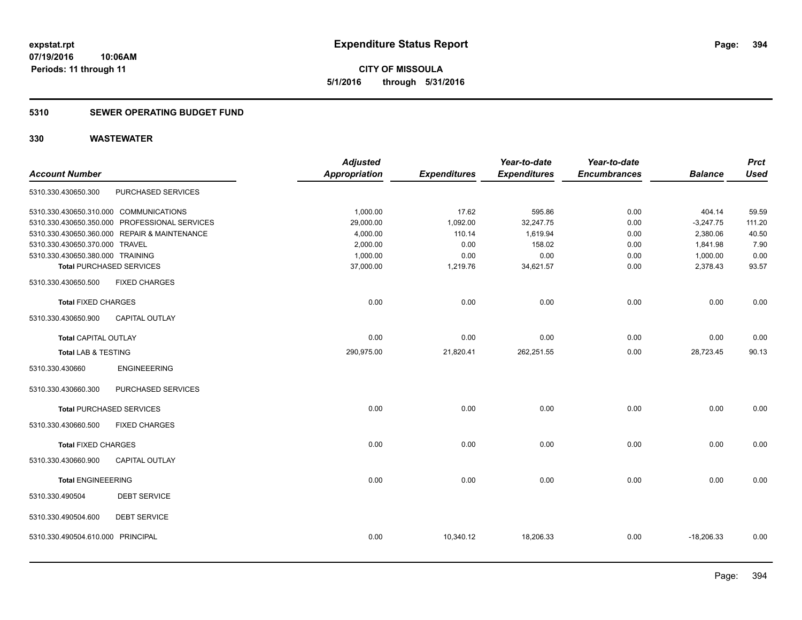**394**

**07/19/2016 10:06AM Periods: 11 through 11**

**CITY OF MISSOULA 5/1/2016 through 5/31/2016**

#### **5310 SEWER OPERATING BUDGET FUND**

| <b>Account Number</b>             |                                               | <b>Adjusted</b><br><b>Appropriation</b> | <b>Expenditures</b> | Year-to-date<br><b>Expenditures</b> | Year-to-date<br><b>Encumbrances</b> | <b>Balance</b> | <b>Prct</b><br><b>Used</b> |
|-----------------------------------|-----------------------------------------------|-----------------------------------------|---------------------|-------------------------------------|-------------------------------------|----------------|----------------------------|
| 5310.330.430650.300               | PURCHASED SERVICES                            |                                         |                     |                                     |                                     |                |                            |
|                                   | 5310.330.430650.310.000 COMMUNICATIONS        | 1,000.00                                | 17.62               | 595.86                              | 0.00                                | 404.14         | 59.59                      |
|                                   | 5310.330.430650.350.000 PROFESSIONAL SERVICES | 29,000.00                               | 1,092.00            | 32,247.75                           | 0.00                                | $-3,247.75$    | 111.20                     |
|                                   | 5310.330.430650.360.000 REPAIR & MAINTENANCE  | 4,000.00                                | 110.14              | 1,619.94                            | 0.00                                | 2,380.06       | 40.50                      |
| 5310.330.430650.370.000 TRAVEL    |                                               | 2,000.00                                | 0.00                | 158.02                              | 0.00                                | 1,841.98       | 7.90                       |
| 5310.330.430650.380.000 TRAINING  |                                               | 1,000.00                                | 0.00                | 0.00                                | 0.00                                | 1,000.00       | 0.00                       |
|                                   | <b>Total PURCHASED SERVICES</b>               | 37,000.00                               | 1,219.76            | 34,621.57                           | 0.00                                | 2,378.43       | 93.57                      |
| 5310.330.430650.500               | <b>FIXED CHARGES</b>                          |                                         |                     |                                     |                                     |                |                            |
| <b>Total FIXED CHARGES</b>        |                                               | 0.00                                    | 0.00                | 0.00                                | 0.00                                | 0.00           | 0.00                       |
| 5310.330.430650.900               | CAPITAL OUTLAY                                |                                         |                     |                                     |                                     |                |                            |
| <b>Total CAPITAL OUTLAY</b>       |                                               | 0.00                                    | 0.00                | 0.00                                | 0.00                                | 0.00           | 0.00                       |
| <b>Total LAB &amp; TESTING</b>    |                                               | 290,975.00                              | 21,820.41           | 262,251.55                          | 0.00                                | 28,723.45      | 90.13                      |
| 5310.330.430660                   | <b>ENGINEEERING</b>                           |                                         |                     |                                     |                                     |                |                            |
| 5310.330.430660.300               | PURCHASED SERVICES                            |                                         |                     |                                     |                                     |                |                            |
|                                   | <b>Total PURCHASED SERVICES</b>               | 0.00                                    | 0.00                | 0.00                                | 0.00                                | 0.00           | 0.00                       |
| 5310.330.430660.500               | <b>FIXED CHARGES</b>                          |                                         |                     |                                     |                                     |                |                            |
| <b>Total FIXED CHARGES</b>        |                                               | 0.00                                    | 0.00                | 0.00                                | 0.00                                | 0.00           | 0.00                       |
| 5310.330.430660.900               | <b>CAPITAL OUTLAY</b>                         |                                         |                     |                                     |                                     |                |                            |
| <b>Total ENGINEEERING</b>         |                                               | 0.00                                    | 0.00                | 0.00                                | 0.00                                | 0.00           | 0.00                       |
| 5310.330.490504                   | <b>DEBT SERVICE</b>                           |                                         |                     |                                     |                                     |                |                            |
| 5310.330.490504.600               | <b>DEBT SERVICE</b>                           |                                         |                     |                                     |                                     |                |                            |
| 5310.330.490504.610.000 PRINCIPAL |                                               | 0.00                                    | 10,340.12           | 18,206.33                           | 0.00                                | $-18,206.33$   | 0.00                       |
|                                   |                                               |                                         |                     |                                     |                                     |                |                            |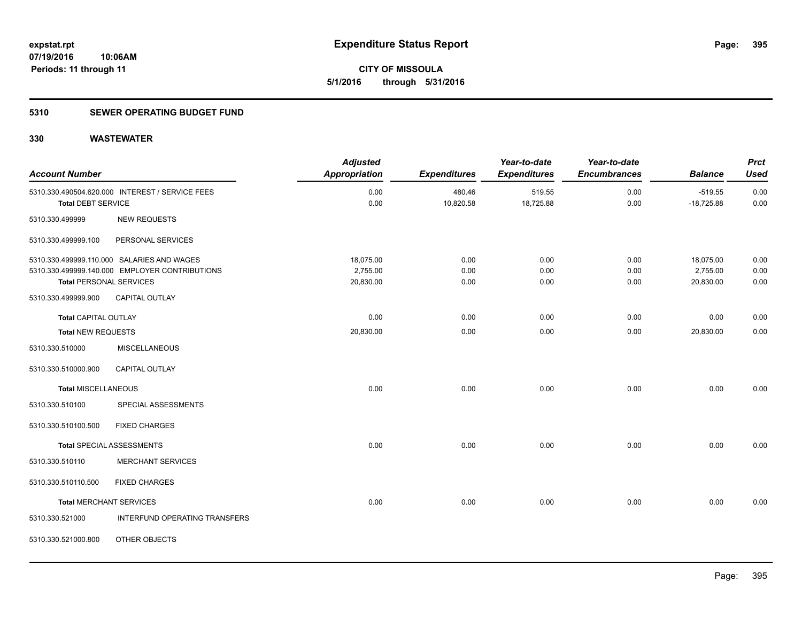**395**

**07/19/2016 10:06AM Periods: 11 through 11**

**CITY OF MISSOULA 5/1/2016 through 5/31/2016**

#### **5310 SEWER OPERATING BUDGET FUND**

| <b>Account Number</b>          |                                                 | <b>Adjusted</b><br><b>Appropriation</b> | <b>Expenditures</b> | Year-to-date<br><b>Expenditures</b> | Year-to-date<br><b>Encumbrances</b> | <b>Balance</b> | <b>Prct</b><br><b>Used</b> |
|--------------------------------|-------------------------------------------------|-----------------------------------------|---------------------|-------------------------------------|-------------------------------------|----------------|----------------------------|
|                                | 5310.330.490504.620.000 INTEREST / SERVICE FEES | 0.00                                    | 480.46              | 519.55                              | 0.00                                | $-519.55$      | 0.00                       |
| <b>Total DEBT SERVICE</b>      |                                                 | 0.00                                    | 10,820.58           | 18,725.88                           | 0.00                                | $-18,725.88$   | 0.00                       |
| 5310.330.499999                | <b>NEW REQUESTS</b>                             |                                         |                     |                                     |                                     |                |                            |
| 5310.330.499999.100            | PERSONAL SERVICES                               |                                         |                     |                                     |                                     |                |                            |
|                                | 5310.330.499999.110.000 SALARIES AND WAGES      | 18,075.00                               | 0.00                | 0.00                                | 0.00                                | 18,075.00      | 0.00                       |
|                                | 5310.330.499999.140.000 EMPLOYER CONTRIBUTIONS  | 2,755.00                                | 0.00                | 0.00                                | 0.00                                | 2,755.00       | 0.00                       |
| <b>Total PERSONAL SERVICES</b> |                                                 | 20,830.00                               | 0.00                | 0.00                                | 0.00                                | 20,830.00      | 0.00                       |
| 5310.330.499999.900            | <b>CAPITAL OUTLAY</b>                           |                                         |                     |                                     |                                     |                |                            |
| <b>Total CAPITAL OUTLAY</b>    |                                                 | 0.00                                    | 0.00                | 0.00                                | 0.00                                | 0.00           | 0.00                       |
| <b>Total NEW REQUESTS</b>      |                                                 | 20,830.00                               | 0.00                | 0.00                                | 0.00                                | 20,830.00      | 0.00                       |
| 5310.330.510000                | <b>MISCELLANEOUS</b>                            |                                         |                     |                                     |                                     |                |                            |
| 5310.330.510000.900            | <b>CAPITAL OUTLAY</b>                           |                                         |                     |                                     |                                     |                |                            |
| Total MISCELLANEOUS            |                                                 | 0.00                                    | 0.00                | 0.00                                | 0.00                                | 0.00           | 0.00                       |
| 5310.330.510100                | SPECIAL ASSESSMENTS                             |                                         |                     |                                     |                                     |                |                            |
| 5310.330.510100.500            | <b>FIXED CHARGES</b>                            |                                         |                     |                                     |                                     |                |                            |
|                                | Total SPECIAL ASSESSMENTS                       | 0.00                                    | 0.00                | 0.00                                | 0.00                                | 0.00           | 0.00                       |
| 5310.330.510110                | <b>MERCHANT SERVICES</b>                        |                                         |                     |                                     |                                     |                |                            |
| 5310.330.510110.500            | <b>FIXED CHARGES</b>                            |                                         |                     |                                     |                                     |                |                            |
| <b>Total MERCHANT SERVICES</b> |                                                 | 0.00                                    | 0.00                | 0.00                                | 0.00                                | 0.00           | 0.00                       |
| 5310.330.521000                | INTERFUND OPERATING TRANSFERS                   |                                         |                     |                                     |                                     |                |                            |
| 5310.330.521000.800            | OTHER OBJECTS                                   |                                         |                     |                                     |                                     |                |                            |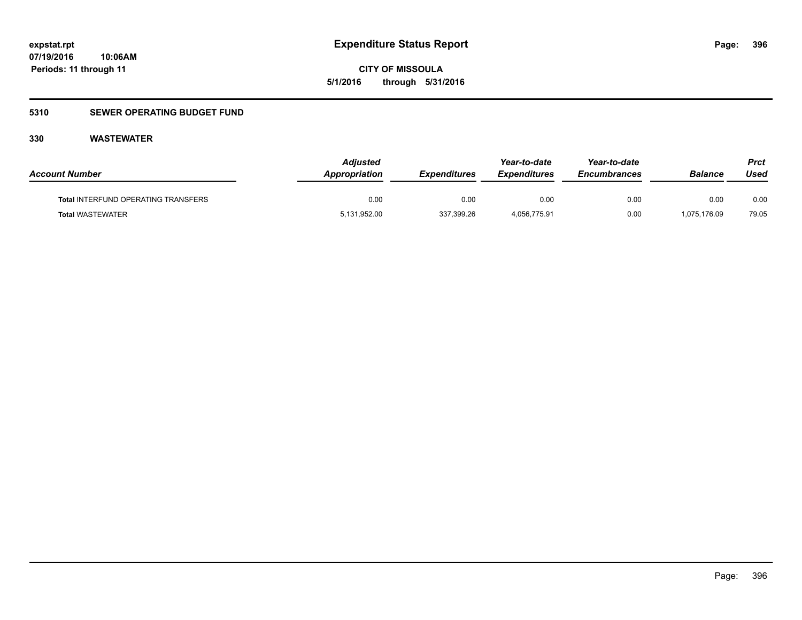**CITY OF MISSOULA 5/1/2016 through 5/31/2016**

### **5310 SEWER OPERATING BUDGET FUND**

| <b>Account Number</b>                      | <b>Adiusted</b><br>Appropriation | <i><b>Expenditures</b></i> | Year-to-date<br><i><b>Expenditures</b></i> | Year-to-date<br><b>Encumbrances</b> | <b>Balance</b> | Prct<br>Used |
|--------------------------------------------|----------------------------------|----------------------------|--------------------------------------------|-------------------------------------|----------------|--------------|
| <b>Total INTERFUND OPERATING TRANSFERS</b> | 0.00                             | 0.00                       | 0.00                                       | 0.00                                | 0.00           | 0.00         |
| <b>Total WASTEWATER</b>                    | 5,131,952.00                     | 337,399.26                 | 4,056,775.91                               | 0.00                                | 1,075,176.09   | 79.05        |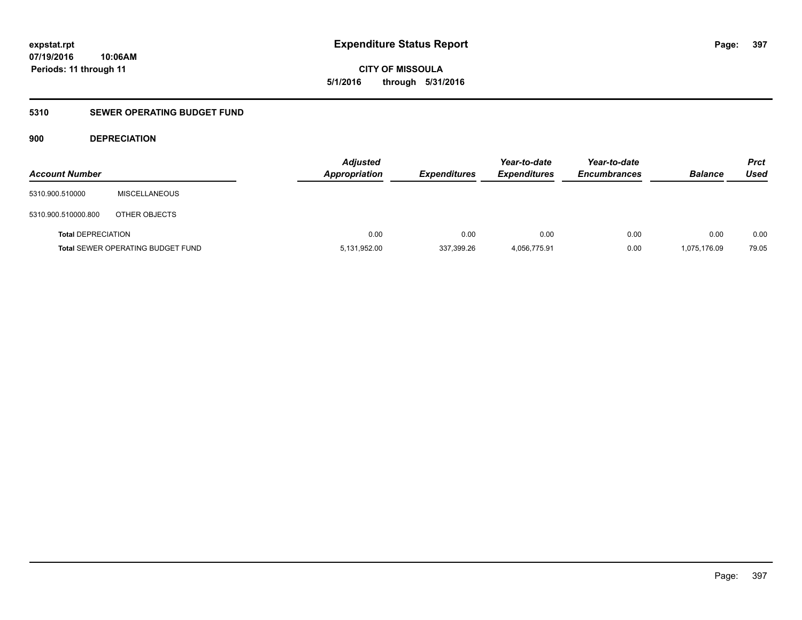**CITY OF MISSOULA 5/1/2016 through 5/31/2016**

### **5310 SEWER OPERATING BUDGET FUND**

### **900 DEPRECIATION**

| <b>Account Number</b>     |                                          | <b>Adjusted</b><br><b>Appropriation</b> | <b>Expenditures</b> | Year-to-date<br><b>Expenditures</b> | Year-to-date<br><b>Encumbrances</b> | <b>Balance</b> | Prct<br><b>Used</b> |
|---------------------------|------------------------------------------|-----------------------------------------|---------------------|-------------------------------------|-------------------------------------|----------------|---------------------|
| 5310.900.510000           | <b>MISCELLANEOUS</b>                     |                                         |                     |                                     |                                     |                |                     |
| 5310.900.510000.800       | OTHER OBJECTS                            |                                         |                     |                                     |                                     |                |                     |
| <b>Total DEPRECIATION</b> |                                          | 0.00                                    | 0.00                | 0.00                                | 0.00                                | 0.00           | 0.00                |
|                           | <b>Total SEWER OPERATING BUDGET FUND</b> | 5,131,952.00                            | 337,399.26          | 4,056,775.91                        | 0.00                                | 1,075,176.09   | 79.05               |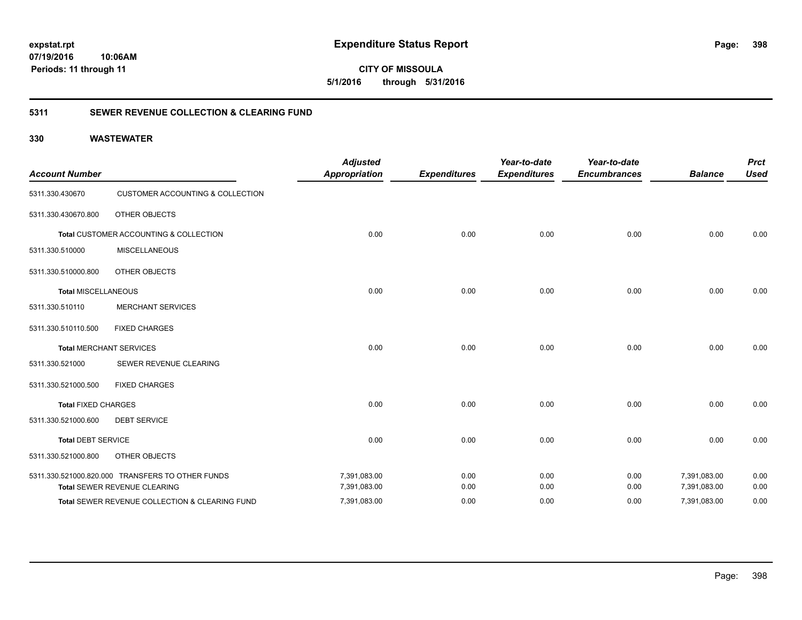**CITY OF MISSOULA 5/1/2016 through 5/31/2016**

### **5311 SEWER REVENUE COLLECTION & CLEARING FUND**

| <b>Account Number</b>      |                                                  | <b>Adjusted</b><br><b>Appropriation</b> | <b>Expenditures</b> | Year-to-date<br><b>Expenditures</b> | Year-to-date<br><b>Encumbrances</b> | <b>Balance</b> | <b>Prct</b><br><b>Used</b> |
|----------------------------|--------------------------------------------------|-----------------------------------------|---------------------|-------------------------------------|-------------------------------------|----------------|----------------------------|
| 5311.330.430670            | <b>CUSTOMER ACCOUNTING &amp; COLLECTION</b>      |                                         |                     |                                     |                                     |                |                            |
| 5311.330.430670.800        | OTHER OBJECTS                                    |                                         |                     |                                     |                                     |                |                            |
|                            | Total CUSTOMER ACCOUNTING & COLLECTION           | 0.00                                    | 0.00                | 0.00                                | 0.00                                | 0.00           | 0.00                       |
| 5311.330.510000            | <b>MISCELLANEOUS</b>                             |                                         |                     |                                     |                                     |                |                            |
| 5311.330.510000.800        | OTHER OBJECTS                                    |                                         |                     |                                     |                                     |                |                            |
| <b>Total MISCELLANEOUS</b> |                                                  | 0.00                                    | 0.00                | 0.00                                | 0.00                                | 0.00           | 0.00                       |
| 5311.330.510110            | <b>MERCHANT SERVICES</b>                         |                                         |                     |                                     |                                     |                |                            |
| 5311.330.510110.500        | <b>FIXED CHARGES</b>                             |                                         |                     |                                     |                                     |                |                            |
|                            | <b>Total MERCHANT SERVICES</b>                   | 0.00                                    | 0.00                | 0.00                                | 0.00                                | 0.00           | 0.00                       |
| 5311.330.521000            | SEWER REVENUE CLEARING                           |                                         |                     |                                     |                                     |                |                            |
| 5311.330.521000.500        | <b>FIXED CHARGES</b>                             |                                         |                     |                                     |                                     |                |                            |
| <b>Total FIXED CHARGES</b> |                                                  | 0.00                                    | 0.00                | 0.00                                | 0.00                                | 0.00           | 0.00                       |
| 5311.330.521000.600        | <b>DEBT SERVICE</b>                              |                                         |                     |                                     |                                     |                |                            |
| <b>Total DEBT SERVICE</b>  |                                                  | 0.00                                    | 0.00                | 0.00                                | 0.00                                | 0.00           | 0.00                       |
| 5311.330.521000.800        | OTHER OBJECTS                                    |                                         |                     |                                     |                                     |                |                            |
|                            | 5311.330.521000.820.000 TRANSFERS TO OTHER FUNDS | 7,391,083.00                            | 0.00                | 0.00                                | 0.00                                | 7,391,083.00   | 0.00                       |
|                            | Total SEWER REVENUE CLEARING                     | 7,391,083.00                            | 0.00                | 0.00                                | 0.00                                | 7,391,083.00   | 0.00                       |
|                            | Total SEWER REVENUE COLLECTION & CLEARING FUND   | 7,391,083.00                            | 0.00                | 0.00                                | 0.00                                | 7,391,083.00   | 0.00                       |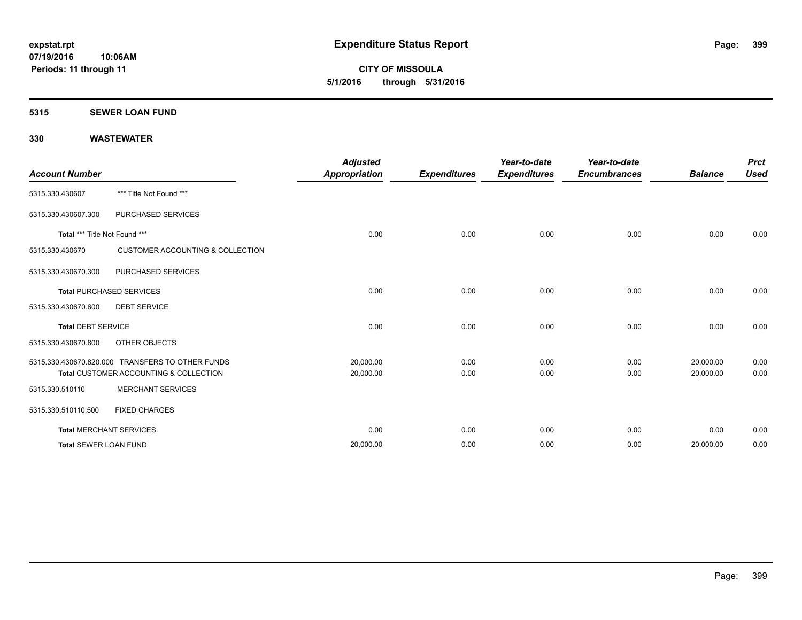**CITY OF MISSOULA 5/1/2016 through 5/31/2016**

#### **5315 SEWER LOAN FUND**

| <b>Account Number</b>         |                                                  | <b>Adjusted</b><br><b>Appropriation</b> | <b>Expenditures</b> | Year-to-date<br><b>Expenditures</b> | Year-to-date<br><b>Encumbrances</b> | <b>Balance</b> | <b>Prct</b><br><b>Used</b> |
|-------------------------------|--------------------------------------------------|-----------------------------------------|---------------------|-------------------------------------|-------------------------------------|----------------|----------------------------|
| 5315.330.430607               | *** Title Not Found ***                          |                                         |                     |                                     |                                     |                |                            |
| 5315.330.430607.300           | PURCHASED SERVICES                               |                                         |                     |                                     |                                     |                |                            |
| Total *** Title Not Found *** |                                                  | 0.00                                    | 0.00                | 0.00                                | 0.00                                | 0.00           | 0.00                       |
| 5315.330.430670               | <b>CUSTOMER ACCOUNTING &amp; COLLECTION</b>      |                                         |                     |                                     |                                     |                |                            |
| 5315.330.430670.300           | PURCHASED SERVICES                               |                                         |                     |                                     |                                     |                |                            |
|                               | <b>Total PURCHASED SERVICES</b>                  | 0.00                                    | 0.00                | 0.00                                | 0.00                                | 0.00           | 0.00                       |
| 5315.330.430670.600           | <b>DEBT SERVICE</b>                              |                                         |                     |                                     |                                     |                |                            |
| <b>Total DEBT SERVICE</b>     |                                                  | 0.00                                    | 0.00                | 0.00                                | 0.00                                | 0.00           | 0.00                       |
| 5315.330.430670.800           | OTHER OBJECTS                                    |                                         |                     |                                     |                                     |                |                            |
|                               | 5315.330.430670.820.000 TRANSFERS TO OTHER FUNDS | 20,000.00                               | 0.00                | 0.00                                | 0.00                                | 20,000.00      | 0.00                       |
|                               | Total CUSTOMER ACCOUNTING & COLLECTION           | 20,000.00                               | 0.00                | 0.00                                | 0.00                                | 20,000.00      | 0.00                       |
| 5315.330.510110               | <b>MERCHANT SERVICES</b>                         |                                         |                     |                                     |                                     |                |                            |
| 5315.330.510110.500           | <b>FIXED CHARGES</b>                             |                                         |                     |                                     |                                     |                |                            |
|                               | <b>Total MERCHANT SERVICES</b>                   | 0.00                                    | 0.00                | 0.00                                | 0.00                                | 0.00           | 0.00                       |
| <b>Total SEWER LOAN FUND</b>  |                                                  | 20,000.00                               | 0.00                | 0.00                                | 0.00                                | 20,000.00      | 0.00                       |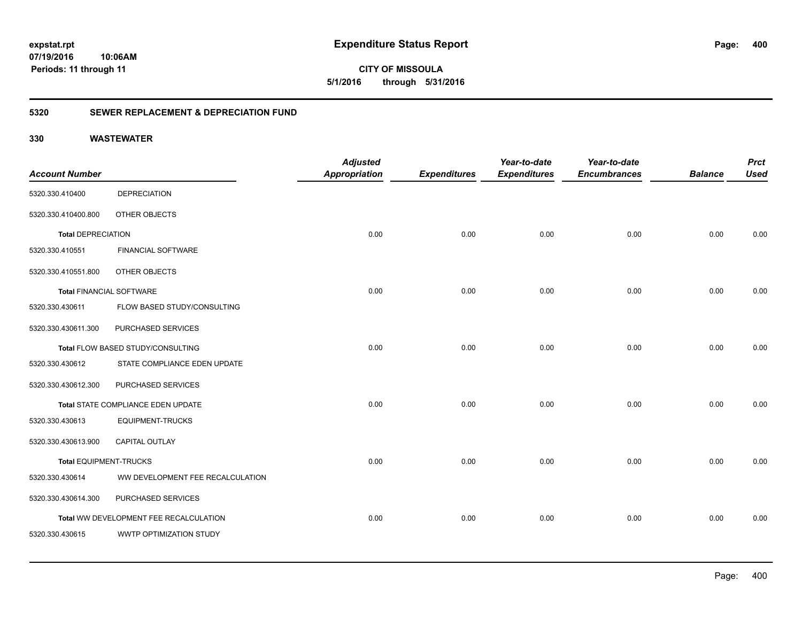**400**

**CITY OF MISSOULA 5/1/2016 through 5/31/2016**

### **5320 SEWER REPLACEMENT & DEPRECIATION FUND**

|                                 |                                        | <b>Adjusted</b>      |                     | Year-to-date        | Year-to-date        |                | <b>Prct</b> |
|---------------------------------|----------------------------------------|----------------------|---------------------|---------------------|---------------------|----------------|-------------|
| <b>Account Number</b>           |                                        | <b>Appropriation</b> | <b>Expenditures</b> | <b>Expenditures</b> | <b>Encumbrances</b> | <b>Balance</b> | <b>Used</b> |
| 5320.330.410400                 | <b>DEPRECIATION</b>                    |                      |                     |                     |                     |                |             |
| 5320.330.410400.800             | OTHER OBJECTS                          |                      |                     |                     |                     |                |             |
| <b>Total DEPRECIATION</b>       |                                        | 0.00                 | 0.00                | 0.00                | 0.00                | 0.00           | 0.00        |
| 5320.330.410551                 | <b>FINANCIAL SOFTWARE</b>              |                      |                     |                     |                     |                |             |
| 5320.330.410551.800             | OTHER OBJECTS                          |                      |                     |                     |                     |                |             |
| <b>Total FINANCIAL SOFTWARE</b> |                                        | 0.00                 | 0.00                | 0.00                | 0.00                | 0.00           | 0.00        |
| 5320.330.430611                 | FLOW BASED STUDY/CONSULTING            |                      |                     |                     |                     |                |             |
| 5320.330.430611.300             | PURCHASED SERVICES                     |                      |                     |                     |                     |                |             |
|                                 | Total FLOW BASED STUDY/CONSULTING      | 0.00                 | 0.00                | 0.00                | 0.00                | 0.00           | 0.00        |
| 5320.330.430612                 | STATE COMPLIANCE EDEN UPDATE           |                      |                     |                     |                     |                |             |
| 5320.330.430612.300             | PURCHASED SERVICES                     |                      |                     |                     |                     |                |             |
|                                 | Total STATE COMPLIANCE EDEN UPDATE     | 0.00                 | 0.00                | 0.00                | 0.00                | 0.00           | 0.00        |
| 5320.330.430613                 | <b>EQUIPMENT-TRUCKS</b>                |                      |                     |                     |                     |                |             |
| 5320.330.430613.900             | CAPITAL OUTLAY                         |                      |                     |                     |                     |                |             |
| <b>Total EQUIPMENT-TRUCKS</b>   |                                        | 0.00                 | 0.00                | 0.00                | 0.00                | 0.00           | 0.00        |
| 5320.330.430614                 | WW DEVELOPMENT FEE RECALCULATION       |                      |                     |                     |                     |                |             |
| 5320.330.430614.300             | PURCHASED SERVICES                     |                      |                     |                     |                     |                |             |
|                                 | Total WW DEVELOPMENT FEE RECALCULATION | 0.00                 | 0.00                | 0.00                | 0.00                | 0.00           | 0.00        |
| 5320.330.430615                 | WWTP OPTIMIZATION STUDY                |                      |                     |                     |                     |                |             |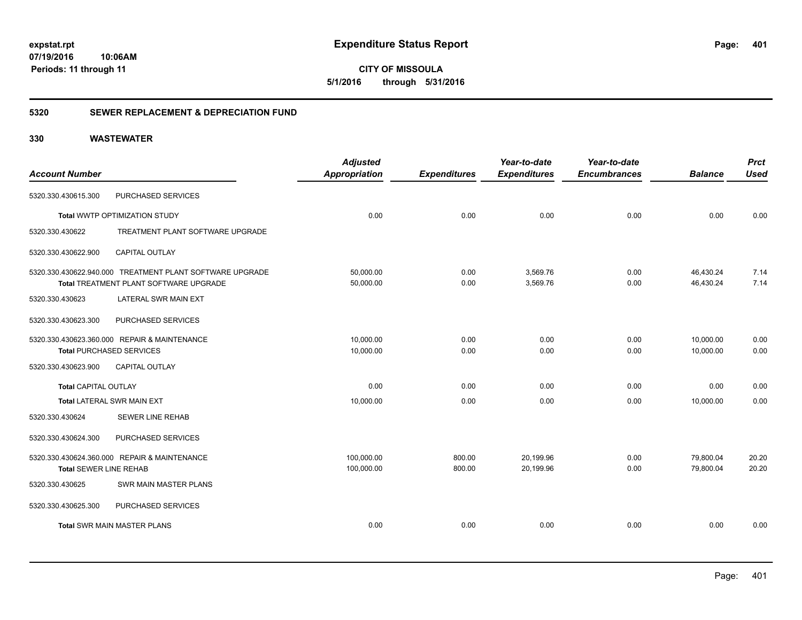**CITY OF MISSOULA 5/1/2016 through 5/31/2016**

### **5320 SEWER REPLACEMENT & DEPRECIATION FUND**

| <b>Account Number</b>         |                                                                                                           | <b>Adjusted</b><br><b>Appropriation</b> | <b>Expenditures</b> | Year-to-date<br><b>Expenditures</b> | Year-to-date<br><b>Encumbrances</b> | <b>Balance</b>         | <b>Prct</b><br><b>Used</b> |
|-------------------------------|-----------------------------------------------------------------------------------------------------------|-----------------------------------------|---------------------|-------------------------------------|-------------------------------------|------------------------|----------------------------|
| 5320.330.430615.300           | PURCHASED SERVICES                                                                                        |                                         |                     |                                     |                                     |                        |                            |
|                               | Total WWTP OPTIMIZATION STUDY                                                                             | 0.00                                    | 0.00                | 0.00                                | 0.00                                | 0.00                   | 0.00                       |
| 5320.330.430622               | TREATMENT PLANT SOFTWARE UPGRADE                                                                          |                                         |                     |                                     |                                     |                        |                            |
| 5320.330.430622.900           | <b>CAPITAL OUTLAY</b>                                                                                     |                                         |                     |                                     |                                     |                        |                            |
|                               | 5320.330.430622.940.000 TREATMENT PLANT SOFTWARE UPGRADE<br><b>Total TREATMENT PLANT SOFTWARE UPGRADE</b> | 50,000.00<br>50,000.00                  | 0.00<br>0.00        | 3,569.76<br>3,569.76                | 0.00<br>0.00                        | 46,430.24<br>46,430.24 | 7.14<br>7.14               |
| 5320.330.430623               | <b>LATERAL SWR MAIN EXT</b>                                                                               |                                         |                     |                                     |                                     |                        |                            |
| 5320.330.430623.300           | PURCHASED SERVICES                                                                                        |                                         |                     |                                     |                                     |                        |                            |
|                               | 5320.330.430623.360.000 REPAIR & MAINTENANCE<br><b>Total PURCHASED SERVICES</b>                           | 10,000.00<br>10,000.00                  | 0.00<br>0.00        | 0.00<br>0.00                        | 0.00<br>0.00                        | 10,000.00<br>10,000.00 | 0.00<br>0.00               |
| 5320.330.430623.900           | <b>CAPITAL OUTLAY</b>                                                                                     |                                         |                     |                                     |                                     |                        |                            |
| <b>Total CAPITAL OUTLAY</b>   |                                                                                                           | 0.00                                    | 0.00                | 0.00                                | 0.00                                | 0.00                   | 0.00                       |
|                               | <b>Total LATERAL SWR MAIN EXT</b>                                                                         | 10,000.00                               | 0.00                | 0.00                                | 0.00                                | 10,000.00              | 0.00                       |
| 5320.330.430624               | <b>SEWER LINE REHAB</b>                                                                                   |                                         |                     |                                     |                                     |                        |                            |
| 5320.330.430624.300           | PURCHASED SERVICES                                                                                        |                                         |                     |                                     |                                     |                        |                            |
| <b>Total SEWER LINE REHAB</b> | 5320.330.430624.360.000 REPAIR & MAINTENANCE                                                              | 100,000.00<br>100,000.00                | 800.00<br>800.00    | 20,199.96<br>20,199.96              | 0.00<br>0.00                        | 79,800.04<br>79,800.04 | 20.20<br>20.20             |
| 5320.330.430625               | <b>SWR MAIN MASTER PLANS</b>                                                                              |                                         |                     |                                     |                                     |                        |                            |
| 5320.330.430625.300           | PURCHASED SERVICES                                                                                        |                                         |                     |                                     |                                     |                        |                            |
|                               | <b>Total SWR MAIN MASTER PLANS</b>                                                                        | 0.00                                    | 0.00                | 0.00                                | 0.00                                | 0.00                   | 0.00                       |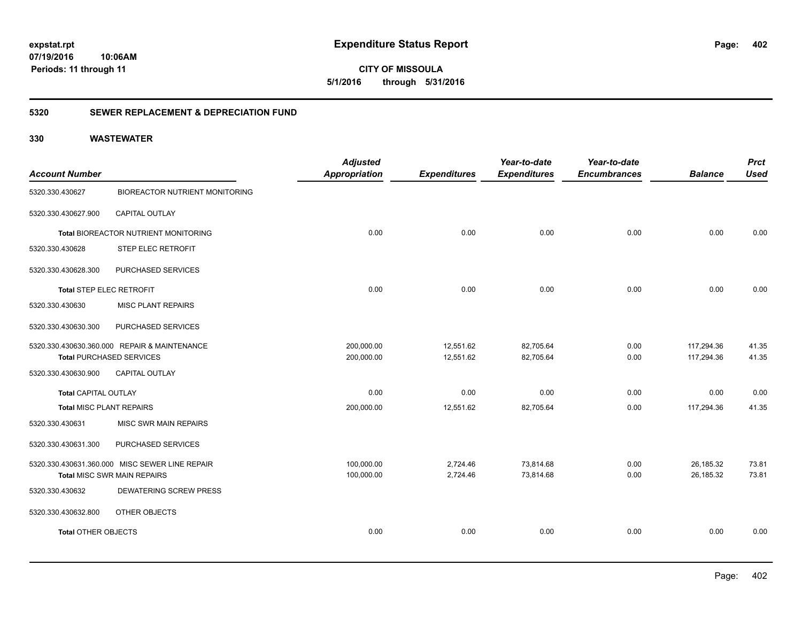**402**

**CITY OF MISSOULA 5/1/2016 through 5/31/2016**

### **5320 SEWER REPLACEMENT & DEPRECIATION FUND**

| <b>Account Number</b>           |                                                | <b>Adjusted</b><br>Appropriation | <b>Expenditures</b> | Year-to-date<br><b>Expenditures</b> | Year-to-date<br><b>Encumbrances</b> | <b>Balance</b> | <b>Prct</b><br><b>Used</b> |
|---------------------------------|------------------------------------------------|----------------------------------|---------------------|-------------------------------------|-------------------------------------|----------------|----------------------------|
| 5320.330.430627                 | <b>BIOREACTOR NUTRIENT MONITORING</b>          |                                  |                     |                                     |                                     |                |                            |
| 5320.330.430627.900             | CAPITAL OUTLAY                                 |                                  |                     |                                     |                                     |                |                            |
|                                 | Total BIOREACTOR NUTRIENT MONITORING           | 0.00                             | 0.00                | 0.00                                | 0.00                                | 0.00           | 0.00                       |
| 5320.330.430628                 | <b>STEP ELEC RETROFIT</b>                      |                                  |                     |                                     |                                     |                |                            |
| 5320.330.430628.300             | PURCHASED SERVICES                             |                                  |                     |                                     |                                     |                |                            |
| <b>Total STEP ELEC RETROFIT</b> |                                                | 0.00                             | 0.00                | 0.00                                | 0.00                                | 0.00           | 0.00                       |
| 5320.330.430630                 | <b>MISC PLANT REPAIRS</b>                      |                                  |                     |                                     |                                     |                |                            |
| 5320.330.430630.300             | PURCHASED SERVICES                             |                                  |                     |                                     |                                     |                |                            |
|                                 | 5320.330.430630.360.000 REPAIR & MAINTENANCE   | 200,000.00                       | 12,551.62           | 82,705.64                           | 0.00                                | 117,294.36     | 41.35                      |
|                                 | <b>Total PURCHASED SERVICES</b>                | 200,000.00                       | 12,551.62           | 82,705.64                           | 0.00                                | 117,294.36     | 41.35                      |
| 5320.330.430630.900             | <b>CAPITAL OUTLAY</b>                          |                                  |                     |                                     |                                     |                |                            |
| <b>Total CAPITAL OUTLAY</b>     |                                                | 0.00                             | 0.00                | 0.00                                | 0.00                                | 0.00           | 0.00                       |
| <b>Total MISC PLANT REPAIRS</b> |                                                | 200,000.00                       | 12,551.62           | 82,705.64                           | 0.00                                | 117,294.36     | 41.35                      |
| 5320.330.430631                 | <b>MISC SWR MAIN REPAIRS</b>                   |                                  |                     |                                     |                                     |                |                            |
| 5320.330.430631.300             | PURCHASED SERVICES                             |                                  |                     |                                     |                                     |                |                            |
|                                 | 5320.330.430631.360.000 MISC SEWER LINE REPAIR | 100,000.00                       | 2,724.46            | 73,814.68                           | 0.00                                | 26,185.32      | 73.81                      |
|                                 | Total MISC SWR MAIN REPAIRS                    | 100,000.00                       | 2,724.46            | 73,814.68                           | 0.00                                | 26,185.32      | 73.81                      |
| 5320.330.430632                 | <b>DEWATERING SCREW PRESS</b>                  |                                  |                     |                                     |                                     |                |                            |
| 5320.330.430632.800             | OTHER OBJECTS                                  |                                  |                     |                                     |                                     |                |                            |
| <b>Total OTHER OBJECTS</b>      |                                                | 0.00                             | 0.00                | 0.00                                | 0.00                                | 0.00           | 0.00                       |
|                                 |                                                |                                  |                     |                                     |                                     |                |                            |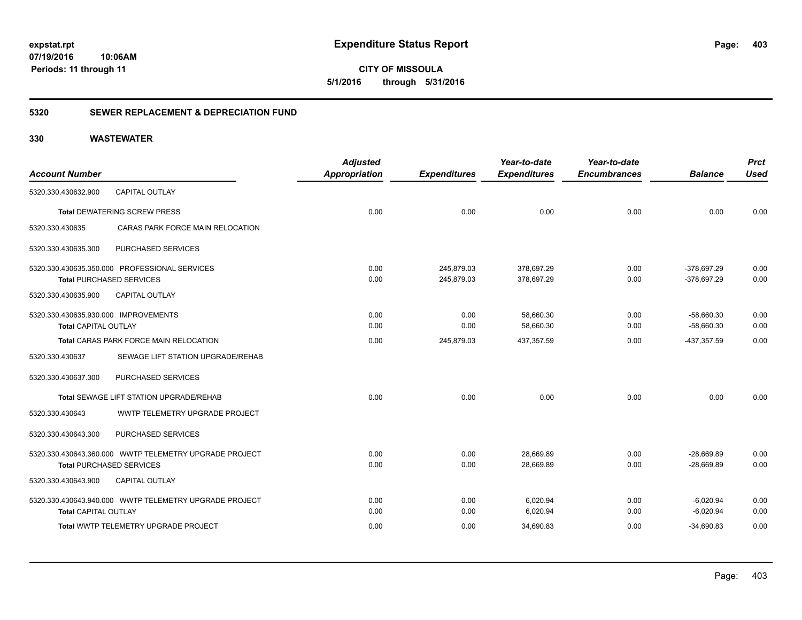**403**

**CITY OF MISSOULA 5/1/2016 through 5/31/2016**

### **5320 SEWER REPLACEMENT & DEPRECIATION FUND**

|                                      |                                                        | <b>Adjusted</b>      |                     | Year-to-date        | Year-to-date        |                | <b>Prct</b> |
|--------------------------------------|--------------------------------------------------------|----------------------|---------------------|---------------------|---------------------|----------------|-------------|
| <b>Account Number</b>                |                                                        | <b>Appropriation</b> | <b>Expenditures</b> | <b>Expenditures</b> | <b>Encumbrances</b> | <b>Balance</b> | <b>Used</b> |
| 5320.330.430632.900                  | <b>CAPITAL OUTLAY</b>                                  |                      |                     |                     |                     |                |             |
|                                      | <b>Total DEWATERING SCREW PRESS</b>                    | 0.00                 | 0.00                | 0.00                | 0.00                | 0.00           | 0.00        |
| 5320.330.430635                      | CARAS PARK FORCE MAIN RELOCATION                       |                      |                     |                     |                     |                |             |
| 5320.330.430635.300                  | PURCHASED SERVICES                                     |                      |                     |                     |                     |                |             |
|                                      | 5320.330.430635.350.000 PROFESSIONAL SERVICES          | 0.00                 | 245,879.03          | 378,697.29          | 0.00                | $-378,697.29$  | 0.00        |
|                                      | <b>Total PURCHASED SERVICES</b>                        | 0.00                 | 245,879.03          | 378,697.29          | 0.00                | $-378,697.29$  | 0.00        |
| 5320.330.430635.900                  | <b>CAPITAL OUTLAY</b>                                  |                      |                     |                     |                     |                |             |
| 5320.330.430635.930.000 IMPROVEMENTS |                                                        | 0.00                 | 0.00                | 58,660.30           | 0.00                | $-58,660.30$   | 0.00        |
| <b>Total CAPITAL OUTLAY</b>          |                                                        | 0.00                 | 0.00                | 58,660.30           | 0.00                | $-58,660.30$   | 0.00        |
|                                      | Total CARAS PARK FORCE MAIN RELOCATION                 | 0.00                 | 245,879.03          | 437,357.59          | 0.00                | -437,357.59    | 0.00        |
| 5320.330.430637                      | SEWAGE LIFT STATION UPGRADE/REHAB                      |                      |                     |                     |                     |                |             |
| 5320.330.430637.300                  | PURCHASED SERVICES                                     |                      |                     |                     |                     |                |             |
|                                      | Total SEWAGE LIFT STATION UPGRADE/REHAB                | 0.00                 | 0.00                | 0.00                | 0.00                | 0.00           | 0.00        |
| 5320.330.430643                      | <b>WWTP TELEMETRY UPGRADE PROJECT</b>                  |                      |                     |                     |                     |                |             |
| 5320.330.430643.300                  | PURCHASED SERVICES                                     |                      |                     |                     |                     |                |             |
|                                      | 5320.330.430643.360.000 WWTP TELEMETRY UPGRADE PROJECT | 0.00                 | 0.00                | 28,669.89           | 0.00                | $-28,669.89$   | 0.00        |
|                                      | <b>Total PURCHASED SERVICES</b>                        | 0.00                 | 0.00                | 28.669.89           | 0.00                | $-28.669.89$   | 0.00        |
| 5320.330.430643.900                  | <b>CAPITAL OUTLAY</b>                                  |                      |                     |                     |                     |                |             |
|                                      |                                                        | 0.00                 | 0.00                | 6,020.94            | 0.00                | $-6,020.94$    | 0.00        |
| <b>Total CAPITAL OUTLAY</b>          |                                                        | 0.00                 | 0.00                | 6,020.94            | 0.00                | $-6,020.94$    | 0.00        |
|                                      | <b>Total WWTP TELEMETRY UPGRADE PROJECT</b>            | 0.00                 | 0.00                | 34,690.83           | 0.00                | $-34,690.83$   | 0.00        |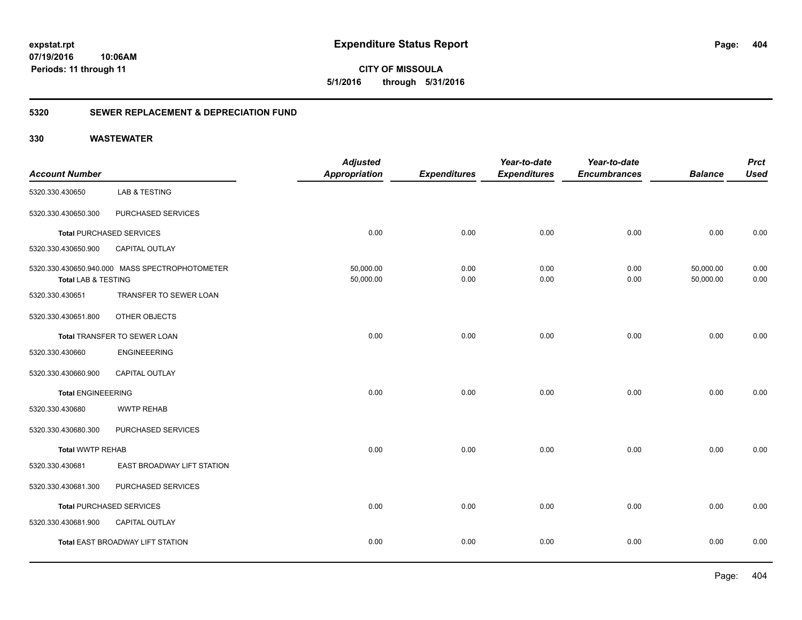**CITY OF MISSOULA 5/1/2016 through 5/31/2016**

### **5320 SEWER REPLACEMENT & DEPRECIATION FUND**

| <b>Account Number</b>     |                                                | <b>Adjusted</b><br><b>Appropriation</b> | <b>Expenditures</b> | Year-to-date<br><b>Expenditures</b> | Year-to-date<br><b>Encumbrances</b> | <b>Balance</b>         | <b>Prct</b><br><b>Used</b> |
|---------------------------|------------------------------------------------|-----------------------------------------|---------------------|-------------------------------------|-------------------------------------|------------------------|----------------------------|
| 5320.330.430650           | LAB & TESTING                                  |                                         |                     |                                     |                                     |                        |                            |
| 5320.330.430650.300       | PURCHASED SERVICES                             |                                         |                     |                                     |                                     |                        |                            |
|                           | <b>Total PURCHASED SERVICES</b>                | 0.00                                    | 0.00                | 0.00                                | 0.00                                | 0.00                   | 0.00                       |
| 5320.330.430650.900       | <b>CAPITAL OUTLAY</b>                          |                                         |                     |                                     |                                     |                        |                            |
| Total LAB & TESTING       | 5320.330.430650.940.000 MASS SPECTROPHOTOMETER | 50,000.00<br>50,000.00                  | 0.00<br>0.00        | 0.00<br>0.00                        | 0.00<br>0.00                        | 50,000.00<br>50,000.00 | 0.00<br>0.00               |
| 5320.330.430651           | TRANSFER TO SEWER LOAN                         |                                         |                     |                                     |                                     |                        |                            |
| 5320.330.430651.800       | OTHER OBJECTS                                  |                                         |                     |                                     |                                     |                        |                            |
|                           | Total TRANSFER TO SEWER LOAN                   | 0.00                                    | 0.00                | 0.00                                | 0.00                                | 0.00                   | 0.00                       |
| 5320.330.430660           | <b>ENGINEEERING</b>                            |                                         |                     |                                     |                                     |                        |                            |
| 5320.330.430660.900       | <b>CAPITAL OUTLAY</b>                          |                                         |                     |                                     |                                     |                        |                            |
| <b>Total ENGINEEERING</b> |                                                | 0.00                                    | 0.00                | 0.00                                | 0.00                                | 0.00                   | 0.00                       |
| 5320.330.430680           | <b>WWTP REHAB</b>                              |                                         |                     |                                     |                                     |                        |                            |
| 5320.330.430680.300       | PURCHASED SERVICES                             |                                         |                     |                                     |                                     |                        |                            |
| <b>Total WWTP REHAB</b>   |                                                | 0.00                                    | 0.00                | 0.00                                | 0.00                                | 0.00                   | 0.00                       |
| 5320.330.430681           | EAST BROADWAY LIFT STATION                     |                                         |                     |                                     |                                     |                        |                            |
| 5320.330.430681.300       | PURCHASED SERVICES                             |                                         |                     |                                     |                                     |                        |                            |
|                           | <b>Total PURCHASED SERVICES</b>                | 0.00                                    | 0.00                | 0.00                                | 0.00                                | 0.00                   | 0.00                       |
| 5320.330.430681.900       | <b>CAPITAL OUTLAY</b>                          |                                         |                     |                                     |                                     |                        |                            |
|                           | Total EAST BROADWAY LIFT STATION               | 0.00                                    | 0.00                | 0.00                                | 0.00                                | 0.00                   | 0.00                       |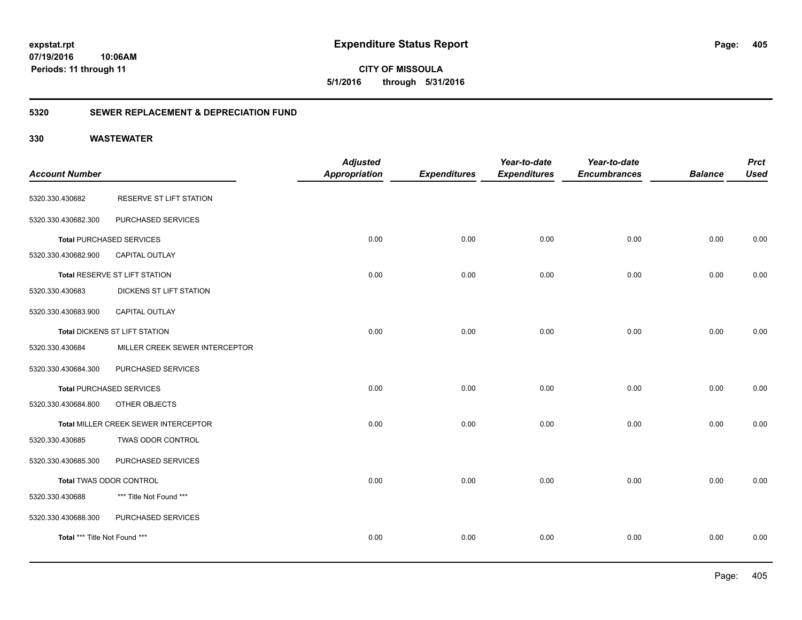**405**

**CITY OF MISSOULA 5/1/2016 through 5/31/2016**

### **5320 SEWER REPLACEMENT & DEPRECIATION FUND**

| <b>Account Number</b>         |                                      | <b>Adjusted</b><br><b>Appropriation</b> | <b>Expenditures</b> | Year-to-date<br><b>Expenditures</b> | Year-to-date<br><b>Encumbrances</b> | <b>Balance</b> | <b>Prct</b><br><b>Used</b> |
|-------------------------------|--------------------------------------|-----------------------------------------|---------------------|-------------------------------------|-------------------------------------|----------------|----------------------------|
| 5320.330.430682               | RESERVE ST LIFT STATION              |                                         |                     |                                     |                                     |                |                            |
| 5320.330.430682.300           | PURCHASED SERVICES                   |                                         |                     |                                     |                                     |                |                            |
|                               | <b>Total PURCHASED SERVICES</b>      | 0.00                                    | 0.00                | 0.00                                | 0.00                                | 0.00           | 0.00                       |
| 5320.330.430682.900           | <b>CAPITAL OUTLAY</b>                |                                         |                     |                                     |                                     |                |                            |
|                               | Total RESERVE ST LIFT STATION        | 0.00                                    | 0.00                | 0.00                                | 0.00                                | 0.00           | 0.00                       |
| 5320.330.430683               | DICKENS ST LIFT STATION              |                                         |                     |                                     |                                     |                |                            |
| 5320.330.430683.900           | <b>CAPITAL OUTLAY</b>                |                                         |                     |                                     |                                     |                |                            |
|                               | Total DICKENS ST LIFT STATION        | 0.00                                    | 0.00                | 0.00                                | 0.00                                | 0.00           | 0.00                       |
| 5320.330.430684               | MILLER CREEK SEWER INTERCEPTOR       |                                         |                     |                                     |                                     |                |                            |
| 5320.330.430684.300           | PURCHASED SERVICES                   |                                         |                     |                                     |                                     |                |                            |
|                               | <b>Total PURCHASED SERVICES</b>      | 0.00                                    | 0.00                | 0.00                                | 0.00                                | 0.00           | 0.00                       |
| 5320.330.430684.800           | OTHER OBJECTS                        |                                         |                     |                                     |                                     |                |                            |
|                               | Total MILLER CREEK SEWER INTERCEPTOR | 0.00                                    | 0.00                | 0.00                                | 0.00                                | 0.00           | 0.00                       |
| 5320.330.430685               | TWAS ODOR CONTROL                    |                                         |                     |                                     |                                     |                |                            |
| 5320.330.430685.300           | PURCHASED SERVICES                   |                                         |                     |                                     |                                     |                |                            |
|                               | Total TWAS ODOR CONTROL              | 0.00                                    | 0.00                | 0.00                                | 0.00                                | 0.00           | 0.00                       |
| 5320.330.430688               | *** Title Not Found ***              |                                         |                     |                                     |                                     |                |                            |
| 5320.330.430688.300           | PURCHASED SERVICES                   |                                         |                     |                                     |                                     |                |                            |
| Total *** Title Not Found *** |                                      | 0.00                                    | 0.00                | 0.00                                | 0.00                                | 0.00           | 0.00                       |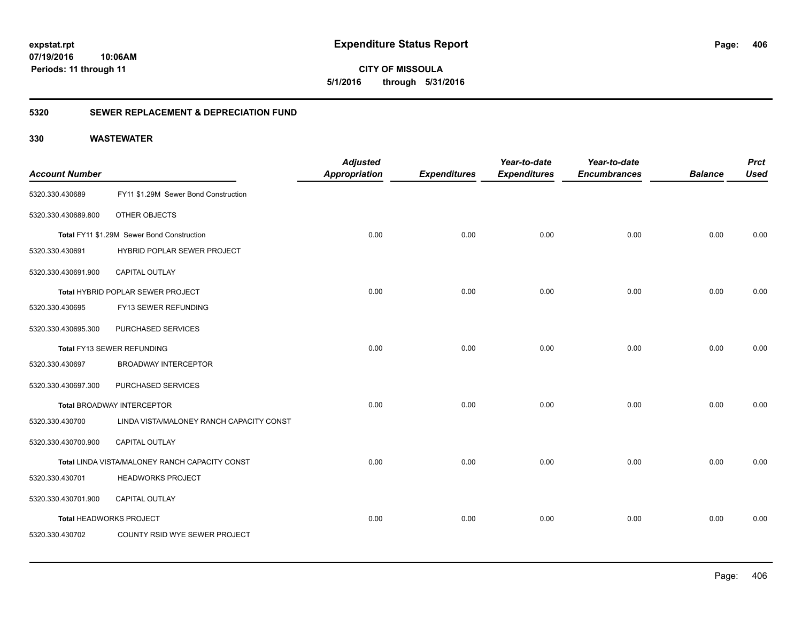**406**

**CITY OF MISSOULA 5/1/2016 through 5/31/2016**

### **5320 SEWER REPLACEMENT & DEPRECIATION FUND**

| <b>Account Number</b>   |                                                | <b>Adjusted</b><br>Appropriation | <b>Expenditures</b> | Year-to-date<br><b>Expenditures</b> | Year-to-date<br><b>Encumbrances</b> | <b>Balance</b> | <b>Prct</b><br><b>Used</b> |
|-------------------------|------------------------------------------------|----------------------------------|---------------------|-------------------------------------|-------------------------------------|----------------|----------------------------|
| 5320.330.430689         | FY11 \$1.29M Sewer Bond Construction           |                                  |                     |                                     |                                     |                |                            |
| 5320.330.430689.800     | OTHER OBJECTS                                  |                                  |                     |                                     |                                     |                |                            |
|                         | Total FY11 \$1.29M Sewer Bond Construction     | 0.00                             | 0.00                | 0.00                                | 0.00                                | 0.00           | 0.00                       |
| 5320.330.430691         | HYBRID POPLAR SEWER PROJECT                    |                                  |                     |                                     |                                     |                |                            |
| 5320.330.430691.900     | CAPITAL OUTLAY                                 |                                  |                     |                                     |                                     |                |                            |
|                         | Total HYBRID POPLAR SEWER PROJECT              | 0.00                             | 0.00                | 0.00                                | 0.00                                | 0.00           | 0.00                       |
| 5320.330.430695         | FY13 SEWER REFUNDING                           |                                  |                     |                                     |                                     |                |                            |
| 5320.330.430695.300     | PURCHASED SERVICES                             |                                  |                     |                                     |                                     |                |                            |
|                         | Total FY13 SEWER REFUNDING                     | 0.00                             | 0.00                | 0.00                                | 0.00                                | 0.00           | 0.00                       |
| 5320.330.430697         | <b>BROADWAY INTERCEPTOR</b>                    |                                  |                     |                                     |                                     |                |                            |
| 5320.330.430697.300     | PURCHASED SERVICES                             |                                  |                     |                                     |                                     |                |                            |
|                         | <b>Total BROADWAY INTERCEPTOR</b>              | 0.00                             | 0.00                | 0.00                                | 0.00                                | 0.00           | 0.00                       |
| 5320.330.430700         | LINDA VISTA/MALONEY RANCH CAPACITY CONST       |                                  |                     |                                     |                                     |                |                            |
| 5320.330.430700.900     | CAPITAL OUTLAY                                 |                                  |                     |                                     |                                     |                |                            |
|                         | Total LINDA VISTA/MALONEY RANCH CAPACITY CONST | 0.00                             | 0.00                | 0.00                                | 0.00                                | 0.00           | 0.00                       |
| 5320.330.430701         | <b>HEADWORKS PROJECT</b>                       |                                  |                     |                                     |                                     |                |                            |
| 5320.330.430701.900     | <b>CAPITAL OUTLAY</b>                          |                                  |                     |                                     |                                     |                |                            |
| Total HEADWORKS PROJECT |                                                | 0.00                             | 0.00                | 0.00                                | 0.00                                | 0.00           | 0.00                       |
| 5320.330.430702         | COUNTY RSID WYE SEWER PROJECT                  |                                  |                     |                                     |                                     |                |                            |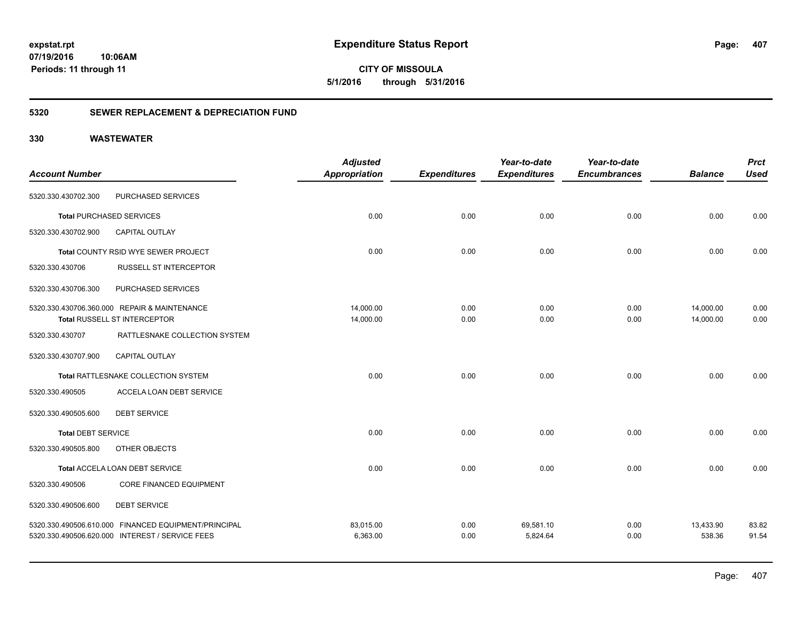**CITY OF MISSOULA 5/1/2016 through 5/31/2016**

### **5320 SEWER REPLACEMENT & DEPRECIATION FUND**

|                           |                                                      | <b>Adjusted</b>      |                     | Year-to-date        | Year-to-date        |                | <b>Prct</b> |
|---------------------------|------------------------------------------------------|----------------------|---------------------|---------------------|---------------------|----------------|-------------|
| <b>Account Number</b>     |                                                      | <b>Appropriation</b> | <b>Expenditures</b> | <b>Expenditures</b> | <b>Encumbrances</b> | <b>Balance</b> | <b>Used</b> |
| 5320.330.430702.300       | PURCHASED SERVICES                                   |                      |                     |                     |                     |                |             |
|                           | <b>Total PURCHASED SERVICES</b>                      | 0.00                 | 0.00                | 0.00                | 0.00                | 0.00           | 0.00        |
| 5320.330.430702.900       | <b>CAPITAL OUTLAY</b>                                |                      |                     |                     |                     |                |             |
|                           | Total COUNTY RSID WYE SEWER PROJECT                  | 0.00                 | 0.00                | 0.00                | 0.00                | 0.00           | 0.00        |
| 5320.330.430706           | <b>RUSSELL ST INTERCEPTOR</b>                        |                      |                     |                     |                     |                |             |
| 5320.330.430706.300       | PURCHASED SERVICES                                   |                      |                     |                     |                     |                |             |
|                           | 5320.330.430706.360.000 REPAIR & MAINTENANCE         | 14,000.00            | 0.00                | 0.00                | 0.00                | 14,000.00      | 0.00        |
|                           | Total RUSSELL ST INTERCEPTOR                         | 14,000.00            | 0.00                | 0.00                | 0.00                | 14,000.00      | 0.00        |
| 5320.330.430707           | RATTLESNAKE COLLECTION SYSTEM                        |                      |                     |                     |                     |                |             |
| 5320.330.430707.900       | <b>CAPITAL OUTLAY</b>                                |                      |                     |                     |                     |                |             |
|                           | Total RATTLESNAKE COLLECTION SYSTEM                  | 0.00                 | 0.00                | 0.00                | 0.00                | 0.00           | 0.00        |
| 5320.330.490505           | ACCELA LOAN DEBT SERVICE                             |                      |                     |                     |                     |                |             |
| 5320.330.490505.600       | <b>DEBT SERVICE</b>                                  |                      |                     |                     |                     |                |             |
| <b>Total DEBT SERVICE</b> |                                                      | 0.00                 | 0.00                | 0.00                | 0.00                | 0.00           | 0.00        |
| 5320.330.490505.800       | OTHER OBJECTS                                        |                      |                     |                     |                     |                |             |
|                           | Total ACCELA LOAN DEBT SERVICE                       | 0.00                 | 0.00                | 0.00                | 0.00                | 0.00           | 0.00        |
| 5320.330.490506           | <b>CORE FINANCED EQUIPMENT</b>                       |                      |                     |                     |                     |                |             |
| 5320.330.490506.600       | <b>DEBT SERVICE</b>                                  |                      |                     |                     |                     |                |             |
|                           | 5320.330.490506.610.000 FINANCED EQUIPMENT/PRINCIPAL | 83,015.00            | 0.00                | 69,581.10           | 0.00                | 13,433.90      | 83.82       |
|                           | 5320.330.490506.620.000 INTEREST / SERVICE FEES      | 6,363.00             | 0.00                | 5,824.64            | 0.00                | 538.36         | 91.54       |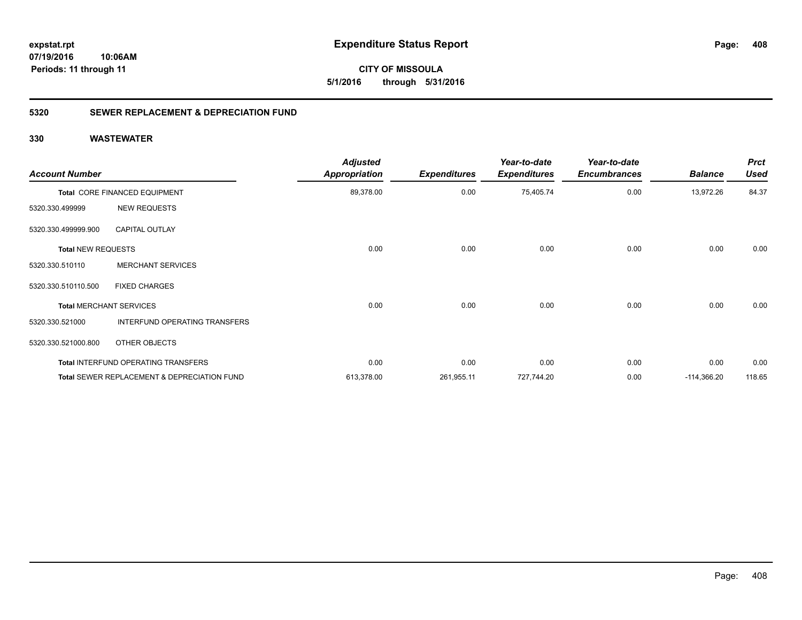**expstat.rpt Expenditure Status Report** 

**07/19/2016 10:06AM Periods: 11 through 11**

**CITY OF MISSOULA 5/1/2016 through 5/31/2016**

### **5320 SEWER REPLACEMENT & DEPRECIATION FUND**

| <b>Account Number</b>     |                                             | <b>Adjusted</b><br><b>Appropriation</b> | <b>Expenditures</b> | Year-to-date<br><b>Expenditures</b> | Year-to-date<br><b>Encumbrances</b> | <b>Balance</b> | <b>Prct</b><br><b>Used</b> |
|---------------------------|---------------------------------------------|-----------------------------------------|---------------------|-------------------------------------|-------------------------------------|----------------|----------------------------|
|                           | Total CORE FINANCED EQUIPMENT               | 89,378.00                               | 0.00                | 75,405.74                           | 0.00                                | 13,972.26      | 84.37                      |
| 5320.330.499999           | <b>NEW REQUESTS</b>                         |                                         |                     |                                     |                                     |                |                            |
| 5320.330.499999.900       | <b>CAPITAL OUTLAY</b>                       |                                         |                     |                                     |                                     |                |                            |
| <b>Total NEW REQUESTS</b> |                                             | 0.00                                    | 0.00                | 0.00                                | 0.00                                | 0.00           | 0.00                       |
| 5320.330.510110           | <b>MERCHANT SERVICES</b>                    |                                         |                     |                                     |                                     |                |                            |
| 5320.330.510110.500       | <b>FIXED CHARGES</b>                        |                                         |                     |                                     |                                     |                |                            |
|                           | <b>Total MERCHANT SERVICES</b>              | 0.00                                    | 0.00                | 0.00                                | 0.00                                | 0.00           | 0.00                       |
| 5320.330.521000           | INTERFUND OPERATING TRANSFERS               |                                         |                     |                                     |                                     |                |                            |
| 5320.330.521000.800       | OTHER OBJECTS                               |                                         |                     |                                     |                                     |                |                            |
|                           | <b>Total INTERFUND OPERATING TRANSFERS</b>  | 0.00                                    | 0.00                | 0.00                                | 0.00                                | 0.00           | 0.00                       |
|                           | Total SEWER REPLACEMENT & DEPRECIATION FUND | 613,378.00                              | 261,955.11          | 727,744.20                          | 0.00                                | $-114,366.20$  | 118.65                     |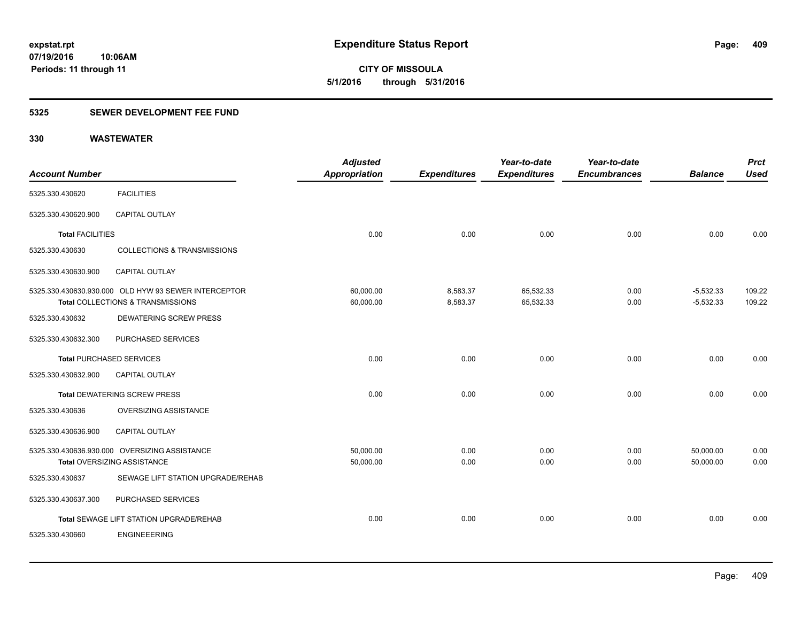**07/19/2016 10:06AM Periods: 11 through 11**

**CITY OF MISSOULA 5/1/2016 through 5/31/2016**

### **5325 SEWER DEVELOPMENT FEE FUND**

| <b>Account Number</b>           |                                                                                           | <b>Adjusted</b><br>Appropriation | <b>Expenditures</b>  | Year-to-date<br><b>Expenditures</b> | Year-to-date<br><b>Encumbrances</b> | <b>Balance</b>             | <b>Prct</b><br><b>Used</b> |
|---------------------------------|-------------------------------------------------------------------------------------------|----------------------------------|----------------------|-------------------------------------|-------------------------------------|----------------------------|----------------------------|
| 5325.330.430620                 | <b>FACILITIES</b>                                                                         |                                  |                      |                                     |                                     |                            |                            |
| 5325.330.430620.900             | CAPITAL OUTLAY                                                                            |                                  |                      |                                     |                                     |                            |                            |
| <b>Total FACILITIES</b>         |                                                                                           | 0.00                             | 0.00                 | 0.00                                | 0.00                                | 0.00                       | 0.00                       |
| 5325.330.430630                 | <b>COLLECTIONS &amp; TRANSMISSIONS</b>                                                    |                                  |                      |                                     |                                     |                            |                            |
| 5325.330.430630.900             | <b>CAPITAL OUTLAY</b>                                                                     |                                  |                      |                                     |                                     |                            |                            |
|                                 | 5325.330.430630.930.000 OLD HYW 93 SEWER INTERCEPTOR<br>Total COLLECTIONS & TRANSMISSIONS | 60,000.00<br>60,000.00           | 8,583.37<br>8,583.37 | 65,532.33<br>65,532.33              | 0.00<br>0.00                        | $-5,532.33$<br>$-5,532.33$ | 109.22<br>109.22           |
| 5325.330.430632                 | <b>DEWATERING SCREW PRESS</b>                                                             |                                  |                      |                                     |                                     |                            |                            |
| 5325.330.430632.300             | PURCHASED SERVICES                                                                        |                                  |                      |                                     |                                     |                            |                            |
| <b>Total PURCHASED SERVICES</b> |                                                                                           | 0.00                             | 0.00                 | 0.00                                | 0.00                                | 0.00                       | 0.00                       |
| 5325.330.430632.900             | CAPITAL OUTLAY                                                                            |                                  |                      |                                     |                                     |                            |                            |
|                                 | <b>Total DEWATERING SCREW PRESS</b>                                                       | 0.00                             | 0.00                 | 0.00                                | 0.00                                | 0.00                       | 0.00                       |
| 5325.330.430636                 | OVERSIZING ASSISTANCE                                                                     |                                  |                      |                                     |                                     |                            |                            |
| 5325.330.430636.900             | <b>CAPITAL OUTLAY</b>                                                                     |                                  |                      |                                     |                                     |                            |                            |
|                                 | 5325.330.430636.930.000 OVERSIZING ASSISTANCE<br><b>Total OVERSIZING ASSISTANCE</b>       | 50,000.00<br>50,000.00           | 0.00<br>0.00         | 0.00<br>0.00                        | 0.00<br>0.00                        | 50,000.00<br>50.000.00     | 0.00<br>0.00               |
| 5325.330.430637                 | SEWAGE LIFT STATION UPGRADE/REHAB                                                         |                                  |                      |                                     |                                     |                            |                            |
| 5325.330.430637.300             | PURCHASED SERVICES                                                                        |                                  |                      |                                     |                                     |                            |                            |
|                                 | Total SEWAGE LIFT STATION UPGRADE/REHAB                                                   | 0.00                             | 0.00                 | 0.00                                | 0.00                                | 0.00                       | 0.00                       |
| 5325.330.430660                 | <b>ENGINEEERING</b>                                                                       |                                  |                      |                                     |                                     |                            |                            |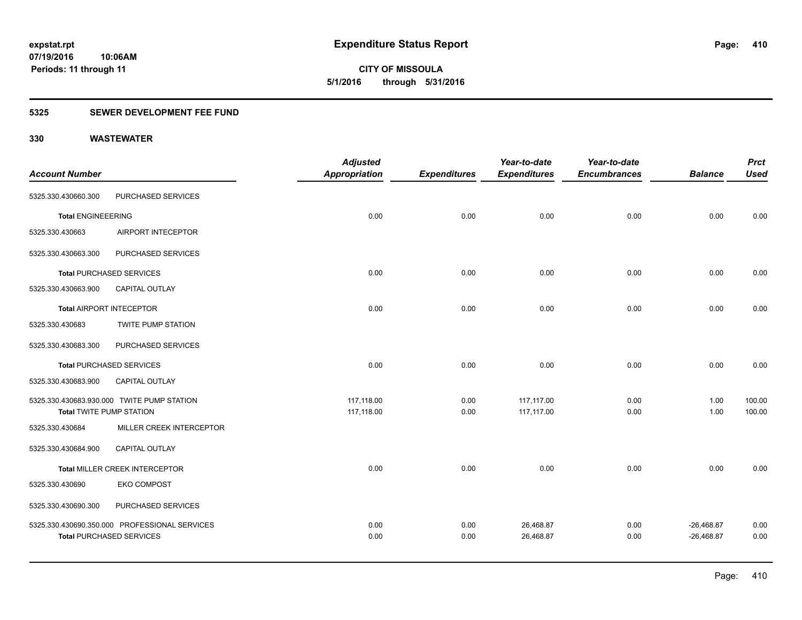**07/19/2016 10:06AM Periods: 11 through 11**

**CITY OF MISSOULA 5/1/2016 through 5/31/2016**

### **5325 SEWER DEVELOPMENT FEE FUND**

|                                 |                                               | <b>Adjusted</b> |                     | Year-to-date        | Year-to-date        |                | <b>Prct</b> |
|---------------------------------|-----------------------------------------------|-----------------|---------------------|---------------------|---------------------|----------------|-------------|
| <b>Account Number</b>           |                                               | Appropriation   | <b>Expenditures</b> | <b>Expenditures</b> | <b>Encumbrances</b> | <b>Balance</b> | <b>Used</b> |
| 5325.330.430660.300             | PURCHASED SERVICES                            |                 |                     |                     |                     |                |             |
| <b>Total ENGINEEERING</b>       |                                               | 0.00            | 0.00                | 0.00                | 0.00                | 0.00           | 0.00        |
| 5325.330.430663                 | AIRPORT INTECEPTOR                            |                 |                     |                     |                     |                |             |
| 5325.330.430663.300             | PURCHASED SERVICES                            |                 |                     |                     |                     |                |             |
|                                 | <b>Total PURCHASED SERVICES</b>               | 0.00            | 0.00                | 0.00                | 0.00                | 0.00           | 0.00        |
| 5325.330.430663.900             | CAPITAL OUTLAY                                |                 |                     |                     |                     |                |             |
|                                 | <b>Total AIRPORT INTECEPTOR</b>               | 0.00            | 0.00                | 0.00                | 0.00                | 0.00           | 0.00        |
| 5325.330.430683                 | <b>TWITE PUMP STATION</b>                     |                 |                     |                     |                     |                |             |
| 5325.330.430683.300             | PURCHASED SERVICES                            |                 |                     |                     |                     |                |             |
|                                 | <b>Total PURCHASED SERVICES</b>               | 0.00            | 0.00                | 0.00                | 0.00                | 0.00           | 0.00        |
| 5325.330.430683.900             | CAPITAL OUTLAY                                |                 |                     |                     |                     |                |             |
|                                 | 5325.330.430683.930.000 TWITE PUMP STATION    | 117,118.00      | 0.00                | 117,117.00          | 0.00                | 1.00           | 100.00      |
| <b>Total TWITE PUMP STATION</b> |                                               | 117,118.00      | 0.00                | 117,117.00          | 0.00                | 1.00           | 100.00      |
| 5325.330.430684                 | MILLER CREEK INTERCEPTOR                      |                 |                     |                     |                     |                |             |
| 5325.330.430684.900             | <b>CAPITAL OUTLAY</b>                         |                 |                     |                     |                     |                |             |
|                                 | Total MILLER CREEK INTERCEPTOR                | 0.00            | 0.00                | 0.00                | 0.00                | 0.00           | 0.00        |
| 5325.330.430690                 | <b>EKO COMPOST</b>                            |                 |                     |                     |                     |                |             |
| 5325.330.430690.300             | PURCHASED SERVICES                            |                 |                     |                     |                     |                |             |
|                                 | 5325.330.430690.350.000 PROFESSIONAL SERVICES | 0.00            | 0.00                | 26,468.87           | 0.00                | $-26,468.87$   | 0.00        |
|                                 | <b>Total PURCHASED SERVICES</b>               | 0.00            | 0.00                | 26,468.87           | 0.00                | $-26,468.87$   | 0.00        |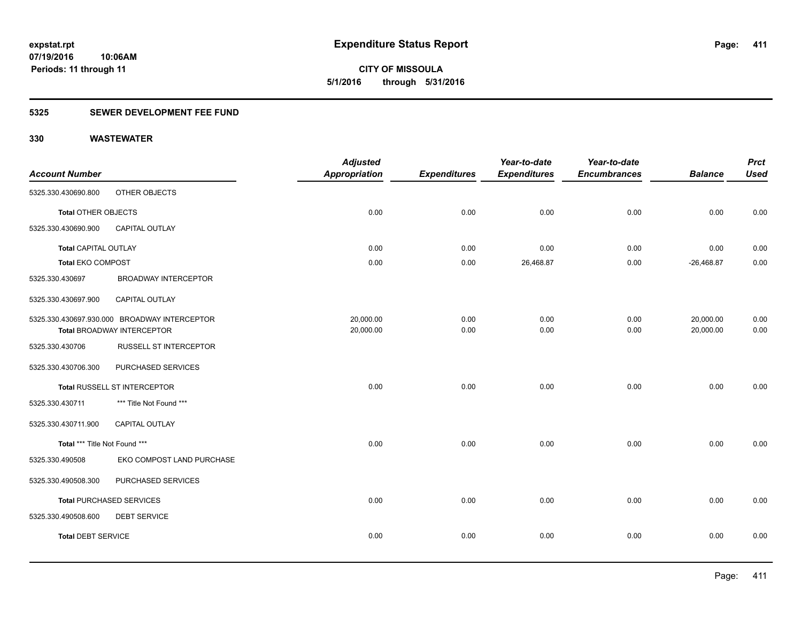**07/19/2016 10:06AM Periods: 11 through 11**

**CITY OF MISSOULA 5/1/2016 through 5/31/2016**

### **5325 SEWER DEVELOPMENT FEE FUND**

| <b>Account Number</b>         |                                              | <b>Adjusted</b><br><b>Appropriation</b> | <b>Expenditures</b> | Year-to-date<br><b>Expenditures</b> | Year-to-date<br><b>Encumbrances</b> | <b>Balance</b> | <b>Prct</b><br><b>Used</b> |
|-------------------------------|----------------------------------------------|-----------------------------------------|---------------------|-------------------------------------|-------------------------------------|----------------|----------------------------|
| 5325.330.430690.800           | OTHER OBJECTS                                |                                         |                     |                                     |                                     |                |                            |
| <b>Total OTHER OBJECTS</b>    |                                              | 0.00                                    | 0.00                | 0.00                                | 0.00                                | 0.00           | 0.00                       |
| 5325.330.430690.900           | <b>CAPITAL OUTLAY</b>                        |                                         |                     |                                     |                                     |                |                            |
| <b>Total CAPITAL OUTLAY</b>   |                                              | 0.00                                    | 0.00                | 0.00                                | 0.00                                | 0.00           | 0.00                       |
| <b>Total EKO COMPOST</b>      |                                              | 0.00                                    | 0.00                | 26,468.87                           | 0.00                                | $-26,468.87$   | 0.00                       |
| 5325.330.430697               | <b>BROADWAY INTERCEPTOR</b>                  |                                         |                     |                                     |                                     |                |                            |
| 5325.330.430697.900           | <b>CAPITAL OUTLAY</b>                        |                                         |                     |                                     |                                     |                |                            |
|                               | 5325.330.430697.930.000 BROADWAY INTERCEPTOR | 20,000.00                               | 0.00                | 0.00                                | 0.00                                | 20,000.00      | 0.00                       |
|                               | <b>Total BROADWAY INTERCEPTOR</b>            | 20,000.00                               | 0.00                | 0.00                                | 0.00                                | 20,000.00      | 0.00                       |
| 5325.330.430706               | <b>RUSSELL ST INTERCEPTOR</b>                |                                         |                     |                                     |                                     |                |                            |
| 5325.330.430706.300           | PURCHASED SERVICES                           |                                         |                     |                                     |                                     |                |                            |
|                               | Total RUSSELL ST INTERCEPTOR                 | 0.00                                    | 0.00                | 0.00                                | 0.00                                | 0.00           | 0.00                       |
| 5325.330.430711               | *** Title Not Found ***                      |                                         |                     |                                     |                                     |                |                            |
| 5325.330.430711.900           | <b>CAPITAL OUTLAY</b>                        |                                         |                     |                                     |                                     |                |                            |
| Total *** Title Not Found *** |                                              | 0.00                                    | 0.00                | 0.00                                | 0.00                                | 0.00           | 0.00                       |
| 5325.330.490508               | EKO COMPOST LAND PURCHASE                    |                                         |                     |                                     |                                     |                |                            |
| 5325.330.490508.300           | PURCHASED SERVICES                           |                                         |                     |                                     |                                     |                |                            |
|                               | <b>Total PURCHASED SERVICES</b>              | 0.00                                    | 0.00                | 0.00                                | 0.00                                | 0.00           | 0.00                       |
| 5325.330.490508.600           | <b>DEBT SERVICE</b>                          |                                         |                     |                                     |                                     |                |                            |
| <b>Total DEBT SERVICE</b>     |                                              | 0.00                                    | 0.00                | 0.00                                | 0.00                                | 0.00           | 0.00                       |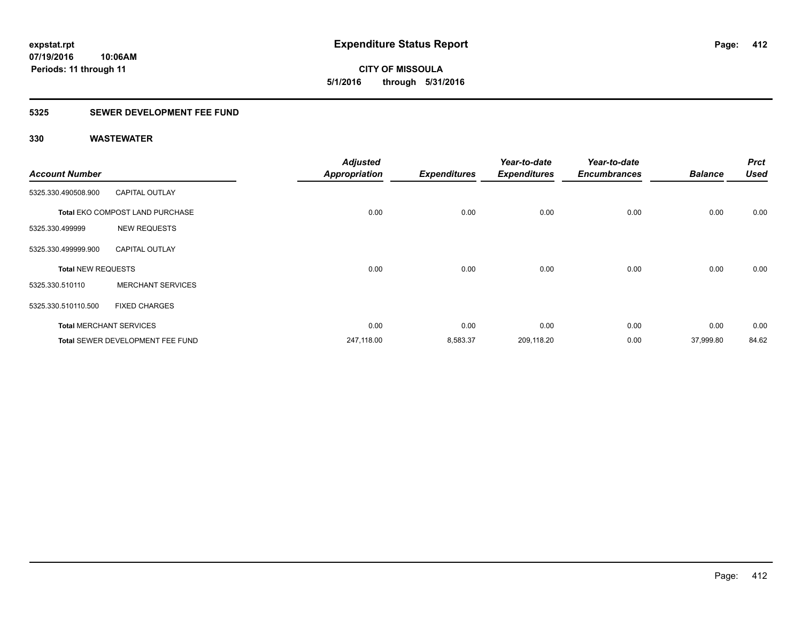**07/19/2016 10:06AM Periods: 11 through 11**

**CITY OF MISSOULA 5/1/2016 through 5/31/2016**

### **5325 SEWER DEVELOPMENT FEE FUND**

| <b>Account Number</b>     |                                  | <b>Adjusted</b><br><b>Appropriation</b> | <b>Expenditures</b> | Year-to-date<br><b>Expenditures</b> | Year-to-date<br><b>Encumbrances</b> | <b>Balance</b> | <b>Prct</b><br><b>Used</b> |
|---------------------------|----------------------------------|-----------------------------------------|---------------------|-------------------------------------|-------------------------------------|----------------|----------------------------|
| 5325.330.490508.900       | <b>CAPITAL OUTLAY</b>            |                                         |                     |                                     |                                     |                |                            |
|                           | Total EKO COMPOST LAND PURCHASE  | 0.00                                    | 0.00                | 0.00                                | 0.00                                | 0.00           | 0.00                       |
| 5325.330.499999           | <b>NEW REQUESTS</b>              |                                         |                     |                                     |                                     |                |                            |
| 5325.330.499999.900       | <b>CAPITAL OUTLAY</b>            |                                         |                     |                                     |                                     |                |                            |
| <b>Total NEW REQUESTS</b> |                                  | 0.00                                    | 0.00                | 0.00                                | 0.00                                | 0.00           | 0.00                       |
| 5325.330.510110           | <b>MERCHANT SERVICES</b>         |                                         |                     |                                     |                                     |                |                            |
| 5325.330.510110.500       | <b>FIXED CHARGES</b>             |                                         |                     |                                     |                                     |                |                            |
|                           | <b>Total MERCHANT SERVICES</b>   | 0.00                                    | 0.00                | 0.00                                | 0.00                                | 0.00           | 0.00                       |
|                           | Total SEWER DEVELOPMENT FEE FUND | 247,118.00                              | 8,583.37            | 209,118.20                          | 0.00                                | 37,999.80      | 84.62                      |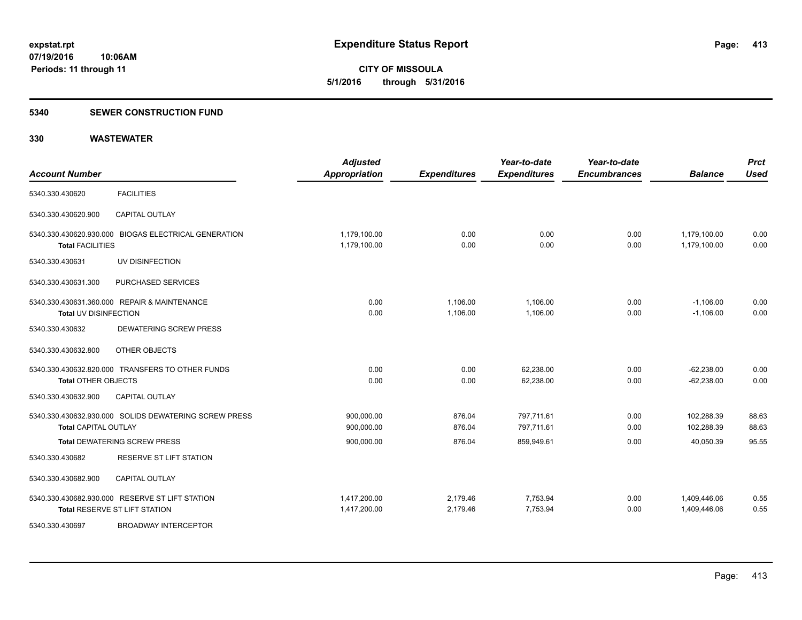**CITY OF MISSOULA 5/1/2016 through 5/31/2016**

#### **5340 SEWER CONSTRUCTION FUND**

| <b>Account Number</b>                                                                | <b>Adjusted</b><br><b>Appropriation</b> | <b>Expenditures</b>  | Year-to-date<br><b>Expenditures</b> | Year-to-date<br><b>Encumbrances</b> | <b>Balance</b>               | <b>Prct</b><br><b>Used</b> |
|--------------------------------------------------------------------------------------|-----------------------------------------|----------------------|-------------------------------------|-------------------------------------|------------------------------|----------------------------|
| <b>FACILITIES</b><br>5340.330.430620                                                 |                                         |                      |                                     |                                     |                              |                            |
| <b>CAPITAL OUTLAY</b><br>5340.330.430620.900                                         |                                         |                      |                                     |                                     |                              |                            |
| 5340.330.430620.930.000 BIOGAS ELECTRICAL GENERATION<br><b>Total FACILITIES</b>      | 1,179,100.00<br>1,179,100.00            | 0.00<br>0.00         | 0.00<br>0.00                        | 0.00<br>0.00                        | 1,179,100.00<br>1,179,100.00 | 0.00<br>0.00               |
| UV DISINFECTION<br>5340.330.430631                                                   |                                         |                      |                                     |                                     |                              |                            |
| PURCHASED SERVICES<br>5340.330.430631.300                                            |                                         |                      |                                     |                                     |                              |                            |
| 5340.330.430631.360.000 REPAIR & MAINTENANCE<br>Total UV DISINFECTION                | 0.00<br>0.00                            | 1,106.00<br>1,106.00 | 1,106.00<br>1,106.00                | 0.00<br>0.00                        | $-1,106.00$<br>$-1,106.00$   | 0.00<br>0.00               |
| <b>DEWATERING SCREW PRESS</b><br>5340.330.430632                                     |                                         |                      |                                     |                                     |                              |                            |
| OTHER OBJECTS<br>5340.330.430632.800                                                 |                                         |                      |                                     |                                     |                              |                            |
| 5340.330.430632.820.000 TRANSFERS TO OTHER FUNDS<br><b>Total OTHER OBJECTS</b>       | 0.00<br>0.00                            | 0.00<br>0.00         | 62,238.00<br>62,238.00              | 0.00<br>0.00                        | $-62,238.00$<br>$-62,238.00$ | 0.00<br>0.00               |
| <b>CAPITAL OUTLAY</b><br>5340.330.430632.900                                         |                                         |                      |                                     |                                     |                              |                            |
| 5340.330.430632.930.000 SOLIDS DEWATERING SCREW PRESS<br><b>Total CAPITAL OUTLAY</b> | 900,000.00<br>900,000.00                | 876.04<br>876.04     | 797,711.61<br>797,711.61            | 0.00<br>0.00                        | 102,288.39<br>102,288.39     | 88.63<br>88.63             |
| <b>Total DEWATERING SCREW PRESS</b>                                                  | 900,000.00                              | 876.04               | 859,949.61                          | 0.00                                | 40,050.39                    | 95.55                      |
| RESERVE ST LIFT STATION<br>5340.330.430682                                           |                                         |                      |                                     |                                     |                              |                            |
| <b>CAPITAL OUTLAY</b><br>5340.330.430682.900                                         |                                         |                      |                                     |                                     |                              |                            |
| 5340.330.430682.930.000 RESERVE ST LIFT STATION<br>Total RESERVE ST LIFT STATION     | 1,417,200.00<br>1,417,200.00            | 2,179.46<br>2,179.46 | 7,753.94<br>7,753.94                | 0.00<br>0.00                        | 1,409,446.06<br>1,409,446.06 | 0.55<br>0.55               |
| <b>BROADWAY INTERCEPTOR</b><br>5340.330.430697                                       |                                         |                      |                                     |                                     |                              |                            |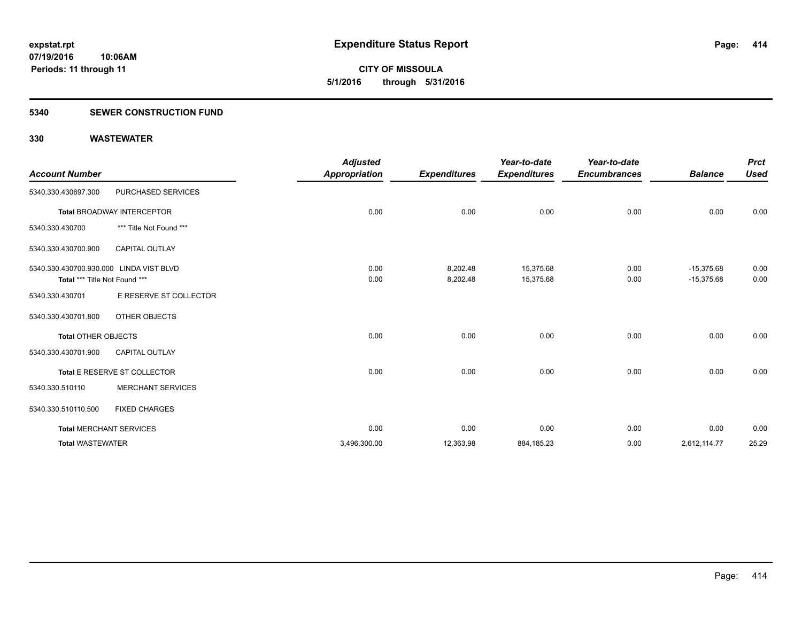**07/19/2016 10:06AM Periods: 11 through 11**

**CITY OF MISSOULA 5/1/2016 through 5/31/2016**

#### **5340 SEWER CONSTRUCTION FUND**

|                                         |                                   | <b>Adjusted</b>      |                     | Year-to-date        | Year-to-date        |                | <b>Prct</b> |
|-----------------------------------------|-----------------------------------|----------------------|---------------------|---------------------|---------------------|----------------|-------------|
| <b>Account Number</b>                   |                                   | <b>Appropriation</b> | <b>Expenditures</b> | <b>Expenditures</b> | <b>Encumbrances</b> | <b>Balance</b> | <b>Used</b> |
| 5340.330.430697.300                     | PURCHASED SERVICES                |                      |                     |                     |                     |                |             |
|                                         | <b>Total BROADWAY INTERCEPTOR</b> | 0.00                 | 0.00                | 0.00                | 0.00                | 0.00           | 0.00        |
| 5340.330.430700                         | *** Title Not Found ***           |                      |                     |                     |                     |                |             |
| 5340.330.430700.900                     | CAPITAL OUTLAY                    |                      |                     |                     |                     |                |             |
| 5340.330.430700.930.000 LINDA VIST BLVD |                                   | 0.00                 | 8,202.48            | 15,375.68           | 0.00                | $-15,375.68$   | 0.00        |
| Total *** Title Not Found ***           |                                   | 0.00                 | 8,202.48            | 15,375.68           | 0.00                | $-15,375.68$   | 0.00        |
| 5340.330.430701                         | E RESERVE ST COLLECTOR            |                      |                     |                     |                     |                |             |
| 5340.330.430701.800                     | OTHER OBJECTS                     |                      |                     |                     |                     |                |             |
| <b>Total OTHER OBJECTS</b>              |                                   | 0.00                 | 0.00                | 0.00                | 0.00                | 0.00           | 0.00        |
| 5340.330.430701.900                     | <b>CAPITAL OUTLAY</b>             |                      |                     |                     |                     |                |             |
|                                         | Total E RESERVE ST COLLECTOR      | 0.00                 | 0.00                | 0.00                | 0.00                | 0.00           | 0.00        |
| 5340.330.510110                         | <b>MERCHANT SERVICES</b>          |                      |                     |                     |                     |                |             |
| 5340.330.510110.500                     | <b>FIXED CHARGES</b>              |                      |                     |                     |                     |                |             |
|                                         | <b>Total MERCHANT SERVICES</b>    | 0.00                 | 0.00                | 0.00                | 0.00                | 0.00           | 0.00        |
| <b>Total WASTEWATER</b>                 |                                   | 3,496,300.00         | 12,363.98           | 884,185.23          | 0.00                | 2,612,114.77   | 25.29       |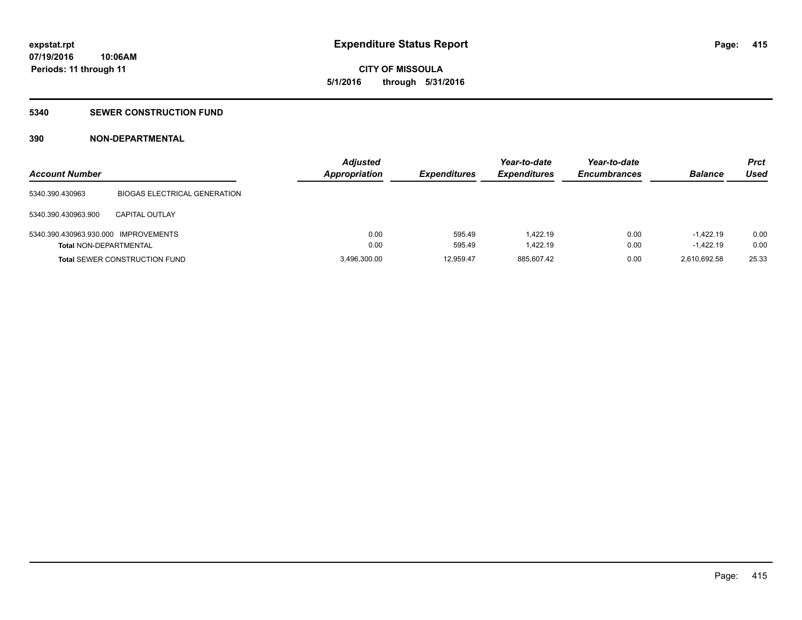# **CITY OF MISSOULA 5/1/2016 through 5/31/2016**

#### **5340 SEWER CONSTRUCTION FUND**

### **390 NON-DEPARTMENTAL**

| <b>Account Number</b>                |                                      | <b>Adjusted</b><br><b>Appropriation</b> | <b>Expenditures</b> | Year-to-date<br><b>Expenditures</b> | Year-to-date<br><b>Encumbrances</b> | <b>Balance</b> | <b>Prct</b><br>Used |
|--------------------------------------|--------------------------------------|-----------------------------------------|---------------------|-------------------------------------|-------------------------------------|----------------|---------------------|
| 5340.390.430963                      | <b>BIOGAS ELECTRICAL GENERATION</b>  |                                         |                     |                                     |                                     |                |                     |
| 5340.390.430963.900                  | <b>CAPITAL OUTLAY</b>                |                                         |                     |                                     |                                     |                |                     |
| 5340.390.430963.930.000 IMPROVEMENTS |                                      | 0.00                                    | 595.49              | 1.422.19                            | 0.00                                | $-1.422.19$    | 0.00                |
| <b>Total NON-DEPARTMENTAL</b>        |                                      | 0.00                                    | 595.49              | 1.422.19                            | 0.00                                | $-1.422.19$    | 0.00                |
|                                      | <b>Total SEWER CONSTRUCTION FUND</b> | 3,496,300.00                            | 12.959.47           | 885,607.42                          | 0.00                                | 2.610.692.58   | 25.33               |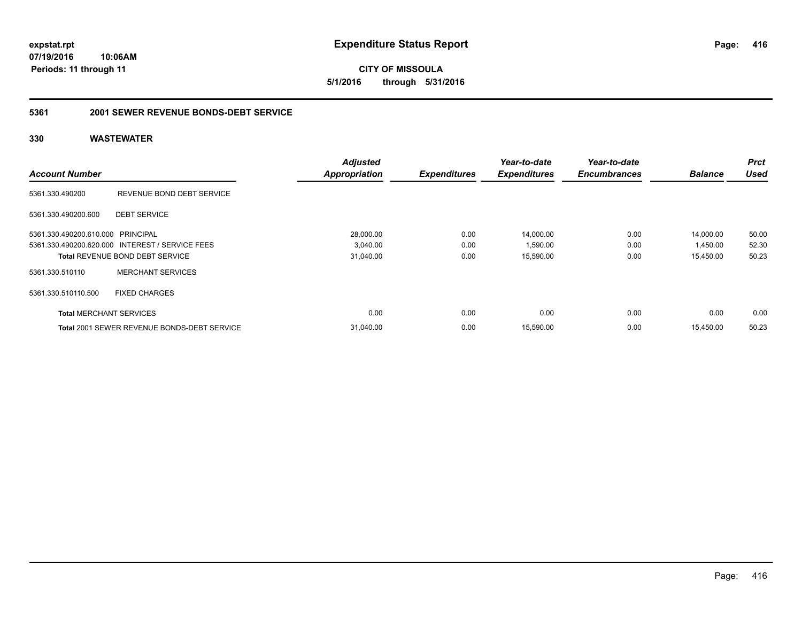**expstat.rpt Expenditure Status Report** 

**07/19/2016 10:06AM Periods: 11 through 11**

**CITY OF MISSOULA 5/1/2016 through 5/31/2016**

### **5361 2001 SEWER REVENUE BONDS-DEBT SERVICE**

|                                   |                                                    | <b>Adjusted</b>      |                     | Year-to-date        | Year-to-date        |                | <b>Prct</b> |
|-----------------------------------|----------------------------------------------------|----------------------|---------------------|---------------------|---------------------|----------------|-------------|
| <b>Account Number</b>             |                                                    | <b>Appropriation</b> | <b>Expenditures</b> | <b>Expenditures</b> | <b>Encumbrances</b> | <b>Balance</b> | <b>Used</b> |
| 5361.330.490200                   | REVENUE BOND DEBT SERVICE                          |                      |                     |                     |                     |                |             |
| 5361.330.490200.600               | <b>DEBT SERVICE</b>                                |                      |                     |                     |                     |                |             |
| 5361.330.490200.610.000 PRINCIPAL |                                                    | 28,000.00            | 0.00                | 14,000.00           | 0.00                | 14,000.00      | 50.00       |
|                                   | 5361.330.490200.620.000 INTEREST / SERVICE FEES    | 3,040.00             | 0.00                | 1,590.00            | 0.00                | 1,450.00       | 52.30       |
|                                   | <b>Total REVENUE BOND DEBT SERVICE</b>             | 31,040.00            | 0.00                | 15,590.00           | 0.00                | 15,450.00      | 50.23       |
| 5361.330.510110                   | <b>MERCHANT SERVICES</b>                           |                      |                     |                     |                     |                |             |
| 5361.330.510110.500               | <b>FIXED CHARGES</b>                               |                      |                     |                     |                     |                |             |
| <b>Total MERCHANT SERVICES</b>    |                                                    | 0.00                 | 0.00                | 0.00                | 0.00                | 0.00           | 0.00        |
|                                   | <b>Total 2001 SEWER REVENUE BONDS-DEBT SERVICE</b> | 31,040.00            | 0.00                | 15,590.00           | 0.00                | 15,450.00      | 50.23       |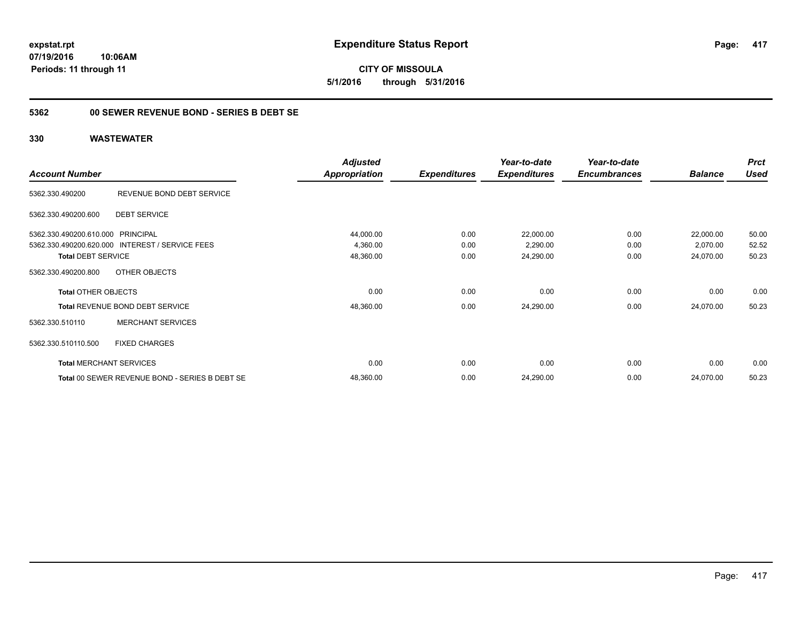**expstat.rpt Expenditure Status Report** 

**07/19/2016 10:06AM Periods: 11 through 11**

### **5362 00 SEWER REVENUE BOND - SERIES B DEBT SE**

### **330 WASTEWATER**

|                                                 |                                                | <b>Adjusted</b>      |                     | Year-to-date        | Year-to-date        |                | <b>Prct</b> |
|-------------------------------------------------|------------------------------------------------|----------------------|---------------------|---------------------|---------------------|----------------|-------------|
| <b>Account Number</b>                           |                                                | <b>Appropriation</b> | <b>Expenditures</b> | <b>Expenditures</b> | <b>Encumbrances</b> | <b>Balance</b> | <b>Used</b> |
| 5362.330.490200                                 | REVENUE BOND DEBT SERVICE                      |                      |                     |                     |                     |                |             |
| <b>DEBT SERVICE</b><br>5362.330.490200.600      |                                                |                      |                     |                     |                     |                |             |
| 5362.330.490200.610.000 PRINCIPAL               |                                                | 44,000.00            | 0.00                | 22,000.00           | 0.00                | 22,000.00      | 50.00       |
| 5362.330.490200.620.000 INTEREST / SERVICE FEES |                                                | 4,360.00             | 0.00                | 2,290.00            | 0.00                | 2,070.00       | 52.52       |
| <b>Total DEBT SERVICE</b>                       |                                                | 48,360.00            | 0.00                | 24,290.00           | 0.00                | 24,070.00      | 50.23       |
| OTHER OBJECTS<br>5362.330.490200.800            |                                                |                      |                     |                     |                     |                |             |
| <b>Total OTHER OBJECTS</b>                      |                                                | 0.00                 | 0.00                | 0.00                | 0.00                | 0.00           | 0.00        |
| Total REVENUE BOND DEBT SERVICE                 |                                                | 48,360.00            | 0.00                | 24,290.00           | 0.00                | 24,070.00      | 50.23       |
| 5362.330.510110                                 | <b>MERCHANT SERVICES</b>                       |                      |                     |                     |                     |                |             |
| 5362.330.510110.500<br><b>FIXED CHARGES</b>     |                                                |                      |                     |                     |                     |                |             |
| <b>Total MERCHANT SERVICES</b>                  |                                                | 0.00                 | 0.00                | 0.00                | 0.00                | 0.00           | 0.00        |
|                                                 | Total 00 SEWER REVENUE BOND - SERIES B DEBT SE | 48,360.00            | 0.00                | 24,290.00           | 0.00                | 24,070.00      | 50.23       |

Page: 417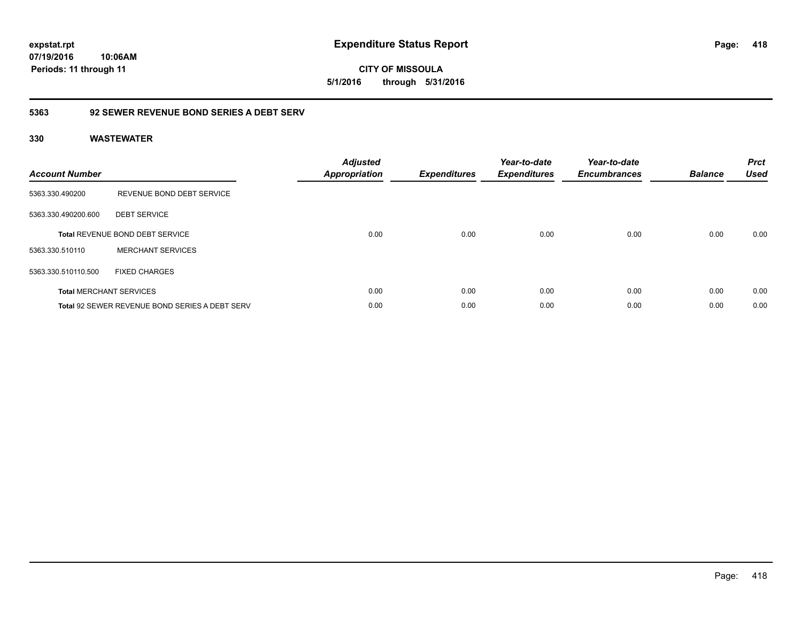### **5363 92 SEWER REVENUE BOND SERIES A DEBT SERV**

### **330 WASTEWATER**

| <b>Account Number</b> |                                                       | <b>Adjusted</b><br>Appropriation | <b>Expenditures</b> | Year-to-date<br><b>Expenditures</b> | Year-to-date<br><b>Encumbrances</b> | <b>Balance</b> | <b>Prct</b><br><b>Used</b> |
|-----------------------|-------------------------------------------------------|----------------------------------|---------------------|-------------------------------------|-------------------------------------|----------------|----------------------------|
| 5363.330.490200       | REVENUE BOND DEBT SERVICE                             |                                  |                     |                                     |                                     |                |                            |
| 5363.330.490200.600   | <b>DEBT SERVICE</b>                                   |                                  |                     |                                     |                                     |                |                            |
|                       | Total REVENUE BOND DEBT SERVICE                       | 0.00                             | 0.00                | 0.00                                | 0.00                                | 0.00           | 0.00                       |
| 5363.330.510110       | <b>MERCHANT SERVICES</b>                              |                                  |                     |                                     |                                     |                |                            |
| 5363.330.510110.500   | <b>FIXED CHARGES</b>                                  |                                  |                     |                                     |                                     |                |                            |
|                       | <b>Total MERCHANT SERVICES</b>                        | 0.00                             | 0.00                | 0.00                                | 0.00                                | 0.00           | 0.00                       |
|                       | <b>Total 92 SEWER REVENUE BOND SERIES A DEBT SERV</b> | 0.00                             | 0.00                | 0.00                                | 0.00                                | 0.00           | 0.00                       |

**418**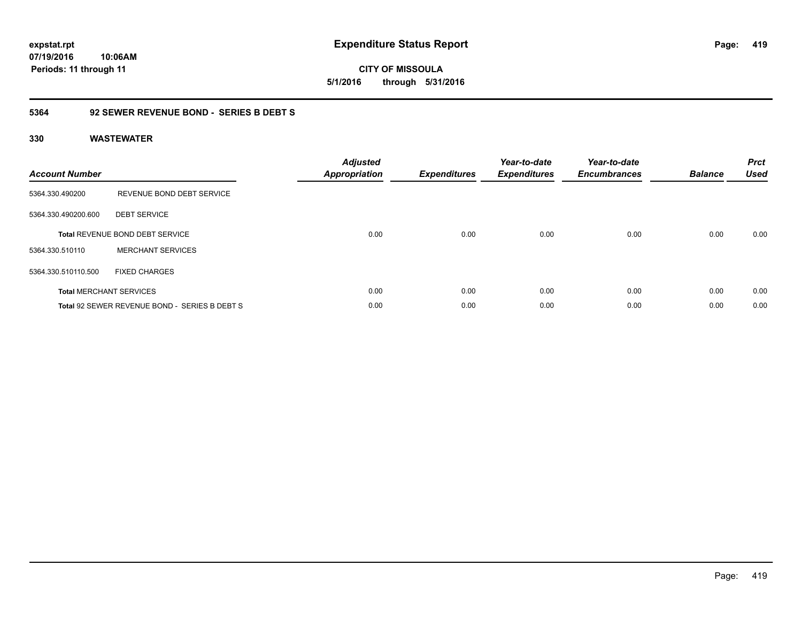**CITY OF MISSOULA 5/1/2016 through 5/31/2016**

### **5364 92 SEWER REVENUE BOND - SERIES B DEBT S**

| <b>Account Number</b> |                                               | <b>Adjusted</b><br>Appropriation | <b>Expenditures</b> | Year-to-date<br><b>Expenditures</b> | Year-to-date<br><b>Encumbrances</b> | <b>Balance</b> | <b>Prct</b><br><b>Used</b> |
|-----------------------|-----------------------------------------------|----------------------------------|---------------------|-------------------------------------|-------------------------------------|----------------|----------------------------|
| 5364.330.490200       | REVENUE BOND DEBT SERVICE                     |                                  |                     |                                     |                                     |                |                            |
| 5364.330.490200.600   | <b>DEBT SERVICE</b>                           |                                  |                     |                                     |                                     |                |                            |
|                       | <b>Total REVENUE BOND DEBT SERVICE</b>        | 0.00                             | 0.00                | 0.00                                | 0.00                                | 0.00           | 0.00                       |
| 5364.330.510110       | <b>MERCHANT SERVICES</b>                      |                                  |                     |                                     |                                     |                |                            |
| 5364.330.510110.500   | <b>FIXED CHARGES</b>                          |                                  |                     |                                     |                                     |                |                            |
|                       | <b>Total MERCHANT SERVICES</b>                | 0.00                             | 0.00                | 0.00                                | 0.00                                | 0.00           | 0.00                       |
|                       | Total 92 SEWER REVENUE BOND - SERIES B DEBT S | 0.00                             | 0.00                | 0.00                                | 0.00                                | 0.00           | 0.00                       |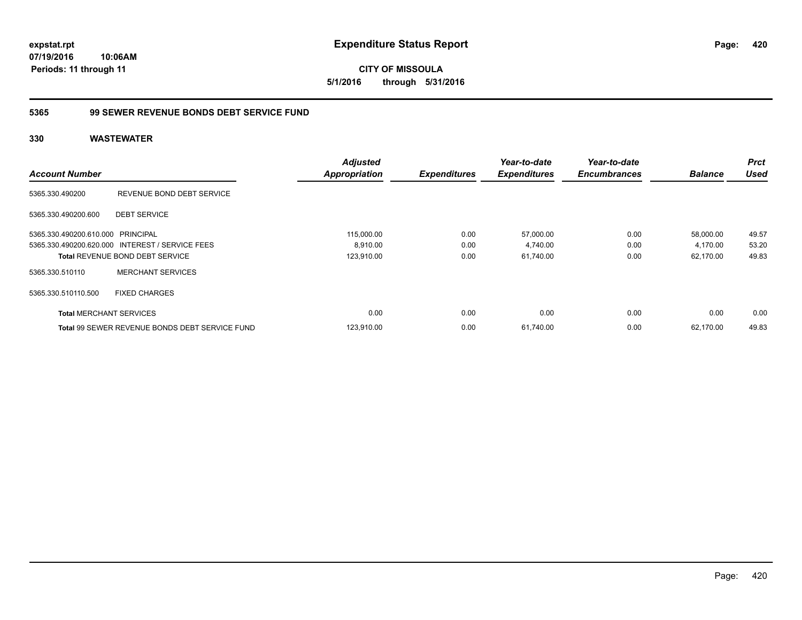**expstat.rpt Expenditure Status Report** 

**07/19/2016 10:06AM Periods: 11 through 11**

### **5365 99 SEWER REVENUE BONDS DEBT SERVICE FUND**

| <b>Account Number</b>             |                                                 | <b>Adjusted</b><br><b>Appropriation</b> | <b>Expenditures</b> | Year-to-date<br><b>Expenditures</b> | Year-to-date<br><b>Encumbrances</b> | <b>Balance</b> | <b>Prct</b><br><b>Used</b> |
|-----------------------------------|-------------------------------------------------|-----------------------------------------|---------------------|-------------------------------------|-------------------------------------|----------------|----------------------------|
| 5365.330.490200                   | REVENUE BOND DEBT SERVICE                       |                                         |                     |                                     |                                     |                |                            |
| 5365.330.490200.600               | <b>DEBT SERVICE</b>                             |                                         |                     |                                     |                                     |                |                            |
| 5365.330.490200.610.000 PRINCIPAL |                                                 | 115,000.00                              | 0.00                | 57,000.00                           | 0.00                                | 58,000.00      | 49.57                      |
|                                   | 5365.330.490200.620.000 INTEREST / SERVICE FEES | 8,910.00                                | 0.00                | 4,740.00                            | 0.00                                | 4,170.00       | 53.20                      |
|                                   | Total REVENUE BOND DEBT SERVICE                 | 123,910.00                              | 0.00                | 61,740.00                           | 0.00                                | 62,170.00      | 49.83                      |
| 5365.330.510110                   | <b>MERCHANT SERVICES</b>                        |                                         |                     |                                     |                                     |                |                            |
| 5365.330.510110.500               | <b>FIXED CHARGES</b>                            |                                         |                     |                                     |                                     |                |                            |
| <b>Total MERCHANT SERVICES</b>    |                                                 | 0.00                                    | 0.00                | 0.00                                | 0.00                                | 0.00           | 0.00                       |
|                                   | Total 99 SEWER REVENUE BONDS DEBT SERVICE FUND  | 123,910.00                              | 0.00                | 61,740.00                           | 0.00                                | 62,170.00      | 49.83                      |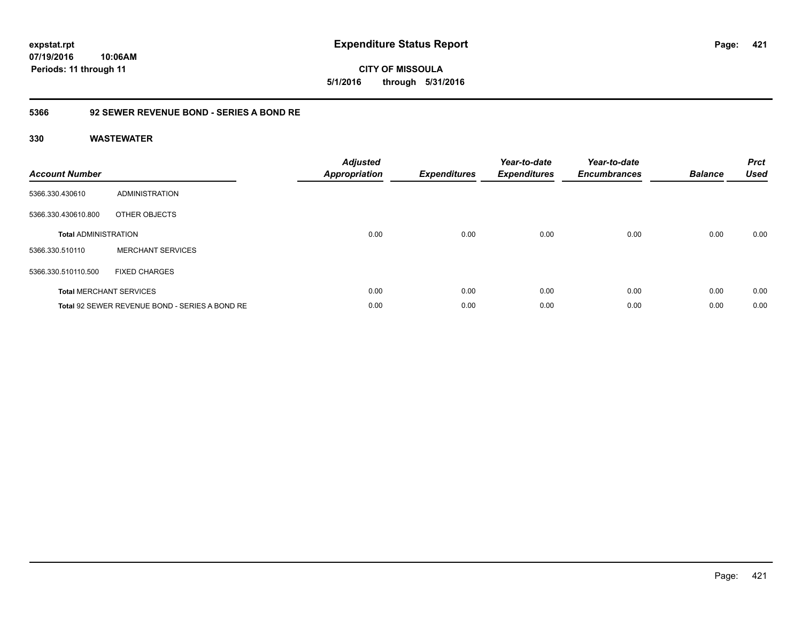### **5366 92 SEWER REVENUE BOND - SERIES A BOND RE**

| <b>Account Number</b>       |                                                | <b>Adjusted</b><br><b>Appropriation</b> | <b>Expenditures</b> | Year-to-date<br><b>Expenditures</b> | Year-to-date<br><b>Encumbrances</b> | <b>Balance</b> | <b>Prct</b><br><b>Used</b> |
|-----------------------------|------------------------------------------------|-----------------------------------------|---------------------|-------------------------------------|-------------------------------------|----------------|----------------------------|
| 5366.330.430610             | ADMINISTRATION                                 |                                         |                     |                                     |                                     |                |                            |
| 5366.330.430610.800         | OTHER OBJECTS                                  |                                         |                     |                                     |                                     |                |                            |
| <b>Total ADMINISTRATION</b> |                                                | 0.00                                    | 0.00                | 0.00                                | 0.00                                | 0.00           | 0.00                       |
| 5366.330.510110             | <b>MERCHANT SERVICES</b>                       |                                         |                     |                                     |                                     |                |                            |
| 5366.330.510110.500         | <b>FIXED CHARGES</b>                           |                                         |                     |                                     |                                     |                |                            |
|                             | <b>Total MERCHANT SERVICES</b>                 | 0.00                                    | 0.00                | 0.00                                | 0.00                                | 0.00           | 0.00                       |
|                             | Total 92 SEWER REVENUE BOND - SERIES A BOND RE | 0.00                                    | 0.00                | 0.00                                | 0.00                                | 0.00           | 0.00                       |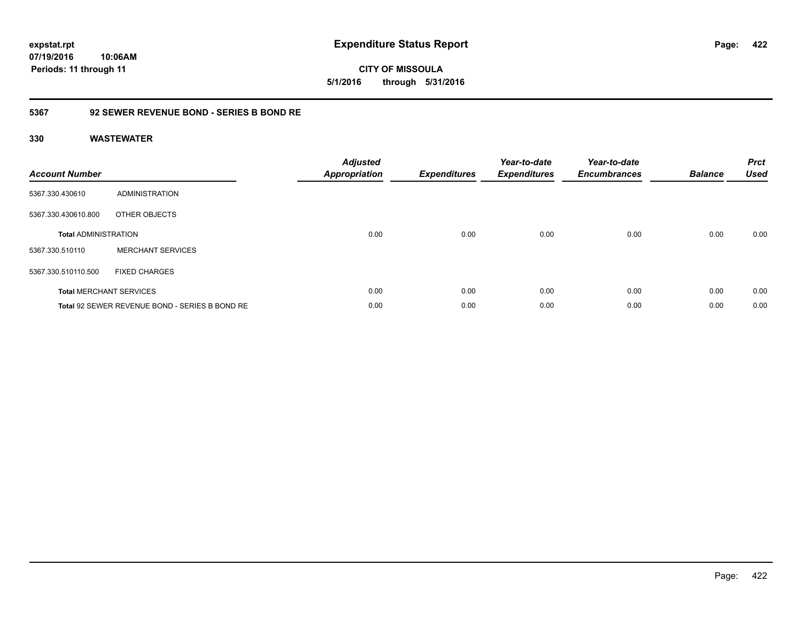### **5367 92 SEWER REVENUE BOND - SERIES B BOND RE**

### **330 WASTEWATER**

| <b>Account Number</b>       |                                                | <b>Adjusted</b><br>Appropriation | <b>Expenditures</b> | Year-to-date<br><b>Expenditures</b> | Year-to-date<br><b>Encumbrances</b> | <b>Balance</b> | <b>Prct</b><br><b>Used</b> |
|-----------------------------|------------------------------------------------|----------------------------------|---------------------|-------------------------------------|-------------------------------------|----------------|----------------------------|
| 5367.330.430610             | ADMINISTRATION                                 |                                  |                     |                                     |                                     |                |                            |
| 5367.330.430610.800         | OTHER OBJECTS                                  |                                  |                     |                                     |                                     |                |                            |
| <b>Total ADMINISTRATION</b> |                                                | 0.00                             | 0.00                | 0.00                                | 0.00                                | 0.00           | 0.00                       |
| 5367.330.510110             | <b>MERCHANT SERVICES</b>                       |                                  |                     |                                     |                                     |                |                            |
| 5367.330.510110.500         | <b>FIXED CHARGES</b>                           |                                  |                     |                                     |                                     |                |                            |
|                             | <b>Total MERCHANT SERVICES</b>                 | 0.00                             | 0.00                | 0.00                                | 0.00                                | 0.00           | 0.00                       |
|                             | Total 92 SEWER REVENUE BOND - SERIES B BOND RE | 0.00                             | 0.00                | 0.00                                | 0.00                                | 0.00           | 0.00                       |

Page: 422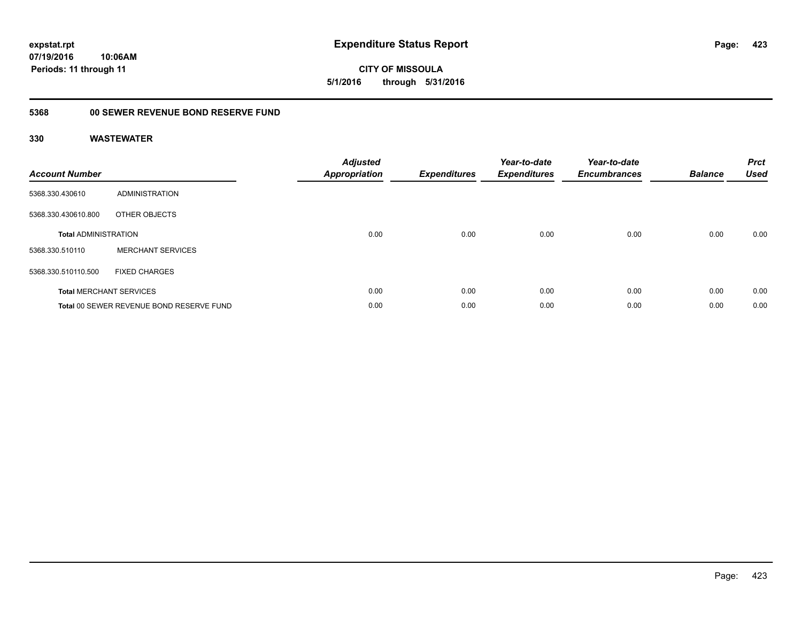**CITY OF MISSOULA 5/1/2016 through 5/31/2016**

## **5368 00 SEWER REVENUE BOND RESERVE FUND**

| <b>Account Number</b>       |                                          | <b>Adjusted</b><br><b>Appropriation</b> | <b>Expenditures</b> | Year-to-date<br><b>Expenditures</b> | Year-to-date<br><b>Encumbrances</b> | <b>Balance</b> | <b>Prct</b><br><b>Used</b> |
|-----------------------------|------------------------------------------|-----------------------------------------|---------------------|-------------------------------------|-------------------------------------|----------------|----------------------------|
| 5368.330.430610             | ADMINISTRATION                           |                                         |                     |                                     |                                     |                |                            |
| 5368.330.430610.800         | OTHER OBJECTS                            |                                         |                     |                                     |                                     |                |                            |
| <b>Total ADMINISTRATION</b> |                                          | 0.00                                    | 0.00                | 0.00                                | 0.00                                | 0.00           | 0.00                       |
| 5368.330.510110             | <b>MERCHANT SERVICES</b>                 |                                         |                     |                                     |                                     |                |                            |
| 5368.330.510110.500         | <b>FIXED CHARGES</b>                     |                                         |                     |                                     |                                     |                |                            |
|                             | <b>Total MERCHANT SERVICES</b>           | 0.00                                    | 0.00                | 0.00                                | 0.00                                | 0.00           | 0.00                       |
|                             | Total 00 SEWER REVENUE BOND RESERVE FUND | 0.00                                    | 0.00                | 0.00                                | 0.00                                | 0.00           | 0.00                       |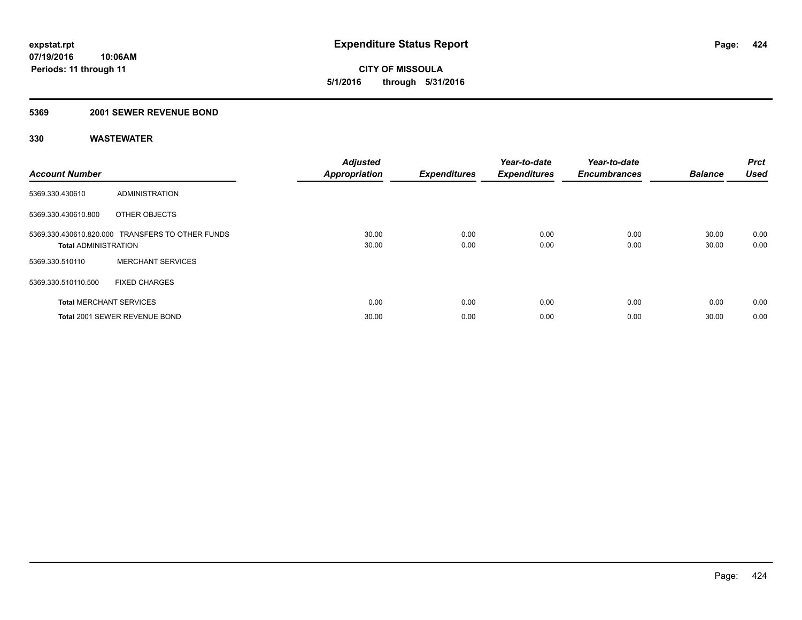**CITY OF MISSOULA 5/1/2016 through 5/31/2016**

### **5369 2001 SEWER REVENUE BOND**

| <b>Account Number</b>          |                                                  | <b>Adjusted</b><br><b>Appropriation</b> | <b>Expenditures</b> | Year-to-date<br><b>Expenditures</b> | Year-to-date<br><b>Encumbrances</b> | <b>Balance</b> | <b>Prct</b><br><b>Used</b> |
|--------------------------------|--------------------------------------------------|-----------------------------------------|---------------------|-------------------------------------|-------------------------------------|----------------|----------------------------|
| 5369.330.430610                | ADMINISTRATION                                   |                                         |                     |                                     |                                     |                |                            |
| 5369.330.430610.800            | OTHER OBJECTS                                    |                                         |                     |                                     |                                     |                |                            |
| <b>Total ADMINISTRATION</b>    | 5369.330.430610.820.000 TRANSFERS TO OTHER FUNDS | 30.00<br>30.00                          | 0.00<br>0.00        | 0.00<br>0.00                        | 0.00<br>0.00                        | 30.00<br>30.00 | 0.00<br>0.00               |
| 5369.330.510110                | <b>MERCHANT SERVICES</b>                         |                                         |                     |                                     |                                     |                |                            |
| 5369.330.510110.500            | <b>FIXED CHARGES</b>                             |                                         |                     |                                     |                                     |                |                            |
| <b>Total MERCHANT SERVICES</b> |                                                  | 0.00                                    | 0.00                | 0.00                                | 0.00                                | 0.00           | 0.00                       |
|                                | Total 2001 SEWER REVENUE BOND                    | 30.00                                   | 0.00                | 0.00                                | 0.00                                | 30.00          | 0.00                       |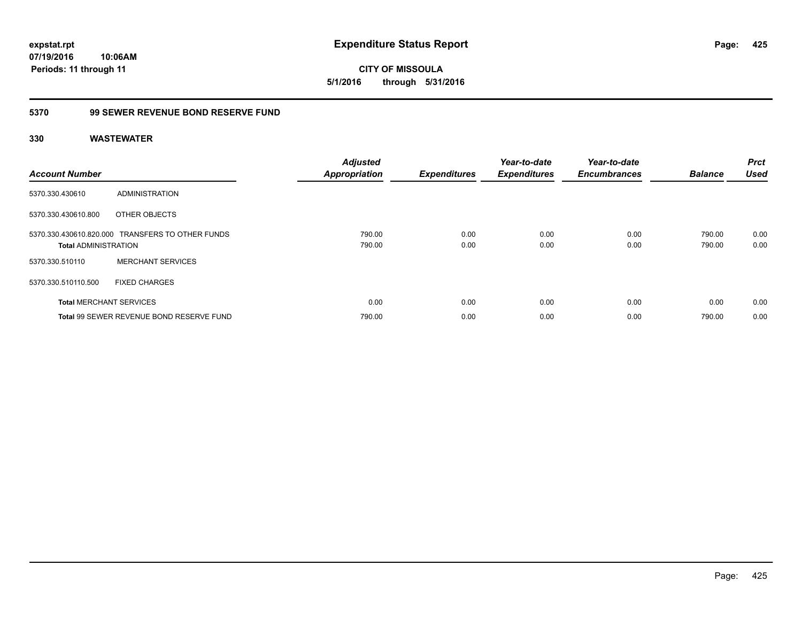**expstat.rpt Expenditure Status Report** 

**07/19/2016 10:06AM Periods: 11 through 11**

**CITY OF MISSOULA 5/1/2016 through 5/31/2016**

## **5370 99 SEWER REVENUE BOND RESERVE FUND**

| <b>Account Number</b>          |                                                  | <b>Adjusted</b><br><b>Appropriation</b> | <b>Expenditures</b> | Year-to-date<br><b>Expenditures</b> | Year-to-date<br><b>Encumbrances</b> | <b>Balance</b>   | <b>Prct</b><br><b>Used</b> |
|--------------------------------|--------------------------------------------------|-----------------------------------------|---------------------|-------------------------------------|-------------------------------------|------------------|----------------------------|
| 5370.330.430610                | ADMINISTRATION                                   |                                         |                     |                                     |                                     |                  |                            |
| 5370.330.430610.800            | OTHER OBJECTS                                    |                                         |                     |                                     |                                     |                  |                            |
| <b>Total ADMINISTRATION</b>    | 5370.330.430610.820.000 TRANSFERS TO OTHER FUNDS | 790.00<br>790.00                        | 0.00<br>0.00        | 0.00<br>0.00                        | 0.00<br>0.00                        | 790.00<br>790.00 | 0.00<br>0.00               |
| 5370.330.510110                | <b>MERCHANT SERVICES</b>                         |                                         |                     |                                     |                                     |                  |                            |
| 5370.330.510110.500            | <b>FIXED CHARGES</b>                             |                                         |                     |                                     |                                     |                  |                            |
| <b>Total MERCHANT SERVICES</b> |                                                  | 0.00                                    | 0.00                | 0.00                                | 0.00                                | 0.00             | 0.00                       |
|                                | Total 99 SEWER REVENUE BOND RESERVE FUND         | 790.00                                  | 0.00                | 0.00                                | 0.00                                | 790.00           | 0.00                       |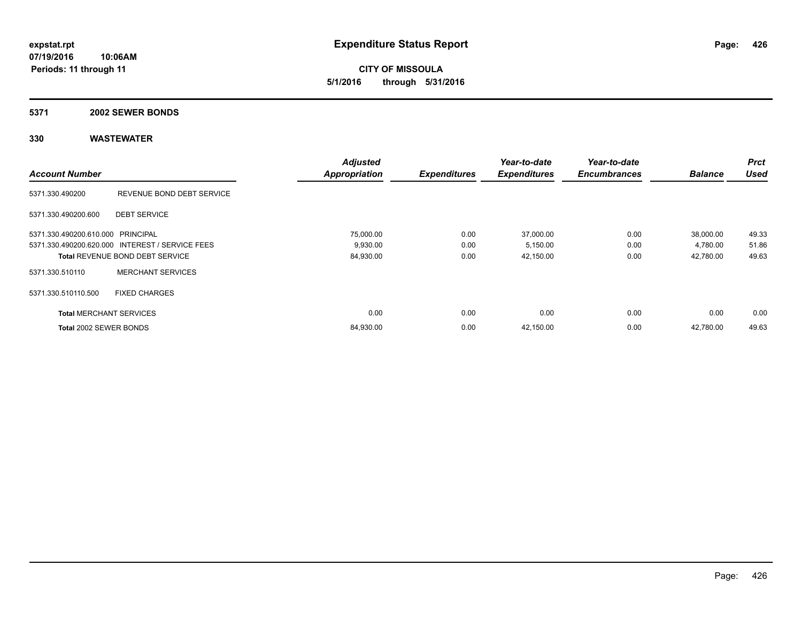**CITY OF MISSOULA 5/1/2016 through 5/31/2016**

#### **5371 2002 SEWER BONDS**

|                                   |                                                 | <b>Adjusted</b>      |                     | Year-to-date        | Year-to-date        |                | <b>Prct</b> |
|-----------------------------------|-------------------------------------------------|----------------------|---------------------|---------------------|---------------------|----------------|-------------|
| <b>Account Number</b>             |                                                 | <b>Appropriation</b> | <b>Expenditures</b> | <b>Expenditures</b> | <b>Encumbrances</b> | <b>Balance</b> | <b>Used</b> |
| 5371.330.490200                   | REVENUE BOND DEBT SERVICE                       |                      |                     |                     |                     |                |             |
| 5371.330.490200.600               | <b>DEBT SERVICE</b>                             |                      |                     |                     |                     |                |             |
| 5371.330.490200.610.000 PRINCIPAL |                                                 | 75,000.00            | 0.00                | 37,000.00           | 0.00                | 38,000.00      | 49.33       |
|                                   | 5371.330.490200.620.000 INTEREST / SERVICE FEES | 9,930.00             | 0.00                | 5,150.00            | 0.00                | 4,780.00       | 51.86       |
|                                   | <b>Total REVENUE BOND DEBT SERVICE</b>          | 84,930.00            | 0.00                | 42,150.00           | 0.00                | 42,780.00      | 49.63       |
| 5371.330.510110                   | <b>MERCHANT SERVICES</b>                        |                      |                     |                     |                     |                |             |
| 5371.330.510110.500               | <b>FIXED CHARGES</b>                            |                      |                     |                     |                     |                |             |
| <b>Total MERCHANT SERVICES</b>    |                                                 | 0.00                 | 0.00                | 0.00                | 0.00                | 0.00           | 0.00        |
| Total 2002 SEWER BONDS            |                                                 | 84,930.00            | 0.00                | 42,150.00           | 0.00                | 42,780.00      | 49.63       |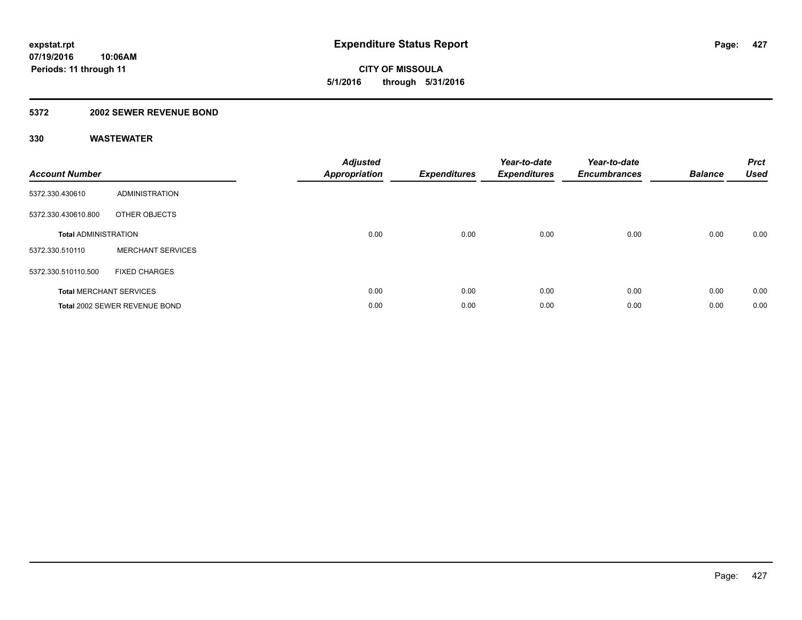**CITY OF MISSOULA 5/1/2016 through 5/31/2016**

### **5372 2002 SEWER REVENUE BOND**

| <b>Account Number</b>       |                                | Adjusted<br><b>Appropriation</b> | <b>Expenditures</b> | Year-to-date<br><b>Expenditures</b> | Year-to-date<br><b>Encumbrances</b> | <b>Balance</b> | <b>Prct</b><br><b>Used</b> |
|-----------------------------|--------------------------------|----------------------------------|---------------------|-------------------------------------|-------------------------------------|----------------|----------------------------|
| 5372.330.430610             | <b>ADMINISTRATION</b>          |                                  |                     |                                     |                                     |                |                            |
| 5372.330.430610.800         | OTHER OBJECTS                  |                                  |                     |                                     |                                     |                |                            |
| <b>Total ADMINISTRATION</b> |                                | 0.00                             | 0.00                | 0.00                                | 0.00                                | 0.00           | 0.00                       |
| 5372.330.510110             | <b>MERCHANT SERVICES</b>       |                                  |                     |                                     |                                     |                |                            |
| 5372.330.510110.500         | <b>FIXED CHARGES</b>           |                                  |                     |                                     |                                     |                |                            |
|                             | <b>Total MERCHANT SERVICES</b> | 0.00                             | 0.00                | 0.00                                | 0.00                                | 0.00           | 0.00                       |
|                             | Total 2002 SEWER REVENUE BOND  | 0.00                             | 0.00                | 0.00                                | 0.00                                | 0.00           | 0.00                       |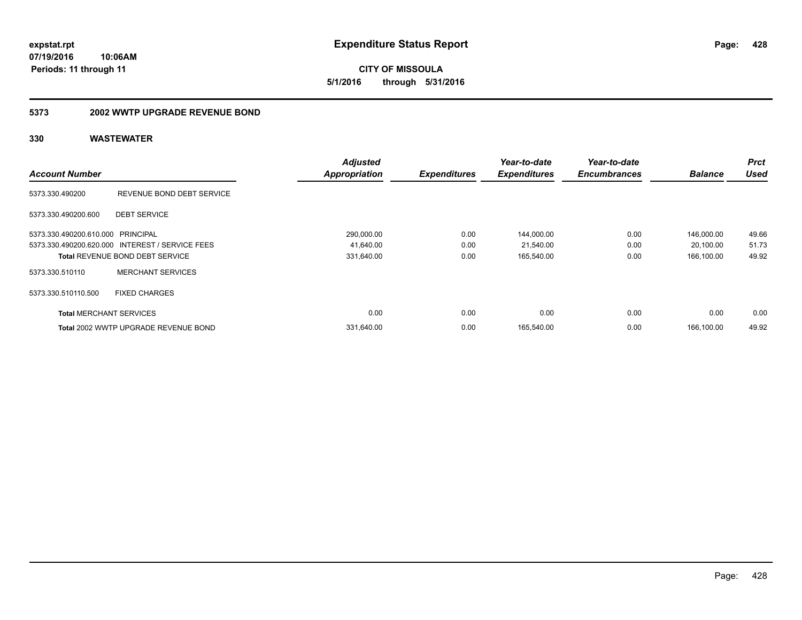**CITY OF MISSOULA 5/1/2016 through 5/31/2016**

#### **5373 2002 WWTP UPGRADE REVENUE BOND**

|                                   |                                                 | <b>Adjusted</b>      |                     | Year-to-date        | Year-to-date        |                | <b>Prct</b> |
|-----------------------------------|-------------------------------------------------|----------------------|---------------------|---------------------|---------------------|----------------|-------------|
| <b>Account Number</b>             |                                                 | <b>Appropriation</b> | <b>Expenditures</b> | <b>Expenditures</b> | <b>Encumbrances</b> | <b>Balance</b> | <b>Used</b> |
| 5373.330.490200                   | REVENUE BOND DEBT SERVICE                       |                      |                     |                     |                     |                |             |
| 5373.330.490200.600               | <b>DEBT SERVICE</b>                             |                      |                     |                     |                     |                |             |
| 5373.330.490200.610.000 PRINCIPAL |                                                 | 290,000.00           | 0.00                | 144,000.00          | 0.00                | 146.000.00     | 49.66       |
|                                   | 5373.330.490200.620.000 INTEREST / SERVICE FEES | 41,640.00            | 0.00                | 21,540.00           | 0.00                | 20,100.00      | 51.73       |
|                                   | <b>Total REVENUE BOND DEBT SERVICE</b>          | 331,640.00           | 0.00                | 165,540.00          | 0.00                | 166,100.00     | 49.92       |
| 5373.330.510110                   | <b>MERCHANT SERVICES</b>                        |                      |                     |                     |                     |                |             |
| 5373.330.510110.500               | <b>FIXED CHARGES</b>                            |                      |                     |                     |                     |                |             |
| <b>Total MERCHANT SERVICES</b>    |                                                 | 0.00                 | 0.00                | 0.00                | 0.00                | 0.00           | 0.00        |
|                                   | Total 2002 WWTP UPGRADE REVENUE BOND            | 331,640.00           | 0.00                | 165,540.00          | 0.00                | 166.100.00     | 49.92       |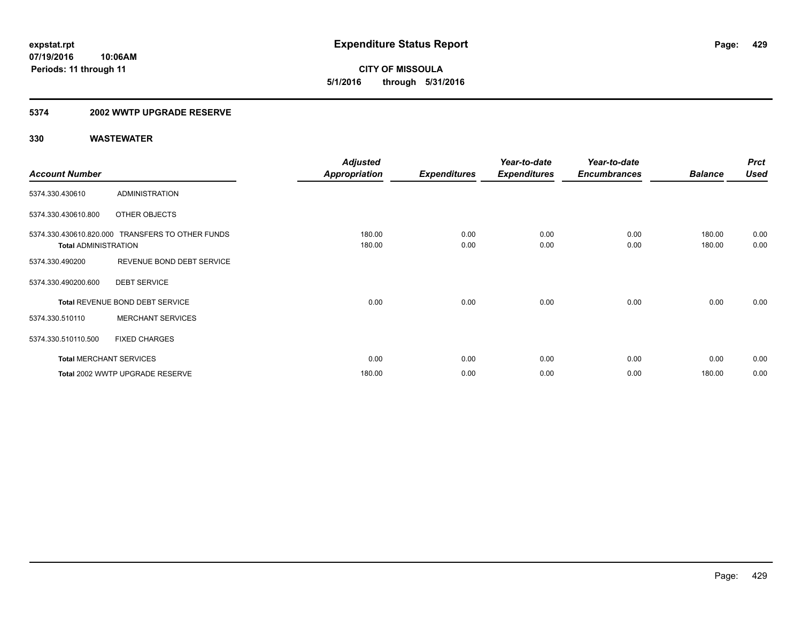**CITY OF MISSOULA 5/1/2016 through 5/31/2016**

### **5374 2002 WWTP UPGRADE RESERVE**

|                             |                                                  | <b>Adjusted</b>      |                     | Year-to-date        | Year-to-date        |                | <b>Prct</b> |
|-----------------------------|--------------------------------------------------|----------------------|---------------------|---------------------|---------------------|----------------|-------------|
| <b>Account Number</b>       |                                                  | <b>Appropriation</b> | <b>Expenditures</b> | <b>Expenditures</b> | <b>Encumbrances</b> | <b>Balance</b> | <b>Used</b> |
| 5374.330.430610             | <b>ADMINISTRATION</b>                            |                      |                     |                     |                     |                |             |
| 5374.330.430610.800         | OTHER OBJECTS                                    |                      |                     |                     |                     |                |             |
|                             | 5374.330.430610.820.000 TRANSFERS TO OTHER FUNDS | 180.00               | 0.00                | 0.00                | 0.00                | 180.00         | 0.00        |
| <b>Total ADMINISTRATION</b> |                                                  | 180.00               | 0.00                | 0.00                | 0.00                | 180.00         | 0.00        |
| 5374.330.490200             | REVENUE BOND DEBT SERVICE                        |                      |                     |                     |                     |                |             |
| 5374.330.490200.600         | <b>DEBT SERVICE</b>                              |                      |                     |                     |                     |                |             |
|                             | Total REVENUE BOND DEBT SERVICE                  | 0.00                 | 0.00                | 0.00                | 0.00                | 0.00           | 0.00        |
| 5374.330.510110             | <b>MERCHANT SERVICES</b>                         |                      |                     |                     |                     |                |             |
| 5374.330.510110.500         | <b>FIXED CHARGES</b>                             |                      |                     |                     |                     |                |             |
|                             | <b>Total MERCHANT SERVICES</b>                   | 0.00                 | 0.00                | 0.00                | 0.00                | 0.00           | 0.00        |
|                             | Total 2002 WWTP UPGRADE RESERVE                  | 180.00               | 0.00                | 0.00                | 0.00                | 180.00         | 0.00        |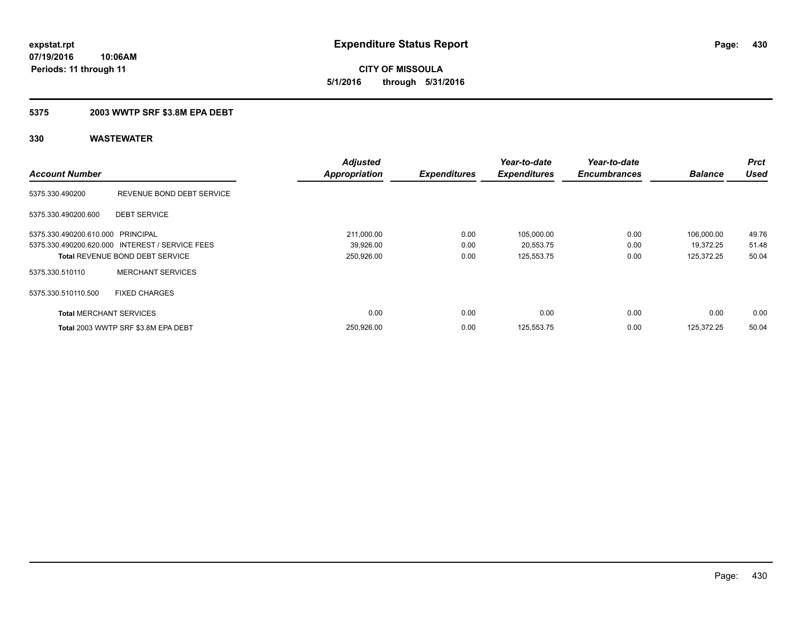**07/19/2016 10:06AM Periods: 11 through 11**

**CITY OF MISSOULA 5/1/2016 through 5/31/2016**

### **5375 2003 WWTP SRF \$3.8M EPA DEBT**

| <b>Account Number</b>             |                                                 | <b>Adjusted</b><br><b>Appropriation</b> | <b>Expenditures</b> | Year-to-date<br><b>Expenditures</b> | Year-to-date<br><b>Encumbrances</b> | <b>Balance</b> | <b>Prct</b><br><b>Used</b> |
|-----------------------------------|-------------------------------------------------|-----------------------------------------|---------------------|-------------------------------------|-------------------------------------|----------------|----------------------------|
| 5375.330.490200                   | REVENUE BOND DEBT SERVICE                       |                                         |                     |                                     |                                     |                |                            |
| 5375.330.490200.600               | <b>DEBT SERVICE</b>                             |                                         |                     |                                     |                                     |                |                            |
| 5375.330.490200.610.000 PRINCIPAL |                                                 | 211,000.00                              | 0.00                | 105,000.00                          | 0.00                                | 106,000.00     | 49.76                      |
|                                   | 5375.330.490200.620.000 INTEREST / SERVICE FEES | 39,926.00                               | 0.00                | 20,553.75                           | 0.00                                | 19.372.25      | 51.48                      |
|                                   | <b>Total REVENUE BOND DEBT SERVICE</b>          | 250,926.00                              | 0.00                | 125,553.75                          | 0.00                                | 125.372.25     | 50.04                      |
| 5375.330.510110                   | <b>MERCHANT SERVICES</b>                        |                                         |                     |                                     |                                     |                |                            |
| 5375.330.510110.500               | <b>FIXED CHARGES</b>                            |                                         |                     |                                     |                                     |                |                            |
| <b>Total MERCHANT SERVICES</b>    |                                                 | 0.00                                    | 0.00                | 0.00                                | 0.00                                | 0.00           | 0.00                       |
|                                   | Total 2003 WWTP SRF \$3.8M EPA DEBT             | 250.926.00                              | 0.00                | 125,553.75                          | 0.00                                | 125.372.25     | 50.04                      |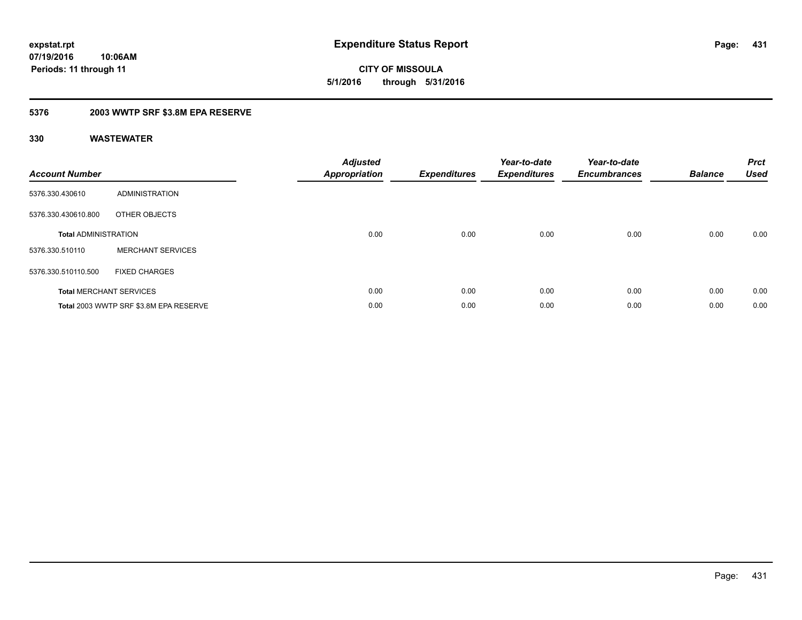**CITY OF MISSOULA 5/1/2016 through 5/31/2016**

### **5376 2003 WWTP SRF \$3.8M EPA RESERVE**

| <b>Account Number</b>       |                                        | Adjusted<br><b>Appropriation</b> | <b>Expenditures</b> | Year-to-date<br><b>Expenditures</b> | Year-to-date<br><b>Encumbrances</b> | <b>Balance</b> | <b>Prct</b><br><b>Used</b> |
|-----------------------------|----------------------------------------|----------------------------------|---------------------|-------------------------------------|-------------------------------------|----------------|----------------------------|
| 5376.330.430610             | <b>ADMINISTRATION</b>                  |                                  |                     |                                     |                                     |                |                            |
| 5376.330.430610.800         | OTHER OBJECTS                          |                                  |                     |                                     |                                     |                |                            |
| <b>Total ADMINISTRATION</b> |                                        | 0.00                             | 0.00                | 0.00                                | 0.00                                | 0.00           | 0.00                       |
| 5376.330.510110             | <b>MERCHANT SERVICES</b>               |                                  |                     |                                     |                                     |                |                            |
| 5376.330.510110.500         | <b>FIXED CHARGES</b>                   |                                  |                     |                                     |                                     |                |                            |
|                             | <b>Total MERCHANT SERVICES</b>         | 0.00                             | 0.00                | 0.00                                | 0.00                                | 0.00           | 0.00                       |
|                             | Total 2003 WWTP SRF \$3.8M EPA RESERVE | 0.00                             | 0.00                | 0.00                                | 0.00                                | 0.00           | 0.00                       |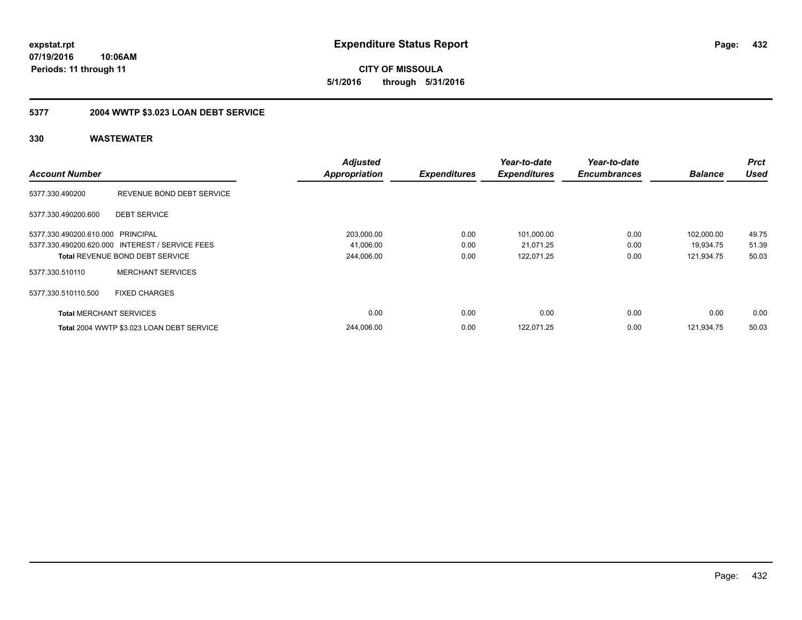**CITY OF MISSOULA 5/1/2016 through 5/31/2016**

## **5377 2004 WWTP \$3.023 LOAN DEBT SERVICE**

|                                   |                                                 | <b>Adjusted</b>      |                     | Year-to-date        | Year-to-date        |                | <b>Prct</b> |
|-----------------------------------|-------------------------------------------------|----------------------|---------------------|---------------------|---------------------|----------------|-------------|
| <b>Account Number</b>             |                                                 | <b>Appropriation</b> | <b>Expenditures</b> | <b>Expenditures</b> | <b>Encumbrances</b> | <b>Balance</b> | <b>Used</b> |
| 5377.330.490200                   | REVENUE BOND DEBT SERVICE                       |                      |                     |                     |                     |                |             |
| 5377.330.490200.600               | <b>DEBT SERVICE</b>                             |                      |                     |                     |                     |                |             |
| 5377.330.490200.610.000 PRINCIPAL |                                                 | 203,000.00           | 0.00                | 101,000.00          | 0.00                | 102.000.00     | 49.75       |
|                                   | 5377.330.490200.620.000 INTEREST / SERVICE FEES | 41,006.00            | 0.00                | 21,071.25           | 0.00                | 19.934.75      | 51.39       |
|                                   | <b>Total REVENUE BOND DEBT SERVICE</b>          | 244,006.00           | 0.00                | 122,071.25          | 0.00                | 121,934.75     | 50.03       |
| 5377.330.510110                   | <b>MERCHANT SERVICES</b>                        |                      |                     |                     |                     |                |             |
| 5377.330.510110.500               | <b>FIXED CHARGES</b>                            |                      |                     |                     |                     |                |             |
| <b>Total MERCHANT SERVICES</b>    |                                                 | 0.00                 | 0.00                | 0.00                | 0.00                | 0.00           | 0.00        |
|                                   | Total 2004 WWTP \$3.023 LOAN DEBT SERVICE       | 244,006.00           | 0.00                | 122,071.25          | 0.00                | 121.934.75     | 50.03       |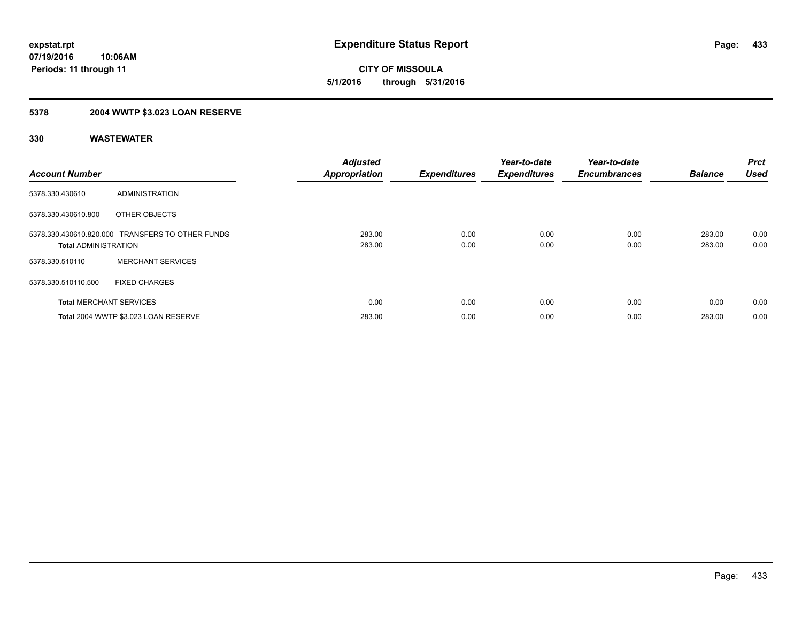**433**

**07/19/2016 10:06AM Periods: 11 through 11**

**CITY OF MISSOULA 5/1/2016 through 5/31/2016**

# **5378 2004 WWTP \$3.023 LOAN RESERVE**

| <b>Account Number</b>          |                                                  | <b>Adjusted</b><br><b>Appropriation</b> | <b>Expenditures</b> | Year-to-date<br><b>Expenditures</b> | Year-to-date<br><b>Encumbrances</b> | <b>Balance</b>   | <b>Prct</b><br><b>Used</b> |
|--------------------------------|--------------------------------------------------|-----------------------------------------|---------------------|-------------------------------------|-------------------------------------|------------------|----------------------------|
| 5378.330.430610                | ADMINISTRATION                                   |                                         |                     |                                     |                                     |                  |                            |
| 5378.330.430610.800            | OTHER OBJECTS                                    |                                         |                     |                                     |                                     |                  |                            |
| <b>Total ADMINISTRATION</b>    | 5378.330.430610.820.000 TRANSFERS TO OTHER FUNDS | 283.00<br>283.00                        | 0.00<br>0.00        | 0.00<br>0.00                        | 0.00<br>0.00                        | 283.00<br>283.00 | 0.00<br>0.00               |
| 5378.330.510110                | <b>MERCHANT SERVICES</b>                         |                                         |                     |                                     |                                     |                  |                            |
| 5378.330.510110.500            | <b>FIXED CHARGES</b>                             |                                         |                     |                                     |                                     |                  |                            |
| <b>Total MERCHANT SERVICES</b> |                                                  | 0.00                                    | 0.00                | 0.00                                | 0.00                                | 0.00             | 0.00                       |
|                                | Total 2004 WWTP \$3.023 LOAN RESERVE             | 283.00                                  | 0.00                | 0.00                                | 0.00                                | 283.00           | 0.00                       |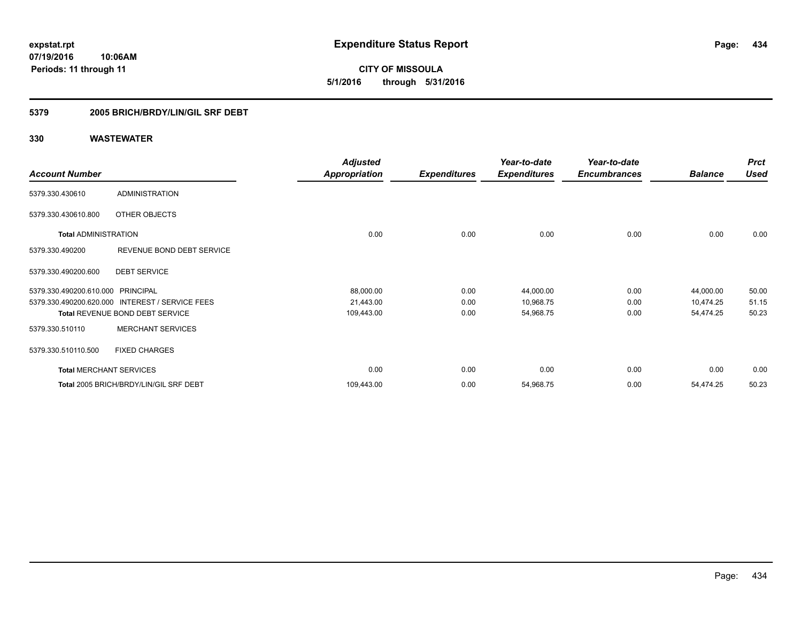**434**

**07/19/2016 10:06AM Periods: 11 through 11**

**CITY OF MISSOULA 5/1/2016 through 5/31/2016**

# **5379 2005 BRICH/BRDY/LIN/GIL SRF DEBT**

|                                   |                                        | <b>Adjusted</b>      |                     | Year-to-date        | Year-to-date        |                | <b>Prct</b> |
|-----------------------------------|----------------------------------------|----------------------|---------------------|---------------------|---------------------|----------------|-------------|
| <b>Account Number</b>             |                                        | <b>Appropriation</b> | <b>Expenditures</b> | <b>Expenditures</b> | <b>Encumbrances</b> | <b>Balance</b> | <b>Used</b> |
| 5379.330.430610                   | <b>ADMINISTRATION</b>                  |                      |                     |                     |                     |                |             |
| 5379.330.430610.800               | OTHER OBJECTS                          |                      |                     |                     |                     |                |             |
| <b>Total ADMINISTRATION</b>       |                                        | 0.00                 | 0.00                | 0.00                | 0.00                | 0.00           | 0.00        |
| 5379.330.490200                   | REVENUE BOND DEBT SERVICE              |                      |                     |                     |                     |                |             |
| 5379.330.490200.600               | <b>DEBT SERVICE</b>                    |                      |                     |                     |                     |                |             |
| 5379.330.490200.610.000 PRINCIPAL |                                        | 88,000.00            | 0.00                | 44,000.00           | 0.00                | 44,000.00      | 50.00       |
| 5379.330.490200.620.000           | <b>INTEREST / SERVICE FEES</b>         | 21,443.00            | 0.00                | 10,968.75           | 0.00                | 10,474.25      | 51.15       |
|                                   | <b>Total REVENUE BOND DEBT SERVICE</b> | 109,443.00           | 0.00                | 54,968.75           | 0.00                | 54,474.25      | 50.23       |
| 5379.330.510110                   | <b>MERCHANT SERVICES</b>               |                      |                     |                     |                     |                |             |
| 5379.330.510110.500               | <b>FIXED CHARGES</b>                   |                      |                     |                     |                     |                |             |
| <b>Total MERCHANT SERVICES</b>    |                                        | 0.00                 | 0.00                | 0.00                | 0.00                | 0.00           | 0.00        |
|                                   | Total 2005 BRICH/BRDY/LIN/GIL SRF DEBT | 109,443.00           | 0.00                | 54,968.75           | 0.00                | 54,474.25      | 50.23       |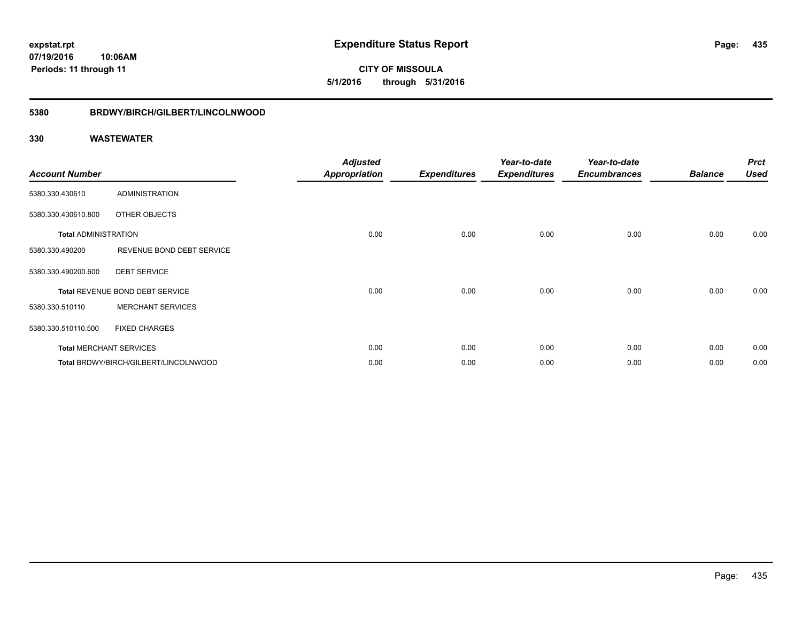**CITY OF MISSOULA 5/1/2016 through 5/31/2016**

# **5380 BRDWY/BIRCH/GILBERT/LINCOLNWOOD**

| <b>Account Number</b>       |                                       | <b>Adjusted</b><br><b>Appropriation</b> | <b>Expenditures</b> | Year-to-date<br><b>Expenditures</b> | Year-to-date<br><b>Encumbrances</b> | <b>Balance</b> | <b>Prct</b><br><b>Used</b> |
|-----------------------------|---------------------------------------|-----------------------------------------|---------------------|-------------------------------------|-------------------------------------|----------------|----------------------------|
| 5380.330.430610             | <b>ADMINISTRATION</b>                 |                                         |                     |                                     |                                     |                |                            |
| 5380.330.430610.800         | OTHER OBJECTS                         |                                         |                     |                                     |                                     |                |                            |
| <b>Total ADMINISTRATION</b> |                                       | 0.00                                    | 0.00                | 0.00                                | 0.00                                | 0.00           | 0.00                       |
| 5380.330.490200             | REVENUE BOND DEBT SERVICE             |                                         |                     |                                     |                                     |                |                            |
| 5380.330.490200.600         | <b>DEBT SERVICE</b>                   |                                         |                     |                                     |                                     |                |                            |
|                             | Total REVENUE BOND DEBT SERVICE       | 0.00                                    | 0.00                | 0.00                                | 0.00                                | 0.00           | 0.00                       |
| 5380.330.510110             | <b>MERCHANT SERVICES</b>              |                                         |                     |                                     |                                     |                |                            |
| 5380.330.510110.500         | <b>FIXED CHARGES</b>                  |                                         |                     |                                     |                                     |                |                            |
|                             | <b>Total MERCHANT SERVICES</b>        | 0.00                                    | 0.00                | 0.00                                | 0.00                                | 0.00           | 0.00                       |
|                             | Total BRDWY/BIRCH/GILBERT/LINCOLNWOOD | 0.00                                    | 0.00                | 0.00                                | 0.00                                | 0.00           | 0.00                       |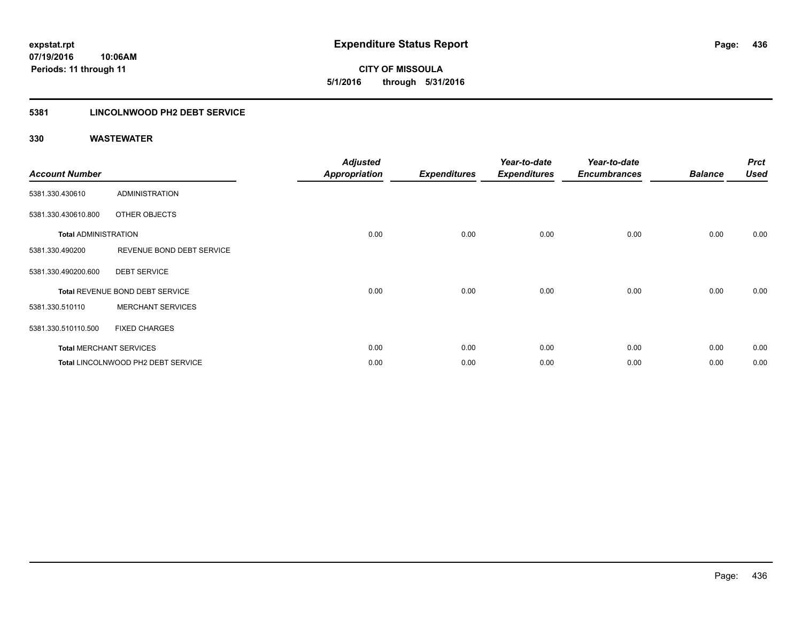**436**

**07/19/2016 10:06AM Periods: 11 through 11**

**CITY OF MISSOULA 5/1/2016 through 5/31/2016**

# **5381 LINCOLNWOOD PH2 DEBT SERVICE**

| <b>Account Number</b>       |                                    | <b>Adjusted</b><br><b>Appropriation</b> | <b>Expenditures</b> | Year-to-date<br><b>Expenditures</b> | Year-to-date<br><b>Encumbrances</b> | <b>Balance</b> | <b>Prct</b><br><b>Used</b> |
|-----------------------------|------------------------------------|-----------------------------------------|---------------------|-------------------------------------|-------------------------------------|----------------|----------------------------|
| 5381.330.430610             | <b>ADMINISTRATION</b>              |                                         |                     |                                     |                                     |                |                            |
| 5381.330.430610.800         | OTHER OBJECTS                      |                                         |                     |                                     |                                     |                |                            |
| <b>Total ADMINISTRATION</b> |                                    | 0.00                                    | 0.00                | 0.00                                | 0.00                                | 0.00           | 0.00                       |
| 5381.330.490200             | REVENUE BOND DEBT SERVICE          |                                         |                     |                                     |                                     |                |                            |
| 5381.330.490200.600         | <b>DEBT SERVICE</b>                |                                         |                     |                                     |                                     |                |                            |
|                             | Total REVENUE BOND DEBT SERVICE    | 0.00                                    | 0.00                | 0.00                                | 0.00                                | 0.00           | 0.00                       |
| 5381.330.510110             | <b>MERCHANT SERVICES</b>           |                                         |                     |                                     |                                     |                |                            |
| 5381.330.510110.500         | <b>FIXED CHARGES</b>               |                                         |                     |                                     |                                     |                |                            |
|                             | <b>Total MERCHANT SERVICES</b>     | 0.00                                    | 0.00                | 0.00                                | 0.00                                | 0.00           | 0.00                       |
|                             | Total LINCOLNWOOD PH2 DEBT SERVICE | 0.00                                    | 0.00                | 0.00                                | 0.00                                | 0.00           | 0.00                       |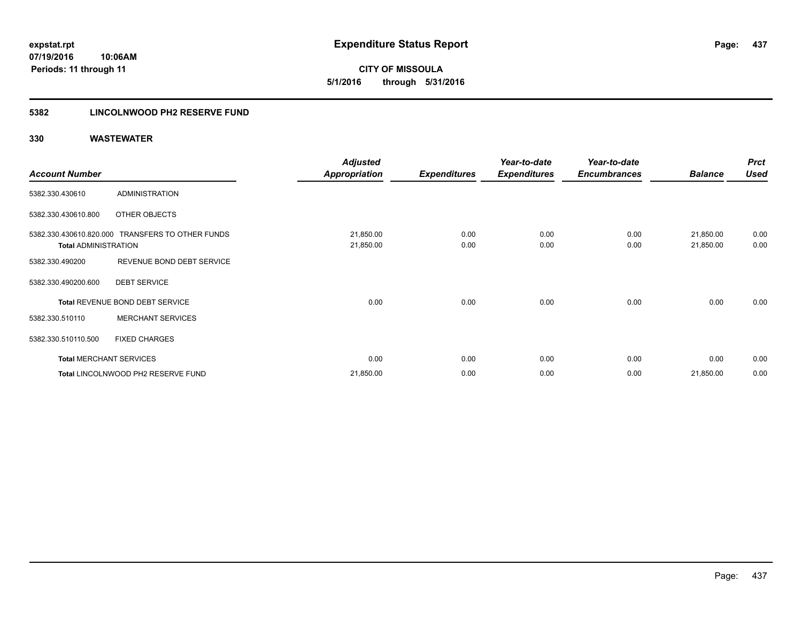**CITY OF MISSOULA 5/1/2016 through 5/31/2016**

# **5382 LINCOLNWOOD PH2 RESERVE FUND**

|                             |                                                  | <b>Adjusted</b>      |                     | Year-to-date        | Year-to-date        |                | <b>Prct</b> |
|-----------------------------|--------------------------------------------------|----------------------|---------------------|---------------------|---------------------|----------------|-------------|
| <b>Account Number</b>       |                                                  | <b>Appropriation</b> | <b>Expenditures</b> | <b>Expenditures</b> | <b>Encumbrances</b> | <b>Balance</b> | <b>Used</b> |
| 5382.330.430610             | ADMINISTRATION                                   |                      |                     |                     |                     |                |             |
| 5382.330.430610.800         | OTHER OBJECTS                                    |                      |                     |                     |                     |                |             |
|                             | 5382.330.430610.820.000 TRANSFERS TO OTHER FUNDS | 21,850.00            | 0.00                | 0.00                | 0.00                | 21,850.00      | 0.00        |
| <b>Total ADMINISTRATION</b> |                                                  | 21,850.00            | 0.00                | 0.00                | 0.00                | 21,850.00      | 0.00        |
| 5382.330.490200             | REVENUE BOND DEBT SERVICE                        |                      |                     |                     |                     |                |             |
| 5382.330.490200.600         | <b>DEBT SERVICE</b>                              |                      |                     |                     |                     |                |             |
|                             | Total REVENUE BOND DEBT SERVICE                  | 0.00                 | 0.00                | 0.00                | 0.00                | 0.00           | 0.00        |
| 5382.330.510110             | <b>MERCHANT SERVICES</b>                         |                      |                     |                     |                     |                |             |
| 5382.330.510110.500         | <b>FIXED CHARGES</b>                             |                      |                     |                     |                     |                |             |
|                             | <b>Total MERCHANT SERVICES</b>                   | 0.00                 | 0.00                | 0.00                | 0.00                | 0.00           | 0.00        |
|                             | <b>Total LINCOLNWOOD PH2 RESERVE FUND</b>        | 21,850.00            | 0.00                | 0.00                | 0.00                | 21,850.00      | 0.00        |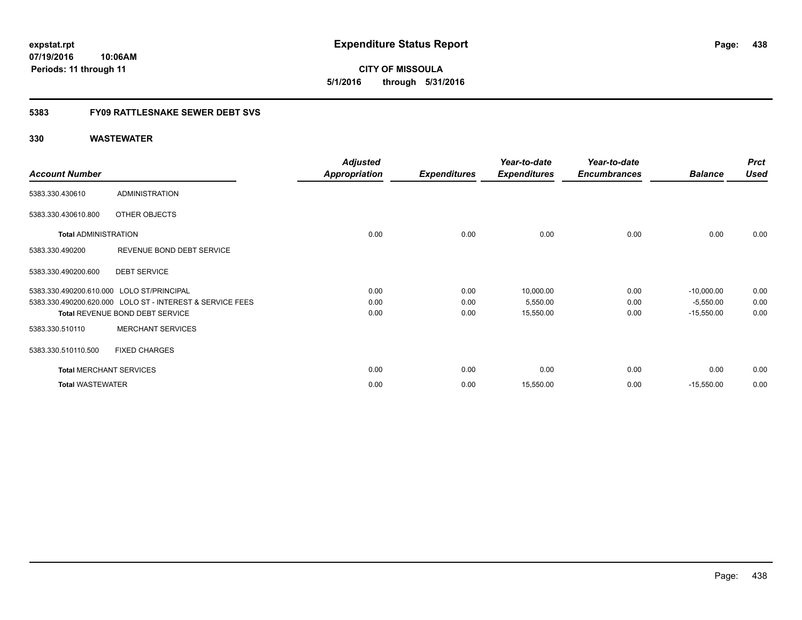**CITY OF MISSOULA 5/1/2016 through 5/31/2016**

# **5383 FY09 RATTLESNAKE SEWER DEBT SVS**

|                                           |                                                           | <b>Adjusted</b>      |                     | Year-to-date        | Year-to-date        |                | <b>Prct</b> |
|-------------------------------------------|-----------------------------------------------------------|----------------------|---------------------|---------------------|---------------------|----------------|-------------|
| <b>Account Number</b>                     |                                                           | <b>Appropriation</b> | <b>Expenditures</b> | <b>Expenditures</b> | <b>Encumbrances</b> | <b>Balance</b> | <b>Used</b> |
| 5383.330.430610                           | <b>ADMINISTRATION</b>                                     |                      |                     |                     |                     |                |             |
| 5383.330.430610.800                       | OTHER OBJECTS                                             |                      |                     |                     |                     |                |             |
| <b>Total ADMINISTRATION</b>               |                                                           | 0.00                 | 0.00                | 0.00                | 0.00                | 0.00           | 0.00        |
| 5383.330.490200                           | REVENUE BOND DEBT SERVICE                                 |                      |                     |                     |                     |                |             |
| 5383.330.490200.600                       | <b>DEBT SERVICE</b>                                       |                      |                     |                     |                     |                |             |
| 5383.330.490200.610.000 LOLO ST/PRINCIPAL |                                                           | 0.00                 | 0.00                | 10,000.00           | 0.00                | $-10,000.00$   | 0.00        |
|                                           | 5383.330.490200.620.000 LOLO ST - INTEREST & SERVICE FEES | 0.00                 | 0.00                | 5,550.00            | 0.00                | $-5,550.00$    | 0.00        |
|                                           | Total REVENUE BOND DEBT SERVICE                           | 0.00                 | 0.00                | 15,550.00           | 0.00                | $-15,550.00$   | 0.00        |
| 5383.330.510110                           | <b>MERCHANT SERVICES</b>                                  |                      |                     |                     |                     |                |             |
| 5383.330.510110.500                       | <b>FIXED CHARGES</b>                                      |                      |                     |                     |                     |                |             |
| <b>Total MERCHANT SERVICES</b>            |                                                           | 0.00                 | 0.00                | 0.00                | 0.00                | 0.00           | 0.00        |
| <b>Total WASTEWATER</b>                   |                                                           | 0.00                 | 0.00                | 15,550.00           | 0.00                | $-15,550.00$   | 0.00        |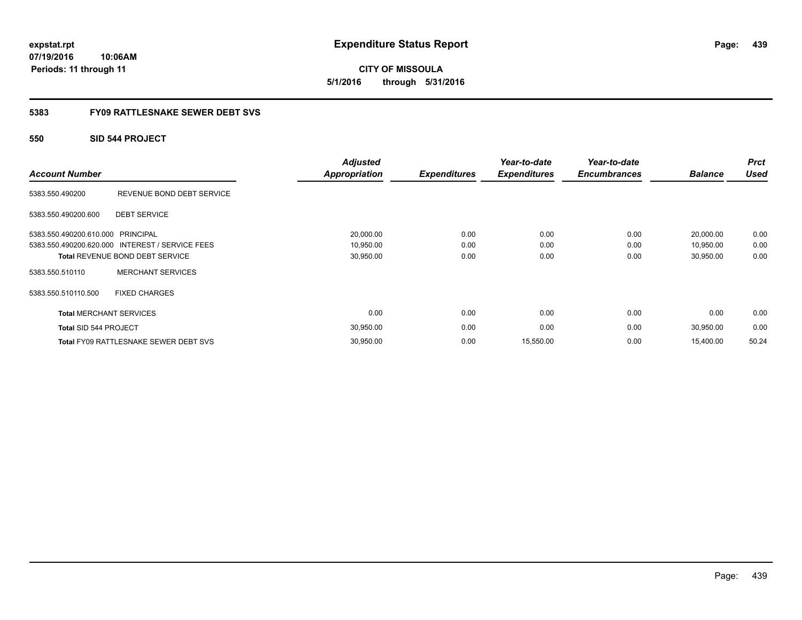**CITY OF MISSOULA 5/1/2016 through 5/31/2016**

# **5383 FY09 RATTLESNAKE SEWER DEBT SVS**

# **550 SID 544 PROJECT**

| <b>Account Number</b>             |                                                 | <b>Adjusted</b><br><b>Appropriation</b> | <b>Expenditures</b> | Year-to-date<br><b>Expenditures</b> | Year-to-date<br><b>Encumbrances</b> | <b>Balance</b> | <b>Prct</b><br><b>Used</b> |
|-----------------------------------|-------------------------------------------------|-----------------------------------------|---------------------|-------------------------------------|-------------------------------------|----------------|----------------------------|
| 5383.550.490200                   | REVENUE BOND DEBT SERVICE                       |                                         |                     |                                     |                                     |                |                            |
| 5383.550.490200.600               | <b>DEBT SERVICE</b>                             |                                         |                     |                                     |                                     |                |                            |
| 5383.550.490200.610.000 PRINCIPAL |                                                 | 20,000.00                               | 0.00                | 0.00                                | 0.00                                | 20,000.00      | 0.00                       |
|                                   | 5383.550.490200.620.000 INTEREST / SERVICE FEES | 10,950.00                               | 0.00                | 0.00                                | 0.00                                | 10,950.00      | 0.00                       |
|                                   | <b>Total REVENUE BOND DEBT SERVICE</b>          | 30,950.00                               | 0.00                | 0.00                                | 0.00                                | 30,950.00      | 0.00                       |
| 5383.550.510110                   | <b>MERCHANT SERVICES</b>                        |                                         |                     |                                     |                                     |                |                            |
| 5383.550.510110.500               | <b>FIXED CHARGES</b>                            |                                         |                     |                                     |                                     |                |                            |
| <b>Total MERCHANT SERVICES</b>    |                                                 | 0.00                                    | 0.00                | 0.00                                | 0.00                                | 0.00           | 0.00                       |
| Total SID 544 PROJECT             |                                                 | 30,950.00                               | 0.00                | 0.00                                | 0.00                                | 30,950.00      | 0.00                       |
|                                   | <b>Total FY09 RATTLESNAKE SEWER DEBT SVS</b>    | 30,950.00                               | 0.00                | 15,550.00                           | 0.00                                | 15,400.00      | 50.24                      |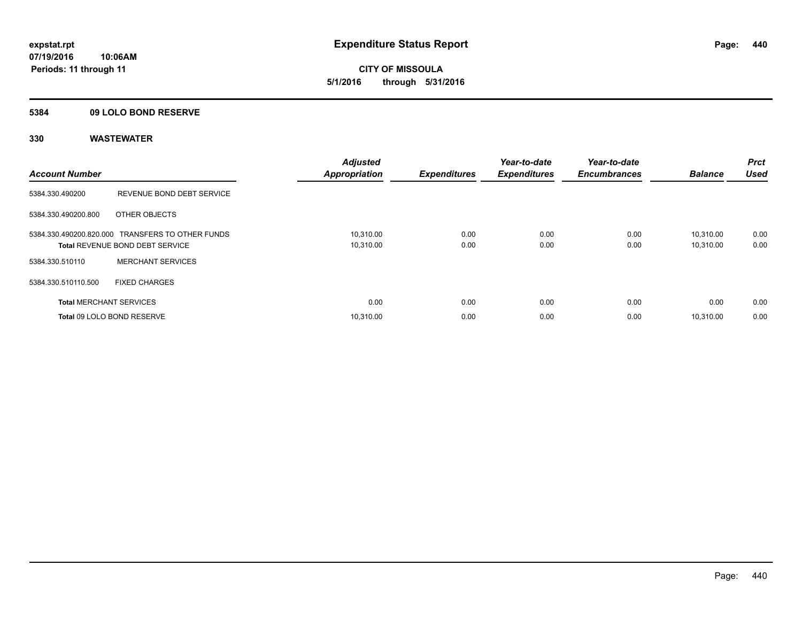**CITY OF MISSOULA 5/1/2016 through 5/31/2016**

# **5384 09 LOLO BOND RESERVE**

| <b>Account Number</b>          |                                                                                     | <b>Adjusted</b><br><b>Appropriation</b> | <b>Expenditures</b> | Year-to-date<br><b>Expenditures</b> | Year-to-date<br><b>Encumbrances</b> | <b>Balance</b>         | <b>Prct</b><br><b>Used</b> |
|--------------------------------|-------------------------------------------------------------------------------------|-----------------------------------------|---------------------|-------------------------------------|-------------------------------------|------------------------|----------------------------|
| 5384.330.490200                | REVENUE BOND DEBT SERVICE                                                           |                                         |                     |                                     |                                     |                        |                            |
| 5384.330.490200.800            | OTHER OBJECTS                                                                       |                                         |                     |                                     |                                     |                        |                            |
|                                | 5384.330.490200.820.000 TRANSFERS TO OTHER FUNDS<br>Total REVENUE BOND DEBT SERVICE | 10,310.00<br>10,310.00                  | 0.00<br>0.00        | 0.00<br>0.00                        | 0.00<br>0.00                        | 10.310.00<br>10,310.00 | 0.00<br>0.00               |
| 5384.330.510110                | <b>MERCHANT SERVICES</b>                                                            |                                         |                     |                                     |                                     |                        |                            |
| 5384.330.510110.500            | <b>FIXED CHARGES</b>                                                                |                                         |                     |                                     |                                     |                        |                            |
| <b>Total MERCHANT SERVICES</b> |                                                                                     | 0.00                                    | 0.00                | 0.00                                | 0.00                                | 0.00                   | 0.00                       |
|                                | Total 09 LOLO BOND RESERVE                                                          | 10.310.00                               | 0.00                | 0.00                                | 0.00                                | 10.310.00              | 0.00                       |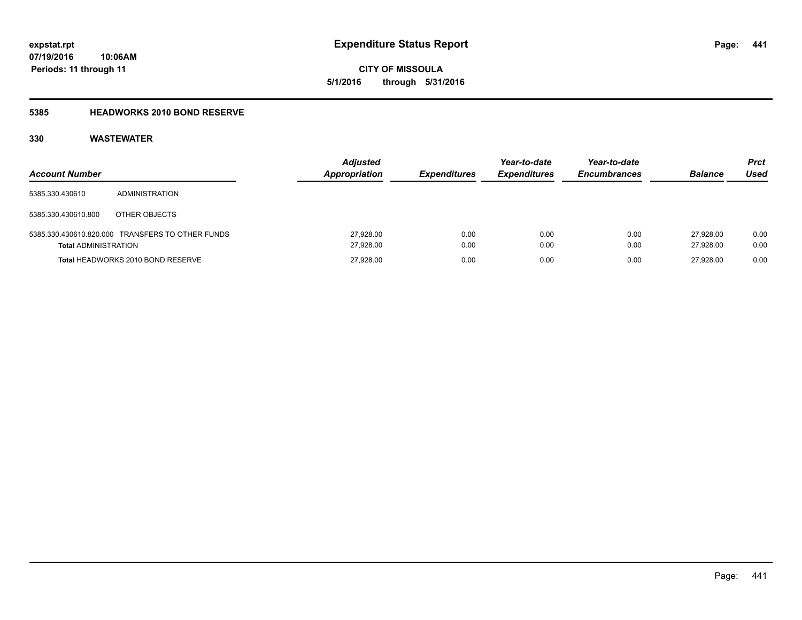**441**

**07/19/2016 10:06AM Periods: 11 through 11**

**CITY OF MISSOULA 5/1/2016 through 5/31/2016**

# **5385 HEADWORKS 2010 BOND RESERVE**

| <b>Account Number</b>       |                                                  | <b>Adjusted</b><br>Appropriation | <b>Expenditures</b> | Year-to-date<br><b>Expenditures</b> | Year-to-date<br><b>Encumbrances</b> | <b>Balance</b>         | <b>Prct</b><br>Used |
|-----------------------------|--------------------------------------------------|----------------------------------|---------------------|-------------------------------------|-------------------------------------|------------------------|---------------------|
| 5385.330.430610             | ADMINISTRATION                                   |                                  |                     |                                     |                                     |                        |                     |
| 5385.330.430610.800         | OTHER OBJECTS                                    |                                  |                     |                                     |                                     |                        |                     |
| <b>Total ADMINISTRATION</b> | 5385.330.430610.820.000 TRANSFERS TO OTHER FUNDS | 27,928.00<br>27,928.00           | 0.00<br>0.00        | 0.00<br>0.00                        | 0.00<br>0.00                        | 27.928.00<br>27.928.00 | 0.00<br>0.00        |
|                             | Total HEADWORKS 2010 BOND RESERVE                | 27,928.00                        | 0.00                | 0.00                                | 0.00                                | 27.928.00              | 0.00                |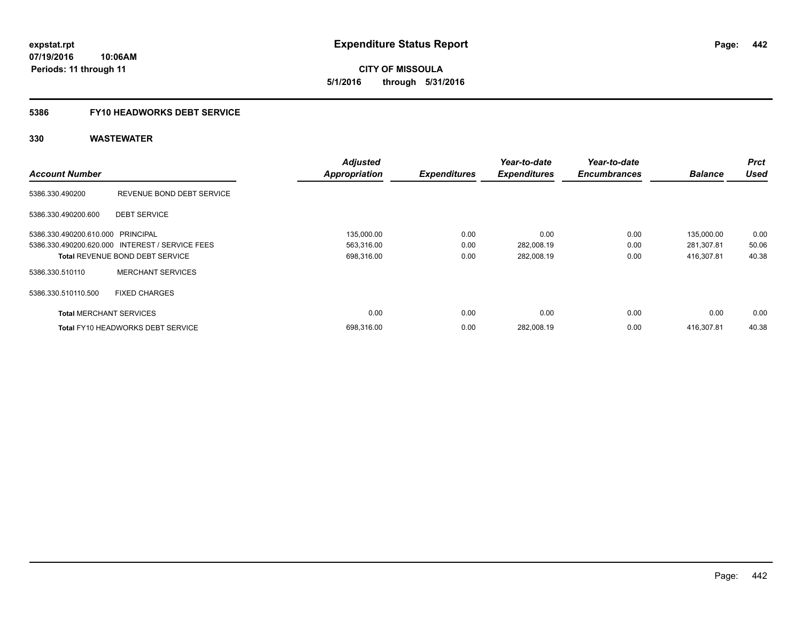# **5386 FY10 HEADWORKS DEBT SERVICE**

|                                   |                                                 | <b>Adjusted</b>      |                     | Year-to-date        | Year-to-date        |                | <b>Prct</b> |
|-----------------------------------|-------------------------------------------------|----------------------|---------------------|---------------------|---------------------|----------------|-------------|
| <b>Account Number</b>             |                                                 | <b>Appropriation</b> | <b>Expenditures</b> | <b>Expenditures</b> | <b>Encumbrances</b> | <b>Balance</b> | <b>Used</b> |
| 5386.330.490200                   | REVENUE BOND DEBT SERVICE                       |                      |                     |                     |                     |                |             |
| 5386.330.490200.600               | <b>DEBT SERVICE</b>                             |                      |                     |                     |                     |                |             |
| 5386.330.490200.610.000 PRINCIPAL |                                                 | 135,000.00           | 0.00                | 0.00                | 0.00                | 135,000.00     | 0.00        |
|                                   | 5386.330.490200.620.000 INTEREST / SERVICE FEES | 563,316.00           | 0.00                | 282,008.19          | 0.00                | 281,307.81     | 50.06       |
|                                   | <b>Total REVENUE BOND DEBT SERVICE</b>          | 698,316.00           | 0.00                | 282,008.19          | 0.00                | 416.307.81     | 40.38       |
| 5386.330.510110                   | <b>MERCHANT SERVICES</b>                        |                      |                     |                     |                     |                |             |
| 5386.330.510110.500               | <b>FIXED CHARGES</b>                            |                      |                     |                     |                     |                |             |
| <b>Total MERCHANT SERVICES</b>    |                                                 | 0.00                 | 0.00                | 0.00                | 0.00                | 0.00           | 0.00        |
|                                   | <b>Total FY10 HEADWORKS DEBT SERVICE</b>        | 698.316.00           | 0.00                | 282.008.19          | 0.00                | 416.307.81     | 40.38       |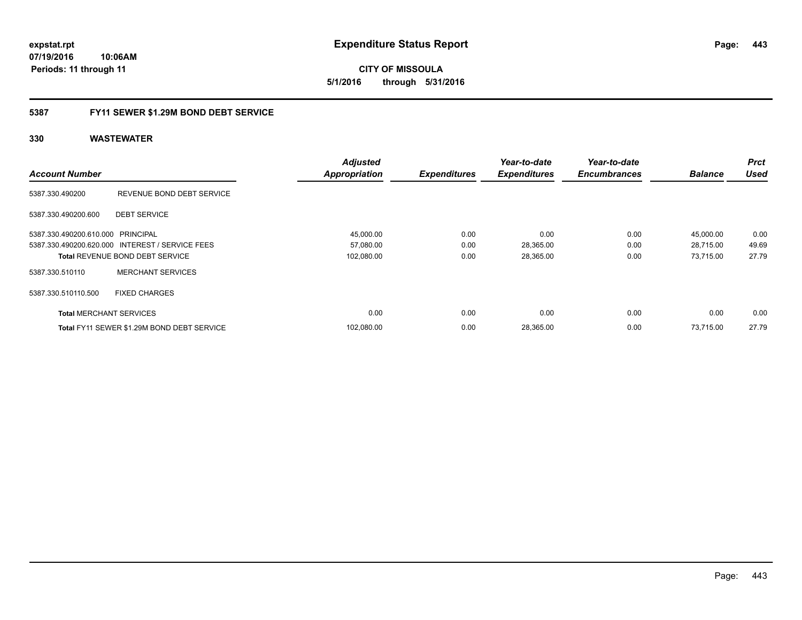**CITY OF MISSOULA 5/1/2016 through 5/31/2016**

# **5387 FY11 SEWER \$1.29M BOND DEBT SERVICE**

|                                   |                                                 | <b>Adjusted</b>      |                     | Year-to-date        | Year-to-date        |                | <b>Prct</b> |
|-----------------------------------|-------------------------------------------------|----------------------|---------------------|---------------------|---------------------|----------------|-------------|
| <b>Account Number</b>             |                                                 | <b>Appropriation</b> | <b>Expenditures</b> | <b>Expenditures</b> | <b>Encumbrances</b> | <b>Balance</b> | <b>Used</b> |
| 5387.330.490200                   | REVENUE BOND DEBT SERVICE                       |                      |                     |                     |                     |                |             |
| 5387.330.490200.600               | <b>DEBT SERVICE</b>                             |                      |                     |                     |                     |                |             |
| 5387.330.490200.610.000 PRINCIPAL |                                                 | 45,000.00            | 0.00                | 0.00                | 0.00                | 45,000.00      | 0.00        |
|                                   | 5387.330.490200.620.000 INTEREST / SERVICE FEES | 57,080.00            | 0.00                | 28,365.00           | 0.00                | 28,715.00      | 49.69       |
|                                   | <b>Total REVENUE BOND DEBT SERVICE</b>          | 102,080.00           | 0.00                | 28,365.00           | 0.00                | 73,715.00      | 27.79       |
| 5387.330.510110                   | <b>MERCHANT SERVICES</b>                        |                      |                     |                     |                     |                |             |
| 5387.330.510110.500               | <b>FIXED CHARGES</b>                            |                      |                     |                     |                     |                |             |
| <b>Total MERCHANT SERVICES</b>    |                                                 | 0.00                 | 0.00                | 0.00                | 0.00                | 0.00           | 0.00        |
|                                   | Total FY11 SEWER \$1.29M BOND DEBT SERVICE      | 102,080.00           | 0.00                | 28,365.00           | 0.00                | 73,715.00      | 27.79       |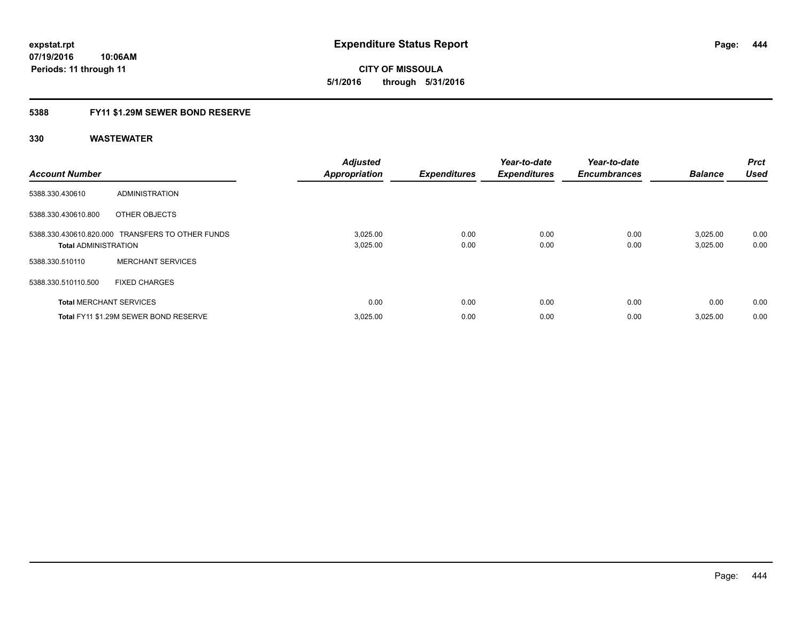**CITY OF MISSOULA 5/1/2016 through 5/31/2016**

# **5388 FY11 \$1.29M SEWER BOND RESERVE**

| <b>Account Number</b>          |                                                  | <b>Adjusted</b><br><b>Appropriation</b> | <b>Expenditures</b> | Year-to-date<br><b>Expenditures</b> | Year-to-date<br><b>Encumbrances</b> | <b>Balance</b>       | <b>Prct</b><br><b>Used</b> |
|--------------------------------|--------------------------------------------------|-----------------------------------------|---------------------|-------------------------------------|-------------------------------------|----------------------|----------------------------|
| 5388.330.430610                | ADMINISTRATION                                   |                                         |                     |                                     |                                     |                      |                            |
| 5388.330.430610.800            | OTHER OBJECTS                                    |                                         |                     |                                     |                                     |                      |                            |
| <b>Total ADMINISTRATION</b>    | 5388.330.430610.820.000 TRANSFERS TO OTHER FUNDS | 3,025.00<br>3,025.00                    | 0.00<br>0.00        | 0.00<br>0.00                        | 0.00<br>0.00                        | 3.025.00<br>3,025.00 | 0.00<br>0.00               |
| 5388.330.510110                | <b>MERCHANT SERVICES</b>                         |                                         |                     |                                     |                                     |                      |                            |
| 5388.330.510110.500            | <b>FIXED CHARGES</b>                             |                                         |                     |                                     |                                     |                      |                            |
| <b>Total MERCHANT SERVICES</b> |                                                  | 0.00                                    | 0.00                | 0.00                                | 0.00                                | 0.00                 | 0.00                       |
|                                | Total FY11 \$1.29M SEWER BOND RESERVE            | 3,025.00                                | 0.00                | 0.00                                | 0.00                                | 3,025.00             | 0.00                       |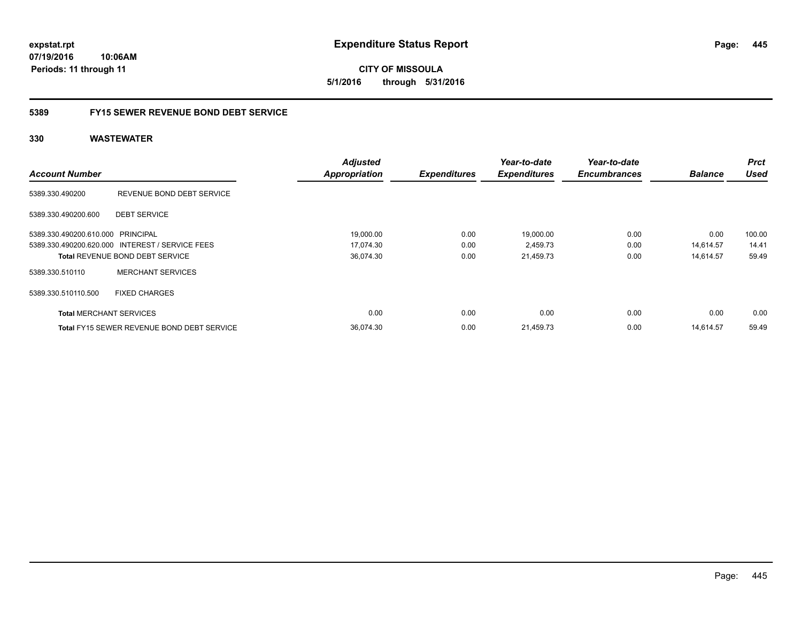**expstat.rpt Expenditure Status Report** 

**07/19/2016 10:06AM Periods: 11 through 11**

**CITY OF MISSOULA 5/1/2016 through 5/31/2016**

# **5389 FY15 SEWER REVENUE BOND DEBT SERVICE**

|                                   |                                                   | <b>Adjusted</b>      |                     | Year-to-date        | Year-to-date        |                | <b>Prct</b> |
|-----------------------------------|---------------------------------------------------|----------------------|---------------------|---------------------|---------------------|----------------|-------------|
| <b>Account Number</b>             |                                                   | <b>Appropriation</b> | <b>Expenditures</b> | <b>Expenditures</b> | <b>Encumbrances</b> | <b>Balance</b> | <b>Used</b> |
| 5389.330.490200                   | REVENUE BOND DEBT SERVICE                         |                      |                     |                     |                     |                |             |
| 5389.330.490200.600               | <b>DEBT SERVICE</b>                               |                      |                     |                     |                     |                |             |
| 5389.330.490200.610.000 PRINCIPAL |                                                   | 19,000.00            | 0.00                | 19,000.00           | 0.00                | 0.00           | 100.00      |
|                                   | 5389.330.490200.620.000 INTEREST / SERVICE FEES   | 17,074.30            | 0.00                | 2,459.73            | 0.00                | 14.614.57      | 14.41       |
|                                   | <b>Total REVENUE BOND DEBT SERVICE</b>            | 36,074.30            | 0.00                | 21,459.73           | 0.00                | 14,614.57      | 59.49       |
| 5389.330.510110                   | <b>MERCHANT SERVICES</b>                          |                      |                     |                     |                     |                |             |
| 5389.330.510110.500               | <b>FIXED CHARGES</b>                              |                      |                     |                     |                     |                |             |
| <b>Total MERCHANT SERVICES</b>    |                                                   | 0.00                 | 0.00                | 0.00                | 0.00                | 0.00           | 0.00        |
|                                   | <b>Total FY15 SEWER REVENUE BOND DEBT SERVICE</b> | 36,074.30            | 0.00                | 21,459.73           | 0.00                | 14.614.57      | 59.49       |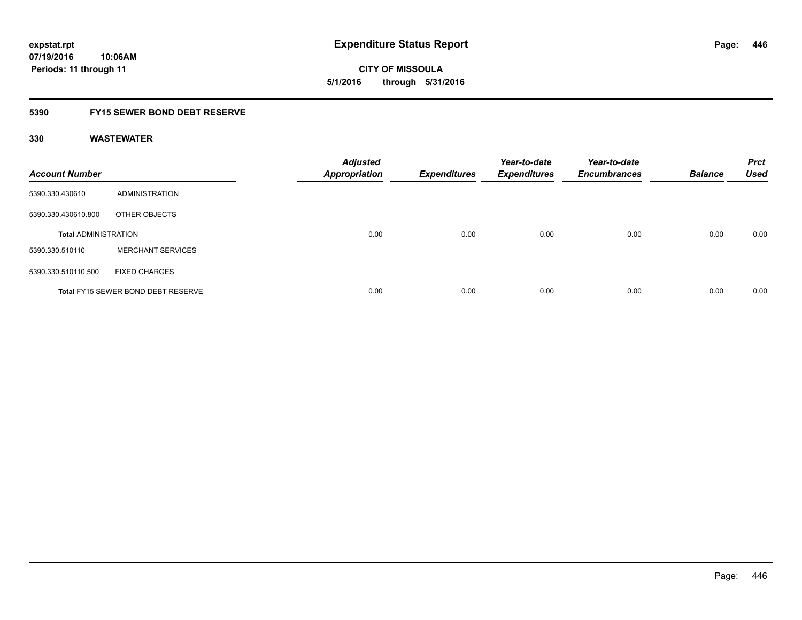**CITY OF MISSOULA 5/1/2016 through 5/31/2016**

# **5390 FY15 SEWER BOND DEBT RESERVE**

| <b>Account Number</b>       |                                           | <b>Adjusted</b><br><b>Appropriation</b> | <b>Expenditures</b> | Year-to-date<br><b>Expenditures</b> | Year-to-date<br><b>Encumbrances</b> | <b>Balance</b> | <b>Prct</b><br><b>Used</b> |
|-----------------------------|-------------------------------------------|-----------------------------------------|---------------------|-------------------------------------|-------------------------------------|----------------|----------------------------|
| 5390.330.430610             | ADMINISTRATION                            |                                         |                     |                                     |                                     |                |                            |
| 5390.330.430610.800         | OTHER OBJECTS                             |                                         |                     |                                     |                                     |                |                            |
| <b>Total ADMINISTRATION</b> |                                           | 0.00                                    | 0.00                | 0.00                                | 0.00                                | 0.00           | 0.00                       |
| 5390.330.510110             | <b>MERCHANT SERVICES</b>                  |                                         |                     |                                     |                                     |                |                            |
| 5390.330.510110.500         | <b>FIXED CHARGES</b>                      |                                         |                     |                                     |                                     |                |                            |
|                             | <b>Total FY15 SEWER BOND DEBT RESERVE</b> | 0.00                                    | 0.00                | 0.00                                | 0.00                                | 0.00           | 0.00                       |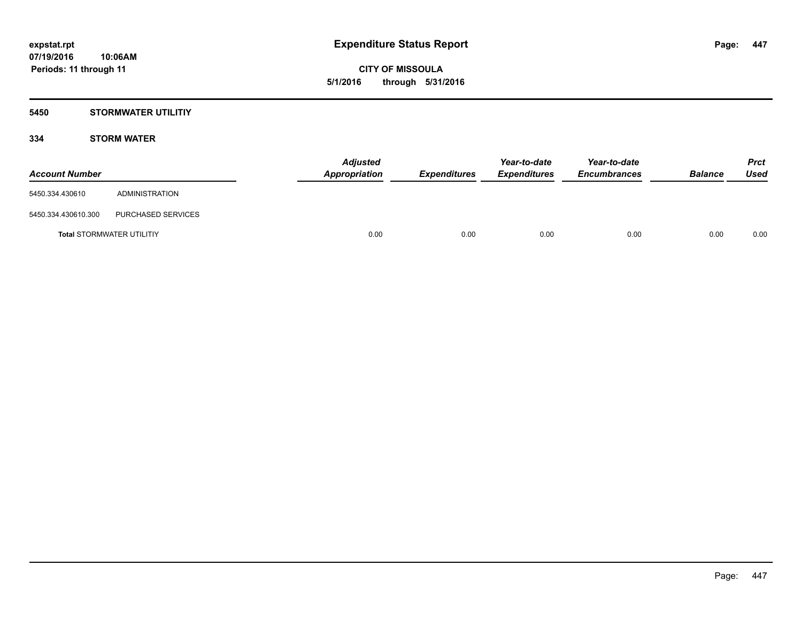**CITY OF MISSOULA 5/1/2016 through 5/31/2016**

# **5450 STORMWATER UTILITIY**

# **334 STORM WATER**

| <b>Account Number</b> |                                  | <b>Adjusted</b><br>Appropriation | <i><b>Expenditures</b></i> | Year-to-date<br><b>Expenditures</b> | Year-to-date<br><b>Encumbrances</b> | <b>Balance</b> | <b>Prct</b><br>Used |
|-----------------------|----------------------------------|----------------------------------|----------------------------|-------------------------------------|-------------------------------------|----------------|---------------------|
| 5450.334.430610       | ADMINISTRATION                   |                                  |                            |                                     |                                     |                |                     |
| 5450.334.430610.300   | PURCHASED SERVICES               |                                  |                            |                                     |                                     |                |                     |
|                       | <b>Total STORMWATER UTILITIY</b> | 0.00                             | 0.00                       | 0.00                                | 0.00                                | 0.00           | 0.00                |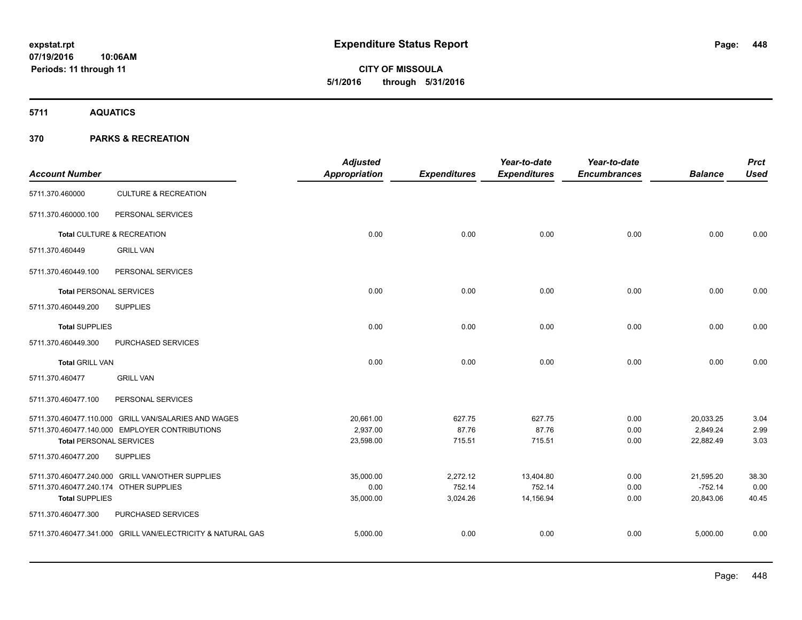**5711 AQUATICS**

| <b>Account Number</b>                                 |                                                             | <b>Adjusted</b><br>Appropriation | <b>Expenditures</b> | Year-to-date<br><b>Expenditures</b> | Year-to-date<br><b>Encumbrances</b> | <b>Balance</b>        | <b>Prct</b><br><b>Used</b> |
|-------------------------------------------------------|-------------------------------------------------------------|----------------------------------|---------------------|-------------------------------------|-------------------------------------|-----------------------|----------------------------|
| 5711.370.460000                                       | <b>CULTURE &amp; RECREATION</b>                             |                                  |                     |                                     |                                     |                       |                            |
| 5711.370.460000.100                                   | PERSONAL SERVICES                                           |                                  |                     |                                     |                                     |                       |                            |
|                                                       | Total CULTURE & RECREATION                                  | 0.00                             | 0.00                | 0.00                                | 0.00                                | 0.00                  | 0.00                       |
| 5711.370.460449                                       | <b>GRILL VAN</b>                                            |                                  |                     |                                     |                                     |                       |                            |
| 5711.370.460449.100                                   | PERSONAL SERVICES                                           |                                  |                     |                                     |                                     |                       |                            |
| <b>Total PERSONAL SERVICES</b>                        |                                                             | 0.00                             | 0.00                | 0.00                                | 0.00                                | 0.00                  | 0.00                       |
| 5711.370.460449.200                                   | <b>SUPPLIES</b>                                             |                                  |                     |                                     |                                     |                       |                            |
| <b>Total SUPPLIES</b>                                 |                                                             | 0.00                             | 0.00                | 0.00                                | 0.00                                | 0.00                  | 0.00                       |
| 5711.370.460449.300                                   | PURCHASED SERVICES                                          |                                  |                     |                                     |                                     |                       |                            |
| <b>Total GRILL VAN</b>                                |                                                             | 0.00                             | 0.00                | 0.00                                | 0.00                                | 0.00                  | 0.00                       |
| 5711.370.460477                                       | <b>GRILL VAN</b>                                            |                                  |                     |                                     |                                     |                       |                            |
| 5711.370.460477.100                                   | PERSONAL SERVICES                                           |                                  |                     |                                     |                                     |                       |                            |
|                                                       | 5711.370.460477.110.000 GRILL VAN/SALARIES AND WAGES        | 20,661.00                        | 627.75              | 627.75                              | 0.00                                | 20,033.25             | 3.04                       |
|                                                       | 5711.370.460477.140.000 EMPLOYER CONTRIBUTIONS              | 2,937.00<br>23,598.00            | 87.76<br>715.51     | 87.76<br>715.51                     | 0.00<br>0.00                        | 2,849.24<br>22,882.49 | 2.99<br>3.03               |
| <b>Total PERSONAL SERVICES</b><br>5711.370.460477.200 | <b>SUPPLIES</b>                                             |                                  |                     |                                     |                                     |                       |                            |
|                                                       |                                                             |                                  |                     |                                     |                                     |                       |                            |
|                                                       | 5711.370.460477.240.000 GRILL VAN/OTHER SUPPLIES            | 35,000.00                        | 2,272.12            | 13,404.80                           | 0.00                                | 21,595.20             | 38.30                      |
| 5711.370.460477.240.174 OTHER SUPPLIES                |                                                             | 0.00                             | 752.14              | 752.14                              | 0.00                                | $-752.14$             | 0.00                       |
| <b>Total SUPPLIES</b>                                 |                                                             | 35,000.00                        | 3,024.26            | 14,156.94                           | 0.00                                | 20,843.06             | 40.45                      |
| 5711.370.460477.300                                   | PURCHASED SERVICES                                          |                                  |                     |                                     |                                     |                       |                            |
|                                                       | 5711.370.460477.341.000 GRILL VAN/ELECTRICITY & NATURAL GAS | 5,000.00                         | 0.00                | 0.00                                | 0.00                                | 5,000.00              | 0.00                       |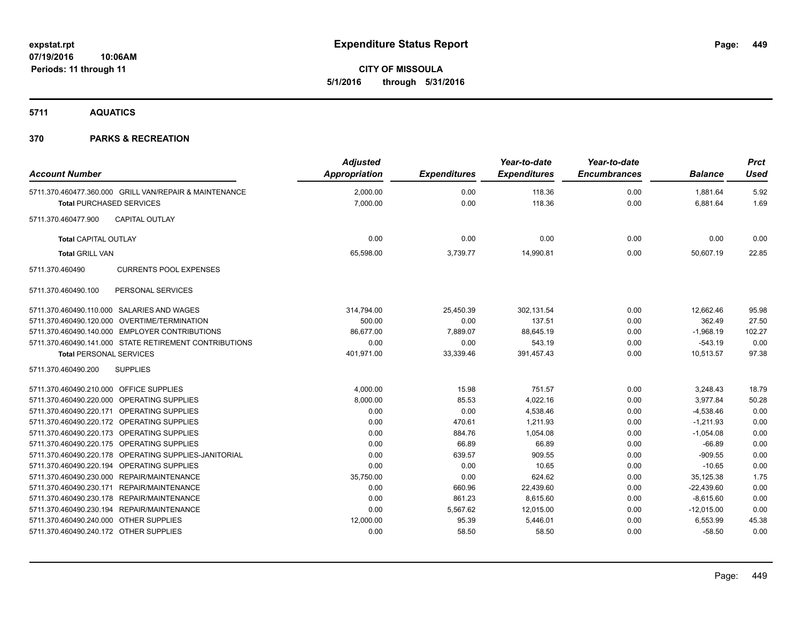**CITY OF MISSOULA 5/1/2016 through 5/31/2016**

**5711 AQUATICS**

| <b>Account Number</b>                                                                     | <b>Adjusted</b><br>Appropriation | <b>Expenditures</b> | Year-to-date<br><b>Expenditures</b> | Year-to-date<br><b>Encumbrances</b> | <b>Balance</b>       | <b>Prct</b><br><b>Used</b> |
|-------------------------------------------------------------------------------------------|----------------------------------|---------------------|-------------------------------------|-------------------------------------|----------------------|----------------------------|
| 5711.370.460477.360.000 GRILL VAN/REPAIR & MAINTENANCE<br><b>Total PURCHASED SERVICES</b> | 2,000.00<br>7,000.00             | 0.00<br>0.00        | 118.36<br>118.36                    | 0.00<br>0.00                        | 1,881.64<br>6,881.64 | 5.92<br>1.69               |
| <b>CAPITAL OUTLAY</b><br>5711.370.460477.900                                              |                                  |                     |                                     |                                     |                      |                            |
| <b>Total CAPITAL OUTLAY</b>                                                               | 0.00                             | 0.00                | 0.00                                | 0.00                                | 0.00                 | 0.00                       |
| <b>Total GRILL VAN</b>                                                                    | 65,598.00                        | 3,739.77            | 14,990.81                           | 0.00                                | 50,607.19            | 22.85                      |
| 5711.370.460490<br><b>CURRENTS POOL EXPENSES</b>                                          |                                  |                     |                                     |                                     |                      |                            |
| PERSONAL SERVICES<br>5711.370.460490.100                                                  |                                  |                     |                                     |                                     |                      |                            |
| 5711.370.460490.110.000 SALARIES AND WAGES                                                | 314,794.00                       | 25,450.39           | 302,131.54                          | 0.00                                | 12,662.46            | 95.98                      |
| 5711.370.460490.120.000 OVERTIME/TERMINATION                                              | 500.00                           | 0.00                | 137.51                              | 0.00                                | 362.49               | 27.50                      |
| 5711.370.460490.140.000 EMPLOYER CONTRIBUTIONS                                            | 86,677.00                        | 7,889.07            | 88,645.19                           | 0.00                                | $-1,968.19$          | 102.27                     |
| 5711.370.460490.141.000 STATE RETIREMENT CONTRIBUTIONS                                    | 0.00                             | 0.00                | 543.19                              | 0.00                                | $-543.19$            | 0.00                       |
| <b>Total PERSONAL SERVICES</b>                                                            | 401,971.00                       | 33,339.46           | 391,457.43                          | 0.00                                | 10,513.57            | 97.38                      |
| <b>SUPPLIES</b><br>5711.370.460490.200                                                    |                                  |                     |                                     |                                     |                      |                            |
| 5711.370.460490.210.000 OFFICE SUPPLIES                                                   | 4,000.00                         | 15.98               | 751.57                              | 0.00                                | 3,248.43             | 18.79                      |
| 5711.370.460490.220.000 OPERATING SUPPLIES                                                | 8,000.00                         | 85.53               | 4,022.16                            | 0.00                                | 3,977.84             | 50.28                      |
| 5711.370.460490.220.171 OPERATING SUPPLIES                                                | 0.00                             | 0.00                | 4,538.46                            | 0.00                                | $-4,538.46$          | 0.00                       |
| 5711.370.460490.220.172 OPERATING SUPPLIES                                                | 0.00                             | 470.61              | 1,211.93                            | 0.00                                | $-1,211.93$          | 0.00                       |
| 5711.370.460490.220.173 OPERATING SUPPLIES                                                | 0.00                             | 884.76              | 1,054.08                            | 0.00                                | $-1,054.08$          | 0.00                       |
| 5711.370.460490.220.175 OPERATING SUPPLIES                                                | 0.00                             | 66.89               | 66.89                               | 0.00                                | $-66.89$             | 0.00                       |
| 5711.370.460490.220.178 OPERATING SUPPLIES-JANITORIAL                                     | 0.00                             | 639.57              | 909.55                              | 0.00                                | $-909.55$            | 0.00                       |
| 5711.370.460490.220.194 OPERATING SUPPLIES                                                | 0.00                             | 0.00                | 10.65                               | 0.00                                | $-10.65$             | 0.00                       |
| 5711.370.460490.230.000 REPAIR/MAINTENANCE                                                | 35,750.00                        | 0.00                | 624.62                              | 0.00                                | 35,125.38            | 1.75                       |
| 5711.370.460490.230.171 REPAIR/MAINTENANCE                                                | 0.00                             | 660.96              | 22,439.60                           | 0.00                                | $-22,439.60$         | 0.00                       |
| 5711.370.460490.230.178 REPAIR/MAINTENANCE                                                | 0.00                             | 861.23              | 8,615.60                            | 0.00                                | $-8,615.60$          | 0.00                       |
| 5711.370.460490.230.194 REPAIR/MAINTENANCE                                                | 0.00                             | 5,567.62            | 12,015.00                           | 0.00                                | $-12,015.00$         | 0.00                       |
| 5711.370.460490.240.000 OTHER SUPPLIES                                                    | 12,000.00                        | 95.39               | 5,446.01                            | 0.00                                | 6,553.99             | 45.38                      |
| 5711.370.460490.240.172 OTHER SUPPLIES                                                    | 0.00                             | 58.50               | 58.50                               | 0.00                                | $-58.50$             | 0.00                       |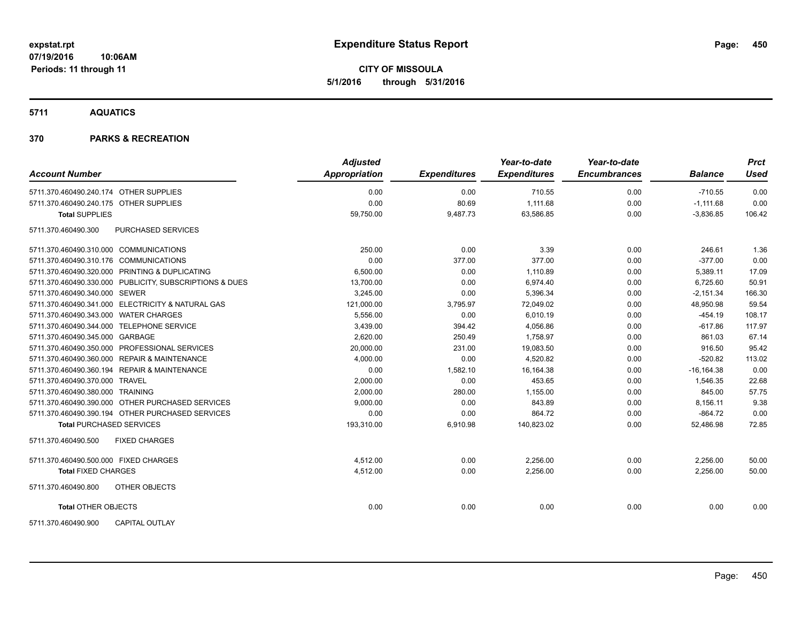**CITY OF MISSOULA 5/1/2016 through 5/31/2016**

**5711 AQUATICS**

| <b>Account Number</b>                     |                                                         | <b>Adjusted</b><br><b>Appropriation</b> | <b>Expenditures</b> | Year-to-date<br><b>Expenditures</b> | Year-to-date<br><b>Encumbrances</b> | <b>Balance</b> | <b>Prct</b><br>Used |
|-------------------------------------------|---------------------------------------------------------|-----------------------------------------|---------------------|-------------------------------------|-------------------------------------|----------------|---------------------|
| 5711.370.460490.240.174 OTHER SUPPLIES    |                                                         | 0.00                                    | 0.00                | 710.55                              | 0.00                                | $-710.55$      | 0.00                |
| 5711.370.460490.240.175 OTHER SUPPLIES    |                                                         | 0.00                                    | 80.69               | 1.111.68                            | 0.00                                | $-1,111.68$    | 0.00                |
| <b>Total SUPPLIES</b>                     |                                                         | 59,750.00                               | 9,487.73            | 63,586.85                           | 0.00                                | $-3,836.85$    | 106.42              |
| 5711.370.460490.300                       | PURCHASED SERVICES                                      |                                         |                     |                                     |                                     |                |                     |
| 5711.370.460490.310.000 COMMUNICATIONS    |                                                         | 250.00                                  | 0.00                | 3.39                                | 0.00                                | 246.61         | 1.36                |
| 5711.370.460490.310.176 COMMUNICATIONS    |                                                         | 0.00                                    | 377.00              | 377.00                              | 0.00                                | $-377.00$      | 0.00                |
|                                           | 5711.370.460490.320.000 PRINTING & DUPLICATING          | 6,500.00                                | 0.00                | 1,110.89                            | 0.00                                | 5,389.11       | 17.09               |
|                                           | 5711.370.460490.330.000 PUBLICITY, SUBSCRIPTIONS & DUES | 13,700.00                               | 0.00                | 6,974.40                            | 0.00                                | 6,725.60       | 50.91               |
| 5711.370.460490.340.000 SEWER             |                                                         | 3.245.00                                | 0.00                | 5,396.34                            | 0.00                                | $-2,151.34$    | 166.30              |
|                                           | 5711.370.460490.341.000 ELECTRICITY & NATURAL GAS       | 121,000.00                              | 3,795.97            | 72,049.02                           | 0.00                                | 48,950.98      | 59.54               |
| 5711.370.460490.343.000 WATER CHARGES     |                                                         | 5,556.00                                | 0.00                | 6,010.19                            | 0.00                                | $-454.19$      | 108.17              |
| 5711.370.460490.344.000 TELEPHONE SERVICE |                                                         | 3,439.00                                | 394.42              | 4,056.86                            | 0.00                                | $-617.86$      | 117.97              |
| 5711.370.460490.345.000 GARBAGE           |                                                         | 2,620.00                                | 250.49              | 1,758.97                            | 0.00                                | 861.03         | 67.14               |
|                                           | 5711.370.460490.350.000 PROFESSIONAL SERVICES           | 20,000.00                               | 231.00              | 19,083.50                           | 0.00                                | 916.50         | 95.42               |
|                                           | 5711.370.460490.360.000 REPAIR & MAINTENANCE            | 4,000.00                                | 0.00                | 4,520.82                            | 0.00                                | $-520.82$      | 113.02              |
|                                           | 5711.370.460490.360.194 REPAIR & MAINTENANCE            | 0.00                                    | 1,582.10            | 16,164.38                           | 0.00                                | $-16, 164.38$  | 0.00                |
| 5711.370.460490.370.000 TRAVEL            |                                                         | 2,000.00                                | 0.00                | 453.65                              | 0.00                                | 1,546.35       | 22.68               |
| 5711.370.460490.380.000 TRAINING          |                                                         | 2,000.00                                | 280.00              | 1,155.00                            | 0.00                                | 845.00         | 57.75               |
|                                           | 5711.370.460490.390.000 OTHER PURCHASED SERVICES        | 9,000.00                                | 0.00                | 843.89                              | 0.00                                | 8,156.11       | 9.38                |
|                                           | 5711.370.460490.390.194 OTHER PURCHASED SERVICES        | 0.00                                    | 0.00                | 864.72                              | 0.00                                | $-864.72$      | 0.00                |
| <b>Total PURCHASED SERVICES</b>           |                                                         | 193,310.00                              | 6,910.98            | 140,823.02                          | 0.00                                | 52,486.98      | 72.85               |
| 5711.370.460490.500                       | <b>FIXED CHARGES</b>                                    |                                         |                     |                                     |                                     |                |                     |
| 5711.370.460490.500.000 FIXED CHARGES     |                                                         | 4,512.00                                | 0.00                | 2,256.00                            | 0.00                                | 2,256.00       | 50.00               |
| <b>Total FIXED CHARGES</b>                |                                                         | 4,512.00                                | 0.00                | 2,256.00                            | 0.00                                | 2,256.00       | 50.00               |
| 5711.370.460490.800                       | OTHER OBJECTS                                           |                                         |                     |                                     |                                     |                |                     |
| <b>Total OTHER OBJECTS</b>                |                                                         | 0.00                                    | 0.00                | 0.00                                | 0.00                                | 0.00           | 0.00                |
| 5711.370.460490.900                       | <b>CAPITAL OUTLAY</b>                                   |                                         |                     |                                     |                                     |                |                     |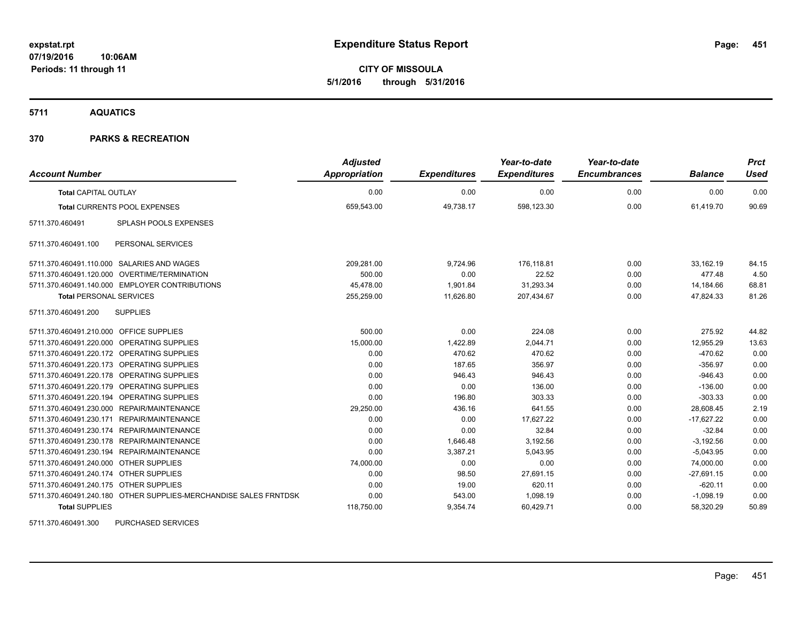**CITY OF MISSOULA 5/1/2016 through 5/31/2016**

**5711 AQUATICS**

### **370 PARKS & RECREATION**

| <b>Account Number</b>                                            | Adjusted<br>Appropriation<br><b>Expenditures</b> |           | Year-to-date<br><b>Expenditures</b> | Year-to-date<br><b>Encumbrances</b> | <b>Balance</b> | <b>Prct</b><br>Used |
|------------------------------------------------------------------|--------------------------------------------------|-----------|-------------------------------------|-------------------------------------|----------------|---------------------|
| <b>Total CAPITAL OUTLAY</b>                                      | 0.00                                             | 0.00      | 0.00                                | 0.00                                | 0.00           | 0.00                |
| Total CURRENTS POOL EXPENSES                                     | 659,543.00                                       | 49,738.17 | 598,123.30                          | 0.00                                | 61,419.70      | 90.69               |
| SPLASH POOLS EXPENSES<br>5711.370.460491                         |                                                  |           |                                     |                                     |                |                     |
| 5711.370.460491.100<br>PERSONAL SERVICES                         |                                                  |           |                                     |                                     |                |                     |
| 5711.370.460491.110.000 SALARIES AND WAGES                       | 209,281.00                                       | 9,724.96  | 176,118.81                          | 0.00                                | 33,162.19      | 84.15               |
| 5711.370.460491.120.000 OVERTIME/TERMINATION                     | 500.00                                           | 0.00      | 22.52                               | 0.00                                | 477.48         | 4.50                |
| 5711.370.460491.140.000 EMPLOYER CONTRIBUTIONS                   | 45,478.00                                        | 1,901.84  | 31,293.34                           | 0.00                                | 14,184.66      | 68.81               |
| <b>Total PERSONAL SERVICES</b>                                   | 255,259.00                                       | 11,626.80 | 207,434.67                          | 0.00                                | 47,824.33      | 81.26               |
| <b>SUPPLIES</b><br>5711.370.460491.200                           |                                                  |           |                                     |                                     |                |                     |
| 5711.370.460491.210.000 OFFICE SUPPLIES                          | 500.00                                           | 0.00      | 224.08                              | 0.00                                | 275.92         | 44.82               |
| 5711.370.460491.220.000 OPERATING SUPPLIES                       | 15,000.00                                        | 1,422.89  | 2.044.71                            | 0.00                                | 12,955.29      | 13.63               |
| 5711.370.460491.220.172 OPERATING SUPPLIES                       | 0.00                                             | 470.62    | 470.62                              | 0.00                                | $-470.62$      | 0.00                |
| 5711.370.460491.220.173 OPERATING SUPPLIES                       | 0.00                                             | 187.65    | 356.97                              | 0.00                                | $-356.97$      | 0.00                |
| 5711.370.460491.220.178 OPERATING SUPPLIES                       | 0.00                                             | 946.43    | 946.43                              | 0.00                                | $-946.43$      | 0.00                |
| 5711.370.460491.220.179 OPERATING SUPPLIES                       | 0.00                                             | 0.00      | 136.00                              | 0.00                                | $-136.00$      | 0.00                |
| 5711.370.460491.220.194 OPERATING SUPPLIES                       | 0.00                                             | 196.80    | 303.33                              | 0.00                                | $-303.33$      | 0.00                |
| 5711.370.460491.230.000 REPAIR/MAINTENANCE                       | 29,250.00                                        | 436.16    | 641.55                              | 0.00                                | 28,608.45      | 2.19                |
| 5711.370.460491.230.171 REPAIR/MAINTENANCE                       | 0.00                                             | 0.00      | 17.627.22                           | 0.00                                | $-17,627.22$   | 0.00                |
| 5711.370.460491.230.174 REPAIR/MAINTENANCE                       | 0.00                                             | 0.00      | 32.84                               | 0.00                                | $-32.84$       | 0.00                |
| 5711.370.460491.230.178 REPAIR/MAINTENANCE                       | 0.00                                             | 1,646.48  | 3,192.56                            | 0.00                                | $-3,192.56$    | 0.00                |
| 5711.370.460491.230.194 REPAIR/MAINTENANCE                       | 0.00                                             | 3,387.21  | 5,043.95                            | 0.00                                | $-5,043.95$    | 0.00                |
| 5711.370.460491.240.000 OTHER SUPPLIES                           | 74,000.00                                        | 0.00      | 0.00                                | 0.00                                | 74,000.00      | 0.00                |
| 5711.370.460491.240.174 OTHER SUPPLIES                           | 0.00                                             | 98.50     | 27,691.15                           | 0.00                                | $-27,691.15$   | 0.00                |
| 5711.370.460491.240.175 OTHER SUPPLIES                           | 0.00                                             | 19.00     | 620.11                              | 0.00                                | $-620.11$      | 0.00                |
| 5711.370.460491.240.180 OTHER SUPPLIES-MERCHANDISE SALES FRNTDSK | 0.00                                             | 543.00    | 1,098.19                            | 0.00                                | $-1,098.19$    | 0.00                |
| <b>Total SUPPLIES</b>                                            | 118,750.00                                       | 9,354.74  | 60,429.71                           | 0.00                                | 58,320.29      | 50.89               |

5711.370.460491.300 PURCHASED SERVICES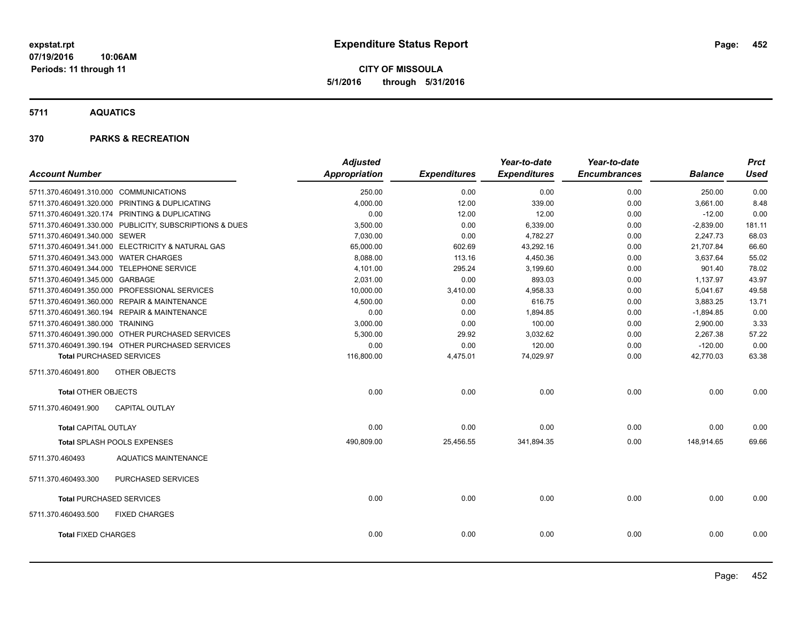**CITY OF MISSOULA 5/1/2016 through 5/31/2016**

**5711 AQUATICS**

|                                        |                                                         | <b>Adjusted</b>      |                     | Year-to-date        | Year-to-date        |                | <b>Prct</b> |
|----------------------------------------|---------------------------------------------------------|----------------------|---------------------|---------------------|---------------------|----------------|-------------|
| <b>Account Number</b>                  |                                                         | <b>Appropriation</b> | <b>Expenditures</b> | <b>Expenditures</b> | <b>Encumbrances</b> | <b>Balance</b> | <b>Used</b> |
| 5711.370.460491.310.000 COMMUNICATIONS |                                                         | 250.00               | 0.00                | 0.00                | 0.00                | 250.00         | 0.00        |
|                                        | 5711.370.460491.320.000 PRINTING & DUPLICATING          | 4,000.00             | 12.00               | 339.00              | 0.00                | 3,661.00       | 8.48        |
|                                        | 5711.370.460491.320.174 PRINTING & DUPLICATING          | 0.00                 | 12.00               | 12.00               | 0.00                | $-12.00$       | 0.00        |
|                                        | 5711.370.460491.330.000 PUBLICITY, SUBSCRIPTIONS & DUES | 3,500.00             | 0.00                | 6,339.00            | 0.00                | $-2,839.00$    | 181.11      |
| 5711.370.460491.340.000 SEWER          |                                                         | 7,030.00             | 0.00                | 4,782.27            | 0.00                | 2,247.73       | 68.03       |
|                                        | 5711.370.460491.341.000 ELECTRICITY & NATURAL GAS       | 65,000.00            | 602.69              | 43,292.16           | 0.00                | 21,707.84      | 66.60       |
| 5711.370.460491.343.000 WATER CHARGES  |                                                         | 8,088.00             | 113.16              | 4,450.36            | 0.00                | 3,637.64       | 55.02       |
|                                        | 5711.370.460491.344.000 TELEPHONE SERVICE               | 4,101.00             | 295.24              | 3,199.60            | 0.00                | 901.40         | 78.02       |
| 5711.370.460491.345.000 GARBAGE        |                                                         | 2,031.00             | 0.00                | 893.03              | 0.00                | 1,137.97       | 43.97       |
|                                        | 5711.370.460491.350.000 PROFESSIONAL SERVICES           | 10,000.00            | 3,410.00            | 4,958.33            | 0.00                | 5,041.67       | 49.58       |
|                                        | 5711.370.460491.360.000 REPAIR & MAINTENANCE            | 4,500.00             | 0.00                | 616.75              | 0.00                | 3,883.25       | 13.71       |
|                                        | 5711.370.460491.360.194 REPAIR & MAINTENANCE            | 0.00                 | 0.00                | 1,894.85            | 0.00                | $-1,894.85$    | 0.00        |
| 5711.370.460491.380.000 TRAINING       |                                                         | 3,000.00             | 0.00                | 100.00              | 0.00                | 2,900.00       | 3.33        |
|                                        | 5711.370.460491.390.000 OTHER PURCHASED SERVICES        | 5,300.00             | 29.92               | 3,032.62            | 0.00                | 2,267.38       | 57.22       |
|                                        | 5711.370.460491.390.194 OTHER PURCHASED SERVICES        | 0.00                 | 0.00                | 120.00              | 0.00                | $-120.00$      | 0.00        |
|                                        | <b>Total PURCHASED SERVICES</b>                         | 116,800.00           | 4,475.01            | 74,029.97           | 0.00                | 42,770.03      | 63.38       |
| 5711.370.460491.800                    | OTHER OBJECTS                                           |                      |                     |                     |                     |                |             |
| <b>Total OTHER OBJECTS</b>             |                                                         | 0.00                 | 0.00                | 0.00                | 0.00                | 0.00           | 0.00        |
| 5711.370.460491.900                    | CAPITAL OUTLAY                                          |                      |                     |                     |                     |                |             |
| <b>Total CAPITAL OUTLAY</b>            |                                                         | 0.00                 | 0.00                | 0.00                | 0.00                | 0.00           | 0.00        |
|                                        | Total SPLASH POOLS EXPENSES                             | 490,809.00           | 25,456.55           | 341,894.35          | 0.00                | 148,914.65     | 69.66       |
| 5711.370.460493                        | <b>AQUATICS MAINTENANCE</b>                             |                      |                     |                     |                     |                |             |
| 5711.370.460493.300                    | PURCHASED SERVICES                                      |                      |                     |                     |                     |                |             |
|                                        | <b>Total PURCHASED SERVICES</b>                         | 0.00                 | 0.00                | 0.00                | 0.00                | 0.00           | 0.00        |
| 5711.370.460493.500                    | <b>FIXED CHARGES</b>                                    |                      |                     |                     |                     |                |             |
| <b>Total FIXED CHARGES</b>             |                                                         | 0.00                 | 0.00                | 0.00                | 0.00                | 0.00           | 0.00        |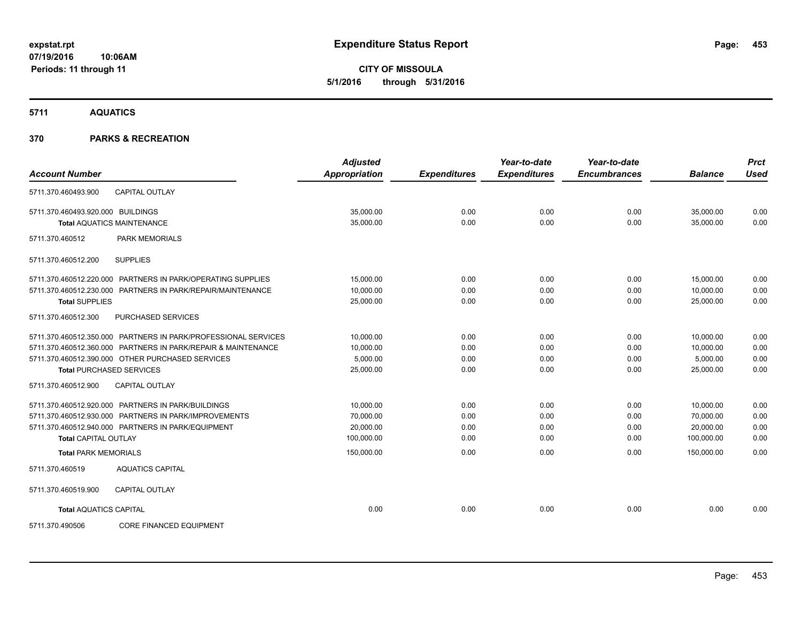**CITY OF MISSOULA 5/1/2016 through 5/31/2016**

**5711 AQUATICS**

| <b>Account Number</b>             |                                                                | <b>Adjusted</b><br><b>Appropriation</b> | <b>Expenditures</b> | Year-to-date<br><b>Expenditures</b> | Year-to-date<br><b>Encumbrances</b> | <b>Balance</b> | <b>Prct</b><br><b>Used</b> |
|-----------------------------------|----------------------------------------------------------------|-----------------------------------------|---------------------|-------------------------------------|-------------------------------------|----------------|----------------------------|
| 5711.370.460493.900               | <b>CAPITAL OUTLAY</b>                                          |                                         |                     |                                     |                                     |                |                            |
| 5711.370.460493.920.000 BUILDINGS |                                                                | 35,000.00                               | 0.00                | 0.00                                | 0.00                                | 35,000.00      | 0.00                       |
|                                   | <b>Total AQUATICS MAINTENANCE</b>                              | 35,000.00                               | 0.00                | 0.00                                | 0.00                                | 35,000.00      | 0.00                       |
| 5711.370.460512                   | <b>PARK MEMORIALS</b>                                          |                                         |                     |                                     |                                     |                |                            |
| 5711.370.460512.200               | <b>SUPPLIES</b>                                                |                                         |                     |                                     |                                     |                |                            |
|                                   | 5711.370.460512.220.000 PARTNERS IN PARK/OPERATING SUPPLIES    | 15,000.00                               | 0.00                | 0.00                                | 0.00                                | 15,000.00      | 0.00                       |
|                                   | 5711.370.460512.230.000 PARTNERS IN PARK/REPAIR/MAINTENANCE    | 10,000.00                               | 0.00                | 0.00                                | 0.00                                | 10,000.00      | 0.00                       |
| <b>Total SUPPLIES</b>             |                                                                | 25,000.00                               | 0.00                | 0.00                                | 0.00                                | 25,000.00      | 0.00                       |
| 5711.370.460512.300               | <b>PURCHASED SERVICES</b>                                      |                                         |                     |                                     |                                     |                |                            |
|                                   | 5711.370.460512.350.000 PARTNERS IN PARK/PROFESSIONAL SERVICES | 10,000.00                               | 0.00                | 0.00                                | 0.00                                | 10,000.00      | 0.00                       |
|                                   | 5711.370.460512.360.000 PARTNERS IN PARK/REPAIR & MAINTENANCE  | 10,000.00                               | 0.00                | 0.00                                | 0.00                                | 10.000.00      | 0.00                       |
|                                   | 5711.370.460512.390.000 OTHER PURCHASED SERVICES               | 5,000.00                                | 0.00                | 0.00                                | 0.00                                | 5,000.00       | 0.00                       |
| <b>Total PURCHASED SERVICES</b>   |                                                                | 25,000.00                               | 0.00                | 0.00                                | 0.00                                | 25,000.00      | 0.00                       |
| 5711.370.460512.900               | <b>CAPITAL OUTLAY</b>                                          |                                         |                     |                                     |                                     |                |                            |
|                                   | 5711.370.460512.920.000 PARTNERS IN PARK/BUILDINGS             | 10,000.00                               | 0.00                | 0.00                                | 0.00                                | 10,000.00      | 0.00                       |
|                                   | 5711.370.460512.930.000 PARTNERS IN PARK/IMPROVEMENTS          | 70,000.00                               | 0.00                | 0.00                                | 0.00                                | 70,000.00      | 0.00                       |
|                                   | 5711.370.460512.940.000 PARTNERS IN PARK/EQUIPMENT             | 20,000.00                               | 0.00                | 0.00                                | 0.00                                | 20,000.00      | 0.00                       |
| <b>Total CAPITAL OUTLAY</b>       |                                                                | 100,000.00                              | 0.00                | 0.00                                | 0.00                                | 100,000.00     | 0.00                       |
| <b>Total PARK MEMORIALS</b>       |                                                                | 150,000.00                              | 0.00                | 0.00                                | 0.00                                | 150,000.00     | 0.00                       |
| 5711.370.460519                   | <b>AQUATICS CAPITAL</b>                                        |                                         |                     |                                     |                                     |                |                            |
| 5711.370.460519.900               | <b>CAPITAL OUTLAY</b>                                          |                                         |                     |                                     |                                     |                |                            |
| <b>Total AQUATICS CAPITAL</b>     |                                                                | 0.00                                    | 0.00                | 0.00                                | 0.00                                | 0.00           | 0.00                       |
| 5711.370.490506                   | <b>CORE FINANCED EQUIPMENT</b>                                 |                                         |                     |                                     |                                     |                |                            |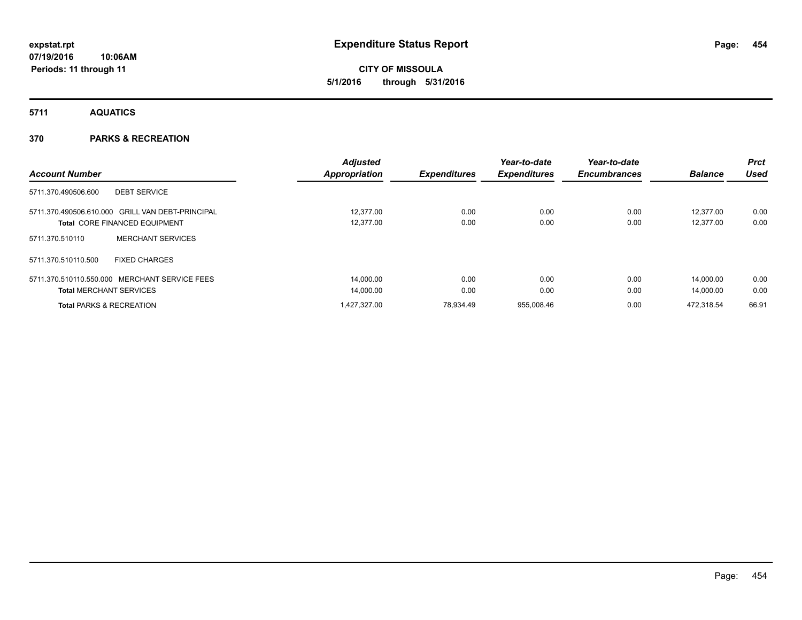**CITY OF MISSOULA 5/1/2016 through 5/31/2016**

**5711 AQUATICS**

|                                                  |                          | <b>Adjusted</b>      |                     | Year-to-date        | Year-to-date        |                | <b>Prct</b> |
|--------------------------------------------------|--------------------------|----------------------|---------------------|---------------------|---------------------|----------------|-------------|
| <b>Account Number</b>                            |                          | <b>Appropriation</b> | <b>Expenditures</b> | <b>Expenditures</b> | <b>Encumbrances</b> | <b>Balance</b> | Used        |
| 5711.370.490506.600                              | <b>DEBT SERVICE</b>      |                      |                     |                     |                     |                |             |
| 5711.370.490506.610.000 GRILL VAN DEBT-PRINCIPAL |                          | 12.377.00            | 0.00                | 0.00                | 0.00                | 12.377.00      | 0.00        |
| <b>Total CORE FINANCED EQUIPMENT</b>             |                          | 12,377.00            | 0.00                | 0.00                | 0.00                | 12.377.00      | 0.00        |
| 5711.370.510110                                  | <b>MERCHANT SERVICES</b> |                      |                     |                     |                     |                |             |
| 5711.370.510110.500                              | <b>FIXED CHARGES</b>     |                      |                     |                     |                     |                |             |
| 5711.370.510110.550.000 MERCHANT SERVICE FEES    |                          | 14.000.00            | 0.00                | 0.00                | 0.00                | 14.000.00      | 0.00        |
| <b>Total MERCHANT SERVICES</b>                   |                          | 14,000.00            | 0.00                | 0.00                | 0.00                | 14.000.00      | 0.00        |
| <b>Total PARKS &amp; RECREATION</b>              |                          | 1.427.327.00         | 78.934.49           | 955.008.46          | 0.00                | 472.318.54     | 66.91       |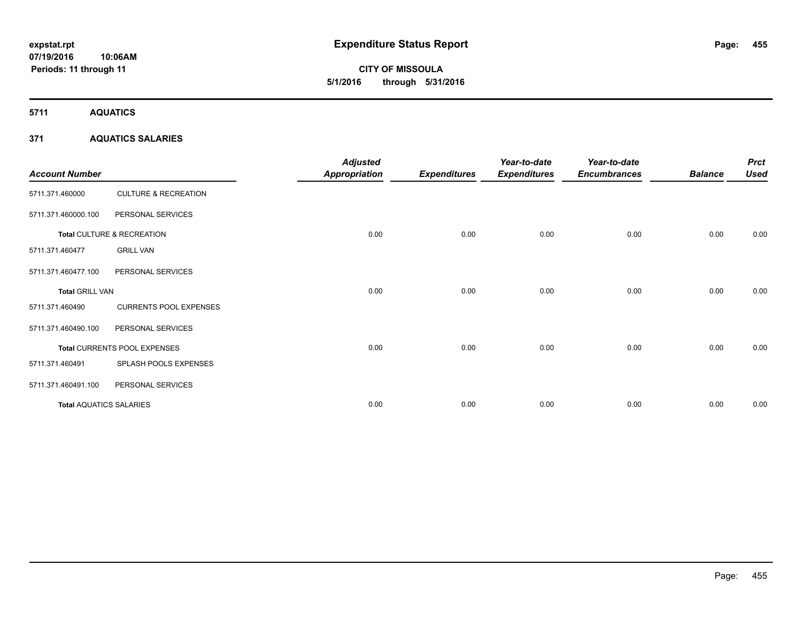**5711 AQUATICS**

# **371 AQUATICS SALARIES**

| <b>Account Number</b>          |                                 | <b>Adjusted</b><br><b>Appropriation</b> | <b>Expenditures</b> | Year-to-date<br><b>Expenditures</b> | Year-to-date<br><b>Encumbrances</b> | <b>Balance</b> | <b>Prct</b><br><b>Used</b> |
|--------------------------------|---------------------------------|-----------------------------------------|---------------------|-------------------------------------|-------------------------------------|----------------|----------------------------|
| 5711.371.460000                | <b>CULTURE &amp; RECREATION</b> |                                         |                     |                                     |                                     |                |                            |
| 5711.371.460000.100            | PERSONAL SERVICES               |                                         |                     |                                     |                                     |                |                            |
|                                | Total CULTURE & RECREATION      | 0.00                                    | 0.00                | 0.00                                | 0.00                                | 0.00           | 0.00                       |
| 5711.371.460477                | <b>GRILL VAN</b>                |                                         |                     |                                     |                                     |                |                            |
| 5711.371.460477.100            | PERSONAL SERVICES               |                                         |                     |                                     |                                     |                |                            |
| <b>Total GRILL VAN</b>         |                                 | 0.00                                    | 0.00                | 0.00                                | 0.00                                | 0.00           | 0.00                       |
| 5711.371.460490                | <b>CURRENTS POOL EXPENSES</b>   |                                         |                     |                                     |                                     |                |                            |
| 5711.371.460490.100            | PERSONAL SERVICES               |                                         |                     |                                     |                                     |                |                            |
|                                | Total CURRENTS POOL EXPENSES    | 0.00                                    | 0.00                | 0.00                                | 0.00                                | 0.00           | 0.00                       |
| 5711.371.460491                | SPLASH POOLS EXPENSES           |                                         |                     |                                     |                                     |                |                            |
| 5711.371.460491.100            | PERSONAL SERVICES               |                                         |                     |                                     |                                     |                |                            |
| <b>Total AQUATICS SALARIES</b> |                                 | 0.00                                    | 0.00                | 0.00                                | 0.00                                | 0.00           | 0.00                       |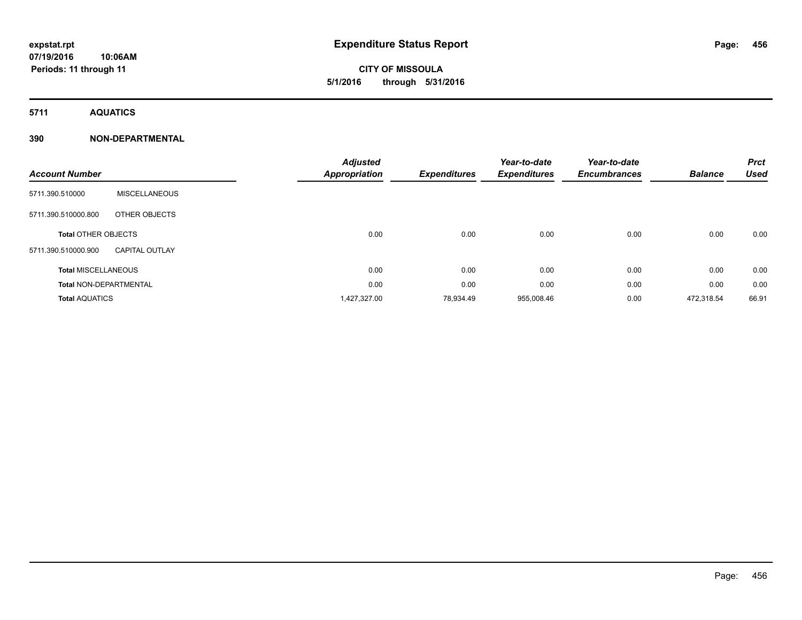# **CITY OF MISSOULA 5/1/2016 through 5/31/2016**

**5711 AQUATICS**

# **390 NON-DEPARTMENTAL**

| <b>Account Number</b>         |                       | <b>Adjusted</b><br>Appropriation | <b>Expenditures</b> | Year-to-date<br><b>Expenditures</b> | Year-to-date<br><b>Encumbrances</b> | <b>Balance</b> | <b>Prct</b><br><b>Used</b> |
|-------------------------------|-----------------------|----------------------------------|---------------------|-------------------------------------|-------------------------------------|----------------|----------------------------|
| 5711.390.510000               | <b>MISCELLANEOUS</b>  |                                  |                     |                                     |                                     |                |                            |
| 5711.390.510000.800           | OTHER OBJECTS         |                                  |                     |                                     |                                     |                |                            |
| <b>Total OTHER OBJECTS</b>    |                       | 0.00                             | 0.00                | 0.00                                | 0.00                                | 0.00           | 0.00                       |
| 5711.390.510000.900           | <b>CAPITAL OUTLAY</b> |                                  |                     |                                     |                                     |                |                            |
| <b>Total MISCELLANEOUS</b>    |                       | 0.00                             | 0.00                | 0.00                                | 0.00                                | 0.00           | 0.00                       |
| <b>Total NON-DEPARTMENTAL</b> |                       | 0.00                             | 0.00                | 0.00                                | 0.00                                | 0.00           | 0.00                       |
| <b>Total AQUATICS</b>         |                       | 1,427,327.00                     | 78,934.49           | 955,008.46                          | 0.00                                | 472,318.54     | 66.91                      |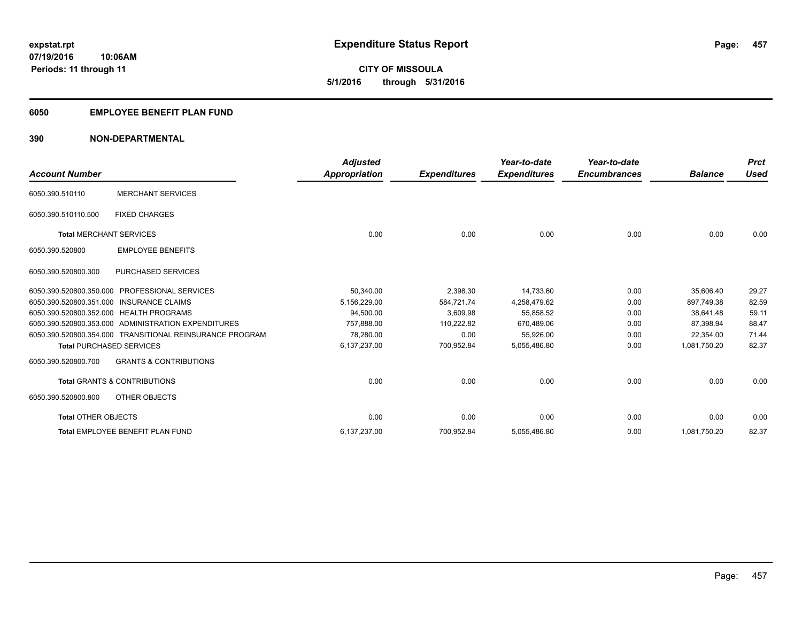**CITY OF MISSOULA 5/1/2016 through 5/31/2016**

# **6050 EMPLOYEE BENEFIT PLAN FUND**

# **390 NON-DEPARTMENTAL**

| <b>Account Number</b>                   |                                                          | <b>Adjusted</b><br>Appropriation | <b>Expenditures</b> | Year-to-date<br><b>Expenditures</b> | Year-to-date<br><b>Encumbrances</b> | <b>Balance</b> | <b>Prct</b><br><b>Used</b> |
|-----------------------------------------|----------------------------------------------------------|----------------------------------|---------------------|-------------------------------------|-------------------------------------|----------------|----------------------------|
| 6050.390.510110                         | <b>MERCHANT SERVICES</b>                                 |                                  |                     |                                     |                                     |                |                            |
| 6050.390.510110.500                     | <b>FIXED CHARGES</b>                                     |                                  |                     |                                     |                                     |                |                            |
| <b>Total MERCHANT SERVICES</b>          |                                                          | 0.00                             | 0.00                | 0.00                                | 0.00                                | 0.00           | 0.00                       |
| 6050.390.520800                         | <b>EMPLOYEE BENEFITS</b>                                 |                                  |                     |                                     |                                     |                |                            |
| 6050.390.520800.300                     | <b>PURCHASED SERVICES</b>                                |                                  |                     |                                     |                                     |                |                            |
| 6050.390.520800.350.000                 | <b>PROFESSIONAL SERVICES</b>                             | 50,340.00                        | 2,398.30            | 14,733.60                           | 0.00                                | 35,606.40      | 29.27                      |
| 6050.390.520800.351.000                 | <b>INSURANCE CLAIMS</b>                                  | 5,156,229.00                     | 584,721.74          | 4.258.479.62                        | 0.00                                | 897.749.38     | 82.59                      |
| 6050.390.520800.352.000 HEALTH PROGRAMS |                                                          | 94,500.00                        | 3,609.98            | 55,858.52                           | 0.00                                | 38.641.48      | 59.11                      |
|                                         | 6050.390.520800.353.000 ADMINISTRATION EXPENDITURES      | 757.888.00                       | 110,222.82          | 670,489.06                          | 0.00                                | 87.398.94      | 88.47                      |
|                                         | 6050.390.520800.354.000 TRANSITIONAL REINSURANCE PROGRAM | 78,280.00                        | 0.00                | 55,926.00                           | 0.00                                | 22,354.00      | 71.44                      |
| <b>Total PURCHASED SERVICES</b>         |                                                          | 6,137,237.00                     | 700,952.84          | 5,055,486.80                        | 0.00                                | 1,081,750.20   | 82.37                      |
| 6050.390.520800.700                     | <b>GRANTS &amp; CONTRIBUTIONS</b>                        |                                  |                     |                                     |                                     |                |                            |
|                                         | <b>Total GRANTS &amp; CONTRIBUTIONS</b>                  | 0.00                             | 0.00                | 0.00                                | 0.00                                | 0.00           | 0.00                       |
| 6050.390.520800.800                     | OTHER OBJECTS                                            |                                  |                     |                                     |                                     |                |                            |
| <b>Total OTHER OBJECTS</b>              |                                                          | 0.00                             | 0.00                | 0.00                                | 0.00                                | 0.00           | 0.00                       |
|                                         | Total EMPLOYEE BENEFIT PLAN FUND                         | 6,137,237.00                     | 700,952.84          | 5,055,486.80                        | 0.00                                | 1,081,750.20   | 82.37                      |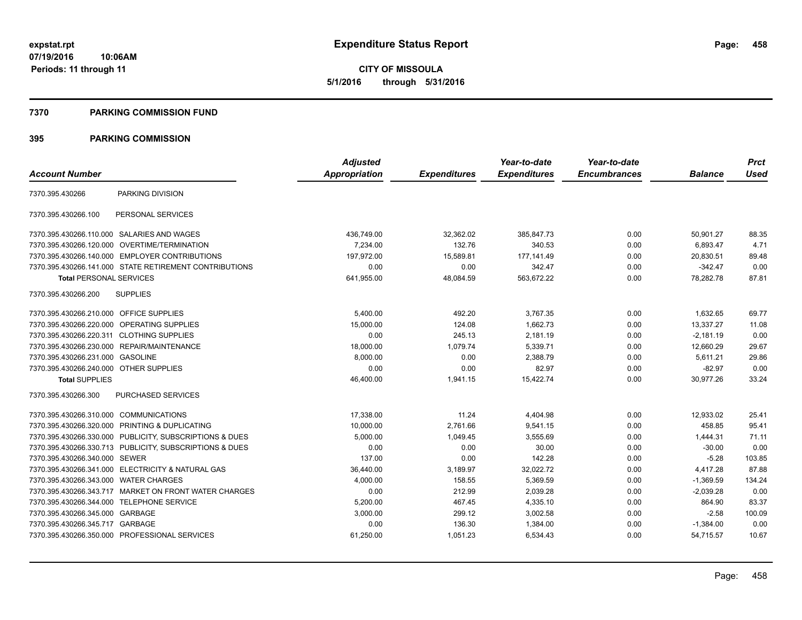## **7370 PARKING COMMISSION FUND**

|                                           |                                                         | <b>Adjusted</b>      |                     | Year-to-date        | Year-to-date        |                | <b>Prct</b> |
|-------------------------------------------|---------------------------------------------------------|----------------------|---------------------|---------------------|---------------------|----------------|-------------|
| <b>Account Number</b>                     |                                                         | <b>Appropriation</b> | <b>Expenditures</b> | <b>Expenditures</b> | <b>Encumbrances</b> | <b>Balance</b> | <b>Used</b> |
| 7370.395.430266                           | PARKING DIVISION                                        |                      |                     |                     |                     |                |             |
| 7370.395.430266.100                       | PERSONAL SERVICES                                       |                      |                     |                     |                     |                |             |
|                                           | 7370.395.430266.110.000 SALARIES AND WAGES              | 436,749.00           | 32,362.02           | 385,847.73          | 0.00                | 50,901.27      | 88.35       |
|                                           | 7370.395.430266.120.000 OVERTIME/TERMINATION            | 7,234.00             | 132.76              | 340.53              | 0.00                | 6,893.47       | 4.71        |
|                                           | 7370.395.430266.140.000 EMPLOYER CONTRIBUTIONS          | 197.972.00           | 15.589.81           | 177.141.49          | 0.00                | 20,830.51      | 89.48       |
|                                           | 7370.395.430266.141.000 STATE RETIREMENT CONTRIBUTIONS  | 0.00                 | 0.00                | 342.47              | 0.00                | $-342.47$      | 0.00        |
| <b>Total PERSONAL SERVICES</b>            |                                                         | 641,955.00           | 48,084.59           | 563,672.22          | 0.00                | 78,282.78      | 87.81       |
| 7370.395.430266.200                       | <b>SUPPLIES</b>                                         |                      |                     |                     |                     |                |             |
| 7370.395.430266.210.000 OFFICE SUPPLIES   |                                                         | 5.400.00             | 492.20              | 3,767.35            | 0.00                | 1,632.65       | 69.77       |
|                                           | 7370.395.430266.220.000 OPERATING SUPPLIES              | 15,000.00            | 124.08              | 1,662.73            | 0.00                | 13,337.27      | 11.08       |
| 7370.395.430266.220.311 CLOTHING SUPPLIES |                                                         | 0.00                 | 245.13              | 2,181.19            | 0.00                | $-2,181.19$    | 0.00        |
|                                           | 7370.395.430266.230.000 REPAIR/MAINTENANCE              | 18,000.00            | 1,079.74            | 5,339.71            | 0.00                | 12,660.29      | 29.67       |
| 7370.395.430266.231.000 GASOLINE          |                                                         | 8,000.00             | 0.00                | 2,388.79            | 0.00                | 5,611.21       | 29.86       |
| 7370.395.430266.240.000 OTHER SUPPLIES    |                                                         | 0.00                 | 0.00                | 82.97               | 0.00                | $-82.97$       | 0.00        |
| <b>Total SUPPLIES</b>                     |                                                         | 46,400.00            | 1,941.15            | 15,422.74           | 0.00                | 30,977.26      | 33.24       |
| 7370.395.430266.300                       | <b>PURCHASED SERVICES</b>                               |                      |                     |                     |                     |                |             |
| 7370.395.430266.310.000 COMMUNICATIONS    |                                                         | 17,338.00            | 11.24               | 4,404.98            | 0.00                | 12,933.02      | 25.41       |
|                                           | 7370.395.430266.320.000 PRINTING & DUPLICATING          | 10,000.00            | 2,761.66            | 9,541.15            | 0.00                | 458.85         | 95.41       |
|                                           | 7370.395.430266.330.000 PUBLICITY, SUBSCRIPTIONS & DUES | 5,000.00             | 1,049.45            | 3.555.69            | 0.00                | 1,444.31       | 71.11       |
|                                           | 7370.395.430266.330.713 PUBLICITY, SUBSCRIPTIONS & DUES | 0.00                 | 0.00                | 30.00               | 0.00                | $-30.00$       | 0.00        |
| 7370.395.430266.340.000 SEWER             |                                                         | 137.00               | 0.00                | 142.28              | 0.00                | $-5.28$        | 103.85      |
|                                           | 7370.395.430266.341.000 ELECTRICITY & NATURAL GAS       | 36,440.00            | 3,189.97            | 32,022.72           | 0.00                | 4,417.28       | 87.88       |
| 7370.395.430266.343.000 WATER CHARGES     |                                                         | 4,000.00             | 158.55              | 5,369.59            | 0.00                | $-1,369.59$    | 134.24      |
|                                           | 7370.395.430266.343.717 MARKET ON FRONT WATER CHARGES   | 0.00                 | 212.99              | 2,039.28            | 0.00                | $-2,039.28$    | 0.00        |
| 7370.395.430266.344.000                   | <b>TELEPHONE SERVICE</b>                                | 5,200.00             | 467.45              | 4,335.10            | 0.00                | 864.90         | 83.37       |
| 7370.395.430266.345.000 GARBAGE           |                                                         | 3,000.00             | 299.12              | 3,002.58            | 0.00                | $-2.58$        | 100.09      |
| 7370.395.430266.345.717 GARBAGE           |                                                         | 0.00                 | 136.30              | 1,384.00            | 0.00                | $-1,384.00$    | 0.00        |
|                                           | 7370.395.430266.350.000 PROFESSIONAL SERVICES           | 61,250.00            | 1,051.23            | 6,534.43            | 0.00                | 54,715.57      | 10.67       |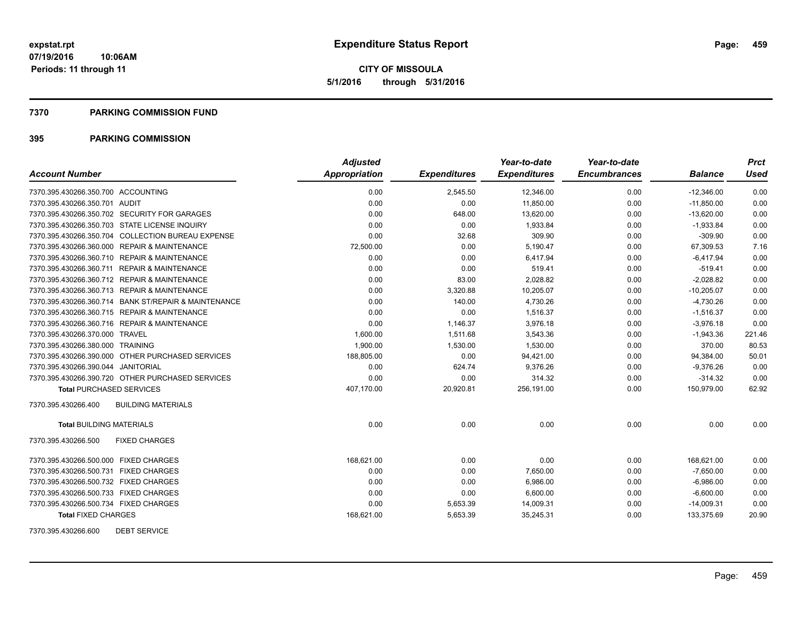# **7370 PARKING COMMISSION FUND**

# **395 PARKING COMMISSION**

|                                                      | <b>Adjusted</b>      |                     | Year-to-date        | Year-to-date        |                | <b>Prct</b> |
|------------------------------------------------------|----------------------|---------------------|---------------------|---------------------|----------------|-------------|
| <b>Account Number</b>                                | <b>Appropriation</b> | <b>Expenditures</b> | <b>Expenditures</b> | <b>Encumbrances</b> | <b>Balance</b> | <b>Used</b> |
| 7370.395.430266.350.700 ACCOUNTING                   | 0.00                 | 2,545.50            | 12,346.00           | 0.00                | $-12,346.00$   | 0.00        |
| 7370.395.430266.350.701 AUDIT                        | 0.00                 | 0.00                | 11,850.00           | 0.00                | $-11,850.00$   | 0.00        |
| 7370.395.430266.350.702 SECURITY FOR GARAGES         | 0.00                 | 648.00              | 13,620.00           | 0.00                | $-13,620.00$   | 0.00        |
| 7370.395.430266.350.703 STATE LICENSE INQUIRY        | 0.00                 | 0.00                | 1,933.84            | 0.00                | $-1,933.84$    | 0.00        |
| 7370.395.430266.350.704 COLLECTION BUREAU EXPENSE    | 0.00                 | 32.68               | 309.90              | 0.00                | $-309.90$      | 0.00        |
| 7370.395.430266.360.000 REPAIR & MAINTENANCE         | 72,500.00            | 0.00                | 5,190.47            | 0.00                | 67,309.53      | 7.16        |
| 7370.395.430266.360.710 REPAIR & MAINTENANCE         | 0.00                 | 0.00                | 6,417.94            | 0.00                | $-6,417.94$    | 0.00        |
| 7370.395.430266.360.711 REPAIR & MAINTENANCE         | 0.00                 | 0.00                | 519.41              | 0.00                | $-519.41$      | 0.00        |
| 7370.395.430266.360.712 REPAIR & MAINTENANCE         | 0.00                 | 83.00               | 2,028.82            | 0.00                | $-2,028.82$    | 0.00        |
| 7370.395.430266.360.713 REPAIR & MAINTENANCE         | 0.00                 | 3,320.88            | 10,205.07           | 0.00                | $-10,205.07$   | 0.00        |
| 7370.395.430266.360.714 BANK ST/REPAIR & MAINTENANCE | 0.00                 | 140.00              | 4,730.26            | 0.00                | $-4,730.26$    | 0.00        |
| 7370.395.430266.360.715 REPAIR & MAINTENANCE         | 0.00                 | 0.00                | 1,516.37            | 0.00                | $-1,516.37$    | 0.00        |
| 7370.395.430266.360.716 REPAIR & MAINTENANCE         | 0.00                 | 1,146.37            | 3,976.18            | 0.00                | $-3,976.18$    | 0.00        |
| 7370.395.430266.370.000 TRAVEL                       | 1,600.00             | 1,511.68            | 3,543.36            | 0.00                | $-1,943.36$    | 221.46      |
| 7370.395.430266.380.000 TRAINING                     | 1,900.00             | 1,530.00            | 1,530.00            | 0.00                | 370.00         | 80.53       |
| 7370.395.430266.390.000 OTHER PURCHASED SERVICES     | 188,805.00           | 0.00                | 94,421.00           | 0.00                | 94,384.00      | 50.01       |
| 7370.395.430266.390.044 JANITORIAL                   | 0.00                 | 624.74              | 9,376.26            | 0.00                | $-9,376.26$    | 0.00        |
| 7370.395.430266.390.720 OTHER PURCHASED SERVICES     | 0.00                 | 0.00                | 314.32              | 0.00                | $-314.32$      | 0.00        |
| <b>Total PURCHASED SERVICES</b>                      | 407,170.00           | 20,920.81           | 256,191.00          | 0.00                | 150,979.00     | 62.92       |
| <b>BUILDING MATERIALS</b><br>7370.395.430266.400     |                      |                     |                     |                     |                |             |
| <b>Total BUILDING MATERIALS</b>                      | 0.00                 | 0.00                | 0.00                | 0.00                | 0.00           | 0.00        |
| 7370.395.430266.500<br><b>FIXED CHARGES</b>          |                      |                     |                     |                     |                |             |
| 7370.395.430266.500.000 FIXED CHARGES                | 168,621.00           | 0.00                | 0.00                | 0.00                | 168,621.00     | 0.00        |
| 7370.395.430266.500.731 FIXED CHARGES                | 0.00                 | 0.00                | 7,650.00            | 0.00                | $-7.650.00$    | 0.00        |
| 7370.395.430266.500.732 FIXED CHARGES                | 0.00                 | 0.00                | 6,986.00            | 0.00                | $-6,986.00$    | 0.00        |
| 7370.395.430266.500.733 FIXED CHARGES                | 0.00                 | 0.00                | 6,600.00            | 0.00                | $-6,600.00$    | 0.00        |
| 7370.395.430266.500.734 FIXED CHARGES                | 0.00                 | 5,653.39            | 14,009.31           | 0.00                | $-14,009.31$   | 0.00        |
| <b>Total FIXED CHARGES</b>                           | 168,621.00           | 5,653.39            | 35,245.31           | 0.00                | 133,375.69     | 20.90       |

7370.395.430266.600 DEBT SERVICE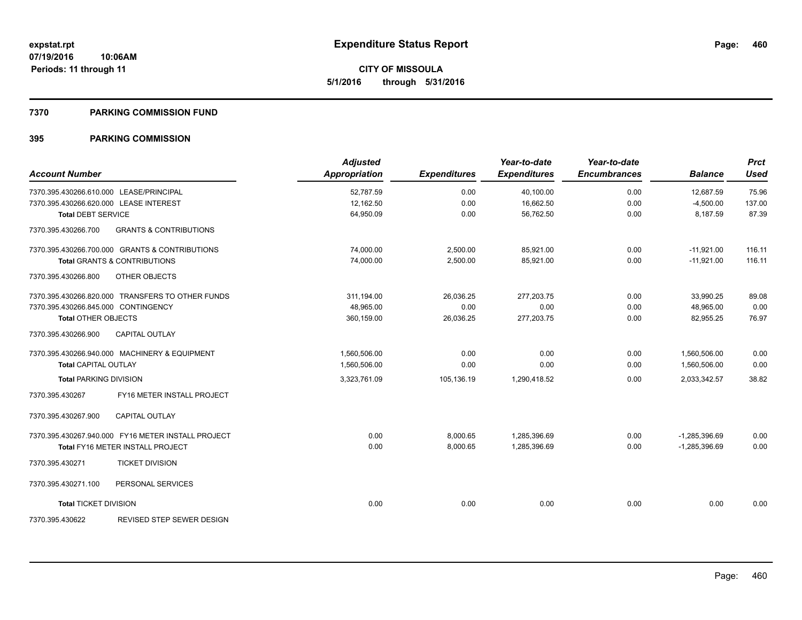# **7370 PARKING COMMISSION FUND**

| <b>Account Number</b>                                    | <b>Adjusted</b><br><b>Appropriation</b> | <b>Expenditures</b> | Year-to-date<br><b>Expenditures</b> | Year-to-date<br><b>Encumbrances</b> | <b>Balance</b>  | <b>Prct</b><br><b>Used</b> |
|----------------------------------------------------------|-----------------------------------------|---------------------|-------------------------------------|-------------------------------------|-----------------|----------------------------|
| 7370.395.430266.610.000 LEASE/PRINCIPAL                  | 52.787.59                               | 0.00                | 40,100.00                           | 0.00                                | 12,687.59       | 75.96                      |
| 7370.395.430266.620.000 LEASE INTEREST                   | 12,162.50                               | 0.00                | 16,662.50                           | 0.00                                | $-4,500.00$     | 137.00                     |
| <b>Total DEBT SERVICE</b>                                | 64,950.09                               | 0.00                | 56.762.50                           | 0.00                                | 8,187.59        | 87.39                      |
| 7370.395.430266.700<br><b>GRANTS &amp; CONTRIBUTIONS</b> |                                         |                     |                                     |                                     |                 |                            |
| 7370.395.430266.700.000 GRANTS & CONTRIBUTIONS           | 74.000.00                               | 2,500.00            | 85,921.00                           | 0.00                                | $-11,921.00$    | 116.11                     |
| <b>Total GRANTS &amp; CONTRIBUTIONS</b>                  | 74,000.00                               | 2,500.00            | 85,921.00                           | 0.00                                | $-11,921.00$    | 116.11                     |
| OTHER OBJECTS<br>7370.395.430266.800                     |                                         |                     |                                     |                                     |                 |                            |
| 7370.395.430266.820.000 TRANSFERS TO OTHER FUNDS         | 311,194.00                              | 26,036.25           | 277,203.75                          | 0.00                                | 33,990.25       | 89.08                      |
| 7370.395.430266.845.000 CONTINGENCY                      | 48,965.00                               | 0.00                | 0.00                                | 0.00                                | 48,965.00       | 0.00                       |
| <b>Total OTHER OBJECTS</b>                               | 360,159.00                              | 26,036.25           | 277,203.75                          | 0.00                                | 82,955.25       | 76.97                      |
| 7370.395.430266.900<br><b>CAPITAL OUTLAY</b>             |                                         |                     |                                     |                                     |                 |                            |
| 7370.395.430266.940.000 MACHINERY & EQUIPMENT            | 1,560,506.00                            | 0.00                | 0.00                                | 0.00                                | 1,560,506.00    | 0.00                       |
| <b>Total CAPITAL OUTLAY</b>                              | 1,560,506.00                            | 0.00                | 0.00                                | 0.00                                | 1,560,506.00    | 0.00                       |
| <b>Total PARKING DIVISION</b>                            | 3,323,761.09                            | 105,136.19          | 1,290,418.52                        | 0.00                                | 2,033,342.57    | 38.82                      |
| FY16 METER INSTALL PROJECT<br>7370.395.430267            |                                         |                     |                                     |                                     |                 |                            |
| 7370.395.430267.900<br><b>CAPITAL OUTLAY</b>             |                                         |                     |                                     |                                     |                 |                            |
| 7370.395.430267.940.000 FY16 METER INSTALL PROJECT       | 0.00                                    | 8,000.65            | 1,285,396.69                        | 0.00                                | $-1,285,396.69$ | 0.00                       |
| <b>Total FY16 METER INSTALL PROJECT</b>                  | 0.00                                    | 8,000.65            | 1,285,396.69                        | 0.00                                | $-1,285,396.69$ | 0.00                       |
| 7370.395.430271<br><b>TICKET DIVISION</b>                |                                         |                     |                                     |                                     |                 |                            |
| 7370.395.430271.100<br>PERSONAL SERVICES                 |                                         |                     |                                     |                                     |                 |                            |
| <b>Total TICKET DIVISION</b>                             | 0.00                                    | 0.00                | 0.00                                | 0.00                                | 0.00            | 0.00                       |
| <b>REVISED STEP SEWER DESIGN</b><br>7370.395.430622      |                                         |                     |                                     |                                     |                 |                            |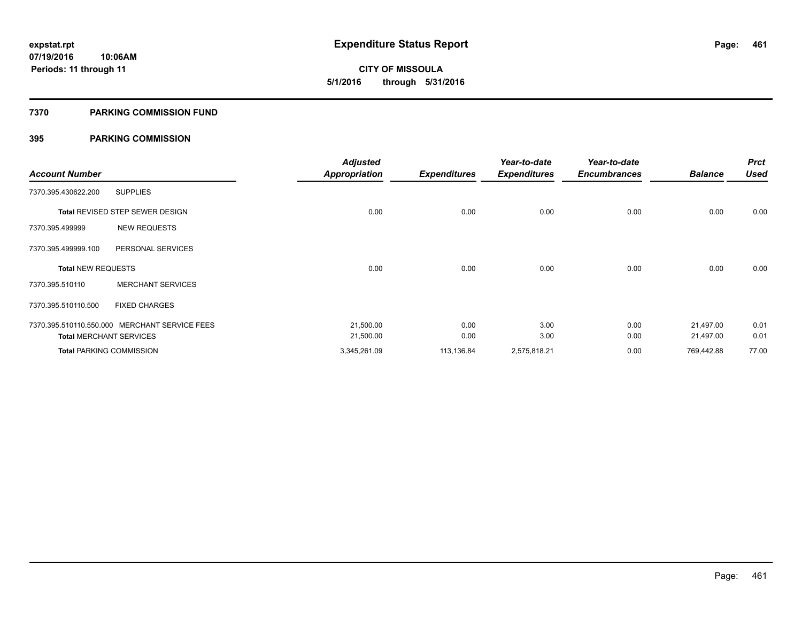**461**

**07/19/2016 10:06AM Periods: 11 through 11**

**CITY OF MISSOULA 5/1/2016 through 5/31/2016**

# **7370 PARKING COMMISSION FUND**

| <b>Account Number</b>          |                                               | <b>Adjusted</b><br><b>Appropriation</b> | <b>Expenditures</b> | Year-to-date<br><b>Expenditures</b> | Year-to-date<br><b>Encumbrances</b> | <b>Balance</b> | <b>Prct</b><br><b>Used</b> |
|--------------------------------|-----------------------------------------------|-----------------------------------------|---------------------|-------------------------------------|-------------------------------------|----------------|----------------------------|
| 7370.395.430622.200            | <b>SUPPLIES</b>                               |                                         |                     |                                     |                                     |                |                            |
|                                |                                               |                                         |                     |                                     |                                     |                |                            |
|                                | Total REVISED STEP SEWER DESIGN               | 0.00                                    | 0.00                | 0.00                                | 0.00                                | 0.00           | 0.00                       |
| 7370.395.499999                | <b>NEW REQUESTS</b>                           |                                         |                     |                                     |                                     |                |                            |
| 7370.395.499999.100            | PERSONAL SERVICES                             |                                         |                     |                                     |                                     |                |                            |
| <b>Total NEW REQUESTS</b>      |                                               | 0.00                                    | 0.00                | 0.00                                | 0.00                                | 0.00           | 0.00                       |
| 7370.395.510110                | <b>MERCHANT SERVICES</b>                      |                                         |                     |                                     |                                     |                |                            |
| 7370.395.510110.500            | <b>FIXED CHARGES</b>                          |                                         |                     |                                     |                                     |                |                            |
|                                | 7370.395.510110.550.000 MERCHANT SERVICE FEES | 21,500.00                               | 0.00                | 3.00                                | 0.00                                | 21,497.00      | 0.01                       |
| <b>Total MERCHANT SERVICES</b> |                                               | 21,500.00                               | 0.00                | 3.00                                | 0.00                                | 21,497.00      | 0.01                       |
|                                | <b>Total PARKING COMMISSION</b>               | 3,345,261.09                            | 113,136.84          | 2,575,818.21                        | 0.00                                | 769,442.88     | 77.00                      |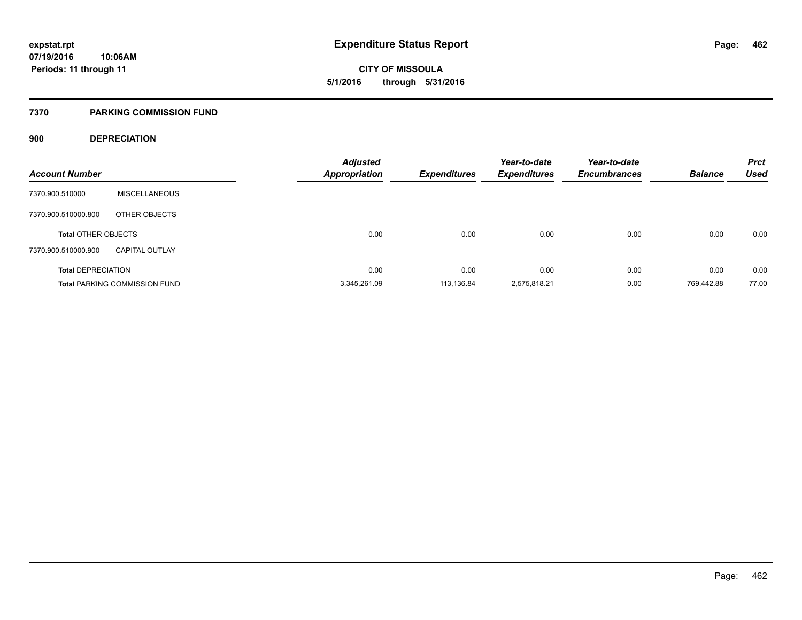# **7370 PARKING COMMISSION FUND**

# **900 DEPRECIATION**

| <b>Account Number</b>      |                                      | <b>Adjusted</b><br><b>Appropriation</b> | <b>Expenditures</b> | Year-to-date<br><b>Expenditures</b> | Year-to-date<br><b>Encumbrances</b> | <b>Balance</b> | <b>Prct</b><br><b>Used</b> |
|----------------------------|--------------------------------------|-----------------------------------------|---------------------|-------------------------------------|-------------------------------------|----------------|----------------------------|
| 7370.900.510000            | <b>MISCELLANEOUS</b>                 |                                         |                     |                                     |                                     |                |                            |
| 7370.900.510000.800        | OTHER OBJECTS                        |                                         |                     |                                     |                                     |                |                            |
| <b>Total OTHER OBJECTS</b> |                                      | 0.00                                    | 0.00                | 0.00                                | 0.00                                | 0.00           | 0.00                       |
| 7370.900.510000.900        | <b>CAPITAL OUTLAY</b>                |                                         |                     |                                     |                                     |                |                            |
| <b>Total DEPRECIATION</b>  |                                      | 0.00                                    | 0.00                | 0.00                                | 0.00                                | 0.00           | 0.00                       |
|                            | <b>Total PARKING COMMISSION FUND</b> | 3,345,261.09                            | 113.136.84          | 2.575.818.21                        | 0.00                                | 769.442.88     | 77.00                      |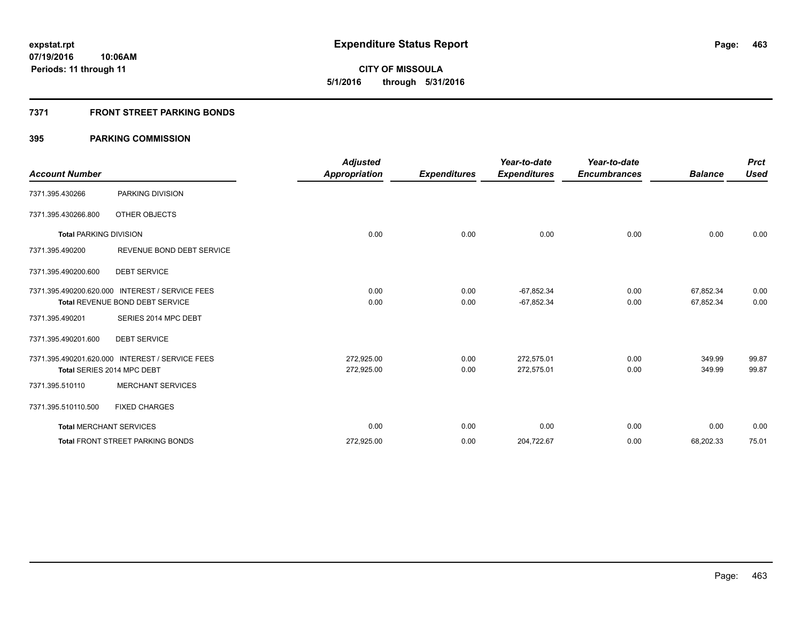**463**

**07/19/2016 10:06AM Periods: 11 through 11**

**CITY OF MISSOULA 5/1/2016 through 5/31/2016**

# **7371 FRONT STREET PARKING BONDS**

|                               |                                                 | <b>Adjusted</b>      |                     | Year-to-date        | Year-to-date        |                | <b>Prct</b> |
|-------------------------------|-------------------------------------------------|----------------------|---------------------|---------------------|---------------------|----------------|-------------|
| <b>Account Number</b>         |                                                 | <b>Appropriation</b> | <b>Expenditures</b> | <b>Expenditures</b> | <b>Encumbrances</b> | <b>Balance</b> | <b>Used</b> |
| 7371.395.430266               | PARKING DIVISION                                |                      |                     |                     |                     |                |             |
| 7371.395.430266.800           | OTHER OBJECTS                                   |                      |                     |                     |                     |                |             |
| <b>Total PARKING DIVISION</b> |                                                 | 0.00                 | 0.00                | 0.00                | 0.00                | 0.00           | 0.00        |
| 7371.395.490200               | REVENUE BOND DEBT SERVICE                       |                      |                     |                     |                     |                |             |
| 7371.395.490200.600           | <b>DEBT SERVICE</b>                             |                      |                     |                     |                     |                |             |
|                               | 7371.395.490200.620.000 INTEREST / SERVICE FEES | 0.00                 | 0.00                | $-67,852.34$        | 0.00                | 67,852.34      | 0.00        |
|                               | <b>Total REVENUE BOND DEBT SERVICE</b>          | 0.00                 | 0.00                | $-67,852.34$        | 0.00                | 67,852.34      | 0.00        |
| 7371.395.490201               | SERIES 2014 MPC DEBT                            |                      |                     |                     |                     |                |             |
| 7371.395.490201.600           | <b>DEBT SERVICE</b>                             |                      |                     |                     |                     |                |             |
|                               | 7371.395.490201.620.000 INTEREST / SERVICE FEES | 272,925.00           | 0.00                | 272,575.01          | 0.00                | 349.99         | 99.87       |
|                               | Total SERIES 2014 MPC DEBT                      | 272,925.00           | 0.00                | 272,575.01          | 0.00                | 349.99         | 99.87       |
| 7371.395.510110               | <b>MERCHANT SERVICES</b>                        |                      |                     |                     |                     |                |             |
| 7371.395.510110.500           | <b>FIXED CHARGES</b>                            |                      |                     |                     |                     |                |             |
|                               | <b>Total MERCHANT SERVICES</b>                  | 0.00                 | 0.00                | 0.00                | 0.00                | 0.00           | 0.00        |
|                               | <b>Total FRONT STREET PARKING BONDS</b>         | 272,925.00           | 0.00                | 204,722.67          | 0.00                | 68,202.33      | 75.01       |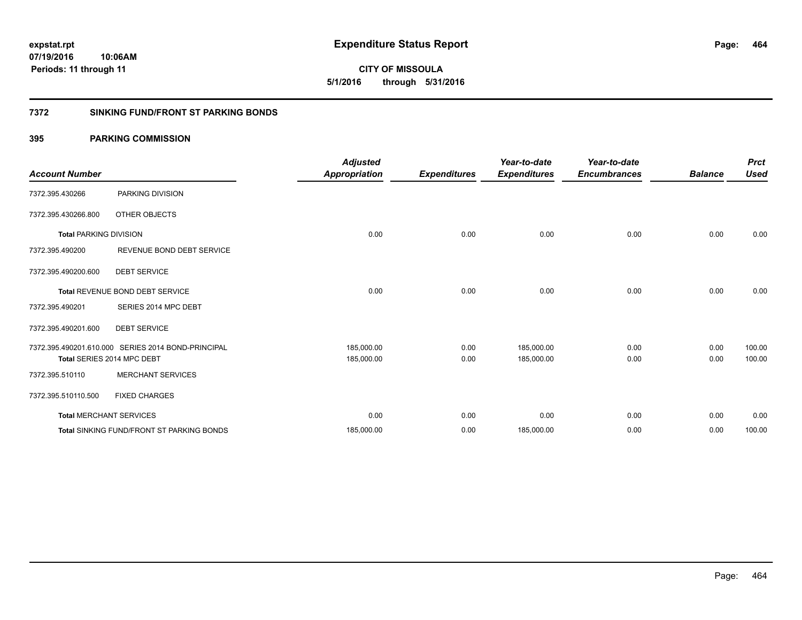**CITY OF MISSOULA 5/1/2016 through 5/31/2016**

# **7372 SINKING FUND/FRONT ST PARKING BONDS**

| <b>Account Number</b>         |                                                    | <b>Adjusted</b><br><b>Appropriation</b> | <b>Expenditures</b> | Year-to-date<br><b>Expenditures</b> | Year-to-date<br><b>Encumbrances</b> | <b>Balance</b> | <b>Prct</b><br><b>Used</b> |
|-------------------------------|----------------------------------------------------|-----------------------------------------|---------------------|-------------------------------------|-------------------------------------|----------------|----------------------------|
| 7372.395.430266               | PARKING DIVISION                                   |                                         |                     |                                     |                                     |                |                            |
| 7372.395.430266.800           | OTHER OBJECTS                                      |                                         |                     |                                     |                                     |                |                            |
| <b>Total PARKING DIVISION</b> |                                                    | 0.00                                    | 0.00                | 0.00                                | 0.00                                | 0.00           | 0.00                       |
| 7372.395.490200               | REVENUE BOND DEBT SERVICE                          |                                         |                     |                                     |                                     |                |                            |
| 7372.395.490200.600           | <b>DEBT SERVICE</b>                                |                                         |                     |                                     |                                     |                |                            |
|                               | Total REVENUE BOND DEBT SERVICE                    | 0.00                                    | 0.00                | 0.00                                | 0.00                                | 0.00           | 0.00                       |
| 7372.395.490201               | SERIES 2014 MPC DEBT                               |                                         |                     |                                     |                                     |                |                            |
| 7372.395.490201.600           | <b>DEBT SERVICE</b>                                |                                         |                     |                                     |                                     |                |                            |
|                               | 7372.395.490201.610.000 SERIES 2014 BOND-PRINCIPAL | 185,000.00                              | 0.00                | 185,000.00                          | 0.00                                | 0.00           | 100.00                     |
|                               | Total SERIES 2014 MPC DEBT                         | 185,000.00                              | 0.00                | 185,000.00                          | 0.00                                | 0.00           | 100.00                     |
| 7372.395.510110               | <b>MERCHANT SERVICES</b>                           |                                         |                     |                                     |                                     |                |                            |
| 7372.395.510110.500           | <b>FIXED CHARGES</b>                               |                                         |                     |                                     |                                     |                |                            |
|                               | <b>Total MERCHANT SERVICES</b>                     | 0.00                                    | 0.00                | 0.00                                | 0.00                                | 0.00           | 0.00                       |
|                               | <b>Total SINKING FUND/FRONT ST PARKING BONDS</b>   | 185,000.00                              | 0.00                | 185,000.00                          | 0.00                                | 0.00           | 100.00                     |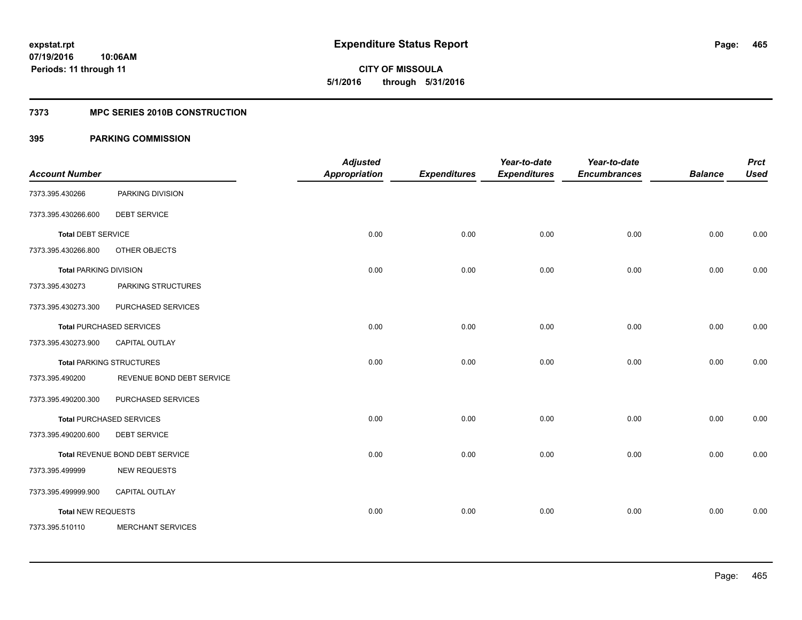**465**

**07/19/2016 10:06AM Periods: 11 through 11**

**CITY OF MISSOULA 5/1/2016 through 5/31/2016**

# **7373 MPC SERIES 2010B CONSTRUCTION**

| <b>Account Number</b>         |                                 | <b>Adjusted</b><br><b>Appropriation</b> | <b>Expenditures</b> | Year-to-date<br><b>Expenditures</b> | Year-to-date<br><b>Encumbrances</b> | <b>Balance</b> | <b>Prct</b><br><b>Used</b> |
|-------------------------------|---------------------------------|-----------------------------------------|---------------------|-------------------------------------|-------------------------------------|----------------|----------------------------|
| 7373.395.430266               | PARKING DIVISION                |                                         |                     |                                     |                                     |                |                            |
| 7373.395.430266.600           | <b>DEBT SERVICE</b>             |                                         |                     |                                     |                                     |                |                            |
| <b>Total DEBT SERVICE</b>     |                                 | 0.00                                    | 0.00                | 0.00                                | 0.00                                | 0.00           | 0.00                       |
| 7373.395.430266.800           | OTHER OBJECTS                   |                                         |                     |                                     |                                     |                |                            |
| <b>Total PARKING DIVISION</b> |                                 | 0.00                                    | 0.00                | 0.00                                | 0.00                                | 0.00           | 0.00                       |
| 7373.395.430273               | PARKING STRUCTURES              |                                         |                     |                                     |                                     |                |                            |
| 7373.395.430273.300           | PURCHASED SERVICES              |                                         |                     |                                     |                                     |                |                            |
|                               | <b>Total PURCHASED SERVICES</b> | 0.00                                    | 0.00                | 0.00                                | 0.00                                | 0.00           | 0.00                       |
| 7373.395.430273.900           | <b>CAPITAL OUTLAY</b>           |                                         |                     |                                     |                                     |                |                            |
|                               | <b>Total PARKING STRUCTURES</b> | 0.00                                    | 0.00                | 0.00                                | 0.00                                | 0.00           | 0.00                       |
| 7373.395.490200               | REVENUE BOND DEBT SERVICE       |                                         |                     |                                     |                                     |                |                            |
| 7373.395.490200.300           | PURCHASED SERVICES              |                                         |                     |                                     |                                     |                |                            |
|                               | <b>Total PURCHASED SERVICES</b> | 0.00                                    | 0.00                | 0.00                                | 0.00                                | 0.00           | 0.00                       |
| 7373.395.490200.600           | <b>DEBT SERVICE</b>             |                                         |                     |                                     |                                     |                |                            |
|                               | Total REVENUE BOND DEBT SERVICE | 0.00                                    | 0.00                | 0.00                                | 0.00                                | 0.00           | 0.00                       |
| 7373.395.499999               | <b>NEW REQUESTS</b>             |                                         |                     |                                     |                                     |                |                            |
| 7373.395.499999.900           | CAPITAL OUTLAY                  |                                         |                     |                                     |                                     |                |                            |
| <b>Total NEW REQUESTS</b>     |                                 | 0.00                                    | 0.00                | 0.00                                | 0.00                                | 0.00           | 0.00                       |
| 7373.395.510110               | <b>MERCHANT SERVICES</b>        |                                         |                     |                                     |                                     |                |                            |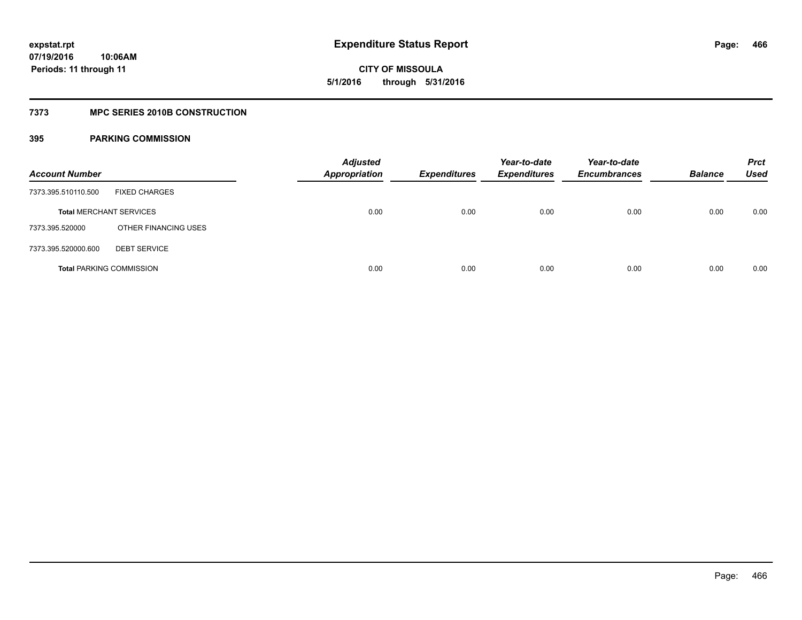**CITY OF MISSOULA 5/1/2016 through 5/31/2016**

# **7373 MPC SERIES 2010B CONSTRUCTION**

| <b>Account Number</b>           |                      | <b>Adjusted</b><br><b>Appropriation</b> | <b>Expenditures</b> | Year-to-date<br><b>Expenditures</b> | Year-to-date<br><b>Encumbrances</b> | <b>Balance</b> | <b>Prct</b><br>Used |
|---------------------------------|----------------------|-----------------------------------------|---------------------|-------------------------------------|-------------------------------------|----------------|---------------------|
| 7373.395.510110.500             | <b>FIXED CHARGES</b> |                                         |                     |                                     |                                     |                |                     |
| <b>Total MERCHANT SERVICES</b>  |                      | 0.00                                    | 0.00                | 0.00                                | 0.00                                | 0.00           | 0.00                |
| 7373.395.520000                 | OTHER FINANCING USES |                                         |                     |                                     |                                     |                |                     |
| 7373.395.520000.600             | <b>DEBT SERVICE</b>  |                                         |                     |                                     |                                     |                |                     |
| <b>Total PARKING COMMISSION</b> |                      | 0.00                                    | 0.00                | 0.00                                | 0.00                                | 0.00           | 0.00                |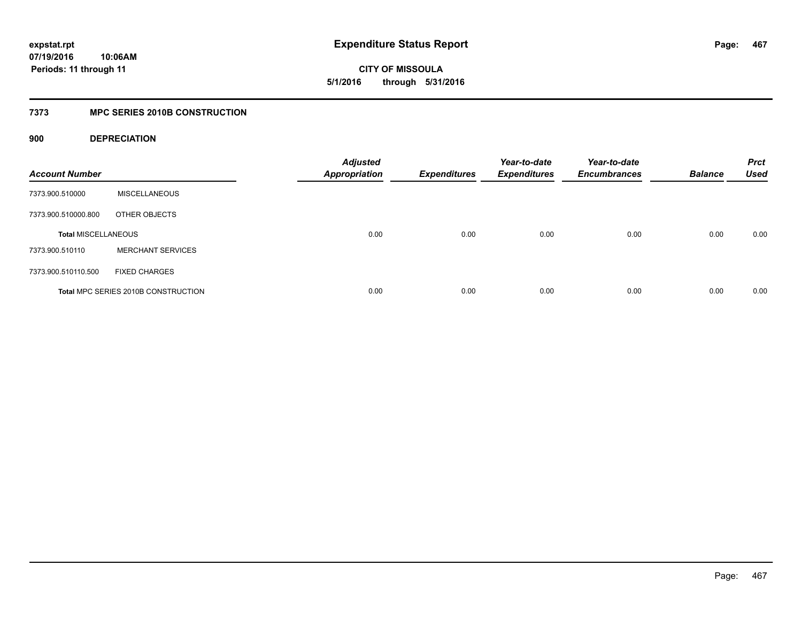**CITY OF MISSOULA 5/1/2016 through 5/31/2016**

# **7373 MPC SERIES 2010B CONSTRUCTION**

# **900 DEPRECIATION**

| <b>Account Number</b>      |                                     | <b>Adjusted</b><br><b>Appropriation</b> | <b>Expenditures</b> | Year-to-date<br><b>Expenditures</b> | Year-to-date<br><b>Encumbrances</b> | <b>Balance</b> | <b>Prct</b><br><b>Used</b> |
|----------------------------|-------------------------------------|-----------------------------------------|---------------------|-------------------------------------|-------------------------------------|----------------|----------------------------|
| 7373.900.510000            | <b>MISCELLANEOUS</b>                |                                         |                     |                                     |                                     |                |                            |
| 7373.900.510000.800        | OTHER OBJECTS                       |                                         |                     |                                     |                                     |                |                            |
| <b>Total MISCELLANEOUS</b> |                                     | 0.00                                    | 0.00                | 0.00                                | 0.00                                | 0.00           | 0.00                       |
| 7373.900.510110            | <b>MERCHANT SERVICES</b>            |                                         |                     |                                     |                                     |                |                            |
| 7373.900.510110.500        | <b>FIXED CHARGES</b>                |                                         |                     |                                     |                                     |                |                            |
|                            | Total MPC SERIES 2010B CONSTRUCTION | 0.00                                    | 0.00                | 0.00                                | 0.00                                | 0.00           | 0.00                       |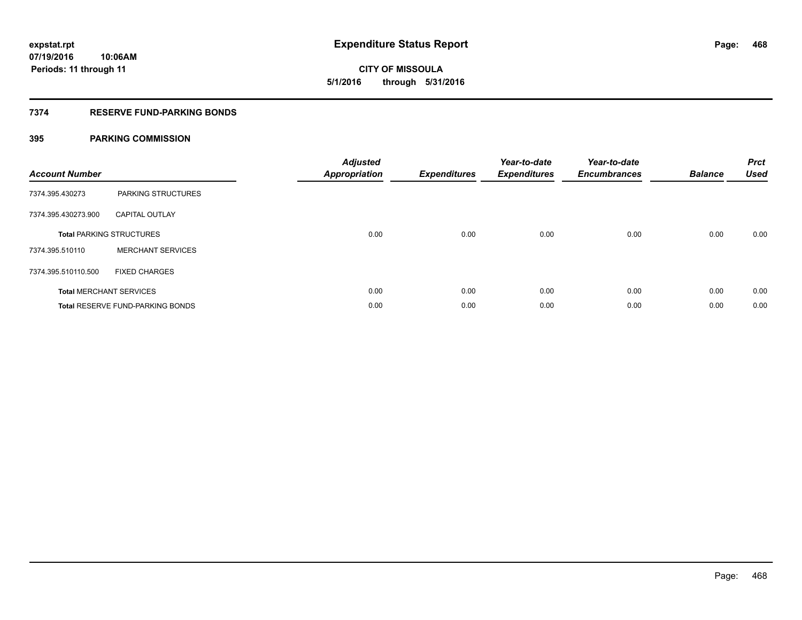**CITY OF MISSOULA 5/1/2016 through 5/31/2016**

# **7374 RESERVE FUND-PARKING BONDS**

| <b>Account Number</b> |                                         | <b>Adjusted</b><br>Appropriation | <b>Expenditures</b> | Year-to-date<br><b>Expenditures</b> | Year-to-date<br><b>Encumbrances</b> | <b>Balance</b> | <b>Prct</b><br><b>Used</b> |
|-----------------------|-----------------------------------------|----------------------------------|---------------------|-------------------------------------|-------------------------------------|----------------|----------------------------|
| 7374.395.430273       | <b>PARKING STRUCTURES</b>               |                                  |                     |                                     |                                     |                |                            |
| 7374.395.430273.900   | <b>CAPITAL OUTLAY</b>                   |                                  |                     |                                     |                                     |                |                            |
|                       | <b>Total PARKING STRUCTURES</b>         | 0.00                             | 0.00                | 0.00                                | 0.00                                | 0.00           | 0.00                       |
| 7374.395.510110       | <b>MERCHANT SERVICES</b>                |                                  |                     |                                     |                                     |                |                            |
| 7374.395.510110.500   | <b>FIXED CHARGES</b>                    |                                  |                     |                                     |                                     |                |                            |
|                       | <b>Total MERCHANT SERVICES</b>          | 0.00                             | 0.00                | 0.00                                | 0.00                                | 0.00           | 0.00                       |
|                       | <b>Total RESERVE FUND-PARKING BONDS</b> | 0.00                             | 0.00                | 0.00                                | 0.00                                | 0.00           | 0.00                       |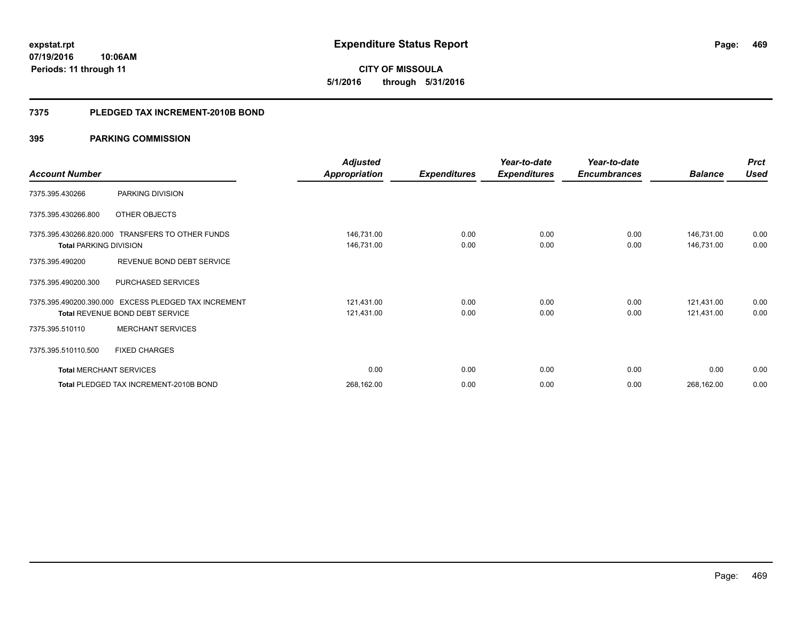**CITY OF MISSOULA 5/1/2016 through 5/31/2016**

#### **7375 PLEDGED TAX INCREMENT-2010B BOND**

|                                |                                                                                                | <b>Adjusted</b>          |                     | Year-to-date        | Year-to-date        |                          | <b>Prct</b>  |
|--------------------------------|------------------------------------------------------------------------------------------------|--------------------------|---------------------|---------------------|---------------------|--------------------------|--------------|
| <b>Account Number</b>          |                                                                                                | <b>Appropriation</b>     | <b>Expenditures</b> | <b>Expenditures</b> | <b>Encumbrances</b> | <b>Balance</b>           | <b>Used</b>  |
| 7375.395.430266                | PARKING DIVISION                                                                               |                          |                     |                     |                     |                          |              |
| 7375.395.430266.800            | OTHER OBJECTS                                                                                  |                          |                     |                     |                     |                          |              |
| <b>Total PARKING DIVISION</b>  | 7375.395.430266.820.000 TRANSFERS TO OTHER FUNDS                                               | 146,731.00<br>146,731.00 | 0.00<br>0.00        | 0.00<br>0.00        | 0.00<br>0.00        | 146,731.00<br>146,731.00 | 0.00<br>0.00 |
| 7375.395.490200                | REVENUE BOND DEBT SERVICE                                                                      |                          |                     |                     |                     |                          |              |
| 7375.395.490200.300            | PURCHASED SERVICES                                                                             |                          |                     |                     |                     |                          |              |
|                                | 7375.395.490200.390.000 EXCESS PLEDGED TAX INCREMENT<br><b>Total REVENUE BOND DEBT SERVICE</b> | 121,431.00<br>121,431.00 | 0.00<br>0.00        | 0.00<br>0.00        | 0.00<br>0.00        | 121,431.00<br>121,431.00 | 0.00<br>0.00 |
| 7375.395.510110                | <b>MERCHANT SERVICES</b>                                                                       |                          |                     |                     |                     |                          |              |
| 7375.395.510110.500            | <b>FIXED CHARGES</b>                                                                           |                          |                     |                     |                     |                          |              |
| <b>Total MERCHANT SERVICES</b> |                                                                                                | 0.00                     | 0.00                | 0.00                | 0.00                | 0.00                     | 0.00         |
|                                | Total PLEDGED TAX INCREMENT-2010B BOND                                                         | 268,162.00               | 0.00                | 0.00                | 0.00                | 268,162.00               | 0.00         |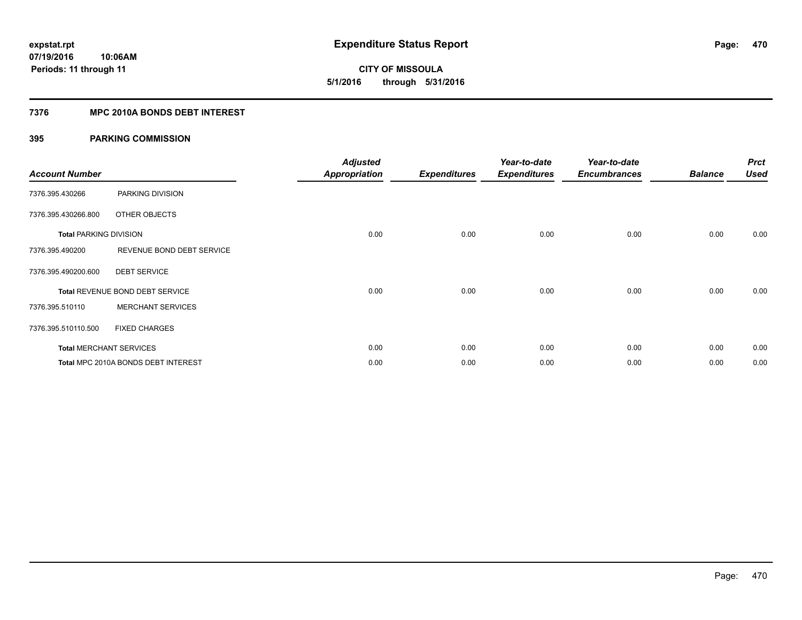**CITY OF MISSOULA 5/1/2016 through 5/31/2016**

### **7376 MPC 2010A BONDS DEBT INTEREST**

| <b>Account Number</b>         |                                     | <b>Adjusted</b><br><b>Appropriation</b> | <b>Expenditures</b> | Year-to-date<br><b>Expenditures</b> | Year-to-date<br><b>Encumbrances</b> | <b>Balance</b> | <b>Prct</b><br><b>Used</b> |
|-------------------------------|-------------------------------------|-----------------------------------------|---------------------|-------------------------------------|-------------------------------------|----------------|----------------------------|
| 7376.395.430266               | PARKING DIVISION                    |                                         |                     |                                     |                                     |                |                            |
| 7376.395.430266.800           | OTHER OBJECTS                       |                                         |                     |                                     |                                     |                |                            |
| <b>Total PARKING DIVISION</b> |                                     | 0.00                                    | 0.00                | 0.00                                | 0.00                                | 0.00           | 0.00                       |
| 7376.395.490200               | REVENUE BOND DEBT SERVICE           |                                         |                     |                                     |                                     |                |                            |
| 7376.395.490200.600           | <b>DEBT SERVICE</b>                 |                                         |                     |                                     |                                     |                |                            |
|                               | Total REVENUE BOND DEBT SERVICE     | 0.00                                    | 0.00                | 0.00                                | 0.00                                | 0.00           | 0.00                       |
| 7376.395.510110               | <b>MERCHANT SERVICES</b>            |                                         |                     |                                     |                                     |                |                            |
| 7376.395.510110.500           | <b>FIXED CHARGES</b>                |                                         |                     |                                     |                                     |                |                            |
|                               | <b>Total MERCHANT SERVICES</b>      | 0.00                                    | 0.00                | 0.00                                | 0.00                                | 0.00           | 0.00                       |
|                               | Total MPC 2010A BONDS DEBT INTEREST | 0.00                                    | 0.00                | 0.00                                | 0.00                                | 0.00           | 0.00                       |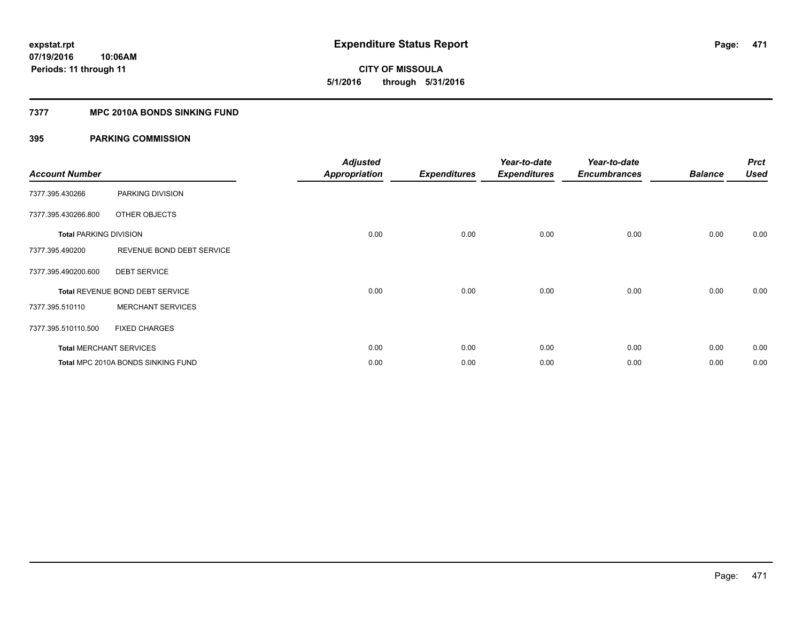# **CITY OF MISSOULA 5/1/2016 through 5/31/2016**

### **7377 MPC 2010A BONDS SINKING FUND**

| <b>Account Number</b>         |                                    | <b>Adjusted</b><br><b>Appropriation</b> | <b>Expenditures</b> | Year-to-date<br><b>Expenditures</b> | Year-to-date<br><b>Encumbrances</b> | <b>Balance</b> | <b>Prct</b><br><b>Used</b> |
|-------------------------------|------------------------------------|-----------------------------------------|---------------------|-------------------------------------|-------------------------------------|----------------|----------------------------|
| 7377.395.430266               | PARKING DIVISION                   |                                         |                     |                                     |                                     |                |                            |
| 7377.395.430266.800           | OTHER OBJECTS                      |                                         |                     |                                     |                                     |                |                            |
| <b>Total PARKING DIVISION</b> |                                    | 0.00                                    | 0.00                | 0.00                                | 0.00                                | 0.00           | 0.00                       |
| 7377.395.490200               | REVENUE BOND DEBT SERVICE          |                                         |                     |                                     |                                     |                |                            |
| 7377.395.490200.600           | <b>DEBT SERVICE</b>                |                                         |                     |                                     |                                     |                |                            |
|                               | Total REVENUE BOND DEBT SERVICE    | 0.00                                    | 0.00                | 0.00                                | 0.00                                | 0.00           | 0.00                       |
| 7377.395.510110               | <b>MERCHANT SERVICES</b>           |                                         |                     |                                     |                                     |                |                            |
| 7377.395.510110.500           | <b>FIXED CHARGES</b>               |                                         |                     |                                     |                                     |                |                            |
|                               | <b>Total MERCHANT SERVICES</b>     | 0.00                                    | 0.00                | 0.00                                | 0.00                                | 0.00           | 0.00                       |
|                               | Total MPC 2010A BONDS SINKING FUND | 0.00                                    | 0.00                | 0.00                                | 0.00                                | 0.00           | 0.00                       |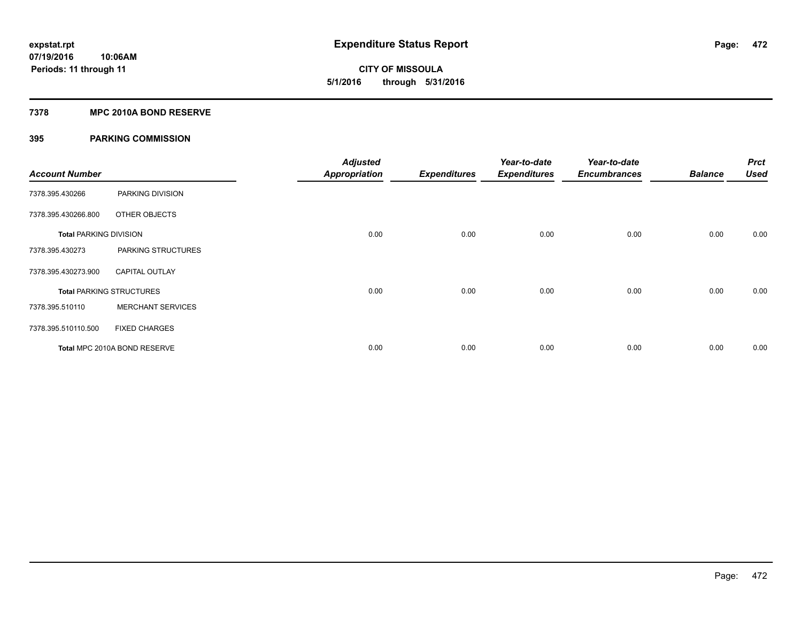### **7378 MPC 2010A BOND RESERVE**

| <b>Account Number</b>         |                                 | <b>Adjusted</b><br><b>Appropriation</b> | <b>Expenditures</b> | Year-to-date<br><b>Expenditures</b> | Year-to-date<br><b>Encumbrances</b> | <b>Balance</b> | <b>Prct</b><br><b>Used</b> |
|-------------------------------|---------------------------------|-----------------------------------------|---------------------|-------------------------------------|-------------------------------------|----------------|----------------------------|
| 7378.395.430266               | PARKING DIVISION                |                                         |                     |                                     |                                     |                |                            |
| 7378.395.430266.800           | OTHER OBJECTS                   |                                         |                     |                                     |                                     |                |                            |
| <b>Total PARKING DIVISION</b> |                                 | 0.00                                    | 0.00                | 0.00                                | 0.00                                | 0.00           | 0.00                       |
| 7378.395.430273               | PARKING STRUCTURES              |                                         |                     |                                     |                                     |                |                            |
| 7378.395.430273.900           | <b>CAPITAL OUTLAY</b>           |                                         |                     |                                     |                                     |                |                            |
|                               | <b>Total PARKING STRUCTURES</b> | 0.00                                    | 0.00                | 0.00                                | 0.00                                | 0.00           | 0.00                       |
| 7378.395.510110               | <b>MERCHANT SERVICES</b>        |                                         |                     |                                     |                                     |                |                            |
| 7378.395.510110.500           | <b>FIXED CHARGES</b>            |                                         |                     |                                     |                                     |                |                            |
|                               | Total MPC 2010A BOND RESERVE    | 0.00                                    | 0.00                | 0.00                                | 0.00                                | 0.00           | 0.00                       |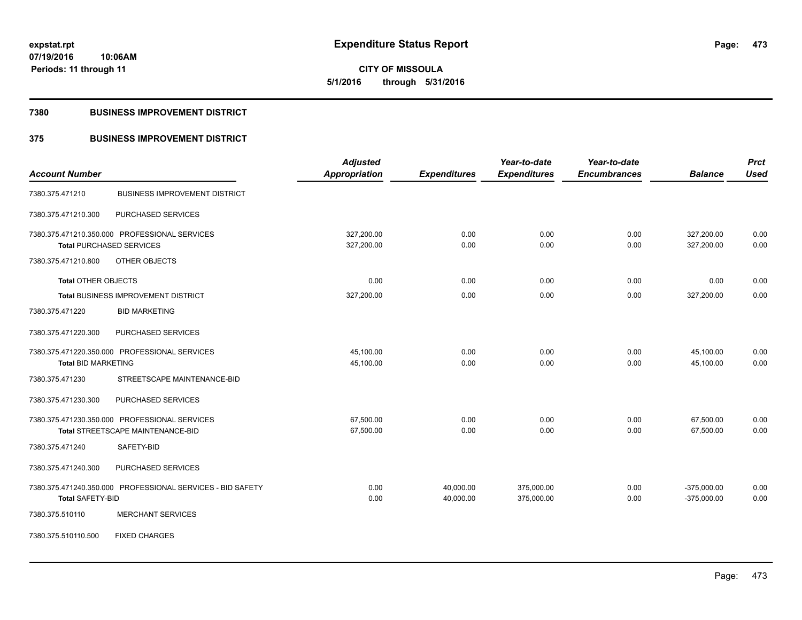**CITY OF MISSOULA 5/1/2016 through 5/31/2016**

#### **7380 BUSINESS IMPROVEMENT DISTRICT**

### **375 BUSINESS IMPROVEMENT DISTRICT**

|                                               |                                                            | <b>Adjusted</b>      |                     | Year-to-date        | Year-to-date        |                | <b>Prct</b> |
|-----------------------------------------------|------------------------------------------------------------|----------------------|---------------------|---------------------|---------------------|----------------|-------------|
| <b>Account Number</b>                         |                                                            | <b>Appropriation</b> | <b>Expenditures</b> | <b>Expenditures</b> | <b>Encumbrances</b> | <b>Balance</b> | <b>Used</b> |
| 7380.375.471210                               | <b>BUSINESS IMPROVEMENT DISTRICT</b>                       |                      |                     |                     |                     |                |             |
| 7380.375.471210.300                           | PURCHASED SERVICES                                         |                      |                     |                     |                     |                |             |
| 7380.375.471210.350.000 PROFESSIONAL SERVICES |                                                            | 327,200.00           | 0.00                | 0.00                | 0.00                | 327,200.00     | 0.00        |
| <b>Total PURCHASED SERVICES</b>               |                                                            | 327,200.00           | 0.00                | 0.00                | 0.00                | 327,200.00     | 0.00        |
| 7380.375.471210.800                           | OTHER OBJECTS                                              |                      |                     |                     |                     |                |             |
| <b>Total OTHER OBJECTS</b>                    |                                                            | 0.00                 | 0.00                | 0.00                | 0.00                | 0.00           | 0.00        |
|                                               | Total BUSINESS IMPROVEMENT DISTRICT                        | 327,200.00           | 0.00                | 0.00                | 0.00                | 327,200.00     | 0.00        |
| 7380.375.471220                               | <b>BID MARKETING</b>                                       |                      |                     |                     |                     |                |             |
| 7380.375.471220.300                           | PURCHASED SERVICES                                         |                      |                     |                     |                     |                |             |
| 7380.375.471220.350.000 PROFESSIONAL SERVICES |                                                            | 45,100.00            | 0.00                | 0.00                | 0.00                | 45,100.00      | 0.00        |
| <b>Total BID MARKETING</b>                    |                                                            | 45,100.00            | 0.00                | 0.00                | 0.00                | 45,100.00      | 0.00        |
| 7380.375.471230                               | STREETSCAPE MAINTENANCE-BID                                |                      |                     |                     |                     |                |             |
| 7380.375.471230.300                           | PURCHASED SERVICES                                         |                      |                     |                     |                     |                |             |
| 7380.375.471230.350.000 PROFESSIONAL SERVICES |                                                            | 67,500.00            | 0.00                | 0.00                | 0.00                | 67,500.00      | 0.00        |
|                                               | <b>Total STREETSCAPE MAINTENANCE-BID</b>                   | 67,500.00            | 0.00                | 0.00                | 0.00                | 67,500.00      | 0.00        |
| 7380.375.471240                               | SAFETY-BID                                                 |                      |                     |                     |                     |                |             |
| 7380.375.471240.300                           | PURCHASED SERVICES                                         |                      |                     |                     |                     |                |             |
|                                               | 7380.375.471240.350.000 PROFESSIONAL SERVICES - BID SAFETY | 0.00                 | 40,000.00           | 375,000.00          | 0.00                | $-375,000.00$  | 0.00        |
| <b>Total SAFETY-BID</b>                       |                                                            | 0.00                 | 40,000.00           | 375,000.00          | 0.00                | $-375,000.00$  | 0.00        |
| 7380.375.510110                               | <b>MERCHANT SERVICES</b>                                   |                      |                     |                     |                     |                |             |
| 7380.375.510110.500                           | <b>FIXED CHARGES</b>                                       |                      |                     |                     |                     |                |             |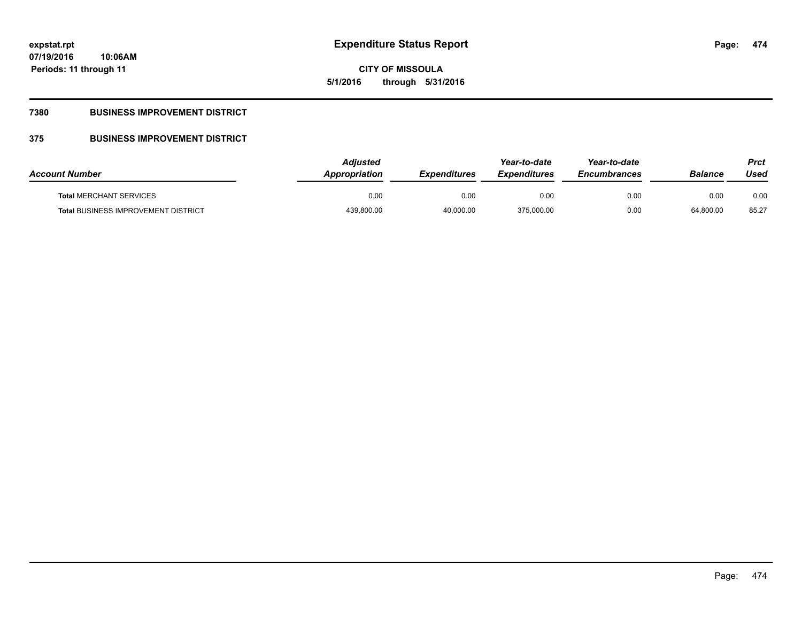**474**

**07/19/2016 10:06AM Periods: 11 through 11**

# **CITY OF MISSOULA 5/1/2016 through 5/31/2016**

### **7380 BUSINESS IMPROVEMENT DISTRICT**

## **375 BUSINESS IMPROVEMENT DISTRICT**

| <b>Account Number</b>                      | Adjusted<br>Appropriation | <b>Expenditures</b> | Year-to-date<br><b>Expenditures</b> | Year-to-date<br><b>Encumbrances</b> | <b>Balance</b> | Prct<br>Used |
|--------------------------------------------|---------------------------|---------------------|-------------------------------------|-------------------------------------|----------------|--------------|
| <b>Total MERCHANT SERVICES</b>             | 0.00                      | 0.00                | 0.00                                | 0.00                                | 0.00           | 0.00         |
| <b>Total BUSINESS IMPROVEMENT DISTRICT</b> | 439,800.00                | 40,000.00           | 375,000.00                          | 0.00                                | 64,800.00      | 85.27        |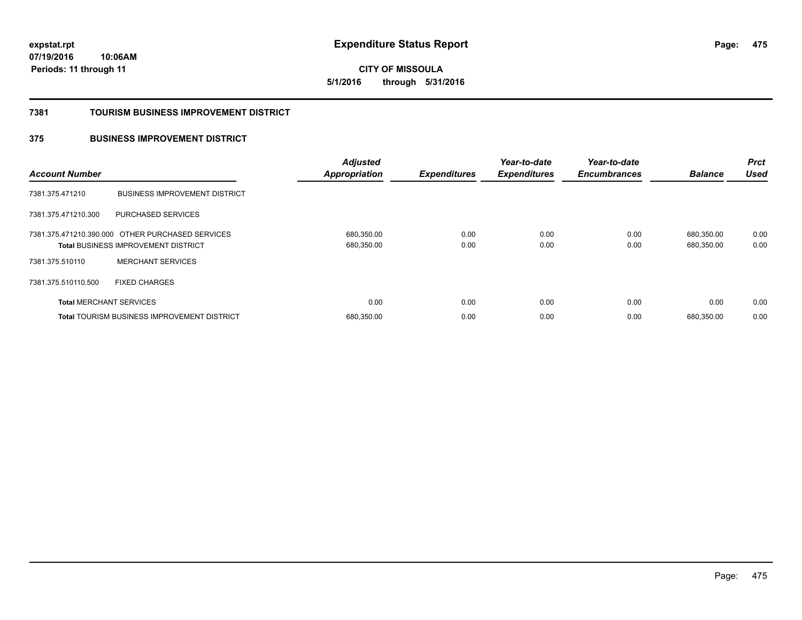**475**

**07/19/2016 10:06AM Periods: 11 through 11**

**CITY OF MISSOULA 5/1/2016 through 5/31/2016**

#### **7381 TOURISM BUSINESS IMPROVEMENT DISTRICT**

### **375 BUSINESS IMPROVEMENT DISTRICT**

| <b>Account Number</b>          |                                                                                                | <b>Adjusted</b><br><b>Appropriation</b> | <b>Expenditures</b> | Year-to-date<br><b>Expenditures</b> | Year-to-date<br><b>Encumbrances</b> | <b>Balance</b>           | <b>Prct</b><br><b>Used</b> |
|--------------------------------|------------------------------------------------------------------------------------------------|-----------------------------------------|---------------------|-------------------------------------|-------------------------------------|--------------------------|----------------------------|
| 7381.375.471210                | <b>BUSINESS IMPROVEMENT DISTRICT</b>                                                           |                                         |                     |                                     |                                     |                          |                            |
| 7381.375.471210.300            | PURCHASED SERVICES                                                                             |                                         |                     |                                     |                                     |                          |                            |
|                                | 7381.375.471210.390.000 OTHER PURCHASED SERVICES<br><b>Total BUSINESS IMPROVEMENT DISTRICT</b> | 680,350.00<br>680,350.00                | 0.00<br>0.00        | 0.00<br>0.00                        | 0.00<br>0.00                        | 680.350.00<br>680,350.00 | 0.00<br>0.00               |
| 7381.375.510110                | <b>MERCHANT SERVICES</b>                                                                       |                                         |                     |                                     |                                     |                          |                            |
| 7381.375.510110.500            | <b>FIXED CHARGES</b>                                                                           |                                         |                     |                                     |                                     |                          |                            |
| <b>Total MERCHANT SERVICES</b> |                                                                                                | 0.00                                    | 0.00                | 0.00                                | 0.00                                | 0.00                     | 0.00                       |
|                                | <b>Total TOURISM BUSINESS IMPROVEMENT DISTRICT</b>                                             | 680,350.00                              | 0.00                | 0.00                                | 0.00                                | 680.350.00               | 0.00                       |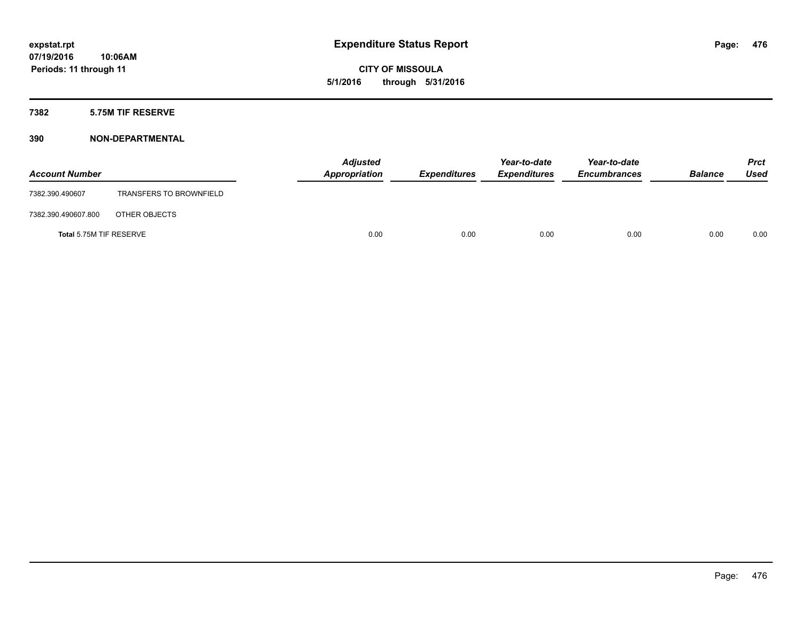### **7382 5.75M TIF RESERVE**

| <b>Account Number</b>   |                                | <b>Adjusted</b><br>Appropriation | <b>Expenditures</b> | Year-to-date<br><b>Expenditures</b> | Year-to-date<br><b>Encumbrances</b> | <b>Balance</b> | <b>Prct</b><br>Used |
|-------------------------|--------------------------------|----------------------------------|---------------------|-------------------------------------|-------------------------------------|----------------|---------------------|
| 7382.390.490607         | <b>TRANSFERS TO BROWNFIELD</b> |                                  |                     |                                     |                                     |                |                     |
| 7382.390.490607.800     | OTHER OBJECTS                  |                                  |                     |                                     |                                     |                |                     |
| Total 5.75M TIF RESERVE |                                | 0.00                             | 0.00                | 0.00                                | 0.00                                | 0.00           | 0.00                |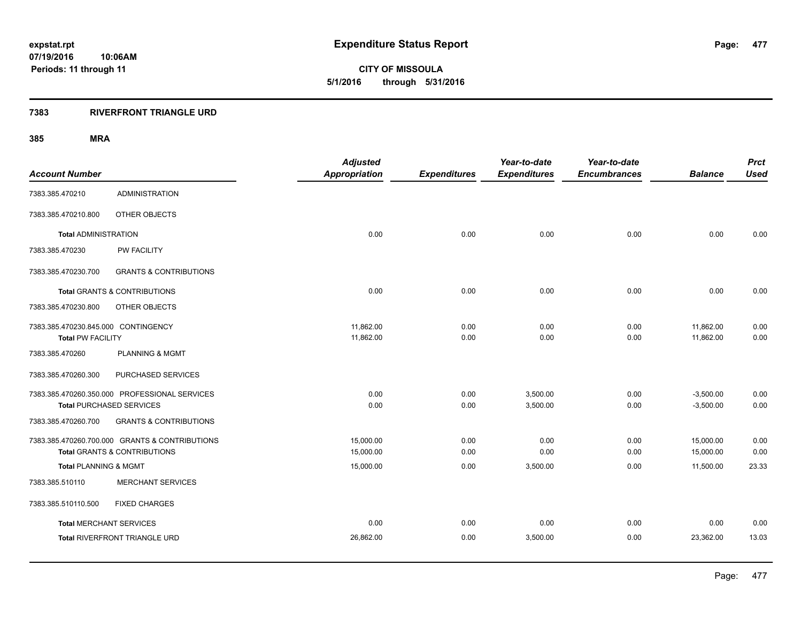### **7383 RIVERFRONT TRIANGLE URD**

| <b>Account Number</b>                                           |                                                                                           | <b>Adjusted</b><br><b>Appropriation</b> | <b>Expenditures</b> | Year-to-date<br><b>Expenditures</b> | Year-to-date<br><b>Encumbrances</b> | <b>Balance</b>             | <b>Prct</b><br><b>Used</b> |
|-----------------------------------------------------------------|-------------------------------------------------------------------------------------------|-----------------------------------------|---------------------|-------------------------------------|-------------------------------------|----------------------------|----------------------------|
| 7383.385.470210                                                 | <b>ADMINISTRATION</b>                                                                     |                                         |                     |                                     |                                     |                            |                            |
| 7383.385.470210.800                                             | OTHER OBJECTS                                                                             |                                         |                     |                                     |                                     |                            |                            |
| <b>Total ADMINISTRATION</b>                                     |                                                                                           | 0.00                                    | 0.00                | 0.00                                | 0.00                                | 0.00                       | 0.00                       |
| 7383.385.470230                                                 | PW FACILITY                                                                               |                                         |                     |                                     |                                     |                            |                            |
| 7383.385.470230.700                                             | <b>GRANTS &amp; CONTRIBUTIONS</b>                                                         |                                         |                     |                                     |                                     |                            |                            |
|                                                                 | <b>Total GRANTS &amp; CONTRIBUTIONS</b>                                                   | 0.00                                    | 0.00                | 0.00                                | 0.00                                | 0.00                       | 0.00                       |
| 7383.385.470230.800                                             | OTHER OBJECTS                                                                             |                                         |                     |                                     |                                     |                            |                            |
| 7383.385.470230.845.000 CONTINGENCY<br><b>Total PW FACILITY</b> |                                                                                           | 11,862.00<br>11,862.00                  | 0.00<br>0.00        | 0.00<br>0.00                        | 0.00<br>0.00                        | 11,862.00<br>11,862.00     | 0.00<br>0.00               |
| 7383.385.470260                                                 | <b>PLANNING &amp; MGMT</b>                                                                |                                         |                     |                                     |                                     |                            |                            |
| 7383.385.470260.300                                             | PURCHASED SERVICES                                                                        |                                         |                     |                                     |                                     |                            |                            |
|                                                                 | 7383.385.470260.350.000 PROFESSIONAL SERVICES<br><b>Total PURCHASED SERVICES</b>          | 0.00<br>0.00                            | 0.00<br>0.00        | 3,500.00<br>3,500.00                | 0.00<br>0.00                        | $-3,500.00$<br>$-3,500.00$ | 0.00<br>0.00               |
| 7383.385.470260.700                                             | <b>GRANTS &amp; CONTRIBUTIONS</b>                                                         |                                         |                     |                                     |                                     |                            |                            |
|                                                                 | 7383.385.470260.700.000 GRANTS & CONTRIBUTIONS<br><b>Total GRANTS &amp; CONTRIBUTIONS</b> | 15.000.00<br>15,000.00                  | 0.00<br>0.00        | 0.00<br>0.00                        | 0.00<br>0.00                        | 15,000.00<br>15,000.00     | 0.00<br>0.00               |
| Total PLANNING & MGMT                                           |                                                                                           | 15,000.00                               | 0.00                | 3,500.00                            | 0.00                                | 11,500.00                  | 23.33                      |
| 7383.385.510110                                                 | <b>MERCHANT SERVICES</b>                                                                  |                                         |                     |                                     |                                     |                            |                            |
| 7383.385.510110.500                                             | <b>FIXED CHARGES</b>                                                                      |                                         |                     |                                     |                                     |                            |                            |
| <b>Total MERCHANT SERVICES</b>                                  |                                                                                           | 0.00                                    | 0.00                | 0.00                                | 0.00                                | 0.00                       | 0.00                       |
|                                                                 | Total RIVERFRONT TRIANGLE URD                                                             | 26,862.00                               | 0.00                | 3,500.00                            | 0.00                                | 23,362.00                  | 13.03                      |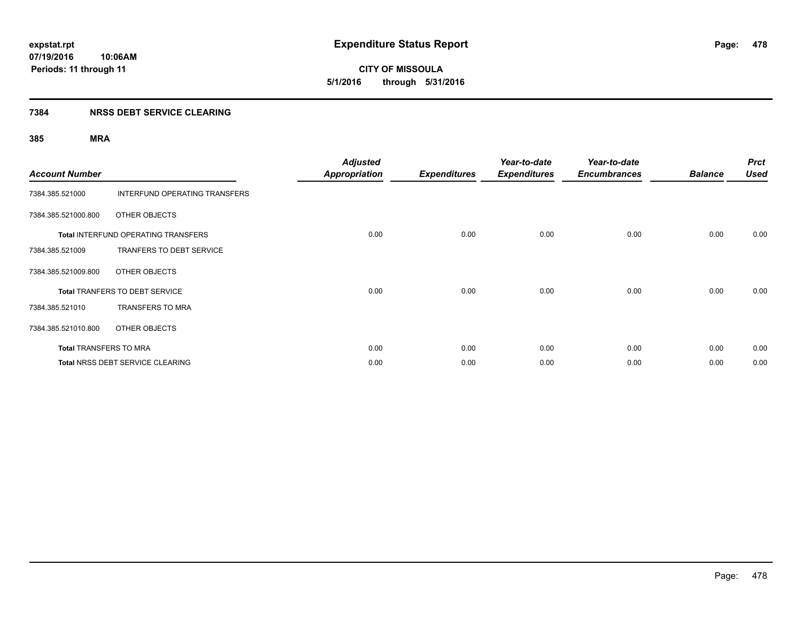#### **7384 NRSS DEBT SERVICE CLEARING**

| <b>Account Number</b>         |                                            | <b>Adjusted</b><br><b>Appropriation</b> | <b>Expenditures</b> | Year-to-date<br><b>Expenditures</b> | Year-to-date<br><b>Encumbrances</b> | <b>Balance</b> | <b>Prct</b><br><b>Used</b> |
|-------------------------------|--------------------------------------------|-----------------------------------------|---------------------|-------------------------------------|-------------------------------------|----------------|----------------------------|
| 7384.385.521000               | <b>INTERFUND OPERATING TRANSFERS</b>       |                                         |                     |                                     |                                     |                |                            |
| 7384.385.521000.800           | OTHER OBJECTS                              |                                         |                     |                                     |                                     |                |                            |
|                               | <b>Total INTERFUND OPERATING TRANSFERS</b> | 0.00                                    | 0.00                | 0.00                                | 0.00                                | 0.00           | 0.00                       |
| 7384.385.521009               | TRANFERS TO DEBT SERVICE                   |                                         |                     |                                     |                                     |                |                            |
| 7384.385.521009.800           | OTHER OBJECTS                              |                                         |                     |                                     |                                     |                |                            |
|                               | <b>Total TRANFERS TO DEBT SERVICE</b>      | 0.00                                    | 0.00                | 0.00                                | 0.00                                | 0.00           | 0.00                       |
| 7384.385.521010               | <b>TRANSFERS TO MRA</b>                    |                                         |                     |                                     |                                     |                |                            |
| 7384.385.521010.800           | OTHER OBJECTS                              |                                         |                     |                                     |                                     |                |                            |
| <b>Total TRANSFERS TO MRA</b> |                                            | 0.00                                    | 0.00                | 0.00                                | 0.00                                | 0.00           | 0.00                       |
|                               | Total NRSS DEBT SERVICE CLEARING           | 0.00                                    | 0.00                | 0.00                                | 0.00                                | 0.00           | 0.00                       |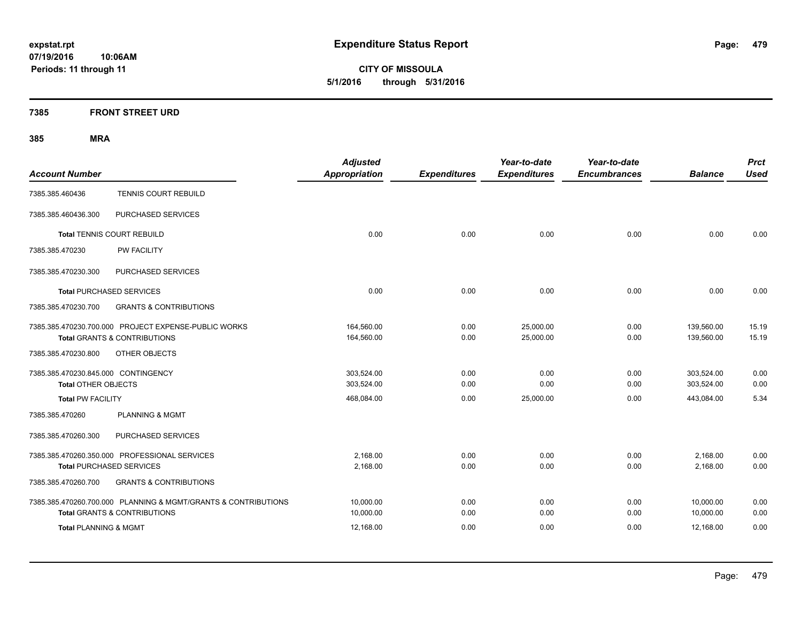**CITY OF MISSOULA 5/1/2016 through 5/31/2016**

### **7385 FRONT STREET URD**

| <b>Account Number</b>                                                                                     | <b>Adjusted</b><br><b>Appropriation</b> | <b>Expenditures</b> | Year-to-date<br><b>Expenditures</b> | Year-to-date<br><b>Encumbrances</b> | <b>Balance</b>           | <b>Prct</b><br><b>Used</b> |
|-----------------------------------------------------------------------------------------------------------|-----------------------------------------|---------------------|-------------------------------------|-------------------------------------|--------------------------|----------------------------|
| TENNIS COURT REBUILD<br>7385.385.460436                                                                   |                                         |                     |                                     |                                     |                          |                            |
| PURCHASED SERVICES<br>7385.385.460436.300                                                                 |                                         |                     |                                     |                                     |                          |                            |
| <b>Total TENNIS COURT REBUILD</b>                                                                         | 0.00                                    | 0.00                | 0.00                                | 0.00                                | 0.00                     | 0.00                       |
| 7385.385.470230<br><b>PW FACILITY</b>                                                                     |                                         |                     |                                     |                                     |                          |                            |
| PURCHASED SERVICES<br>7385.385.470230.300                                                                 |                                         |                     |                                     |                                     |                          |                            |
| <b>Total PURCHASED SERVICES</b>                                                                           | 0.00                                    | 0.00                | 0.00                                | 0.00                                | 0.00                     | 0.00                       |
| 7385.385.470230.700<br><b>GRANTS &amp; CONTRIBUTIONS</b>                                                  |                                         |                     |                                     |                                     |                          |                            |
| 7385.385.470230.700.000 PROJECT EXPENSE-PUBLIC WORKS<br><b>Total GRANTS &amp; CONTRIBUTIONS</b>           | 164,560.00<br>164,560.00                | 0.00<br>0.00        | 25,000.00<br>25,000.00              | 0.00<br>0.00                        | 139,560.00<br>139,560.00 | 15.19<br>15.19             |
| 7385.385.470230.800<br>OTHER OBJECTS                                                                      |                                         |                     |                                     |                                     |                          |                            |
| 7385.385.470230.845.000 CONTINGENCY<br><b>Total OTHER OBJECTS</b>                                         | 303,524.00<br>303,524.00                | 0.00<br>0.00        | 0.00<br>0.00                        | 0.00<br>0.00                        | 303,524.00<br>303,524.00 | 0.00<br>0.00               |
| <b>Total PW FACILITY</b>                                                                                  | 468,084.00                              | 0.00                | 25,000.00                           | 0.00                                | 443,084.00               | 5.34                       |
| 7385.385.470260<br><b>PLANNING &amp; MGMT</b>                                                             |                                         |                     |                                     |                                     |                          |                            |
| 7385.385.470260.300<br>PURCHASED SERVICES                                                                 |                                         |                     |                                     |                                     |                          |                            |
| 7385.385.470260.350.000 PROFESSIONAL SERVICES<br><b>Total PURCHASED SERVICES</b>                          | 2,168.00<br>2.168.00                    | 0.00<br>0.00        | 0.00<br>0.00                        | 0.00<br>0.00                        | 2,168.00<br>2.168.00     | 0.00<br>0.00               |
| 7385.385.470260.700<br><b>GRANTS &amp; CONTRIBUTIONS</b>                                                  |                                         |                     |                                     |                                     |                          |                            |
| 7385.385.470260.700.000 PLANNING & MGMT/GRANTS & CONTRIBUTIONS<br><b>Total GRANTS &amp; CONTRIBUTIONS</b> | 10,000.00<br>10,000.00                  | 0.00<br>0.00        | 0.00<br>0.00                        | 0.00<br>0.00                        | 10,000.00<br>10,000.00   | 0.00<br>0.00               |
| <b>Total PLANNING &amp; MGMT</b>                                                                          | 12,168.00                               | 0.00                | 0.00                                | 0.00                                | 12,168.00                | 0.00                       |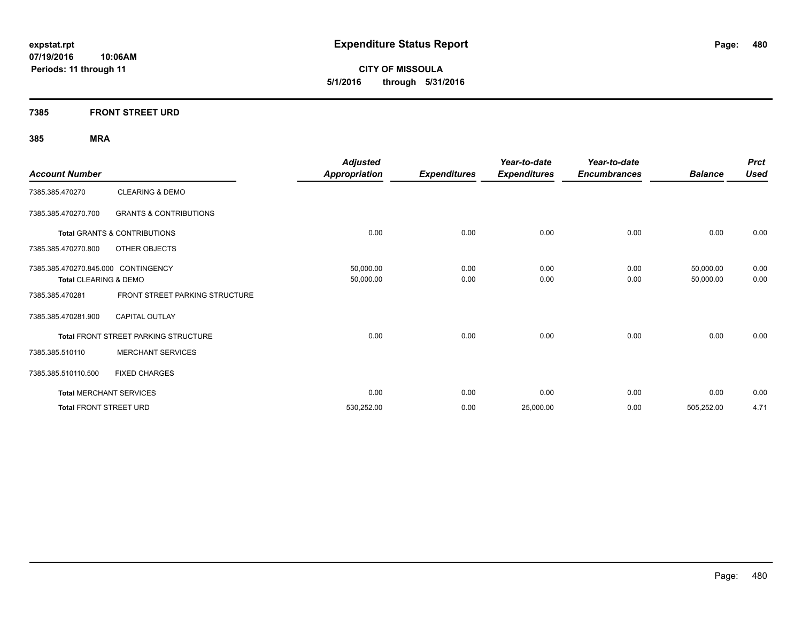**CITY OF MISSOULA 5/1/2016 through 5/31/2016**

### **7385 FRONT STREET URD**

| <b>Account Number</b>               |                                         | <b>Adjusted</b><br>Appropriation | <b>Expenditures</b> | Year-to-date<br><b>Expenditures</b> | Year-to-date<br><b>Encumbrances</b> | <b>Balance</b> | <b>Prct</b><br><b>Used</b> |
|-------------------------------------|-----------------------------------------|----------------------------------|---------------------|-------------------------------------|-------------------------------------|----------------|----------------------------|
| 7385.385.470270                     | <b>CLEARING &amp; DEMO</b>              |                                  |                     |                                     |                                     |                |                            |
|                                     |                                         |                                  |                     |                                     |                                     |                |                            |
| 7385.385.470270.700                 | <b>GRANTS &amp; CONTRIBUTIONS</b>       |                                  |                     |                                     |                                     |                |                            |
|                                     | <b>Total GRANTS &amp; CONTRIBUTIONS</b> | 0.00                             | 0.00                | 0.00                                | 0.00                                | 0.00           | 0.00                       |
| 7385.385.470270.800                 | OTHER OBJECTS                           |                                  |                     |                                     |                                     |                |                            |
| 7385.385.470270.845.000 CONTINGENCY |                                         | 50,000.00                        | 0.00                | 0.00                                | 0.00                                | 50,000.00      | 0.00                       |
| Total CLEARING & DEMO               |                                         | 50,000.00                        | 0.00                | 0.00                                | 0.00                                | 50,000.00      | 0.00                       |
| 7385.385.470281                     | FRONT STREET PARKING STRUCTURE          |                                  |                     |                                     |                                     |                |                            |
| 7385.385.470281.900                 | <b>CAPITAL OUTLAY</b>                   |                                  |                     |                                     |                                     |                |                            |
|                                     | Total FRONT STREET PARKING STRUCTURE    | 0.00                             | 0.00                | 0.00                                | 0.00                                | 0.00           | 0.00                       |
| 7385.385.510110                     | <b>MERCHANT SERVICES</b>                |                                  |                     |                                     |                                     |                |                            |
| 7385.385.510110.500                 | <b>FIXED CHARGES</b>                    |                                  |                     |                                     |                                     |                |                            |
|                                     | <b>Total MERCHANT SERVICES</b>          | 0.00                             | 0.00                | 0.00                                | 0.00                                | 0.00           | 0.00                       |
| <b>Total FRONT STREET URD</b>       |                                         | 530,252.00                       | 0.00                | 25,000.00                           | 0.00                                | 505,252.00     | 4.71                       |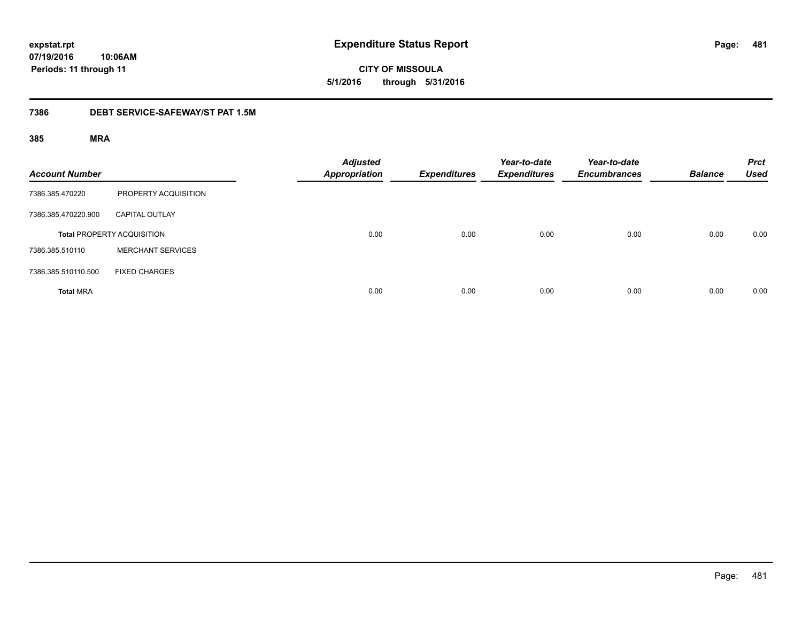**CITY OF MISSOULA 5/1/2016 through 5/31/2016**

### **7386 DEBT SERVICE-SAFEWAY/ST PAT 1.5M**

| <b>Account Number</b> |                                   | <b>Adjusted</b><br><b>Appropriation</b> | <b>Expenditures</b> | Year-to-date<br><b>Expenditures</b> | Year-to-date<br><b>Encumbrances</b> | <b>Balance</b> | <b>Prct</b><br><b>Used</b> |
|-----------------------|-----------------------------------|-----------------------------------------|---------------------|-------------------------------------|-------------------------------------|----------------|----------------------------|
| 7386.385.470220       | PROPERTY ACQUISITION              |                                         |                     |                                     |                                     |                |                            |
| 7386.385.470220.900   | <b>CAPITAL OUTLAY</b>             |                                         |                     |                                     |                                     |                |                            |
|                       | <b>Total PROPERTY ACQUISITION</b> | 0.00                                    | 0.00                | 0.00                                | 0.00                                | 0.00           | 0.00                       |
| 7386.385.510110       | <b>MERCHANT SERVICES</b>          |                                         |                     |                                     |                                     |                |                            |
| 7386.385.510110.500   | <b>FIXED CHARGES</b>              |                                         |                     |                                     |                                     |                |                            |
| <b>Total MRA</b>      |                                   | 0.00                                    | 0.00                | 0.00                                | 0.00                                | 0.00           | 0.00                       |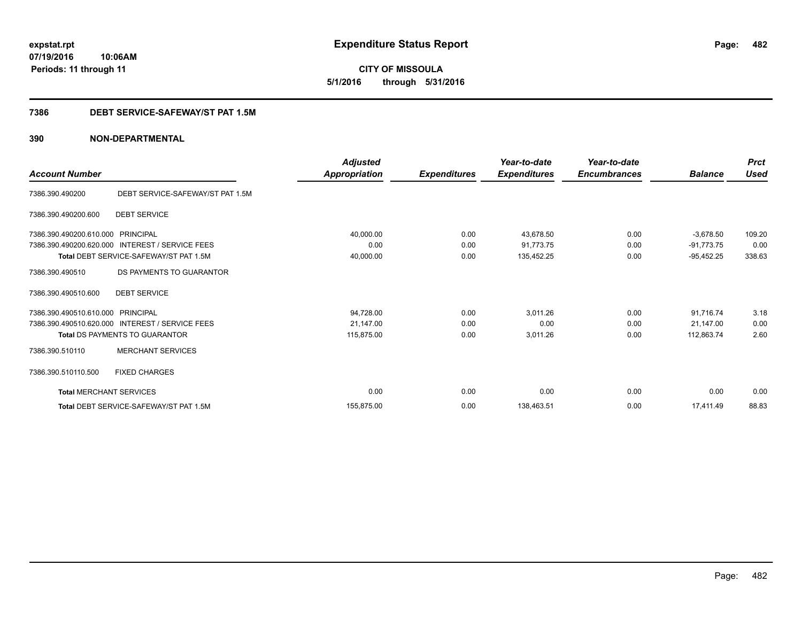**CITY OF MISSOULA 5/1/2016 through 5/31/2016**

### **7386 DEBT SERVICE-SAFEWAY/ST PAT 1.5M**

|                                |                                                 | <b>Adjusted</b> |                     | Year-to-date        | Year-to-date        |                | <b>Prct</b><br><b>Used</b> |
|--------------------------------|-------------------------------------------------|-----------------|---------------------|---------------------|---------------------|----------------|----------------------------|
| <b>Account Number</b>          |                                                 | Appropriation   | <b>Expenditures</b> | <b>Expenditures</b> | <b>Encumbrances</b> | <b>Balance</b> |                            |
| 7386.390.490200                | DEBT SERVICE-SAFEWAY/ST PAT 1.5M                |                 |                     |                     |                     |                |                            |
| 7386.390.490200.600            | <b>DEBT SERVICE</b>                             |                 |                     |                     |                     |                |                            |
| 7386.390.490200.610.000        | PRINCIPAL                                       | 40,000.00       | 0.00                | 43.678.50           | 0.00                | $-3,678.50$    | 109.20                     |
| 7386.390.490200.620.000        | <b>INTEREST / SERVICE FEES</b>                  | 0.00            | 0.00                | 91,773.75           | 0.00                | $-91,773.75$   | 0.00                       |
|                                | Total DEBT SERVICE-SAFEWAY/ST PAT 1.5M          | 40,000.00       | 0.00                | 135,452.25          | 0.00                | $-95,452.25$   | 338.63                     |
| 7386.390.490510                | DS PAYMENTS TO GUARANTOR                        |                 |                     |                     |                     |                |                            |
| 7386.390.490510.600            | <b>DEBT SERVICE</b>                             |                 |                     |                     |                     |                |                            |
| 7386.390.490510.610.000        | PRINCIPAL                                       | 94,728.00       | 0.00                | 3,011.26            | 0.00                | 91,716.74      | 3.18                       |
|                                | 7386.390.490510.620.000 INTEREST / SERVICE FEES | 21,147.00       | 0.00                | 0.00                | 0.00                | 21.147.00      | 0.00                       |
|                                | <b>Total DS PAYMENTS TO GUARANTOR</b>           | 115,875.00      | 0.00                | 3,011.26            | 0.00                | 112,863.74     | 2.60                       |
| 7386.390.510110                | <b>MERCHANT SERVICES</b>                        |                 |                     |                     |                     |                |                            |
| 7386.390.510110.500            | <b>FIXED CHARGES</b>                            |                 |                     |                     |                     |                |                            |
| <b>Total MERCHANT SERVICES</b> |                                                 | 0.00            | 0.00                | 0.00                | 0.00                | 0.00           | 0.00                       |
|                                | Total DEBT SERVICE-SAFEWAY/ST PAT 1.5M          | 155.875.00      | 0.00                | 138,463.51          | 0.00                | 17.411.49      | 88.83                      |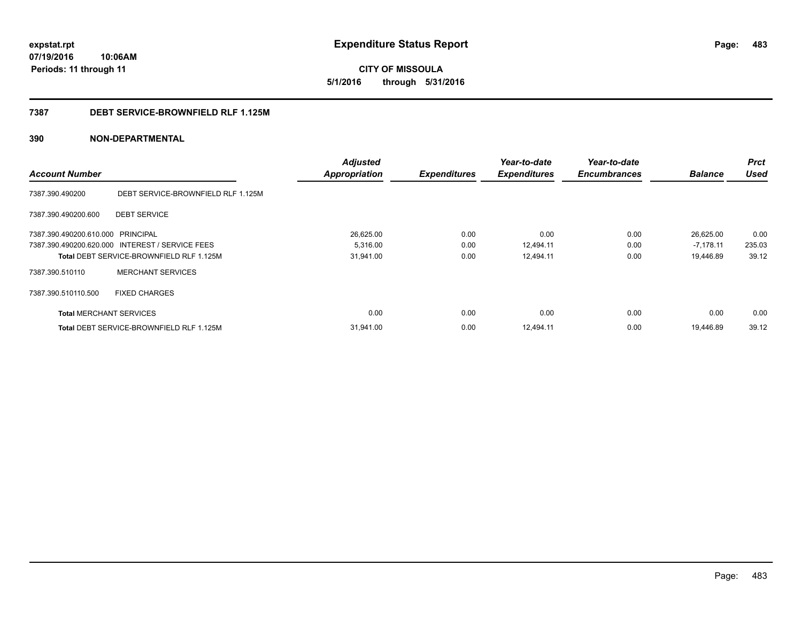#### **7387 DEBT SERVICE-BROWNFIELD RLF 1.125M**

| <b>Account Number</b>             |                                                 | <b>Adjusted</b><br><b>Appropriation</b> | <b>Expenditures</b> | Year-to-date<br><b>Expenditures</b> | Year-to-date<br><b>Encumbrances</b> | <b>Balance</b> | Prct<br><b>Used</b> |
|-----------------------------------|-------------------------------------------------|-----------------------------------------|---------------------|-------------------------------------|-------------------------------------|----------------|---------------------|
|                                   |                                                 |                                         |                     |                                     |                                     |                |                     |
| 7387.390.490200                   | DEBT SERVICE-BROWNFIELD RLF 1.125M              |                                         |                     |                                     |                                     |                |                     |
| 7387.390.490200.600               | <b>DEBT SERVICE</b>                             |                                         |                     |                                     |                                     |                |                     |
| 7387.390.490200.610.000 PRINCIPAL |                                                 | 26,625.00                               | 0.00                | 0.00                                | 0.00                                | 26,625.00      | 0.00                |
|                                   | 7387.390.490200.620.000 INTEREST / SERVICE FEES | 5,316.00                                | 0.00                | 12,494.11                           | 0.00                                | $-7,178.11$    | 235.03              |
|                                   | Total DEBT SERVICE-BROWNFIELD RLF 1.125M        | 31,941.00                               | 0.00                | 12,494.11                           | 0.00                                | 19,446.89      | 39.12               |
| 7387.390.510110                   | <b>MERCHANT SERVICES</b>                        |                                         |                     |                                     |                                     |                |                     |
| 7387.390.510110.500               | <b>FIXED CHARGES</b>                            |                                         |                     |                                     |                                     |                |                     |
| <b>Total MERCHANT SERVICES</b>    |                                                 | 0.00                                    | 0.00                | 0.00                                | 0.00                                | 0.00           | 0.00                |
|                                   | <b>Total DEBT SERVICE-BROWNFIELD RLF 1.125M</b> | 31,941.00                               | 0.00                | 12,494.11                           | 0.00                                | 19.446.89      | 39.12               |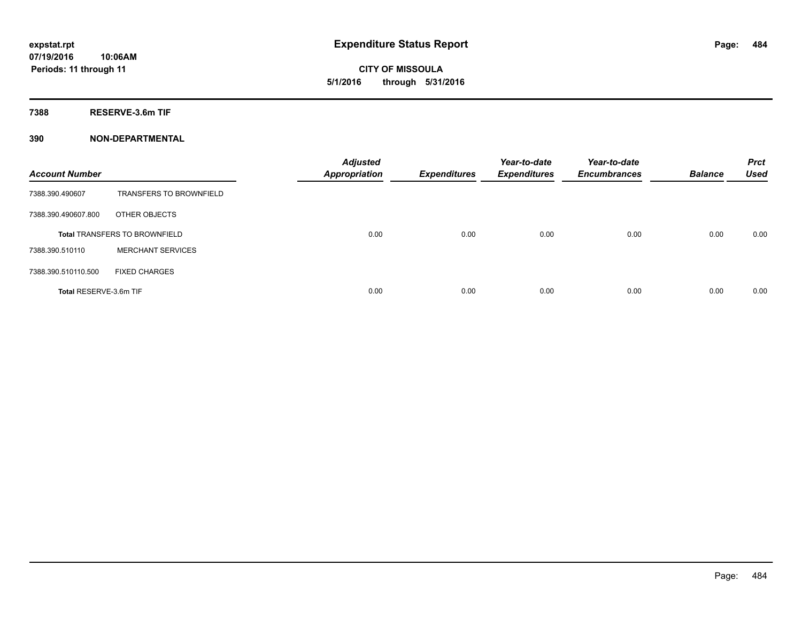**7388 RESERVE-3.6m TIF**

| <b>Account Number</b>  |                                      | <b>Adjusted</b><br><b>Appropriation</b> | <b>Expenditures</b> | Year-to-date<br><b>Expenditures</b> | Year-to-date<br><b>Encumbrances</b> | <b>Balance</b> | <b>Prct</b><br><b>Used</b> |
|------------------------|--------------------------------------|-----------------------------------------|---------------------|-------------------------------------|-------------------------------------|----------------|----------------------------|
| 7388.390.490607        | <b>TRANSFERS TO BROWNFIELD</b>       |                                         |                     |                                     |                                     |                |                            |
| 7388.390.490607.800    | OTHER OBJECTS                        |                                         |                     |                                     |                                     |                |                            |
|                        | <b>Total TRANSFERS TO BROWNFIELD</b> | 0.00                                    | 0.00                | 0.00                                | 0.00                                | 0.00           | 0.00                       |
| 7388.390.510110        | <b>MERCHANT SERVICES</b>             |                                         |                     |                                     |                                     |                |                            |
| 7388.390.510110.500    | <b>FIXED CHARGES</b>                 |                                         |                     |                                     |                                     |                |                            |
| Total RESERVE-3.6m TIF |                                      | 0.00                                    | 0.00                | 0.00                                | 0.00                                | 0.00           | 0.00                       |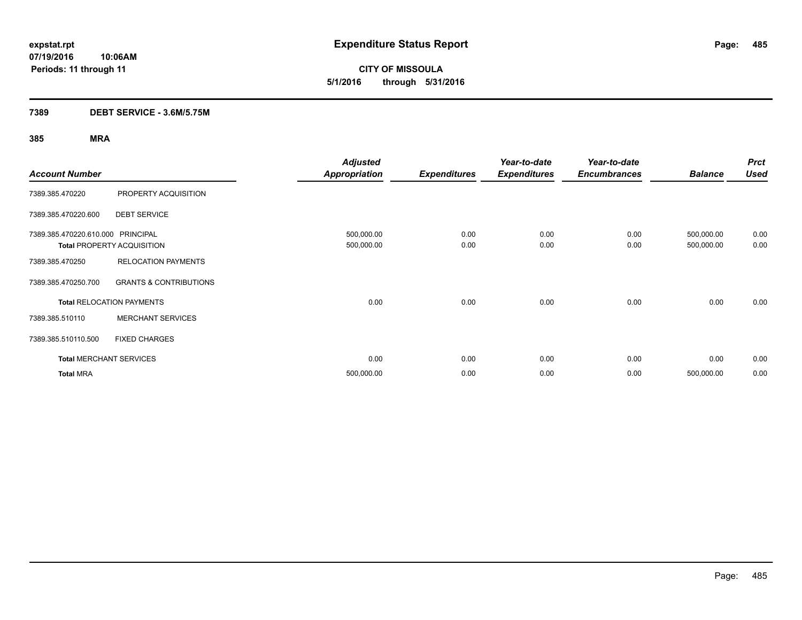**CITY OF MISSOULA 5/1/2016 through 5/31/2016**

### **7389 DEBT SERVICE - 3.6M/5.75M**

|                                   |                                   | <b>Adjusted</b>      |                     | Year-to-date        | Year-to-date        |                | <b>Prct</b> |
|-----------------------------------|-----------------------------------|----------------------|---------------------|---------------------|---------------------|----------------|-------------|
| <b>Account Number</b>             |                                   | <b>Appropriation</b> | <b>Expenditures</b> | <b>Expenditures</b> | <b>Encumbrances</b> | <b>Balance</b> | <b>Used</b> |
| 7389.385.470220                   | PROPERTY ACQUISITION              |                      |                     |                     |                     |                |             |
| 7389.385.470220.600               | <b>DEBT SERVICE</b>               |                      |                     |                     |                     |                |             |
| 7389.385.470220.610.000 PRINCIPAL |                                   | 500,000.00           | 0.00                | 0.00                | 0.00                | 500,000.00     | 0.00        |
|                                   | <b>Total PROPERTY ACQUISITION</b> | 500,000.00           | 0.00                | 0.00                | 0.00                | 500,000.00     | 0.00        |
| 7389.385.470250                   | <b>RELOCATION PAYMENTS</b>        |                      |                     |                     |                     |                |             |
| 7389.385.470250.700               | <b>GRANTS &amp; CONTRIBUTIONS</b> |                      |                     |                     |                     |                |             |
|                                   | <b>Total RELOCATION PAYMENTS</b>  | 0.00                 | 0.00                | 0.00                | 0.00                | 0.00           | 0.00        |
| 7389.385.510110                   | <b>MERCHANT SERVICES</b>          |                      |                     |                     |                     |                |             |
| 7389.385.510110.500               | <b>FIXED CHARGES</b>              |                      |                     |                     |                     |                |             |
|                                   | <b>Total MERCHANT SERVICES</b>    | 0.00                 | 0.00                | 0.00                | 0.00                | 0.00           | 0.00        |
| <b>Total MRA</b>                  |                                   | 500,000.00           | 0.00                | 0.00                | 0.00                | 500,000.00     | 0.00        |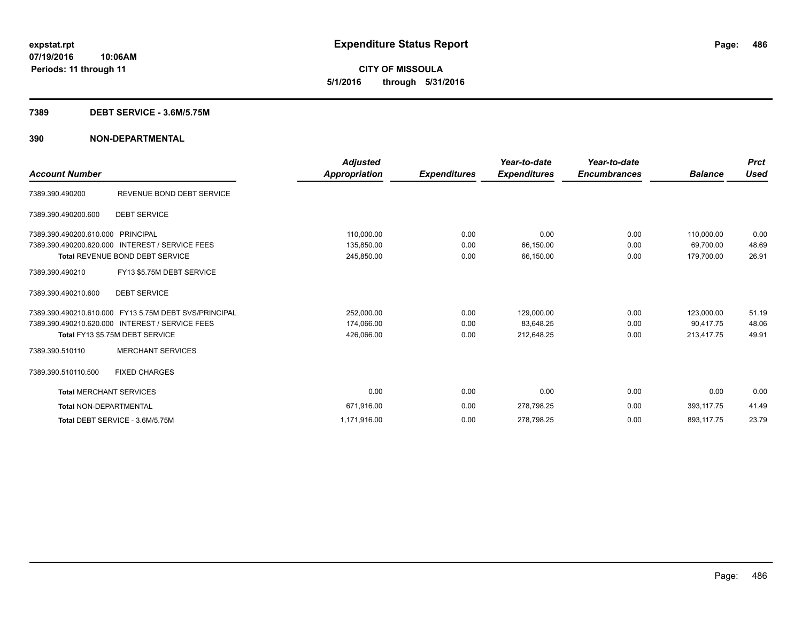#### **7389 DEBT SERVICE - 3.6M/5.75M**

|                                   |                                                       | <b>Adjusted</b>      |                     | Year-to-date        | Year-to-date        |                | <b>Prct</b> |
|-----------------------------------|-------------------------------------------------------|----------------------|---------------------|---------------------|---------------------|----------------|-------------|
| <b>Account Number</b>             |                                                       | <b>Appropriation</b> | <b>Expenditures</b> | <b>Expenditures</b> | <b>Encumbrances</b> | <b>Balance</b> | Used        |
| 7389.390.490200                   | REVENUE BOND DEBT SERVICE                             |                      |                     |                     |                     |                |             |
| 7389.390.490200.600               | <b>DEBT SERVICE</b>                                   |                      |                     |                     |                     |                |             |
| 7389.390.490200.610.000 PRINCIPAL |                                                       | 110,000.00           | 0.00                | 0.00                | 0.00                | 110.000.00     | 0.00        |
| 7389.390.490200.620.000           | <b>INTEREST / SERVICE FEES</b>                        | 135,850.00           | 0.00                | 66,150.00           | 0.00                | 69.700.00      | 48.69       |
|                                   | <b>Total REVENUE BOND DEBT SERVICE</b>                | 245,850.00           | 0.00                | 66,150.00           | 0.00                | 179,700.00     | 26.91       |
| 7389.390.490210                   | FY13 \$5.75M DEBT SERVICE                             |                      |                     |                     |                     |                |             |
| 7389.390.490210.600               | <b>DEBT SERVICE</b>                                   |                      |                     |                     |                     |                |             |
|                                   | 7389.390.490210.610.000 FY13 5.75M DEBT SVS/PRINCIPAL | 252,000.00           | 0.00                | 129,000.00          | 0.00                | 123,000.00     | 51.19       |
|                                   | 7389.390.490210.620.000 INTEREST / SERVICE FEES       | 174,066.00           | 0.00                | 83,648.25           | 0.00                | 90.417.75      | 48.06       |
|                                   | Total FY13 \$5.75M DEBT SERVICE                       | 426,066.00           | 0.00                | 212,648.25          | 0.00                | 213,417.75     | 49.91       |
| 7389.390.510110                   | <b>MERCHANT SERVICES</b>                              |                      |                     |                     |                     |                |             |
| 7389.390.510110.500               | <b>FIXED CHARGES</b>                                  |                      |                     |                     |                     |                |             |
| <b>Total MERCHANT SERVICES</b>    |                                                       | 0.00                 | 0.00                | 0.00                | 0.00                | 0.00           | 0.00        |
| <b>Total NON-DEPARTMENTAL</b>     |                                                       | 671,916.00           | 0.00                | 278,798.25          | 0.00                | 393,117.75     | 41.49       |
|                                   | Total DEBT SERVICE - 3.6M/5.75M                       | 1,171,916.00         | 0.00                | 278,798.25          | 0.00                | 893,117.75     | 23.79       |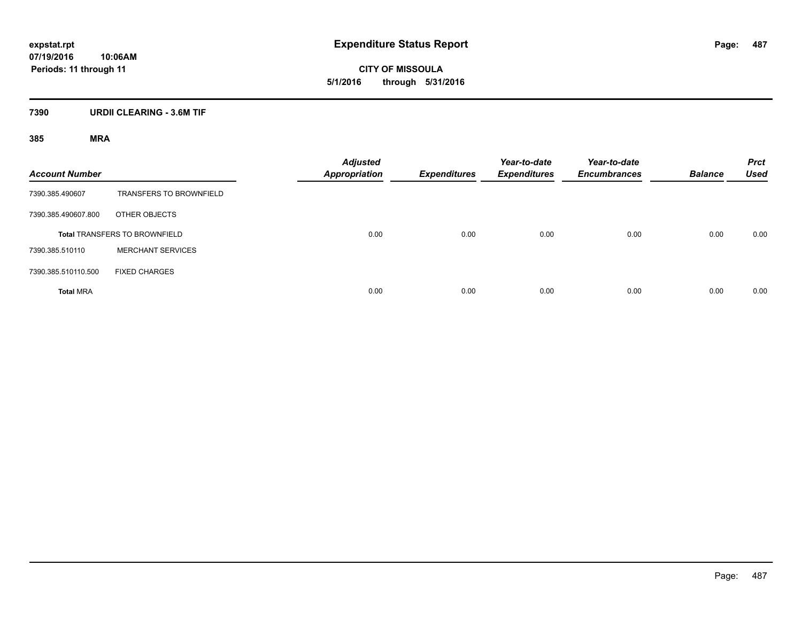# **7390 URDII CLEARING - 3.6M TIF**

| <b>Account Number</b> |                                      | <b>Adjusted</b><br><b>Appropriation</b> | <b>Expenditures</b> | Year-to-date<br><b>Expenditures</b> | Year-to-date<br><b>Encumbrances</b> | <b>Balance</b> | <b>Prct</b><br><b>Used</b> |
|-----------------------|--------------------------------------|-----------------------------------------|---------------------|-------------------------------------|-------------------------------------|----------------|----------------------------|
| 7390.385.490607       | <b>TRANSFERS TO BROWNFIELD</b>       |                                         |                     |                                     |                                     |                |                            |
| 7390.385.490607.800   | OTHER OBJECTS                        |                                         |                     |                                     |                                     |                |                            |
|                       | <b>Total TRANSFERS TO BROWNFIELD</b> | 0.00                                    | 0.00                | 0.00                                | 0.00                                | 0.00           | 0.00                       |
| 7390.385.510110       | <b>MERCHANT SERVICES</b>             |                                         |                     |                                     |                                     |                |                            |
| 7390.385.510110.500   | <b>FIXED CHARGES</b>                 |                                         |                     |                                     |                                     |                |                            |
| <b>Total MRA</b>      |                                      | 0.00                                    | 0.00                | 0.00                                | 0.00                                | 0.00           | 0.00                       |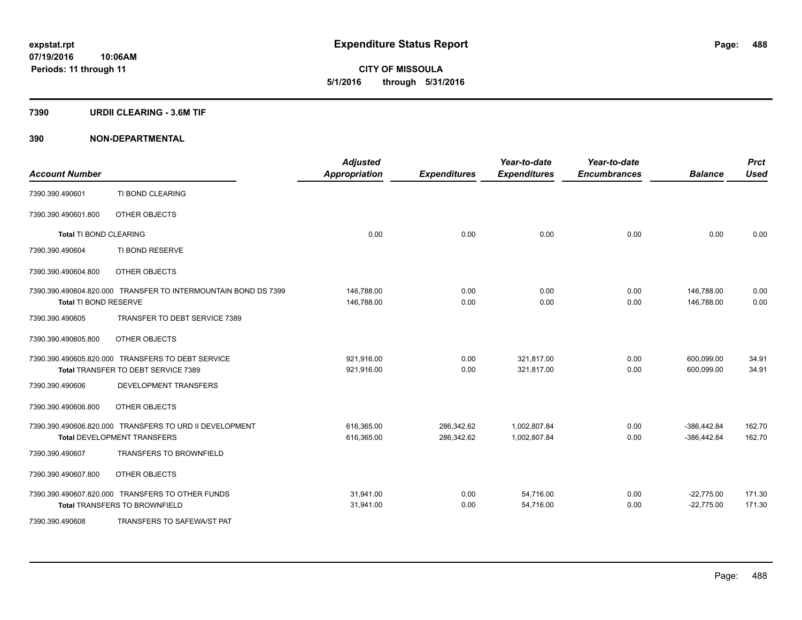#### **7390 URDII CLEARING - 3.6M TIF**

| <b>Account Number</b>         |                                                                                          | <b>Adjusted</b><br><b>Appropriation</b> | <b>Expenditures</b>      | Year-to-date<br><b>Expenditures</b> | Year-to-date<br><b>Encumbrances</b> | <b>Balance</b>                 | <b>Prct</b><br><b>Used</b> |
|-------------------------------|------------------------------------------------------------------------------------------|-----------------------------------------|--------------------------|-------------------------------------|-------------------------------------|--------------------------------|----------------------------|
| 7390.390.490601               | TI BOND CLEARING                                                                         |                                         |                          |                                     |                                     |                                |                            |
| 7390.390.490601.800           | OTHER OBJECTS                                                                            |                                         |                          |                                     |                                     |                                |                            |
| <b>Total TI BOND CLEARING</b> |                                                                                          | 0.00                                    | 0.00                     | 0.00                                | 0.00                                | 0.00                           | 0.00                       |
| 7390.390.490604               | TI BOND RESERVE                                                                          |                                         |                          |                                     |                                     |                                |                            |
| 7390.390.490604.800           | OTHER OBJECTS                                                                            |                                         |                          |                                     |                                     |                                |                            |
| Total TI BOND RESERVE         | 7390.390.490604.820.000 TRANSFER TO INTERMOUNTAIN BOND DS 7399                           | 146,788.00<br>146,788.00                | 0.00<br>0.00             | 0.00<br>0.00                        | 0.00<br>0.00                        | 146.788.00<br>146,788.00       | 0.00<br>0.00               |
| 7390.390.490605               | TRANSFER TO DEBT SERVICE 7389                                                            |                                         |                          |                                     |                                     |                                |                            |
| 7390.390.490605.800           | OTHER OBJECTS                                                                            |                                         |                          |                                     |                                     |                                |                            |
|                               | 7390.390.490605.820.000 TRANSFERS TO DEBT SERVICE<br>Total TRANSFER TO DEBT SERVICE 7389 | 921,916.00<br>921,916.00                | 0.00<br>0.00             | 321,817.00<br>321,817.00            | 0.00<br>0.00                        | 600,099.00<br>600,099.00       | 34.91<br>34.91             |
| 7390.390.490606               | DEVELOPMENT TRANSFERS                                                                    |                                         |                          |                                     |                                     |                                |                            |
| 7390.390.490606.800           | OTHER OBJECTS                                                                            |                                         |                          |                                     |                                     |                                |                            |
|                               | 7390.390.490606.820.000 TRANSFERS TO URD II DEVELOPMENT<br>Total DEVELOPMENT TRANSFERS   | 616,365.00<br>616,365.00                | 286,342.62<br>286,342.62 | 1,002,807.84<br>1,002,807.84        | 0.00<br>0.00                        | $-386,442.84$<br>$-386,442.84$ | 162.70<br>162.70           |
| 7390.390.490607               | <b>TRANSFERS TO BROWNFIELD</b>                                                           |                                         |                          |                                     |                                     |                                |                            |
| 7390.390.490607.800           | OTHER OBJECTS                                                                            |                                         |                          |                                     |                                     |                                |                            |
|                               | 7390.390.490607.820.000 TRANSFERS TO OTHER FUNDS<br><b>Total TRANSFERS TO BROWNFIELD</b> | 31,941.00<br>31,941.00                  | 0.00<br>0.00             | 54,716.00<br>54,716.00              | 0.00<br>0.00                        | $-22,775.00$<br>$-22,775.00$   | 171.30<br>171.30           |
| 7390.390.490608               | TRANSFERS TO SAFEWA/ST PAT                                                               |                                         |                          |                                     |                                     |                                |                            |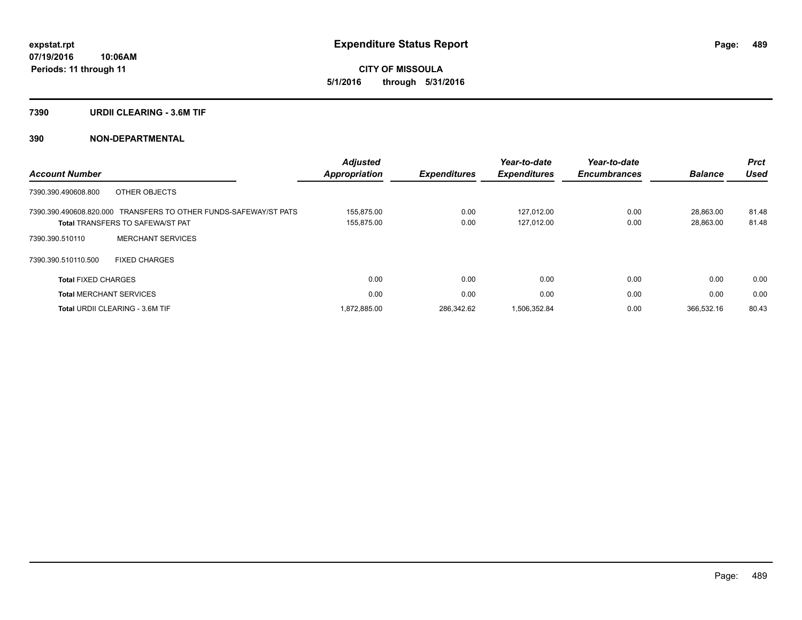#### **7390 URDII CLEARING - 3.6M TIF**

|                                             |                                          | <b>Adjusted</b>      |                     | Year-to-date        | Year-to-date        |                | <b>Prct</b> |
|---------------------------------------------|------------------------------------------|----------------------|---------------------|---------------------|---------------------|----------------|-------------|
| <b>Account Number</b>                       |                                          | <b>Appropriation</b> | <b>Expenditures</b> | <b>Expenditures</b> | <b>Encumbrances</b> | <b>Balance</b> | <b>Used</b> |
| OTHER OBJECTS<br>7390.390.490608.800        |                                          |                      |                     |                     |                     |                |             |
| 7390.390.490608.820.000                     | TRANSFERS TO OTHER FUNDS-SAFEWAY/ST PATS | 155.875.00           | 0.00                | 127.012.00          | 0.00                | 28.863.00      | 81.48       |
| <b>Total TRANSFERS TO SAFEWA/ST PAT</b>     |                                          | 155,875.00           | 0.00                | 127.012.00          | 0.00                | 28,863.00      | 81.48       |
| <b>MERCHANT SERVICES</b><br>7390.390.510110 |                                          |                      |                     |                     |                     |                |             |
| <b>FIXED CHARGES</b><br>7390.390.510110.500 |                                          |                      |                     |                     |                     |                |             |
| <b>Total FIXED CHARGES</b>                  |                                          | 0.00                 | 0.00                | 0.00                | 0.00                | 0.00           | 0.00        |
| <b>Total MERCHANT SERVICES</b>              |                                          | 0.00                 | 0.00                | 0.00                | 0.00                | 0.00           | 0.00        |
| Total URDII CLEARING - 3.6M TIF             |                                          | 1,872,885.00         | 286.342.62          | 1,506,352.84        | 0.00                | 366.532.16     | 80.43       |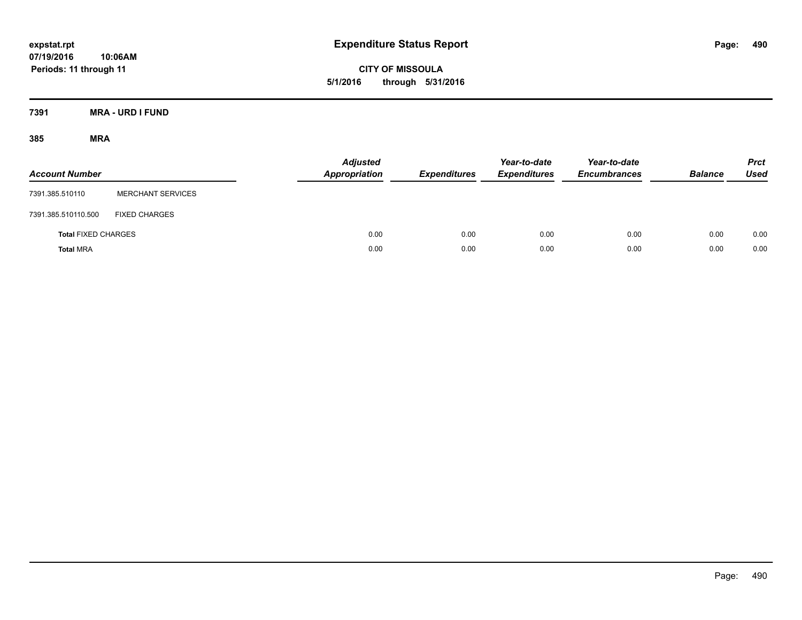**CITY OF MISSOULA 5/1/2016 through 5/31/2016**

**7391 MRA - URD I FUND**

| <b>Account Number</b>      |                          | <b>Adjusted</b><br>Appropriation | <b>Expenditures</b> | Year-to-date<br><b>Expenditures</b> | Year-to-date<br><b>Encumbrances</b> | <b>Balance</b> | <b>Prct</b><br>Used |
|----------------------------|--------------------------|----------------------------------|---------------------|-------------------------------------|-------------------------------------|----------------|---------------------|
| 7391.385.510110            | <b>MERCHANT SERVICES</b> |                                  |                     |                                     |                                     |                |                     |
| 7391.385.510110.500        | <b>FIXED CHARGES</b>     |                                  |                     |                                     |                                     |                |                     |
| <b>Total FIXED CHARGES</b> |                          | 0.00                             | 0.00                | 0.00                                | 0.00                                | 0.00           | 0.00                |
| <b>Total MRA</b>           |                          | 0.00                             | 0.00                | 0.00                                | 0.00                                | 0.00           | 0.00                |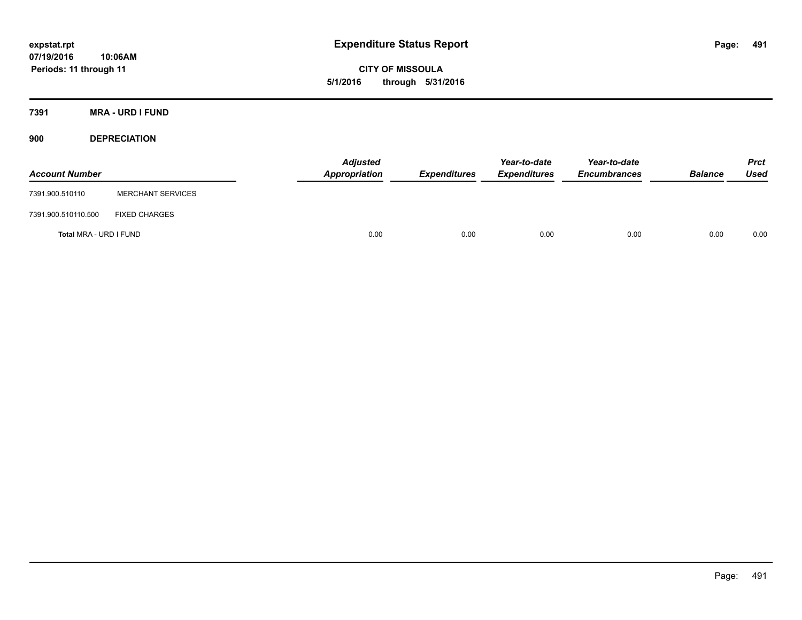**CITY OF MISSOULA 5/1/2016 through 5/31/2016**

**7391 MRA - URD I FUND**

**900 DEPRECIATION**

| <b>Account Number</b>  |                          | Adjusted<br>Appropriation | <b>Expenditures</b> | Year-to-date<br><b>Expenditures</b> | Year-to-date<br><b>Encumbrances</b> | <b>Balance</b> | Prct<br><b>Used</b> |
|------------------------|--------------------------|---------------------------|---------------------|-------------------------------------|-------------------------------------|----------------|---------------------|
| 7391.900.510110        | <b>MERCHANT SERVICES</b> |                           |                     |                                     |                                     |                |                     |
| 7391.900.510110.500    | <b>FIXED CHARGES</b>     |                           |                     |                                     |                                     |                |                     |
| Total MRA - URD I FUND |                          | 0.00                      | 0.00                | 0.00                                | 0.00                                | 0.00           | 0.00                |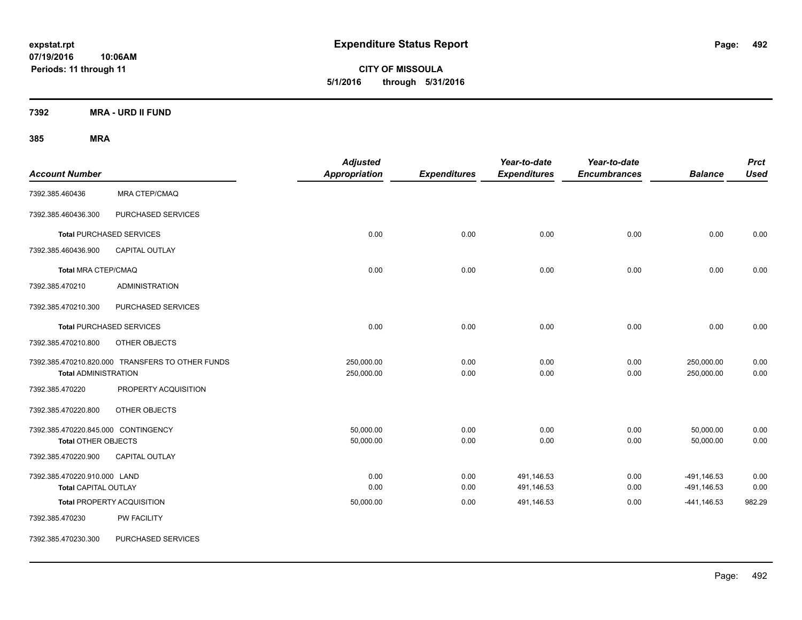**CITY OF MISSOULA 5/1/2016 through 5/31/2016**

**7392 MRA - URD II FUND**

| <b>Account Number</b>                                             |                                                  | <b>Adjusted</b><br><b>Appropriation</b> | <b>Expenditures</b> | Year-to-date<br><b>Expenditures</b> | Year-to-date<br><b>Encumbrances</b> | <b>Balance</b>             | <b>Prct</b><br><b>Used</b> |
|-------------------------------------------------------------------|--------------------------------------------------|-----------------------------------------|---------------------|-------------------------------------|-------------------------------------|----------------------------|----------------------------|
| 7392.385.460436                                                   | <b>MRA CTEP/CMAQ</b>                             |                                         |                     |                                     |                                     |                            |                            |
| 7392.385.460436.300                                               | PURCHASED SERVICES                               |                                         |                     |                                     |                                     |                            |                            |
|                                                                   | <b>Total PURCHASED SERVICES</b>                  | 0.00                                    | 0.00                | 0.00                                | 0.00                                | 0.00                       | 0.00                       |
| 7392.385.460436.900                                               | <b>CAPITAL OUTLAY</b>                            |                                         |                     |                                     |                                     |                            |                            |
| <b>Total MRA CTEP/CMAQ</b>                                        |                                                  | 0.00                                    | 0.00                | 0.00                                | 0.00                                | 0.00                       | 0.00                       |
| 7392.385.470210                                                   | <b>ADMINISTRATION</b>                            |                                         |                     |                                     |                                     |                            |                            |
| 7392.385.470210.300                                               | PURCHASED SERVICES                               |                                         |                     |                                     |                                     |                            |                            |
|                                                                   | <b>Total PURCHASED SERVICES</b>                  | 0.00                                    | 0.00                | 0.00                                | 0.00                                | 0.00                       | 0.00                       |
| 7392.385.470210.800                                               | OTHER OBJECTS                                    |                                         |                     |                                     |                                     |                            |                            |
| <b>Total ADMINISTRATION</b>                                       | 7392.385.470210.820.000 TRANSFERS TO OTHER FUNDS | 250,000.00<br>250,000.00                | 0.00<br>0.00        | 0.00<br>0.00                        | 0.00<br>0.00                        | 250,000.00<br>250,000.00   | 0.00<br>0.00               |
| 7392.385.470220                                                   | PROPERTY ACQUISITION                             |                                         |                     |                                     |                                     |                            |                            |
| 7392.385.470220.800                                               | OTHER OBJECTS                                    |                                         |                     |                                     |                                     |                            |                            |
| 7392.385.470220.845.000 CONTINGENCY<br><b>Total OTHER OBJECTS</b> |                                                  | 50,000.00<br>50,000.00                  | 0.00<br>0.00        | 0.00<br>0.00                        | 0.00<br>0.00                        | 50,000.00<br>50,000.00     | 0.00<br>0.00               |
| 7392.385.470220.900                                               | <b>CAPITAL OUTLAY</b>                            |                                         |                     |                                     |                                     |                            |                            |
| 7392.385.470220.910.000 LAND<br><b>Total CAPITAL OUTLAY</b>       |                                                  | 0.00<br>0.00                            | 0.00<br>0.00        | 491,146.53<br>491,146.53            | 0.00<br>0.00                        | -491,146.53<br>-491,146.53 | 0.00<br>0.00               |
|                                                                   | <b>Total PROPERTY ACQUISITION</b>                | 50,000.00                               | 0.00                | 491,146.53                          | 0.00                                | $-441,146.53$              | 982.29                     |
| 7392.385.470230                                                   | PW FACILITY                                      |                                         |                     |                                     |                                     |                            |                            |
| 7392.385.470230.300                                               | PURCHASED SERVICES                               |                                         |                     |                                     |                                     |                            |                            |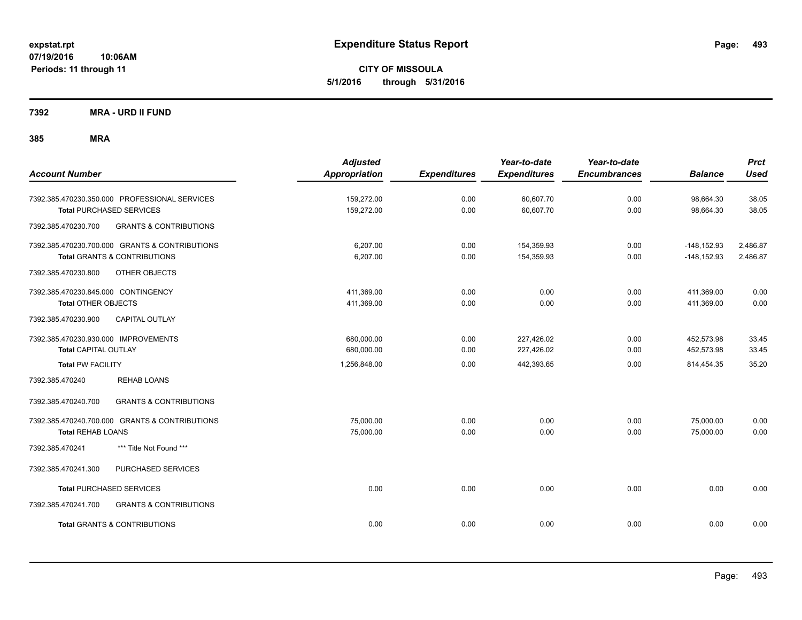**CITY OF MISSOULA 5/1/2016 through 5/31/2016**

**7392 MRA - URD II FUND**

| <b>Account Number</b>                                                                                      | <b>Adjusted</b><br><b>Appropriation</b> | <b>Expenditures</b> | Year-to-date<br><b>Expenditures</b> | Year-to-date<br><b>Encumbrances</b> | <b>Balance</b>                   | <b>Prct</b><br><b>Used</b> |
|------------------------------------------------------------------------------------------------------------|-----------------------------------------|---------------------|-------------------------------------|-------------------------------------|----------------------------------|----------------------------|
| 7392.385.470230.350.000 PROFESSIONAL SERVICES<br><b>Total PURCHASED SERVICES</b>                           | 159,272.00<br>159,272.00                | 0.00<br>0.00        | 60,607.70<br>60,607.70              | 0.00<br>0.00                        | 98,664.30<br>98,664.30           | 38.05<br>38.05             |
| <b>GRANTS &amp; CONTRIBUTIONS</b><br>7392.385.470230.700                                                   |                                         |                     |                                     |                                     |                                  |                            |
| 7392.385.470230.700.000 GRANTS & CONTRIBUTIONS<br><b>Total GRANTS &amp; CONTRIBUTIONS</b>                  | 6.207.00<br>6,207.00                    | 0.00<br>0.00        | 154,359.93<br>154,359.93            | 0.00<br>0.00                        | $-148, 152.93$<br>$-148, 152.93$ | 2,486.87<br>2,486.87       |
| 7392.385.470230.800<br>OTHER OBJECTS                                                                       |                                         |                     |                                     |                                     |                                  |                            |
| 7392.385.470230.845.000 CONTINGENCY<br><b>Total OTHER OBJECTS</b><br>CAPITAL OUTLAY<br>7392.385.470230.900 | 411,369.00<br>411,369.00                | 0.00<br>0.00        | 0.00<br>0.00                        | 0.00<br>0.00                        | 411,369.00<br>411,369.00         | 0.00<br>0.00               |
| 7392.385.470230.930.000 IMPROVEMENTS<br><b>Total CAPITAL OUTLAY</b>                                        | 680,000.00<br>680,000.00                | 0.00<br>0.00        | 227,426.02<br>227,426.02            | 0.00<br>0.00                        | 452,573.98<br>452,573.98         | 33.45<br>33.45             |
| <b>Total PW FACILITY</b>                                                                                   | 1,256,848.00                            | 0.00                | 442,393.65                          | 0.00                                | 814,454.35                       | 35.20                      |
| <b>REHAB LOANS</b><br>7392.385.470240                                                                      |                                         |                     |                                     |                                     |                                  |                            |
| <b>GRANTS &amp; CONTRIBUTIONS</b><br>7392.385.470240.700                                                   |                                         |                     |                                     |                                     |                                  |                            |
| 7392.385.470240.700.000 GRANTS & CONTRIBUTIONS<br><b>Total REHAB LOANS</b>                                 | 75,000.00<br>75,000.00                  | 0.00<br>0.00        | 0.00<br>0.00                        | 0.00<br>0.00                        | 75,000.00<br>75,000.00           | 0.00<br>0.00               |
| *** Title Not Found ***<br>7392.385.470241                                                                 |                                         |                     |                                     |                                     |                                  |                            |
| 7392.385.470241.300<br>PURCHASED SERVICES                                                                  |                                         |                     |                                     |                                     |                                  |                            |
| <b>Total PURCHASED SERVICES</b>                                                                            | 0.00                                    | 0.00                | 0.00                                | 0.00                                | 0.00                             | 0.00                       |
| 7392.385.470241.700<br><b>GRANTS &amp; CONTRIBUTIONS</b>                                                   |                                         |                     |                                     |                                     |                                  |                            |
| <b>Total GRANTS &amp; CONTRIBUTIONS</b>                                                                    | 0.00                                    | 0.00                | 0.00                                | 0.00                                | 0.00                             | 0.00                       |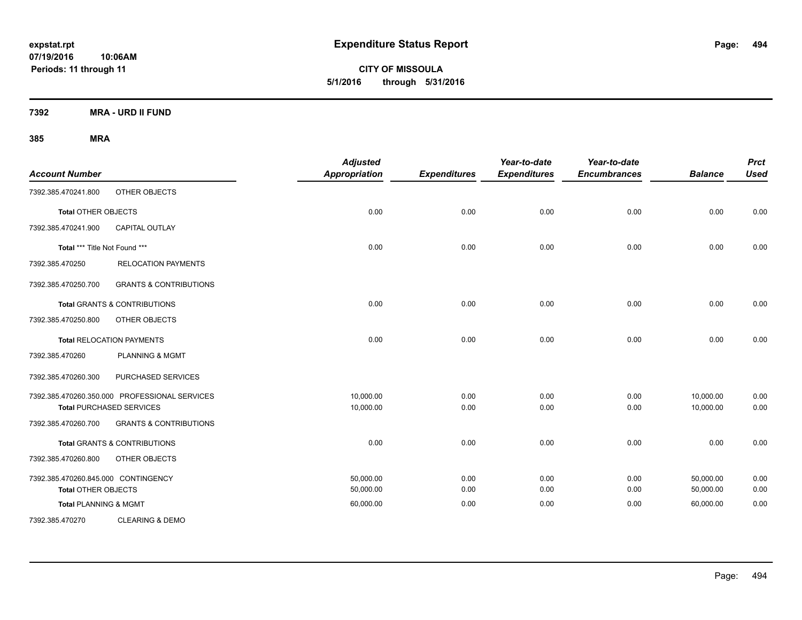**CITY OF MISSOULA 5/1/2016 through 5/31/2016**

**7392 MRA - URD II FUND**

| <b>Account Number</b>               |                                               | <b>Adjusted</b><br><b>Appropriation</b> | <b>Expenditures</b> | Year-to-date<br><b>Expenditures</b> | Year-to-date<br><b>Encumbrances</b> | <b>Balance</b> | <b>Prct</b><br><b>Used</b> |
|-------------------------------------|-----------------------------------------------|-----------------------------------------|---------------------|-------------------------------------|-------------------------------------|----------------|----------------------------|
| 7392.385.470241.800                 | OTHER OBJECTS                                 |                                         |                     |                                     |                                     |                |                            |
| <b>Total OTHER OBJECTS</b>          |                                               | 0.00                                    | 0.00                | 0.00                                | 0.00                                | 0.00           | 0.00                       |
| 7392.385.470241.900                 | <b>CAPITAL OUTLAY</b>                         |                                         |                     |                                     |                                     |                |                            |
| Total *** Title Not Found ***       |                                               | 0.00                                    | 0.00                | 0.00                                | 0.00                                | 0.00           | 0.00                       |
| 7392.385.470250                     | <b>RELOCATION PAYMENTS</b>                    |                                         |                     |                                     |                                     |                |                            |
| 7392.385.470250.700                 | <b>GRANTS &amp; CONTRIBUTIONS</b>             |                                         |                     |                                     |                                     |                |                            |
|                                     | <b>Total GRANTS &amp; CONTRIBUTIONS</b>       | 0.00                                    | 0.00                | 0.00                                | 0.00                                | 0.00           | 0.00                       |
| 7392.385.470250.800                 | OTHER OBJECTS                                 |                                         |                     |                                     |                                     |                |                            |
|                                     | <b>Total RELOCATION PAYMENTS</b>              | 0.00                                    | 0.00                | 0.00                                | 0.00                                | 0.00           | 0.00                       |
| 7392.385.470260                     | <b>PLANNING &amp; MGMT</b>                    |                                         |                     |                                     |                                     |                |                            |
| 7392.385.470260.300                 | PURCHASED SERVICES                            |                                         |                     |                                     |                                     |                |                            |
|                                     | 7392.385.470260.350.000 PROFESSIONAL SERVICES | 10,000.00                               | 0.00                | 0.00                                | 0.00                                | 10,000.00      | 0.00                       |
|                                     | <b>Total PURCHASED SERVICES</b>               | 10,000.00                               | 0.00                | 0.00                                | 0.00                                | 10,000.00      | 0.00                       |
| 7392.385.470260.700                 | <b>GRANTS &amp; CONTRIBUTIONS</b>             |                                         |                     |                                     |                                     |                |                            |
|                                     | <b>Total GRANTS &amp; CONTRIBUTIONS</b>       | 0.00                                    | 0.00                | 0.00                                | 0.00                                | 0.00           | 0.00                       |
| 7392.385.470260.800                 | OTHER OBJECTS                                 |                                         |                     |                                     |                                     |                |                            |
| 7392.385.470260.845.000 CONTINGENCY |                                               | 50.000.00                               | 0.00                | 0.00                                | 0.00                                | 50.000.00      | 0.00                       |
| <b>Total OTHER OBJECTS</b>          |                                               | 50,000.00                               | 0.00                | 0.00                                | 0.00                                | 50,000.00      | 0.00                       |
| <b>Total PLANNING &amp; MGMT</b>    |                                               | 60,000.00                               | 0.00                | 0.00                                | 0.00                                | 60,000.00      | 0.00                       |
| 7392.385.470270                     | <b>CLEARING &amp; DEMO</b>                    |                                         |                     |                                     |                                     |                |                            |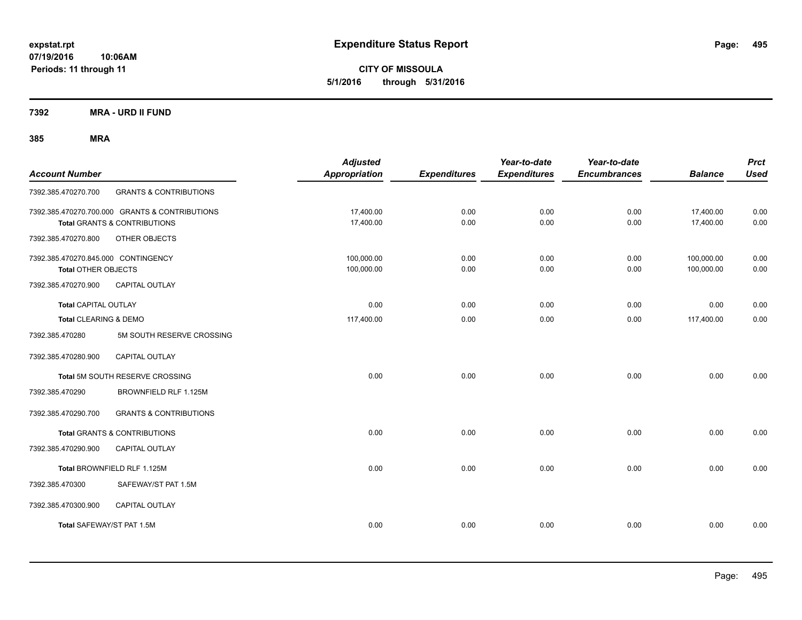**CITY OF MISSOULA 5/1/2016 through 5/31/2016**

**7392 MRA - URD II FUND**

| <b>Account Number</b>                                             |                                                                                | <b>Adjusted</b><br>Appropriation | <b>Expenditures</b> | Year-to-date<br><b>Expenditures</b> | Year-to-date<br><b>Encumbrances</b> | <b>Balance</b>           | <b>Prct</b><br><b>Used</b> |
|-------------------------------------------------------------------|--------------------------------------------------------------------------------|----------------------------------|---------------------|-------------------------------------|-------------------------------------|--------------------------|----------------------------|
| 7392.385.470270.700                                               | <b>GRANTS &amp; CONTRIBUTIONS</b>                                              |                                  |                     |                                     |                                     |                          |                            |
|                                                                   | 7392.385.470270.700.000 GRANTS & CONTRIBUTIONS<br>Total GRANTS & CONTRIBUTIONS | 17,400.00<br>17,400.00           | 0.00<br>0.00        | 0.00<br>0.00                        | 0.00<br>0.00                        | 17,400.00<br>17,400.00   | 0.00<br>0.00               |
| 7392.385.470270.800                                               | OTHER OBJECTS                                                                  |                                  |                     |                                     |                                     |                          |                            |
| 7392.385.470270.845.000 CONTINGENCY<br><b>Total OTHER OBJECTS</b> |                                                                                | 100,000.00<br>100,000.00         | 0.00<br>0.00        | 0.00<br>0.00                        | 0.00<br>0.00                        | 100,000.00<br>100,000.00 | 0.00<br>0.00               |
| 7392.385.470270.900                                               | <b>CAPITAL OUTLAY</b>                                                          |                                  |                     |                                     |                                     |                          |                            |
| <b>Total CAPITAL OUTLAY</b>                                       |                                                                                | 0.00                             | 0.00                | 0.00                                | 0.00                                | 0.00                     | 0.00                       |
| Total CLEARING & DEMO                                             |                                                                                | 117,400.00                       | 0.00                | 0.00                                | 0.00                                | 117,400.00               | 0.00                       |
| 7392.385.470280                                                   | 5M SOUTH RESERVE CROSSING                                                      |                                  |                     |                                     |                                     |                          |                            |
| 7392.385.470280.900                                               | <b>CAPITAL OUTLAY</b>                                                          |                                  |                     |                                     |                                     |                          |                            |
|                                                                   | Total 5M SOUTH RESERVE CROSSING                                                | 0.00                             | 0.00                | 0.00                                | 0.00                                | 0.00                     | 0.00                       |
| 7392.385.470290                                                   | BROWNFIELD RLF 1.125M                                                          |                                  |                     |                                     |                                     |                          |                            |
| 7392.385.470290.700                                               | <b>GRANTS &amp; CONTRIBUTIONS</b>                                              |                                  |                     |                                     |                                     |                          |                            |
|                                                                   | <b>Total GRANTS &amp; CONTRIBUTIONS</b>                                        | 0.00                             | 0.00                | 0.00                                | 0.00                                | 0.00                     | 0.00                       |
| 7392.385.470290.900                                               | <b>CAPITAL OUTLAY</b>                                                          |                                  |                     |                                     |                                     |                          |                            |
|                                                                   | Total BROWNFIELD RLF 1.125M                                                    | 0.00                             | 0.00                | 0.00                                | 0.00                                | 0.00                     | 0.00                       |
| 7392.385.470300                                                   | SAFEWAY/ST PAT 1.5M                                                            |                                  |                     |                                     |                                     |                          |                            |
| 7392.385.470300.900                                               | CAPITAL OUTLAY                                                                 |                                  |                     |                                     |                                     |                          |                            |
| Total SAFEWAY/ST PAT 1.5M                                         |                                                                                | 0.00                             | 0.00                | 0.00                                | 0.00                                | 0.00                     | 0.00                       |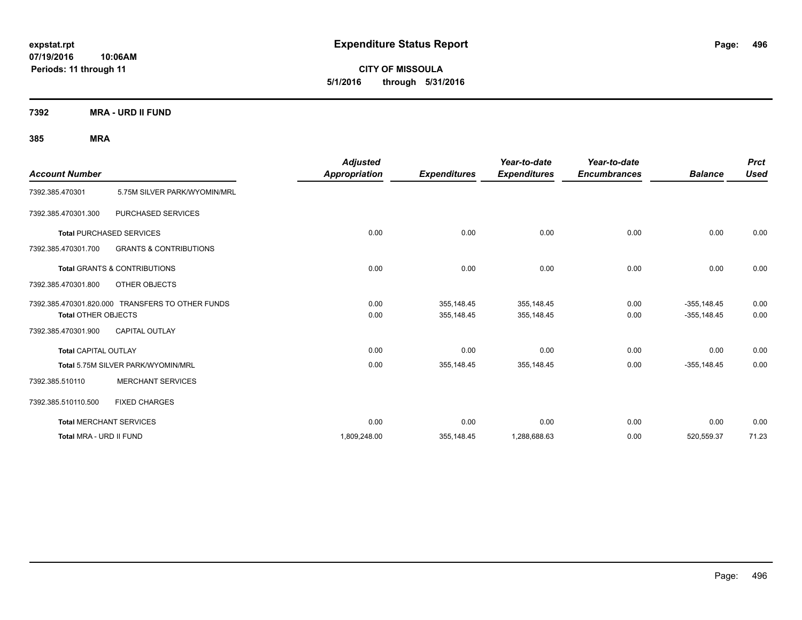**CITY OF MISSOULA 5/1/2016 through 5/31/2016**

**7392 MRA - URD II FUND**

| <b>Account Number</b>       |                                                  | <b>Adjusted</b><br>Appropriation | <b>Expenditures</b>      | Year-to-date<br><b>Expenditures</b> | Year-to-date<br><b>Encumbrances</b> | <b>Balance</b>                  | <b>Prct</b><br><b>Used</b> |
|-----------------------------|--------------------------------------------------|----------------------------------|--------------------------|-------------------------------------|-------------------------------------|---------------------------------|----------------------------|
| 7392.385.470301             | 5.75M SILVER PARK/WYOMIN/MRL                     |                                  |                          |                                     |                                     |                                 |                            |
| 7392.385.470301.300         | PURCHASED SERVICES                               |                                  |                          |                                     |                                     |                                 |                            |
|                             | <b>Total PURCHASED SERVICES</b>                  | 0.00                             | 0.00                     | 0.00                                | 0.00                                | 0.00                            | 0.00                       |
| 7392.385.470301.700         | <b>GRANTS &amp; CONTRIBUTIONS</b>                |                                  |                          |                                     |                                     |                                 |                            |
|                             | <b>Total GRANTS &amp; CONTRIBUTIONS</b>          | 0.00                             | 0.00                     | 0.00                                | 0.00                                | 0.00                            | 0.00                       |
| 7392.385.470301.800         | OTHER OBJECTS                                    |                                  |                          |                                     |                                     |                                 |                            |
| <b>Total OTHER OBJECTS</b>  | 7392.385.470301.820.000 TRANSFERS TO OTHER FUNDS | 0.00<br>0.00                     | 355,148.45<br>355,148.45 | 355,148.45<br>355,148.45            | 0.00<br>0.00                        | $-355, 148.45$<br>$-355,148.45$ | 0.00<br>0.00               |
| 7392.385.470301.900         | <b>CAPITAL OUTLAY</b>                            |                                  |                          |                                     |                                     |                                 |                            |
| <b>Total CAPITAL OUTLAY</b> |                                                  | 0.00                             | 0.00                     | 0.00                                | 0.00                                | 0.00                            | 0.00                       |
|                             | Total 5.75M SILVER PARK/WYOMIN/MRL               | 0.00                             | 355,148.45               | 355,148.45                          | 0.00                                | $-355,148.45$                   | 0.00                       |
| 7392.385.510110             | <b>MERCHANT SERVICES</b>                         |                                  |                          |                                     |                                     |                                 |                            |
| 7392.385.510110.500         | <b>FIXED CHARGES</b>                             |                                  |                          |                                     |                                     |                                 |                            |
|                             | <b>Total MERCHANT SERVICES</b>                   | 0.00                             | 0.00                     | 0.00                                | 0.00                                | 0.00                            | 0.00                       |
| Total MRA - URD II FUND     |                                                  | 1,809,248.00                     | 355,148.45               | 1,288,688.63                        | 0.00                                | 520,559.37                      | 71.23                      |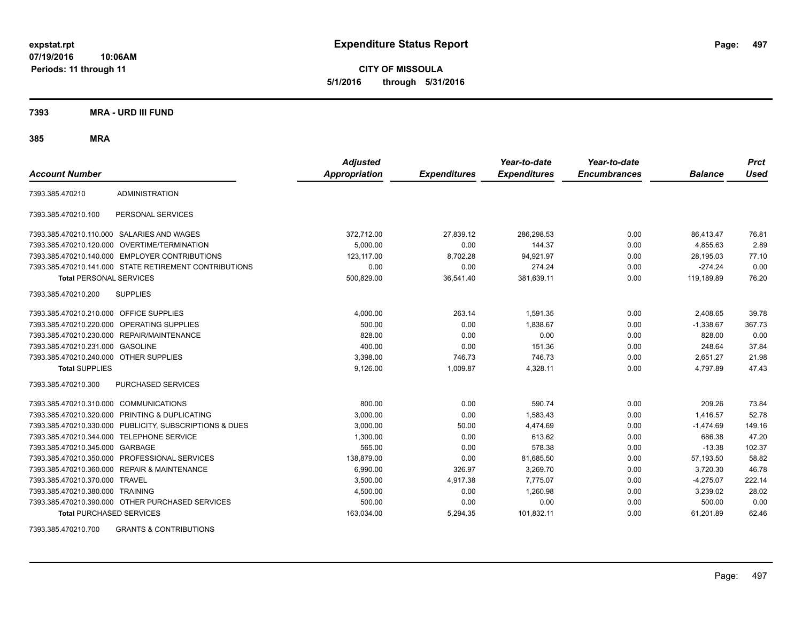**CITY OF MISSOULA 5/1/2016 through 5/31/2016**

**7393 MRA - URD III FUND**

**385 MRA**

| <b>Account Number</b>                   |                                                         | <b>Adjusted</b><br><b>Appropriation</b> | <b>Expenditures</b> | Year-to-date<br><b>Expenditures</b> | Year-to-date<br><b>Encumbrances</b> | <b>Balance</b> | <b>Prct</b><br><b>Used</b> |
|-----------------------------------------|---------------------------------------------------------|-----------------------------------------|---------------------|-------------------------------------|-------------------------------------|----------------|----------------------------|
|                                         |                                                         |                                         |                     |                                     |                                     |                |                            |
| 7393.385.470210                         | <b>ADMINISTRATION</b>                                   |                                         |                     |                                     |                                     |                |                            |
| 7393.385.470210.100                     | PERSONAL SERVICES                                       |                                         |                     |                                     |                                     |                |                            |
|                                         | 7393.385.470210.110.000 SALARIES AND WAGES              | 372,712.00                              | 27,839.12           | 286,298.53                          | 0.00                                | 86,413.47      | 76.81                      |
|                                         | 7393.385.470210.120.000 OVERTIME/TERMINATION            | 5,000.00                                | 0.00                | 144.37                              | 0.00                                | 4,855.63       | 2.89                       |
|                                         | 7393.385.470210.140.000 EMPLOYER CONTRIBUTIONS          | 123.117.00                              | 8,702.28            | 94,921.97                           | 0.00                                | 28,195.03      | 77.10                      |
|                                         | 7393.385.470210.141.000 STATE RETIREMENT CONTRIBUTIONS  | 0.00                                    | 0.00                | 274.24                              | 0.00                                | $-274.24$      | 0.00                       |
| <b>Total PERSONAL SERVICES</b>          |                                                         | 500,829.00                              | 36,541.40           | 381,639.11                          | 0.00                                | 119,189.89     | 76.20                      |
| 7393.385.470210.200                     | <b>SUPPLIES</b>                                         |                                         |                     |                                     |                                     |                |                            |
| 7393.385.470210.210.000 OFFICE SUPPLIES |                                                         | 4,000.00                                | 263.14              | 1,591.35                            | 0.00                                | 2,408.65       | 39.78                      |
|                                         | 7393.385.470210.220.000 OPERATING SUPPLIES              | 500.00                                  | 0.00                | 1.838.67                            | 0.00                                | $-1.338.67$    | 367.73                     |
| 7393.385.470210.230.000                 | REPAIR/MAINTENANCE                                      | 828.00                                  | 0.00                | 0.00                                | 0.00                                | 828.00         | 0.00                       |
| 7393.385.470210.231.000                 | <b>GASOLINE</b>                                         | 400.00                                  | 0.00                | 151.36                              | 0.00                                | 248.64         | 37.84                      |
| 7393.385.470210.240.000 OTHER SUPPLIES  |                                                         | 3,398.00                                | 746.73              | 746.73                              | 0.00                                | 2,651.27       | 21.98                      |
| <b>Total SUPPLIES</b>                   |                                                         | 9,126.00                                | 1,009.87            | 4,328.11                            | 0.00                                | 4,797.89       | 47.43                      |
| 7393.385.470210.300                     | <b>PURCHASED SERVICES</b>                               |                                         |                     |                                     |                                     |                |                            |
| 7393.385.470210.310.000 COMMUNICATIONS  |                                                         | 800.00                                  | 0.00                | 590.74                              | 0.00                                | 209.26         | 73.84                      |
|                                         | 7393.385.470210.320.000 PRINTING & DUPLICATING          | 3.000.00                                | 0.00                | 1.583.43                            | 0.00                                | 1.416.57       | 52.78                      |
|                                         | 7393.385.470210.330.000 PUBLICITY, SUBSCRIPTIONS & DUES | 3,000.00                                | 50.00               | 4.474.69                            | 0.00                                | $-1.474.69$    | 149.16                     |
| 7393.385.470210.344.000                 | <b>TELEPHONE SERVICE</b>                                | 1,300.00                                | 0.00                | 613.62                              | 0.00                                | 686.38         | 47.20                      |
| 7393.385.470210.345.000 GARBAGE         |                                                         | 565.00                                  | 0.00                | 578.38                              | 0.00                                | $-13.38$       | 102.37                     |
| 7393.385.470210.350.000                 | PROFESSIONAL SERVICES                                   | 138.879.00                              | 0.00                | 81,685.50                           | 0.00                                | 57,193.50      | 58.82                      |
|                                         | 7393.385.470210.360.000 REPAIR & MAINTENANCE            | 6,990.00                                | 326.97              | 3,269.70                            | 0.00                                | 3.720.30       | 46.78                      |
| 7393.385.470210.370.000                 | <b>TRAVEL</b>                                           | 3,500.00                                | 4,917.38            | 7.775.07                            | 0.00                                | $-4,275.07$    | 222.14                     |
| 7393.385.470210.380.000 TRAINING        |                                                         | 4,500.00                                | 0.00                | 1,260.98                            | 0.00                                | 3,239.02       | 28.02                      |
|                                         | 7393.385.470210.390.000 OTHER PURCHASED SERVICES        | 500.00                                  | 0.00                | 0.00                                | 0.00                                | 500.00         | 0.00                       |
| <b>Total PURCHASED SERVICES</b>         |                                                         | 163,034.00                              | 5,294.35            | 101,832.11                          | 0.00                                | 61,201.89      | 62.46                      |

7393.385.470210.700 GRANTS & CONTRIBUTIONS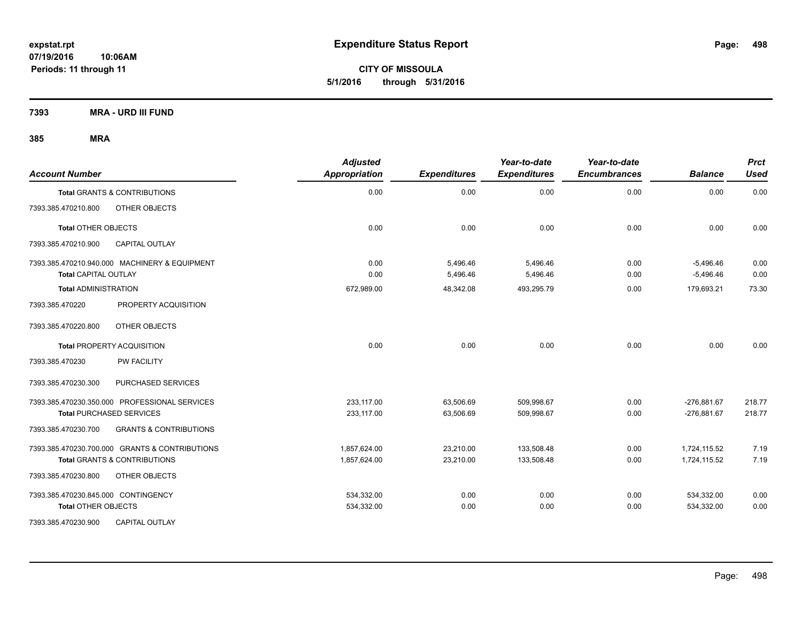**CITY OF MISSOULA 5/1/2016 through 5/31/2016**

**7393 MRA - URD III FUND**

| <b>Account Number</b>                                                        | <b>Adjusted</b><br><b>Appropriation</b> | <b>Expenditures</b>  | Year-to-date<br><b>Expenditures</b> | Year-to-date<br><b>Encumbrances</b> | <b>Balance</b>             | <b>Prct</b><br><b>Used</b> |
|------------------------------------------------------------------------------|-----------------------------------------|----------------------|-------------------------------------|-------------------------------------|----------------------------|----------------------------|
| <b>Total GRANTS &amp; CONTRIBUTIONS</b>                                      | 0.00                                    | 0.00                 | 0.00                                | 0.00                                | 0.00                       | 0.00                       |
| 7393.385.470210.800<br>OTHER OBJECTS                                         |                                         |                      |                                     |                                     |                            |                            |
| <b>Total OTHER OBJECTS</b>                                                   | 0.00                                    | 0.00                 | 0.00                                | 0.00                                | 0.00                       | 0.00                       |
| 7393.385.470210.900<br><b>CAPITAL OUTLAY</b>                                 |                                         |                      |                                     |                                     |                            |                            |
| 7393.385.470210.940.000 MACHINERY & EQUIPMENT<br><b>Total CAPITAL OUTLAY</b> | 0.00<br>0.00                            | 5,496.46<br>5,496.46 | 5,496.46<br>5,496.46                | 0.00<br>0.00                        | $-5,496.46$<br>$-5,496.46$ | 0.00<br>0.00               |
| <b>Total ADMINISTRATION</b>                                                  | 672,989.00                              | 48,342.08            | 493,295.79                          | 0.00                                | 179,693.21                 | 73.30                      |
| 7393.385.470220<br>PROPERTY ACQUISITION                                      |                                         |                      |                                     |                                     |                            |                            |
| 7393.385.470220.800<br>OTHER OBJECTS                                         |                                         |                      |                                     |                                     |                            |                            |
| <b>Total PROPERTY ACQUISITION</b>                                            | 0.00                                    | 0.00                 | 0.00                                | 0.00                                | 0.00                       | 0.00                       |
| <b>PW FACILITY</b><br>7393.385.470230                                        |                                         |                      |                                     |                                     |                            |                            |
| 7393.385.470230.300<br>PURCHASED SERVICES                                    |                                         |                      |                                     |                                     |                            |                            |
| 7393.385.470230.350.000 PROFESSIONAL SERVICES                                | 233.117.00                              | 63,506.69            | 509,998.67                          | 0.00                                | $-276,881.67$              | 218.77                     |
| <b>Total PURCHASED SERVICES</b>                                              | 233,117.00                              | 63,506.69            | 509,998.67                          | 0.00                                | $-276,881.67$              | 218.77                     |
| 7393.385.470230.700<br><b>GRANTS &amp; CONTRIBUTIONS</b>                     |                                         |                      |                                     |                                     |                            |                            |
| 7393.385.470230.700.000 GRANTS & CONTRIBUTIONS                               | 1,857,624.00                            | 23,210.00            | 133,508.48                          | 0.00                                | 1,724,115.52               | 7.19                       |
| <b>Total GRANTS &amp; CONTRIBUTIONS</b>                                      | 1,857,624.00                            | 23,210.00            | 133,508.48                          | 0.00                                | 1,724,115.52               | 7.19                       |
| 7393.385.470230.800<br>OTHER OBJECTS                                         |                                         |                      |                                     |                                     |                            |                            |
| 7393.385.470230.845.000 CONTINGENCY                                          | 534,332.00                              | 0.00                 | 0.00                                | 0.00                                | 534,332.00                 | 0.00                       |
| <b>Total OTHER OBJECTS</b>                                                   | 534,332.00                              | 0.00                 | 0.00                                | 0.00                                | 534,332.00                 | 0.00                       |
| 7393.385.470230.900<br><b>CAPITAL OUTLAY</b>                                 |                                         |                      |                                     |                                     |                            |                            |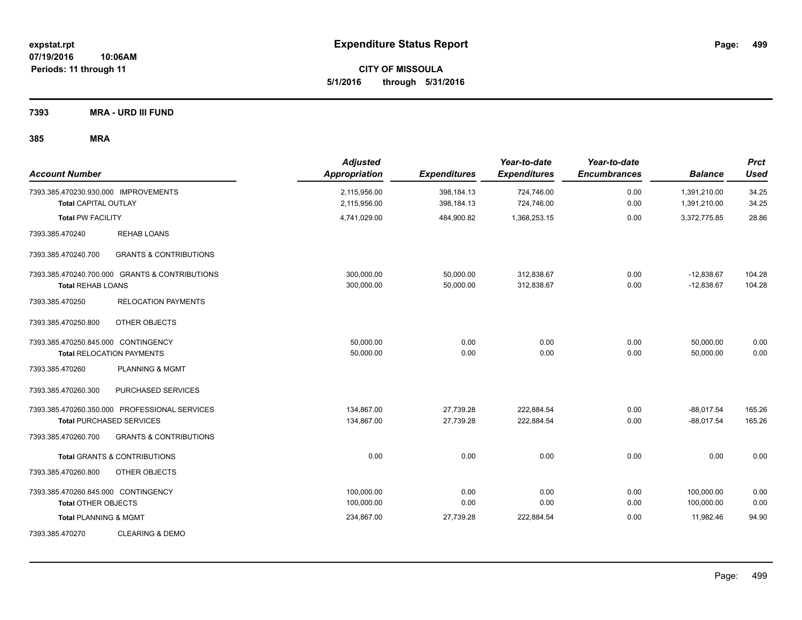**CITY OF MISSOULA 5/1/2016 through 5/31/2016**

**7393 MRA - URD III FUND**

| <b>Account Number</b>                                               |                                                                                  | <b>Adjusted</b><br><b>Appropriation</b> | <b>Expenditures</b>      | Year-to-date<br><b>Expenditures</b> | Year-to-date<br><b>Encumbrances</b> | <b>Balance</b>               | <b>Prct</b><br><b>Used</b> |
|---------------------------------------------------------------------|----------------------------------------------------------------------------------|-----------------------------------------|--------------------------|-------------------------------------|-------------------------------------|------------------------------|----------------------------|
| 7393.385.470230.930.000 IMPROVEMENTS<br><b>Total CAPITAL OUTLAY</b> |                                                                                  | 2,115,956.00<br>2,115,956.00            | 398,184.13<br>398,184.13 | 724,746.00<br>724,746.00            | 0.00<br>0.00                        | 1,391,210.00<br>1,391,210.00 | 34.25<br>34.25             |
| <b>Total PW FACILITY</b>                                            |                                                                                  | 4,741,029.00                            | 484,900.82               | 1,368,253.15                        | 0.00                                | 3,372,775.85                 | 28.86                      |
| 7393.385.470240                                                     | <b>REHAB LOANS</b>                                                               |                                         |                          |                                     |                                     |                              |                            |
| 7393.385.470240.700                                                 | <b>GRANTS &amp; CONTRIBUTIONS</b>                                                |                                         |                          |                                     |                                     |                              |                            |
| <b>Total REHAB LOANS</b>                                            | 7393.385.470240.700.000 GRANTS & CONTRIBUTIONS                                   | 300,000.00<br>300,000.00                | 50,000.00<br>50,000.00   | 312,838.67<br>312,838.67            | 0.00<br>0.00                        | $-12,838.67$<br>$-12,838.67$ | 104.28<br>104.28           |
| 7393.385.470250                                                     | <b>RELOCATION PAYMENTS</b>                                                       |                                         |                          |                                     |                                     |                              |                            |
| 7393.385.470250.800                                                 | OTHER OBJECTS                                                                    |                                         |                          |                                     |                                     |                              |                            |
| 7393.385.470250.845.000 CONTINGENCY                                 | <b>Total RELOCATION PAYMENTS</b>                                                 | 50,000.00<br>50,000.00                  | 0.00<br>0.00             | 0.00<br>0.00                        | 0.00<br>0.00                        | 50,000.00<br>50,000.00       | 0.00<br>0.00               |
| 7393.385.470260                                                     | PLANNING & MGMT                                                                  |                                         |                          |                                     |                                     |                              |                            |
| 7393.385.470260.300                                                 | PURCHASED SERVICES                                                               |                                         |                          |                                     |                                     |                              |                            |
|                                                                     | 7393.385.470260.350.000 PROFESSIONAL SERVICES<br><b>Total PURCHASED SERVICES</b> | 134,867.00<br>134,867.00                | 27,739.28<br>27,739.28   | 222,884.54<br>222,884.54            | 0.00<br>0.00                        | $-88,017.54$<br>$-88,017.54$ | 165.26<br>165.26           |
| 7393.385.470260.700                                                 | <b>GRANTS &amp; CONTRIBUTIONS</b>                                                |                                         |                          |                                     |                                     |                              |                            |
|                                                                     | <b>Total GRANTS &amp; CONTRIBUTIONS</b>                                          | 0.00                                    | 0.00                     | 0.00                                | 0.00                                | 0.00                         | 0.00                       |
| 7393.385.470260.800                                                 | OTHER OBJECTS                                                                    |                                         |                          |                                     |                                     |                              |                            |
| 7393.385.470260.845.000 CONTINGENCY<br><b>Total OTHER OBJECTS</b>   |                                                                                  | 100,000.00<br>100,000.00                | 0.00<br>0.00             | 0.00<br>0.00                        | 0.00<br>0.00                        | 100,000.00<br>100,000.00     | 0.00<br>0.00               |
| <b>Total PLANNING &amp; MGMT</b>                                    |                                                                                  | 234,867.00                              | 27,739.28                | 222,884.54                          | 0.00                                | 11,982.46                    | 94.90                      |
| 7393.385.470270                                                     | <b>CLEARING &amp; DEMO</b>                                                       |                                         |                          |                                     |                                     |                              |                            |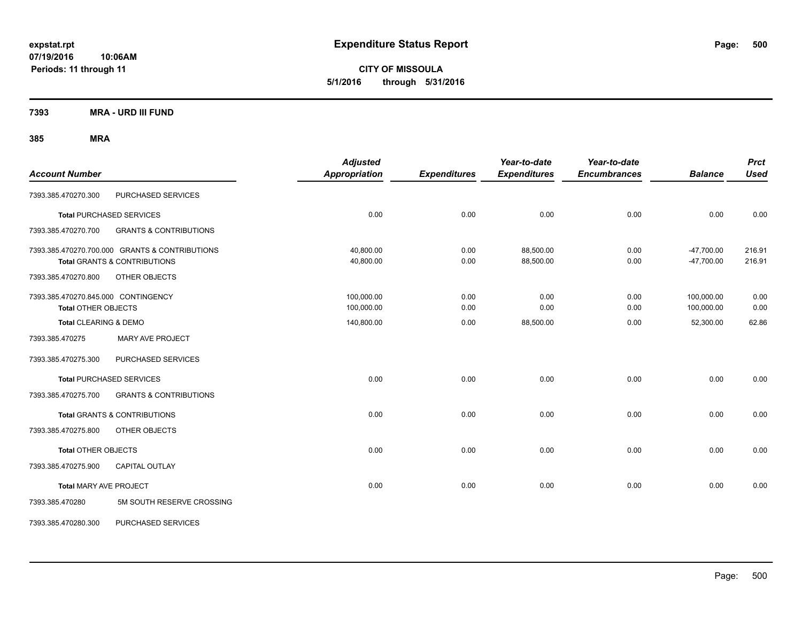**CITY OF MISSOULA 5/1/2016 through 5/31/2016**

**7393 MRA - URD III FUND**

| <b>Account Number</b>                                             |                                                                                           | <b>Adjusted</b><br><b>Appropriation</b> | <b>Expenditures</b> | Year-to-date<br><b>Expenditures</b> | Year-to-date<br><b>Encumbrances</b> | <b>Balance</b>               | <b>Prct</b><br><b>Used</b> |
|-------------------------------------------------------------------|-------------------------------------------------------------------------------------------|-----------------------------------------|---------------------|-------------------------------------|-------------------------------------|------------------------------|----------------------------|
| 7393.385.470270.300                                               | PURCHASED SERVICES                                                                        |                                         |                     |                                     |                                     |                              |                            |
|                                                                   | <b>Total PURCHASED SERVICES</b>                                                           | 0.00                                    | 0.00                | 0.00                                | 0.00                                | 0.00                         | 0.00                       |
| 7393.385.470270.700                                               | <b>GRANTS &amp; CONTRIBUTIONS</b>                                                         |                                         |                     |                                     |                                     |                              |                            |
|                                                                   | 7393.385.470270.700.000 GRANTS & CONTRIBUTIONS<br><b>Total GRANTS &amp; CONTRIBUTIONS</b> | 40,800.00<br>40,800.00                  | 0.00<br>0.00        | 88,500.00<br>88,500.00              | 0.00<br>0.00                        | $-47,700.00$<br>$-47,700.00$ | 216.91<br>216.91           |
| 7393.385.470270.800                                               | OTHER OBJECTS                                                                             |                                         |                     |                                     |                                     |                              |                            |
| 7393.385.470270.845.000 CONTINGENCY<br><b>Total OTHER OBJECTS</b> |                                                                                           | 100,000.00<br>100,000.00                | 0.00<br>0.00        | 0.00<br>0.00                        | 0.00<br>0.00                        | 100,000.00<br>100,000.00     | 0.00<br>0.00               |
| <b>Total CLEARING &amp; DEMO</b>                                  |                                                                                           | 140,800.00                              | 0.00                | 88,500.00                           | 0.00                                | 52,300.00                    | 62.86                      |
| 7393.385.470275                                                   | <b>MARY AVE PROJECT</b>                                                                   |                                         |                     |                                     |                                     |                              |                            |
| 7393.385.470275.300                                               | PURCHASED SERVICES                                                                        |                                         |                     |                                     |                                     |                              |                            |
|                                                                   | <b>Total PURCHASED SERVICES</b>                                                           | 0.00                                    | 0.00                | 0.00                                | 0.00                                | 0.00                         | 0.00                       |
| 7393.385.470275.700                                               | <b>GRANTS &amp; CONTRIBUTIONS</b>                                                         |                                         |                     |                                     |                                     |                              |                            |
|                                                                   | <b>Total GRANTS &amp; CONTRIBUTIONS</b>                                                   | 0.00                                    | 0.00                | 0.00                                | 0.00                                | 0.00                         | 0.00                       |
| 7393.385.470275.800                                               | OTHER OBJECTS                                                                             |                                         |                     |                                     |                                     |                              |                            |
| <b>Total OTHER OBJECTS</b>                                        |                                                                                           | 0.00                                    | 0.00                | 0.00                                | 0.00                                | 0.00                         | 0.00                       |
| 7393.385.470275.900                                               | <b>CAPITAL OUTLAY</b>                                                                     |                                         |                     |                                     |                                     |                              |                            |
| <b>Total MARY AVE PROJECT</b>                                     |                                                                                           | 0.00                                    | 0.00                | 0.00                                | 0.00                                | 0.00                         | 0.00                       |
| 7393.385.470280                                                   | 5M SOUTH RESERVE CROSSING                                                                 |                                         |                     |                                     |                                     |                              |                            |
| 7393.385.470280.300                                               | PURCHASED SERVICES                                                                        |                                         |                     |                                     |                                     |                              |                            |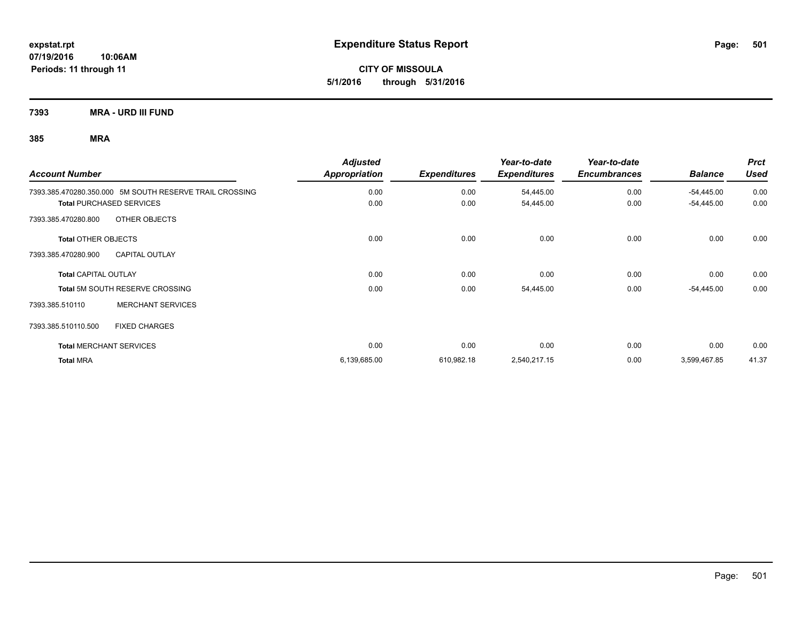**CITY OF MISSOULA 5/1/2016 through 5/31/2016**

**7393 MRA - URD III FUND**

| <b>Account Number</b>                                   | <b>Adjusted</b><br>Appropriation | <b>Expenditures</b> | Year-to-date<br><b>Expenditures</b> | Year-to-date<br><b>Encumbrances</b> | <b>Balance</b> | <b>Prct</b><br><b>Used</b> |
|---------------------------------------------------------|----------------------------------|---------------------|-------------------------------------|-------------------------------------|----------------|----------------------------|
| 7393.385.470280.350.000 5M SOUTH RESERVE TRAIL CROSSING | 0.00                             | 0.00                | 54,445.00                           | 0.00                                | $-54,445.00$   | 0.00                       |
| <b>Total PURCHASED SERVICES</b>                         | 0.00                             | 0.00                | 54,445.00                           | 0.00                                | $-54,445.00$   | 0.00                       |
| OTHER OBJECTS<br>7393.385.470280.800                    |                                  |                     |                                     |                                     |                |                            |
| <b>Total OTHER OBJECTS</b>                              | 0.00                             | 0.00                | 0.00                                | 0.00                                | 0.00           | 0.00                       |
| <b>CAPITAL OUTLAY</b><br>7393.385.470280.900            |                                  |                     |                                     |                                     |                |                            |
| <b>Total CAPITAL OUTLAY</b>                             | 0.00                             | 0.00                | 0.00                                | 0.00                                | 0.00           | 0.00                       |
| <b>Total 5M SOUTH RESERVE CROSSING</b>                  | 0.00                             | 0.00                | 54,445.00                           | 0.00                                | $-54,445.00$   | 0.00                       |
| <b>MERCHANT SERVICES</b><br>7393.385.510110             |                                  |                     |                                     |                                     |                |                            |
| 7393.385.510110.500<br><b>FIXED CHARGES</b>             |                                  |                     |                                     |                                     |                |                            |
| <b>Total MERCHANT SERVICES</b>                          | 0.00                             | 0.00                | 0.00                                | 0.00                                | 0.00           | 0.00                       |
| <b>Total MRA</b>                                        | 6,139,685.00                     | 610,982.18          | 2,540,217.15                        | 0.00                                | 3,599,467.85   | 41.37                      |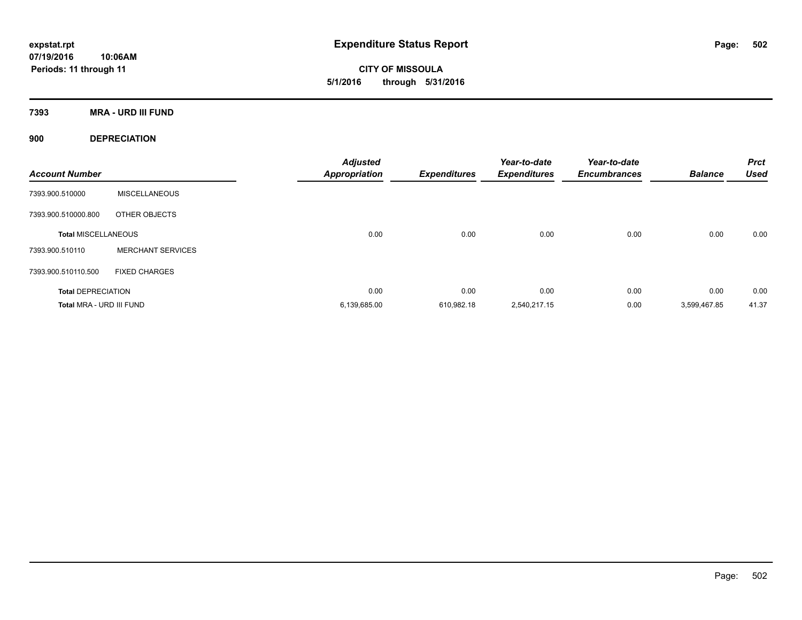**CITY OF MISSOULA 5/1/2016 through 5/31/2016**

**7393 MRA - URD III FUND**

**900 DEPRECIATION**

| <b>Account Number</b>      |                          | <b>Adjusted</b><br><b>Appropriation</b> | <b>Expenditures</b> | Year-to-date<br><b>Expenditures</b> | Year-to-date<br><b>Encumbrances</b> | <b>Balance</b> | <b>Prct</b><br><b>Used</b> |
|----------------------------|--------------------------|-----------------------------------------|---------------------|-------------------------------------|-------------------------------------|----------------|----------------------------|
| 7393.900.510000            | <b>MISCELLANEOUS</b>     |                                         |                     |                                     |                                     |                |                            |
| 7393.900.510000.800        | OTHER OBJECTS            |                                         |                     |                                     |                                     |                |                            |
| <b>Total MISCELLANEOUS</b> |                          | 0.00                                    | 0.00                | 0.00                                | 0.00                                | 0.00           | 0.00                       |
| 7393.900.510110            | <b>MERCHANT SERVICES</b> |                                         |                     |                                     |                                     |                |                            |
| 7393.900.510110.500        | <b>FIXED CHARGES</b>     |                                         |                     |                                     |                                     |                |                            |
| <b>Total DEPRECIATION</b>  |                          | 0.00                                    | 0.00                | 0.00                                | 0.00                                | 0.00           | 0.00                       |
| Total MRA - URD III FUND   |                          | 6,139,685.00                            | 610.982.18          | 2.540.217.15                        | 0.00                                | 3.599.467.85   | 41.37                      |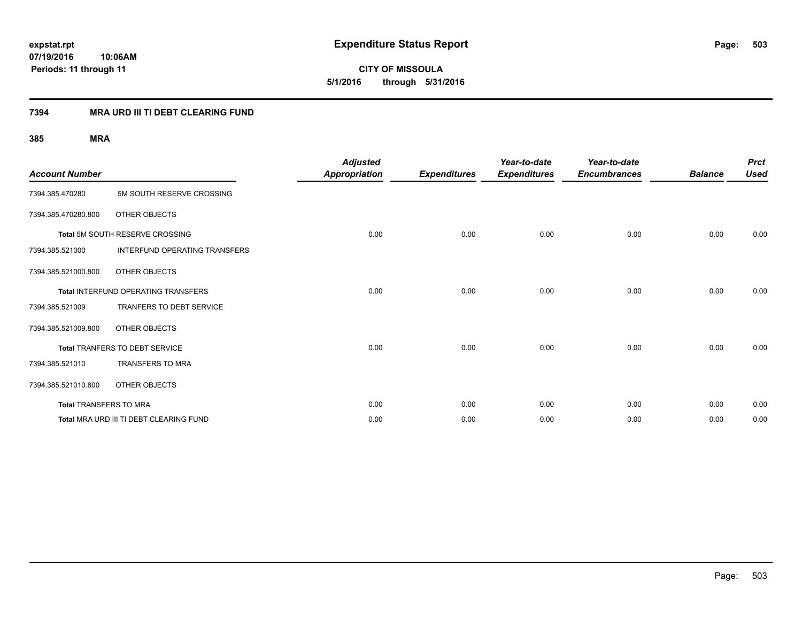**CITY OF MISSOULA 5/1/2016 through 5/31/2016**

### **7394 MRA URD III TI DEBT CLEARING FUND**

| <b>Account Number</b>  |                                            | <b>Adjusted</b><br><b>Appropriation</b> | <b>Expenditures</b> | Year-to-date<br><b>Expenditures</b> | Year-to-date<br><b>Encumbrances</b> | <b>Balance</b> | <b>Prct</b><br><b>Used</b> |
|------------------------|--------------------------------------------|-----------------------------------------|---------------------|-------------------------------------|-------------------------------------|----------------|----------------------------|
| 7394.385.470280        | 5M SOUTH RESERVE CROSSING                  |                                         |                     |                                     |                                     |                |                            |
| 7394.385.470280.800    | OTHER OBJECTS                              |                                         |                     |                                     |                                     |                |                            |
|                        | Total 5M SOUTH RESERVE CROSSING            | 0.00                                    | 0.00                | 0.00                                | 0.00                                | 0.00           | 0.00                       |
| 7394.385.521000        | INTERFUND OPERATING TRANSFERS              |                                         |                     |                                     |                                     |                |                            |
| 7394.385.521000.800    | OTHER OBJECTS                              |                                         |                     |                                     |                                     |                |                            |
|                        | <b>Total INTERFUND OPERATING TRANSFERS</b> | 0.00                                    | 0.00                | 0.00                                | 0.00                                | 0.00           | 0.00                       |
| 7394.385.521009        | TRANFERS TO DEBT SERVICE                   |                                         |                     |                                     |                                     |                |                            |
| 7394.385.521009.800    | OTHER OBJECTS                              |                                         |                     |                                     |                                     |                |                            |
|                        | <b>Total TRANFERS TO DEBT SERVICE</b>      | 0.00                                    | 0.00                | 0.00                                | 0.00                                | 0.00           | 0.00                       |
| 7394.385.521010        | <b>TRANSFERS TO MRA</b>                    |                                         |                     |                                     |                                     |                |                            |
| 7394.385.521010.800    | OTHER OBJECTS                              |                                         |                     |                                     |                                     |                |                            |
| Total TRANSFERS TO MRA |                                            | 0.00                                    | 0.00                | 0.00                                | 0.00                                | 0.00           | 0.00                       |
|                        | Total MRA URD III TI DEBT CLEARING FUND    | 0.00                                    | 0.00                | 0.00                                | 0.00                                | 0.00           | 0.00                       |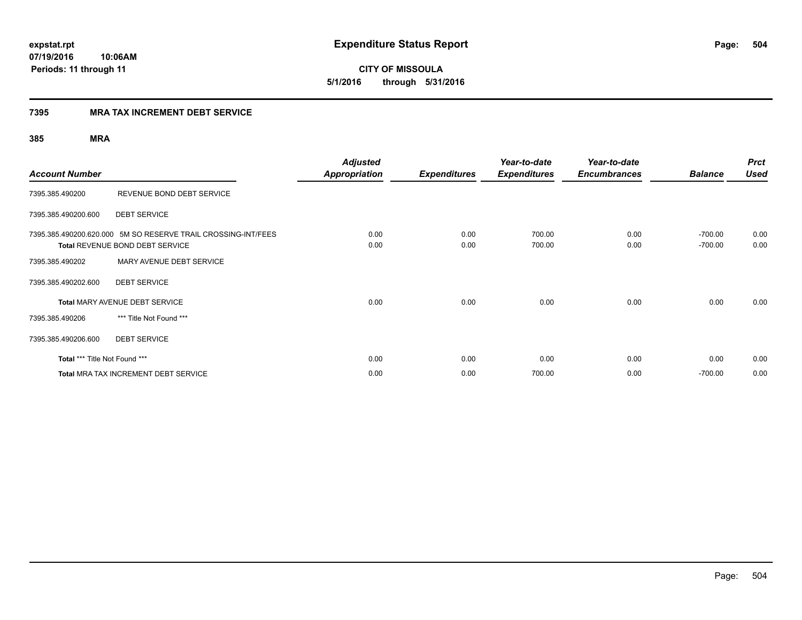**CITY OF MISSOULA 5/1/2016 through 5/31/2016**

### **7395 MRA TAX INCREMENT DEBT SERVICE**

| <b>Account Number</b>         |                                                                                                         | <b>Adjusted</b><br>Appropriation | <b>Expenditures</b> | Year-to-date<br><b>Expenditures</b> | Year-to-date<br><b>Encumbrances</b> | <b>Balance</b>         | <b>Prct</b><br><b>Used</b> |
|-------------------------------|---------------------------------------------------------------------------------------------------------|----------------------------------|---------------------|-------------------------------------|-------------------------------------|------------------------|----------------------------|
| 7395.385.490200               | REVENUE BOND DEBT SERVICE                                                                               |                                  |                     |                                     |                                     |                        |                            |
| 7395.385.490200.600           | <b>DEBT SERVICE</b>                                                                                     |                                  |                     |                                     |                                     |                        |                            |
|                               | 7395.385.490200.620.000 5M SO RESERVE TRAIL CROSSING-INT/FEES<br><b>Total REVENUE BOND DEBT SERVICE</b> | 0.00<br>0.00                     | 0.00<br>0.00        | 700.00<br>700.00                    | 0.00<br>0.00                        | $-700.00$<br>$-700.00$ | 0.00<br>0.00               |
| 7395.385.490202               | MARY AVENUE DEBT SERVICE                                                                                |                                  |                     |                                     |                                     |                        |                            |
| 7395.385.490202.600           | <b>DEBT SERVICE</b>                                                                                     |                                  |                     |                                     |                                     |                        |                            |
|                               | <b>Total MARY AVENUE DEBT SERVICE</b>                                                                   | 0.00                             | 0.00                | 0.00                                | 0.00                                | 0.00                   | 0.00                       |
| 7395.385.490206               | *** Title Not Found ***                                                                                 |                                  |                     |                                     |                                     |                        |                            |
| 7395.385.490206.600           | <b>DEBT SERVICE</b>                                                                                     |                                  |                     |                                     |                                     |                        |                            |
| Total *** Title Not Found *** |                                                                                                         | 0.00                             | 0.00                | 0.00                                | 0.00                                | 0.00                   | 0.00                       |
|                               | <b>Total MRA TAX INCREMENT DEBT SERVICE</b>                                                             | 0.00                             | 0.00                | 700.00                              | 0.00                                | $-700.00$              | 0.00                       |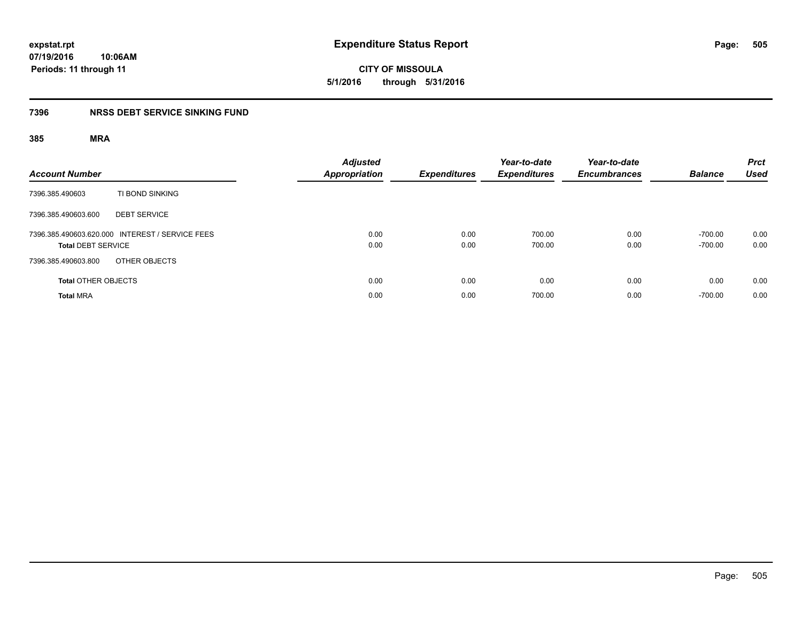**expstat.rpt Expenditure Status Report Page:**

**07/19/2016 10:06AM Periods: 11 through 11**

# **7396 NRSS DEBT SERVICE SINKING FUND**

| <b>Account Number</b>                                                        | <b>Adjusted</b><br><b>Appropriation</b> | <b>Expenditures</b> | Year-to-date<br><b>Expenditures</b> | Year-to-date<br><b>Encumbrances</b> | <b>Balance</b>         | <b>Prct</b><br><b>Used</b> |
|------------------------------------------------------------------------------|-----------------------------------------|---------------------|-------------------------------------|-------------------------------------|------------------------|----------------------------|
| TI BOND SINKING<br>7396.385.490603                                           |                                         |                     |                                     |                                     |                        |                            |
| 7396.385.490603.600<br><b>DEBT SERVICE</b>                                   |                                         |                     |                                     |                                     |                        |                            |
| 7396.385.490603.620.000 INTEREST / SERVICE FEES<br><b>Total DEBT SERVICE</b> | 0.00<br>0.00                            | 0.00<br>0.00        | 700.00<br>700.00                    | 0.00<br>0.00                        | $-700.00$<br>$-700.00$ | 0.00<br>0.00               |
| OTHER OBJECTS<br>7396.385.490603.800                                         |                                         |                     |                                     |                                     |                        |                            |
| <b>Total OTHER OBJECTS</b>                                                   | 0.00                                    | 0.00                | 0.00                                | 0.00                                | 0.00                   | 0.00                       |
| <b>Total MRA</b>                                                             | 0.00                                    | 0.00                | 700.00                              | 0.00                                | $-700.00$              | 0.00                       |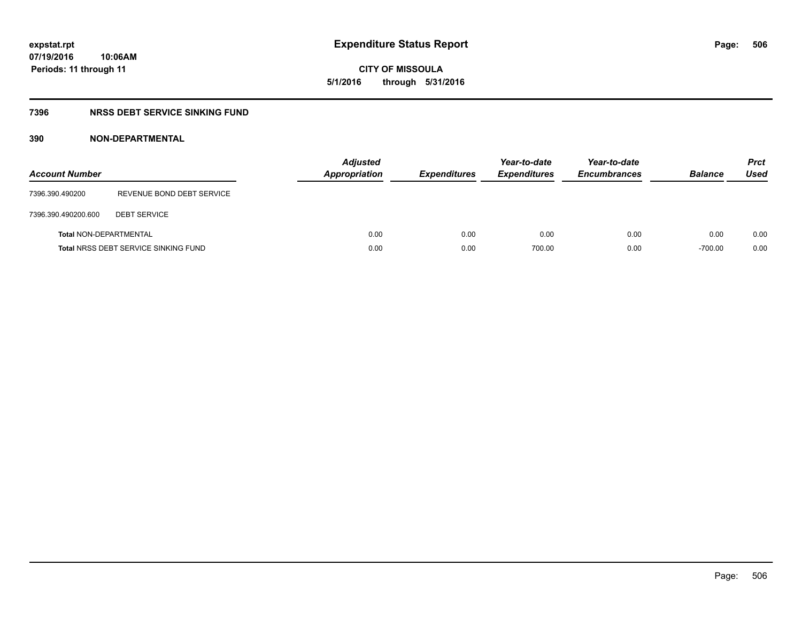**CITY OF MISSOULA 5/1/2016 through 5/31/2016**

# **7396 NRSS DEBT SERVICE SINKING FUND**

# **390 NON-DEPARTMENTAL**

| <b>Account Number</b>         |                                             | <b>Adjusted</b><br><b>Appropriation</b> | <b>Expenditures</b> | Year-to-date<br><b>Expenditures</b> | Year-to-date<br><b>Encumbrances</b> | <b>Balance</b> | <b>Prct</b><br>Used |
|-------------------------------|---------------------------------------------|-----------------------------------------|---------------------|-------------------------------------|-------------------------------------|----------------|---------------------|
| 7396.390.490200               | REVENUE BOND DEBT SERVICE                   |                                         |                     |                                     |                                     |                |                     |
| 7396.390.490200.600           | <b>DEBT SERVICE</b>                         |                                         |                     |                                     |                                     |                |                     |
| <b>Total NON-DEPARTMENTAL</b> |                                             | 0.00                                    | 0.00                | 0.00                                | 0.00                                | 0.00           | 0.00                |
|                               | <b>Total NRSS DEBT SERVICE SINKING FUND</b> | 0.00                                    | 0.00                | 700.00                              | 0.00                                | $-700.00$      | 0.00                |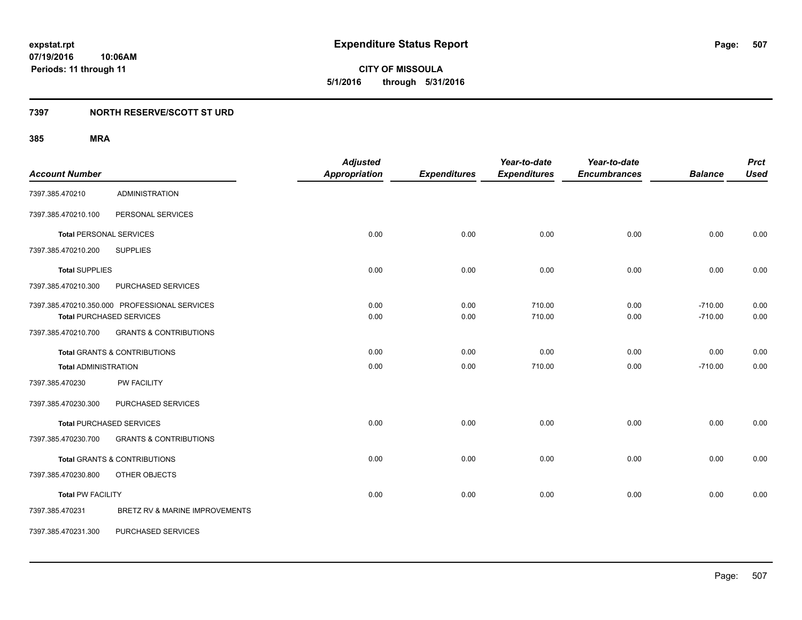**07/19/2016 10:06AM Periods: 11 through 11**

**CITY OF MISSOULA 5/1/2016 through 5/31/2016**

### **7397 NORTH RESERVE/SCOTT ST URD**

| <b>Account Number</b>       |                                                                                  | <b>Adjusted</b><br><b>Appropriation</b> | <b>Expenditures</b> | Year-to-date<br><b>Expenditures</b> | Year-to-date<br><b>Encumbrances</b> | <b>Balance</b>         | <b>Prct</b><br><b>Used</b> |
|-----------------------------|----------------------------------------------------------------------------------|-----------------------------------------|---------------------|-------------------------------------|-------------------------------------|------------------------|----------------------------|
| 7397.385.470210             | <b>ADMINISTRATION</b>                                                            |                                         |                     |                                     |                                     |                        |                            |
| 7397.385.470210.100         | PERSONAL SERVICES                                                                |                                         |                     |                                     |                                     |                        |                            |
|                             | <b>Total PERSONAL SERVICES</b>                                                   | 0.00                                    | 0.00                | 0.00                                | 0.00                                | 0.00                   | 0.00                       |
| 7397.385.470210.200         | <b>SUPPLIES</b>                                                                  |                                         |                     |                                     |                                     |                        |                            |
| <b>Total SUPPLIES</b>       |                                                                                  | 0.00                                    | 0.00                | 0.00                                | 0.00                                | 0.00                   | 0.00                       |
| 7397.385.470210.300         | PURCHASED SERVICES                                                               |                                         |                     |                                     |                                     |                        |                            |
|                             | 7397.385.470210.350.000 PROFESSIONAL SERVICES<br><b>Total PURCHASED SERVICES</b> | 0.00<br>0.00                            | 0.00<br>0.00        | 710.00<br>710.00                    | 0.00<br>0.00                        | $-710.00$<br>$-710.00$ | 0.00<br>0.00               |
| 7397.385.470210.700         | <b>GRANTS &amp; CONTRIBUTIONS</b>                                                |                                         |                     |                                     |                                     |                        |                            |
|                             | <b>Total GRANTS &amp; CONTRIBUTIONS</b>                                          | 0.00                                    | 0.00                | 0.00                                | 0.00                                | 0.00                   | 0.00                       |
| <b>Total ADMINISTRATION</b> |                                                                                  | 0.00                                    | 0.00                | 710.00                              | 0.00                                | $-710.00$              | 0.00                       |
| 7397.385.470230             | PW FACILITY                                                                      |                                         |                     |                                     |                                     |                        |                            |
| 7397.385.470230.300         | PURCHASED SERVICES                                                               |                                         |                     |                                     |                                     |                        |                            |
|                             | <b>Total PURCHASED SERVICES</b>                                                  | 0.00                                    | 0.00                | 0.00                                | 0.00                                | 0.00                   | 0.00                       |
| 7397.385.470230.700         | <b>GRANTS &amp; CONTRIBUTIONS</b>                                                |                                         |                     |                                     |                                     |                        |                            |
|                             | <b>Total GRANTS &amp; CONTRIBUTIONS</b>                                          | 0.00                                    | 0.00                | 0.00                                | 0.00                                | 0.00                   | 0.00                       |
| 7397.385.470230.800         | OTHER OBJECTS                                                                    |                                         |                     |                                     |                                     |                        |                            |
| <b>Total PW FACILITY</b>    |                                                                                  | 0.00                                    | 0.00                | 0.00                                | 0.00                                | 0.00                   | 0.00                       |
| 7397.385.470231             | BRETZ RV & MARINE IMPROVEMENTS                                                   |                                         |                     |                                     |                                     |                        |                            |
| 7397.385.470231.300         | PURCHASED SERVICES                                                               |                                         |                     |                                     |                                     |                        |                            |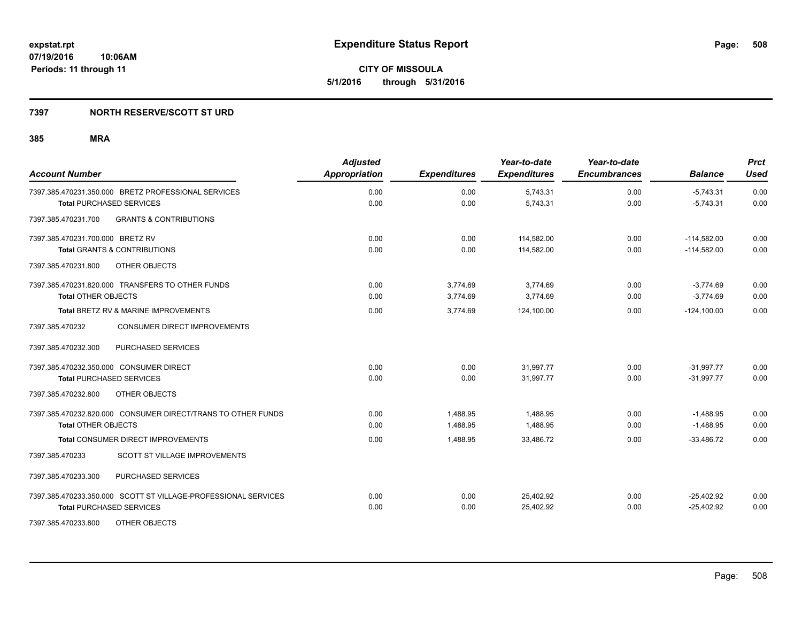**07/19/2016 10:06AM Periods: 11 through 11**

**CITY OF MISSOULA 5/1/2016 through 5/31/2016**

### **7397 NORTH RESERVE/SCOTT ST URD**

| <b>Account Number</b>                                          | <b>Adjusted</b><br>Appropriation | <b>Expenditures</b> | Year-to-date<br><b>Expenditures</b> | Year-to-date<br><b>Encumbrances</b> | <b>Balance</b> | <b>Prct</b><br><b>Used</b> |
|----------------------------------------------------------------|----------------------------------|---------------------|-------------------------------------|-------------------------------------|----------------|----------------------------|
| 7397.385.470231.350.000 BRETZ PROFESSIONAL SERVICES            | 0.00                             | 0.00                | 5,743.31                            | 0.00                                | $-5,743.31$    | 0.00                       |
| <b>Total PURCHASED SERVICES</b>                                | 0.00                             | 0.00                | 5,743.31                            | 0.00                                | $-5.743.31$    | 0.00                       |
| 7397.385.470231.700<br><b>GRANTS &amp; CONTRIBUTIONS</b>       |                                  |                     |                                     |                                     |                |                            |
| 7397.385.470231.700.000 BRETZ RV                               | 0.00                             | 0.00                | 114,582.00                          | 0.00                                | $-114,582.00$  | 0.00                       |
| <b>Total GRANTS &amp; CONTRIBUTIONS</b>                        | 0.00                             | 0.00                | 114,582.00                          | 0.00                                | $-114,582.00$  | 0.00                       |
| OTHER OBJECTS<br>7397.385.470231.800                           |                                  |                     |                                     |                                     |                |                            |
| 7397.385.470231.820.000 TRANSFERS TO OTHER FUNDS               | 0.00                             | 3,774.69            | 3,774.69                            | 0.00                                | $-3,774.69$    | 0.00                       |
| <b>Total OTHER OBJECTS</b>                                     | 0.00                             | 3,774.69            | 3,774.69                            | 0.00                                | $-3.774.69$    | 0.00                       |
| Total BRETZ RV & MARINE IMPROVEMENTS                           | 0.00                             | 3,774.69            | 124,100.00                          | 0.00                                | $-124,100.00$  | 0.00                       |
| 7397.385.470232<br><b>CONSUMER DIRECT IMPROVEMENTS</b>         |                                  |                     |                                     |                                     |                |                            |
| PURCHASED SERVICES<br>7397.385.470232.300                      |                                  |                     |                                     |                                     |                |                            |
| 7397.385.470232.350.000 CONSUMER DIRECT                        | 0.00                             | 0.00                | 31,997.77                           | 0.00                                | $-31.997.77$   | 0.00                       |
| <b>Total PURCHASED SERVICES</b>                                | 0.00                             | 0.00                | 31,997.77                           | 0.00                                | $-31,997.77$   | 0.00                       |
| 7397.385.470232.800<br>OTHER OBJECTS                           |                                  |                     |                                     |                                     |                |                            |
| 7397.385.470232.820.000 CONSUMER DIRECT/TRANS TO OTHER FUNDS   | 0.00                             | 1,488.95            | 1,488.95                            | 0.00                                | $-1,488.95$    | 0.00                       |
| <b>Total OTHER OBJECTS</b>                                     | 0.00                             | 1.488.95            | 1,488.95                            | 0.00                                | $-1,488.95$    | 0.00                       |
| Total CONSUMER DIRECT IMPROVEMENTS                             | 0.00                             | 1,488.95            | 33,486.72                           | 0.00                                | $-33,486.72$   | 0.00                       |
| 7397.385.470233<br><b>SCOTT ST VILLAGE IMPROVEMENTS</b>        |                                  |                     |                                     |                                     |                |                            |
| PURCHASED SERVICES<br>7397.385.470233.300                      |                                  |                     |                                     |                                     |                |                            |
| 7397.385.470233.350.000 SCOTT ST VILLAGE-PROFESSIONAL SERVICES | 0.00                             | 0.00                | 25,402.92                           | 0.00                                | $-25,402.92$   | 0.00                       |
| <b>Total PURCHASED SERVICES</b>                                | 0.00                             | 0.00                | 25,402.92                           | 0.00                                | $-25,402.92$   | 0.00                       |
| 7397.385.470233.800<br>OTHER OBJECTS                           |                                  |                     |                                     |                                     |                |                            |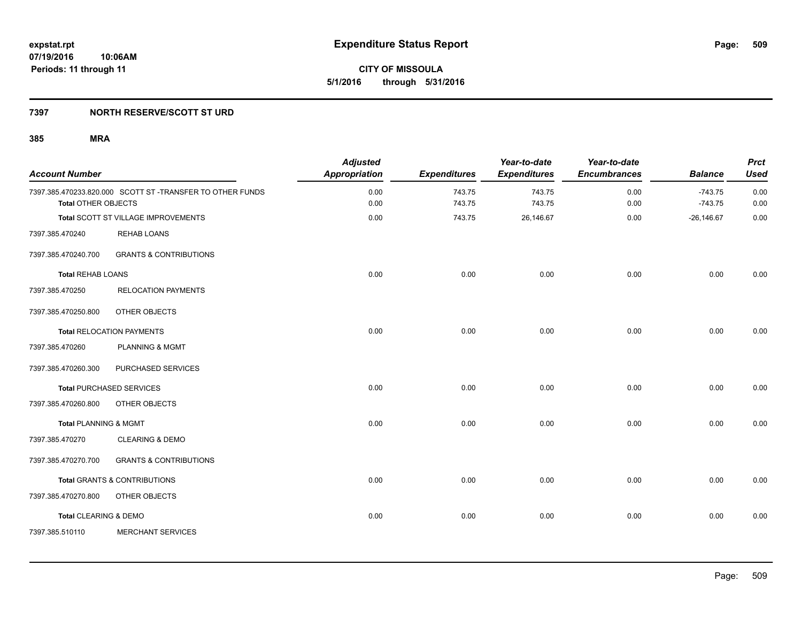**07/19/2016 10:06AM Periods: 11 through 11**

**CITY OF MISSOULA 5/1/2016 through 5/31/2016**

### **7397 NORTH RESERVE/SCOTT ST URD**

| <b>Account Number</b>            |                                                          | <b>Adjusted</b><br>Appropriation | <b>Expenditures</b> | Year-to-date<br><b>Expenditures</b> | Year-to-date<br><b>Encumbrances</b> | <b>Balance</b>         | <b>Prct</b><br><b>Used</b> |
|----------------------------------|----------------------------------------------------------|----------------------------------|---------------------|-------------------------------------|-------------------------------------|------------------------|----------------------------|
| <b>Total OTHER OBJECTS</b>       | 7397.385.470233.820.000 SCOTT ST-TRANSFER TO OTHER FUNDS | 0.00<br>0.00                     | 743.75<br>743.75    | 743.75<br>743.75                    | 0.00<br>0.00                        | $-743.75$<br>$-743.75$ | 0.00<br>0.00               |
|                                  | Total SCOTT ST VILLAGE IMPROVEMENTS                      | 0.00                             | 743.75              | 26,146.67                           | 0.00                                | $-26,146.67$           | 0.00                       |
| 7397.385.470240                  | <b>REHAB LOANS</b>                                       |                                  |                     |                                     |                                     |                        |                            |
| 7397.385.470240.700              | <b>GRANTS &amp; CONTRIBUTIONS</b>                        |                                  |                     |                                     |                                     |                        |                            |
| <b>Total REHAB LOANS</b>         |                                                          | 0.00                             | 0.00                | 0.00                                | 0.00                                | 0.00                   | 0.00                       |
| 7397.385.470250                  | <b>RELOCATION PAYMENTS</b>                               |                                  |                     |                                     |                                     |                        |                            |
| 7397.385.470250.800              | OTHER OBJECTS                                            |                                  |                     |                                     |                                     |                        |                            |
|                                  | <b>Total RELOCATION PAYMENTS</b>                         | 0.00                             | 0.00                | 0.00                                | 0.00                                | 0.00                   | 0.00                       |
| 7397.385.470260                  | <b>PLANNING &amp; MGMT</b>                               |                                  |                     |                                     |                                     |                        |                            |
| 7397.385.470260.300              | PURCHASED SERVICES                                       |                                  |                     |                                     |                                     |                        |                            |
|                                  | <b>Total PURCHASED SERVICES</b>                          | 0.00                             | 0.00                | 0.00                                | 0.00                                | 0.00                   | 0.00                       |
| 7397.385.470260.800              | OTHER OBJECTS                                            |                                  |                     |                                     |                                     |                        |                            |
| <b>Total PLANNING &amp; MGMT</b> |                                                          | 0.00                             | 0.00                | 0.00                                | 0.00                                | 0.00                   | 0.00                       |
| 7397.385.470270                  | <b>CLEARING &amp; DEMO</b>                               |                                  |                     |                                     |                                     |                        |                            |
| 7397.385.470270.700              | <b>GRANTS &amp; CONTRIBUTIONS</b>                        |                                  |                     |                                     |                                     |                        |                            |
|                                  | <b>Total GRANTS &amp; CONTRIBUTIONS</b>                  | 0.00                             | 0.00                | 0.00                                | 0.00                                | 0.00                   | 0.00                       |
| 7397.385.470270.800              | OTHER OBJECTS                                            |                                  |                     |                                     |                                     |                        |                            |
| Total CLEARING & DEMO            |                                                          | 0.00                             | 0.00                | 0.00                                | 0.00                                | 0.00                   | 0.00                       |
| 7397.385.510110                  | <b>MERCHANT SERVICES</b>                                 |                                  |                     |                                     |                                     |                        |                            |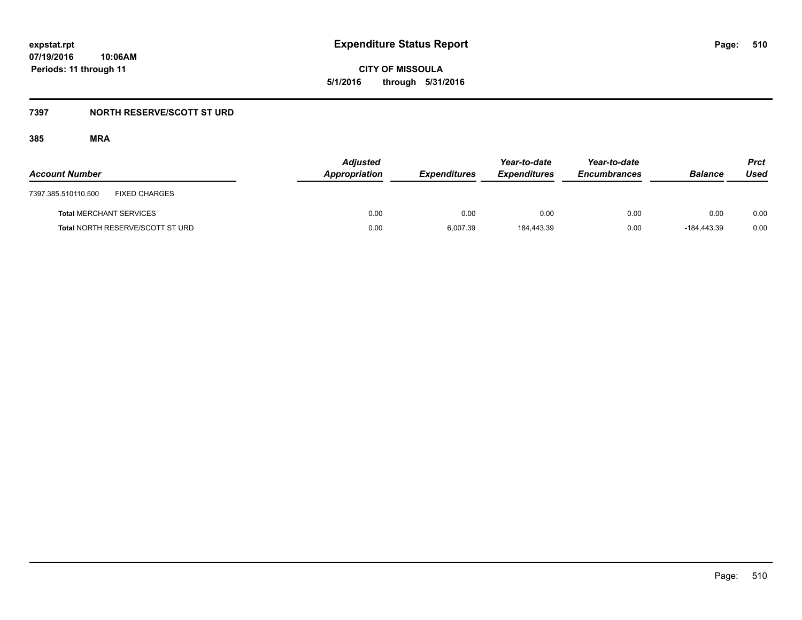**07/19/2016 10:06AM Periods: 11 through 11**

**CITY OF MISSOULA 5/1/2016 through 5/31/2016**

# **7397 NORTH RESERVE/SCOTT ST URD**

| <b>Account Number</b>                       | <b>Adjusted</b><br>Appropriation | <b>Expenditures</b> | Year-to-date<br><b>Expenditures</b> | Year-to-date<br><b>Encumbrances</b> | <b>Balance</b> | <b>Prct</b><br>Used |
|---------------------------------------------|----------------------------------|---------------------|-------------------------------------|-------------------------------------|----------------|---------------------|
| <b>FIXED CHARGES</b><br>7397.385.510110.500 |                                  |                     |                                     |                                     |                |                     |
| <b>Total MERCHANT SERVICES</b>              | 0.00                             | 0.00                | 0.00                                | 0.00                                | 0.00           | 0.00                |
| <b>Total NORTH RESERVE/SCOTT ST URD</b>     | 0.00                             | 6,007.39            | 184,443.39                          | 0.00                                | -184.443.39    | 0.00                |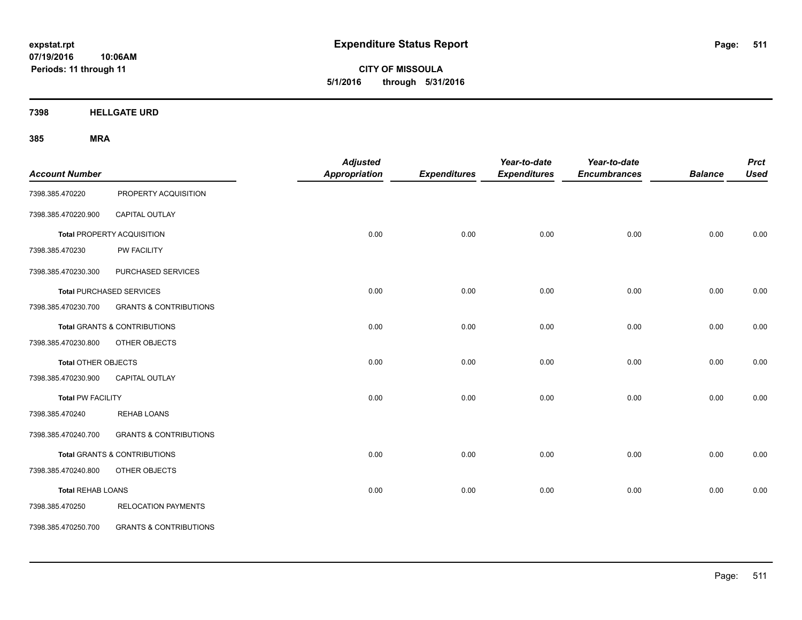**CITY OF MISSOULA 5/1/2016 through 5/31/2016**

**7398 HELLGATE URD**

| <b>Account Number</b>    |                                         | <b>Adjusted</b><br><b>Appropriation</b> | <b>Expenditures</b> | Year-to-date<br><b>Expenditures</b> | Year-to-date<br><b>Encumbrances</b> | <b>Balance</b> | <b>Prct</b><br><b>Used</b> |
|--------------------------|-----------------------------------------|-----------------------------------------|---------------------|-------------------------------------|-------------------------------------|----------------|----------------------------|
| 7398.385.470220          | PROPERTY ACQUISITION                    |                                         |                     |                                     |                                     |                |                            |
| 7398.385.470220.900      | CAPITAL OUTLAY                          |                                         |                     |                                     |                                     |                |                            |
|                          | Total PROPERTY ACQUISITION              | 0.00                                    | 0.00                | 0.00                                | 0.00                                | 0.00           | 0.00                       |
| 7398.385.470230          | PW FACILITY                             |                                         |                     |                                     |                                     |                |                            |
| 7398.385.470230.300      | PURCHASED SERVICES                      |                                         |                     |                                     |                                     |                |                            |
|                          | <b>Total PURCHASED SERVICES</b>         | 0.00                                    | 0.00                | 0.00                                | 0.00                                | 0.00           | 0.00                       |
| 7398.385.470230.700      | <b>GRANTS &amp; CONTRIBUTIONS</b>       |                                         |                     |                                     |                                     |                |                            |
|                          | <b>Total GRANTS &amp; CONTRIBUTIONS</b> | 0.00                                    | 0.00                | 0.00                                | 0.00                                | 0.00           | 0.00                       |
| 7398.385.470230.800      | OTHER OBJECTS                           |                                         |                     |                                     |                                     |                |                            |
| Total OTHER OBJECTS      |                                         | 0.00                                    | 0.00                | 0.00                                | 0.00                                | 0.00           | 0.00                       |
| 7398.385.470230.900      | CAPITAL OUTLAY                          |                                         |                     |                                     |                                     |                |                            |
| <b>Total PW FACILITY</b> |                                         | 0.00                                    | 0.00                | 0.00                                | 0.00                                | 0.00           | 0.00                       |
| 7398.385.470240          | <b>REHAB LOANS</b>                      |                                         |                     |                                     |                                     |                |                            |
| 7398.385.470240.700      | <b>GRANTS &amp; CONTRIBUTIONS</b>       |                                         |                     |                                     |                                     |                |                            |
|                          | Total GRANTS & CONTRIBUTIONS            | 0.00                                    | 0.00                | 0.00                                | 0.00                                | 0.00           | 0.00                       |
| 7398.385.470240.800      | OTHER OBJECTS                           |                                         |                     |                                     |                                     |                |                            |
| <b>Total REHAB LOANS</b> |                                         | 0.00                                    | 0.00                | 0.00                                | 0.00                                | 0.00           | 0.00                       |
| 7398.385.470250          | <b>RELOCATION PAYMENTS</b>              |                                         |                     |                                     |                                     |                |                            |
| 7398.385.470250.700      | <b>GRANTS &amp; CONTRIBUTIONS</b>       |                                         |                     |                                     |                                     |                |                            |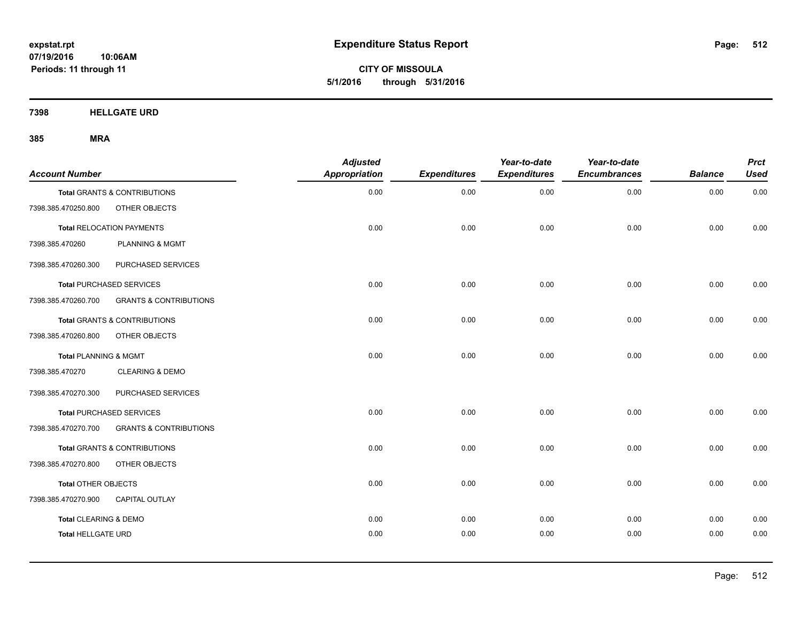**CITY OF MISSOULA 5/1/2016 through 5/31/2016**

**7398 HELLGATE URD**

| <b>Account Number</b>     |                                   | <b>Adjusted</b><br>Appropriation | <b>Expenditures</b> | Year-to-date<br><b>Expenditures</b> | Year-to-date<br><b>Encumbrances</b> | <b>Balance</b> | <b>Prct</b><br><b>Used</b> |
|---------------------------|-----------------------------------|----------------------------------|---------------------|-------------------------------------|-------------------------------------|----------------|----------------------------|
|                           | Total GRANTS & CONTRIBUTIONS      | 0.00                             | 0.00                | 0.00                                | 0.00                                | 0.00           | 0.00                       |
| 7398.385.470250.800       | OTHER OBJECTS                     |                                  |                     |                                     |                                     |                |                            |
|                           | <b>Total RELOCATION PAYMENTS</b>  | 0.00                             | 0.00                | 0.00                                | 0.00                                | 0.00           | 0.00                       |
| 7398.385.470260           | <b>PLANNING &amp; MGMT</b>        |                                  |                     |                                     |                                     |                |                            |
| 7398.385.470260.300       | PURCHASED SERVICES                |                                  |                     |                                     |                                     |                |                            |
|                           | <b>Total PURCHASED SERVICES</b>   | 0.00                             | 0.00                | 0.00                                | 0.00                                | 0.00           | 0.00                       |
| 7398.385.470260.700       | <b>GRANTS &amp; CONTRIBUTIONS</b> |                                  |                     |                                     |                                     |                |                            |
|                           | Total GRANTS & CONTRIBUTIONS      | 0.00                             | 0.00                | 0.00                                | 0.00                                | 0.00           | 0.00                       |
| 7398.385.470260.800       | OTHER OBJECTS                     |                                  |                     |                                     |                                     |                |                            |
| Total PLANNING & MGMT     |                                   | 0.00                             | 0.00                | 0.00                                | 0.00                                | 0.00           | 0.00                       |
| 7398.385.470270           | <b>CLEARING &amp; DEMO</b>        |                                  |                     |                                     |                                     |                |                            |
| 7398.385.470270.300       | PURCHASED SERVICES                |                                  |                     |                                     |                                     |                |                            |
|                           | <b>Total PURCHASED SERVICES</b>   | 0.00                             | 0.00                | 0.00                                | 0.00                                | 0.00           | 0.00                       |
| 7398.385.470270.700       | <b>GRANTS &amp; CONTRIBUTIONS</b> |                                  |                     |                                     |                                     |                |                            |
|                           | Total GRANTS & CONTRIBUTIONS      | 0.00                             | 0.00                | 0.00                                | 0.00                                | 0.00           | 0.00                       |
| 7398.385.470270.800       | OTHER OBJECTS                     |                                  |                     |                                     |                                     |                |                            |
| Total OTHER OBJECTS       |                                   | 0.00                             | 0.00                | 0.00                                | 0.00                                | 0.00           | 0.00                       |
| 7398.385.470270.900       | <b>CAPITAL OUTLAY</b>             |                                  |                     |                                     |                                     |                |                            |
| Total CLEARING & DEMO     |                                   | 0.00                             | 0.00                | 0.00                                | 0.00                                | 0.00           | 0.00                       |
| <b>Total HELLGATE URD</b> |                                   | 0.00                             | 0.00                | 0.00                                | 0.00                                | 0.00           | 0.00                       |
|                           |                                   |                                  |                     |                                     |                                     |                |                            |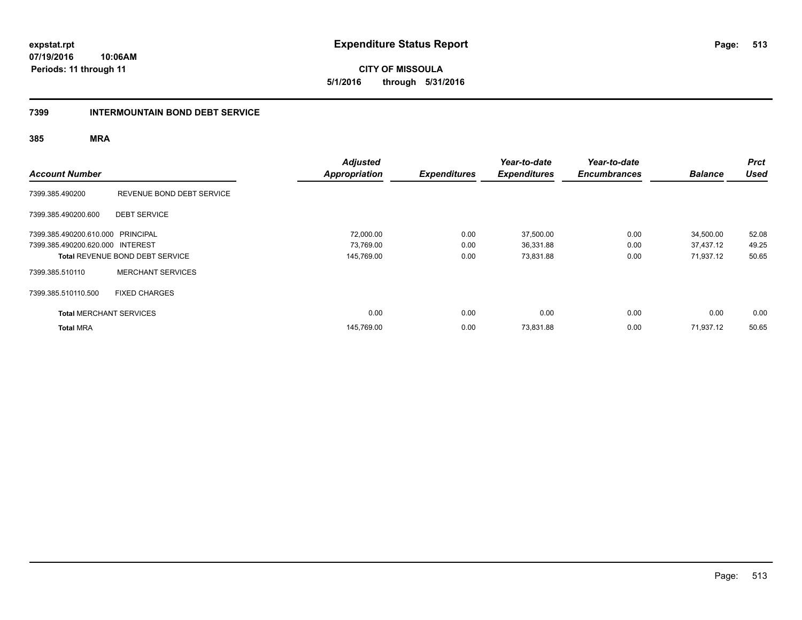**expstat.rpt Expenditure Status Report** 

**07/19/2016 10:06AM Periods: 11 through 11**

**5/1/2016 through 5/31/2016**

# **7399 INTERMOUNTAIN BOND DEBT SERVICE**

|                                   |                                        | <b>Adjusted</b>      |                     | Year-to-date        | Year-to-date        |                | <b>Prct</b> |
|-----------------------------------|----------------------------------------|----------------------|---------------------|---------------------|---------------------|----------------|-------------|
| <b>Account Number</b>             |                                        | <b>Appropriation</b> | <b>Expenditures</b> | <b>Expenditures</b> | <b>Encumbrances</b> | <b>Balance</b> | <b>Used</b> |
| 7399.385.490200                   | REVENUE BOND DEBT SERVICE              |                      |                     |                     |                     |                |             |
| 7399.385.490200.600               | <b>DEBT SERVICE</b>                    |                      |                     |                     |                     |                |             |
| 7399.385.490200.610.000 PRINCIPAL |                                        | 72,000.00            | 0.00                | 37,500.00           | 0.00                | 34,500.00      | 52.08       |
| 7399.385.490200.620.000 INTEREST  |                                        | 73,769.00            | 0.00                | 36,331.88           | 0.00                | 37,437.12      | 49.25       |
|                                   | <b>Total REVENUE BOND DEBT SERVICE</b> | 145,769.00           | 0.00                | 73,831.88           | 0.00                | 71,937.12      | 50.65       |
| 7399.385.510110                   | <b>MERCHANT SERVICES</b>               |                      |                     |                     |                     |                |             |
| 7399.385.510110.500               | <b>FIXED CHARGES</b>                   |                      |                     |                     |                     |                |             |
| <b>Total MERCHANT SERVICES</b>    |                                        | 0.00                 | 0.00                | 0.00                | 0.00                | 0.00           | 0.00        |
| <b>Total MRA</b>                  |                                        | 145,769.00           | 0.00                | 73,831.88           | 0.00                | 71,937.12      | 50.65       |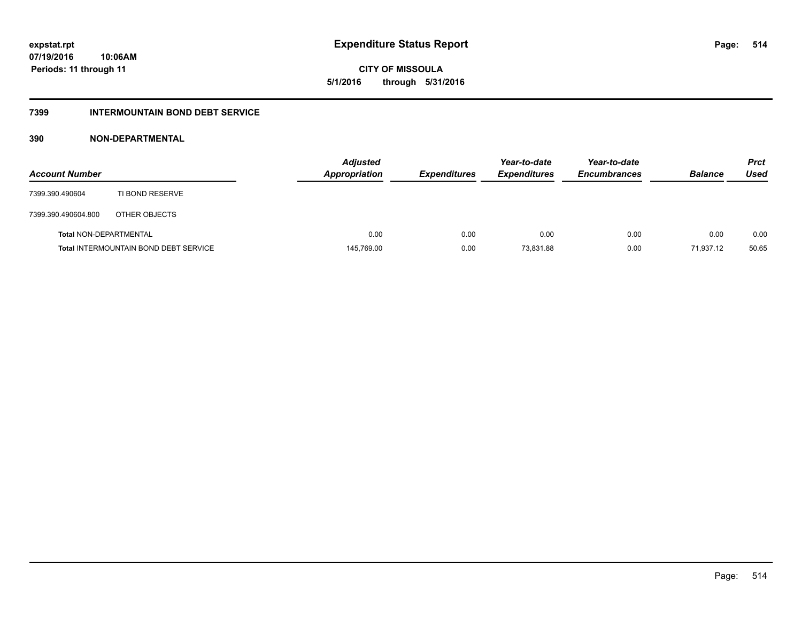**CITY OF MISSOULA 5/1/2016 through 5/31/2016**

# **7399 INTERMOUNTAIN BOND DEBT SERVICE**

### **390 NON-DEPARTMENTAL**

| <b>Account Number</b>         |                                              | <b>Adjusted</b><br><b>Appropriation</b> | <b>Expenditures</b> | Year-to-date<br><b>Expenditures</b> | Year-to-date<br><b>Encumbrances</b> | <b>Balance</b> | Prct<br><b>Used</b> |
|-------------------------------|----------------------------------------------|-----------------------------------------|---------------------|-------------------------------------|-------------------------------------|----------------|---------------------|
| 7399.390.490604               | TI BOND RESERVE                              |                                         |                     |                                     |                                     |                |                     |
| 7399.390.490604.800           | OTHER OBJECTS                                |                                         |                     |                                     |                                     |                |                     |
| <b>Total NON-DEPARTMENTAL</b> |                                              | 0.00                                    | 0.00                | 0.00                                | 0.00                                | 0.00           | 0.00                |
|                               | <b>Total INTERMOUNTAIN BOND DEBT SERVICE</b> | 145,769.00                              | 0.00                | 73,831.88                           | 0.00                                | 71,937.12      | 50.65               |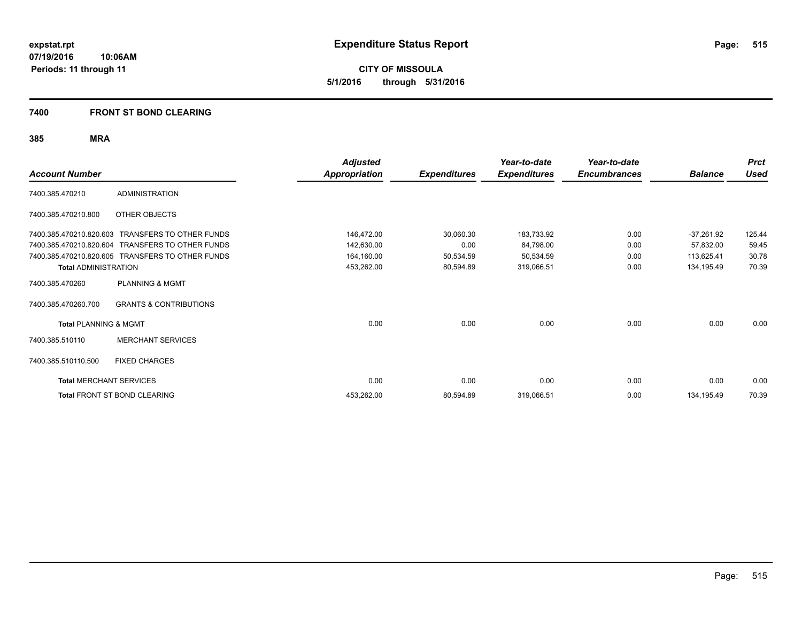**CITY OF MISSOULA 5/1/2016 through 5/31/2016**

### **7400 FRONT ST BOND CLEARING**

| <b>Account Number</b>            |                                                  | <b>Adjusted</b><br><b>Appropriation</b> | <b>Expenditures</b> | Year-to-date<br><b>Expenditures</b> | Year-to-date<br><b>Encumbrances</b> | <b>Balance</b> | <b>Prct</b><br><b>Used</b> |
|----------------------------------|--------------------------------------------------|-----------------------------------------|---------------------|-------------------------------------|-------------------------------------|----------------|----------------------------|
| 7400.385.470210                  | <b>ADMINISTRATION</b>                            |                                         |                     |                                     |                                     |                |                            |
| 7400.385.470210.800              | OTHER OBJECTS                                    |                                         |                     |                                     |                                     |                |                            |
| 7400.385.470210.820.603          | TRANSFERS TO OTHER FUNDS                         | 146,472.00                              | 30,060.30           | 183,733.92                          | 0.00                                | $-37,261.92$   | 125.44                     |
| 7400.385.470210.820.604          | <b>TRANSFERS TO OTHER FUNDS</b>                  | 142,630.00                              | 0.00                | 84,798.00                           | 0.00                                | 57,832.00      | 59.45                      |
|                                  | 7400.385.470210.820.605 TRANSFERS TO OTHER FUNDS | 164,160.00                              | 50,534.59           | 50,534.59                           | 0.00                                | 113,625.41     | 30.78                      |
| <b>Total ADMINISTRATION</b>      |                                                  | 453,262.00                              | 80,594.89           | 319,066.51                          | 0.00                                | 134,195.49     | 70.39                      |
| 7400.385.470260                  | <b>PLANNING &amp; MGMT</b>                       |                                         |                     |                                     |                                     |                |                            |
| 7400.385.470260.700              | <b>GRANTS &amp; CONTRIBUTIONS</b>                |                                         |                     |                                     |                                     |                |                            |
| <b>Total PLANNING &amp; MGMT</b> |                                                  | 0.00                                    | 0.00                | 0.00                                | 0.00                                | 0.00           | 0.00                       |
| 7400.385.510110                  | <b>MERCHANT SERVICES</b>                         |                                         |                     |                                     |                                     |                |                            |
| 7400.385.510110.500              | <b>FIXED CHARGES</b>                             |                                         |                     |                                     |                                     |                |                            |
| <b>Total MERCHANT SERVICES</b>   |                                                  | 0.00                                    | 0.00                | 0.00                                | 0.00                                | 0.00           | 0.00                       |
|                                  | Total FRONT ST BOND CLEARING                     | 453,262.00                              | 80,594.89           | 319,066.51                          | 0.00                                | 134,195.49     | 70.39                      |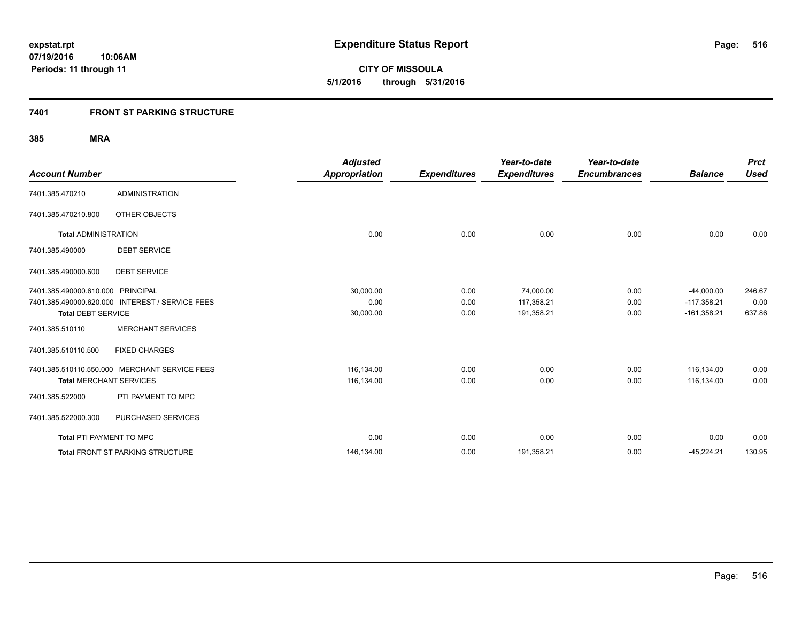**07/19/2016 10:06AM Periods: 11 through 11**

**CITY OF MISSOULA 5/1/2016 through 5/31/2016**

# **7401 FRONT ST PARKING STRUCTURE**

|                                   |                                                 | <b>Adjusted</b>      |                     | Year-to-date        | Year-to-date        |                | <b>Prct</b> |
|-----------------------------------|-------------------------------------------------|----------------------|---------------------|---------------------|---------------------|----------------|-------------|
| <b>Account Number</b>             |                                                 | <b>Appropriation</b> | <b>Expenditures</b> | <b>Expenditures</b> | <b>Encumbrances</b> | <b>Balance</b> | <b>Used</b> |
| 7401.385.470210                   | <b>ADMINISTRATION</b>                           |                      |                     |                     |                     |                |             |
| 7401.385.470210.800               | OTHER OBJECTS                                   |                      |                     |                     |                     |                |             |
| <b>Total ADMINISTRATION</b>       |                                                 | 0.00                 | 0.00                | 0.00                | 0.00                | 0.00           | 0.00        |
| 7401.385.490000                   | <b>DEBT SERVICE</b>                             |                      |                     |                     |                     |                |             |
| 7401.385.490000.600               | <b>DEBT SERVICE</b>                             |                      |                     |                     |                     |                |             |
| 7401.385.490000.610.000 PRINCIPAL |                                                 | 30,000.00            | 0.00                | 74,000.00           | 0.00                | $-44,000.00$   | 246.67      |
|                                   | 7401.385.490000.620.000 INTEREST / SERVICE FEES | 0.00                 | 0.00                | 117,358.21          | 0.00                | $-117,358.21$  | 0.00        |
| <b>Total DEBT SERVICE</b>         |                                                 | 30,000.00            | 0.00                | 191,358.21          | 0.00                | $-161,358.21$  | 637.86      |
| 7401.385.510110                   | <b>MERCHANT SERVICES</b>                        |                      |                     |                     |                     |                |             |
| 7401.385.510110.500               | <b>FIXED CHARGES</b>                            |                      |                     |                     |                     |                |             |
|                                   | 7401.385.510110.550.000 MERCHANT SERVICE FEES   | 116,134.00           | 0.00                | 0.00                | 0.00                | 116,134.00     | 0.00        |
| <b>Total MERCHANT SERVICES</b>    |                                                 | 116,134.00           | 0.00                | 0.00                | 0.00                | 116,134.00     | 0.00        |
| 7401.385.522000                   | PTI PAYMENT TO MPC                              |                      |                     |                     |                     |                |             |
| 7401.385.522000.300               | PURCHASED SERVICES                              |                      |                     |                     |                     |                |             |
| <b>Total PTI PAYMENT TO MPC</b>   |                                                 | 0.00                 | 0.00                | 0.00                | 0.00                | 0.00           | 0.00        |
|                                   | <b>Total FRONT ST PARKING STRUCTURE</b>         | 146,134.00           | 0.00                | 191,358.21          | 0.00                | $-45,224.21$   | 130.95      |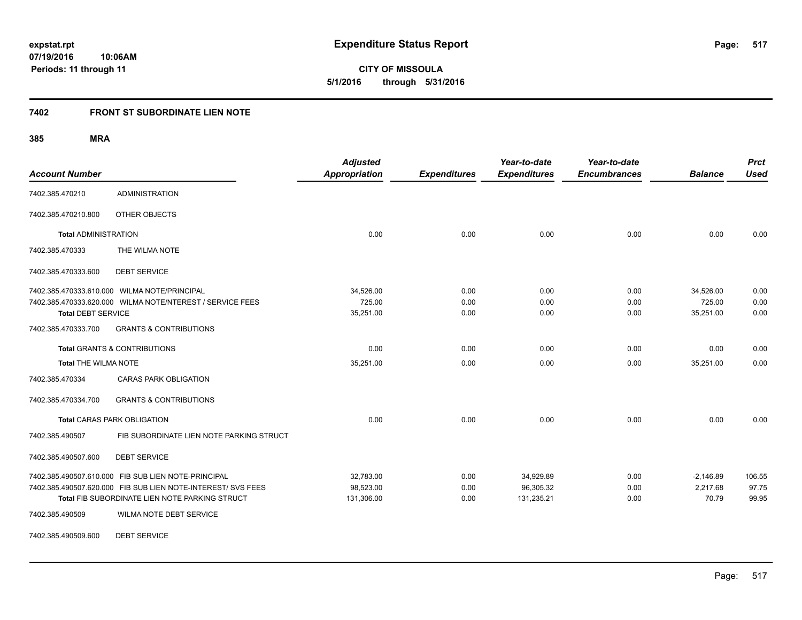**CITY OF MISSOULA 5/1/2016 through 5/31/2016**

# **7402 FRONT ST SUBORDINATE LIEN NOTE**

**385 MRA**

| <b>Account Number</b>       |                                                                                                                                                                       | <b>Adjusted</b><br><b>Appropriation</b> | <b>Expenditures</b>  | Year-to-date<br><b>Expenditures</b>  | Year-to-date<br><b>Encumbrances</b> | <b>Balance</b>                   | <b>Prct</b><br><b>Used</b> |
|-----------------------------|-----------------------------------------------------------------------------------------------------------------------------------------------------------------------|-----------------------------------------|----------------------|--------------------------------------|-------------------------------------|----------------------------------|----------------------------|
| 7402.385.470210             | <b>ADMINISTRATION</b>                                                                                                                                                 |                                         |                      |                                      |                                     |                                  |                            |
| 7402.385.470210.800         | OTHER OBJECTS                                                                                                                                                         |                                         |                      |                                      |                                     |                                  |                            |
| <b>Total ADMINISTRATION</b> |                                                                                                                                                                       | 0.00                                    | 0.00                 | 0.00                                 | 0.00                                | 0.00                             | 0.00                       |
| 7402.385.470333             | THE WILMA NOTE                                                                                                                                                        |                                         |                      |                                      |                                     |                                  |                            |
| 7402.385.470333.600         | <b>DEBT SERVICE</b>                                                                                                                                                   |                                         |                      |                                      |                                     |                                  |                            |
|                             | 7402.385.470333.610.000 WILMA NOTE/PRINCIPAL<br>7402.385.470333.620.000 WILMA NOTE/NTEREST / SERVICE FEES                                                             | 34,526.00<br>725.00                     | 0.00<br>0.00         | 0.00<br>0.00                         | 0.00<br>0.00                        | 34,526.00<br>725.00              | 0.00<br>0.00               |
| <b>Total DEBT SERVICE</b>   |                                                                                                                                                                       | 35,251.00                               | 0.00                 | 0.00                                 | 0.00                                | 35,251.00                        | 0.00                       |
| 7402.385.470333.700         | <b>GRANTS &amp; CONTRIBUTIONS</b>                                                                                                                                     |                                         |                      |                                      |                                     |                                  |                            |
|                             | <b>Total GRANTS &amp; CONTRIBUTIONS</b>                                                                                                                               | 0.00                                    | 0.00                 | 0.00                                 | 0.00                                | 0.00                             | 0.00                       |
| <b>Total THE WILMA NOTE</b> |                                                                                                                                                                       | 35,251.00                               | 0.00                 | 0.00                                 | 0.00                                | 35,251.00                        | 0.00                       |
| 7402.385.470334             | <b>CARAS PARK OBLIGATION</b>                                                                                                                                          |                                         |                      |                                      |                                     |                                  |                            |
| 7402.385.470334.700         | <b>GRANTS &amp; CONTRIBUTIONS</b>                                                                                                                                     |                                         |                      |                                      |                                     |                                  |                            |
|                             | <b>Total CARAS PARK OBLIGATION</b>                                                                                                                                    | 0.00                                    | 0.00                 | 0.00                                 | 0.00                                | 0.00                             | 0.00                       |
| 7402.385.490507             | FIB SUBORDINATE LIEN NOTE PARKING STRUCT                                                                                                                              |                                         |                      |                                      |                                     |                                  |                            |
| 7402.385.490507.600         | <b>DEBT SERVICE</b>                                                                                                                                                   |                                         |                      |                                      |                                     |                                  |                            |
|                             | 7402.385.490507.610.000 FIB SUB LIEN NOTE-PRINCIPAL<br>7402.385.490507.620.000 FIB SUB LIEN NOTE-INTEREST/ SVS FEES<br>Total FIB SUBORDINATE LIEN NOTE PARKING STRUCT | 32,783.00<br>98,523.00<br>131,306.00    | 0.00<br>0.00<br>0.00 | 34,929.89<br>96,305.32<br>131,235.21 | 0.00<br>0.00<br>0.00                | $-2,146.89$<br>2,217.68<br>70.79 | 106.55<br>97.75<br>99.95   |
| 7402.385.490509             | WILMA NOTE DEBT SERVICE                                                                                                                                               |                                         |                      |                                      |                                     |                                  |                            |

7402.385.490509.600 DEBT SERVICE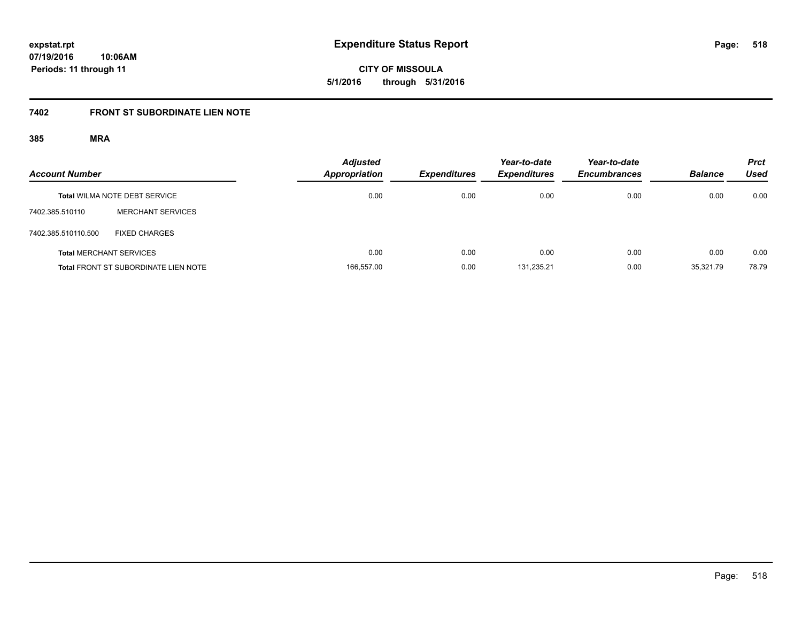**expstat.rpt Expenditure Status Report** 

**07/19/2016 10:06AM Periods: 11 through 11**

**CITY OF MISSOULA 5/1/2016 through 5/31/2016**

# **7402 FRONT ST SUBORDINATE LIEN NOTE**

| <b>Account Number</b> |                                             | <b>Adjusted</b><br>Appropriation | <b>Expenditures</b> | Year-to-date<br><b>Expenditures</b> | Year-to-date<br><b>Encumbrances</b> | <b>Balance</b> | <b>Prct</b><br>Used |
|-----------------------|---------------------------------------------|----------------------------------|---------------------|-------------------------------------|-------------------------------------|----------------|---------------------|
|                       | <b>Total WILMA NOTE DEBT SERVICE</b>        | 0.00                             | 0.00                | 0.00                                | 0.00                                | 0.00           | 0.00                |
| 7402.385.510110       | <b>MERCHANT SERVICES</b>                    |                                  |                     |                                     |                                     |                |                     |
| 7402.385.510110.500   | FIXED CHARGES                               |                                  |                     |                                     |                                     |                |                     |
|                       | <b>Total MERCHANT SERVICES</b>              | 0.00                             | 0.00                | 0.00                                | 0.00                                | 0.00           | 0.00                |
|                       | <b>Total FRONT ST SUBORDINATE LIEN NOTE</b> | 166.557.00                       | 0.00                | 131.235.21                          | 0.00                                | 35.321.79      | 78.79               |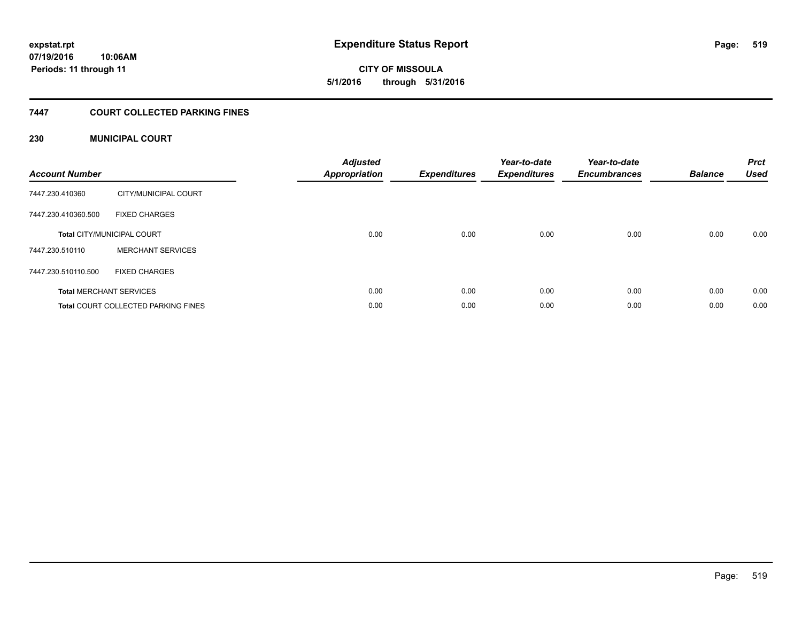**CITY OF MISSOULA 5/1/2016 through 5/31/2016**

### **7447 COURT COLLECTED PARKING FINES**

### **230 MUNICIPAL COURT**

| <b>Account Number</b> |                                            | <b>Adjusted</b><br>Appropriation | <b>Expenditures</b> | Year-to-date<br><b>Expenditures</b> | Year-to-date<br><b>Encumbrances</b> | <b>Balance</b> | <b>Prct</b><br><b>Used</b> |
|-----------------------|--------------------------------------------|----------------------------------|---------------------|-------------------------------------|-------------------------------------|----------------|----------------------------|
| 7447.230.410360       | CITY/MUNICIPAL COURT                       |                                  |                     |                                     |                                     |                |                            |
| 7447.230.410360.500   | <b>FIXED CHARGES</b>                       |                                  |                     |                                     |                                     |                |                            |
|                       | <b>Total CITY/MUNICIPAL COURT</b>          | 0.00                             | 0.00                | 0.00                                | 0.00                                | 0.00           | 0.00                       |
| 7447.230.510110       | <b>MERCHANT SERVICES</b>                   |                                  |                     |                                     |                                     |                |                            |
| 7447.230.510110.500   | <b>FIXED CHARGES</b>                       |                                  |                     |                                     |                                     |                |                            |
|                       | <b>Total MERCHANT SERVICES</b>             | 0.00                             | 0.00                | 0.00                                | 0.00                                | 0.00           | 0.00                       |
|                       | <b>Total COURT COLLECTED PARKING FINES</b> | 0.00                             | 0.00                | 0.00                                | 0.00                                | 0.00           | 0.00                       |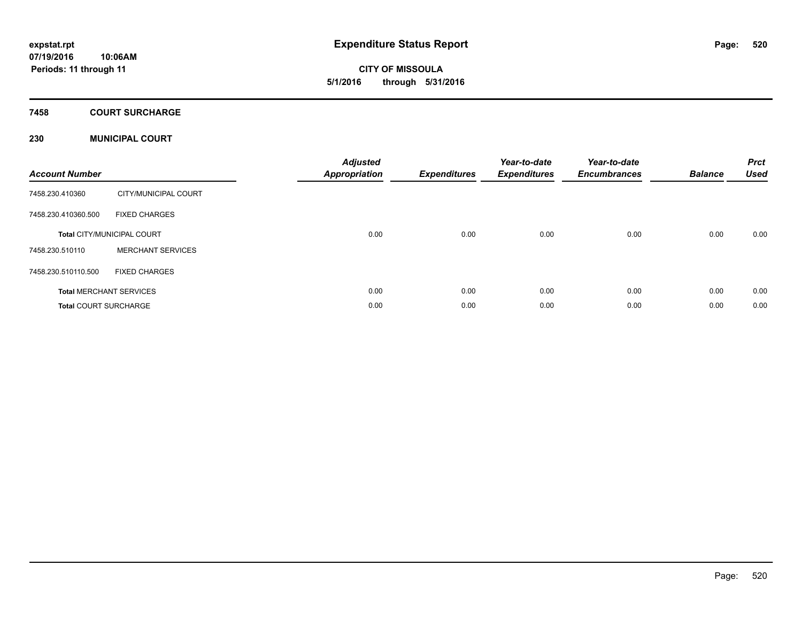**CITY OF MISSOULA 5/1/2016 through 5/31/2016**

### **7458 COURT SURCHARGE**

### **230 MUNICIPAL COURT**

| <b>Account Number</b>        |                                   | <b>Adjusted</b><br><b>Appropriation</b> | <b>Expenditures</b> | Year-to-date<br><b>Expenditures</b> | Year-to-date<br><b>Encumbrances</b> | <b>Balance</b> | <b>Prct</b><br><b>Used</b> |
|------------------------------|-----------------------------------|-----------------------------------------|---------------------|-------------------------------------|-------------------------------------|----------------|----------------------------|
| 7458.230.410360              | CITY/MUNICIPAL COURT              |                                         |                     |                                     |                                     |                |                            |
| 7458.230.410360.500          | <b>FIXED CHARGES</b>              |                                         |                     |                                     |                                     |                |                            |
|                              | <b>Total CITY/MUNICIPAL COURT</b> | 0.00                                    | 0.00                | 0.00                                | 0.00                                | 0.00           | 0.00                       |
| 7458.230.510110              | <b>MERCHANT SERVICES</b>          |                                         |                     |                                     |                                     |                |                            |
| 7458.230.510110.500          | <b>FIXED CHARGES</b>              |                                         |                     |                                     |                                     |                |                            |
|                              | <b>Total MERCHANT SERVICES</b>    | 0.00                                    | 0.00                | 0.00                                | 0.00                                | 0.00           | 0.00                       |
| <b>Total COURT SURCHARGE</b> |                                   | 0.00                                    | 0.00                | 0.00                                | 0.00                                | 0.00           | 0.00                       |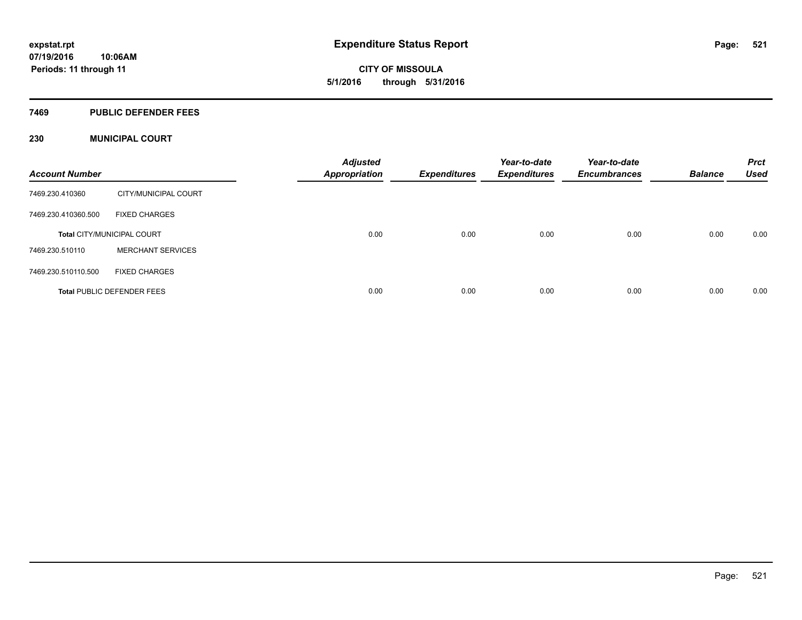**CITY OF MISSOULA 5/1/2016 through 5/31/2016**

### **7469 PUBLIC DEFENDER FEES**

### **230 MUNICIPAL COURT**

| <b>Account Number</b> |                                   | <b>Adjusted</b><br><b>Appropriation</b> | Expenditures | Year-to-date<br><b>Expenditures</b> | Year-to-date<br><b>Encumbrances</b> | <b>Balance</b> | <b>Prct</b><br><b>Used</b> |
|-----------------------|-----------------------------------|-----------------------------------------|--------------|-------------------------------------|-------------------------------------|----------------|----------------------------|
| 7469.230.410360       | CITY/MUNICIPAL COURT              |                                         |              |                                     |                                     |                |                            |
| 7469.230.410360.500   | <b>FIXED CHARGES</b>              |                                         |              |                                     |                                     |                |                            |
|                       | <b>Total CITY/MUNICIPAL COURT</b> | 0.00                                    | 0.00         | 0.00                                | 0.00                                | 0.00           | 0.00                       |
| 7469.230.510110       | <b>MERCHANT SERVICES</b>          |                                         |              |                                     |                                     |                |                            |
| 7469.230.510110.500   | <b>FIXED CHARGES</b>              |                                         |              |                                     |                                     |                |                            |
|                       | <b>Total PUBLIC DEFENDER FEES</b> | 0.00                                    | 0.00         | 0.00                                | 0.00                                | 0.00           | 0.00                       |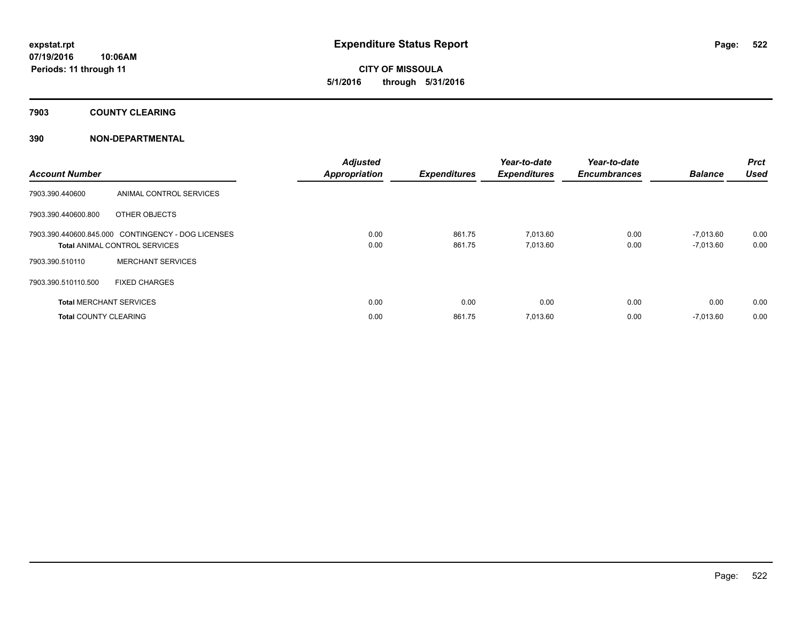**CITY OF MISSOULA 5/1/2016 through 5/31/2016**

**7903 COUNTY CLEARING**

### **390 NON-DEPARTMENTAL**

| <b>Account Number</b>          |                                                    | <b>Adjusted</b><br><b>Appropriation</b> | <b>Expenditures</b> | Year-to-date<br><b>Expenditures</b> | Year-to-date<br><b>Encumbrances</b> | <b>Balance</b> | <b>Prct</b><br><b>Used</b> |
|--------------------------------|----------------------------------------------------|-----------------------------------------|---------------------|-------------------------------------|-------------------------------------|----------------|----------------------------|
| 7903.390.440600                | ANIMAL CONTROL SERVICES                            |                                         |                     |                                     |                                     |                |                            |
| 7903.390.440600.800            | OTHER OBJECTS                                      |                                         |                     |                                     |                                     |                |                            |
|                                | 7903.390.440600.845.000 CONTINGENCY - DOG LICENSES | 0.00                                    | 861.75              | 7,013.60                            | 0.00                                | $-7,013.60$    | 0.00                       |
|                                | <b>Total ANIMAL CONTROL SERVICES</b>               | 0.00                                    | 861.75              | 7,013.60                            | 0.00                                | $-7,013.60$    | 0.00                       |
| 7903.390.510110                | <b>MERCHANT SERVICES</b>                           |                                         |                     |                                     |                                     |                |                            |
| 7903.390.510110.500            | <b>FIXED CHARGES</b>                               |                                         |                     |                                     |                                     |                |                            |
| <b>Total MERCHANT SERVICES</b> |                                                    | 0.00                                    | 0.00                | 0.00                                | 0.00                                | 0.00           | 0.00                       |
| <b>Total COUNTY CLEARING</b>   |                                                    | 0.00                                    | 861.75              | 7,013.60                            | 0.00                                | $-7,013.60$    | 0.00                       |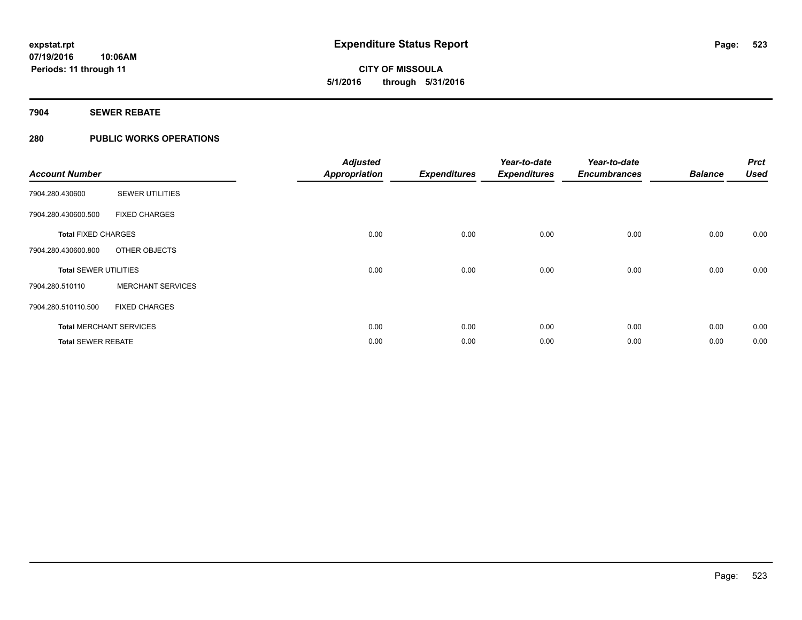**07/19/2016 10:06AM Periods: 11 through 11**

**CITY OF MISSOULA 5/1/2016 through 5/31/2016**

**7904 SEWER REBATE**

### **280 PUBLIC WORKS OPERATIONS**

| <b>Account Number</b>        |                                | <b>Adjusted</b><br><b>Appropriation</b> | <b>Expenditures</b> | Year-to-date<br><b>Expenditures</b> | Year-to-date<br><b>Encumbrances</b> | <b>Balance</b> | <b>Prct</b><br><b>Used</b> |
|------------------------------|--------------------------------|-----------------------------------------|---------------------|-------------------------------------|-------------------------------------|----------------|----------------------------|
| 7904.280.430600              | <b>SEWER UTILITIES</b>         |                                         |                     |                                     |                                     |                |                            |
| 7904.280.430600.500          | <b>FIXED CHARGES</b>           |                                         |                     |                                     |                                     |                |                            |
| <b>Total FIXED CHARGES</b>   |                                | 0.00                                    | 0.00                | 0.00                                | 0.00                                | 0.00           | 0.00                       |
| 7904.280.430600.800          | OTHER OBJECTS                  |                                         |                     |                                     |                                     |                |                            |
| <b>Total SEWER UTILITIES</b> |                                | 0.00                                    | 0.00                | 0.00                                | 0.00                                | 0.00           | 0.00                       |
| 7904.280.510110              | <b>MERCHANT SERVICES</b>       |                                         |                     |                                     |                                     |                |                            |
| 7904.280.510110.500          | <b>FIXED CHARGES</b>           |                                         |                     |                                     |                                     |                |                            |
|                              | <b>Total MERCHANT SERVICES</b> | 0.00                                    | 0.00                | 0.00                                | 0.00                                | 0.00           | 0.00                       |
| <b>Total SEWER REBATE</b>    |                                | 0.00                                    | 0.00                | 0.00                                | 0.00                                | 0.00           | 0.00                       |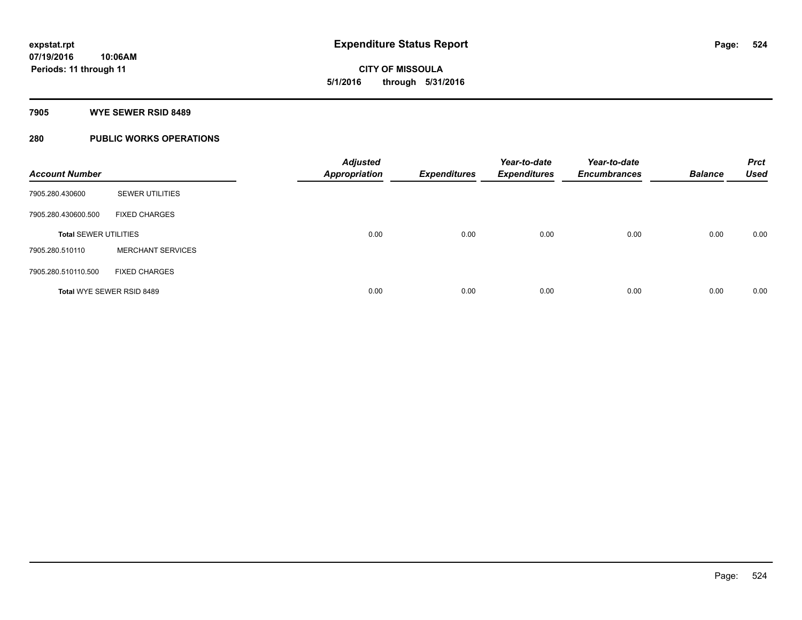**CITY OF MISSOULA 5/1/2016 through 5/31/2016**

### **7905 WYE SEWER RSID 8489**

# **280 PUBLIC WORKS OPERATIONS**

| <b>Account Number</b>        |                           | <b>Adjusted</b><br><b>Appropriation</b> | <b>Expenditures</b> | Year-to-date<br><b>Expenditures</b> | Year-to-date<br><b>Encumbrances</b> | <b>Balance</b> | <b>Prct</b><br><b>Used</b> |
|------------------------------|---------------------------|-----------------------------------------|---------------------|-------------------------------------|-------------------------------------|----------------|----------------------------|
| 7905.280.430600              | <b>SEWER UTILITIES</b>    |                                         |                     |                                     |                                     |                |                            |
| 7905.280.430600.500          | <b>FIXED CHARGES</b>      |                                         |                     |                                     |                                     |                |                            |
| <b>Total SEWER UTILITIES</b> |                           | 0.00                                    | 0.00                | 0.00                                | 0.00                                | 0.00           | 0.00                       |
| 7905.280.510110              | <b>MERCHANT SERVICES</b>  |                                         |                     |                                     |                                     |                |                            |
| 7905.280.510110.500          | <b>FIXED CHARGES</b>      |                                         |                     |                                     |                                     |                |                            |
|                              | Total WYE SEWER RSID 8489 | 0.00                                    | 0.00                | 0.00                                | 0.00                                | 0.00           | 0.00                       |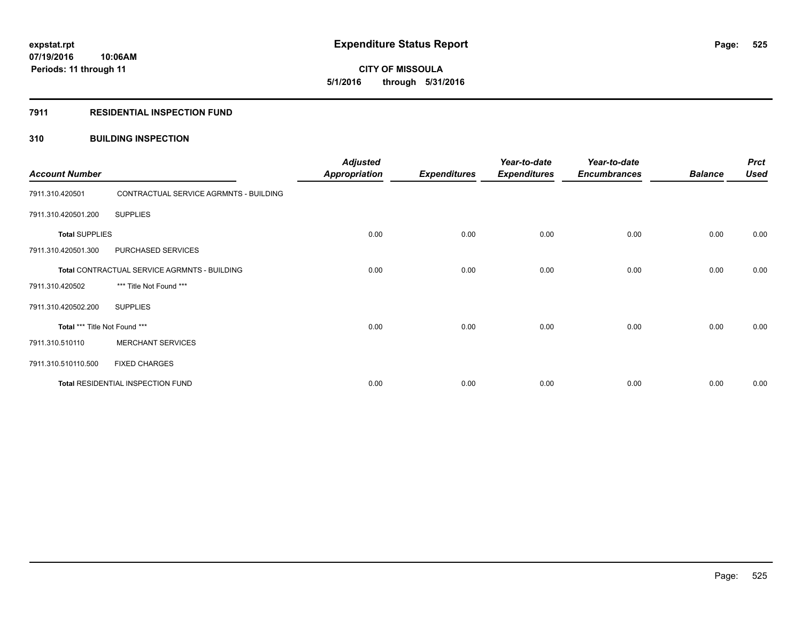**CITY OF MISSOULA 5/1/2016 through 5/31/2016**

### **7911 RESIDENTIAL INSPECTION FUND**

### **310 BUILDING INSPECTION**

| <b>Account Number</b>         |                                              | <b>Adjusted</b><br><b>Appropriation</b> | <b>Expenditures</b> | Year-to-date<br><b>Expenditures</b> | Year-to-date<br><b>Encumbrances</b> | <b>Balance</b> | <b>Prct</b><br><b>Used</b> |
|-------------------------------|----------------------------------------------|-----------------------------------------|---------------------|-------------------------------------|-------------------------------------|----------------|----------------------------|
| 7911.310.420501               | CONTRACTUAL SERVICE AGRMNTS - BUILDING       |                                         |                     |                                     |                                     |                |                            |
| 7911.310.420501.200           | <b>SUPPLIES</b>                              |                                         |                     |                                     |                                     |                |                            |
| <b>Total SUPPLIES</b>         |                                              | 0.00                                    | 0.00                | 0.00                                | 0.00                                | 0.00           | 0.00                       |
| 7911.310.420501.300           | PURCHASED SERVICES                           |                                         |                     |                                     |                                     |                |                            |
|                               | Total CONTRACTUAL SERVICE AGRMNTS - BUILDING | 0.00                                    | 0.00                | 0.00                                | 0.00                                | 0.00           | 0.00                       |
| 7911.310.420502               | *** Title Not Found ***                      |                                         |                     |                                     |                                     |                |                            |
| 7911.310.420502.200           | <b>SUPPLIES</b>                              |                                         |                     |                                     |                                     |                |                            |
| Total *** Title Not Found *** |                                              | 0.00                                    | 0.00                | 0.00                                | 0.00                                | 0.00           | 0.00                       |
| 7911.310.510110               | <b>MERCHANT SERVICES</b>                     |                                         |                     |                                     |                                     |                |                            |
| 7911.310.510110.500           | <b>FIXED CHARGES</b>                         |                                         |                     |                                     |                                     |                |                            |
|                               | Total RESIDENTIAL INSPECTION FUND            | 0.00                                    | 0.00                | 0.00                                | 0.00                                | 0.00           | 0.00                       |